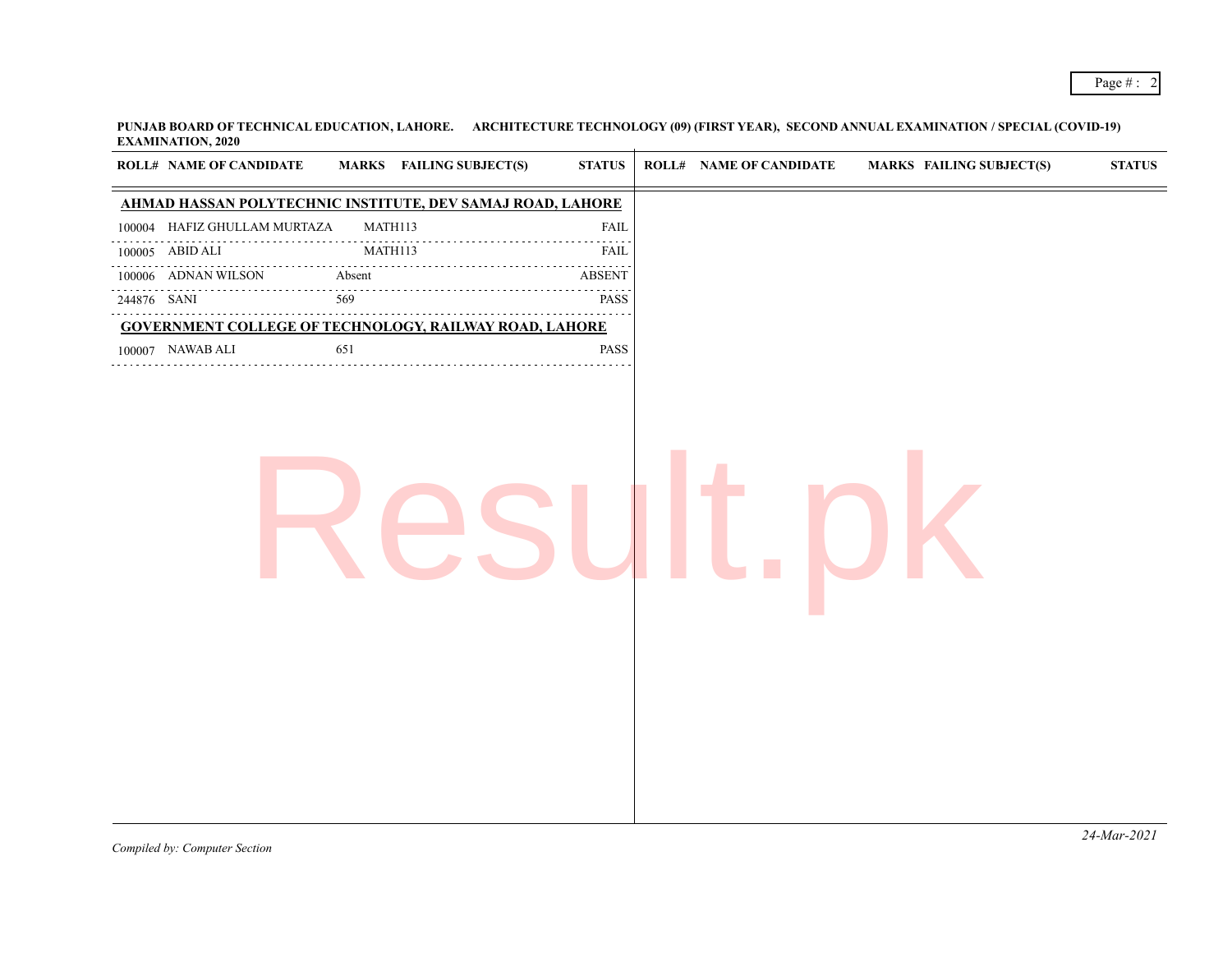**PUNJAB BOARD OF TECHNICAL EDUCATION, LAHORE. ARCHITECTURE TECHNOLOGY (09) (FIRST YEAR), SECOND ANNUAL EXAMINATION / SPECIAL (COVID-19) EXAMINATION, 2020**  $\overline{+}$ 

| <b>ROLL# NAME OF CANDIDATE</b> | <b>MARKS</b> FAILING SUBJECT(S)                               | <b>STATUS</b> | <b>ROLL# NAME OF CANDIDATE</b> | <b>MARKS FAILING SUBJECT(S)</b> | $\boldsymbol{\text{STATUS}}$ |
|--------------------------------|---------------------------------------------------------------|---------------|--------------------------------|---------------------------------|------------------------------|
|                                | AHMAD HASSAN POLYTECHNIC INSTITUTE, DEV SAMAJ ROAD, LAHORE    |               |                                |                                 |                              |
| 100004 HAFIZ GHULLAM MURTAZA   | MATH113                                                       | ${\rm FAIL}$  |                                |                                 |                              |
| 100005 ABID ALI                | MATH113                                                       | <b>FAIL</b>   |                                |                                 |                              |
| 100006 ADNAN WILSON<br>.<br>.  | Absent                                                        | <b>ABSENT</b> |                                |                                 |                              |
| 244876 SANI                    | 569                                                           | <b>PASS</b>   |                                |                                 |                              |
|                                | <b>GOVERNMENT COLLEGE OF TECHNOLOGY, RAILWAY ROAD, LAHORE</b> |               |                                |                                 |                              |
| 100007 NAWAB ALI               | 651                                                           | <b>PASS</b>   |                                |                                 |                              |
|                                |                                                               |               |                                |                                 |                              |
|                                |                                                               |               |                                |                                 |                              |
|                                |                                                               |               |                                |                                 |                              |
|                                |                                                               |               |                                |                                 |                              |
|                                |                                                               |               |                                |                                 |                              |
|                                |                                                               |               |                                |                                 |                              |
|                                |                                                               |               |                                |                                 | $24$ -Mar-2021               |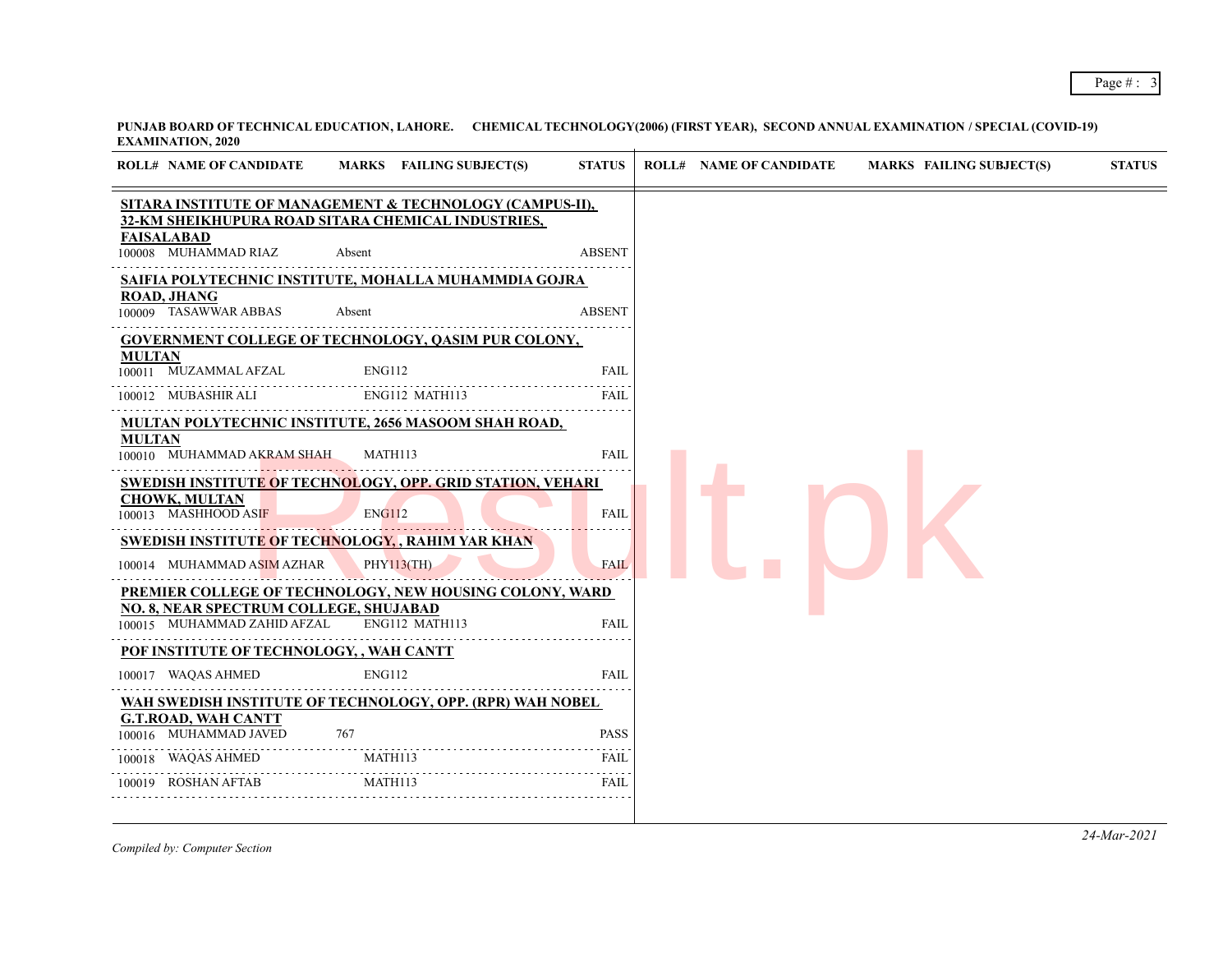| <b>ROLL# NAME OF CANDIDATE</b>                                               | MARKS FAILING SUBJECT(S)                                   | <b>STATUS</b> | <b>ROLL# NAME OF CANDIDATE</b> | <b>MARKS FAILING SUBJECT(S)</b> | <b>STATUS</b> |
|------------------------------------------------------------------------------|------------------------------------------------------------|---------------|--------------------------------|---------------------------------|---------------|
|                                                                              | SITARA INSTITUTE OF MANAGEMENT & TECHNOLOGY (CAMPUS-II),   |               |                                |                                 |               |
| <b>FAISALABAD</b>                                                            | 32-KM SHEIKHUPURA ROAD SITARA CHEMICAL INDUSTRIES,         |               |                                |                                 |               |
| 100008 MUHAMMAD RIAZ                                                         | Absent                                                     | <b>ABSENT</b> |                                |                                 |               |
|                                                                              | SAIFIA POLYTECHNIC INSTITUTE, MOHALLA MUHAMMDIA GOJRA      |               |                                |                                 |               |
| <b>ROAD, JHANG</b><br>100009 TASAWWAR ABBAS                                  | Absent                                                     | <b>ABSENT</b> |                                |                                 |               |
|                                                                              | <b>GOVERNMENT COLLEGE OF TECHNOLOGY, QASIM PUR COLONY,</b> |               |                                |                                 |               |
| <b>MULTAN</b><br>100011 MUZAMMAL AFZAL                                       | ENG112                                                     | <b>FAIL</b>   |                                |                                 |               |
| 100012 MUBASHIR ALI                                                          | ENG112 MATH113                                             | FAIL          |                                |                                 |               |
|                                                                              | MULTAN POLYTECHNIC INSTITUTE, 2656 MASOOM SHAH ROAD,       |               |                                |                                 |               |
| <b>MULTAN</b><br>100010 MUHAMMAD AKRAM SHAH                                  | MATH113                                                    | <b>FAIL</b>   |                                |                                 |               |
|                                                                              | SWEDISH INSTITUTE OF TECHNOLOGY, OPP. GRID STATION, VEHARI |               |                                |                                 |               |
| <b>CHOWK, MULTAN</b><br>100013 MASHHOOD ASIF                                 | <b>ENG112</b>                                              | <b>FAIL</b>   |                                |                                 |               |
|                                                                              | <b>SWEDISH INSTITUTE OF TECHNOLOGY, , RAHIM YAR KHAN</b>   |               |                                |                                 |               |
| 100014 MUHAMMAD ASIM AZHAR                                                   | <b>PHY113(TH)</b>                                          | <b>FAIL</b>   |                                |                                 |               |
|                                                                              | PREMIER COLLEGE OF TECHNOLOGY, NEW HOUSING COLONY, WARD    |               |                                |                                 |               |
| <b>NO. 8, NEAR SPECTRUM COLLEGE, SHUJABAD</b><br>100015 MUHAMMAD ZAHID AFZAL | ENG112 MATH113                                             | <b>FAIL</b>   |                                |                                 |               |
| POF INSTITUTE OF TECHNOLOGY, , WAH CANTT                                     |                                                            |               |                                |                                 |               |
| 100017 WAQAS AHMED                                                           | <b>ENG112</b>                                              | <b>FAIL</b>   |                                |                                 |               |
|                                                                              | WAH SWEDISH INSTITUTE OF TECHNOLOGY, OPP. (RPR) WAH NOBEL  |               |                                |                                 |               |
| <b>G.T.ROAD, WAH CANTT</b><br>100016 MUHAMMAD JAVED                          | 767                                                        | <b>PASS</b>   |                                |                                 |               |
| WAQAS AHMED<br>100018                                                        | MATH113                                                    | <b>FAIL</b>   |                                |                                 |               |
| 100019 ROSHAN AFTAB                                                          | MATH113                                                    | <b>FAIL</b>   |                                |                                 |               |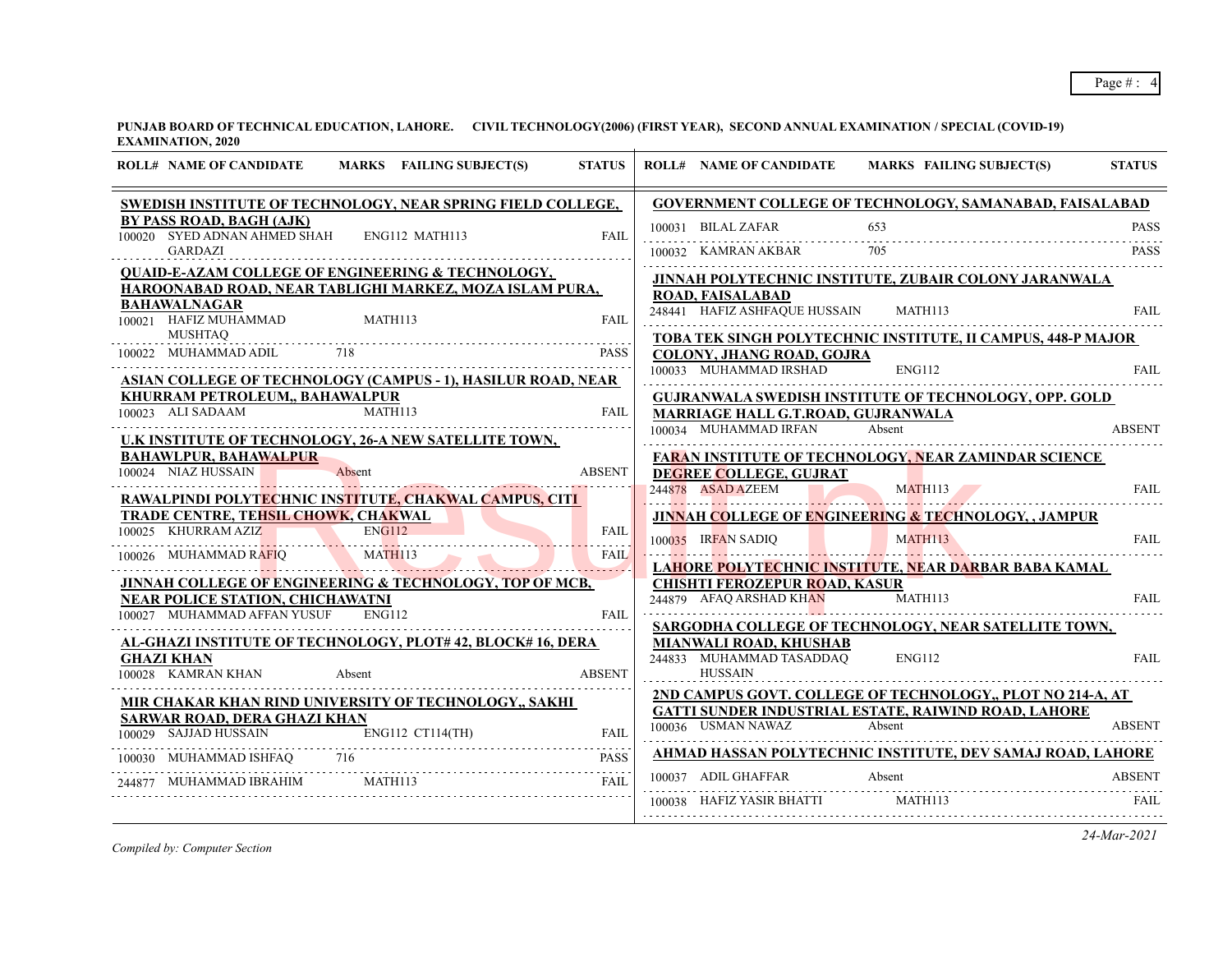**PUNJAB BOARD OF TECHNICAL EDUCATION, LAHORE. CIVIL TECHNOLOGY(2006) (FIRST YEAR), SECOND ANNUAL EXAMINATION / SPECIAL (COVID-19) EXAMINATION, 2020**

| <b>ROLL# NAME OF CANDIDATE</b><br>MARKS FAILING SUBJECT(S)<br><b>STATUS</b>                         | <b>STATUS</b><br><b>MARKS FAILING SUBJECT(S)</b><br><b>ROLL# NAME OF CANDIDATE</b>                 |
|-----------------------------------------------------------------------------------------------------|----------------------------------------------------------------------------------------------------|
| SWEDISH INSTITUTE OF TECHNOLOGY, NEAR SPRING FIELD COLLEGE,                                         | GOVERNMENT COLLEGE OF TECHNOLOGY, SAMANABAD, FAISALABAD                                            |
| BY PASS ROAD, BAGH (AJK)<br>100020 SYED ADNAN AHMED SHAH<br>ENG112 MATH113<br><b>FAIL</b>           | 100031 BILAL ZAFAR<br>653<br><b>PASS</b>                                                           |
| <b>GARDAZI</b>                                                                                      | 100032 KAMRAN AKBAR 705<br><b>PASS</b>                                                             |
| <b>QUAID-E-AZAM COLLEGE OF ENGINEERING &amp; TECHNOLOGY,</b>                                        | JINNAH POLYTECHNIC INSTITUTE, ZUBAIR COLONY JARANWALA                                              |
| HAROONABAD ROAD, NEAR TABLIGHI MARKEZ, MOZA ISLAM PURA,<br><b>BAHAWALNAGAR</b>                      | <b>ROAD, FAISALABAD</b>                                                                            |
| 100021 HAFIZ MUHAMMAD<br><b>FAIL</b><br><b>MATH113</b>                                              | 248441 HAFIZ ASHFAQUE HUSSAIN MATH113<br><b>FAIL</b>                                               |
| <b>MUSHTAQ</b><br>718                                                                               | TOBA TEK SINGH POLYTECHNIC INSTITUTE, II CAMPUS, 448-P MAJOR                                       |
| 100022 MUHAMMAD ADIL<br><b>PASS</b>                                                                 | <b>COLONY, JHANG ROAD, GOJRA</b><br>100033 MUHAMMAD IRSHAD<br><b>ENG112</b><br><b>FAIL</b>         |
| ASIAN COLLEGE OF TECHNOLOGY (CAMPUS - 1), HASILUR ROAD, NEAR                                        |                                                                                                    |
| KHURRAM PETROLEUM,, BAHAWALPUR<br>00023 ALI SADAAM MATH113 FAII<br>100023 ALI SADAAM<br><b>FAIL</b> | <b>GUJRANWALA SWEDISH INSTITUTE OF TECHNOLOGY, OPP. GOLD</b><br>MARRIAGE HALL G.T.ROAD, GUJRANWALA |
| U.K INSTITUTE OF TECHNOLOGY, 26-A NEW SATELLITE TOWN,                                               | 100034 MUHAMMAD IRFAN<br>Absent<br><b>ABSENT</b>                                                   |
| <b>BAHAWLPUR, BAHAWALPUR</b>                                                                        | FARAN INSTITUTE OF TECHNOLOGY, NEAR ZAMINDAR SCIENCE                                               |
| 100024 NIAZ HUSSAIN<br><b>ABSENT</b><br>Absent                                                      | DEGREE COLLEGE, GUJRAT                                                                             |
| RAWALPINDI POLYTECHNIC INSTITUTE, CHAKWAL CAMPUS, CITI                                              | 244878 ASAD AZEEM<br>244878 ASAD AZEEM MATH113 FAIL                                                |
| TRADE CENTRE, TEHSIL CHOWK, CHAKWAL                                                                 | <b>JINNAH COLLEGE OF ENGINEERING &amp; TECHNOLOGY, , JAMPUR</b>                                    |
| 100025 KHURRAM AZIZ<br>00025 KHURRAM AZIZ ENGI12 ENGI12 FAIL                                        | 100035 IRFAN SADIQ MATH113 FAIL<br><b>FAIL</b>                                                     |
| FAIL<br>.                                                                                           | LAHORE POLYTECHNIC INSTITUTE, NEAR DARBAR BABA KAMAL                                               |
| JINNAH COLLEGE OF ENGINEERING & TECHNOLOGY, TOP OF MCB,                                             | <b>CHISHTI FEROZEPUR ROAD, KASUR</b>                                                               |
| <b>NEAR POLICE STATION, CHICHAWATNI</b><br>100027 MUHAMMAD AFFAN YUSUF ENG112<br><b>FAIL</b>        | 244879 AFAQ ARSHAD KHAN<br>MATH113<br><b>FAIL</b>                                                  |
|                                                                                                     | SARGODHA COLLEGE OF TECHNOLOGY, NEAR SATELLITE TOWN,                                               |
| <b>AL-GHAZI INSTITUTE OF TECHNOLOGY, PLOT#42, BLOCK#16, DERA</b><br><b>GHAZI KHAN</b>               | MIANWALI ROAD, KHUSHAB<br>244833 MUHAMMAD TASADDAQ<br>ENG112<br><b>FAIL</b>                        |
| 100028 KAMRAN KHAN<br><b>ABSENT</b><br>Absent                                                       | <b>HUSSAIN</b>                                                                                     |
| MIR CHAKAR KHAN RIND UNIVERSITY OF TECHNOLOGY,, SAKHI                                               | 2ND CAMPUS GOVT. COLLEGE OF TECHNOLOGY,, PLOT NO 214-A, AT                                         |
| SARWAR ROAD, DERA GHAZI KHAN                                                                        | GATTI SUNDER INDUSTRIAL ESTATE, RAIWIND ROAD, LAHORE<br>100036 USMAN NAWAZ Absent<br><b>ABSENT</b> |
| 100029 SAJJAD HUSSAIN<br>ENG112 CT114(TH)<br><b>FAIL</b>                                            |                                                                                                    |
| $\frac{100030}{p \text{ A C C}}$ FAIL<br>100030 MUHAMMAD ISHFAQ 716                                 | AHMAD HASSAN POLYTECHNIC INSTITUTE, DEV SAMAJ ROAD, LAHORE                                         |
| 244877 MUHAMMAD IBRAHIM<br>MATH113<br><b>FAIL</b>                                                   | 100037 ADIL GHAFFAR<br>Absent<br><b>ABSENT</b>                                                     |
|                                                                                                     | 100038 HAFIZ YASIR BHATTI MATH113<br>FAIL                                                          |
|                                                                                                     |                                                                                                    |

*Compiled by: Computer Section*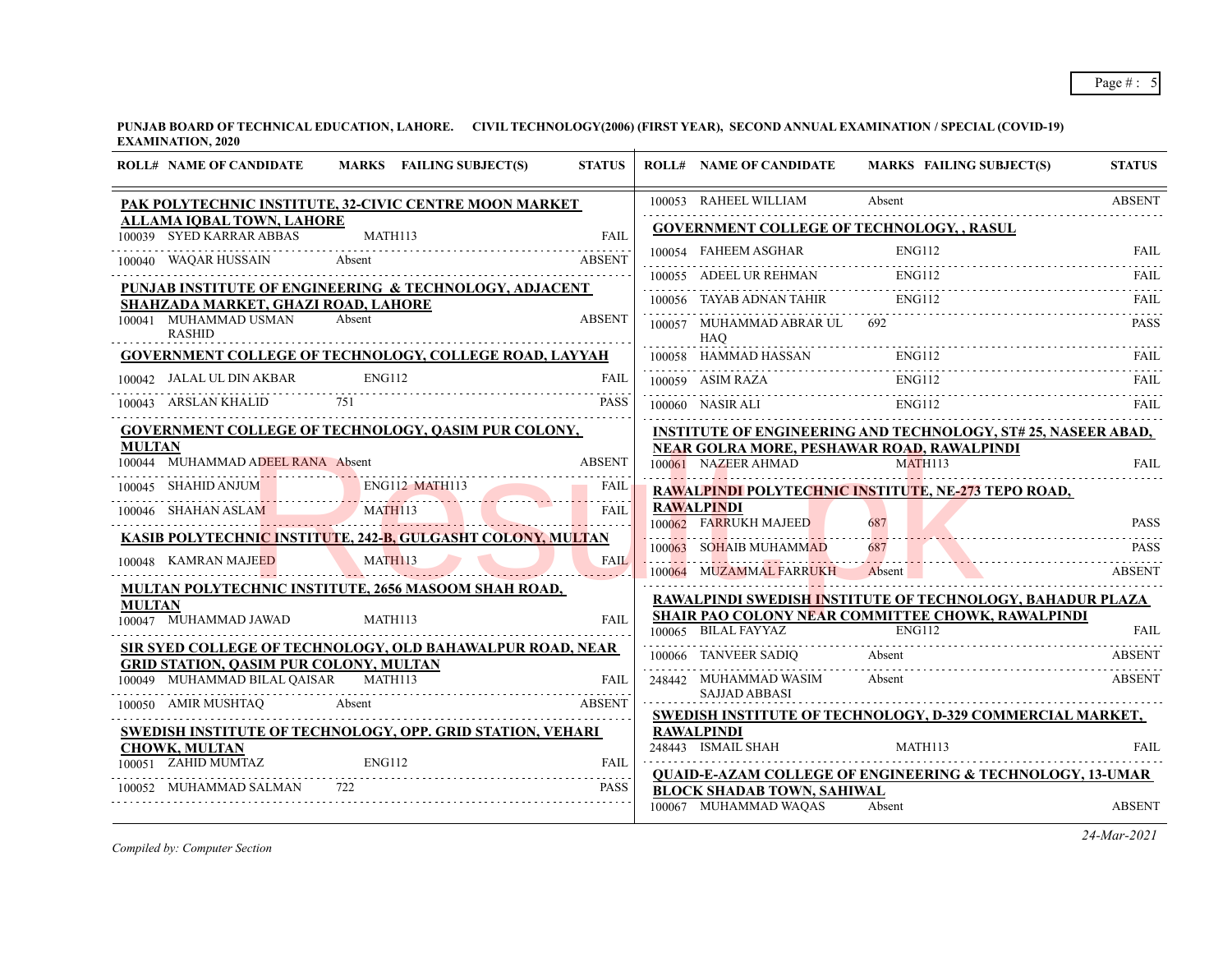**PUNJAB BOARD OF TECHNICAL EDUCATION, LAHORE. CIVIL TECHNOLOGY(2006) (FIRST YEAR), SECOND ANNUAL EXAMINATION / SPECIAL (COVID-19) EXAMINATION, 2020**

|               | <b>ROLL# NAME OF CANDIDATE</b>                                                |               | MARKS FAILING SUBJECT(S)                                      | <b>STATUS</b> | <b>ROLL# NAME OF CANDIDATE</b>                             | MARKS FAILING SUBJECT(S)                                                                                                      | <b>STATUS</b>                |
|---------------|-------------------------------------------------------------------------------|---------------|---------------------------------------------------------------|---------------|------------------------------------------------------------|-------------------------------------------------------------------------------------------------------------------------------|------------------------------|
|               |                                                                               |               | PAK POLYTECHNIC INSTITUTE, 32-CIVIC CENTRE MOON MARKET        |               | 100053 RAHEEL WILLIAM                                      | Absent                                                                                                                        | <b>ABSENT</b>                |
|               | ALLAMA IQBAL TOWN, LAHORE<br>100039 SYED KARRAR ABBAS                         |               | MATH113                                                       | <b>FAIL</b>   |                                                            | <b>GOVERNMENT COLLEGE OF TECHNOLOGY, , RASUL</b>                                                                              |                              |
|               |                                                                               |               |                                                               |               |                                                            | 100054 FAHEEM ASGHAR ENG112 FAIL FAIL                                                                                         |                              |
|               | 100040 WAQAR HUSSAIN                                                          |               | Absent                                                        | <b>ABSENT</b> |                                                            | 100055 ADEEL UR REHMAN ENGI12 FAIL FAIL                                                                                       |                              |
|               |                                                                               |               | PUNJAB INSTITUTE OF ENGINEERING & TECHNOLOGY, ADJACENT        |               | 100056 TAYAB ADNAN TAHIR                                   | <b>ENG112</b>                                                                                                                 |                              |
|               | SHAHZADA MARKET, GHAZI ROAD, LAHORE<br>100041 MUHAMMAD USMAN<br><b>RASHID</b> | Absent        |                                                               | <b>ABSENT</b> | 100057 MUHAMMAD ABRAR UL<br><b>HAO</b>                     |                                                                                                                               | <b>PASS</b>                  |
|               |                                                                               |               | <b>GOVERNMENT COLLEGE OF TECHNOLOGY, COLLEGE ROAD, LAYYAH</b> |               | 100058 HAMMAD HASSAN                                       | ENG112                                                                                                                        | -FAIL                        |
|               | 100042 JALAL UL DIN AKBAR                                                     | <b>ENG112</b> |                                                               | FAIL          | 100059 ASIM RAZA                                           | <b>ENG112</b>                                                                                                                 | FAIL.                        |
|               | 100043 ARSLAN KHALID 751                                                      |               |                                                               | <b>PASS</b>   | 100060 NASIR ALI                                           | ENG112                                                                                                                        |                              |
| <b>MULTAN</b> | 100044 MUHAMMAD ADEEL RANA Absent                                             |               | <b>GOVERNMENT COLLEGE OF TECHNOLOGY, QASIM PUR COLONY,</b>    | <b>ABSENT</b> | 100061 NAZEER AHMAD                                        | <b>INSTITUTE OF ENGINEERING AND TECHNOLOGY, ST# 25, NASEER ABAD,</b><br>NEAR GOLRA MORE, PESHAWAR ROAD, RAWALPINDI<br>MATH113 | <b>FAIL</b>                  |
|               | 100045 SHAHID ANJUM ENG112 MATH113                                            |               |                                                               | FAIL          |                                                            | RAWALPINDI POLYTECHNIC INSTITUTE, NE-273 TEPO ROAD,                                                                           |                              |
|               | 100046 SHAHAN ASLAM MATH113                                                   |               |                                                               | FAII          | <b>RAWALPINDI</b>                                          |                                                                                                                               |                              |
|               |                                                                               |               | KASIB POLYTECHNIC INSTITUTE, 242-B, GULGASHT COLONY, MULTAN   |               | 100062 FARRUKH MAJEED                                      | 687                                                                                                                           | <b>PASS</b>                  |
|               | 100048 KAMRAN MAJEED                                                          | MATH113       |                                                               | <b>FAIL</b>   | 100063 SOHAIB MUHAMMAD<br>100064 MUZAMMAL FARRUKH          | 687<br>Absent                                                                                                                 | <b>PASS</b><br><b>ABSENT</b> |
|               |                                                                               |               | MULTAN POLYTECHNIC INSTITUTE, 2656 MASOOM SHAH ROAD,          |               |                                                            | <b>RAWALPINDI SWEDISH INSTITUTE OF TECHNOLOGY, BAHADUR PLAZA</b>                                                              |                              |
| <b>MULTAN</b> | 100047 MUHAMMAD JAWAD                                                         | MATH113       |                                                               | <b>FAIL</b>   |                                                            | <b>SHAIR PAO COLONY NEAR COMMITTEE CHOWK, RAWALPINDI</b>                                                                      |                              |
|               |                                                                               |               |                                                               |               | 100065 BILAL FAYYAZ ENG112                                 |                                                                                                                               | FAII.                        |
|               | <b>GRID STATION, QASIM PUR COLONY, MULTAN</b>                                 |               | SIR SYED COLLEGE OF TECHNOLOGY, OLD BAHAWALPUR ROAD, NEAR     |               | 100066 TANVEER SADIQ                                       | Absent                                                                                                                        | ABSENT                       |
|               | 100049 MUHAMMAD BILAL QAISAR MATH113                                          |               |                                                               | FAIL          | 248442 MUHAMMAD WASIM<br><b>SAJJAD ABBASI</b>              | Absent                                                                                                                        | <b>ABSENT</b>                |
|               |                                                                               |               | 100050 AMIR MUSHTAQ Absent                                    | <b>ABSENT</b> |                                                            | SWEDISH INSTITUTE OF TECHNOLOGY, D-329 COMMERCIAL MARKET,                                                                     |                              |
|               |                                                                               |               | SWEDISH INSTITUTE OF TECHNOLOGY, OPP. GRID STATION, VEHARI    |               | <b>RAWALPINDI</b>                                          |                                                                                                                               |                              |
|               | <b>CHOWK, MULTAN</b><br>100051 ZAHID MUMTAZ                                   | ENG112        |                                                               | <b>FAIL</b>   | 248443 ISMAIL SHAH                                         | MATH113                                                                                                                       | FAII.                        |
|               |                                                                               |               |                                                               |               |                                                            | <b>OUAID-E-AZAM COLLEGE OF ENGINEERING &amp; TECHNOLOGY, 13-UMAR</b>                                                          |                              |
|               | 100052 MUHAMMAD SALMAN                                                        |               |                                                               | PASS          | <b>BLOCK SHADAB TOWN, SAHIWAL</b><br>100067 MUHAMMAD WAQAS | Absent                                                                                                                        | <b>ABSENT</b>                |

*Compiled by: Computer Section*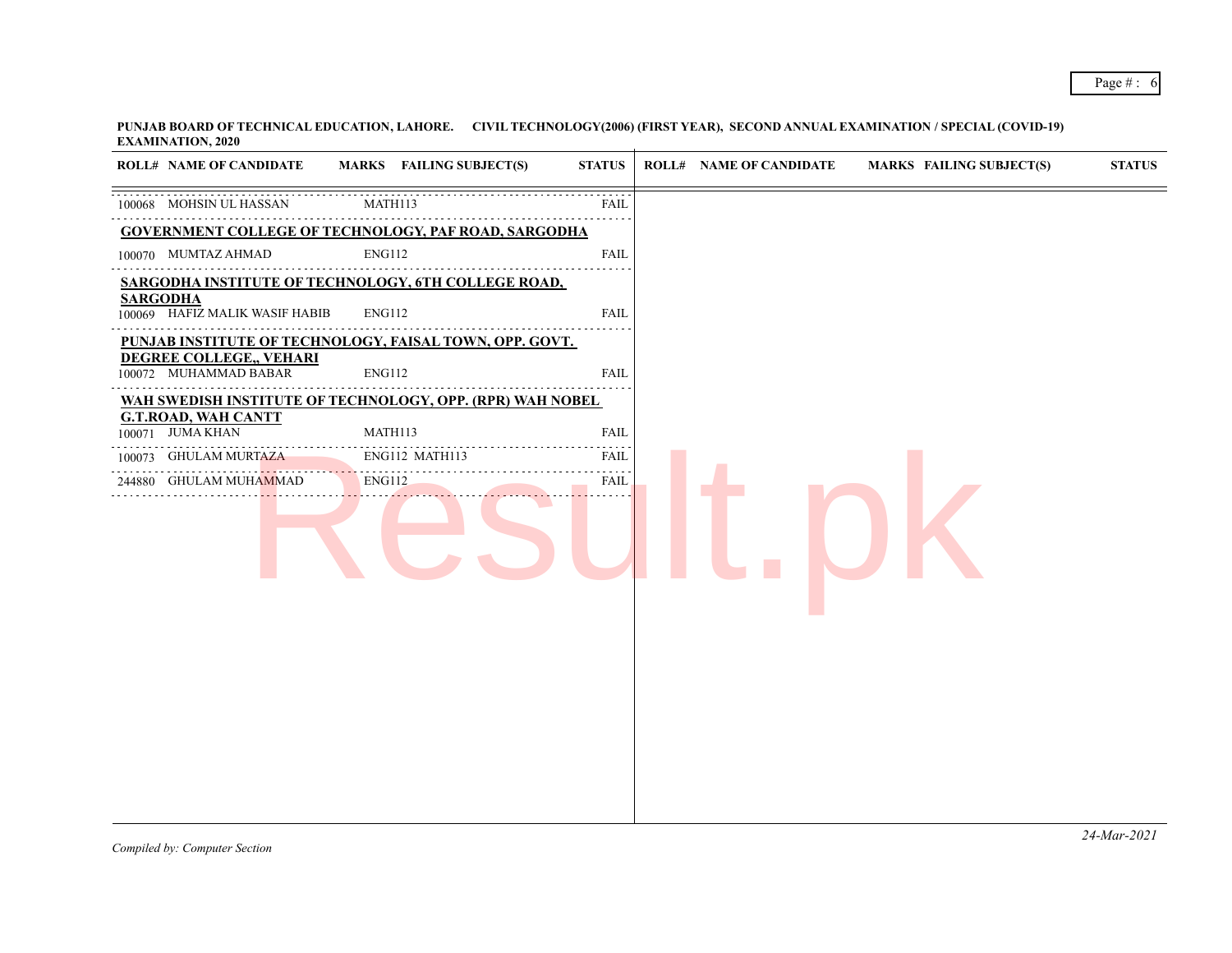**PUNJAB BOARD OF TECHNICAL EDUCATION, LAHORE. CIVIL TECHNOLOGY(2006) (FIRST YEAR), SECOND ANNUAL EXAMINATION / SPECIAL (COVID-19) EXAMINATION, 2020**

| <b>ROLL# NAME OF CANDIDATE</b>                    | MARKS FAILING SUBJECT(S)                                    | <b>STATUS</b> | <b>ROLL# NAME OF CANDIDATE</b> | <b>MARKS FAILING SUBJECT(S)</b> | <b>STATUS</b> |
|---------------------------------------------------|-------------------------------------------------------------|---------------|--------------------------------|---------------------------------|---------------|
| 100068 MOHSIN UL HASSAN                           | MATH113                                                     | <b>FAIL</b>   |                                |                                 |               |
|                                                   | <b>GOVERNMENT COLLEGE OF TECHNOLOGY, PAF ROAD, SARGODHA</b> |               |                                |                                 |               |
| 100070 MUMTAZ AHMAD                               | <b>ENG112</b>                                               | <b>FAIL</b>   |                                |                                 |               |
|                                                   | SARGODHA INSTITUTE OF TECHNOLOGY, 6TH COLLEGE ROAD,         |               |                                |                                 |               |
| <b>SARGODHA</b><br>100069 HAFIZ MALIK WASIF HABIB | <b>ENG112</b>                                               | <b>FAIL</b>   |                                |                                 |               |
|                                                   | PUNJAB INSTITUTE OF TECHNOLOGY, FAISAL TOWN, OPP. GOVT.     |               |                                |                                 |               |
| DEGREE COLLEGE,, VEHARI<br>100072 MUHAMMAD BABAR  | <b>ENG112</b>                                               | <b>FAIL</b>   |                                |                                 |               |
|                                                   | WAH SWEDISH INSTITUTE OF TECHNOLOGY, OPP. (RPR) WAH NOBEL   |               |                                |                                 |               |
| <b>G.T.ROAD, WAH CANTT</b><br>100071 JUMA KHAN    | MATH113                                                     | <b>FAIL</b>   |                                |                                 |               |
| <b>GHULAM MURTAZA</b><br>100073                   | ENG112 MATH113                                              | <b>FAIL</b>   |                                |                                 |               |
| 244880 GHULAM MUHAMMAD                            | ENG112                                                      | FAIL          |                                |                                 |               |
|                                                   |                                                             |               |                                |                                 |               |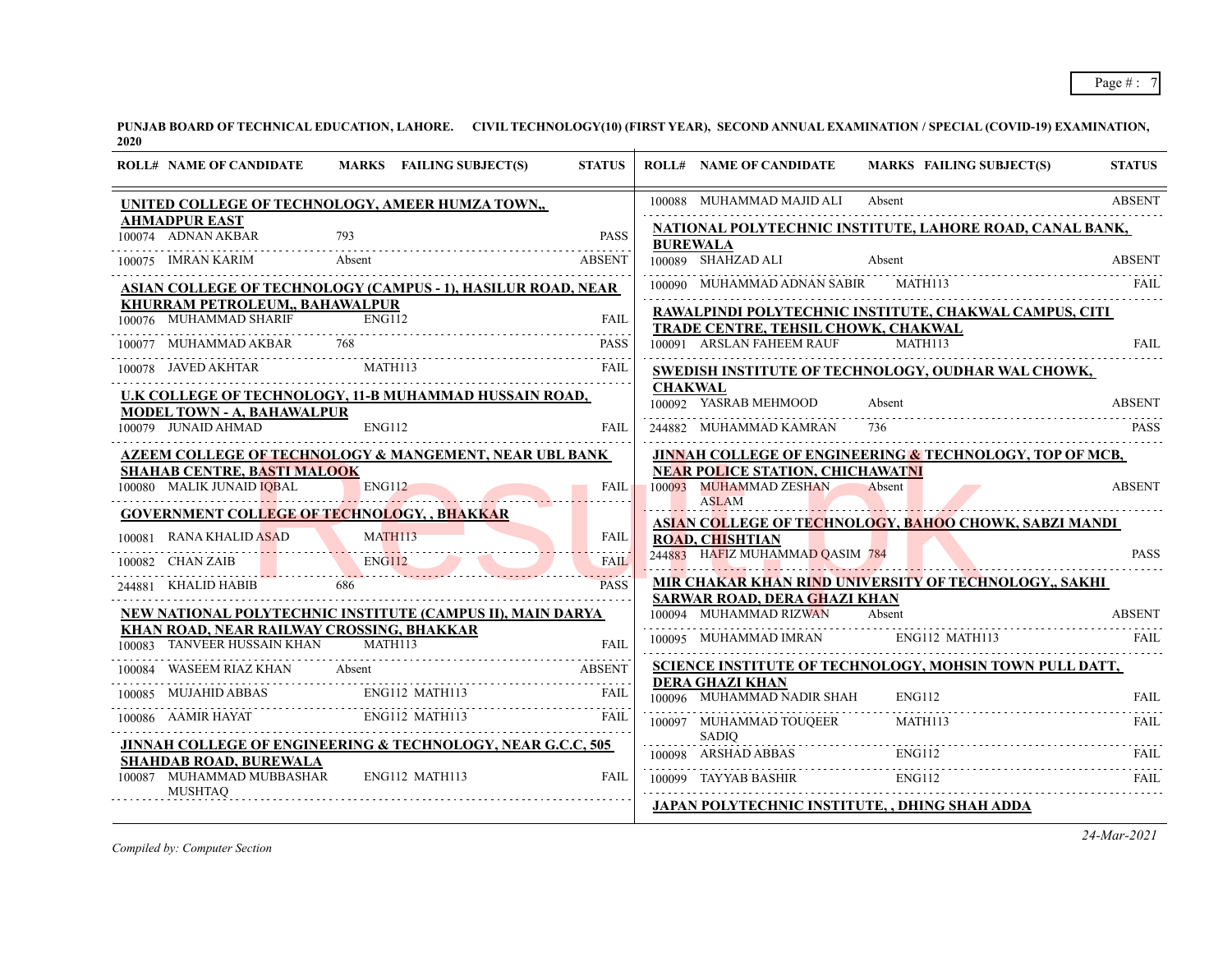| <b>ROLL# NAME OF CANDIDATE</b>                                           | MARKS FAILING SUBJECT(S)                                                                                                                                                                                        | <b>STATUS</b> |                | <b>ROLL# NAME OF CANDIDATE</b>                       | <b>MARKS FAILING SUBJECT(S)</b>                                                                                                                           | <b>STATUS</b> |
|--------------------------------------------------------------------------|-----------------------------------------------------------------------------------------------------------------------------------------------------------------------------------------------------------------|---------------|----------------|------------------------------------------------------|-----------------------------------------------------------------------------------------------------------------------------------------------------------|---------------|
|                                                                          | UNITED COLLEGE OF TECHNOLOGY, AMEER HUMZA TOWN,,                                                                                                                                                                |               |                | 100088 MUHAMMAD MAJID ALI                            | Absent                                                                                                                                                    | <b>ABSENT</b> |
| <b>AHMADPUR EAST</b><br>100074 ADNAN AKBAR                               |                                                                                                                                                                                                                 | PASS          |                | <b>BUREWALA</b>                                      | NATIONAL POLYTECHNIC INSTITUTE, LAHORE ROAD, CANAL BANK,                                                                                                  |               |
| 100075 IMRAN KARIM                                                       | Absent                                                                                                                                                                                                          | <b>ABSENT</b> |                | 100089 SHAHZAD ALI                                   | Absent                                                                                                                                                    | <b>ABSENT</b> |
|                                                                          | ASIAN COLLEGE OF TECHNOLOGY (CAMPUS - 1), HASILUR ROAD, NEAR                                                                                                                                                    |               |                | 100090 MUHAMMAD ADNAN SABIR MATH113                  |                                                                                                                                                           | FAIL          |
| KHURRAM PETROLEUM,, BAHAWALPUR<br>100076 MUHAMMAD SHARIF                 | <b>ENG112</b>                                                                                                                                                                                                   | <b>FAIL</b>   |                | TRADE CENTRE, TEHSIL CHOWK, CHAKWAL                  | RAWALPINDI POLYTECHNIC INSTITUTE, CHAKWAL CAMPUS, CITI                                                                                                    |               |
| 100077 MUHAMMAD AKBAR                                                    | 768                                                                                                                                                                                                             | <b>PASS</b>   |                | 100091 ARSLAN FAHEEM RAUF                            | $\overline{M}$ ATH113                                                                                                                                     | <b>FAIL</b>   |
| 100078 JAVED AKHTAR                                                      | <b>MATH113</b>                                                                                                                                                                                                  | <b>FAIL</b>   |                |                                                      | SWEDISH INSTITUTE OF TECHNOLOGY, OUDHAR WAL CHOWK,                                                                                                        |               |
| <b>MODEL TOWN - A, BAHAWALPUR</b>                                        | <u>U.K COLLEGE OF TECHNOLOGY, 11-B MUHAMMAD HUSSAIN ROAD,</u>                                                                                                                                                   |               | <b>CHAKWAL</b> | 100092 YASRAB MEHMOOD                                | Absent                                                                                                                                                    | <b>ABSENT</b> |
| 100079 JUNAID AHMAD                                                      | ENG112                                                                                                                                                                                                          | <b>FAIL</b>   |                | 244882 MUHAMMAD KAMRAN                               |                                                                                                                                                           | <b>PASS</b>   |
| <b>SHAHAB CENTRE, BASTI MALOOK</b>                                       | <b>AZEEM COLLEGE OF TECHNOLOGY &amp; MANGEMENT, NEAR UBL BANK</b>                                                                                                                                               |               |                | <b>NEAR POLICE STATION, CHICHAWATNI</b>              | <b>JINNAH COLLEGE OF ENGINEERING &amp; TECHNOLOGY, TOP OF MCB,</b>                                                                                        |               |
| 100080 MALIK JUNAID IQBAL                                                | <b>ENG112</b>                                                                                                                                                                                                   | FAIL          |                | 100093 MUHAMMAD ZESHAN<br><b>ASLAM</b>               | Absent                                                                                                                                                    | <b>ABSENT</b> |
| <b>GOVERNMENT COLLEGE OF TECHNOLOGY, , BHAKKAR</b>                       |                                                                                                                                                                                                                 |               |                |                                                      | ASIAN COLLEGE OF TECHNOLOGY, BAHOO CHOWK, SABZI MANDI                                                                                                     |               |
| 00081 RANA KHALID ASAD MATH113<br>100081 RANA KHALID ASAD                |                                                                                                                                                                                                                 | <b>FAIL</b>   |                | <b>ROAD, CHISHTIAN</b>                               |                                                                                                                                                           |               |
| 100082 CHAN ZAIB                                                         |                                                                                                                                                                                                                 | <b>FAIL</b>   |                | 244883 HAFIZ MUHAMMAD QASIM 784                      |                                                                                                                                                           | <b>PASS</b>   |
| 244881 KHALID HABIB                                                      | 686                                                                                                                                                                                                             | <b>PASS</b>   |                | <b>SARWAR ROAD, DERA GHAZI KHAN</b>                  | <u>MIR CHAKAR KHAN RIND UNIVERSITY OF TECHNOLOGY,, SAKHI</u>                                                                                              |               |
|                                                                          | NEW NATIONAL POLYTECHNIC INSTITUTE (CAMPUS II), MAIN DARYA                                                                                                                                                      |               |                | 100094 MUHAMMAD RIZWAN Absent                        |                                                                                                                                                           | <b>ABSENT</b> |
| KHAN ROAD, NEAR RAILWAY CROSSING, BHAKKAR<br>100083 TANVEER HUSSAIN KHAN | MATH113                                                                                                                                                                                                         | <b>FAIL</b>   |                |                                                      | 100095 MUHAMMAD IMRAN ENG112 MATH113                                                                                                                      | <b>FAIL</b>   |
| 100084                                                                   | WASEEM RIAZ KHAN Absent ABSENT ABSENT                                                                                                                                                                           |               |                |                                                      | SCIENCE INSTITUTE OF TECHNOLOGY, MOHSIN TOWN PULL DATT,                                                                                                   |               |
|                                                                          |                                                                                                                                                                                                                 |               |                | <b>DERA GHAZI KHAN</b><br>100096 MUHAMMAD NADIR SHAH | ENG112                                                                                                                                                    | <b>FAIL</b>   |
|                                                                          | $\begin{tabular}{lllllllllllll} \hline 100085 & \text{MUIAHID ABBAS} & \text{ENG112 MATH113} & \text{FAIL} \\ \hline 100086 & \text{AAMIR HAYAT} & \text{ENG112 MATH113} & \text{FAIL} \\ \hline \end{tabular}$ |               |                | 100097 MUHAMMAD TOUQEER MATH113                      |                                                                                                                                                           | FAIL          |
| <b>SHAHDAB ROAD, BUREWALA</b>                                            | <b>JINNAH COLLEGE OF ENGINEERING &amp; TECHNOLOGY, NEAR G.C.C, 505</b>                                                                                                                                          |               |                |                                                      | SADIQ<br>100098 ARSHAD ABBAS ENGI12 FAIL<br>TALL TERM CONTRACT THE CONTRACT FOR THE CONTRACT TERM CONTRACT TERM CONTRACT TERM CONTRACT TERM CONTRACT TERM |               |
| 100087 MUHAMMAD MUBBASHAR<br><b>MUSHTAO</b>                              | ENG112 MATH113                                                                                                                                                                                                  | <b>FAIL</b>   |                | 100099 TAYYAB BASHIR                                 | <b>ENG112</b>                                                                                                                                             | FAIL          |
|                                                                          |                                                                                                                                                                                                                 |               |                |                                                      | <b>JAPAN POLYTECHNIC INSTITUTE, , DHING SHAH ADDA</b>                                                                                                     |               |

*Compiled by: Computer Section*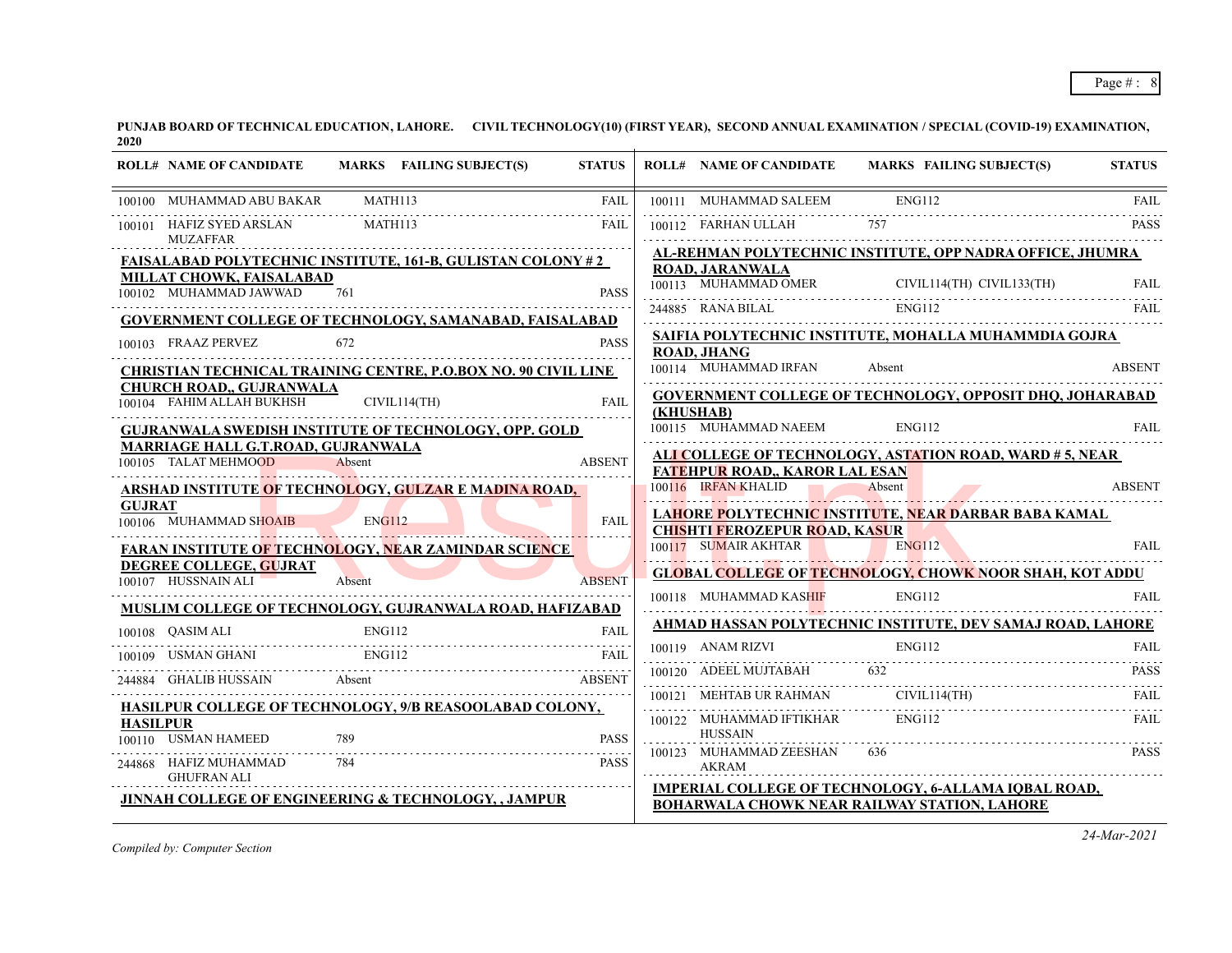| <b>ROLL# NAME OF CANDIDATE</b>                                    |               | MARKS FAILING SUBJECT(S) | <b>STATUS</b> | <b>ROLL# NAME OF CANDIDATE</b>             | MARKS FAILING SUBJECT(S)                                                                                                                                             | <b>STATUS</b> |
|-------------------------------------------------------------------|---------------|--------------------------|---------------|--------------------------------------------|----------------------------------------------------------------------------------------------------------------------------------------------------------------------|---------------|
| 100100 MUHAMMAD ABU BAKAR MATH113                                 |               |                          | <b>FAIL</b>   | 100111 MUHAMMAD SALEEM                     | <b>ENG112</b>                                                                                                                                                        | <b>FAIL</b>   |
| 100101 HAFIZ SYED ARSLAN<br>MUZAFFAR                              | MATH113       |                          | <b>FAIL</b>   | 100112 FARHAN ULLAH                        |                                                                                                                                                                      |               |
| <b>FAISALABAD POLYTECHNIC INSTITUTE, 161-B, GULISTAN COLONY#2</b> |               |                          |               |                                            | AL-REHMAN POLYTECHNIC INSTITUTE, OPP NADRA OFFICE, JHUMRA                                                                                                            |               |
| MILLAT CHOWK, FAISALABAD<br>100102 MUHAMMAD JAWWAD                | 761           |                          | <b>PASS</b>   | <b>ROAD, JARANWALA</b>                     | $\begin{tabular}{llllllll} \hline 100113 & MUHAMMAD OMER & CIVIL114(TH) & CIVIL133(TH) & FAIL \\ \hline 244885 & RANA BILAL & ENG112 & FAIL \\ \hline \end{tabular}$ |               |
| <b>GOVERNMENT COLLEGE OF TECHNOLOGY, SAMANABAD, FAISALABAD</b>    |               |                          |               |                                            |                                                                                                                                                                      |               |
| 100103 FRAAZ PERVEZ                                               | 672           |                          | <b>PASS</b>   | <b>ROAD, JHANG</b>                         | SAIFIA POLYTECHNIC INSTITUTE, MOHALLA MUHAMMDIA GOJRA                                                                                                                |               |
| CHRISTIAN TECHNICAL TRAINING CENTRE, P.O.BOX NO. 90 CIVIL LINE    |               |                          |               | 100114 MUHAMMAD IRFAN                      | Absent                                                                                                                                                               | <b>ABSENT</b> |
| <b>CHURCH ROAD,, GUJRANWALA</b><br>100104 FAHIM ALLAH BUKHSH      |               | CIVIL114(TH)             | <b>FAIL</b>   | (KHUSHAB)                                  | <b>GOVERNMENT COLLEGE OF TECHNOLOGY, OPPOSIT DHQ, JOHARABAD</b>                                                                                                      |               |
| <b>GUJRANWALA SWEDISH INSTITUTE OF TECHNOLOGY, OPP. GOLD</b>      |               |                          |               | 100115 MUHAMMAD NAEEM                      | ENG112                                                                                                                                                               | <b>FAIL</b>   |
| <b>MARRIAGE HALL G.T.ROAD, GUJRANWALA</b><br>100105 TALAT MEHMOOD | Absent        |                          | <b>ABSENT</b> | <b>FATEHPUR ROAD., KAROR LAL ESAN</b>      | <b>ALI COLLEGE OF TECHNOLOGY, ASTATION ROAD, WARD #5, NEAR</b>                                                                                                       |               |
| <b>ARSHAD INSTITUTE OF TECHNOLOGY, GULZAR E MADINA ROAD,</b>      |               |                          |               | 100116 IRFAN KHALID                        | Absent<br>100116 IRFAN KHALID Absent Absent ABSEN 1                                                                                                                  | <b>ABSENT</b> |
| <b>GUJRAT</b><br>100106 MUHAMMAD SHOAIB                           | <b>ENG112</b> |                          | <b>FAIL</b>   | <b>CHISHTI FEROZEPUR ROAD, KASUR</b>       | LAHORE POLYTECHNIC INSTITUTE, NEAR DARBAR BABA KAMAL                                                                                                                 |               |
| <b>FARAN INSTITUTE OF TECHNOLOGY, NEAR ZAMINDAR SCIENCE</b>       |               |                          |               | 100117 SUMAIR AKHTAR                       | <b>ENG112</b>                                                                                                                                                        | <b>FAIL</b>   |
| DEGREE COLLEGE, GUJRAT<br>100107 HUSSNAIN ALI                     | Absent        |                          | <b>ABSENT</b> |                                            | <b>GLOBAL COLLEGE OF TECHNOLOGY, CHOWK NOOR SHAH, KOT ADDU</b>                                                                                                       |               |
| MUSLIM COLLEGE OF TECHNOLOGY, GUJRANWALA ROAD, HAFIZABAD          |               |                          |               | 100118 MUHAMMAD KASHIF                     | <b>ENG112</b>                                                                                                                                                        | FAIL.         |
| 100108 QASIM ALI                                                  | ENG112        |                          | <b>FAIL</b>   |                                            | AHMAD HASSAN POLYTECHNIC INSTITUTE, DEV SAMAJ ROAD, LAHORE                                                                                                           |               |
| 100109 USMAN GHANI                                                | ENG112        |                          |               | 100119 ANAM RIZVI                          | ENG112                                                                                                                                                               | <b>FAIL</b>   |
| 244884 GHALIB HUSSAIN Absent                                      |               |                          | <b>ABSENT</b> | 100120 ADEEL MUJTABAH 632                  |                                                                                                                                                                      | <b>PASS</b>   |
| HASILPUR COLLEGE OF TECHNOLOGY, 9/B REASOOLABAD COLONY,           |               |                          |               | 100121 MEHTAB UR RAHMAN                    | CIVIL114(TH)                                                                                                                                                         | FAIL.         |
| <b>HASILPUR</b><br>100110 USMAN HAMEED                            | 789           |                          | <b>PASS</b>   | 100122 MUHAMMAD IFTIKHAR<br><b>HUSSAIN</b> | <b>ENG112</b>                                                                                                                                                        | FAIL          |
| 244868 HAFIZ MUHAMMAD<br><b>GHUFRAN ALI</b>                       | 784           |                          | <b>PASS</b>   | 100123 MUHAMMAD ZEESHAN<br><b>AKRAM</b>    | 636                                                                                                                                                                  | <b>PASS</b>   |
| <b>JINNAH COLLEGE OF ENGINEERING &amp; TECHNOLOGY, , JAMPUR</b>   |               |                          |               |                                            | <b>IMPERIAL COLLEGE OF TECHNOLOGY, 6-ALLAMA IQBAL ROAD,</b><br><b>BOHARWALA CHOWK NEAR RAILWAY STATION, LAHORE</b>                                                   |               |

*Compiled by: Computer Section*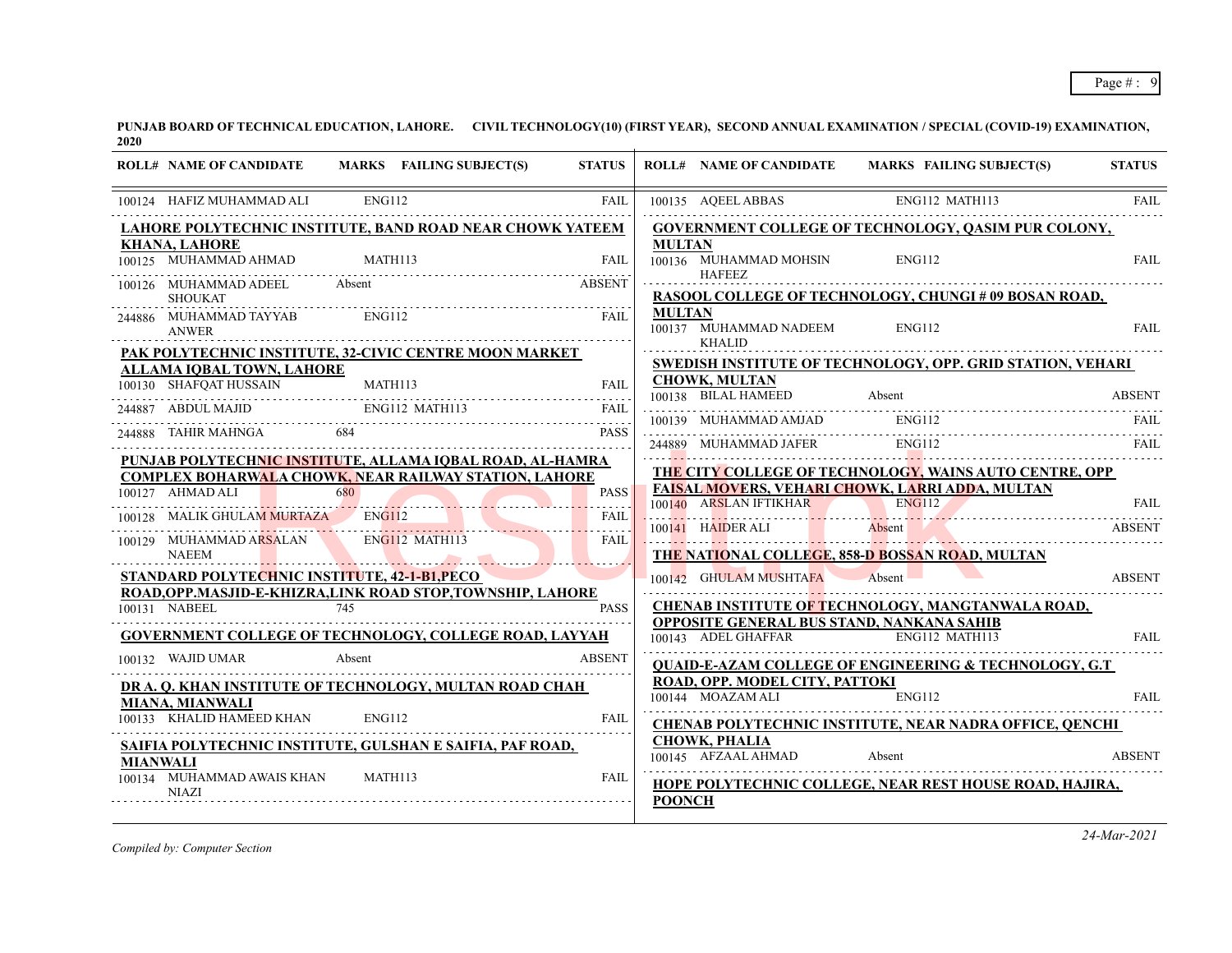| <b>ROLL# NAME OF CANDIDATE</b>                                                    |               | MARKS FAILING SUBJECT(S)                 | <b>STATUS</b>    |               |                                             | ROLL# NAME OF CANDIDATE MARKS FAILING SUBJECT(S)                                                 | <b>STATUS</b> |
|-----------------------------------------------------------------------------------|---------------|------------------------------------------|------------------|---------------|---------------------------------------------|--------------------------------------------------------------------------------------------------|---------------|
| 100124 HAFIZ MUHAMMAD ALI                                                         | <b>ENG112</b> |                                          | <b>FAIL</b>      |               | 100135 AQEEL ABBAS                          | ENG112 MATH113                                                                                   | <b>FAIL</b>   |
| LAHORE POLYTECHNIC INSTITUTE, BAND ROAD NEAR CHOWK YATEEM                         |               |                                          |                  |               |                                             | <b>GOVERNMENT COLLEGE OF TECHNOLOGY, QASIM PUR COLONY,</b>                                       |               |
| <b>KHANA, LAHORE</b>                                                              |               |                                          |                  | <b>MULTAN</b> |                                             |                                                                                                  |               |
| 100125 MUHAMMAD AHMAD                                                             | MATH113       |                                          | <b>FAIL</b>      |               | 100136 MUHAMMAD MOHSIN                      | <b>ENG112</b>                                                                                    | <b>FAIL</b>   |
| 100126 MUHAMMAD ADEEL<br><b>SHOUKAT</b>                                           | Absent        |                                          | <b>ABSENT</b>    |               | <b>HAFEEZ</b>                               | RASOOL COLLEGE OF TECHNOLOGY, CHUNGI # 09 BOSAN ROAD,                                            |               |
| 244886 MUHAMMAD TAYYAB<br><b>ANWER</b>                                            | ENG112        |                                          | <b>FAIL</b>      | <b>MULTAN</b> | 100137 MUHAMMAD NADEEM                      | ENG112                                                                                           | <b>FAIL</b>   |
| PAK POLYTECHNIC INSTITUTE, 32-CIVIC CENTRE MOON MARKET                            |               |                                          |                  |               | <b>KHALID</b>                               |                                                                                                  |               |
| <b>ALLAMA IQBAL TOWN, LAHORE</b>                                                  |               |                                          |                  |               |                                             | <b>SWEDISH INSTITUTE OF TECHNOLOGY, OPP. GRID STATION, VEHARI</b>                                |               |
| 100130 SHAFQAT HUSSAIN                                                            | MATH113       |                                          | <b>FAIL</b>      |               | <b>CHOWK, MULTAN</b>                        |                                                                                                  |               |
| 244887 ABDUL MAJID                                                                |               | ENG112 MATH113                           | <b>FAIL</b>      |               | 100139 MUHAMMAD AMJAD                       | 100138 BILAL HAMEED Absent ABSENT<br><b>ENG112</b>                                               |               |
| 244888 TAHIR MAHNGA                                                               |               |                                          | <b>PASS</b>      |               |                                             | 244889 MUHAMMAD JAFER ENGI12                                                                     |               |
| PUNJAB POLYTECHNIC INSTITUTE, ALLAMA IQBAL ROAD, AL-HAMRA                         |               |                                          |                  |               |                                             | THE CITY COLLEGE OF TECHNOLOGY, WAINS AUTO CENTRE, OPP                                           |               |
| <b>COMPLEX BOHARWALA CHOWK, NEAR RAILWAY STATION, LAHORE</b>                      |               |                                          |                  |               |                                             | <b>FAISAL MOVERS, VEHARI CHOWK, LARRI ADDA, MULTAN</b>                                           |               |
| 100127 AHMAD ALI                                                                  |               | $\frac{1 \text{MAD ALI}}{680}$           | <b>PASS</b><br>. |               |                                             | 100140 ARSLAN IFTIKHAR ENGI12 FAIL FAIL                                                          |               |
| 100128 MALIK GHULAM MURTAZA ENG112                                                |               |                                          | <b>FAIL</b>      |               |                                             |                                                                                                  |               |
| 100129 MUHAMMAD ARSALAN ENGI12 MATH113<br><b>NAEEM</b>                            |               | <u> El Branch Maria (Branch Maria) e</u> | <b>FAIL</b>      |               |                                             | 100141 HAIDER ALI Absent ABSENT ABSENT<br><b>THE NATIONAL COLLEGE, 858-D BOSSAN ROAD, MULTAN</b> |               |
| STANDARD POLYTECHNIC INSTITUTE, 42-1-B1, PECO                                     |               |                                          |                  |               | 100142 GHULAM MUSHTAFA Absent               |                                                                                                  | <b>ABSENT</b> |
| ROAD, OPP, MASJID-E-KHIZRA, LINK ROAD STOP, TOWNSHIP, LAHORE                      |               |                                          |                  |               |                                             |                                                                                                  |               |
| 100131 NABEEL 745                                                                 |               |                                          | <b>PASS</b>      |               |                                             | CHENAB INSTITUTE OF TECHNOLOGY, MANGTANWALA ROAD,                                                |               |
| GOVERNMENT COLLEGE OF TECHNOLOGY, COLLEGE ROAD, LAYYAH                            |               |                                          |                  |               |                                             | <b>OPPOSITE GENERAL BUS STAND, NANKANA SAHIB</b><br>100143 ADEL GHAFFAR ENG112 MATH113           | FAII.         |
| 100132 WAJID UMAR                                                                 | Absent        |                                          | <b>ABSENT</b>    |               |                                             | <b>QUAID-E-AZAM COLLEGE OF ENGINEERING &amp; TECHNOLOGY, G.T</b>                                 |               |
| DR A. O. KHAN INSTITUTE OF TECHNOLOGY, MULTAN ROAD CHAH<br><b>MIANA, MIANWALI</b> |               |                                          |                  |               | ROAD, OPP. MODEL CITY, PATTOKI              | 100144 MOAZAM ALI ENG112                                                                         | FAII.         |
| 100133 KHALID HAMEED KHAN                                                         | ENG112        |                                          | <b>FAIL</b>      |               |                                             | CHENAB POLYTECHNIC INSTITUTE, NEAR NADRA OFFICE, QENCHI                                          |               |
| SAIFIA POLYTECHNIC INSTITUTE, GULSHAN E SAIFIA, PAF ROAD,                         |               |                                          |                  |               | CHOWK, PHALIA<br>100145 AFZAAL AHMAD Absent |                                                                                                  | <b>ABSENT</b> |
| <b>MIANWALI</b><br>100134 MUHAMMAD AWAIS KHAN<br><b>NIAZI</b>                     | MATH113       |                                          | <b>FAIL</b>      | <b>POONCH</b> |                                             | <b>HOPE POLYTECHNIC COLLEGE, NEAR REST HOUSE ROAD, HAJIRA,</b>                                   |               |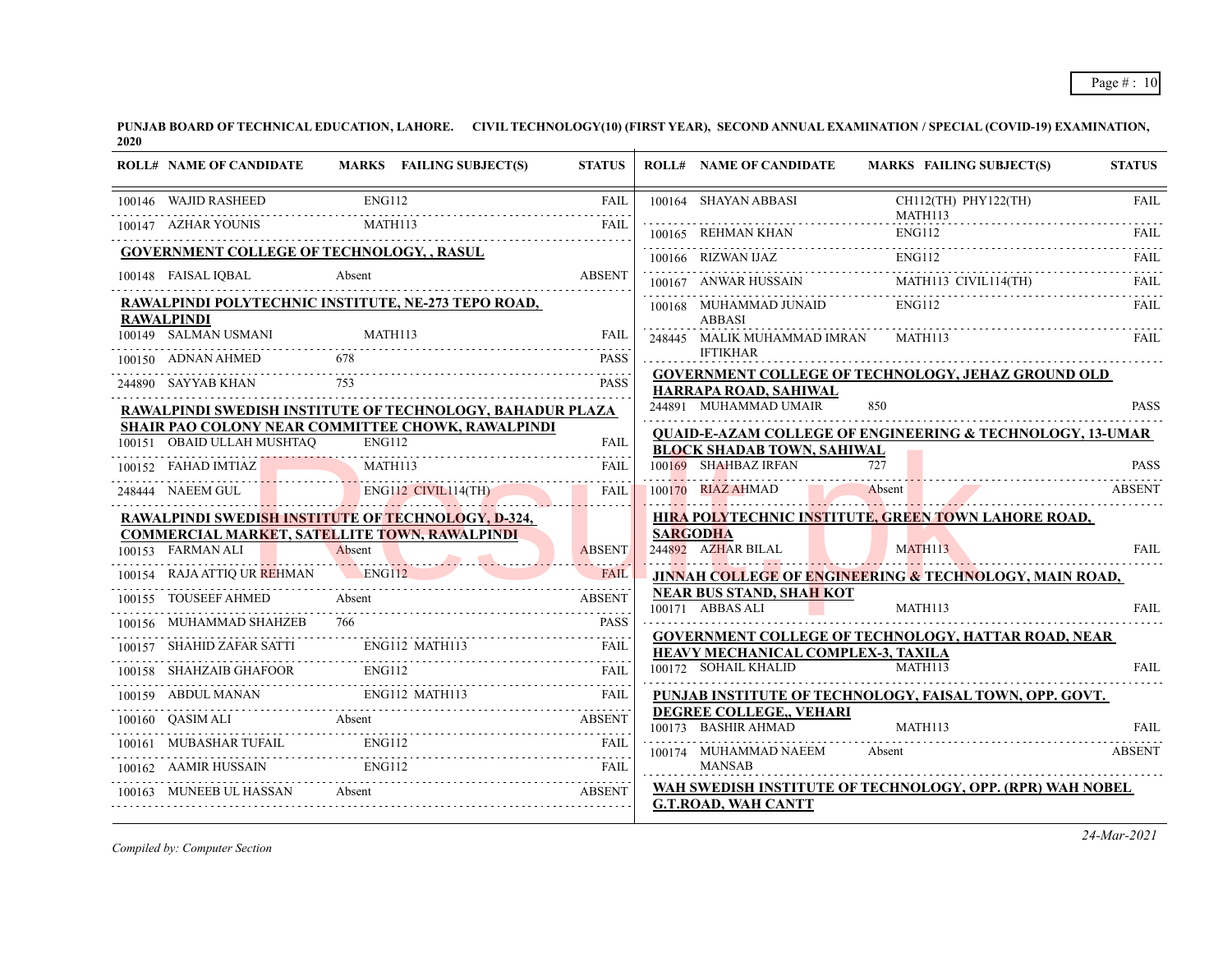| <b>ROLL# NAME OF CANDIDATE</b>                                                                                     |               | MARKS FAILING SUBJECT(S)                                  | <b>STATUS</b> |                 | <b>ROLL# NAME OF CANDIDATE</b>                                                                                                                                                                                                                             | MARKS FAILING SUBJECT(S)                                             | <b>STATUS</b> |
|--------------------------------------------------------------------------------------------------------------------|---------------|-----------------------------------------------------------|---------------|-----------------|------------------------------------------------------------------------------------------------------------------------------------------------------------------------------------------------------------------------------------------------------------|----------------------------------------------------------------------|---------------|
| 100146 WAJID RASHEED                                                                                               | <b>ENG112</b> |                                                           | <b>FAIL</b>   |                 | 100164 SHAYAN ABBASI                                                                                                                                                                                                                                       | CH112(TH) PHY122(TH)<br>MATH113                                      | <b>FAIL</b>   |
| 100147 AZHAR YOUNIS                                                                                                | MATH113       |                                                           | FAIL          |                 | 100165 REHMAN KHAN                                                                                                                                                                                                                                         | ENG112                                                               | FAIL.         |
| <b>GOVERNMENT COLLEGE OF TECHNOLOGY, , RASUL</b>                                                                   |               |                                                           |               |                 | 100166 RIZWAN IJAZ                                                                                                                                                                                                                                         | <b>ENG112</b>                                                        | FAIL          |
| 100148 FAISAL IQBAL                                                                                                | Absent        |                                                           | <b>ABSENT</b> |                 | 100167 ANWAR HUSSAIN                                                                                                                                                                                                                                       | MATH113 CIVIL114(TH)                                                 | FAIL          |
| RAWALPINDI POLYTECHNIC INSTITUTE, NE-273 TEPO ROAD,<br><b>RAWALPINDI</b>                                           |               |                                                           |               |                 | 100168 MUHAMMAD JUNAID<br><b>ABBASI</b>                                                                                                                                                                                                                    | <b>ENG112</b>                                                        | FAIL          |
| 100149 SALMAN USMANI MATH113                                                                                       |               |                                                           | FAIL          |                 | 248445 MALIK MUHAMMAD IMRAN                                                                                                                                                                                                                                | MATH113                                                              | FAIL          |
| 100150 ADNAN AHMED                                                                                                 |               |                                                           | <b>PASS</b>   |                 | <b>IFTIKHAR</b>                                                                                                                                                                                                                                            |                                                                      |               |
| 244890 SAYYAB KHAN                                                                                                 | 753           |                                                           | <b>PASS</b>   |                 | HARRAPA ROAD, SAHIWAL                                                                                                                                                                                                                                      | <b>GOVERNMENT COLLEGE OF TECHNOLOGY, JEHAZ GROUND OLD</b>            |               |
|                                                                                                                    |               | RAWALPINDI SWEDISH INSTITUTE OF TECHNOLOGY, BAHADUR PLAZA |               |                 | 244891 MUHAMMAD UMAIR                                                                                                                                                                                                                                      | 850                                                                  | <b>PASS</b>   |
| 100151 OBAID ULLAH MUSHTAQ                                                                                         | ENG112        | SHAIR PAO COLONY NEAR COMMITTEE CHOWK, RAWALPINDI         | FAIL          |                 |                                                                                                                                                                                                                                                            | <b>QUAID-E-AZAM COLLEGE OF ENGINEERING &amp; TECHNOLOGY, 13-UMAR</b> |               |
| 100152 FAHAD IMTIAZ                                                                                                |               |                                                           | FAIL          |                 | <b>BLOCK SHADAB TOWN, SAHIWAL</b><br>100169 SHAHBAZ IRFAN                                                                                                                                                                                                  |                                                                      | <b>PASS</b>   |
| MATHI13                                                                                                            |               |                                                           |               |                 | 100170 RIAZ AHMAD                                                                                                                                                                                                                                          | Absent                                                               | <b>ABSENT</b> |
|                                                                                                                    |               | 248444 NAEEM GUL ENG112 CIVIL114(TH) FAIL                 |               |                 |                                                                                                                                                                                                                                                            | HIRA POLYTECHNIC INSTITUTE, GREEN TOWN LAHORE ROAD,                  |               |
| <u>RAWALPINDI SWEDISH INSTITUTE OF TECHNOLOGY, D-324, </u><br><b>COMMERCIAL MARKET, SATELLITE TOWN, RAWALPINDI</b> |               |                                                           |               | <b>SARGODHA</b> |                                                                                                                                                                                                                                                            |                                                                      |               |
| 100153 FARMAN ALI Absent                                                                                           |               |                                                           | <b>ABSENT</b> |                 | 244892 AZHAR BILAL<br><u>in the second contract of the second contract of the second contract of the second contract of the second contract of the second contract of the second contract of the second contract of the second contract of the second </u> | MATH113                                                              | <b>FAIL</b>   |
| 100154 RAJA ATTIQ UR REHMAN ENG112                                                                                 |               |                                                           | <b>FAIL</b>   |                 |                                                                                                                                                                                                                                                            | JINNAH COLLEGE OF ENGINEERING & TECHNOLOGY, MAIN ROAD,               |               |
| 100155 TOUSEEF AHMED                                                                                               | Absent        |                                                           | <b>ABSENT</b> |                 | <b>NEAR BUS STAND, SHAH KOT</b><br>100171 ABBAS ALI                                                                                                                                                                                                        | MATH113                                                              | FAIL          |
| 100156 MUHAMMAD SHAHZEB                                                                                            |               |                                                           | <b>PASS</b>   |                 |                                                                                                                                                                                                                                                            | <b>GOVERNMENT COLLEGE OF TECHNOLOGY, HATTAR ROAD, NEAR</b>           |               |
| 100157 SHAHID ZAFAR SATTI ENG112 MATH113                                                                           |               |                                                           | FAIL          |                 | HEAVY MECHANICAL COMPLEX-3, TAXILA                                                                                                                                                                                                                         |                                                                      |               |
| 100158 SHAHZAIB GHAFOOR                                                                                            |               |                                                           |               |                 | 100172 SOHAIL KHALID                                                                                                                                                                                                                                       | MATH113                                                              | <b>FAIL</b>   |
|                                                                                                                    |               | ENG112 MATH113<br>100159 ABDUL MANAN ENG112 MATH113 FAIL  |               |                 |                                                                                                                                                                                                                                                            | PUNJAB INSTITUTE OF TECHNOLOGY, FAISAL TOWN, OPP. GOVT.              |               |
| 100160 QASIM ALI Absent                                                                                            |               |                                                           | <b>ABSENT</b> |                 | DEGREE COLLEGE, VEHARI<br>100173 BASHIR AHMAD                                                                                                                                                                                                              | MATH113                                                              | <b>FAIL</b>   |
|                                                                                                                    |               | 100161 MUBASHAR TUFAIL ENG112                             | FAIL          |                 | 100174 MUHAMMAD NAEEM                                                                                                                                                                                                                                      | Absent                                                               | <b>ABSENT</b> |
| 100162 AAMIR HUSSAIN                                                                                               | <b>ENG112</b> |                                                           | FAIL          |                 | <b>MANSAB</b>                                                                                                                                                                                                                                              |                                                                      |               |
| 100163 MUNEEB UL HASSAN Absent                                                                                     |               | <b>ABSENT</b>                                             |               |                 | <b>G.T.ROAD, WAH CANTT</b>                                                                                                                                                                                                                                 | WAH SWEDISH INSTITUTE OF TECHNOLOGY, OPP. (RPR) WAH NOBEL            |               |
|                                                                                                                    |               |                                                           |               |                 |                                                                                                                                                                                                                                                            |                                                                      |               |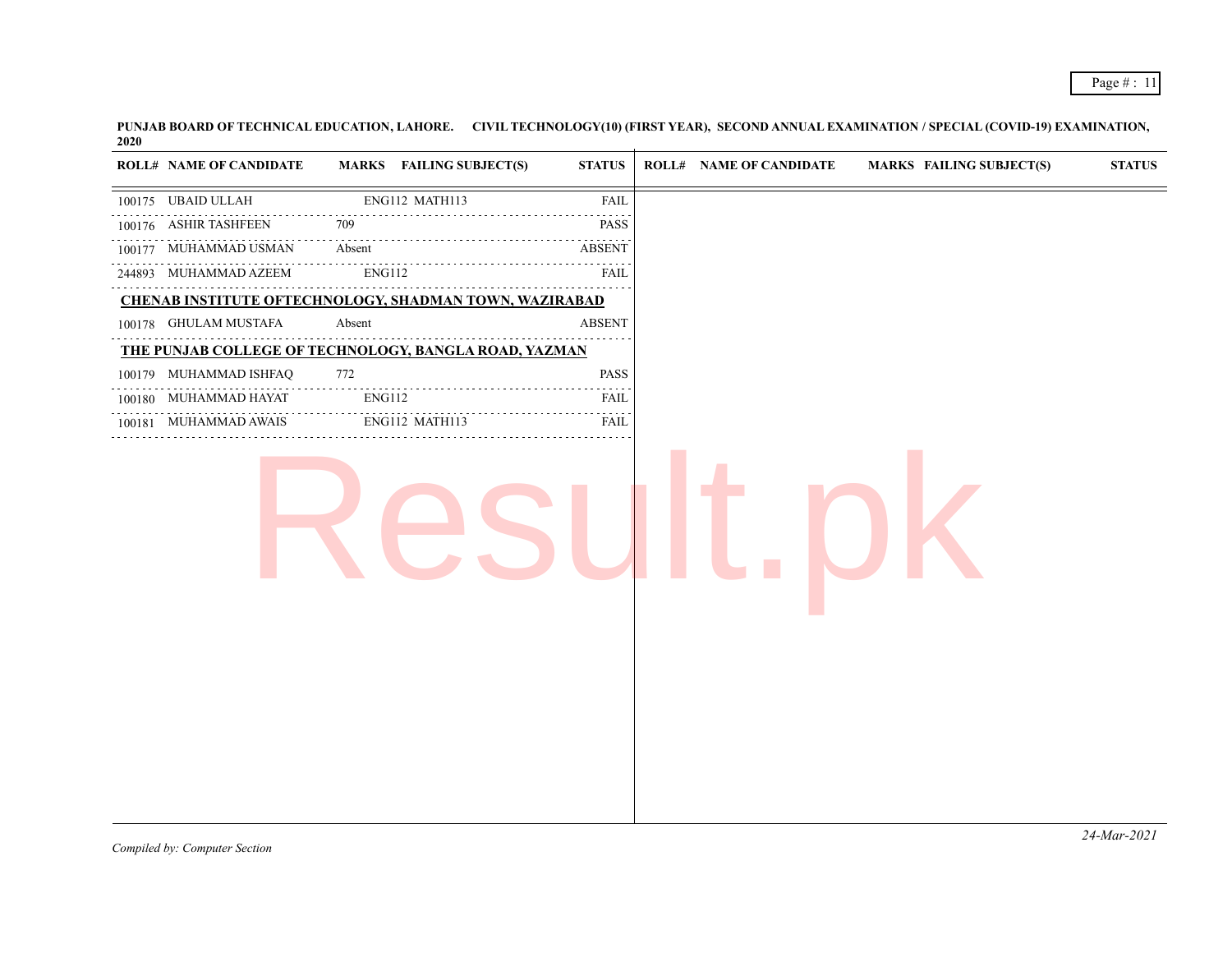| MARKS FAILING SUBJECT(S)<br><b>ROLL# NAME OF CANDIDATE</b><br><b>STATUS</b><br><b>ROLL# NAME OF CANDIDATE</b><br><b>MARKS FAILING SUBJECT(S)</b><br>ENG112 MATH113<br>100175 UBAID ULLAH<br>FAIL<br>100176 ASHIR TASHFEEN<br>709<br><b>PASS</b><br>100177 MUHAMMAD USMAN<br>Absent<br><b>ABSENT</b><br>.<br>244893 MUHAMMAD AZEEM<br>ENG112<br>FAIL<br>.<br>CHENAB INSTITUTE OFTECHNOLOGY, SHADMAN TOWN, WAZIRABAD<br>100178 GHULAM MUSTAFA<br>Absent<br><b>ABSENT</b><br>THE PUNJAB COLLEGE OF TECHNOLOGY, BANGLA ROAD, YAZMAN<br>772<br><b>PASS</b><br>100179 MUHAMMAD ISHFAQ<br><b>ENG112</b><br>100180 MUHAMMAD HAYAT<br>FAIL<br>ENG112 MATH113<br><b>FAIL</b><br>100181 MUHAMMAD AWAIS |  |  |               |
|---------------------------------------------------------------------------------------------------------------------------------------------------------------------------------------------------------------------------------------------------------------------------------------------------------------------------------------------------------------------------------------------------------------------------------------------------------------------------------------------------------------------------------------------------------------------------------------------------------------------------------------------------------------------------------------------|--|--|---------------|
|                                                                                                                                                                                                                                                                                                                                                                                                                                                                                                                                                                                                                                                                                             |  |  | <b>STATUS</b> |
|                                                                                                                                                                                                                                                                                                                                                                                                                                                                                                                                                                                                                                                                                             |  |  |               |
|                                                                                                                                                                                                                                                                                                                                                                                                                                                                                                                                                                                                                                                                                             |  |  |               |
|                                                                                                                                                                                                                                                                                                                                                                                                                                                                                                                                                                                                                                                                                             |  |  |               |
|                                                                                                                                                                                                                                                                                                                                                                                                                                                                                                                                                                                                                                                                                             |  |  |               |
|                                                                                                                                                                                                                                                                                                                                                                                                                                                                                                                                                                                                                                                                                             |  |  |               |
|                                                                                                                                                                                                                                                                                                                                                                                                                                                                                                                                                                                                                                                                                             |  |  |               |
|                                                                                                                                                                                                                                                                                                                                                                                                                                                                                                                                                                                                                                                                                             |  |  |               |
|                                                                                                                                                                                                                                                                                                                                                                                                                                                                                                                                                                                                                                                                                             |  |  |               |
|                                                                                                                                                                                                                                                                                                                                                                                                                                                                                                                                                                                                                                                                                             |  |  |               |
|                                                                                                                                                                                                                                                                                                                                                                                                                                                                                                                                                                                                                                                                                             |  |  |               |
|                                                                                                                                                                                                                                                                                                                                                                                                                                                                                                                                                                                                                                                                                             |  |  |               |
|                                                                                                                                                                                                                                                                                                                                                                                                                                                                                                                                                                                                                                                                                             |  |  |               |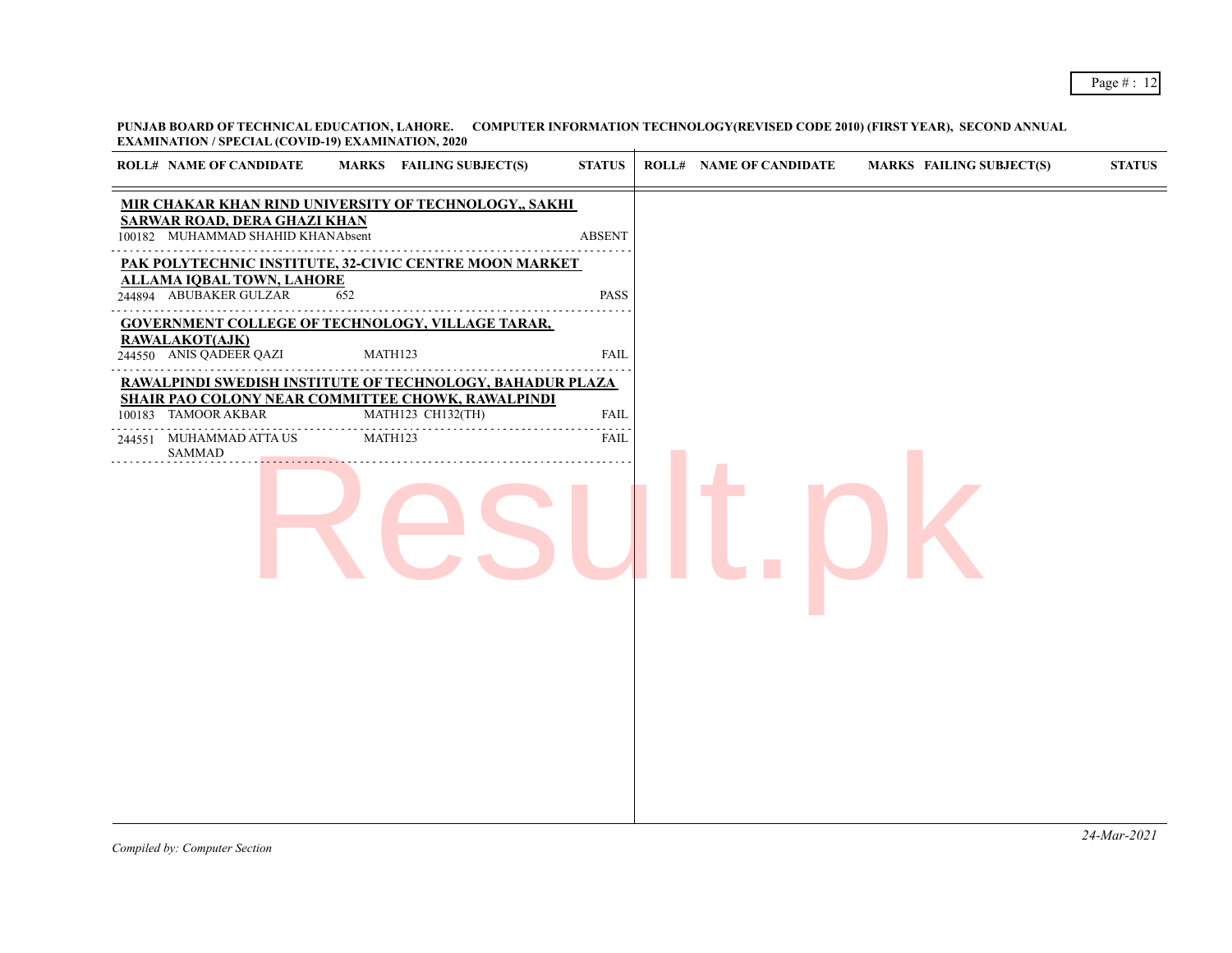**PUNJAB BOARD OF TECHNICAL EDUCATION, LAHORE. COMPUTER INFORMATION TECHNOLOGY(REVISED CODE 2010) (FIRST YEAR), SECOND ANNUAL EXAMINATION / SPECIAL (COVID-19) EXAMINATION, 2020**

| <b>ROLL# NAME OF CANDIDATE</b>                                           | MARKS FAILING SUBJECT(S)                                               | <b>STATUS</b> | <b>ROLL# NAME OF CANDIDATE</b> | <b>MARKS FAILING SUBJECT(S)</b> | <b>STATUS</b> |
|--------------------------------------------------------------------------|------------------------------------------------------------------------|---------------|--------------------------------|---------------------------------|---------------|
| <b>SARWAR ROAD, DERA GHAZI KHAN</b><br>100182 MUHAMMAD SHAHID KHANAbsent | MIR CHAKAR KHAN RIND UNIVERSITY OF TECHNOLOGY,, SAKHI                  | <b>ABSENT</b> |                                |                                 |               |
|                                                                          | PAK POLYTECHNIC INSTITUTE, 32-CIVIC CENTRE MOON MARKET                 |               |                                |                                 |               |
| <b>ALLAMA IQBAL TOWN, LAHORE</b><br>244894 ABUBAKER GULZAR               | 652                                                                    | <b>PASS</b>   |                                |                                 |               |
|                                                                          | <b>GOVERNMENT COLLEGE OF TECHNOLOGY, VILLAGE TARAR,</b>                |               |                                |                                 |               |
| RAWALAKOT(AJK)<br>244550 ANIS QADEER QAZI                                | MATH123                                                                | <b>FAIL</b>   |                                |                                 |               |
|                                                                          | RAWALPINDI SWEDISH INSTITUTE OF TECHNOLOGY, BAHADUR PLAZA              |               |                                |                                 |               |
| 100183 TAMOOR AKBAR                                                      | SHAIR PAO COLONY NEAR COMMITTEE CHOWK, RAWALPINDI<br>MATH123 CH132(TH) | FAIL          |                                |                                 |               |
| 244551 MUHAMMAD ATTA US<br><b>SAMMAD</b>                                 | MATH123                                                                | FAIL          |                                |                                 |               |
|                                                                          |                                                                        |               |                                |                                 |               |
|                                                                          |                                                                        |               |                                |                                 |               |
|                                                                          |                                                                        |               |                                |                                 |               |
|                                                                          |                                                                        |               |                                |                                 |               |
|                                                                          |                                                                        |               |                                |                                 |               |
|                                                                          |                                                                        |               |                                |                                 |               |
|                                                                          |                                                                        |               |                                |                                 |               |
|                                                                          |                                                                        |               |                                |                                 |               |
|                                                                          |                                                                        |               |                                |                                 |               |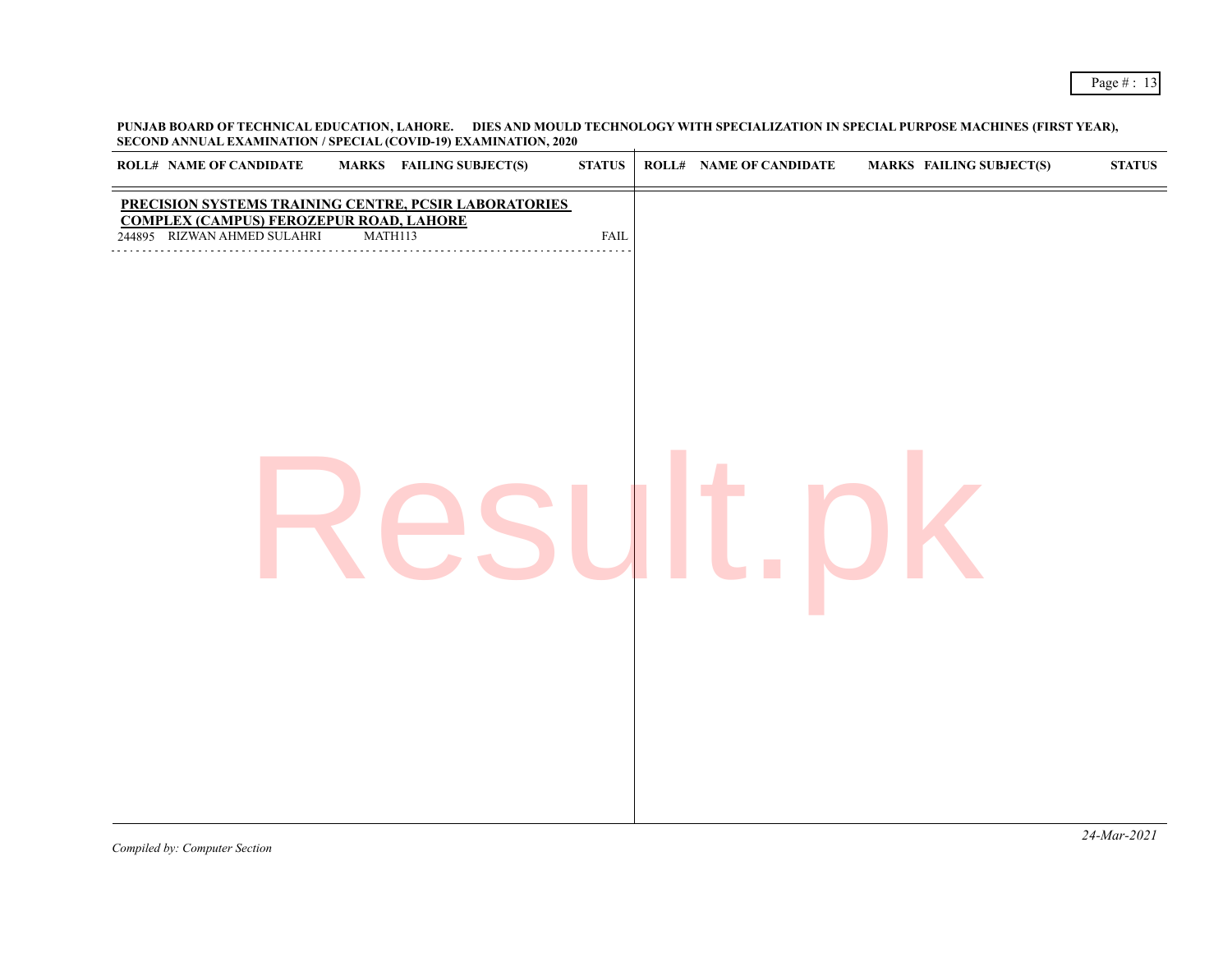**PUNJAB BOARD OF TECHNICAL EDUCATION, LAHORE. DIES AND MOULD TECHNOLOGY WITH SPECIALIZATION IN SPECIAL PURPOSE MACHINES (FIRST YEAR), SECOND ANNUAL EXAMINATION / SPECIAL (COVID-19) EXAMINATION, 2020**

| <b>MARKS</b> FAILING SUBJECT(S)<br><b>ROLL# NAME OF CANDIDATE</b>                                                                                 | <b>STATUS</b> | <b>ROLL# NAME OF CANDIDATE</b><br><b>MARKS FAILING SUBJECT(S)</b> | ${\bf STATUS}$ |
|---------------------------------------------------------------------------------------------------------------------------------------------------|---------------|-------------------------------------------------------------------|----------------|
| PRECISION SYSTEMS TRAINING CENTRE, PCSIR LABORATORIES<br><b>COMPLEX (CAMPUS) FEROZEPUR ROAD, LAHORE</b><br>244895 RIZWAN AHMED SULAHRI<br>MATH113 | <b>FAIL</b>   |                                                                   |                |
| .                                                                                                                                                 |               |                                                                   |                |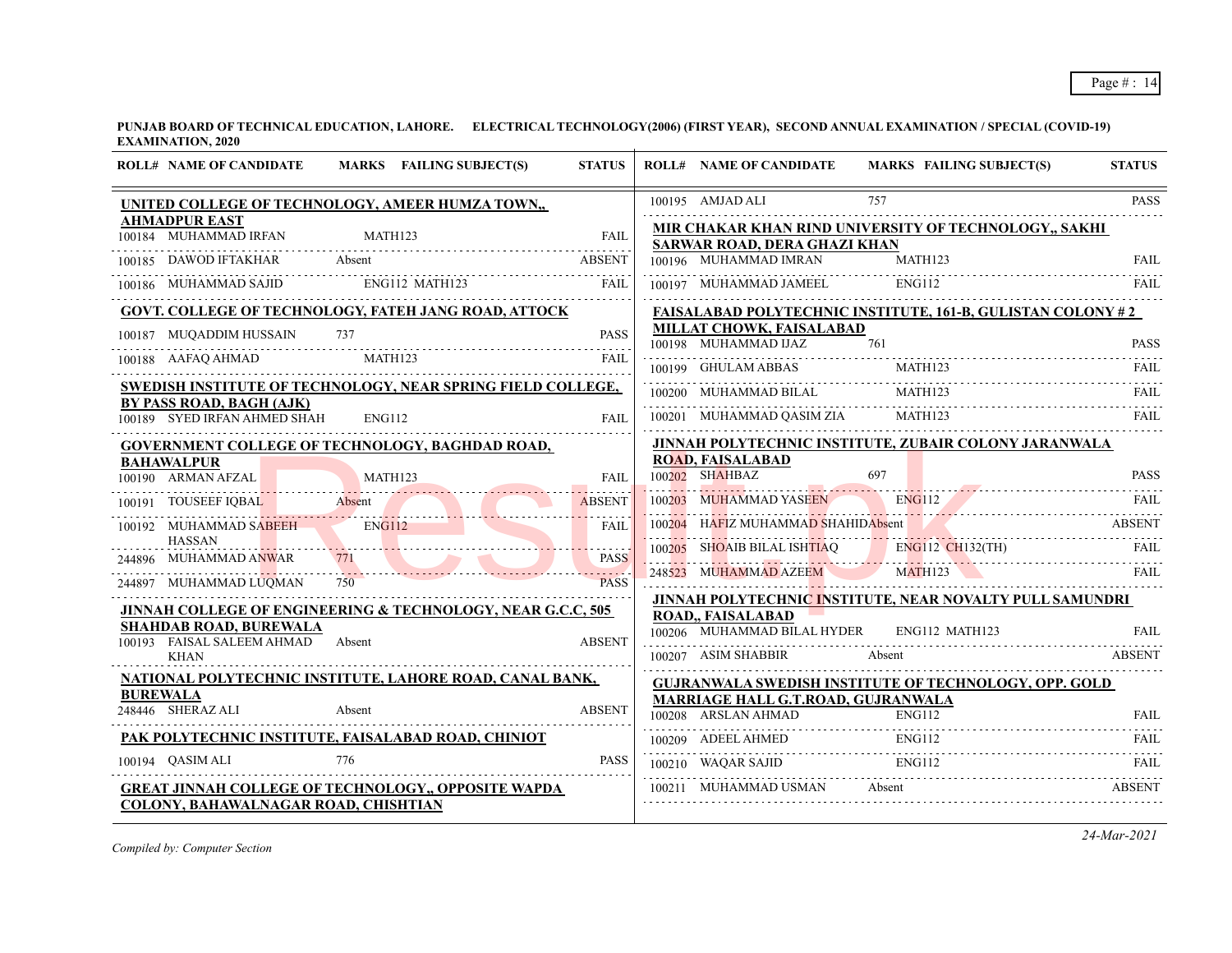| <b>ROLL# NAME OF CANDIDATE</b>                                        | MARKS FAILING SUBJECT(S) | <b>STATUS</b>        |        | <b>ROLL# NAME OF CANDIDATE</b>                                   | <b>MARKS FAILING SUBJECT(S)</b>                                            | <b>STATUS</b> |
|-----------------------------------------------------------------------|--------------------------|----------------------|--------|------------------------------------------------------------------|----------------------------------------------------------------------------|---------------|
| UNITED COLLEGE OF TECHNOLOGY, AMEER HUMZA TOWN,,                      |                          |                      |        | 100195 AMJAD ALI                                                 | 757                                                                        | <b>PASS</b>   |
| <b>AHMADPUR EAST</b><br>100184 MUHAMMAD IRFAN MATH123                 |                          | <b>FAIL</b>          |        |                                                                  | MIR CHAKAR KHAN RIND UNIVERSITY OF TECHNOLOGY,, SAKHI                      |               |
| <b>DAWOD IFTAKHAR</b><br>Absent<br>100185                             |                          | <b>ABSENT</b>        |        | SARWAR ROAD, DERA GHAZI KHAN<br>100196 MUHAMMAD IMRAN            | MATH123                                                                    | <b>FAIL</b>   |
| 100186 MUHAMMAD SAJID                                                 | ENG112 MATH123           | <b>FAIL</b>          |        | 100197 MUHAMMAD JAMEEL                                           | ENG112                                                                     | FAIL          |
| GOVT. COLLEGE OF TECHNOLOGY, FATEH JANG ROAD, ATTOCK                  |                          |                      |        |                                                                  | <b>FAISALABAD POLYTECHNIC INSTITUTE, 161-B, GULISTAN COLONY #2</b>         |               |
| 100187 MUQADDIM HUSSAIN<br>737                                        |                          | PASS                 |        | MILLAT CHOWK, FAISALABAD<br>100198 MUHAMMAD IJAZ                 | 761                                                                        | <b>PASS</b>   |
| 100188 AAFAQ AHMAD                                                    | EXAMPLE MATHI23<br>FAIL  |                      |        | 100199 GHULAM ABBAS                                              | MATH123                                                                    |               |
| SWEDISH INSTITUTE OF TECHNOLOGY, NEAR SPRING FIELD COLLEGE,           |                          |                      |        | 100200 MUHAMMAD BILAL                                            | MATH123                                                                    | FAIL          |
| BY PASS ROAD, BAGH (AJK)<br>100189 SYED IRFAN AHMED SHAH              | ENG112                   | <b>FAIL</b>          |        |                                                                  | 100201 MUHAMMAD QASIM ZIA MATH123                                          | FAIL          |
| <b>GOVERNMENT COLLEGE OF TECHNOLOGY, BAGHDAD ROAD,</b>                |                          |                      |        |                                                                  | <u>JINNAH POLYTECHNIC INSTITUTE, ZUBAIR COLONY JARANWALA</u>               |               |
| <b>BAHAWALPUR</b><br>100190 ARMAN AFZAL                               |                          | FAIL                 |        | <b>ROAD, FAISALABAD</b><br>100202 SHAHBAZ                        | 697                                                                        | <b>PASS</b>   |
| 90 ARMAN AFZAL MATHI23 FAIL<br>100191 TOUSEEF IQBAL Absent            |                          | <b>ABSENT</b>        | 100203 | MUHAMMAD YASEEN                                                  | PASS<br>ENGI12                                                             |               |
| 100192 MUHAMMAD SABEEH                                                | ENG112                   | <b>FAIL</b>          |        | 100204 HAFIZ MUHAMMAD SHAHIDAbsent                               |                                                                            | <b>ABSENT</b> |
| <b>HASSAN</b>                                                         |                          |                      |        |                                                                  |                                                                            |               |
| 244896 MUHAMMAD ANWAR                                                 |                          | <b>PASS</b><br>2222D |        |                                                                  | 100205 SHOAIB BILAL ISHTIAQ ENGI12 CH132(TH) FAIL PARTHICLE CH132(TH) FAIL |               |
| 244897 MUHAMMAD LUQMAN<br>750                                         |                          | <b>PASS</b>          |        |                                                                  |                                                                            |               |
| JINNAH COLLEGE OF ENGINEERING & TECHNOLOGY, NEAR G.C.C, 505           |                          |                      |        | <b>ROAD., FAISALABAD</b>                                         | JINNAH POLYTECHNIC INSTITUTE, NEAR NOVALTY PULL SAMUNDRI                   |               |
| <b>SHAHDAB ROAD, BUREWALA</b><br>100193 FAISAL SALEEM AHMAD<br>Absent |                          | <b>ABSENT</b>        |        | 100206 MUHAMMAD BILAL HYDER ENG112 MATH123                       |                                                                            | <b>FAIL</b>   |
| <b>KHAN</b>                                                           |                          |                      |        | 100207 ASIM SHABBIR                                              | Absent                                                                     | <b>ABSENT</b> |
| NATIONAL POLYTECHNIC INSTITUTE, LAHORE ROAD, CANAL BANK,              |                          |                      |        |                                                                  | <b>GUJRANWALA SWEDISH INSTITUTE OF TECHNOLOGY, OPP. GOLD</b>               |               |
| <b>BUREWALA</b><br>248446 SHERAZ ALI<br>Absent                        |                          | <b>ABSENT</b>        |        | <b>MARRIAGE HALL G.T.ROAD, GUJRANWALA</b><br>100208 ARSLAN AHMAD | <b>ENG112</b>                                                              | FAIL          |
| PAK POLYTECHNIC INSTITUTE, FAISALABAD ROAD, CHINIOT                   |                          |                      |        |                                                                  | 100209 ADEEL AHMED ENG112 FAIL FAIL                                        | .             |
| 100194 OASIM ALI<br>776                                               |                          | <b>PASS</b>          |        |                                                                  | 100210 WAQAR SAJID ENGI12 FAIL                                             |               |
| <b>GREAT JINNAH COLLEGE OF TECHNOLOGY,, OPPOSITE WAPDA</b>            |                          |                      |        | 100211 MUHAMMAD USMAN                                            | Absent                                                                     | <b>ABSENT</b> |
| COLONY, BAHAWALNAGAR ROAD, CHISHTIAN                                  |                          |                      |        |                                                                  |                                                                            |               |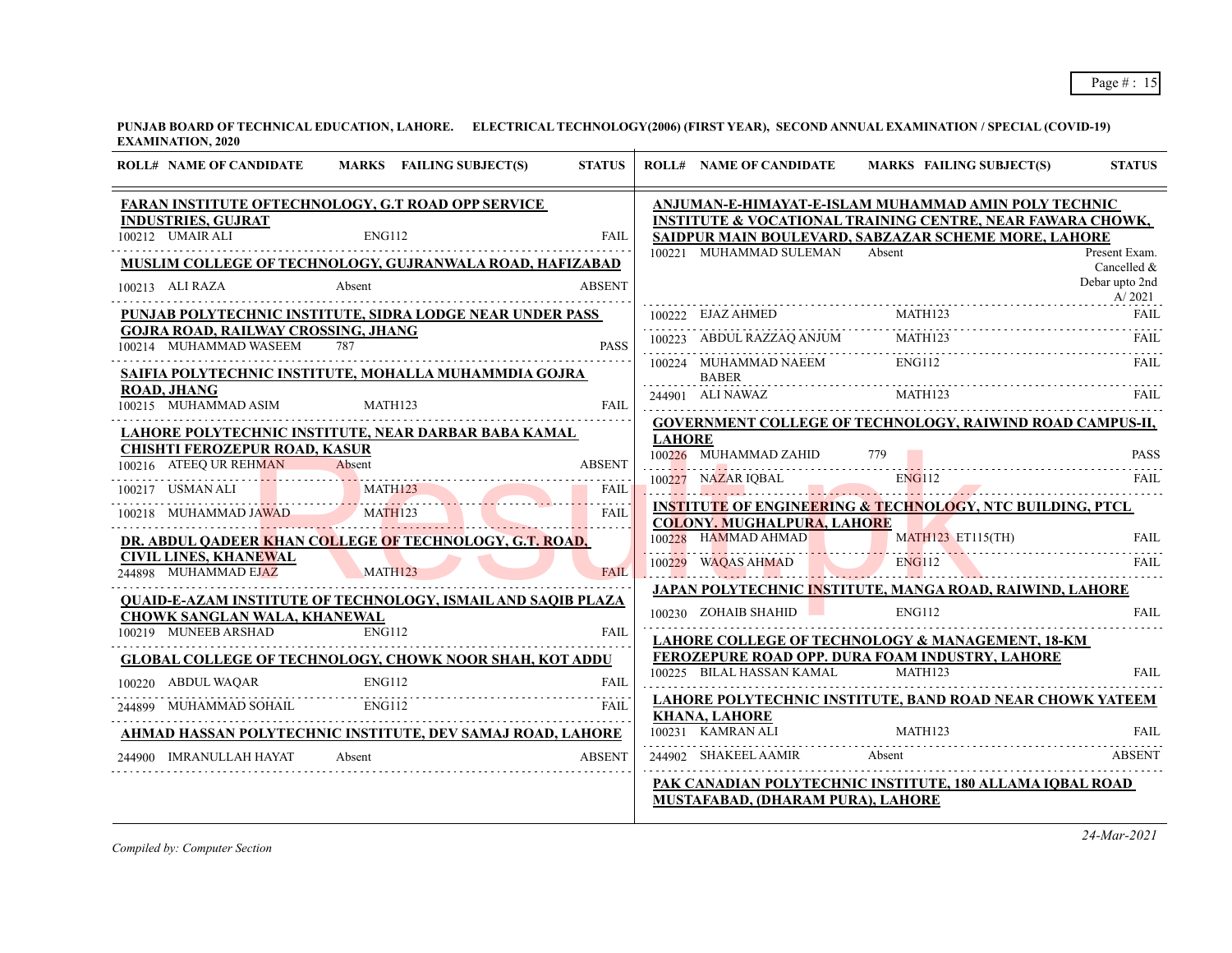| <b>ROLL# NAME OF CANDIDATE</b>                                       | MARKS FAILING SUBJECT(S)                                            | <b>STATUS</b> |               | <b>ROLL# NAME OF CANDIDATE</b>               | MARKS FAILING SUBJECT(S)                                                                                           | <b>STATUS</b>                |
|----------------------------------------------------------------------|---------------------------------------------------------------------|---------------|---------------|----------------------------------------------|--------------------------------------------------------------------------------------------------------------------|------------------------------|
|                                                                      | FARAN INSTITUTE OFTECHNOLOGY, G.T ROAD OPP SERVICE                  |               |               |                                              | ANJUMAN-E-HIMAYAT-E-ISLAM MUHAMMAD AMIN POLY TECHNIC                                                               |                              |
| <b>INDUSTRIES, GUJRAT</b><br>100212 UMAIR ALI                        | <b>ENG112</b>                                                       | <b>FAIL</b>   |               |                                              | INSTITUTE & VOCATIONAL TRAINING CENTRE, NEAR FAWARA CHOWK,<br>SAIDPUR MAIN BOULEVARD, SABZAZAR SCHEME MORE, LAHORE |                              |
|                                                                      | MUSLIM COLLEGE OF TECHNOLOGY, GUJRANWALA ROAD, HAFIZABAD            |               |               | 100221 MUHAMMAD SULEMAN Absent               |                                                                                                                    | Present Exam.<br>Cancelled & |
| 100213 ALI RAZA                                                      | Absent                                                              | <b>ABSENT</b> |               |                                              |                                                                                                                    | Debar upto 2nd<br>A/2021     |
|                                                                      | PUNJAB POLYTECHNIC INSTITUTE, SIDRA LODGE NEAR UNDER PASS           |               |               | 100222 EJAZ AHMED                            | MATH123                                                                                                            | <b>FAIL</b>                  |
| <b>GOJRA ROAD, RAILWAY CROSSING, JHANG</b><br>100214 MUHAMMAD WASEEM | 787                                                                 | <b>PASS</b>   |               |                                              | 100223 ABDUL RAZZAQ ANJUM MATH123 FAIL RAIL (100223 ABDUL RAZZAQ ANJUM MATH123 FAIL                                |                              |
|                                                                      | SAIFIA POLYTECHNIC INSTITUTE, MOHALLA MUHAMMDIA GOJRA               |               |               | 100224 MUHAMMAD NAEEM ENG112<br><b>BABER</b> |                                                                                                                    | FAII.                        |
| <b>ROAD, JHANG</b><br>100215 MUHAMMAD ASIM                           | MATH123                                                             | <b>FAIL</b>   |               | 244901 ALI NAWAZ                             | MATH123                                                                                                            | FAIL                         |
|                                                                      | LAHORE POLYTECHNIC INSTITUTE, NEAR DARBAR BABA KAMAL                |               |               |                                              | <b>GOVERNMENT COLLEGE OF TECHNOLOGY, RAIWIND ROAD CAMPUS-II,</b>                                                   |                              |
| <b>CHISHTI FEROZEPUR ROAD, KASUR</b>                                 |                                                                     |               | <b>LAHORE</b> |                                              |                                                                                                                    |                              |
|                                                                      |                                                                     | <b>ABSENT</b> |               | 100226 MUHAMMAD ZAHID                        | 779                                                                                                                | <b>PASS</b>                  |
|                                                                      | 100216 ATEEQ UR REHMAN Absent 100217 USMAN ALI MATH123              | FAIL          |               |                                              | 100227 NAZAR IQBAL ENGI12 FAIL FAIL                                                                                |                              |
| 100218 MUHAMMAD JAWAD MATH123                                        |                                                                     | FAIL          |               |                                              | <b>INSTITUTE OF ENGINEERING &amp; TECHNOLOGY, NTC BUILDING, PTCL</b>                                               |                              |
|                                                                      |                                                                     |               |               | <b>COLONY. MUGHALPURA, LAHORE</b>            |                                                                                                                    |                              |
|                                                                      | DR. ABDUL QADEER KHAN COLLEGE OF TECHNOLOGY, G.T. ROAD,             |               |               |                                              | 100228 HAMMAD AHMAD MATH123 ET115(TH)                                                                              | <b>FAIL</b>                  |
| <b>CIVIL LINES, KHANEWAL</b><br>244898 MUHAMMAD EJAZ MATH123         |                                                                     | <b>FAII</b>   |               |                                              | 100229 WAQAS AHMAD ENGI12                                                                                          | <b>FAIL</b>                  |
|                                                                      | <b>OUAID-E-AZAM INSTITUTE OF TECHNOLOGY, ISMAIL AND SAOIB PLAZA</b> |               |               |                                              | JAPAN POLYTECHNIC INSTITUTE, MANGA ROAD, RAIWIND, LAHORE                                                           |                              |
| <b>CHOWK SANGLAN WALA, KHANEWAL</b>                                  |                                                                     |               |               | 100230 ZOHAIB SHAHID                         | <b>ENG112</b>                                                                                                      | <b>FAIL</b>                  |
| 100219 MUNEEB ARSHAD                                                 | <b>ENG112</b>                                                       | <b>FAIL</b>   |               |                                              | LAHORE COLLEGE OF TECHNOLOGY & MANAGEMENT, 18-KM                                                                   |                              |
|                                                                      | <b>GLOBAL COLLEGE OF TECHNOLOGY, CHOWK NOOR SHAH, KOT ADDU</b>      |               |               |                                              | FEROZEPURE ROAD OPP. DURA FOAM INDUSTRY, LAHORE                                                                    |                              |
| 100220 ABDUL WAQAR                                                   |                                                                     |               |               | 100225 BILAL HASSAN KAMAL                    | <b>MATH123</b>                                                                                                     | FAII.                        |
|                                                                      | 244899 MUHAMMAD SOHAIL ENG112 FAIL FAIL FAIL                        | <b>FAIL</b>   |               | <b>KHANA, LAHORE</b>                         | <b>LAHORE POLYTECHNIC INSTITUTE, BAND ROAD NEAR CHOWK YATEEM</b>                                                   |                              |
|                                                                      | AHMAD HASSAN POLYTECHNIC INSTITUTE, DEV SAMAJ ROAD, LAHORE          |               |               | 100231 KAMRAN ALI                            | MATH123                                                                                                            | <b>FAIL</b>                  |
| 244900 IMRANULLAH HAYAT                                              | Absent                                                              | <b>ABSENT</b> |               | 244902 SHAKEEL AAMIR                         | Absent                                                                                                             | ABSENT                       |
|                                                                      |                                                                     |               |               | <b>MUSTAFABAD, (DHARAM PURA), LAHORE</b>     | PAK CANADIAN POLYTECHNIC INSTITUTE, 180 ALLAMA IQBAL ROAD                                                          |                              |
|                                                                      |                                                                     |               |               |                                              |                                                                                                                    |                              |

*Compiled by: Computer Section*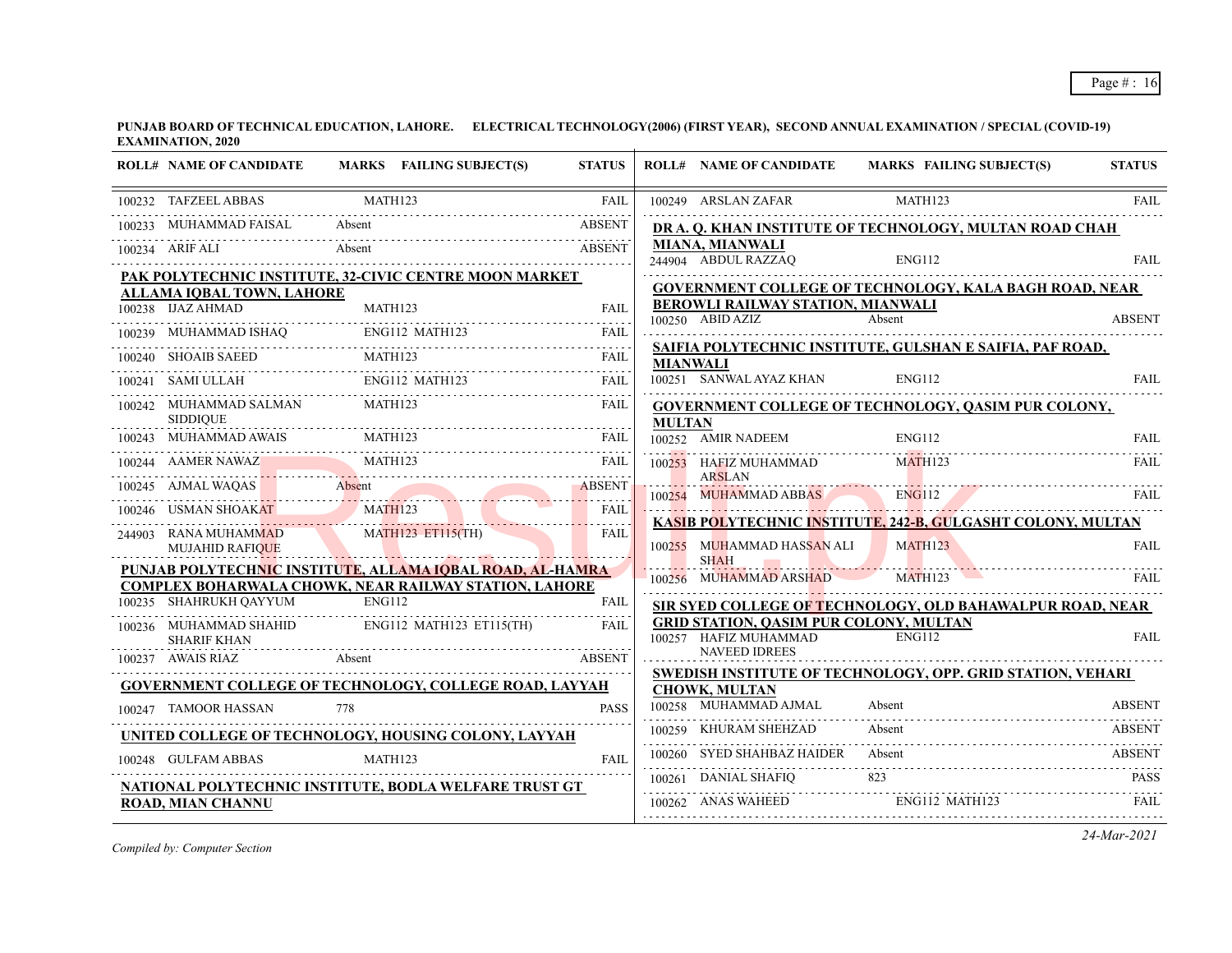| <b>ROLL# NAME OF CANDIDATE</b>                 | MARKS FAILING SUBJECT(S)                                                      | <b>STATUS</b>      |                 | <b>ROLL# NAME OF CANDIDATE</b>                                                  | MARKS FAILING SUBJECT(S)                                    | <b>STATUS</b> |
|------------------------------------------------|-------------------------------------------------------------------------------|--------------------|-----------------|---------------------------------------------------------------------------------|-------------------------------------------------------------|---------------|
| 100232 TAFZEEL ABBAS                           | MATH123                                                                       | <b>FAIL</b>        |                 | 100249 ARSLAN ZAFAR                                                             | MATH123                                                     | <b>FAIL</b>   |
| 100233 MUHAMMAD FAISAL                         | Absent                                                                        | <b>ABSENT</b>      |                 |                                                                                 | DR A. Q. KHAN INSTITUTE OF TECHNOLOGY, MULTAN ROAD CHAH     |               |
| 100234 ARIF ALI                                | Absent                                                                        | <b>ABSENT</b>      |                 | <b>MIANA, MIANWALI</b><br>244904 ABDUL RAZZAO                                   | <b>ENG112</b>                                               | <b>FAIL</b>   |
|                                                | PAK POLYTECHNIC INSTITUTE, 32-CIVIC CENTRE MOON MARKET                        |                    |                 |                                                                                 |                                                             |               |
| ALLAMA IOBAL TOWN, LAHORE<br>100238 IJAZ AHMAD | MATH123                                                                       | FAII.              |                 | <b>BEROWLI RAILWAY STATION, MIANWALI</b>                                        | GOVERNMENT COLLEGE OF TECHNOLOGY, KALA BAGH ROAD, NEAR      |               |
|                                                |                                                                               |                    |                 | 100250 ABID AZIZ                                                                | Absent                                                      | <b>ABSENT</b> |
|                                                | 100239 MUHAMMAD ISHAQ ENGI12 MATH123 FAIL                                     |                    |                 |                                                                                 | SAIFIA POLYTECHNIC INSTITUTE, GULSHAN E SAIFIA, PAF ROAD,   |               |
|                                                | 100240 SHOAIB SAEED MATH123 FAIL RELEVEL AND MATH123                          |                    | <b>MIANWALI</b> | 100251 SANWAL AYAZ KHAN                                                         | ENG112                                                      | <b>FAIL</b>   |
| 100242 MUHAMMAD SALMAN                         | 100241 SAMI ULLAH ENG112 MATH123 FAIL<br>MATH123                              | <b>FAIL</b>        |                 |                                                                                 |                                                             |               |
| <b>SIDDIQUE</b>                                |                                                                               |                    | <b>MULTAN</b>   |                                                                                 | <b>GOVERNMENT COLLEGE OF TECHNOLOGY, QASIM PUR COLONY,</b>  |               |
| 100243 MUHAMMAD AWAIS                          | MATH123                                                                       | FAII.              |                 | 100252 AMIR NADEEM                                                              | <b>ENG112</b>                                               | FAIL          |
|                                                | 100244 AAMER NAWAZ MATH123 FAIL                                               |                    |                 | 100253 HAFIZ MUHAMMAD                                                           | MATH123                                                     | <b>FAIL</b>   |
|                                                | 100245 AJMAL WAQAS Absent ABSENT                                              |                    |                 | <b>ARSLAN</b><br>100254 MUHAMMAD ABBAS ENG112                                   |                                                             | <b>FAIL</b>   |
|                                                | 100246 USMAN SHOAKAT MATH123                                                  | FAIL<br>. <b>.</b> |                 |                                                                                 | KASIB POLYTECHNIC INSTITUTE, 242-B, GULGASHT COLONY, MULTAN |               |
| 244903 RANA MUHAMMAD<br><b>MUJAHID RAFIQUE</b> | MATH123 ET115(TH)                                                             | <b>FAIL</b>        |                 | 100255 MUHAMMAD HASSAN ALI<br><b>SHAH</b>                                       | MATH123                                                     | <b>FAIL</b>   |
|                                                | PUNJAB POLYTECHNIC INSTITUTE, ALLAMA IQBAL ROAD, AL-HAMRA                     |                    |                 | <b>Contract Contract</b><br>100256 MUHAMMAD ARSHAD                              | MATH123                                                     | FAIL          |
| 100235 SHAHRUKH OAYYUM                         | <b>COMPLEX BOHARWALA CHOWK, NEAR RAILWAY STATION, LAHORE</b><br><b>ENG112</b> | <b>FAIL</b>        |                 | the contract of the contract of the contract of the contract of the contract of | SIR SYED COLLEGE OF TECHNOLOGY, OLD BAHAWALPUR ROAD, NEAR   |               |
|                                                | 100236 MUHAMMAD SHAHID ENG112 MATH123 ET115(TH)                               | <b>FAIL</b>        |                 | <b>GRID STATION, QASIM PUR COLONY, MULTAN</b>                                   |                                                             |               |
| <b>SHARIF KHAN</b>                             |                                                                               |                    |                 | 100257 HAFIZ MUHAMMAD<br><b>NAVEED IDREES</b>                                   | <b>ENG112</b>                                               | <b>FAIL</b>   |
| 100237 AWAIS RIAZ                              | Absent<br><b>ABSENT</b>                                                       |                    |                 |                                                                                 | SWEDISH INSTITUTE OF TECHNOLOGY, OPP. GRID STATION, VEHARI  |               |
|                                                | <b>GOVERNMENT COLLEGE OF TECHNOLOGY, COLLEGE ROAD, LAYYAH</b>                 |                    |                 | <b>CHOWK, MULTAN</b>                                                            |                                                             |               |
| 100247 TAMOOR HASSAN                           | 778                                                                           | <b>PASS</b>        |                 | 100258 MUHAMMAD AJMAL                                                           | Absent                                                      | ABSENT        |
|                                                | UNITED COLLEGE OF TECHNOLOGY, HOUSING COLONY, LAYYAH                          |                    |                 | 100259 KHURAM SHEHZAD                                                           | Absent                                                      | ABSENT        |
| 100248 GULFAM ABBAS                            | MATH123                                                                       | FAII.              |                 | 100260 SYED SHAHBAZ HAIDER                                                      | Absent                                                      | <b>ABSENT</b> |
|                                                | NATIONAL POLYTECHNIC INSTITUTE, BODLA WELFARE TRUST GT                        |                    |                 |                                                                                 | 100261 DANIAL SHAFIQ 823 PASS                               |               |
| <b>ROAD, MIAN CHANNU</b>                       |                                                                               |                    |                 | 100262 ANAS WAHEED ENG112 MATH123                                               |                                                             | <b>FAIL</b>   |

*Compiled by: Computer Section*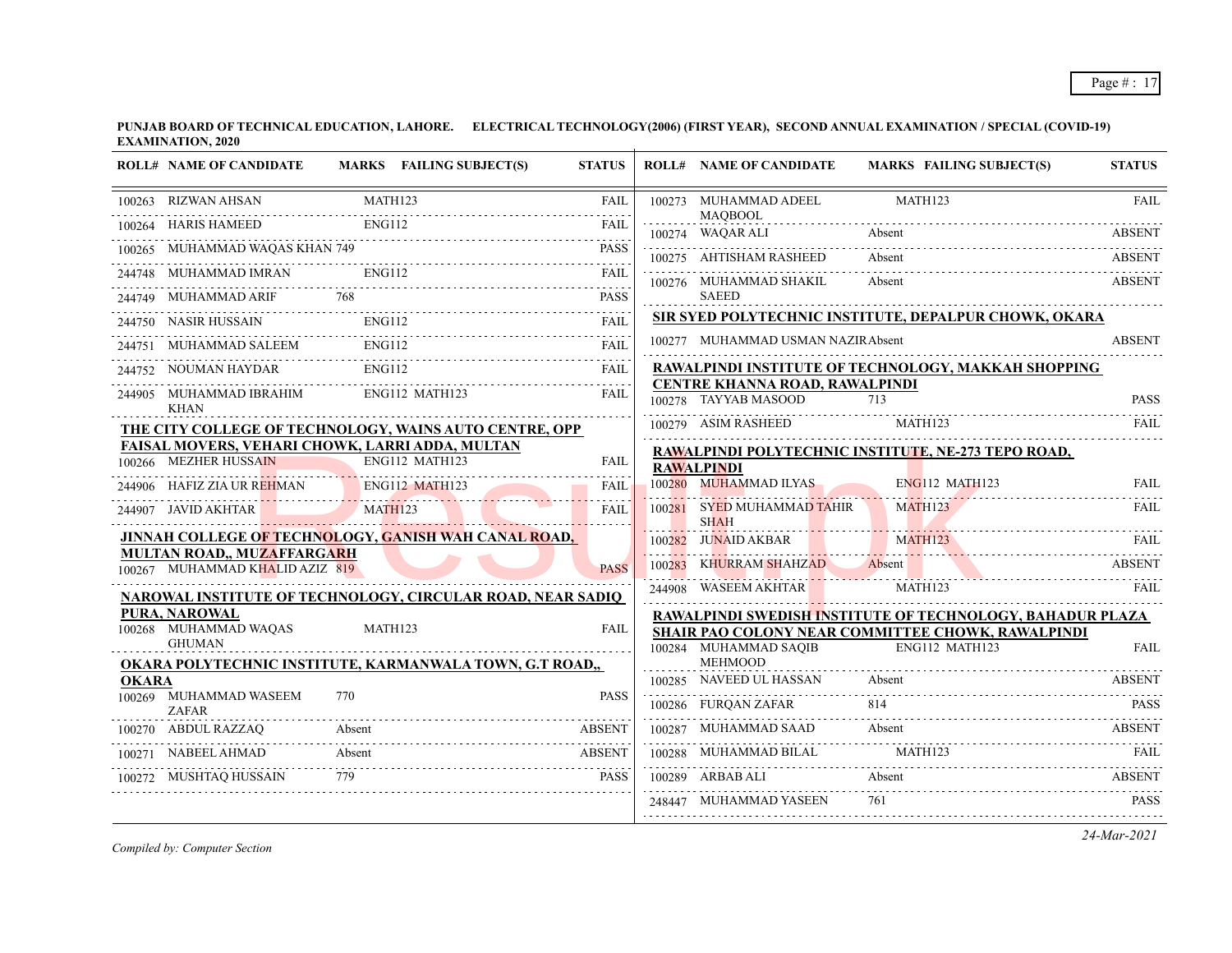| <b>ROLL# NAME OF CANDIDATE</b>         | MARKS FAILING SUBJECT(S)                                          | <b>STATUS</b> |        | <b>ROLL# NAME OF CANDIDATE</b>            | MARKS FAILING SUBJECT(S)                                            | <b>STATUS</b> |
|----------------------------------------|-------------------------------------------------------------------|---------------|--------|-------------------------------------------|---------------------------------------------------------------------|---------------|
| 100263 RIZWAN AHSAN                    | MATH123                                                           | <b>FAIL</b>   |        | 100273 MUHAMMAD ADEEL<br><b>MAOBOOL</b>   | MATH123                                                             | <b>FAIL</b>   |
| 100264 HARIS HAMEED                    | <b>ENG112</b>                                                     | FAII.         |        | 100274 WAQAR ALI                          | Absent                                                              |               |
| 100265 MUHAMMAD WAQAS KHAN 749         |                                                                   | <b>PASS</b>   |        | 100275 AHTISHAM RASHEED                   | Absent                                                              | <b>ABSENT</b> |
| 244748 MUHAMMAD IMRAN                  | ENG112                                                            | FAIL          |        | 100276 MUHAMMAD SHAKIL                    | Absent                                                              | <b>ABSENT</b> |
| 244749 MUHAMMAD ARIF                   | 768                                                               | <b>PASS</b>   |        | <b>SAEED</b>                              |                                                                     |               |
| 244750 NASIR HUSSAIN                   | ENG112                                                            | <b>FAII</b>   |        |                                           | SIR SYED POLYTECHNIC INSTITUTE, DEPALPUR CHOWK, OKARA               |               |
| 244751 MUHAMMAD SALEEM                 | ENG112                                                            | <b>FAIL</b>   |        | 100277 MUHAMMAD USMAN NAZIRAbsent         |                                                                     | <b>ABSENT</b> |
| 244752 NOUMAN HAYDAR                   | <b>ENG112</b>                                                     | <b>FAIL</b>   |        |                                           | RAWALPINDI INSTITUTE OF TECHNOLOGY, MAKKAH SHOPPING                 |               |
| 244905 MUHAMMAD IBRAHIM                | ENG112 MATH123                                                    | <b>FAIL</b>   |        | <b>CENTRE KHANNA ROAD, RAWALPINDI</b>     |                                                                     |               |
| <b>KHAN</b>                            |                                                                   |               |        | 100278 TAYYAB MASOOD                      | 713                                                                 | <b>PASS</b>   |
|                                        | THE CITY COLLEGE OF TECHNOLOGY, WAINS AUTO CENTRE, OPP            |               |        | 100279 ASIM RASHEED                       | MATH123                                                             | FAIL          |
|                                        | FAISAL MOVERS, VEHARI CHOWK, LARRI ADDA, MULTAN                   |               |        |                                           | RAWALPINDI POLYTECHNIC INSTITUTE, NE-273 TEPO ROAD,                 |               |
| 100266 MEZHER HUSSAIN                  | ENG112 MATH123                                                    | <b>FAIL</b>   |        | <b>RAWALPINDI</b>                         |                                                                     |               |
| 244906 HAFIZ ZIA UR REHMAN             | ENG112 MATH123                                                    | <b>FAIL</b>   |        | 100280 MUHAMMAD ILYAS                     | $ENG112$ MATH123                                                    | FAII.         |
| 244907 JAVID AKHTAR                    | MATH123                                                           | <b>FAIL</b>   |        | 100281 SYED MUHAMMAD TAHIR<br><b>SHAH</b> | MATH123                                                             | FAIL          |
|                                        | JINNAH COLLEGE OF TECHNOLOGY, GANISH WAH CANAL ROAD,              |               |        | 100282 JUNAID AKBAR                       | MATH123                                                             | FAIL          |
| MULTAN ROAD,, MUZAFFARGARH             |                                                                   |               | 100283 | KHURRAM SHAHZAD                           | Absent                                                              | <b>ABSENT</b> |
| 100267 MUHAMMAD KHALID AZIZ 819        |                                                                   | <b>PASS</b>   |        | 244908 WASEEM AKHTAR                      | MATH123                                                             | FAIL          |
|                                        | <b>NAROWAL INSTITUTE OF TECHNOLOGY, CIRCULAR ROAD, NEAR SADIO</b> |               |        |                                           |                                                                     |               |
| <b>PURA, NAROWAL</b>                   | MATH123                                                           |               |        |                                           | RAWALPINDI SWEDISH INSTITUTE OF TECHNOLOGY, BAHADUR PLAZA           |               |
| 100268 MUHAMMAD WAQAS<br><b>GHUMAN</b> |                                                                   | <b>FAIL</b>   |        | 100284 MUHAMMAD SAQIB                     | SHAIR PAO COLONY NEAR COMMITTEE CHOWK, RAWALPINDI<br>ENG112 MATH123 | <b>FAIL</b>   |
|                                        | OKARA POLYTECHNIC INSTITUTE, KARMANWALA TOWN, G.T ROAD,,          |               |        | <b>MEHMOOD</b>                            |                                                                     |               |
| <b>OKARA</b>                           |                                                                   |               |        | 100285 NAVEED UL HASSAN                   | Absent                                                              | ABSENT        |
| 100269 MUHAMMAD WASEEM<br><b>ZAFAR</b> | 770                                                               | <b>PASS</b>   |        | 100286 FURQAN ZAFAR                       | 814                                                                 | <b>PASS</b>   |
| 100270 ABDUL RAZZAQ                    | Absent                                                            | <b>ABSENT</b> |        | 100287 MUHAMMAD SAAD                      | Absent                                                              | <b>ABSENT</b> |
| 100271 NABEEL AHMAD                    | Absent                                                            | ABSENT        |        | 100288 MUHAMMAD BILAL                     | MATH123                                                             | -FAIL         |
| 100272 MUSHTAQ HUSSAIN                 | 779                                                               | PASS          |        | 100289 ARBAB ALI                          | Absent                                                              | <b>ABSENT</b> |
|                                        |                                                                   |               |        | 248447 MUHAMMAD YASEEN                    | 761                                                                 | PASS          |
|                                        |                                                                   |               |        |                                           |                                                                     |               |

*Compiled by: Computer Section*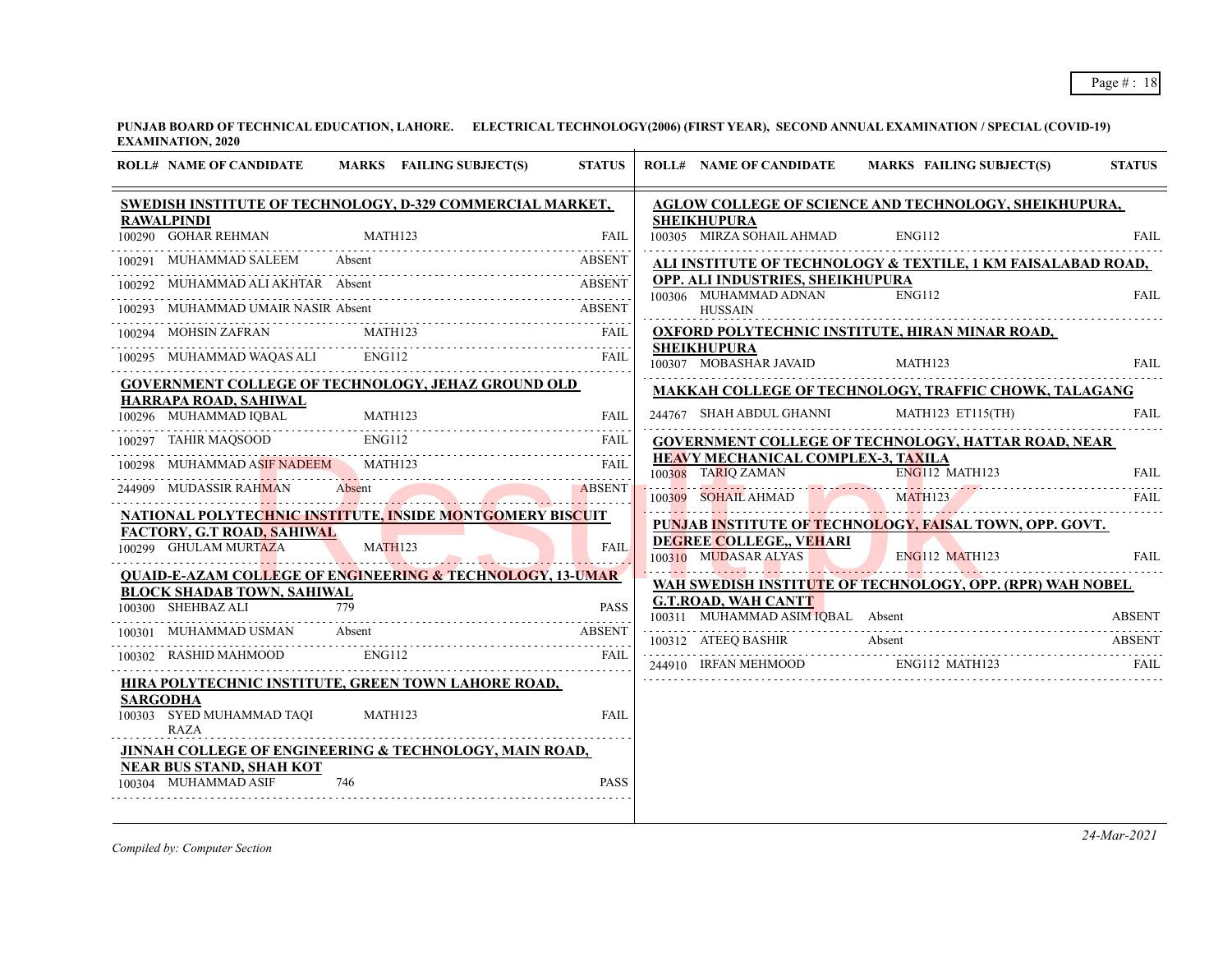| <b>ROLL# NAME OF CANDIDATE</b><br>MARKS FAILING SUBJECT(S)                                        | <b>STATUS</b> | <b>ROLL# NAME OF CANDIDATE</b><br>MARKS FAILING SUBJECT(S)                                                                                                                                                                     | <b>STATUS</b> |
|---------------------------------------------------------------------------------------------------|---------------|--------------------------------------------------------------------------------------------------------------------------------------------------------------------------------------------------------------------------------|---------------|
| SWEDISH INSTITUTE OF TECHNOLOGY, D-329 COMMERCIAL MARKET,<br><b>RAWALPINDI</b>                    |               | <b>AGLOW COLLEGE OF SCIENCE AND TECHNOLOGY, SHEIKHUPURA,</b><br><b>SHEIKHUPURA</b>                                                                                                                                             |               |
| 100290 GOHAR REHMAN<br>MATH123                                                                    | <b>FAIL</b>   | 100305 MIRZA SOHAIL AHMAD<br>ENG112                                                                                                                                                                                            | FAIL.         |
| 100291 MUHAMMAD SALEEM<br>Absent                                                                  | <b>ABSENT</b> | ALI INSTITUTE OF TECHNOLOGY & TEXTILE, 1 KM FAISALABAD ROAD,                                                                                                                                                                   |               |
| 100292 MUHAMMAD ALI AKHTAR Absent                                                                 | <b>ABSENT</b> | OPP. ALI INDUSTRIES, SHEIKHUPURA<br><b>ENG112</b><br>100306 MUHAMMAD ADNAN                                                                                                                                                     | <b>FAIL</b>   |
| 100293 MUHAMMAD UMAIR NASIR Absent<br>0293 MUHAMMAD UMAIR NASIR Absent ABSENT                     |               | <b>HUSSAIN</b>                                                                                                                                                                                                                 |               |
| 100294 MOHSIN ZAFRAN MATH123 FAIL PRIMER PRIMER AND A STRUCK AND A FAIL PRIMER PRIMER AND RATH123 |               | <b>OXFORD POLYTECHNIC INSTITUTE, HIRAN MINAR ROAD,</b>                                                                                                                                                                         |               |
| 100295 MUHAMMAD WAQAS ALI ENG112 FAIL                                                             | FAIL          | <b>SHEIKHUPURA</b><br>100307 MOBASHAR JAVAID<br>MATH123                                                                                                                                                                        | FAIL          |
| <b>GOVERNMENT COLLEGE OF TECHNOLOGY, JEHAZ GROUND OLD</b>                                         |               | MAKKAH COLLEGE OF TECHNOLOGY, TRAFFIC CHOWK, TALAGANG                                                                                                                                                                          |               |
| HARRAPA ROAD, SAHIWAL                                                                             |               | 244767 SHAH ABDUL GHANNI<br>MATH123 ET115(TH)                                                                                                                                                                                  | FAIL          |
| 100296 MUHAMMAD IQBAL MATH123 FAIL<br>100297 TAHIR MAQSOOD ENG112 FAIL                            |               | <b>GOVERNMENT COLLEGE OF TECHNOLOGY, HATTAR ROAD, NEAR</b>                                                                                                                                                                     |               |
| MUHAMMAD ASIF NADEEM MATH123<br>MUHAMMAD ASIF NADEEM MATH123 FAIL                                 |               | <b>HEAVY MECHANICAL COMPLEX-3, TAXILA</b>                                                                                                                                                                                      |               |
| 44909 MUDASSIR RAHMAN Absent ABSENT<br>244909 MUDASSIR RAHMAN                                     |               | 100308 TARIQ ZAMAN ENGILE MATHI23 FAIL<br>100309 SOHAIL AHMAD MATH123 FAIL                                                                                                                                                     |               |
| <b>NATIONAL POLYTECHNIC INSTITUTE, INSIDE MONTGOMERY BISCUIT</b>                                  |               | PUNJAB INSTITUTE OF TECHNOLOGY, FAISAL TOWN, OPP. GOVT.                                                                                                                                                                        |               |
| the control of the con-<br><b>FACTORY, G.T ROAD, SAHIWAL</b><br>100299 GHULAM MURTAZA<br>MATH123  | <b>FAIL</b>   | <b>DEGREE COLLEGE., VEHARI</b><br>100310 MUDASAR ALYAS<br><b>ENG112 MATH123</b>                                                                                                                                                | <b>FAIL</b>   |
| <b>QUAID-E-AZAM COLLEGE OF ENGINEERING &amp; TECHNOLOGY, 13-UMAR</b>                              |               |                                                                                                                                                                                                                                |               |
| <b>BLOCK SHADAB TOWN, SAHIWAL</b><br>100300 SHEHBAZ ALI                                           | <b>PASS</b>   | WAH SWEDISH INSTITUTE OF TECHNOLOGY, OPP. (RPR) WAH NOBEL<br><b>G.T.ROAD, WAH CANTT</b>                                                                                                                                        |               |
| 100301 MUHAMMAD USMAN Absent                                                                      | ABSENT        | 100311 MUHAMMAD ASIM IQBAL Absent                                                                                                                                                                                              | <b>ABSENT</b> |
| 100302 RASHID MAHMOOD ENG112                                                                      | FAIL          | MEER BASHIR Absent ABSENT ABSENT ASSET AND THE MANUSCRIPT OF THE CONTRACT OF THE CONTRACT AND THE CONTRACT AND THE CONTRACT OF THE CONTRACT OF THE CONTRACT OF THE CONTRACT OF THE CONTRACT OF THE CONTRACT OF THE CONTRACT OF |               |
| HIRA POLYTECHNIC INSTITUTE, GREEN TOWN LAHORE ROAD,                                               |               |                                                                                                                                                                                                                                |               |
| <b>SARGODHA</b>                                                                                   |               |                                                                                                                                                                                                                                |               |
| 100303 SYED MUHAMMAD TAQI<br>MATH123<br><b>RAZA</b>                                               | <b>FAIL</b>   |                                                                                                                                                                                                                                |               |
| <b>JINNAH COLLEGE OF ENGINEERING &amp; TECHNOLOGY, MAIN ROAD,</b>                                 |               |                                                                                                                                                                                                                                |               |
| <b>NEAR BUS STAND, SHAH KOT</b><br>100304 MUHAMMAD ASIF<br>746                                    | <b>PASS</b>   |                                                                                                                                                                                                                                |               |
|                                                                                                   |               |                                                                                                                                                                                                                                |               |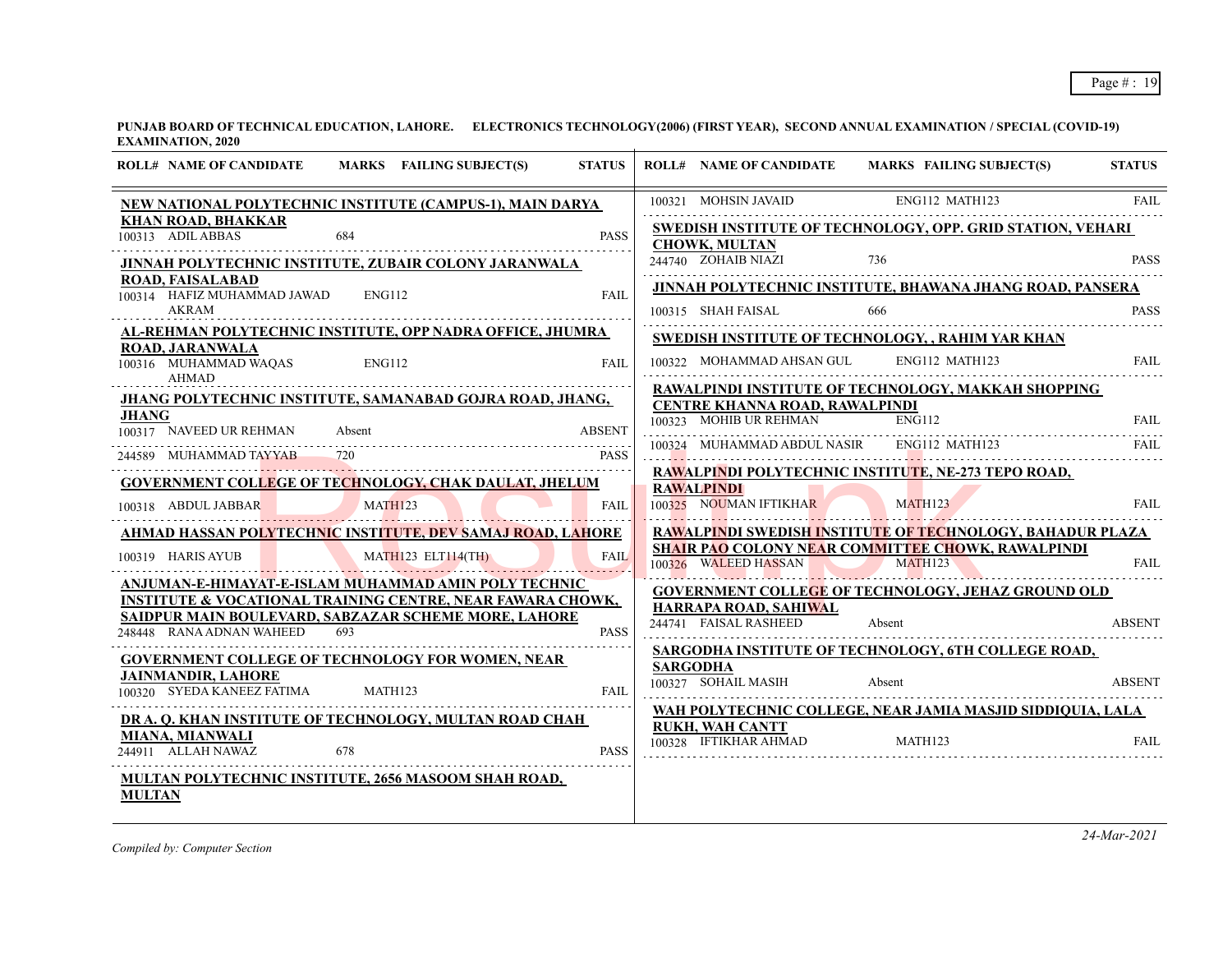| MARKS FAILING SUBJECT(S)<br><b>ROLL# NAME OF CANDIDATE</b><br><b>STATUS</b>                                                                                                                                                                 | <b>MARKS FAILING SUBJECT(S)</b><br><b>ROLL# NAME OF CANDIDATE</b>                                                                                        | <b>STATUS</b> |
|---------------------------------------------------------------------------------------------------------------------------------------------------------------------------------------------------------------------------------------------|----------------------------------------------------------------------------------------------------------------------------------------------------------|---------------|
| NEW NATIONAL POLYTECHNIC INSTITUTE (CAMPUS-1), MAIN DARYA<br><b>KHAN ROAD, BHAKKAR</b>                                                                                                                                                      | 100321 MOHSIN JAVAID<br>ENG112 MATH123<br><b>SWEDISH INSTITUTE OF TECHNOLOGY, OPP. GRID STATION, VEHARI</b>                                              | <b>FAIL</b>   |
| 100313 ADILABBAS<br>684<br><b>PASS</b><br>JINNAH POLYTECHNIC INSTITUTE, ZUBAIR COLONY JARANWALA<br><b>ROAD, FAISALABAD</b>                                                                                                                  | <b>CHOWK, MULTAN</b><br>244740 ZOHAIB NIAZI<br>736                                                                                                       | <b>PASS</b>   |
| 100314 HAFIZ MUHAMMAD JAWAD ENG112<br><b>FAIL</b><br>AKRAM                                                                                                                                                                                  | <b>JINNAH POLYTECHNIC INSTITUTE, BHAWANA JHANG ROAD, PANSERA</b><br>666<br>100315 SHAH FAISAL                                                            | <b>PASS</b>   |
| AL-REHMAN POLYTECHNIC INSTITUTE, OPP NADRA OFFICE, JHUMRA<br><b>ROAD, JARANWALA</b><br>100316 MUHAMMAD WAQAS<br>ENG112<br>FAII.<br>AHMAD                                                                                                    | <b>SWEDISH INSTITUTE OF TECHNOLOGY, , RAHIM YAR KHAN</b><br>100322 MOHAMMAD AHSAN GUL<br>ENG112 MATH123                                                  | <b>FAIL</b>   |
| <b>JHANG POLYTECHNIC INSTITUTE, SAMANABAD GOJRA ROAD, JHANG,</b><br>JHANG<br>100317 NAVEED UR REHMAN<br><b>ABSENT</b><br>Absent                                                                                                             | RAWALPINDI INSTITUTE OF TECHNOLOGY, MAKKAH SHOPPING<br>CENTRE KHANNA ROAD, RAWALPINDI<br>100323 MOHIB UR REHMAN<br><b>ENG112</b>                         | <b>FAIL</b>   |
| 244589 MUHAMMAD TAYYAB 720<br><b>PASS</b>                                                                                                                                                                                                   | ENG112 MATH123<br>MUHAMMAD ABDUL NASIR                                                                                                                   | FAIL.         |
| <b>GOVERNMENT COLLEGE OF TECHNOLOGY, CHAK DAULAT, JHELUM</b><br>MATH123<br>100318 ABDUL JABBAR<br>FAII.                                                                                                                                     | RAWALPINDI POLYTECHNIC INSTITUTE, NE-273 TEPO ROAD,<br><b>RAWALPINDI</b><br>100325 NOUMAN IFTIKHAR<br>MATH123                                            | <b>FAIL</b>   |
| <u>AHMAD HASSAN POLYTECHNIC INSTITUTE, DEV SAMAJ ROAD, LAHORE</u><br>100319 HARIS AYUB<br>MATH123 ELT114(TH)<br><b>FAIL</b>                                                                                                                 | RAWALPINDI SWEDISH INSTITUTE OF TECHNOLOGY, BAHADUR PLAZA<br><b>SHAIR PAO COLONY NEAR COMMITTEE CHOWK, RAWALPINDI</b><br>MATH123<br>100326 WALEED HASSAN | <b>FAIL</b>   |
| ANJUMAN-E-HIMAYAT-E-ISLAM MUHAMMAD AMIN POLY TECHNIC<br><b>INSTITUTE &amp; VOCATIONAL TRAINING CENTRE, NEAR FAWARA CHOWK,</b><br><b>SAIDPUR MAIN BOULEVARD, SABZAZAR SCHEME MORE, LAHORE</b><br>248448 RANA ADNAN WAHEED 693<br><b>PASS</b> | GOVERNMENT COLLEGE OF TECHNOLOGY, JEHAZ GROUND OLD<br>HARRAPA ROAD, SAHIWAL<br>244741 FAISAL RASHEED<br>Absent                                           | <b>ABSENT</b> |
| <b>GOVERNMENT COLLEGE OF TECHNOLOGY FOR WOMEN, NEAR</b><br><b>JAINMANDIR, LAHORE</b><br>100320 SYEDA KANEEZ FATIMA<br>MATH123<br><b>FAIL</b>                                                                                                | SARGODHA INSTITUTE OF TECHNOLOGY, 6TH COLLEGE ROAD,<br><b>SARGODHA</b><br>100327 SOHAIL MASIH<br>Absent                                                  | <b>ABSENT</b> |
| DR A. Q. KHAN INSTITUTE OF TECHNOLOGY, MULTAN ROAD CHAH<br>MIANA, MIANWALI<br>244911 ALLAH NAWAZ<br>678<br><b>PASS</b>                                                                                                                      | WAH POLYTECHNIC COLLEGE, NEAR JAMIA MASJID SIDDIQUIA, LALA<br><b>RUKH, WAH CANTT</b><br>100328 IFTIKHAR AHMAD<br>MATH123                                 | <b>FAIL</b>   |
| <b>MULTAN POLYTECHNIC INSTITUTE, 2656 MASOOM SHAH ROAD,</b><br><b>MULTAN</b>                                                                                                                                                                |                                                                                                                                                          |               |
|                                                                                                                                                                                                                                             |                                                                                                                                                          |               |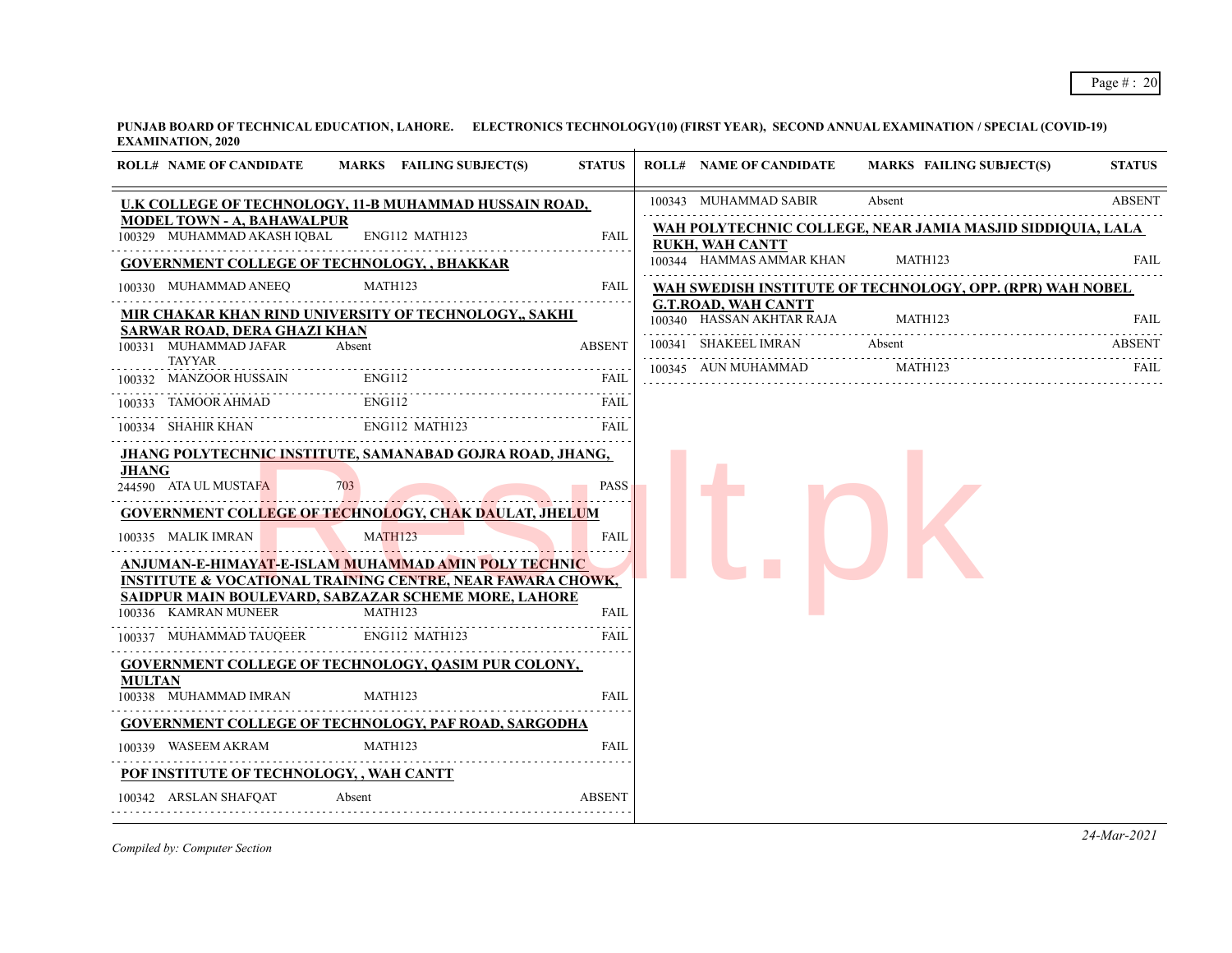| <b>ROLL# NAME OF CANDIDATE</b>                                         | MARKS FAILING SUBJECT(S)                                                                                                                                                                             | <b>STATUS</b>              | <b>ROLL# NAME OF CANDIDATE</b>                          | MARKS FAILING SUBJECT(S)                                   | <b>STATUS</b> |
|------------------------------------------------------------------------|------------------------------------------------------------------------------------------------------------------------------------------------------------------------------------------------------|----------------------------|---------------------------------------------------------|------------------------------------------------------------|---------------|
|                                                                        | U.K COLLEGE OF TECHNOLOGY, 11-B MUHAMMAD HUSSAIN ROAD,                                                                                                                                               |                            | 100343 MUHAMMAD SABIR                                   | Absent                                                     | <b>ABSENT</b> |
| <b>MODEL TOWN - A, BAHAWALPUR</b><br>100329 MUHAMMAD AKASH IQBAL       | ENG112 MATH123                                                                                                                                                                                       | <b>FAIL</b>                | <b>RUKH, WAH CANTT</b>                                  | WAH POLYTECHNIC COLLEGE, NEAR JAMIA MASJID SIDDIQUIA, LALA |               |
| <b>GOVERNMENT COLLEGE OF TECHNOLOGY, , BHAKKAR</b>                     |                                                                                                                                                                                                      |                            | 100344 HAMMAS AMMAR KHAN                                | MATH123                                                    | FAIL          |
| 100330 MUHAMMAD ANEEQ                                                  | MATH123                                                                                                                                                                                              | FAIL                       |                                                         | WAH SWEDISH INSTITUTE OF TECHNOLOGY, OPP. (RPR) WAH NOBEL  |               |
|                                                                        | MIR CHAKAR KHAN RIND UNIVERSITY OF TECHNOLOGY,, SAKHI                                                                                                                                                |                            | <b>G.T.ROAD, WAH CANTT</b><br>100340 HASSAN AKHTAR RAJA | MATH123                                                    | <b>FAIL</b>   |
| SARWAR ROAD, DERA GHAZI KHAN<br>100331 MUHAMMAD JAFAR<br><b>TAYYAR</b> | Absent                                                                                                                                                                                               | <b>ABSENT</b>              | 100341 SHAKEEL IMRAN                                    | Absent                                                     | ABSENT        |
| 100332 MANZOOR HUSSAIN                                                 | <b>ENG112</b>                                                                                                                                                                                        | FAIL                       | 100345 AUN MUHAMMAD                                     | MATH123                                                    | FAIL          |
| TAMOOR AHMAD<br>100333                                                 | <b>ENG112</b>                                                                                                                                                                                        | FAIL                       |                                                         |                                                            |               |
| 100334 SHAHIR KHAN                                                     | ENG112 MATH123                                                                                                                                                                                       | <b>FAIL</b>                |                                                         |                                                            |               |
| <b>JHANG</b><br>244590 ATA UL MUSTAFA                                  | JHANG POLYTECHNIC INSTITUTE, SAMANABAD GOJRA ROAD, JHANG,                                                                                                                                            | <b>PASS</b>                |                                                         |                                                            |               |
|                                                                        | <b>GOVERNMENT COLLEGE OF TECHNOLOGY, CHAK DAULAT, JHELUM</b>                                                                                                                                         |                            |                                                         |                                                            |               |
| 100335 MALIK IMRAN                                                     | <b>MATH123</b>                                                                                                                                                                                       | <b>FAIL</b>                |                                                         |                                                            |               |
|                                                                        | <u>ANJUMAN-E-HIMAYAT-E-ISLAM MUHAMMAD AMIN POLY TECHNIC </u><br><u>INSTITUTE &amp; VOCATIONAL TRAINING CENTRE, NEAR FAWARA CHOWK,</u><br><u>SAIDPUR MAIN BOULEVARD, SABZAZAR SCHEME MORE, LAHORE</u> |                            |                                                         |                                                            |               |
| 100336 KAMRAN MUNEER<br>100337 MUHAMMAD TAUQEER                        | MATH123<br>ENG112 MATH123                                                                                                                                                                            | <b>FAIL</b><br><b>FAIL</b> |                                                         |                                                            |               |
|                                                                        | <b>GOVERNMENT COLLEGE OF TECHNOLOGY, QASIM PUR COLONY,</b>                                                                                                                                           |                            |                                                         |                                                            |               |
| MULTAN<br>100338 MUHAMMAD IMRAN                                        | MATH123                                                                                                                                                                                              | <b>FAIL</b>                |                                                         |                                                            |               |
|                                                                        | <b>GOVERNMENT COLLEGE OF TECHNOLOGY, PAF ROAD, SARGODHA</b>                                                                                                                                          |                            |                                                         |                                                            |               |
| 100339 WASEEM AKRAM                                                    | MATH123                                                                                                                                                                                              | <b>FAIL</b>                |                                                         |                                                            |               |
| POF INSTITUTE OF TECHNOLOGY, , WAH CANTT                               |                                                                                                                                                                                                      |                            |                                                         |                                                            |               |
| 100342 ARSLAN SHAFOAT                                                  | Absent                                                                                                                                                                                               | <b>ABSENT</b>              |                                                         |                                                            |               |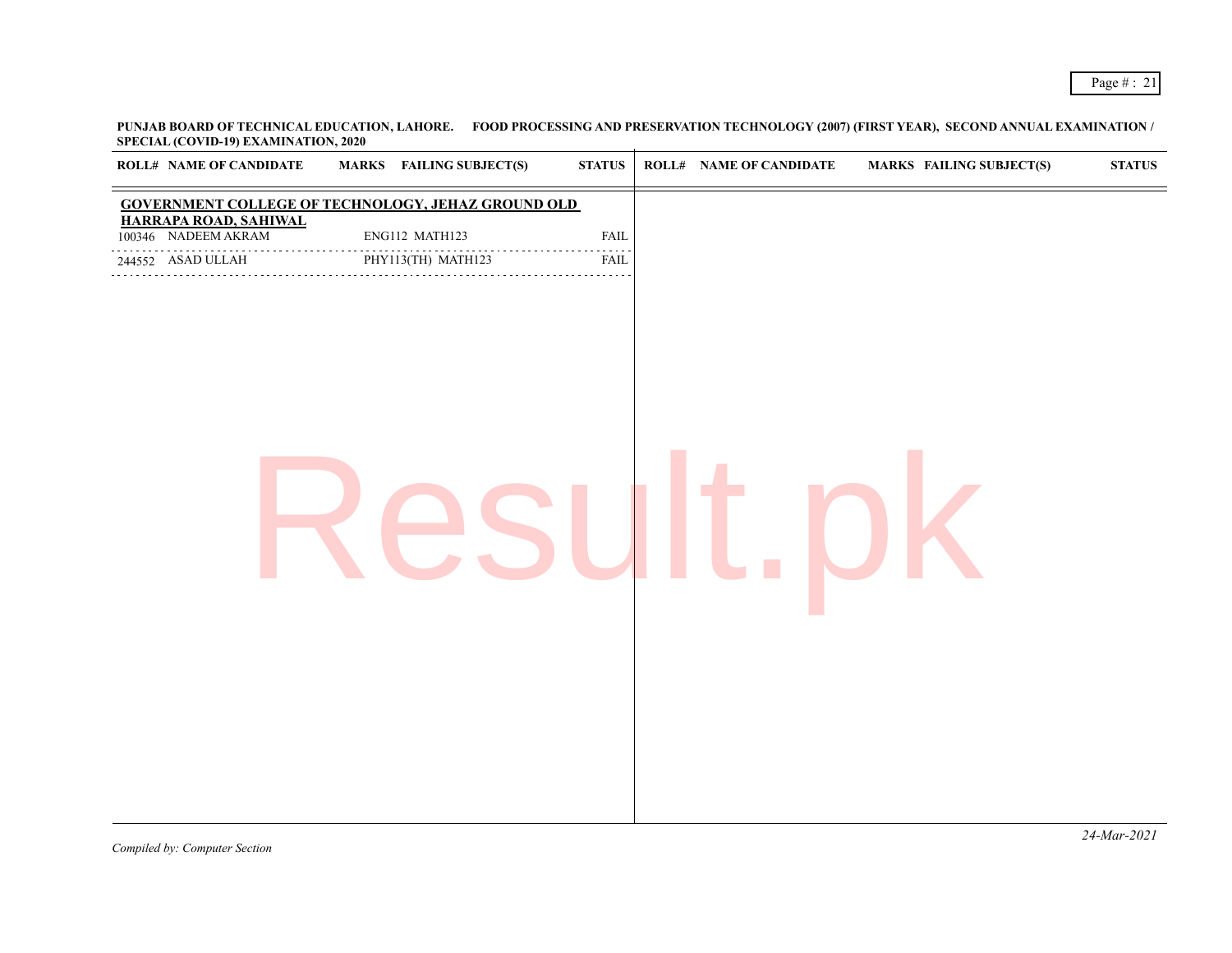**PUNJAB BOARD OF TECHNICAL EDUCATION, LAHORE. FOOD PROCESSING AND PRESERVATION TECHNOLOGY (2007) (FIRST YEAR), SECOND ANNUAL EXAMINATION / SPECIAL (COVID-19) EXAMINATION, 2020**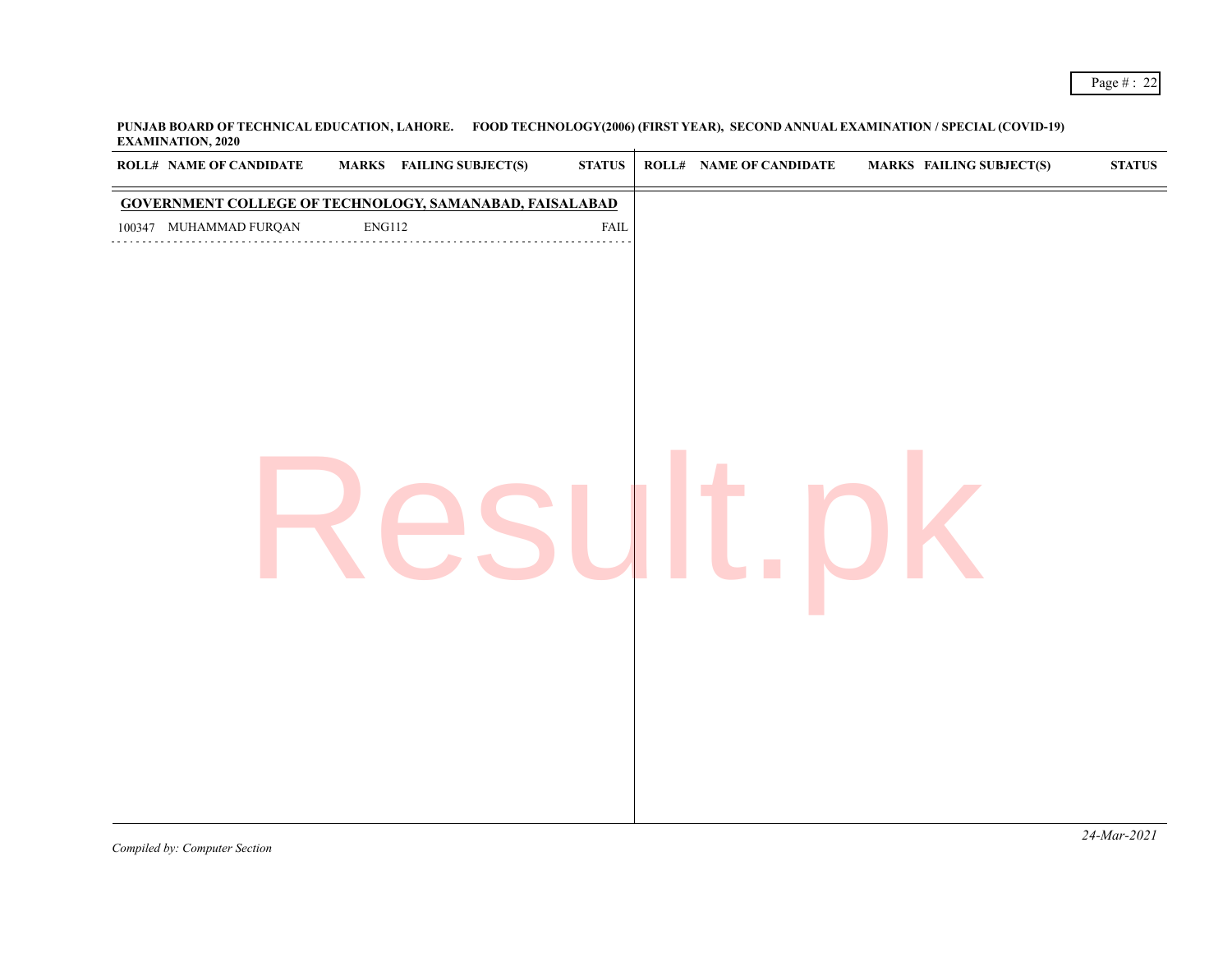| ROLL# NAME OF CANDIDATE |               | <b>MARKS</b> FAILING SUBJECT(S)                         | $\bold{STATUS}$ | ROLL# NAME OF CANDIDATE | <b>MARKS FAILING SUBJECT(S)</b> | $\bold{STATUS}$ |
|-------------------------|---------------|---------------------------------------------------------|-----------------|-------------------------|---------------------------------|-----------------|
|                         |               | GOVERNMENT COLLEGE OF TECHNOLOGY, SAMANABAD, FAISALABAD |                 |                         |                                 |                 |
| 100347 MUHAMMAD FURQAN  | <b>ENG112</b> |                                                         | FAIL            |                         |                                 |                 |
|                         |               |                                                         |                 |                         |                                 |                 |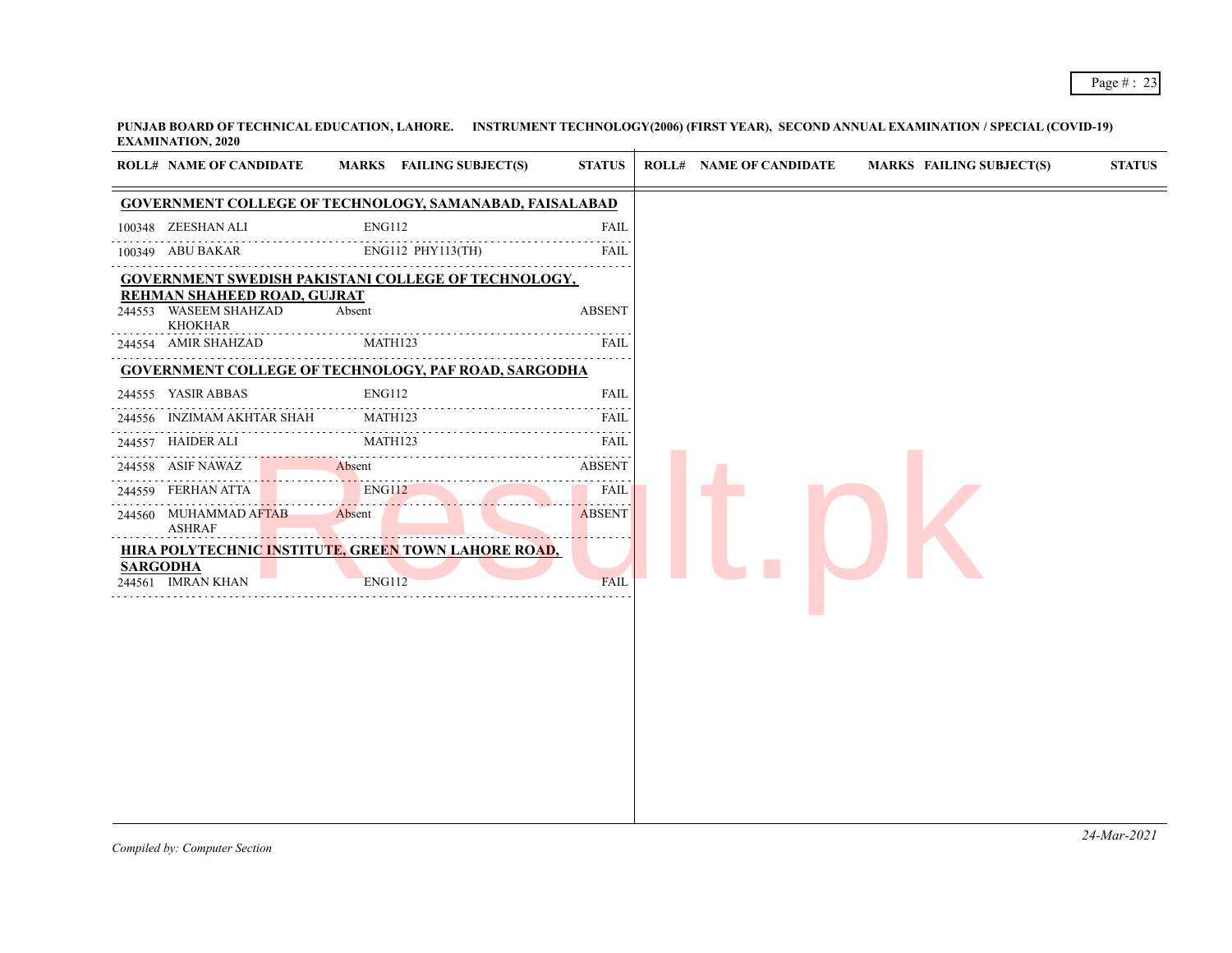| <b>GOVERNMENT COLLEGE OF TECHNOLOGY, SAMANABAD, FAISALABAD</b><br><b>ENG112</b><br>100348 ZEESHAN ALI<br><b>FAIL</b><br>ENG112 PHY113(TH)<br>FAIL<br><b>ABSENT</b><br>Absent<br><b>KHOKHAR</b><br>MATH123<br>FAIL<br><b>ENG112</b><br>FAIL<br>MATH123<br>FAIL<br>$-1 - 1 - 1 - 1$<br>MATH123<br>FAIL<br>.<br>Absent<br><b>ABSENT</b><br>ENG112<br><b>FAIL</b><br>FERHAN ATTA<br>Absent<br><b>ABSENT</b><br><b>ASHRAF</b><br><b>ENG112</b><br>FAIL | <b>ROLL# NAME OF CANDIDATE</b> | MARKS FAILING SUBJECT(S) | <b>STATUS</b> | <b>ROLL# NAME OF CANDIDATE</b> | <b>MARKS FAILING SUBJECT(S)</b> | <b>STATUS</b> |
|---------------------------------------------------------------------------------------------------------------------------------------------------------------------------------------------------------------------------------------------------------------------------------------------------------------------------------------------------------------------------------------------------------------------------------------------------|--------------------------------|--------------------------|---------------|--------------------------------|---------------------------------|---------------|
|                                                                                                                                                                                                                                                                                                                                                                                                                                                   |                                |                          |               |                                |                                 |               |
| 100349 ABU BAKAR<br>REHMAN SHAHEED ROAD, GUJRAT<br>HIRA POLYTECHNIC INSTITUTE, GREEN TOWN LAHORE ROAD,<br><b>SARGODHA</b>                                                                                                                                                                                                                                                                                                                         |                                |                          |               |                                |                                 |               |
| GOVERNMENT SWEDISH PAKISTANI COLLEGE OF TECHNOLOGY,<br><b>GOVERNMENT COLLEGE OF TECHNOLOGY, PAF ROAD, SARGODHA</b>                                                                                                                                                                                                                                                                                                                                |                                |                          |               |                                |                                 |               |
| 244553 WASEEM SHAHZAD<br>244554 AMIR SHAHZAD<br>244559<br>244561 IMRAN KHAN                                                                                                                                                                                                                                                                                                                                                                       |                                |                          |               |                                |                                 |               |
|                                                                                                                                                                                                                                                                                                                                                                                                                                                   |                                |                          |               |                                |                                 |               |
| 244555 YASIR ABBAS<br>244556 INZIMAM AKHTAR SHAH<br>244557 HAIDER ALI<br>244558 ASIF NAWAZ<br>244560 MUHAMMAD AFTAB                                                                                                                                                                                                                                                                                                                               |                                |                          |               |                                |                                 |               |
|                                                                                                                                                                                                                                                                                                                                                                                                                                                   |                                |                          |               |                                |                                 |               |
|                                                                                                                                                                                                                                                                                                                                                                                                                                                   |                                |                          |               |                                |                                 |               |
|                                                                                                                                                                                                                                                                                                                                                                                                                                                   |                                |                          |               |                                |                                 |               |
|                                                                                                                                                                                                                                                                                                                                                                                                                                                   |                                |                          |               |                                |                                 |               |
|                                                                                                                                                                                                                                                                                                                                                                                                                                                   |                                |                          |               |                                |                                 |               |
|                                                                                                                                                                                                                                                                                                                                                                                                                                                   |                                |                          |               |                                |                                 |               |
|                                                                                                                                                                                                                                                                                                                                                                                                                                                   |                                |                          |               |                                |                                 |               |
|                                                                                                                                                                                                                                                                                                                                                                                                                                                   |                                |                          |               |                                |                                 |               |
|                                                                                                                                                                                                                                                                                                                                                                                                                                                   |                                |                          |               |                                |                                 |               |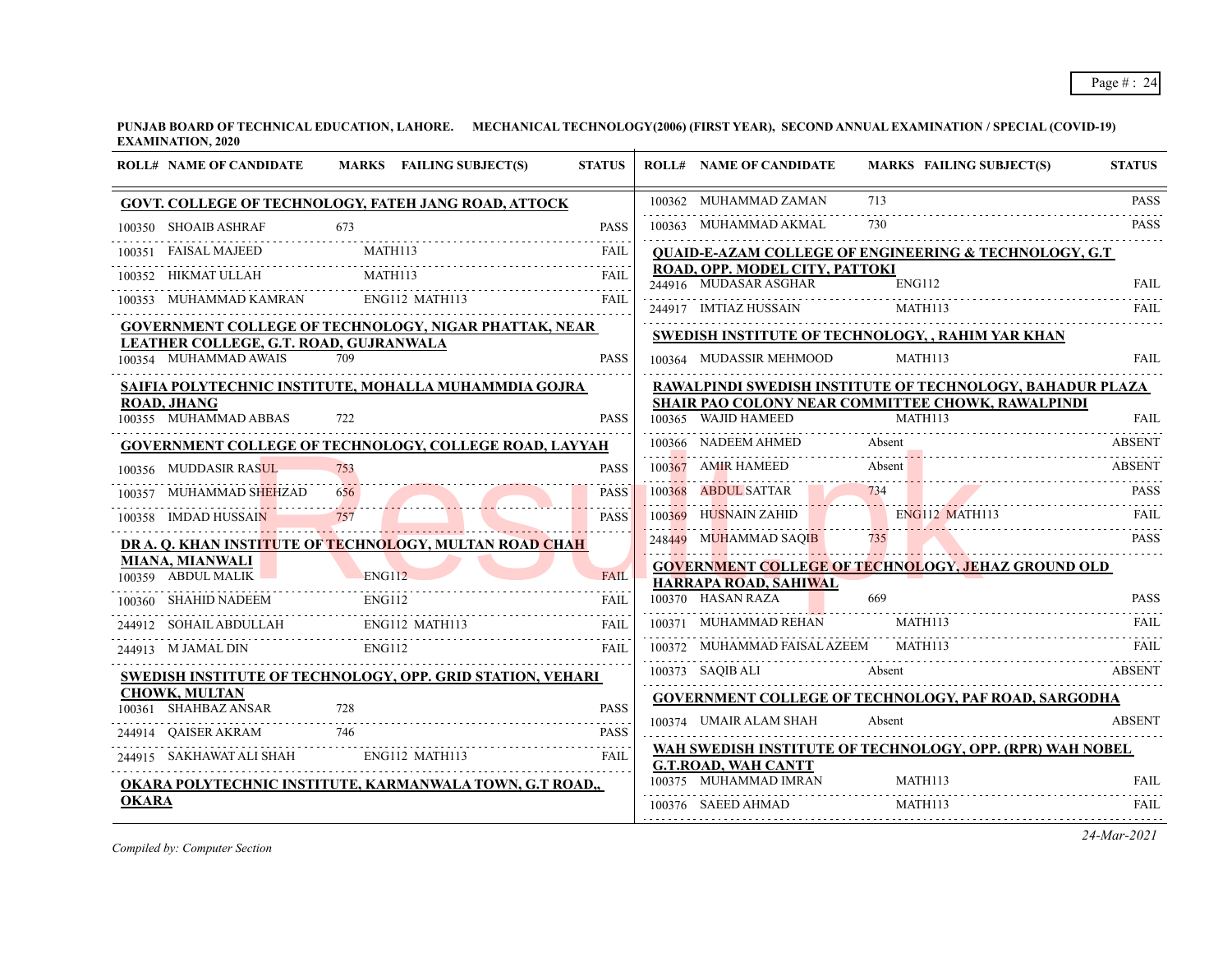| <b>ROLL# NAME OF CANDIDATE</b>                                         | MARKS FAILING SUBJECT(S)<br><b>STATUS</b> | <b>ROLL# NAME OF CANDIDATE</b>                          |        | <b>MARKS FAILING SUBJECT(S)</b>                                  | <b>STATUS</b> |
|------------------------------------------------------------------------|-------------------------------------------|---------------------------------------------------------|--------|------------------------------------------------------------------|---------------|
| <b>GOVT. COLLEGE OF TECHNOLOGY, FATEH JANG ROAD, ATTOCK</b>            |                                           | 100362 MUHAMMAD ZAMAN                                   | 713    |                                                                  | <b>PASS</b>   |
| 673<br>100350 SHOAIB ASHRAF                                            | <b>PASS</b>                               | 100363 MUHAMMAD AKMAL                                   |        |                                                                  | <b>PASS</b>   |
| FAISAL MAJEED MATH113 FAIL                                             |                                           |                                                         |        | <b>QUAID-E-AZAM COLLEGE OF ENGINEERING &amp; TECHNOLOGY, G.T</b> |               |
| MATH113<br>HIKMAT ULLAH<br>100352                                      | <b>FAIL</b>                               | ROAD, OPP. MODEL CITY, PATTOKI<br>244916 MUDASAR ASGHAR | ENG112 |                                                                  | <b>FAIL</b>   |
| 100353 MUHAMMAD KAMRAN ENG112 MATH113                                  | <b>FAIL</b>                               | 244917 IMTIAZ HUSSAIN MATH113                           |        |                                                                  | FAIL          |
| <b>GOVERNMENT COLLEGE OF TECHNOLOGY, NIGAR PHATTAK, NEAR</b>           |                                           | SWEDISH INSTITUTE OF TECHNOLOGY, , RAHIM YAR KHAN       |        |                                                                  |               |
| LEATHER COLLEGE, G.T. ROAD, GUJRANWALA<br>100354 MUHAMMAD AWAIS<br>709 | <b>PASS</b>                               | 100364 MUDASSIR MEHMOOD                                 |        | MATH113                                                          | <b>FAIL</b>   |
| SAIFIA POLYTECHNIC INSTITUTE, MOHALLA MUHAMMDIA GOJRA                  |                                           |                                                         |        | RAWALPINDI SWEDISH INSTITUTE OF TECHNOLOGY, BAHADUR PLAZA        |               |
| <b>ROAD, JHANG</b><br>100355 MUHAMMAD ABBAS<br>722                     | <b>PASS</b>                               | 100365 WAJID HAMEED                                     |        | SHAIR PAO COLONY NEAR COMMITTEE CHOWK, RAWALPINDI<br>MATH113     | FAIL          |
| GOVERNMENT COLLEGE OF TECHNOLOGY, COLLEGE ROAD, LAYYAH                 |                                           | 100366 NADEEM AHMED Absent                              |        |                                                                  | ABSENT        |
| 100356 MUDDASIR RASUL                                                  | <b>PASS</b>                               |                                                         |        | 100367 AMIR HAMEED Absent ABSENT ABSENT                          |               |
| 100357 MUHAMMAD SHEHZAD<br>656                                         | .<br><b>PASS</b>                          |                                                         |        | 100368 ABDUL SATTAR 734 734                                      | <b>PASS</b>   |
| 100358 IMDAD HUSSAIN<br>757                                            | <b>PASS</b>                               | 100369 HUSNAIN ZAHID ENG112 MATH113                     |        |                                                                  |               |
| DR A. Q. KHAN INSTITUTE OF TECHNOLOGY, MULTAN ROAD CHAH                |                                           | 248449 MUHAMMAD SAOIB                                   | 735    |                                                                  | <b>PASS</b>   |
| <b>MIANA, MIANWALI</b><br>100359 ABDUL MALIK ENG112                    | <b>FAIL</b>                               | HARRAPA ROAD, SAHIWAL                                   |        | <b>GOVERNMENT COLLEGE OF TECHNOLOGY, JEHAZ GROUND OLD</b>        |               |
| <b>ENG112</b><br>100360 SHAHID NADEEM                                  | <b>FAIL</b>                               | 100370 HASAN RAZA                                       | 669    |                                                                  | <b>PASS</b>   |
| ENG112 MATH113<br>244912 SOHAIL ABDULLAH                               | <b>FAIL</b>                               | 100371 MUHAMMAD REHAN                                   |        | MATH113                                                          | FAIL          |
| ENG112<br>244913 M JAMAL DIN                                           | <b>FAIL</b>                               | 100372 MUHAMMAD FAISAL AZEEM MATH113                    |        |                                                                  | FAIL.         |
| SWEDISH INSTITUTE OF TECHNOLOGY, OPP. GRID STATION, VEHARI             |                                           |                                                         |        | 100373 SAQIB ALI Absent ABSENT                                   |               |
| <b>CHOWK, MULTAN</b><br>100361 SHAHBAZ ANSAR                           | <b>PASS</b>                               |                                                         |        | GOVERNMENT COLLEGE OF TECHNOLOGY, PAF ROAD, SARGODHA             |               |
| 244914 QAISER AKRAM 746                                                | <b>PASS</b>                               | 100374 UMAIR ALAM SHAH                                  | Absent |                                                                  | <b>ABSENT</b> |
| 244915 SAKHAWAT ALI SHAH ENG112 MATH113                                | FAIL                                      |                                                         |        | WAH SWEDISH INSTITUTE OF TECHNOLOGY, OPP. (RPR) WAH NOBEL        |               |
| OKARA POLYTECHNIC INSTITUTE, KARMANWALA TOWN, G.T ROAD,,               |                                           | <b>G.T.ROAD, WAH CANTT</b><br>100375 MUHAMMAD IMRAN     |        | MATH113                                                          | FAIL          |
| <b>OKARA</b>                                                           |                                           | 100376 SAEED AHMAD                                      |        | MATH113                                                          | FAIL          |

*Compiled by: Computer Section*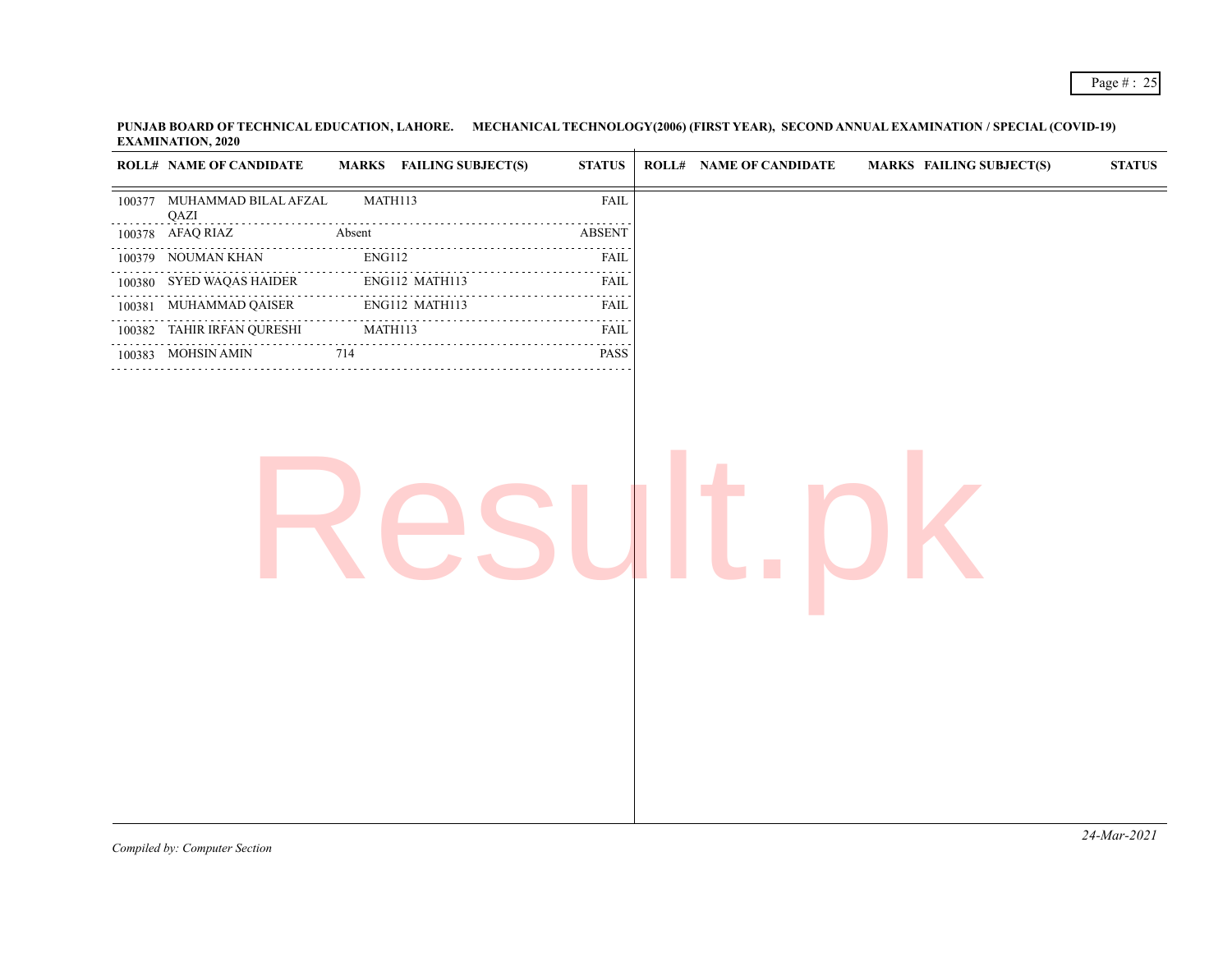|   | <b>ROLL# NAME OF CANDIDATE</b>      | <b>MARKS</b> FAILING SUBJECT(S) | <b>STATUS</b>     | <b>ROLL# NAME OF CANDIDATE</b> | <b>MARKS FAILING SUBJECT(S)</b> | <b>STATUS</b> |
|---|-------------------------------------|---------------------------------|-------------------|--------------------------------|---------------------------------|---------------|
|   | 100377 MUHAMMAD BILAL AFZAL<br>QAZI | MATH113                         | FAIL              |                                |                                 |               |
|   | 100378 AFAQ RIAZ                    | Absent                          | <b>ABSENT</b>     |                                |                                 |               |
|   | 100379 NOUMAN KHAN                  | ENG112                          | المتمامين<br>FAIL |                                |                                 |               |
| . | 100380 SYED WAQAS HAIDER            | ENG112 MATH113                  | FAIL              |                                |                                 |               |
|   | 100381 MUHAMMAD QAISER              | ENG112 MATH113                  | <b>FAIL</b>       |                                |                                 |               |
|   | 100382 TAHIR IRFAN QURESHI          | .<br>MATH113                    | .<br>FAIL         |                                |                                 |               |
|   | 100383 MOHSIN AMIN                  | 714                             | المتمالين<br>PASS |                                |                                 |               |
|   |                                     |                                 |                   |                                |                                 |               |
|   |                                     |                                 |                   |                                |                                 |               |
|   |                                     |                                 |                   |                                |                                 |               |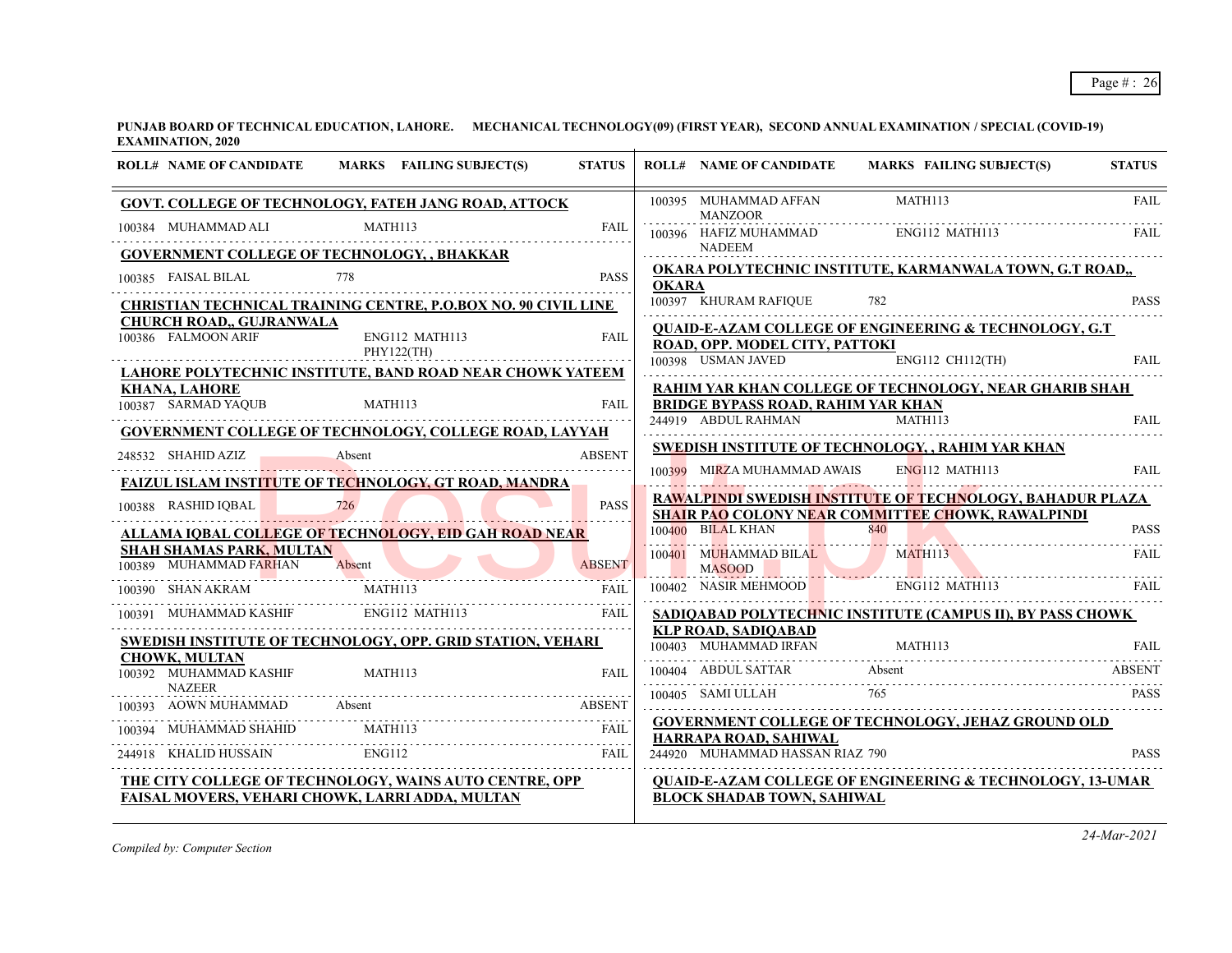| <b>ROLL# NAME OF CANDIDATE</b>                            |         | MARKS FAILING SUBJECT(S)                                                         | <b>STATUS</b> |              | <b>ROLL# NAME OF CANDIDATE</b>                      | MARKS FAILING SUBJECT(S)                                             | <b>STATUS</b> |
|-----------------------------------------------------------|---------|----------------------------------------------------------------------------------|---------------|--------------|-----------------------------------------------------|----------------------------------------------------------------------|---------------|
|                                                           |         | <b>GOVT. COLLEGE OF TECHNOLOGY, FATEH JANG ROAD, ATTOCK</b>                      |               |              | 100395 MUHAMMAD AFFAN<br><b>MANZOOR</b>             | MATH113                                                              | <b>FAIL</b>   |
| 100384 MUHAMMAD ALI                                       | MATH113 |                                                                                  | FAIL          |              | 100396 HAFIZ MUHAMMAD                               | ENG112 MATH113                                                       | <b>FAIL</b>   |
| <b>GOVERNMENT COLLEGE OF TECHNOLOGY, , BHAKKAR</b>        |         |                                                                                  |               |              | <b>NADEEM</b>                                       |                                                                      |               |
| 100385 FAISAL BILAL                                       | 778     |                                                                                  | <b>PASS</b>   | <b>OKARA</b> |                                                     | OKARA POLYTECHNIC INSTITUTE, KARMANWALA TOWN, G.T ROAD,,             |               |
|                                                           |         | CHRISTIAN TECHNICAL TRAINING CENTRE, P.O.BOX NO. 90 CIVIL LINE                   |               |              | 100397 KHURAM RAFIQUE                               | 782                                                                  | <b>PASS</b>   |
| <b>CHURCH ROAD,, GUJRANWALA</b><br>100386 FALMOON ARIF    |         | ENG112 MATH113<br>PHY122(TH)                                                     | FAIL          |              | ROAD, OPP. MODEL CITY, PATTOKI                      | <b>QUAID-E-AZAM COLLEGE OF ENGINEERING &amp; TECHNOLOGY, G.T.</b>    |               |
|                                                           |         | <b>LAHORE POLYTECHNIC INSTITUTE, BAND ROAD NEAR CHOWK YATEEM</b>                 |               |              | 100398 USMAN JAVED                                  | ENG112 CH112(TH)                                                     | <b>FAIL</b>   |
| <b>KHANA, LAHORE</b><br>100387 SARMAD YAQUB               | MATH113 |                                                                                  | <b>FAIL</b>   |              | <b>BRIDGE BYPASS ROAD, RAHIM YAR KHAN</b>           | RAHIM YAR KHAN COLLEGE OF TECHNOLOGY, NEAR GHARIB SHAH               |               |
|                                                           |         |                                                                                  |               |              | 244919 ABDUL RAHMAN                                 | MATH113                                                              | <b>FAIL</b>   |
|                                                           |         | <b>GOVERNMENT COLLEGE OF TECHNOLOGY, COLLEGE ROAD, LAYYAH</b>                    |               |              |                                                     | <b>SWEDISH INSTITUTE OF TECHNOLOGY, , RAHIM YAR KHAN</b>             |               |
| 248532 SHAHID AZIZ                                        | Absent  |                                                                                  | <b>ABSENT</b> |              | 100399 MIRZA MUHAMMAD AWAIS                         | ENG112 MATH113                                                       | FAIL          |
|                                                           |         | <b>FAIZUL ISLAM INSTITUTE OF TECHNOLOGY, GT ROAD, MANDRA</b>                     |               |              |                                                     | RAWALPINDI SWEDISH INSTITUTE OF TECHNOLOGY, BAHADUR PLAZA            |               |
| 100388 RASHID IQBAL                                       | 726     |                                                                                  | <b>PASS</b>   |              |                                                     | <b>SHAIR PAO COLONY NEAR COMMITTEE CHOWK, RAWALPINDI</b>             |               |
|                                                           |         | <u>ALLAMA IQBAL COLLEGE OF TECHNOLOGY, EID GAH ROAD NEAR-</u>                    |               |              | 100400 BILAL KHAN                                   | 840                                                                  | <b>PASS</b>   |
| <b>SHAH SHAMAS PARK, MULTAN</b><br>100389 MUHAMMAD FARHAN | Absent  |                                                                                  | <b>ABSENT</b> |              | 100401 MUHAMMAD BILAL<br><b>MASOOD</b>              | MATH113                                                              | FAIL          |
| 100390 SHAN AKRAM                                         |         | MATH113                                                                          | FAII.         |              | 100402 NASIR MEHMOOD                                | ENG112 MATH113                                                       | <b>FAIL</b>   |
|                                                           |         | 100391 MUHAMMAD KASHIF ENG112 MATH113                                            | FAIL          |              |                                                     | SADIQABAD POLYTECHNIC INSTITUTE (CAMPUS II), BY PASS CHOWK           |               |
|                                                           |         | <b>SWEDISH INSTITUTE OF TECHNOLOGY, OPP. GRID STATION, VEHARI</b>                |               |              | <b>KLP ROAD, SADIQABAD</b><br>100403 MUHAMMAD IRFAN | MATH113                                                              | FAII.         |
| <b>CHOWK, MULTAN</b><br>100392 MUHAMMAD KASHIF            | MATH113 |                                                                                  | FAIL          |              | 100404 ABDUL SATTAR                                 | Absent                                                               | <b>ABSENT</b> |
| <b>NAZEER</b>                                             |         |                                                                                  |               |              | 100405 SAMI ULLAH                                   | 765                                                                  | <b>PASS</b>   |
| 100393 AOWN MUHAMMAD Absent                               |         |                                                                                  | ABSENT        |              |                                                     |                                                                      |               |
|                                                           |         | MATH113<br>100394 MUHAMMAD SHAHID MATH113 FAIL 244918 KHALID HUSSAIN ENG112 FAIL |               |              | HARRAPA ROAD, SAHIWAL                               | <b>GOVERNMENT COLLEGE OF TECHNOLOGY, JEHAZ GROUND OLD</b>            |               |
|                                                           |         |                                                                                  |               |              | 244920 MUHAMMAD HASSAN RIAZ 790                     |                                                                      | <b>PASS</b>   |
|                                                           |         | THE CITY COLLEGE OF TECHNOLOGY, WAINS AUTO CENTRE, OPP                           |               |              |                                                     | <b>QUAID-E-AZAM COLLEGE OF ENGINEERING &amp; TECHNOLOGY, 13-UMAR</b> |               |
| FAISAL MOVERS, VEHARI CHOWK, LARRI ADDA, MULTAN           |         |                                                                                  |               |              | <b>BLOCK SHADAB TOWN, SAHIWAL</b>                   |                                                                      |               |

*Compiled by: Computer Section*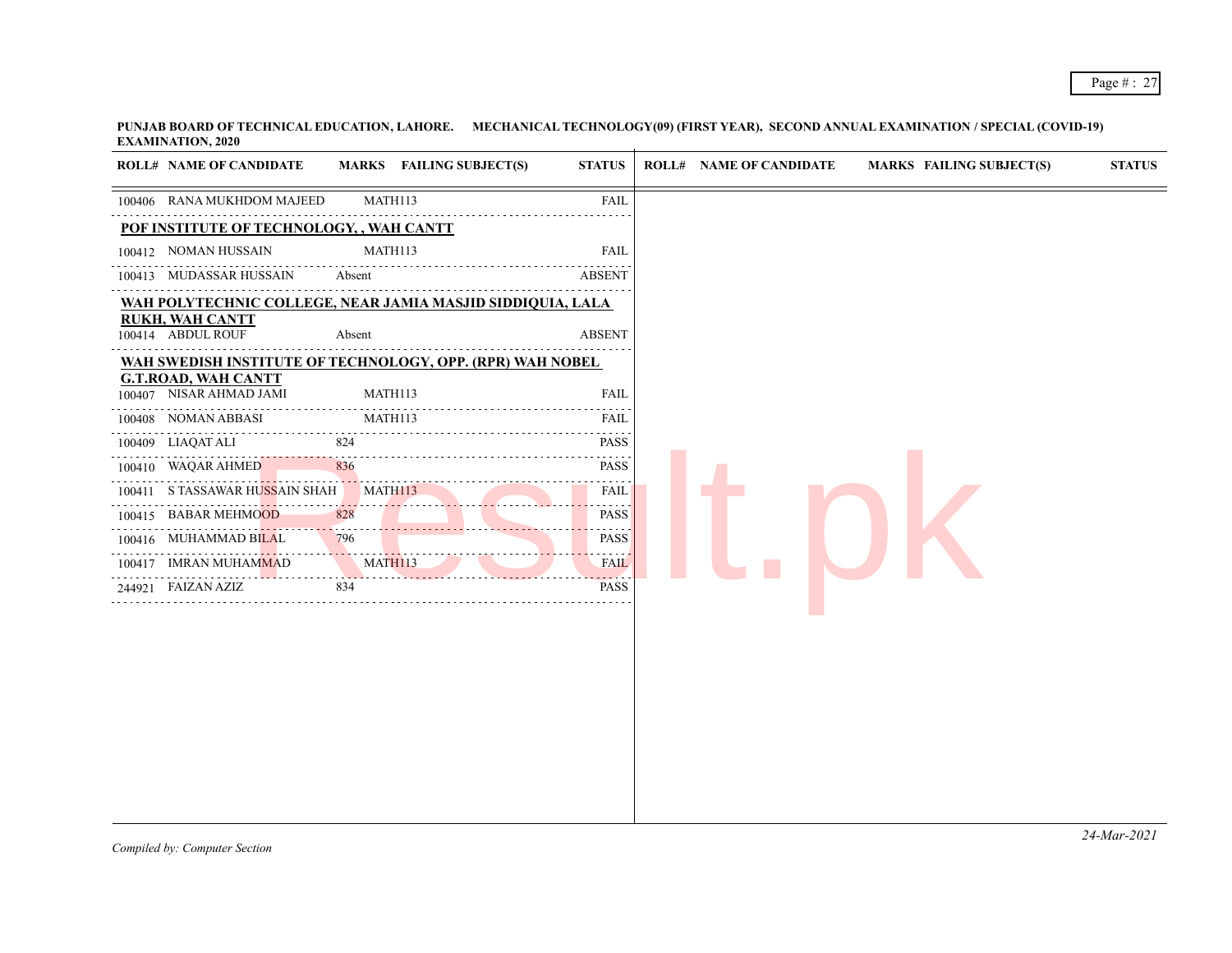|        | <b>ROLL# NAME OF CANDIDATE</b>                        | MARKS FAILING SUBJECT(S)                                   | <b>STATUS</b>                                                                                                                                                       | <b>ROLL# NAME OF CANDIDATE</b> | <b>MARKS FAILING SUBJECT(S)</b> | <b>STATUS</b> |
|--------|-------------------------------------------------------|------------------------------------------------------------|---------------------------------------------------------------------------------------------------------------------------------------------------------------------|--------------------------------|---------------------------------|---------------|
|        | 100406 RANA MUKHDOM MAJEED                            | MATH113                                                    | <b>FAIL</b>                                                                                                                                                         |                                |                                 |               |
|        | POF INSTITUTE OF TECHNOLOGY, , WAH CANTT              |                                                            |                                                                                                                                                                     |                                |                                 |               |
|        | 100412 NOMAN HUSSAIN                                  | MATH113                                                    | <b>FAIL</b>                                                                                                                                                         |                                |                                 |               |
|        | 100413 MUDASSAR HUSSAIN                               | Absent                                                     | <b>ABSENT</b>                                                                                                                                                       |                                |                                 |               |
|        |                                                       | WAH POLYTECHNIC COLLEGE, NEAR JAMIA MASJID SIDDIQUIA, LALA |                                                                                                                                                                     |                                |                                 |               |
|        | <b>RUKH, WAH CANTT</b><br>100414 ABDUL ROUF           | Absent                                                     | <b>ABSENT</b>                                                                                                                                                       |                                |                                 |               |
|        |                                                       | WAH SWEDISH INSTITUTE OF TECHNOLOGY, OPP. (RPR) WAH NOBEL  |                                                                                                                                                                     |                                |                                 |               |
|        | <b>G.T.ROAD, WAH CANTT</b><br>100407 NISAR AHMAD JAMI | MATH113                                                    | <b>FAIL</b>                                                                                                                                                         |                                |                                 |               |
|        | 100408 NOMAN ABBASI                                   | MATH113                                                    | FAIL                                                                                                                                                                |                                |                                 |               |
|        | 100409 LIAQAT ALI                                     | 824                                                        | <b>PASS</b>                                                                                                                                                         |                                |                                 |               |
|        | .<br>100410 WAQAR AHMED                               | 836                                                        | $\sim$ $\sim$ $\sim$<br><b>PASS</b>                                                                                                                                 |                                |                                 |               |
|        | 100411 STASSAWAR HUSSAIN SHAH                         | MATH113                                                    | .<br><b>FAIL</b>                                                                                                                                                    |                                |                                 |               |
|        | 100415 BABAR MEHMOOD                                  | 828                                                        | <b>PASS</b>                                                                                                                                                         |                                |                                 |               |
|        | 100416 MUHAMMAD BILAL                                 | 796                                                        | <b>PASS</b><br>.                                                                                                                                                    |                                |                                 |               |
|        | 100417 IMRAN MUHAMMAD                                 | MATH113                                                    | <b>FAIL</b><br>$\frac{1}{2} \left( \frac{1}{2} \right) \left( \frac{1}{2} \right) \left( \frac{1}{2} \right) \left( \frac{1}{2} \right) \left( \frac{1}{2} \right)$ |                                |                                 |               |
| 244921 | FAIZAN AZIZ                                           | 834                                                        | <b>PASS</b>                                                                                                                                                         |                                |                                 |               |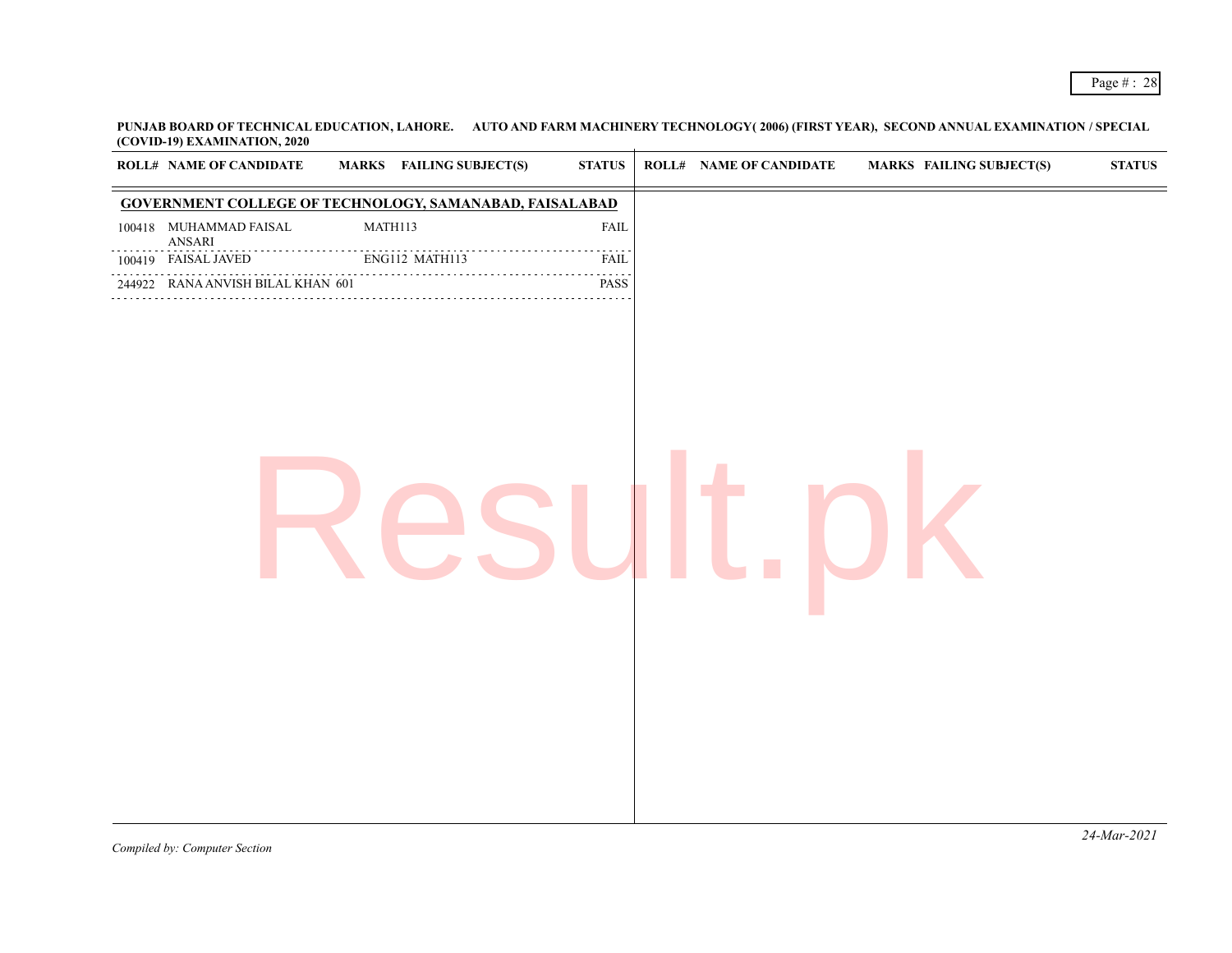| <b>ROLL# NAME OF CANDIDATE</b>                    | <b>MARKS</b> FAILING SUBJECT(S)                         | ${\bf STATUS}$               | <b>ROLL# NAME OF CANDIDATE</b> | <b>MARKS FAILING SUBJECT(S)</b> | <b>STATUS</b> |
|---------------------------------------------------|---------------------------------------------------------|------------------------------|--------------------------------|---------------------------------|---------------|
|                                                   | GOVERNMENT COLLEGE OF TECHNOLOGY, SAMANABAD, FAISALABAD |                              |                                |                                 |               |
| 100418 MUHAMMAD FAISAL<br>$\operatorname{ANSARI}$ | MATH113                                                 | <b>FAIL</b>                  |                                |                                 |               |
| 100419 FAISAL JAVED                               | .<br>ENG112 MATH113                                     | المتمامية<br>FAIL            |                                |                                 |               |
| 244922 RANA ANVISH BILAL KHAN 601                 |                                                         | $\omega$ is a set of<br>PASS |                                |                                 |               |
|                                                   |                                                         |                              |                                |                                 |               |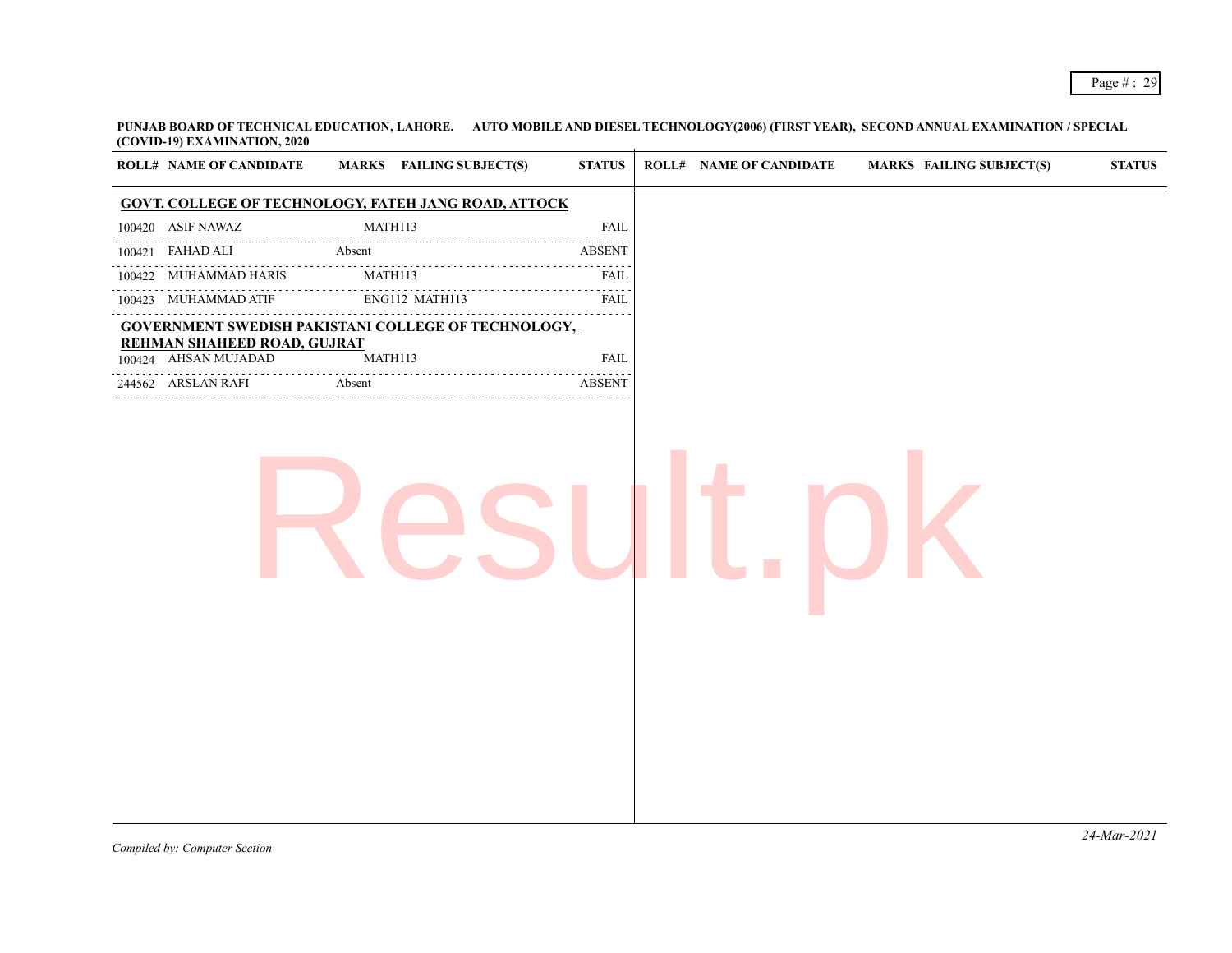**PUNJAB BOARD OF TECHNICAL EDUCATION, LAHORE. AUTO MOBILE AND DIESEL TECHNOLOGY(2006) (FIRST YEAR), SECOND ANNUAL EXAMINATION / SPECIAL (COVID-19) EXAMINATION, 2020**  $\mathcal{L}$ 

| <b>ROLL# NAME OF CANDIDATE</b>                      | <b>MARKS</b> FAILING SUBJECT(S)                             | <b>STATUS</b> | <b>ROLL# NAME OF CANDIDATE</b> | <b>MARKS FAILING SUBJECT(S)</b> | $\boldsymbol{\text{STATUS}}$ |
|-----------------------------------------------------|-------------------------------------------------------------|---------------|--------------------------------|---------------------------------|------------------------------|
|                                                     | <b>GOVT. COLLEGE OF TECHNOLOGY, FATEH JANG ROAD, ATTOCK</b> |               |                                |                                 |                              |
| 100420 ASIF NAWAZ                                   | MATH113                                                     | <b>FAIL</b>   |                                |                                 |                              |
| 100421 FAHAD ALI                                    | Absent                                                      | <b>ABSENT</b> |                                |                                 |                              |
| .<br>100422 MUHAMMAD HARIS                          | MATH113                                                     | FAIL          |                                |                                 |                              |
| 100423 MUHAMMAD ATIF                                | .<br>ENG112 MATH113                                         | FAIL          |                                |                                 |                              |
|                                                     | <b>GOVERNMENT SWEDISH PAKISTANI COLLEGE OF TECHNOLOGY,</b>  | 2.2.2.2.2.2   |                                |                                 |                              |
| REHMAN SHAHEED ROAD, GUJRAT<br>100424 AHSAN MUJADAD | MATH113                                                     | <b>FAIL</b>   |                                |                                 |                              |
| .<br>244562 ARSLAN RAFI                             | Absent                                                      | <b>ABSENT</b> |                                |                                 |                              |
|                                                     |                                                             |               |                                |                                 |                              |
|                                                     |                                                             |               |                                |                                 |                              |
|                                                     |                                                             |               |                                |                                 | 24-Mar-2021                  |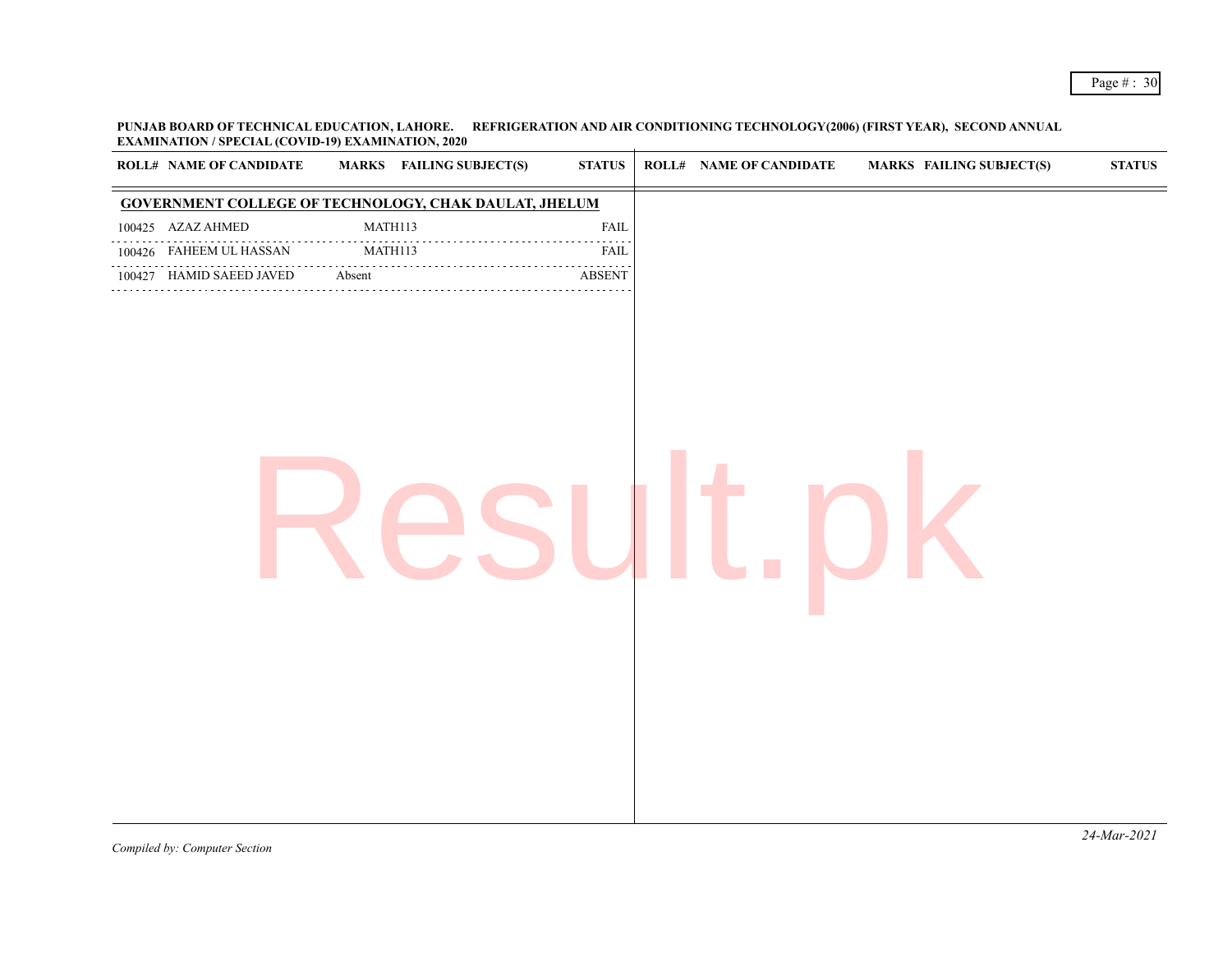**PUNJAB BOARD OF TECHNICAL EDUCATION, LAHORE. REFRIGERATION AND AIR CONDITIONING TECHNOLOGY(2006) (FIRST YEAR), SECOND ANNUAL EXAMINATION / SPECIAL (COVID-19) EXAMINATION, 2020**

| <b>ROLL# NAME OF CANDIDATE</b> | <b>MARKS</b> FAILING SUBJECT(S)                              | <b>STATUS</b>           | <b>ROLL# NAME OF CANDIDATE</b> | <b>MARKS FAILING SUBJECT(S)</b> | <b>STATUS</b> |
|--------------------------------|--------------------------------------------------------------|-------------------------|--------------------------------|---------------------------------|---------------|
|                                | <b>GOVERNMENT COLLEGE OF TECHNOLOGY, CHAK DAULAT, JHELUM</b> |                         |                                |                                 |               |
| 100425 AZAZ AHMED              | MATH113                                                      | FAIL                    |                                |                                 |               |
| 100426 FAHEEM UL HASSAN        | MATH113                                                      | FAIL                    |                                |                                 |               |
| 100427 HAMID SAEED JAVED       | Absent                                                       | $\operatorname{ABSENT}$ |                                |                                 |               |
|                                |                                                              |                         |                                |                                 | .             |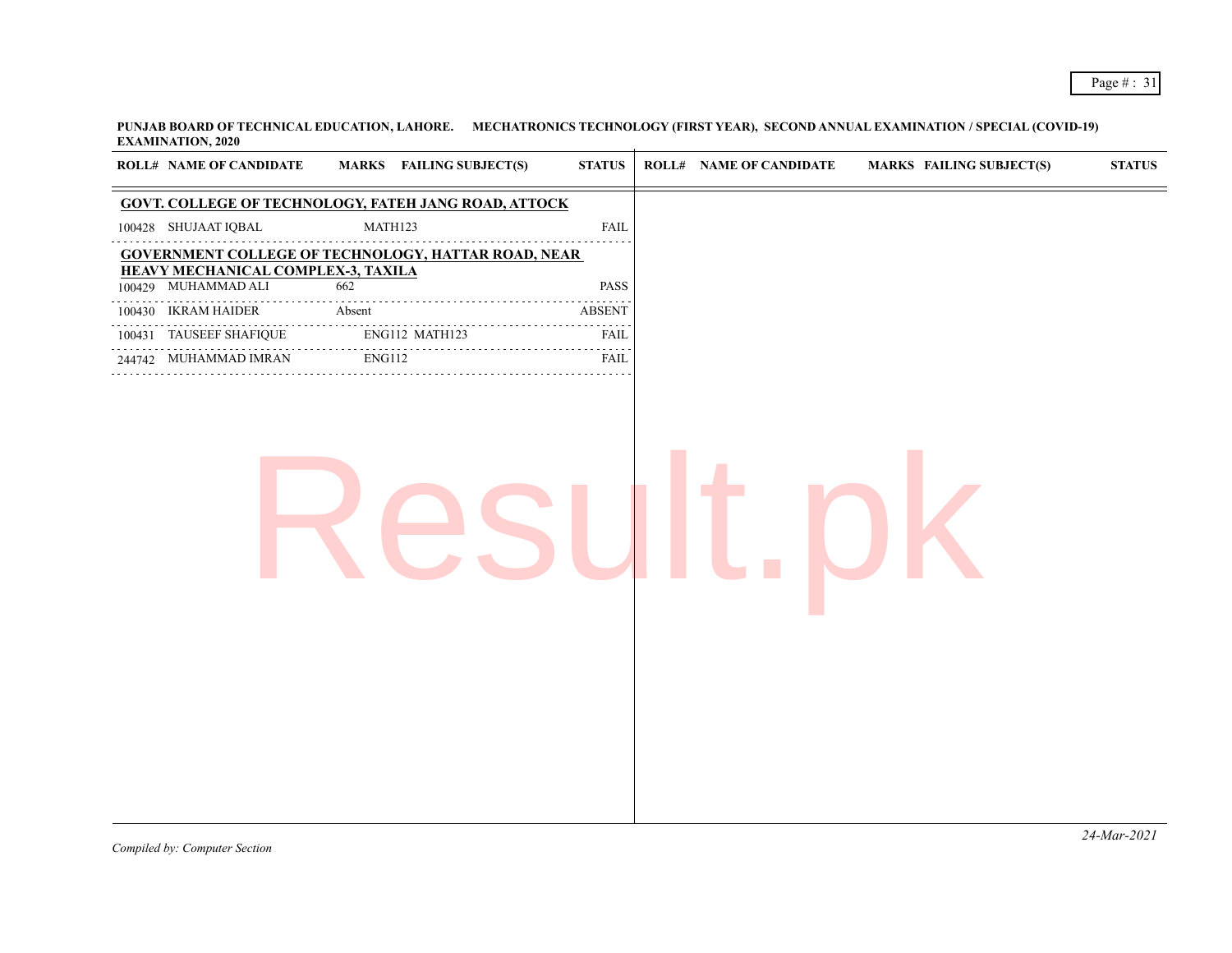**PUNJAB BOARD OF TECHNICAL EDUCATION, LAHORE. MECHATRONICS TECHNOLOGY (FIRST YEAR), SECOND ANNUAL EXAMINATION / SPECIAL (COVID-19) EXAMINATION, 2020**  $\mathcal{L}$ 

| <b>GOVT. COLLEGE OF TECHNOLOGY, FATEH JANG ROAD, ATTOCK</b><br>MATH123<br>100428 SHUJAAT IQBAL<br><b>FAIL</b><br><b>GOVERNMENT COLLEGE OF TECHNOLOGY, HATTAR ROAD, NEAR</b><br><b>HEAVY MECHANICAL COMPLEX-3, TAXILA</b><br>100429 MUHAMMAD ALI<br>662<br>PASS<br>100430 IKRAM HAIDER<br>Absent<br><b>ABSENT</b><br>.<br>100431 TAUSEEF SHAFIQUE<br>ENG112 MATH123<br><b>FAIL</b><br>$\omega$ is a second set of $\omega$<br>ENG112<br>FAIL<br>244742 MUHAMMAD IMRAN<br>. | <b>ROLL# NAME OF CANDIDATE</b> | MARKS FAILING SUBJECT(S) | <b>STATUS</b> | <b>ROLL# NAME OF CANDIDATE</b> | <b>MARKS FAILING SUBJECT(S)</b> | $\boldsymbol{\text{STATUS}}$ |
|---------------------------------------------------------------------------------------------------------------------------------------------------------------------------------------------------------------------------------------------------------------------------------------------------------------------------------------------------------------------------------------------------------------------------------------------------------------------------|--------------------------------|--------------------------|---------------|--------------------------------|---------------------------------|------------------------------|
|                                                                                                                                                                                                                                                                                                                                                                                                                                                                           |                                |                          |               |                                |                                 |                              |
|                                                                                                                                                                                                                                                                                                                                                                                                                                                                           |                                |                          |               |                                |                                 |                              |
|                                                                                                                                                                                                                                                                                                                                                                                                                                                                           |                                |                          |               |                                |                                 |                              |
|                                                                                                                                                                                                                                                                                                                                                                                                                                                                           |                                |                          |               |                                |                                 |                              |
|                                                                                                                                                                                                                                                                                                                                                                                                                                                                           |                                |                          |               |                                |                                 |                              |
|                                                                                                                                                                                                                                                                                                                                                                                                                                                                           |                                |                          |               |                                |                                 |                              |
|                                                                                                                                                                                                                                                                                                                                                                                                                                                                           |                                |                          |               |                                |                                 |                              |
|                                                                                                                                                                                                                                                                                                                                                                                                                                                                           |                                |                          |               |                                |                                 |                              |
|                                                                                                                                                                                                                                                                                                                                                                                                                                                                           |                                |                          |               |                                |                                 |                              |
|                                                                                                                                                                                                                                                                                                                                                                                                                                                                           |                                |                          |               |                                |                                 |                              |
|                                                                                                                                                                                                                                                                                                                                                                                                                                                                           |                                |                          |               |                                |                                 | $24$ -Mar-2021               |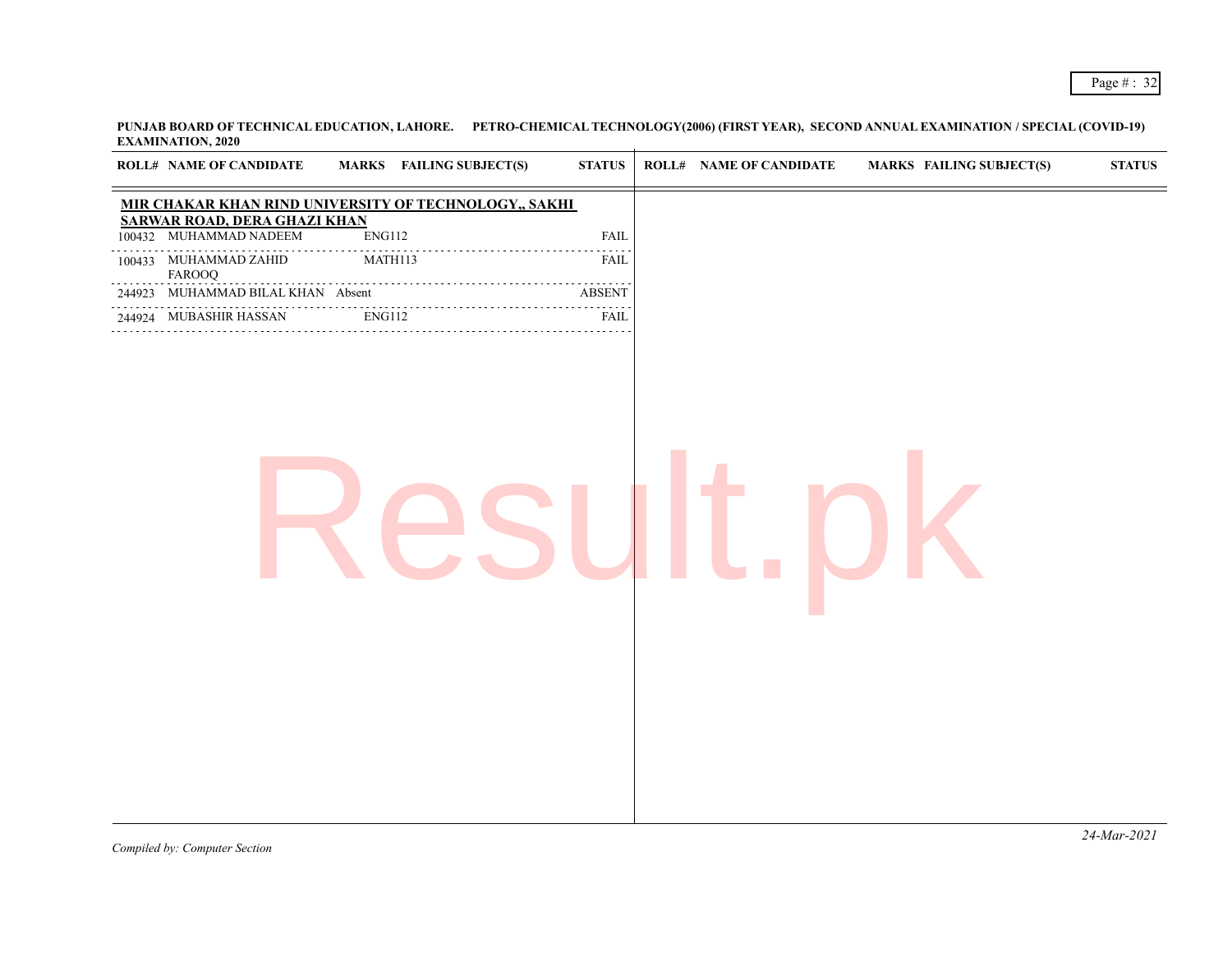| <b>EARLYMENT LOTS</b> , 2020                          |               |                                 |                  |                         |                                 |               |
|-------------------------------------------------------|---------------|---------------------------------|------------------|-------------------------|---------------------------------|---------------|
| <b>ROLL# NAME OF CANDIDATE</b>                        |               | <b>MARKS</b> FAILING SUBJECT(S) | <b>STATUS</b>    | ROLL# NAME OF CANDIDATE | <b>MARKS FAILING SUBJECT(S)</b> | <b>STATUS</b> |
| MIR CHAKAR KHAN RIND UNIVERSITY OF TECHNOLOGY,, SAKHI |               |                                 |                  |                         |                                 |               |
| <b>SARWAR ROAD, DERA GHAZI KHAN</b>                   |               |                                 |                  |                         |                                 |               |
| 100432 MUHAMMAD NADEEM                                | ENG112        |                                 | <b>FAIL</b>      |                         |                                 |               |
| 100433 MUHAMMAD ZAHID<br>FAROOQ                       |               | MATH113                         | FAIL             |                         |                                 |               |
| 244923 MUHAMMAD BILAL KHAN Absent                     |               |                                 | <b>ABSENT</b>    |                         |                                 |               |
| 244924 MUBASHIR HASSAN                                | <b>ENG112</b> |                                 | .<br><b>FAIL</b> |                         |                                 |               |
|                                                       |               |                                 |                  |                         |                                 |               |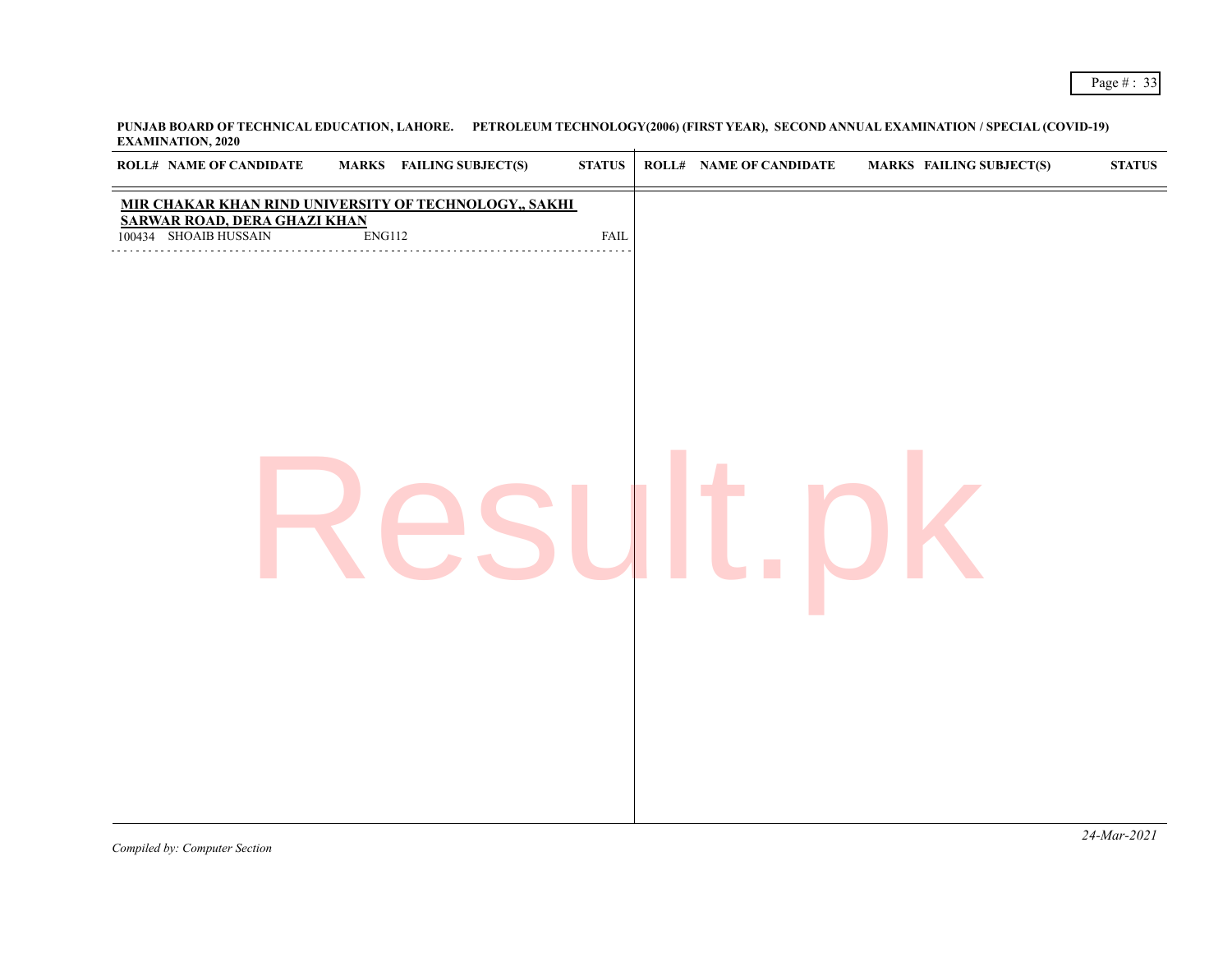| <b>EXECUTE:</b> WAA TOT 19 WARD<br><b>ROLL# NAME OF CANDIDATE</b> | <b>MARKS</b> FAILING SUBJECT(S)                       | $\bold{STATUS}$ | <b>ROLL# NAME OF CANDIDATE</b> | <b>MARKS FAILING SUBJECT(S)</b> | <b>STATUS</b> |
|-------------------------------------------------------------------|-------------------------------------------------------|-----------------|--------------------------------|---------------------------------|---------------|
| <b>SARWAR ROAD, DERA GHAZI KHAN</b>                               | MIR CHAKAR KHAN RIND UNIVERSITY OF TECHNOLOGY,, SAKHI |                 |                                |                                 |               |
| 100434 SHOAIB HUSSAIN                                             | ENG112                                                | ${\rm FAIL}$    |                                |                                 |               |
|                                                                   |                                                       |                 |                                |                                 |               |
|                                                                   |                                                       |                 |                                |                                 |               |
|                                                                   |                                                       |                 |                                |                                 |               |
|                                                                   |                                                       |                 |                                |                                 |               |
|                                                                   |                                                       |                 |                                |                                 |               |
|                                                                   |                                                       |                 |                                |                                 |               |
|                                                                   |                                                       |                 |                                |                                 |               |
|                                                                   |                                                       |                 |                                |                                 |               |
|                                                                   |                                                       |                 |                                |                                 |               |
|                                                                   |                                                       |                 |                                |                                 |               |
|                                                                   |                                                       |                 |                                |                                 |               |
|                                                                   |                                                       |                 |                                |                                 |               |
|                                                                   |                                                       |                 |                                |                                 |               |
|                                                                   |                                                       |                 |                                |                                 |               |
|                                                                   |                                                       |                 |                                |                                 |               |
|                                                                   |                                                       |                 |                                |                                 |               |
|                                                                   |                                                       |                 |                                |                                 |               |
|                                                                   |                                                       |                 |                                |                                 |               |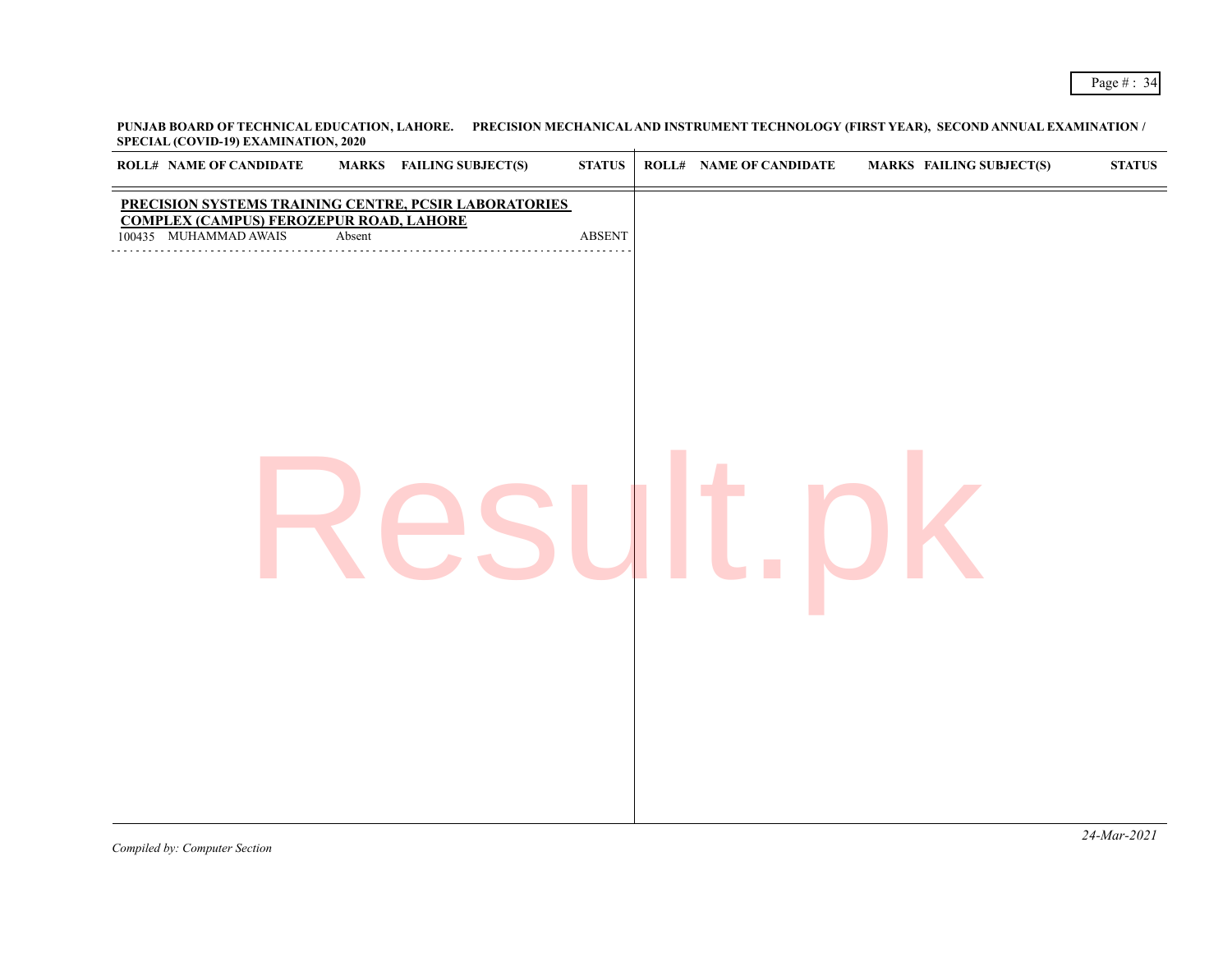**PUNJAB BOARD OF TECHNICAL EDUCATION, LAHORE. PRECISION MECHANICAL AND INSTRUMENT TECHNOLOGY (FIRST YEAR), SECOND ANNUAL EXAMINATION / SPECIAL (COVID-19) EXAMINATION, 2020**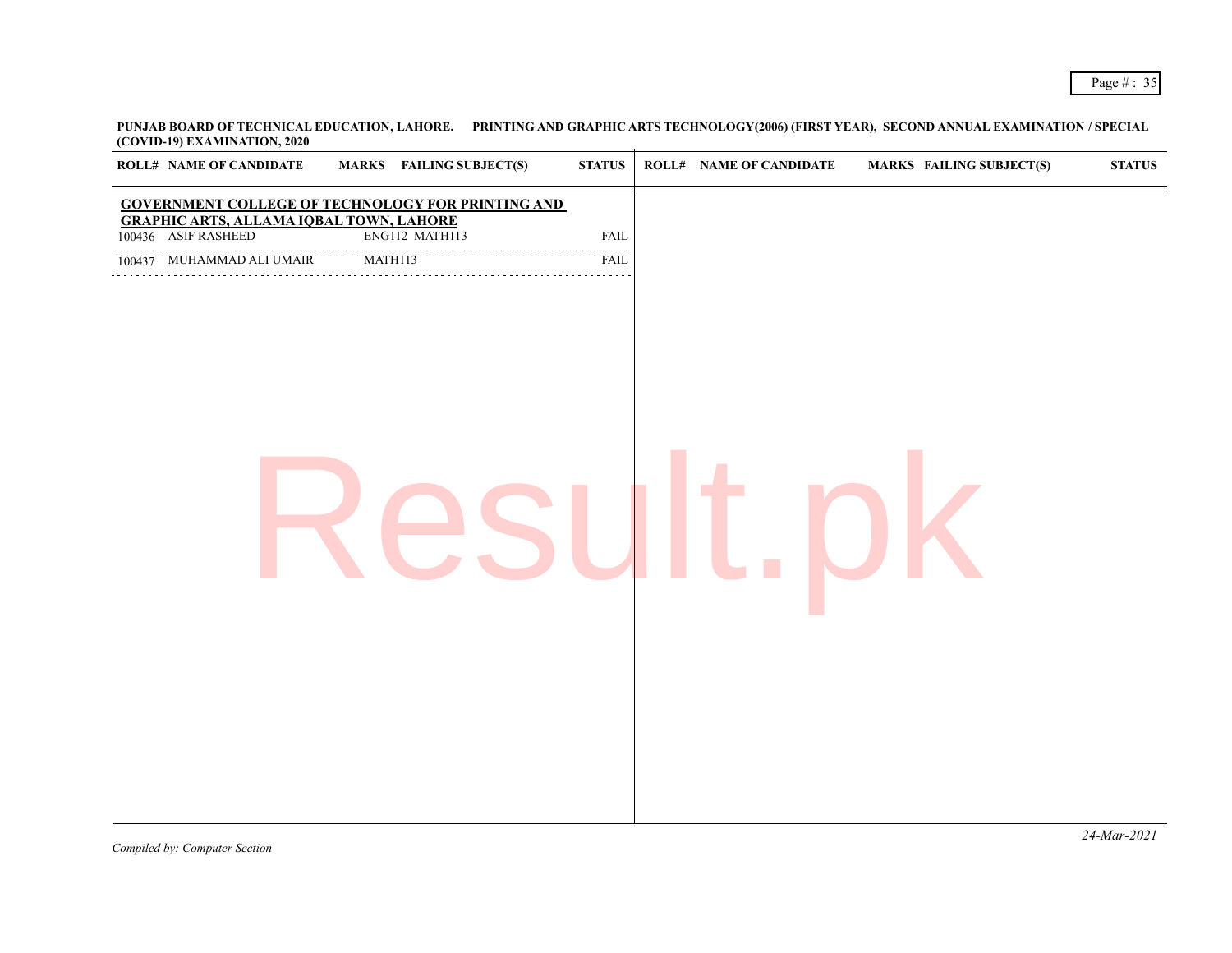| <b>ROLL# NAME OF CANDIDATE</b>                                        | <b>MARKS</b> FAILING SUBJECT(S)                          | <b>STATUS</b> | <b>ROLL# NAME OF CANDIDATE</b> | <b>MARKS FAILING SUBJECT(S)</b> | <b>STATUS</b> |
|-----------------------------------------------------------------------|----------------------------------------------------------|---------------|--------------------------------|---------------------------------|---------------|
|                                                                       | <b>GOVERNMENT COLLEGE OF TECHNOLOGY FOR PRINTING AND</b> |               |                                |                                 |               |
| <b>GRAPHIC ARTS, ALLAMA IQBAL TOWN, LAHORE</b><br>100436 ASIF RASHEED | ENG112 MATH113                                           | FAIL          |                                |                                 |               |
| 100437 MUHAMMAD ALI UMAIR                                             | MATH113                                                  | FAIL          |                                |                                 |               |
|                                                                       |                                                          |               |                                |                                 |               |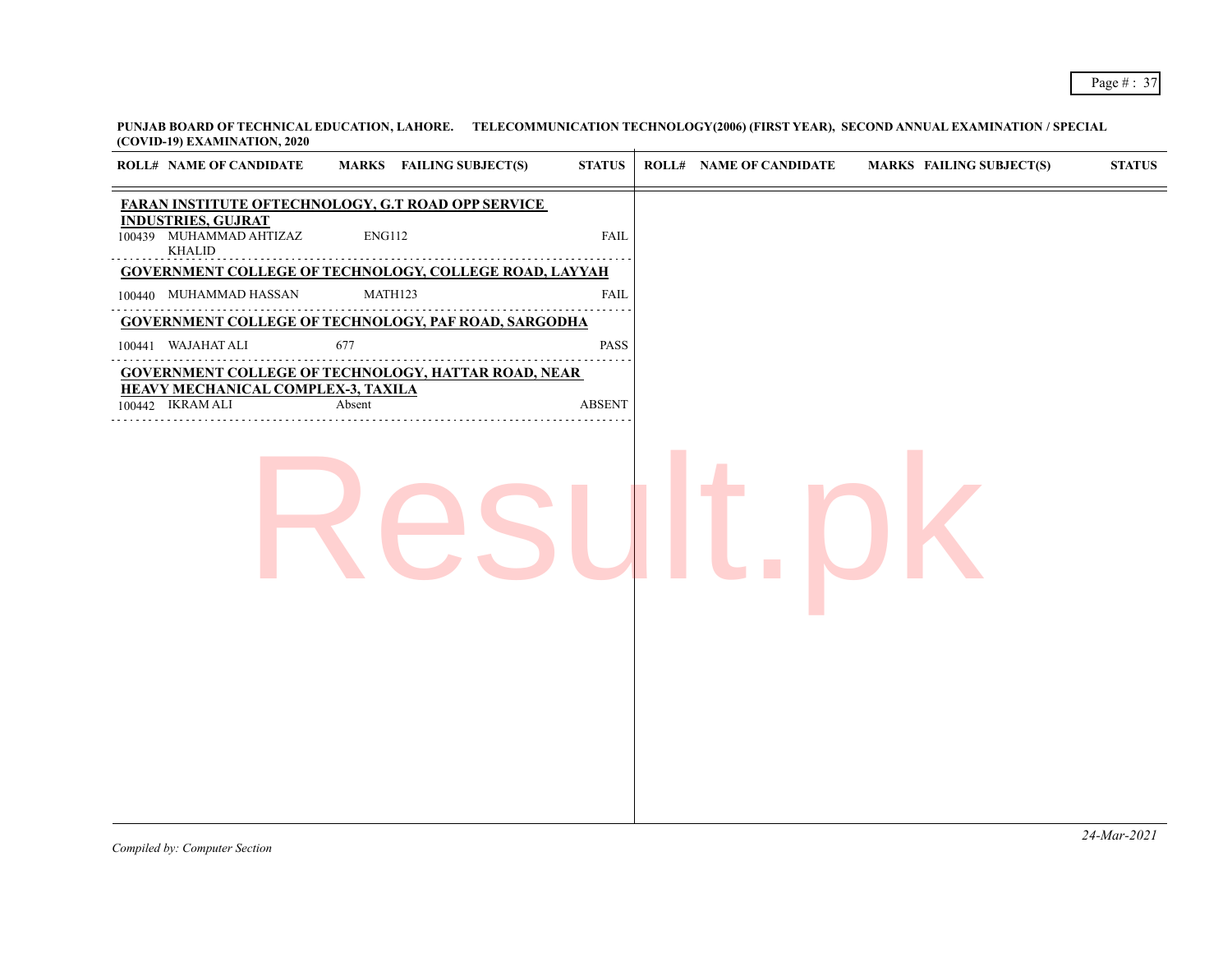| <b>ROLL# NAME OF CANDIDATE</b>                                        |               | <b>MARKS</b> FAILING SUBJECT(S) | <b>STATUS</b> | <b>ROLL# NAME OF CANDIDATE</b> | <b>MARKS FAILING SUBJECT(S)</b> | <b>STATUS</b> |
|-----------------------------------------------------------------------|---------------|---------------------------------|---------------|--------------------------------|---------------------------------|---------------|
| FARAN INSTITUTE OFTECHNOLOGY, G.T ROAD OPP SERVICE                    |               |                                 |               |                                |                                 |               |
| <b>INDUSTRIES, GUJRAT</b><br>100439 MUHAMMAD AHTIZAZ<br><b>KHALID</b> | <b>ENG112</b> |                                 | <b>FAIL</b>   |                                |                                 |               |
| <b>GOVERNMENT COLLEGE OF TECHNOLOGY, COLLEGE ROAD, LAYYAH</b>         |               |                                 |               |                                |                                 |               |
| 100440 MUHAMMAD HASSAN                                                | MATH123       |                                 | <b>FAIL</b>   |                                |                                 |               |
| <b>GOVERNMENT COLLEGE OF TECHNOLOGY, PAF ROAD, SARGODHA</b>           |               |                                 |               |                                |                                 |               |
| 100441 WAJAHAT ALI                                                    | 677           |                                 | PASS          |                                |                                 |               |
| <b>GOVERNMENT COLLEGE OF TECHNOLOGY, HATTAR ROAD, NEAR</b>            |               |                                 |               |                                |                                 |               |
| <b>HEAVY MECHANICAL COMPLEX-3, TAXILA</b><br>100442 IKRAM ALI         | Absent        |                                 | <b>ABSENT</b> |                                |                                 |               |
|                                                                       |               |                                 |               |                                |                                 |               |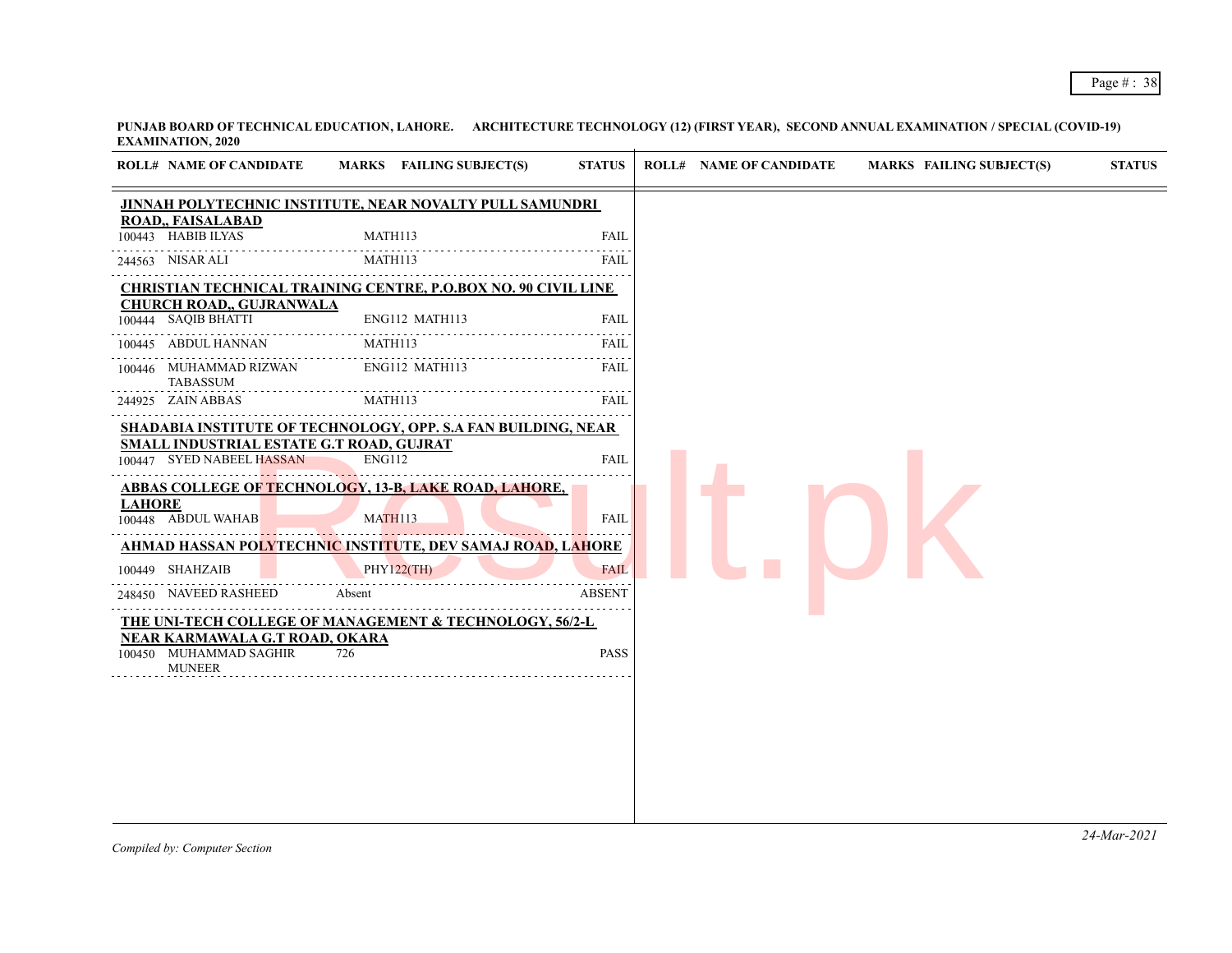|               | <b>ROLL# NAME OF CANDIDATE</b>                                        | MARKS FAILING SUBJECT(S)                                                       | <b>STATUS</b>                                     | <b>ROLL# NAME OF CANDIDATE</b> | <b>MARKS FAILING SUBJECT(S)</b> | <b>STATUS</b> |
|---------------|-----------------------------------------------------------------------|--------------------------------------------------------------------------------|---------------------------------------------------|--------------------------------|---------------------------------|---------------|
|               |                                                                       | JINNAH POLYTECHNIC INSTITUTE, NEAR NOVALTY PULL SAMUNDRI                       |                                                   |                                |                                 |               |
|               | ROAD,, FAISALABAD<br>100443 HABIB ILYAS                               | MATH113                                                                        | <b>FAIL</b>                                       |                                |                                 |               |
|               | 244563 NISAR ALI                                                      | MATH113                                                                        | <b>FAIL</b>                                       |                                |                                 |               |
|               |                                                                       | CHRISTIAN TECHNICAL TRAINING CENTRE, P.O.BOX NO. 90 CIVIL LINE                 |                                                   |                                |                                 |               |
|               | <b>CHURCH ROAD,, GUJRANWALA</b><br>100444 SAQIB BHATTI                | ENG112 MATH113                                                                 | <b>FAIL</b>                                       |                                |                                 |               |
| 100445        | ABDUL HANNAN                                                          | MATH113                                                                        | FAIL                                              |                                |                                 |               |
|               | 100446 MUHAMMAD RIZWAN<br>TABASSUM                                    | ENG112 MATH113                                                                 | <b>FAIL</b>                                       |                                |                                 |               |
|               | 244925 ZAIN ABBAS                                                     | MATH113                                                                        | $\omega$ , $\omega$ , $\omega$ , $\omega$<br>FAIL |                                |                                 |               |
|               | SMALL INDUSTRIAL ESTATE G.T ROAD, GUJRAT<br>100447 SYED NABEEL HASSAN | <b>SHADABIA INSTITUTE OF TECHNOLOGY, OPP. S.A FAN BUILDING, NEAR</b><br>ENG112 | <b>FAIL</b>                                       |                                |                                 |               |
| <b>LAHORE</b> | 100448 ABDUL WAHAB                                                    | <b>ABBAS COLLEGE OF TECHNOLOGY, 13-B, LAKE ROAD, LAHORE,</b><br><b>MATH113</b> | <b>FAIL</b>                                       |                                |                                 |               |
|               |                                                                       | <u>AHMAD HASSAN POLYTECHNIC INSTITUTE, DEV SAMAJ ROAD, LAHORE</u>              |                                                   |                                |                                 |               |
|               | 100449 SHAHZAIB                                                       | <b>PHY122(TH)</b>                                                              | <b>FAIL</b>                                       |                                |                                 |               |
|               | 248450 NAVEED RASHEED                                                 | Absent                                                                         | <b>ABSENT</b>                                     |                                |                                 |               |
|               | NEAR KARMAWALA G.T ROAD, OKARA                                        | THE UNI-TECH COLLEGE OF MANAGEMENT & TECHNOLOGY, 56/2-L                        |                                                   |                                |                                 |               |
|               | 100450 MUHAMMAD SAGHIR<br><b>MUNEER</b>                               | 726                                                                            | <b>PASS</b>                                       |                                |                                 |               |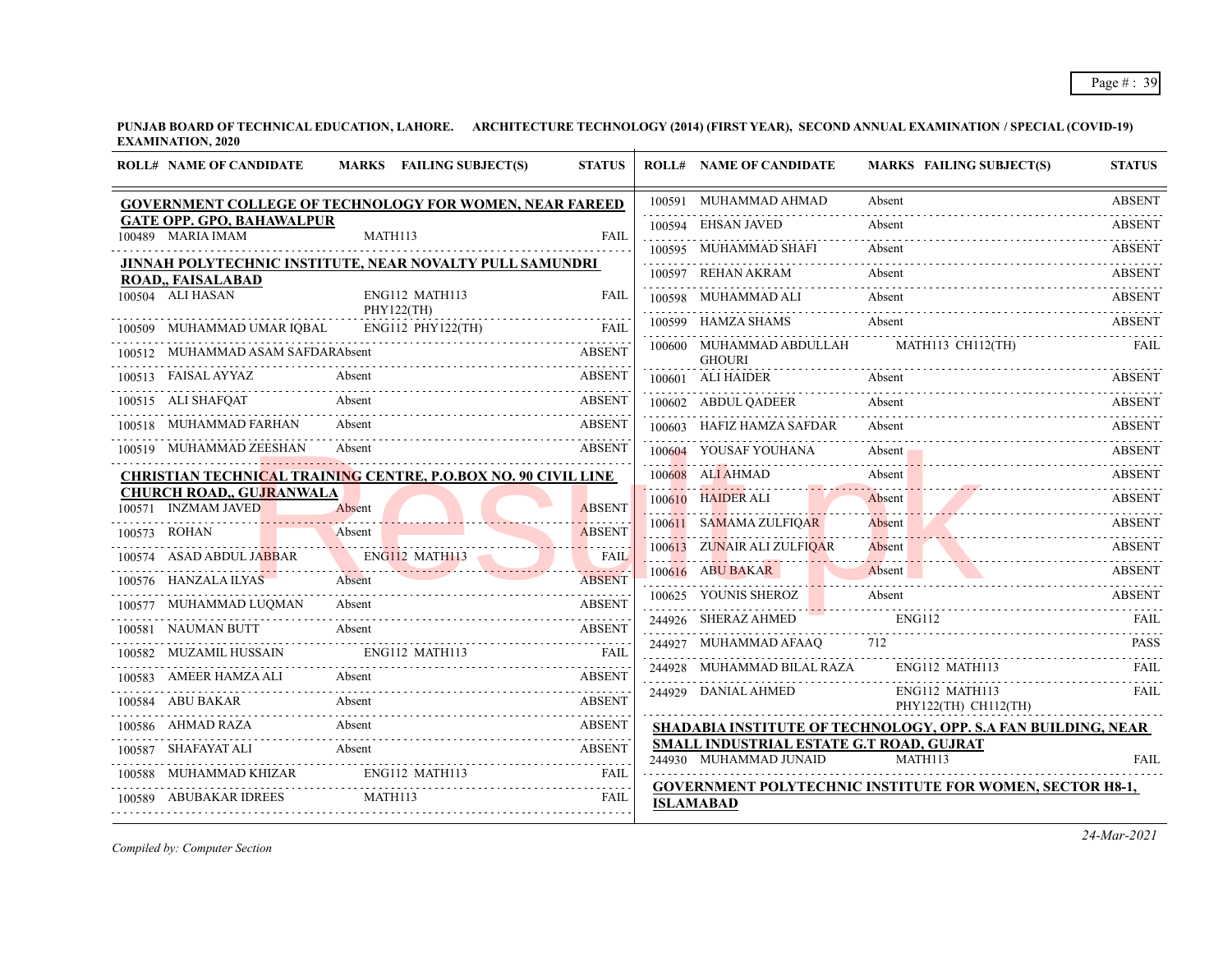**PUNJAB BOARD OF TECHNICAL EDUCATION, LAHORE. ARCHITECTURE TECHNOLOGY (2014) (FIRST YEAR), SECOND ANNUAL EXAMINATION / SPECIAL (COVID-19) EXAMINATION, 2020**  $\overline{1}$ 

|        | <b>ROLL# NAME OF CANDIDATE</b>                         | MARKS FAILING SUBJECT(S)                                              | <b>STATUS</b>              | <b>ROLL# NAME OF CANDIDATE</b>            | <b>MARKS FAILING SUBJECT(S)</b>                                 | <b>STATUS</b>      |
|--------|--------------------------------------------------------|-----------------------------------------------------------------------|----------------------------|-------------------------------------------|-----------------------------------------------------------------|--------------------|
|        |                                                        | GOVERNMENT COLLEGE OF TECHNOLOGY FOR WOMEN, NEAR FAREED               |                            | 100591 MUHAMMAD AHMAD                     | Absent                                                          | <b>ABSENT</b>      |
|        | <b>GATE OPP. GPO, BAHAWALPUR</b><br>100489 MARIA IMAM  | MATH113                                                               | FAIL                       | 100594 EHSAN JAVED                        | Absent                                                          | .<br><b>ABSENT</b> |
|        |                                                        |                                                                       |                            | 100595 MUHAMMAD SHAFI                     | Absent                                                          | ABSENT             |
|        | ROAD,, FAISALABAD                                      | JINNAH POLYTECHNIC INSTITUTE, NEAR NOVALTY PULL SAMUNDRI              |                            | 100597 REHAN AKRAM                        | Absent                                                          | <b>ABSENT</b>      |
|        | 100504 ALI HASAN                                       | ENG112 MATH113                                                        | FAIL                       | 100598 MUHAMMAD ALI                       | Absent                                                          | <b>ABSENT</b>      |
| 100509 | MUHAMMAD UMAR IQBAL                                    | PHY122(TH)<br>ENG112 PHY122(TH)                                       | <b>FAIL</b>                | 100599 HAMZA SHAMS                        | Absent                                                          | <b>ABSENT</b>      |
| 100512 | MUHAMMAD ASAM SAFDARAbsent                             |                                                                       | <b>ABSENT</b>              | 100600 MUHAMMAD ABDULLAH<br><b>GHOURI</b> | MATH113 CH112(TH)                                               | <b>FAIL</b>        |
|        | 100513 FAISAL AYYAZ                                    | Absent                                                                | <b>ABSENT</b>              | 100601 ALI HAIDER                         | Absent                                                          | <b>ABSENT</b>      |
|        | 100515 ALI SHAFQAT                                     | Absent                                                                | <b>ABSENT</b>              | 100602 ABDUL QADEER                       | Absent                                                          | <b>ABSENT</b>      |
| 100518 | MUHAMMAD FARHAN                                        | Absent                                                                | <b>ABSENT</b>              | 100603 HAFIZ HAMZA SAFDAR                 | Absent                                                          | <b>ABSENT</b>      |
|        | 100519 MUHAMMAD ZEESHAN                                | Absent                                                                | <b>ABSENT</b>              | 100604 YOUSAF YOUHANA                     | Absent                                                          | <b>ABSENT</b>      |
|        |                                                        | <b>CHRISTIAN TECHNICAL TRAINING CENTRE, P.O.BOX NO. 90 CIVIL LINE</b> |                            | 100608 ALI AHMAD                          | Absent                                                          | <b>ABSENT</b>      |
| 100571 | <b>CHURCH ROAD,, GUJRANWALA</b><br><b>INZMAM JAVED</b> | Absent                                                                | <b>ABSENT</b>              | 100610 HAIDER ALI                         | Absent                                                          | ABSENT             |
|        | 100573 ROHAN                                           | Absent                                                                | <b>ABSENT</b>              | 100611 SAMAMA ZULFIQAR                    | Absent                                                          | <b>ABSENT</b>      |
|        | 100574 ASAD ABDUL JABBAR                               | ENG112 MATH113                                                        | <u>.</u><br><b>FAIL</b>    | 100613 ZUNAIR ALI ZULFIQAR                | Absent                                                          | <b>ABSENT</b>      |
|        | 100576 HANZALA ILYAS                                   | Absent                                                                | 1.1.1.1.1<br><b>ABSENT</b> | 100616 ABU BAKAR                          | Absent                                                          | <b>ABSENT</b>      |
|        | MUHAMMAD LUOMAN                                        | Absent                                                                | <b>ABSENT</b>              | 100625 YOUNIS SHEROZ                      | Absent                                                          | <b>ABSENT</b>      |
|        | 100581 NAUMAN BUTT                                     | Absent                                                                | <b>ABSENT</b>              | 244926 SHERAZ AHMED                       | <b>ENG112</b>                                                   | FAIL               |
|        | MUZAMIL HUSSAIN                                        | ENG112 MATH113                                                        | <b>FAIL</b>                | 244927 MUHAMMAD AFAAQ                     | 712                                                             | <b>PASS</b>        |
| 100582 | AMEER HAMZA ALI                                        | Absent                                                                | <b>ABSENT</b>              | 244928 MUHAMMAD BILAL RAZA                | ENG112 MATH113                                                  | <b>FAIL</b>        |
|        |                                                        | Absent                                                                |                            | 244929 DANIAL AHMED                       | ENG112 MATH113                                                  | FAIL               |
|        | 100584 ABU BAKAR                                       |                                                                       | <b>ABSENT</b>              |                                           | PHY122(TH) CH112(TH)                                            |                    |
|        | 100586 AHMAD RAZA                                      | Absent                                                                | <b>ABSENT</b>              | SMALL INDUSTRIAL ESTATE G.T ROAD, GUJRAT  | SHADABIA INSTITUTE OF TECHNOLOGY, OPP. S.A FAN BUILDING, NEAR   |                    |
|        | 100587 SHAFAYAT ALI                                    | Absent                                                                | <b>ABSENT</b>              | 244930 MUHAMMAD JUNAID                    | MATH113                                                         | <b>FAIL</b>        |
| 100588 | MUHAMMAD KHIZAR<br>100589 ABUBAKAR IDREES              | ENG112 MATH113<br>MATH113                                             | FAIL<br>FAIL               |                                           | <b>GOVERNMENT POLYTECHNIC INSTITUTE FOR WOMEN, SECTOR H8-1,</b> |                    |
|        |                                                        |                                                                       |                            | <b>ISLAMABAD</b>                          |                                                                 |                    |

*Compiled by: Computer Section*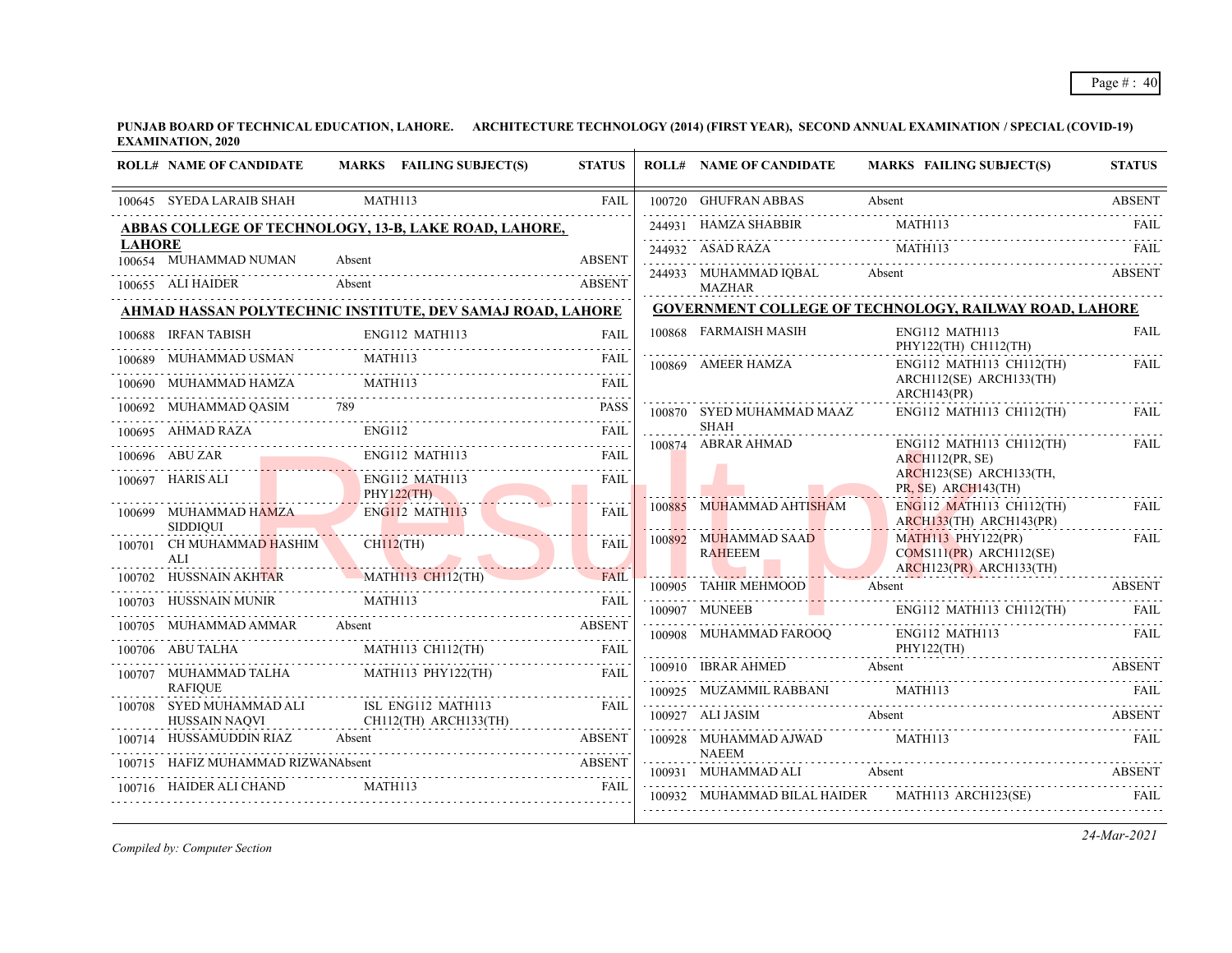|               | <b>ROLL# NAME OF CANDIDATE</b>             | MARKS FAILING SUBJECT(S)                                                                                                               | <b>STATUS</b> | <b>ROLL# NAME OF CANDIDATE</b>                         | <b>MARKS FAILING SUBJECT(S)</b>                               | <b>STATUS</b> |
|---------------|--------------------------------------------|----------------------------------------------------------------------------------------------------------------------------------------|---------------|--------------------------------------------------------|---------------------------------------------------------------|---------------|
|               | 100645 SYEDA LARAIB SHAH                   | MATH113                                                                                                                                | <b>FAIL</b>   | 100720 GHUFRAN ABBAS                                   | Absent                                                        | <b>ABSENT</b> |
|               |                                            | ABBAS COLLEGE OF TECHNOLOGY, 13-B, LAKE ROAD, LAHORE,                                                                                  |               | 244931 HAMZA SHABBIR                                   | MATH113                                                       | FAII.         |
| <b>LAHORE</b> | 100654 MUHAMMAD NUMAN                      | Absent                                                                                                                                 | <b>ABSENT</b> | 244932 ASAD RAZA                                       | MATH113                                                       | FAIL          |
|               | 100655 ALI HAIDER                          | Absent                                                                                                                                 | <b>ABSENT</b> | 244933 MUHAMMAD IOBAL<br><b>MAZHAR</b>                 | Absent                                                        | <b>ABSENT</b> |
|               |                                            | AHMAD HASSAN POLYTECHNIC INSTITUTE, DEV SAMAJ ROAD, LAHORE                                                                             |               |                                                        | <b>GOVERNMENT COLLEGE OF TECHNOLOGY, RAILWAY ROAD, LAHORE</b> |               |
|               | 100688 IRFAN TABISH                        | ENG112 MATH113                                                                                                                         | <b>FAIL</b>   | 100868 FARMAISH MASIH                                  | ENG112 MATH113<br>PHY122(TH) CH112(TH)                        | <b>FAIL</b>   |
|               | 100689 MUHAMMAD USMAN                      | MATH113                                                                                                                                | FAIL          | 100869 AMEER HAMZA                                     | ENG112 MATH113 CH112(TH)                                      | <b>FAIL</b>   |
| 100690        | MUHAMMAD HAMZA                             | MATH113                                                                                                                                | FAII.         |                                                        | ARCH112(SE) ARCH133(TH)<br>ARCH143(PR)                        |               |
|               |                                            | 100692 MUHAMMAD QASIM 789<br>AMAN DAZA ENGIL2 FAIL                                                                                     |               | 100870 SYED MUHAMMAD MAAZ                              | ENG112 MATH113 CH112(TH)                                      | FAII.         |
|               |                                            |                                                                                                                                        |               | <b>SHAH</b><br>.<br>100874 ABRAR AHMAD                 | $ENG112$ MATH113 CH112(TH)                                    | <b>FAIL</b>   |
|               | 100696 ABU ZAR                             | FAIL<br>ENG112 MATH113<br>0696 ABU ZAR ENGI12 MATH113 FAIL                                                                             |               |                                                        | ARCH112(PR, SE)                                               |               |
|               | 100697 HARIS ALI                           | ENG112 MATH113<br>PHY122(TH)                                                                                                           | <b>FAIL</b>   |                                                        | ARCH123(SE) ARCH133(TH,<br>PR, SE) ARCH143(TH)                |               |
|               | 100699 MUHAMMAD HAMZA<br><b>SIDDIOUI</b>   | ENG112 MATH113<br><u> 1988 - Johann Barn, Amerikaansk politik fan it fjort fan it fjilde fan it fjilde fan it fjilde fan it fjilde</u> | <b>FAIL</b>   | 100885 MUHAMMAD AHTISHAM                               | ENG112 MATH113 CH112(TH)<br>$ARCH133(TH)$ $ARCH143(PR)$       | <b>FAIL</b>   |
|               | 100701 CH MUHAMMAD HASHIM<br>ALI           | $CH112$ (TH)<br><u> Estados de la propincia de la propincia de la propincia de la propincia de la propincia de la propincia de la </u> | <b>FAIL</b>   | 100892 MUHAMMAD SAAD<br><b>RAHEEEM</b>                 | $MATH113$ $PHY122(PR)$<br>$COMS111(PR)$ ARCH112(SE)           | <b>FAIL</b>   |
|               |                                            | 100702 HUSSNAIN AKHTAR MATH113 CH112(TH)                                                                                               | <b>FAIL</b>   | <u> 1988 - John Barnett, p</u><br>100905 TAHIR MEHMOOD | $ARCH123(PR)$ $ARCH133(TH)$<br>Absent                         | <b>ABSENT</b> |
|               | 100703 HUSSNAIN MUNIR                      | MATH113                                                                                                                                | FAII.         | 100907 MUNEEB<br>the contract of the contract of       | ENG112 MATH113 CH112(TH)                                      |               |
|               | 100705 MUHAMMAD AMMAR Absent               | 100705 MUHAMMAD AMMAR Absent ABSENT ABSENT                                                                                             | <b>ABSENT</b> | 100908 MUHAMMAD FAROOQ                                 | ENG112 MATH113                                                | FAIL          |
|               | 100706 ABU TALHA                           | MATH113 CH112(TH)                                                                                                                      | <b>FAIL</b>   |                                                        | PHY122(TH)                                                    |               |
|               | 100707 MUHAMMAD TALHA                      | MATH113 PHY122(TH)                                                                                                                     | <b>FAIL</b>   | 100910 IBRAR AHMED Absent                              |                                                               | <b>ABSENT</b> |
|               | <b>RAFIOUE</b><br>100708 SYED MUHAMMAD ALI | ISL ENG112 MATH113                                                                                                                     | FAII.         | 100925 MUZAMMIL RABBANI                                | <b>MATH113</b>                                                |               |
|               | <b>HUSSAIN NAQVI</b>                       | CH112(TH) ARCH133(TH)                                                                                                                  |               |                                                        | 100927 ALI JASIM Absent ABSENT ABSENT                         |               |
| 100714        | HUSSAMUDDIN RIAZ                           | <b>ABSENT</b><br>Absent                                                                                                                |               | 100928 MUHAMMAD AJWAD MATH113<br><b>NAEEM</b>          |                                                               | <b>FAIL</b>   |
|               | HAFIZ MUHAMMAD RIZWANAbsent                | E MUHAMMAD RIZWANAbsent<br>ER ALI CHAND MATH113                                                                                        |               | 100931 MUHAMMAD ALI                                    | Absent                                                        | <b>ABSENT</b> |
|               | 100716 HAIDER ALI CHAND                    | 00716 HAIDER ALI CHAND MATHI13 FAIL                                                                                                    |               |                                                        | 100932 MUHAMMAD BILAL HAIDER MATH113 ARCH123(SE)              |               |

*Compiled by: Computer Section*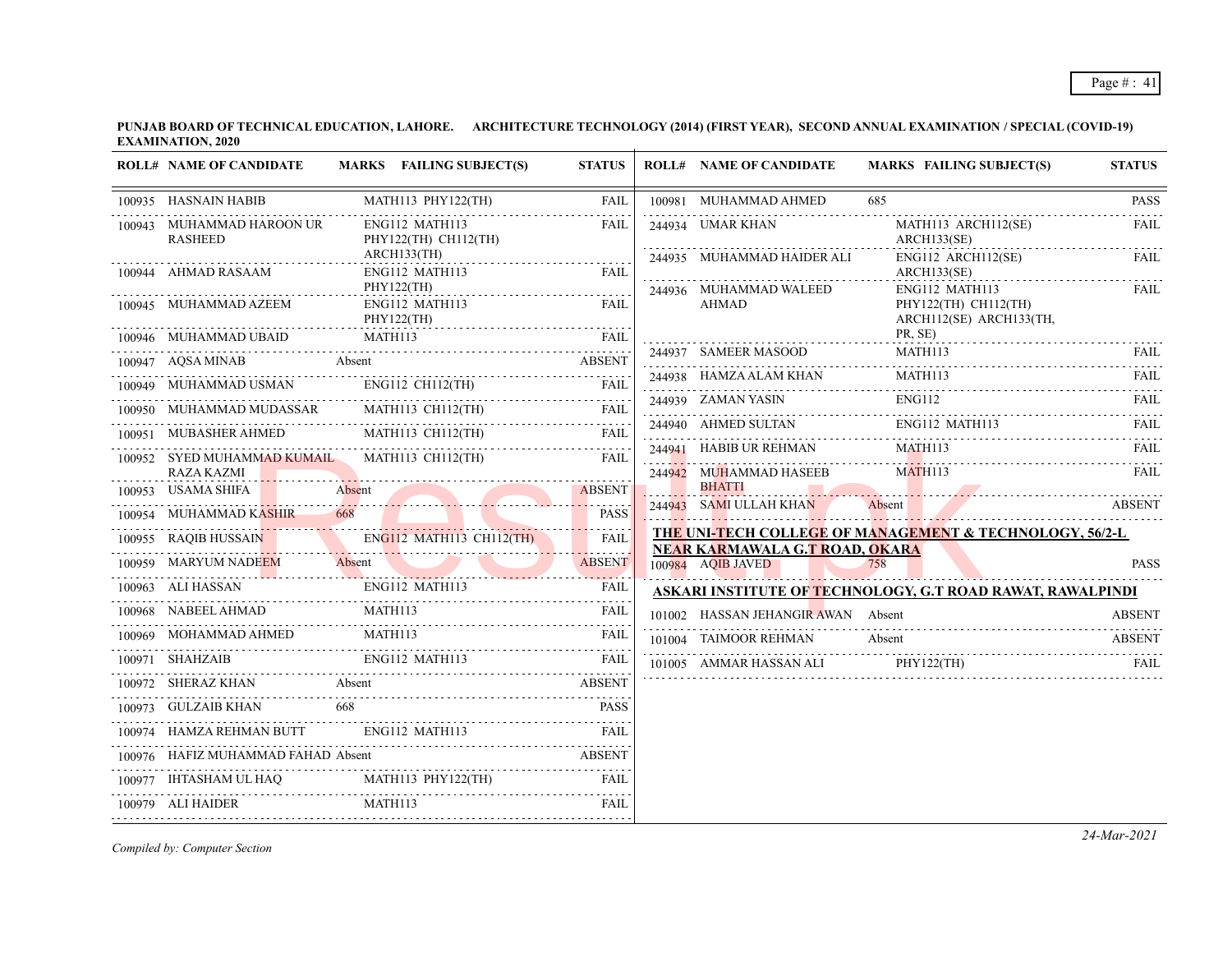**PUNJAB BOARD OF TECHNICAL EDUCATION, LAHORE. ARCHITECTURE TECHNOLOGY (2014) (FIRST YEAR), SECOND ANNUAL EXAMINATION / SPECIAL (COVID-19) EXAMINATION, 2020**  $\overline{1}$ 

|        | <b>ROLL# NAME OF CANDIDATE</b>                                                                                                                                                                                                                                                                                                                                      | MARKS FAILING SUBJECT(S)               | <b>STATUS</b>                    | <b>ROLL# NAME OF CANDIDATE</b>                      | <b>MARKS FAILING SUBJECT(S)</b>                                                                                                                       | <b>STATUS</b> |
|--------|---------------------------------------------------------------------------------------------------------------------------------------------------------------------------------------------------------------------------------------------------------------------------------------------------------------------------------------------------------------------|----------------------------------------|----------------------------------|-----------------------------------------------------|-------------------------------------------------------------------------------------------------------------------------------------------------------|---------------|
|        | 100935 HASNAIN HABIB                                                                                                                                                                                                                                                                                                                                                | MATH113 PHY122(TH)                     | FAIL                             | 100981 MUHAMMAD AHMED                               | 685                                                                                                                                                   | <b>PASS</b>   |
|        | 100943 MUHAMMAD HAROON UR<br><b>RASHEED</b>                                                                                                                                                                                                                                                                                                                         | ENG112 MATH113<br>PHY122(TH) CH112(TH) | FAIL                             | 244934 UMAR KHAN                                    | MATH113 ARCH112(SE)<br>ARCH133(SE)                                                                                                                    | FAIL          |
|        | 100944 AHMAD RASAAM                                                                                                                                                                                                                                                                                                                                                 | ARCH133(TH)<br>ENG112 MATH113          | FAIL                             | 244935 MUHAMMAD HAIDER ALI                          | ENG112 ARCH112(SE)<br>ARCH133(SE)                                                                                                                     | <b>FAIL</b>   |
|        |                                                                                                                                                                                                                                                                                                                                                                     | PHY122(TH)                             |                                  | 244936 MUHAMMAD WALEED                              | ENG112 MATH113                                                                                                                                        | FAIL          |
|        | 100945 MUHAMMAD AZEEM                                                                                                                                                                                                                                                                                                                                               | ENG112 MATH113<br>PHY122(TH)           | FAIL                             | <b>AHMAD</b>                                        | PHY122(TH) CH112(TH)<br>ARCH112(SE) ARCH133(TH,<br>PR, SE)                                                                                            |               |
|        | 100946 MUHAMMAD UBAID                                                                                                                                                                                                                                                                                                                                               |                                        |                                  | 244937 SAMEER MASOOD                                | MATH113                                                                                                                                               | FAIL          |
|        | Absent<br>100947 AOSA MINAB<br>00947 AQSA MINAB Absent ABSENT                                                                                                                                                                                                                                                                                                       |                                        |                                  |                                                     | MATH113                                                                                                                                               | <b>FAIL</b>   |
| 100949 | MUHAMMAD USMAN                                                                                                                                                                                                                                                                                                                                                      |                                        | MAD USMAN ENGILE CHILE (TH) FAIL | 244939 ZAMAN YASIN                                  | 244938 HAMZA ALAM KHAN MATHI13<br><b>ENG112</b>                                                                                                       | FAII.         |
|        | WUHAMMAD MUDASSAR MATHI13 CHI12(TH) FAIL                                                                                                                                                                                                                                                                                                                            |                                        |                                  |                                                     |                                                                                                                                                       |               |
|        | 100951 MUBASHER AHMED                                                                                                                                                                                                                                                                                                                                               |                                        | <b>FAIL</b>                      |                                                     | ENG112 MATH113<br>244940 AHMED SULTAN ENG112 MATH113<br>TAND TIP REHMAN MATH113                                                                       |               |
|        | 100952 SYED MUHAMMAD KUMAIL MATH113 CH112(TH)<br><b>RAZA KAZMI</b>                                                                                                                                                                                                                                                                                                  |                                        | FAIL                             | 244942 MUHAMMAD HASEEB                              | 244941 HABIB UR REHMAN MATHI13 FAIL<br>MATH113                                                                                                        | FAIL          |
| 100953 | USAMA SHIFA                                                                                                                                                                                                                                                                                                                                                         |                                        | SHIFA Absent ABSENT              | <b>BHATTI</b>                                       |                                                                                                                                                       |               |
| 100954 | MUHAMMAD KASHIR                                                                                                                                                                                                                                                                                                                                                     | 668                                    | <b>PASS</b>                      | 244943 SAMI ULLAH KHAN                              | Absent                                                                                                                                                | <b>ABSENT</b> |
| 100955 | RAOIB HUSSAIN                                                                                                                                                                                                                                                                                                                                                       | ENG112 MATH113 CH112(TH)               | <b>FAIL</b>                      |                                                     | THE UNI-TECH COLLEGE OF MANAGEMENT & TECHNOLOGY, 56/2-L                                                                                               |               |
|        | 100959 MARYUM NADEEM<br>ENG112 MATH113                                                                                                                                                                                                                                                                                                                              |                                        | <b>ABSENT</b>                    | NEAR KARMAWALA G.T ROAD, OKARA<br>100984 AOIB JAVED | 758                                                                                                                                                   | PASS          |
|        |                                                                                                                                                                                                                                                                                                                                                                     |                                        | FAIL                             |                                                     | ASKARI INSTITUTE OF TECHNOLOGY, G.T ROAD RAWAT, RAWALPINDI                                                                                            |               |
|        | $\fbox{\parbox{0.968\hboxwidth{}}\centering\hspace*{1.2in} NABEEL AHMAD\hspace*{1.2in} \rule{0.2in}{0.2in} \rule{0.2in}{0.2in} \rule{0.2in}{0.2in} \rule{0.2in}{0.2in} \rule{0.2in}{0.2in} \rule{0.2in}{0.2in} \rule{0.2in}{0.2in} \rule{0.2in}{0.2in} \rule{0.2in}{0.2in} \rule{0.2in}{0.2in} \rule{0.2in}{0.2in} \rule{0.2in}{0.2in} \rule{0.2in} \rule{0.2in}{0$ | MATH113                                | FAIL                             | 101002 HASSAN JEHANGIR AWAN Absent                  |                                                                                                                                                       | <b>ABSENT</b> |
|        | 100969 MOHAMMAD AHMED                                                                                                                                                                                                                                                                                                                                               | MATH113                                | FAIL                             | 101004 TAIMOOR REHMAN                               |                                                                                                                                                       |               |
|        | 100971 SHAHZAIB                                                                                                                                                                                                                                                                                                                                                     | ENG112 MATH113                         |                                  |                                                     | ADSENT ABSENT<br>1005 AMMAR HASSAN ALI PHY122(TH)<br>$101005 \quad \text{AMMAR HASSAN ALI} \qquad \qquad \text{PHY122(TH)} \qquad \qquad \text{FAIL}$ |               |
|        | 100972 SHERAZ KHAN Absent ABSENT ABSENT                                                                                                                                                                                                                                                                                                                             |                                        |                                  |                                                     |                                                                                                                                                       |               |
|        | 100973 GULZAIB KHAN                                                                                                                                                                                                                                                                                                                                                 | 668                                    | <b>PASS</b>                      |                                                     |                                                                                                                                                       |               |
|        | 100974 HAMZA REHMAN BUTT ENG112 MATH113 FAIL                                                                                                                                                                                                                                                                                                                        |                                        |                                  |                                                     |                                                                                                                                                       |               |
|        | 100976 HAFIZ MUHAMMAD FAHAD Absent                                                                                                                                                                                                                                                                                                                                  |                                        |                                  |                                                     |                                                                                                                                                       |               |
|        | $100977 \quad \text{IHTASHAM UL HAQ} \qquad \qquad \text{MATH113 PHY122(TH)}$                                                                                                                                                                                                                                                                                       |                                        |                                  |                                                     |                                                                                                                                                       |               |
|        | 100979 ALI HAIDER                                                                                                                                                                                                                                                                                                                                                   | MATH113                                | <b>FAIL</b>                      |                                                     |                                                                                                                                                       |               |
|        |                                                                                                                                                                                                                                                                                                                                                                     |                                        |                                  |                                                     |                                                                                                                                                       |               |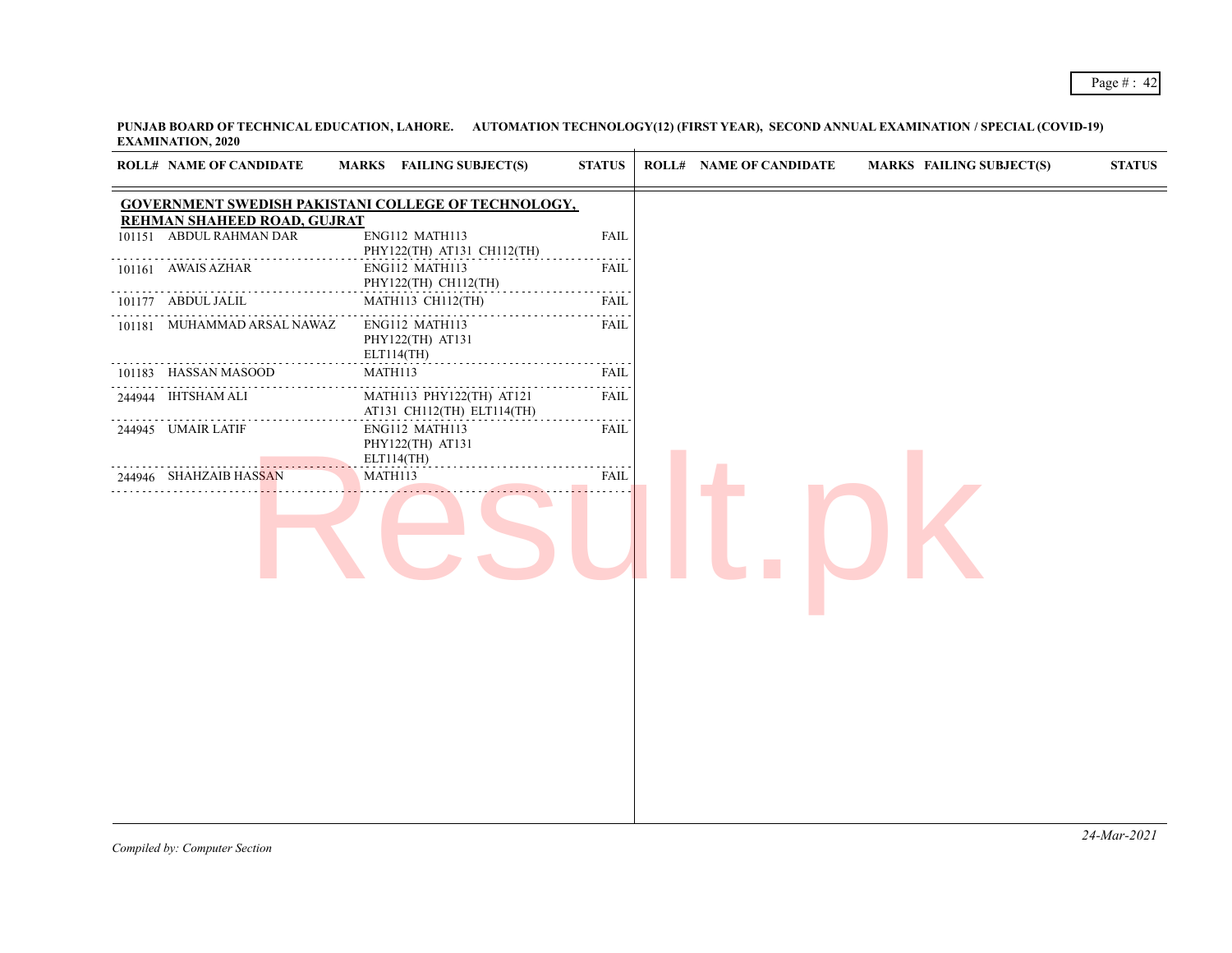| GOVERNMENT SWEDISH PAKISTANI COLLEGE OF TECHNOLOGY,<br>REHMAN SHAHEED ROAD, GUJRAT<br>101151 ABDUL RAHMAN DAR<br>ENG112 MATH113<br><b>FAIL</b><br>PHY122(TH) AT131 CH112(TH)<br>101161 AWAIS AZHAR<br>ENG112 MATH113<br><b>FAIL</b><br>PHY122(TH) CH112(TH)<br>$\alpha$ is a $\alpha$<br>101177 ABDUL JALIL<br>MATH113 CH112(TH)<br><b>FAIL</b><br>.<br>101181 MUHAMMAD ARSAL NAWAZ<br>ENG112 MATH113<br><b>FAIL</b><br>PHY122(TH) AT131<br>ELT114(TH)<br>$\alpha$ is a set<br>MATH113<br>101183 HASSAN MASOOD<br>FAIL<br>.<br>244944 IHTSHAM ALI<br>MATH113 PHY122(TH) AT121<br><b>FAIL</b><br>AT131 CH112(TH) ELT114(TH)<br>244945 UMAIR LATIF<br>ENG112 MATH113<br><b>FAIL</b><br>PHY122(TH) AT131<br>ELT114(TH)<br>.<br>MATH113<br><b>FAIL</b><br>244946 SHAHZAIB HASSAN |  | <b>ROLL# NAME OF CANDIDATE</b> | MARKS FAILING SUBJECT(S) | <b>STATUS</b> | <b>ROLL# NAME OF CANDIDATE</b> | <b>MARKS FAILING SUBJECT(S)</b> | <b>STATUS</b> |
|------------------------------------------------------------------------------------------------------------------------------------------------------------------------------------------------------------------------------------------------------------------------------------------------------------------------------------------------------------------------------------------------------------------------------------------------------------------------------------------------------------------------------------------------------------------------------------------------------------------------------------------------------------------------------------------------------------------------------------------------------------------------------|--|--------------------------------|--------------------------|---------------|--------------------------------|---------------------------------|---------------|
|                                                                                                                                                                                                                                                                                                                                                                                                                                                                                                                                                                                                                                                                                                                                                                              |  |                                |                          |               |                                |                                 |               |
|                                                                                                                                                                                                                                                                                                                                                                                                                                                                                                                                                                                                                                                                                                                                                                              |  |                                |                          |               |                                |                                 |               |
|                                                                                                                                                                                                                                                                                                                                                                                                                                                                                                                                                                                                                                                                                                                                                                              |  |                                |                          |               |                                |                                 |               |
|                                                                                                                                                                                                                                                                                                                                                                                                                                                                                                                                                                                                                                                                                                                                                                              |  |                                |                          |               |                                |                                 |               |
|                                                                                                                                                                                                                                                                                                                                                                                                                                                                                                                                                                                                                                                                                                                                                                              |  |                                |                          |               |                                |                                 |               |
|                                                                                                                                                                                                                                                                                                                                                                                                                                                                                                                                                                                                                                                                                                                                                                              |  |                                |                          |               |                                |                                 |               |
|                                                                                                                                                                                                                                                                                                                                                                                                                                                                                                                                                                                                                                                                                                                                                                              |  |                                |                          |               |                                |                                 |               |
|                                                                                                                                                                                                                                                                                                                                                                                                                                                                                                                                                                                                                                                                                                                                                                              |  |                                |                          |               |                                |                                 |               |
|                                                                                                                                                                                                                                                                                                                                                                                                                                                                                                                                                                                                                                                                                                                                                                              |  |                                |                          |               |                                |                                 |               |
|                                                                                                                                                                                                                                                                                                                                                                                                                                                                                                                                                                                                                                                                                                                                                                              |  |                                |                          |               |                                |                                 |               |
|                                                                                                                                                                                                                                                                                                                                                                                                                                                                                                                                                                                                                                                                                                                                                                              |  |                                |                          |               |                                |                                 |               |
|                                                                                                                                                                                                                                                                                                                                                                                                                                                                                                                                                                                                                                                                                                                                                                              |  |                                |                          |               |                                |                                 |               |
|                                                                                                                                                                                                                                                                                                                                                                                                                                                                                                                                                                                                                                                                                                                                                                              |  |                                |                          |               |                                |                                 |               |
|                                                                                                                                                                                                                                                                                                                                                                                                                                                                                                                                                                                                                                                                                                                                                                              |  |                                |                          |               |                                |                                 |               |
|                                                                                                                                                                                                                                                                                                                                                                                                                                                                                                                                                                                                                                                                                                                                                                              |  |                                |                          |               |                                |                                 |               |
|                                                                                                                                                                                                                                                                                                                                                                                                                                                                                                                                                                                                                                                                                                                                                                              |  |                                |                          |               |                                |                                 |               |
|                                                                                                                                                                                                                                                                                                                                                                                                                                                                                                                                                                                                                                                                                                                                                                              |  |                                |                          |               |                                |                                 |               |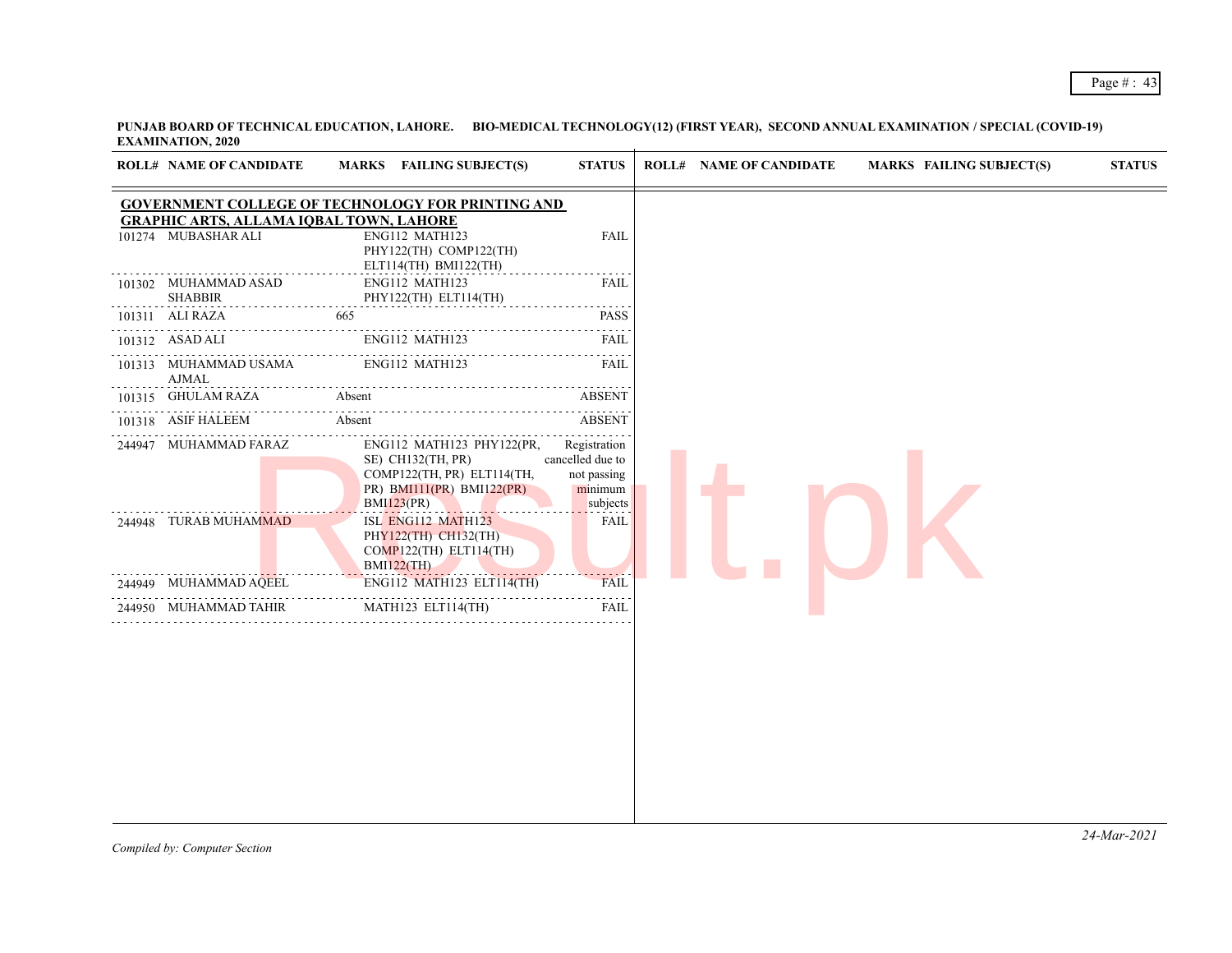| <b>ROLL# NAME OF CANDIDATE</b>                                        | MARKS FAILING SUBJECT(S)                                                                                                                            | <b>STATUS</b>                                                                                                                                | <b>ROLL# NAME OF CANDIDATE</b> | <b>MARKS FAILING SUBJECT(S)</b> | <b>STATUS</b> |
|-----------------------------------------------------------------------|-----------------------------------------------------------------------------------------------------------------------------------------------------|----------------------------------------------------------------------------------------------------------------------------------------------|--------------------------------|---------------------------------|---------------|
| <b>GRAPHIC ARTS, ALLAMA IQBAL TOWN, LAHORE</b><br>101274 MUBASHAR ALI | <b>GOVERNMENT COLLEGE OF TECHNOLOGY FOR PRINTING AND</b><br>ENG112 MATH123<br>PHY122(TH) COMP122(TH)<br>ELT114(TH) BMI122(TH)                       | <b>FAIL</b>                                                                                                                                  |                                |                                 |               |
| 101302 MUHAMMAD ASAD<br><b>SHABBIR</b>                                | ENG112 MATH123<br>PHY122(TH) ELT114(TH)                                                                                                             | FAIL<br>$\mathcal{L}^{\mathcal{A}}\left( \mathcal{A}^{\mathcal{A}}\right) =\mathcal{L}^{\mathcal{A}}\left( \mathcal{A}^{\mathcal{A}}\right)$ |                                |                                 |               |
| 101311 ALI RAZA                                                       | 665                                                                                                                                                 | <b>PASS</b>                                                                                                                                  |                                |                                 |               |
| 101312 ASAD ALI                                                       | ENG112 MATH123                                                                                                                                      | FAIL                                                                                                                                         |                                |                                 |               |
| 101313 MUHAMMAD USAMA<br><b>AJMAL</b>                                 | ENG112 MATH123                                                                                                                                      | <b>FAIL</b>                                                                                                                                  |                                |                                 |               |
| 101315 GHULAM RAZA                                                    | Absent                                                                                                                                              | <b>ABSENT</b>                                                                                                                                |                                |                                 |               |
| 101318 ASIF HALEEM                                                    | Absent                                                                                                                                              | <b>ABSENT</b>                                                                                                                                |                                |                                 |               |
| 244947 MUHAMMAD FARAZ<br>244948 TURAB MUHAMMAD                        | ENG112 MATH123 PHY122(PR,<br>SE) CH132(TH, PR)<br>COMP122(TH, PR) ELT114(TH,<br>PR) BMI11(PR) BMI122(PR)<br><b>BMI123(PR)</b><br>ISL ENG112 MATH123 | Registration<br>cancelled due to<br>not passing<br>minimum<br>subjects<br><b>FAIL</b>                                                        |                                |                                 |               |
|                                                                       | PHY122(TH) CH132(TH)<br>COMP122(TH) ELT114(TH)<br><b>BMI122(TH)</b>                                                                                 |                                                                                                                                              |                                |                                 |               |
| 244949 MUHAMMAD AQEEL                                                 | ENG112 MATH123 ELT114(TH)                                                                                                                           | <b>FAIL</b>                                                                                                                                  |                                |                                 |               |
| 244950 MUHAMMAD TAHIR                                                 | MATH123 ELT114(TH)                                                                                                                                  | <b>FAIL</b>                                                                                                                                  |                                |                                 |               |
|                                                                       |                                                                                                                                                     |                                                                                                                                              |                                |                                 |               |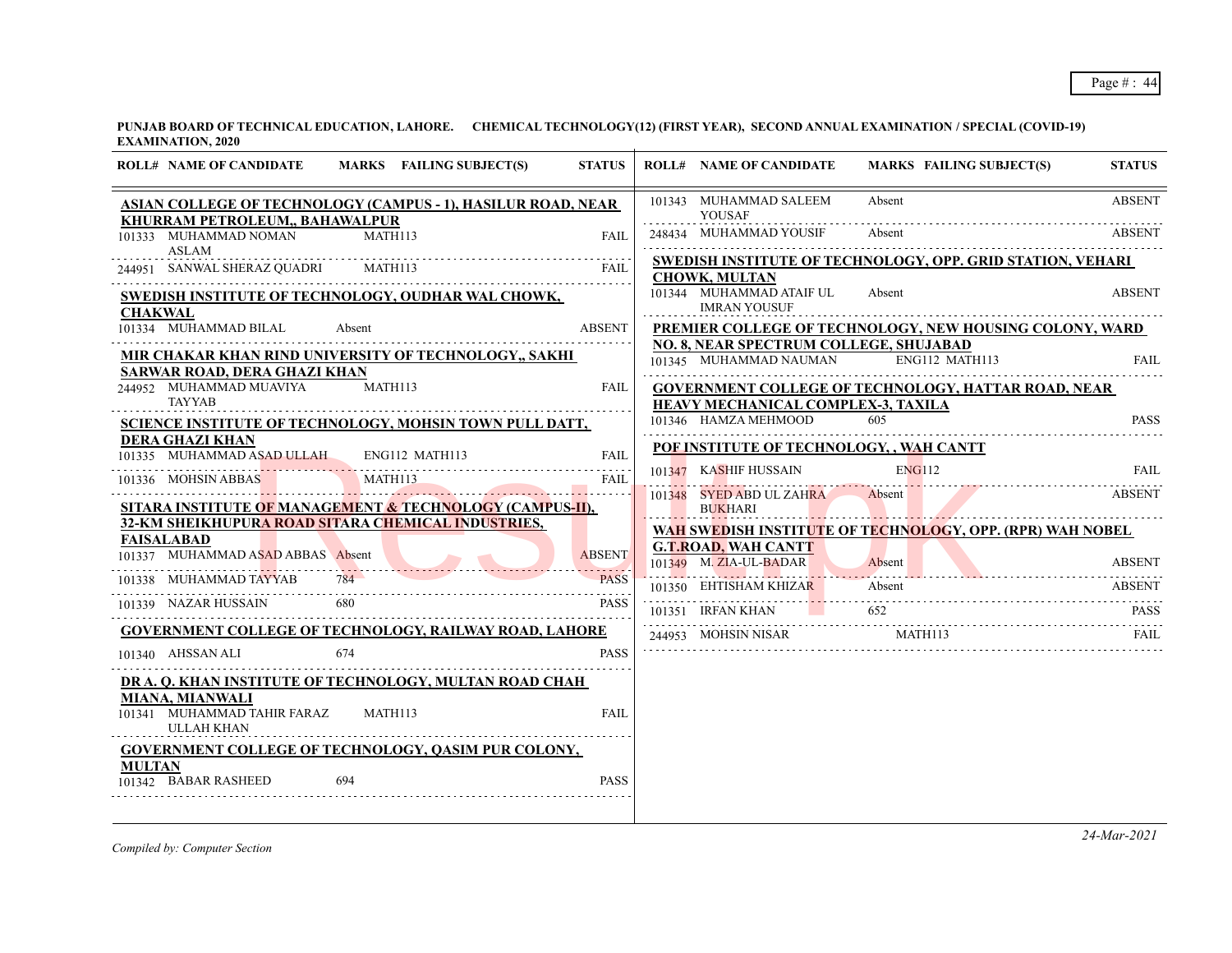| <b>ROLL# NAME OF CANDIDATE</b><br>MARKS FAILING SUBJECT(S)                                                                                       | <b>STATUS</b> | <b>ROLL# NAME OF CANDIDATE</b>                       |                                                 | <b>MARKS FAILING SUBJECT(S)</b>                                                                   | <b>STATUS</b>                |
|--------------------------------------------------------------------------------------------------------------------------------------------------|---------------|------------------------------------------------------|-------------------------------------------------|---------------------------------------------------------------------------------------------------|------------------------------|
| <b>ASIAN COLLEGE OF TECHNOLOGY (CAMPUS - 1), HASILUR ROAD, NEAR</b><br>KHURRAM PETROLEUM,, BAHAWALPUR                                            |               | 101343 MUHAMMAD SALEEM<br><b>YOUSAF</b>              |                                                 | Absent                                                                                            | <b>ABSENT</b>                |
| 101333 MUHAMMAD NOMAN<br><b>MATH113</b><br>ASLAM                                                                                                 | FAIL          | 248434 MUHAMMAD YOUSIF                               |                                                 | Absent                                                                                            | <b>ABSENT</b>                |
| 244951 SANWAL SHERAZ QUADRI<br>MATH113                                                                                                           | FAIL          | <b>CHOWK, MULTAN</b>                                 |                                                 | SWEDISH INSTITUTE OF TECHNOLOGY, OPP. GRID STATION, VEHARI                                        |                              |
| SWEDISH INSTITUTE OF TECHNOLOGY, OUDHAR WAL CHOWK,<br><b>CHAKWAL</b>                                                                             |               |                                                      | 101344 MUHAMMAD ATAIF UL<br><b>IMRAN YOUSUF</b> | Absent                                                                                            | <b>ABSENT</b>                |
| 101334 MUHAMMAD BILAL<br>Absent                                                                                                                  | <b>ABSENT</b> |                                                      |                                                 | PREMIER COLLEGE OF TECHNOLOGY, NEW HOUSING COLONY, WARD<br>NO. 8, NEAR SPECTRUM COLLEGE, SHUJABAD |                              |
| MIR CHAKAR KHAN RIND UNIVERSITY OF TECHNOLOGY,, SAKHI<br>SARWAR ROAD, DERA GHAZI KHAN                                                            |               |                                                      | 101345 MUHAMMAD NAUMAN                          | ENG112 MATH113                                                                                    | FAIL.                        |
| 244952 MUHAMMAD MUAVIYA<br>MATH113<br><b>TAYYAB</b>                                                                                              | FAIL          |                                                      | HEAVY MECHANICAL COMPLEX-3, TAXILA              | <b>GOVERNMENT COLLEGE OF TECHNOLOGY, HATTAR ROAD, NEAR</b>                                        |                              |
| SCIENCE INSTITUTE OF TECHNOLOGY, MOHSIN TOWN PULL DATT,                                                                                          |               | 101346 HAMZA MEHMOOD                                 |                                                 | 605                                                                                               | <b>PASS</b>                  |
| <b>DERA GHAZI KHAN</b><br>101335 MUHAMMAD ASAD ULLAH ENG112 MATH113                                                                              | FAIL          |                                                      |                                                 | POF INSTITUTE OF TECHNOLOGY, , WAH CANTT                                                          |                              |
| MATH113<br>101336 MOHSIN ABBAS                                                                                                                   | FAIL          | 101347 KASHIF HUSSAIN                                | 101348 SYED ABD UL ZAHRA                        | ENG112<br>Absent                                                                                  | <b>FAIL</b><br><b>ABSENT</b> |
| SITARA INSTITUTE OF MANAGEMENT & TECHNOLOGY (CAMPUS-II),<br>32-KM SHEIKHUPURA ROAD SITARA CHEMICAL INDUSTRIES,                                   |               | BUKHARI                                              |                                                 |                                                                                                   |                              |
| <b>FAISALABAD</b><br>101337 MUHAMMAD ASAD ABBAS Absent                                                                                           | <b>ABSENT</b> | <b>G.T.ROAD, WAH CANTT</b><br>101349 M. ZIA-UL-BADAR |                                                 | WAH SWEDISH INSTITUTE OF TECHNOLOGY, OPP. (RPR) WAH NOBEL<br>Absent                               | <b>ABSENT</b>                |
| $784-$<br>101338 MUHAMMAD TAYYAB                                                                                                                 | <b>PASS</b>   | 101350 EHTISHAM KHIZAR                               |                                                 | Absent                                                                                            | <b>ABSENT</b>                |
| 101339 NAZAR HUSSAIN<br>680                                                                                                                      | PASS          | 101351 IRFAN KHAN                                    |                                                 | 652                                                                                               | <b>PASS</b>                  |
| <b>GOVERNMENT COLLEGE OF TECHNOLOGY, RAILWAY ROAD, LAHORE</b><br>101340 AHSSAN ALI                                                               | <b>PASS</b>   |                                                      | 244953 MOHSIN NISAR                             | MATH113                                                                                           | FAIL                         |
| 674                                                                                                                                              |               |                                                      |                                                 |                                                                                                   |                              |
| DR A. Q. KHAN INSTITUTE OF TECHNOLOGY, MULTAN ROAD CHAH<br><b>MIANA, MIANWALI</b><br>101341 MUHAMMAD TAHIR FARAZ<br>MATH113<br><b>ULLAH KHAN</b> | <b>FAIL</b>   |                                                      |                                                 |                                                                                                   |                              |
| <b>GOVERNMENT COLLEGE OF TECHNOLOGY, QASIM PUR COLONY,</b><br><b>MULTAN</b><br>101342 BABAR RASHEED<br>694                                       | <b>PASS</b>   |                                                      |                                                 |                                                                                                   |                              |
|                                                                                                                                                  |               |                                                      |                                                 |                                                                                                   |                              |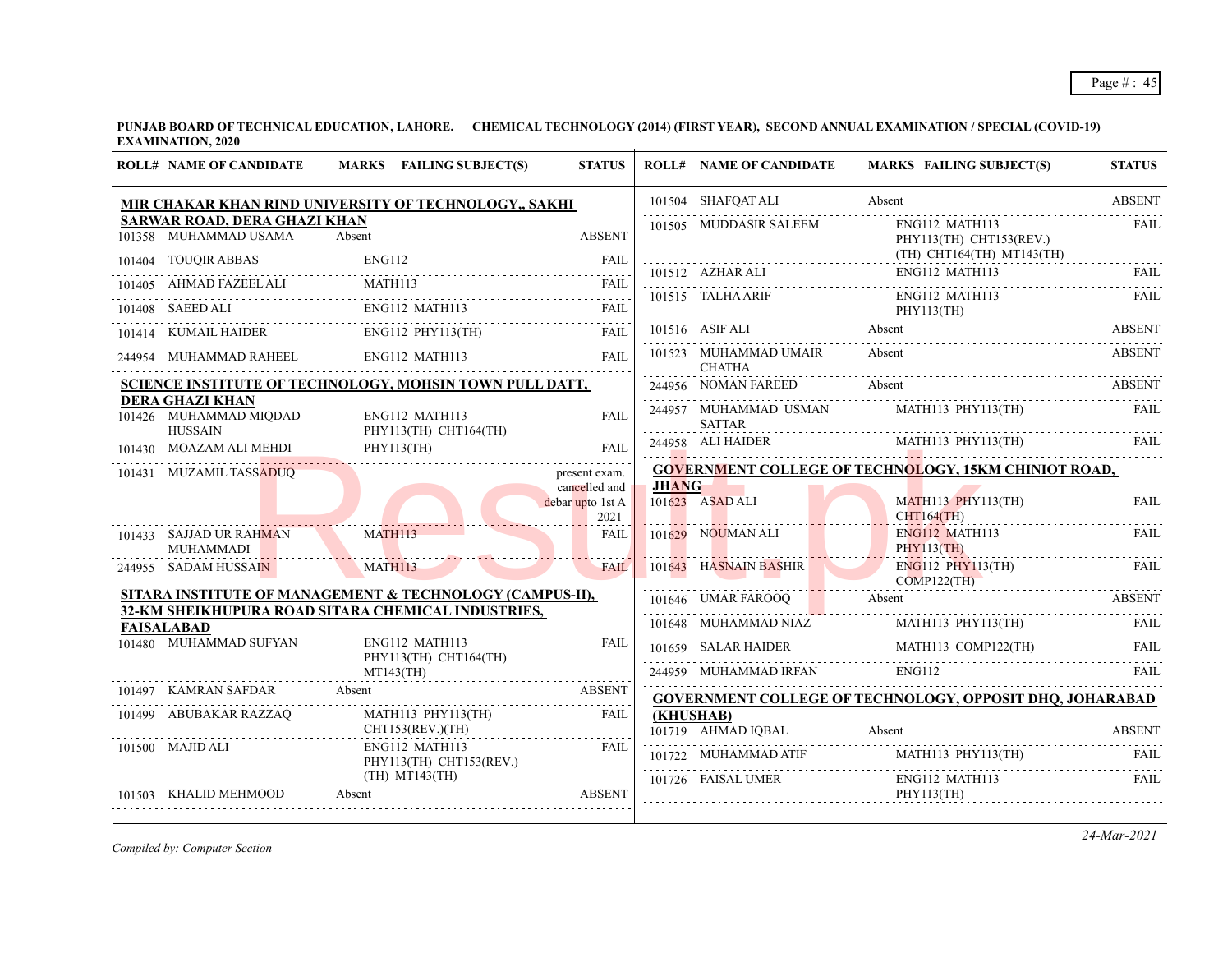| <b>ROLL# NAME OF CANDIDATE</b>                                     | MARKS FAILING SUBJECT(S)                                                                                       | <b>STATUS</b>                  |           | <b>ROLL# NAME OF CANDIDATE</b>         | <b>MARKS FAILING SUBJECT(S)</b>                                                                                                                                                                                                                                                                                                                                                                                                                                                                                                            | <b>STATUS</b> |
|--------------------------------------------------------------------|----------------------------------------------------------------------------------------------------------------|--------------------------------|-----------|----------------------------------------|--------------------------------------------------------------------------------------------------------------------------------------------------------------------------------------------------------------------------------------------------------------------------------------------------------------------------------------------------------------------------------------------------------------------------------------------------------------------------------------------------------------------------------------------|---------------|
|                                                                    | MIR CHAKAR KHAN RIND UNIVERSITY OF TECHNOLOGY,, SAKHI                                                          |                                |           | 101504 SHAFQAT ALI                     | Absent                                                                                                                                                                                                                                                                                                                                                                                                                                                                                                                                     | <b>ABSENT</b> |
| <b>SARWAR ROAD, DERA GHAZI KHAN</b><br>101358 MUHAMMAD USAMA       | Absent                                                                                                         | <b>ABSENT</b>                  |           | 101505 MUDDASIR SALEEM                 | ENG112 MATH113<br>PHY113(TH) CHT153(REV.)<br>$(TH)$ $CHT164(TH)$ $MT143(TH)$                                                                                                                                                                                                                                                                                                                                                                                                                                                               | <b>FAIL</b>   |
|                                                                    |                                                                                                                |                                |           |                                        | $\begin{tabular}{lllllllllll} \bf 101512 & \textbf{AZHAR ALI} & \textbf{ENG112 MATH113} & \textbf{FAIL} \\ \hline \end{tabular}$                                                                                                                                                                                                                                                                                                                                                                                                           |               |
|                                                                    | 101404 TOUQIR ABBAS ENG112 FAIL TOUQIR ABBAS ENG112 FAIL TOUQIR ABBAS ENG112 FAIL                              |                                |           |                                        |                                                                                                                                                                                                                                                                                                                                                                                                                                                                                                                                            |               |
|                                                                    | 101408 SAEED ALI ENGI12 MATH113 FAIL FAIL FAIL                                                                 |                                |           |                                        | 101515 TALHA ARIF ENG112 MATH113 FAIL PHY113(TH)                                                                                                                                                                                                                                                                                                                                                                                                                                                                                           |               |
|                                                                    | 101414 KUMAIL HAIDER ENG112 PHY113(TH) FAIL                                                                    |                                |           |                                        | $\begin{tabular}{c} 101516 & ASF ALL \\ \hline \end{tabular} \begin{tabular}{c} ASET \\ \hline \end{tabular} \begin{tabular}{c} ASET \\ \hline \end{tabular} \begin{tabular}{c} ASET \\ \hline \end{tabular} \begin{tabular}{c} ASET \\ \hline \end{tabular} \begin{tabular}{c} ASET \\ \hline \end{tabular} \end{tabular} \begin{tabular}{c} ASET \\ \hline \end{tabular} \begin{tabular}{c} ASET \\ \hline \end{tabular} \end{tabular} \begin{tabular}{c} ASET \\ \hline \end{tabular} \begin{tabular}{c} A test \\ \hline \end{tabular$ |               |
|                                                                    | 244954 MUHAMMAD RAHEEL ENG112 MATH113 FAIL                                                                     |                                |           | 101523 MUHAMMAD UMAIR<br><b>CHATHA</b> | Absent                                                                                                                                                                                                                                                                                                                                                                                                                                                                                                                                     | <b>ABSENT</b> |
|                                                                    | SCIENCE INSTITUTE OF TECHNOLOGY, MOHSIN TOWN PULL DATT,                                                        |                                |           |                                        | 244956 NOMAN FAREED Absent ABSENT                                                                                                                                                                                                                                                                                                                                                                                                                                                                                                          |               |
| <b>DERA GHAZI KHAN</b><br>101426 MUHAMMAD MIQDAD<br><b>HUSSAIN</b> | ENG112 MATH113<br>PHY113(TH) CHT164(TH)                                                                        | <b>FAIL</b>                    |           | <b>SATTAR</b>                          | 244957 MUHAMMAD USMAN MATH113 PHY113(TH) FAIL                                                                                                                                                                                                                                                                                                                                                                                                                                                                                              |               |
|                                                                    | PHY113(TH)<br>101430 MOAZAM ALI MEHDI PHY113(TH) FAIL                                                          |                                |           |                                        |                                                                                                                                                                                                                                                                                                                                                                                                                                                                                                                                            |               |
| 101431 MUZAMIL TASSADUQ                                            |                                                                                                                | present exam.<br>cancelled and |           | <b>JHANG</b>                           | <b>GOVERNMENT COLLEGE OF TECHNOLOGY, 15KM CHINIOT ROAD,</b>                                                                                                                                                                                                                                                                                                                                                                                                                                                                                |               |
|                                                                    |                                                                                                                | debar upto 1st A<br>2021       |           | 101623 ASAD ALI<br>CHT164(TH)          | $MATH113$ $PHY113(TH)$                                                                                                                                                                                                                                                                                                                                                                                                                                                                                                                     | <b>FAIL</b>   |
| 101433 SAJJAD UR RAHMAN<br><b>MUHAMMADI</b>                        | MATH113                                                                                                        | FAIL                           |           | $101629$ NOUMAN ALI                    | ENG112 MATH113<br>PHY113(TH)                                                                                                                                                                                                                                                                                                                                                                                                                                                                                                               | FAIL.         |
| 244955 SADAM HUSSAIN                                               | MATH113                                                                                                        | <b>FAIL</b>                    |           | 101643 HASNAIN BASHIR                  | $ENG112$ PHY 113(TH)<br>COMP122(TH)                                                                                                                                                                                                                                                                                                                                                                                                                                                                                                        | <b>FAIL</b>   |
|                                                                    | SITARA INSTITUTE OF MANAGEMENT & TECHNOLOGY (CAMPUS-II),<br>32-KM SHEIKHUPURA ROAD SITARA CHEMICAL INDUSTRIES, |                                |           |                                        | 101646 UMAR FAROOQ Absent ABSENT                                                                                                                                                                                                                                                                                                                                                                                                                                                                                                           |               |
| <b>FAISALABAD</b>                                                  |                                                                                                                |                                |           |                                        | $\fbox{\parbox{0.9\linewidth}{\textwidth} \begin{minipage}{0.9\linewidth} \begin{minipage}{0.9\linewidth} \textbf{101648} & \textbf{MUHAMMAD NIAZ} & \textbf{MATH113 PHY113(TH)} & \textbf{FAIL} \end{minipage} \end{minipage} }$                                                                                                                                                                                                                                                                                                          |               |
| 101480 MUHAMMAD SUFYAN                                             | ENG112 MATH113<br>PHY113(TH) CHT164(TH)                                                                        | <b>FAIL</b>                    |           |                                        | $\begin{tabular}{c c c c} \hline 101659 & SALAR HAIDER & MATH113 & COMP122(TH) & FAIL \\ \hline \multicolumn{3}{c }{244959}&MUHAMMAD IRFAN & ENG112 & FAIL \\ \hline \end{tabular}$                                                                                                                                                                                                                                                                                                                                                        |               |
|                                                                    | $MT143$ (TH)                                                                                                   |                                |           |                                        |                                                                                                                                                                                                                                                                                                                                                                                                                                                                                                                                            |               |
| 101497 KAMRAN SAFDAR Absent                                        | 7 KAMRAN SAFDAR Absent ABSENT                                                                                  |                                |           |                                        | <b>GOVERNMENT COLLEGE OF TECHNOLOGY, OPPOSIT DHQ, JOHARABAD</b>                                                                                                                                                                                                                                                                                                                                                                                                                                                                            |               |
| 101499 ABUBAKAR RAZZAQ<br>CHT153(REV)(TH)                          | MATH113 PHY113(TH)                                                                                             | <b>FAIL</b>                    | (KHUSHAB) |                                        | 101719 AHMAD IQBAL Absent ABSENT                                                                                                                                                                                                                                                                                                                                                                                                                                                                                                           |               |
| 101500 MAJID ALI                                                   | ENG112 MATH113<br>PHY113(TH) CHT153(REV.)                                                                      | FAIL                           |           |                                        | $101722 \quad \text{MUHAMMAD ATT} \quad \text{MATH113 PHY113(TH)} \quad \text{FAIL} \quad \text{MATH113 PHY113(TH)}$                                                                                                                                                                                                                                                                                                                                                                                                                       |               |
|                                                                    | $(TH)$ MT143 $(TH)$<br>101503 KHALID MEHMOOD Absent ABSENT                                                     |                                |           | 101726 FAISAL UMER                     | ENG112 MATH113<br>PHY113(TH)                                                                                                                                                                                                                                                                                                                                                                                                                                                                                                               | <b>FAIL</b>   |

*Compiled by: Computer Section*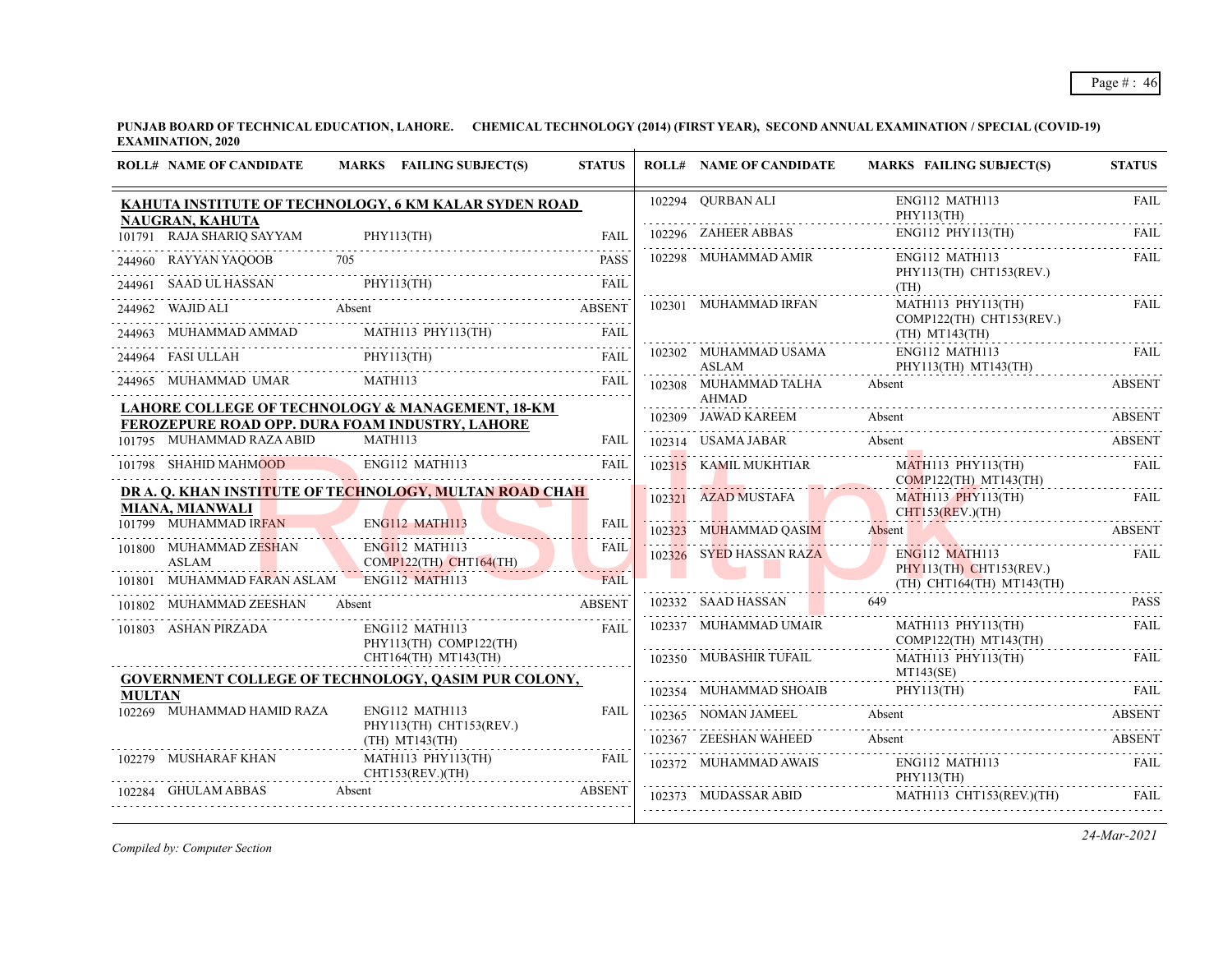|               | <b>ROLL# NAME OF CANDIDATE</b>         | MARKS FAILING SUBJECT(S)                                                                                                                                                                                                                                                                                                                                                            | <b>STATUS</b> | <b>ROLL# NAME OF CANDIDATE</b>        | <b>MARKS FAILING SUBJECT(S)</b>                                                                 | <b>STATUS</b>    |
|---------------|----------------------------------------|-------------------------------------------------------------------------------------------------------------------------------------------------------------------------------------------------------------------------------------------------------------------------------------------------------------------------------------------------------------------------------------|---------------|---------------------------------------|-------------------------------------------------------------------------------------------------|------------------|
|               | NAUGRAN, KAHUTA                        | KAHUTA INSTITUTE OF TECHNOLOGY, 6 KM KALAR SYDEN ROAD                                                                                                                                                                                                                                                                                                                               |               | 102294 OURBAN ALI                     | ENG112 MATH113<br>PHY113(TH)                                                                    | <b>FAIL</b>      |
|               | 101791 RAJA SHARIQ SAYYAM              | PHY113(TH)                                                                                                                                                                                                                                                                                                                                                                          |               | 102296 ZAHEER ABBAS                   | $ENG112$ PHY113(TH)                                                                             | <b>FAIL</b>      |
|               |                                        | 244960 RAYYAN YAQOOB 705 PASS                                                                                                                                                                                                                                                                                                                                                       |               | 102298 MUHAMMAD AMIR                  | ENG112 MATH113<br>PHY113(TH) CHT153(REV.)                                                       | <b>FAIL</b>      |
|               |                                        |                                                                                                                                                                                                                                                                                                                                                                                     |               |                                       | (TH)<br>MATH113 PHY113(TH)                                                                      | <b>FAIL</b>      |
|               |                                        | 244961 SAAD UL HASSAN PHY113(TH) FAIL 244962 WAJID ALI Absent ABSENT                                                                                                                                                                                                                                                                                                                |               | 102301 MUHAMMAD IRFAN                 | COMP122(TH) CHT153(REV.)                                                                        |                  |
|               |                                        |                                                                                                                                                                                                                                                                                                                                                                                     |               |                                       | $(TH)$ MT143 $(TH)$                                                                             |                  |
|               |                                        | $\begin{tabular}{llllllll} \multicolumn{2}{c l}{{\small 244963}} & {\small 144963} & {\small 144963} & {\small 144964} & {\small 144964} & {\small 144964} & {\small 144964} & {\small 144964} & {\small 144964} & {\small 144964} & {\small 144965} & {\small 144965} & {\small 1449665} & {\small 1449665} & {\small 1449665} & {\small 1449665} & {\small 1449665} & {\small 14$ |               | 102302 MUHAMMAD USAMA<br>ASLAM        | ENG112 MATH113<br>PHY113(TH) MT143(TH)                                                          | FAIL.            |
|               |                                        |                                                                                                                                                                                                                                                                                                                                                                                     |               | 102308 MUHAMMAD TALHA<br><b>AHMAD</b> | Absent                                                                                          | <b>ABSENT</b>    |
|               |                                        | LAHORE COLLEGE OF TECHNOLOGY & MANAGEMENT, 18-KM<br>FEROZEPURE ROAD OPP. DURA FOAM INDUSTRY, LAHORE                                                                                                                                                                                                                                                                                 |               | 102309 JAWAD KAREEM                   | Absent                                                                                          | <b>ABSENT</b>    |
|               | 101795 MUHAMMAD RAZA ABID              | <b>MATH113</b>                                                                                                                                                                                                                                                                                                                                                                      | FAIL          | 102314 USAMA JABAR                    | Absent                                                                                          | <b>ABSENT</b>    |
|               | 101798 SHAHID MAHMOOD                  | ENG112 MATH113                                                                                                                                                                                                                                                                                                                                                                      | <b>FAIL</b>   | 102315 KAMIL MUKHTIAR                 | <b>MATH113 PHY113(TH)</b><br>COMP122(TH) MT143(TH)                                              | <b>FAIL</b>      |
|               | <b>MIANA, MIANWALI</b>                 | DR A. Q. KHAN INSTITUTE OF TECHNOLOGY, MULTAN ROAD CHAH                                                                                                                                                                                                                                                                                                                             |               | 102321 AZAD MUSTAFA                   | <b>MATH113 PHY113(TH)</b><br>$CHT153(REV.)$ (TH)                                                | FAIL             |
|               | 101799 MUHAMMAD IRFAN                  | ENG112 MATH113                                                                                                                                                                                                                                                                                                                                                                      | <b>FAIL</b>   | 102323 MUHAMMAD QASIM                 | Absent                                                                                          | <b>ABSENT</b>    |
|               | 101800 MUHAMMAD ZESHAN<br><b>ASLAM</b> | ENG112 MATH113<br>$COMP122(TH)$ CHT164(TH)                                                                                                                                                                                                                                                                                                                                          | <b>FAIL</b>   | 102326 SYED HASSAN RAZA               | ENG112 MATH113<br>PHY113(TH) CHT153(REV.)                                                       | FAIL             |
| 101801        | MUHAMMAD FARAN ASLAM                   | <b>ENG112 MATH113</b>                                                                                                                                                                                                                                                                                                                                                               | <b>FAIL</b>   |                                       | $(TH)$ CHT164 $(TH)$ MT143 $(TH)$                                                               |                  |
|               | 101802 MUHAMMAD ZEESHAN Absent         |                                                                                                                                                                                                                                                                                                                                                                                     |               | 102332 SAAD HASSAN                    | 649                                                                                             | <b>PASS</b><br>. |
|               | 101803 ASHAN PIRZADA                   | ENG112 MATH113<br>PHY113(TH) COMP122(TH)                                                                                                                                                                                                                                                                                                                                            | FAIL          | 102337 MUHAMMAD UMAIR                 | MATH113 PHY113(TH)<br>$COMP122(TH)$ $MT143(TH)$                                                 | <b>FAIL</b>      |
|               |                                        | CHT164(TH) MT143(TH)<br><b>GOVERNMENT COLLEGE OF TECHNOLOGY, QASIM PUR COLONY,</b>                                                                                                                                                                                                                                                                                                  |               | 102350 MUBASHIR TUFAIL                | MATH113 PHY113(TH)<br>MT143(SE)                                                                 | FAII.            |
| <b>MULTAN</b> |                                        |                                                                                                                                                                                                                                                                                                                                                                                     |               |                                       | $102354 \quad \text{MUHAMMAD SHOAIB} \qquad \qquad \text{PHY113(TH)} \qquad \qquad \text{FAIL}$ |                  |
|               | 102269 MUHAMMAD HAMID RAZA             | ENG112 MATH113<br>PHY113(TH) CHT153(REV.)                                                                                                                                                                                                                                                                                                                                           | <b>FAIL</b>   |                                       | 102365 NOMAN JAMEEL Absent ABSENT ABSENT                                                        |                  |
|               |                                        | $(TH)$ MT143 $(TH)$                                                                                                                                                                                                                                                                                                                                                                 |               |                                       | 102367 ZEESHAN WAHEED Absent ABSENT                                                             |                  |
|               | 102279 MUSHARAF KHAN                   | MATH113 PHY113(TH)<br>CHT153(REV.)(TH)                                                                                                                                                                                                                                                                                                                                              | FAIL          | 102372 MUHAMMAD AWAIS                 | ENG112 MATH113<br>PHY113(TH)                                                                    | FAIL             |
|               | 102284 GHULAM ABBAS                    | Absent                                                                                                                                                                                                                                                                                                                                                                              | <b>ABSENT</b> | 102373 MUDASSAR ABID                  | MATH113 CHT153(REV.)(TH)                                                                        | FAII.            |
|               |                                        |                                                                                                                                                                                                                                                                                                                                                                                     |               |                                       |                                                                                                 |                  |

*Compiled by: Computer Section*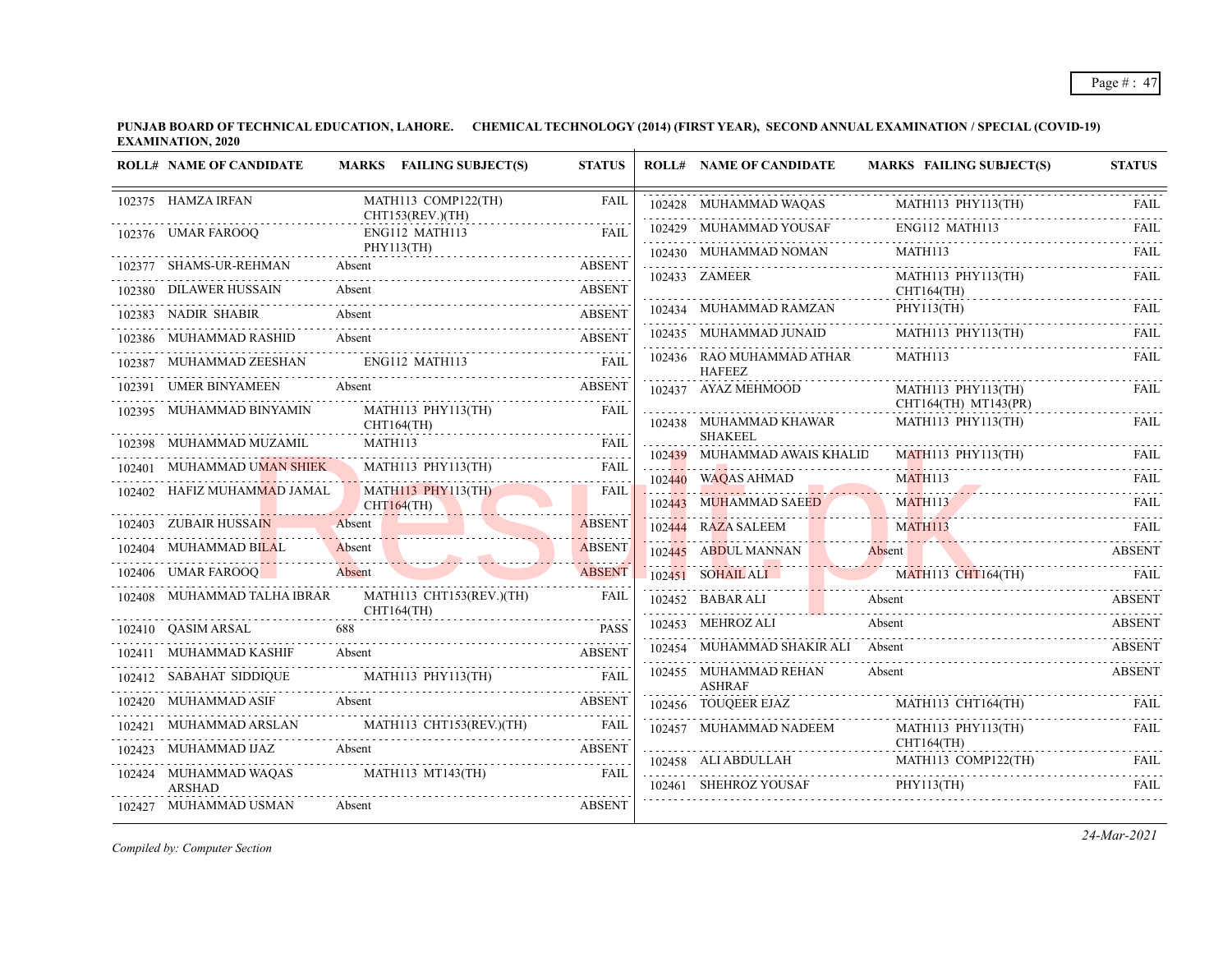|        | <b>ROLL# NAME OF CANDIDATE</b> | MARKS FAILING SUBJECT(S)                       | <b>STATUS</b> | <b>ROLL# NAME OF CANDIDATE</b>             | <b>MARKS FAILING SUBJECT(S)</b>                                                                                                | <b>STATUS</b>    |
|--------|--------------------------------|------------------------------------------------|---------------|--------------------------------------------|--------------------------------------------------------------------------------------------------------------------------------|------------------|
|        | 102375 HAMZA IRFAN             | MATH113 COMP122(TH)<br>CHT153(REV.)(TH)        | <b>FAIL</b>   | 102428 MUHAMMAD WAQAS                      | MATH113 PHY113(TH)                                                                                                             | FAIL             |
|        | 102376 UMAR FAROOQ             | ENG112 MATH113                                 | <b>FAIL</b>   | 102429 MUHAMMAD YOUSAF                     | ENG112 MATH113                                                                                                                 | <b>FAIL</b>      |
|        |                                | PHY113(TH)                                     |               | 102430 MUHAMMAD NOMAN                      | <b>MATH113</b>                                                                                                                 | FAIL             |
|        | 102377 SHAMS-UR-REHMAN         | Absent                                         | <b>ABSENT</b> | 102433 ZAMEER                              | MATH113 PHY113(TH)                                                                                                             | .<br><b>FAIL</b> |
|        | 102380 DILAWER HUSSAIN         | Absent                                         | <b>ABSENT</b> |                                            | $CHT164$ (TH)                                                                                                                  |                  |
|        | 102383 NADIR SHABIR            | Absent                                         | <b>ABSENT</b> | 102434 MUHAMMAD RAMZAN                     | PHY113(TH)                                                                                                                     | FAIL             |
|        | 102386 MUHAMMAD RASHID         | Absent                                         | <b>ABSENT</b> | 102435 MUHAMMAD JUNAID                     | MATH113 PHY113(TH)                                                                                                             | FAIL             |
|        | 102387 MUHAMMAD ZEESHAN        | ENG112 MATH113                                 | <b>FAIL</b>   | 102436 RAO MUHAMMAD ATHAR<br><b>HAFEEZ</b> | MATH113                                                                                                                        | FAIL             |
|        | 102391 UMER BINYAMEEN          | Absent                                         | <b>ABSENT</b> | 102437 AYAZ MEHMOOD                        | MATH113 PHY113(TH)                                                                                                             | FAIL             |
| 102395 | MUHAMMAD BINYAMIN              | MATH113 PHY113(TH)<br>CHT164(TH)               | <b>FAIL</b>   | 102438 MUHAMMAD KHAWAR                     | CHT164(TH) MT143(PR)<br>MATH113 PHY113(TH)                                                                                     | FAIL             |
|        | 102398 MUHAMMAD MUZAMIL        | MATH113                                        | <b>FAIL</b>   | <b>SHAKEEL</b>                             |                                                                                                                                |                  |
|        |                                | .                                              |               | 102439 MUHAMMAD AWAIS KHALID               | MATH113 PHY113(TH)                                                                                                             | <b>FAIL</b>      |
|        | 102401 MUHAMMAD UMAN SHIEK     | MATH113 PHY113(TH)                             | <b>FAIL</b>   | 102440 WAQAS AHMAD                         | MATH113                                                                                                                        | FAII.            |
|        | 102402 HAFIZ MUHAMMAD JAMAL    | <b>MATH113 PHY113(TH)</b><br><b>CHT164(TH)</b> | <b>FAIL</b>   | 102443 MUHAMMAD SAEED                      | <b>MATH113</b>                                                                                                                 | <b>FAIL</b>      |
|        | 102403 ZUBAIR HUSSAIN          | Absent                                         | <b>ABSENT</b> | 102444 RAZA SALEEM                         | <b>MATH113</b>                                                                                                                 | <b>FAIL</b>      |
|        | 102404 MUHAMMAD BILAL          | Absent                                         | <b>ABSENT</b> | 102445 ABDUL MANNAN                        | Absent<br><u> 11 million - Francisco III, et al. 11 million - Anno 11 million - Anno 11 million - Anno 11 million - Anno 1</u> | <b>ABSENT</b>    |
|        | 102406 UMAR FAROOQ             | Absent                                         | <b>ABSENT</b> | $102451$ SOHAIL ALI                        | <b>MATH113 CHT164(TH)</b>                                                                                                      | FAIL             |
|        | 102408 MUHAMMAD TALHA IBRAR    | MATH113 CHT153(REV.)(TH)<br>CHT164(TH)         | <b>FAIL</b>   | 102452 BABAR ALI                           | Absent                                                                                                                         | <b>ABSENT</b>    |
|        | 102410 QASIM ARSAL             | 688                                            | <b>PASS</b>   | 102453 MEHROZ ALI                          | Absent                                                                                                                         | <b>ABSENT</b>    |
|        | 102411 MUHAMMAD KASHIF         | Absent                                         | <b>ABSENT</b> | 102454 MUHAMMAD SHAKIR ALI Absent          |                                                                                                                                | <b>ABSENT</b>    |
|        | 102412 SABAHAT SIDDIOUE        | MATH113 PHY113(TH)                             | <b>FAIL</b>   | 102455 MUHAMMAD REHAN<br><b>ASHRAF</b>     | Absent                                                                                                                         | <b>ABSENT</b>    |
|        | 102420 MUHAMMAD ASIF           | Absent                                         | <b>ABSENT</b> | 102456 TOUQEER EJAZ                        | MATH113 CHT164(TH)                                                                                                             | <b>FAIL</b>      |
| 102421 | MUHAMMAD ARSLAN                | MATH113 CHT153(REV.)(TH)                       | <b>FAIL</b>   | 102457 MUHAMMAD NADEEM                     | MATH113 PHY113(TH)                                                                                                             | <b>FAIL</b>      |
| 102423 | MUHAMMAD IJAZ                  | Absent                                         | <b>ABSENT</b> |                                            | CHT164(TH)                                                                                                                     |                  |
|        | 102424 MUHAMMAD WAQAS          | <b>MATH113 MT143(TH)</b>                       | <b>FAIL</b>   | 102458 ALI ABDULLAH                        | MATH113 COMP122(TH)                                                                                                            | <b>FAIL</b>      |
|        | <b>ARSHAD</b>                  |                                                |               | 102461 SHEHROZ YOUSAF                      | PHY113(TH)                                                                                                                     | FAIL             |
|        | 102427 MUHAMMAD USMAN          | Absent                                         | <b>ABSENT</b> |                                            |                                                                                                                                |                  |

*Compiled by: Computer Section*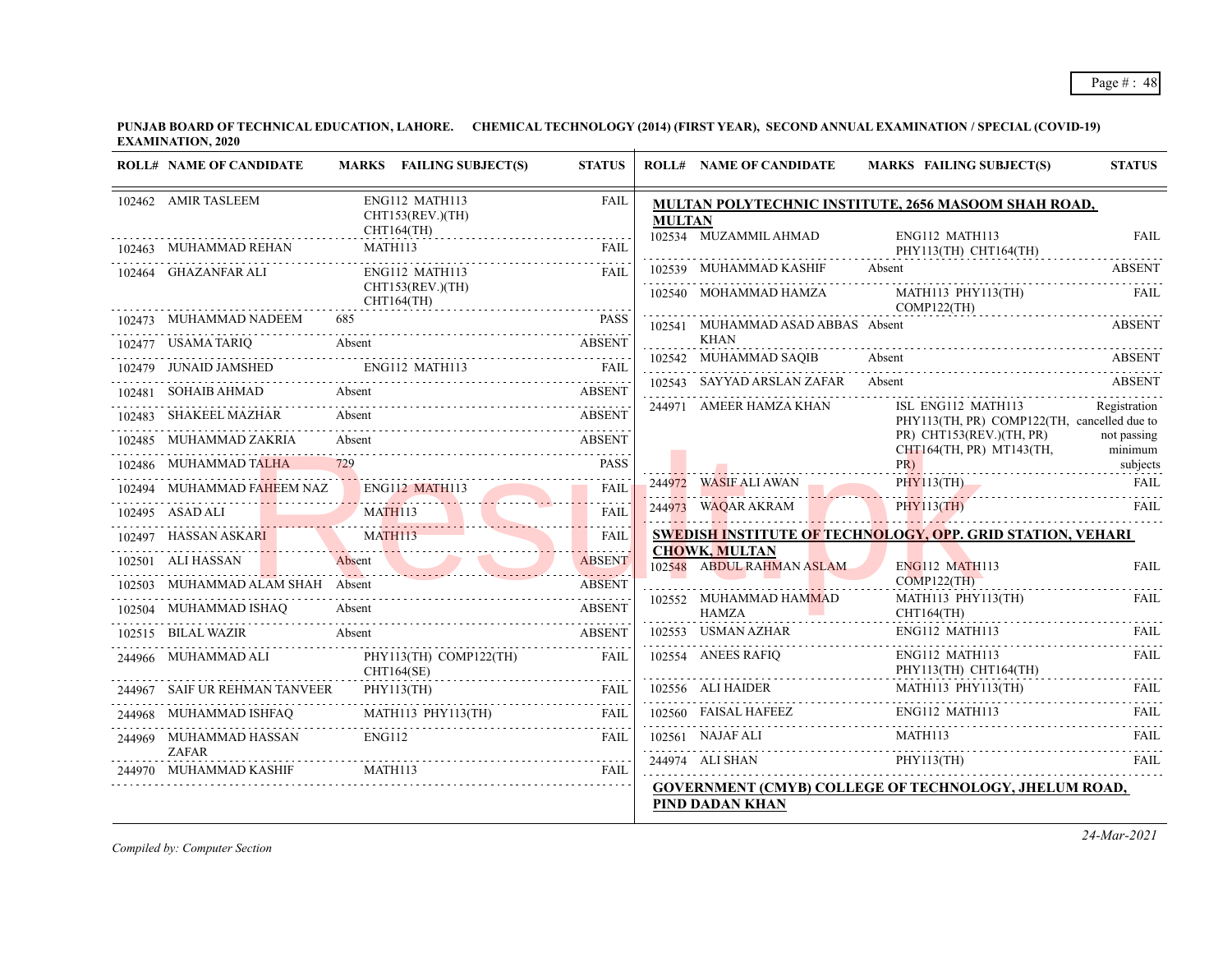| <b>ROLL# NAME OF CANDIDATE</b>            | MARKS FAILING SUBJECT(S)                   | <b>STATUS</b>      |               | <b>ROLL# NAME OF CANDIDATE</b>                    | <b>MARKS FAILING SUBJECT(S)</b>                                   | <b>STATUS</b>          |
|-------------------------------------------|--------------------------------------------|--------------------|---------------|---------------------------------------------------|-------------------------------------------------------------------|------------------------|
| 102462 AMIR TASLEEM                       | ENG112 MATH113<br>CHT153(REV.)(TH)         | <b>FAIL</b>        | <b>MULTAN</b> |                                                   | MULTAN POLYTECHNIC INSTITUTE, 2656 MASOOM SHAH ROAD,              |                        |
| 102463 MUHAMMAD REHAN                     | CHT164(TH)<br>MATH113                      | <b>FAIL</b>        |               | 102534 MUZAMMIL AHMAD                             | ENG112 MATH113<br>PHY113(TH) CHT164(TH)                           | <b>FAIL</b>            |
| 102464 GHAZANFAR ALI                      | ENG112 MATH113                             | <b>FAIL</b>        |               | 102539 MUHAMMAD KASHIF                            | Absent                                                            | <b>ABSENT</b>          |
|                                           | CHT153(REV.)(TH)<br><b>CHT164(TH)</b>      |                    |               | 102540 MOHAMMAD HAMZA                             | MATH113 PHY113(TH)<br>COMP122(TH)                                 | FAIL                   |
| 102473 MUHAMMAD NADEEM                    | 685                                        | <b>PASS</b>        |               | 102541 MUHAMMAD ASAD ABBAS Absent                 |                                                                   | <b>ABSENT</b>          |
| 102477 USAMA TARIQ                        | Absent                                     | <b>ABSENT</b>      |               | <b>KHAN</b><br>102542 MUHAMMAD SAQIB              | Absent                                                            | ABSENT                 |
| 102479 JUNAID JAMSHED                     | ENG112 MATH113                             | <b>FAIL</b>        |               | 102543 SAYYAD ARSLAN ZAFAR Absent                 |                                                                   |                        |
| 102481 SOHAIB AHMAD                       | Absent                                     | ABSENT             |               |                                                   |                                                                   | <b>ABSENT</b>          |
| 102483 SHAKEEL MAZHAR Absent              |                                            | <b>ABSENT</b>      |               | 244971 AMEER HAMZA KHAN                           | ISL ENG112 MATH113<br>PHY113(TH, PR) COMP122(TH, cancelled due to | Registration           |
| 102485 MUHAMMAD ZAKRIA                    | Absent                                     | <b>ABSENT</b>      |               |                                                   | $PR)$ CHT153(REV.)(TH, PR)<br>CHT164(TH, PR) MT143(TH,            | not passing<br>minimum |
| 102486 MUHAMMAD TALHA                     |                                            | <b>PASS</b>        |               |                                                   | PR)                                                               | subjects               |
| 102494 MUHAMMAD FAHEEM NAZ ENG112 MATH113 |                                            | <b>FAIL</b>        |               | 244972 WASIF ALI AWAN                             | PHY113(TH)                                                        | <b>FAIL</b>            |
| 102495 ASAD ALI                           | 495 ASAD ALI MATHI13                       | <b>FAIL</b>        |               | 244973 WAQAR AKRAM                                | <b>PHY113(TH)</b>                                                 | FAIL                   |
|                                           | 102497 HASSAN ASKARI MATHI13               | .<br><b>FAII</b>   |               |                                                   | SWEDISH INSTITUTE OF TECHNOLOGY, OPP. GRID STATION, VEHARI        |                        |
| 102501 ALI HASSAN                         | Absent                                     | .<br><b>ABSENT</b> |               | <b>CHOWK, MULTAN</b><br>102548 ABDUL RAHMAN ASLAM | <b>ENG112 MATH113</b>                                             | <b>FAIL</b>            |
| MUHAMMAD ALAM SHAH Absent                 |                                            | <b>ABSENT</b>      |               |                                                   | $COMP122$ (TH)                                                    |                        |
|                                           | 102504 MUHAMMAD ISHAQ Absent ABSENT ABSENT |                    |               | 102552 MUHAMMAD HAMMAD<br><b>HAMZA</b>            | $MATH113$ $PHY113(TH)$<br>CHT164(TH)                              | <b>FAIL</b>            |
| 102515 BILAL WAZIR                        | Absent                                     | <b>ABSENT</b>      |               | 102553 USMAN AZHAR                                | ENG112 MATH113                                                    | FAIL                   |
| 244966 MUHAMMAD ALI                       | PHY113(TH) COMP122(TH)<br>CHT164(SE)       | FAII.              |               | 102554 ANEES RAFIQ                                | ENG112 MATH113<br>PHY113(TH) CHT164(TH)                           | dia a dia a<br>FAIL    |
| 244967 SAIF UR REHMAN TANVEER             | PHY113(TH)                                 | FAII.              |               | 102556 ALI HAIDER                                 | MATH113 PHY113(TH)                                                | FAII.                  |
| 244968 MUHAMMAD ISHFAQ                    | <b>MATH113 PHY113(TH)</b>                  | FAIL               |               | 102560 FAISAL HAFEEZ<br>                          | ENG112 MATH113                                                    | <b>FAIL</b>            |
| 244969 MUHAMMAD HASSAN                    | <b>ENG112</b>                              | FAIL               |               | 102561 NAJAF ALI                                  | MATH113                                                           | FAIL                   |
| <b>ZAFAR</b><br>244970 MUHAMMAD KASHIF    | MATH113                                    | <b>FAIL</b>        |               | 244974 ALI SHAN                                   | PHY113(TH)                                                        | <b>FAIL</b>            |
|                                           |                                            |                    |               | PIND DADAN KHAN                                   | GOVERNMENT (CMYB) COLLEGE OF TECHNOLOGY, JHELUM ROAD,             |                        |

*Compiled by: Computer Section*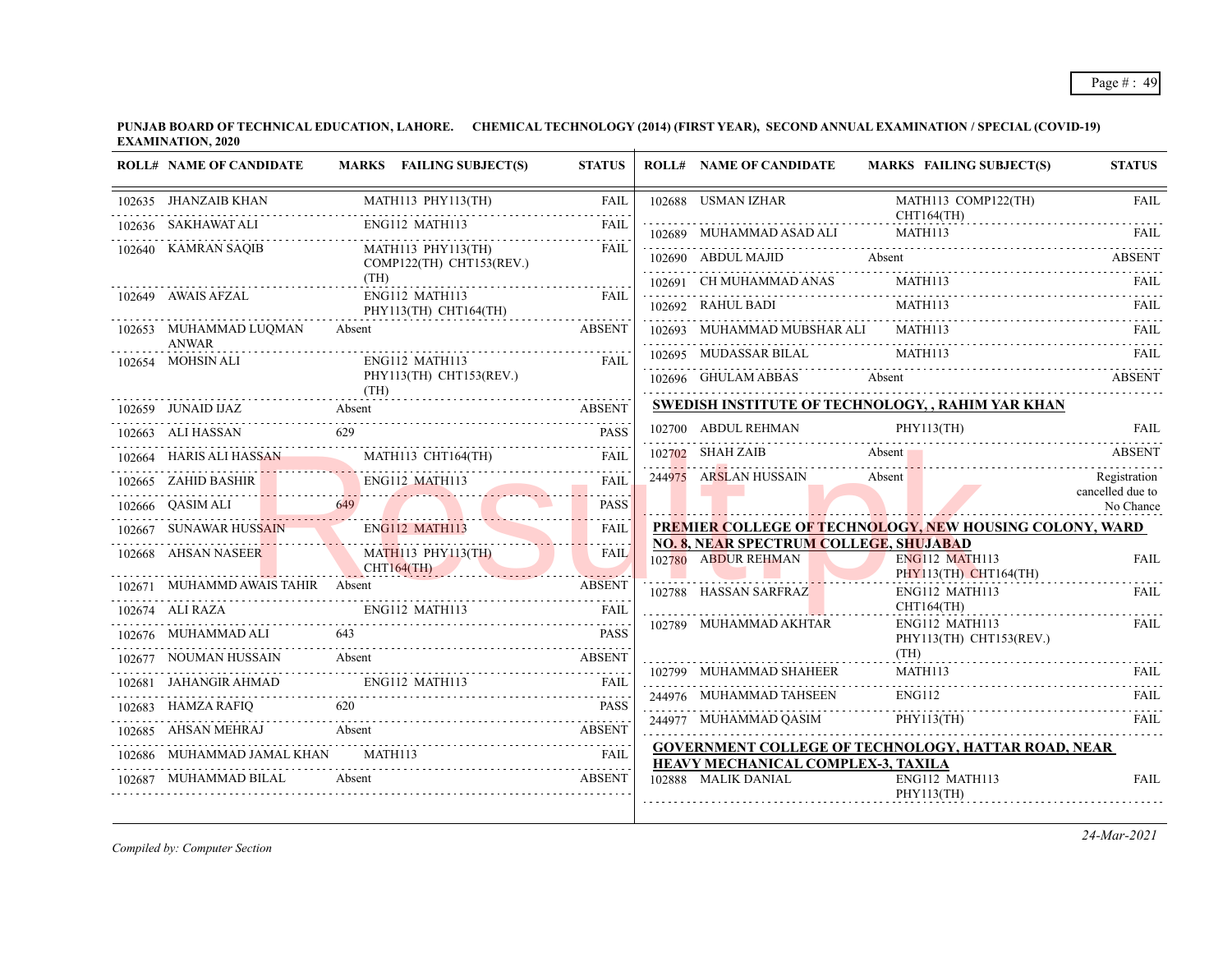| <b>ROLL# NAME OF CANDIDATE</b>             |                               | MARKS FAILING SUBJECT(S)                         | <b>STATUS</b> | <b>ROLL# NAME OF CANDIDATE</b>                                                                          |                | MARKS FAILING SUBJECT(S)                       | <b>STATUS</b>                    |
|--------------------------------------------|-------------------------------|--------------------------------------------------|---------------|---------------------------------------------------------------------------------------------------------|----------------|------------------------------------------------|----------------------------------|
| 102635 JHANZAIB KHAN                       |                               | MATH113 PHY113(TH)                               | <b>FAIL</b>   | 102688 USMAN IZHAR                                                                                      |                | MATH113 COMP122(TH)                            | <b>FAIL</b>                      |
| 102636 SAKHAWAT ALI                        |                               | ENG112 MATH113 FAIL                              |               | $CHT164(TH)$<br>102680 MITHAMAAR ASSESSED TO CHILIGA(TH)<br>102689 MUHAMMAD ASAD ALI                    |                | <b>MATH113</b>                                 |                                  |
| 102640 KAMRAN SAOIB                        |                               | MATH113 PHY113(TH)<br>$COMP122(TH)$ CHT153(REV.) | FAII.         | 102690 ABDUL MAJID Absent                                                                               |                |                                                | <b>EXAMPLE ABSENT</b>            |
|                                            | (TH)                          |                                                  |               | 102691 CH MUHAMMAD ANAS                                                                                 | MATH113        |                                                |                                  |
| 102649 AWAIS AFZAL                         |                               | ENG112 MATH113<br>PHY113(TH) CHT164(TH)          | FAII.         | 102692 RAHUL BADI                                                                                       | MATH113        |                                                | FAII.                            |
| 102653 MUHAMMAD LUQMAN                     | Absent                        |                                                  | <b>ABSENT</b> | 102693 MUHAMMAD MUBSHAR ALI MATH113                                                                     |                |                                                | FAII.                            |
| <b>ANWAR</b><br>102654 MOHSIN ALI          |                               | $ENG112$ MATH $113$                              | <b>FAIL</b>   | 102695 MUDASSAR BILAL                                                                                   | <b>MATH113</b> |                                                | FAIL                             |
|                                            |                               | PHY113(TH) CHT153(REV.)                          |               | 102696 GHULAM ABBAS Absent ABSENT                                                                       |                |                                                |                                  |
| 102659 JUNAID IJAZ Absent ABSENT           |                               | (TH)                                             |               | SWEDISH INSTITUTE OF TECHNOLOGY, , RAHIM YAR KHAN                                                       |                |                                                |                                  |
| 102663 ALI HASSAN 629                      |                               |                                                  | <b>PASS</b>   | 102700 ABDUL REHMAN PHY113(TH) FAIL                                                                     | PHY113(TH)     |                                                |                                  |
| 102664 HARIS ALI HASSAN MATH113 CHT164(TH) |                               |                                                  | FAIL          | 102702 SHAH ZAIB Absent                                                                                 |                |                                                | <b>ABSENT</b>                    |
|                                            |                               | ENG112 MATH113                                   | <b>FAIL</b>   | 244975 ARSLAN HUSSAIN                                                                                   | Absent         |                                                | Registration<br>cancelled due to |
| 102666 QASIM ALI 649                       |                               |                                                  | <b>PASS</b>   |                                                                                                         |                |                                                | No Chance                        |
| 102667 SUNAWAR HUSSAIN                     | <b>The Contract of Street</b> | ENG112 MATH113                                   | <b>FAIL</b>   | PREMIER COLLEGE OF TECHNOLOGY, NEW HOUSING COLONY, WARD                                                 |                |                                                |                                  |
| 102668 AHSAN NASEER                        |                               | <b>MATH113 PHY113(TH)</b><br>CHT164(TH)          | <b>FAIL</b>   | NO. 8, NEAR SPECTRUM COLLEGE, SHUJABAD<br>102780 ABDUR REHMAN                                           |                | <b>ENG112 MATH113</b><br>PHY113(TH) CHT164(TH) | <b>FAIL</b>                      |
| 102671 MUHAMMD AWAIS TAHIR Absent ABSENT   |                               |                                                  | <b>ABSENT</b> | 102788 HASSAN SARFRAZ                                                                                   |                | ENG112 MATH113                                 | <b>FAIL</b>                      |
| 102674 ALI RAZA ENG112 MATH113             |                               |                                                  | FAIL          |                                                                                                         | CHT164(TH)     |                                                |                                  |
| 102676 MUHAMMAD ALI                        |                               |                                                  | <b>PASS</b>   | 102789 MUHAMMAD AKHTAR                                                                                  |                | ENG112 MATH113<br>PHY113(TH) CHT153(REV.)      | FAIL                             |
| 102677 NOUMAN HUSSAIN Absent ABSENT        |                               |                                                  |               | 102799 MUHAMMAD SHAHEER                                                                                 | MATH113        | (TH)                                           | FAIL                             |
| 102681 JAHANGIR AHMAD ENG112 MATH113       |                               |                                                  | FAIL          | 244976 MUHAMMAD TAHSEEN                                                                                 | <b>ENG112</b>  |                                                |                                  |
| 102683 HAMZA RAFIQ 620                     |                               |                                                  | <b>PASS</b>   | 244977 MUHAMMAD QASIM PHY113(TH) FAIL                                                                   |                |                                                | FAIL                             |
| 102685 AHSAN MEHRAJ Absent                 |                               |                                                  | <b>ABSENT</b> | $244977$ MUHAMMAD QASIM PHY113(TH) FAIL PHY113(TH)                                                      |                |                                                |                                  |
| 102686 MUHAMMAD JAMAL KHAN MATH113         |                               |                                                  | <b>FAIL</b>   | <b>GOVERNMENT COLLEGE OF TECHNOLOGY, HATTAR ROAD, NEAR</b><br><b>HEAVY MECHANICAL COMPLEX-3, TAXILA</b> |                |                                                |                                  |
| 102687 MUHAMMAD BILAL                      | Absent                        |                                                  | <b>ABSENT</b> | 102888 MALIK DANIAL                                                                                     | PHY113(TH)     | ENG112 MATH113                                 | <b>FAIL</b>                      |

*Compiled by: Computer Section*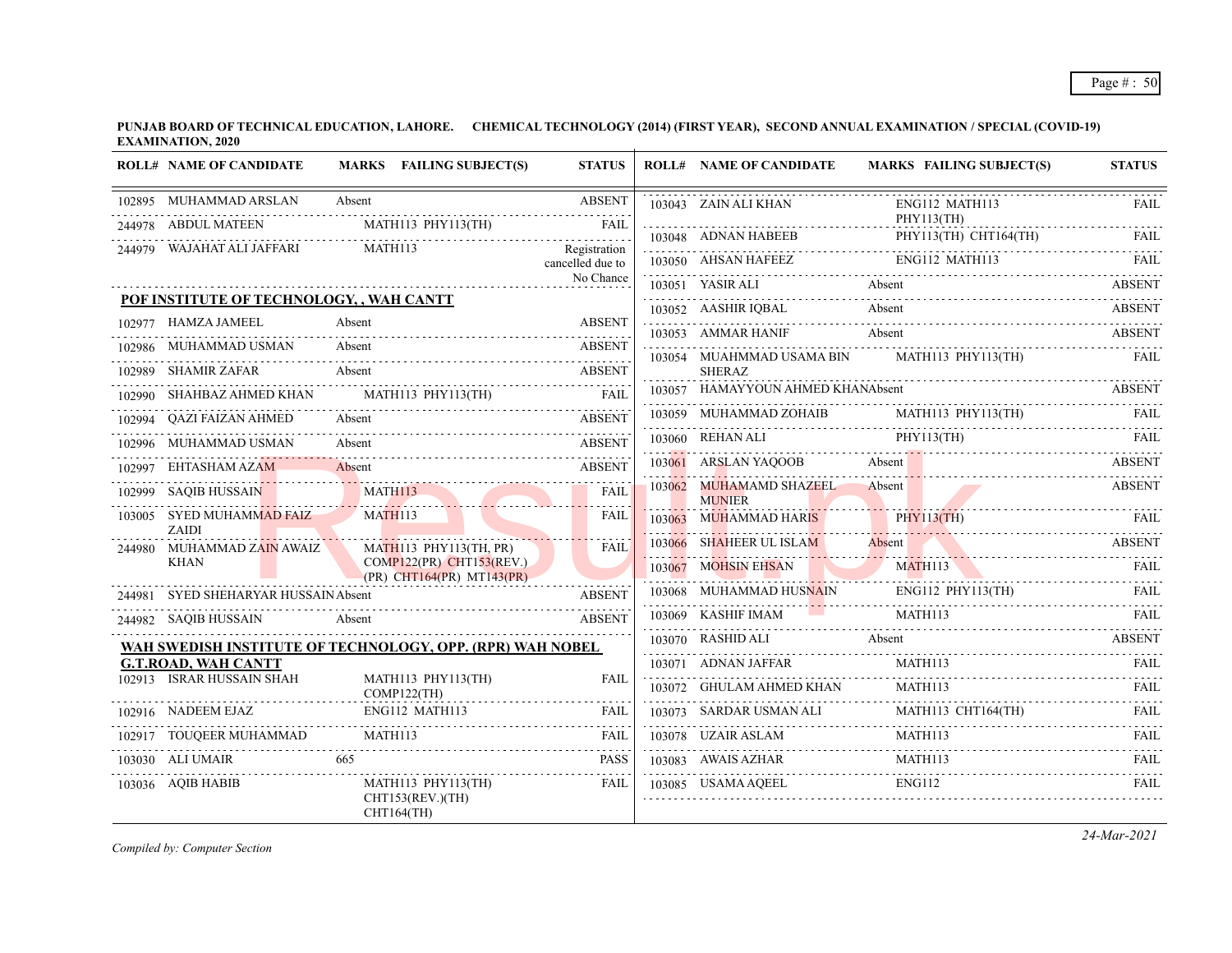|        | <b>ROLL# NAME OF CANDIDATE</b>                            |                | MARKS FAILING SUBJECT(S)                                        | <b>STATUS</b>                    | <b>ROLL# NAME OF CANDIDATE</b>                                                                          |               | <b>MARKS FAILING SUBJECT(S)</b>  | <b>STATUS</b> |
|--------|-----------------------------------------------------------|----------------|-----------------------------------------------------------------|----------------------------------|---------------------------------------------------------------------------------------------------------|---------------|----------------------------------|---------------|
|        | 102895 MUHAMMAD ARSLAN                                    | Absent         |                                                                 | <b>ABSENT</b>                    | 103043 ZAIN ALI KHAN                                                                                    |               | ENG112 MATH113<br>PHY113(TH)     | FAIL          |
|        | 244978 ABDUL MATEEN                                       |                | MATH113 PHY113(TH)                                              | FAIL                             | $103048 \quad \text{ADNAN HABEEB} \qquad \qquad \text{PHY113(TH) CHT164(TH)} \qquad \qquad \text{FAIL}$ |               |                                  |               |
|        | 244979 WAJAHAT ALI JAFFARI                                |                | <b>MATH113</b>                                                  | Registration<br>cancelled due to | 103050 AHSAN HAFEEZ                                                                                     |               | ENG112 MATH113                   | <b>FAIL</b>   |
|        |                                                           |                |                                                                 | No Chance                        | 103051 YASIR ALI                                                                                        | Absent        |                                  | <b>ABSENT</b> |
|        | POF INSTITUTE OF TECHNOLOGY, , WAH CANTT                  |                |                                                                 |                                  |                                                                                                         |               |                                  |               |
|        | 102977 HAMZA JAMEEL                                       | Absent         |                                                                 | <b>ABSENT</b>                    | 103052 AASHIR IQBAL Absent ABSENT<br>103053 AMMAR HANIF                                                 | Absent        |                                  | <b>ABSENT</b> |
|        | 102986 MUHAMMAD USMAN                                     | Absent         |                                                                 | ABSENT                           | 103054 MUAHMMAD USAMA BIN                                                                               |               | MATH113 PHY113(TH)               | <b>FAIL</b>   |
|        | 102989 SHAMIR ZAFAR                                       | Absent         |                                                                 | <b>ABSENT</b>                    | <b>SHERAZ</b>                                                                                           |               |                                  |               |
|        | 102990 SHAHBAZ AHMED KHAN                                 |                | $MATH113$ $PHY113(TH)$                                          | <b>FAIL</b>                      | 103057 HAMAYYOUN AHMED KHANAbsent                                                                       |               |                                  | ABSENT        |
|        | 102994 QAZI FAIZAN AHMED                                  | Absent         |                                                                 | <b>ABSENT</b>                    | 103059 MUHAMMAD ZOHAIB MATH113 PHY113(TH)                                                               |               |                                  | FAIL          |
| 102996 | MUHAMMAD USMAN                                            | Absent         |                                                                 | <b>ABSENT</b>                    | 103060 REHAN ALI PHY113(TH)                                                                             |               |                                  | FAIL          |
|        | EHTASHAM AZAM                                             | Absent         |                                                                 | <b>ABSENT</b>                    | 103061 ARSLAN YAQOOB                                                                                    | Absent        |                                  | <b>ABSENT</b> |
|        | 102999 SAOIB HUSSAIN                                      |                | MATH113                                                         | FAIL<br>.                        | 103062 MUHAMAMD SHAZEEL Absent<br><b>MUNIER</b>                                                         |               |                                  | <b>ABSENT</b> |
|        | 103005 SYED MUHAMMAD FAIZ<br><b>ZAIDI</b>                 | <b>MATH113</b> |                                                                 | FAIL                             | 103063 MUHAMMAD HARIS                                                                                   |               | PHY113(TH)                       | -FAIL         |
|        | 244980 MUHAMMAD ZAIN AWAIZ                                |                | MATH113 PHY113(TH, PR)                                          | <b>FAIL</b>                      | 103066 SHAHEER UL ISLAM Absent                                                                          |               |                                  | ABSENT        |
|        | <b>KHAN</b>                                               |                | $COMP122(PR)$ CHT153(REV.)<br>$(PR)$ CHT164 $(PR)$ MT143 $(PR)$ |                                  | 103067 MOHSIN EHSAN                                                                                     |               | <b>MATH113</b><br>N MATH113 FAIL |               |
|        | 244981 SYED SHEHARYAR HUSSAIN Absent                      |                |                                                                 | <b>ABSENT</b>                    | 103068 MUHAMMAD HUSNAIN ENG112 PHY113(TH) FAIL                                                          |               | ENG112 PHY113(TH)                |               |
|        | 244982 SAQIB HUSSAIN                                      | Absent         |                                                                 | <b>ABSENT</b>                    | 103069 KASHIF IMAM                                                                                      |               | <b>MATH113</b>                   | FAII.         |
|        | WAH SWEDISH INSTITUTE OF TECHNOLOGY, OPP. (RPR) WAH NOBEL |                |                                                                 |                                  | 103070 RASHID ALI                                                                                       | Absent        |                                  | <b>ABSENT</b> |
|        | <b>G.T.ROAD, WAH CANTT</b>                                |                |                                                                 |                                  | 103071 ADNAN JAFFAR                                                                                     |               | MATH113                          | <b>FAIL</b>   |
|        | 102913 ISRAR HUSSAIN SHAH                                 |                | MATH113 PHY113(TH)<br>.<br>COMP122(TH)                          | FAII.                            | 103072 GHULAM AHMED KHAN                                                                                |               | MATH113                          | <b>FAIL</b>   |
|        | 102916 NADEEM EJAZ                                        |                | ENG112 MATH113                                                  | FAIL                             | 103073 SARDAR USMAN ALI                                                                                 |               | MATH113 CHT164(TH)               | FAIL          |
|        | 102917 TOUQEER MUHAMMAD                                   | MATH113        |                                                                 | <b>FAIL</b>                      | 103078 UZAIR ASLAM                                                                                      |               | MATH113                          |               |
|        | 103030 ALI UMAIR                                          | 665            |                                                                 | <b>PASS</b>                      | 103083 AWAIS AZHAR                                                                                      |               | MATH113                          | <b>FAIL</b>   |
|        | 103036 AQIB HABIB                                         |                | MATH113 PHY113(TH)<br>CHT153(REV.)(TH)<br>CHT164(TH)            | FAIL                             | 103085 USAMA AOEEL                                                                                      | <b>ENG112</b> |                                  | FAIL          |

*Compiled by: Computer Section*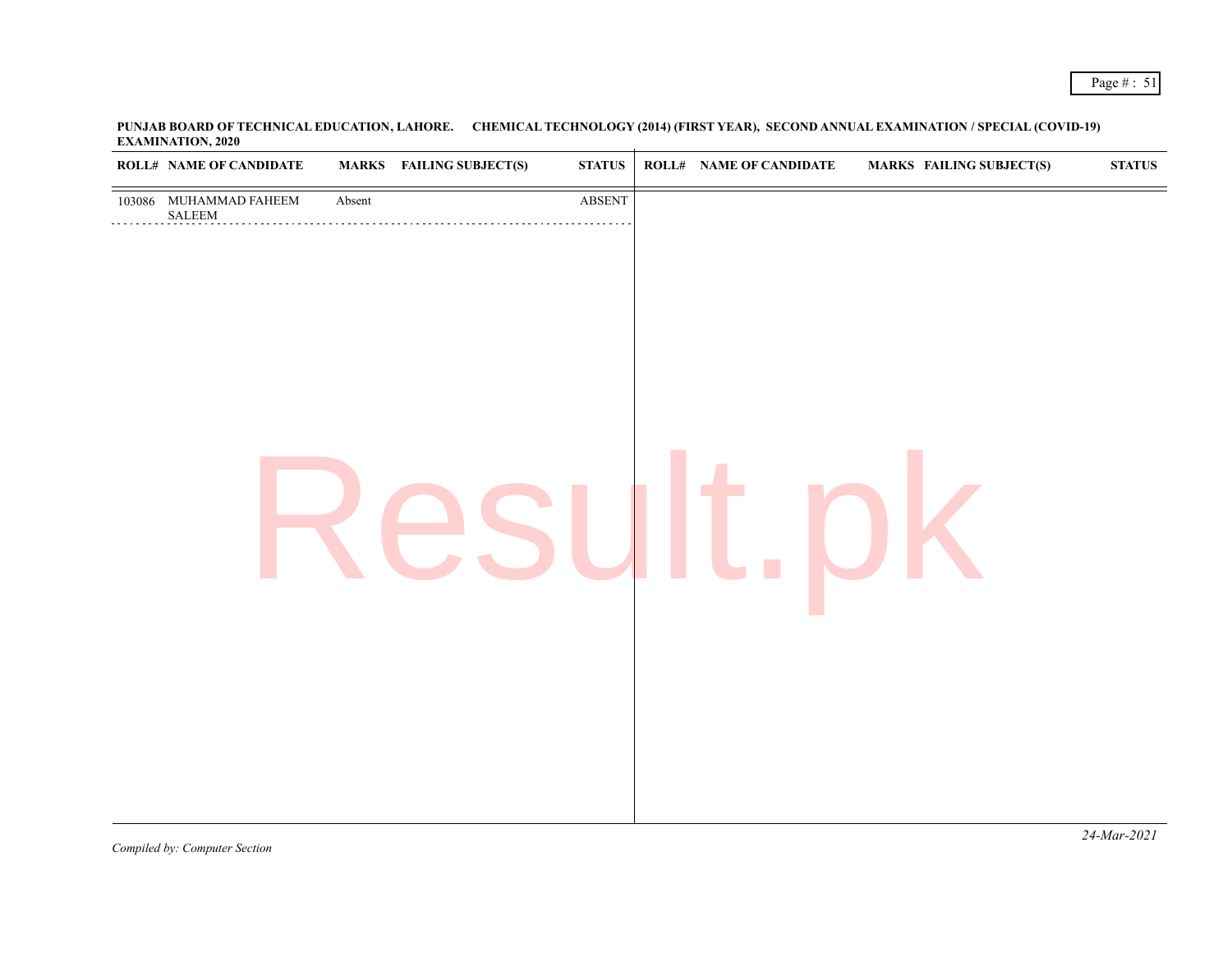| <b>ROLL# NAME OF CANDIDATE</b>                    |        | <b>MARKS</b> FAILING SUBJECT(S) | <b>STATUS</b>           | ROLL# NAME OF CANDIDATE | <b>MARKS FAILING SUBJECT(S)</b> | <b>STATUS</b> |
|---------------------------------------------------|--------|---------------------------------|-------------------------|-------------------------|---------------------------------|---------------|
| 103086 MUHAMMAD FAHEEM<br>$\operatorname{SALEEM}$ | Absent |                                 | $\operatorname{ABSENT}$ |                         |                                 |               |
|                                                   |        |                                 |                         |                         |                                 |               |
|                                                   |        |                                 |                         |                         |                                 |               |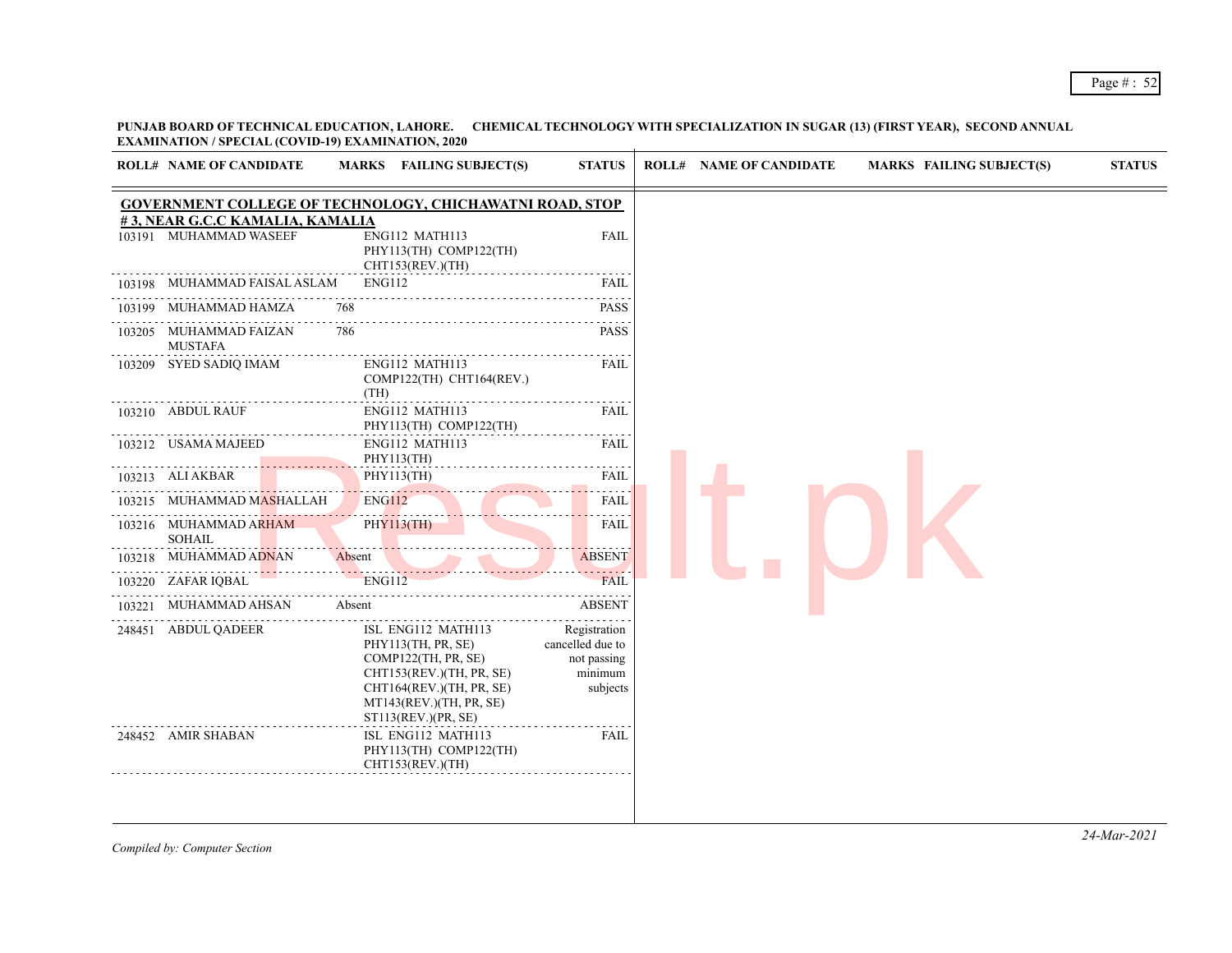## Page # : 52

**PUNJAB BOARD OF TECHNICAL EDUCATION, LAHORE. CHEMICAL TECHNOLOGY WITH SPECIALIZATION IN SUGAR (13) (FIRST YEAR), SECOND ANNUAL EXAMINATION / SPECIAL (COVID-19) EXAMINATION, 2020**

|        | <b>ROLL# NAME OF CANDIDATE</b>                            | MARKS FAILING SUBJECT(S)                                                                                                                                                  | <b>STATUS</b>                                                          | <b>ROLL# NAME OF CANDIDATE</b><br><b>MARKS FAILING SUBJECT(S)</b> | <b>STATUS</b> |
|--------|-----------------------------------------------------------|---------------------------------------------------------------------------------------------------------------------------------------------------------------------------|------------------------------------------------------------------------|-------------------------------------------------------------------|---------------|
|        |                                                           | <b>GOVERNMENT COLLEGE OF TECHNOLOGY, CHICHAWATNI ROAD, STOP</b>                                                                                                           |                                                                        |                                                                   |               |
|        | #3, NEAR G.C.C KAMALIA, KAMALIA<br>103191 MUHAMMAD WASEEF | ENG112 MATH113<br>PHY113(TH) COMP122(TH)<br>CHT153(REV.)(TH)                                                                                                              | <b>FAIL</b>                                                            |                                                                   |               |
| 103198 | MUHAMMAD FAISAL ASLAM                                     | <b>ENG112</b>                                                                                                                                                             | FAIL                                                                   |                                                                   |               |
|        | 103199 MUHAMMAD HAMZA                                     | 768                                                                                                                                                                       | <b>PASS</b>                                                            |                                                                   |               |
|        | 103205 MUHAMMAD FAIZAN<br><b>MUSTAFA</b>                  | 786                                                                                                                                                                       | <b>PASS</b>                                                            |                                                                   |               |
|        | 103209 SYED SADIQ IMAM                                    | ENG112 MATH113<br>COMP122(TH) CHT164(REV.)<br>(TH)                                                                                                                        | FAIL                                                                   |                                                                   |               |
|        | 103210 ABDUL RAUF                                         | ENG112 MATH113<br>PHY113(TH) COMP122(TH)                                                                                                                                  | FAIL                                                                   |                                                                   |               |
|        | 103212 USAMA MAJEED                                       | ENG112 MATH113<br>PHY113(TH)                                                                                                                                              | FAIL                                                                   |                                                                   |               |
|        | 103213 ALI AKBAR                                          | PHY113(TH)                                                                                                                                                                | <b>FAIL</b>                                                            |                                                                   |               |
|        | 103215 MUHAMMAD M <del>AS</del> HALLAH_                   | <b>ENG112</b>                                                                                                                                                             | FAIL                                                                   |                                                                   |               |
|        | 103216 MUHAMMAD ARHAM<br><b>SOHAIL</b>                    | <u>.</u><br><b>PHY113(TH)</b>                                                                                                                                             | $\sim$ $\sim$ $\sim$ $\sim$<br>FAIL                                    |                                                                   |               |
|        | 103218 MUHAMMAD ADNAN                                     | Absent                                                                                                                                                                    | <b>ABSENT</b>                                                          |                                                                   |               |
|        | 103220 ZAFAR IQBAL                                        | <b>ENG112</b>                                                                                                                                                             | .<br><b>FAIL</b>                                                       |                                                                   |               |
| 103221 | MUHAMMAD AHSAN                                            | Absent                                                                                                                                                                    | <b>ABSENT</b>                                                          |                                                                   |               |
|        | 248451 ABDUL QADEER                                       | ISL ENG112 MATH113<br>PHY113(TH, PR, SE)<br>COMP122(TH, PR, SE)<br>CHT153(REV.)(TH, PR, SE)<br>CHT164(REV.)(TH, PR, SE)<br>MT143(REV.)(TH, PR, SE)<br>ST113(REV.)(PR, SE) | Registration<br>cancelled due to<br>not passing<br>minimum<br>subjects |                                                                   |               |
|        | 248452 AMIR SHABAN                                        | ISL ENG112 MATH113<br>PHY113(TH) COMP122(TH)<br>CHT153(REV.)(TH)                                                                                                          | FAIL                                                                   |                                                                   |               |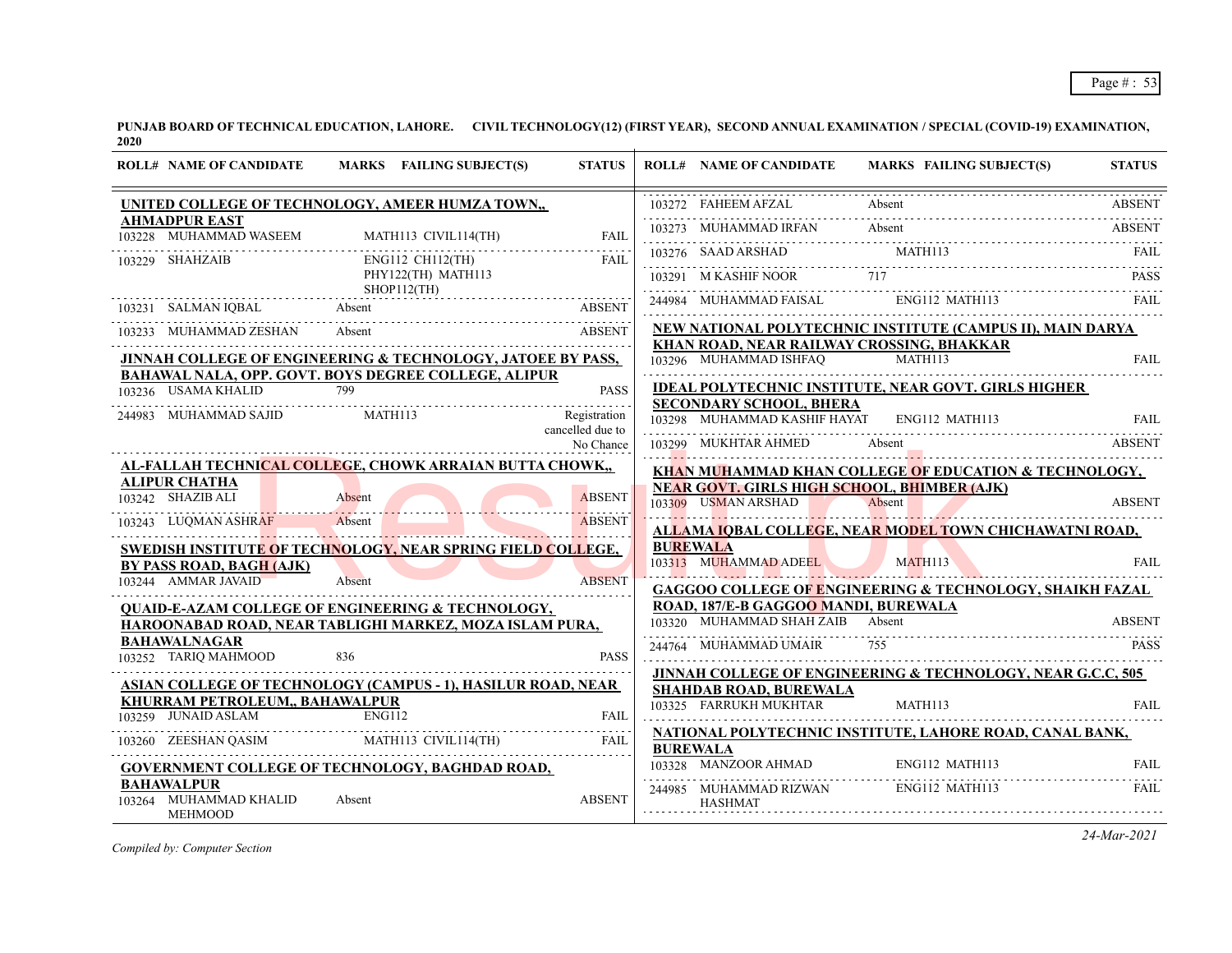| <b>ROLL# NAME OF CANDIDATE</b>                                | MARKS FAILING SUBJECT(S)                                           | <b>STATUS</b>                 | <b>ROLL# NAME OF CANDIDATE</b>                     | <b>MARKS FAILING SUBJECT(S)</b>                                            | <b>STATUS</b> |
|---------------------------------------------------------------|--------------------------------------------------------------------|-------------------------------|----------------------------------------------------|----------------------------------------------------------------------------|---------------|
|                                                               | UNITED COLLEGE OF TECHNOLOGY, AMEER HUMZA TOWN,,                   |                               | 103272 FAHEEM AFZAL                                | Absent                                                                     | <b>ABSENT</b> |
| <b>AHMADPUR EAST</b><br>103228 MUHAMMAD WASEEM                | MATH113 CIVIL114(TH)                                               | FAIL                          |                                                    | 103273 MUHAMMAD IRFAN Absent Absent MATH113 FAIL PRESS, AND ARSHAD         |               |
| 103229 SHAHZAIB                                               | ENG112 CH112(TH)                                                   | FAIL                          |                                                    | $103276 \quad \text{SADD ARSHAD} \qquad \text{MATH113} \qquad \text{FAIL}$ |               |
|                                                               | PHY122(TH) MATH113<br>SHOP112(TH)                                  |                               | 103291 M KASHIF NOOR 717                           |                                                                            | <b>PASS</b>   |
| 103231 SALMAN IQBAL Absent                                    |                                                                    | ABSENT                        | 244984 MUHAMMAD FAISAL ENG112 MATH113              |                                                                            | FAIL          |
| 103233 MUHAMMAD ZESHAN Absent                                 |                                                                    | <b>ABSENT</b>                 |                                                    | NEW NATIONAL POLYTECHNIC INSTITUTE (CAMPUS II), MAIN DARYA                 |               |
|                                                               | JINNAH COLLEGE OF ENGINEERING & TECHNOLOGY, JATOEE BY PASS,        |                               | KHAN ROAD, NEAR RAILWAY CROSSING, BHAKKAR          | 103296 MUHAMMAD ISHFAQ MATH113                                             | <b>FAIL</b>   |
|                                                               | BAHAWAL NALA, OPP. GOVT. BOYS DEGREE COLLEGE, ALIPUR               |                               |                                                    |                                                                            |               |
| 103236 USAMA KHALID                                           | 799                                                                | <b>PASS</b>                   | <b>SECONDARY SCHOOL, BHERA</b>                     | <b>IDEAL POLYTECHNIC INSTITUTE, NEAR GOVT. GIRLS HIGHER</b>                |               |
| 244983 MUHAMMAD SAJID                                         | MATH113                                                            | Registration                  | 103298 MUHAMMAD KASHIF HAYAT                       | ENG112 MATH113                                                             | <b>FAIL</b>   |
|                                                               |                                                                    | cancelled due to<br>No Chance | 103299 MUKHTAR AHMED                               | 103299 MUKHTAR AHMED Absent ABSENT                                         |               |
|                                                               | AL-FALLAH TECHNICAL COLLEGE, CHOWK ARRAIAN BUTTA CHOWK,            |                               |                                                    | KHAN MUHAMMAD KHAN COLLEGE OF EDUCATION & TECHNOLOGY,                      |               |
| <b>ALIPUR CHATHA</b>                                          |                                                                    |                               | <b>NEAR GOVT. GIRLS HIGH SCHOOL, BHIMBER (AJK)</b> |                                                                            |               |
| 103242 SHAZIB ALI                                             | Absent                                                             | <b>ABSENT</b>                 | 103309 USMAN ARSHAD                                | Absent                                                                     | <b>ABSENT</b> |
| 103243 LUQMAN ASHRAF                                          | Absent                                                             | <b>ABSENT</b>                 |                                                    | ALLAMA IQBAL COLLEGE, NEAR MODEL TOWN CHICHAWATNI ROAD,                    |               |
|                                                               | <b>SWEDISH INSTITUTE OF TECHNOLOGY, NEAR SPRING FIELD COLLEGE,</b> |                               | <b>BUREWALA</b>                                    |                                                                            |               |
| BY PASS ROAD, BAGH (AJK)                                      |                                                                    |                               | 103313 MUHAMMAD ADEEL                              | MATH113                                                                    | FAII.         |
| 103244 AMMAR JAVAID                                           | Absent                                                             | <b>ABSENT</b>                 |                                                    | GAGGOO COLLEGE OF ENGINEERING & TECHNOLOGY, SHAIKH FAZAL                   |               |
|                                                               | <b>QUAID-E-AZAM COLLEGE OF ENGINEERING &amp; TECHNOLOGY,</b>       |                               | ROAD, 187/E-B GAGGOO MANDI, BUREWALA               |                                                                            |               |
|                                                               | HAROONABAD ROAD, NEAR TABLIGHI MARKEZ, MOZA ISLAM PURA,            |                               | 103320 MUHAMMAD SHAH ZAIB Absent                   |                                                                            | <b>ABSENT</b> |
| <b>BAHAWALNAGAR</b><br>103252 TARIO MAHMOOD                   | 836                                                                | <b>PASS</b>                   | 244764 MUHAMMAD UMAIR                              | 755                                                                        | <b>PASS</b>   |
|                                                               |                                                                    |                               |                                                    | JINNAH COLLEGE OF ENGINEERING & TECHNOLOGY, NEAR G.C.C, 505                |               |
|                                                               | ASIAN COLLEGE OF TECHNOLOGY (CAMPUS - 1), HASILUR ROAD, NEAR       |                               | <b>SHAHDAB ROAD, BUREWALA</b>                      |                                                                            |               |
| <b>KHURRAM PETROLEUM,, BAHAWALPUR</b><br>103259 JUNAID ASLAM  | <b>ENG112</b>                                                      | <b>FAIL</b>                   | 103325 FARRUKH MUKHTAR                             | MATH113                                                                    | <b>FAIL</b>   |
|                                                               | 103260 ZEESHAN QASIM MATHI13 CIVIL114(TH)                          | <b>FAIL</b>                   |                                                    | NATIONAL POLYTECHNIC INSTITUTE, LAHORE ROAD, CANAL BANK,                   |               |
|                                                               | <b>GOVERNMENT COLLEGE OF TECHNOLOGY, BAGHDAD ROAD,</b>             |                               | <b>BUREWALA</b>                                    | T03328 MANZOOR AHMAD ENG112 MATH113 FAIL                                   |               |
| <b>BAHAWALPUR</b><br>103264 MUHAMMAD KHALID<br><b>MEHMOOD</b> | Absent                                                             | <b>ABSENT</b>                 | 244985 MUHAMMAD RIZWAN<br><b>HASHMAT</b>           | ENG112 MATH113                                                             | <b>FAIL</b>   |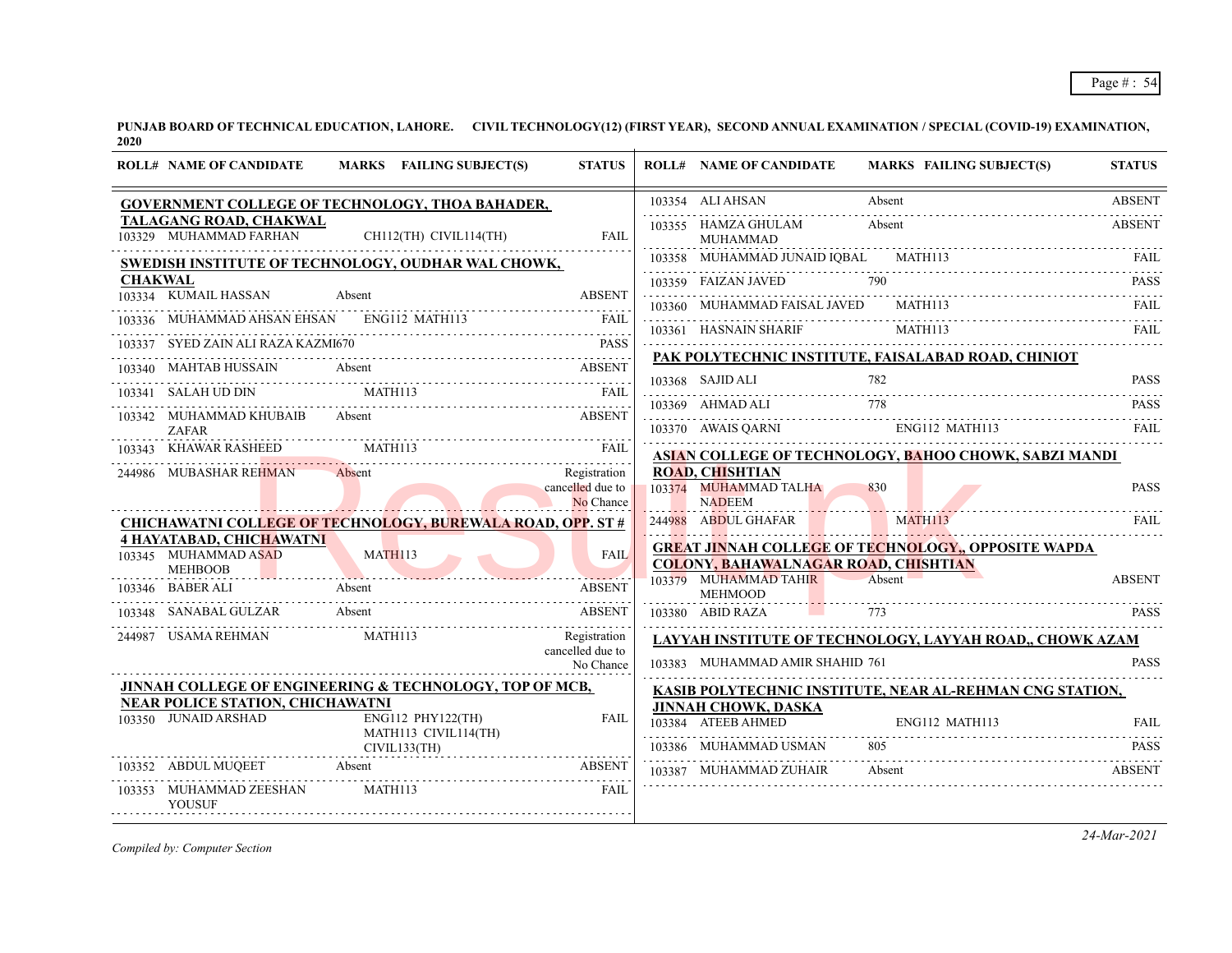|                | <b>ROLL# NAME OF CANDIDATE</b>                                            | MARKS FAILING SUBJECT(S)                                                                                                         | <b>STATUS</b>                                 | <b>ROLL# NAME OF CANDIDATE</b>                                   | <b>MARKS FAILING SUBJECT(S)</b>                                      | <b>STATUS</b> |
|----------------|---------------------------------------------------------------------------|----------------------------------------------------------------------------------------------------------------------------------|-----------------------------------------------|------------------------------------------------------------------|----------------------------------------------------------------------|---------------|
|                |                                                                           | <b>GOVERNMENT COLLEGE OF TECHNOLOGY, THOA BAHADER,</b>                                                                           |                                               | 103354 ALI AHSAN                                                 | Absent                                                               | <b>ABSENT</b> |
|                | TALAGANG ROAD, CHAKWAL<br>103329 MUHAMMAD FARHAN                          | CH112(TH) CIVIL114(TH)                                                                                                           | <b>FAIL</b>                                   | 103355 HAMZA GHULAM<br><b>MUHAMMAD</b>                           | Absent                                                               | <b>ABSENT</b> |
|                |                                                                           | SWEDISH INSTITUTE OF TECHNOLOGY, OUDHAR WAL CHOWK,                                                                               |                                               | 103358 MUHAMMAD JUNAID IOBAL MATH113                             |                                                                      | FAIL          |
| <b>CHAKWAL</b> | 103334 KUMAIL HASSAN                                                      | Absent                                                                                                                           | <b>ABSENT</b>                                 | 103359 FAIZAN JAVED                                              |                                                                      | <b>PASS</b>   |
|                |                                                                           |                                                                                                                                  |                                               | 103360 MUHAMMAD FAISAL JAVED MATH113                             |                                                                      | FAII.         |
|                |                                                                           | 103336 MUHAMMAD AHSAN EHSAN ENG112 MATH113 FAIL                                                                                  |                                               | 103361 HASNAIN SHARIF                                            | MATH113                                                              | FAIL.         |
|                | 103337 SYED ZAIN ALI RAZA KAZMI670                                        |                                                                                                                                  |                                               |                                                                  | PAK POLYTECHNIC INSTITUTE, FAISALABAD ROAD, CHINIOT                  |               |
|                | 103340 MAHTAB HUSSAIN Absent                                              | <b>ABSENT</b>                                                                                                                    |                                               | 103368 SAJID ALI                                                 | 782                                                                  | <b>PASS</b>   |
|                |                                                                           |                                                                                                                                  |                                               | 103369 AHMAD ALI                                                 | 778                                                                  | <b>PASS</b>   |
|                | ZAFAR                                                                     | 103342 MUHAMMAD KHUBAIB Absent                                                                                                   | <b>ABSENT</b>                                 |                                                                  | 103370 AWAIS QARNI ENG112 MATH113 FAIL                               |               |
|                | 103343 KHAWAR RASHEED                                                     | 103343 KHAWAR RASHEED MATHII3 FAIL                                                                                               |                                               |                                                                  | ASIAN COLLEGE OF TECHNOLOGY, BAHOO CHOWK, SABZI MANDI                |               |
|                | 244986 MUBASHAR REHMAN                                                    | Absent                                                                                                                           | Registration<br>cancelled due to<br>No Chance | <b>ROAD, CHISHTIAN</b><br>103374 MUHAMMAD TALHA<br><b>NADEEM</b> | 830                                                                  | <b>PASS</b>   |
|                |                                                                           | <b>CHICHAWATNI COLLEGE OF TECHNOLOGY, BUREWALA ROAD, OPP. ST #</b>                                                               |                                               | 244988 ABDUL GHAFAR                                              | <b>MATH113</b>                                                       |               |
|                | <b>4 HAYATABAD, CHICHAWATNI</b><br>103345 MUHAMMAD ASAD<br><b>MEHBOOB</b> | MATH113<br><u> Maria Maria Maria Maria Maria Maria Maria Maria Maria Maria Maria Maria Maria Maria Maria Maria Maria Maria M</u> | <b>FAIL</b>                                   | <b>COLONY, BAHAWALNAGAR ROAD, CHISHTIAN</b>                      | <b>GREAT JINNAH COLLEGE OF TECHNOLOGY,, OPPOSITE WAPDA</b><br>Absent | <b>ABSENT</b> |
|                | 103346 BABER ALI<br>Absent                                                |                                                                                                                                  | ABSENT                                        | 103379 MUHAMMAD TAHIR<br><b>MEHMOOD</b>                          |                                                                      |               |
|                | 103348 SANABAL GULZAR Absent                                              |                                                                                                                                  | <b>ABSENT</b>                                 | 103380 ABID RAZA<br>and the control of the con-                  |                                                                      |               |
|                | 244987 USAMA REHMAN                                                       | MATH113                                                                                                                          | Registration<br>cancelled due to<br>No Chance | 103383 MUHAMMAD AMIR SHAHID 761                                  | LAYYAH INSTITUTE OF TECHNOLOGY, LAYYAH ROAD,, CHOWK AZAM             | <b>PASS</b>   |
|                |                                                                           | <b>JINNAH COLLEGE OF ENGINEERING &amp; TECHNOLOGY, TOP OF MCB,</b>                                                               |                                               |                                                                  | KASIB POLYTECHNIC INSTITUTE, NEAR AL-REHMAN CNG STATION,             |               |
|                | <b>NEAR POLICE STATION, CHICHAWATNI</b><br>103350 JUNAID ARSHAD           | ENG112 PHY122(TH)                                                                                                                | <b>FAIL</b>                                   | <b>JINNAH CHOWK, DASKA</b>                                       | TO3384 ATEEB AHMED ENG112 MATH113 FAIL FAIL                          |               |
|                |                                                                           | MATH113 CIVIL114(TH)<br>CIVIL133(TH)                                                                                             |                                               | 103386 MUHAMMAD USMAN                                            |                                                                      | <b>PASS</b>   |
|                | 103352 ABDUL MUQEET Absent                                                |                                                                                                                                  | ABSENT                                        | 103387 MUHAMMAD ZUHAIR                                           | Absent                                                               | ABSENT        |
|                | 103353 MUHAMMAD ZEESHAN<br>YOUSUF                                         | MATH113                                                                                                                          | <b>FAIL</b>                                   |                                                                  |                                                                      |               |

*Compiled by: Computer Section*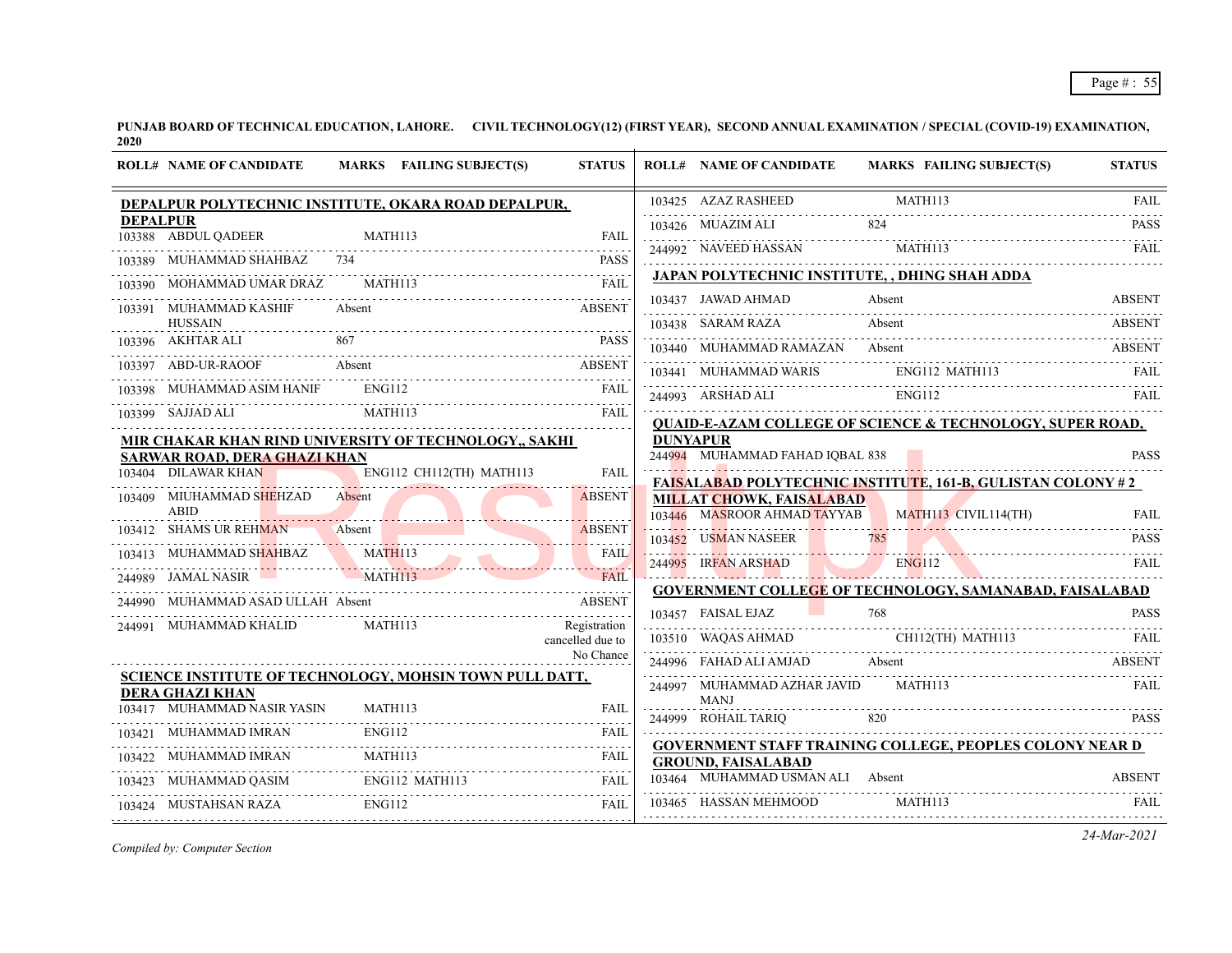|                 | <b>ROLL# NAME OF CANDIDATE</b>          | MARKS FAILING SUBJECT(S)                                   | <b>STATUS</b>                 |          | <b>ROLL# NAME OF CANDIDATE</b>             | MARKS FAILING SUBJECT(S)                                                                                                                                                                                                                                                                                                                                                                                                       | <b>STATUS</b> |
|-----------------|-----------------------------------------|------------------------------------------------------------|-------------------------------|----------|--------------------------------------------|--------------------------------------------------------------------------------------------------------------------------------------------------------------------------------------------------------------------------------------------------------------------------------------------------------------------------------------------------------------------------------------------------------------------------------|---------------|
|                 |                                         | DEPALPUR POLYTECHNIC INSTITUTE, OKARA ROAD DEPALPUR,       |                               |          |                                            |                                                                                                                                                                                                                                                                                                                                                                                                                                |               |
| <b>DEPALPUR</b> | 103388 ABDUL QADEER                     |                                                            |                               |          |                                            | 103425 AZAZ RASHEED MATH113 FAIL 103426 MUAZIM ALI 824 PASS                                                                                                                                                                                                                                                                                                                                                                    |               |
|                 |                                         | 03388 ABDUL QADEER MATH113 FAIL FAIL                       |                               |          |                                            | 244992 NAVEED HASSAN MATHI13 FAIL FAIL                                                                                                                                                                                                                                                                                                                                                                                         |               |
|                 |                                         | 103389 MUHAMMAD SHAHBAZ 734 PASS                           |                               |          |                                            | JAPAN POLYTECHNIC INSTITUTE, , DHING SHAH ADDA                                                                                                                                                                                                                                                                                                                                                                                 |               |
|                 | 103391 MUHAMMAD KASHIF                  | 103390 MOHAMMAD UMAR DRAZ MATH113 FAIL FAIL<br>Absent      | ABSENT                        |          | 103437 JAWAD AHMAD                         | Absent                                                                                                                                                                                                                                                                                                                                                                                                                         | <b>ABSENT</b> |
|                 | <b>HUSSAIN</b>                          |                                                            |                               |          |                                            | 103438 SARAM RAZA Absent ABSENT ABSENT                                                                                                                                                                                                                                                                                                                                                                                         |               |
|                 |                                         |                                                            |                               |          |                                            | 103440 MUHAMMAD RAMAZAN Absent ABSENT                                                                                                                                                                                                                                                                                                                                                                                          |               |
|                 |                                         | 103397 ABD-UR-RAOOF Absent ABSENT                          |                               |          |                                            |                                                                                                                                                                                                                                                                                                                                                                                                                                |               |
|                 | 103398 MUHAMMAD ASIM HANIF ENG112       | 03398 MUHAMMAD ASIM HANIF ENGI12 FAIL MATH113 FAIL MATH113 |                               |          |                                            | $\begin{tabular}{lllllllllll} \hline 103441 & \text{MUHAMMAD WARIS} & \text{ENG112 MATH113} & \text{FAIL} \\ \hline 244993 & \text{ARSHAD ALI} & \text{ENG112} & \text{HATH113} & \text{FAIL} \\ \hline \end{tabular}$<br>244993 ARSHAD ALI ENG112 FAIL FAIL                                                                                                                                                                   |               |
|                 | 103399 SAJJAD ALI                       |                                                            |                               |          |                                            | <b>QUAID-E-AZAM COLLEGE OF SCIENCE &amp; TECHNOLOGY, SUPER ROAD,</b>                                                                                                                                                                                                                                                                                                                                                           |               |
|                 | <b>SARWAR ROAD, DERA GHAZI KHAN</b>     | MIR CHAKAR KHAN RIND UNIVERSITY OF TECHNOLOGY,, SAKHI      |                               | DUNYAPUR | 244994 MUHAMMAD FAHAD IQBAL 838            |                                                                                                                                                                                                                                                                                                                                                                                                                                | <b>PASS</b>   |
|                 |                                         | 103404 DILAWAR KHAN ENG112 CH112(TH) MATH113               | FAIL                          |          |                                            | <b>FAISALABAD POLYTECHNIC INSTITUTE, 161-B, GULISTAN COLONY#2</b>                                                                                                                                                                                                                                                                                                                                                              |               |
|                 | 103409 MIUHAMMAD SHEHZAD Absent<br>ABID | HAMMAD SHEHZAD Absent                                      | <b>ABSENT</b>                 |          | <b>MILLAT CHOWK, FAISALABAD</b>            | 103446 MASROOR AHMAD TAYYAB MATH113 CIVIL114(TH)                                                                                                                                                                                                                                                                                                                                                                               | <b>FAIL</b>   |
|                 |                                         | 103412 SHAMS UR REHMAN Absent                              | <b>ABSENT</b>                 |          |                                            |                                                                                                                                                                                                                                                                                                                                                                                                                                |               |
|                 |                                         | 103413 MUHAMMAD SHAHBAZ MATHI13 FAIL                       |                               |          |                                            | 103452 USMAN NASEER 785 PASS<br>244995 IRFAN ARSHAD ENGI12 FAIL                                                                                                                                                                                                                                                                                                                                                                |               |
|                 |                                         | 244989 JAMAL NASIR MATH113 FAIL FAIL                       |                               |          |                                            | <b>GOVERNMENT COLLEGE OF TECHNOLOGY, SAMANABAD, FAISALABAD</b>                                                                                                                                                                                                                                                                                                                                                                 |               |
|                 |                                         | 244990 MUHAMMAD ASAD ULLAH Absent ABSENT                   |                               |          | 103457 FAISAL EJAZ                         | 768                                                                                                                                                                                                                                                                                                                                                                                                                            | <b>PASS</b>   |
|                 |                                         | 244991 MUHAMMAD KHALID MATH113                             | Registration                  |          |                                            |                                                                                                                                                                                                                                                                                                                                                                                                                                |               |
|                 |                                         |                                                            | cancelled due to<br>No Chance |          |                                            | $\begin{tabular}{lllllllll} \multicolumn{2}{l}{{\bf C}}{\bf H112} & \multicolumn{2}{l}{{\bf T}}{\bf H113} & \multicolumn{2}{l}{{\bf FAL}}\\ & \multicolumn{2}{l}{\bf C}}{\bf H112} & \multicolumn{2}{l}{{\bf T}}{\bf H113} & \multicolumn{2}{l}{{\bf FAL}}\\ & \multicolumn{2}{l}{\bf T}}{\bf H113} & \multicolumn{2}{l}{{\bf T}}{\bf H114} & \multicolumn{2}{l}{{\bf T}}{\bf H115} & \multicolumn{2}{l}{{\bf T}}{\bf H116} &$ |               |
|                 |                                         | SCIENCE INSTITUTE OF TECHNOLOGY, MOHSIN TOWN PULL DATT,    |                               |          |                                            | 244996 FAHAD ALI AMJAD Absent ABSENT                                                                                                                                                                                                                                                                                                                                                                                           |               |
|                 | <b>DERA GHAZI KHAN</b>                  |                                                            |                               |          | 244997 MUHAMMAD AZHAR JAVID<br><b>MANJ</b> | MATH113                                                                                                                                                                                                                                                                                                                                                                                                                        | <b>FAIL</b>   |
|                 | 103417 MUHAMMAD NASIR YASIN             | MATH113<br>03417 MUHAMMAD NASIR YASIN MATH113 FAIL FAIL    | <b>FAIL</b>                   |          |                                            | 244999 ROHAIL TARIQ 820 PASS                                                                                                                                                                                                                                                                                                                                                                                                   |               |
|                 | 103421 MUHAMMAD IMRAN ENG112            |                                                            |                               |          |                                            | <b>GOVERNMENT STAFF TRAINING COLLEGE, PEOPLES COLONY NEAR D</b>                                                                                                                                                                                                                                                                                                                                                                |               |
|                 |                                         | 103422 MUHAMMAD IMRAN MATH113 FAIL FAIL                    |                               |          | <b>GROUND, FAISALABAD</b>                  |                                                                                                                                                                                                                                                                                                                                                                                                                                |               |
|                 |                                         | 103423 MUHAMMAD QASIM ENG112 MATH113 FAIL                  |                               |          | 103464 MUHAMMAD USMAN ALI Absent           |                                                                                                                                                                                                                                                                                                                                                                                                                                | <b>ABSENT</b> |
|                 | 103424 MUSTAHSAN RAZA ENG112            | 03424 MUSTAHSAN RAZA ENG112 FAIL FAIL                      |                               |          | 103465 HASSAN MEHMOOD MATH113              |                                                                                                                                                                                                                                                                                                                                                                                                                                |               |

*Compiled by: Computer Section*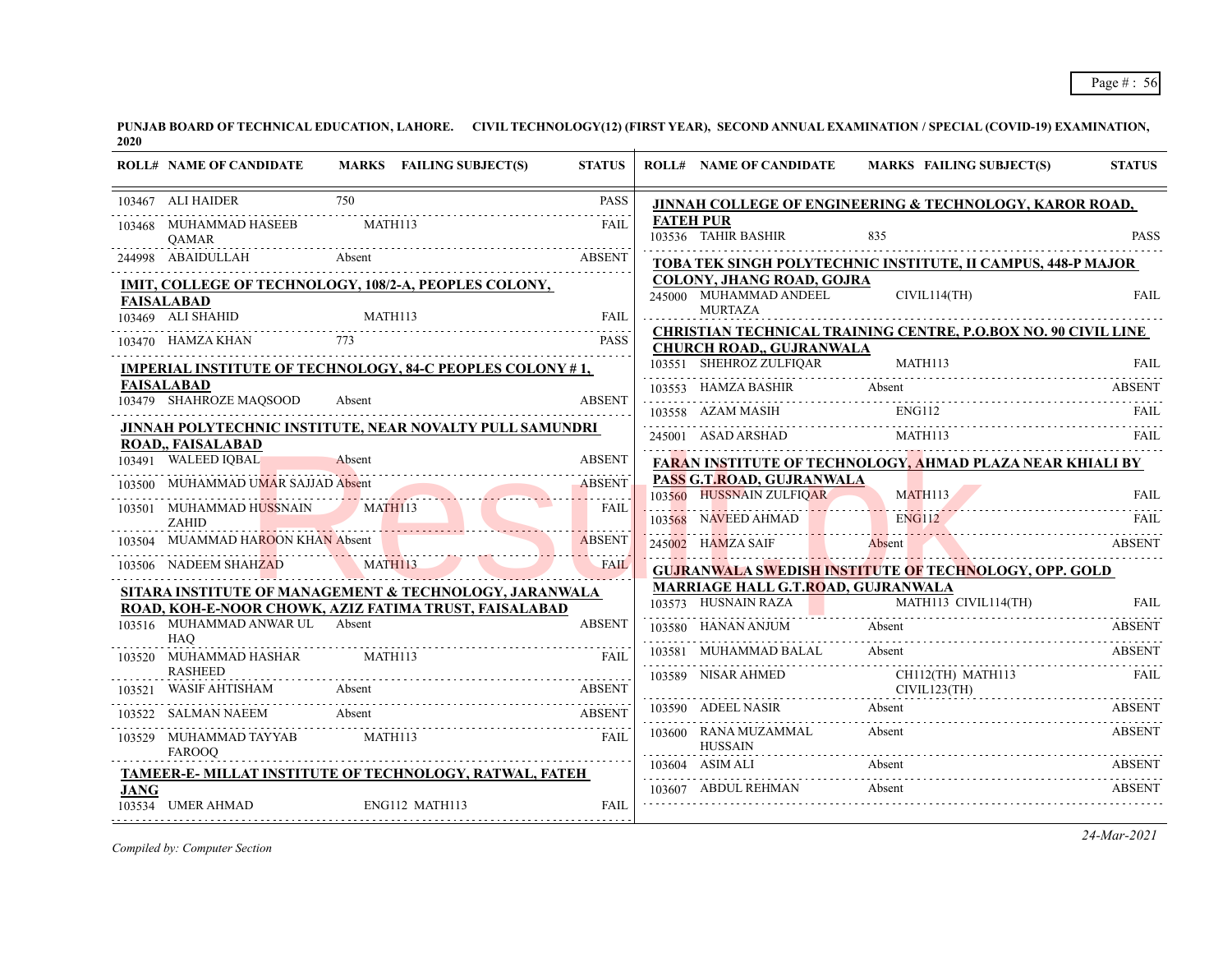|             | <b>ROLL# NAME OF CANDIDATE</b>                  | MARKS FAILING SUBJECT(S)                                         | <b>STATUS</b> |                                                           | ROLL# NAME OF CANDIDATE MARKS FAILING SUBJECT(S)                                                                                                                                                                                                                                                                                                                                                                                                                                   | <b>STATUS</b> |
|-------------|-------------------------------------------------|------------------------------------------------------------------|---------------|-----------------------------------------------------------|------------------------------------------------------------------------------------------------------------------------------------------------------------------------------------------------------------------------------------------------------------------------------------------------------------------------------------------------------------------------------------------------------------------------------------------------------------------------------------|---------------|
|             | 103467 ALI HAIDER                               | 750                                                              | <b>PASS</b>   |                                                           | JINNAH COLLEGE OF ENGINEERING & TECHNOLOGY, KAROR ROAD,                                                                                                                                                                                                                                                                                                                                                                                                                            |               |
|             | 103468 MUHAMMAD HASEEB<br>QAMAR                 | <b>MATH113</b>                                                   | FAII.         | <b>FATEH PUR</b><br>103536 TAHIR BASHIR                   | 835                                                                                                                                                                                                                                                                                                                                                                                                                                                                                | <b>PASS</b>   |
|             | 244998 ABAIDULLAH Absent                        |                                                                  | <b>ABSENT</b> |                                                           | TOBA TEK SINGH POLYTECHNIC INSTITUTE, II CAMPUS, 448-P MAJOR                                                                                                                                                                                                                                                                                                                                                                                                                       |               |
|             | <b>FAISALABAD</b>                               | IMIT, COLLEGE OF TECHNOLOGY, 108/2-A, PEOPLES COLONY,            |               | COLONY, JHANG ROAD, GOJRA<br>245000 MUHAMMAD ANDEEL       | CIVIL114(TH)                                                                                                                                                                                                                                                                                                                                                                                                                                                                       | <b>FAIL</b>   |
|             | 103469 ALI SHAHID                               | IID MATH113 FAIL                                                 |               | <b>MURTAZA</b>                                            |                                                                                                                                                                                                                                                                                                                                                                                                                                                                                    |               |
|             |                                                 | 103470 HAMZA KHAN 773 PASS                                       |               | <b>CHURCH ROAD,, GUJRANWALA</b>                           | <b>CHRISTIAN TECHNICAL TRAINING CENTRE, P.O.BOX NO. 90 CIVIL LINE</b>                                                                                                                                                                                                                                                                                                                                                                                                              |               |
|             |                                                 | <b>IMPERIAL INSTITUTE OF TECHNOLOGY, 84-C PEOPLES COLONY #1,</b> |               |                                                           | $\begin{tabular}{llllll} \hline\hline\multicolumn{3}{l}{} & \multicolumn{3}{l}{} & \multicolumn{3}{l}{} & \multicolumn{3}{l}{} & \multicolumn{3}{l}{} & \multicolumn{3}{l}{} & \multicolumn{3}{l}{} & \multicolumn{3}{l}{} & \multicolumn{3}{l}{} & \multicolumn{3}{l}{} & \multicolumn{3}{l}{} & \multicolumn{3}{l}{} & \multicolumn{3}{l}{} & \multicolumn{3}{l}{} & \multicolumn{3}{l}{} & \multicolumn{3}{l}{} & \multicolumn{3}{l}{} & \multicolumn{3}{l}{} & \multicolumn{3$ |               |
|             | <b>FAISALABAD</b>                               |                                                                  |               | 103553 HAMZA BASHIR Absent                                |                                                                                                                                                                                                                                                                                                                                                                                                                                                                                    | <b>ABSENT</b> |
|             | 103479 SHAHROZE MAQSOOD                         | Absent                                                           | <b>ABSENT</b> |                                                           | 103558 AZAM MASIH ENG112 FAIL FAIL                                                                                                                                                                                                                                                                                                                                                                                                                                                 |               |
|             | ROAD,, FAISALABAD                               | JINNAH POLYTECHNIC INSTITUTE, NEAR NOVALTY PULL SAMUNDRI         |               |                                                           | 245001 ASAD ARSHAD MATH113                                                                                                                                                                                                                                                                                                                                                                                                                                                         | FAIL          |
|             | <b>Exercía de Absent</b><br>103491 WALEED IQBAL |                                                                  | <b>ABSENT</b> |                                                           | <b>FARAN INSTITUTE OF TECHNOLOGY, AHMAD PLAZA NEAR KHIALI BY</b>                                                                                                                                                                                                                                                                                                                                                                                                                   |               |
|             | 103500 MUHAMMAD UMAR SAJJAD Absent              |                                                                  | <b>ABSENT</b> | PASS G.T.ROAD, GUJRANWALA                                 |                                                                                                                                                                                                                                                                                                                                                                                                                                                                                    |               |
|             |                                                 | 103501 MUHAMMAD HUSSNAIN MATH113                                 | FAII.         | 103560 HUSSNAIN ZULFIQAR                                  | MATH113                                                                                                                                                                                                                                                                                                                                                                                                                                                                            | <b>FAIL</b>   |
|             | <b>ZAHID</b>                                    | <u> 1958 - Januar Barnett, fransk politik for de formannsne</u>  |               |                                                           | 103568 NAVEED AHMAD ENGLI2 FAIL FAIL                                                                                                                                                                                                                                                                                                                                                                                                                                               |               |
|             | 103504 MUAMMAD HAROON KHAN Absent               |                                                                  | <b>ABSENT</b> | 245002 HAMZA SAIF Absent                                  |                                                                                                                                                                                                                                                                                                                                                                                                                                                                                    | <b>ABSENT</b> |
|             | 103506 NADEEM SHAHZAD                           | DEEM SHAHZAD MATHI13                                             |               |                                                           | <b>GUJRANWALA SWEDISH INSTITUTE OF TECHNOLOGY, OPP. GOLD</b>                                                                                                                                                                                                                                                                                                                                                                                                                       |               |
|             |                                                 | SITARA INSTITUTE OF MANAGEMENT & TECHNOLOGY, JARANWALA           |               | MARRIAGE HALL G.T.ROAD, GUJRANWALA<br>103573 HUSNAIN RAZA | MATH113 CIVIL114(TH)                                                                                                                                                                                                                                                                                                                                                                                                                                                               | FAIL          |
|             | 103516 MUHAMMAD ANWAR UL Absent<br><b>HAO</b>   | ROAD, KOH-E-NOOR CHOWK, AZIZ FATIMA TRUST, FAISALABAD            | <b>ABSENT</b> |                                                           | 103580 HANAN ANJUM Absent ABS                                                                                                                                                                                                                                                                                                                                                                                                                                                      | <b>ABSENT</b> |
|             | 103520 MUHAMMAD HASHAR                          | MATH113                                                          | FAII          | 103581 MUHAMMAD BALAL Absent                              | 103581 MUHAMMAD BALAL Absent ABSENT                                                                                                                                                                                                                                                                                                                                                                                                                                                |               |
|             | <b>RASHEED</b>                                  |                                                                  |               |                                                           | 103589 NISAR AHMED CH112(TH) MATH113                                                                                                                                                                                                                                                                                                                                                                                                                                               |               |
| 103521      | WASIF AHTISHAM Absent                           |                                                                  | <b>ABSENT</b> |                                                           | CIVIL123(TH)                                                                                                                                                                                                                                                                                                                                                                                                                                                                       |               |
|             |                                                 | 103522 SALMAN NAEEM Absent                                       | <b>ABSENT</b> | 103590 ADEEL NASIR Absent                                 |                                                                                                                                                                                                                                                                                                                                                                                                                                                                                    | <b>ABSENT</b> |
|             | 103529 MUHAMMAD TAYYAB<br><b>FAROOO</b>         | MATH113                                                          | <b>FAIL</b>   | 103600 RANA MUZAMMAL<br><b>HUSSAIN</b>                    | Absent                                                                                                                                                                                                                                                                                                                                                                                                                                                                             | ABSENT        |
|             |                                                 | TAMEER-E- MILLAT INSTITUTE OF TECHNOLOGY, RATWAL, FATEH          |               | 103604 ASIM ALI                                           | Absent                                                                                                                                                                                                                                                                                                                                                                                                                                                                             | <b>ABSENT</b> |
| <b>JANG</b> | 103534 UMER AHMAD                               | ENG112 MATH113                                                   | FAII.         | 103607 ABDUL REHMAN                                       | Absent                                                                                                                                                                                                                                                                                                                                                                                                                                                                             | <b>ABSENT</b> |
|             |                                                 |                                                                  |               |                                                           |                                                                                                                                                                                                                                                                                                                                                                                                                                                                                    |               |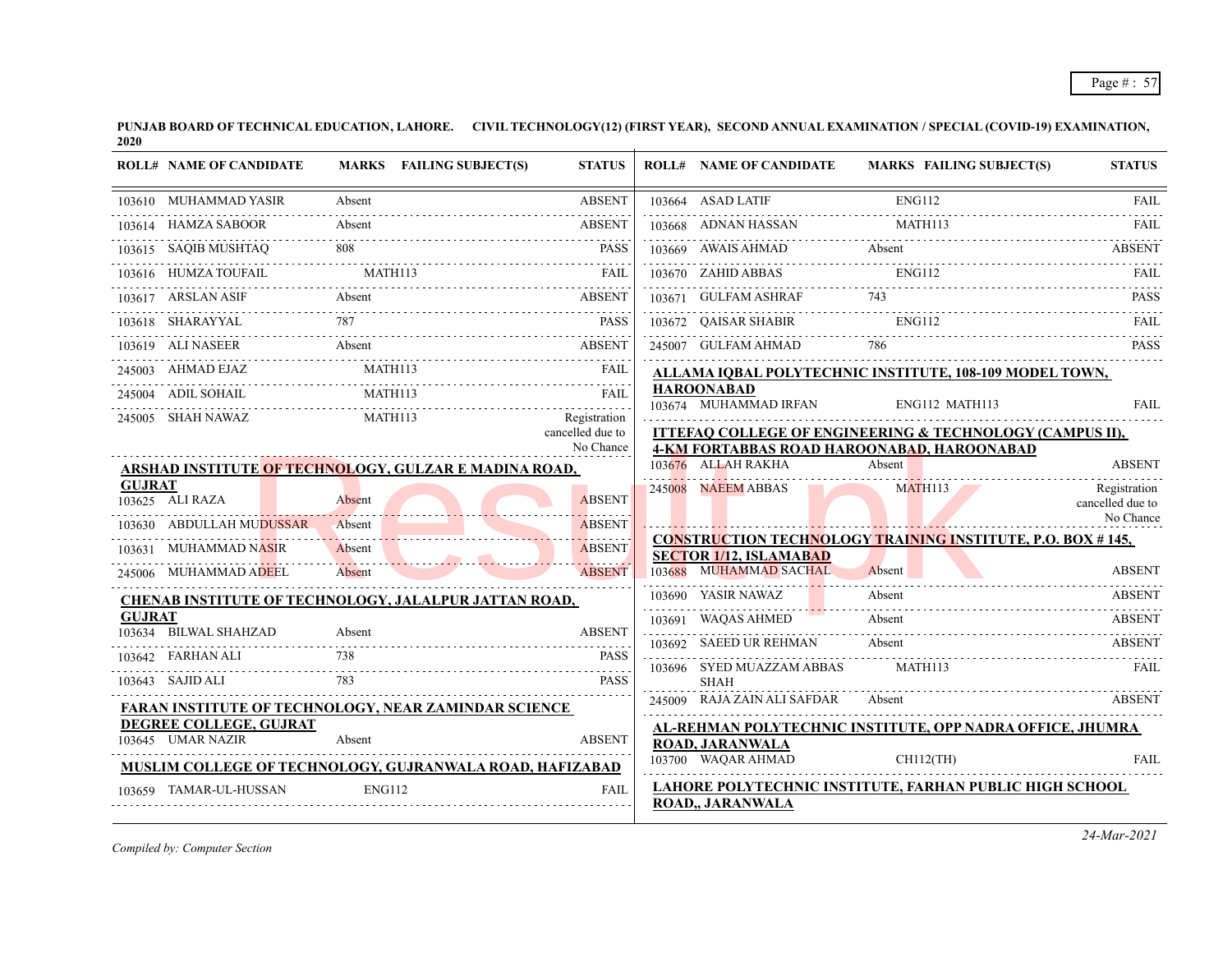|               | <b>ROLL# NAME OF CANDIDATE</b>              | MARKS FAILING SUBJECT(S)                                     | <b>STATUS</b>                                 | <b>ROLL# NAME OF CANDIDATE</b>             | <b>MARKS FAILING SUBJECT(S)</b>                                                                        | <b>STATUS</b>                    |
|---------------|---------------------------------------------|--------------------------------------------------------------|-----------------------------------------------|--------------------------------------------|--------------------------------------------------------------------------------------------------------|----------------------------------|
|               | 103610 MUHAMMAD YASIR                       | Absent                                                       | <b>ABSENT</b>                                 | 103664 ASAD LATIF                          | <b>ENG112</b>                                                                                          | <b>FAIL</b>                      |
|               | 103614 HAMZA SABOOR                         | Absent                                                       | <b>ABSENT</b>                                 | 103668 ADNAN HASSAN                        | <b>MATH113</b>                                                                                         | FAIL                             |
|               | 103615 SAOIB MUSHTAO                        | SAQIB MUSHTAQ 808 PASS                                       | <b>PASS</b>                                   | 103669 AWAIS AHMAD                         | 03669 AWAIS AHMAD Absent ABSENT                                                                        |                                  |
|               | 103616 HUMZA TOUFAIL                        | <b>MATH113</b>                                               | FAIL                                          | 103670 ZAHID ABBAS                         | <b>ENG112</b>                                                                                          | FAIL                             |
|               | 103617 ARSLAN ASIF                          | Absent                                                       | <b>ABSENT</b>                                 | 103671 GULFAM ASHRAF                       | 743                                                                                                    | PASS                             |
|               | 103618 SHARAYYAL                            | 03618 SHARAYYAL 787 PASS                                     |                                               | 103672 OAISAR SHABIR                       | ENG112                                                                                                 | <b>FAIL</b>                      |
|               | 103619 ALI NASEER Absent                    |                                                              | <b>ABSENT</b>                                 | 245007 GULFAM AHMAD                        | 786                                                                                                    | <b>PASS</b>                      |
|               | 245003 AHMAD EJAZ                           | MATH113                                                      | <b>FAIL</b>                                   |                                            | ALLAMA IQBAL POLYTECHNIC INSTITUTE, 108-109 MODEL TOWN,                                                |                                  |
|               | 245004 ADIL SOHAIL                          | MATH113                                                      |                                               | <b>HAROONABAD</b><br>103674 MUHAMMAD IRFAN | ENG112 MATH113                                                                                         | <b>FAIL</b>                      |
|               | 245005 SHAH NAWAZ                           | MATH113                                                      | Registration<br>cancelled due to<br>No Chance |                                            | ITTEFAQ COLLEGE OF ENGINEERING & TECHNOLOGY (CAMPUS II),<br>4-KM FORTABBAS ROAD HAROONABAD, HAROONABAD |                                  |
|               |                                             | ARSHAD INSTITUTE OF TECHNOLOGY, GULZAR E MADINA ROAD,        |                                               | 103676 ALLAH RAKHA                         | Absent                                                                                                 | <b>ABSENT</b>                    |
| <b>GUJRAT</b> | 103625 ALI RAZA                             | Absent                                                       | <b>ABSENT</b><br><u>.</u>                     | 245008 NAEEM ABBAS                         | <b>MATH113</b>                                                                                         | Registration<br>cancelled due to |
|               | 103630 ABDULLAH MUDUSSAR                    | Absent                                                       | <b>ABSENT</b>                                 |                                            |                                                                                                        | No Chance                        |
|               | 103631 MUHAMMAD NASIR                       | Absent                                                       | <b>ABSENT</b>                                 | <b>SECTOR 1/12, ISLAMABAD</b>              | <b>CONSTRUCTION TECHNOLOGY TRAINING INSTITUTE, P.O. BOX #145,</b>                                      |                                  |
|               | 245006 MUHAMMAD ADEEL                       | Absent                                                       | <b>ABSENT</b><br>and a strategies             | 103688 MUHAMMAD SACHAL                     | Absent                                                                                                 | <b>ABSENT</b>                    |
|               |                                             | <b>CHENAB INSTITUTE OF TECHNOLOGY, JALALPUR JATTAN ROAD,</b> |                                               | 103690 YASIR NAWAZ                         | Absent                                                                                                 | <b>ABSENT</b>                    |
| <b>GUJRAT</b> | 103634 BILWAL SHAHZAD                       | Absent                                                       | <b>ABSENT</b>                                 | 103691 WAQAS AHMED                         | Absent                                                                                                 | <b>ABSENT</b>                    |
|               | 103642 FARHAN ALI                           | 738                                                          | <b>PASS</b>                                   | 103692 SAEED UR REHMAN                     | Absent                                                                                                 | <b>ABSENT</b>                    |
|               | 103643 SAJID ALI                            |                                                              | <b>PASS</b>                                   | 103696 SYED MUAZZAM ABBAS<br><b>SHAH</b>   | MATH113                                                                                                | FAIL                             |
|               |                                             | <b>FARAN INSTITUTE OF TECHNOLOGY, NEAR ZAMINDAR SCIENCE</b>  |                                               | 245009 RAJA ZAIN ALI SAFDAR                | Absent                                                                                                 | <b>ABSENT</b>                    |
|               | DEGREE COLLEGE, GUJRAT<br>103645 UMAR NAZIR | Absent                                                       | <b>ABSENT</b>                                 | ROAD, JARANWALA                            | AL-REHMAN POLYTECHNIC INSTITUTE, OPP NADRA OFFICE, JHUMRA                                              |                                  |
|               |                                             | MUSLIM COLLEGE OF TECHNOLOGY, GUJRANWALA ROAD, HAFIZABAD     |                                               | 103700 WAQAR AHMAD                         | $CH112$ (TH)                                                                                           | <b>FAIL</b>                      |
|               | 103659 TAMAR-UL-HUSSAN                      | <b>ENG112</b>                                                | <b>FAIL</b>                                   | <b>ROAD,, JARANWALA</b>                    | LAHORE POLYTECHNIC INSTITUTE, FARHAN PUBLIC HIGH SCHOOL                                                |                                  |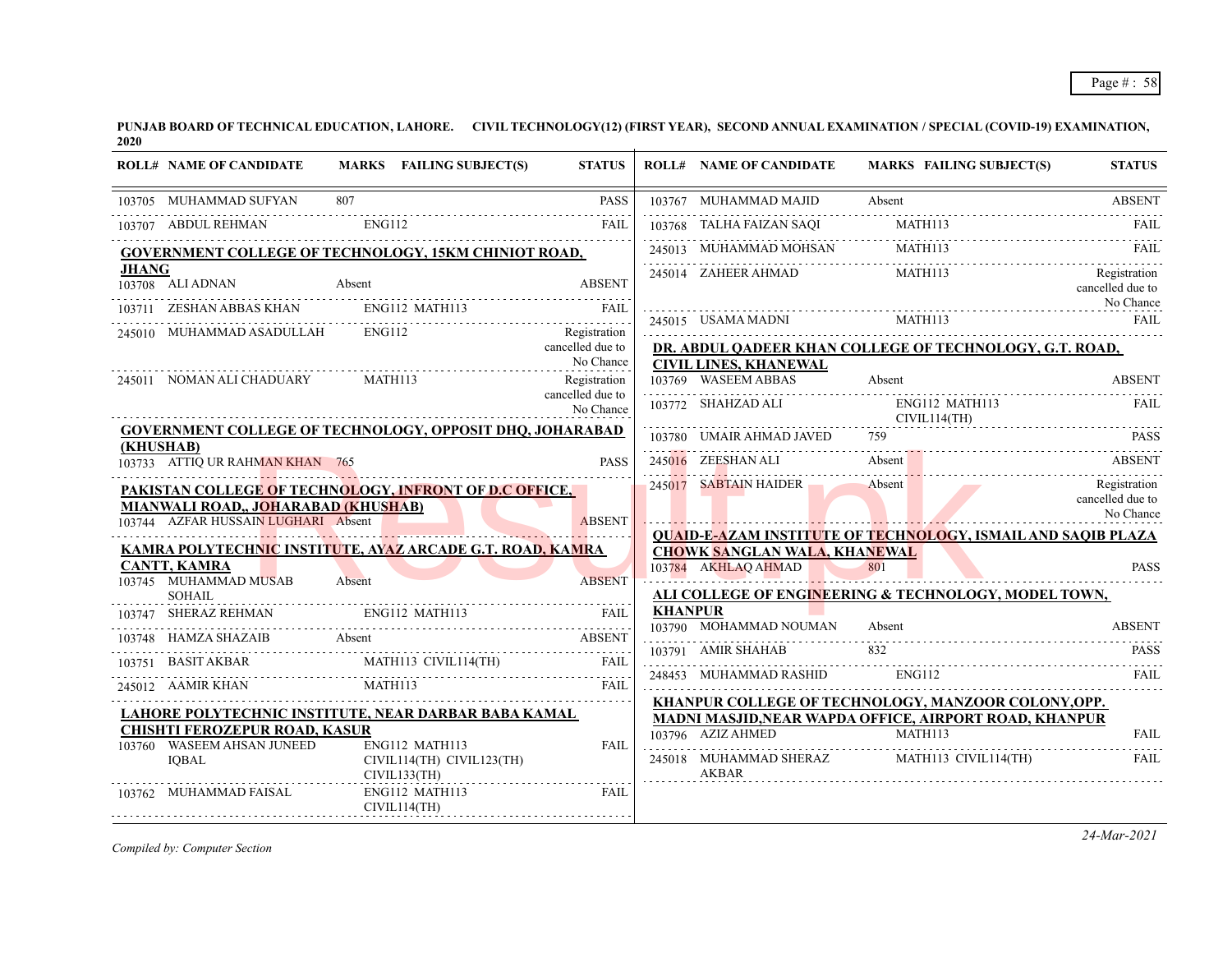|              | <b>ROLL# NAME OF CANDIDATE</b>                                                    | MARKS FAILING SUBJECT(S)                                                                                                                                                                                                                                                                                                                         | <b>STATUS</b>                                 |                | <b>ROLL# NAME OF CANDIDATE</b>      | MARKS FAILING SUBJECT(S)                                            | <b>STATUS</b>                                 |
|--------------|-----------------------------------------------------------------------------------|--------------------------------------------------------------------------------------------------------------------------------------------------------------------------------------------------------------------------------------------------------------------------------------------------------------------------------------------------|-----------------------------------------------|----------------|-------------------------------------|---------------------------------------------------------------------|-----------------------------------------------|
|              | 103705 MUHAMMAD SUFYAN                                                            | 807                                                                                                                                                                                                                                                                                                                                              | <b>PASS</b>                                   |                | 103767 MUHAMMAD MAJID               | Absent                                                              | <b>ABSENT</b>                                 |
|              | 103707 ABDUL REHMAN                                                               | ENG112                                                                                                                                                                                                                                                                                                                                           | FAII.                                         |                | 103768 TALHA FAIZAN SAQI            | MATH113                                                             |                                               |
|              |                                                                                   | <b>GOVERNMENT COLLEGE OF TECHNOLOGY, 15KM CHINIOT ROAD,</b>                                                                                                                                                                                                                                                                                      |                                               |                |                                     | 245013 MUHAMMAD MOHSAN MATH113 FAIL                                 |                                               |
| <b>JHANG</b> | 103708 ALI ADNAN                                                                  | VAN Absent ABSENT                                                                                                                                                                                                                                                                                                                                | <b>ABSENT</b>                                 |                | 245014 ZAHEER AHMAD                 | MATH113                                                             | Registration<br>cancelled due to<br>No Chance |
|              |                                                                                   | 103711 ZESHAN ABBAS KHAN ENGI12 MATH113 FAIL FAIL                                                                                                                                                                                                                                                                                                |                                               |                |                                     | 245015 USAMA MADNI MATHI13 FAIL                                     |                                               |
|              | 245010 MUHAMMAD ASADULLAH                                                         | ENG112                                                                                                                                                                                                                                                                                                                                           | Registration<br>cancelled due to<br>No Chance |                |                                     | DR. ABDUL QADEER KHAN COLLEGE OF TECHNOLOGY, G.T. ROAD,             |                                               |
|              | 245011 NOMAN ALI CHADUARY                                                         | MATH113                                                                                                                                                                                                                                                                                                                                          | Registration                                  |                | <b>CIVIL LINES, KHANEWAL</b>        | 103769 WASEEM ABBAS Absent ABSENT                                   |                                               |
|              |                                                                                   |                                                                                                                                                                                                                                                                                                                                                  | cancelled due to<br>No Chance                 |                |                                     | 103772 SHAHZAD ALI ENG112 MATH113<br>CIVIL114(TH)                   | FAIL.                                         |
| (KHUSHAB)    |                                                                                   | <b>GOVERNMENT COLLEGE OF TECHNOLOGY, OPPOSIT DHQ, JOHARABAD</b>                                                                                                                                                                                                                                                                                  |                                               |                | 103780 UMAIR AHMAD JAVED            | 759                                                                 | <b>PASS</b>                                   |
|              | 103733 ATTIQ UR RAHMAN KHAN 765                                                   |                                                                                                                                                                                                                                                                                                                                                  | <b>PASS</b>                                   |                | 245016 ZEESHAN ALI                  | Absent                                                              | ABSENT                                        |
|              | <b>MIANWALI ROAD,, JOHARABAD (KHUSHAB)</b><br>103744 AZFAR HUSSAIN LUGHARI Absent | PAKISTAN COLLEGE OF TECHNOLOGY, INFRONT OF D.C OFFICE,                                                                                                                                                                                                                                                                                           | <b>ABSENT</b>                                 |                | 245017 SABTAIN HAIDER Absent        |                                                                     | Registration<br>cancelled due to<br>No Chance |
|              |                                                                                   | <u>KAMRA POLYTECHNIC INSTITUTE, AYAZ ARCADE G.T. ROAD, KAMRA</u>                                                                                                                                                                                                                                                                                 |                                               |                | <b>CHOWK SANGLAN WALA, KHANEWAL</b> | <b>QUAID-E-AZAM INSTITUTE OF TECHNOLOGY, ISMAIL AND SAQIB PLAZA</b> |                                               |
|              | <b>CANTT, KAMRA</b><br>103745 MUHAMMAD MUSAB                                      | Absent                                                                                                                                                                                                                                                                                                                                           | <b>ABSENT</b>                                 |                | 103784 AKHLAQ AHMAD                 | 801<br>ALI COLLEGE OF ENGINEERING & TECHNOLOGY, MODEL TOWN,         | <b>PASS</b>                                   |
|              | SOHAIL                                                                            | SHERAZ REHMAN ENGI12 MATH113 FAIL                                                                                                                                                                                                                                                                                                                |                                               | <b>KHANPUR</b> |                                     |                                                                     |                                               |
|              |                                                                                   | 103748 HAMZA SHAZAIB Absent and the contract of the contract of the ABSENT                                                                                                                                                                                                                                                                       |                                               |                | 103790 MOHAMMAD NOUMAN              | Absent                                                              | <b>ABSENT</b>                                 |
|              |                                                                                   |                                                                                                                                                                                                                                                                                                                                                  |                                               |                | 103791 AMIR SHAHAB                  | 832                                                                 | <b>PASS</b>                                   |
|              |                                                                                   | $\begin{tabular}{c c c c} \hline 103751 & BASIT AKBAR & \multicolumn{3}{ c }{MATH113} & CIVIL114(TH) & FAIL \\ \hline \multicolumn{3}{ c }{245012} & AAMIR KHAN & \multicolumn{3}{ c }{MATH113} & FAIL \\ \hline \multicolumn{3}{ c }{245012} & AAMIR KHAN & \multicolumn{3}{ c }{MATH113} & \multicolumn{3}{ c }{FAIL} \\ \hline \end{tabular}$ |                                               |                | 248453 MUHAMMAD RASHID              | ENG112                                                              | <b>FAIL</b>                                   |
|              |                                                                                   | LAHORE POLYTECHNIC INSTITUTE, NEAR DARBAR BABA KAMAL                                                                                                                                                                                                                                                                                             |                                               |                |                                     | KHANPUR COLLEGE OF TECHNOLOGY, MANZOOR COLONY, OPP.                 |                                               |
|              | <b>CHISHTI FEROZEPUR ROAD, KASUR</b>                                              |                                                                                                                                                                                                                                                                                                                                                  |                                               |                | 103796 AZIZ AHMED                   | MADNI MASJID, NEAR WAPDA OFFICE, AIRPORT ROAD, KHANPUR<br>MATH113   | <b>FAIL</b>                                   |
|              | 103760 WASEEM AHSAN JUNEED<br>IQBAL                                               | ENG112 MATH113<br>CIVIL114(TH) CIVIL123(TH)<br>CIVIL133(TH)                                                                                                                                                                                                                                                                                      | <b>FAIL</b>                                   |                | AKBAR                               | 245018 MUHAMMAD SHERAZ MATH113 CIVIL114(TH)                         | .<br>FAIL                                     |
|              | 103762 MUHAMMAD FAISAL                                                            | ENG112 MATH113<br>CIVIL114(TH)                                                                                                                                                                                                                                                                                                                   | <b>FAIL</b>                                   |                |                                     |                                                                     |                                               |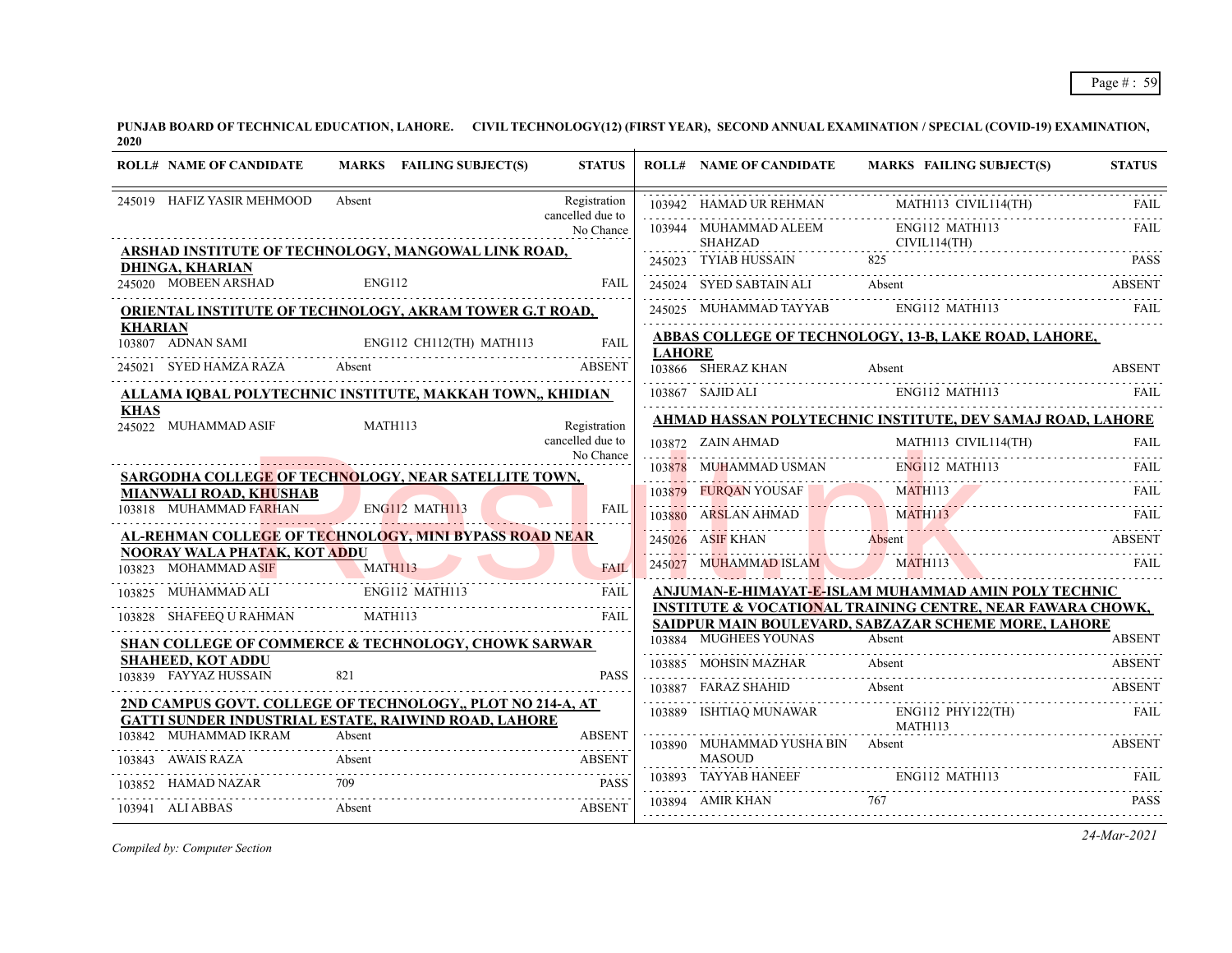| <b>ROLL# NAME OF CANDIDATE</b>                 | MARKS FAILING SUBJECT(S)                                                                                           | <b>STATUS</b>                                 |               | <b>ROLL# NAME OF CANDIDATE</b>         | MARKS FAILING SUBJECT(S)                                                                                                                                                                                                                                                                                                                                                                                                                                                                    | <b>STATUS</b> |
|------------------------------------------------|--------------------------------------------------------------------------------------------------------------------|-----------------------------------------------|---------------|----------------------------------------|---------------------------------------------------------------------------------------------------------------------------------------------------------------------------------------------------------------------------------------------------------------------------------------------------------------------------------------------------------------------------------------------------------------------------------------------------------------------------------------------|---------------|
| 245019 HAFIZ YASIR MEHMOOD                     | Absent                                                                                                             | Registration<br>cancelled due to              |               |                                        | $\begin{tabular}{c} 103942 & HAMAD UR REHMAN\\ \hline \end{tabular} \begin{tabular}{lcccc} \hline \multicolumn{3}{c}{\textbf{AAMAD UR REHMAN}}\\ \hline \multicolumn{3}{c}{\textbf{AAMAD UR REHMAN}}\\ \hline \multicolumn{3}{c}{\textbf{AAHAADUR REHMAN}}\\ \hline \multicolumn{3}{c}{\textbf{AAHADUR REHMAN}}\\ \hline \multicolumn{3}{c}{\textbf{AAHAADUR REHMAN}}\\ \hline \multicolumn{3}{c}{\textbf{AAHAADUR REHMAN}}\\ \hline \multicolumn{3}{c}{\textbf{AAHAADUR REHMAN}}\\ \hline$ |               |
|                                                |                                                                                                                    | No Chance                                     |               | 103944 MUHAMMAD ALEEM                  | ENG112 MATH113                                                                                                                                                                                                                                                                                                                                                                                                                                                                              | FAIL          |
|                                                | ARSHAD INSTITUTE OF TECHNOLOGY, MANGOWAL LINK ROAD,                                                                |                                               |               | <b>SHAHZAD</b><br>245023 TYIAB HUSSAIN | CIVIL114(TH)<br>825                                                                                                                                                                                                                                                                                                                                                                                                                                                                         | <b>PASS</b>   |
| <b>DHINGA, KHARIAN</b><br>245020 MOBEEN ARSHAD |                                                                                                                    |                                               |               |                                        |                                                                                                                                                                                                                                                                                                                                                                                                                                                                                             |               |
|                                                | ENG112                                                                                                             | <b>FAIL</b>                                   |               |                                        | 245024 SYED SABTAIN ALI Absent ABSENT                                                                                                                                                                                                                                                                                                                                                                                                                                                       |               |
|                                                | <b>ORIENTAL INSTITUTE OF TECHNOLOGY, AKRAM TOWER G.T ROAD,</b>                                                     |                                               |               |                                        | 245025 MUHAMMAD TAYYAB ENG112 MATH113                                                                                                                                                                                                                                                                                                                                                                                                                                                       | FAIL          |
| <b>KHARIAN</b><br>103807 ADNAN SAMI            | 03807 ADNAN SAMI ENG112 CH112(TH) MATH113 FAIL                                                                     |                                               |               |                                        | ABBAS COLLEGE OF TECHNOLOGY, 13-B, LAKE ROAD, LAHORE,                                                                                                                                                                                                                                                                                                                                                                                                                                       |               |
|                                                |                                                                                                                    | <b>ABSENT</b>                                 | <b>LAHORE</b> | 103866 SHERAZ KHAN                     | Absent                                                                                                                                                                                                                                                                                                                                                                                                                                                                                      | <b>ABSENT</b> |
|                                                | ALLAMA IQBAL POLYTECHNIC INSTITUTE, MAKKAH TOWN,, KHIDIAN                                                          |                                               |               |                                        | 103867 SAJID ALI ENG112 MATH113 FAIL FAIL                                                                                                                                                                                                                                                                                                                                                                                                                                                   | FAIL          |
| <b>KHAS</b><br>245022 MUHAMMAD ASIF            | MATH113                                                                                                            | Registration                                  |               |                                        | AHMAD HASSAN POLYTECHNIC INSTITUTE, DEV SAMAJ ROAD, LAHORE                                                                                                                                                                                                                                                                                                                                                                                                                                  |               |
|                                                |                                                                                                                    | cancelled due to                              |               | 103872 ZAIN AHMAD                      | ZAIN AHMAD MATHI13 CIVIL114(TH) FAIL                                                                                                                                                                                                                                                                                                                                                                                                                                                        |               |
|                                                |                                                                                                                    | No Chance                                     |               |                                        |                                                                                                                                                                                                                                                                                                                                                                                                                                                                                             |               |
| MIANWALI ROAD, KHUSHAB                         | <b>SARGODHA COLLEGE OF TECHNOLOGY, NEAR SATELLITE TOWN,</b>                                                        |                                               |               |                                        | 103878 MUHAMMAD USMAN ENG112 MATH113 FAIL                                                                                                                                                                                                                                                                                                                                                                                                                                                   |               |
| 103818 MUHAMMAD FARHAN E                       | ENG112 MATH113                                                                                                     | FAIL                                          |               |                                        | 103879 FURQAN YOUSAF MATHII3 FAIL                                                                                                                                                                                                                                                                                                                                                                                                                                                           | <b>FAIL</b>   |
|                                                | AL-REHMAN COLLEGE OF TECHNOLOGY, MINI BYPASS ROAD NEAR                                                             |                                               |               |                                        | 103880 ARSLAN AHMAD MATHI13                                                                                                                                                                                                                                                                                                                                                                                                                                                                 | <b>ABSENT</b> |
| NOORAY WALA PHATAK, KOT ADDU                   |                                                                                                                    |                                               |               | 245026 ASIF KHAN Absent                |                                                                                                                                                                                                                                                                                                                                                                                                                                                                                             |               |
| 103823 MOHAMMAD ASIF                           | MATH113<br><u> 1771 - Januar Jacques II, francuski filozof (d. 1874)</u>                                           | <b>FAIL</b><br><b><i><u>Provident</u></i></b> |               |                                        | 245027 MUHAMMAD ISLAM MATH113                                                                                                                                                                                                                                                                                                                                                                                                                                                               | FAIL          |
| 103825 MUHAMMAD ALI                            | ENG112 MATH113                                                                                                     | FAIL                                          |               |                                        | ANJUMAN-E-HIMAYAT-E-ISLAM MUHAMMAD AMIN POLY TECHNIC                                                                                                                                                                                                                                                                                                                                                                                                                                        |               |
| 103828 SHAFEEQ U RAHMAN MATH113                |                                                                                                                    | <b>FAIL</b>                                   |               |                                        | <b>INSTITUTE &amp; VOCATIONAL TRAINING CENTRE, NEAR FAWARA CHOWK,</b><br>SAIDPUR MAIN BOULEVARD, SABZAZAR SCHEME MORE, LAHORE                                                                                                                                                                                                                                                                                                                                                               |               |
|                                                | <b>SHAN COLLEGE OF COMMERCE &amp; TECHNOLOGY, CHOWK SARWAR</b>                                                     |                                               |               | 103884 MUGHEES YOUNAS                  | Absent                                                                                                                                                                                                                                                                                                                                                                                                                                                                                      | <b>ABSENT</b> |
| <b>SHAHEED, KOT ADDU</b>                       |                                                                                                                    |                                               |               |                                        | 103885 MOHSIN MAZHAR Absent ABSENT ABSENT                                                                                                                                                                                                                                                                                                                                                                                                                                                   |               |
| 103839 FAYYAZ HUSSAIN                          | 821                                                                                                                | <b>PASS</b>                                   |               | 103887 FARAZ SHAHID                    |                                                                                                                                                                                                                                                                                                                                                                                                                                                                                             |               |
|                                                | 2ND CAMPUS GOVT. COLLEGE OF TECHNOLOGY,, PLOT NO 214-A, AT<br>GATTI SUNDER INDUSTRIAL ESTATE, RAIWIND ROAD, LAHORE |                                               |               |                                        | ARAZ SHAHID Absent ABSENT<br>103889 ISHTIAQ MUNAWAR ENG112 PHY122(TH)                                                                                                                                                                                                                                                                                                                                                                                                                       | FAIL          |
| 103842 MUHAMMAD IKRAM                          | Absent                                                                                                             | <b>ABSENT</b>                                 |               | 103890 MUHAMMAD YUSHA BIN Absent       | MATH113                                                                                                                                                                                                                                                                                                                                                                                                                                                                                     | ABSENT        |
| 103843 AWAIS RAZA                              | Absent                                                                                                             | ABSENT                                        |               | <b>MASOUD</b>                          |                                                                                                                                                                                                                                                                                                                                                                                                                                                                                             |               |
| 103852 HAMAD NAZAR                             | 709                                                                                                                | <b>PASS</b>                                   |               | 103893 TAYYAB HANEEF ENG112 MATH113    |                                                                                                                                                                                                                                                                                                                                                                                                                                                                                             | FAIL          |
| 103941 ALIABBAS                                | Absent                                                                                                             | <b>ABSENT</b>                                 |               | 103894 AMIR KHAN                       | 767                                                                                                                                                                                                                                                                                                                                                                                                                                                                                         | <b>PASS</b>   |
|                                                |                                                                                                                    |                                               |               |                                        |                                                                                                                                                                                                                                                                                                                                                                                                                                                                                             |               |

*Compiled by: Computer Section*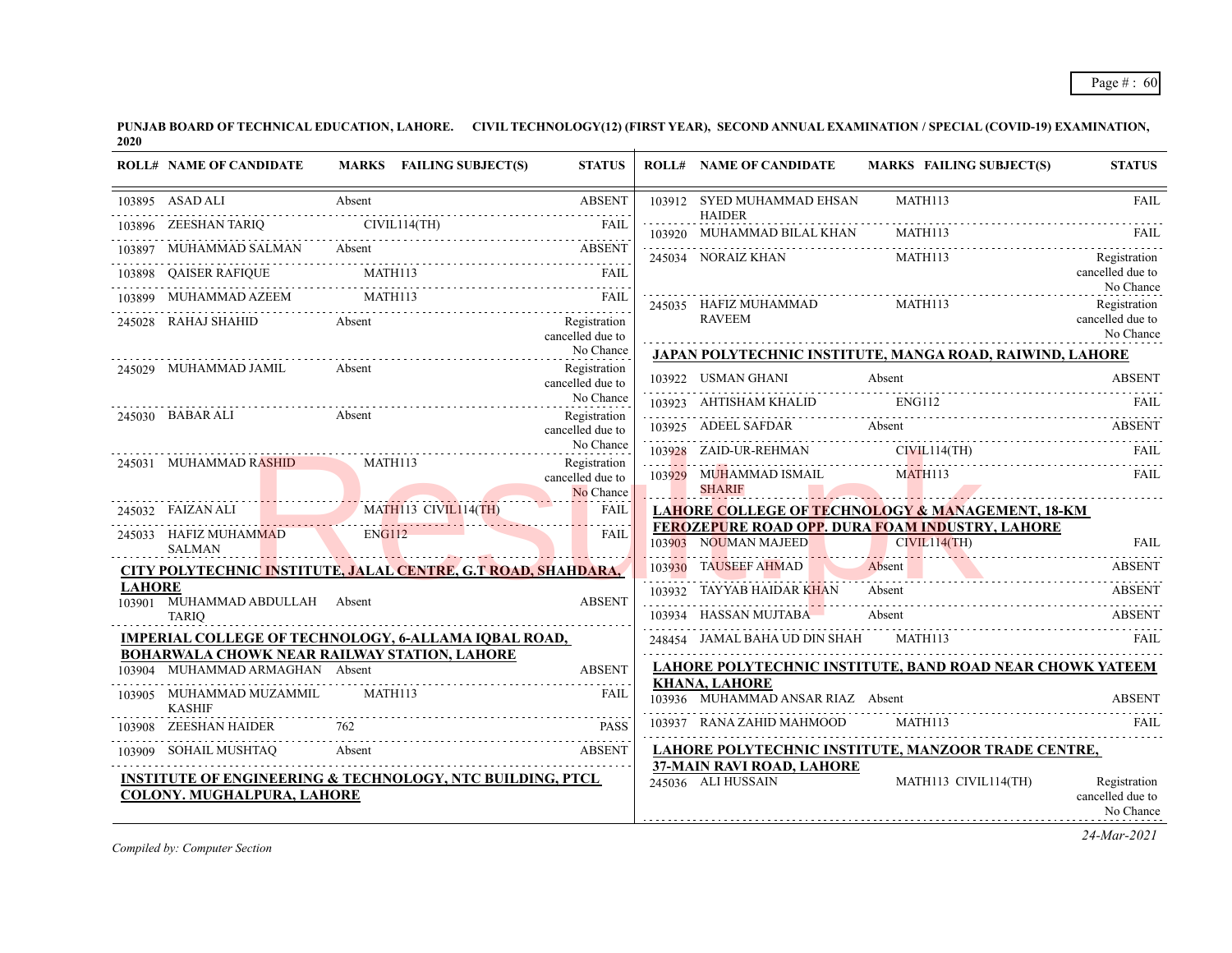|               | <b>ROLL# NAME OF CANDIDATE</b>                                                                                                                                                                                                       |        | MARKS FAILING SUBJECT(S)                                                                                             | <b>STATUS</b>                                 | <b>ROLL# NAME OF CANDIDATE</b>                            | <b>MARKS FAILING SUBJECT(S)</b>                                                                  | <b>STATUS</b>                                 |
|---------------|--------------------------------------------------------------------------------------------------------------------------------------------------------------------------------------------------------------------------------------|--------|----------------------------------------------------------------------------------------------------------------------|-----------------------------------------------|-----------------------------------------------------------|--------------------------------------------------------------------------------------------------|-----------------------------------------------|
|               | 103895 ASAD ALI Absent                                                                                                                                                                                                               |        |                                                                                                                      | <b>ABSENT</b>                                 | 103912 SYED MUHAMMAD EHSAN<br><b>HAIDER</b>               | MATH113                                                                                          | <b>FAIL</b>                                   |
|               | 103896 ZEESHAN TARIQ CIVIL114(TH) FAIL FILL                                                                                                                                                                                          |        |                                                                                                                      |                                               | 103920 MUHAMMAD BILAL KHAN                                |                                                                                                  |                                               |
|               | 103897 MUHAMMAD SALMAN Absent ABSENT                                                                                                                                                                                                 |        |                                                                                                                      |                                               |                                                           | 103920 MUHAMMAD BILAL KHAN MATH113 FAIL FAIL<br>245034 NORAIZ KHAN MATH113                       | Registration                                  |
|               | $\begin{tabular}{llllllll} \hline 103898 & QAISER RAFIQUE & \text{MATH113} & FAIL \\ \hline 103899 & MUHAMMAD AZEEM & \text{MATH113} & \text{FAIL} \\ \hline \end{tabular}$                                                          |        |                                                                                                                      |                                               |                                                           |                                                                                                  | cancelled due to                              |
|               | THAMMAD AZEEM MATH113 FAIL RESERVE THAMMAD AZEEM MATH113                                                                                                                                                                             |        |                                                                                                                      |                                               |                                                           | 245035 HAFIZ MUHAMMAD MATH113                                                                    | No Chance<br>Registration                     |
|               | 245028 RAHAJ SHAHID Absent                                                                                                                                                                                                           |        |                                                                                                                      | Registration<br>cancelled due to              | <b>RAVEEM</b>                                             |                                                                                                  | cancelled due to<br>No Chance                 |
|               |                                                                                                                                                                                                                                      |        |                                                                                                                      | No Chance                                     |                                                           | JAPAN POLYTECHNIC INSTITUTE, MANGA ROAD, RAIWIND, LAHORE                                         |                                               |
|               | 245029 MUHAMMAD JAMIL                                                                                                                                                                                                                | Absent |                                                                                                                      | Registration<br>cancelled due to              | 103922 USMAN GHANI                                        |                                                                                                  |                                               |
|               |                                                                                                                                                                                                                                      |        |                                                                                                                      | No Chance                                     |                                                           | 103923 AHTISHAM KHALID ENGI12 FAIL FAIL FAIL                                                     |                                               |
|               | 245030 BABAR ALI Absent                                                                                                                                                                                                              |        |                                                                                                                      | Registration<br>cancelled due to              |                                                           | 103925 ADEEL SAFDAR Absent ABSENT                                                                |                                               |
|               | .<br>245031 MUHAMMAD RASHID MATH113                                                                                                                                                                                                  |        |                                                                                                                      | No Chance                                     |                                                           |                                                                                                  |                                               |
|               | <u> Estados de San Antonio de San Antonio de San Antonio de San Antonio de San Antonio de San Antonio de San Antonio de San Antonio de San Antonio de San Antonio de San Antonio de San Antonio de San Antonio de San Antonio de</u> |        |                                                                                                                      | Registration<br>cancelled due to<br>No Chance |                                                           |                                                                                                  |                                               |
|               | 245032 FAIZAN ALI MATHI13 CIVILI14(TH) FAIL                                                                                                                                                                                          |        |                                                                                                                      |                                               |                                                           | <b>LAHORE COLLEGE OF TECHNOLOGY &amp; MANAGEMENT, 18-KM</b>                                      |                                               |
|               | 245033 HAFIZ MUHAMMAD ENG112<br>SALMAN                                                                                                                                                                                               |        | <u> 1988 - Jan James James James James James James James James James James James James James James James James J</u> | FAIL                                          |                                                           | <b>FEROZEPURE ROAD OPP. DURA FOAM INDUSTRY, LAHORE</b><br>103903 NOUMAN MAJEED CIVIL114(TH) FAIL |                                               |
|               | CITY POLYTECHNIC INSTITUTE, JALAL CENTRE, G.T ROAD, SHAHDARA,                                                                                                                                                                        |        |                                                                                                                      |                                               |                                                           | 103930 TAUSEEF AHMAD Absent ABSENT                                                               |                                               |
| <b>LAHORE</b> | 103901 MUHAMMAD ABDULLAH Absent                                                                                                                                                                                                      |        |                                                                                                                      | <b>ABSENT</b>                                 | 103932 TAYYAB HAIDAR KHAN Absent                          |                                                                                                  | ABSENT                                        |
|               | <b>TARIO</b>                                                                                                                                                                                                                         |        |                                                                                                                      |                                               | 103934 HASSAN MUJTABA Absent                              |                                                                                                  | <b>ABSENT</b>                                 |
|               | <b>IMPERIAL COLLEGE OF TECHNOLOGY, 6-ALLAMA IQBAL ROAD,</b>                                                                                                                                                                          |        |                                                                                                                      |                                               |                                                           | 248454 JAMAL BAHA UD DIN SHAH MATHI13 FAIL FAIL                                                  |                                               |
|               | <b>BOHARWALA CHOWK NEAR RAILWAY STATION, LAHORE</b><br>103904 MUHAMMAD ARMAGHAN Absent                                                                                                                                               |        |                                                                                                                      | <b>ABSENT</b>                                 |                                                           | <b>LAHORE POLYTECHNIC INSTITUTE, BAND ROAD NEAR CHOWK YATEEM</b>                                 |                                               |
|               | 103905 MUHAMMAD MUZAMMIL MATH113<br><b>KASHIF</b>                                                                                                                                                                                    |        |                                                                                                                      | <b>FAIL</b>                                   | <b>KHANA, LAHORE</b><br>103936 MUHAMMAD ANSAR RIAZ Absent |                                                                                                  | <b>ABSENT</b>                                 |
|               | 103908 ZEESHAN HAIDER 762                                                                                                                                                                                                            |        |                                                                                                                      | <b>PASS</b>                                   | 103937 RANA ZAHID MAHMOOD MATH113                         |                                                                                                  |                                               |
|               | 103909 SOHAIL MUSHTAQ Absent ABSENT                                                                                                                                                                                                  |        |                                                                                                                      |                                               |                                                           | LAHORE POLYTECHNIC INSTITUTE, MANZOOR TRADE CENTRE,                                              |                                               |
|               | <b>INSTITUTE OF ENGINEERING &amp; TECHNOLOGY, NTC BUILDING, PTCL</b><br>COLONY. MUGHALPURA, LAHORE                                                                                                                                   |        |                                                                                                                      |                                               | <b>37-MAIN RAVI ROAD, LAHORE</b><br>245036 ALI HUSSAIN    | MATH113 CIVIL114(TH)                                                                             | Registration<br>cancelled due to<br>No Chance |

*Compiled by: Computer Section*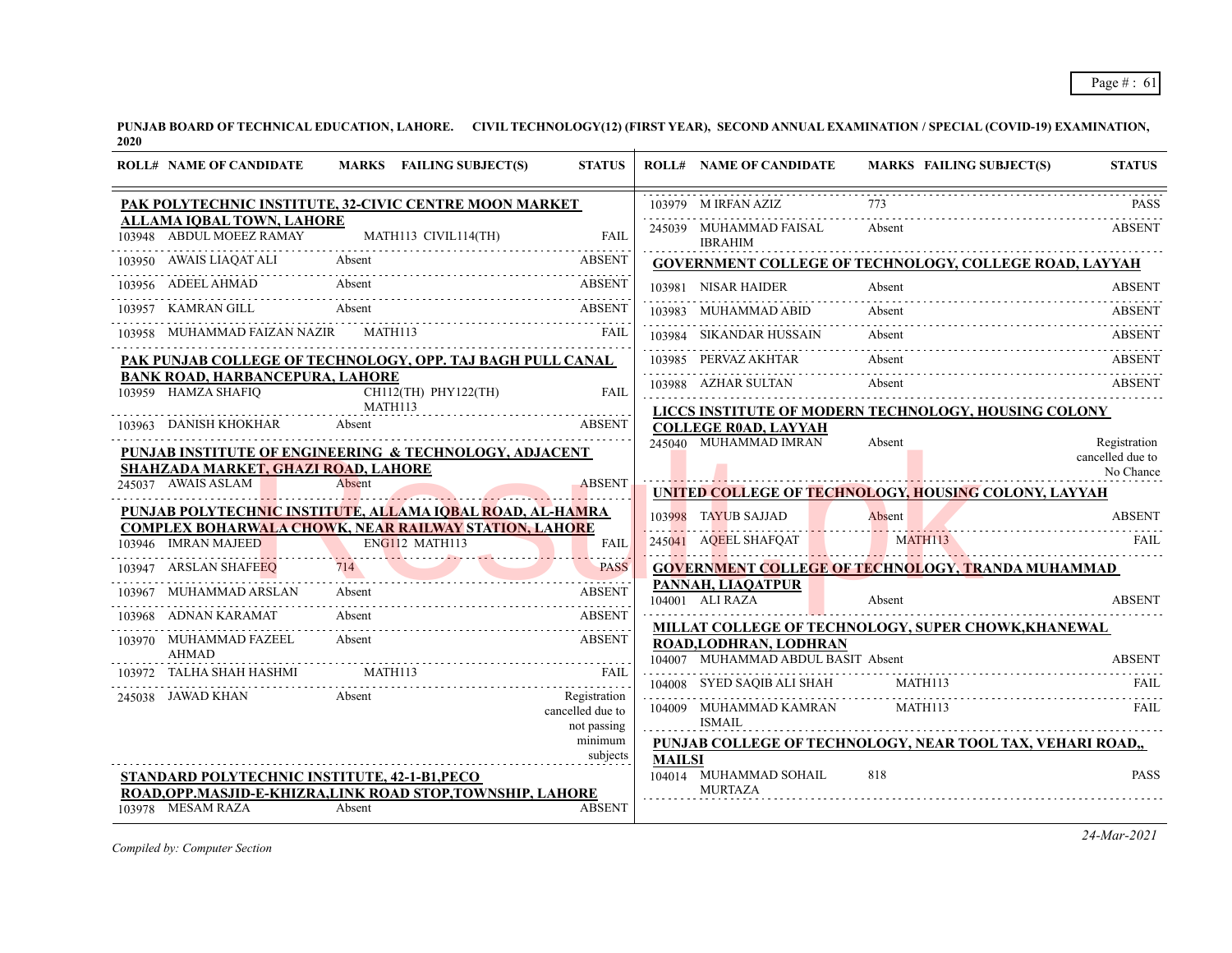| <b>ROLL# NAME OF CANDIDATE</b>                                | MARKS FAILING SUBJECT(S)                                               | <b>STATUS</b>                   |               | <b>ROLL# NAME OF CANDIDATE</b>                               | <b>MARKS FAILING SUBJECT(S)</b>                                   | <b>STATUS</b>                                 |
|---------------------------------------------------------------|------------------------------------------------------------------------|---------------------------------|---------------|--------------------------------------------------------------|-------------------------------------------------------------------|-----------------------------------------------|
|                                                               | PAK POLYTECHNIC INSTITUTE, 32-CIVIC CENTRE MOON MARKET                 |                                 |               | 103979 M IRFAN AZIZ                                          |                                                                   | <b>PASS</b>                                   |
| <b>ALLAMA IQBAL TOWN, LAHORE</b>                              | 103948 ABDUL MOEEZ RAMAY MATH113 CIVIL114(TH) FAIL                     |                                 |               | 245039 MUHAMMAD FAISAL<br><b>IBRAHIM</b>                     | Absent                                                            | <b>ABSENT</b>                                 |
| 103950 AWAIS LIAQAT ALI Absent                                |                                                                        | <b>ABSENT</b>                   |               |                                                              | <b>GOVERNMENT COLLEGE OF TECHNOLOGY, COLLEGE ROAD, LAYYAH</b>     |                                               |
|                                                               | 103956 ADEEL AHMAD Absent ABSENT ABSENT                                |                                 |               |                                                              | 103981 NISAR HAIDER Absent ABSENT                                 |                                               |
|                                                               | 103957 KAMRAN GILL Absent ABSENT                                       |                                 |               | 103983 MUHAMMAD ABID                                         | Absent                                                            | <b>ABSENT</b>                                 |
|                                                               | 103958 MUHAMMAD FAIZAN NAZIR MATH113 FAIL FAIL                         |                                 |               | 103984 SIKANDAR HUSSAIN                                      | Absent                                                            | <b>ABSENT</b>                                 |
|                                                               | PAK PUNJAB COLLEGE OF TECHNOLOGY, OPP. TAJ BAGH PULL CANAL             |                                 |               |                                                              | Absent<br>103985 PERVAZ AKHTAR Absent ABSENT ABSENT               |                                               |
| <b>BANK ROAD, HARBANCEPURA, LAHORE</b><br>103959 HAMZA SHAFIQ | CH112(TH) PHY122(TH)                                                   | <b>FAIL</b>                     |               |                                                              | 103988 AZHAR SULTAN Absent ABSENT                                 |                                               |
| 103963 DANISH KHOKHAR                                         | MATH113<br>Absent                                                      | ABSENT                          |               | <b>COLLEGE R0AD, LAYYAH</b>                                  | LICCS INSTITUTE OF MODERN TECHNOLOGY, HOUSING COLONY              |                                               |
| SHAHZADA MARKET, GHAZI ROAD, LAHORE                           | PUNJAB INSTITUTE OF ENGINEERING & TECHNOLOGY, ADJACENT                 |                                 |               | 245040 MUHAMMAD IMRAN                                        | Absent                                                            | Registration<br>cancelled due to<br>No Chance |
| 245037 AWAIS ASLAM                                            | Absent                                                                 | <b>ABSENT</b><br><u>.</u>       |               |                                                              | UNITED COLLEGE OF TECHNOLOGY, HOUSING COLONY, LAYYAH              |                                               |
|                                                               | PUNJAB PO <u>LYTECHNIC INSTITUTE, ALLAMA IQBAL ROAD, AL-HAMRA</u>      |                                 |               |                                                              |                                                                   |                                               |
|                                                               | <b>COMPLEX BOHARWALA CHOWK, NEAR RAILWAY STATION, LAHORE</b>           | <b>FAIL</b>                     |               |                                                              | 103998 TAYUB SAJJAD Absent ABSENT<br>245041 AQEEL SHAFQAT MATH113 | FAIL                                          |
| 103947 ARSLAN SHAFEEQ                                         | 103946 IMRAN MAJEED ENGI12 MATH113                                     | .                               |               |                                                              | <b>GOVERNMENT COLLEGE OF TECHNOLOGY, TRANDA MUHAMMAD</b>          |                                               |
| 103967 MUHAMMAD ARSLAN                                        | 947 ARSLAN SHAFEEQ 714 PASS<br>Absent                                  | <b>ABSENT</b>                   |               | PANNAH, LIAQATPUR<br>104001 ALI RAZA                         |                                                                   | <b>ABSENT</b>                                 |
| 103968 ADNAN KARAMAT                                          | Absent                                                                 | ABSENT                          |               |                                                              | Absent                                                            |                                               |
| 103970 MUHAMMAD FAZEEL<br><b>AHMAD</b>                        | Absent<br><b>Example 2018</b> ABSENT                                   |                                 |               | ROAD, LODHRAN, LODHRAN<br>104007 MUHAMMAD ABDUL BASIT Absent | MILLAT COLLEGE OF TECHNOLOGY, SUPER CHOWK, KHANEWAL               | <b>ABSENT</b>                                 |
| 103972 TALHA SHAH HASHMI MATH113                              |                                                                        | FAII                            |               |                                                              | 04007 MUHAMMAD ABDUL BASIT Absent ABSENT                          |                                               |
| 245038 JAWAD KHAN                                             | Absent                                                                 | Registration                    |               | 104008 SYED SAQIB ALI SHAH MATH113                           |                                                                   | FAIL.                                         |
|                                                               |                                                                        | cancelled due to<br>not passing |               | 104009 MUHAMMAD KAMRAN<br><b>ISMAIL</b>                      | <b>MATH113</b>                                                    | FAIL.                                         |
|                                                               |                                                                        | minimum<br>subjects             |               |                                                              | PUNJAB COLLEGE OF TECHNOLOGY, NEAR TOOL TAX, VEHARI ROAD,,        |                                               |
| STANDARD POLYTECHNIC INSTITUTE, 42-1-B1, PECO                 |                                                                        |                                 | <b>MAILSI</b> | 104014 MUHAMMAD SOHAIL<br><b>MURTAZA</b>                     | 818                                                               | <b>PASS</b>                                   |
| 103978 MESAM RAZA                                             | ROAD, OPP. MASJID-E-KHIZRA, LINK ROAD STOP, TOWNSHIP, LAHORE<br>Absent | <b>ABSENT</b>                   |               |                                                              |                                                                   |                                               |

*Compiled by: Computer Section*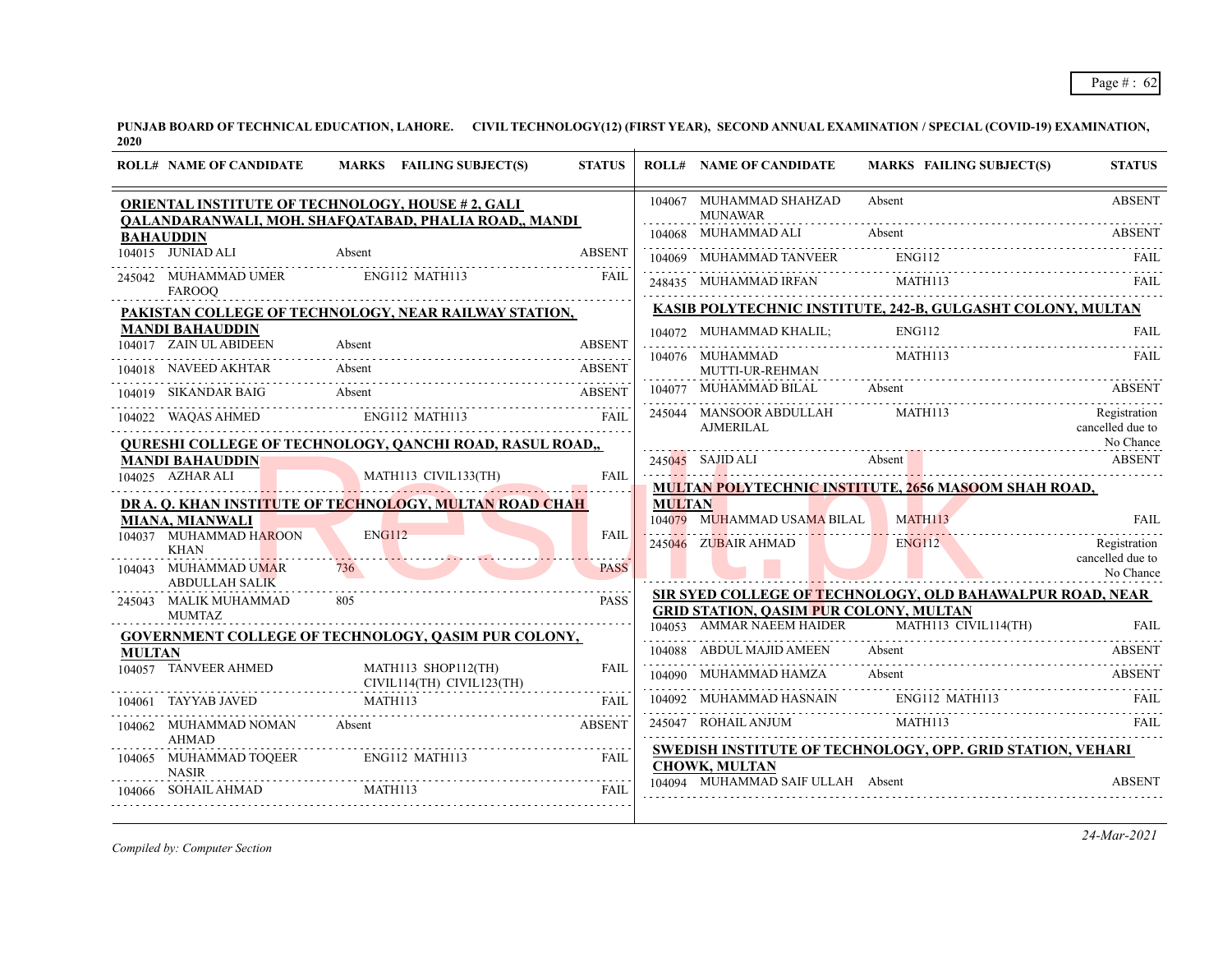| 104067 MUHAMMAD SHAHZAD<br><b>ABSENT</b><br>Absent<br>ORIENTAL INSTITUTE OF TECHNOLOGY, HOUSE #2, GALI<br><b>MUNAWAR</b><br>QALANDARANWALI, MOH. SHAFQATABAD, PHALIA ROAD,, MANDI<br>104068 MUHAMMAD ALI<br>Absent<br><b>ABSENT</b><br><b>BAHAUDDIN</b><br>$104015$ JUNIAD ALI<br>Absent<br><b>ABSENT</b><br>ENG112<br>104069 MUHAMMAD TANVEER<br><b>FAIL</b><br>ENG112 MATH113<br><b>FAIL</b><br>245042 MUHAMMAD UMER<br>MATH113<br>248435 MUHAMMAD IRFAN<br>FAIL<br><b>FAROOQ</b><br>KASIB POLYTECHNIC INSTITUTE, 242-B, GULGASHT COLONY, MULTAN<br>PAKISTAN COLLEGE OF TECHNOLOGY, NEAR RAILWAY STATION,<br><b>MANDI BAHAUDDIN</b><br><b>ENG112</b><br>104072 MUHAMMAD KHALIL:<br><b>FAIL</b><br>104017 ZAIN UL ABIDEEN<br><b>ABSENT</b><br>Absent<br>MATH113<br>104076 MUHAMMAD<br>FAIL<br>104018 NAVEED AKHTAR<br>Absent<br><b>ABSENT</b><br>MUTTI-UR-REHMAN<br>104077 MUHAMMAD BILAL<br>Absent<br><b>ABSENT</b><br>Absent<br><b>ABSENT</b><br>104019 SIKANDAR BAIG<br>MATH113<br>Registration<br>245044 MANSOOR ABDULLAH<br>ENG112 MATH113<br>104022 WAQAS AHMED<br>FAII.<br>cancelled due to<br>AJMERILAL<br>No Chance<br><b>QURESHI COLLEGE OF TECHNOLOGY, QANCHI ROAD, RASUL ROAD,,</b><br>245045 SAJID ALI<br>Absent<br><b>ABSENT</b><br><b>MANDI BAHAUDDIN</b><br>MATH113 CIVIL133(TH)<br>104025 AZHAR ALI<br>FAIL<br><b>MULTAN POLYTECHNIC INSTITUTE, 2656 MASOOM SHAH ROAD,</b><br>DR A. Q. KHAN INSTITUTE OF TECHNOLOGY, MULTAN ROAD CHAH<br><b>MULTAN</b><br>104079 MUHAMMAD USAMA BILAL<br>MATH113<br><b>FAIL</b><br><b>MIANA, MIANWALI</b><br>104037 MUHAMMAD HAROON<br><b>ENG112</b><br><b>FAIL</b><br>245046 ZUBAIR AHMAD<br><b>ENG112</b><br>Registration<br><b>KHAN</b><br>cancelled due to<br><b>PASS</b><br>104043 MUHAMMAD UMAR<br>736<br>No Chance<br><b>ABDULLAH SALIK</b><br>SIR SYED COLLEGE OF TECHNOLOGY, OLD BAHAWALPUR ROAD, NEAR<br><b>PASS</b><br>245043 MALIK MUHAMMAD<br>805<br><b>GRID STATION, QASIM PUR COLONY, MULTAN</b><br><b>MUMTAZ</b><br>104053 AMMAR NAEEM HAIDER<br>MATH113 CIVIL114(TH)<br>FAII.<br>GOVERNMENT COLLEGE OF TECHNOLOGY, QASIM PUR COLONY,<br>104088 ABDUL MAJID AMEEN<br>Absent<br><b>ABSENT</b><br><b>MULTAN</b><br>104057 TANVEER AHMED<br>MATH113 SHOP112(TH)<br><b>FAIL</b><br>104090 MUHAMMAD HAMZA<br>Absent<br><b>ABSENT</b><br>$CIVIL114(TH)$ $CIVIL1123(TH)$<br>ENG112 MATH113<br>104092 MUHAMMAD HASNAIN<br>FAIL.<br>TAYYAB JAVED MATH113<br>FAII.<br>104061<br>.<br>MATH113<br>245047 ROHAIL ANJUM<br>FAII.<br>104062 MUHAMMAD NOMAN<br><b>ABSENT</b><br>Absent<br><b>AHMAD</b><br>SWEDISH INSTITUTE OF TECHNOLOGY, OPP. GRID STATION, VEHARI<br>104065 MUHAMMAD TOQEER<br><b>FAIL</b><br>ENG112 MATH113<br><b>CHOWK, MULTAN</b><br><b>NASIR</b><br>104094 MUHAMMAD SAIF ULLAH Absent<br><b>ABSENT</b> | <b>ROLL# NAME OF CANDIDATE</b> | MARKS FAILING SUBJECT(S) | <b>STATUS</b> | <b>ROLL# NAME OF CANDIDATE</b> | <b>MARKS FAILING SUBJECT(S)</b> | <b>STATUS</b> |
|---------------------------------------------------------------------------------------------------------------------------------------------------------------------------------------------------------------------------------------------------------------------------------------------------------------------------------------------------------------------------------------------------------------------------------------------------------------------------------------------------------------------------------------------------------------------------------------------------------------------------------------------------------------------------------------------------------------------------------------------------------------------------------------------------------------------------------------------------------------------------------------------------------------------------------------------------------------------------------------------------------------------------------------------------------------------------------------------------------------------------------------------------------------------------------------------------------------------------------------------------------------------------------------------------------------------------------------------------------------------------------------------------------------------------------------------------------------------------------------------------------------------------------------------------------------------------------------------------------------------------------------------------------------------------------------------------------------------------------------------------------------------------------------------------------------------------------------------------------------------------------------------------------------------------------------------------------------------------------------------------------------------------------------------------------------------------------------------------------------------------------------------------------------------------------------------------------------------------------------------------------------------------------------------------------------------------------------------------------------------------------------------------------------------------------------------------------------------------------------------------------------------------------------------------------------------------------------------------------------------------------------------------------------------------------------------------------------------------------------------------------------------------------|--------------------------------|--------------------------|---------------|--------------------------------|---------------------------------|---------------|
|                                                                                                                                                                                                                                                                                                                                                                                                                                                                                                                                                                                                                                                                                                                                                                                                                                                                                                                                                                                                                                                                                                                                                                                                                                                                                                                                                                                                                                                                                                                                                                                                                                                                                                                                                                                                                                                                                                                                                                                                                                                                                                                                                                                                                                                                                                                                                                                                                                                                                                                                                                                                                                                                                                                                                                                 |                                |                          |               |                                |                                 |               |
|                                                                                                                                                                                                                                                                                                                                                                                                                                                                                                                                                                                                                                                                                                                                                                                                                                                                                                                                                                                                                                                                                                                                                                                                                                                                                                                                                                                                                                                                                                                                                                                                                                                                                                                                                                                                                                                                                                                                                                                                                                                                                                                                                                                                                                                                                                                                                                                                                                                                                                                                                                                                                                                                                                                                                                                 |                                |                          |               |                                |                                 |               |
|                                                                                                                                                                                                                                                                                                                                                                                                                                                                                                                                                                                                                                                                                                                                                                                                                                                                                                                                                                                                                                                                                                                                                                                                                                                                                                                                                                                                                                                                                                                                                                                                                                                                                                                                                                                                                                                                                                                                                                                                                                                                                                                                                                                                                                                                                                                                                                                                                                                                                                                                                                                                                                                                                                                                                                                 |                                |                          |               |                                |                                 |               |
|                                                                                                                                                                                                                                                                                                                                                                                                                                                                                                                                                                                                                                                                                                                                                                                                                                                                                                                                                                                                                                                                                                                                                                                                                                                                                                                                                                                                                                                                                                                                                                                                                                                                                                                                                                                                                                                                                                                                                                                                                                                                                                                                                                                                                                                                                                                                                                                                                                                                                                                                                                                                                                                                                                                                                                                 |                                |                          |               |                                |                                 |               |
|                                                                                                                                                                                                                                                                                                                                                                                                                                                                                                                                                                                                                                                                                                                                                                                                                                                                                                                                                                                                                                                                                                                                                                                                                                                                                                                                                                                                                                                                                                                                                                                                                                                                                                                                                                                                                                                                                                                                                                                                                                                                                                                                                                                                                                                                                                                                                                                                                                                                                                                                                                                                                                                                                                                                                                                 |                                |                          |               |                                |                                 |               |
|                                                                                                                                                                                                                                                                                                                                                                                                                                                                                                                                                                                                                                                                                                                                                                                                                                                                                                                                                                                                                                                                                                                                                                                                                                                                                                                                                                                                                                                                                                                                                                                                                                                                                                                                                                                                                                                                                                                                                                                                                                                                                                                                                                                                                                                                                                                                                                                                                                                                                                                                                                                                                                                                                                                                                                                 |                                |                          |               |                                |                                 |               |
|                                                                                                                                                                                                                                                                                                                                                                                                                                                                                                                                                                                                                                                                                                                                                                                                                                                                                                                                                                                                                                                                                                                                                                                                                                                                                                                                                                                                                                                                                                                                                                                                                                                                                                                                                                                                                                                                                                                                                                                                                                                                                                                                                                                                                                                                                                                                                                                                                                                                                                                                                                                                                                                                                                                                                                                 |                                |                          |               |                                |                                 |               |
|                                                                                                                                                                                                                                                                                                                                                                                                                                                                                                                                                                                                                                                                                                                                                                                                                                                                                                                                                                                                                                                                                                                                                                                                                                                                                                                                                                                                                                                                                                                                                                                                                                                                                                                                                                                                                                                                                                                                                                                                                                                                                                                                                                                                                                                                                                                                                                                                                                                                                                                                                                                                                                                                                                                                                                                 |                                |                          |               |                                |                                 |               |
|                                                                                                                                                                                                                                                                                                                                                                                                                                                                                                                                                                                                                                                                                                                                                                                                                                                                                                                                                                                                                                                                                                                                                                                                                                                                                                                                                                                                                                                                                                                                                                                                                                                                                                                                                                                                                                                                                                                                                                                                                                                                                                                                                                                                                                                                                                                                                                                                                                                                                                                                                                                                                                                                                                                                                                                 |                                |                          |               |                                |                                 |               |
|                                                                                                                                                                                                                                                                                                                                                                                                                                                                                                                                                                                                                                                                                                                                                                                                                                                                                                                                                                                                                                                                                                                                                                                                                                                                                                                                                                                                                                                                                                                                                                                                                                                                                                                                                                                                                                                                                                                                                                                                                                                                                                                                                                                                                                                                                                                                                                                                                                                                                                                                                                                                                                                                                                                                                                                 |                                |                          |               |                                |                                 |               |
|                                                                                                                                                                                                                                                                                                                                                                                                                                                                                                                                                                                                                                                                                                                                                                                                                                                                                                                                                                                                                                                                                                                                                                                                                                                                                                                                                                                                                                                                                                                                                                                                                                                                                                                                                                                                                                                                                                                                                                                                                                                                                                                                                                                                                                                                                                                                                                                                                                                                                                                                                                                                                                                                                                                                                                                 |                                |                          |               |                                |                                 |               |
|                                                                                                                                                                                                                                                                                                                                                                                                                                                                                                                                                                                                                                                                                                                                                                                                                                                                                                                                                                                                                                                                                                                                                                                                                                                                                                                                                                                                                                                                                                                                                                                                                                                                                                                                                                                                                                                                                                                                                                                                                                                                                                                                                                                                                                                                                                                                                                                                                                                                                                                                                                                                                                                                                                                                                                                 |                                |                          |               |                                |                                 |               |
|                                                                                                                                                                                                                                                                                                                                                                                                                                                                                                                                                                                                                                                                                                                                                                                                                                                                                                                                                                                                                                                                                                                                                                                                                                                                                                                                                                                                                                                                                                                                                                                                                                                                                                                                                                                                                                                                                                                                                                                                                                                                                                                                                                                                                                                                                                                                                                                                                                                                                                                                                                                                                                                                                                                                                                                 |                                |                          |               |                                |                                 |               |
|                                                                                                                                                                                                                                                                                                                                                                                                                                                                                                                                                                                                                                                                                                                                                                                                                                                                                                                                                                                                                                                                                                                                                                                                                                                                                                                                                                                                                                                                                                                                                                                                                                                                                                                                                                                                                                                                                                                                                                                                                                                                                                                                                                                                                                                                                                                                                                                                                                                                                                                                                                                                                                                                                                                                                                                 |                                |                          |               |                                |                                 |               |
|                                                                                                                                                                                                                                                                                                                                                                                                                                                                                                                                                                                                                                                                                                                                                                                                                                                                                                                                                                                                                                                                                                                                                                                                                                                                                                                                                                                                                                                                                                                                                                                                                                                                                                                                                                                                                                                                                                                                                                                                                                                                                                                                                                                                                                                                                                                                                                                                                                                                                                                                                                                                                                                                                                                                                                                 |                                |                          |               |                                |                                 |               |
|                                                                                                                                                                                                                                                                                                                                                                                                                                                                                                                                                                                                                                                                                                                                                                                                                                                                                                                                                                                                                                                                                                                                                                                                                                                                                                                                                                                                                                                                                                                                                                                                                                                                                                                                                                                                                                                                                                                                                                                                                                                                                                                                                                                                                                                                                                                                                                                                                                                                                                                                                                                                                                                                                                                                                                                 |                                |                          |               |                                |                                 |               |
|                                                                                                                                                                                                                                                                                                                                                                                                                                                                                                                                                                                                                                                                                                                                                                                                                                                                                                                                                                                                                                                                                                                                                                                                                                                                                                                                                                                                                                                                                                                                                                                                                                                                                                                                                                                                                                                                                                                                                                                                                                                                                                                                                                                                                                                                                                                                                                                                                                                                                                                                                                                                                                                                                                                                                                                 |                                |                          |               |                                |                                 |               |
|                                                                                                                                                                                                                                                                                                                                                                                                                                                                                                                                                                                                                                                                                                                                                                                                                                                                                                                                                                                                                                                                                                                                                                                                                                                                                                                                                                                                                                                                                                                                                                                                                                                                                                                                                                                                                                                                                                                                                                                                                                                                                                                                                                                                                                                                                                                                                                                                                                                                                                                                                                                                                                                                                                                                                                                 |                                |                          |               |                                |                                 |               |
|                                                                                                                                                                                                                                                                                                                                                                                                                                                                                                                                                                                                                                                                                                                                                                                                                                                                                                                                                                                                                                                                                                                                                                                                                                                                                                                                                                                                                                                                                                                                                                                                                                                                                                                                                                                                                                                                                                                                                                                                                                                                                                                                                                                                                                                                                                                                                                                                                                                                                                                                                                                                                                                                                                                                                                                 |                                |                          |               |                                |                                 |               |
|                                                                                                                                                                                                                                                                                                                                                                                                                                                                                                                                                                                                                                                                                                                                                                                                                                                                                                                                                                                                                                                                                                                                                                                                                                                                                                                                                                                                                                                                                                                                                                                                                                                                                                                                                                                                                                                                                                                                                                                                                                                                                                                                                                                                                                                                                                                                                                                                                                                                                                                                                                                                                                                                                                                                                                                 |                                |                          |               |                                |                                 |               |
|                                                                                                                                                                                                                                                                                                                                                                                                                                                                                                                                                                                                                                                                                                                                                                                                                                                                                                                                                                                                                                                                                                                                                                                                                                                                                                                                                                                                                                                                                                                                                                                                                                                                                                                                                                                                                                                                                                                                                                                                                                                                                                                                                                                                                                                                                                                                                                                                                                                                                                                                                                                                                                                                                                                                                                                 |                                |                          |               |                                |                                 |               |
|                                                                                                                                                                                                                                                                                                                                                                                                                                                                                                                                                                                                                                                                                                                                                                                                                                                                                                                                                                                                                                                                                                                                                                                                                                                                                                                                                                                                                                                                                                                                                                                                                                                                                                                                                                                                                                                                                                                                                                                                                                                                                                                                                                                                                                                                                                                                                                                                                                                                                                                                                                                                                                                                                                                                                                                 |                                |                          |               |                                |                                 |               |
|                                                                                                                                                                                                                                                                                                                                                                                                                                                                                                                                                                                                                                                                                                                                                                                                                                                                                                                                                                                                                                                                                                                                                                                                                                                                                                                                                                                                                                                                                                                                                                                                                                                                                                                                                                                                                                                                                                                                                                                                                                                                                                                                                                                                                                                                                                                                                                                                                                                                                                                                                                                                                                                                                                                                                                                 |                                |                          |               |                                |                                 |               |
|                                                                                                                                                                                                                                                                                                                                                                                                                                                                                                                                                                                                                                                                                                                                                                                                                                                                                                                                                                                                                                                                                                                                                                                                                                                                                                                                                                                                                                                                                                                                                                                                                                                                                                                                                                                                                                                                                                                                                                                                                                                                                                                                                                                                                                                                                                                                                                                                                                                                                                                                                                                                                                                                                                                                                                                 | 104066 SOHAIL AHMAD            | MATH113                  | <b>FAIL</b>   |                                |                                 |               |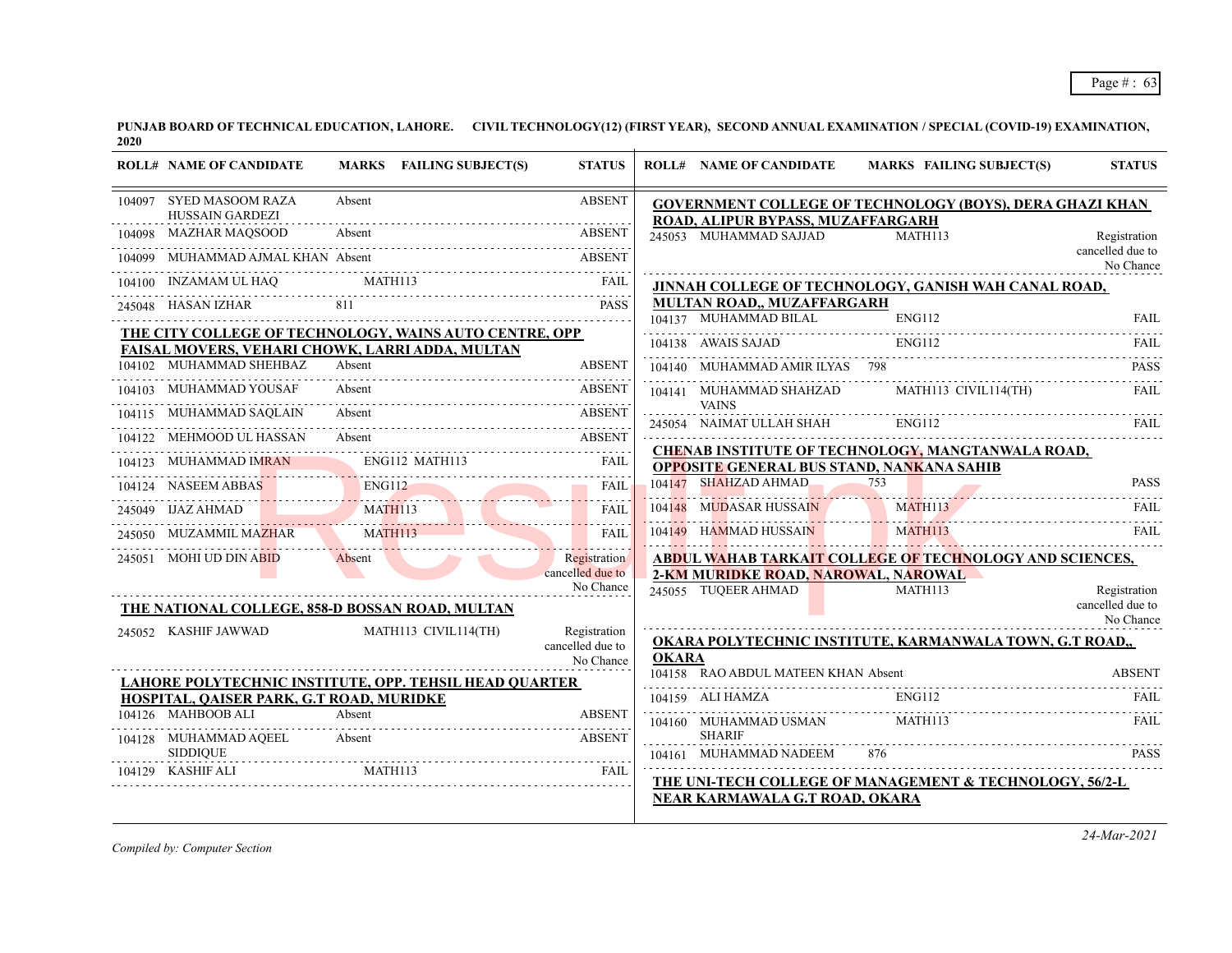| 104097 SYED MASOOM RAZA<br>Absent<br><b>ABSENT</b><br><b>GOVERNMENT COLLEGE OF TECHNOLOGY (BOYS), DERA GHAZI KHAN</b><br>HUSSAIN GARDEZI<br>ROAD, ALIPUR BYPASS, MUZAFFARGARH |                               |
|-------------------------------------------------------------------------------------------------------------------------------------------------------------------------------|-------------------------------|
| Absent<br>MAZHAR MAQSOOD<br><b>ABSENT</b><br>245053 MUHAMMAD SAJJAD                                                                                                           | MATH113<br>Registration       |
| MUHAMMAD AJMAL KHAN Absent<br><b>ABSENT</b><br>104099                                                                                                                         | cancelled due to<br>No Chance |
| MATH113<br>104100 INZAMAM UL HAQ<br>FAIL<br>JINNAH COLLEGE OF TECHNOLOGY, GANISH WAH CANAL ROAD,                                                                              |                               |
| MULTAN ROAD,, MUZAFFARGARH<br>245048 HASAN IZHAR<br><b>PASS</b><br>104137 MUHAMMAD BILAL                                                                                      | <b>ENG112</b><br><b>FAIL</b>  |
| THE CITY COLLEGE OF TECHNOLOGY, WAINS AUTO CENTRE, OPP                                                                                                                        |                               |
| 104138 AWAIS SAJAD<br>FAISAL MOVERS, VEHARI CHOWK, LARRI ADDA, MULTAN                                                                                                         | ENG112<br>FAIL.               |
| 104102 MUHAMMAD SHEHBAZ<br><b>ABSENT</b><br>Absent<br>104140 MUHAMMAD AMIR ILYAS 798                                                                                          | <b>PASS</b>                   |
| 104103 MUHAMMAD YOUSAF<br>Absent<br><b>ABSENT</b><br>104141 MUHAMMAD SHAHZAD MATH113 CIVIL114(TH)<br><b>VAINS</b>                                                             | <b>FAIL</b>                   |
| 104115 MUHAMMAD SAOLAIN<br>Absent<br><b>ABSENT</b><br>245054 NAIMAT ULLAH SHAH                                                                                                | <b>ENG112</b><br>FAIL         |
| 104122 MEHMOOD UL HASSAN Absent ABSENT<br>CHENAB INSTITUTE OF TECHNOLOGY, MANGTANWALA ROAD,                                                                                   |                               |
| ENG112 MATH113<br>104123 MUHAMMAD IMRAN<br>FAIL<br><b>OPPOSITE GENERAL BUS STAND, NANKANA SAHIB</b>                                                                           |                               |
| 104147 SHAHZAD AHMAD<br>753<br><b>FAIL</b>                                                                                                                                    | <b>PASS</b>                   |
| 104124 NASEEM ABBAS ENG112<br>245049 IJAZ AHMAD MATH113<br>104148 MUDASAR HUSSAIN<br>FAIL                                                                                     | MATH113<br>FAIL               |
| 104149 HAMMAD HUSSAIN<br>245050 MUZAMMIL MAZHAR<br><b>MATH113</b><br><b>FAIL</b>                                                                                              | MATH113<br>FAII.              |
| Absent<br>245051 MOHI UD DIN ABID<br>Registration<br><b>ABDUL WAHAB TARKAIT COLLEGE OF TECHNOLOGY AND SCIENCES,</b>                                                           |                               |
| cancelled due to<br>2-KM MURIDKE ROAD, NAROWAL, NAROWAL<br>No Chance<br>245055 TUQEER AHMAD                                                                                   | MATH113<br>Registration       |
| THE NATIONAL COLLEGE, 858-D BOSSAN ROAD, MULTAN                                                                                                                               | cancelled due to<br>No Chance |
| 245052 KASHIF JAWWAD<br>MATH113 CIVIL114(TH)<br>Registration<br>OKARA POLYTECHNIC INSTITUTE, KARMANWALA TOWN, G.T ROAD,,                                                      |                               |
| cancelled due to<br><b>OKARA</b><br>No Chance                                                                                                                                 |                               |
| 104158 RAO ABDUL MATEEN KHAN Absent<br><u>LAHORE POLYTECHNIC INSTITUTE, OPP. TEHSIL HEAD QUARTER</u>                                                                          | <b>ABSENT</b>                 |
| 104159 ALI HAMZA<br><b>HOSPITAL, QAISER PARK, G.T ROAD, MURIDKE</b>                                                                                                           | ENG112<br>FAIL                |
| 104126 MAHBOOB ALI<br>Absent<br><b>ABSENT</b><br>104160 MUHAMMAD USMAN                                                                                                        | MATH113<br><b>FAIL</b>        |
| <b>SHARIF</b><br>104128 MUHAMMAD AQEEL Absent<br><b>ABSENT</b><br><b>SIDDIQUE</b><br>104161 MUHAMMAD NADEEM                                                                   | <b>PASS</b>                   |
| MATH113<br>104129 KASHIF ALI<br><b>FAIL</b>                                                                                                                                   |                               |
| <b>THE UNI-TECH COLLEGE OF MANAGEMENT &amp; TECHNOLOGY, 56/2-L</b><br><b>NEAR KARMAWALA G.T ROAD, OKARA</b>                                                                   |                               |
|                                                                                                                                                                               |                               |

*Compiled by: Computer Section*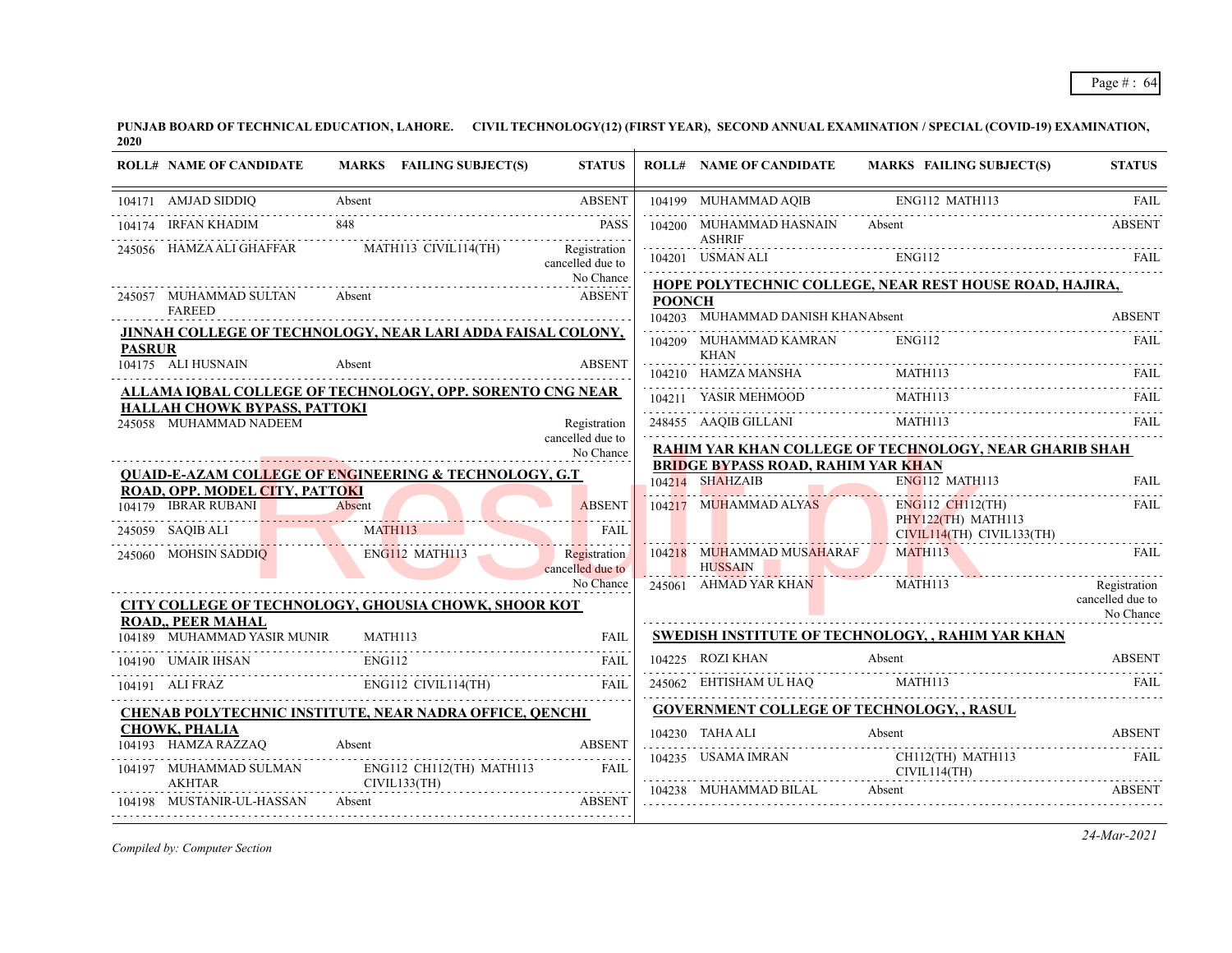| <b>ROLL# NAME OF CANDIDATE</b>                                                                                                                                                            | MARKS FAILING SUBJECT(S)                                           | <b>STATUS</b>                    |               | <b>ROLL# NAME OF CANDIDATE</b>                      | <b>MARKS FAILING SUBJECT(S)</b>                                                                                                                                                                                                                                                                                                                                                                                                                                             | <b>STATUS</b>                 |
|-------------------------------------------------------------------------------------------------------------------------------------------------------------------------------------------|--------------------------------------------------------------------|----------------------------------|---------------|-----------------------------------------------------|-----------------------------------------------------------------------------------------------------------------------------------------------------------------------------------------------------------------------------------------------------------------------------------------------------------------------------------------------------------------------------------------------------------------------------------------------------------------------------|-------------------------------|
| 104171 AMJAD SIDDIQ Absent ABSENT                                                                                                                                                         |                                                                    | <b>ABSENT</b>                    |               |                                                     | 104199 MUHAMMAD AQIB ENG112 MATH113                                                                                                                                                                                                                                                                                                                                                                                                                                         | FAII.                         |
| 104174 IRFAN KHADIM                                                                                                                                                                       | 848<br>74 IRFAN KHADIM 848 PASS                                    | <b>PASS</b>                      |               | 104200 MUHAMMAD HASNAIN Absent                      |                                                                                                                                                                                                                                                                                                                                                                                                                                                                             | <b>ABSENT</b>                 |
|                                                                                                                                                                                           | 245056 HAMZA ALI GHAFFAR MATH113 CIVIL114(TH)                      | Registration<br>cancelled due to | <u>.</u>      | <b>ASHRIF</b><br>104201 USMAN ALI                   | ENG112                                                                                                                                                                                                                                                                                                                                                                                                                                                                      | -FAIL                         |
|                                                                                                                                                                                           |                                                                    | No Chance                        |               |                                                     | <b>HOPE POLYTECHNIC COLLEGE, NEAR REST HOUSE ROAD, HAJIRA,</b>                                                                                                                                                                                                                                                                                                                                                                                                              |                               |
| 245057 MUHAMMAD SULTAN<br><b>FAREED</b>                                                                                                                                                   | Absent                                                             | <b>ABSENT</b>                    | <b>POONCH</b> | 104203 MUHAMMAD DANISH KHANAbsent                   |                                                                                                                                                                                                                                                                                                                                                                                                                                                                             | <b>ABSENT</b>                 |
|                                                                                                                                                                                           | <b>JINNAH COLLEGE OF TECHNOLOGY, NEAR LARI ADDA FAISAL COLONY,</b> |                                  |               | 104209 MUHAMMAD KAMRAN                              | ENG112                                                                                                                                                                                                                                                                                                                                                                                                                                                                      | FAIL                          |
| <b>PASRUR</b><br>104175 ALI HUSNAIN                                                                                                                                                       | Absent                                                             | <b>ABSENT</b>                    |               | KHAN                                                |                                                                                                                                                                                                                                                                                                                                                                                                                                                                             |                               |
|                                                                                                                                                                                           |                                                                    |                                  |               |                                                     | $\begin{tabular}{c c c} \hline 104210 & HAMZA MANSHA & \multicolumn{2}{c}{MATHII3} & \multicolumn{2}{c}{FAIL} \\ \hline 104211 & YASIR MEHMOOD & \multicolumn{2}{c}{MATHII3} & \multicolumn{2}{c}{FAIL} \\ \hline \end{tabular}$                                                                                                                                                                                                                                            |                               |
| HALLAH CHOWK BYPASS, PATTOKI                                                                                                                                                              | ALLAMA IQBAL COLLEGE OF TECHNOLOGY, OPP. SORENTO CNG NEAR          |                                  |               |                                                     |                                                                                                                                                                                                                                                                                                                                                                                                                                                                             |                               |
| 245058 MUHAMMAD NADEEM                                                                                                                                                                    |                                                                    | Registration                     |               | 248455 AAQIB GILLANI                                | MATH <sub>113</sub>                                                                                                                                                                                                                                                                                                                                                                                                                                                         |                               |
|                                                                                                                                                                                           |                                                                    | cancelled due to<br>No Chance    |               |                                                     | RAHIM YAR KHAN COLLEGE OF TECHNOLOGY, NEAR GHARIB SHAH                                                                                                                                                                                                                                                                                                                                                                                                                      |                               |
|                                                                                                                                                                                           | <b>QUAID-E-AZAM COLLEGE OF ENGINEERING &amp; TECHNOLOGY, G.T</b>   |                                  |               | <b>BRIDGE BYPASS ROAD, RAHIM YAR KHAN</b>           |                                                                                                                                                                                                                                                                                                                                                                                                                                                                             |                               |
| ROAD, OPP. MODEL CITY, PATTOKI                                                                                                                                                            |                                                                    |                                  |               | 104214 SHAHZAIB<br>104214 SHAHZAIB                  | $ENG112$ MATH113                                                                                                                                                                                                                                                                                                                                                                                                                                                            | FAIL                          |
| 104179 IBRAR RUBANI Absent                                                                                                                                                                |                                                                    | <b>ABSENT</b>                    |               | 104217 MUHAMMAD ALYAS                               | ENG112 CH112(TH)                                                                                                                                                                                                                                                                                                                                                                                                                                                            | FAIL                          |
| 245059 SAQIB ALI                                                                                                                                                                          | MATH113                                                            | <b>FAIL</b>                      |               |                                                     | $PHY122(TH)$ MATH113<br>CIVIL114(TH) CIVIL133(TH)                                                                                                                                                                                                                                                                                                                                                                                                                           |                               |
| 245060 MOHSIN SADDIQ                                                                                                                                                                      | ENG112 MATH113                                                     | Registration                     |               | 104218 MUHAMMAD MUSAHARAF MATH113<br><b>HUSSAIN</b> |                                                                                                                                                                                                                                                                                                                                                                                                                                                                             | FAIL                          |
|                                                                                                                                                                                           |                                                                    | cancelled due to<br>No Chance    |               | 245061 AHMAD YAR KHAN                               | <u> 1. In the Community of Band Street, and the Band Street and Street and Street and Street and Street and Street and Street and Street and Street and Street and Street and Street and Street and Street and Street and Street</u><br>MATH113                                                                                                                                                                                                                             | Registration                  |
| <b>ROAD,, PEER MAHAL</b>                                                                                                                                                                  | <b>CITY COLLEGE OF TECHNOLOGY, GHOUSIA CHOWK, SHOOR KOT</b>        |                                  |               |                                                     |                                                                                                                                                                                                                                                                                                                                                                                                                                                                             | cancelled due to<br>No Chance |
| 104189 MUHAMMAD YASIR MUNIR MATH113                                                                                                                                                       |                                                                    | FAIL                             |               |                                                     | <b>SWEDISH INSTITUTE OF TECHNOLOGY, , RAHIM YAR KHAN</b>                                                                                                                                                                                                                                                                                                                                                                                                                    |                               |
| 104190 UMAIR IHSAN                                                                                                                                                                        | ENG112<br>R IHSAN ENG112 FAIL                                      | <b>FAIL</b>                      |               | 104225 ROZI KHAN                                    | Absent                                                                                                                                                                                                                                                                                                                                                                                                                                                                      | <b>ABSENT</b>                 |
| 104191 ALI FRAZ ENG112 CIVIL114(TH)                                                                                                                                                       |                                                                    | <b>FAIL</b>                      |               |                                                     | $245062 \quad \text{EHTISHAM UL HAQ} \qquad \qquad \text{MATHI13} \qquad \qquad \text{FAIL}$                                                                                                                                                                                                                                                                                                                                                                                |                               |
|                                                                                                                                                                                           | <b>CHENAB POLYTECHNIC INSTITUTE, NEAR NADRA OFFICE, QENCHI</b>     |                                  |               | <b>GOVERNMENT COLLEGE OF TECHNOLOGY, , RASUL</b>    |                                                                                                                                                                                                                                                                                                                                                                                                                                                                             |                               |
| <b>CHOWK, PHALIA</b>                                                                                                                                                                      |                                                                    |                                  |               |                                                     | 104230 TAHA ALI Absent ABSENT                                                                                                                                                                                                                                                                                                                                                                                                                                               |                               |
| 104193 HAMZA RAZZAQ<br>Absent                                                                                                                                                             |                                                                    | <b>ABSENT</b>                    |               |                                                     | $\begin{tabular}{ll} \hline 104235 & USAMA IMRAN \\ \hline \end{tabular} \begin{tabular}{ll} \multicolumn{2}{l}{{\bf CH112(TH) MATH113}}} & \multicolumn{2}{c}{\bf FAIL} \\ \hline \end{tabular} \begin{tabular}{ll} \multicolumn{2}{l}{\bf CH112(TH) MATH113}} \\ \hline \end{tabular} \begin{tabular}{ll} \multicolumn{2}{l}{\bf T112(TH) MATH113}} \\ \hline \end{tabular} \begin{tabular}{ll} \multicolumn{2}{l}{\bf T113(TH) MATH113}} \\ \hline \end{tabular} \begin$ |                               |
| $\begin{tabular}{llllll} \bf 104197 & \textbf{MUHAMMAD SULMAN} & & \textbf{ENG112 CH112(TH) MATH113} & \textbf{FAIL} \\ & & & \textbf{AKHTAR} & & \textbf{CIVIL133(TH)} \\ \end{tabular}$ |                                                                    |                                  |               | 104238 MUHAMMAD BILAL Absent                        |                                                                                                                                                                                                                                                                                                                                                                                                                                                                             | <b>ABSENT</b>                 |
| 104198 MUSTANIR-UL-HASSAN Absent                                                                                                                                                          | <b>ABSENT</b>                                                      |                                  |               |                                                     |                                                                                                                                                                                                                                                                                                                                                                                                                                                                             |                               |
|                                                                                                                                                                                           |                                                                    |                                  |               |                                                     |                                                                                                                                                                                                                                                                                                                                                                                                                                                                             |                               |

*Compiled by: Computer Section*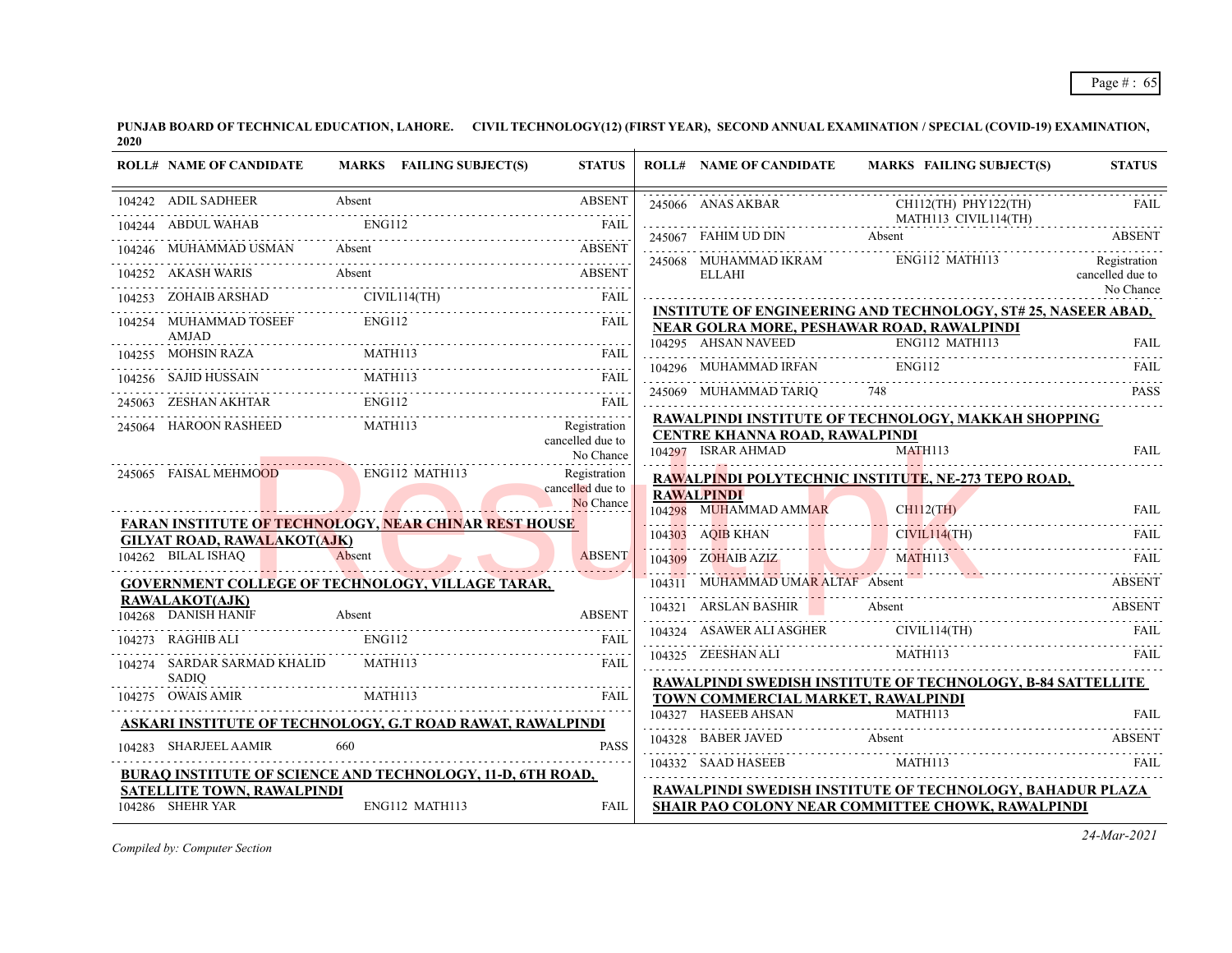| <b>ROLL# NAME OF CANDIDATE</b>               | MARKS FAILING SUBJECT(S)                                                  | <b>STATUS</b>                    | <b>ROLL# NAME OF CANDIDATE</b>                       | <b>MARKS FAILING SUBJECT(S)</b>                                                                                                                                                                                                                                                                                                                                                                                                       | <b>STATUS</b>                 |
|----------------------------------------------|---------------------------------------------------------------------------|----------------------------------|------------------------------------------------------|---------------------------------------------------------------------------------------------------------------------------------------------------------------------------------------------------------------------------------------------------------------------------------------------------------------------------------------------------------------------------------------------------------------------------------------|-------------------------------|
| 104242 ADIL SADHEER                          | Absent                                                                    | <b>ABSENT</b>                    |                                                      | $\begin{tabular}{c c c c} \hline 245066 &ANAS AKBAR & CH112(TH) PHY122(TH) & FAIL \\ \hline \multicolumn{3}{c }{MATH113} & CIVIL114(TH) & FAIL \\ \hline \multicolumn{3}{c }{245067} & FAHIM UD DIN & Absent \\ \hline \multicolumn{3}{c }{Absent} & ABSENT \\ \hline \multicolumn{3}{c }{1222221} & ABSENT \\ \hline \multicolumn{3}{c }{1222221} & ABSENT \\ \hline \multicolumn{3}{c }{1222221} & ABSENT \\ \hline \multicolumn{3$ |                               |
|                                              | 104244 ABDUL WAHAB ENGI12 FAIL FAIL                                       |                                  |                                                      |                                                                                                                                                                                                                                                                                                                                                                                                                                       |                               |
|                                              | 104246 MUHAMMAD USMAN Absent ABSENT ABSENT                                |                                  |                                                      | 245068 MUHAMMAD IKRAM ENG112 MATH113                                                                                                                                                                                                                                                                                                                                                                                                  | Registration                  |
|                                              | 104252 AKASH WARIS Absent ABSENT                                          |                                  | <b>ELLAHI</b>                                        |                                                                                                                                                                                                                                                                                                                                                                                                                                       | cancelled due to<br>No Chance |
|                                              | 104253 ZOHAIB ARSHAD CIVIL114(TH) FAIL FAIL                               |                                  |                                                      | <b>INSTITUTE OF ENGINEERING AND TECHNOLOGY, ST# 25, NASEER ABAD,</b>                                                                                                                                                                                                                                                                                                                                                                  |                               |
| 104254 MUHAMMAD TOSEEF<br>AMJAD              | ENG112                                                                    | FAII.                            |                                                      | <b>NEAR GOLRA MORE, PESHAWAR ROAD, RAWALPINDI</b>                                                                                                                                                                                                                                                                                                                                                                                     |                               |
|                                              | 104255 MOHSIN RAZA MATH113 FAIL PRIMER PRODUCED A THE PRIMER RAZA MATH113 |                                  |                                                      |                                                                                                                                                                                                                                                                                                                                                                                                                                       |                               |
|                                              |                                                                           |                                  |                                                      | NEAR GOLRA MUKE, I ESILAMAN ENGLI2 MATHII3<br>104295 AHSAN NAVEED ENGLI2 MATHII3<br>104295 AHSAN NAVEED ENGLI2 MATHII3 FAIL FAIL                                                                                                                                                                                                                                                                                                      |                               |
|                                              | <b>ENG112</b><br>245063 ZESHAN AKHTAR ENG112 FAIL FAIL                    |                                  |                                                      | 245069 MUHAMMAD TARIQ 748 PASS                                                                                                                                                                                                                                                                                                                                                                                                        |                               |
|                                              | 245064 HAROON RASHEED MATH113                                             | Registration                     |                                                      | RAWALPINDI INSTITUTE OF TECHNOLOGY, MAKKAH SHOPPING                                                                                                                                                                                                                                                                                                                                                                                   |                               |
|                                              |                                                                           | cancelled due to<br>No Chance    | CENTRE KHANNA ROAD, RAWALPINDI<br>104297 ISRAR AHMAD | MATH113                                                                                                                                                                                                                                                                                                                                                                                                                               | <b>FAIL</b>                   |
| 245065 FAISAL MEHMOOD                        | ENG112 MATH113                                                            | Registration                     |                                                      | RAWALPINDI POLYTECHNIC INSTITUTE, NE-273 TEPO ROAD,                                                                                                                                                                                                                                                                                                                                                                                   |                               |
|                                              |                                                                           | cancelled due to<br>No Chance    | <b>RAWALPINDI</b>                                    |                                                                                                                                                                                                                                                                                                                                                                                                                                       |                               |
|                                              | <b>FARAN INSTITUTE OF TECHNOLOGY, NEAR CHINAR REST HOUSE</b>              |                                  |                                                      | 104298 MUHAMMAD AMMAR CHIL2(TH) FAIL                                                                                                                                                                                                                                                                                                                                                                                                  |                               |
| <b>GILYAT ROAD, RAWALAKOT(AJK)</b>           |                                                                           |                                  |                                                      | 104303 AQIB KHAN FAIL CIVIL114(TH) FAIL FAIL                                                                                                                                                                                                                                                                                                                                                                                          |                               |
| 104262 BILAL ISHAQ Absent                    |                                                                           | <b>ABSENT</b><br><b>Aussissi</b> |                                                      | 104309 ZOHAIB AZIZ MATH113                                                                                                                                                                                                                                                                                                                                                                                                            | FAIL                          |
|                                              | <b>GOVERNMENT COLLEGE OF TECHNOLOGY, VILLAGE TARAR,</b>                   |                                  | 104311 MUHAMMAD UMAR ALTAF Absent                    |                                                                                                                                                                                                                                                                                                                                                                                                                                       | <b>ABSENT</b>                 |
| <b>RAWALAKOT(AJK)</b><br>104268 DANISH HANIF | EXAMPLE Absent ABSENT                                                     |                                  |                                                      | 104321 ARSLAN BASHIR Absent ABSENT ABSENT                                                                                                                                                                                                                                                                                                                                                                                             |                               |
| 104273 RAGHIB ALI                            | ENG112                                                                    | FAIL                             |                                                      | 104324 ASAWER ALI ASGHER CIVIL114(TH)                                                                                                                                                                                                                                                                                                                                                                                                 | - FAIL                        |
| 104274 SARDAR SARMAD KHALID                  | MATH113                                                                   | FAIL                             | 104325 ZEESHAN ALI MATH113                           |                                                                                                                                                                                                                                                                                                                                                                                                                                       |                               |
| <b>SADIO</b>                                 |                                                                           |                                  |                                                      | RAWALPINDI SWEDISH INSTITUTE OF TECHNOLOGY, B-84 SATTELLITE                                                                                                                                                                                                                                                                                                                                                                           |                               |
|                                              | 104275 OWAIS AMIR MATH113 FAIL MATH113                                    | FAIL                             | TOWN COMMERCIAL MARKET, RAWALPINDI                   |                                                                                                                                                                                                                                                                                                                                                                                                                                       |                               |
|                                              | <u>ASKARI INSTITUTE OF TECHNOLOGY, G.T ROAD RAWAT, RAWALPINDI</u>         |                                  |                                                      | 104327 HASEEB AHSAN MATHII3 FAIL FAIL                                                                                                                                                                                                                                                                                                                                                                                                 |                               |
| 104283 SHARJEEL AAMIR                        | 660                                                                       | <b>PASS</b>                      | 104328 BABER JAVED Absent                            |                                                                                                                                                                                                                                                                                                                                                                                                                                       | <b>ABSENT</b>                 |
|                                              | <b>BURAQ INSTITUTE OF SCIENCE AND TECHNOLOGY, 11-D, 6TH ROAD,</b>         |                                  | 104332 SAAD HASEEB MATH113                           |                                                                                                                                                                                                                                                                                                                                                                                                                                       |                               |
| SATELLITE TOWN, RAWALPINDI                   |                                                                           |                                  |                                                      | RAWALPINDI SWEDISH INSTITUTE OF TECHNOLOGY, BAHADUR PLAZA                                                                                                                                                                                                                                                                                                                                                                             |                               |
| 104286 SHEHR YAR                             | ENG112 MATH113                                                            | FAIL                             |                                                      | <b>SHAIR PAO COLONY NEAR COMMITTEE CHOWK, RAWALPINDI</b>                                                                                                                                                                                                                                                                                                                                                                              |                               |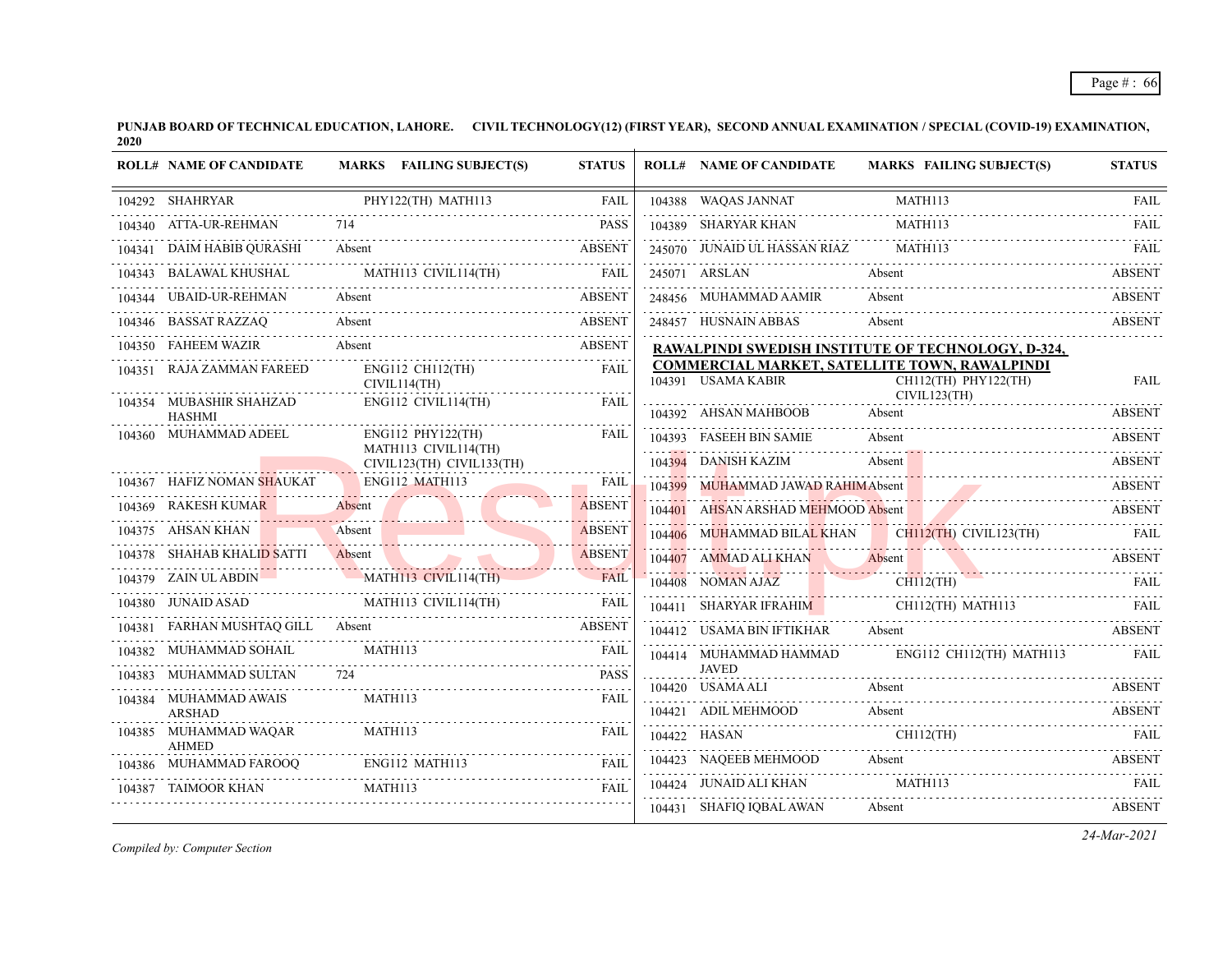|        | <b>ROLL# NAME OF CANDIDATE</b>         | MARKS FAILING SUBJECT(S)                                          | <b>STATUS</b> | <b>ROLL# NAME OF CANDIDATE</b>     | <b>MARKS FAILING SUBJECT(S)</b>                                                       | <b>STATUS</b> |
|--------|----------------------------------------|-------------------------------------------------------------------|---------------|------------------------------------|---------------------------------------------------------------------------------------|---------------|
|        | 104292 SHAHRYAR                        | PHY122(TH) MATH113                                                | FAIL          | 104388 WAQAS JANNAT                | MATH113                                                                               | <b>FAIL</b>   |
|        | 104340 ATTA-UR-REHMAN                  | 714                                                               | <b>PASS</b>   | 104389 SHARYAR KHAN                | MATH113                                                                               | <b>FAIL</b>   |
|        | 104341 DAIM HABIB QURASHI              | Absent                                                            | ABSENT        | 245070 JUNAID UL HASSAN RIAZ       | MATH113                                                                               | <b>FAIL</b>   |
|        |                                        | 104343 BALAWAL KHUSHAL MATH113 CIVIL114(TH) FAIL                  |               | 245071 ARSLAN                      | Absent                                                                                | <b>ABSENT</b> |
|        | 104344 UBAID-UR-REHMAN                 | Absent                                                            | <b>ABSENT</b> | 248456 MUHAMMAD AAMIR              | Absent                                                                                | <b>ABSENT</b> |
|        |                                        | 104346 BASSAT RAZZAQ Absent ABSENT                                |               | 248457 HUSNAIN ABBAS               | Absent                                                                                | <b>ABSENT</b> |
|        | 104350 FAHEEM WAZIR Absent             |                                                                   | <b>ABSENT</b> |                                    | RAWALPINDI SWEDISH INSTITUTE OF TECHNOLOGY, D-324,                                    |               |
|        | 104351 RAJA ZAMMAN FAREED              | ENG112 CH112(TH)<br>CIVIL114(TH)<br>.                             | <b>FAIL</b>   | 104391 USAMA KABIR                 | COMMERCIAL MARKET, SATELLITE TOWN, RAWALPINDI<br>CH112(TH) PHY122(TH)<br>CIVIL123(TH) | <b>FAIL</b>   |
|        | 104354 MUBASHIR SHAHZAD<br>HASHMI      | ENG112 CIVIL114(TH)                                               | FAIL          | 104392 AHSAN MAHBOOB Absent        |                                                                                       | <b>ABSENT</b> |
|        | 104360 MUHAMMAD ADEEL                  | ENG112 PHY122(TH)                                                 | FAIL          | 104393 FASEEH BIN SAMIE            | Absent                                                                                | <b>ABSENT</b> |
|        |                                        | MATH113 CIVIL114(TH)<br>CIVIL123(TH) CIVIL133(TH)                 |               | 104394 DANISH KAZIM                | Absent                                                                                | ABSENT        |
|        | 104367 HAFIZ NOMAN SHAUKAT             | ENG112 MATH113                                                    | <b>FAIL</b>   | 104399 MUHAMMAD JAWAD RAHIMAbsent  |                                                                                       | ABSENT        |
|        | 104369 RAKESH KUMAR                    | Absent                                                            | <b>ABSENT</b> | 104401 AHSAN ARSHAD MEHMOOD Absent |                                                                                       | <b>ABSENT</b> |
|        | 104375 AHSAN KHAN                      | Absent                                                            | <b>ABSENT</b> |                                    | 104406 MUHAMMAD BILAL KHAN CH112(TH) CIVIL123(TH)<br><u>Energin</u> , Crymas, (111)   |               |
|        | 104378 SHAHAB KHALID SATTI             | Absent                                                            | <b>ABSENT</b> |                                    | 104407 AMMAD ALI KHAN Absent ABSENT                                                   |               |
|        | 104379 ZAIN ULABDIN                    | MATH113 CIVIL114(TH)                                              | <b>FAIL</b>   | 104408 NOMAN AJAZ                  | 104408 NOMAN AJAZ CHI12(TH) FAIL                                                      |               |
|        | 104380 JUNAID ASAD                     | TUNAID ASAD MATHI13 CIVILI14(TH) FAIL                             |               |                                    | 104411 SHARYAR IFRAHIM CHII2(TH) MATHII3 FAIL                                         |               |
|        | 104381 FARHAN MUSHTAQ GILL Absent      |                                                                   | ABSENT        |                                    | 104412 USAMA BIN IFTIKHAR Absent ABSENT                                               |               |
|        | 104382 MUHAMMAD SOHAIL                 | MATH113                                                           | <b>FAIL</b>   | 104414 MUHAMMAD HAMMAD             | ENG112 CH112(TH) MATH113                                                              | FAIL          |
|        | 104383 MUHAMMAD SULTAN 724             |                                                                   | <b>PASS</b>   | <b>JAVED</b><br>104420 USAMA ALI   | Absent                                                                                | ABSENT        |
|        | 104384 MUHAMMAD AWAIS<br><b>ARSHAD</b> | MATH113                                                           | FAIL          |                                    |                                                                                       |               |
|        | 104385 MUHAMMAD WAQAR                  | MATH113                                                           | <b>FAIL</b>   | 104422 HASAN                       | 104421 ADIL MEHMOOD Absent ABSENT<br>CH112(TH)<br><b>EXAMPLE 2018 THE STATE STATE</b> |               |
|        | <b>AHMED</b>                           |                                                                   | FAIL          | 104423 NAQEEB MEHMOOD Absent       |                                                                                       | <b>ABSENT</b> |
| 104387 | <b>TAIMOOR KHAN</b>                    | 104386 MUHAMMAD FAROOQ ENG112 MATH113 FAIL<br>MATH <sub>113</sub> | FAIL          | 104424 JUNAID ALI KHAN             | MATH113                                                                               | FAIL          |
|        |                                        |                                                                   |               | 104431 SHAFIQ IQBAL AWAN           | Absent                                                                                | <b>ABSENT</b> |

*Compiled by: Computer Section*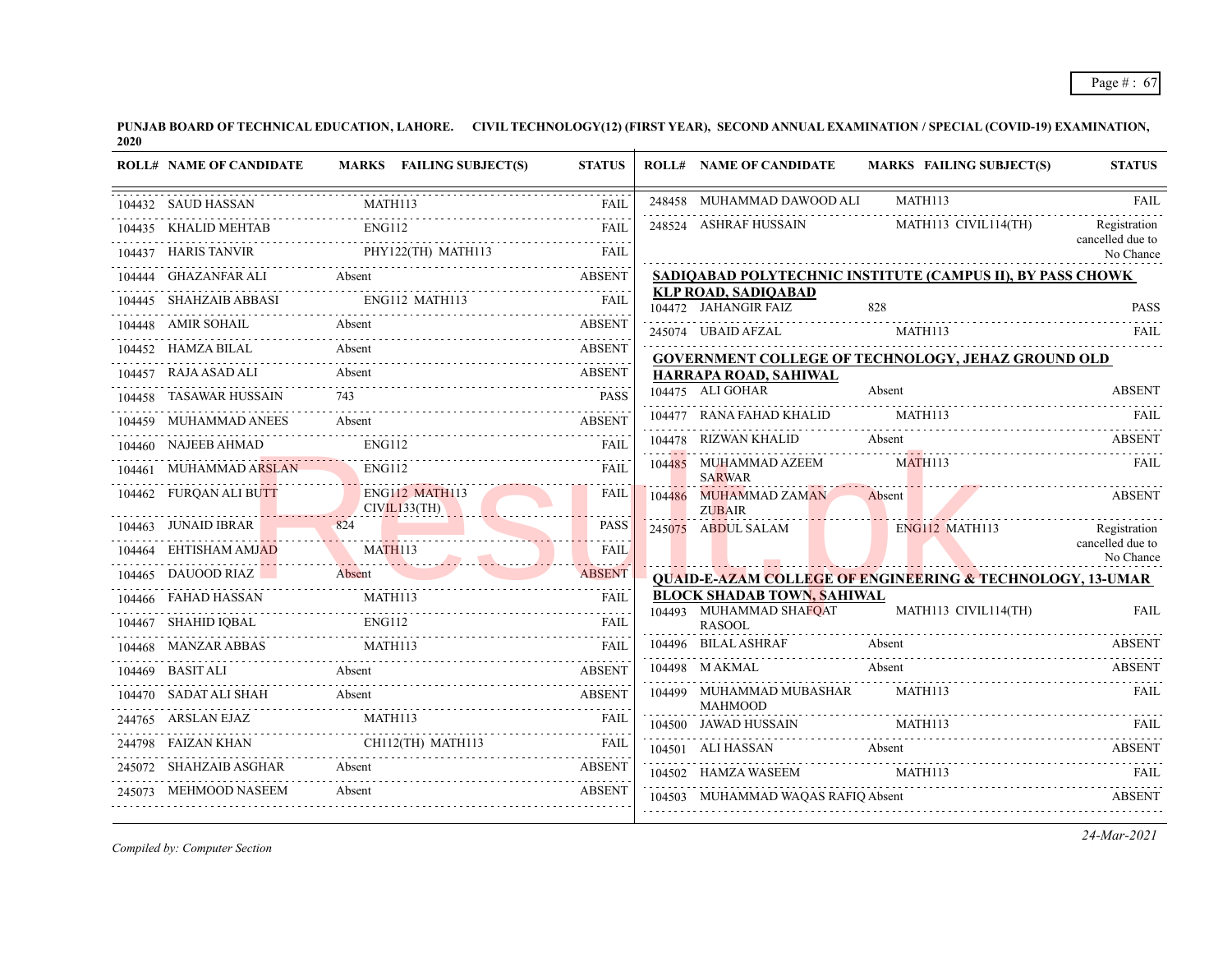| <b>ROLL# NAME OF CANDIDATE</b> | <b>MARKS</b> FAILING SUBJECT(S)                                                                                                                                                                                                                                                                                                                                                                                                                                                  | <b>STATUS</b>    | <b>ROLL# NAME OF CANDIDATE</b>                               | <b>MARKS FAILING SUBJECT(S)</b>                                      | <b>STATUS</b>                 |
|--------------------------------|----------------------------------------------------------------------------------------------------------------------------------------------------------------------------------------------------------------------------------------------------------------------------------------------------------------------------------------------------------------------------------------------------------------------------------------------------------------------------------|------------------|--------------------------------------------------------------|----------------------------------------------------------------------|-------------------------------|
| 104432 SAUD HASSAN             | MATH113                                                                                                                                                                                                                                                                                                                                                                                                                                                                          | <b>FAIL</b>      | 248458 MUHAMMAD DAWOOD ALI                                   | MATH113                                                              | <b>FAIL</b>                   |
|                                | ENG112                                                                                                                                                                                                                                                                                                                                                                                                                                                                           | FAII.            | 248524 ASHRAF HUSSAIN                                        | MATH113 CIVIL114(TH)                                                 | .<br>Registration             |
|                                | $\begin{tabular}{llllll} \multicolumn{2}{l}{} & \multicolumn{2}{l}{} & \multicolumn{2}{l}{} & \multicolumn{2}{l}{} & \multicolumn{2}{l}{} & \multicolumn{2}{l}{} & \multicolumn{2}{l}{} & \multicolumn{2}{l}{} & \multicolumn{2}{l}{} & \multicolumn{2}{l}{} & \multicolumn{2}{l}{} & \multicolumn{2}{l}{} & \multicolumn{2}{l}{} & \multicolumn{2}{l}{} & \multicolumn{2}{l}{} & \multicolumn{2}{l}{} & \multicolumn{2}{l}{} & \multicolumn{2}{l}{} & \multicolumn{2}{l}{} & \$ |                  |                                                              |                                                                      | cancelled due to<br>No Chance |
|                                |                                                                                                                                                                                                                                                                                                                                                                                                                                                                                  |                  |                                                              | SADIQABAD POLYTECHNIC INSTITUTE (CAMPUS II), BY PASS CHOWK           |                               |
|                                |                                                                                                                                                                                                                                                                                                                                                                                                                                                                                  |                  | <b>KLP ROAD, SADIQABAD</b>                                   |                                                                      |                               |
| 104448 AMIR SOHAIL             | <b>Absent</b>                                                                                                                                                                                                                                                                                                                                                                                                                                                                    | <b>ABSENT</b>    | 245074 UBAID AFZAL MATH113                                   | 104472 JAHANGIR FAIZ 828 PASS                                        | FAIL                          |
| 104452 HAMZA BILAL             | Absent                                                                                                                                                                                                                                                                                                                                                                                                                                                                           | <b>ABSENT</b>    |                                                              | <b>GOVERNMENT COLLEGE OF TECHNOLOGY, JEHAZ GROUND OLD</b>            |                               |
|                                | 104457    RAJA ASAD ALI    Absent    A    A    A    A    C    A    C    A    C    C    C    C    C    C    C                                                                                                                                                                                                                                                                                                                                                                     | ABSENT           | HARRAPA ROAD, SAHIWAL                                        |                                                                      |                               |
| 104458 TASAWAR HUSSAIN         | 743                                                                                                                                                                                                                                                                                                                                                                                                                                                                              | <b>PASS</b>      | 104475 ALI GOHAR                                             | Absent                                                               | <b>ABSENT</b>                 |
| 104459 MUHAMMAD ANEES          | 4459 MUHAMMAD ANEES Absent ABSENT ABSENT                                                                                                                                                                                                                                                                                                                                                                                                                                         |                  | 104477 RANA FAHAD KHALID MATH113                             |                                                                      | <b>FAIL</b>                   |
| 104460 NAJEEB AHMAD            | ENG112<br>04460 NAJEEB AHMAD ENG112 FAIL FAIL                                                                                                                                                                                                                                                                                                                                                                                                                                    | <b>FAIL</b>      | 104478 RIZWAN KHALID                                         | Absent                                                               | <b>ABSENT</b>                 |
| 104461 MUHAMMAD ARSLAN ENGI12  |                                                                                                                                                                                                                                                                                                                                                                                                                                                                                  | <b>FAIL</b>      | 104485 MUHAMMAD AZEEM<br><b>SARWAR</b>                       | MATH113                                                              | FAIL                          |
| CIVIL133(TH)                   | 104462 FURQAN ALI BUTT ENG112 MATH113                                                                                                                                                                                                                                                                                                                                                                                                                                            | FAIL             | 104486 MUHAMMAD ZAMAN Absent<br><b>ZUBAIR</b>                |                                                                      | <b>ABSENT</b>                 |
|                                | 104463 JUNAID IBRAR 824                                                                                                                                                                                                                                                                                                                                                                                                                                                          | <b>PASS</b>      |                                                              | 245075 ABDUL SALAM ENG112 MATH113                                    | Registration                  |
|                                | 104464 EHTISHAM AMJAD MATHI13                                                                                                                                                                                                                                                                                                                                                                                                                                                    | <b>FAIL</b><br>. |                                                              |                                                                      | cancelled due to<br>No Chance |
| 104465 DAUOOD RIAZ Absent      |                                                                                                                                                                                                                                                                                                                                                                                                                                                                                  | <b>ABSENT</b>    |                                                              | <b>QUAID-E-AZAM COLLEGE OF ENGINEERING &amp; TECHNOLOGY, 13-UMAR</b> |                               |
|                                | 104466 FAHAD HASSAN MATH113 FAIL                                                                                                                                                                                                                                                                                                                                                                                                                                                 |                  | <b>BLOCK SHADAB TOWN, SAHIWAL</b><br>104493 MUHAMMAD SHAFQAT | MATH113 CIVIL114(TH)                                                 | <b>FAIL</b>                   |
|                                | 104467 SHAHID IQBAL ENG112 FAIL FAIL                                                                                                                                                                                                                                                                                                                                                                                                                                             |                  | <b>RASOOL</b>                                                |                                                                      |                               |
| 104468 MANZAR ABBAS MATH113    |                                                                                                                                                                                                                                                                                                                                                                                                                                                                                  | FAIL             |                                                              | 104496 BILAL ASHRAF Absent ABSENT ABSENT                             |                               |
| 104469 BASIT ALI Absent        |                                                                                                                                                                                                                                                                                                                                                                                                                                                                                  | <b>ABSENT</b>    | 104498 M AKMAL Absent                                        |                                                                      | <b>ABSENT</b>                 |
|                                | 104470 SADAT ALI SHAH Absent ABSENT ABSENT                                                                                                                                                                                                                                                                                                                                                                                                                                       |                  | 104499 MUHAMMAD MUBASHAR MATH113<br><b>MAHMOOD</b>           |                                                                      | FAIL                          |
|                                | 244765 ARSLAN EJAZ MATH113 FAIL                                                                                                                                                                                                                                                                                                                                                                                                                                                  | FAIL             |                                                              | 104500 JAWAD HUSSAIN MATH113 FAIL PRIME                              |                               |
|                                | 244798 FAIZAN KHAN CHII2(TH) MATHI13 FAIL                                                                                                                                                                                                                                                                                                                                                                                                                                        |                  |                                                              | 104501 ALI HASSAN Absent ABSENT ABSENT                               |                               |
| 245072 SHAHZAIB ASGHAR Absent  | 45072 SHAHZAIB ASGHAR Absent ABSENT ABSENT                                                                                                                                                                                                                                                                                                                                                                                                                                       |                  | 104502 HAMZA WASEEM MATH113                                  |                                                                      | <b>EAIL</b>                   |
| 245073 MEHMOOD NASEEM          | 45073 MEHMOOD NASEEM Absent ABSENT                                                                                                                                                                                                                                                                                                                                                                                                                                               |                  |                                                              | 104503 MUHAMMAD WAQAS RAFIQ Absent ABSENT                            |                               |

*Compiled by: Computer Section*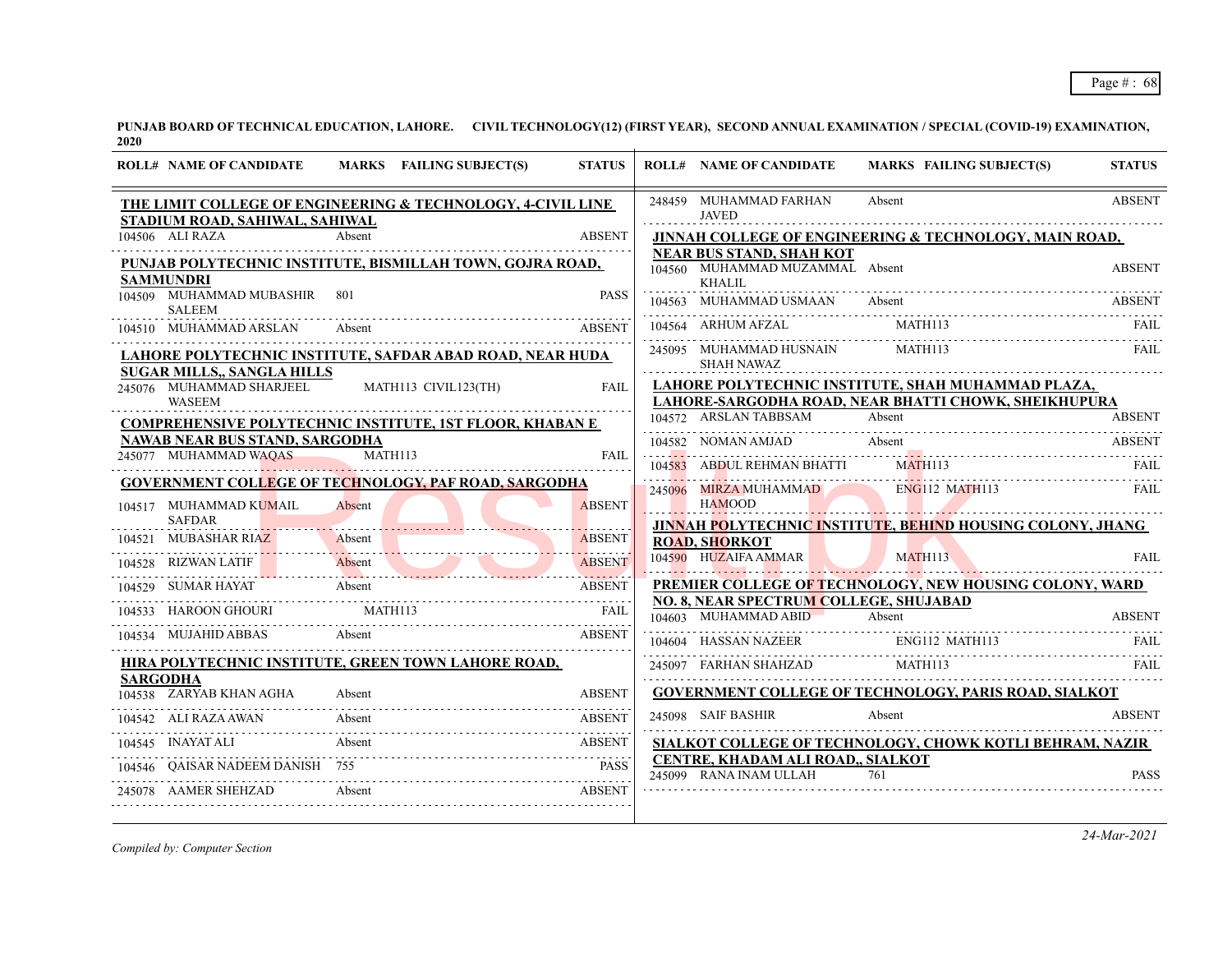| <b>ROLL# NAME OF CANDIDATE</b>                                                 | MARKS FAILING SUBJECT(S)                                              | <b>STATUS</b>                  | <b>ROLL# NAME OF CANDIDATE</b>                                     | <b>MARKS FAILING SUBJECT(S)</b>                                                                            | <b>STATUS</b> |
|--------------------------------------------------------------------------------|-----------------------------------------------------------------------|--------------------------------|--------------------------------------------------------------------|------------------------------------------------------------------------------------------------------------|---------------|
| STADIUM ROAD, SAHIWAL, SAHIWAL                                                 | THE LIMIT COLLEGE OF ENGINEERING & TECHNOLOGY, 4-CIVIL LINE           |                                | 248459 MUHAMMAD FARHAN<br><b>JAVED</b>                             | Absent                                                                                                     | <b>ABSENT</b> |
| 104506 ALI RAZA                                                                | Absent                                                                | <b>ABSENT</b>                  |                                                                    | JINNAH COLLEGE OF ENGINEERING & TECHNOLOGY, MAIN ROAD,                                                     |               |
| <b>SAMMUNDRI</b>                                                               | PUNJAB POLYTECHNIC INSTITUTE, BISMILLAH TOWN, GOJRA ROAD,             |                                | <b>NEAR BUS STAND, SHAH KOT</b><br>104560 MUHAMMAD MUZAMMAL Absent |                                                                                                            | <b>ABSENT</b> |
| 104509 MUHAMMAD MUBASHIR<br><b>SALEEM</b>                                      | 801                                                                   | <b>PASS</b>                    | KHALIL<br>104563 MUHAMMAD USMAAN                                   | Absent                                                                                                     | ABSENT        |
| 104510 MUHAMMAD ARSLAN                                                         | Absent                                                                | <b>ABSENT</b>                  | 104564 ARHUM AFZAL                                                 | MATH113                                                                                                    | <b>FAIL</b>   |
|                                                                                | LAHORE POLYTECHNIC INSTITUTE, SAFDAR ABAD ROAD, NEAR HUDA             |                                | 245095 MUHAMMAD HUSNAIN<br><b>SHAH NAWAZ</b>                       | MATH113                                                                                                    | <b>FAIL</b>   |
| <b>SUGAR MILLS,, SANGLA HILLS</b><br>245076 MUHAMMAD SHARJEEL<br><b>WASEEM</b> | MATH113 CIVIL123(TH)                                                  | FAII.                          |                                                                    | LAHORE POLYTECHNIC INSTITUTE, SHAH MUHAMMAD PLAZA,<br>LAHORE-SARGODHA ROAD, NEAR BHATTI CHOWK, SHEIKHUPURA |               |
|                                                                                | <b>COMPREHENSIVE POLYTECHNIC INSTITUTE, 1ST FLOOR, KHABAN E</b>       |                                | 104572 ARSLAN TABBSAM                                              | Absent                                                                                                     | <b>ABSENT</b> |
| <b>NAWAB NEAR BUS STAND, SARGODHA</b><br>245077 MUHAMMAD WAOAS                 | MATH113                                                               | FAIL                           | 104582 NOMAN AMJAD                                                 | Absent                                                                                                     | ABSENT        |
|                                                                                |                                                                       |                                | 104583 ABDUL REHMAN BHATTI                                         | MATH113                                                                                                    | FAIL          |
| 104517 MUHAMMAD KUMAIL                                                         | <b>GOVERNMENT COLLEGE OF TECHNOLOGY, PAF ROAD, SARGODHA</b><br>Absent | <b>ABSENT</b>                  | 245096 MIRZA MUHAMMAD<br><b>HAMOOD</b>                             | <b>ENG112 MATH113</b>                                                                                      | <b>FAIL</b>   |
| <b>SAFDAR</b>                                                                  |                                                                       | .                              |                                                                    | JINNAH POLYTECHNIC INSTITUTE, BEHIND HOUSING COLONY, JHANG                                                 |               |
| 104521 MUBASHAR RIAZ<br>104528 RIZWAN LATIF                                    | Absent<br>Absent                                                      | <b>ABSENT</b><br><b>ABSENT</b> | <b>ROAD, SHORKOT</b><br>104590 HUZAIFA AMMAR                       | <b>MATH113</b>                                                                                             | FAII.         |
| 104529 SUMAR HAYAT                                                             | Absent                                                                | <b>ABSENT</b>                  |                                                                    | PREMIER COLLEGE OF TECHNOLOGY, NEW HOUSING COLONY, WARD                                                    |               |
| 104533 HAROON GHOURI                                                           | <b>MATH113</b>                                                        | FAIL                           | NO. 8, NEAR SPECTRUM COLLEGE, SHUJABAD<br>104603 MUHAMMAD ABID     | Absent                                                                                                     | <b>ABSENT</b> |
| 104534 MUJAHID ABBAS                                                           | Absent                                                                | <b>ABSENT</b>                  | 104604 HASSAN NAZEER                                               | ENG112 MATH113                                                                                             | FAIL          |
|                                                                                | HIRA POLYTECHNIC INSTITUTE, GREEN TOWN LAHORE ROAD,                   |                                | 245097 FARHAN SHAHZAD                                              | MATH113                                                                                                    | <b>FAIL</b>   |
| <b>SARGODHA</b><br>104538 ZARYAB KHAN AGHA                                     | Absent                                                                | <b>ABSENT</b>                  |                                                                    | <b>GOVERNMENT COLLEGE OF TECHNOLOGY, PARIS ROAD, SIALKOT</b>                                               |               |
| 104542 ALI RAZA AWAN                                                           | Absent                                                                | <b>ABSENT</b>                  | 245098 SAIF BASHIR                                                 | Absent                                                                                                     | <b>ABSENT</b> |
| 104545 INAYAT ALI                                                              | Absent                                                                | ABSENT                         |                                                                    | SIALKOT COLLEGE OF TECHNOLOGY, CHOWK KOTLI BEHRAM, NAZIR                                                   |               |
| 104546 OAISAR NADEEM DANISH 755                                                |                                                                       | <b>PASS</b>                    | CENTRE, KHADAM ALI ROAD., SIALKOT                                  |                                                                                                            |               |
| 245078 AAMER SHEHZAD                                                           | Absent<br><b>Example 2018</b> ABSENT                                  |                                | 245099 RANA INAM ULLAH                                             | 761                                                                                                        | <b>PASS</b>   |

*Compiled by: Computer Section*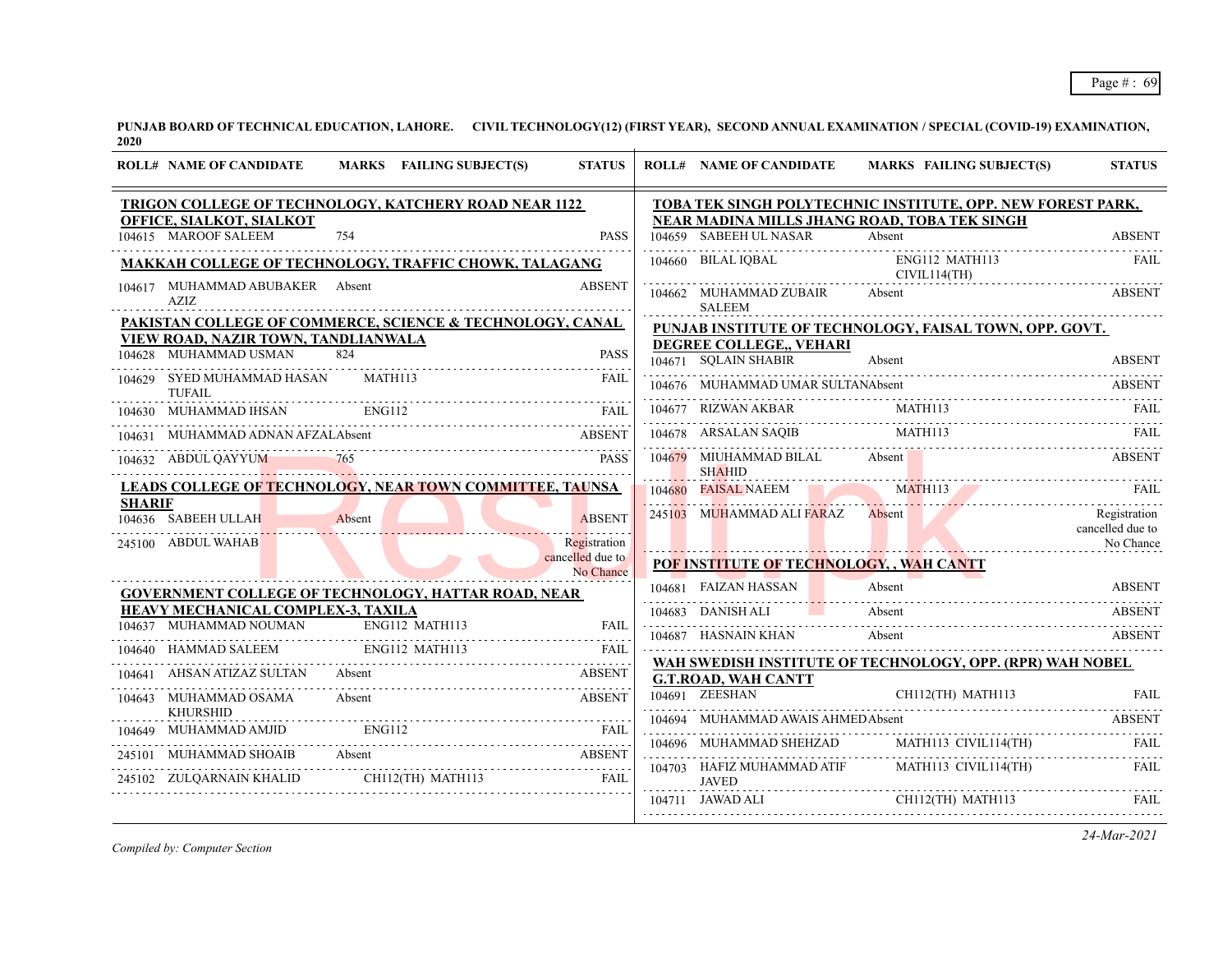|               | <b>ROLL# NAME OF CANDIDATE</b>                                                                                                                                                                                                                        | MARKS FAILING SUBJECT(S) | <b>STATUS</b>                 | <b>ROLL# NAME OF CANDIDATE</b>                 | <b>MARKS FAILING SUBJECT(S)</b>                                      | <b>STATUS</b>                    |
|---------------|-------------------------------------------------------------------------------------------------------------------------------------------------------------------------------------------------------------------------------------------------------|--------------------------|-------------------------------|------------------------------------------------|----------------------------------------------------------------------|----------------------------------|
|               | TRIGON COLLEGE OF TECHNOLOGY, KATCHERY ROAD NEAR 1122                                                                                                                                                                                                 |                          |                               |                                                | TOBA TEK SINGH POLYTECHNIC INSTITUTE, OPP. NEW FOREST PARK,          |                                  |
|               | OFFICE, SIALKOT, SIALKOT                                                                                                                                                                                                                              |                          |                               | 104659 SABEEH UL NASAR                         | NEAR MADINA MILLS JHANG ROAD, TOBA TEK SINGH                         |                                  |
|               | 104615 MAROOF SALEEM                                                                                                                                                                                                                                  | 754                      | <b>PASS</b>                   |                                                | Absent                                                               | <b>ABSENT</b>                    |
|               | MAKKAH COLLEGE OF TECHNOLOGY, TRAFFIC CHOWK, TALAGANG                                                                                                                                                                                                 |                          |                               | 104660 BILAL IQBAL                             | ENG112 MATH113<br>CIVIL114(TH)                                       | FAIL                             |
|               | 104617 MUHAMMAD ABUBAKER Absent<br><b>AZIZ</b>                                                                                                                                                                                                        |                          | <b>ABSENT</b>                 | 104662 MUHAMMAD ZUBAIR<br><b>SALEEM</b>        | Absent                                                               | <b>ABSENT</b>                    |
|               | PAKISTAN COLLEGE OF COMMERCE, SCIENCE & TECHNOLOGY, CANAL                                                                                                                                                                                             |                          |                               |                                                | PUNJAB INSTITUTE OF TECHNOLOGY, FAISAL TOWN, OPP. GOVT.              |                                  |
|               | <b>VIEW ROAD, NAZIR TOWN, TANDLIANWALA</b>                                                                                                                                                                                                            |                          |                               | DEGREE COLLEGE., VEHARI                        |                                                                      |                                  |
|               | 104628 MUHAMMAD USMAN                                                                                                                                                                                                                                 | 824                      | PASS                          | 104671 SOLAIN SHABIR                           | Absent                                                               | <b>ABSENT</b>                    |
|               | 104629 SYED MUHAMMAD HASAN<br><b>TUFAIL</b>                                                                                                                                                                                                           | MATH113                  | FAII.                         | 104676 MUHAMMAD UMAR SULTANAbsent              |                                                                      | ABSENT                           |
|               | 104630 MUHAMMAD IHSAN                                                                                                                                                                                                                                 | ENG112                   | <b>FAIL</b>                   | 104677 RIZWAN AKBAR                            | MATH113                                                              |                                  |
|               | 104631 MUHAMMAD ADNAN AFZALAbsent                                                                                                                                                                                                                     |                          | <b>ABSENT</b>                 |                                                | ARSALAN SAQIB MATH113 FAIL<br>104678 ARSALAN SAQIB MATHI13 FAIL FAIL |                                  |
|               | 104632 ABDUL QAYYUM                                                                                                                                                                                                                                   | 765                      | <b>PASS</b>                   | 104679 MIUHAMMAD BILAL Absent<br><b>SHAHID</b> |                                                                      | <b>ABSENT</b>                    |
|               | LEADS COLLEGE OF TECHNOLOGY, NEAR TOWN COMMITTEE, TAUNSA                                                                                                                                                                                              |                          |                               | 104680 FAISAL NAEEM                            | MATH113<br>MATH113 FAIL                                              |                                  |
| <b>SHARIF</b> | 104636 SABEEH ULLAH                                                                                                                                                                                                                                   | Absent                   | <b>ABSENT</b>                 | 245103 MUHAMMAD ALI FARAZ                      | Absent                                                               | Registration<br>cancelled due to |
|               | 245100 ABDUL WAHAB                                                                                                                                                                                                                                    |                          | .<br>Registration             |                                                |                                                                      | No Chance                        |
|               |                                                                                                                                                                                                                                                       |                          | cancelled due to<br>No Chance | POF INSTITUTE OF TECHNOLOGY, , WAH CANTT       |                                                                      |                                  |
|               | GOVERNMENT COLLEGE OF TECHNOLOGY, HATTAR ROAD, NEAR                                                                                                                                                                                                   |                          |                               | 104681 FAIZAN HASSAN                           | Absent                                                               | <b>ABSENT</b>                    |
|               | HEAVY MECHANICAL COMPLEX-3, TAXILA                                                                                                                                                                                                                    |                          |                               | 104683 DANISH ALI                              | Absent                                                               | ABSENT                           |
|               | 104637 MUHAMMAD NOUMAN                                                                                                                                                                                                                                | ENG112 MATH113           | <b>FAIL</b>                   | 104687 HASNAIN KHAN                            | Absent                                                               | ABSENT                           |
|               | 104640 HAMMAD SALEEM                                                                                                                                                                                                                                  | ENG112 MATH113           | <b>FAIL</b>                   |                                                |                                                                      |                                  |
| 104641        | AHSAN ATIZAZ SULTAN                                                                                                                                                                                                                                   | Absent                   | <b>ABSENT</b>                 | <b>G.T.ROAD, WAH CANTT</b>                     | WAH SWEDISH INSTITUTE OF TECHNOLOGY, OPP. (RPR) WAH NOBEL            |                                  |
|               | 104643 MUHAMMAD OSAMA<br><b>KHURSHID</b>                                                                                                                                                                                                              | Absent                   | <b>ABSENT</b>                 | 104691 ZEESHAN                                 | CH112(TH) MATH113                                                    | <b>FAIL</b>                      |
| 104649        | MUHAMMAD AMJID                                                                                                                                                                                                                                        | <b>ENG112</b>            | <b>FAIL</b>                   | 104694 MUHAMMAD AWAIS AHMED Absent             |                                                                      | ABSENT                           |
|               |                                                                                                                                                                                                                                                       |                          |                               |                                                | 104696 MUHAMMAD SHEHZAD MATH113 CIVIL114(TH)                         |                                  |
|               | $\begin{tabular}{lllllllllll} \multicolumn{2}{l}{{\bf 245101}} & {\bf MUHAMMAD SHOAIB} & \textbf{Absent} & \textbf{ABSENT} \\ \multicolumn{2}{l}{\bf 245102} & {\bf ZULQARNAIN KHALID} & \textbf{CH112(TH) MATH113} & \textbf{FAIL} \\ \end{tabular}$ |                          |                               | 104703 HAFIZ MUHAMMAD ATIF<br><b>JAVED</b>     | MATH113 CIVIL114(TH)                                                 | FAIL                             |
|               |                                                                                                                                                                                                                                                       |                          |                               | 104711 JAWAD ALI                               | CH112(TH) MATH113                                                    | FAII.                            |

*Compiled by: Computer Section*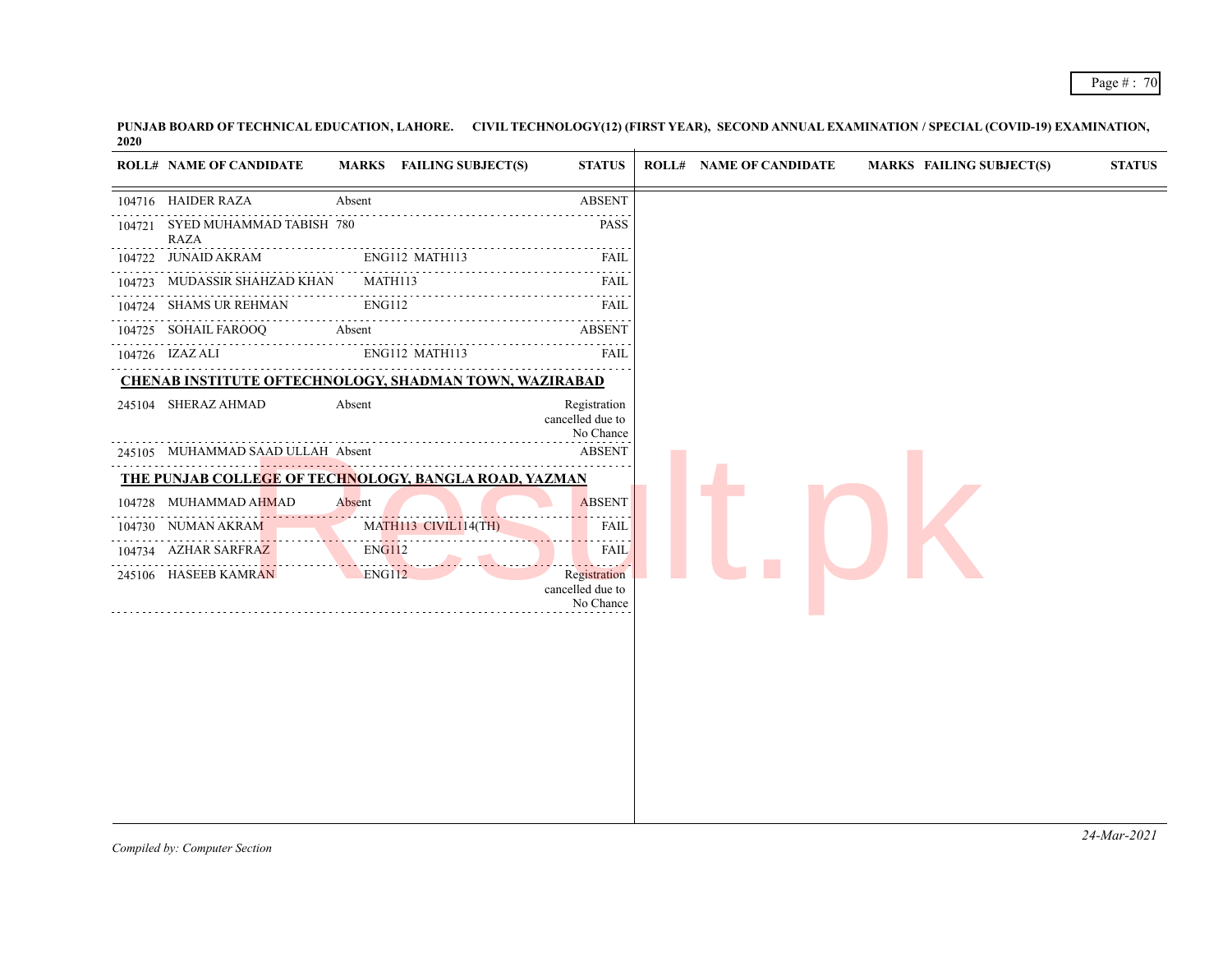| 104722<br>104723<br>104726 IZAZ ALI | <b>ROLL# NAME OF CANDIDATE</b><br>104716 HAIDER RAZA<br>104721 SYED MUHAMMAD TABISH 780<br><b>RAZA</b><br><b>JUNAID AKRAM</b><br>MUDASSIR SHAHZAD KHAN<br>104724 SHAMS UR REHMAN<br>104725 SOHAIL FAROOQ | MARKS FAILING SUBJECT(S)<br>Absent<br>ENG112 MATH113<br>MATH113<br>ENG112<br>Absent | <b>STATUS</b><br><b>ABSENT</b><br><b>PASS</b><br>FAIL<br>FAIL<br><b>FAIL</b> | <b>ROLL# NAME OF CANDIDATE</b> | <b>MARKS FAILING SUBJECT(S)</b> | <b>STATUS</b> |
|-------------------------------------|----------------------------------------------------------------------------------------------------------------------------------------------------------------------------------------------------------|-------------------------------------------------------------------------------------|------------------------------------------------------------------------------|--------------------------------|---------------------------------|---------------|
|                                     |                                                                                                                                                                                                          |                                                                                     |                                                                              |                                |                                 |               |
|                                     |                                                                                                                                                                                                          |                                                                                     |                                                                              |                                |                                 |               |
|                                     |                                                                                                                                                                                                          |                                                                                     |                                                                              |                                |                                 |               |
|                                     |                                                                                                                                                                                                          |                                                                                     |                                                                              |                                |                                 |               |
|                                     |                                                                                                                                                                                                          |                                                                                     |                                                                              |                                |                                 |               |
|                                     |                                                                                                                                                                                                          |                                                                                     |                                                                              |                                |                                 |               |
|                                     |                                                                                                                                                                                                          |                                                                                     | <b>ABSENT</b>                                                                |                                |                                 |               |
|                                     |                                                                                                                                                                                                          | ENG112 MATH113                                                                      | FAIL                                                                         |                                |                                 |               |
|                                     |                                                                                                                                                                                                          | <b>CHENAB INSTITUTE OFTECHNOLOGY, SHADMAN TOWN, WAZIRABAD</b>                       |                                                                              |                                |                                 |               |
|                                     | 245104 SHERAZ AHMAD                                                                                                                                                                                      | Absent                                                                              | Registration<br>cancelled due to<br>No Chance                                |                                |                                 |               |
|                                     | 245105 MUHAMMAD SAAD ULLAH Absent                                                                                                                                                                        |                                                                                     | <b>ABSENT</b>                                                                |                                |                                 |               |
|                                     |                                                                                                                                                                                                          | <u>THE PUNJAB COLLEGE OF TECHNOLOGY, BANGLA ROAD, YAZMAN</u>                        |                                                                              |                                |                                 |               |
|                                     | 104728 MUHAMMAD AHMAD                                                                                                                                                                                    | Absent                                                                              | <b>ABSENT</b>                                                                |                                |                                 |               |
|                                     | 104730 NUMAN AKRAM                                                                                                                                                                                       | MATH113 CIVIL114(TH)                                                                | FAIL                                                                         |                                |                                 |               |
|                                     | .<br>the contract of the contract of the contract of the contract of<br>104734 AZHAR SARFRAZ                                                                                                             | <b>ENG112</b>                                                                       | FAIL                                                                         |                                |                                 |               |
|                                     | 245106 HASEEB KAMRAN                                                                                                                                                                                     | Advanced and A<br>ENG112                                                            | Registration<br>cancelled due to                                             |                                |                                 |               |
|                                     |                                                                                                                                                                                                          |                                                                                     | No Chance                                                                    |                                |                                 |               |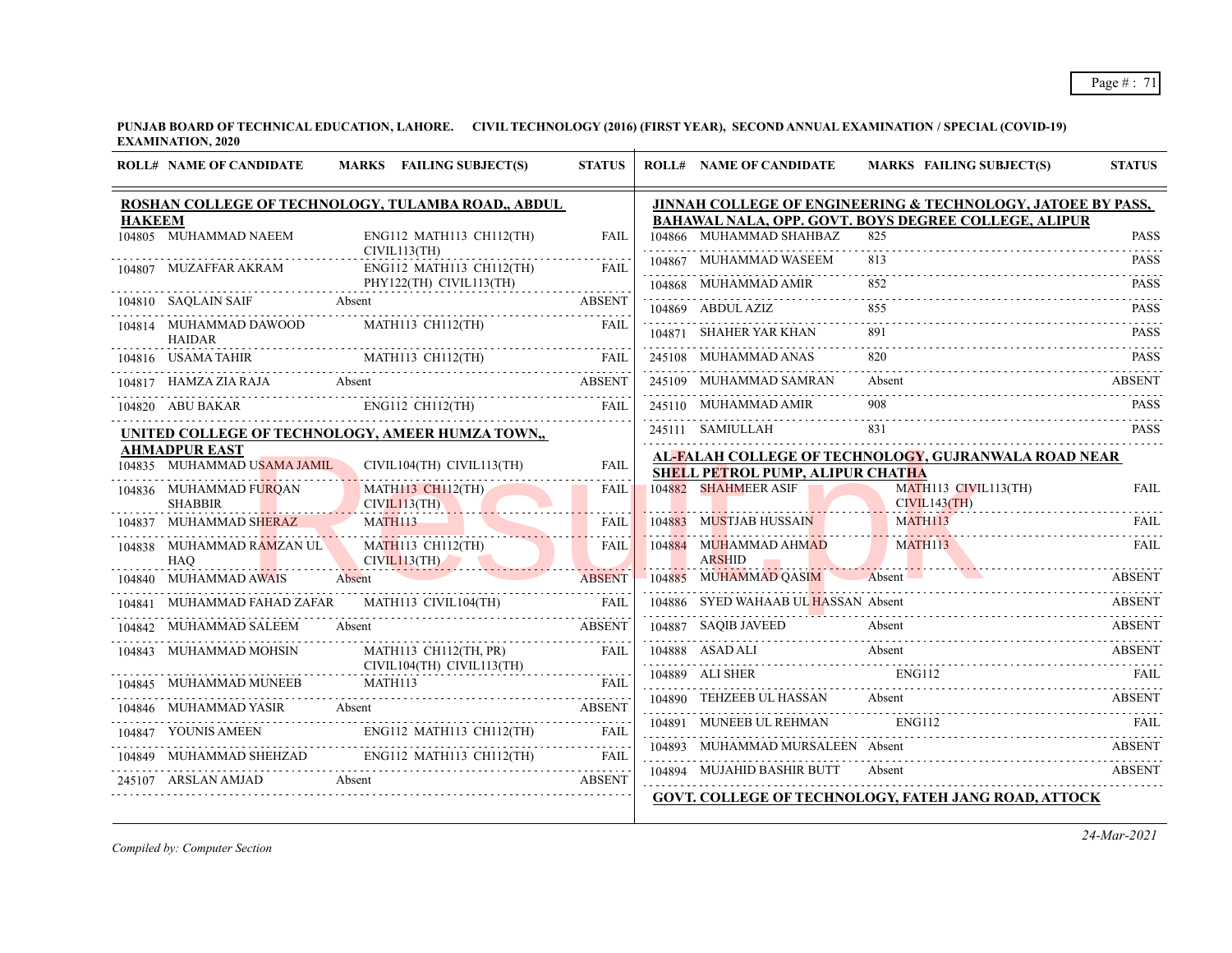|               |                                          | ROSHAN COLLEGE OF TECHNOLOGY, TULAMBA ROAD,, ABDUL                                                                                                                                                                                              |               |        |                                         | JINNAH COLLEGE OF ENGINEERING & TECHNOLOGY, JATOEE BY PASS, |               |
|---------------|------------------------------------------|-------------------------------------------------------------------------------------------------------------------------------------------------------------------------------------------------------------------------------------------------|---------------|--------|-----------------------------------------|-------------------------------------------------------------|---------------|
| <b>HAKEEM</b> |                                          |                                                                                                                                                                                                                                                 |               |        |                                         | BAHAWAL NALA, OPP. GOVT. BOYS DEGREE COLLEGE, ALIPUR        |               |
|               | 104805 MUHAMMAD NAEEM                    | ENG112 MATH113 CH112(TH)<br>CIVIL113(TH)                                                                                                                                                                                                        | <b>FAIL</b>   |        | 104866 MUHAMMAD SHAHBAZ                 | 825                                                         | <b>PASS</b>   |
|               | 104807 MUZAFFAR AKRAM                    | ENG112 MATH113 CH112(TH)                                                                                                                                                                                                                        | <b>FAIL</b>   |        | MUHAMMAD WASEEM                         | 813                                                         | <b>PASS</b>   |
|               |                                          | PHY122(TH) CIVIL113(TH)                                                                                                                                                                                                                         |               |        | 104868 MUHAMMAD AMIR                    |                                                             | <b>PASS</b>   |
|               | 104810 SAQLAIN SAIF                      | Absent                                                                                                                                                                                                                                          | <b>ABSENT</b> |        | 104869 ABDUL AZIZ                       |                                                             | <b>PASS</b>   |
|               | 104814 MUHAMMAD DAWOOD<br><b>HAIDAR</b>  | MATH113 CH112(TH)                                                                                                                                                                                                                               | <b>FAIL</b>   |        | 104871 SHAHER YAR KHAN                  | 891                                                         | <b>PASS</b>   |
|               |                                          | MATH113 CH112(TH)                                                                                                                                                                                                                               |               |        | 245108 MUHAMMAD ANAS                    |                                                             | <b>PASS</b>   |
|               |                                          | $\begin{tabular}{llllllll} \hline 104816 & USAMA TAHIR & \multicolumn{2}{c}{MATH113 CH112 (TH)} & \multicolumn{2}{c}{FAIL} \\ \hline 104817 & HAMZA ZIA RAJA & \multicolumn{2}{c}{Absent} & \multicolumn{2}{c}{ABSENT} \\ \hline \end{tabular}$ |               |        | 245109 MUHAMMAD SAMRAN                  | Absent                                                      | ABSENT        |
|               | 104820 ABU BAKAR                         | $ENG112$ CH112(TH)                                                                                                                                                                                                                              | FAIL          |        | 245110 MUHAMMAD AMIR                    | 908                                                         | PASS          |
|               |                                          | UNITED COLLEGE OF TECHNOLOGY, AMEER HUMZA TOWN,,                                                                                                                                                                                                |               |        | 245111 SAMIULLAH                        |                                                             | <b>PASS</b>   |
|               | <b>AHMADPUR EAST</b>                     |                                                                                                                                                                                                                                                 |               |        |                                         |                                                             |               |
|               | 104835 MUHAMMAD USAMA JAMIL              | CIVIL104(TH) CIVIL113(TH)                                                                                                                                                                                                                       | <b>FAIL</b>   |        | <b>SHELL PETROL PUMP, ALIPUR CHATHA</b> | AL-FALAH COLLEGE OF TECHNOLOGY, GUJRANWALA ROAD NEAR        |               |
|               | 104836 MUHAMMAD FURQAN<br><b>SHABBIR</b> | <b>MATH113 CH112(TH)</b><br>CIVIL113(TH)                                                                                                                                                                                                        | <b>FAIL</b>   |        | 104882 SHAHMEER ASIF                    | MATH113 CIVIL113(TH)<br>CIVIL143(TH)                        | <b>FAIL</b>   |
|               | 104837 MUHAMMAD SHERAZ                   | <b>MATH113</b>                                                                                                                                                                                                                                  | <b>FAIL</b>   | 104883 | <b>MUSTJAB HUSSAIN</b>                  | MATH113                                                     | <b>FAIL</b>   |
|               | 104838 MUHAMMAD RAMZAN UL<br><b>HAO</b>  | <b>MATH113 CH112(TH)</b><br>CIVIL113(TH)                                                                                                                                                                                                        | <b>FAIL</b>   |        | 104884 MUHAMMAD AHMAD<br><b>ARSHID</b>  | MATH113                                                     | <b>FAIL</b>   |
| 104840        | MUHAMMAD AWAIS                           | Absent                                                                                                                                                                                                                                          | <b>ABSENT</b> |        | 104885 MUHAMMAD OASIM Absent            |                                                             | ABSENT        |
| 104841        | MUHAMMAD FAHAD ZAFAR                     | MATH113 CIVIL104(TH)                                                                                                                                                                                                                            |               |        | 104886 SYED WAHAAB UL HASSAN Absent     |                                                             | ABSENT        |
|               | 104842 MUHAMMAD SALEEM                   | ABSENT<br>Absent                                                                                                                                                                                                                                |               |        | 104887 SAQIB JAVEED                     | Absent                                                      | <b>ABSENT</b> |
|               | 104843 MUHAMMAD MOHSIN                   | MATH113 CH112(TH, PR)<br>CIVIL104(TH) CIVIL113(TH)                                                                                                                                                                                              | <b>FAIL</b>   |        | 104888 ASAD ALI                         | Absent                                                      | <b>ABSENT</b> |
|               | 104845 MUHAMMAD MUNEEB                   | MATH113                                                                                                                                                                                                                                         | FAIL          |        |                                         | 104889 ALI SHER ENG112 FAIL                                 |               |
|               | 104846 MUHAMMAD YASIR                    | Absent                                                                                                                                                                                                                                          | <b>ABSENT</b> |        | 104890 TEHZEEB UL HASSAN Absent         |                                                             | ABSENT        |
|               | 104847 YOUNIS AMEEN                      | ENG112 MATH113 CH112(TH)                                                                                                                                                                                                                        | FAIL          | 104891 | MUNEEB UL REHMAN                        | ENG112                                                      |               |
| 104849        |                                          | MUHAMMAD SHEHZAD ENG112 MATH113 CH112(TH)                                                                                                                                                                                                       | FAIL          |        | 104893 MUHAMMAD MURSALEEN Absent        |                                                             | ABSENT        |
|               | 245107 ARSLAN AMJAD                      | Absent                                                                                                                                                                                                                                          | <b>ABSENT</b> |        | 104894 MUJAHID BASHIR BUTT              | Absent<br><b>ABSENT</b>                                     |               |
|               |                                          |                                                                                                                                                                                                                                                 |               |        |                                         | GOVT. COLLEGE OF TECHNOLOGY, FATEH JANG ROAD, ATTOCK        |               |

*Compiled by: Computer Section*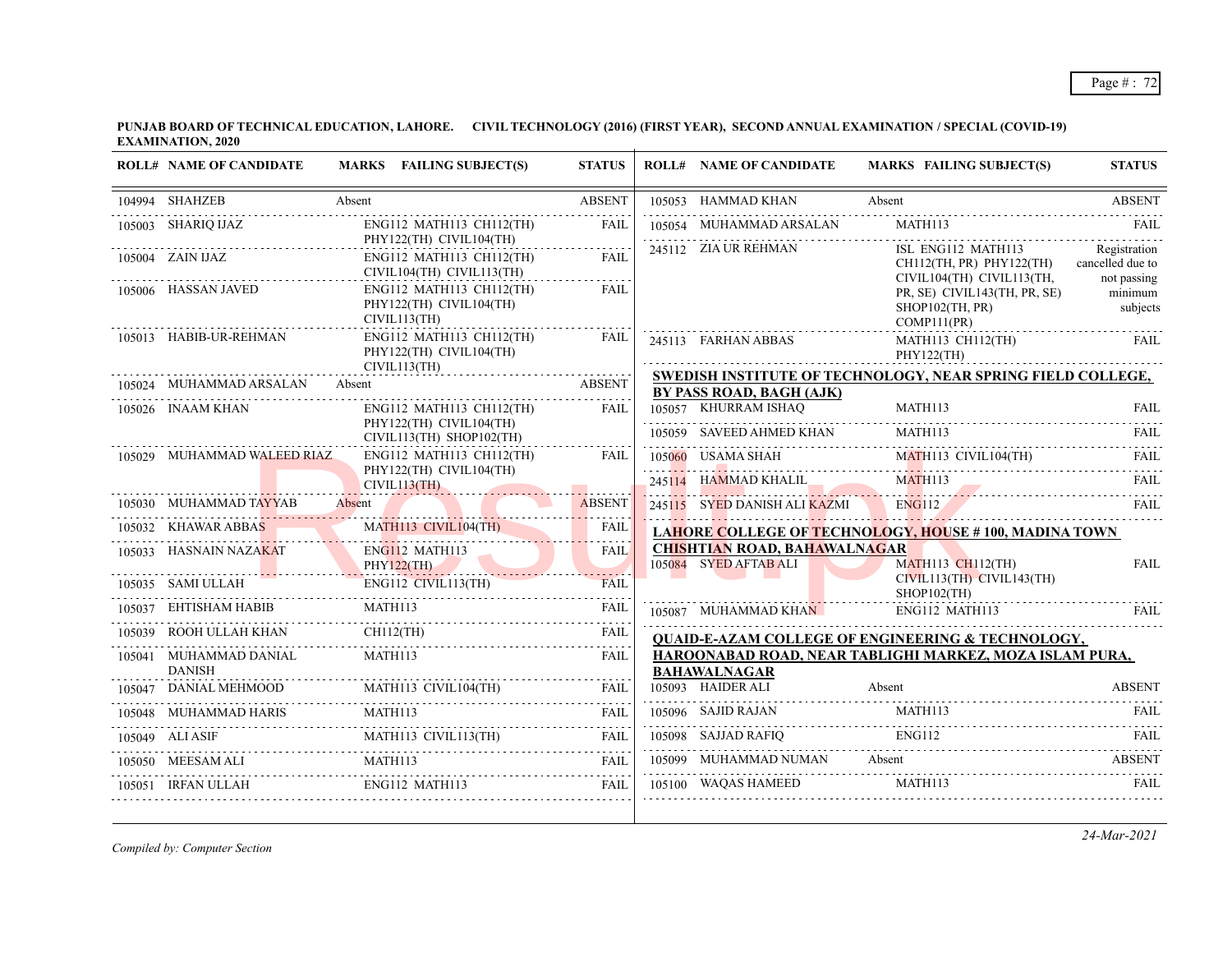## Page # : 72

**PUNJAB BOARD OF TECHNICAL EDUCATION, LAHORE. CIVIL TECHNOLOGY (2016) (FIRST YEAR), SECOND ANNUAL EXAMINATION / SPECIAL (COVID-19) EXAMINATION, 2020**  $\overline{1}$ 

| <b>ROLL# NAME OF CANDIDATE</b>          | MARKS FAILING SUBJECT(S)                                                                                                                                                                                                                   | <b>STATUS</b> | <b>ROLL# NAME OF CANDIDATE</b>                   | <b>MARKS FAILING SUBJECT(S)</b>                                                   | <b>STATUS</b>                                   |
|-----------------------------------------|--------------------------------------------------------------------------------------------------------------------------------------------------------------------------------------------------------------------------------------------|---------------|--------------------------------------------------|-----------------------------------------------------------------------------------|-------------------------------------------------|
| 104994 SHAHZEB                          | Absent                                                                                                                                                                                                                                     | <b>ABSENT</b> | 105053 HAMMAD KHAN                               | Absent                                                                            | <b>ABSENT</b>                                   |
| 105003 SHARIQ IJAZ                      | ENG112 MATH113 CH112(TH)                                                                                                                                                                                                                   | <b>FAIL</b>   | 105054 MUHAMMAD ARSALAN                          | MATH113                                                                           | <b>FAIL</b>                                     |
| 105004 ZAIN IJAZ                        | PHY122(TH) CIVIL104(TH)<br>ENG112 MATH113 CH112(TH)<br>CIVIL104(TH) CIVIL113(TH)                                                                                                                                                           | <b>FAIL</b>   | 245112 ZIA UR REHMAN                             | ISL ENG112 MATH113<br>$CH112$ (TH, PR) $PHY122$ (TH)<br>CIVIL104(TH) CIVIL113(TH, | Registration<br>cancelled due to<br>not passing |
| 105006 HASSAN JAVED                     | ENG112 MATH113 CH112(TH)<br>PHY122(TH) CIVIL104(TH)<br>CIVIL113(TH)                                                                                                                                                                        | FAIL          |                                                  | PR, SE) CIVIL143(TH, PR, SE)<br>$SHOP102$ (TH, PR)<br>COMP111(PR)                 | minimum<br>subjects                             |
| 105013 HABIB-UR-REHMAN                  | $ENG112$ MATH113 CH112(TH)<br>PHY122(TH) CIVIL104(TH)                                                                                                                                                                                      | FAIL          | 245113 FARHAN ABBAS                              | MATH113 CH112(TH)<br>PHY122(TH)                                                   | <b>FAIL</b>                                     |
| 105024 MUHAMMAD ARSALAN                 | CIVIL113(TH)                                                                                                                                                                                                                               |               |                                                  | SWEDISH INSTITUTE OF TECHNOLOGY, NEAR SPRING FIELD COLLEGE,                       |                                                 |
| 105026 INAAM KHAN                       | 5024 MUHAMMAD ARSALAN Absent ABSENT<br>$ENG112$ MATH113 CH112(TH)                                                                                                                                                                          | <b>FAIL</b>   | BY PASS ROAD, BAGH (AJK)<br>105057 KHURRAM ISHAQ | MATH113                                                                           | <b>FAIL</b>                                     |
|                                         | PHY122(TH) CIVIL104(TH)<br>$CIVIL113(TH)$ SHOP102(TH)                                                                                                                                                                                      |               | 105059 SAVEED AHMED KHAN MATH113                 |                                                                                   | FAII.                                           |
| 105029 MUHAMMAD WALEED RIAZ             | ENG112 MATH113 CH112(TH)                                                                                                                                                                                                                   | FAIL          | 105060 USAMA SHAH                                | MATH113 CIVIL104(TH)                                                              | FAII.                                           |
|                                         | PHY122(TH) CIVIL104(TH)                                                                                                                                                                                                                    |               |                                                  | 245114 HAMMAD KHALIL MATHII3 FAIL FAIL                                            |                                                 |
|                                         | CIVIL113(TH)<br>105030 MUHAMMAD TAYYAB Absent                                                                                                                                                                                              | <b>ABSENT</b> | 245115 SYED DANISH ALI KAZMI ENG112              |                                                                                   | FAII.                                           |
| 105032 KHAWAR ABBAS                     | MATH113 CIVIL104(TH)                                                                                                                                                                                                                       | FAIL          |                                                  | <b>LAHORE COLLEGE OF TECHNOLOGY, HOUSE #100, MADINA TOWN</b>                      |                                                 |
| 105033 HASNAIN NAZAKAT                  | $ENG112$ MATH113                                                                                                                                                                                                                           | <b>FAIL</b>   | <b>CHISHTIAN ROAD, BAHAWALNAGAR</b>              |                                                                                   |                                                 |
| PHY122(TH)                              |                                                                                                                                                                                                                                            |               | 105084 SYED AFTAB ALI                            | <b>MATH113 CH112(TH)</b><br>CIVIL113(TH) CIVIL143(TH)                             | <b>FAIL</b>                                     |
|                                         | ENG112 CIVIL113(TH)<br>105035 SAMI ULLAH ENG112 CIVIL113(TH)                                                                                                                                                                               | FAII.         |                                                  | $SHOP102$ (TH)                                                                    |                                                 |
|                                         | $\begin{tabular}{llllllll} \hline 105037 & EHTISHAM HABIB & \multicolumn{2}{c}{MATH113} & \multicolumn{2}{c}{FAIL} \\ \hline 105039 & \multicolumn{2}{c}{ROOH ULLAH KHAN} & CH112 (TH) & \multicolumn{2}{c}{FAIL} \\ \hline \end{tabular}$ |               | 105087 MUHAMMAD KHAN                             | ENG112 MATH113                                                                    | FAII.                                           |
|                                         |                                                                                                                                                                                                                                            | .             |                                                  | <b>QUAID-E-AZAM COLLEGE OF ENGINEERING &amp; TECHNOLOGY,</b>                      |                                                 |
| 105041 MUHAMMAD DANIAL<br><b>DANISH</b> | MATH113                                                                                                                                                                                                                                    | FAIL          | <b>BAHAWALNAGAR</b>                              | HAROONABAD ROAD, NEAR TABLIGHI MARKEZ, MOZA ISLAM PURA,                           |                                                 |
|                                         |                                                                                                                                                                                                                                            |               | 105093 HAIDER ALI                                | Absent                                                                            | <b>ABSENT</b>                                   |
|                                         | $\begin{tabular}{c c c} \hline 105047 & DANIAL MEHMOOD & MATH113 CIVIL104(TH) & FAIL \\ \hline 105048 & MUHAMMAD HARIS & MATH113 & & FAIL \\ \hline \end{tabular}$                                                                         |               | 105096 SAJID RAJAN                               | MATH113                                                                           |                                                 |
|                                         |                                                                                                                                                                                                                                            |               |                                                  | 105098 SAJJAD RAFIQ ENGI12 FAIL FAIL                                              |                                                 |
|                                         | MEESAM ALI MATHI13 FAIL MATHI13                                                                                                                                                                                                            |               |                                                  | 105099 MUHAMMAD NUMAN Absent ABSENT ABSENT                                        |                                                 |
| 105051 IRFAN ULLAH ENG112 MATH113       |                                                                                                                                                                                                                                            | FAIL          | 105100 WAQAS HAMEED MATH113                      |                                                                                   | <b>FAIL</b>                                     |

*Compiled by: Computer Section*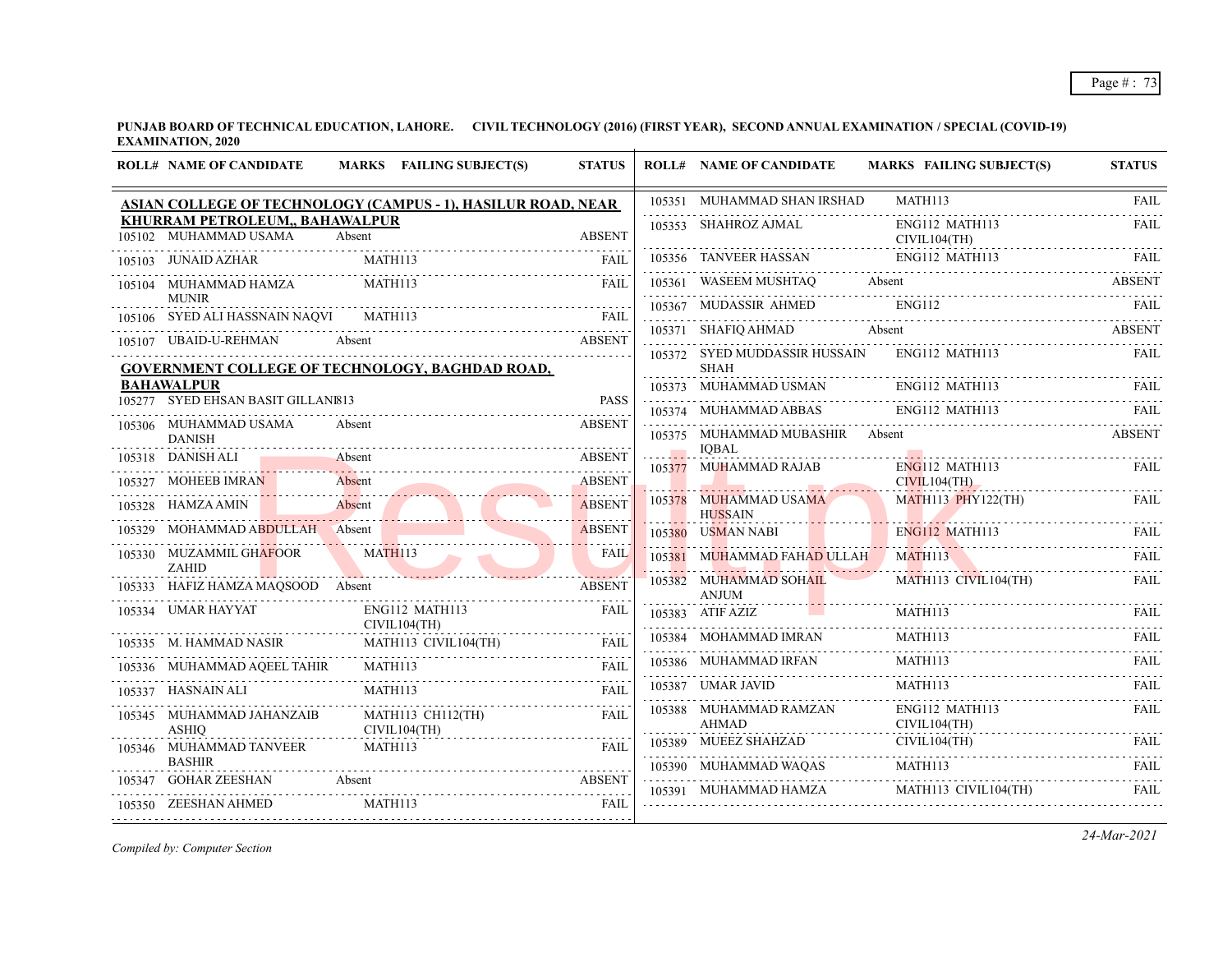**PUNJAB BOARD OF TECHNICAL EDUCATION, LAHORE. CIVIL TECHNOLOGY (2016) (FIRST YEAR), SECOND ANNUAL EXAMINATION / SPECIAL (COVID-19) EXAMINATION, 2020**

|        | <b>ROLL# NAME OF CANDIDATE</b>                          | MARKS FAILING SUBJECT(S)                                     | <b>STATUS</b>                                                                                                                                                       | <b>ROLL# NAME OF CANDIDATE</b>                         | <b>MARKS FAILING SUBJECT(S)</b>                                                                                                          | <b>STATUS</b> |
|--------|---------------------------------------------------------|--------------------------------------------------------------|---------------------------------------------------------------------------------------------------------------------------------------------------------------------|--------------------------------------------------------|------------------------------------------------------------------------------------------------------------------------------------------|---------------|
|        |                                                         | ASIAN COLLEGE OF TECHNOLOGY (CAMPUS - 1), HASILUR ROAD, NEAR |                                                                                                                                                                     | 105351 MUHAMMAD SHAN IRSHAD                            | <b>MATH113</b>                                                                                                                           | FAII.         |
|        | KHURRAM PETROLEUM,, BAHAWALPUR<br>105102 MUHAMMAD USAMA | Absent                                                       | <b>ABSENT</b>                                                                                                                                                       | 105353 SHAHROZ AJMAL                                   | ENG112 MATH113<br>CIVIL104(TH)                                                                                                           | <b>FAIL</b>   |
|        | 105103 JUNAID AZHAR                                     | MATH113                                                      | <b>FAIL</b>                                                                                                                                                         |                                                        | $\begin{tabular}{lllllllll} \textbf{105356} & \textbf{TANVEER HASSAN} & \textbf{ENG112 MATH113} & \textbf{FAIL} \\ \hline \end{tabular}$ |               |
|        | 105104 MUHAMMAD HAMZA<br><b>MUNIR</b>                   | MATH113                                                      | <b>FAIL</b>                                                                                                                                                         | 105361 WASEEM MUSHTAQ                                  | Absent                                                                                                                                   | <b>ABSENT</b> |
|        | 105106 SYED ALI HASSNAIN NAQVI                          |                                                              | <b>FAIL</b>                                                                                                                                                         |                                                        | 105367 MUDASSIR AHMED ENG112 FAIL FAIL                                                                                                   |               |
|        | 105107 UBAID-U-REHMAN                                   | Absent                                                       | <b>ABSENT</b>                                                                                                                                                       | 105371 SHAFIQ AHMAD Absent                             |                                                                                                                                          | ABSENT        |
|        |                                                         | GOVERNMENT COLLEGE OF TECHNOLOGY, BAGHDAD ROAD,              |                                                                                                                                                                     | 105372 SYED MUDDASSIR HUSSAIN<br><b>SHAH</b>           | ENG112 MATH113                                                                                                                           | <b>FAIL</b>   |
|        | <b>BAHAWALPUR</b>                                       |                                                              |                                                                                                                                                                     | 105373 MUHAMMAD USMAN ENG112 MATH113                   |                                                                                                                                          | FAIL.         |
|        | 105277 SYED EHSAN BASIT GILLANI813                      |                                                              | <b>PASS</b>                                                                                                                                                         | 105374 MUHAMMAD ABBAS ENG112 MATH113                   |                                                                                                                                          | - FAIL.       |
|        | 105306 MUHAMMAD USAMA<br><b>DANISH</b>                  | Absent                                                       | <b>ABSENT</b>                                                                                                                                                       | 105375 MUHAMMAD MUBASHIR Absent                        |                                                                                                                                          | <b>ABSENT</b> |
|        | 105318 DANISH ALI                                       | Absent                                                       | <b>ABSENT</b>                                                                                                                                                       | <b>IOBAL</b><br>105377 MUHAMMAD RAJAB                  | <b>ENG112 MATH113</b>                                                                                                                    | <b>FAIL</b>   |
| 105327 | MOHEEB IMRAN                                            | Absent                                                       | <b>ABSENT</b>                                                                                                                                                       |                                                        | CIVIL104(TH)<br>.                                                                                                                        |               |
|        | 105328 HAMZA AMIN                                       | HAMZA AMIN Absent Absent                                     | <b>ABSENT</b>                                                                                                                                                       | 105378 MUHAMMAD USAMA<br><b>HUSSAIN</b>                | $MATH113$ $PHY122(TH)$                                                                                                                   | FAIL.         |
| 105329 | MOHAMMAD ABDULLAH Absent                                |                                                              | <b>ABSENT</b>                                                                                                                                                       | 105380 USMAN NABI<br><b>Contract Contract Contract</b> | ENG112 MATH113                                                                                                                           | <b>FAIL</b>   |
|        | 105330 MUZAMMIL GHAFOOR<br>ZAHID                        | MATH113                                                      | FAIL                                                                                                                                                                | 105381 MUHAMMAD FAHAD ULLAH MATH113                    |                                                                                                                                          | <b>FAIL</b>   |
|        | 105333 HAFIZ HAMZA MAQSOOD Absent                       | the contract of the contract of the contract of              | <b>ABSENT</b>                                                                                                                                                       | 105382 MUHAMMAD SOHAIL<br>ANJUM                        | MATH113 CIVIL104(TH)                                                                                                                     | <b>FAIL</b>   |
|        | 105334 UMAR HAYYAT                                      | ENG112 MATH113<br>CIVIL104(TH)                               | <b>FAIL</b>                                                                                                                                                         | 105383 ATIF AZIZ                                       |                                                                                                                                          |               |
|        | 105335 M. HAMMAD NASIR                                  | MATH113 CIVIL104(TH)                                         | <b>FAIL</b>                                                                                                                                                         | 105384 MOHAMMAD IMRAN                                  | MATH113<br>$\begin{tabular}{c} \bf{HAL} \bf{HALI} \bf{1113} \\ \bf{121} \end{tabular}$                                                   | <b>FAIL</b>   |
|        | 105336 MUHAMMAD AQEEL TAHIR                             | MATH113                                                      | <b>FAIL</b>                                                                                                                                                         | 105386 MUHAMMAD IRFAN                                  |                                                                                                                                          |               |
|        | 105337 HASNAIN ALI                                      | MATH113                                                      | $\frac{1}{2} \left( \frac{1}{2} \right) \left( \frac{1}{2} \right) \left( \frac{1}{2} \right) \left( \frac{1}{2} \right) \left( \frac{1}{2} \right)$<br><b>FAIL</b> | 105387 UMAR JAVID                                      | MATH113                                                                                                                                  | <b>FAIL</b>   |
|        | 105345 MUHAMMAD JAHANZAIB<br><b>ASHIO</b>               | MATH113 CH112(TH)<br>CIVIL104(TH)                            | <b>FAIL</b>                                                                                                                                                         | 105388 MUHAMMAD RAMZAN<br>AHMAD                        | ENG112 MATH113<br>CIVIL104(TH)                                                                                                           | <b>FAIL</b>   |
|        | 105346 MUHAMMAD TANVEER                                 | MATH113                                                      | <b>FAIL</b>                                                                                                                                                         | 105389 MUEEZ SHAHZAD                                   | CIVIL104(TH)<br>D CIVIL104(TH) FAIL                                                                                                      |               |
| 105347 | <b>BASHIR</b><br><b>GOHAR ZEESHAN</b>                   | Absent                                                       | <b>ABSENT</b>                                                                                                                                                       |                                                        | 105390 MUHAMMAD WAQAS MATH113 FAIL PRESENT PRESENT AND RESENT A MATH113                                                                  |               |
|        |                                                         |                                                              |                                                                                                                                                                     | 105391 MUHAMMAD HAMZA                                  | MATH113 CIVIL104(TH)                                                                                                                     | <b>FAIL</b>   |
|        | 105350 ZEESHAN AHMED                                    | MATH113                                                      | <b>FAIL</b>                                                                                                                                                         |                                                        |                                                                                                                                          |               |

*Compiled by: Computer Section*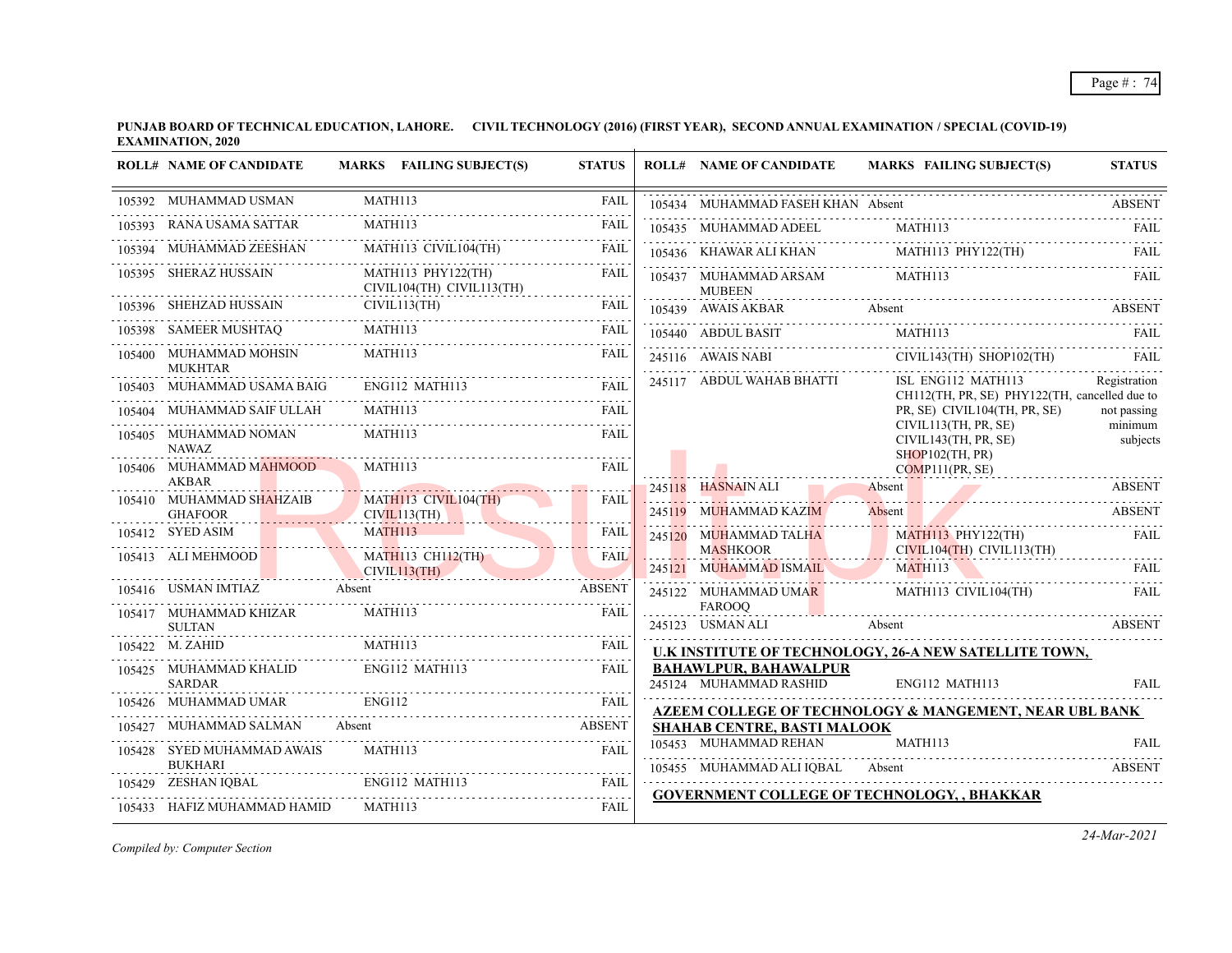|        | <b>ROLL# NAME OF CANDIDATE</b>                                                                                                                                                                                                                                                                                                                                 |               | MARKS FAILING SUBJECT(S)                                                                                                                                                                                                                       | <b>STATUS</b> | <b>ROLL# NAME OF CANDIDATE</b>                                                                                                                                                                                                                                                                                                                                                                                                                                                                               |                   | <b>MARKS FAILING SUBJECT(S)</b>                                     | <b>STATUS</b>           |
|--------|----------------------------------------------------------------------------------------------------------------------------------------------------------------------------------------------------------------------------------------------------------------------------------------------------------------------------------------------------------------|---------------|------------------------------------------------------------------------------------------------------------------------------------------------------------------------------------------------------------------------------------------------|---------------|--------------------------------------------------------------------------------------------------------------------------------------------------------------------------------------------------------------------------------------------------------------------------------------------------------------------------------------------------------------------------------------------------------------------------------------------------------------------------------------------------------------|-------------------|---------------------------------------------------------------------|-------------------------|
|        | 105392 MUHAMMAD USMAN                                                                                                                                                                                                                                                                                                                                          | MATH113       |                                                                                                                                                                                                                                                | <b>FAIL</b>   | 105434 MUHAMMAD FASEH KHAN Absent                                                                                                                                                                                                                                                                                                                                                                                                                                                                            |                   |                                                                     | ABSENT                  |
|        | 105393 RANA USAMA SATTAR                                                                                                                                                                                                                                                                                                                                       | MATH113       |                                                                                                                                                                                                                                                | <b>FAIL</b>   |                                                                                                                                                                                                                                                                                                                                                                                                                                                                                                              | MATH113           |                                                                     |                         |
|        | MUHAMMAD ZEESHAN MATH113 CIVIL104(TH)                                                                                                                                                                                                                                                                                                                          |               |                                                                                                                                                                                                                                                | <b>FAIL</b>   | 105435 MUHAMMAD ADEEL MATH113 FAIL TALL 105436 KHAWAR ALI KHAN MATH113 PHY122(TH) FAIL                                                                                                                                                                                                                                                                                                                                                                                                                       |                   |                                                                     |                         |
|        | 105395 SHERAZ HUSSAIN                                                                                                                                                                                                                                                                                                                                          |               | MATH113 PHY122(TH)<br>CIVIL104(TH) CIVIL113(TH)                                                                                                                                                                                                | FAIL          | 105437 MUHAMMAD ARSAM MATH113<br><b>MUBEEN</b>                                                                                                                                                                                                                                                                                                                                                                                                                                                               |                   |                                                                     | <b>FAIL</b>             |
|        | $\begin{tabular}{ll} \bf 105396 & SHEHZAD HUSSAIN & CIVIL113(TH) \\ \hline 105398 & SAMEER MUSHTAQ & MATH113 \\ \end{tabular}$                                                                                                                                                                                                                                 |               |                                                                                                                                                                                                                                                | FAIL          | 105439 AWAIS AKBAR Absent                                                                                                                                                                                                                                                                                                                                                                                                                                                                                    |                   |                                                                     | ABSENT                  |
|        | 105398 SAMEER MUSHTAQ                                                                                                                                                                                                                                                                                                                                          |               |                                                                                                                                                                                                                                                | FAIL          | 105440 ABDUL BASIT<br>440 ABDUL BASIT MATH113 FAIL                                                                                                                                                                                                                                                                                                                                                                                                                                                           |                   | MATH113                                                             |                         |
|        | 105400 MUHAMMAD MOHSIN<br><b>MUKHTAR</b>                                                                                                                                                                                                                                                                                                                       | MATH113       |                                                                                                                                                                                                                                                | <b>FAIL</b>   | $\begin{tabular}{c} 245116 \quad AWAIS NABI \\ \hline \end{tabular} \begin{tabular}{c} \hline \textbf{CIVIL143(TH) SHDP102(TH) } \end{tabular} \begin{tabular}{c} \hline \textbf{FAIL} \\ \hline \end{tabular} \begin{tabular}{c} \hline \end{tabular} \begin{tabular}{c} \hline \end{tabular} \end{tabular} \begin{tabular}{c} \hline \end{tabular} \begin{tabular}{c} \hline \end{tabular} \end{tabular} \begin{tabular}{c} \hline \end{tabular} \begin{tabular}{c} \hline \end{tabular} \begin{tabular}{$ |                   |                                                                     |                         |
|        | $\begin{tabular}{lllllllll} \hline \textbf{105403} & \textbf{MULTM} & \textbf{106403} & \textbf{1074} & \textbf{108404} & \textbf{108405} & \textbf{108406} & \textbf{108407} & \textbf{108408} & \textbf{108408} & \textbf{108409} & \textbf{108409} & \textbf{108409} & \textbf{108409} & \textbf{108409} & \textbf{108409} & \textbf{108409} & \textbf{108$ |               |                                                                                                                                                                                                                                                | FAIL          | 245117 ABDUL WAHAB BHATTI                                                                                                                                                                                                                                                                                                                                                                                                                                                                                    |                   | ISL ENG112 MATH113<br>CH112(TH, PR, SE) PHY122(TH, cancelled due to | Registration            |
|        | MUHAMMAD SAIF ULLAH                                                                                                                                                                                                                                                                                                                                            |               |                                                                                                                                                                                                                                                |               |                                                                                                                                                                                                                                                                                                                                                                                                                                                                                                              |                   | PR, SE) CIVIL104(TH, PR, SE)                                        | not passing             |
|        | 105405 MUHAMMAD NOMAN<br><b>NAWAZ</b>                                                                                                                                                                                                                                                                                                                          |               | MATH113                                                                                                                                                                                                                                        | <b>FAIL</b>   |                                                                                                                                                                                                                                                                                                                                                                                                                                                                                                              |                   | CIVIL113(TH, PR, SE)<br>CIVIL143(TH, PR, SE)<br>SHOP102(TH, PR)     | minimum<br>subjects     |
|        | 105406 MUHAMMAD MAHMOOD<br>AKBAR                                                                                                                                                                                                                                                                                                                               | MATH113       |                                                                                                                                                                                                                                                | <b>FAIL</b>   |                                                                                                                                                                                                                                                                                                                                                                                                                                                                                                              |                   | COMP111(PR, SE)<br>.                                                |                         |
|        | 105410 MUHAMMAD SHAHZAIB<br><b>GHAFOOR</b>                                                                                                                                                                                                                                                                                                                     |               | . <i>.</i><br>MATH113 CIVIL104(TH)<br>CIVIL113(TH)                                                                                                                                                                                             | FAIL          | 245118 HASNAIN ALI Absent<br>245119 MUHAMMAD KAZIM<br>245119 MUHAMMAD KAZIM Absent ABSENT                                                                                                                                                                                                                                                                                                                                                                                                                    | Absent            |                                                                     | ABSENT<br><b>ABSENT</b> |
|        | 105412 SYED ASIM                                                                                                                                                                                                                                                                                                                                               | MATH113       |                                                                                                                                                                                                                                                | FAIL          | 245120 MUHAMMAD TALHA                                                                                                                                                                                                                                                                                                                                                                                                                                                                                        |                   |                                                                     |                         |
|        | 105413 ALI MEHMOOD                                                                                                                                                                                                                                                                                                                                             |               | MATH113 CH112(TH)                                                                                                                                                                                                                              | <b>FAIL</b>   | <b>MASHKOOR</b><br>245121 MUHAMMAD ISMAIL MATH113 FAIL FAIL                                                                                                                                                                                                                                                                                                                                                                                                                                                  |                   |                                                                     |                         |
|        | 105416 USMAN IMTIAZ                                                                                                                                                                                                                                                                                                                                            |               | CIVIL113(TH)<br>N IMTIAZ Absent All Albert Albert Albert Albert Albert Albert Albert Albert Albert Albert Albert Albert Albert Albert Albert Albert Albert Albert Albert Albert Albert Albert Albert Albert Albert Albert Albert Albert Albert | <b>ABSENT</b> | 245122 MUHAMMAD UMAR                                                                                                                                                                                                                                                                                                                                                                                                                                                                                         |                   | MATH113 CIVIL104(TH)                                                | <b>FAIL</b>             |
|        | 105417 MUHAMMAD KHIZAR<br><b>SULTAN</b>                                                                                                                                                                                                                                                                                                                        | MATH113       |                                                                                                                                                                                                                                                | <b>FAIL</b>   | FAROOQ<br>245123 USMAN ALI Absent ABSENT                                                                                                                                                                                                                                                                                                                                                                                                                                                                     |                   |                                                                     |                         |
|        | 105422 M. ZAHID<br>\HID<br>----------------------------                                                                                                                                                                                                                                                                                                        | MATH113       |                                                                                                                                                                                                                                                | FAIL          | U.K INSTITUTE OF TECHNOLOGY, 26-A NEW SATELLITE TOWN,                                                                                                                                                                                                                                                                                                                                                                                                                                                        |                   |                                                                     |                         |
|        | 105425 MUHAMMAD KHALID<br><b>SARDAR</b>                                                                                                                                                                                                                                                                                                                        |               | ENG112 MATH113                                                                                                                                                                                                                                 | <b>FAIL</b>   | <b>BAHAWLPUR, BAHAWALPUR</b><br>245124 MUHAMMAD RASHID                                                                                                                                                                                                                                                                                                                                                                                                                                                       |                   | ENG112 MATH113                                                      | <b>FAIL</b>             |
|        | 105426 MUHAMMAD UMAR                                                                                                                                                                                                                                                                                                                                           | <b>ENG112</b> |                                                                                                                                                                                                                                                | FAIL          | <b>AZEEM COLLEGE OF TECHNOLOGY &amp; MANGEMENT, NEAR UBL BANK</b>                                                                                                                                                                                                                                                                                                                                                                                                                                            |                   |                                                                     |                         |
| 105427 | MUHAMMAD SALMAN                                                                                                                                                                                                                                                                                                                                                | Absent        |                                                                                                                                                                                                                                                | <b>ABSENT</b> | <b>SHAHAB CENTRE, BASTI MALOOK</b>                                                                                                                                                                                                                                                                                                                                                                                                                                                                           |                   |                                                                     |                         |
|        | 105428 SYED MUHAMMAD AWAIS<br><b>BUKHARI</b>                                                                                                                                                                                                                                                                                                                   | MATH113       |                                                                                                                                                                                                                                                | <b>FAIL</b>   | 105453 MUHAMMAD REHAN<br>105455 MUHAMMAD ALI IQBAL                                                                                                                                                                                                                                                                                                                                                                                                                                                           | MATH113<br>Absent |                                                                     | FAII.<br><b>ABSENT</b>  |
|        | ZESHAN IQBAL ENGI12 MATHI13 FAIL FAIL                                                                                                                                                                                                                                                                                                                          |               |                                                                                                                                                                                                                                                |               | <b>GOVERNMENT COLLEGE OF TECHNOLOGY, , BHAKKAR</b>                                                                                                                                                                                                                                                                                                                                                                                                                                                           |                   |                                                                     |                         |
|        | 105433 HAFIZ MUHAMMAD HAMID                                                                                                                                                                                                                                                                                                                                    | MATH113       |                                                                                                                                                                                                                                                | FAIL          |                                                                                                                                                                                                                                                                                                                                                                                                                                                                                                              |                   |                                                                     |                         |

*Compiled by: Computer Section*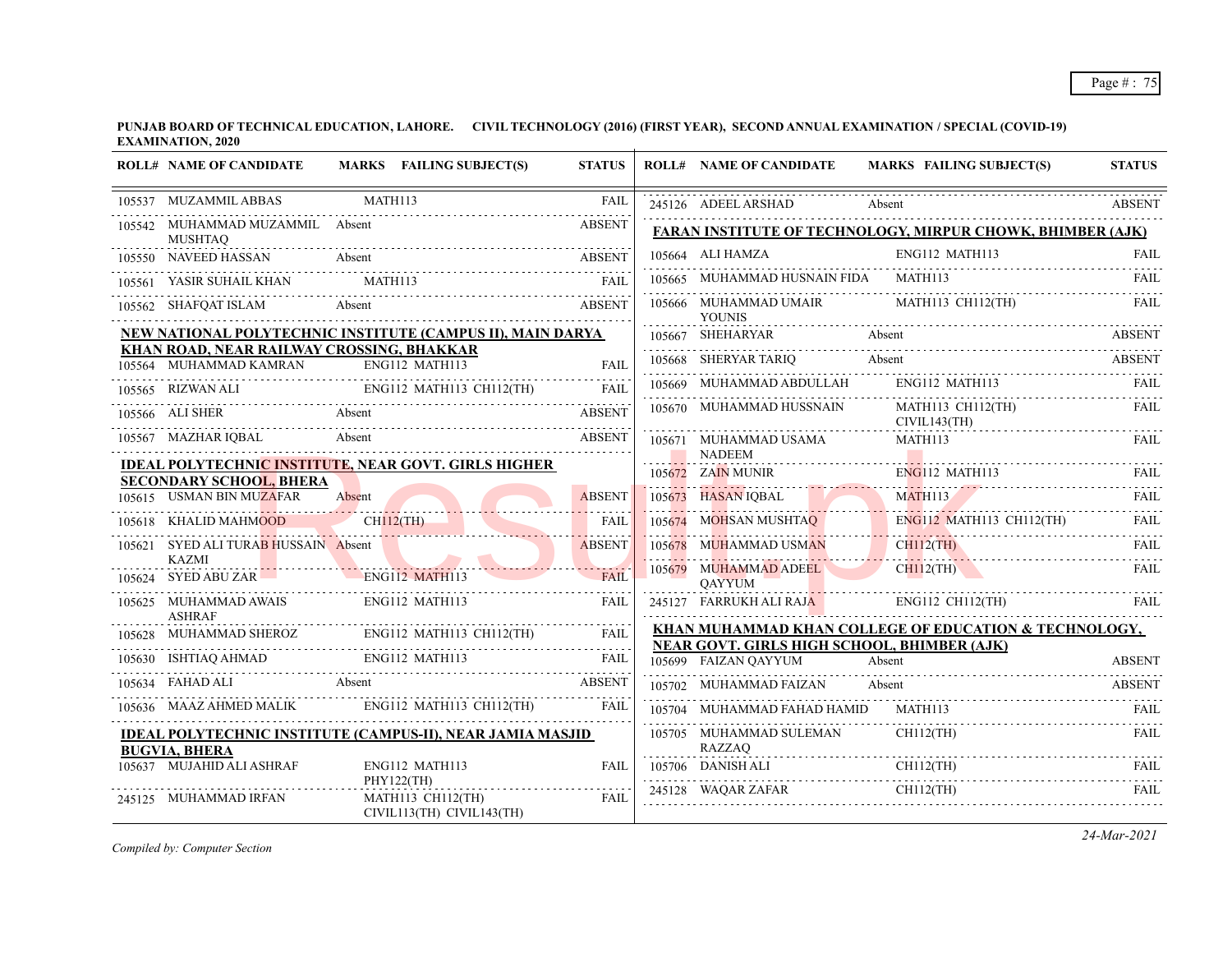|        | <b>ROLL# NAME OF CANDIDATE</b>                                      | MARKS FAILING SUBJECT(S)                                          | <b>STATUS</b> | <b>ROLL# NAME OF CANDIDATE</b>              | <b>MARKS FAILING SUBJECT(S)</b>                                   | <b>STATUS</b> |
|--------|---------------------------------------------------------------------|-------------------------------------------------------------------|---------------|---------------------------------------------|-------------------------------------------------------------------|---------------|
|        | 105537 MUZAMMIL ABBAS                                               | MATH113                                                           | <b>FAIL</b>   | 245126 ADEEL ARSHAD                         | Absent                                                            | <b>ABSENT</b> |
|        | 105542 MUHAMMAD MUZAMMIL Absent<br><b>MUSHTAO</b>                   |                                                                   | <b>ABSENT</b> |                                             | <b>FARAN INSTITUTE OF TECHNOLOGY, MIRPUR CHOWK, BHIMBER (AJK)</b> |               |
|        | 105550 NAVEED HASSAN Absent                                         |                                                                   | <b>ABSENT</b> | 105664 ALI HAMZA                            | ENG112 MATH113                                                    | FAIL          |
|        | 105561 YASIR SUHAIL KHAN                                            | MATH113                                                           | <b>FAIL</b>   | 105665 MUHAMMAD HUSNAIN FIDA                | MATH113                                                           | FAIL          |
|        | 105562 SHAFQAT ISLAM                                                | Absent                                                            | <b>ABSENT</b> | 105666 MUHAMMAD UMAIR<br><b>YOUNIS</b>      | MATH113 CH112(TH)                                                 | <b>FAIL</b>   |
|        |                                                                     | NEW NATIONAL POLYTECHNIC INSTITUTE (CAMPUS II), MAIN DARYA        |               | 105667 SHEHARYAR                            | Absent                                                            | <b>ABSENT</b> |
|        | KHAN ROAD, NEAR RAILWAY CROSSING, BHAKKAR<br>105564 MUHAMMAD KAMRAN | ENG112 MATH113                                                    | <b>FAIL</b>   | 105668 SHERYAR TARIQ                        | Absent                                                            | <b>ABSENT</b> |
|        | 105565 RIZWAN ALI                                                   | ENG112 MATH113 CH112(TH)                                          | <b>FAIL</b>   | 105669 MUHAMMAD ABDULLAH                    | ENG112 MATH113                                                    | FAII.         |
|        | 105566 ALI SHER                                                     | Absent                                                            | <b>ABSENT</b> | 105670 MUHAMMAD HUSSNAIN                    | MATH113 CH112(TH)<br>CIVIL143(TH)                                 | FAIL          |
|        | 105567 MAZHAR IQBAL                                                 | Absent                                                            | <b>ABSENT</b> | 105671 MUHAMMAD USAMA                       | MATH113                                                           | FAIL          |
|        |                                                                     | <b>IDEAL POLYTECHNIC INSTITUTE, NEAR GOVT. GIRLS HIGHER</b>       |               | <b>NADEEM</b><br>105672 ZAIN MUNIR          | <b>ENG112 MATH113</b>                                             | <b>FAIL</b>   |
|        | <b>SECONDARY SCHOOL, BHERA</b><br>105615 USMAN BIN MUZAFAR          | Absent                                                            | <b>ABSENT</b> | 105673 HASAN IQBAL                          | MATH113                                                           | <b>FAIL</b>   |
|        | 105618 KHALID MAHMOOD                                               | $CH112$ (TH)                                                      | <b>FAIL</b>   | 105674 MOHSAN MUSHTAQ                       |                                                                   |               |
|        | 105621 SYED ALI TURAB HUSSAIN Absent<br><b>KAZMI</b>                |                                                                   | <b>ABSENT</b> | 105678 MUHAMMAD USMAN                       | ENGLI2 MATHI13 CH112(TH)<br>CH112(TH) FAIL                        |               |
|        | 105624 SYED ABU ZAR                                                 | ENG112 MATH113                                                    | <b>FAIL</b>   | 105679 MUHAMMAD ADEEL<br><b>OAYYUM</b>      | $CH112$ (TH)                                                      | FAIL          |
|        | 105625 MUHAMMAD AWAIS<br><b>ASHRAF</b>                              | ENG112 MATH113                                                    | <b>FAIL</b>   | 245127 FARRUKH ALI RAJA                     | ENG112 CH112(TH)                                                  |               |
| 105628 | MUHAMMAD SHEROZ ENG112 MA                                           | ENG112 MATH113 CH112(TH)                                          | FAIL          | NEAR GOVT. GIRLS HIGH SCHOOL, BHIMBER (AJK) | KHAN MUHAMMAD KHAN COLLEGE OF EDUCATION & TECHNOLOGY,             |               |
|        | 105630 ISHTIAQ AHMAD ENG112 MATH113                                 |                                                                   |               | 105699 FAIZAN QAYYUM                        | Absent                                                            | <b>ABSENT</b> |
|        | Absent<br>105634 FAHAD ALI                                          |                                                                   | <b>ABSENT</b> | 105702 MUHAMMAD FAIZAN                      | Absent                                                            | <b>ABSENT</b> |
|        |                                                                     | 105636 MAAZ AHMED MALIK ENG112 MATH113 CH112(TH)                  | <b>FAIL</b>   | 105704 MUHAMMAD FAHAD HAMID                 | MATH113                                                           |               |
|        | <b>BUGVIA, BHERA</b>                                                | <b>IDEAL POLYTECHNIC INSTITUTE (CAMPUS-II), NEAR JAMIA MASJID</b> |               | 105705 MUHAMMAD SULEMAN<br>RAZZAQ           | $CH112$ (TH)                                                      | FAIL          |
|        | 105637 MUJAHID ALI ASHRAF                                           | ENG112 MATH113                                                    | FAII.         |                                             | 105706 DANISH ALI CHII2(TH) FAIL FAIL CHII2(TH) FAIL              |               |
|        | 245125 MUHAMMAD IRFAN                                               | PHY122(TH)<br>MATH113 CH112(TH)<br>CIVIL113(TH) CIVIL143(TH)      | FAIL          | 245128 WAQAR ZAFAR                          | $CH112$ (TH)                                                      | <b>FAIL</b>   |

*Compiled by: Computer Section*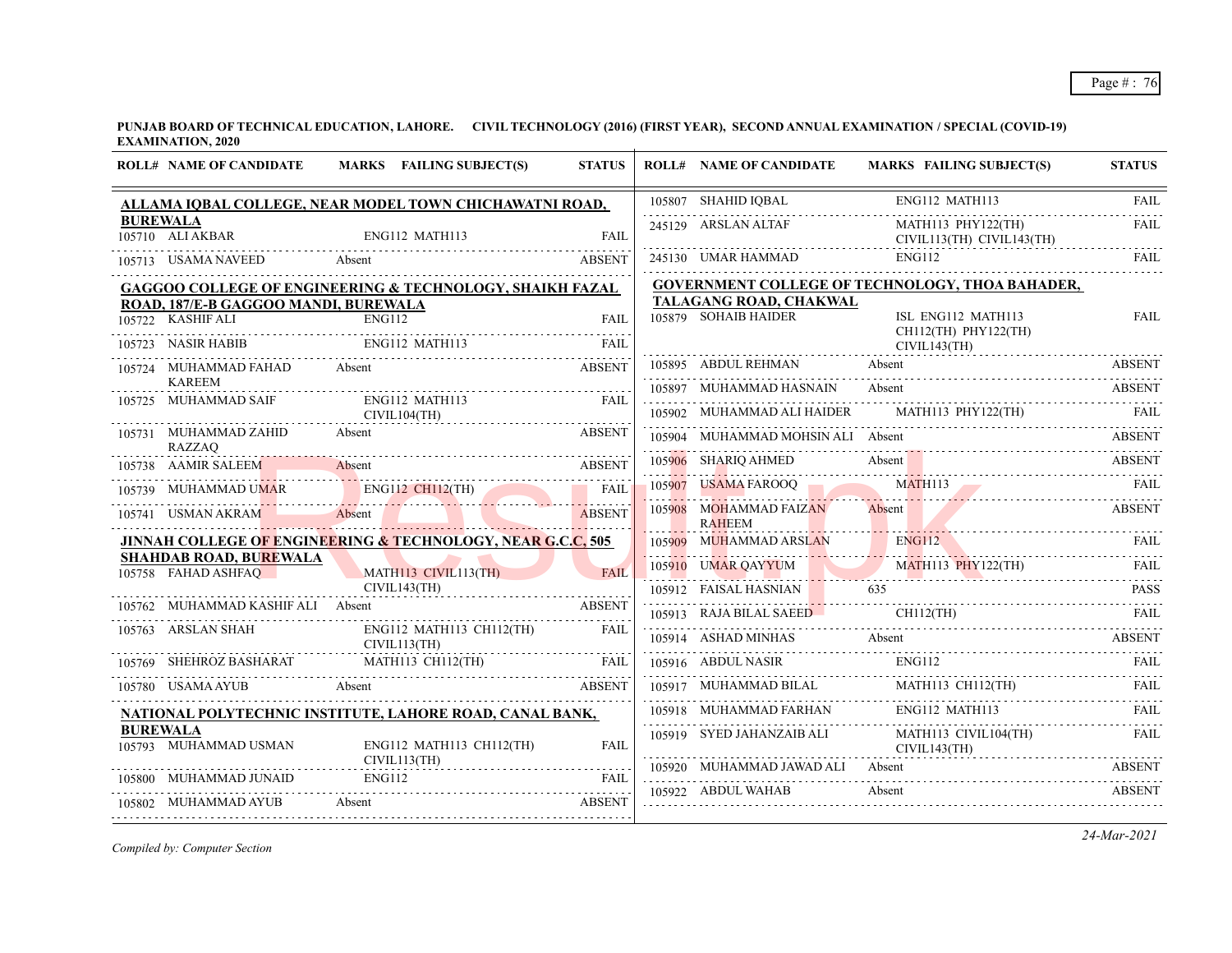**PUNJAB BOARD OF TECHNICAL EDUCATION, LAHORE. CIVIL TECHNOLOGY (2016) (FIRST YEAR), SECOND ANNUAL EXAMINATION / SPECIAL (COVID-19) EXAMINATION, 2020**  $\overline{+}$ 

|                 | <b>ROLL# NAME OF CANDIDATE</b>                       | MARKS FAILING SUBJECT(S)                                                                                                                             | <b>STATUS</b> | <b>ROLL# NAME OF CANDIDATE</b>          | MARKS FAILING SUBJECT(S)                                                                                                                                                                                                       | <b>STATUS</b> |
|-----------------|------------------------------------------------------|------------------------------------------------------------------------------------------------------------------------------------------------------|---------------|-----------------------------------------|--------------------------------------------------------------------------------------------------------------------------------------------------------------------------------------------------------------------------------|---------------|
|                 |                                                      | ALLAMA IQBAL COLLEGE, NEAR MODEL TOWN CHICHAWATNI ROAD,                                                                                              |               | $105807$ SHAHID IQBAL E                 | ENG112 MATH113                                                                                                                                                                                                                 | FAII.         |
| <b>BUREWALA</b> | 105710 ALI AKBAR                                     | ENG112 MATH113                                                                                                                                       | FAII.         | 245129 ARSLAN ALTAF                     | MATH113 PHY122(TH)<br>CIVIL113(TH) CIVIL143(TH)                                                                                                                                                                                | <b>FAIL</b>   |
|                 | 105713 USAMA NAVEED Absent                           |                                                                                                                                                      | <b>ABSENT</b> | 245130 UMAR HAMMAD                      | ENG112                                                                                                                                                                                                                         | FAII.         |
|                 |                                                      | GAGGOO COLLEGE OF ENGINEERING & TECHNOLOGY, SHAIKH FAZAL                                                                                             |               |                                         | <b>GOVERNMENT COLLEGE OF TECHNOLOGY, THOA BAHADER,</b>                                                                                                                                                                         |               |
|                 | ROAD, 187/E-B GAGGOO MANDI, BUREWALA                 |                                                                                                                                                      |               | TALAGANG ROAD, CHAKWAL                  |                                                                                                                                                                                                                                |               |
|                 | 105722 KASHIF ALI                                    | ENG112                                                                                                                                               | <b>FAIL</b>   | 105879 SOHAIB HAIDER                    | ISL ENG112 MATH113<br>CH112(TH) PHY122(TH)                                                                                                                                                                                     | FAIL          |
|                 | 105723 NASIR HABIB                                   | TABIB ENGI12 MATH113 FAIL                                                                                                                            |               |                                         | CIVIL143(TH)                                                                                                                                                                                                                   |               |
|                 | 105724 MUHAMMAD FAHAD Absent                         | <b>ABSENT</b>                                                                                                                                        |               |                                         | 105895 ABDUL REHMAN Absent ABSENT ABSENT                                                                                                                                                                                       |               |
|                 | <b>KAREEM</b>                                        | ENG112 MATH113                                                                                                                                       | <b>EAIL</b>   | 105897 MUHAMMAD HASNAIN                 | Absent                                                                                                                                                                                                                         | <b>ABSENT</b> |
|                 | 105725 MUHAMMAD SAIF                                 | CIVIL104(TH)                                                                                                                                         |               |                                         | 105902 MUHAMMAD ALI HAIDER MATH113 PHY122(TH) FAIL FAIL                                                                                                                                                                        |               |
|                 | 105731 MUHAMMAD ZAHID<br>RAZZAQ                      | Absent                                                                                                                                               | <b>ABSENT</b> | 105904 MUHAMMAD MOHSIN ALI Absent       |                                                                                                                                                                                                                                | ABSENT        |
|                 |                                                      | 105738 AAMIR SALEEM Absent ABSENT                                                                                                                    |               |                                         | 105906 SHARIQ AHMED Absent ABSENT ABSENT ABSENT ABSENT THE MATHEMATIC MATHEMATIC MATHEMATIC MATHEMATIC MATHEMATIC MATHEMATIC MATHEMATIC MATHEMATIC MATHEMATIC MATHEMATIC MATHEMATIC MATHEMATIC MATHEMATIC MATHEMATIC MATHEMATI |               |
|                 |                                                      |                                                                                                                                                      |               |                                         |                                                                                                                                                                                                                                |               |
|                 |                                                      | 105739 MUHAMMAD UMAR ENG112 CH112(TH) FAIL 105741 USMAN AKRAM Absent                                                                                 |               | 105908 MOHAMMAD FAIZAN<br><b>RAHEEM</b> | Absent                                                                                                                                                                                                                         | <b>ABSENT</b> |
|                 |                                                      | <b>JINNAH COLLEGE OF ENGINEERING &amp; TECHNOLOGY, NEAR G.C.C, 505</b>                                                                               |               |                                         | 105909 MUHAMMAD ARSLAN ENGI12 FAIL FAIL                                                                                                                                                                                        |               |
|                 | <b>SHAHDAB ROAD, BUREWALA</b><br>105758 FAHAD ASHFAQ | MATH113 CIVIL113(TH)                                                                                                                                 | <b>FAIL</b>   |                                         | 105910 UMAR QAYYUM MATHII3 PHY122(TH) FAIL                                                                                                                                                                                     |               |
|                 |                                                      | CIVIL143(TH)                                                                                                                                         |               |                                         | 105912 FAISAL HASNIAN 635 PASS PASS                                                                                                                                                                                            |               |
|                 | 105762 MUHAMMAD KASHIF ALI Absent                    |                                                                                                                                                      | <b>ABSENT</b> |                                         | 105913 RAJA BILAL SAEED CH112(TH) FAIL FAIL                                                                                                                                                                                    |               |
|                 | 105763 ARSLAN SHAH                                   | ENG112 MATH113 CH112(TH)<br>CIVIL113(TH)                                                                                                             | FAIL          |                                         | $105914\quad\text{ASHAD MINHAS}\qquad\text{Absent}\qquad\text{ABSENT}$                                                                                                                                                         |               |
|                 |                                                      | $\begin{tabular}{c c c c} \hline 105769 & SHEHROZ BASHARAT & MATH113 CH112(TH) & FAIL \\ \hline 105780 & USAMAAYUB & Absent \\ \hline \end{tabular}$ |               |                                         | 105916 ABDUL NASIR ENGI12 FAIL FAIL                                                                                                                                                                                            |               |
|                 |                                                      |                                                                                                                                                      |               |                                         | $[105917 \quad \text{MUHAMMAD BILAL} \qquad \qquad \text{MATH113 CH112(TH)} \qquad \qquad \text{FAIL} \qquad \qquad \text{FAIL}$                                                                                               |               |
|                 |                                                      | NATIONAL POLYTECHNIC INSTITUTE, LAHORE ROAD, CANAL BANK,                                                                                             |               |                                         | 105918 MUHAMMAD FARHAN ENGI12 MATH113 FAIL FAIL                                                                                                                                                                                |               |
| <b>BUREWALA</b> | 105793 MUHAMMAD USMAN                                | ENG112 MATH113 CH112(TH)                                                                                                                             | <b>FAIL</b>   |                                         | 105919 SYED JAHANZAIB ALI MATH113 CIVIL104(TH) FAIL<br>CIVIL143(TH)                                                                                                                                                            |               |
|                 | 105800 MUHAMMAD JUNAID                               | CIVIL113(TH)<br><b>ENG112</b>                                                                                                                        | FAIL          | 105920 MUHAMMAD JAWAD ALI Absent        |                                                                                                                                                                                                                                | <b>ABSENT</b> |
|                 | 105802 MUHAMMAD AYUB                                 | Absent                                                                                                                                               | <b>ABSENT</b> | 105922 ABDUL WAHAB                      | Absent                                                                                                                                                                                                                         | <b>ABSENT</b> |
|                 |                                                      |                                                                                                                                                      |               |                                         |                                                                                                                                                                                                                                |               |

*Compiled by: Computer Section*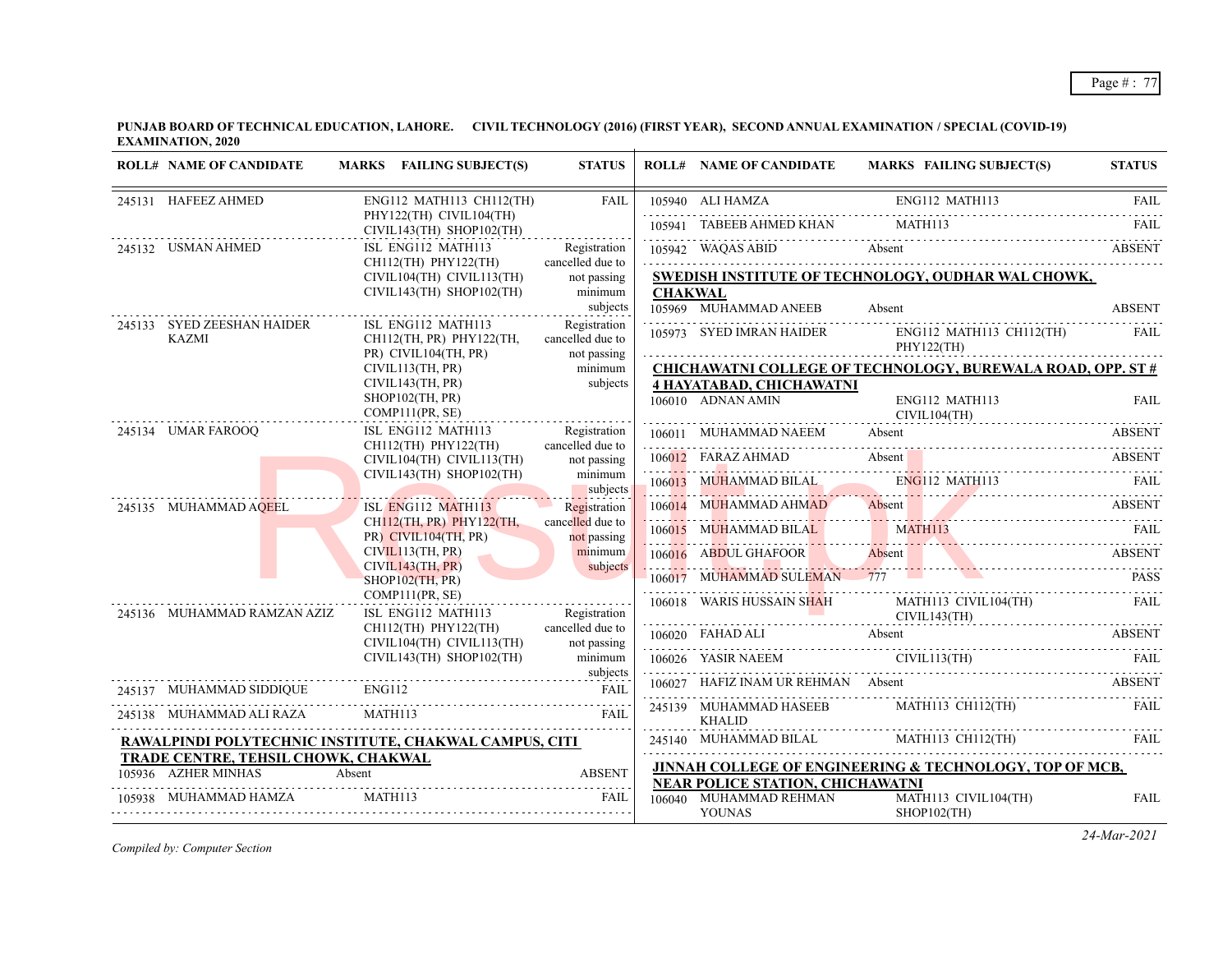**PUNJAB BOARD OF TECHNICAL EDUCATION, LAHORE. CIVIL TECHNOLOGY (2016) (FIRST YEAR), SECOND ANNUAL EXAMINATION / SPECIAL (COVID-19) EXAMINATION, 2020**

| <b>ROLL# NAME OF CANDIDATE</b>      | MARKS FAILING SUBJECT(S)                                                      | <b>STATUS</b>                              |                | <b>ROLL# NAME OF CANDIDATE</b>          | MARKS FAILING SUBJECT(S)                                                                                                                                                                                                                                                                                                                                                                                                                                        | <b>STATUS</b> |
|-------------------------------------|-------------------------------------------------------------------------------|--------------------------------------------|----------------|-----------------------------------------|-----------------------------------------------------------------------------------------------------------------------------------------------------------------------------------------------------------------------------------------------------------------------------------------------------------------------------------------------------------------------------------------------------------------------------------------------------------------|---------------|
| 245131 HAFEEZ AHMED                 | ENG112 MATH113 CH112(TH)                                                      | FAIL                                       |                |                                         | ENG112 MATH113<br>TANGER AHMED KHAN MATH113 FAIL TANGER AHMED KHAN MATH113                                                                                                                                                                                                                                                                                                                                                                                      |               |
|                                     | PHY122(TH) CIVIL104(TH)<br>CIVIL143(TH) SHOP102(TH)                           | .                                          |                |                                         |                                                                                                                                                                                                                                                                                                                                                                                                                                                                 |               |
| 245132 USMAN AHMED                  | ISL ENG112 MATH113                                                            | Registration                               |                |                                         | 105942 WAQAS ABID Absent ABSENT                                                                                                                                                                                                                                                                                                                                                                                                                                 |               |
|                                     | CH112(TH) PHY122(TH)<br>CIVIL104(TH) CIVIL113(TH)<br>CIVIL143(TH) SHOP102(TH) | cancelled due to<br>not passing<br>minimum | <b>CHAKWAL</b> |                                         | SWEDISH INSTITUTE OF TECHNOLOGY, OUDHAR WAL CHOWK,                                                                                                                                                                                                                                                                                                                                                                                                              |               |
| 245133 SYED ZEESHAN HAIDER          | ISL ENG112 MATH113                                                            | subjects<br>Registration                   |                | 105969 MUHAMMAD ANEEB                   | Absent                                                                                                                                                                                                                                                                                                                                                                                                                                                          | <b>ABSENT</b> |
| <b>KAZMI</b>                        | CH112(TH, PR) PHY122(TH,<br>PR) CIVIL104(TH, PR)                              | cancelled due to<br>not passing            |                | PHY122(TH)                              | 105973 SYED IMRAN HAIDER ENG112 MATH113 CH112(TH) FAIL                                                                                                                                                                                                                                                                                                                                                                                                          |               |
|                                     | CIVIL113(TH, PR)                                                              | minimum                                    |                |                                         | <b>CHICHAWATNI COLLEGE OF TECHNOLOGY, BUREWALA ROAD, OPP. ST #</b>                                                                                                                                                                                                                                                                                                                                                                                              |               |
|                                     | CIVIL143(TH, PR)                                                              | subjects                                   |                | <b>4 HAYATABAD, CHICHAWATNI</b>         |                                                                                                                                                                                                                                                                                                                                                                                                                                                                 |               |
|                                     | $SHOP102$ (TH, PR)<br>COMP111(PR, SE)                                         |                                            |                | 106010 ADNAN AMIN                       | ENG112 MATH113<br>CIVIL104(TH)                                                                                                                                                                                                                                                                                                                                                                                                                                  | FAIL          |
| 245134 UMAR FAROOQ                  | ISL ENG112 MATH113<br>CH112(TH) PHY122(TH)                                    | Registration<br>cancelled due to           |                | 106011 MUHAMMAD NAEEM Absent            |                                                                                                                                                                                                                                                                                                                                                                                                                                                                 | ABSENT        |
|                                     | CIVIL104(TH) CIVIL113(TH)                                                     | not passing                                |                |                                         | 106012 FARAZ AHMAD Absent ABSENT ABSENT                                                                                                                                                                                                                                                                                                                                                                                                                         |               |
|                                     | CIVIL143(TH) SHOP102(TH)                                                      | minimum<br>subjects                        |                |                                         | 106013 MUHAMMAD BILAL ENG112 MATH113 FAIL                                                                                                                                                                                                                                                                                                                                                                                                                       |               |
| 245135 MUHAMMAD AQEEL               | ISL ENG112 MATH113                                                            | Registration                               |                |                                         | 106014 MUHAMMAD AHMAD Absent ABSENT ABSENT                                                                                                                                                                                                                                                                                                                                                                                                                      |               |
|                                     | CH112(TH, PR) PHY122(TH,<br>PR) CIVIL104(TH, PR)                              | cancelled due to<br>not passing            |                |                                         | 106015 MUHAMMAD BILAL MATH113 FAIL RAIL                                                                                                                                                                                                                                                                                                                                                                                                                         |               |
|                                     | CIVIL113(TH, PR)<br>CIVIL143(TH, PR)                                          | minimum<br>subjects                        |                |                                         | 106016 ABDUL GHAFOOR Absent ABSENT                                                                                                                                                                                                                                                                                                                                                                                                                              |               |
|                                     | $SHOP102$ (TH, PR)                                                            |                                            |                |                                         | 106017 MUHAMMAD SULEMAN 777                                                                                                                                                                                                                                                                                                                                                                                                                                     | <b>PASS</b>   |
| 245136 MUHAMMAD RAMZAN AZIZ         | COMP111(PR, SE)<br>ISL ENG112 MATH113                                         | Registration                               |                |                                         | 106018 WARIS HUSSAIN SHAH MATH113 CIVIL104(TH) FAIL CIVIL143(TH)                                                                                                                                                                                                                                                                                                                                                                                                |               |
|                                     | CH112(TH) PHY122(TH)<br>CIVIL104(TH) CIVIL113(TH)                             | cancelled due to<br>not passing            |                |                                         | 106020 FAHAD ALI Absent ABSENT                                                                                                                                                                                                                                                                                                                                                                                                                                  |               |
|                                     | CIVIL143(TH) SHOP102(TH)                                                      | minimum<br>subjects                        |                | 106026 YASIR NAEEM CIVIL113(TH)         | 106026 YASIR NAEEM CIVIL113(TH) FAIL                                                                                                                                                                                                                                                                                                                                                                                                                            |               |
| 245137 MUHAMMAD SIDDIQUE ENG112     |                                                                               | <b>FAIL</b>                                |                |                                         | 106027 HAFIZ INAM UR REHMAN Absent ABSENT                                                                                                                                                                                                                                                                                                                                                                                                                       |               |
| 245138 MUHAMMAD ALI RAZA MATH113    |                                                                               | - FAIL                                     |                | <b>KHALID</b>                           | 245139 MUHAMMAD HASEEB MATH113 CH112(TH) FAIL                                                                                                                                                                                                                                                                                                                                                                                                                   |               |
|                                     | RAWALPINDI POLYTECHNIC INSTITUTE, CHAKWAL CAMPUS, CITI                        |                                            |                |                                         | ${\bf 245140} \quad {\bf MUHAMMAD}\text{ BILAL}\\ \quad {\bf MATH113}\text{ CH112(TH)} \qquad {\bf FAIL}\\ \quad {\bf FAIL}\\ \quad {\bf LFLI} \qquad {\bf LFLI} \qquad {\bf LFLI} \qquad {\bf LFLI} \qquad {\bf LFLI} \qquad {\bf LFLI} \qquad {\bf LFLI} \qquad {\bf LFLI} \qquad {\bf LFLI} \qquad {\bf LFLI} \qquad {\bf LFLI} \qquad {\bf LFLI} \qquad {\bf LFLI} \qquad {\bf LFLI} \qquad {\bf LFLI} \qquad {\bf LFLI} \qquad {\bf LFLI} \qquad {\bf LFL$ |               |
| TRADE CENTRE, TEHSIL CHOWK, CHAKWAL |                                                                               |                                            |                |                                         | JINNAH COLLEGE OF ENGINEERING & TECHNOLOGY, TOP OF MCB,                                                                                                                                                                                                                                                                                                                                                                                                         |               |
|                                     | 105936 AZHER MINHAS Absent ABSENT                                             |                                            |                | <b>NEAR POLICE STATION, CHICHAWATNI</b> |                                                                                                                                                                                                                                                                                                                                                                                                                                                                 |               |
| 105938 MUHAMMAD HAMZA MATH113       |                                                                               | <b>EAIL</b>                                |                | 106040 MUHAMMAD REHMAN<br><b>YOUNAS</b> | MATH113 CIVIL104(TH)<br>$SHOP102$ (TH)                                                                                                                                                                                                                                                                                                                                                                                                                          | <b>FAIL</b>   |

*Compiled by: Computer Section*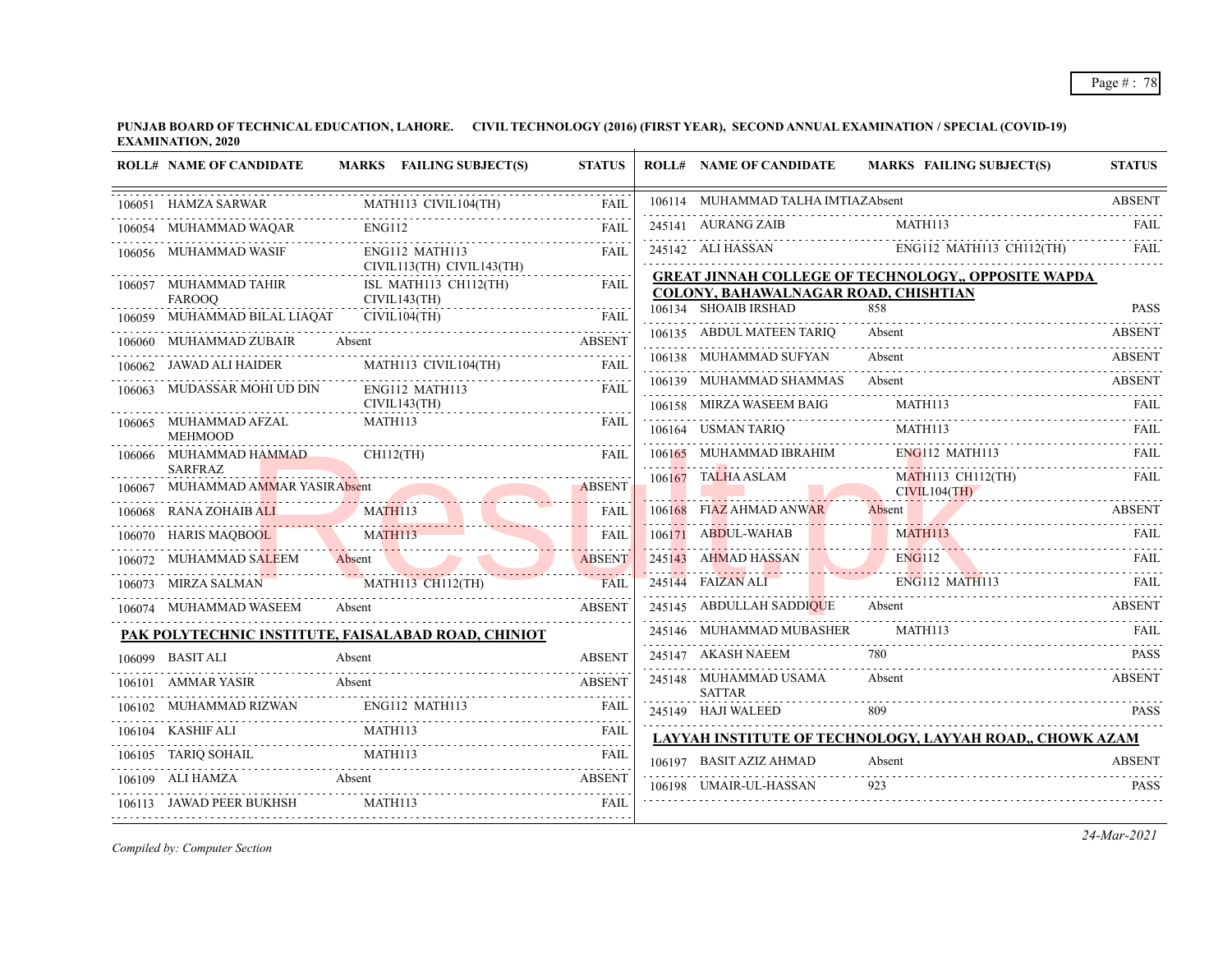|        | <b>ROLL# NAME OF CANDIDATE</b>                       | MARKS FAILING SUBJECT(S)                            | <b>STATUS</b> | <b>ROLL# NAME OF CANDIDATE</b>                               | <b>MARKS FAILING SUBJECT(S)</b>                            | <b>STATUS</b>  |
|--------|------------------------------------------------------|-----------------------------------------------------|---------------|--------------------------------------------------------------|------------------------------------------------------------|----------------|
|        | 106051 HAMZA SARWAR                                  | MATH113 CIVIL104(TH)                                | <b>FAIL</b>   | 106114 MUHAMMAD TALHA IMTIAZAbsent                           |                                                            | <b>ABSENT</b>  |
|        | 106054 MUHAMMAD WAQAR                                | <b>ENG112</b>                                       | <b>FAIL</b>   | 245141 AURANG ZAIB                                           | MATH113                                                    | FAIL           |
|        | 106056 MUHAMMAD WASIF                                | ENG112 MATH113<br>CIVIL113(TH) CIVIL143(TH)         | <b>FAIL</b>   | 245142 ALI HASSAN                                            | ENG112 MATH113 CH112(TH)                                   | FAIL           |
|        | 106057 MUHAMMAD TAHIR<br><b>FAROOO</b>               | ISL MATH113 CH112(TH)<br>CIVIL143(TH)               | .<br>FAIL     | COLONY, BAHAWALNAGAR ROAD, CHISHTIAN<br>106134 SHOAIB IRSHAD | GREAT JINNAH COLLEGE OF TECHNOLOGY,, OPPOSITE WAPDA<br>858 | <b>PASS</b>    |
|        | 106059 MUHAMMAD BILAL LIAQAT                         | CIVIL104(TH)                                        | FAIL          |                                                              |                                                            | .              |
|        | 106060 MUHAMMAD ZUBAIR                               | Absent                                              | <b>ABSENT</b> | 106135 ABDUL MATEEN TARIO                                    | Absent                                                     | <b>ABSENT</b>  |
|        | 106062 JAWAD ALI HAIDER                              | MATH113 CIVIL104(TH)                                | <b>FAIL</b>   | 106138 MUHAMMAD SUFYAN                                       | Absent                                                     | <b>ABSENT</b>  |
|        | 106063 MUDASSAR MOHI UD DIN                          | ENG112 MATH113<br>CIVIL143(TH)                      | FAIL          | 106139 MUHAMMAD SHAMMAS<br>106158 MIRZA WASEEM BAIG          | Absent<br><b>MATH113</b>                                   | ABSENT<br>FAIL |
|        | 106065 MUHAMMAD AFZAL<br><b>MEHMOOD</b>              | MATH113                                             | FAIL          | 106164 USMAN TARIO                                           | MATH113                                                    | FAIL           |
|        | 106066 MUHAMMAD HAMMAD                               | $CH112$ (TH)                                        | <b>FAIL</b>   | 106165 MUHAMMAD IBRAHIM                                      | ENG112 MATH113                                             | FAIL           |
|        | <b>SARFRAZ</b><br>106067 MUHAMMAD AMMAR YASIR Absent |                                                     | <b>ABSENT</b> | 106167 TALHA ASLAM                                           | <b>MATH113 CH112(TH)</b><br>CIVIL104(TH)                   | <b>FAIL</b>    |
|        | 106068 RANA ZOHAIB ALI                               | <b>MATH113</b>                                      | <b>FAIL</b>   | 106168 FIAZ AHMAD ANWAR                                      | Absent                                                     | <b>ABSENT</b>  |
|        | 106070 HARIS MAQBOOL                                 | MATH113<br>$M\Lambda11113$<br>$M\Lambda11113$       | <b>FAIL</b>   | 106171 ABDUL-WAHAB                                           | MATH113                                                    | <b>FAIL</b>    |
|        | 106072 MUHAMMAD SALEEM                               | Absent                                              | <b>ABSENT</b> | 245143 AHMAD HASSAN                                          | ENG112                                                     | <b>FAIL</b>    |
|        | 106073 MIRZA SALMAN                                  | LMAN MATHI13 CH112(TH) FAIL                         | <b>FAIL</b>   | 245144 FAIZAN ALI                                            | ENG112 MATH113                                             |                |
|        | 106074 MUHAMMAD WASEEM                               | Absent                                              | <b>ABSEN</b>  | 245145 ABDULLAH SADDIQUE                                     | Absent                                                     | <b>ABSENT</b>  |
|        |                                                      | PAK POLYTECHNIC INSTITUTE, FAISALABAD ROAD, CHINIOT |               | 245146 MUHAMMAD MUBASHER                                     | MATH113                                                    | <b>FAIL</b>    |
|        | 106099 BASIT ALI                                     | Absent                                              | <b>ABSENT</b> | 245147 AKASH NAEEM                                           |                                                            | <b>PASS</b>    |
|        | 106101 AMMAR YASIR                                   | Absent                                              | <b>ABSENT</b> | 245148 MUHAMMAD USAMA<br><b>SATTAR</b>                       | Absent                                                     | <b>ABSENT</b>  |
| 106102 | MUHAMMAD RIZWAN                                      | ENG112 MATH113                                      | FAIL          | 245149 HAJI WALEED                                           |                                                            | <b>PASS</b>    |
|        | 106104 KASHIF ALI                                    | MATH113                                             | <b>FAIL</b>   |                                                              | LAYYAH INSTITUTE OF TECHNOLOGY, LAYYAH ROAD,, CHOWK AZAM   |                |
|        | 106105 TARIQ SOHAIL                                  | MATH113                                             | FAIL          | 106197 BASIT AZIZ AHMAD                                      | Absent                                                     | <b>ABSENT</b>  |
|        | 106109 ALI HAMZA                                     | Absent                                              | <b>ABSENT</b> | 106198 UMAIR-UL-HASSAN                                       | 923                                                        | <b>PASS</b>    |
|        | 106113 JAWAD PEER BUKHSH                             | MATH113                                             | FAIL          |                                                              |                                                            |                |

*Compiled by: Computer Section*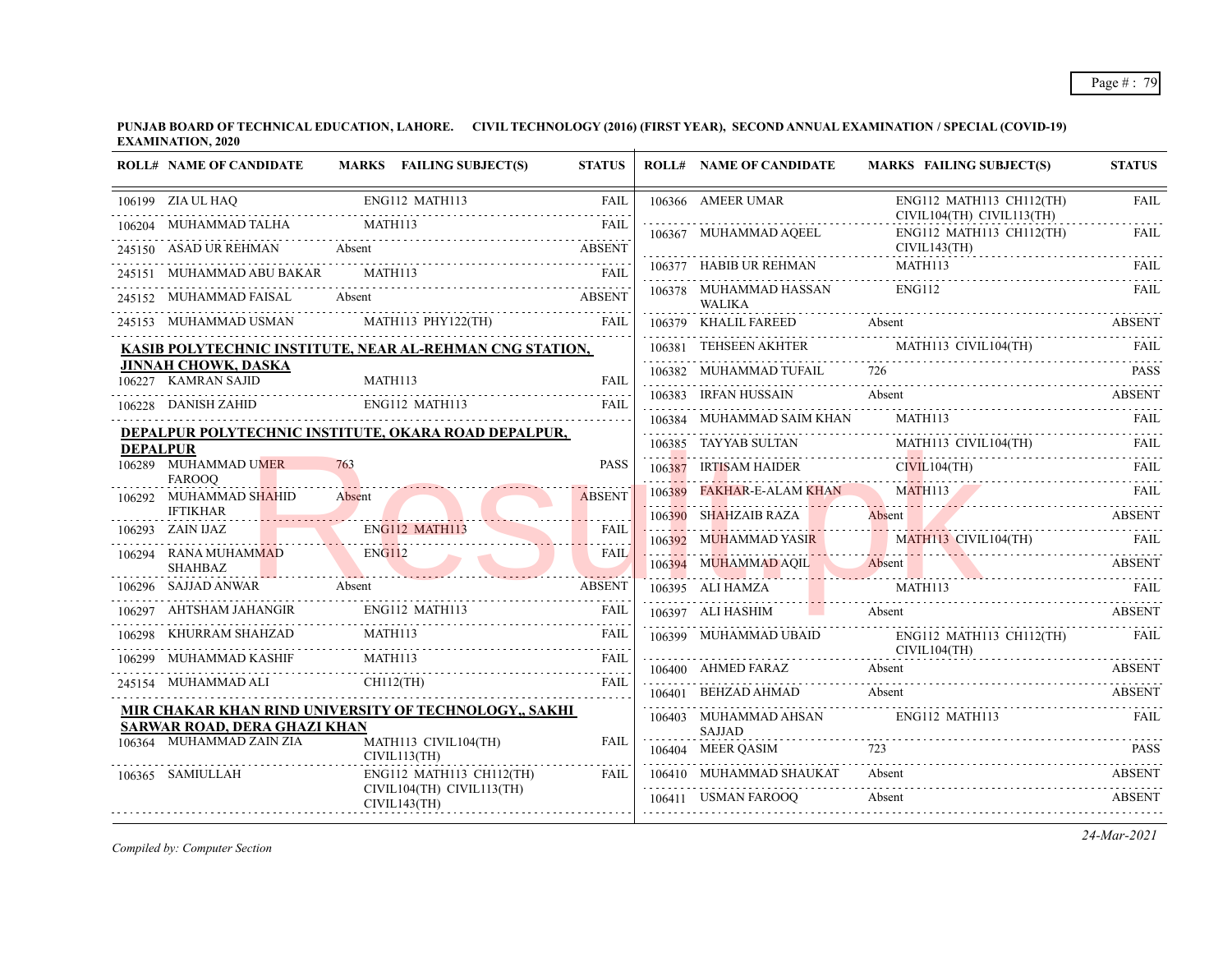**PUNJAB BOARD OF TECHNICAL EDUCATION, LAHORE. CIVIL TECHNOLOGY (2016) (FIRST YEAR), SECOND ANNUAL EXAMINATION / SPECIAL (COVID-19) EXAMINATION, 2020**

|                 | <b>ROLL# NAME OF CANDIDATE</b>                                  | MARKS FAILING SUBJECT(S)                                 | <b>STATUS</b>                |        | <b>ROLL# NAME OF CANDIDATE</b>          | <b>MARKS FAILING SUBJECT(S)</b>                       | <b>STATUS</b> |
|-----------------|-----------------------------------------------------------------|----------------------------------------------------------|------------------------------|--------|-----------------------------------------|-------------------------------------------------------|---------------|
|                 | 106199 ZIA UL HAQ                                               | ENG112 MATH113                                           | <b>FAIL</b>                  |        | 106366 AMEER UMAR                       | ENG112 MATH113 CH112(TH)<br>CIVIL104(TH) CIVIL113(TH) | <b>FAIL</b>   |
|                 | 106204 MUHAMMAD TALHA<br>245150 ASAD UR REHMAN                  | MATH113<br>Absent                                        | <b>FAIL</b><br><b>ABSENT</b> |        | 106367 MUHAMMAD AQEEL                   | ENG112 MATH113 CH112(TH)<br>CIVIL143(TH)              | <b>FAIL</b>   |
|                 | 245151 MUHAMMAD ABU BAKAR                                       | MATH113                                                  | <b>FAIL</b>                  |        | 106377 HABIB UR REHMAN                  | MATH113                                               | FAIL          |
|                 | 245152 MUHAMMAD FAISAL                                          | Absent                                                   | <b>ABSENT</b>                |        | 106378 MUHAMMAD HASSAN<br><b>WALIKA</b> | <b>ENG112</b>                                         | <b>FAIL</b>   |
|                 | 245153 MUHAMMAD USMAN                                           | MATH113 PHY122(TH)                                       | FAIL                         |        | 106379 KHALIL FAREED                    | Absent                                                | <b>ABSENT</b> |
|                 |                                                                 | KASIB POLYTECHNIC INSTITUTE, NEAR AL-REHMAN CNG STATION, |                              |        | 106381 TEHSEEN AKHTER                   | MATH113 CIVIL104(TH)                                  | FAII.         |
|                 | <b>JINNAH CHOWK, DASKA</b><br>106227 KAMRAN SAJID               | MATH113                                                  | FAIL                         |        | 106382 MUHAMMAD TUFAIL                  | 726                                                   | <b>PASS</b>   |
|                 | 106228 DANISH ZAHID                                             | ENG112 MATH113                                           | FAII.                        |        | 106383 IRFAN HUSSAIN                    | Absent                                                | ABSENT        |
|                 |                                                                 | DEPALPUR POLYTECHNIC INSTITUTE, OKARA ROAD DEPALPUR,     |                              |        | 106384 MUHAMMAD SAIM KHAN               | MATH113                                               | <b>FAIL</b>   |
| <b>DEPALPUR</b> |                                                                 |                                                          |                              |        | 106385 TAYYAB SULTAN                    | MATH113 CIVIL104(TH)                                  | FAII.         |
|                 | 106289 MUHAMMAD UMER<br><b>FAROOO</b>                           | 763                                                      | <b>PASS</b>                  |        | 106387 IRTISAM HAIDER                   | CIVIL104(TH)                                          | <b>FAIL</b>   |
|                 | 106292 MUHAMMAD SHAHID                                          | Absent                                                   | <b>ABSENT</b>                | 106389 | FAKHAR-E-ALAM KHAN                      | <b>MATH113</b>                                        | FAIL          |
|                 | <b>IFTIKHAR</b>                                                 |                                                          |                              |        |                                         | 106390 SHAHZAIB RAZA Absent ABSENT                    |               |
|                 | 106293 ZAIN IJAZ                                                | <b>ENG112 MATH113</b>                                    | <b>FAIL</b>                  |        |                                         | 106392 MUHAMMAD YASIR MATH113 CIVIL104(TH)            | FAIL          |
|                 | 106294 RANA MUHAMMAD<br><b>SHAHBAZ</b>                          | <b>ENG112</b>                                            | <b>FAIL</b>                  |        |                                         | 106394 MUHAMMAD AQIL Absent ABSENT                    |               |
|                 | 106296 SAJJAD ANWAR                                             | Absent                                                   | <b>ABSENT</b>                |        | 106395 ALI HAMZA                        | MATH113                                               | <b>FAIL</b>   |
| 106297          | AHTSHAM JAHANGIR                                                | ENG112 MATH113                                           | <b>FAIL</b>                  |        | 106397 ALI HASHIM                       | Absent                                                | <b>ABSENT</b> |
| 106298          | KHURRAM SHAHZAD                                                 | MATH113                                                  | <b>FAIL</b>                  |        | 106399 MUHAMMAD UBAID                   | $ENG112$ MATH113 CH112(TH)                            | <b>FAIL</b>   |
|                 | MUHAMMAD KASHIF                                                 | MATH113                                                  | <b>FAIL</b>                  |        | 106400 AHMED FARAZ                      | CIVIL104(TH)<br>Absent                                | <b>ABSENT</b> |
|                 | 245154 MUHAMMAD ALI CH112(TH)                                   |                                                          | <b>FAIL</b><br>1.1.1.1.1     |        | 106401 BEHZAD AHMAD                     | Absent                                                | <b>ABSENT</b> |
|                 |                                                                 | MIR CHAKAR KHAN RIND UNIVERSITY OF TECHNOLOGY., SAKHI    |                              |        | 106403 MUHAMMAD AHSAN                   | ENG112 MATH113                                        | FAIL          |
|                 | <b>SARWAR ROAD, DERA GHAZI KHAN</b><br>106364 MUHAMMAD ZAIN ZIA | MATH113 CIVIL104(TH)<br>CIVIL113(TH)                     | <b>FAIL</b>                  |        | <b>SAJJAD</b><br>106404 MEER QASIM      |                                                       | <b>PASS</b>   |
|                 | 106365 SAMIULLAH                                                | ENG112 MATH113 CH112(TH)<br>CIVIL104(TH) CIVIL113(TH)    | <b>FAIL</b>                  |        | 106410 MUHAMMAD SHAUKAT                 | Absent                                                | <b>ABSENT</b> |
|                 |                                                                 | CIVIL143(TH)                                             |                              |        | 106411 USMAN FAROOQ                     | Absent                                                | <b>ABSENT</b> |

*Compiled by: Computer Section*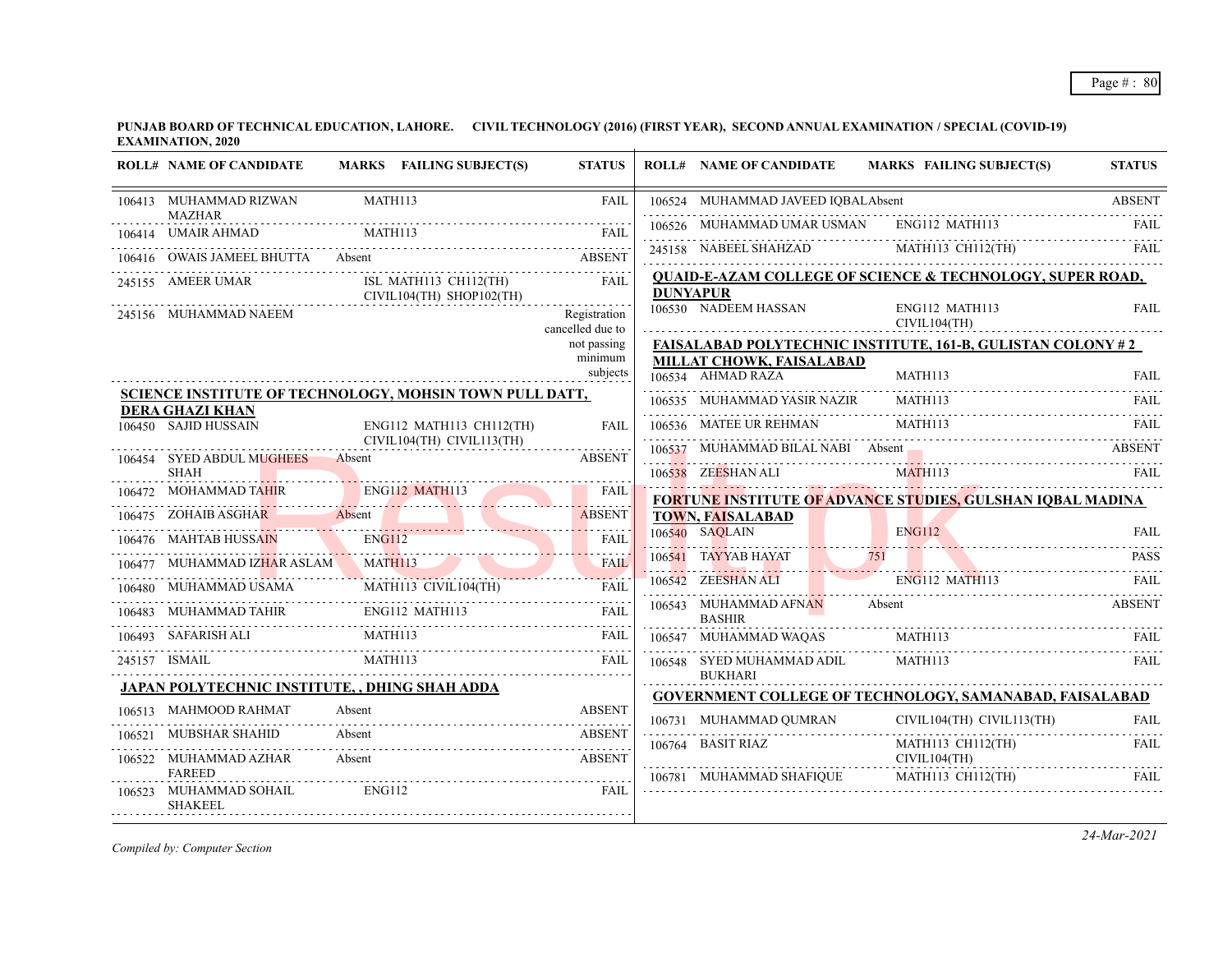| <b>ROLL# NAME OF CANDIDATE</b>                                      | MARKS FAILING SUBJECT(S)                                       | <b>STATUS</b>                    |                 | <b>ROLL# NAME OF CANDIDATE</b>                | MARKS FAILING SUBJECT(S)                                          | <b>STATUS</b> |
|---------------------------------------------------------------------|----------------------------------------------------------------|----------------------------------|-----------------|-----------------------------------------------|-------------------------------------------------------------------|---------------|
| 106413 MUHAMMAD RIZWAN                                              | MATH113                                                        | <b>FAIL</b>                      |                 | 106524 MUHAMMAD JAVEED IQBALAbsent            |                                                                   | <b>ABSENT</b> |
| <b>MAZHAR</b><br>106414 UMAIR AHMAD                                 | <b>MATH113</b>                                                 | FAIL                             |                 | 106526 MUHAMMAD UMAR USMAN                    | ENG112 MATH113                                                    |               |
| 106416 OWAIS JAMEEL BHUTTA Absent                                   |                                                                | <b>ABSENT</b>                    |                 |                                               | 245158 NABEEL SHAHZAD MATHI13 CH112(TH) FAIL                      |               |
| 245155 AMEER UMAR                                                   | ISL MATH113 CH112(TH)                                          | FAII.                            |                 |                                               | QUAID-E-AZAM COLLEGE OF SCIENCE & TECHNOLOGY, SUPER ROAD,         |               |
| 245156 MUHAMMAD NAEEM                                               | CIVIL104(TH) SHOP102(TH)                                       | Registration<br>cancelled due to | <b>DUNYAPUR</b> | 106530 NADEEM HASSAN                          | ENG112 MATH113<br>CIVIL104(TH)                                    | <b>FAIL</b>   |
|                                                                     |                                                                | not passing                      |                 |                                               | <b>FAISALABAD POLYTECHNIC INSTITUTE, 161-B, GULISTAN COLONY#2</b> |               |
|                                                                     |                                                                | minimum<br>subjects              |                 | MILLAT CHOWK, FAISALABAD<br>106534 AHMAD RAZA | MATH113                                                           | <b>FAIL</b>   |
|                                                                     | <b>SCIENCE INSTITUTE OF TECHNOLOGY, MOHSIN TOWN PULL DATT,</b> |                                  |                 | 106535 MUHAMMAD YASIR NAZIR                   | MATH113                                                           | .<br>FAIL     |
| <b>DERA GHAZI KHAN</b><br>106450 SAJID HUSSAIN                      | ENG112 MATH113 CH112(TH)                                       | <b>FAIL</b>                      |                 | 106536 MATEE UR REHMAN                        | <b>MATH113</b>                                                    | FAIL.         |
|                                                                     | CIVIL104(TH) CIVIL113(TH)                                      | .                                |                 | 106537 MUHAMMAD BILAL NABI Absent             |                                                                   | ABSENT        |
| 106454 SYED ABDUL MUGHEES<br><b>SHAH</b>                            | Absent                                                         | <b>ABSENT</b>                    |                 | 106538 ZEESHAN ALI                            | MATH113                                                           |               |
| 106472 MOHAMMAD TAHIR                                               | <b>ENG112 MATH113</b>                                          | <b>FAIL</b>                      |                 |                                               | <b>FORTUNE INSTITUTE OF ADVANCE STUDIES, GULSHAN IQBAL MADINA</b> |               |
|                                                                     | 106475 ZOHAIB ASGHAR Absent                                    | ABSENT                           |                 | <b>TOWN, FAISALABAD</b>                       |                                                                   |               |
| 106476 MAHTAB HUSSAIN<br><b>Contract Contract Contract Contract</b> | ENG112                                                         | .<br><b>FAIL</b>                 |                 | 106540 SAOLAIN                                | <b>ENG112</b>                                                     | <b>FAIL</b>   |
| 106477 MUHAMMAD IZHAR ASLAM                                         | MATH113<br>06477 MUHAMMAD IZHAR ASLAM MATHI13                  | <b>FAIL</b>                      |                 | 106541 TAYYAB HAYAT                           | 751                                                               | <b>PASS</b>   |
| 106480 MUHAMMAD USAMA                                               | MATH113 CIVIL104(TH)                                           | وأعادته والمناور<br>FAIL         |                 | 106542 ZEESHAN ALI                            | <b>ENG112 MATH113</b>                                             | FAII.         |
| 106483 MUHAMMAD TAHIR ENG112 MATH113                                |                                                                | <b>FAIL</b>                      |                 | 106543 MUHAMMAD AFNAN<br><b>BASHIR</b>        | Absent                                                            | <b>ABSENT</b> |
| 106493 SAFARISH ALI                                                 | MATH113                                                        | FAIL                             |                 | 106547 MUHAMMAD WAQAS                         | MATH113                                                           | FAIL          |
| 245157 ISMAIL                                                       | MATH113                                                        |                                  |                 | 106548 SYED MUHAMMAD ADIL                     | MATH113                                                           | <b>FAIL</b>   |
|                                                                     | <b>JAPAN POLYTECHNIC INSTITUTE, , DHING SHAH ADDA</b>          |                                  |                 | <b>BUKHARI</b>                                | <b>GOVERNMENT COLLEGE OF TECHNOLOGY, SAMANABAD, FAISALABAD</b>    |               |
| 106513 MAHMOOD RAHMAT                                               | Absent                                                         | <b>ABSENT</b>                    |                 |                                               | CIVIL104(TH) CIVIL113(TH)                                         | <b>FAIL</b>   |
| 106521 MUBSHAR SHAHID                                               | Absent                                                         | <b>ABSENT</b>                    |                 | 106764 BASIT RIAZ                             | MATH113 CH112(TH)                                                 | FAIL          |
| 106522 MUHAMMAD AZHAR<br><b>FAREED</b>                              | Absent                                                         | <b>ABSENT</b>                    |                 |                                               | CIVIL104(TH)                                                      | .             |
| 106523 MUHAMMAD SOHAIL<br><b>SHAKEEL</b>                            | ENG112                                                         | FAIL                             |                 | 106781 MUHAMMAD SHAFIQUE                      | MATH113 CH112(TH)                                                 | FAIL          |

*Compiled by: Computer Section*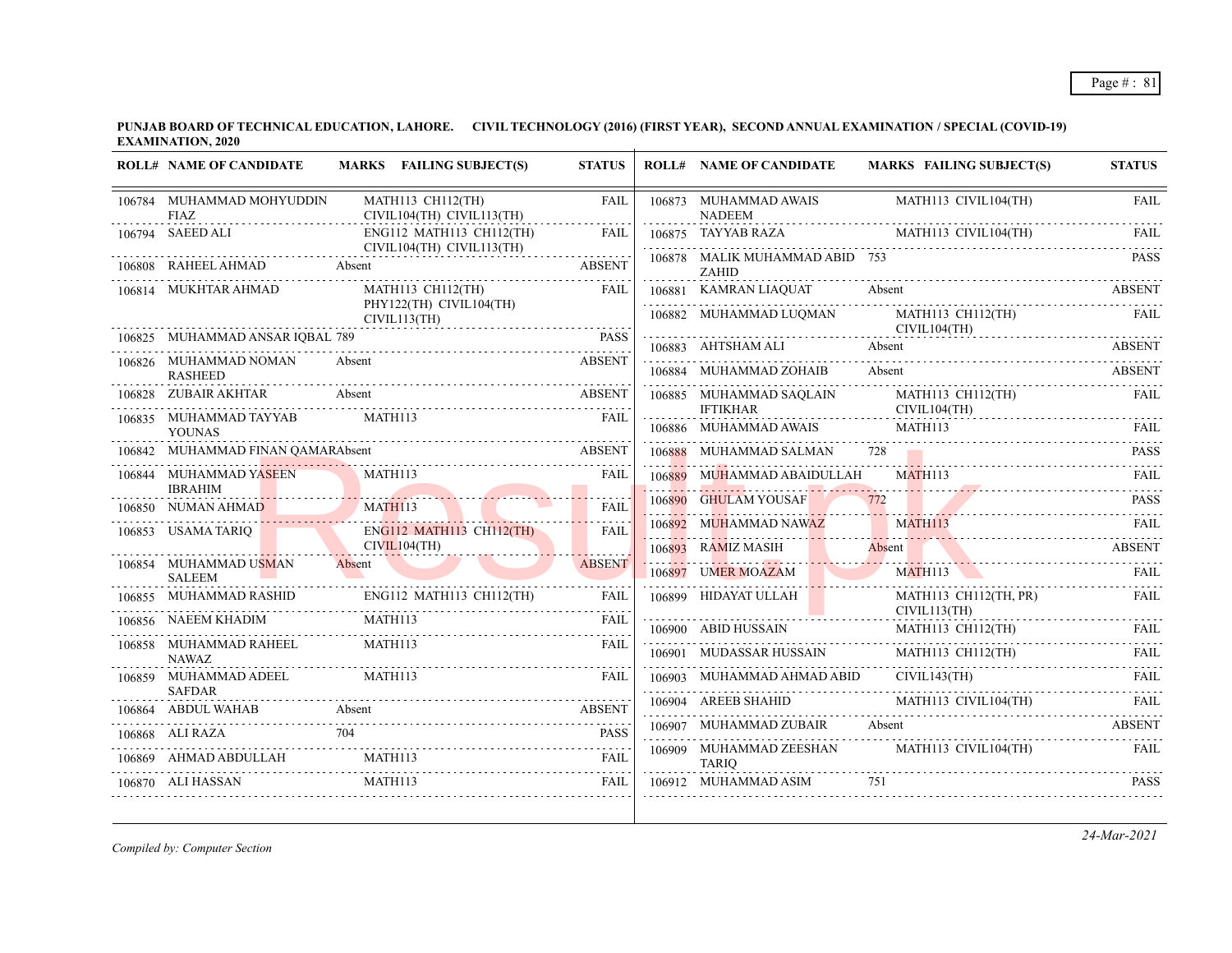**PUNJAB BOARD OF TECHNICAL EDUCATION, LAHORE. CIVIL TECHNOLOGY (2016) (FIRST YEAR), SECOND ANNUAL EXAMINATION / SPECIAL (COVID-19) EXAMINATION, 2020**

| <b>ROLL# NAME OF CANDIDATE</b>                | MARKS FAILING SUBJECT(S)                                                                                                                                 | <b>STATUS</b> | <b>ROLL# NAME OF CANDIDATE</b>                       | <b>MARKS FAILING SUBJECT(S)</b>            | <b>STATUS</b> |
|-----------------------------------------------|----------------------------------------------------------------------------------------------------------------------------------------------------------|---------------|------------------------------------------------------|--------------------------------------------|---------------|
| 106784 MUHAMMAD MOHYUDDIN<br><b>FIAZ</b><br>. | MATH113 CH112(TH)<br>CIVIL104(TH) CIVIL113(TH)                                                                                                           | <b>FAIL</b>   | 106873 MUHAMMAD AWAIS<br><b>NADEEM</b>               | MATH113 CIVIL104(TH)                       | <b>FAIL</b>   |
| 106794 SAEED ALI                              | ENG112 MATH113 CH112(TH)                                                                                                                                 | <b>FAIL</b>   | 106875 TAYYAB RAZA                                   | MATH113 CIVIL104(TH)                       | <b>FAIL</b>   |
| 106808 RAHEEL AHMAD Absent                    | CIVIL104(TH) CIVIL113(TH)                                                                                                                                | <b>ABSENT</b> | 106878 MALIK MUHAMMAD ABID 753<br><b>ZAHID</b>       |                                            | <b>PASS</b>   |
| 106814 MUKHTAR AHMAD                          | MATH113 CH112(TH)                                                                                                                                        | FAIL          |                                                      | 106881 KAMRAN LIAQUAT Absent ABSENT ABSENT |               |
|                                               | PHY122(TH) CIVIL104(TH)<br>CIVIL113(TH)                                                                                                                  |               | 106882 MUHAMMAD LUQMAN                               | MATH113 CH112(TH)                          | FAIL          |
| 106825 MUHAMMAD ANSAR IQBAL 789               |                                                                                                                                                          | PASS          | 106883 AHTSHAM ALI Absent                            | CIVIL104(TH)                               | ABSENT        |
| 106826 MUHAMMAD NOMAN                         | Absent                                                                                                                                                   | <b>ABSENT</b> | 106884 MUHAMMAD ZOHAIB                               | Absent                                     | <b>ABSENT</b> |
| <b>RASHEED</b><br>106828 ZUBAIR AKHTAR        | Absent                                                                                                                                                   | <b>ABSENT</b> | 106885 MUHAMMAD SAQLAIN                              | MATH113 CH112(TH)                          | FAIL          |
| 106835 MUHAMMAD TAYYAB                        | MATH113                                                                                                                                                  | <b>FAIL</b>   | <b>IFTIKHAR</b><br>.                                 | CIVIL104(TH)                               |               |
| <b>YOUNAS</b>                                 |                                                                                                                                                          |               |                                                      | 106886 MUHAMMAD AWAIS MATH113              | <b>FAIL</b>   |
| 106842 MUHAMMAD FINAN QAMARAbsent             |                                                                                                                                                          | <b>ABSENT</b> | 106888 MUHAMMAD SALMAN                               | 728                                        | <b>PASS</b>   |
| 106844 MUHAMMAD YASEEN<br><b>IBRAHIM</b>      | MATH113                                                                                                                                                  | <b>FAIL</b>   | 106889 MUHAMMAD ABAIDULLAH                           | MATH113                                    | FAII.         |
| 106850 NUMAN AHMAD                            | <u> 2000 - Januar Stein, francuski filozof (</u><br>MATH113                                                                                              | FAIL          | 106890 GHULAM YOUSAF                                 | 106890 GHULAM YOUSAF 772 PASS              | <b>PASS</b>   |
| 106853 USAMA TARIQ                            | ENG112 MATH113 CH112(TH)                                                                                                                                 | <b>FAIL</b>   | 106892 MUHAMMAD NAWAZ MATH113                        |                                            | FAII.         |
|                                               | CIVIL104(TH)                                                                                                                                             |               |                                                      | 106893 RAMIZ MASIH Absent ABSENT ABSENT    |               |
| 106854 MUHAMMAD USMAN<br><b>SALEEM</b>        | Absent                                                                                                                                                   | <b>ABSENT</b> | 106897 UMER MOAZAM                                   | MATH113                                    |               |
| 106855 MUHAMMAD RASHID                        | $R_{\text{S55}}$ MUHAMMAD RASHID ENG112 MATH113 CH112(111)<br>$R_{\text{S56}}$ MUHAMMAD RASHID MATH113 CH112(111)<br>$R_{\text{S66}}$ FEM WHADIM MATH113 |               | 106899 HIDAYAT ULLAH                                 | MATH113 CH112(TH, PR)                      | FAIL          |
| 106856 NAEEM KHADIM                           |                                                                                                                                                          |               | $\frac{CIVIL113(TH)}{106900}$<br>106900 ABID HUSSAIN | MATH113 CH112(TH)                          | <b>FAIL</b>   |
| 106858 MUHAMMAD RAHEEL<br><b>NAWAZ</b>        | MATH113                                                                                                                                                  | FAIL          | 106901 MUDASSAR HUSSAIN                              | MATH113 CH112(TH)                          | FAII.         |
| 106859 MUHAMMAD ADEEL<br><b>SAFDAR</b>        | MATH113                                                                                                                                                  | <b>FAIL</b>   | 106903 MUHAMMAD AHMAD ABID CIVIL143(TH)              |                                            | <b>FAIL</b>   |
|                                               | 106864 ABDUL WAHAB Absent ABSENT                                                                                                                         | <b>ABSENT</b> |                                                      | 106904 AREEB SHAHID MATH113 CIVIL104(TH)   | FAII.         |
| 106868 ALI RAZA 704                           |                                                                                                                                                          | <b>PASS</b>   |                                                      | 106907 MUHAMMAD ZUBAIR Absent              | <b>ABSENT</b> |
| 106869 AHMAD ABDULLAH                         | MATH113                                                                                                                                                  |               | 106909 MUHAMMAD ZEESHAN<br><b>TARIQ</b>              | MATH113 CIVIL104(TH)                       | <b>FAIL</b>   |
| 106870 ALI HASSAN                             | MATH113                                                                                                                                                  | <b>FAIL</b>   | 106912 MUHAMMAD ASIM                                 | 751                                        | <b>PASS</b>   |

*Compiled by: Computer Section*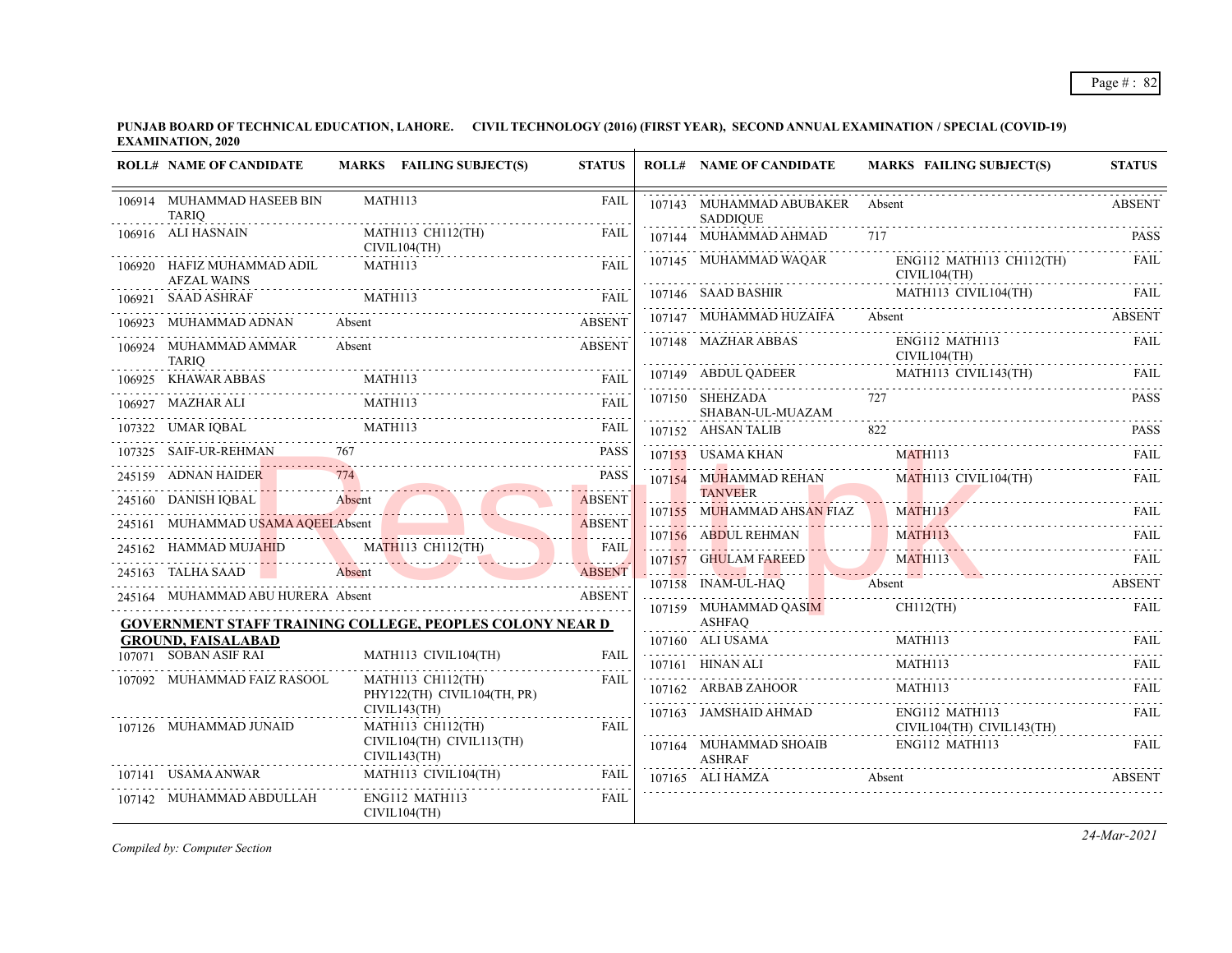|        | <b>ROLL# NAME OF CANDIDATE</b>                         | MARKS FAILING SUBJECT(S)                                         | <b>STATUS</b> | <b>ROLL# NAME OF CANDIDATE</b>                     | <b>MARKS FAILING SUBJECT(S)</b>                          | <b>STATUS</b> |
|--------|--------------------------------------------------------|------------------------------------------------------------------|---------------|----------------------------------------------------|----------------------------------------------------------|---------------|
|        | 106914 MUHAMMAD HASEEB BIN<br><b>TARIO</b><br><u>.</u> | MATH113                                                          | <b>FAIL</b>   | 107143 MUHAMMAD ABUBAKER Absent<br><b>SADDIOUE</b> |                                                          | <b>ABSENT</b> |
|        | 106916 ALI HASNAIN                                     | MATH113 CH112(TH)<br>CIVIL104(TH)                                | <b>FAIL</b>   | 107144 MUHAMMAD AHMAD                              |                                                          |               |
|        | 106920 HAFIZ MUHAMMAD ADIL<br><b>AFZAL WAINS</b>       | MATH113                                                          | <b>FAIL</b>   | 107145 MUHAMMAD WAQAR<br>CIVIL104(TH)              | ENG112 MATH113 CH112(TH)                                 | FAIL          |
| 106921 | <b>SAAD ASHRAF</b>                                     | $\begin{minipage}{.4\linewidth} \textbf{MATH113} \end{minipage}$ | <b>FAIL</b>   |                                                    | 107146 SAAD BASHIR MATH113 CIVIL104(TH)                  | - FAIL        |
|        | MUHAMMAD ADNAN                                         | Absent                                                           | <b>ABSENT</b> | 107147 MUHAMMAD HUZAIFA                            | Absent                                                   | <b>ABSENT</b> |
|        | 106924 MUHAMMAD AMMAR<br><b>TARIO</b>                  | Absent                                                           | <b>ABSENT</b> | 107148 MAZHAR ABBAS<br>CIVIL104(TH)                | ENG112 MATH113                                           | <b>FAIL</b>   |
|        | .                                                      | 106925 KHAWAR ABBAS MATHI13 FAIL                                 |               |                                                    | 107149 ABDUL QADEER MATH113 CIVIL143(TH) FAIL            |               |
|        | 106927 MAZHAR ALI                                      | <b>MATH113</b>                                                   | <b>FAIL</b>   | 107150 SHEHZADA<br>SHABAN-UL-MUAZAM                | 727                                                      | <b>PASS</b>   |
|        | 107322 UMAR IOBAL                                      | MATH113                                                          |               | 107152 AHSAN TALIB                                 | 822                                                      | <b>PASS</b>   |
|        | 107325 SAIF-UR-REHMAN                                  |                                                                  | <b>PASS</b>   | 107153 USAMA KHAN                                  | MATH113                                                  | FAII.         |
|        | 245159 ADNAN HAIDER                                    |                                                                  | <b>PASS</b>   | 107154 MUHAMMAD REHAN                              | MATH113 CIVIL104(TH)                                     | FAIL.         |
|        |                                                        | 245160 DANISH IQBAL Absent Absent ABSENT                         |               | <b>TANVEER</b><br>107155 MUHAMMAD AHSAN FIAZ       | <u> Maria Maria Anglica (m. 1918).</u><br><b>MATH113</b> | <b>FAIL</b>   |
|        |                                                        | 245161 MUHAMMAD USAMA AQEELAbsent                                | <b>ABSENT</b> |                                                    | 107156 ABDUL REHMAN MATH113                              |               |
|        |                                                        | 245162 HAMMAD MUJAHID MATH113 CH112(TH)                          | <b>FAIL</b>   |                                                    |                                                          |               |
|        | 245163 TALHA SAAD                                      | Absent ABSENT                                                    |               | 107158 INAM-UL-HAQ                                 | 107157 GHULAM FAREED MATH113 FAIL<br>Absent              | <b>ABSENT</b> |
|        | 245164 MUHAMMAD ABU HURERA Absent                      |                                                                  | <b>ABSENT</b> | 107159 MUHAMMAD QASIM                              | CH112(TH)                                                | FAIL.         |
|        |                                                        | <b>GOVERNMENT STAFF TRAINING COLLEGE, PEOPLES COLONY NEAR D</b>  |               | ASHFAQ                                             |                                                          |               |
|        | <b>GROUND, FAISALABAD</b><br>107071 SOBAN ASIF RAI     |                                                                  |               | 107160 ALI USAMA                                   |                                                          |               |
|        |                                                        | MATH113 CIVIL104(TH)                                             | FAII.         |                                                    | MATH113                                                  |               |
|        | 107092 MUHAMMAD FAIZ RASOOL                            | <b>MATH113 CH112(TH)</b><br>PHY122(TH) CIVIL104(TH, PR)          | FAII.         | 107162 ARBAB ZAHOOR                                | MATH113                                                  | <b>FAIL</b>   |
|        | 107126 MUHAMMAD JUNAID                                 | CIVIL143(TH)<br>MATH113 CH112(TH)                                | <b>FAIL</b>   | 107163 JAMSHAID AHMAD                              | ENG112 MATH113<br>CIVIL104(TH) CIVIL143(TH)              | FAIL          |
|        |                                                        | CIVIL104(TH) CIVIL113(TH)<br>CIVIL143(TH)                        |               | 107164 MUHAMMAD SHOAIB<br><b>ASHRAF</b>            | ENG112 MATH113                                           | FAIL.         |
|        | 107141 USAMA ANWAR                                     | MATH113 CIVIL104(TH)                                             | FAIL          | 107165 ALI HAMZA                                   | Absent                                                   | <b>ABSENT</b> |
|        | 107142 MUHAMMAD ABDULLAH                               | ENG112 MATH113<br>CIVIL104(TH)                                   | <b>FAIL</b>   |                                                    |                                                          |               |

*Compiled by: Computer Section*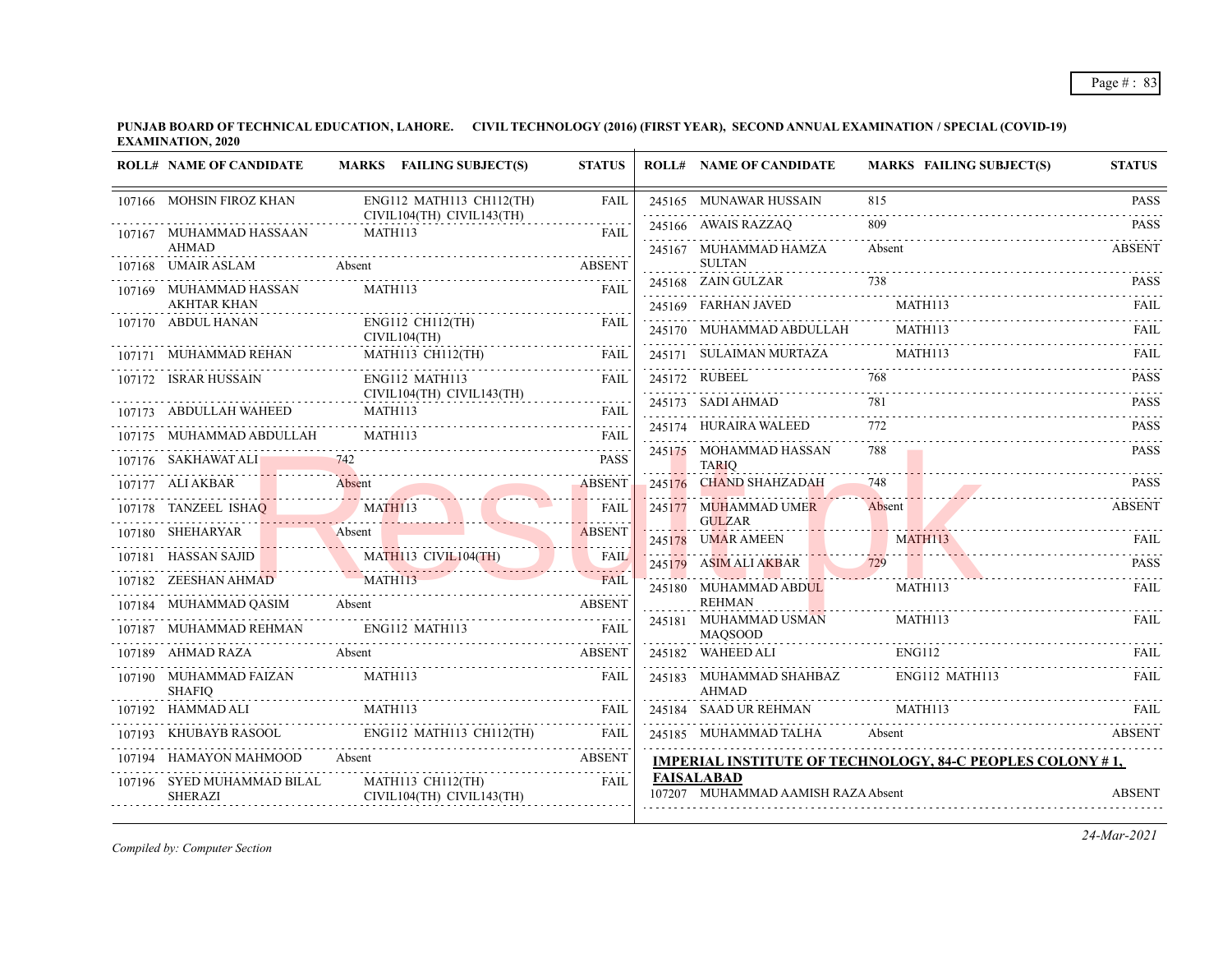|        | <b>ROLL# NAME OF CANDIDATE</b>               | MARKS FAILING SUBJECT(S)                              | <b>STATUS</b>                       |        | <b>ROLL# NAME OF CANDIDATE</b>                          | <b>MARKS FAILING SUBJECT(S)</b>                                  | <b>STATUS</b>    |
|--------|----------------------------------------------|-------------------------------------------------------|-------------------------------------|--------|---------------------------------------------------------|------------------------------------------------------------------|------------------|
|        | 107166 MOHSIN FIROZ KHAN                     | ENG112 MATH113 CH112(TH)                              | FAIL                                |        | 245165 MUNAWAR HUSSAIN                                  | 815                                                              | <b>PASS</b>      |
|        | 107167 MUHAMMAD HASSAAN                      | CIVIL104(TH) CIVIL143(TH)<br>MATH113                  | FAIL                                |        | 245166 AWAIS RAZZAQ                                     | 809                                                              | <b>PASS</b>      |
|        | <b>AHMAD</b>                                 |                                                       |                                     |        | 245167 MUHAMMAD HAMZA<br><b>SULTAN</b>                  | Absent                                                           | <b>ABSENT</b>    |
|        | 107168 UMAIR ASLAM                           | Absent                                                | <b>ABSENT</b><br>$- - - - -$        |        | 245168 ZAIN GULZAR                                      | 738                                                              | <b>PASS</b>      |
|        | 107169 MUHAMMAD HASSAN<br><b>AKHTAR KHAN</b> | MATH113                                               | <b>FAIL</b>                         |        | 245169 FARHAN JAVED                                     | MATH113                                                          | <b>FAIL</b>      |
|        | 107170 ABDUL HANAN                           | ENG112 CH112(TH)<br>CIVIL104(TH)                      | FAIL                                |        | 245170 MUHAMMAD ABDULLAH                                | MATH113                                                          | <b>FAIL</b>      |
|        | 107171 MUHAMMAD REHAN                        | MATH113 CH112(TH)                                     | <b>FAIL</b>                         |        | 245171 SULAIMAN MURTAZA                                 | MATH113                                                          | <b>FAIL</b>      |
|        | 107172 ISRAR HUSSAIN                         | ENG112 MATH113                                        | <b>FAIL</b>                         |        | 245172 RUBEEL                                           |                                                                  | <b>PASS</b><br>. |
|        | 107173 ABDULLAH WAHEED                       | CIVIL104(TH) CIVIL143(TH)<br>MATH113                  | FAIL                                |        | 245173 SADI AHMAD                                       | 781                                                              | <b>PASS</b>      |
|        | 107175 MUHAMMAD ABDULLAH                     | MATH113                                               | FAIL                                |        | 245174 HURAIRA WALEED                                   | 772<br>.                                                         | <b>PASS</b>      |
|        | 107176 SAKHAWAT ALI                          |                                                       | $\omega$ is a set of<br><b>PASS</b> |        | 245175 MOHAMMAD HASSAN<br><b>TARIQ</b>                  | 788                                                              | <b>PASS</b>      |
|        | 107177 ALI AKBAR                             | Absent                                                | <b>ABSENT</b>                       |        | 245176 CHAND SHAHZADAH                                  | 748                                                              | <b>PASS</b>      |
|        | 107178 TANZEEL ISHAQ                         | MATH113                                               | <b>FAIL</b>                         |        | 245177 MUHAMMAD UMER                                    | Absent                                                           | <b>ABSENT</b>    |
|        | 107180 SHEHARYAR                             | Absent                                                | <b>ABSENT</b>                       |        | <b>GULZAR</b><br>245178 UMAR AMEEN                      | <b>MATH113</b>                                                   | FAIL             |
|        | 107181 HASSAN SAJID                          | MATH113 CIVIL104(TH)                                  | <b>FAIL</b><br>1.1.1                | 245179 | ASIM ALI AKBAR                                          | 729                                                              | <b>PASS</b>      |
|        | 107182 ZEESHAN AHMAD                         | MATH113                                               | FA <sub>II</sub>                    |        | 245180 MUHAMMAD ABDUL                                   | MATH113                                                          | FAIL             |
|        | 107184 MUHAMMAD QASIM Absent                 |                                                       | <b>ABSENT</b>                       |        | <b>REHMAN</b>                                           |                                                                  |                  |
|        | 107187 MUHAMMAD REHMAN                       | ENG112 MATH113                                        | <b>FAIL</b>                         |        | 245181 MUHAMMAD USMAN<br><b>MAQSOOD</b>                 | MATH113                                                          | FAIL             |
|        | 107189 AHMAD RAZA                            | Absent                                                | <b>ABSENT</b>                       |        | 245182 WAHEED ALI                                       | <b>ENG112</b>                                                    | FAIL             |
|        | 107190 MUHAMMAD FAIZAN<br><b>SHAFIO</b>      | <b>MATH113</b>                                        | <b>FAIL</b>                         |        | 245183 MUHAMMAD SHAHBAZ<br><b>AHMAD</b>                 | ENG112 MATH113                                                   | FAII.            |
|        | 107192 HAMMAD ALI                            | <b>MATH113</b>                                        | FAIL                                |        | 245184 SAAD UR REHMAN                                   | MATH113                                                          | FAIL             |
|        | KHUBAYB RASOOL                               | ENG112 MATH113 CH112(TH)                              | FAIL                                |        | 245185 MUHAMMAD TALHA                                   | Absent                                                           | <b>ABSENT</b>    |
| 107194 | HAMAYON MAHMOOD                              | Absent                                                | <b>ABSENT</b>                       |        |                                                         | <b>IMPERIAL INSTITUTE OF TECHNOLOGY, 84-C PEOPLES COLONY #1,</b> |                  |
|        | 107196 SYED MUHAMMAD BILAL<br><b>SHERAZI</b> | <b>MATH113 CH112(TH)</b><br>CIVIL104(TH) CIVIL143(TH) | <b>FAIL</b>                         |        | <b>FAISALABAD</b><br>107207 MUHAMMAD AAMISH RAZA Absent |                                                                  | <b>ABSENT</b>    |

*Compiled by: Computer Section*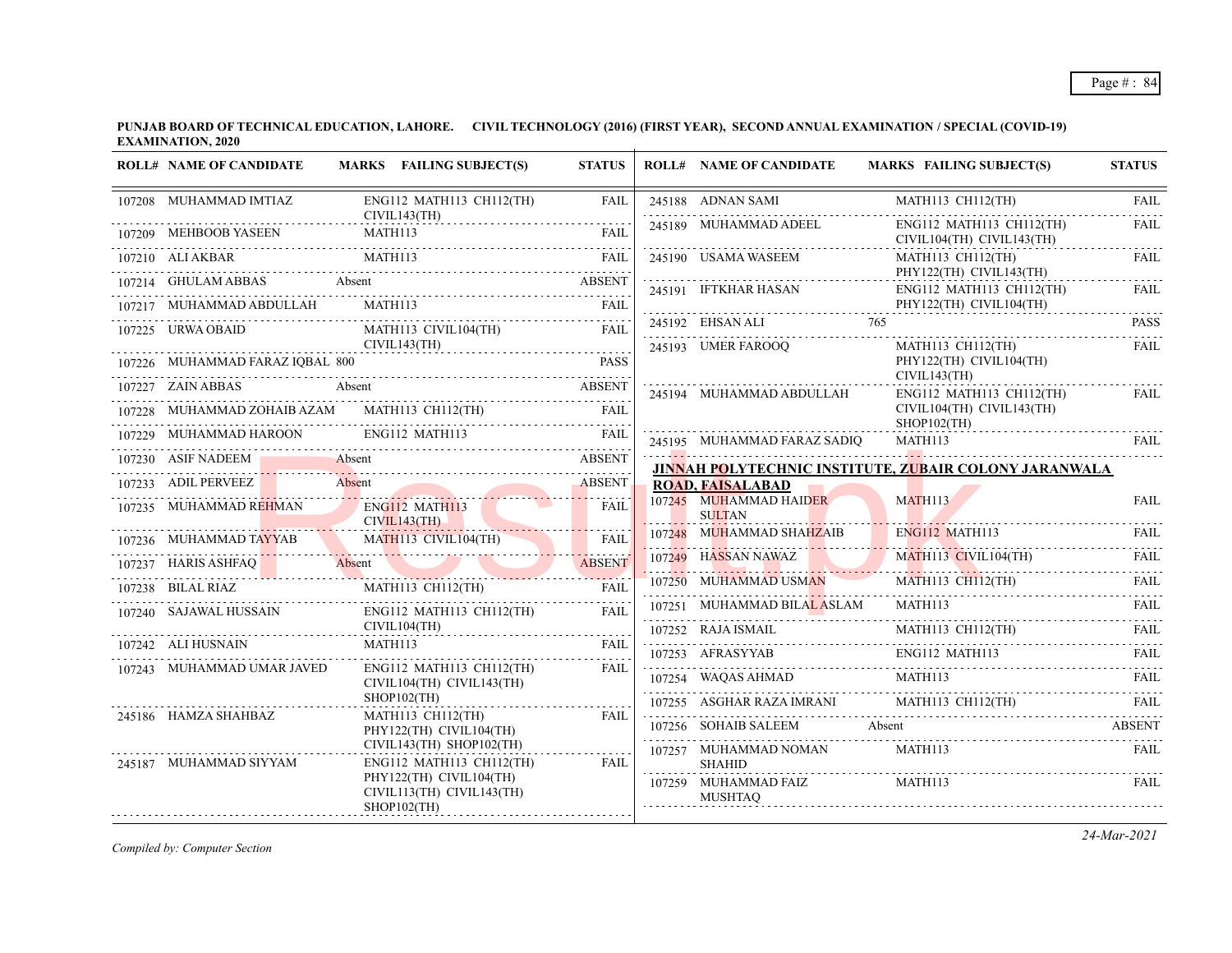| <b>ROLL# NAME OF CANDIDATE</b>   | MARKS FAILING SUBJECT(S)                                                                                                                                                                                                                                                                                                                                                                                                 | <b>STATUS</b> | <b>ROLL# NAME OF CANDIDATE</b>          | MARKS FAILING SUBJECT(S)                                                                                                                                                                                                                                                                                                                                                                                                                                     | <b>STATUS</b>                       |
|----------------------------------|--------------------------------------------------------------------------------------------------------------------------------------------------------------------------------------------------------------------------------------------------------------------------------------------------------------------------------------------------------------------------------------------------------------------------|---------------|-----------------------------------------|--------------------------------------------------------------------------------------------------------------------------------------------------------------------------------------------------------------------------------------------------------------------------------------------------------------------------------------------------------------------------------------------------------------------------------------------------------------|-------------------------------------|
| 107208 MUHAMMAD IMTIAZ           | ENG112 MATH113 CH112(TH)                                                                                                                                                                                                                                                                                                                                                                                                 | <b>FAIL</b>   | 245188 ADNAN SAMI                       | MATH113 CH112(TH)                                                                                                                                                                                                                                                                                                                                                                                                                                            | <b>FAIL</b><br>$\omega$ is a second |
|                                  | CIVIL143(TH)<br>107209 MEHBOOB YASEEN MATH113 FAIL FAIL                                                                                                                                                                                                                                                                                                                                                                  |               | 245189 MUHAMMAD ADEEL                   | ENG112 MATH113 CH112(TH)<br>CIVIL104(TH) CIVIL143(TH)                                                                                                                                                                                                                                                                                                                                                                                                        | FAIL                                |
| 107210 ALI AKBAR                 | MATH113                                                                                                                                                                                                                                                                                                                                                                                                                  | <b>FAIL</b>   | 245190 USAMA WASEEM                     | MATH113 CH112(TH)<br>PHY122(TH) CIVIL143(TH)                                                                                                                                                                                                                                                                                                                                                                                                                 | <b>FAIL</b>                         |
|                                  | 107214 GHULAM ABBAS Absent ABSENT                                                                                                                                                                                                                                                                                                                                                                                        |               | 245191 IFTKHAR HASAN                    | ENG112 MATH113 CH112(TH)                                                                                                                                                                                                                                                                                                                                                                                                                                     | <b>FAIL</b>                         |
| 107217 MUHAMMAD ABDULLAH MATH113 |                                                                                                                                                                                                                                                                                                                                                                                                                          |               |                                         | PHY122(TH) CIVIL104(TH)                                                                                                                                                                                                                                                                                                                                                                                                                                      | .<br><b>PASS</b>                    |
| 107225 URWA OBAID                | MATH113 CIVIL104(TH)<br>CIVIL143(TH)                                                                                                                                                                                                                                                                                                                                                                                     | FAIL          | 245193 UMER FAROOO                      | 245192 EHSAN ALI 765<br>MATH113 CH112(TH)                                                                                                                                                                                                                                                                                                                                                                                                                    | <b>FAIL</b>                         |
| 107226 MUHAMMAD FARAZ IQBAL 800  |                                                                                                                                                                                                                                                                                                                                                                                                                          |               |                                         | PHY122(TH) CIVIL104(TH)<br>CIVIL143(TH)                                                                                                                                                                                                                                                                                                                                                                                                                      |                                     |
| 107227 ZAIN ABBAS Absent         | 227 ZAIN ABBAS Absent ABSENT                                                                                                                                                                                                                                                                                                                                                                                             |               | 245194 MUHAMMAD ABDULLAH                | $ENG112$ MATH113 CH112(TH)                                                                                                                                                                                                                                                                                                                                                                                                                                   | FAIL                                |
|                                  | $\begin{tabular}{lllllllllll} \hline 107228 & \multicolumn{3}{l}{{\bf M}{\bf U}}{\bf H}{\bf AM}{\bf D}{\bf Z}{\bf O}{\bf H}{\bf A}{\bf B}{\bf A}{\bf Z}{\bf AM} & \multicolumn{3}{l}{{\bf M}{\bf T}{\bf H}{\bf 1}{\bf 1}{\bf 2}{\bf (TH)} & \multicolumn{3}{l}{{\bf F}{\bf A}{\bf I}}\\ \hline \end{tabular} \begin{tabular}{lllllllllllllllllll} \hline {\bf N}{\bf A}{\bf T}{\bf H}{\bf 1}{\bf 1}{\bf 2}{\bf H}{\bf A$ |               |                                         | CIVIL104(TH) CIVIL143(TH)<br>$SHOP102$ (TH)                                                                                                                                                                                                                                                                                                                                                                                                                  |                                     |
|                                  |                                                                                                                                                                                                                                                                                                                                                                                                                          |               |                                         | 245195 MUHAMMAD FARAZ SADIQ MATH113 FAIL                                                                                                                                                                                                                                                                                                                                                                                                                     |                                     |
| 107230 ASIF NADEEM               | Absent                                                                                                                                                                                                                                                                                                                                                                                                                   | ABSENT        |                                         | <b>JINNAH POLYTECHNIC INSTITUTE, ZUBAIR COLONY JARANWALA</b>                                                                                                                                                                                                                                                                                                                                                                                                 |                                     |
| 107233 ADIL PERVEEZ              | 233 ADIL PERVEEZ Absent                                                                                                                                                                                                                                                                                                                                                                                                  | <b>ABSENT</b> | <b>ROAD, FAISALABAD</b>                 |                                                                                                                                                                                                                                                                                                                                                                                                                                                              |                                     |
|                                  | 107235 MUHAMMAD REHMAN ENG112 MATH113<br>CIVIL143(TH)                                                                                                                                                                                                                                                                                                                                                                    | <b>FAIL</b>   | 107245 MUHAMMAD HAIDER<br><b>SULTAN</b> | MATH113                                                                                                                                                                                                                                                                                                                                                                                                                                                      | <b>FAIL</b>                         |
|                                  | 107236 MUHAMMAD TAYYAB MATHII3 CIVILI04(TH) FAIL                                                                                                                                                                                                                                                                                                                                                                         |               | 107248 MUHAMMAD SHAHZAIB                | $ENG112$ MATH113<br><u> 1998 - Jan Villa, Amerikaansk filosof en filosof en filosof en filosof en filosof en filosof en filosof en fi</u>                                                                                                                                                                                                                                                                                                                    | FAIL.                               |
|                                  | 107237 HARIS ASHFAQ Absent ABSENT                                                                                                                                                                                                                                                                                                                                                                                        |               | 107249 HASSAN NAWAZ                     | MATH113 CIVIL104(TH)                                                                                                                                                                                                                                                                                                                                                                                                                                         | <b>FAIL</b>                         |
|                                  | 107238 BILAL RIAZ MATH113 CH112(TH) FAII                                                                                                                                                                                                                                                                                                                                                                                 | FAII.         |                                         | 107250 MUHAMMAD USMAN MATHI13 CHI12(TH) FAIL 107251 MUHAMMAD BILAL ASLAM MATHI13 THI                                                                                                                                                                                                                                                                                                                                                                         |                                     |
| 107240 SAJAWAL HUSSAIN           | ENG112 MATH113 CH112(TH)                                                                                                                                                                                                                                                                                                                                                                                                 | <b>FAIL</b>   |                                         |                                                                                                                                                                                                                                                                                                                                                                                                                                                              |                                     |
| 107242 ALI HUSNAIN               | CIVIL104(TH)<br>MATH113                                                                                                                                                                                                                                                                                                                                                                                                  | FAII.         |                                         | $107252 \quad \text{RAJA ISMAIL} \qquad \qquad \text{MATH113 CH112(TH)} \qquad \qquad \text{FAIL}$                                                                                                                                                                                                                                                                                                                                                           |                                     |
|                                  |                                                                                                                                                                                                                                                                                                                                                                                                                          |               |                                         | $107253 \quad \text{AFRASYYAB} \qquad \qquad \text{ENG112 MATH113} \qquad \qquad \text{FAIL} \qquad \qquad \text{FAIL}$                                                                                                                                                                                                                                                                                                                                      |                                     |
| 107243 MUHAMMAD UMAR JAVED       | ENG112 MATH113 CH112(TH)<br>CIVIL104(TH) CIVIL143(TH)                                                                                                                                                                                                                                                                                                                                                                    | <b>FAIL</b>   |                                         | $\begin{tabular}{c} 107254 \end{tabular} \begin{tabular}{l} \hline \textbf{107254} \end{tabular} \begin{tabular}{l} \hline \textbf{107254} \end{tabular} \begin{tabular}{l} \hline \textbf{107254} \end{tabular} \begin{tabular}{l} \hline \textbf{107254} \end{tabular} \end{tabular} \begin{tabular}{l} \hline \textbf{107254} \end{tabular} \begin{tabular}{l} \hline \textbf{107254} \end{tabular} \end{tabular} \begin{tabular}{l} \hline \textbf{1072$ |                                     |
| 245186 HAMZA SHAHBAZ             | $SHOP102$ (TH)                                                                                                                                                                                                                                                                                                                                                                                                           | FAIL          |                                         | 107255 ASGHAR RAZA IMRANI MATH113 CH112(TH) FAIL                                                                                                                                                                                                                                                                                                                                                                                                             |                                     |
|                                  | MATH113 CH112(TH)<br>PHY122(TH) CIVIL104(TH)<br>CIVIL143(TH) SHOP102(TH)                                                                                                                                                                                                                                                                                                                                                 |               | 107256 SOHAIB SALEEM Absent             |                                                                                                                                                                                                                                                                                                                                                                                                                                                              | ABSENT                              |
| 245187 MUHAMMAD SIYYAM           | $ENG112$ MATH113 CH112(TH)                                                                                                                                                                                                                                                                                                                                                                                               | FAIL          | 107257 MUHAMMAD NOMAN<br><b>SHAHID</b>  | MATH113                                                                                                                                                                                                                                                                                                                                                                                                                                                      | <b>FAIL</b>                         |
|                                  | PHY122(TH) CIVIL104(TH)<br>CIVIL113(TH) CIVIL143(TH)<br>$SHOP102$ (TH)                                                                                                                                                                                                                                                                                                                                                   |               | 107259 MUHAMMAD FAIZ<br><b>MUSHTAQ</b>  | MATH113                                                                                                                                                                                                                                                                                                                                                                                                                                                      | FAIL                                |

*Compiled by: Computer Section*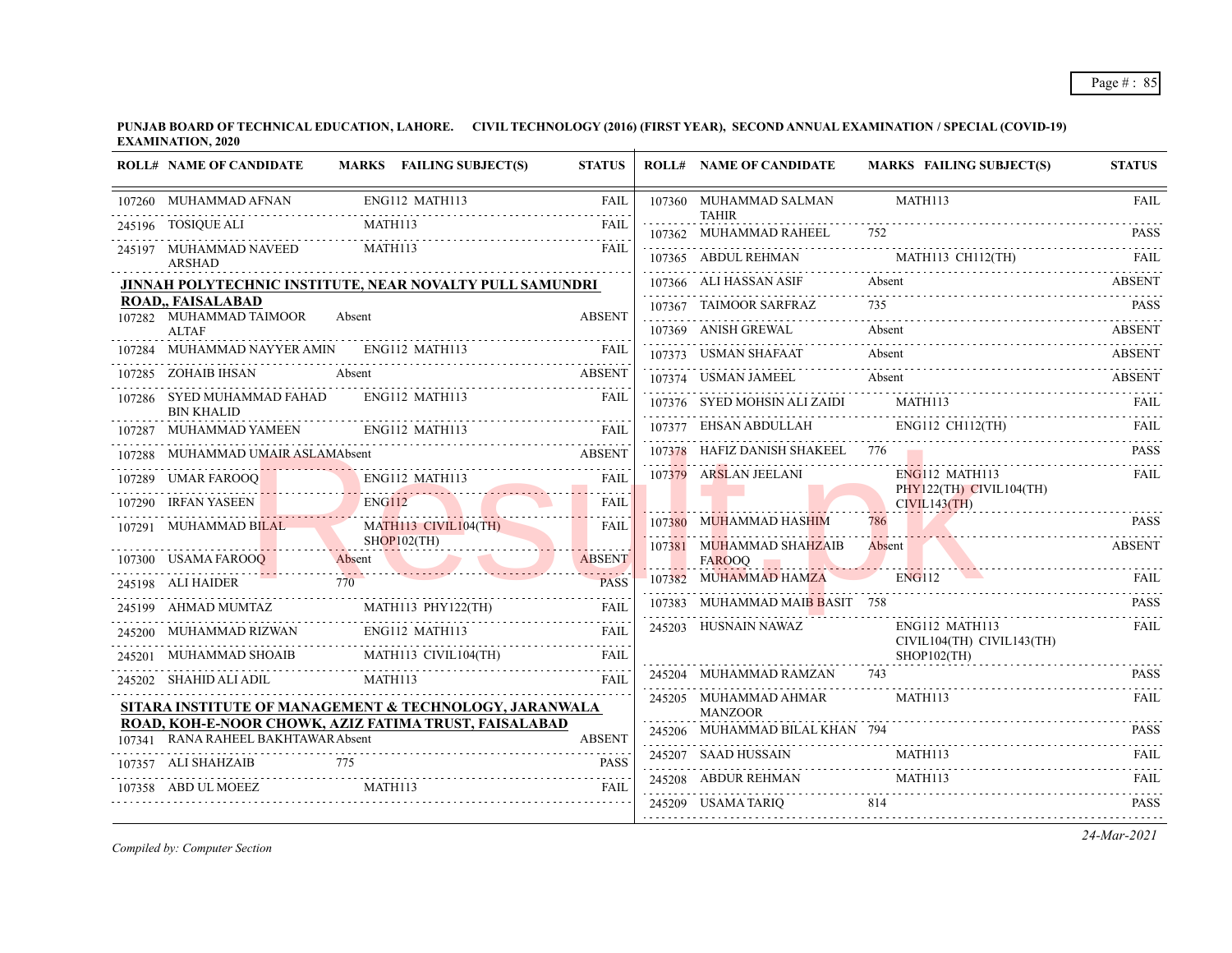**PUNJAB BOARD OF TECHNICAL EDUCATION, LAHORE. CIVIL TECHNOLOGY (2016) (FIRST YEAR), SECOND ANNUAL EXAMINATION / SPECIAL (COVID-19) EXAMINATION, 2020**

|        | <b>ROLL# NAME OF CANDIDATE</b>                                                                                  |               | MARKS FAILING SUBJECT(S) | <b>STATUS</b>                            | <b>ROLL# NAME OF CANDIDATE</b>         |        | <b>MARKS FAILING SUBJECT(S)</b>                                      | <b>STATUS</b>    |
|--------|-----------------------------------------------------------------------------------------------------------------|---------------|--------------------------|------------------------------------------|----------------------------------------|--------|----------------------------------------------------------------------|------------------|
|        | 107260 MUHAMMAD AFNAN                                                                                           |               | ENG112 MATH113           | <b>FAIL</b>                              | 107360 MUHAMMAD SALMAN<br><b>TAHIR</b> |        | MATH113                                                              | <b>FAIL</b>      |
|        | 245196 TOSIQUE ALI                                                                                              | MATH113       |                          | FAIL                                     | 107362 MUHAMMAD RAHEEL                 | 752    |                                                                      | <b>PASS</b>      |
|        | 245197 MUHAMMAD NAVEED<br><b>ARSHAD</b>                                                                         | MATH113       |                          | <b>FAIL</b>                              | 107365 ABDUL REHMAN                    |        | MATH113 CH112(TH)                                                    | FAIL             |
|        | JINNAH POLYTECHNIC INSTITUTE, NEAR NOVALTY PULL SAMUNDRI                                                        |               |                          |                                          | 107366 ALI HASSAN ASIF                 | Absent |                                                                      | <b>ABSENT</b>    |
|        | <b>ROAD., FAISALABAD</b>                                                                                        |               |                          |                                          | 107367 TAIMOOR SARFRAZ                 | 735    |                                                                      | <b>PASS</b>      |
|        | 107282 MUHAMMAD TAIMOOR<br><b>ALTAF</b>                                                                         | Absent        |                          | <b>ABSENT</b>                            | 107369 ANISH GREWAL                    | Absent |                                                                      | ABSENT           |
|        | 107284 MUHAMMAD NAYYER AMIN                                                                                     |               | ENG112 MATH113           | <b>FAIL</b>                              | 107373 USMAN SHAFAAT                   | Absent |                                                                      | ABSENT           |
|        | 107285 ZOHAIB IHSAN                                                                                             | Absent        |                          | <b>ABSENT</b>                            | 107374 USMAN JAMEEL                    | Absent | 107374 USMAN JAMEEL Absent ABSENT ABSENT                             |                  |
|        | 107286 SYED MUHAMMAD FAHAD<br><b>BIN KHALID</b>                                                                 |               | ENG112 MATH113           | FAIL                                     | 107376 SYED MOHSIN ALI ZAIDI           |        | MATH113                                                              | <b>FAIL</b>      |
|        | MUHAMMAD YAMEEN                                                                                                 |               | ENG112 MATH113           | <b>FAII</b>                              | 107377 EHSAN ABDULLAH                  |        | $ENG112 \tCH112(TH)$                                                 | FAIL             |
|        | 107288 MUHAMMAD UMAIR ASLAMAbsent                                                                               |               |                          | <b>ABSENT</b>                            | 107378 HAFIZ DANISH SHAKEEL 776        |        |                                                                      | <b>PASS</b><br>. |
| 107289 | <b>UMAR FAROOQ</b>                                                                                              |               | ENG112 MATH113           | FAIL                                     | 107379 ARSLAN JEELANI                  |        | $ENG112$ MATH113                                                     | FAIL             |
|        | 107290 IRFAN YASEEN<br>7290 IRFAN YASEEN ENGIL2                                                                 | <b>ENG112</b> |                          | <b>FAIL</b>                              |                                        |        | PHY122(TH) CIVIL104(TH)<br>CIVIL143(TH)                              |                  |
|        | 107291 MUHAMMAD BILAL                                                                                           |               | MATH113 CIVIL104(TH)     | <b>FAIL</b>                              | 107380 MUHAMMAD HASHIM                 | 786    | 786 PASS                                                             | <b>PASS</b>      |
|        | 107300 USAMA FAROOQ                                                                                             | Absent        | $SHOP102$ (TH)           | in de la característica<br><b>ABSENT</b> | 107381 MUHAMMAD SHAHZAIB               | Absent |                                                                      | <b>ABSENT</b>    |
|        | 245198 ALI HAIDER                                                                                               | 770           |                          | <b>PASS</b>                              | FAROOQ –<br>107382 MUHAMMAD HAMZA      |        | <b>Contract Contract Contract Contract Contract</b><br><b>ENG112</b> | FAIL             |
|        | 245199 AHMAD MUMTAZ                                                                                             |               | MATH113 PHY122(TH)       | <b>FAIL</b>                              | 107383 MUHAMMAD MAIB BASIT 758         |        |                                                                      | <b>PASS</b>      |
|        | 245200 MUHAMMAD RIZWAN                                                                                          |               | ENG112 MATH113           | <b>FAIL</b>                              | 245203 HUSNAIN NAWAZ                   |        | ENG112 MATH113                                                       | FAIL             |
| 245201 | MUHAMMAD SHOAIB                                                                                                 |               | MATH113 CIVIL104(TH)     | FAIL                                     |                                        |        | CIVIL104(TH) CIVIL143(TH)<br>$SHOP102$ (TH)                          |                  |
|        |                                                                                                                 | MATH113       |                          | <b>FAIL</b>                              | 245204 MUHAMMAD RAMZAN                 | 743    |                                                                      | <b>PASS</b>      |
|        | 245202 SHAHID ALI ADIL                                                                                          |               |                          |                                          | 245205 MUHAMMAD AHMAR                  |        | MATH113                                                              | <b>FAIL</b>      |
|        | SITARA INSTITUTE OF MANAGEMENT & TECHNOLOGY, JARANWALA<br>ROAD, KOH-E-NOOR CHOWK, AZIZ FATIMA TRUST, FAISALABAD |               |                          |                                          | <b>MANZOOR</b>                         |        |                                                                      |                  |
|        | 107341 RANA RAHEEL BAKHTAWAR Absent                                                                             |               |                          | <b>ABSENT</b>                            | 245206 MUHAMMAD BILAL KHAN 794         |        |                                                                      | <b>PASS</b>      |
|        | 107357 ALI SHAHZAIB                                                                                             | 775           |                          | <b>PASS</b>                              | 245207 SAAD HUSSAIN                    |        | <b>MATH113</b><br>245207 SAAD HUSSAIN MATH113 FAIL FAIL              |                  |
|        | 107358 ABD UL MOEEZ                                                                                             | MATH113       |                          | FAIL                                     | 245208 ABDUR REHMAN                    |        | MATH113                                                              | <b>FAIL</b>      |
|        |                                                                                                                 |               |                          |                                          | 245209 USAMA TARIO                     |        | 814 — 100                                                            | <b>PASS</b>      |

*Compiled by: Computer Section*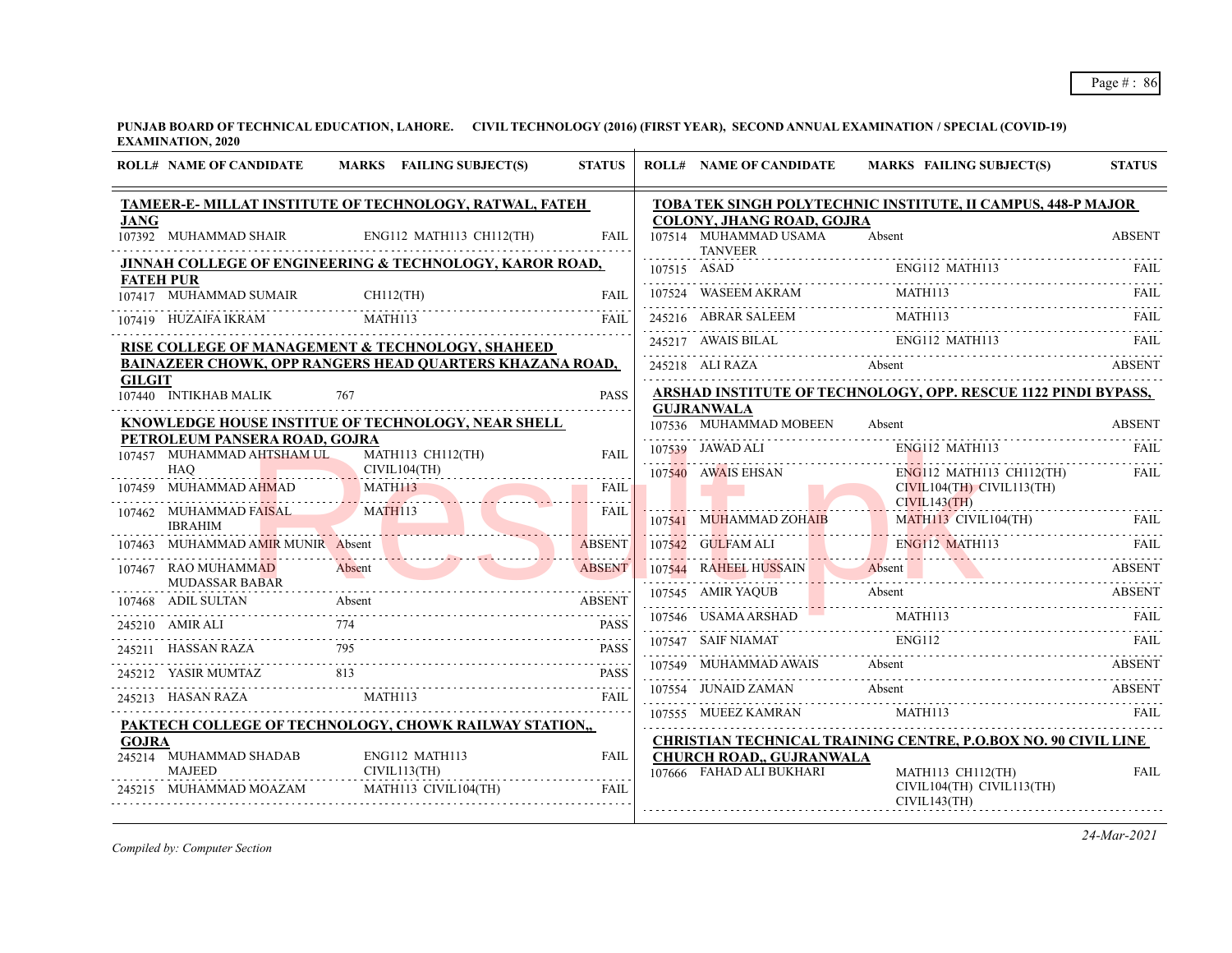|               | <b>ROLL# NAME OF CANDIDATE</b>               | MARKS FAILING SUBJECT(S)                                 | <b>STATUS</b> | <b>ROLL# NAME OF CANDIDATE</b>          | <b>MARKS FAILING SUBJECT(S)</b>                                                  | <b>STATUS</b> |
|---------------|----------------------------------------------|----------------------------------------------------------|---------------|-----------------------------------------|----------------------------------------------------------------------------------|---------------|
| <b>JANG</b>   |                                              | TAMEER-E- MILLAT INSTITUTE OF TECHNOLOGY, RATWAL, FATEH  |               | <b>COLONY, JHANG ROAD, GOJRA</b>        | TOBA TEK SINGH POLYTECHNIC INSTITUTE, II CAMPUS, 448-P MAJOR                     |               |
|               | 107392 MUHAMMAD SHAIR                        | ENG112 MATH113 CH112(TH)                                 | <b>FAIL</b>   | 107514 MUHAMMAD USAMA<br><b>TANVEER</b> | Absent                                                                           | <b>ABSENT</b> |
|               |                                              | JINNAH COLLEGE OF ENGINEERING & TECHNOLOGY, KAROR ROAD,  |               |                                         |                                                                                  |               |
|               | <b>FATEH PUR</b><br>107417 MUHAMMAD SUMAIR   | $CH112$ $(H)$                                            | <b>FAIL</b>   |                                         | ENGI12 MATHI13<br>THE MAGNET WAS CONSULTED MATHI13<br>THE MATHI13<br>THE MATHI13 |               |
|               | 107419 HUZAIFA IKRAM                         | MATH113                                                  | FAII.         | 245216 ABRAR SALEEM                     | <b>MATH113</b>                                                                   | FAIL          |
|               |                                              | RISE COLLEGE OF MANAGEMENT & TECHNOLOGY, SHAHEED         |               | 245217 AWAIS BILAL                      | ENG112 MATH113                                                                   | FAIL          |
|               |                                              | BAINAZEER CHOWK, OPP RANGERS HEAD QUARTERS KHAZANA ROAD, |               | 245218 ALI RAZA                         | Absent                                                                           | <b>ABSENT</b> |
| <b>GILGIT</b> | 107440 INTIKHAB MALIK                        | 767                                                      | <b>PASS</b>   |                                         | <b>ARSHAD INSTITUTE OF TECHNOLOGY, OPP. RESCUE 1122 PINDI BYPASS,</b>            |               |
|               |                                              |                                                          |               | <b>GUJRANWALA</b>                       |                                                                                  |               |
|               | PETROLEUM PANSERA ROAD, GOJRA                | KNOWLEDGE HOUSE INSTITUE OF TECHNOLOGY, NEAR SHELL       |               | 107536 MUHAMMAD MOBEEN                  | Absent                                                                           | <b>ABSENT</b> |
|               | 107457 MUHAMMAD AHTSHAM UL                   | MATH113 CH112(TH)                                        | <b>FAIL</b>   | 107539 JAWAD ALI                        | ENG112 MATH113                                                                   |               |
|               | HAQ                                          | CIVIL104(TH)                                             |               | 107540 AWAIS EHSAN                      | $ENG112$ MATH113 CH112(TH)                                                       | <b>FAIL</b>   |
|               | 107459 MUHAMMAD AHMAD                        | <b>MATH113</b>                                           | FAIL<br>.     |                                         | $CIVIL104(TH)$ $CIVIL113(TH)$<br>CIVIL143(TH)                                    |               |
|               | 107462 MUHAMMAD FAISAL<br><b>IBRAHIM</b>     | MATH113                                                  | <b>FAIL</b>   | 107541 MUHAMMAD ZOHAIB                  | MATH113 CIVIL104(TH) FAIL                                                        |               |
| 107463        | MUHAMMAD AMIR MUNIR Absent                   |                                                          | <b>ABSENT</b> | 107542 GULFAM ALI                       | <b>ENG112 MATH113</b>                                                            | <b>FAIL</b>   |
|               | 107467 RAO MUHAMMAD<br><b>MUDASSAR BABAR</b> | Absent                                                   | <b>ABSENT</b> |                                         | 107544 RAHEEL HUSSAIN Absent Absent ABSENT                                       |               |
|               | 107468 ADIL SULTAN                           | Absent                                                   | <b>ABSENT</b> |                                         | 107545 AMIR YAQUB Absent ABSENT                                                  |               |
|               | 245210 AMIR ALI                              | 7468 ADIL SULTAN Absent ABSENT<br>774                    | <b>PASS</b>   | 107546 USAMA ARSHAD                     | <b>MATH113</b>                                                                   | FAIL          |
|               | 245211 HASSAN RAZA                           | 795                                                      | <b>PASS</b>   | 107547 SAIF NIAMAT                      | <b>ENG112</b>                                                                    | -FAIL         |
| 245212        | YASIR MUMTAZ                                 | 813                                                      | <b>PASS</b>   | 107549 MUHAMMAD AWAIS                   | Absent                                                                           | <b>ABSENT</b> |
|               | 245213 HASAN RAZA                            | MATH113                                                  | FAIL          | 107554 JUNAID ZAMAN                     | Absent                                                                           | <b>ABSENT</b> |
|               |                                              | PAKTECH COLLEGE OF TECHNOLOGY, CHOWK RAILWAY STATION,,   |               | 107555 MUEEZ KAMRAN                     | MATH113                                                                          | FAIL          |
| <b>GOJRA</b>  |                                              |                                                          |               |                                         | CHRISTIAN TECHNICAL TRAINING CENTRE, P.O.BOX NO. 90 CIVIL LINE                   |               |
|               | 245214 MUHAMMAD SHADAB                       | ENG112 MATH113                                           | <b>FAIL</b>   | <b>CHURCH ROAD,, GUJRANWALA</b>         |                                                                                  |               |
|               | <b>MAJEED</b>                                | CIVIL113(TH)                                             |               | 107666 FAHAD ALI BUKHARI                | MATH113 CH112(TH)                                                                | <b>FAIL</b>   |
|               | 245215 MUHAMMAD MOAZAM                       | MATH113 CIVIL104(TH)                                     | <b>FAIL</b>   |                                         | CIVIL104(TH) CIVIL113(TH)<br>CIVIL143(TH)                                        |               |
|               |                                              |                                                          |               |                                         |                                                                                  |               |

*Compiled by: Computer Section*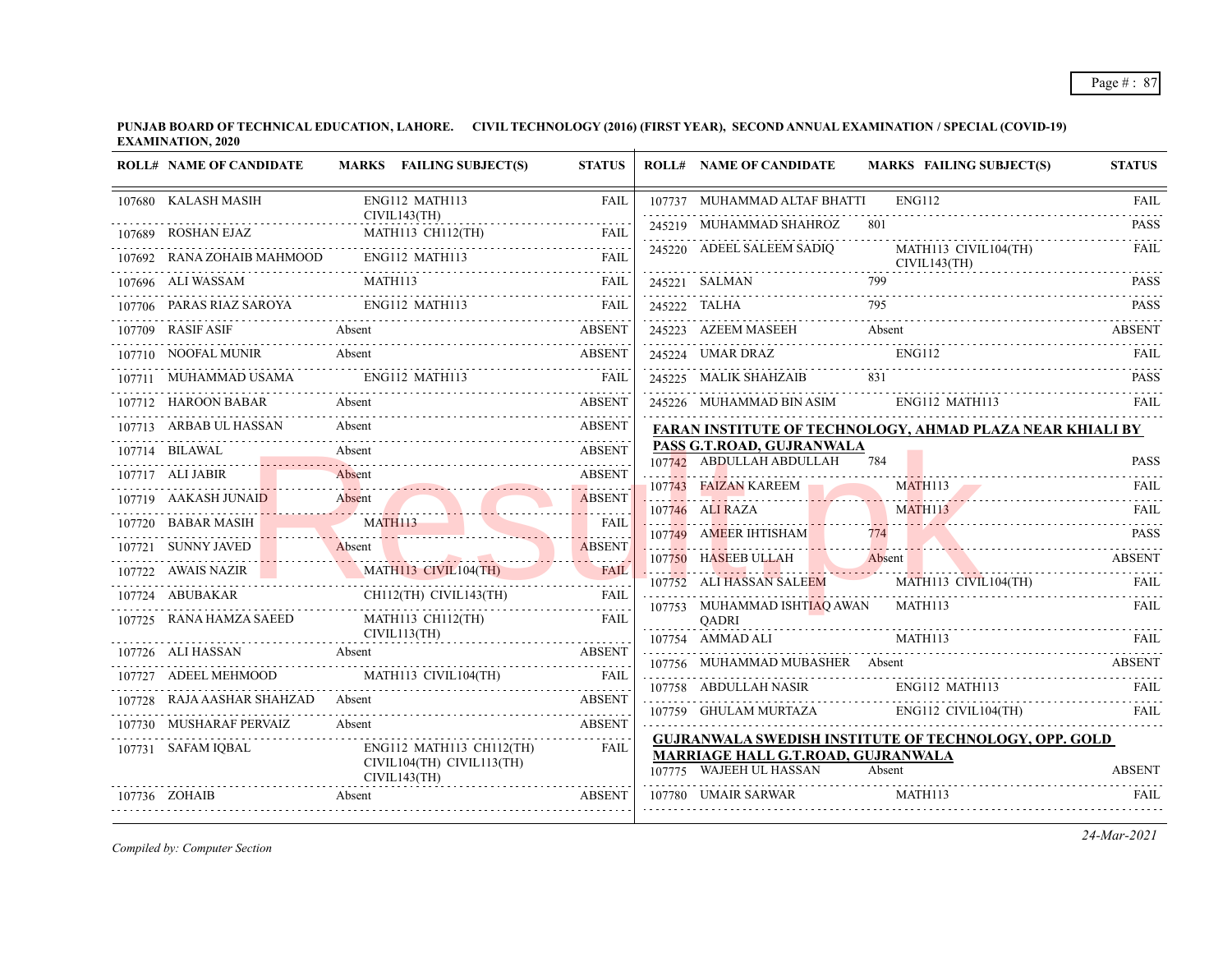**PUNJAB BOARD OF TECHNICAL EDUCATION, LAHORE. CIVIL TECHNOLOGY (2016) (FIRST YEAR), SECOND ANNUAL EXAMINATION / SPECIAL (COVID-19) EXAMINATION, 2020**  $\overline{1}$ 

| <b>ROLL# NAME OF CANDIDATE</b> | MARKS FAILING SUBJECT(S)                         | <b>STATUS</b>         | <b>ROLL# NAME OF CANDIDATE</b>                            | <b>MARKS FAILING SUBJECT(S)</b>                                  | <b>STATUS</b>    |
|--------------------------------|--------------------------------------------------|-----------------------|-----------------------------------------------------------|------------------------------------------------------------------|------------------|
| 107680 KALASH MASIH            | ENG112 MATH113                                   | <b>FAIL</b>           | 107737 MUHAMMAD ALTAF BHATTI                              | <b>ENG112</b>                                                    | <b>FAIL</b>      |
| 107689 ROSHAN EJAZ             | CIVIL143(TH)                                     |                       | 245219 MUHAMMAD SHAHROZ                                   | 801                                                              | .<br><b>PASS</b> |
| 107692 RANA ZOHAIB MAHMOOD     | Z MATH113 CH112(TH) FAIL<br>ENG112 MATH113       | <b>FAIL</b>           | 245220 ADEEL SALEEM SADIQ                                 | MATH113 CIVIL104(TH)<br>CIVIL143(TH)                             | <b>FAIL</b>      |
| 107696 ALI WASSAM              | MATH113                                          | FAIL                  | 245221 SALMAN                                             | 799                                                              | <b>PASS</b>      |
| 107706 PARAS RIAZ SAROYA       | 17706 PARAS RIAZ SAROYA ENGI12 MATH113 FAIL FAIL |                       | 245222 TALHA                                              | 245222 TALHA 795 PASS                                            |                  |
| 107709 RASIF ASIF              | Absent                                           | <b>ABSENT</b>         | 245223 AZEEM MASEEH                                       | Absent                                                           | ABSENT           |
| 107710 NOOFAL MUNIR            | Absent                                           | <b>ABSENT</b>         | 245224 UMAR DRAZ ENG112                                   |                                                                  | FAIL             |
|                                | 107711 MUHAMMAD USAMA ENG112 MATH113 FAIL        |                       | 245225 MALIK SHAHZAIB                                     | 831                                                              | <b>PASS</b>      |
| 107712 HAROON BABAR            | Absent                                           | <b>ABSENT</b>         | 245226 MUHAMMAD BIN ASIM                                  | ENG112 MATH113                                                   | <b>FAIL</b>      |
| 107713 ARBAB UL HASSAN         | Absent                                           | <b>ABSENT</b>         |                                                           | FARAN INSTITUTE OF TECHNOLOGY, AHMAD PLAZA NEAR KHIALI BY        |                  |
| 107714 BILAWAL                 | Absent<br>Absent ABSENT                          | <b>ABSENT</b>         | PASS G.T.ROAD, GUJRANWALA<br>107742 ABDULLAH ABDULLAH 784 |                                                                  | <b>PASS</b>      |
| 107717 ALI JABIR               | Absent                                           | <b>ABSENT</b>         | 107743 FAIZAN KAREEM                                      | <b>MATH113</b>                                                   |                  |
| 107719 AAKASH JUNAID           | Absent<br>17719 AAKASH JUNAID Absent ABSENT      |                       | 107746 ALIRAZA                                            | MATH113                                                          | FAII.            |
| 107720 BABAR MASIH             | MATH113                                          | FAIL<br><b>TELLIN</b> |                                                           |                                                                  |                  |
| 107721 SUNNY JAVED             | 7721 SUNNY JAVED Absent                          | <b>ABSENT</b>         |                                                           | 107749 AMEER IHTISHAM 774 PASS                                   |                  |
|                                | 107722 AWAIS NAZIR MATH113 CIVIL104(TH)          | <b>FAIL</b>           | 107752 ALI HASSAN SALEEM                                  | 107750 HASEEB ULLAH Absent ABSENT ABSENT<br>MATH113 CIVIL104(TH) |                  |
| 107724 ABUBAKAR                | CH112(TH) CIVIL143(TH) FAIL                      |                       | 107753 MUHAMMAD ISHTIAQ AWAN MATH113                      |                                                                  | FAII.            |
| 107725 RANA HAMZA SAEED        | MATH113 CH112(TH)<br>CIVIL113(TH)                | FAIL                  | <b>OADRI</b>                                              |                                                                  |                  |
| 107726 ALI HASSAN              | SAN Absent ABSENT                                |                       | 107754 AMMAD ALI MATH113                                  |                                                                  |                  |
|                                |                                                  |                       |                                                           | 107756 MUHAMMAD MUBASHER Absent ABSENT ABSENT                    |                  |
| 107728 RAJA AASHAR SHAHZAD     | Absent                                           |                       | 107758 ABDULLAH NASIR                                     | ENG112 MATH113                                                   | FAIL             |
| 107730 MUSHARAF PERVAIZ        | Absent                                           | <b>ABSENT</b>         |                                                           | 107759 GHULAM MURTAZA ENG112 CIVIL104(TH) FAIL                   |                  |
| 107731 SAFAM IQBAL             | ENG112 MATH113 CH112(TH)                         | FAIL                  | <b>MARRIAGE HALL G.T.ROAD, GUJRANWALA</b>                 | GUJRANWALA SWEDISH INSTITUTE OF TECHNOLOGY, OPP. GOLD            |                  |
|                                | CIVIL104(TH) CIVIL113(TH)<br>CIVIL143(TH)        |                       | 107775 WAJEEH UL HASSAN                                   | Absent                                                           | <b>ABSENT</b>    |
| 107736 ZOHAIB                  | 7736 ZOHAIB Absent ABSENT                        |                       | 107780 UMAIR SARWAR MATH113                               |                                                                  | <b>FAIL</b>      |

*Compiled by: Computer Section*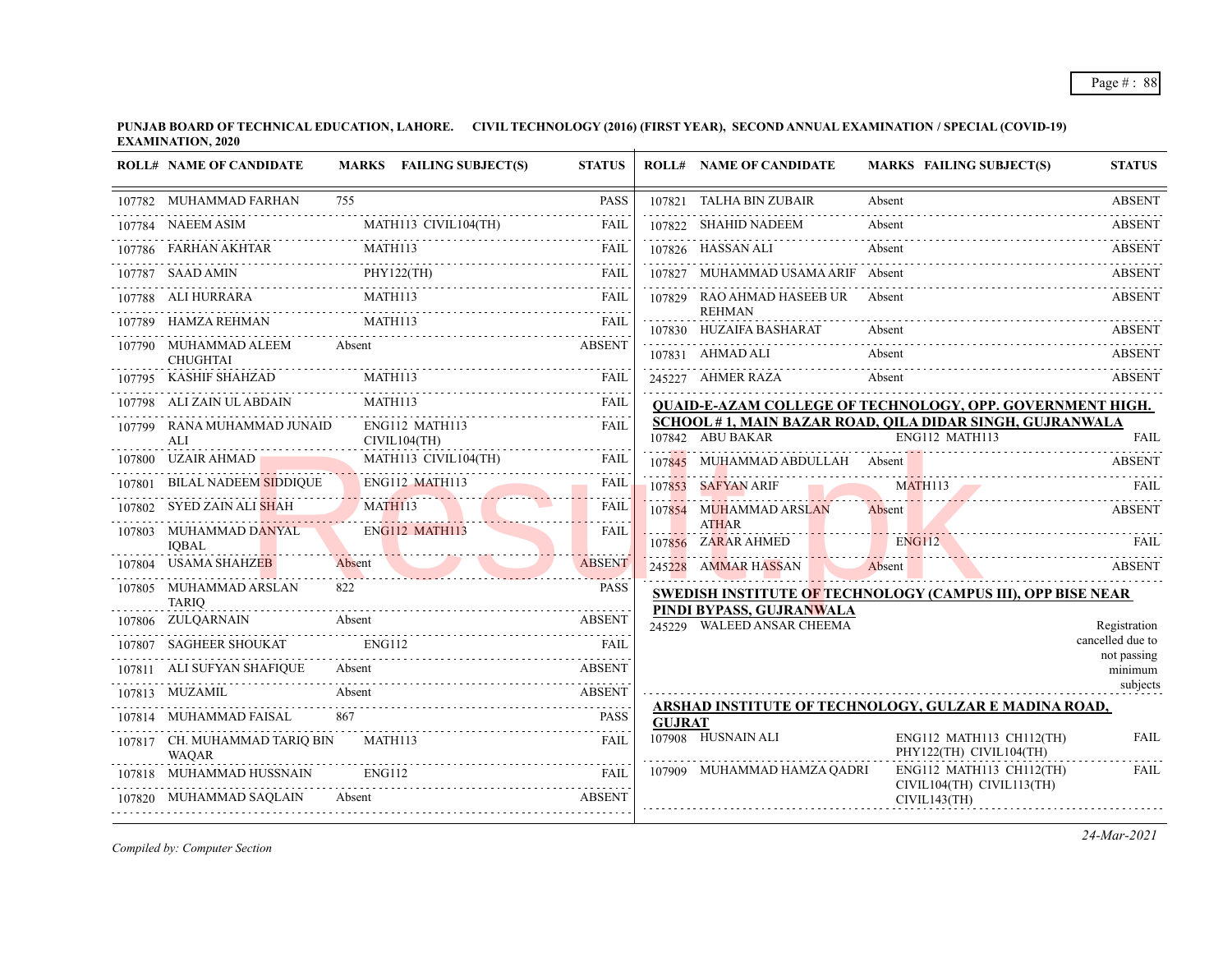| <b>ROLL# NAME OF CANDIDATE</b>                                                                                                                                                                     |               | MARKS FAILING SUBJECT(S)                      | <b>STATUS</b> |               | <b>ROLL# NAME OF CANDIDATE</b>                         | <b>MARKS FAILING SUBJECT(S)</b>                                             | <b>STATUS</b>          |
|----------------------------------------------------------------------------------------------------------------------------------------------------------------------------------------------------|---------------|-----------------------------------------------|---------------|---------------|--------------------------------------------------------|-----------------------------------------------------------------------------|------------------------|
| 107782 MUHAMMAD FARHAN                                                                                                                                                                             | 755           |                                               | <b>PASS</b>   |               | 107821 TALHA BIN ZUBAIR                                | Absent                                                                      | <b>ABSENT</b>          |
| 107784 NAEEM ASIM                                                                                                                                                                                  |               |                                               |               |               | 107822 SHAHID NADEEM                                   | Absent                                                                      | .<br><b>ABSENT</b>     |
| FARHAN AKHTAR MATHI13 FARHAN AKHTAR MATHI13 FAIL                                                                                                                                                   |               |                                               |               |               | 107826 HASSAN ALI                                      | Absent                                                                      | <b>ABSENT</b>          |
| $\begin{tabular}{c c c c} \hline 107786 & FARHAN AKHTAR & MATH113 & FAIL \\ \hline 107787 & SAAD AMIN & PHY122(TH) & FAIL \\ \hline 107788 & ALI HURRARA & MATH113 & FAIL \\ \hline \end{tabular}$ |               |                                               |               |               | 107827 MUHAMMAD USAMA ARIF Absent                      |                                                                             | <b>ABSENT</b>          |
| 107788 ALI HURRARA MATH113 FAIL                                                                                                                                                                    |               |                                               |               |               | 107829 RAO AHMAD HASEEB UR Absent                      |                                                                             | <b>ABSENT</b>          |
| 107789 HAMZA REHMAN MATH113 FAIL                                                                                                                                                                   |               |                                               |               |               | <b>REHMAN</b><br>107830 HUZAIFA BASHARAT               | Absent                                                                      | <b>ABSENT</b>          |
| 107790 MUHAMMAD ALEEM Absent<br><b>CHUGHTAI</b>                                                                                                                                                    |               |                                               | <b>ABSENT</b> |               | 107831 AHMAD ALI                                       | Absent                                                                      | <b>ABSENT</b>          |
| CHUGHIAI<br>107795 KASHIF SHAHZAD MATHII3 FAIL                                                                                                                                                     |               |                                               |               |               | 245227 AHMER RAZA                                      | Absent                                                                      | <b>ABSENT</b>          |
| 107798 ALI ZAIN UL ABDAIN                                                                                                                                                                          | MATH113       |                                               | <b>FAIL</b>   |               |                                                        | <b>QUAID-E-AZAM COLLEGE OF TECHNOLOGY, OPP. GOVERNMENT HIGH.</b>            |                        |
| 107799 RANA MUHAMMAD JUNAID<br>ALI                                                                                                                                                                 |               | ENG112 MATH113<br>CIVIL104(TH)                | <b>FAIL</b>   |               | 107842 ABU BAKAR                                       | SCHOOL # 1, MAIN BAZAR ROAD, QILA DIDAR SINGH, GUJRANWALA<br>ENG112 MATH113 |                        |
| 107800 UZAIR AHMAD                                                                                                                                                                                 |               | MATH113 CIVIL104(TH)                          | FAIL          |               | 107845 MUHAMMAD ABDULLAH Absent                        |                                                                             | <b>ABSENT</b>          |
| 107801 BILAL NADEEM SIDDIQUE ENGI12 MATH113<br>107802 SYED ZAIN ALI SHAH MATH113                                                                                                                   |               |                                               | <b>FAIL</b>   |               | 107853 SAFYAN ARIF                                     | SAFYAN ARIF MATHII3 FAIL                                                    |                        |
|                                                                                                                                                                                                    |               |                                               | FAIL          |               | 107854 MUHAMMAD ARSLAN                                 | Absent                                                                      | <b>ABSENT</b>          |
| 107803 MUHAMMAD DANYAL<br><b>IOBAL</b>                                                                                                                                                             |               | ENG112 MATH113                                | <b>FAIL</b>   |               | <b>ATHAR</b><br>107856 ZARAR AHMED ENG112              |                                                                             | FAIL.                  |
| 107804 USAMA SHAHZEB                                                                                                                                                                               |               | HAHZEB Absent ABSENT                          |               |               | 245228 AMMAR HASSAN                                    | Absent                                                                      | ABSENT                 |
| 107805 MUHAMMAD ARSLAN<br><b>TARIO</b>                                                                                                                                                             |               |                                               | <b>PASS</b>   |               |                                                        | SWEDISH INSTITUTE OF TECHNOLOGY (CAMPUS III), OPP BISE NEAR                 |                        |
| 107806 ZULQARNAIN                                                                                                                                                                                  |               | Absent<br>ABSENT<br>SAGHEER SHOUKAT<br>ENG112 |               |               | PINDI BYPASS, GUJRANWALA<br>245229 WALEED ANSAR CHEEMA |                                                                             | Registration           |
| 107807 SAGHEER SHOUKAT                                                                                                                                                                             |               |                                               |               |               |                                                        |                                                                             | cancelled due to       |
| 107811 ALI SUFYAN SHAFIQUE                                                                                                                                                                         |               | Absent                                        | <b>ABSENT</b> |               |                                                        |                                                                             | not passing<br>minimum |
| 107813 MUZAMIL                                                                                                                                                                                     |               | XAMIL Absent ABSENT                           |               |               |                                                        |                                                                             | subjects               |
| 107814 MUHAMMAD FAISAL                                                                                                                                                                             |               |                                               | <b>PASS</b>   | <b>GUJRAT</b> |                                                        | ARSHAD INSTITUTE OF TECHNOLOGY, GULZAR E MADINA ROAD,                       |                        |
| 107817 CH. MUHAMMAD TARIQ BIN<br><b>WAQAR</b>                                                                                                                                                      | MATH113       |                                               | <b>FAIL</b>   |               | 107908 HUSNAIN ALI                                     | ENG112 MATH113 CH112(TH)<br>PHY122(TH) CIVIL104(TH)                         | <b>FAIL</b>            |
| 107818 MUHAMMAD HUSSNAIN                                                                                                                                                                           | <b>ENG112</b> | <b>EAIL</b>                                   |               |               | 107909 MUHAMMAD HAMZA QADRI                            | $ENG112$ MATH113 CH112(TH)<br>CIVIL104(TH) CIVIL113(TH)                     | FAIL                   |
| MUHAMMAD SAQLAIN Absent ABSENT<br>107820 MUHAMMAD SAQLAIN                                                                                                                                          |               |                                               |               |               |                                                        | CIVIL143(TH)                                                                |                        |
|                                                                                                                                                                                                    |               |                                               |               |               |                                                        |                                                                             |                        |

*Compiled by: Computer Section*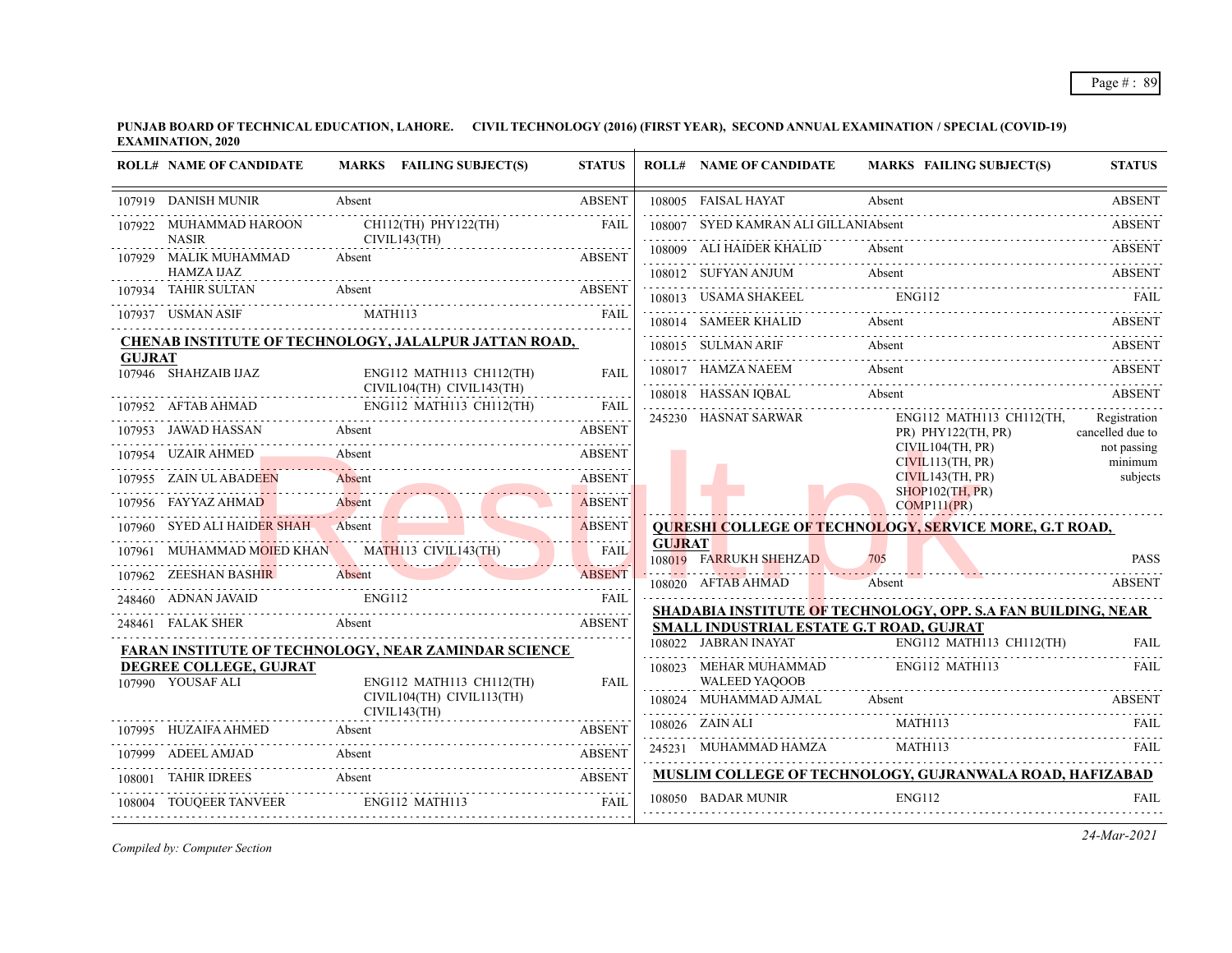|               | <b>ROLL# NAME OF CANDIDATE</b>                                                                                                                      |        | MARKS FAILING SUBJECT(S)                  | <b>STATUS</b> |               | <b>ROLL# NAME OF CANDIDATE</b>                | <b>MARKS FAILING SUBJECT(S)</b>                               | <b>STATUS</b>                    |
|---------------|-----------------------------------------------------------------------------------------------------------------------------------------------------|--------|-------------------------------------------|---------------|---------------|-----------------------------------------------|---------------------------------------------------------------|----------------------------------|
|               | 107919 DANISH MUNIR                                                                                                                                 | Absent |                                           | <b>ABSENT</b> |               | 108005 FAISAL HAYAT                           | Absent                                                        | <b>ABSENT</b>                    |
|               | 107922 MUHAMMAD HAROON<br><b>NASIR</b>                                                                                                              |        | CH112(TH) PHY122(TH)<br>CIVIL143(TH)      | <b>FAIL</b>   |               | 108007 SYED KAMRAN ALI GILLANIAbsent          |                                                               | <b>ABSENT</b>                    |
|               | 107929 MALIK MUHAMMAD                                                                                                                               | Absent |                                           | <b>ABSENT</b> |               | 108009 ALI HAIDER KHALID                      | Absent                                                        | <b>ABSENT</b>                    |
|               | HAMZA IJAZ                                                                                                                                          |        |                                           |               |               | 108012 SUFYAN ANJUM                           | Absent                                                        | ABSENT                           |
|               | 107934 TAHIR SULTAN<br>Absent                                                                                                                       |        |                                           | ABSENT        |               | 108013 USAMA SHAKEEL                          | <b>ENG112</b>                                                 |                                  |
|               | 107937 USMAN ASIF                                                                                                                                   |        | MATH113 FAIL                              |               |               |                                               | 108014 SAMEER KHALID Absent ABSENT                            |                                  |
|               | <b>CHENAB INSTITUTE OF TECHNOLOGY, JALALPUR JATTAN ROAD,</b>                                                                                        |        |                                           |               |               | 108015 SULMAN ARIF                            | Absent                                                        | ABSENT                           |
| <b>GUJRAT</b> | $107946$ SHAHZAIB IJAZ                                                                                                                              |        | ENG112 MATH113 CH112(TH)                  | <b>FAIL</b>   |               | 108017 HAMZA NAEEM                            | Absent                                                        | <b>ABSENT</b>                    |
|               |                                                                                                                                                     |        | CIVIL104(TH) CIVIL143(TH)                 | .             |               |                                               | 108018 HASSAN IQBAL Absent ABSENT                             |                                  |
|               | ${\bf \begin{tabular}{ll} \bf 107952 & AFTAB AHMAD & ENG112 MATH113 CH112(TH) & FAIL \\ \hline \end{tabular}}$<br>107953 JAWAD HASSAN Absent ABSENT |        |                                           |               |               | 245230 HASNAT SARWAR                          | ENG112 MATH113 CH112(TH,<br>$PR)$ PHY122(TH, PR)              | Registration<br>cancelled due to |
|               | 107954 UZAIR AHMED Absent                                                                                                                           |        |                                           | <b>ABSENT</b> |               |                                               | CIVIL104(TH, PR)                                              | not passing                      |
|               | 107955 ZAIN UL ABADEEN                                                                                                                              |        |                                           | <b>ABSENT</b> |               |                                               | CIVIL113(TH, PR)<br>CIVIL143(TH, PR)                          | minimum<br>subjects              |
|               | 107956 FAYYAZ AHMAD Absent Absent ABSENT<br>107956 FAYYAZ AHMAD                                                                                     |        | Absent                                    | .             |               |                                               | $SHOP102$ (TH, PR)<br>COMP111(PR)                             |                                  |
|               | 107960 SYED ALI HAIDER SHAH Absent Absent                                                                                                           |        |                                           |               |               |                                               | <b>QURESHI COLLEGE OF TECHNOLOGY, SERVICE MORE, G.T ROAD,</b> |                                  |
|               | 107961 MUHAMMAD MOIED KHAN MATH113 CIVIL143(TH) FAIL                                                                                                |        |                                           |               | <b>GUJRAT</b> | 108019 FARRUKH SHEHZAD                        | 705                                                           | <b>PASS</b>                      |
|               | 107962 ZEESHAN BASHIR Absent                                                                                                                        |        | <b>Contract Contract</b>                  | <b>ABSENT</b> |               | 108020 AFTAB AHMAD                            | Absent                                                        | <b>ABSENT</b>                    |
|               | 248460 ADNAN JAVAID ENG112                                                                                                                          |        |                                           | <b>FAIL</b>   |               |                                               | SHADABIA INSTITUTE OF TECHNOLOGY, OPP. S.A FAN BUILDING, NEAR |                                  |
|               | 248461 FALAK SHER Absent                                                                                                                            |        |                                           | ABSENT        |               |                                               | SMALL INDUSTRIAL ESTATE G.T ROAD, GUJRAT                      |                                  |
|               | FARAN INSTITUTE OF TECHNOLOGY, NEAR ZAMINDAR SCIENCE                                                                                                |        |                                           |               |               | 108022 JABRAN INAYAT                          | $ENG112$ MATH113 CH112(TH)                                    | <b>FAIL</b>                      |
|               | DEGREE COLLEGE, GUJRAT<br>107990 YOUSAF ALI                                                                                                         |        | ENG112 MATH113 CH112(TH)                  | <b>FAIL</b>   |               | 108023 MEHAR MUHAMMAD<br><b>WALEED YAQOOB</b> | ENG112 MATH113                                                | FAIL                             |
|               |                                                                                                                                                     |        | CIVIL104(TH) CIVIL113(TH)<br>CIVIL143(TH) |               |               | 108024 MUHAMMAD AJMAL Absent                  |                                                               | <b>ABSENT</b>                    |
|               | 107995 HUZAIFA AHMED                                                                                                                                | Absent |                                           | ABSENT        |               |                                               | 108026 ZAIN ALI MATH113 FAIL MATH113                          |                                  |
|               | Absent<br>107999 ADEEL AMJAD                                                                                                                        |        |                                           | <b>ABSENT</b> |               | 245231 MUHAMMAD HAMZA                         | MATH113                                                       | FAIL.                            |
| 108001        | <b>TAHIR IDREES</b>                                                                                                                                 |        | <b>Absent</b>                             | <b>ABSENT</b> |               |                                               | MUSLIM COLLEGE OF TECHNOLOGY, GUJRANWALA ROAD, HAFIZABAD      |                                  |
|               | 108004 TOUQEER TANVEER ENG112 MATH113                                                                                                               |        |                                           | FAIL          |               | 108050 BADAR MUNIR                            | <b>ENG112</b>                                                 | <b>FAIL</b>                      |
|               |                                                                                                                                                     |        |                                           |               |               |                                               |                                                               |                                  |

*Compiled by: Computer Section*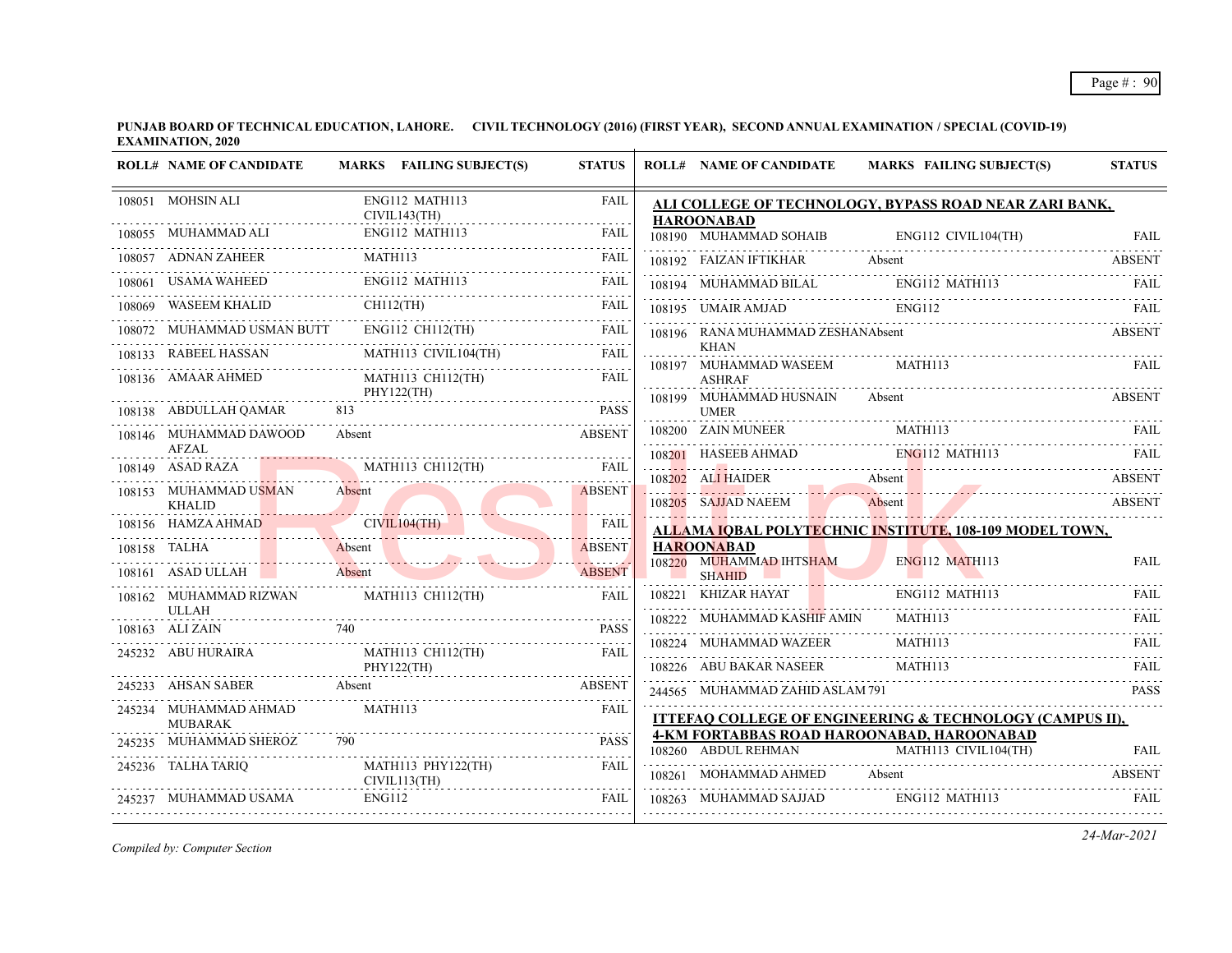| <b>ROLL# NAME OF CANDIDATE</b>                           | MARKS FAILING SUBJECT(S)                                                                                                                                                                                                       | <b>STATUS</b> |   | <b>ROLL# NAME OF CANDIDATE</b>                | <b>MARKS FAILING SUBJECT(S)</b>                                                                                                                                                                                                  | <b>STATUS</b> |
|----------------------------------------------------------|--------------------------------------------------------------------------------------------------------------------------------------------------------------------------------------------------------------------------------|---------------|---|-----------------------------------------------|----------------------------------------------------------------------------------------------------------------------------------------------------------------------------------------------------------------------------------|---------------|
| 108051 MOHSIN ALI<br>CIVIL143(TH)                        | ENG112 MATH113                                                                                                                                                                                                                 | <b>FAIL</b>   |   | <b>HAROONABAD</b>                             | ALI COLLEGE OF TECHNOLOGY, BYPASS ROAD NEAR ZARI BANK,                                                                                                                                                                           |               |
|                                                          | 108055 MUHAMMAD ALI ENG112 MATH113 FAIL EAL                                                                                                                                                                                    |               |   |                                               |                                                                                                                                                                                                                                  |               |
|                                                          | 108057 ADNAN ZAHEER MATH113                                                                                                                                                                                                    | <b>FAIL</b>   |   |                                               | TO8190 MUHAMMAD SOHAIB ENG112 CIVIL104(TH) FAIL<br>108192 FAIZAN IFTIKHAR Absent ABSENT                                                                                                                                          |               |
| 108061 USAMA WAHEED                                      | ENG112 MATH113                                                                                                                                                                                                                 | FAIL          |   |                                               |                                                                                                                                                                                                                                  |               |
|                                                          | 108069 WASEEM KHALID CHII2(TH) FAIL                                                                                                                                                                                            |               |   |                                               | 108194 MUHAMMAD BILAL ENG112 MATH113 FAIL FAIL 108195 UMAIR AMJAD ENG112 FAIL PROJECT PAIL                                                                                                                                       |               |
|                                                          |                                                                                                                                                                                                                                |               |   | 108196 RANA MUHAMMAD ZESHANAbsent             | <b>ABSENT</b>                                                                                                                                                                                                                    |               |
|                                                          |                                                                                                                                                                                                                                |               | . | <b>KHAN</b><br>108197 MUHAMMAD WASEEM MATH113 |                                                                                                                                                                                                                                  | FAIL          |
| 108136 AMAAR AHMED MATH113 CH112(TH)                     | PHY122(TH)                                                                                                                                                                                                                     | FAIL          |   | <b>ASHRAF</b>                                 |                                                                                                                                                                                                                                  |               |
| 108138 ABDULLAH QAMAR                                    | 813                                                                                                                                                                                                                            | <b>PASS</b>   |   | 108199 MUHAMMAD HUSNAIN<br><b>UMER</b>        | Absent                                                                                                                                                                                                                           | ABSENT        |
| 108146 MUHAMMAD DAWOOD                                   | Absent<br><b>ABSENT</b>                                                                                                                                                                                                        |               |   |                                               | 108200 ZAIN MUNEER MATH113 FAIL FAIL                                                                                                                                                                                             |               |
| <b>AFZAL</b>                                             |                                                                                                                                                                                                                                |               |   |                                               | 108201 HASEEB AHMAD ENGI12 MATH113 FAIL                                                                                                                                                                                          |               |
| 108153 MUHAMMAD USMAN                                    | 108149 ASAD RAZA MATH113 CH112(TH) FAIL<br>Absent                                                                                                                                                                              | ABSENT        |   |                                               | 108202 ALI HAIDER Absent and a series and a series of the series and a series and a series of the series of th<br>Prince and a series and a series of the series and a series of the series of the series of the series of the s |               |
| <b>KHALID</b>                                            |                                                                                                                                                                                                                                |               |   |                                               | 108205 SAJJAD NAEEM Absent ABSENT                                                                                                                                                                                                |               |
|                                                          | 108156 HAMZA AHMAD CIVIL104(TH)                                                                                                                                                                                                | <b>FAIL</b>   |   |                                               | ALLAMA IQBAL POLYTECHNIC INSTITUTE, 108-109 MODEL TOWN,                                                                                                                                                                          |               |
|                                                          | 108158 TALHA Absent Absent Absent Absent Absent Absent Absent Absent Absent Absent Absent Absent Absent Absent Absent Absent Absent Absent Absent Absent Absent Absent Absent Absent Absent Absent Absent Absent Absent Absent |               |   | <b>HAROONABAD</b>                             |                                                                                                                                                                                                                                  |               |
|                                                          |                                                                                                                                                                                                                                |               |   |                                               | 108220 MUHAMMAD IHTSHAM ENG112 MATH113 FAIL                                                                                                                                                                                      |               |
| 108162 MUHAMMAD RIZWAN MATH113 CH112(TH)<br><b>ULLAH</b> |                                                                                                                                                                                                                                | <b>FAIL</b>   |   | 108221 KHIZAR HAYAT ENG112 MATH113            |                                                                                                                                                                                                                                  | FAIL          |
| 108163 ALI ZAIN                                          | $\frac{740}{740}$ PASS                                                                                                                                                                                                         | <b>PASS</b>   |   | 108222 MUHAMMAD KASHIF AMIN MATH113           |                                                                                                                                                                                                                                  |               |
|                                                          | 245232 ABU HURAIRA MATH113 CH112(TH)                                                                                                                                                                                           | FAIL          |   |                                               | 108222 MUHAMMAD KASHI AWIN MATHITS TALE                                                                                                                                                                                          |               |
|                                                          | PHY122(TH)                                                                                                                                                                                                                     |               |   | 108226 ABU BAKAR NASEER MATH113               |                                                                                                                                                                                                                                  | FAIL          |
| 245234 MUHAMMAD AHMAD                                    | 245233 AHSAN SABER Absent ABSENT ABSENT<br>MATH113                                                                                                                                                                             | <b>FAIL</b>   |   | 244565 MUHAMMAD ZAHID ASLAM 791               |                                                                                                                                                                                                                                  | <b>PASS</b>   |
| MUBARAK                                                  |                                                                                                                                                                                                                                |               |   |                                               | ITTEFAQ COLLEGE OF ENGINEERING & TECHNOLOGY (CAMPUS II),<br>4-KM FORTABBAS ROAD HAROONABAD, HAROONABAD                                                                                                                           |               |
| 245235 MUHAMMAD SHEROZ                                   | 790                                                                                                                                                                                                                            |               |   |                                               | 108260 ABDUL REHMAN MATH113 CIVIL104(TH) FAIL                                                                                                                                                                                    |               |
| 245236 TALHA TARIQ                                       | $\begin{tabular}{ll} \bf{MATH113 PHY122(TH)} & \color{red}{\bf{FAIL}} \\ \bf{CIVIL113(TH)} & \color{red}{\bf{---}} \\ \end{tabular}$                                                                                           |               |   |                                               | 108261 MOHAMMAD AHMED Absent ABSENT                                                                                                                                                                                              |               |
| 245237 MUHAMMAD USAMA                                    | MUHAMMAD USAMA ENG112 FAIL                                                                                                                                                                                                     |               |   | 108263 MUHAMMAD SAJJAD ENG112 MATH113         |                                                                                                                                                                                                                                  | <b>FAIL</b>   |
|                                                          |                                                                                                                                                                                                                                |               |   |                                               |                                                                                                                                                                                                                                  |               |

*Compiled by: Computer Section*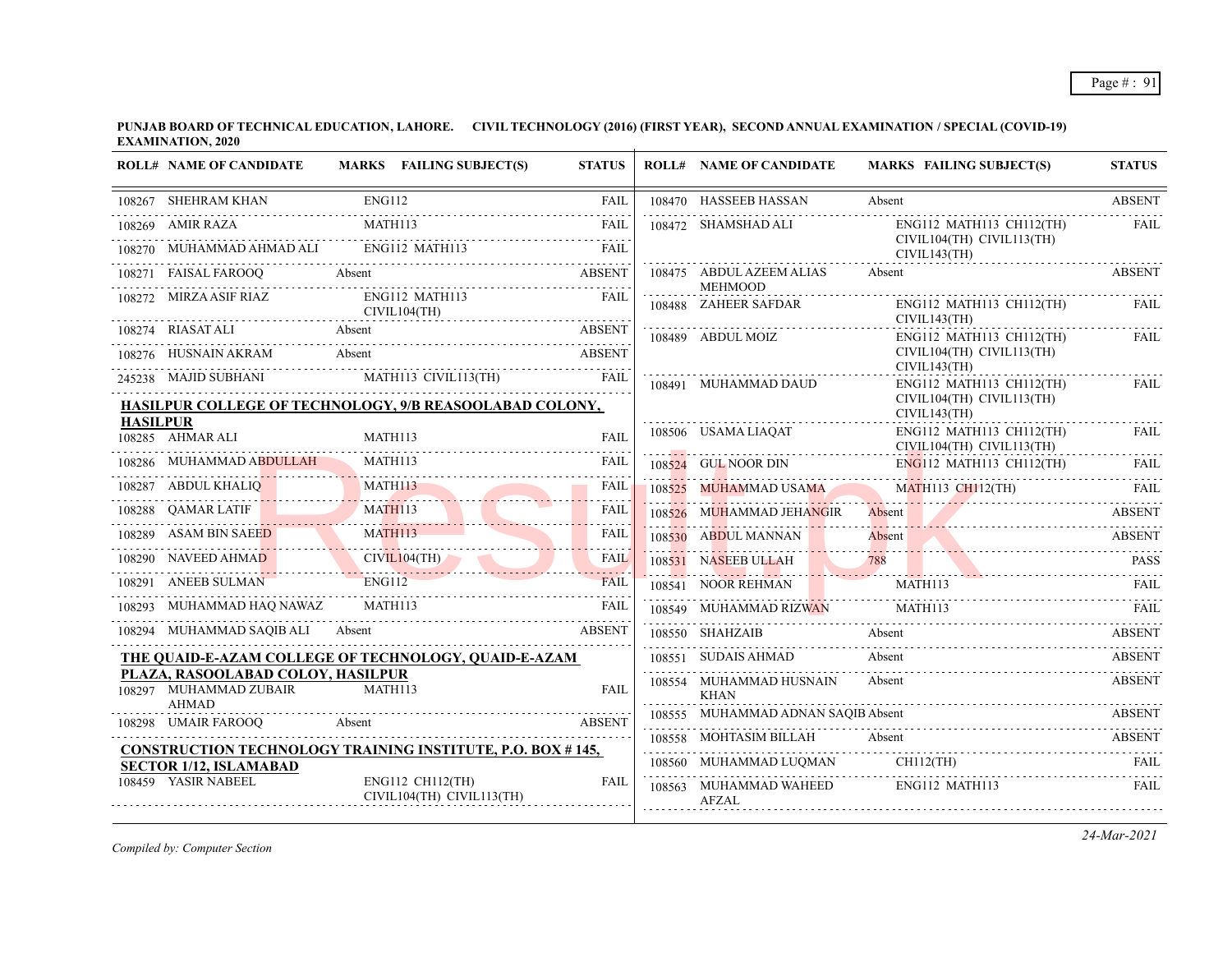| <b>ENG112</b><br>108267 SHEHRAM KHAN<br>108470 HASSEEB HASSAN<br>FAIL<br>Absent                                                                           | <b>ABSENT</b>                                                 |
|-----------------------------------------------------------------------------------------------------------------------------------------------------------|---------------------------------------------------------------|
| .<br>MATH113<br>108269 AMIR RAZA<br><b>FAIL</b><br>108472 SHAMSHAD ALI                                                                                    | ENG112 MATH113 CH112(TH)<br>FAIL                              |
| 108270 MUHAMMAD AHMAD ALI ENG112 MATH113<br><b>FAIL</b><br>CIVIL143(TH)                                                                                   | CIVIL104(TH) CIVIL113(TH)                                     |
| 108475 ABDUL AZEEM ALIAS<br>108271 FAISAL FAROOQ<br>Absent<br><b>ABSENT</b><br>Absent<br><b>MEHMOOD</b>                                                   | <b>ABSENT</b>                                                 |
| 108272 MIRZA ASIF RIAZ<br>ENG112 MATH113<br><b>FAIL</b><br>108488 ZAHEER SAFDAR<br>CIVIL104(TH)<br>CIVIL143(TH)                                           | ENG112 MATH113 CH112(TH)<br>FAIL                              |
| 108274 RIASAT ALI Absent<br><b>ABSENT</b><br>108489 ABDUL MOIZ                                                                                            | ENG112 MATH113 CH112(TH)<br>FAIL                              |
| 108276 HUSNAIN AKRAM Absent<br><b>ABSENT</b><br>CIVIL143(TH)                                                                                              | CIVIL104(TH) CIVIL113(TH)                                     |
| 245238 MAJID SUBHANI MATHI13 CIVILI13(TH) FAIL<br>108491 MUHAMMAD DAUD                                                                                    | ENG112 MATH113 CH112(TH)<br>FAIL                              |
| HASILPUR COLLEGE OF TECHNOLOGY, 9/B REASOOLABAD COLONY,<br>CIVIL143(TH)                                                                                   | CIVIL104(TH) CIVIL113(TH)                                     |
| <b>HASILPUR</b><br>108506 USAMA LIAQAT<br>108285 AHMAR ALI<br>MATH113<br><b>FAIL</b>                                                                      | ENG112 MATH113 CH112(TH)<br>FAIL<br>CIVIL104(TH) CIVIL113(TH) |
| 108286 MUHAMMAD ABDULLAH MATH113<br>FAIL<br>108524 GUL NOOR DIN<br>S24 GUL NOOR DIN ENGILE MATHILE CHILIZ(TH) FAIL                                        |                                                               |
| MATH113<br>108287 ABDUL KHALIQ<br>108525 MUHAMMAD USAMA MATH113 CH112(TH)<br>FAIL                                                                         | <b>EAIL</b>                                                   |
| <b>MATH113</b><br>108288 QAMAR LATIF MATH113<br><b>FAIL</b><br>108526 MUHAMMAD JEHANGIR<br>Absent<br>دعاعا عاما                                           | Absent ABSENT                                                 |
| 108289 ASAM BIN SAEED<br><b>FAIL</b><br>3289 ASAM BIN SAEED MATH113<br>108530 ABDUL MANNAN<br>Absent<br>108530 ABDULMANNAN Absent Assent ABSENT           | <b>ABSENT</b>                                                 |
| 108290 NAVEED AHMAD CIVIL104(TH)<br>FAIL<br>788<br>108531 NASEEB ULLAH<br>NASEEB ULLAH 788 PASS                                                           |                                                               |
| <b>ENG112</b><br>108291 ANEEB SULMAN<br><b>FAIL</b><br>MATH113<br>108541 NOOR REHMAN                                                                      | FAIL                                                          |
| MATH113<br>108293 MUHAMMAD HAQ NAWAZ<br><b>FAIL</b><br>MATH113<br>108549 MUHAMMAD RIZWAN                                                                  |                                                               |
| 108294 MUHAMMAD SAQIB ALI Absent<br><b>ABSENT</b><br>108550 SHAHZAIB<br>Absent                                                                            | <b>ABSENT</b>                                                 |
| 108551 SUDAIS AHMAD<br>Absent<br>THE QUAID-E-AZAM COLLEGE OF TECHNOLOGY, QUAID-E-AZAM                                                                     | <b>ABSENT</b>                                                 |
| PLAZA, RASOOLABAD COLOY, HASILPUR<br>108554 MUHAMMAD HUSNAIN<br>Absent<br>108297 MUHAMMAD ZUBAIR<br>MATH113<br><b>FAIL</b><br><b>KHAN</b><br><b>AHMAD</b> | <b>ABSENT</b>                                                 |
| 108555 MUHAMMAD ADNAN SAQIB Absent<br>Absent<br><b>ABSENT</b><br>108298 UMAIR FAROOO                                                                      | ABSENT                                                        |
| 108558 MOHTASIM BILLAH Absent<br><b>CONSTRUCTION TECHNOLOGY TRAINING INSTITUTE, P.O. BOX #145,</b>                                                        | ABSENT                                                        |
| 108560 MUHAMMAD LUQMAN CH112(TH)<br><b>SECTOR 1/12, ISLAMABAD</b>                                                                                         | FAIL                                                          |
| 108459 YASIR NABEEL<br><b>ENG112 CH112(TH)</b><br>FAIL<br>ENG112 MATH113<br>108563 MUHAMMAD WAHEED<br>CIVIL104(TH) CIVIL113(TH)<br><b>AFZAL</b>           | <b>FAIL</b>                                                   |

*Compiled by: Computer Section*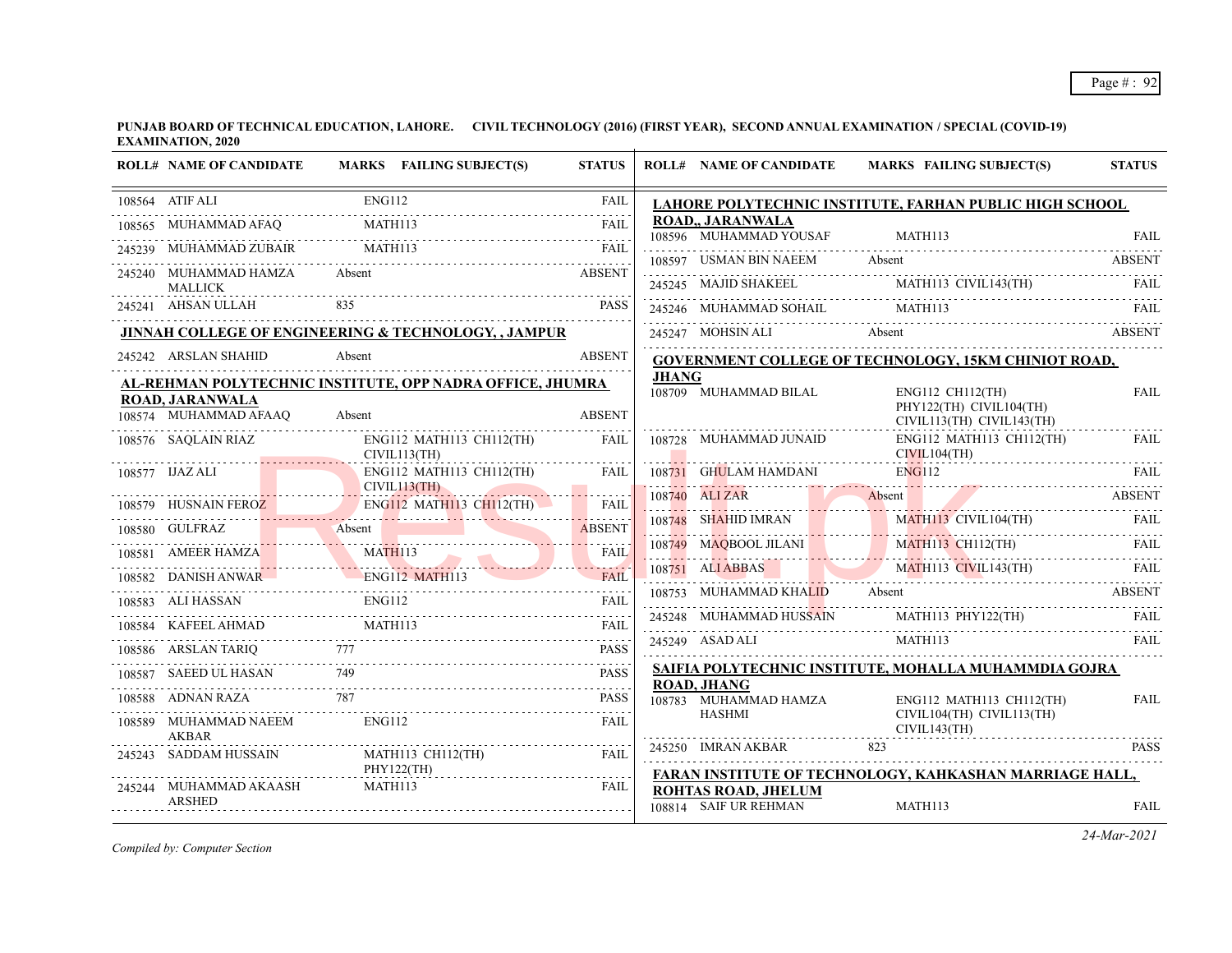| <b>ROLL# NAME OF CANDIDATE</b>                  |               | MARKS FAILING SUBJECT(S)                                                            | <b>STATUS</b>            |       | <b>ROLL# NAME OF CANDIDATE</b>               | MARKS FAILING SUBJECT(S)                                                                                                                                                                                                                                                                                                                                                                                                                              | <b>STATUS</b> |
|-------------------------------------------------|---------------|-------------------------------------------------------------------------------------|--------------------------|-------|----------------------------------------------|-------------------------------------------------------------------------------------------------------------------------------------------------------------------------------------------------------------------------------------------------------------------------------------------------------------------------------------------------------------------------------------------------------------------------------------------------------|---------------|
| 108564 ATIF ALI                                 | <b>ENG112</b> |                                                                                     | <b>FAIL</b>              |       |                                              | LAHORE POLYTECHNIC INSTITUTE, FARHAN PUBLIC HIGH SCHOOL                                                                                                                                                                                                                                                                                                                                                                                               |               |
| 108565 MUHAMMAD AFAQ                            |               | MATH <sub>113</sub>                                                                 | 1.1.1.1.1<br><b>FAIL</b> |       | <b>ROAD., JARANWALA</b>                      |                                                                                                                                                                                                                                                                                                                                                                                                                                                       |               |
|                                                 |               | MUHAMMAD ZUBAIR MATHI13 FAIL                                                        |                          |       | 108597 USMAN BIN NAEEM                       | 108596 MUHAMMAD YOUSAF MATH113 FAIL                                                                                                                                                                                                                                                                                                                                                                                                                   |               |
| 245240 MUHAMMAD HAMZA                           | Absent        |                                                                                     | ABSENT                   |       |                                              | 108597 USMAN BIN NAEEM Absent ABSENT ABSENT                                                                                                                                                                                                                                                                                                                                                                                                           |               |
| <b>MALLICK</b>                                  |               |                                                                                     | <b>PASS</b>              |       |                                              | $\begin{tabular}{llllllll} \multicolumn{2}{c}{\textbf{245245} \quad \textbf{MAJID SHAKEEL} & \multicolumn{2}{c}{\textbf{MATH113} \quad \textbf{CVIL143(TH)} & \multicolumn{2}{c}{\textbf{FAIL}} \\ \multicolumn{2}{c}{\textbf{245246} \quad \textbf{MUHAMMAD SOHAL} & \multicolumn{2}{c}{\textbf{MATH113} \quad \textbf{FAIL} & \multicolumn{2}{c}{\textbf{FAIL} } \\ \multicolumn{2}{c}{\textbf{13.0} \quad \textbf{14.0} \quad \textbf{15.0} \quad$ |               |
|                                                 |               | 245241 AHSAN ULLAH 835 PASS<br>JINNAH COLLEGE OF ENGINEERING & TECHNOLOGY, , JAMPUR |                          |       |                                              |                                                                                                                                                                                                                                                                                                                                                                                                                                                       |               |
|                                                 |               |                                                                                     | <b>ABSENT</b>            |       |                                              | 245247 MOHSIN ALI Absent ABSENT                                                                                                                                                                                                                                                                                                                                                                                                                       |               |
| 245242 ARSLAN SHAHID                            | Absent        |                                                                                     |                          |       |                                              | GOVERNMENT COLLEGE OF TECHNOLOGY, 15KM CHINIOT ROAD,                                                                                                                                                                                                                                                                                                                                                                                                  |               |
|                                                 |               | AL-REHMAN POLYTECHNIC INSTITUTE, OPP NADRA OFFICE, JHUMRA                           |                          | JHANG | 108709 MUHAMMAD BILAL                        | <b>ENG112 CH112(TH)</b>                                                                                                                                                                                                                                                                                                                                                                                                                               | <b>FAIL</b>   |
| <b>ROAD, JARANWALA</b><br>108574 MUHAMMAD AFAAQ | Absent        |                                                                                     | <b>ABSENT</b>            |       |                                              | PHY122(TH) CIVIL104(TH)<br>CIVIL113(TH) CIVIL143(TH)                                                                                                                                                                                                                                                                                                                                                                                                  |               |
| 108576 SAQLAIN RIAZ                             |               | ENG112 MATH113 CH112(TH)<br>CIVIL113(TH)                                            | FAIL                     |       | 108728 MUHAMMAD JUNAID ENG112 MATH           | ENG112 MATH113 CH112(TH)                                                                                                                                                                                                                                                                                                                                                                                                                              | FAIL          |
| 108577 IJAZ ALI                                 |               | ENG112 MATH113 CH112(TH)                                                            | <b>FAIL</b>              |       |                                              | 108731 GHULAM HAMDANI ENGI12 FAIL                                                                                                                                                                                                                                                                                                                                                                                                                     |               |
|                                                 |               | CIVIL113(TH)                                                                        |                          |       | 108740 ALIZAR Absent                         |                                                                                                                                                                                                                                                                                                                                                                                                                                                       | ABSENT        |
|                                                 |               | 108579 HUSNAIN FEROZ ENGI12 MATH113 CH112(TH) FAIL                                  |                          |       |                                              | 108748 SHAHID IMRAN MATH113 CIVIL104(TH) FAIL                                                                                                                                                                                                                                                                                                                                                                                                         |               |
|                                                 |               | 108580 GULFRAZ Absent                                                               | <b>FAIL</b>              |       |                                              | 108749 MAQBOOL JILANI MATHI13 CH112(TH) FAIL                                                                                                                                                                                                                                                                                                                                                                                                          |               |
| 108582 DANISH ANWAR ENG112 MATH113              |               | 108581 AMEER HAMZA MATH113                                                          | <b>FAIL</b>              |       |                                              | 108751 ALI ABBAS MATHII3 CIVILI43(TH) FAIL                                                                                                                                                                                                                                                                                                                                                                                                            |               |
|                                                 | <b>ENG112</b> |                                                                                     |                          |       |                                              | 108753 MUHAMMAD KHALID Absent ABSENT                                                                                                                                                                                                                                                                                                                                                                                                                  |               |
|                                                 |               | 108583 ALI HASSAN ENG112 FAIL                                                       |                          |       |                                              | 245248 MUHAMMAD HUSSAIN MATHII3 PHY122(TH) FAIL                                                                                                                                                                                                                                                                                                                                                                                                       |               |
|                                                 |               | 108584 KAFEEL AHMAD MATH113 FAIL RESERVE ARE A MATH113                              |                          |       | 245249 ASAD ALI                              | MATH113                                                                                                                                                                                                                                                                                                                                                                                                                                               | FAIL          |
|                                                 |               | 108586 ARSLAN TARIQ 777 PASS                                                        |                          |       |                                              | SAIFIA POLYTECHNIC INSTITUTE, MOHALLA MUHAMMDIA GOJRA                                                                                                                                                                                                                                                                                                                                                                                                 |               |
| 108587 SAEED UL HASAN                           |               |                                                                                     | <b>PASS</b>              |       | <b>ROAD, JHANG</b>                           |                                                                                                                                                                                                                                                                                                                                                                                                                                                       |               |
|                                                 |               | 108588 ADNAN RAZA 787 PASS                                                          |                          |       | 108783 MUHAMMAD HAMZA<br>HASHMI              | ENG112 MATH113 CH112(TH)<br>CIVIL104(TH) CIVIL113(TH)                                                                                                                                                                                                                                                                                                                                                                                                 | <b>FAIL</b>   |
| 108589 MUHAMMAD NAEEM<br><b>AKBAR</b>           | ENG112        |                                                                                     | FAII.                    |       |                                              | CIVIL143(TH)                                                                                                                                                                                                                                                                                                                                                                                                                                          |               |
| 245243 SADDAM HUSSAIN                           |               | MATH113 CH112(TH)<br>PHY122(TH)                                                     | FAIL                     |       | 245250 IMRAN AKBAR                           | 823                                                                                                                                                                                                                                                                                                                                                                                                                                                   | <b>PASS</b>   |
| 245244 MUHAMMAD AKAASH<br><b>ARSHED</b>         |               | MATH113                                                                             | FAIL                     |       | ROHTAS ROAD, JHELUM<br>108814 SAIF UR REHMAN | FARAN INSTITUTE OF TECHNOLOGY, KAHKASHAN MARRIAGE HALL,<br>MATH113                                                                                                                                                                                                                                                                                                                                                                                    | <b>FAIL</b>   |

*Compiled by: Computer Section*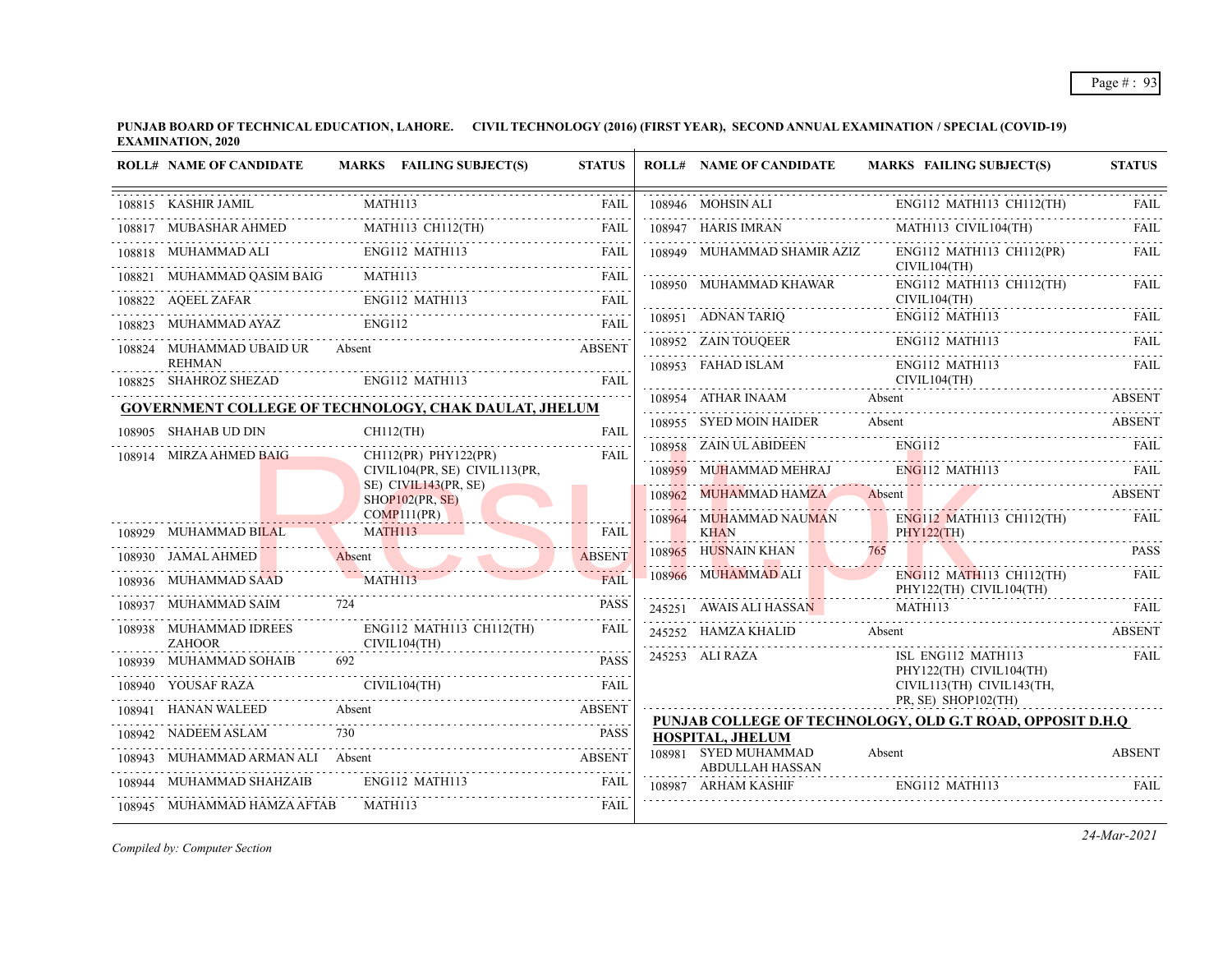| <b>ROLL# NAME OF CANDIDATE</b>          | MARKS FAILING SUBJECT(S)                                     | <b>STATUS</b>       | <b>ROLL# NAME OF CANDIDATE</b>          | <b>MARKS FAILING SUBJECT(S)</b>                                                                                                                                                                                                | <b>STATUS</b>    |
|-----------------------------------------|--------------------------------------------------------------|---------------------|-----------------------------------------|--------------------------------------------------------------------------------------------------------------------------------------------------------------------------------------------------------------------------------|------------------|
| 108815 KASHIR JAMIL                     | MATH113                                                      | FAIL                | 108946 MOHSIN ALI                       | ENG112 MATH113 CH112(TH)                                                                                                                                                                                                       |                  |
| 108817 MUBASHAR AHMED                   | MATH113 CH112(TH)                                            | FAIL                | 108947 HARIS IMRAN                      | MATH113 CIVIL104(TH)                                                                                                                                                                                                           | <b>FAIL</b>      |
|                                         | 108818 MUHAMMAD ALI ENGI12 MATH113 FAIL FAIL                 |                     | 108949 MUHAMMAD SHAMIR AZIZ             | ENG112 MATH113 CH112(PR)                                                                                                                                                                                                       | FAIL             |
| 108821 MUHAMMAD QASIM BAIG MATH113      |                                                              |                     | 108950 MUHAMMAD KHAWAR                  | CIVIL104(TH)<br>ENG112 MATH113 CH112(TH)                                                                                                                                                                                       | <b>FAIL</b>      |
| 108822 AQEEL ZAFAR ENG112 MATH113       |                                                              | <b>FAIL</b>         |                                         | CIVIL104(TH)                                                                                                                                                                                                                   |                  |
| 108823 MUHAMMAD AYAZ                    | ENG112                                                       | <b>FAIL</b>         | 108951 ADNAN TARIQ                      | ENG112 MATH113                                                                                                                                                                                                                 | FAIL             |
| 108824 MUHAMMAD UBAID UR Absent         |                                                              | <b>ABSENT</b>       |                                         | 108952 ZAIN TOUQEER ENG112 MATH113 FAIL                                                                                                                                                                                        |                  |
| <b>REHMAN</b>                           | 108825 SHAHROZ SHEZAD ENG112 MATH113                         | FAII.               |                                         | ENG112 MATH113                                                                                                                                                                                                                 | <b>FAIL</b>      |
|                                         |                                                              |                     | 108954 ATHAR INAAM Absent               |                                                                                                                                                                                                                                | ABSENT           |
|                                         | <b>GOVERNMENT COLLEGE OF TECHNOLOGY, CHAK DAULAT, JHELUM</b> |                     | 108955 SYED MOIN HAIDER                 | Absent                                                                                                                                                                                                                         | <b>ABSENT</b>    |
| 108905 SHAHAB UD DIN                    | $CH112$ (TH)                                                 | FAIL<br>a dia a dia |                                         | 108958 ZAIN ULABIDEEN ENGI12 FAIL PRIME PRIME PRIME PRIME PRIME PRIME PRIME PRIME PRIME PRIME PRIME PRIME PRIME PRIME PRIME PRIME PRIME PRIME PRIME PRIME PRIME PRIME PRIME PRIME PRIME PRIME PRIME PRIME PRIME PRIME PRIME PR |                  |
| 108914 MIRZA AHMED BAIG                 | $CH112(PR)$ PHY122(PR)<br>CIVIL104(PR, SE) CIVIL113(PR,      | FAIL                |                                         | 108959 MUHAMMAD MEHRAJ ENGI12 MATH113 FAIL                                                                                                                                                                                     |                  |
|                                         | SE) CIVIL143(PR, SE)<br>SHOP102(PR, SE)                      |                     | 108962 MUHAMMAD HAMZA Absent            | ABSENT                                                                                                                                                                                                                         |                  |
|                                         | COMP111(PR)                                                  |                     | 108964 MUHAMMAD NAUMAN                  | ENG112 MATH113 CH112(TH)                                                                                                                                                                                                       | <b>FAIL</b>      |
| 108929 MUHAMMAD BILAL                   | MATH113                                                      | <b>FAIL</b>         | <b>KHAN</b><br>the contract of the con- | <b>PHY122(TH)</b>                                                                                                                                                                                                              |                  |
|                                         | 108930 JAMAL AHMED Absent ABSENT                             |                     | 108965 HUSNAIN KHAN                     | 765                                                                                                                                                                                                                            | <b>PASS</b>      |
| 108936 MUHAMMAD SAAD MATH113            |                                                              | <b>FAII</b>         | 108966 MUHAMMAD ALI                     | ENG112 MATH113 CH112(TH)<br>PHY122(TH) CIVIL104(TH)                                                                                                                                                                            | <b>FAIL</b><br>. |
| 108937 MUHAMMAD SAIM 724                |                                                              | <b>PASS</b>         |                                         | 245251 AWAIS ALI HASSAN MATHII3 FAIL                                                                                                                                                                                           |                  |
| 108938 MUHAMMAD IDREES<br><b>ZAHOOR</b> | ENG112 MATH113 CH112(TH)                                     | <b>FAIL</b>         | 245252 HAMZA KHALID Absent              | <b>ABSENT</b>                                                                                                                                                                                                                  |                  |
| .<br>108939 MUHAMMAD SOHAIB             | CIVIL104(TH)<br>692                                          | <b>PASS</b>         | 245253 ALI RAZA                         | ISL ENG112 MATH113<br>PHY122(TH) CIVIL104(TH)                                                                                                                                                                                  | FAIL             |
|                                         | 108940 YOUSAF RAZA CIVIL104(TH)                              | FAII.               |                                         | CIVIL113(TH) CIVIL143(TH,                                                                                                                                                                                                      |                  |
|                                         | 108941 HANAN WALEED Absent ABSENT                            |                     |                                         | PR, SE) SHOP102(TH)                                                                                                                                                                                                            |                  |
| 108942 NADEEM ASLAM                     | 730                                                          | <b>PASS</b>         | HOSPITAL, JHELUM                        | PUNJAB COLLEGE OF TECHNOLOGY, OLD G.T ROAD, OPPOSIT D.H.Q                                                                                                                                                                      |                  |
| 108943 MUHAMMAD ARMAN ALI Absent        | MMAD ARMAN ALI Absent ABSENT                                 |                     | 108981 SYED MUHAMMAD<br>ABDULLAH HASSAN | Absent                                                                                                                                                                                                                         | <b>ABSENT</b>    |
| 108944 MUHAMMAD SHAHZAIB                |                                                              | FAIL                | 108987 ARHAM KASHIF                     | ENG112 MATH113                                                                                                                                                                                                                 | <b>FAIL</b>      |
| 108945 MUHAMMAD HAMZA AFTAB             | MATH113                                                      | FAIL                |                                         |                                                                                                                                                                                                                                |                  |

*Compiled by: Computer Section*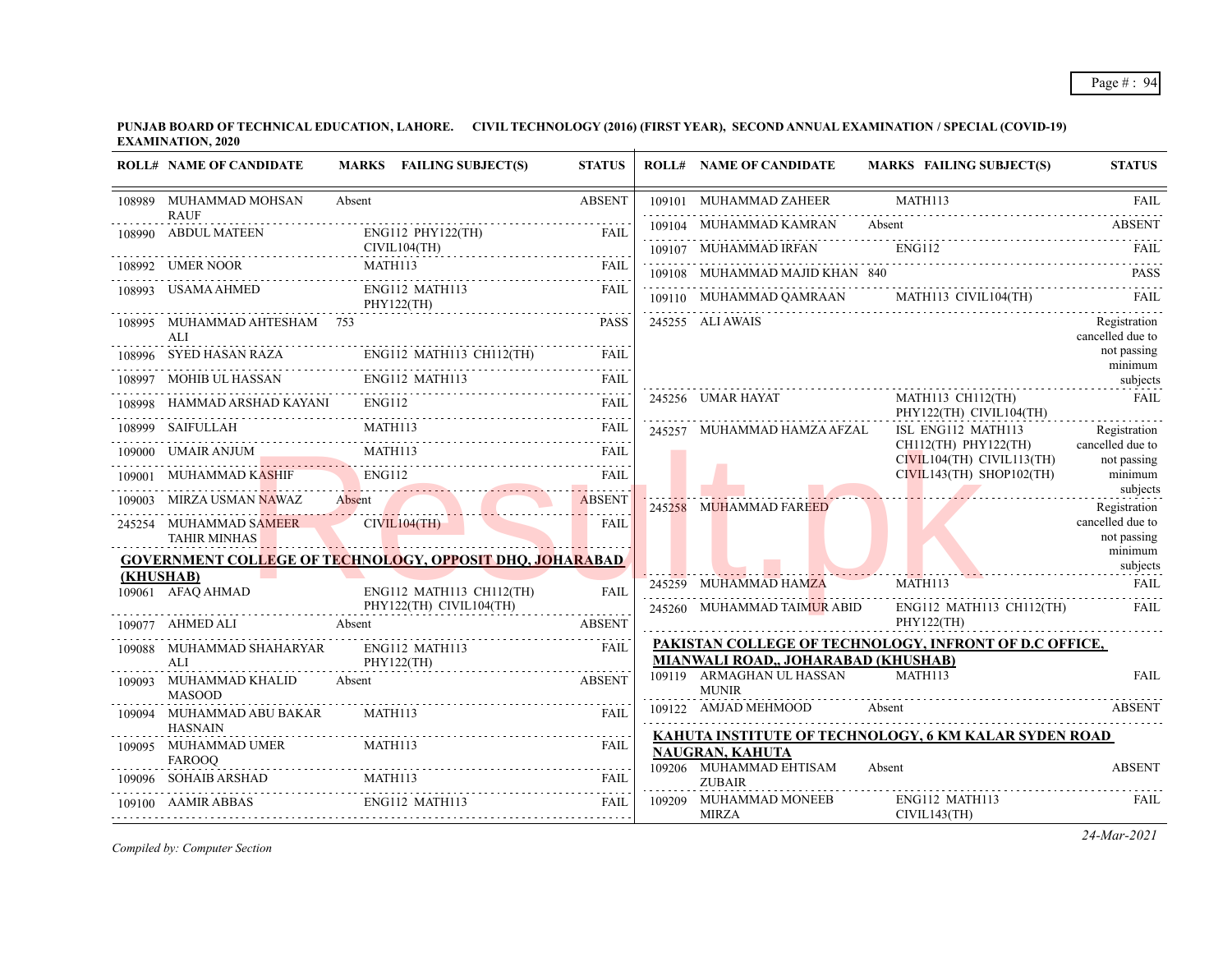|           | <b>ROLL# NAME OF CANDIDATE</b>                | MARKS FAILING SUBJECT(S)                                        | <b>STATUS</b> | <b>ROLL# NAME OF CANDIDATE</b>            | <b>MARKS FAILING SUBJECT(S)</b>                        | <b>STATUS</b>                    |
|-----------|-----------------------------------------------|-----------------------------------------------------------------|---------------|-------------------------------------------|--------------------------------------------------------|----------------------------------|
|           | 108989 MUHAMMAD MOHSAN                        | Absent                                                          | <b>ABSENT</b> | 109101 MUHAMMAD ZAHEER                    | MATH113                                                | <b>FAIL</b>                      |
|           | <b>RAUF</b><br>108990 ABDUL MATEEN            | $ENG112$ PHY122(TH)                                             | FAIL          | 109104 MUHAMMAD KAMRAN Absent             |                                                        | <b>ABSENT</b>                    |
|           |                                               | CIVIL104(TH)                                                    |               | 109107 MUHAMMAD IRFAN ENG112              |                                                        | FAII.                            |
|           | 108992 UMER NOOR                              | 3992 UMER NOOR MATH113 FAIL FAIL                                |               |                                           | 109108 MUHAMMAD MAJID KHAN 840                         | <b>PASS</b>                      |
|           | 108993 USAMA AHMED                            | ENG112 MATH113<br>PHY122(TH)                                    | FAIL          |                                           | 109110 MUHAMMAD QAMRAAN MATH113 CIVIL104(TH)           | - FAIL                           |
|           | 108995 MUHAMMAD AHTESHAM 753<br>AIJ           |                                                                 | <b>PASS</b>   | 245255 ALI AWAIS                          |                                                        | Registration<br>cancelled due to |
|           |                                               | 108996 SYED HASAN RAZA ENG112 MATH113 CH112(TH)                 | FAIL          |                                           |                                                        | not passing<br>minimum           |
|           |                                               | ENG112 MATH113<br>108997 MOHIB UL HASSAN ENG112 MATH113 FAIL    |               |                                           |                                                        | subjects                         |
|           | HAMMAD ARSHAD KAYANI ENG112                   |                                                                 | <b>FAIL</b>   | 245256 UMAR HAYAT                         | MATH113 CH112(TH)<br>PHY122(TH) CIVIL104(TH)           | <b>FAIL</b>                      |
|           | 108999 SAIFULLAH MATH113                      |                                                                 | FAIL          | 245257 MUHAMMAD HAMZA AFZAL               | ISL ENG112 MATH113                                     | .<br>Registration                |
|           |                                               | 109000 UMAIR ANJUM MATH113 FAIL                                 |               |                                           | CH112(TH) PHY122(TH)<br>$CIVIL104(TH)$ $CIVIL113(TH)$  | cancelled due to<br>not passing  |
|           | 109001 MUHAMMAD KASHIF                        | HAMMAD KASHIF ENGIL2 FAIL FAIL                                  |               |                                           | $CIVIL143(TH)$ SHOP102(TH)                             | minimum                          |
|           | 109003 MIRZA USMAN NAWAZ Absent               | 9903 MIRZA USMAN NAWAZ Absent ABSENT                            |               | 245258 MUHAMMAD FAREED                    |                                                        | subjects<br>Registration         |
|           | 245254 MUHAMMAD SAMEER<br><b>TAHIR MINHAS</b> | CIVIL104(TH)                                                    | FAIL          |                                           |                                                        | cancelled due to<br>not passing  |
|           |                                               | <b>GOVERNMENT COLLEGE OF TECHNOLOGY, OPPOSIT DHQ, JOHARABAD</b> |               |                                           |                                                        | minimum                          |
| (KHUSHAB) | 109061 AFAQ AHMAD                             | ENG112 MATH113 CH112(TH)                                        | <b>FAIL</b>   | 245259 MUHAMMAD HAMZA                     | subjects<br>MATH113                                    | FAIL                             |
|           | 109077 AHMED ALI Absent                       | PHY122(TH) CIVIL104(TH)                                         | ABSENT        | 245260 MUHAMMAD TAIMUR ABID               | ENG112 MATH113 CH112(TH)<br>PHY122(TH)                 | - FAIL                           |
|           | 109088 MUHAMMAD SHAHARYAR<br>AI               | ENG112 MATH113<br>PHY122(TH)                                    | FAIL          | MIANWALI ROAD,, JOHARABAD (KHUSHAB)       | PAKISTAN COLLEGE OF TECHNOLOGY, INFRONT OF D.C OFFICE, |                                  |
|           | 109093 MUHAMMAD KHALID<br><b>MASOOD</b>       | Absent                                                          | <b>ABSENT</b> | 109119 ARMAGHAN UL HASSAN<br><b>MUNIR</b> | <b>MATH113</b>                                         | <b>FAIL</b>                      |
|           | 109094 MUHAMMAD ABU BAKAR<br><b>HASNAIN</b>   | MATH113                                                         | FAIL          |                                           | 109122 AMJAD MEHMOOD Absent                            | ABSENT                           |
|           | 109095 MUHAMMAD UMER<br><b>FAROOO</b>         | MATH113                                                         | FAIL          | <b>NAUGRAN, KAHUTA</b>                    | KAHUTA INSTITUTE OF TECHNOLOGY, 6 KM KALAR SYDEN ROAD  |                                  |
|           |                                               | 109096 SOHAIB ARSHAD MATH113                                    | FAIL          | 109206 MUHAMMAD EHTISAM<br><b>ZUBAIR</b>  | Absent                                                 | <b>ABSENT</b>                    |
|           | 109100 AAMIR ABBAS                            | <b>ENG112 MATH113</b>                                           | FAIL          | 109209 MUHAMMAD MONEEB<br>MIRZA           | ENG112 MATH113<br>CIVIL143(TH)                         | <b>FAIL</b>                      |

*Compiled by: Computer Section*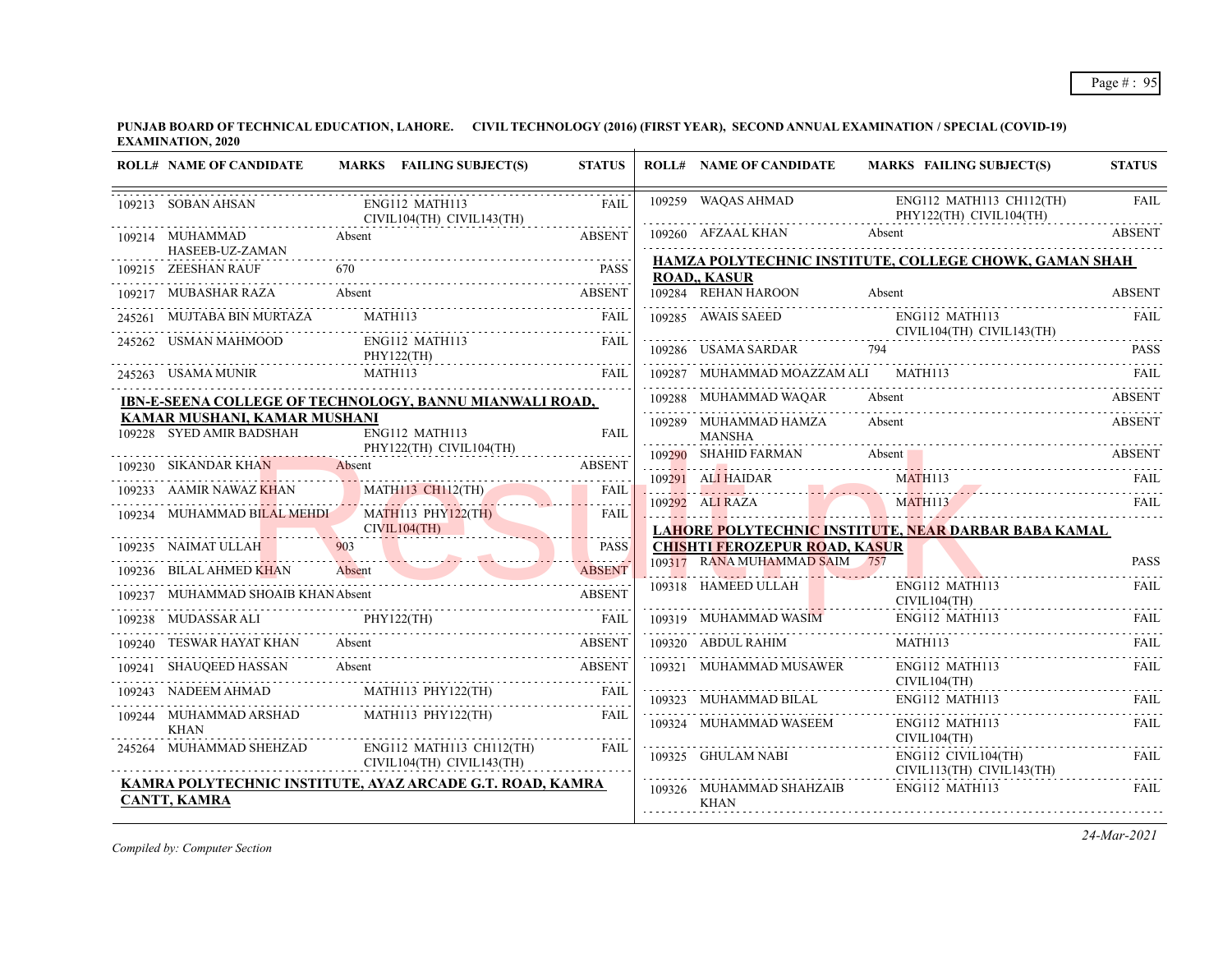|        | <b>ROLL# NAME OF CANDIDATE</b>                                                                                                                                                                                                                                                                                                                                                                                                                 |         | MARKS FAILING SUBJECT(S)                    | <b>STATUS</b> | <b>ROLL# NAME OF CANDIDATE</b>       | <b>MARKS FAILING SUBJECT(S)</b>                                                                                                                                                                                                | <b>STATUS</b> |
|--------|------------------------------------------------------------------------------------------------------------------------------------------------------------------------------------------------------------------------------------------------------------------------------------------------------------------------------------------------------------------------------------------------------------------------------------------------|---------|---------------------------------------------|---------------|--------------------------------------|--------------------------------------------------------------------------------------------------------------------------------------------------------------------------------------------------------------------------------|---------------|
|        | 109213 SOBAN AHSAN                                                                                                                                                                                                                                                                                                                                                                                                                             |         | ENG112 MATH113<br>CIVIL104(TH) CIVIL143(TH) | FAIL          | 109259 WAQAS AHMAD                   | ENG112 MATH113 CH112(TH)<br>PHY122(TH) CIVIL104(TH)                                                                                                                                                                            | <b>FAIL</b>   |
|        | 109214 MUHAMMAD<br><b>Absent</b><br>HASEEB-UZ-ZAMAN                                                                                                                                                                                                                                                                                                                                                                                            |         |                                             | <b>ABSENT</b> | 109260 AFZAAL KHAN                   | Absent                                                                                                                                                                                                                         | ABSENT        |
|        | 109215 ZEESHAN RAUF                                                                                                                                                                                                                                                                                                                                                                                                                            |         |                                             | PASS          |                                      | HAMZA POLYTECHNIC INSTITUTE, COLLEGE CHOWK, GAMAN SHAH                                                                                                                                                                         |               |
|        |                                                                                                                                                                                                                                                                                                                                                                                                                                                |         |                                             |               | <b>ROAD,, KASUR</b>                  |                                                                                                                                                                                                                                |               |
|        | 109217 MUBASHAR RAZA Absent                                                                                                                                                                                                                                                                                                                                                                                                                    |         |                                             | ABSENT        | 109284 REHAN HAROON                  | Absent                                                                                                                                                                                                                         | <b>ABSENT</b> |
|        | MUJTABA BIN MURTAZA                                                                                                                                                                                                                                                                                                                                                                                                                            |         | MATH113                                     | FAIL          |                                      | 109285 AWAIS SAEED ENG112 MATH113<br>CIVIL104(TH) CIVIL143(TH)                                                                                                                                                                 | <b>FAIL</b>   |
|        | 245262 USMAN MAHMOOD                                                                                                                                                                                                                                                                                                                                                                                                                           |         | ENG112 MATH113<br>PHY122(TH)                | <b>FAIL</b>   | 109286 USAMA SARDAR 794              |                                                                                                                                                                                                                                | <b>PASS</b>   |
|        | 245263 USAMA MUNIR                                                                                                                                                                                                                                                                                                                                                                                                                             | MATH113 |                                             | FAIL          | 109287 MUHAMMAD MOAZZAM ALI MATH113  |                                                                                                                                                                                                                                | FAIL          |
|        | IBN-E-SEENA COLLEGE OF TECHNOLOGY, BANNU MIANWALI ROAD,                                                                                                                                                                                                                                                                                                                                                                                        |         |                                             |               | 109288 MUHAMMAD WAQAR                | Absent                                                                                                                                                                                                                         | <b>ABSENT</b> |
|        | KAMAR MUSHANI, KAMAR MUSHANI                                                                                                                                                                                                                                                                                                                                                                                                                   |         |                                             |               | 109289 MUHAMMAD HAMZA                | Absent                                                                                                                                                                                                                         | <b>ABSENT</b> |
|        | 109228 SYED AMIR BADSHAH                                                                                                                                                                                                                                                                                                                                                                                                                       |         | ENG112 MATH113<br>PHY122(TH) CIVIL104(TH)   | FAIL          | <b>MANSHA</b>                        |                                                                                                                                                                                                                                |               |
|        | 109230 SIKANDAR KHAN Absent                                                                                                                                                                                                                                                                                                                                                                                                                    |         |                                             | <b>ABSENT</b> | 109290 SHAHID FARMAN                 | Absent and the state of the state of the state of the state of the state of the state of the state of the state of the state of the state of the state of the state of the state of the state of the state of the state of the | ABSENT        |
|        | 109233 AAMIR NAWAZ KHAN MATHI13 CHI12(TH) FAIL                                                                                                                                                                                                                                                                                                                                                                                                 |         |                                             |               | 109291 ALI HAIDAR                    | MATH113                                                                                                                                                                                                                        | <b>FAIL</b>   |
|        |                                                                                                                                                                                                                                                                                                                                                                                                                                                |         |                                             |               |                                      | 109292 ALI RAZA MATH113 FAIL                                                                                                                                                                                                   |               |
|        | 109234 MUHAMMAD BILAL MEHDI MATH113 PHY122(TH)                                                                                                                                                                                                                                                                                                                                                                                                 |         | CIVIL104(TH)                                | FAIL          |                                      | LAHORE POLYTECHNIC INSTITUTE, NEAR DARBAR BABA KAMAL                                                                                                                                                                           |               |
|        | 109235 NAIMAT ULLAH<br>NAIMAT ULLAH 903                                                                                                                                                                                                                                                                                                                                                                                                        |         |                                             | <b>PASS</b>   | <b>CHISHTI FEROZEPUR ROAD, KASUR</b> |                                                                                                                                                                                                                                |               |
|        |                                                                                                                                                                                                                                                                                                                                                                                                                                                |         |                                             | . <i>. .</i>  | 109317 RANA MUHAMMAD SAIM 757        |                                                                                                                                                                                                                                | <b>PASS</b>   |
|        | 109236 BILAL AHMED KHAN Absent ABSENT                                                                                                                                                                                                                                                                                                                                                                                                          |         |                                             |               | 109318 HAMEED ULLAH                  | ENG112 MATH113                                                                                                                                                                                                                 | FAIL          |
|        | 109237 MUHAMMAD SHOAIB KHAN Absent                                                                                                                                                                                                                                                                                                                                                                                                             |         |                                             | <b>ABSENT</b> |                                      | CIVIL104(TH)                                                                                                                                                                                                                   |               |
| 109238 | MUDASSAR ALI PHY122(TH)                                                                                                                                                                                                                                                                                                                                                                                                                        |         | MUDASSAR ALI PHY122(TH) FAIL                |               |                                      | 109319 MUHAMMAD WASIM ENG112 MATH113 FAIL                                                                                                                                                                                      |               |
|        | 109240 TESWAR HAYAT KHAN Absent                                                                                                                                                                                                                                                                                                                                                                                                                |         |                                             | <b>ABSENT</b> | 109320 ABDUL RAHIM                   | MATH113                                                                                                                                                                                                                        | FAIL          |
|        | 109241 SHAUQEED HASSAN Absent                                                                                                                                                                                                                                                                                                                                                                                                                  |         |                                             | <b>ABSENT</b> | 109321 MUHAMMAD MUSAWER              | ENG112 MATH113<br>CIVIL104(TH)                                                                                                                                                                                                 | FAIL          |
|        | $\begin{tabular}{lllllllllll} \multicolumn{2}{l}{{\textbf{0.023}}}\quad\quad & \multicolumn{2}{l}{\textbf{0.0243}}\quad\quad & \multicolumn{2}{l}{\textbf{0.0243}}\quad\quad & \multicolumn{2}{l}{\textbf{0.0243}}\quad\quad & \multicolumn{2}{l}{\textbf{0.0243}}\quad\quad & \multicolumn{2}{l}{\textbf{0.0243}}\quad\quad & \multicolumn{2}{l}{\textbf{0.0243}}\quad\quad & \multicolumn{2}{l}{\textbf{0.0243}}\quad & \multicolumn{2}{l}{$ |         |                                             | FAIL          |                                      | 109323 MUHAMMAD BILAL ENGI12 MATH113 FAIL FAIL                                                                                                                                                                                 |               |
|        | 109244 MUHAMMAD ARSHAD MATH113 PHY122(TH)                                                                                                                                                                                                                                                                                                                                                                                                      |         |                                             | FAIL          | 109324 MUHAMMAD WASEEM               | ENG112 MATH113                                                                                                                                                                                                                 | <b>FAIL</b>   |
|        | <b>KHAN</b><br>245264 MUHAMMAD SHEHZAD                                                                                                                                                                                                                                                                                                                                                                                                         |         | ENG112 MATH113 CH112(TH)                    | FAIL          |                                      | CIVIL104(TH)                                                                                                                                                                                                                   |               |
|        |                                                                                                                                                                                                                                                                                                                                                                                                                                                |         | CIVIL104(TH) CIVIL143(TH)                   |               | 109325 GHULAM NABI                   | ENG112 CIVIL104(TH)<br>CIVIL113(TH) CIVIL143(TH)                                                                                                                                                                               | FAIL          |
|        | KAMRA POLYTECHNIC INSTITUTE, AYAZ ARCADE G.T. ROAD, KAMRA<br><b>CANTT, KAMRA</b>                                                                                                                                                                                                                                                                                                                                                               |         |                                             |               | 109326 MUHAMMAD SHAHZAIB             | ENG112 MATH113                                                                                                                                                                                                                 | FAIL          |
|        |                                                                                                                                                                                                                                                                                                                                                                                                                                                |         |                                             |               | <b>KHAN</b>                          |                                                                                                                                                                                                                                |               |

*Compiled by: Computer Section*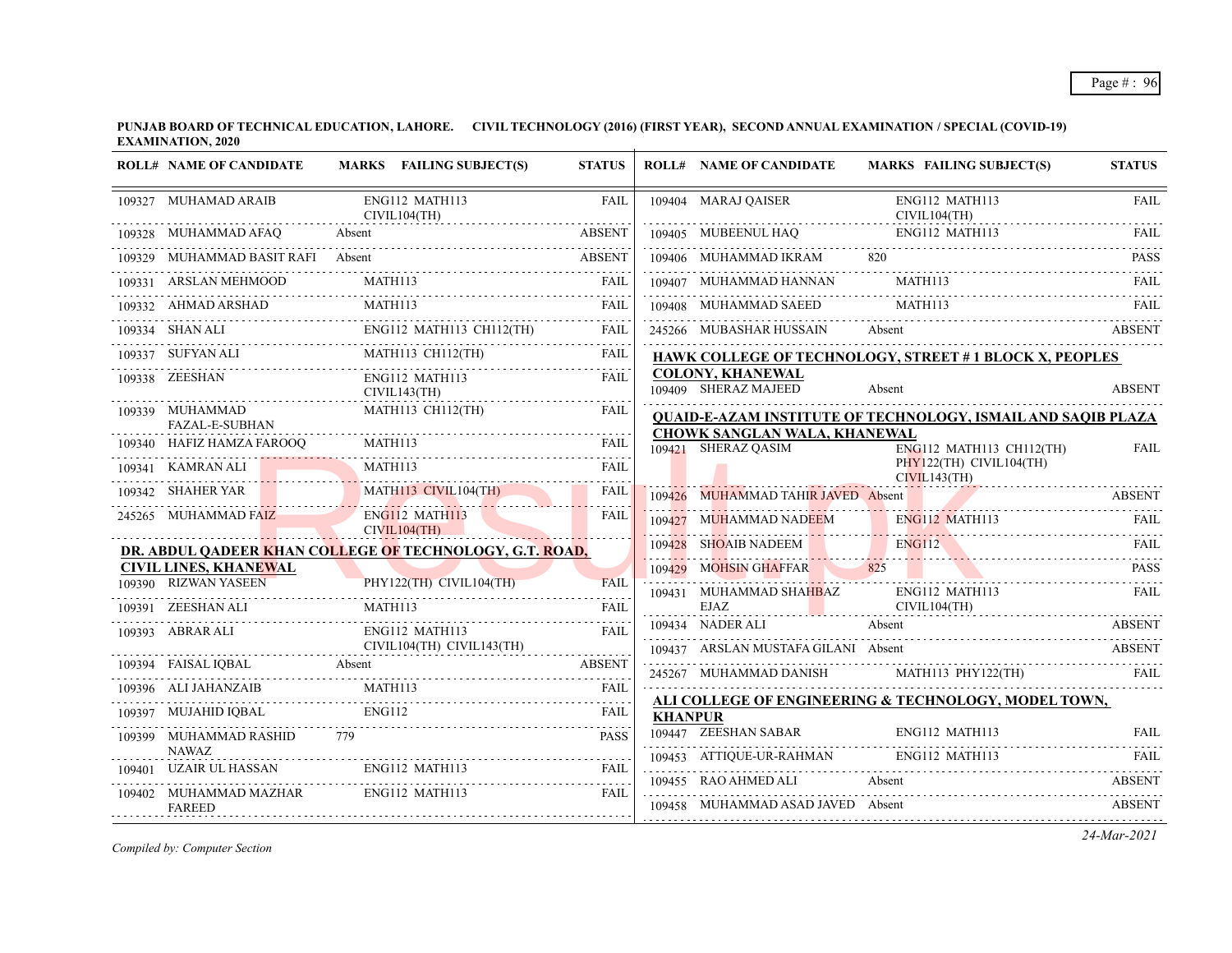**PUNJAB BOARD OF TECHNICAL EDUCATION, LAHORE. CIVIL TECHNOLOGY (2016) (FIRST YEAR), SECOND ANNUAL EXAMINATION / SPECIAL (COVID-19) EXAMINATION, 2020**  $\mathbf{r}$ 

|        | <b>ROLL# NAME OF CANDIDATE</b>           | MARKS FAILING SUBJECT(S)                                                           | <b>STATUS</b> |                | <b>ROLL# NAME OF CANDIDATE</b>                      | <b>MARKS FAILING SUBJECT(S)</b>                                                     | <b>STATUS</b> |
|--------|------------------------------------------|------------------------------------------------------------------------------------|---------------|----------------|-----------------------------------------------------|-------------------------------------------------------------------------------------|---------------|
|        | 109327 MUHAMAD ARAIB                     | ENG112 MATH113<br>CIVIL104(TH)                                                     | <b>FAIL</b>   |                | 109404 MARAJ OAISER                                 | ENG112 MATH113<br>CIVIL104(TH)                                                      | <b>FAIL</b>   |
|        | 109328 MUHAMMAD AFAQ                     | Absent<br>IMAD AFAQ Absent ABSENT                                                  | <b>ABSENT</b> |                |                                                     | 109405 MUBEENUL HAQ ENG112 MATH113 FAIL                                             |               |
|        |                                          | 109329 MUHAMMAD BASIT RAFI Absent 2008 2009 2012 109329 MUHAMMAD BASIT RAFI Absent |               |                | 109406 MUHAMMAD IKRAM 820                           |                                                                                     | <b>PASS</b>   |
|        | 109331 ARSLAN MEHMOOD                    | MATH113                                                                            | FAIL          |                | 109407 MUHAMMAD HANNAN MATH113                      |                                                                                     | <b>FAIL</b>   |
|        |                                          | MATH113<br>109332 AHMAD ARSHAD MATH113 FAIL                                        |               |                | 109408 MUHAMMAD SAEED                               | MATH113                                                                             | FAIL          |
|        |                                          | 109334 SHAN ALI ENGI12 MATH113 CH112(TH) FAIL                                      |               |                |                                                     | 245266 MUBASHAR HUSSAIN Absent                                                      | <b>ABSENT</b> |
|        | 109337 SUFYAN ALI                        | MATH113 CH112(TH)                                                                  | FAIL          |                |                                                     | <b>HAWK COLLEGE OF TECHNOLOGY, STREET #1 BLOCK X, PEOPLES</b>                       |               |
|        | 109338 ZEESHAN                           | ENG112 MATH113<br>CIVIL143(TH)                                                     | <b>FAIL</b>   |                | <b>COLONY, KHANEWAL</b><br>109409 SHERAZ MAJEED     | Absent                                                                              | <b>ABSENT</b> |
|        | 109339 MUHAMMAD<br><b>FAZAL-E-SUBHAN</b> | MATH113 CH112(TH)                                                                  | <b>FAIL</b>   |                |                                                     | <b>QUAID-E-AZAM INSTITUTE OF TECHNOLOGY, ISMAIL AND SAQIB PLAZA</b>                 |               |
|        |                                          | $\overline{O}$ MATH113                                                             |               |                | CHOWK SANGLAN WALA, KHANEWAL<br>109421 SHERAZ OASIM | ENG112 MATH113 CH112(TH)                                                            | <b>FAIL</b>   |
|        |                                          | 109340 HAFIZ HAMZA FAROOQ MATHI13<br>WATHI13<br>WATHI13<br>WATHI13                 | <b>FAIL</b>   |                |                                                     | PHY122(TH) CIVIL104(TH)<br>CIVIL143(TH)                                             |               |
|        |                                          | 109342 SHAHER YAR MATH113 CIVIL104(TH)                                             | <b>FAIL</b>   |                |                                                     | 109426 MUHAMMAD TAHIR JAVED Absent ABSENT                                           |               |
|        | 245265 MUHAMMAD FAIZ                     | ENG112 MATH113<br>CIVIL104(TH)                                                     | <b>FAIL</b>   |                |                                                     |                                                                                     |               |
|        |                                          | DR. ABDUL QADEER KHAN COLLEGE OF TECHNOLOGY, G.T. ROAD,                            |               |                |                                                     | 109427 MUHAMMAD NADEEM ENGLI2 MATH113 FAIL 109428 SHOAIB NADEEM ENGLI2 MATH113 FAIL |               |
|        | <b>CIVIL LINES, KHANEWAL</b>             |                                                                                    |               |                | 109429 MOHSIN GHAFFAR 825                           |                                                                                     |               |
|        | 109390 RIZWAN YASEEN                     | PHY122(TH) CIVIL104(TH)                                                            | <b>FAIL</b>   |                | 109431 MUHAMMAD SHAHBAZ<br>EJAZ                     | ENG112 MATH113                                                                      | <b>FAIL</b>   |
|        | 109391 ZEESHAN ALI                       | MATH113                                                                            | <b>FAIL</b>   |                | 109434 NADER ALI                                    | CIVIL104(TH)<br>Absent                                                              | <b>ABSENT</b> |
|        | 109393 ABRAR ALI<br>ABRAR ALI            | ENG112 MATH113<br>CIVIL104(TH) CIVIL143(TH)                                        | <b>FAIL</b>   |                | 109437 ARSLAN MUSTAFA GILANI Absent                 |                                                                                     | <b>ABSENT</b> |
|        |                                          | 109394 FAISAL IQBAL Absent ABSENT                                                  |               |                |                                                     | 245267 MUHAMMAD DANISH MATH113 PHY122(TH) FAIL                                      |               |
|        | 109396 ALI JAHANZAIB MATH113             |                                                                                    | FAIL          |                |                                                     |                                                                                     |               |
| 109397 |                                          | MUJAHID IQBAL ENGI12 FAIL                                                          |               | <b>KHANPUR</b> |                                                     | ALI COLLEGE OF ENGINEERING & TECHNOLOGY, MODEL TOWN,                                |               |
|        | 109399 MUHAMMAD RASHID 779               |                                                                                    | <b>PASS</b>   |                |                                                     | 109447 ZEESHAN SABAR ENGI12 MATH113 FAIL                                            |               |
|        | NAWAZ<br>109401 UZAIR UL HASSAN          | ENG112 MATH113                                                                     | FAIL          |                |                                                     | 109453 ATTIQUE-UR-RAHMAN ENGI12 MATH113 FAIL                                        |               |
|        | 109402 MUHAMMAD MAZHAR                   | ENG112 MATH113                                                                     | FAIL          |                | 109455 RAO AHMED ALI                                | Absent                                                                              | ABSENT        |
|        | <b>FAREED</b>                            |                                                                                    |               |                | 109458 MUHAMMAD ASAD JAVED Absent                   |                                                                                     | <b>ABSENT</b> |

*Compiled by: Computer Section*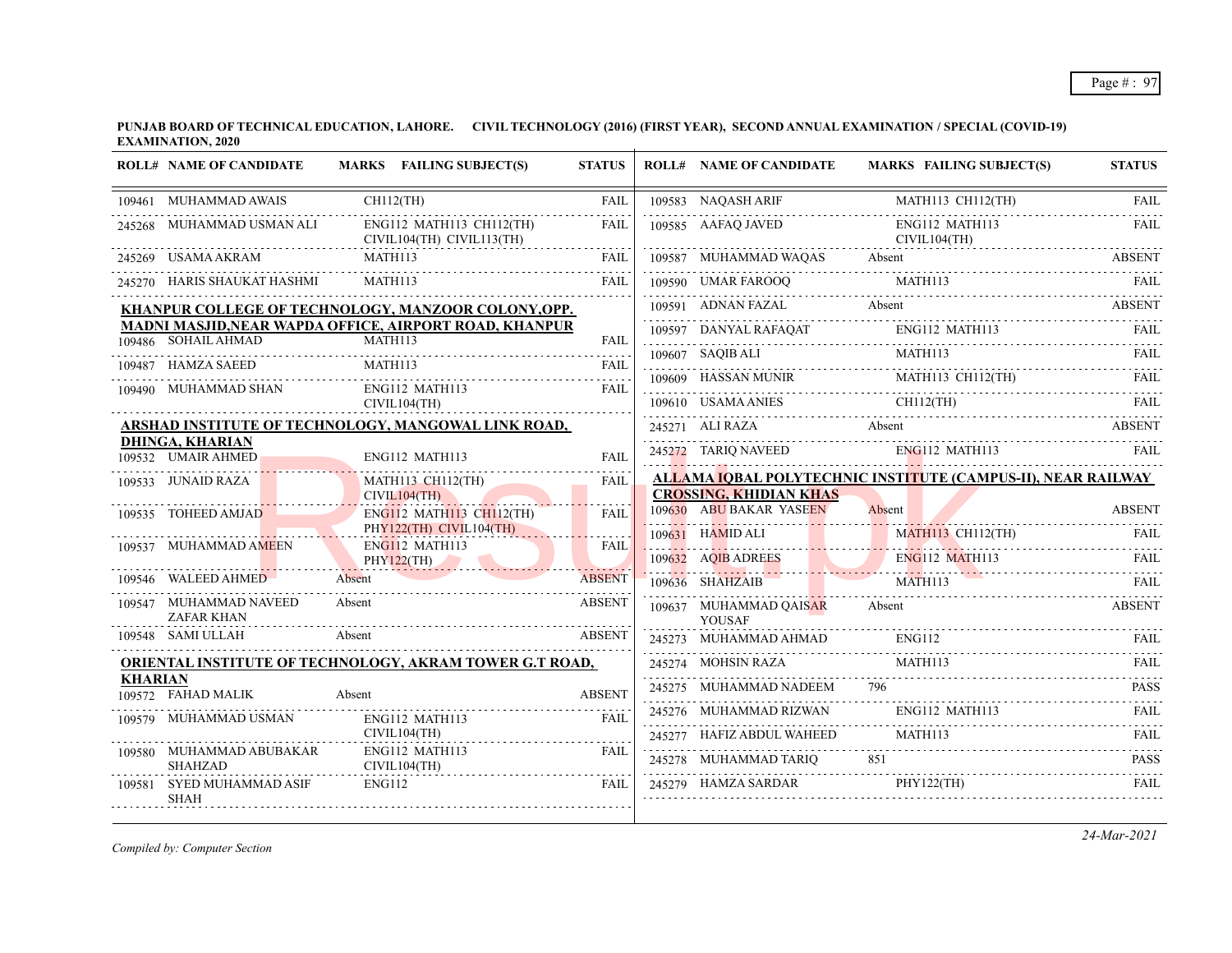**PUNJAB BOARD OF TECHNICAL EDUCATION, LAHORE. CIVIL TECHNOLOGY (2016) (FIRST YEAR), SECOND ANNUAL EXAMINATION / SPECIAL (COVID-19) EXAMINATION, 2020**

|                | <b>ROLL# NAME OF CANDIDATE</b>               | MARKS FAILING SUBJECT(S)                                | <b>STATUS</b> | <b>ROLL# NAME OF CANDIDATE</b>          | <b>MARKS FAILING SUBJECT(S)</b>                              | <b>STATUS</b> |
|----------------|----------------------------------------------|---------------------------------------------------------|---------------|-----------------------------------------|--------------------------------------------------------------|---------------|
|                | 109461 MUHAMMAD AWAIS                        | $CH112$ (TH)                                            | <b>FAIL</b>   | 109583 NAQASH ARIF                      | MATH113 CH112(TH)                                            | <b>FAIL</b>   |
|                | 245268 MUHAMMAD USMAN ALI                    | ENG112 MATH113 CH112(TH)<br>CIVIL104(TH) CIVIL113(TH)   | <b>FAIL</b>   | 109585 AAFAQ JAVED                      | ENG112 MATH113<br>CIVIL104(TH)                               | FAIL          |
|                | 245269 USAMA AKRAM                           | MATH113                                                 | FAIL          | 109587 MUHAMMAD WAQAS Absent            |                                                              | ABSENT        |
|                | 245270 HARIS SHAUKAT HASHMI                  | MATH113                                                 | <b>FAIL</b>   |                                         | 109590 UMAR FAROOQ MATHII3 FAIL                              |               |
|                |                                              | KHANPUR COLLEGE OF TECHNOLOGY, MANZOOR COLONY, OPP.     |               |                                         | 109591 ADNAN FAZAL Absent ABSENT                             |               |
|                |                                              | MADNI MASJID, NEAR WAPDA OFFICE, AIRPORT ROAD, KHANPUR  |               | 109597 DANYAL RAFAQAT E                 | ENG112 MATH113                                               | <b>FAIL</b>   |
|                | 109486 SOHAIL AHMAD                          | MATH113                                                 | FAIL<br>.     |                                         | MATH113                                                      |               |
|                | 109487 HAMZA SAEED                           | MATH113                                                 | <b>FAIL</b>   |                                         |                                                              |               |
|                | 109490 MUHAMMAD SHAN                         | ENG112 MATH113<br>CIVIL104(TH)                          | FAII.         | 109610 USAMA ANIES                      | $CH112$ (TH)                                                 | FAII.         |
|                |                                              | ARSHAD INSTITUTE OF TECHNOLOGY, MANGOWAL LINK ROAD,     |               |                                         | 245271 ALI RAZA Absent ABSENT                                |               |
|                | <b>DHINGA, KHARIAN</b><br>109532 UMAIR AHMED | ENG112 MATH113                                          | <b>FAIL</b>   | 245272 TARIQ NAVEED                     | ENG112 MATH113                                               | -FAIL         |
|                | 109533 JUNAID RAZA                           | <b>MATH113 CH112(TH)</b><br>CIVIL104(TH)                | <b>FAIL</b>   | <b>CROSSING, KHIDIAN KHAS</b>           | ALLAMA IQBAL POLYTECHNIC INSTITUTE (CAMPUS-II), NEAR RAILWAY |               |
|                | 109535 TOHEED AMJAD                          | ENG112 MATH113 CH112(TH)                                | <b>FAIL</b>   | 109630 ABU BAKAR YASEEN                 | Absent                                                       | <b>ABSENT</b> |
|                | 109537 MUHAMMAD AMEEN                        | PHY122(TH) CIVIL104(TH)<br>ENG112 MATH113               | <b>FAIL</b>   | 109631 HAMID ALI                        | <b>MATH113</b> CH112(TH)                                     | FAIL          |
|                |                                              | PHY122(TH)                                              |               | 109632 AQIB ADREES                      | $ENG112$ MATH113                                             | <b>FAIL</b>   |
|                | 109546 WALEED AHMED                          | Absent                                                  | <b>ABSENT</b> | 109636 SHAHZAIB                         | MATH113                                                      |               |
|                | 109547 MUHAMMAD NAVEED<br><b>ZAFAR KHAN</b>  | Absent                                                  | <b>ABSENT</b> | 109637 MUHAMMAD QAISAR<br><b>YOUSAF</b> | Absent                                                       | <b>ABSENT</b> |
|                | 109548 SAMI ULLAH                            | Absent                                                  | <b>ABSENT</b> | 245273 MUHAMMAD AHMAD                   | ENG112                                                       | FAIL          |
|                |                                              | ORIENTAL INSTITUTE OF TECHNOLOGY, AKRAM TOWER G.T ROAD, |               | 245274 MOHSIN RAZA                      | MATH113                                                      | <b>FAIL</b>   |
| <b>KHARIAN</b> | 109572 FAHAD MALIK                           | Absent                                                  | <b>ABSENT</b> | 245275 MUHAMMAD NADEEM                  | 796                                                          | <b>PASS</b>   |
|                | 109579 MUHAMMAD USMAN                        | ENG112 MATH113                                          | FAIL          | 245276 MUHAMMAD RIZWAN                  | ENG112 MATH113                                               | .<br>FAII.    |
|                |                                              | CIVIL104(TH)                                            |               | 245277 HAFIZ ABDUL WAHEED               | MATH113                                                      | FAII.         |
|                | 109580 MUHAMMAD ABUBAKAR<br><b>SHAHZAD</b>   | ENG112 MATH113<br>CIVIL104(TH)                          | FAIL          | 245278 MUHAMMAD TARIQ                   | 851                                                          | <b>PASS</b>   |
|                | 109581 SYED MUHAMMAD ASIF<br><b>SHAH</b>     | ENG112                                                  | FAIL          |                                         | 245279 HAMZA SARDAR PHY122(TH) FAIL                          |               |

*Compiled by: Computer Section*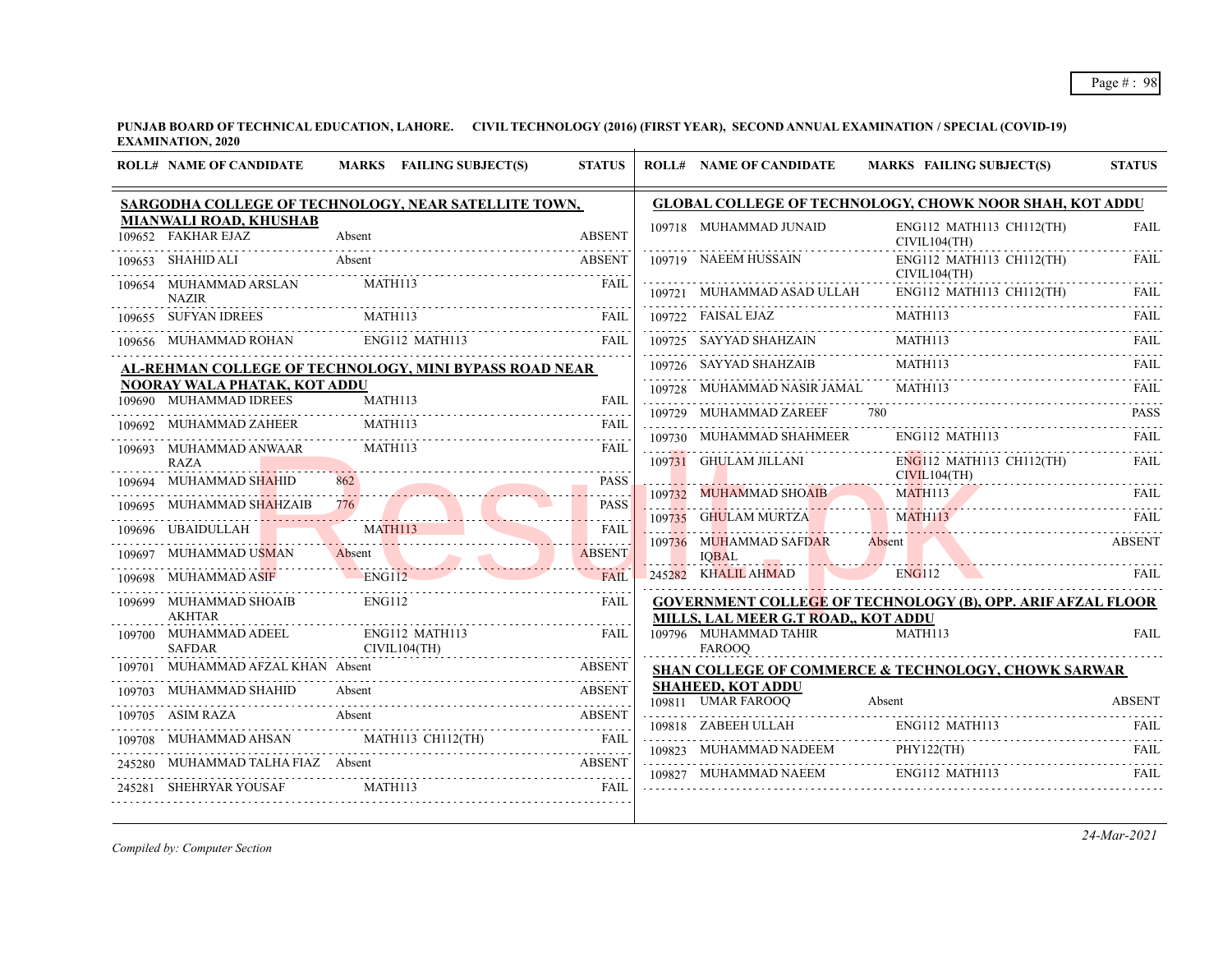**PUNJAB BOARD OF TECHNICAL EDUCATION, LAHORE. CIVIL TECHNOLOGY (2016) (FIRST YEAR), SECOND ANNUAL EXAMINATION / SPECIAL (COVID-19) EXAMINATION, 2020**  $\overline{1}$ 

| <b>ROLL# NAME OF CANDIDATE</b>                         | MARKS FAILING SUBJECT(S)                               | <b>STATUS</b>                         | <b>ROLL# NAME OF CANDIDATE</b>                 | MARKS FAILING SUBJECT(S)                                           | <b>STATUS</b> |
|--------------------------------------------------------|--------------------------------------------------------|---------------------------------------|------------------------------------------------|--------------------------------------------------------------------|---------------|
|                                                        | SARGODHA COLLEGE OF TECHNOLOGY, NEAR SATELLITE TOWN,   |                                       |                                                | <b>GLOBAL COLLEGE OF TECHNOLOGY, CHOWK NOOR SHAH, KOT ADDU</b>     |               |
| <b>MIANWALI ROAD, KHUSHAB</b><br>109652 FAKHAR EJAZ    | Absent                                                 | <b>ABSENT</b>                         | 109718 MUHAMMAD JUNAID                         | ENG112 MATH113 CH112(TH)<br>CIVIL104(TH)                           | <b>FAIL</b>   |
| 109653 SHAHID ALI                                      | Absent                                                 | <b>ABSENT</b>                         | 109719 NAEEM HUSSAIN                           | ENG112 MATH113 CH112(TH)<br>CIVIL104(TH)                           | FAIL          |
| 109654 MUHAMMAD ARSLAN<br><b>NAZIR</b>                 | MATH113                                                | FAII.                                 | 109721 MUHAMMAD ASAD ULLAH                     | $ENG112$ MATH113 CH112(TH)                                         | FAIL          |
| 109655 SUFYAN IDREES                                   | MATH113                                                | FAIL                                  | 109722 FAISAL EJAZ                             | MATH113                                                            | FAIL          |
|                                                        | 109656 MUHAMMAD ROHAN ENG112 MATH113 FAIL              |                                       | 109725 SAYYAD SHAHZAIN                         | MATH113                                                            | <b>FAIL</b>   |
|                                                        | AL-REHMAN COLLEGE OF TECHNOLOGY, MINI BYPASS ROAD NEAR |                                       | 109726 SAYYAD SHAHZAIB                         | MATH113                                                            | <b>FAIL</b>   |
| NOORAY WALA PHATAK, KOT ADDU<br>109690 MUHAMMAD IDREES | MATH113                                                | FAIL                                  | 109728 MUHAMMAD NASIR JAMAL                    | MATH113                                                            | FAII.         |
| 109692 MUHAMMAD ZAHEER                                 | MATH113                                                | FAIL                                  | 109729 MUHAMMAD ZAREEF                         |                                                                    | <b>PASS</b>   |
| 109693 MUHAMMAD ANWAAR                                 | MATH113                                                | FAIL                                  | 109730 MUHAMMAD SHAHMEER                       | ENG112 MATH113                                                     | FAIL.         |
| <b>RAZA</b><br>109694 MUHAMMAD SHAHID                  |                                                        | <b>PASS</b>                           | 109731 GHULAM JILLANI                          | ENG112 MATH113 CH112(TH)<br>CIVIL104(TH)                           | <b>FAIL</b>   |
| 109695 MUHAMMAD SHAHZAIB                               | 776                                                    | $\omega$ is a second .<br><b>PASS</b> |                                                | 109732 MUHAMMAD SHOAIB MATHII3 FAIL FAIL                           |               |
| 109696 UBAIDULLAH                                      | MATH113                                                | 1.1.1.1.1<br><b>FAIL</b>              | 109735 GHULAM MURTZA MATH113                   | MATH113 FAIL                                                       |               |
| 109697 MUHAMMAD USMAN                                  | Absent                                                 | 111111111<br><b>ABSENT</b>            | 109736 MUHAMMAD SAFDAR Absent<br><b>IOBAL</b>  |                                                                    | <b>ABSENT</b> |
| 109698 MUHAMMAD ASIF ENG112                            |                                                        | FAII                                  | 245282 KHALIL AHMAD                            | ENG112                                                             | FAIL.         |
| 109699 MUHAMMAD SHOAIB<br><b>AKHTAR</b>                | <b>ENG112</b>                                          | <b>FAIL</b>                           | MILLS, LAL MEER G.T ROAD,, KOT ADDU            | <b>GOVERNMENT COLLEGE OF TECHNOLOGY (B), OPP. ARIF AFZAL FLOOR</b> |               |
| <b>SAFDAR</b>                                          | 109700 MUHAMMAD ADEEL ENG112 MATH113<br>CIVIL104(TH)   | <b>FAIL</b>                           | 109796 MUHAMMAD TAHIR<br><b>FAROOO</b>         | <b>MATH113</b>                                                     | <b>FAIL</b>   |
| 109701 MUHAMMAD AFZAL KHAN Absent                      |                                                        |                                       |                                                | <b>SHAN COLLEGE OF COMMERCE &amp; TECHNOLOGY, CHOWK SARWAR</b>     |               |
| 109703 MUHAMMAD SHAHID Absent                          |                                                        |                                       | <b>SHAHEED, KOT ADDU</b><br>109811 UMAR FAROOO | Absent                                                             | <b>ABSENT</b> |
|                                                        | 109705 ASIM RAZA Absent ABSENT                         |                                       |                                                |                                                                    |               |
|                                                        | 109708 MUHAMMAD AHSAN MATH113 CH112(TH) FAIL           |                                       |                                                | 109818 ZABEEH ULLAH ENGI12 MATH113 FAIL                            |               |
| 245280 MUHAMMAD TALHA FIAZ Absent                      | ABSENT<br>ABSENT<br>ABSENT                             |                                       | 109827 MUHAMMAD NAEEM ENG112 MATH113           | 109823 MUHAMMAD NADEEM PHY122(TH) FAIL                             | FAIL          |
| 245281 SHEHRYAR YOUSAF                                 | MATH113                                                | <b>EXAMPLE AND STATE</b>              |                                                |                                                                    |               |

*Compiled by: Computer Section*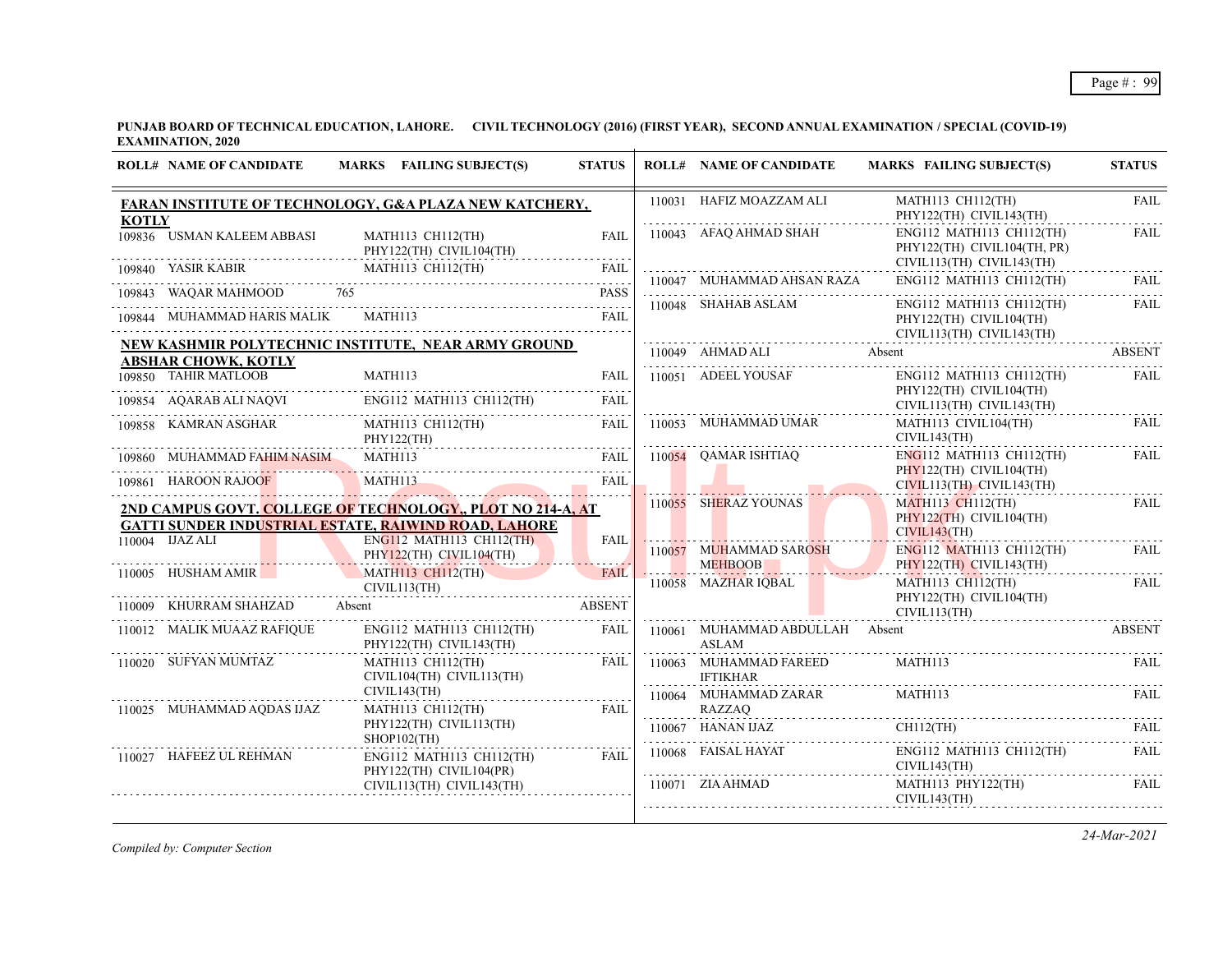**PUNJAB BOARD OF TECHNICAL EDUCATION, LAHORE. CIVIL TECHNOLOGY (2016) (FIRST YEAR), SECOND ANNUAL EXAMINATION / SPECIAL (COVID-19) EXAMINATION, 2020**  $\overline{1}$ 

|              | <b>ROLL# NAME OF CANDIDATE</b>                          | MARKS FAILING SUBJECT(S)                                                                                                                                                 | <b>STATUS</b>                |   | <b>ROLL# NAME OF CANDIDATE</b>                 | MARKS FAILING SUBJECT(S)                                                               | <b>STATUS</b>       |
|--------------|---------------------------------------------------------|--------------------------------------------------------------------------------------------------------------------------------------------------------------------------|------------------------------|---|------------------------------------------------|----------------------------------------------------------------------------------------|---------------------|
| <b>KOTLY</b> |                                                         | FARAN INSTITUTE OF TECHNOLOGY, G&A PLAZA NEW KATCHERY,                                                                                                                   |                              |   | 110031 HAFIZ MOAZZAM ALI                       | MATH113 CH112(TH)<br>PHY122(TH) CIVIL143(TH)                                           | <b>FAIL</b>         |
|              | 109836 USMAN KALEEM ABBASI                              | MATH113 CH112(TH)<br>PHY122(TH) CIVIL104(TH)                                                                                                                             | <b>FAIL</b><br>.             |   | 110043 AFAQ AHMAD SHAH                         | $ENG112$ MATH113 CH112(TH)<br>PHY122(TH) CIVIL104(TH, PR)<br>CIVIL113(TH) CIVIL143(TH) | <b>FAIL</b>         |
|              |                                                         | 109840 YASIR KABIR MATH113 CH112(TH) FAIL                                                                                                                                |                              |   | 110047 MUHAMMAD AHSAN RAZA                     | $ENG112$ MATH113 CH112(TH)                                                             | <b>FAIL</b>         |
|              | 109843 WAQAR MAHMOOD 765<br>109844 MUHAMMAD HARIS MALIK | MATH113                                                                                                                                                                  | <b>PASS</b><br>FAII.         |   | 110048 SHAHAB ASLAM                            | ENG112 MATH113 CH112(TH)<br>PHY122(TH) CIVIL104(TH)<br>CIVIL113(TH) CIVIL143(TH)       | dia dia dia<br>FAIL |
|              | <b>ABSHAR CHOWK, KOTLY</b>                              | NEW KASHMIR POLYTECHNIC INSTITUTE, NEAR ARMY GROUND                                                                                                                      |                              |   | 110049 AHMAD ALI                               | Absent                                                                                 | <b>ABSENT</b>       |
|              | 109850 TAHIR MATLOOB                                    | $\begin{tabular}{llllllll} \hline 109850 & TAHIR MATLOOB & MATH113 & FAIL \\ \hline 109854 & AQARAB ALI NAQVI & ENG112 MATH113 CH112(TH) & FAIL \\ \hline \end{tabular}$ |                              |   | 110051 ADEEL YOUSAF                            | $ENG112$ MATH113 CH112(TH)<br>PHY122(TH) CIVIL104(TH)<br>CIVIL113(TH) CIVIL143(TH)     | FAIL                |
|              | 109858 KAMRAN ASGHAR                                    | MATH113 CH112(TH)<br>PHY122(TH)                                                                                                                                          | FAIL                         |   | 110053 MUHAMMAD UMAR                           | MATH113 CIVIL104(TH)<br>CIVIL143(TH)                                                   | <b>FAIL</b>         |
| 109861       | 109860 MUHAMMAD FAHIM NASIM<br><b>HAROON RAJOOF</b>     | MATH113<br>MATH113                                                                                                                                                       | <b>FAIL</b><br>FAIL          |   | 110054 OAMAR ISHTIAQ                           | $ENG112$ MATH113 CH112(TH)<br>PHY122(TH) CIVIL104(TH)<br>CIVIL113(TH) CIVIL143(TH)     | FAIL                |
|              | $110004$ $\overline{\text{UAZ}}$ ALI                    | 2ND CAMPUS GOVT. COLLEGE OF TECHNOLOGY,, PLOT NO 214-A, AT<br><b>GATTI SUNDER INDUSTRIAL ESTATE, RAIWIND ROAD, LAHORE</b><br>ENG112 MATH113 CH112(TH)                    |                              |   | 110055 SHERAZ YOUNAS                           | $MATH113$ $CH112$ (TH)<br>PHY122(TH) CIVIL104(TH)<br>CIVIL143(TH)                      | <b>FAIL</b>         |
|              |                                                         | PHY122(TH) CIVIL104(TH)                                                                                                                                                  | <b>FAIL</b>                  |   | 110057 MUHAMMAD SAROSH<br><b>MEHBOOB</b>       | $ENG112$ MATH113 CH112(TH)<br>PHY122(TH) CIVIL143(TH)                                  | <b>FAIL</b>         |
|              | 110005 HUSHAM AMIR<br>110009 KHURRAM SHAHZAD            | <b>MATH113 CH112(TH)</b><br>CIVIL113(TH)<br>Absent                                                                                                                       | <b>FAIL</b><br><b>ABSENT</b> |   | 110058 MAZHAR IQBAL                            | MATH113 CH112(TH)<br>PHY122(TH) CIVIL104(TH)<br>CIVIL113(TH)                           | FAIL                |
|              | 110012 MALIK MUAAZ RAFIQUE                              | ENG112 MATH113 CH112(TH)<br>PHY122(TH) CIVIL143(TH)                                                                                                                      | FAIL                         |   | 110061 MUHAMMAD ABDULLAH Absent<br>ASLAM       |                                                                                        | <b>ABSENT</b>       |
|              | 110020 SUFYAN MUMTAZ                                    | MATH113 CH112(TH)<br>CIVIL104(TH) CIVIL113(TH)                                                                                                                           | FAIL                         | . | 110063 MUHAMMAD FAREED<br><b>IFTIKHAR</b><br>. | MATH113                                                                                | FAIL                |
|              | 110025 MUHAMMAD AODAS IJAZ                              | CIVIL143(TH)<br>MATH113 CH112(TH)                                                                                                                                        | FAIL                         |   | 110064 MUHAMMAD ZARAR<br>RAZZAQ                | MATH113                                                                                | FAII.               |
|              |                                                         | PHY122(TH) CIVIL113(TH)<br>$SHOP102$ (TH)                                                                                                                                |                              |   | 110067 HANAN IJAZ                              | $CH112$ (TH)                                                                           | FAIL                |
|              | 110027 HAFEEZ UL REHMAN                                 | ENG112 MATH113 CH112(TH) FAIL<br>PHY122(TH) CIVIL104(PR)                                                                                                                 |                              |   | 110068 FAISAL HAYAT                            | ENG112 MATH113 CH112(TH)<br>CIVIL143(TH)                                               | <b>FAIL</b>         |
|              |                                                         | CIVIL113(TH) CIVIL143(TH)                                                                                                                                                |                              |   | $110071$ ZIA AHMAD                             | MATH113 PHY122(TH)<br>CIVIL143(TH)                                                     | FAIL                |

*Compiled by: Computer Section*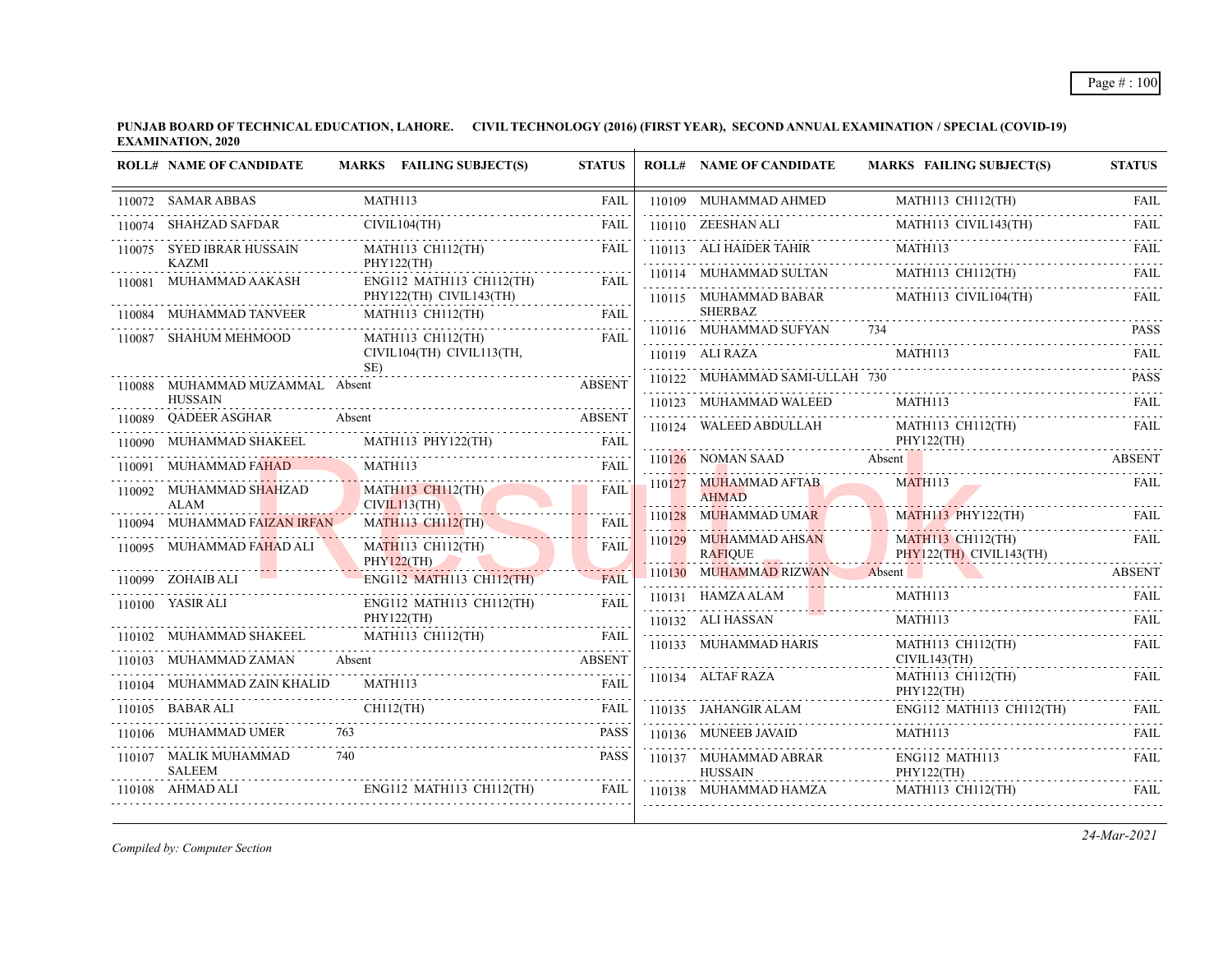**PUNJAB BOARD OF TECHNICAL EDUCATION, LAHORE. CIVIL TECHNOLOGY (2016) (FIRST YEAR), SECOND ANNUAL EXAMINATION / SPECIAL (COVID-19) EXAMINATION, 2020**  $\overline{1}$ 

|        | <b>ROLL# NAME OF CANDIDATE</b>         | MARKS FAILING SUBJECT(S)                              | <b>STATUS</b> | <b>ROLL# NAME OF CANDIDATE</b>           | <b>MARKS FAILING SUBJECT(S)</b>   | <b>STATUS</b> |
|--------|----------------------------------------|-------------------------------------------------------|---------------|------------------------------------------|-----------------------------------|---------------|
|        | 110072 SAMAR ABBAS                     | MATH113                                               | <b>FAIL</b>   | 110109 MUHAMMAD AHMED                    | MATH113 CH112(TH)                 | FAIL          |
|        | 110074 SHAHZAD SAFDAR                  | CIVIL104(TH)                                          | <b>FAIL</b>   | 110110 ZEESHAN ALI                       | MATH113 CIVIL143(TH)              | .<br>FAIL     |
|        | 110075 SYED IBRAR HUSSAIN              | MATH113 CH112(TH)                                     | <b>FAIL</b>   | 110113 ALI HAIDER TAHIR                  | MATH113                           | <b>FAIL</b>   |
|        | <b>KAZMI</b><br>110081 MUHAMMAD AAKASH | PHY122(TH)<br>ENG112 MATH113 CH112(TH)                | FAIL          | 110114 MUHAMMAD SULTAN                   | MATH113 CH112(TH)                 | <b>FAIL</b>   |
|        |                                        | PHY122(TH) CIVIL143(TH)                               |               | 110115 MUHAMMAD BABAR                    | MATH113 CIVIL104(TH)              | FAIL.         |
|        | 110084 MUHAMMAD TANVEER                | MATH113 CH112(TH)                                     | <b>FAIL</b>   | <b>SHERBAZ</b><br>110116 MUHAMMAD SUFYAN | 734                               | <b>PASS</b>   |
| 110087 | <b>SHAHUM MEHMOOD</b>                  | <b>MATH113 CH112(TH)</b><br>CIVIL104(TH) CIVIL113(TH, | <b>FAIL</b>   | 110119 ALI RAZA                          | <b>MATH113</b>                    | FAII.         |
|        |                                        | SE)                                                   |               |                                          |                                   |               |
|        | 110088 MUHAMMAD MUZAMMAL Absent        |                                                       | <b>ABSENT</b> | 110122 MUHAMMAD SAMI-ULLAH 730           |                                   | <b>PASS</b>   |
| 110089 | <b>HUSSAIN</b><br>QADEER ASGHAR        | Absent                                                | <b>ABSENT</b> | 110123 MUHAMMAD WALEED                   | <b>MATH113</b>                    | FAIL          |
|        | MUHAMMAD SHAKEEL                       | MATH113 PHY122(TH)                                    | <b>FAIL</b>   | 110124 WALEED ABDULLAH                   | MATH113 CH112(TH)<br>PHY122(TH)   | <b>FAIL</b>   |
|        | 110091 MUHAMMAD FAHAD                  | MATH113                                               | <b>FAIL</b>   | 110126 NOMAN SAAD                        | Absent                            | <b>ABSENT</b> |
|        | 110092 MUHAMMAD SHAHZAD                | MATH113 CH112(TH)                                     | <b>FAIL</b>   | 110127 MUHAMMAD AFTAB                    | MATH113                           | FAIL          |
|        | <b>ALAM</b>                            | CIVIL113(TH)                                          |               | <b>AHMAD</b><br>110128 MUHAMMAD UMAR     | MATH113 PHY122(TH)                | <b>FAIL</b>   |
|        | 110094 MUHAMMAD FAIZAN IRFAN           | <b>MATH113 CH112(TH)</b>                              | <b>FAIL</b>   | 110129 MUHAMMAD AHSAN                    | <b>MATH113 CH112(TH)</b>          | <b>FAIL</b>   |
|        | 110095 MUHAMMAD FAHAD ALI              | MATH113 CH112(TH)<br><b>PHY122(TH)</b>                | <b>FAIL</b>   | <b>RAFIOUE</b>                           | PHY122(TH) CIVIL143(TH)           |               |
|        | 110099 ZOHAIB ALI                      | ENG112 MATH113 CH112(TH)                              | FAII          | 110130 MUHAMMAD RIZWAN                   | Absent                            | <b>ABSENT</b> |
|        | 110100 YASIR ALI                       | ENG112 MATH113 CH112(TH)                              | FAIL          | 110131 HAMZA ALAM                        | MATH113                           | FAIL          |
|        |                                        | PHY122(TH)                                            |               | 110132 ALI HASSAN                        | MATH113                           | <b>FAIL</b>   |
|        | 110102 MUHAMMAD SHAKEEL                | MATH113 CH112(TH)                                     | <b>FAIL</b>   | 110133 MUHAMMAD HARIS                    | MATH113 CH112(TH)                 | FAIL          |
|        | 110103 MUHAMMAD ZAMAN                  | Absent                                                | <b>ABSENT</b> | 110134 ALTAF RAZA                        | CIVIL143(TH)<br>MATH113 CH112(TH) | FAIL          |
|        | 110104 MUHAMMAD ZAIN KHALID            | MATH113                                               | FAIL          |                                          | PHY122(TH)<br>.                   |               |
|        | 110105 BABAR ALI                       | $CH112$ (TH)                                          | <b>FAIL</b>   | 110135 JAHANGIR ALAM                     | ENG112 MATH113 CH112(TH)          | FAIL          |
|        | 110106 MUHAMMAD UMER                   |                                                       | <b>PASS</b>   | 110136 MUNEEB JAVAID                     | MATH113                           | FAIL          |
|        | 110107 MALIK MUHAMMAD<br><b>SALEEM</b> | 740                                                   | <b>PASS</b>   | 110137 MUHAMMAD ABRAR<br><b>HUSSAIN</b>  | ENG112 MATH113<br>PHY122(TH)      | FAIL          |
|        | 110108 AHMAD ALI                       | $ENG112$ MATH113 CH112(TH)                            | FAIL          | 110138 MUHAMMAD HAMZA                    | MATH113 CH112(TH)                 | <b>FAIL</b>   |

*Compiled by: Computer Section*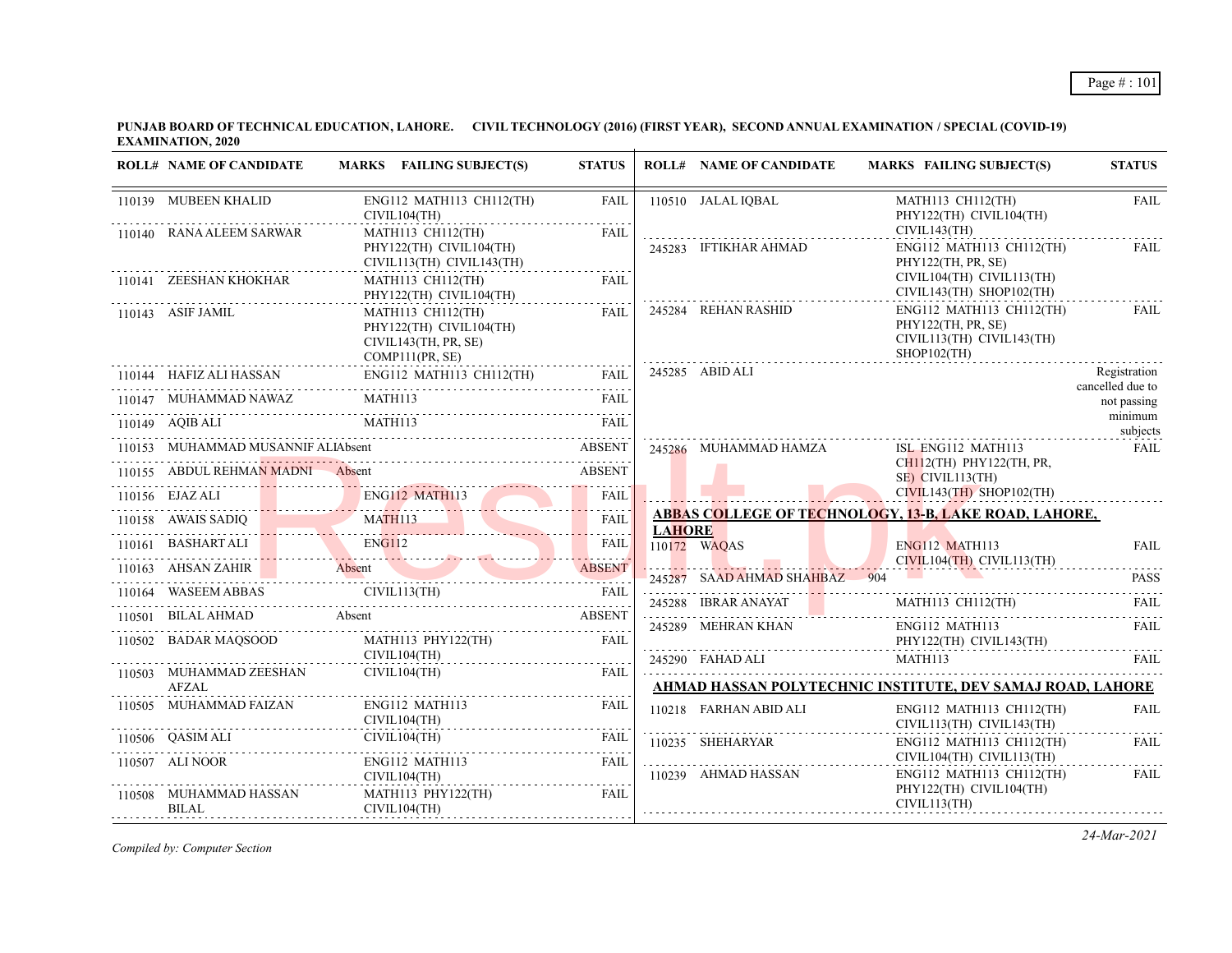| <b>ROLL# NAME OF CANDIDATE</b>   | MARKS FAILING SUBJECT(S)                                                                                                                                                                                                                                                                                                                                                                                                                                                                                                                                    | <b>STATUS</b> |               | <b>ROLL# NAME OF CANDIDATE</b> | MARKS FAILING SUBJECT(S)                                                                                                                                                                                                                                                                                                                                                                                                                              | <b>STATUS</b>                    |
|----------------------------------|-------------------------------------------------------------------------------------------------------------------------------------------------------------------------------------------------------------------------------------------------------------------------------------------------------------------------------------------------------------------------------------------------------------------------------------------------------------------------------------------------------------------------------------------------------------|---------------|---------------|--------------------------------|-------------------------------------------------------------------------------------------------------------------------------------------------------------------------------------------------------------------------------------------------------------------------------------------------------------------------------------------------------------------------------------------------------------------------------------------------------|----------------------------------|
| 110139 MUBEEN KHALID             | ENG112 MATH113 CH112(TH)<br>CIVIL104(TH)                                                                                                                                                                                                                                                                                                                                                                                                                                                                                                                    | FAIL          |               | 110510 JALAL IQBAL             | MATH113 CH112(TH)<br>PHY122(TH) CIVIL104(TH)                                                                                                                                                                                                                                                                                                                                                                                                          | <b>FAIL</b>                      |
| 110140 RANA ALEEM SARWAR         | MATH113 CH112(TH)<br>PHY122(TH) CIVIL104(TH)<br>CIVIL113(TH) CIVIL143(TH)                                                                                                                                                                                                                                                                                                                                                                                                                                                                                   | FAIL          |               | 245283 IFTIKHAR AHMAD          | CIVIL143(TH)<br>ENG112 MATH113 CH112(TH)<br>PHY122(TH, PR, SE)                                                                                                                                                                                                                                                                                                                                                                                        | FAIL                             |
| 110141 ZEESHAN KHOKHAR           | MATH113 CH112(TH)<br>PHY122(TH) CIVIL104(TH)                                                                                                                                                                                                                                                                                                                                                                                                                                                                                                                | FAII.<br>.    |               |                                | CIVIL104(TH) CIVIL113(TH)<br>CIVIL143(TH) SHOP102(TH)                                                                                                                                                                                                                                                                                                                                                                                                 |                                  |
| 110143 ASIF JAMIL                | MATH113 CH112(TH)<br>PHY122(TH) CIVIL104(TH)<br>CIVIL143(TH, PR, SE)<br>COMP111(PR, SE)                                                                                                                                                                                                                                                                                                                                                                                                                                                                     | FAIL          |               | 245284 REHAN RASHID            | ENG112 MATH113 CH112(TH)<br>PHY122(TH, PR, SE)<br>CIVIL113(TH) CIVIL143(TH)<br>$SHOP102$ (TH)                                                                                                                                                                                                                                                                                                                                                         | FAIL                             |
|                                  | $ENG112$ MATH113 CH112(TH) FAIL                                                                                                                                                                                                                                                                                                                                                                                                                                                                                                                             |               |               | 245285 ABID ALI                |                                                                                                                                                                                                                                                                                                                                                                                                                                                       | Registration<br>cancelled due to |
|                                  | $\begin{tabular}{c c c c c} \hline 110144 & HAFIZ ALI HASSAN & ENG112 MATHI13 CH112(TH) & FAIL \\ \hline 110147 & MUHAMMAD NAWAZ & MATHI13 & \textbf{MATH113} & FAIL \\ \hline \end{tabular}$                                                                                                                                                                                                                                                                                                                                                               |               |               |                                |                                                                                                                                                                                                                                                                                                                                                                                                                                                       | not passing                      |
|                                  | $\begin{tabular}{lllllllllll} \hline 110149 & \multicolumn{3}{l} \textbf{AQIB} \textbf{ALI} & \multicolumn{3}{l} \textbf{MATH113} & \multicolumn{3}{l} \textbf{FAIL} & \multicolumn{3}{l} \textbf{FAIL} & \multicolumn{3}{l} \textbf{FAIL} & \multicolumn{3}{l} \textbf{FAIL} & \multicolumn{3}{l} \textbf{FAIL} & \multicolumn{3}{l} \textbf{FAIL} & \multicolumn{3}{l} \textbf{FAIL} & \multicolumn{3}{l} \textbf{FAIL} & \multicolumn{3}{l} \textbf{FAIL}$                                                                                               |               |               |                                |                                                                                                                                                                                                                                                                                                                                                                                                                                                       | minimum<br>subjects              |
|                                  | 110153 MUHAMMAD MUSANNIF ALIAbsent<br>110155 ABDUL REHMAN MADNI Absent ABSENT                                                                                                                                                                                                                                                                                                                                                                                                                                                                               |               |               | 245286 MUHAMMAD HAMZA          | ISL ENG112 MATH113                                                                                                                                                                                                                                                                                                                                                                                                                                    | FAIL                             |
|                                  |                                                                                                                                                                                                                                                                                                                                                                                                                                                                                                                                                             |               |               |                                | CH112(TH) PHY122(TH, PR,<br>SE) CIVIL113(TH)                                                                                                                                                                                                                                                                                                                                                                                                          |                                  |
|                                  |                                                                                                                                                                                                                                                                                                                                                                                                                                                                                                                                                             |               |               |                                | $CIVIL143(TH)$ SHOP102(TH)                                                                                                                                                                                                                                                                                                                                                                                                                            |                                  |
|                                  |                                                                                                                                                                                                                                                                                                                                                                                                                                                                                                                                                             |               | <b>LAHORE</b> |                                | ABBAS COLLEGE OF TECHNOLOGY, 13-B, LAKE ROAD, LAHORE,                                                                                                                                                                                                                                                                                                                                                                                                 |                                  |
|                                  | ABSENT ABOUL REHMAN MADNI<br>110156 EJAZALI ENGILI MATHI13 FAIL<br>110158 AWAIS SADIQ MATHI13 FAIL<br>110161 BASHART ALI ENGILI FAIL<br>110161 BASHART ALI ENGILI FAIL                                                                                                                                                                                                                                                                                                                                                                                      |               |               |                                | 110172 WAQAS ENG112 MATH113 FAIL CIVIL104(TH) CIVIL113(TH)                                                                                                                                                                                                                                                                                                                                                                                            |                                  |
|                                  |                                                                                                                                                                                                                                                                                                                                                                                                                                                                                                                                                             |               |               |                                | 245287 SAAD AHMAD SHAHBAZ 904                                                                                                                                                                                                                                                                                                                                                                                                                         | <b>PASS</b>                      |
|                                  | 110163 AHSAN ZAHIR Absent ABSENT ABSENT 110164 WASEEM ABBAS CIVIL113(TH) FAIL                                                                                                                                                                                                                                                                                                                                                                                                                                                                               |               |               |                                | $\begin{tabular}{lllllllllll} \multicolumn{2}{c}{\textbf{245288} & IBRAR ANAYAT} & \multicolumn{2}{c}{\textbf{MATH113} & CH112(TH)} & \multicolumn{2}{c}{\textbf{FAIL}}\\ \multicolumn{2}{c}{\textbf{143.2}} & \multicolumn{2}{c}{\textbf{144.2}} & \multicolumn{2}{c}{\textbf{FAIL}} & \multicolumn{2}{c}{\textbf{145.2}} & \multicolumn{2}{c}{\textbf{146.2}} & \multicolumn{2}{c}{\textbf{147.2}} & \multicolumn{2}{c}{\textbf{147$                |                                  |
|                                  | 110501 BILAL AHMAD Absent ABSENT                                                                                                                                                                                                                                                                                                                                                                                                                                                                                                                            |               |               |                                |                                                                                                                                                                                                                                                                                                                                                                                                                                                       |                                  |
|                                  | $\begin{tabular}{lllllllll} \hline 110502 & BADAR MAQSOOD & MATH113 PHY122(TH) \\ \hline & CIVIL104(TH) & & & & \\\hline \end{tabular}$                                                                                                                                                                                                                                                                                                                                                                                                                     | FAIL          |               | 245290 FAHAD ALI               | ${\tt 245289}\quad {\tt MEHRAN\;KHAN} \qquad \qquad {\tt ENG112\; MATH113} \qquad \qquad {\tt FAIL} \qquad \qquad {\tt PLT13} \qquad \qquad {\tt PLT22} \qquad {\tt L143} \qquad {\tt L143} \qquad \qquad {\tt PLT143} \qquad \qquad {\tt PLT23} \qquad \qquad {\tt PLT143} \qquad \qquad {\tt PLT23} \qquad \qquad {\tt PLT143} \qquad \qquad {\tt PLT23} \qquad \qquad {\tt PLT143} \qquad \qquad {\tt PLT23} \qquad \qquad {\tt PLT23}$<br>MATH113 | FAIL                             |
| 110503 MUHAMMAD ZEESHAN<br>AFZAL | CIVIL104(TH)                                                                                                                                                                                                                                                                                                                                                                                                                                                                                                                                                | FAIL          |               |                                | AHMAD HASSAN POLYTECHNIC INSTITUTE, DEV SAMAJ ROAD, LAHORE                                                                                                                                                                                                                                                                                                                                                                                            |                                  |
| 110505 MUHAMMAD FAIZAN           | ENG112 MATH113<br>CIVIL104(TH)                                                                                                                                                                                                                                                                                                                                                                                                                                                                                                                              | FAIL          |               | 110218 FARHAN ABID ALI         | ENG112 MATH113 CH112(TH)<br>$CIVIL113(TH)$ $CIVIL143(TH)$                                                                                                                                                                                                                                                                                                                                                                                             | <b>FAIL</b>                      |
|                                  | 110506 QASIM ALI CIVIL104(TH) FAIL                                                                                                                                                                                                                                                                                                                                                                                                                                                                                                                          | FAIL          |               | $110235$ SHEHARYAR             | ENG112 MATH113 CH112(TH)                                                                                                                                                                                                                                                                                                                                                                                                                              | .<br>FAIL                        |
| 110507 ALI NOOR 1                | $\begin{tabular}{ll} \bf{ENG112} \,\, MATH113 & \bf{FAIL} \\ \bf{CIVIL104(TH)} & \textcolor{red}{\bf \textcolor{blue}{\bf \textcolor{blue}{\bf \textcolor{blue}{\bf \textcolor{blue}{\bf \textcolor{blue}{\bf \textcolor{blue}{\bf \textcolor{blue}{\bf \textcolor{blue}{\bf \textcolor{blue}{\bf \textcolor{blue}{\bf \textcolor{blue}{\bf \textcolor{blue}{\bf \textcolor{blue}{\bf \textcolor{blue}{\bf \textcolor{blue}{\bf \textcolor{blue}{\bf \textcolor{blue}{\bf \textcolor{blue}{\bf \textcolor{blue}{\bf \textcolor{blue}{\bf \textcolor{blue}{$ | FAIL          |               | 110239 AHMAD HASSAN            | CIVIL104(TH) CIVIL113(TH)<br>ENG112 MATH113 CH112(TH)                                                                                                                                                                                                                                                                                                                                                                                                 | <b>FAIL</b>                      |
| 110508 MUHAMMAD HASSAN<br>BILAL  | MATH113 PHY122(TH)<br>CIVIL104(TH)                                                                                                                                                                                                                                                                                                                                                                                                                                                                                                                          | FAIL          |               |                                | PHY122(TH) CIVIL104(TH)<br>CIVIL113(TH)                                                                                                                                                                                                                                                                                                                                                                                                               |                                  |
|                                  |                                                                                                                                                                                                                                                                                                                                                                                                                                                                                                                                                             |               |               |                                |                                                                                                                                                                                                                                                                                                                                                                                                                                                       |                                  |

*Compiled by: Computer Section*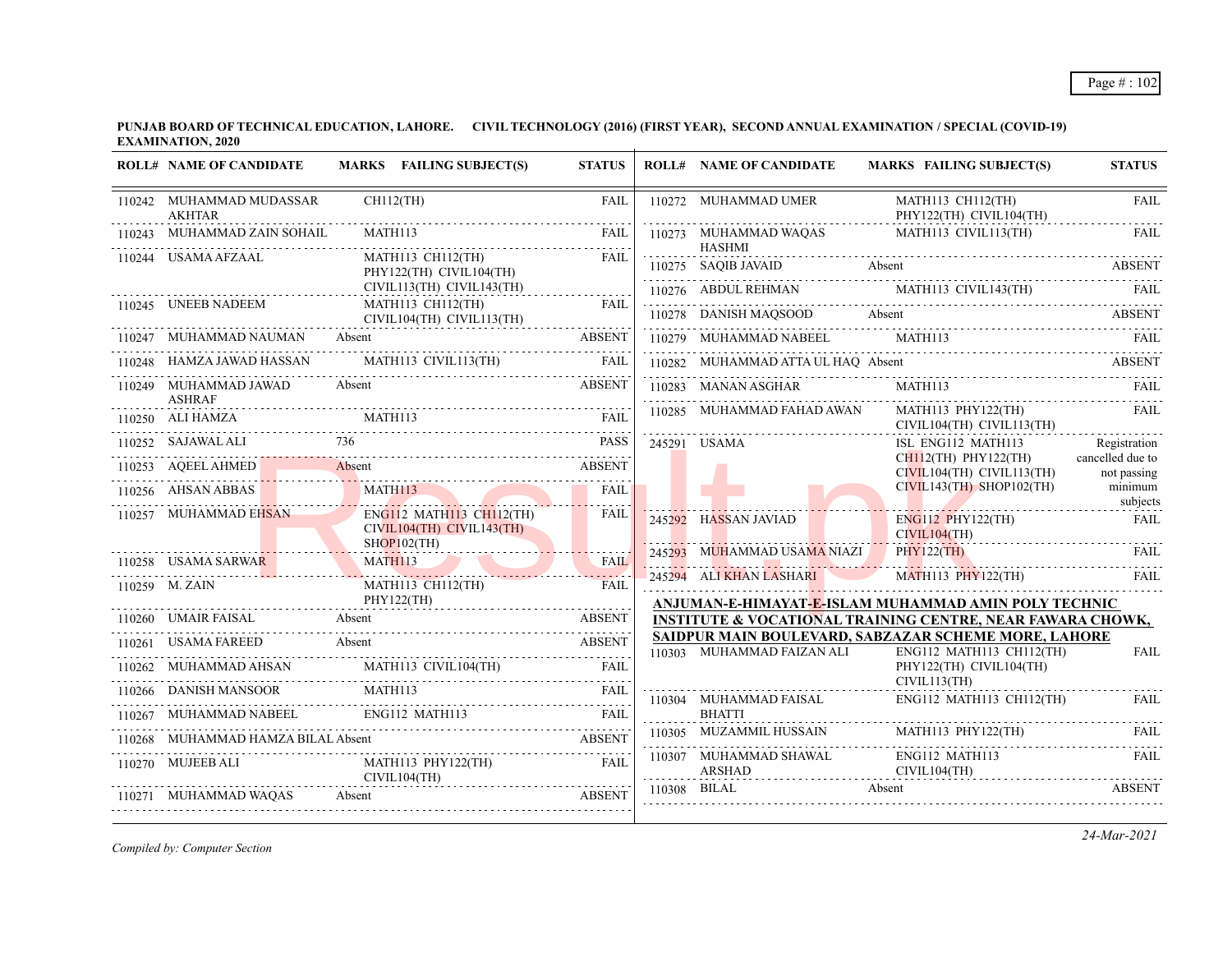|        | <b>ROLL# NAME OF CANDIDATE</b>            | MARKS FAILING SUBJECT(S)                                                                                                                                                                                                                                                                                                                                                                                                                                                | <b>STATUS</b> | <b>ROLL# NAME OF CANDIDATE</b>          | <b>MARKS FAILING SUBJECT(S)</b>                                                                                                                | <b>STATUS</b>                   |
|--------|-------------------------------------------|-------------------------------------------------------------------------------------------------------------------------------------------------------------------------------------------------------------------------------------------------------------------------------------------------------------------------------------------------------------------------------------------------------------------------------------------------------------------------|---------------|-----------------------------------------|------------------------------------------------------------------------------------------------------------------------------------------------|---------------------------------|
|        | 110242 MUHAMMAD MUDASSAR<br><b>AKHTAR</b> | CH112(TH)                                                                                                                                                                                                                                                                                                                                                                                                                                                               | <b>FAIL</b>   | 110272 MUHAMMAD UMER                    | MATH113 CH112(TH)<br>PHY122(TH) CIVIL104(TH)                                                                                                   | <b>FAIL</b><br>.                |
|        | 110243 MUHAMMAD ZAIN SOHAIL               | MATH113                                                                                                                                                                                                                                                                                                                                                                                                                                                                 | FAIL          | 110273 MUHAMMAD WAQAS                   | MATH113 CIVIL113(TH)                                                                                                                           | FAIL                            |
|        | 110244 USAMA AFZAAL                       | MATH113 CH112(TH)<br>PHY122(TH) CIVIL104(TH)                                                                                                                                                                                                                                                                                                                                                                                                                            | <b>FAIL</b>   | <b>HASHMI</b>                           | 110275 SAQIB JAVAID Absent ABSENT                                                                                                              |                                 |
|        | 110245 UNEEB NADEEM                       | CIVIL113(TH) CIVIL143(TH)<br>MATH113 CH112(TH)                                                                                                                                                                                                                                                                                                                                                                                                                          | <b>FAIL</b>   |                                         | $110276 \quad \text{ABDUL REHMAN} \qquad \text{MATHI13 CIVIL143(TH)} \qquad \text{FAIL} \qquad \text{FAIL}$                                    |                                 |
|        |                                           | CIVIL104(TH) CIVIL113(TH)                                                                                                                                                                                                                                                                                                                                                                                                                                               |               |                                         | 110278 DANISH MAQSOOD Absent ABSENT ABSENT                                                                                                     |                                 |
|        | 110247 MUHAMMAD NAUMAN Absent             |                                                                                                                                                                                                                                                                                                                                                                                                                                                                         | <b>ABSENT</b> |                                         | 110279 MUHAMMAD NABEEL MATH113 FAIL FAIL                                                                                                       |                                 |
|        |                                           | $110248 \quad {\rm HAMZA\ JAWAD\ HASSAN} \qquad {\rm MATH113\ CIVIL113(TH)} \qquad {\rm FAIL} \qquad {\rm FAIL} \qquad {\rm TAL} \qquad {\rm TAL} \qquad {\rm TAL} \qquad {\rm TAL} \qquad {\rm TAL} \qquad {\rm TAL} \qquad {\rm TAL} \qquad {\rm TAL} \qquad {\rm TAL} \qquad {\rm TAL} \qquad {\rm TAL} \qquad {\rm TAL} \qquad {\rm TAL} \qquad {\rm TAL} \qquad {\rm TAL} \qquad {\rm TAL} \qquad {\rm TAL} \qquad {\rm TAL} \qquad {\rm TAL} \qquad {\rm TAL} \q$ |               | 110282 MUHAMMAD ATTA UL HAQ Absent      | $\begin{tabular}{lllllllll} 110282 & MUHAMMAD ATTA UL HAQ & Absent & ABSENT \\ \hline 110283 & MANAN ASGHAR & MATH113 & FAIL \\ \end{tabular}$ |                                 |
|        | 110249 MUHAMMAD JAWAD                     | Absent                                                                                                                                                                                                                                                                                                                                                                                                                                                                  | ABSENT        |                                         |                                                                                                                                                |                                 |
|        | <b>ASHRAF</b>                             |                                                                                                                                                                                                                                                                                                                                                                                                                                                                         |               | 110285 MUHAMMAD FAHAD AWAN              | MATH113 PHY122(TH)<br>CIVIL104(TH) CIVIL113(TH)                                                                                                | <b>FAIL</b>                     |
|        | 110252 SAJAWAL ALI                        | 736 736                                                                                                                                                                                                                                                                                                                                                                                                                                                                 | <b>PASS</b>   | 245291 USAMA                            | ISL ENG112 MATH113                                                                                                                             | Registration                    |
|        |                                           | 110253 AQEELAHMED Absent ABSENT                                                                                                                                                                                                                                                                                                                                                                                                                                         |               |                                         | CH112(TH) PHY122(TH)<br>$CIVIL104(TH)$ $CIVIL113(TH)$                                                                                          | cancelled due to<br>not passing |
|        | 110256 AHSAN ABBAS                        | MATHI13                                                                                                                                                                                                                                                                                                                                                                                                                                                                 | <b>FAIL</b>   |                                         | $CIVIL143(TH)$ SHOP102(TH)                                                                                                                     | minimum<br>subjects             |
|        | 110257 MUHAMMAD EHSAN EI                  | <b>ENG112 MATH113 CH112(TH)</b><br>CIVIL104(TH) CIVIL143(TH)                                                                                                                                                                                                                                                                                                                                                                                                            | FAIL          | 245292 HASSAN JAVIAD                    | ENG112 PHY122(TH)<br>CIVIL104(TH)                                                                                                              | <b>FAIL</b>                     |
|        |                                           | SHOP102(TH)<br>110258 USAMA SARWAR MATH113 FAIL FAIL                                                                                                                                                                                                                                                                                                                                                                                                                    |               | 245293 MUHAMMAD USAMA NIAZI             | PHY122(TH)                                                                                                                                     | FAIL                            |
|        |                                           | MATH113 CH112(TH)                                                                                                                                                                                                                                                                                                                                                                                                                                                       | FAIL          | 245294 ALI KHAN LASHARI                 | MATH113 PHY122(TH)                                                                                                                             | <b>FAIL</b>                     |
|        | 110259 M. ZAIN                            | PHY122(TH)                                                                                                                                                                                                                                                                                                                                                                                                                                                              |               |                                         | ANJUMAN-E-HIMAYAT-E-ISLAM MUHAMMAD AMIN POLY TECHNIC                                                                                           |                                 |
|        |                                           | 110260 UMAIR FAISAL Absent Absent ABSENT                                                                                                                                                                                                                                                                                                                                                                                                                                |               |                                         | INSTITUTE & VOCATIONAL TRAINING CENTRE, NEAR FAWARA CHOWK,                                                                                     |                                 |
|        | 110261 USAMA FAREED Absent                | 0261 USAMA FAREED Absent ABSENT                                                                                                                                                                                                                                                                                                                                                                                                                                         |               | 110303 MUHAMMAD FAIZAN ALI              | SAIDPUR MAIN BOULEVARD, SABZAZAR SCHEME MORE, LAHORE<br>ENG112 MATH113 CH112(TH)                                                               | <b>FAIL</b>                     |
|        |                                           |                                                                                                                                                                                                                                                                                                                                                                                                                                                                         |               |                                         | PHY122(TH) CIVIL104(TH)                                                                                                                        |                                 |
|        |                                           | $\begin{tabular}{lllllllllll} \hline 110262 & \text{MUHAMMAD AHSAN} & \text{MATHI13 CIVIL104(TH)} & \text{FAIL} \\ \hline 110266 & \text{DANISH MANSOOR} & \text{MATHI13} & \text{FAIL} \\ \hline \end{tabular}$                                                                                                                                                                                                                                                        |               | 110304 MUHAMMAD FAISAL                  | CIVIL113(TH)<br>ENG112 MATH113 CH112(TH)                                                                                                       | FAIL                            |
| 110267 | MUHAMMAD NABEEL ENG112 MATH113            |                                                                                                                                                                                                                                                                                                                                                                                                                                                                         |               | <b>BHATTI</b>                           |                                                                                                                                                |                                 |
| 110268 |                                           | MUHAMMAD HAMZA BILAL Absent ABSENT                                                                                                                                                                                                                                                                                                                                                                                                                                      |               |                                         | $110305 \quad \text{MUZAMML HUSSAN} \qquad \text{MATH113 PHY122(TH)} \qquad \text{FAIL} \qquad \text{FAIL}$                                    |                                 |
|        | 110270 MUJEEB ALI                         | MATH113 PHY122(TH) FAIL<br>CIVIL104(TH)                                                                                                                                                                                                                                                                                                                                                                                                                                 |               | 110307 MUHAMMAD SHAWAL<br>ARSHAD ARSHAD | ENG112 MATH113<br>CIVIL104(TH)                                                                                                                 | <b>FAIL</b>                     |
|        | 110271 MUHAMMAD WAQAS                     | 271 MUHAMMAD WAQAS Absent ABSENT                                                                                                                                                                                                                                                                                                                                                                                                                                        |               | 110308 BILAL                            | Absent                                                                                                                                         | <b>ABSENT</b>                   |
|        |                                           |                                                                                                                                                                                                                                                                                                                                                                                                                                                                         |               |                                         |                                                                                                                                                |                                 |

*Compiled by: Computer Section*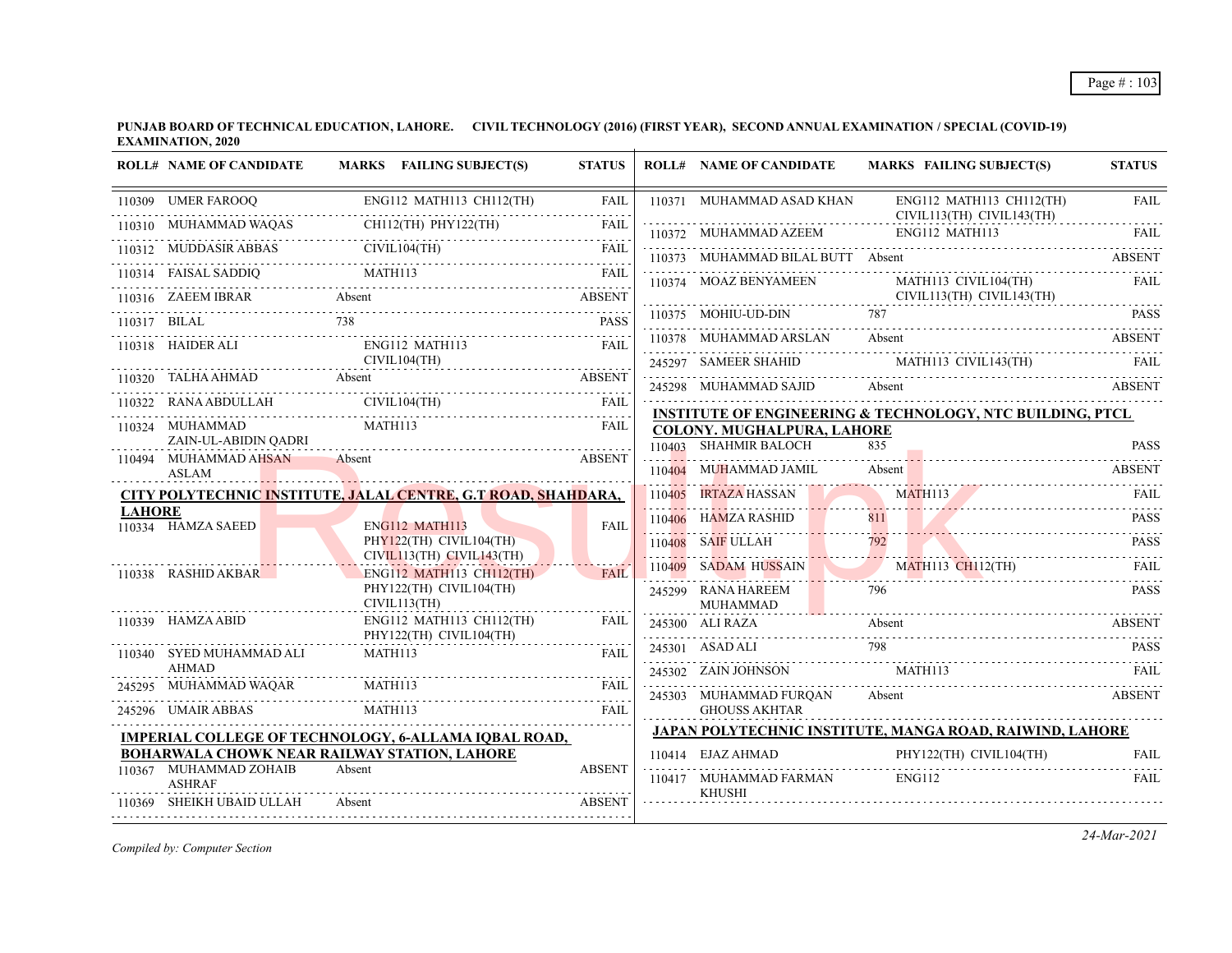|               | <b>ROLL# NAME OF CANDIDATE</b>                                                             |         | MARKS FAILING SUBJECT(S)                                         | <b>STATUS</b> | <b>ROLL# NAME OF CANDIDATE</b>          |        | <b>MARKS FAILING SUBJECT(S)</b>                                           | <b>STATUS</b> |
|---------------|--------------------------------------------------------------------------------------------|---------|------------------------------------------------------------------|---------------|-----------------------------------------|--------|---------------------------------------------------------------------------|---------------|
|               | 110309 UMER FAROOQ                                                                         |         | ENG112 MATH113 CH112(TH)                                         | <b>FAIL</b>   | 110371 MUHAMMAD ASAD KHAN               |        | ENG112 MATH113 CH112(TH)<br>CIVIL113(TH) CIVIL143(TH)                     | <b>FAIL</b>   |
|               | 110310 MUHAMMAD WAQAS                                                                      |         | CH112(TH) PHY122(TH)                                             | FAII          | 110372 MUHAMMAD AZEEM                   |        | ENG112 MATH113                                                            |               |
|               | 110312 MUDDASIR ABBAS CIVIL104(TH) FAIL                                                    |         | CIVIL104(TH)                                                     |               | 110373 MUHAMMAD BILAL BUTT Absent       |        |                                                                           | <b>ABSENT</b> |
|               | $\underbrace{\text{TAISAL SADDIQ}}{\text{MATH113}} \underbrace{\text{FAIL}}_{\text{TAIL}}$ |         |                                                                  |               | 110374 MOAZ BENYAMEEN                   |        | MATH113 CIVIL104(TH)                                                      | FAIL          |
|               | 110316 ZAEEM IBRAR                                                                         | Absent  |                                                                  | <b>ABSENT</b> |                                         |        | $CIVIL113(TH)$ $CIVIL143(TH)$                                             |               |
|               | 110317 BILAL 738                                                                           |         |                                                                  | <b>PASS</b>   | 110375 MOHIU-UD-DIN                     | 787    |                                                                           | <b>PASS</b>   |
|               | 110318 HAIDER ALI                                                                          |         | ENG112 MATH113                                                   | FAIL          | 110378 MUHAMMAD ARSLAN                  | Absent |                                                                           | <b>ABSENT</b> |
|               |                                                                                            |         | CIVIL104(TH)                                                     |               |                                         |        | 245297 SAMEER SHAHID MATH113 CIVIL143(TH)                                 | FAIL          |
|               | 110320 TALHA AHMAD Absent ABSENT                                                           |         |                                                                  |               | 245298 MUHAMMAD SAJID                   | Absent |                                                                           | <b>ABSENT</b> |
| 110322        | RANA ABDULLAH CIVIL104(TH)                                                                 |         |                                                                  | <b>FAIL</b>   |                                         |        | <b>INSTITUTE OF ENGINEERING &amp; TECHNOLOGY, NTC BUILDING, PTCL</b>      |               |
|               | 110324 MUHAMMAD                                                                            | MATH113 |                                                                  | <b>FAIL</b>   | <b>COLONY. MUGHALPURA, LAHORE</b>       |        |                                                                           |               |
|               | ZAIN-UL-ABIDIN OADRI<br>110494 MUHAMMAD AHSAN                                              | Absent  |                                                                  | <b>ABSENT</b> | 110403 SHAHMIR BALOCH                   | 835    |                                                                           | <b>PASS</b>   |
|               | ASLAM                                                                                      |         |                                                                  |               | 110404 MUHAMMAD JAMIL                   | Absent |                                                                           | <b>ABSENT</b> |
|               | CITY POLYTECHNIC INSTITUTE, JALAL CENTRE, G.T ROAD, SHAHDARA,                              |         |                                                                  |               | 110405 IRTAZA HASSAN                    |        | <b>MATH113</b>                                                            | FAII.         |
| <b>LAHORE</b> | 110334 HAMZA SAEED                                                                         |         | <b>ENG112 MATH113</b>                                            | <b>FAIL</b>   | 110406 HAMZA RASHID                     | 811    |                                                                           | <b>PASS</b>   |
|               |                                                                                            |         | PHY122(TH) CIVIL104(TH)                                          |               | 110408 SAIF ULLAH                       |        | 110408 SAIF ULLAH 792 PASS                                                |               |
|               | 110338 RASHID AKBAR                                                                        |         | $CIVIL113(TH)$ $CIVIL143(TH)$<br><b>ENG112 MATH113 CH112(TH)</b> | <b>FAIL</b>   | 110409 SADAM HUSSAIN MATH113 CH112(TH)  |        |                                                                           | <b>FAIL</b>   |
|               |                                                                                            |         | PHY122(TH) CIVIL104(TH)                                          |               | 245299 RANA HAREEM                      |        |                                                                           | <b>PASS</b>   |
|               | 110339 HAMZA ABID                                                                          |         | CIVIL113(TH)<br>ENG112 MATH113 CH112(TH)                         | <b>FAIL</b>   | MUHAMMAD                                |        |                                                                           |               |
|               |                                                                                            |         | PHY122(TH) CIVIL104(TH)                                          |               | 245300 ALI RAZA                         | Absent |                                                                           | <b>ABSENT</b> |
|               | 110340 SYED MUHAMMAD ALI                                                                   | MATH113 |                                                                  | FAIL          | 245301 ASAD ALI                         | 798    |                                                                           | <b>PASS</b>   |
|               | <b>AHMAD</b><br>245295 MUHAMMAD WAQAR                                                      | MATH113 |                                                                  | <b>FAIL</b>   | 245302 ZAIN JOHNSON MATH113             |        |                                                                           |               |
|               |                                                                                            |         |                                                                  |               | 245303 MUHAMMAD FURQAN                  | Absent |                                                                           | <b>ABSENT</b> |
|               | 245296 UMAIR ABBAS                                                                         | MATH113 |                                                                  | <b>FAIL</b>   | <b>GHOUSS AKHTAR</b>                    |        |                                                                           |               |
|               | IMPERIAL COLLEGE OF TECHNOLOGY, 6-ALLAMA IQBAL ROAD,                                       |         |                                                                  |               |                                         |        | <b>JAPAN POLYTECHNIC INSTITUTE, MANGA ROAD, RAIWIND, LAHORE</b>           |               |
|               | BOHARWALA CHOWK NEAR RAILWAY STATION, LAHORE<br>110367 MUHAMMAD ZOHAIB                     | Absent  |                                                                  | <b>ABSENT</b> | 110414 EJAZ AHMAD                       |        | PHY122(TH) CIVIL104(TH)<br>110414 EJAZ AHMAD PHY122(TH) CIVIL104(TH) FAIL | FAIL          |
|               | <b>ASHRAF</b>                                                                              |         |                                                                  |               | 110417 MUHAMMAD FARMAN<br><b>KHUSHI</b> |        | <b>ENG112</b>                                                             | FAII.         |
|               | 110369 SHEIKH UBAID ULLAH                                                                  | Absent  |                                                                  | <b>ABSENT</b> |                                         |        |                                                                           |               |

*Compiled by: Computer Section*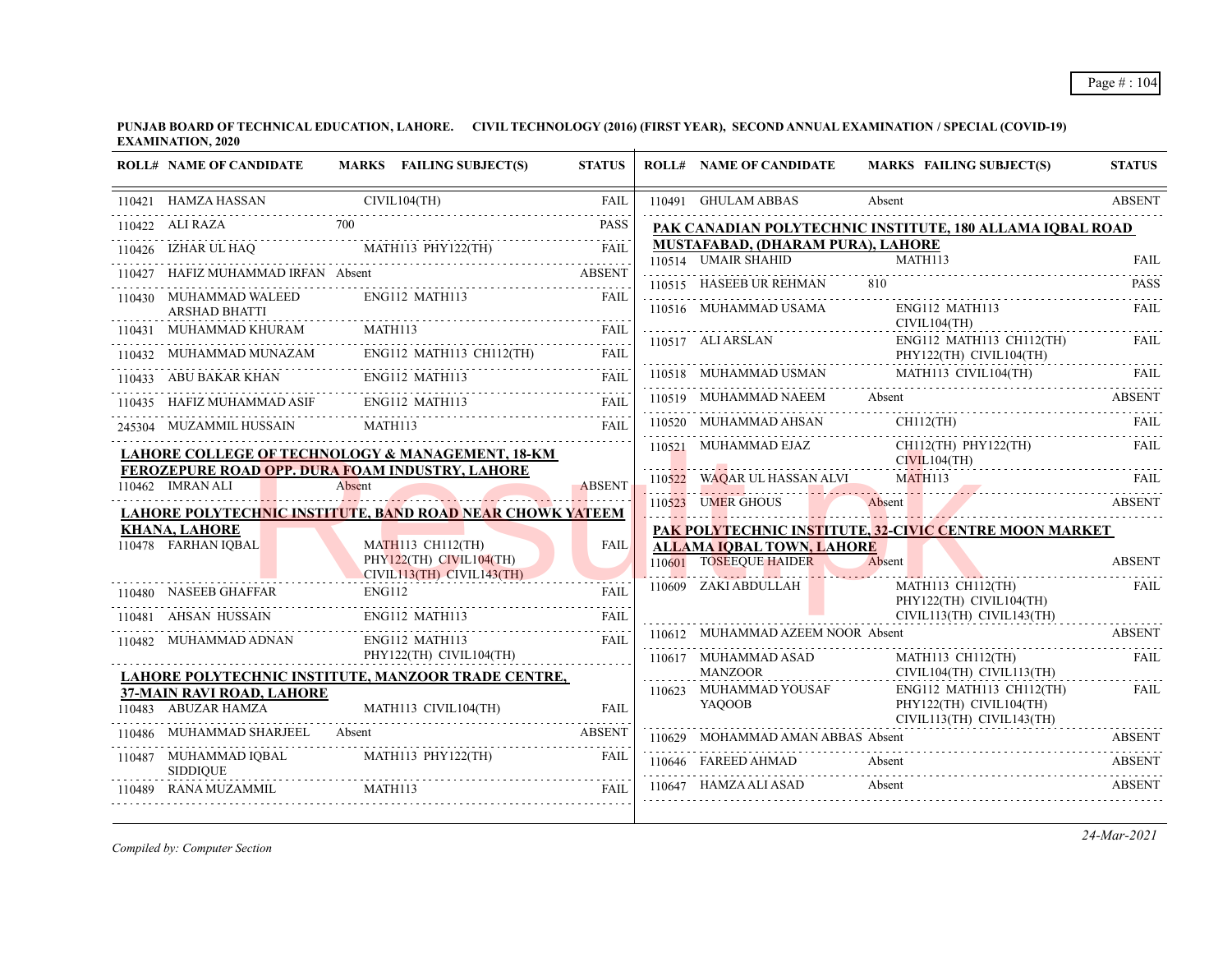|        | <b>ROLL# NAME OF CANDIDATE</b>                   | MARKS FAILING SUBJECT(S)                                                                           | <b>STATUS</b> | <b>ROLL# NAME OF CANDIDATE</b>       | <b>MARKS FAILING SUBJECT(S)</b>                                                                                                                                         | <b>STATUS</b>      |
|--------|--------------------------------------------------|----------------------------------------------------------------------------------------------------|---------------|--------------------------------------|-------------------------------------------------------------------------------------------------------------------------------------------------------------------------|--------------------|
|        | 110421 HAMZA HASSAN                              | CIVIL104(TH)                                                                                       | <b>FAIL</b>   | 110491 GHULAM ABBAS                  | Absent                                                                                                                                                                  | <b>ABSENT</b>      |
|        | 700<br>110422 ALI RAZA                           |                                                                                                    | <b>PASS</b>   |                                      | PAK CANADIAN POLYTECHNIC INSTITUTE, 180 ALLAMA IQBAL ROAD                                                                                                               |                    |
|        |                                                  | 110426 IZHAR UL HAQ MATH113 PHY122(TH) FAIL                                                        |               | MUSTAFABAD, (DHARAM PURA), LAHORE    |                                                                                                                                                                         |                    |
|        |                                                  |                                                                                                    |               | 110514 UMAIR SHAHID                  | MATH113                                                                                                                                                                 | <b>FAIL</b>        |
|        |                                                  | HAFIZ MUHAMMAD IRFAN Absent ABSENT                                                                 |               | 110515 HASEEB UR REHMAN              | 810                                                                                                                                                                     | <b>PASS</b>        |
|        | 110430 MUHAMMAD WALEED<br><b>ARSHAD BHATTI</b>   | ENG112 MATH113                                                                                     | FAII.         | 110516 MUHAMMAD USAMA                | ENG112 MATH113<br>CIVIL104(TH)                                                                                                                                          | FAII.              |
|        | 110431 MUHAMMAD KHURAM                           | MATH113                                                                                            | FAIL          |                                      |                                                                                                                                                                         | <b>FAIL</b>        |
|        |                                                  | 110432 MUHAMMAD MUNAZAM ENGI12 MATH113 CH112(TH) FAIL                                              |               |                                      | $\begin{tabular}{ll} 110517 & ALI ARSLAN & ENG112 MATH113 CH112(TH) \\ & PHY122(TH) CVIL104(TH) \\ \end{tabular}$                                                       | .                  |
|        |                                                  | 110433 ABU BAKAR KHAN ENG112 MATH113 FAIL                                                          |               |                                      | $\fbox{110518} \begin{tabular}{lcccccc} \textbf{110518} & \textbf{MUHAMMAD USMAN} & \textbf{MATH113} & \textbf{CIVIL104(TH)} & & \textbf{FAIL} \\ \hline \end{tabular}$ |                    |
|        | 110435 HAFIZ MUHAMMAD ASIF                       | ENG112 MATH113                                                                                     | FAIL          |                                      | 110519 MUHAMMAD NAEEM Absent ABSENT                                                                                                                                     |                    |
|        |                                                  | 245304 MUZAMMIL HUSSAIN MATH113 FAI                                                                | FAII.         | 110520 MUHAMMAD AHSAN                | $CH112$ (TH)                                                                                                                                                            | FAIL               |
|        |                                                  | LAHORE COLLEGE OF TECHNOLOGY & MANAGEMENT, 18-KM                                                   |               | 110521 MUHAMMAD EJAZ<br>CIVIL104(TH) | CH112(TH) PHY122(TH)                                                                                                                                                    | <b>FAIL</b>        |
|        | 110462 IMRAN ALI                                 | <b>FEROZEPURE ROAD OPP. DURA FOAM INDUSTRY, LAHORE</b><br>Absent                                   | <b>ABSENT</b> |                                      | 110522 WAQAR UL HASSAN ALVI MATH113 FAIL                                                                                                                                |                    |
|        |                                                  |                                                                                                    |               | 110523 UMER GHOUS                    | 110523 UMER GHOUS Absent<br><b>EXAMPLE SERVICE SERVICE SERVICE SERVICE SERVICE SERVICE SERVICE SERVICE SERVICE SERVICE SERVICE SERVICE SERVICE</b>                      |                    |
|        | <b>KHANA, LAHORE</b>                             | LAHORE PO <u>LYTECH<mark>NIC INSTITU</mark>TE, B<mark>AN</mark>D ROA<b>D</b> NEAR CHOWK YATEEM</u> |               |                                      | PAK POLYTECHNIC INSTITUTE, 32-CIVIC CENTRE MOON MARKET                                                                                                                  |                    |
|        | 110478 FARHAN IOBAL                              | <b>MATH113 CH112(TH)</b>                                                                           | <b>FAIL</b>   | ALLAMA IQBAL TOWN, LAHORE            |                                                                                                                                                                         |                    |
|        |                                                  | PHY122(TH) CIVIL104(TH)                                                                            |               | 110601 TOSEEQUE HAIDER               | Absent                                                                                                                                                                  | <b>ABSENT</b>      |
|        | 110480 NASEEB GHAFFAR                            | CIVIL113(TH) CIVIL143(TH)<br>ENG112                                                                | FAIL          | 110609 ZAKI ABDULLAH                 | MATH113 CH112(TH)                                                                                                                                                       | FAIL               |
|        | 110481 AHSAN HUSSAIN                             | ENG112 MATH113                                                                                     | FAIL          |                                      | PHY122(TH) CIVIL104(TH)<br>CIVIL113(TH) CIVIL143(TH)                                                                                                                    |                    |
|        | .<br>110482 MUHAMMAD ADNAN                       | ENG112 MATH113                                                                                     | <b>FAIL</b>   | 110612 MUHAMMAD AZEEM NOOR Absent    |                                                                                                                                                                         | <b>ABSENT</b>      |
|        |                                                  | PHY122(TH) CIVIL104(TH)                                                                            |               | 110617 MUHAMMAD ASAD                 | MATH113 CH112(TH)                                                                                                                                                       | <b>FAIL</b>        |
|        |                                                  | LAHORE POLYTECHNIC INSTITUTE, MANZOOR TRADE CENTRE,                                                |               | <b>MANZOOR</b>                       | CIVIL104(TH) CIVIL113(TH)                                                                                                                                               |                    |
|        | 37-MAIN RAVI ROAD, LAHORE<br>110483 ABUZAR HAMZA | MATH113 CIVIL104(TH)                                                                               |               | 110623 MUHAMMAD YOUSAF<br>YAOOOB     | $ENG112$ MATH113 CH112(TH)<br>PHY122(TH) CIVIL104(TH)<br>CIVIL113(TH) CIVIL143(TH)                                                                                      | FAIL               |
| 110486 | MUHAMMAD SHARJEEL Absent                         |                                                                                                    | <b>ABSENT</b> | 110629 MOHAMMAD AMAN ABBAS Absent    |                                                                                                                                                                         | .<br><b>ABSENT</b> |
|        | 110487 MUHAMMAD IQBAL<br><b>SIDDIOUE</b>         | MATH113 PHY122(TH)                                                                                 | FAIL          | 110646 FAREED AHMAD                  | Absent                                                                                                                                                                  | <b>ABSENT</b>      |
|        | 110489 RANA MUZAMMIL                             | MATH113                                                                                            | FAII.         | 110647 HAMZA ALI ASAD                | Absent                                                                                                                                                                  | <b>ABSENT</b>      |

*Compiled by: Computer Section*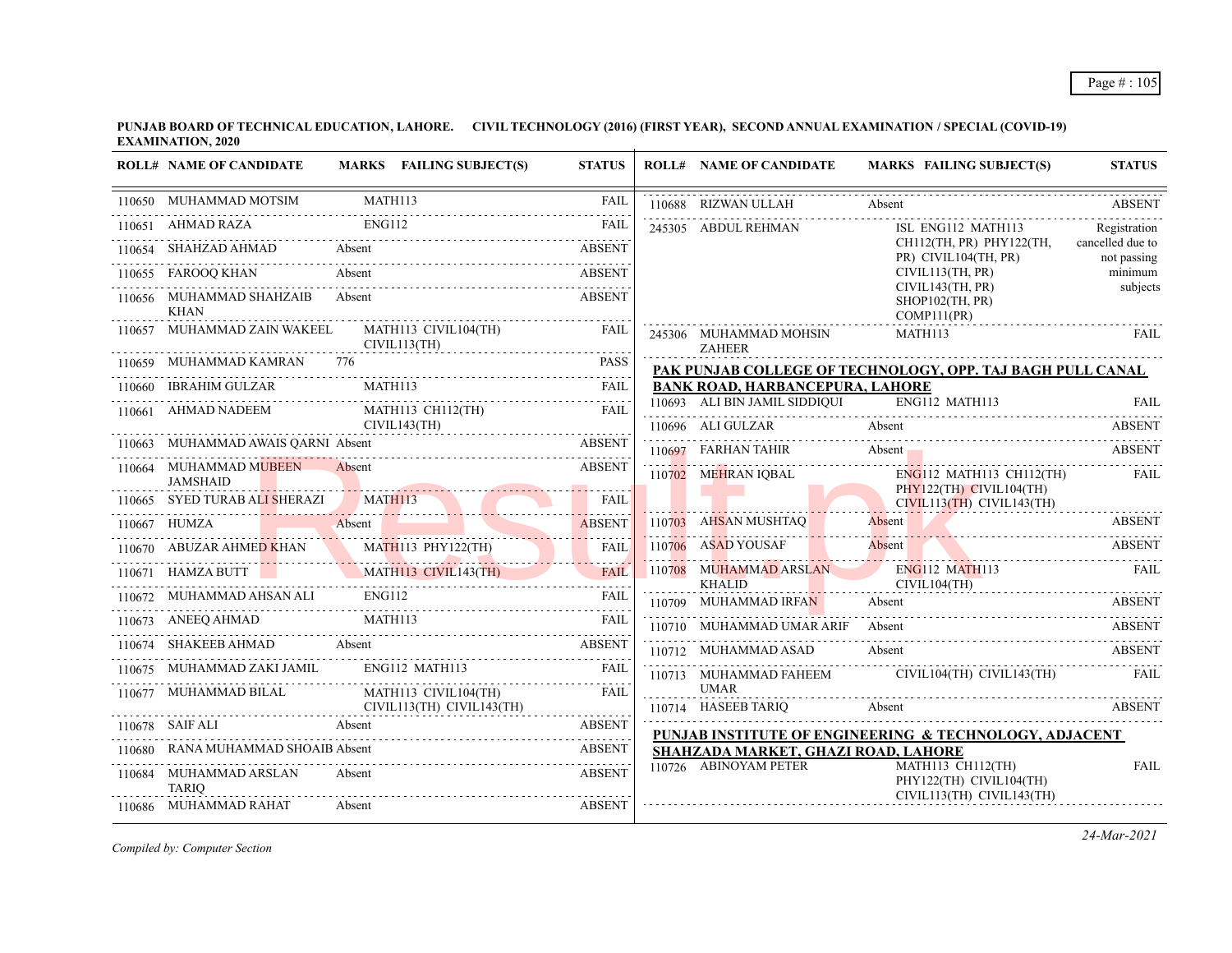**PUNJAB BOARD OF TECHNICAL EDUCATION, LAHORE. CIVIL TECHNOLOGY (2016) (FIRST YEAR), SECOND ANNUAL EXAMINATION / SPECIAL (COVID-19) EXAMINATION, 2020**

| <b>ROLL# NAME OF CANDIDATE</b>                                                                                                                                                                                                                                                                                                                                                                                                                                               |        | MARKS FAILING SUBJECT(S)          | <b>STATUS</b> | <b>ROLL# NAME OF CANDIDATE</b>         | MARKS FAILING SUBJECT(S)                                   | <b>STATUS</b>                   |
|------------------------------------------------------------------------------------------------------------------------------------------------------------------------------------------------------------------------------------------------------------------------------------------------------------------------------------------------------------------------------------------------------------------------------------------------------------------------------|--------|-----------------------------------|---------------|----------------------------------------|------------------------------------------------------------|---------------------------------|
| 110650 MUHAMMAD MOTSIM MATH113                                                                                                                                                                                                                                                                                                                                                                                                                                               |        |                                   | <b>FAIL</b>   | 110688 RIZWAN ULLAH                    | Absent<br>110688 RIZWAN ULLAH Absent Absent ABSENT         | <b>ABSENT</b>                   |
| 10651 AHMAD RAZA ENG112 FAIL<br>110651 AHMAD RAZA                                                                                                                                                                                                                                                                                                                                                                                                                            |        |                                   |               | 245305 ABDUL REHMAN                    | ISL ENG112 MATH113                                         | Registration                    |
| 110654 SHAHZAD AHMAD Absent ABSENT ABSENT                                                                                                                                                                                                                                                                                                                                                                                                                                    |        |                                   |               |                                        | CH112(TH, PR) PHY122(TH,<br>PR) CIVIL104(TH, PR)           | cancelled due to<br>not passing |
| 110655 FAROOQ KHAN Absent                                                                                                                                                                                                                                                                                                                                                                                                                                                    |        | Absent ABSENT                     | <b>ABSENT</b> |                                        | CIVIL113(TH, PR)                                           | minimum                         |
| 110656 MUHAMMAD SHAHZAIB<br><b>KHAN</b>                                                                                                                                                                                                                                                                                                                                                                                                                                      | Absent |                                   | <b>ABSENT</b> |                                        | CIVIL143(TH, PR)<br>$SHOP102$ (TH, PR)<br>COMP111(PR)      | subjects                        |
| $110657 \quad \text{MUHAMMAD ZAIN WAKEEL} \qquad \qquad \text{MATH113 CIVIL104(TH)} \qquad \qquad \text{FAIL} \\ \qquad \qquad \text{CIVIL113(TH)} \\ \qquad \qquad \text{CIVIL113(TH)} \\ \qquad \qquad \text{LIVIL142(TH)} \\ \qquad \qquad \text{LIVIL152(TH)} \\ \qquad \qquad \text{LIVIL164(TH)} \\ \qquad \qquad \text{LIVIL164(TH)} \\ \qquad \qquad \text{LIVIL164(TH)} \\ \qquad \qquad \text{LIVIL164(TH)} \\ \qquad \qquad \text{L$                              |        |                                   |               | 245306 MUHAMMAD MOHSIN<br>ZAHEER       | MATH113                                                    | FAIL                            |
| 110659 MUHAMMAD KAMRAN 776                                                                                                                                                                                                                                                                                                                                                                                                                                                   |        |                                   | <b>PASS</b>   |                                        | PAK PUNJAB COLLEGE OF TECHNOLOGY, OPP. TAJ BAGH PULL CANAL |                                 |
| 110660 IBRAHIM GULZAR                                                                                                                                                                                                                                                                                                                                                                                                                                                        |        |                                   |               | <b>BANK ROAD, HARBANCEPURA, LAHORE</b> |                                                            |                                 |
| 110661 AHMAD NADEEM                                                                                                                                                                                                                                                                                                                                                                                                                                                          |        | MATH113 CH112(TH)                 | <b>FAIL</b>   | 110693 ALI BIN JAMIL SIDDIQUI          | ENG112 MATH113                                             |                                 |
|                                                                                                                                                                                                                                                                                                                                                                                                                                                                              |        | CIVIL143(TH)                      |               |                                        | 110696 ALI GULZAR Absent ABSENT                            |                                 |
| 110663 MUHAMMAD AWAIS OARNI Absent                                                                                                                                                                                                                                                                                                                                                                                                                                           |        | UHAMMAD AWAIS QARNI Absent ABSENT |               |                                        | 110697 FARHAN TAHIR Absent ABSENT ABSENT                   |                                 |
| 110664 MUHAMMAD MUBEEN Absent<br><b>JAMSHAID</b>                                                                                                                                                                                                                                                                                                                                                                                                                             |        |                                   | <b>ABSENT</b> |                                        | 110702 MEHRAN IQBAL ENG112 MATH113 CH112(TH) FAIL          |                                 |
| 110665 SYED TURAB ALI SHERAZI MATHI13 FAIL                                                                                                                                                                                                                                                                                                                                                                                                                                   |        |                                   | <b>FAIL</b>   |                                        | PHY122(TH) CIVIL104(TH)<br>CIVIL113(TH) CIVIL143(TH)       |                                 |
| 110667 HUMZA Absent Absent Absent Absent Absent Absent Absent Absent Absent Absent Absent Absent Absent Absent Absent Absent Absent Absent Absent Absent Absent Absent Absent Absent Absent Absent Absent Absent Absent Absent                                                                                                                                                                                                                                               |        |                                   |               |                                        | 110703 AHSAN MUSHTAQ Absent ABSENT                         |                                 |
|                                                                                                                                                                                                                                                                                                                                                                                                                                                                              |        |                                   |               | 110706 ASAD YOUSAF                     | 110706 ASAD YOUSAF Absent ABSENT ABSENT                    |                                 |
|                                                                                                                                                                                                                                                                                                                                                                                                                                                                              |        |                                   |               | <b>KHALID</b>                          | 110708 MUHAMMAD ARSLAN ENG112 MATH113<br>CIVIL104(TH)      | <b>FAIL</b>                     |
|                                                                                                                                                                                                                                                                                                                                                                                                                                                                              |        |                                   |               | 110709 MUHAMMAD IRFAN                  | Absent                                                     | <b>ABSENT</b>                   |
| $\begin{tabular}{lllllll} \multicolumn{2}{c c} \multicolumn{2}{c }{\textbf{MATH113}} & \multicolumn{2}{c} \multicolumn{2}{c}{} & \multicolumn{2}{c} \multicolumn{2}{c}{} & \multicolumn{2}{c} \multicolumn{2}{c}{} & \multicolumn{2}{c} \multicolumn{2}{c}{} & \multicolumn{2}{c} \multicolumn{2}{c}{} & \multicolumn{2}{c} \multicolumn{2}{c}{} & \multicolumn{2}{c} \multicolumn{2}{c}{} & \multicolumn{2}{c} \multicolumn{2}{c}{} & \multicolumn{2}{c} \multicolumn{2}{c$ |        |                                   |               | 110710 MUHAMMAD UMAR ARIF Absent       |                                                            | <b>ABSENT</b>                   |
| 10674 SHAKEEB AHMAD Absent ABSENT                                                                                                                                                                                                                                                                                                                                                                                                                                            |        |                                   |               | 110712 MUHAMMAD ASAD                   | Absent                                                     | ABSENT                          |
| 110675 MUHAMMAD ZAKI JAMIL ENG112 MATH113                                                                                                                                                                                                                                                                                                                                                                                                                                    |        |                                   | <b>FAIL</b>   |                                        | 110713 MUHAMMAD FAHEEM CIVIL104(TH) CIVIL143(TH) FAIL      |                                 |
| 110677 MUHAMMAD BILAL MATH113 CIVIL104(TH)<br>$CIVIL113(TH)$ $CIVIL143(TH)$                                                                                                                                                                                                                                                                                                                                                                                                  |        |                                   | <b>FAIL</b>   | <b>UMAR</b>                            | 110714 HASEEB TARIQ Absent ABSENT                          |                                 |
| 110678 SAIF ALI Absent ABSENT                                                                                                                                                                                                                                                                                                                                                                                                                                                |        |                                   |               |                                        | PUNJAB INSTITUTE OF ENGINEERING & TECHNOLOGY, ADJACENT     |                                 |
| RANA MUHAMMAD SHOAIB Absent                                                                                                                                                                                                                                                                                                                                                                                                                                                  |        |                                   | <b>ABSENT</b> | SHAHZADA MARKET, GHAZI ROAD, LAHORE    |                                                            |                                 |
| 110684 MUHAMMAD ARSLAN<br><b>TARIQ</b>                                                                                                                                                                                                                                                                                                                                                                                                                                       | Absent |                                   | <b>ABSENT</b> | 110726 ABINOYAM PETER                  | MATH113 CH112(TH)<br>PHY122(TH) CIVIL104(TH)               | <b>FAIL</b>                     |
| 110686 MUHAMMAD RAHAT                                                                                                                                                                                                                                                                                                                                                                                                                                                        | Absent |                                   | <b>ABSENT</b> |                                        | CIVIL113(TH) CIVIL143(TH)                                  |                                 |

*Compiled by: Computer Section*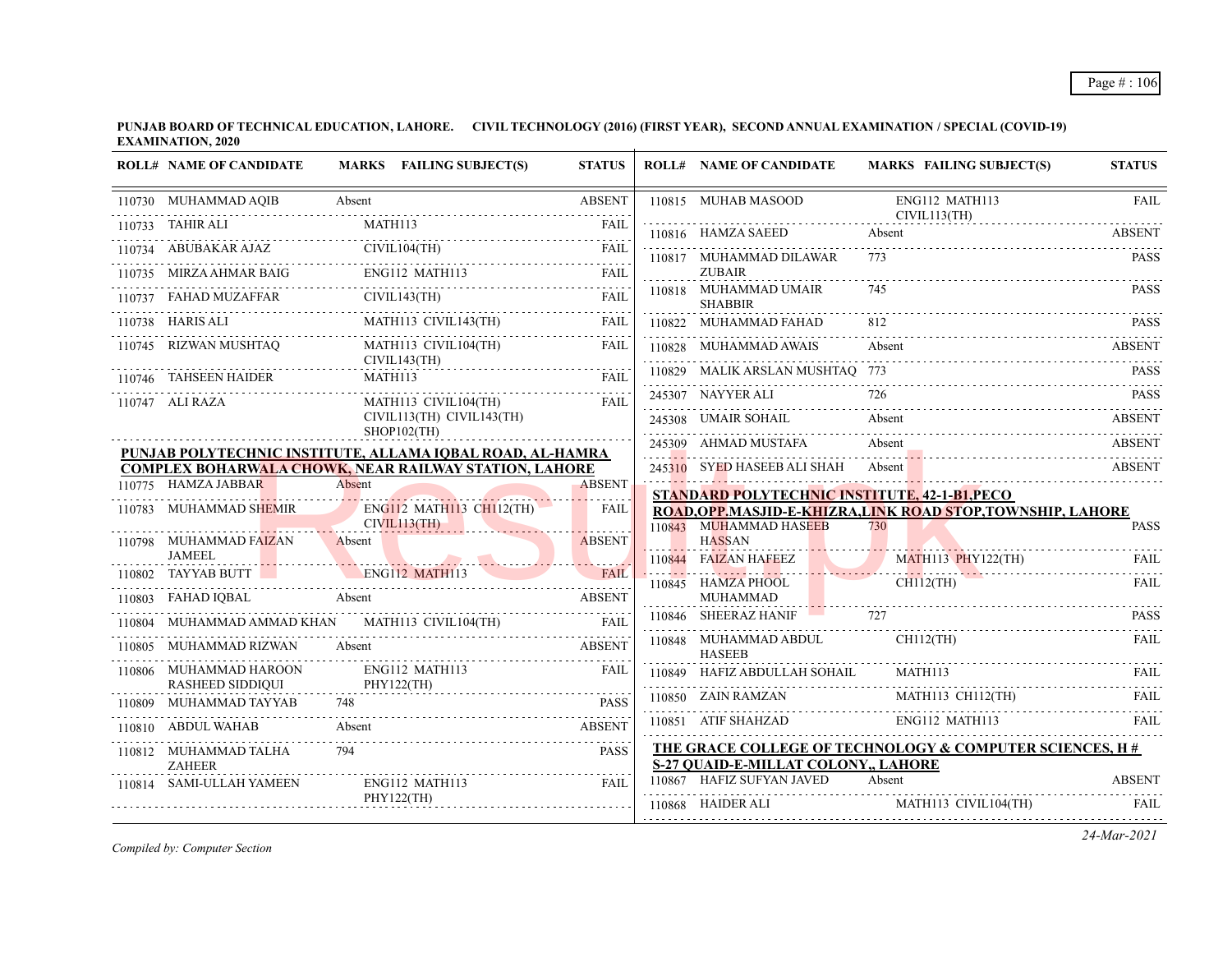**PUNJAB BOARD OF TECHNICAL EDUCATION, LAHORE. CIVIL TECHNOLOGY (2016) (FIRST YEAR), SECOND ANNUAL EXAMINATION / SPECIAL (COVID-19) EXAMINATION, 2020**

|        | <b>ROLL# NAME OF CANDIDATE</b>                                                                                                                                                              |         | MARKS FAILING SUBJECT(S)                 | <b>STATUS</b>               |   | <b>ROLL# NAME OF CANDIDATE</b>                                   | <b>MARKS FAILING SUBJECT(S)</b>                              | <b>STATUS</b> |
|--------|---------------------------------------------------------------------------------------------------------------------------------------------------------------------------------------------|---------|------------------------------------------|-----------------------------|---|------------------------------------------------------------------|--------------------------------------------------------------|---------------|
|        | 110730 MUHAMMAD AQIB                                                                                                                                                                        | Absent  |                                          | <b>ABSENT</b>               |   | 110815 MUHAB MASOOD                                              | ENG112 MATH113<br>CIVIL113(TH)                               | <b>FAIL</b>   |
|        | 110733 TAHIR ALI                                                                                                                                                                            | MATH113 |                                          | <b>FAIL</b>                 |   | 110816 HAMZA SAEED                                               | Absent                                                       | <b>ABSENT</b> |
|        | 110734 ABUBAKAR AJAZ CIVIL104(TH) FAIL                                                                                                                                                      |         |                                          |                             |   | 110817 MUHAMMAD DILAWAR                                          | 773                                                          | <b>PASS</b>   |
|        | 110735 MIRZA AHMAR BAIG                                                                                                                                                                     |         | ENG112 MATH113                           | FAIL                        |   | <b>ZUBAIR</b>                                                    |                                                              |               |
|        | 110737 FAHAD MUZAFFAR                                                                                                                                                                       |         | CIVIL143(TH)                             |                             |   | 110818 MUHAMMAD UMAIR<br><b>SHABBIR</b>                          | 745                                                          | <b>PASS</b>   |
|        | $\begin{tabular}{lllllllll} \bf{110738} & HARIS ALL & \bf{MATH113} & CIVIL143(TH) & \bf{FAIL} \\ \hline \bf{110738} & HARIS ALL & \bf{MATH113} & CIVIL143(TH) & \bf{FAIL} \\ \end{tabular}$ |         |                                          |                             |   | 110822 MUHAMMAD FAHAD                                            |                                                              | <b>PASS</b>   |
|        | 110745 RIZWAN MUSHTAQ                                                                                                                                                                       |         | MATH113 CIVIL104(TH)<br>CIVIL143(TH)     | <b>FAIL</b>                 |   | 110828 MUHAMMAD AWAIS                                            | Absent                                                       | ABSENT        |
|        | 110746 TAHSEEN HAIDER MATH113 FAIL FAIL                                                                                                                                                     |         |                                          |                             |   | 110829 MALIK ARSLAN MUSHTAQ 773                                  |                                                              | <b>PASS</b>   |
|        | 110747 ALI RAZA                                                                                                                                                                             |         | MATH113 CIVIL104(TH)                     | <b>FAIL</b>                 |   | 245307 NAYYER ALI                                                |                                                              |               |
|        |                                                                                                                                                                                             |         | CIVIL113(TH) CIVIL143(TH)<br>SHOP102(TH) |                             |   | 245308 UMAIR SOHAIL                                              | Absent                                                       | <b>ABSENT</b> |
|        | PUNJAB POLYTECHNIC INSTITUTE, ALLAMA IQBAL ROAD, AL-HAMRA                                                                                                                                   |         |                                          |                             |   | 245309 AHMAD MUSTAFA                                             | Absent                                                       | <b>ABSENT</b> |
|        | <b>COMPLEX BOHARWALA CHOWK, NEAR RAILWAY STATION, LAHORE</b>                                                                                                                                |         |                                          |                             |   | 245310 SYED HASEEB ALI SHAH                                      | Absent                                                       | <b>ABSENT</b> |
|        | 110775 HAMZA JABBAR<br>10775 HAMZA JABBAR Absent                                                                                                                                            | Absent  |                                          | <b>ABSENT</b><br>. <b>.</b> |   | STANDARD POLYTECHNIC INSTITUTE, 42-1-B1, PECO                    |                                                              |               |
|        | 110783 MUHAMMAD SHEMIR                                                                                                                                                                      |         | <b>ENG112 MATH113 CH112(TH)</b>          | <b>FAIL</b>                 |   |                                                                  | ROAD, OPP. MASJID-E-KHIZRA, LINK ROAD STOP, TOWNSHIP, LAHORE |               |
|        | 110798 MUHAMMAD FAIZAN                                                                                                                                                                      | Absent  | CIVIL113(TH)                             | <u>.</u><br><b>ABSENT</b>   |   | 110843 MUHAMMAD HASEEB<br><b>HASSAN</b>                          | 730                                                          | <b>PASS</b>   |
|        | JAMEEL                                                                                                                                                                                      |         |                                          |                             |   | <u> 19. martin yn Sy</u><br>110844 FAIZAN HAFEEZ                 | MATH113 PHY122(TH)                                           |               |
| 110802 | TAYYAB BUTT ENG112 MATH113                                                                                                                                                                  |         |                                          | <b>FAIL</b>                 |   |                                                                  | THE CONTRACT OF CHILD CHILD CHILD CHILD CHILD FAIL           |               |
| 110803 | Absent<br>FAHAD IQBAL                                                                                                                                                                       |         | QBAL Absent ABSENT                       |                             |   | <b>MUHAMMAD</b>                                                  |                                                              |               |
|        | MUHAMMAD AMMAD KHAN MATHI13 CIVIL104(TH) FAIL                                                                                                                                               |         |                                          |                             | . | 110846 SHEERAZ HANIF 727                                         |                                                              | <b>PASS</b>   |
|        | MUHAMMAD RIZWAN                                                                                                                                                                             | Absent  |                                          | <b>ABSENT</b>               |   | 110848 MUHAMMAD ABDUL<br><b>HASEEB</b>                           | $CH112$ (TH)                                                 | FAIL          |
|        | 110806 MUHAMMAD HAROON<br><b>RASHEED SIDDIQUI</b>                                                                                                                                           |         | ENG112 MATH113<br>PHY122(TH)             | <b>FAIL</b>                 |   | 110849 HAFIZ ABDULLAH SOHAIL                                     | MATH113                                                      | <b>FAIL</b>   |
| 110809 | MUHAMMAD TAYYAB                                                                                                                                                                             | 748     |                                          | <b>PASS</b>                 |   | 110850 ZAIN RAMZAN                                               | MATH113 CH112(TH)                                            | FAIL.         |
|        | 110810 ABDUL WAHAB                                                                                                                                                                          | Absent  |                                          | <b>ABSENT</b>               |   |                                                                  | 110851 ATIF SHAHZAD ENG112 MATH113                           | FAII.         |
|        | 110812 MUHAMMAD TALHA                                                                                                                                                                       | 794     |                                          | <b>PASS</b>                 |   |                                                                  | THE GRACE COLLEGE OF TECHNOLOGY & COMPUTER SCIENCES, H#      |               |
|        | <b>ZAHEER</b><br>110814 SAMI-ULLAH YAMEEN                                                                                                                                                   |         | ENG112 MATH113                           | FAII.                       |   | S-27 QUAID-E-MILLAT COLONY,, LAHORE<br>110867 HAFIZ SUFYAN JAVED | Absent                                                       | <b>ABSENT</b> |
|        |                                                                                                                                                                                             |         | PHY122(TH)                               |                             |   | 110868 HAIDER ALI                                                | MATH113 CIVIL104(TH)                                         | <b>FAIL</b>   |
|        |                                                                                                                                                                                             |         |                                          |                             |   |                                                                  |                                                              |               |

*Compiled by: Computer Section*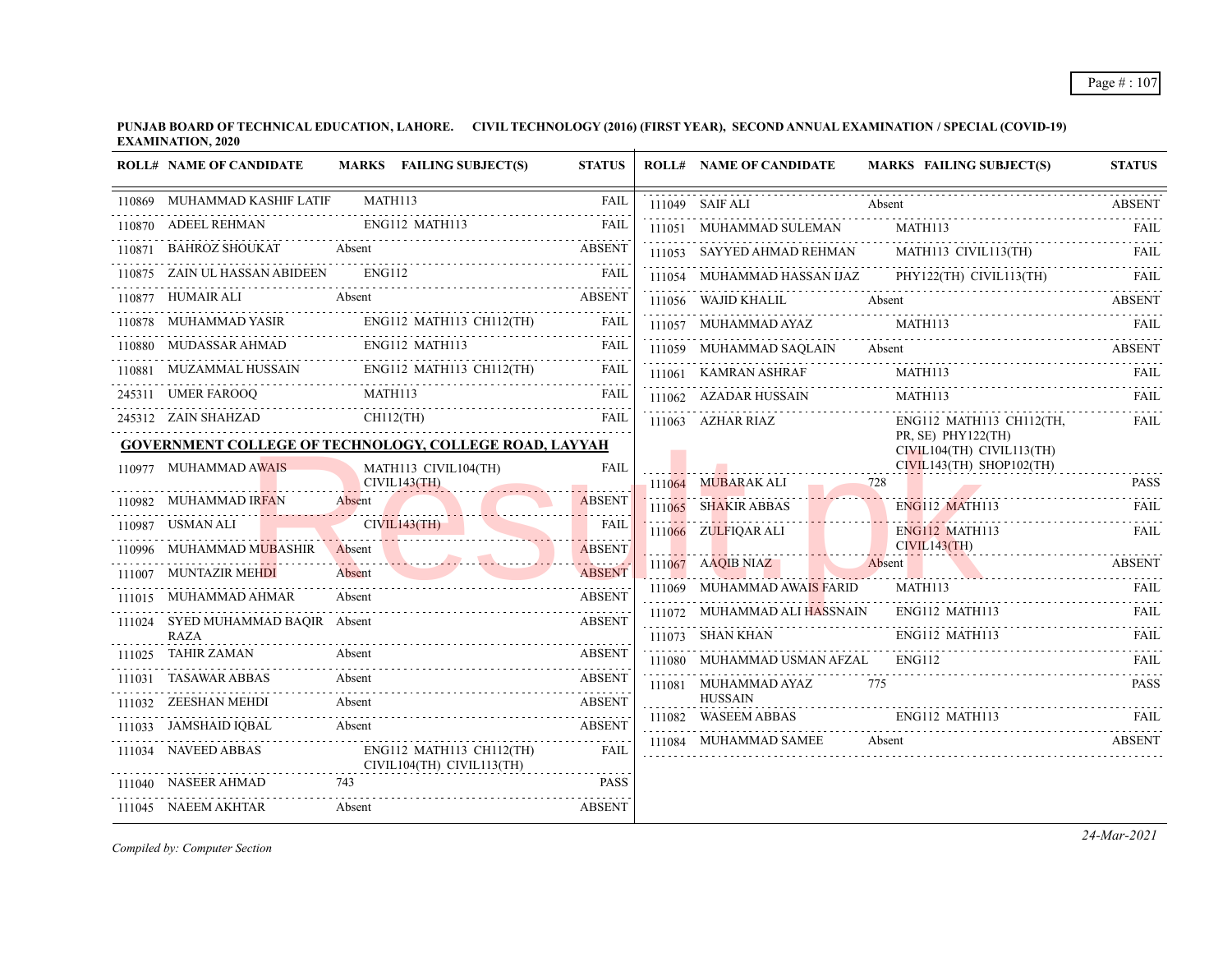|        | <b>ROLL# NAME OF CANDIDATE</b> | MARKS FAILING SUBJECT(S)                               | <b>STATUS</b>             | <b>ROLL# NAME OF CANDIDATE</b>        | <b>MARKS FAILING SUBJECT(S)</b>                     | <b>STATUS</b> |
|--------|--------------------------------|--------------------------------------------------------|---------------------------|---------------------------------------|-----------------------------------------------------|---------------|
|        | 110869 MUHAMMAD KASHIF LATIF   | MATH113<br>.                                           | FAIL<br>.                 | 111049 SAIF ALI                       | Absent                                              | <b>ABSENT</b> |
|        | 110870 ADEEL REHMAN            | ENG112 MATH113                                         | FAIL                      | 111051 MUHAMMAD SULEMAN               | <b>MATH113</b>                                      | FAIL          |
|        | BAHROZ SHOUKAT                 | Absent                                                 | <b>ABSENT</b>             | 111053 SAYYED AHMAD REHMAN            | MATH113 CIVIL113(TH)                                | FAIL          |
|        | 110875 ZAIN UL HASSAN ABIDEEN  | <b>ENG112</b>                                          | <b>FAIL</b>               |                                       | 111054 MUHAMMAD HASSAN IJAZ PHY122(TH) CIVIL113(TH) | - FAIL        |
| 110877 | HUMAIR ALI                     | Absent                                                 | <b>ABSENT</b>             | 111056 WAJID KHALIL                   | Absent                                              | <b>ABSENT</b> |
|        | MUHAMMAD YASIR                 | $ENG112$ MATH113 CH112(TH)                             | <b>FAIL</b>               | 111057 MUHAMMAD AYAZ                  | MATH113                                             |               |
|        | 110880 MUDASSAR AHMAD          | <b>ENG112 MATH113</b>                                  | FAIL                      | 111059 MUHAMMAD SAQLAIN               | Absent                                              | <b>ABSENT</b> |
|        | MUZAMMAL HUSSAIN               | ENG112 MATH113 CH112(TH)                               | FAIL                      | 111061 KAMRAN ASHRAF                  | MATH113                                             | <b>FAIL</b>   |
|        | 245311 UMER FAROOO             | MATH113                                                | FAIL                      | 111062 AZADAR HUSSAIN                 | MATH113                                             | <b>FAIL</b>   |
|        | 245312 ZAIN SHAHZAD            | $CH112$ (TH)                                           | FAIL                      | 111063 AZHAR RIAZ                     | ENG112 MATH113 CH112(TH,                            | FAIL          |
|        |                                | GOVERNMENT COLLEGE OF TECHNOLOGY, COLLEGE ROAD, LAYYAH |                           |                                       | PR, SE) PHY122(TH)<br>CIVIL104(TH) CIVIL113(TH)     |               |
|        | 110977 MUHAMMAD AWAIS          | MATH113 CIVIL104(TH)                                   | <b>FAIL</b>               |                                       | $CIVIL143(TH)$ SHOP102(TH)                          |               |
|        | 110982 MUHAMMAD IRFAN          | CIVIL143(TH)<br>Absent                                 | <b>ABSENT</b>             | 111064 MUBARAK ALI                    | 728                                                 | <b>PASS</b>   |
|        | 110987 USMAN ALI               | CIVIL143(TH)                                           | .<br>FAIL                 | 111065 SHAKIR ABBAS                   | ENG112 MATH113                                      | FAII.         |
|        | 110996 MUHAMMAD MUBASHIR       | Absent                                                 | <u>.</u><br><b>ABSENT</b> | 111066 ZULFIQAR ALI                   | ENG112 MATH113<br>CIVIL143(TH)                      | FAIL          |
|        | 111007 MUNTAZIR MEHDI          | Absent                                                 | <b>ABSENT</b>             | 111067 AAOIB NIAZ                     | Absent                                              | <b>ABSENT</b> |
| 111015 | MUHAMMAD AHMAR                 | Absent                                                 | <b>ABSENT</b>             | 111069 MUHAMMAD AWAIS FARID           | MATH113                                             | FAIL          |
| 111024 | SYED MUHAMMAD BAOIR Absent     |                                                        | <b>ABSENT</b>             | 111072 MUHAMMAD ALI HASSNAIN          | ENG112 MATH113                                      | FAIL          |
|        | <b>RAZA</b>                    |                                                        |                           | 111073 SHAN KHAN                      | ENG112 MATH113                                      | FAIL          |
|        | 111025 TAHIR ZAMAN             | Absent                                                 | <b>ABSENT</b>             | 111080 MUHAMMAD USMAN AFZAL           | <b>ENG112</b>                                       | FAIL          |
| 111031 | TASAWAR ABBAS                  | Absent                                                 | <b>ABSENT</b>             | 111081 MUHAMMAD AYAZ                  | 775                                                 | <b>PASS</b>   |
|        | 111032 ZEESHAN MEHDI           | Absent                                                 | <b>ABSENT</b>             | <b>HUSSAIN</b><br>111082 WASEEM ABBAS | ENG112 MATH113                                      |               |
|        | 111033 JAMSHAID IQBAL          | Absent                                                 | <b>ABSENT</b>             |                                       |                                                     |               |
|        | 111034 NAVEED ABBAS            | ENG112 MATH113 CH112(TH)<br>CIVIL104(TH) CIVIL113(TH)  | <b>FAIL</b>               | 111084 MUHAMMAD SAMEE                 | Absent                                              | <b>ABSENT</b> |
|        | 111040 NASEER AHMAD            | 743                                                    | <b>PASS</b>               |                                       |                                                     |               |
|        | 111045 NAEEM AKHTAR            | Absent                                                 | <b>ABSENT</b>             |                                       |                                                     |               |

*Compiled by: Computer Section*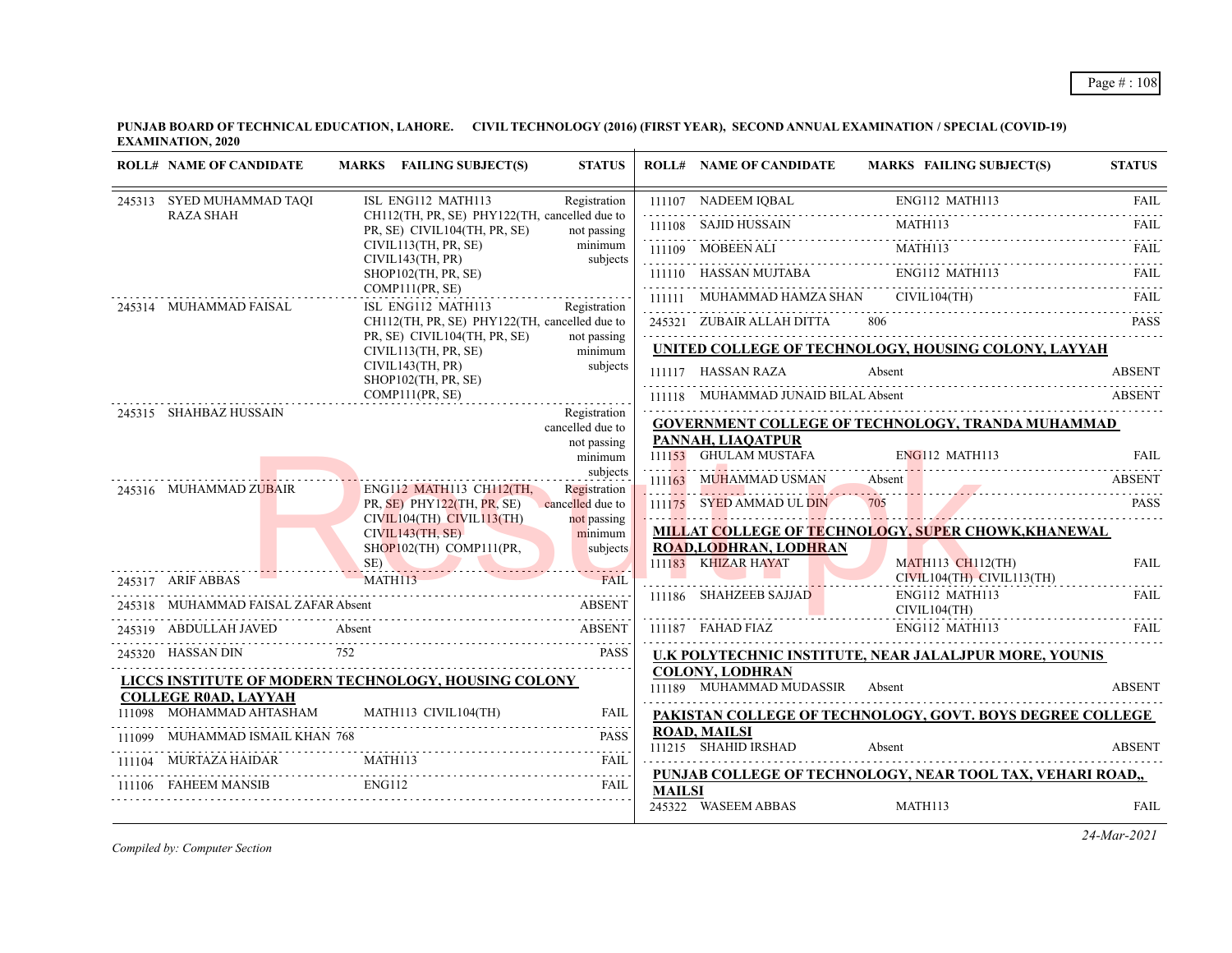**PUNJAB BOARD OF TECHNICAL EDUCATION, LAHORE. CIVIL TECHNOLOGY (2016) (FIRST YEAR), SECOND ANNUAL EXAMINATION / SPECIAL (COVID-19) EXAMINATION, 2020**  $\overline{1}$ 

| <b>ROLL# NAME OF CANDIDATE</b>  | MARKS FAILING SUBJECT(S)                                                                                                                                                                                                                                           | <b>STATUS</b>                    |               | <b>ROLL# NAME OF CANDIDATE</b>                           | <b>MARKS FAILING SUBJECT(S)</b>                                                                                                                          | <b>STATUS</b>           |
|---------------------------------|--------------------------------------------------------------------------------------------------------------------------------------------------------------------------------------------------------------------------------------------------------------------|----------------------------------|---------------|----------------------------------------------------------|----------------------------------------------------------------------------------------------------------------------------------------------------------|-------------------------|
| 245313 SYED MUHAMMAD TAQI       | ISL ENG112 MATH113                                                                                                                                                                                                                                                 | Registration                     |               |                                                          | $\begin{tabular}{c c c} \hline 111107 & NADEEM IQBAL & ENG112 MATH113 & FAIL \\ \hline 111108 & SAJID HUSSAIN & MATH113 & FAIL \\ \hline \end{tabular}$  |                         |
| <b>RAZA SHAH</b>                | CH112(TH, PR, SE) PHY122(TH, cancelled due to<br>PR, SE) CIVIL104(TH, PR, SE)                                                                                                                                                                                      | not passing                      |               |                                                          |                                                                                                                                                          |                         |
|                                 | CIVIL113(TH, PR, SE)<br>CIVIL143(TH, PR)                                                                                                                                                                                                                           | minimum<br>subjects              |               |                                                          |                                                                                                                                                          |                         |
|                                 | SHOP102(TH, PR, SE)                                                                                                                                                                                                                                                |                                  |               |                                                          | $\begin{tabular}{c c c c} \hline 111109 & MOBERN ALI & MATH113 & FAIL \\ \hline 111110 & HASSAN MUJTABA & ENG112 MATH113 & FAIL \\ \hline \end{tabular}$ |                         |
| 245314 MUHAMMAD FAISAL          | COMP111(PR, SE)<br>ISL ENG112 MATH113                                                                                                                                                                                                                              | Registration                     |               | 111111 MUHAMMAD HAMZA SHAN CIVIL104(TH)                  |                                                                                                                                                          | FAII.                   |
|                                 | CH112(TH, PR, SE) PHY122(TH, cancelled due to                                                                                                                                                                                                                      |                                  |               |                                                          | 245321 ZUBAIR ALLAH DITTA 806 PASS                                                                                                                       |                         |
|                                 | PR, SE) CIVIL104(TH, PR, SE)<br>CIVIL113(TH, PR, SE)                                                                                                                                                                                                               | not passing<br>minimum           |               |                                                          | UNITED COLLEGE OF TECHNOLOGY, HOUSING COLONY, LAYYAH                                                                                                     |                         |
|                                 | CIVIL143(TH, PR)<br>SHOP102(TH, PR, SE)                                                                                                                                                                                                                            | subjects                         |               | 111117 HASSAN RAZA                                       | Absent                                                                                                                                                   | <b>ABSENT</b>           |
|                                 | COMP111(PR, SE)                                                                                                                                                                                                                                                    |                                  |               | 111118 MUHAMMAD JUNAID BILAL Absent                      |                                                                                                                                                          |                         |
| 245315 SHAHBAZ HUSSAIN          |                                                                                                                                                                                                                                                                    | Registration<br>cancelled due to |               |                                                          | <b>GOVERNMENT COLLEGE OF TECHNOLOGY, TRANDA MUHAMMAD</b>                                                                                                 |                         |
|                                 |                                                                                                                                                                                                                                                                    | not passing<br>minimum           |               | PANNAH, LIAQATPUR<br>111153 GHULAM MUSTAFA               | ENG112 MATH113                                                                                                                                           | <b>FAIL</b>             |
|                                 |                                                                                                                                                                                                                                                                    | subjects                         |               | 111163 MUHAMMAD USMAN Absent                             |                                                                                                                                                          |                         |
| 245316 MUHAMMAD ZUBAIR          | ENG112 MATH113 CH112(TH,<br>$PR, SE$ ) $PHY122(TH, PR, SE)$                                                                                                                                                                                                        | Registration<br>cancelled due to |               | 111175 SYED AMMAD UL DIN                                 | 111163 MUHAMMAD USMAN Absent ABSENT                                                                                                                      | <b>PASS</b>             |
|                                 | $CIVIL104(TH)$ $CIVIL113(TH)$                                                                                                                                                                                                                                      | not passing                      |               |                                                          |                                                                                                                                                          | <u>.</u>                |
|                                 | CIVIL143(TH, SE)<br>$SHOP102$ (TH) $COMP111$ (PR,                                                                                                                                                                                                                  | minimum<br>subjects              |               | <b>ROAD,LODHRAN, LODHRAN</b>                             | MILLAT COLLEGE OF TECHNOLOGY, SUPER CHOWK, KHANEWAL                                                                                                      |                         |
|                                 | SE)                                                                                                                                                                                                                                                                | <b>FAIL</b>                      |               | 111183 KHIZAR HAYAT<br>1111 <mark>83 KHIZAR HAYAT</mark> | <b>MATH113 CH112(TH)</b><br>$CIVIL104(TH)$ $CIVIL113(TH)$                                                                                                | <b>FAIL</b>             |
| 245317 ARIF ABBAS MATH113       |                                                                                                                                                                                                                                                                    |                                  |               | 111186 SHAHZEEB SAJJAD                                   | ENG112 MATH113                                                                                                                                           | <u>.</u><br><b>FAIL</b> |
|                                 | 245318 MUHAMMAD FAISAL ZAFAR Absent ABSENT<br>Absent ABSENT                                                                                                                                                                                                        |                                  |               |                                                          | CIVIL104(TH)<br>ENG112 MATH113                                                                                                                           | <b>FAIL</b>             |
| 245319 ABDULLAH JAVED           | 752                                                                                                                                                                                                                                                                |                                  |               |                                                          |                                                                                                                                                          |                         |
| 245320 HASSAN DIN               |                                                                                                                                                                                                                                                                    | <b>PASS</b>                      |               | <b>COLONY, LODHRAN</b>                                   | U.K POLYTECHNIC INSTITUTE, NEAR JALALJPUR MORE, YOUNIS                                                                                                   |                         |
| <b>COLLEGE R0AD, LAYYAH</b>     | LICCS INSTITUTE OF MODERN TECHNOLOGY, HOUSING COLONY                                                                                                                                                                                                               |                                  |               | 111189 MUHAMMAD MUDASSIR Absent                          |                                                                                                                                                          | <b>ABSENT</b>           |
|                                 | $111098 \quad \text{MOHAMMAD AHTASHAM} \qquad \qquad \text{MATH113 CIVIL104(TH)}$                                                                                                                                                                                  | <b>FAIL</b>                      |               |                                                          | PAKISTAN COLLEGE OF TECHNOLOGY, GOVT. BOYS DEGREE COLLEGE                                                                                                |                         |
| 111099 MUHAMMAD ISMAIL KHAN 768 |                                                                                                                                                                                                                                                                    | <b>PASS</b>                      |               | <b>ROAD, MAILSI</b><br>111215 SHAHID IRSHAD              | Absent                                                                                                                                                   | <b>ABSENT</b>           |
| 111104 MURTAZA HAIDAR MATH113   |                                                                                                                                                                                                                                                                    | <b>FAIL</b>                      |               |                                                          |                                                                                                                                                          |                         |
|                                 | TAIL THE MANUSIS ENGLISH ENGLISH THE TAIL THAT THE TRACK THE TRACK THE TRACK THE TRACK THE TRACK THE TRACK THE TRACK THE TRACK THE TRACK THE TRACK THE TRACK THE TRACK THE TRACK THE TRACK THE TRACK THE TRACK THE TRACK THE T<br>111106 FAHEEM MANSIB ENG112 FAIL |                                  | <b>MAILSI</b> |                                                          | PUNJAB COLLEGE OF TECHNOLOGY, NEAR TOOL TAX, VEHARI ROAD,,                                                                                               |                         |
|                                 |                                                                                                                                                                                                                                                                    |                                  |               | 245322 WASEEM ABBAS                                      | MATH113                                                                                                                                                  | <b>FAIL</b>             |

*Compiled by: Computer Section*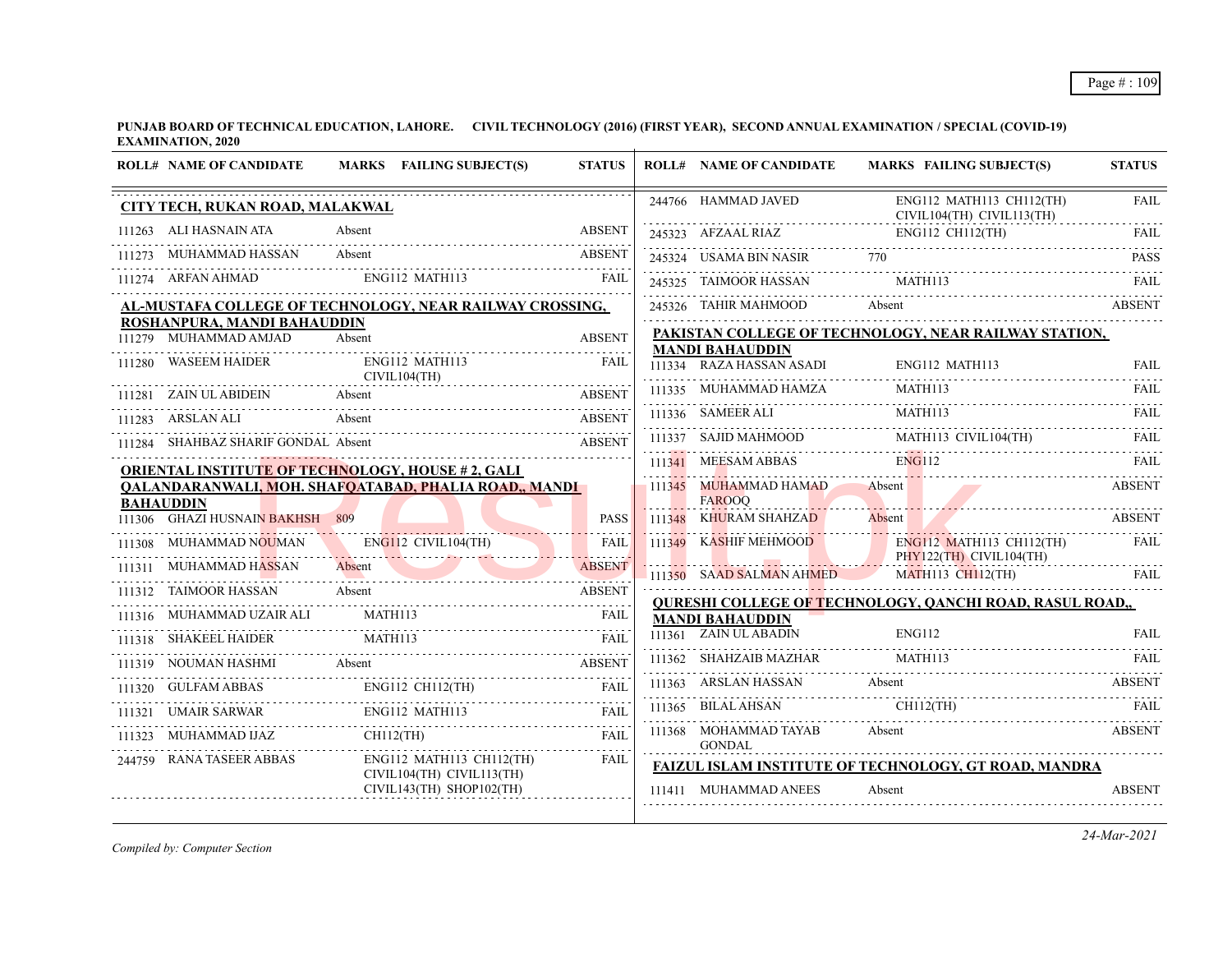**PUNJAB BOARD OF TECHNICAL EDUCATION, LAHORE. CIVIL TECHNOLOGY (2016) (FIRST YEAR), SECOND ANNUAL EXAMINATION / SPECIAL (COVID-19) EXAMINATION, 2020**  $\overline{1}$ 

| <b>ROLL# NAME OF CANDIDATE</b>                       | MARKS FAILING SUBJECT(S)                                                                                                                                                    | <b>STATUS</b> | <b>ROLL# NAME OF CANDIDATE</b>                | <b>MARKS FAILING SUBJECT(S)</b>                                                                                                                                                                                                                                                                                                                                                                                                                                               | <b>STATUS</b> |
|------------------------------------------------------|-----------------------------------------------------------------------------------------------------------------------------------------------------------------------------|---------------|-----------------------------------------------|-------------------------------------------------------------------------------------------------------------------------------------------------------------------------------------------------------------------------------------------------------------------------------------------------------------------------------------------------------------------------------------------------------------------------------------------------------------------------------|---------------|
| CITY TECH, RUKAN ROAD, MALAKWAL                      |                                                                                                                                                                             |               | 244766 HAMMAD JAVED                           | ENG112 MATH113 CH112(TH)<br>CIVIL104(TH) CIVIL113(TH)                                                                                                                                                                                                                                                                                                                                                                                                                         | <b>FAIL</b>   |
| 111263 ALI HASNAIN ATA                               | Absent                                                                                                                                                                      | <b>ABSENT</b> |                                               | 245323 AFZAAL RIAZ ENG112 CH112(TH) FAIL                                                                                                                                                                                                                                                                                                                                                                                                                                      |               |
| MUHAMMAD HASSAN                                      | Absent                                                                                                                                                                      | <b>ABSENT</b> | 245324 USAMA BIN NASIR 770                    |                                                                                                                                                                                                                                                                                                                                                                                                                                                                               | <b>PASS</b>   |
| 111274 ARFAN AHMAD                                   | ENG112 MATH113<br><b>EAH</b>                                                                                                                                                |               | 245325 TAIMOOR HASSAN                         | MATH113                                                                                                                                                                                                                                                                                                                                                                                                                                                                       | <b>FAIL</b>   |
|                                                      | AL-MUSTAFA COLLEGE OF TECHNOLOGY, NEAR RAILWAY CROSSING,                                                                                                                    |               | 245326 TAHIR MAHMOOD                          | Absent                                                                                                                                                                                                                                                                                                                                                                                                                                                                        | <b>ABSENT</b> |
| ROSHANPURA, MANDI BAHAUDDIN<br>111279 MUHAMMAD AMJAD | Absent                                                                                                                                                                      | <b>ABSENT</b> |                                               | PAKISTAN COLLEGE OF TECHNOLOGY, NEAR RAILWAY STATION,                                                                                                                                                                                                                                                                                                                                                                                                                         |               |
| 111280 WASEEM HAIDER                                 | ENG112 MATH113                                                                                                                                                              | FAIL          | <b>MANDI BAHAUDDIN</b>                        |                                                                                                                                                                                                                                                                                                                                                                                                                                                                               |               |
|                                                      | CIVIL104(TH)                                                                                                                                                                |               |                                               | $\fbox{111334} \quad \text{RAZA HASSAN ASADI} \qquad \qquad \text{ENG112 MATH113} \qquad \qquad \text{FAIL} \qquad \qquad$<br>MATH113                                                                                                                                                                                                                                                                                                                                         |               |
| 111281 ZAIN UL ABIDEIN Absent                        | 1281 ZAIN ULABIDEIN Absent ABSEN ABSEN                                                                                                                                      | <b>ABSENT</b> | 111335 MUHAMMAD HAMZA                         |                                                                                                                                                                                                                                                                                                                                                                                                                                                                               | <b>FAIL</b>   |
| 111283 ARSLAN ALI Absent                             |                                                                                                                                                                             | <b>ABSENT</b> | 111336 SAMEER ALI                             | MATH113<br>111336 SAMEER ALI MATH113 FAIL RELEASED MATH113                                                                                                                                                                                                                                                                                                                                                                                                                    |               |
| 111284 SHAHBAZ SHARIF GONDAL Absent                  |                                                                                                                                                                             | ABSENT        |                                               | $\begin{tabular}{lllllllllll} \hline 111337 & SAJID MAHMOOD & \multicolumn{2}{l} \multicolumn{2}{l} \multicolumn{2}{l} \multicolumn{2}{l} \multicolumn{2}{l} \multicolumn{2}{l} \multicolumn{2}{l} \multicolumn{2}{l} \multicolumn{2}{l} \multicolumn{2}{l} \multicolumn{2}{l} \multicolumn{2}{l} \multicolumn{2}{l} \multicolumn{2}{l} \multicolumn{2}{l} \multicolumn{2}{l} \multicolumn{2}{l} \multicolumn{2}{l} \multicolumn{2}{l} \multicolumn{2}{l} \multicolumn{2}{l}$ |               |
|                                                      | <b>ORIENTAL INSTITUTE OF TECHNOLOGY, HOUSE #2, GALI</b>                                                                                                                     |               |                                               | 111341 MEESAM ABBAS ENG112 FAIL FAIL                                                                                                                                                                                                                                                                                                                                                                                                                                          |               |
| <b>BAHAUDDIN</b>                                     | <b>QALANDARANWALI, MOH. SHAFQATABAD, PHALIA ROAD,, MANDI</b>                                                                                                                |               | 111345 MUHAMMAD HAMAD Absent<br><b>FAROOQ</b> |                                                                                                                                                                                                                                                                                                                                                                                                                                                                               | <b>ABSENT</b> |
| 111306 GHAZI HUSNAIN BAKHSH 809                      |                                                                                                                                                                             | <b>PASS</b>   | 111348 KHURAM SHAHZAD                         | <b>Absent</b>                                                                                                                                                                                                                                                                                                                                                                                                                                                                 | <b>ABSENT</b> |
| 111308 MUHAMMAD NOUMAN ENG112 CIVIL104(TH)           |                                                                                                                                                                             | <b>FAIL</b>   |                                               | ENGI12 MATH113 CH112(TH)<br>PHY122(TH) CIVIL104(TH)<br>111350 SAAD SALMAN AHMED MATH113 CH112(TH)                                                                                                                                                                                                                                                                                                                                                                             | FAIL          |
| 111311 MUHAMMAD HASSAN                               | JHAMMAD HASSAN Absent ABSENT                                                                                                                                                |               |                                               | PHY122(TH) CIVIL104(TH)                                                                                                                                                                                                                                                                                                                                                                                                                                                       | FAIL          |
| 111312 TAIMOOR HASSAN                                | Absent                                                                                                                                                                      | <b>ABSENT</b> |                                               | <b>QURESHI COLLEGE OF TECHNOLOGY, QANCHI ROAD, RASUL ROAD,,</b>                                                                                                                                                                                                                                                                                                                                                                                                               |               |
| 111316 MUHAMMAD UZAIR ALI                            | MATH113                                                                                                                                                                     | <b>FAIL</b>   | <b>MANDI BAHAUDDIN</b>                        |                                                                                                                                                                                                                                                                                                                                                                                                                                                                               |               |
| 111318 SHAKEEL HAIDER MATH113                        |                                                                                                                                                                             | FAIL          | 111361 ZAIN UL ABADIN                         | ENG112                                                                                                                                                                                                                                                                                                                                                                                                                                                                        | <b>FAIL</b>   |
| 111319 NOUMAN HASHMI Absent                          |                                                                                                                                                                             | <b>ABSENT</b> | 111362 SHAHZAIB MAZHAR MATH113                |                                                                                                                                                                                                                                                                                                                                                                                                                                                                               |               |
|                                                      |                                                                                                                                                                             |               | 111363 ARSLAN HASSAN Absent                   |                                                                                                                                                                                                                                                                                                                                                                                                                                                                               | ABSENT        |
|                                                      | $\begin{tabular}{lllllllll} \hline 111320 & GULFAM ABBAS & & ENG112 CH112(TH) & FAIL \\ \hline 111321 & UMAIR SARWAR & & & ENG112 MATHI13 & & FAIL \\ \hline \end{tabular}$ |               | 111365 BILAL AHSAN CH112(TH)                  |                                                                                                                                                                                                                                                                                                                                                                                                                                                                               |               |
| 111323 MUHAMMAD IJAZ CH112(TH)                       |                                                                                                                                                                             | FAIL          | <b>GONDAL</b>                                 | 111368 MOHAMMAD TAYAB Absent                                                                                                                                                                                                                                                                                                                                                                                                                                                  | <b>ABSENT</b> |
| 244759 RANA TASEER ABBAS                             | ENG112 MATH113 CH112(TH)                                                                                                                                                    | FAIL          |                                               | FAIZUL ISLAM INSTITUTE OF TECHNOLOGY, GT ROAD, MANDRA                                                                                                                                                                                                                                                                                                                                                                                                                         |               |
|                                                      | CIVIL104(TH) CIVIL113(TH)<br>$CIVIL143(TH)$ SHOP102(TH)                                                                                                                     |               | 111411 MUHAMMAD ANEES                         | Absent                                                                                                                                                                                                                                                                                                                                                                                                                                                                        | <b>ABSENT</b> |

*Compiled by: Computer Section*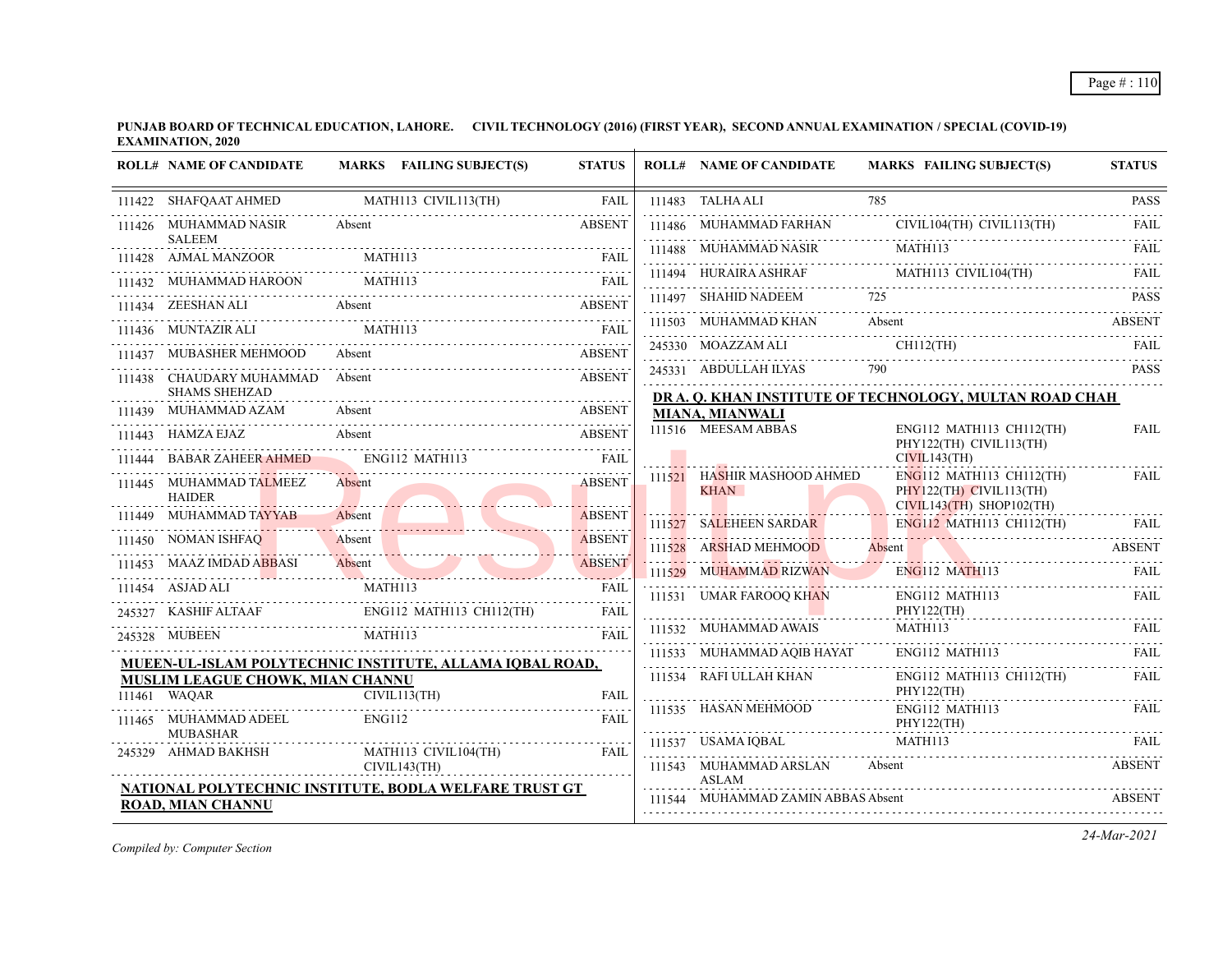|        | <b>ROLL# NAME OF CANDIDATE</b>                          | MARKS FAILING SUBJECT(S)                                                                                                                                                                                                                                                                                                                                                                                                                                                                                                                             | <b>STATUS</b>           | <b>ROLL# NAME OF CANDIDATE</b>                | <b>MARKS FAILING SUBJECT(S)</b>                                                                                                                                                                                                                                                                                                                                                                                                                                                                                      | <b>STATUS</b> |
|--------|---------------------------------------------------------|------------------------------------------------------------------------------------------------------------------------------------------------------------------------------------------------------------------------------------------------------------------------------------------------------------------------------------------------------------------------------------------------------------------------------------------------------------------------------------------------------------------------------------------------------|-------------------------|-----------------------------------------------|----------------------------------------------------------------------------------------------------------------------------------------------------------------------------------------------------------------------------------------------------------------------------------------------------------------------------------------------------------------------------------------------------------------------------------------------------------------------------------------------------------------------|---------------|
|        | 111422 SHAFQAAT AHMED                                   | MATH113 CIVIL113(TH)                                                                                                                                                                                                                                                                                                                                                                                                                                                                                                                                 | FAIL                    | 111483 TALHA ALI                              | 785                                                                                                                                                                                                                                                                                                                                                                                                                                                                                                                  | <b>PASS</b>   |
|        | 111426 MUHAMMAD NASIR                                   | Absent                                                                                                                                                                                                                                                                                                                                                                                                                                                                                                                                               | <b>ABSENT</b>           |                                               | 111486 MUHAMMAD FARHAN CIVIL104(TH) CIVIL113(TH)                                                                                                                                                                                                                                                                                                                                                                                                                                                                     | .<br>FAIL     |
|        | <b>SALEEM</b><br>111428 AJMAL MANZOOR                   | MATH113                                                                                                                                                                                                                                                                                                                                                                                                                                                                                                                                              | <b>FAIL</b>             |                                               | $111488 \quad \text{MUHAMMAD NASIR} \qquad \text{MATH113} \qquad \text{FAIL} \qquad \text{FAIL}$                                                                                                                                                                                                                                                                                                                                                                                                                     |               |
|        | 111432 MUHAMMAD HAROON                                  | MATH113<br>$\begin{tabular}{ll} MUHAMMAD HAROON & MATH113 & FAIL \\ \hline \end{tabular} \begin{tabular}{ll} \hline \end{tabular} \begin{tabular}{ll} \hline \end{tabular} \begin{tabular}{ll} \hline \end{tabular} \end{tabular} \begin{tabular}{ll} \hline \end{tabular} \begin{tabular}{ll} \hline \end{tabular} \begin{tabular}{ll} \hline \end{tabular} \end{tabular} \begin{tabular}{ll} \hline \end{tabular} \begin{tabular}{ll} \hline \end{tabular} \begin{tabular}{ll} \hline \end{tabular} \end{tabular} \begin{tabular}{ll} \hline \end$ |                         |                                               | $\begin{tabular}{c} 111494 & HURAIRA ASHRAF \\ \hline \end{tabular} \begin{tabular}{l} \hline \textbf{111494} & HURAIRA ASHRAF \\ \hline \end{tabular} \begin{tabular}{l} \hline \end{tabular} \begin{tabular}{l} \hline \end{tabular} \begin{tabular}{l} \hline \end{tabular} \begin{tabular}{l} \hline \end{tabular} \begin{tabular}{l} \hline \end{tabular} \end{tabular} \begin{tabular}{l} \hline \end{tabular} \begin{tabular}{l} \hline \end{tabular} \begin{tabular}{l} \hline \end{tabular} \begin{tabular$ |               |
|        |                                                         |                                                                                                                                                                                                                                                                                                                                                                                                                                                                                                                                                      |                         | 111497 SHAHID NADEEM 725                      |                                                                                                                                                                                                                                                                                                                                                                                                                                                                                                                      | <b>PASS</b>   |
|        | 111436 MUNTAZIR ALI MATH113                             |                                                                                                                                                                                                                                                                                                                                                                                                                                                                                                                                                      | FAIL                    |                                               | 111503 MUHAMMAD KHAN Absent ABSENT ABSENT                                                                                                                                                                                                                                                                                                                                                                                                                                                                            |               |
|        | MUBASHER MEHMOOD                                        | Absent                                                                                                                                                                                                                                                                                                                                                                                                                                                                                                                                               | <b>ABSENT</b>           | 245330 MOAZZAM ALI CH112(TH)                  |                                                                                                                                                                                                                                                                                                                                                                                                                                                                                                                      | FAIL          |
|        | 111438 CHAUDARY MUHAMMAD Absent                         |                                                                                                                                                                                                                                                                                                                                                                                                                                                                                                                                                      | <b>ABSENT</b>           |                                               | 245331 ABDULLAH ILYAS 790 PASS PASS 790                                                                                                                                                                                                                                                                                                                                                                                                                                                                              |               |
|        | <b>SHAMS SHEHZAD</b>                                    |                                                                                                                                                                                                                                                                                                                                                                                                                                                                                                                                                      |                         |                                               | DR A. Q. KHAN INSTITUTE OF TECHNOLOGY, MULTAN ROAD CHAH                                                                                                                                                                                                                                                                                                                                                                                                                                                              |               |
|        | 111443 HAMZA EJAZ                                       | 111439 MUHAMMAD AZAM Absent ABSENT ABSENT<br><b>Absent</b>                                                                                                                                                                                                                                                                                                                                                                                                                                                                                           | ABSENT<br><b>ABSENT</b> | <b>MIANA, MIANWALI</b><br>111516 MEESAM ABBAS | ENG112 MATH113 CH112(TH)                                                                                                                                                                                                                                                                                                                                                                                                                                                                                             | <b>FAIL</b>   |
| 111444 | <b>BABAR ZAHEER AHMED</b>                               | ENG112 MATH113                                                                                                                                                                                                                                                                                                                                                                                                                                                                                                                                       | FAII.                   |                                               | PHY122(TH) CIVIL113(TH)<br>CIVIL143(TH)                                                                                                                                                                                                                                                                                                                                                                                                                                                                              |               |
|        | 111445 MUHAMMAD TALMEEZ                                 | Absent                                                                                                                                                                                                                                                                                                                                                                                                                                                                                                                                               | <b>ABSENT</b>           | 111521 HASHIR MASHOOD AHMED                   | ENG112 MATH113 CH112(TH)                                                                                                                                                                                                                                                                                                                                                                                                                                                                                             | FAIL          |
|        | <b>HAIDER</b>                                           |                                                                                                                                                                                                                                                                                                                                                                                                                                                                                                                                                      |                         | <b>KHAN</b>                                   | PHY122(TH) CIVIL113(TH)<br>$CIVIL143(TH)$ SHOP102(TH)                                                                                                                                                                                                                                                                                                                                                                                                                                                                |               |
|        | 111449 MUHAMMAD TAYYAB                                  | Absent /                                                                                                                                                                                                                                                                                                                                                                                                                                                                                                                                             | <b>ABSENT</b>           | 111527 SALEHEEN SARDAR                        | ENG112 MATH113 CH112(TH)                                                                                                                                                                                                                                                                                                                                                                                                                                                                                             | <b>FAIL</b>   |
|        | 111450 NOMAN ISHFAQ                                     | 11450 NOMAN ISHFAQ Absent ABSENT                                                                                                                                                                                                                                                                                                                                                                                                                                                                                                                     | <b>ABSENT</b>           | 111528 ARSHAD MEHMOOD                         | Absent                                                                                                                                                                                                                                                                                                                                                                                                                                                                                                               | <b>ABSENT</b> |
|        | 111453 MAAZ IMDAD ABBASI                                | AZ IMDAD ABBASI Absent ABSENT                                                                                                                                                                                                                                                                                                                                                                                                                                                                                                                        |                         | 111529 MUHAMMAD RIZWAN                        | ENG112 MATH113                                                                                                                                                                                                                                                                                                                                                                                                                                                                                                       | FAII.         |
|        | 111454 ASJAD ALI                                        | MATH113                                                                                                                                                                                                                                                                                                                                                                                                                                                                                                                                              | FAII.                   | 111531 UMAR FAROOQ KHAN                       | ENG112 MATH113                                                                                                                                                                                                                                                                                                                                                                                                                                                                                                       | FAIL          |
|        |                                                         | 245327 KASHIF ALTAAF ENGI12 MATH113 CH112(TH) FAIL                                                                                                                                                                                                                                                                                                                                                                                                                                                                                                   |                         | 111532 MUHAMMAD AWAIS                         | PHY122(TH)<br>MATH113                                                                                                                                                                                                                                                                                                                                                                                                                                                                                                | FAIL          |
|        | 245328 MUBEEN                                           | MATH113                                                                                                                                                                                                                                                                                                                                                                                                                                                                                                                                              | FAIL                    |                                               | 111533 MUHAMMAD AOIB HAYAT ENG112 MATH113                                                                                                                                                                                                                                                                                                                                                                                                                                                                            | FAII.         |
|        |                                                         | MUEEN-UL-ISLAM POLYTECHNIC INSTITUTE, ALLAMA IQBAL ROAD,                                                                                                                                                                                                                                                                                                                                                                                                                                                                                             |                         | 111534 RAFI ULLAH KHAN                        | ENG112 MATH113 CH112(TH)                                                                                                                                                                                                                                                                                                                                                                                                                                                                                             | FAIL          |
|        | <b>MUSLIM LEAGUE CHOWK, MIAN CHANNU</b><br>111461 WAQAR | CIVIL113(TH)                                                                                                                                                                                                                                                                                                                                                                                                                                                                                                                                         | FAIL                    |                                               | PHY122(TH)                                                                                                                                                                                                                                                                                                                                                                                                                                                                                                           |               |
|        | 111465 MUHAMMAD ADEEL                                   | <b>ENG112</b>                                                                                                                                                                                                                                                                                                                                                                                                                                                                                                                                        | <b>FAIL</b>             | 111535 HASAN MEHMOOD                          | ENG112 MATH113<br>PHY122(TH)                                                                                                                                                                                                                                                                                                                                                                                                                                                                                         | FAIL          |
|        | <b>MUBASHAR</b><br>245329 AHMAD BAKHSH                  | MATH113 CIVIL104(TH)                                                                                                                                                                                                                                                                                                                                                                                                                                                                                                                                 | FAIL.                   | 111537 USAMA IQBAL                            | MATH113                                                                                                                                                                                                                                                                                                                                                                                                                                                                                                              | FAII.         |
|        | CIVIL143(TH)                                            |                                                                                                                                                                                                                                                                                                                                                                                                                                                                                                                                                      |                         | 111543 MUHAMMAD ARSLAN<br><b>ASLAM</b>        | Absent                                                                                                                                                                                                                                                                                                                                                                                                                                                                                                               | <b>ABSENT</b> |
|        | <b>ROAD, MIAN CHANNU</b>                                | <b>NATIONAL POLYTECHNIC INSTITUTE, BODLA WELFARE TRUST GT</b>                                                                                                                                                                                                                                                                                                                                                                                                                                                                                        |                         |                                               | 111544 MUHAMMAD ZAMIN ABBAS Absent ABSENT                                                                                                                                                                                                                                                                                                                                                                                                                                                                            |               |
|        |                                                         |                                                                                                                                                                                                                                                                                                                                                                                                                                                                                                                                                      |                         |                                               |                                                                                                                                                                                                                                                                                                                                                                                                                                                                                                                      |               |

*Compiled by: Computer Section*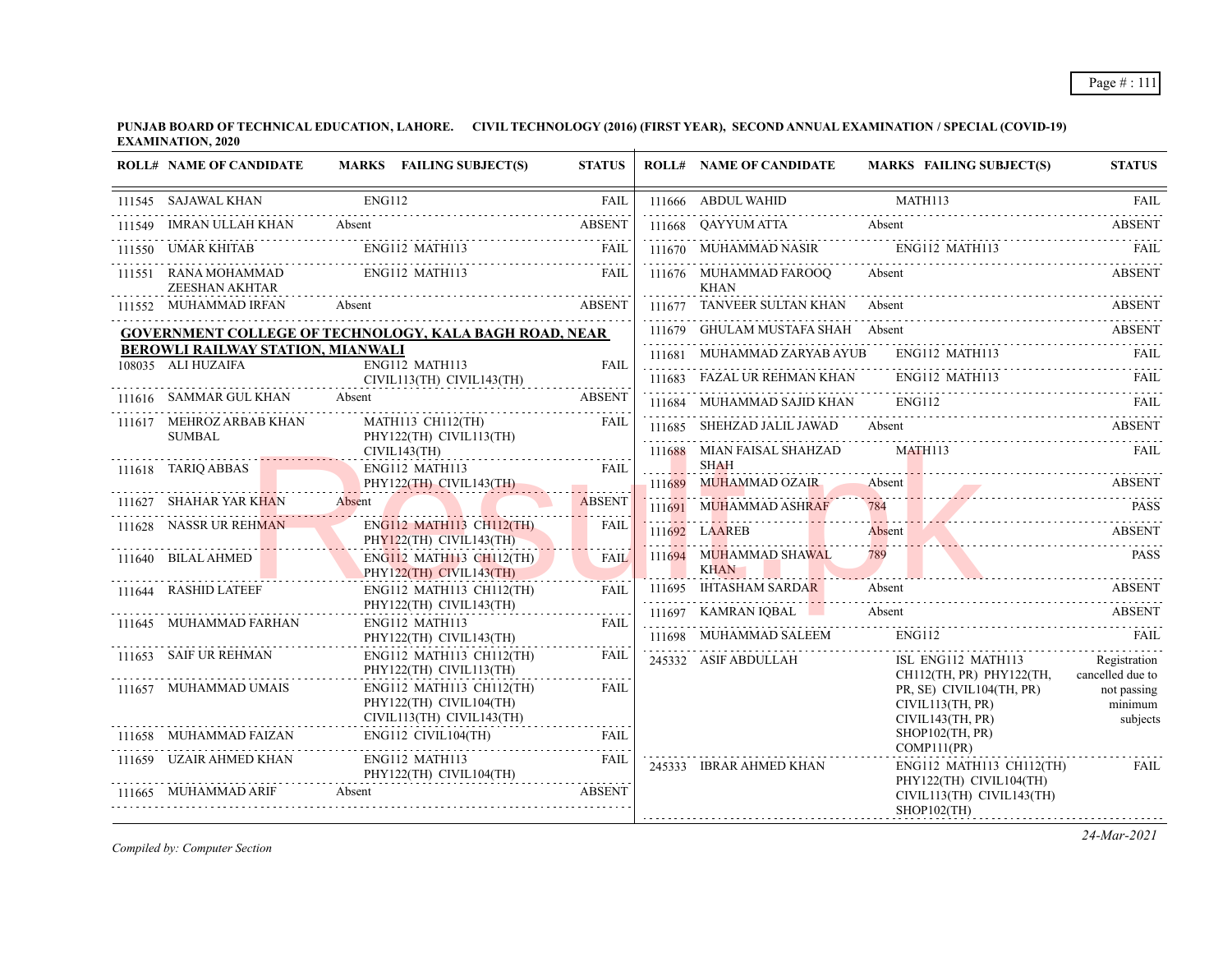**PUNJAB BOARD OF TECHNICAL EDUCATION, LAHORE. CIVIL TECHNOLOGY (2016) (FIRST YEAR), SECOND ANNUAL EXAMINATION / SPECIAL (COVID-19) EXAMINATION, 2020**

|        | <b>ROLL# NAME OF CANDIDATE</b>                          | MARKS FAILING SUBJECT(S)                                   | <b>STATUS</b> | <b>ROLL# NAME OF CANDIDATE</b>        | <b>MARKS FAILING SUBJECT(S)</b>                                                                                                                                                                                                       | <b>STATUS</b>                    |
|--------|---------------------------------------------------------|------------------------------------------------------------|---------------|---------------------------------------|---------------------------------------------------------------------------------------------------------------------------------------------------------------------------------------------------------------------------------------|----------------------------------|
|        | 111545 SAJAWAL KHAN                                     | <b>ENG112</b>                                              | <b>FAIL</b>   | 111666 ABDUL WAHID                    | MATH113                                                                                                                                                                                                                               | <b>FAIL</b>                      |
| 111549 | IMRAN ULLAH KHAN                                        | Absent                                                     | <b>ABSENT</b> | 111668 OAYYUM ATTA                    | Absent                                                                                                                                                                                                                                | <b>ABSENT</b>                    |
|        | UMAR KHITAB                                             | ENG112 MATH113                                             | FAIL          | 111670 MUHAMMAD NASIR ENG112 MATH113  |                                                                                                                                                                                                                                       | FAIL                             |
| 111551 | RANA MOHAMMAD<br>ZEESHAN AKHTAR                         | ENG112 MATH113                                             | <b>EAIL</b>   | 111676 MUHAMMAD FAROOQ<br>KHAN        | Absent                                                                                                                                                                                                                                | <b>ABSENT</b>                    |
|        | 111552 MUHAMMAD IRFAN                                   | <b>ABSENT</b><br>Absent                                    |               | 111677 TANVEER SULTAN KHAN Absent     |                                                                                                                                                                                                                                       | <b>ABSENT</b>                    |
|        |                                                         | GOVERNMENT COLLEGE OF TECHNOLOGY, KALA BAGH ROAD, NEAR     |               | 111679 GHULAM MUSTAFA SHAH Absent     |                                                                                                                                                                                                                                       | ABSENT                           |
|        | BEROWLI RAILWAY STATION, MIANWALI<br>108035 ALI HUZAIFA | ENG112 MATH113                                             | <b>FAIL</b>   | 111681 MUHAMMAD ZARYAB AYUB           | ENG112 MATH113                                                                                                                                                                                                                        | FAIL                             |
|        |                                                         | CIVIL113(TH) CIVIL143(TH)                                  |               | 111683 FAZAL UR REHMAN KHAN           | ENG112 MATH113                                                                                                                                                                                                                        | FAIL                             |
|        | 111616 SAMMAR GUL KHAN                                  | Absent                                                     | <b>ABSENT</b> | 111684 MUHAMMAD SAJID KHAN            | ENG112                                                                                                                                                                                                                                | - FAIL                           |
|        | 111617 MEHROZ ARBAB KHAN<br><b>SUMBAL</b>               | MATH113 CH112(TH)<br>PHY122(TH) CIVIL113(TH)               | FAIL          | 111685 SHEHZAD JALIL JAWAD            | Absent                                                                                                                                                                                                                                | ABSENT                           |
|        |                                                         | CIVIL143(TH)                                               |               | 111688 MIAN FAISAL SHAHZAD            | MATH113                                                                                                                                                                                                                               | <b>FAIL</b>                      |
|        | 111618 TARIQ ABBAS                                      | ENG112 MATH113<br>PHY122(TH) CIVIL143(TH)                  | FAII.         | <b>SHAH</b><br>111689 MUHAMMAD OZAIR  | Absent                                                                                                                                                                                                                                | <b>ABSENT</b>                    |
|        | 111627 SHAHAR YAR KHAN Absent                           |                                                            | <b>ABSENT</b> | 111691 MUHAMMAD ASHRAF                | 111082 MONTH MAND CENTRE ADSCRIPTION OF THE CONTRACTOR OF THE CONTRACTOR OF THE CONTRACTOR OF THE CONTRACTOR OF THE CONTRACTOR OF THE CONTRACTOR OF THE CONTRACTOR OF THE CONTRACTOR OF THE CONTRACTOR OF THE CONTRACTOR OF TH<br>784 | <b>PASS</b>                      |
|        | 111628 NASSR UR REHMAN                                  | <b>ENG112 MATH113 CH112(TH)</b><br>PHY122(TH) CIVIL143(TH) | <b>FAIL</b>   | 111692 LAAREB                         | Absent                                                                                                                                                                                                                                | <b>ABSENT</b>                    |
|        | 111640 BILAL AHMED                                      | <b>ENG112 MATH113 CH112(TH)</b><br>PHY122(TH) CIVIL143(TH) | <b>FAIL</b>   | 111694 MUHAMMAD SHAWAL<br><b>KHAN</b> | 789                                                                                                                                                                                                                                   | <b>PASS</b>                      |
|        | 111644 RASHID LATEEF                                    | $ENG112$ MATH113 CH112(TH)                                 | FAII.         | 111695 IHTASHAM SARDAR                | Absent                                                                                                                                                                                                                                | ABSENT                           |
|        | 111645 MUHAMMAD FARHAN                                  | PHY122(TH) CIVIL143(TH)<br>ENG112 MATH113                  | <b>FAIL</b>   | 111697 KAMRAN IQBAL                   | Absent                                                                                                                                                                                                                                | <b>ABSENT</b>                    |
|        |                                                         | PHY122(TH) CIVIL143(TH)                                    |               | 111698 MUHAMMAD SALEEM                | ENG112                                                                                                                                                                                                                                | <b>FAIL</b>                      |
|        | 111653 SAIF UR REHMAN                                   | ENG112 MATH113 CH112(TH)<br>PHY122(TH) CIVIL113(TH)        | FAIL          | 245332 ASIF ABDULLAH                  | ISL ENG112 MATH113<br>CH112(TH, PR) PHY122(TH,                                                                                                                                                                                        | Registration<br>cancelled due to |
|        | 111657 MUHAMMAD UMAIS                                   | ENG112 MATH113 CH112(TH)<br>PHY122(TH) CIVIL104(TH)        | <b>FAIL</b>   |                                       | PR, SE) CIVIL104(TH, PR)<br>CIVIL113(TH, PR)                                                                                                                                                                                          | not passing<br>minimum           |
|        | 111658 MUHAMMAD FAIZAN                                  | CIVIL113(TH) CIVIL143(TH)<br>ENG112 CIVIL104(TH)           | FAIL          |                                       | CIVIL143(TH, PR)<br>SHOP102(TH, PR)                                                                                                                                                                                                   | subjects                         |
|        | 111659 UZAIR AHMED KHAN                                 | ENG112 MATH113<br>PHY122(TH) CIVIL104(TH)                  | FAIL          | 245333 IBRAR AHMED KHAN               | COMP111(PR)<br>$ENG112$ MATH113 CH112(TH)                                                                                                                                                                                             | <b>FAIL</b>                      |
|        | 111665 MUHAMMAD ARIF                                    | Absent                                                     | <b>ABSENT</b> |                                       | PHY122(TH) CIVIL104(TH)<br>CIVIL113(TH) CIVIL143(TH)<br>$SHOP102$ (TH)                                                                                                                                                                |                                  |

*Compiled by: Computer Section*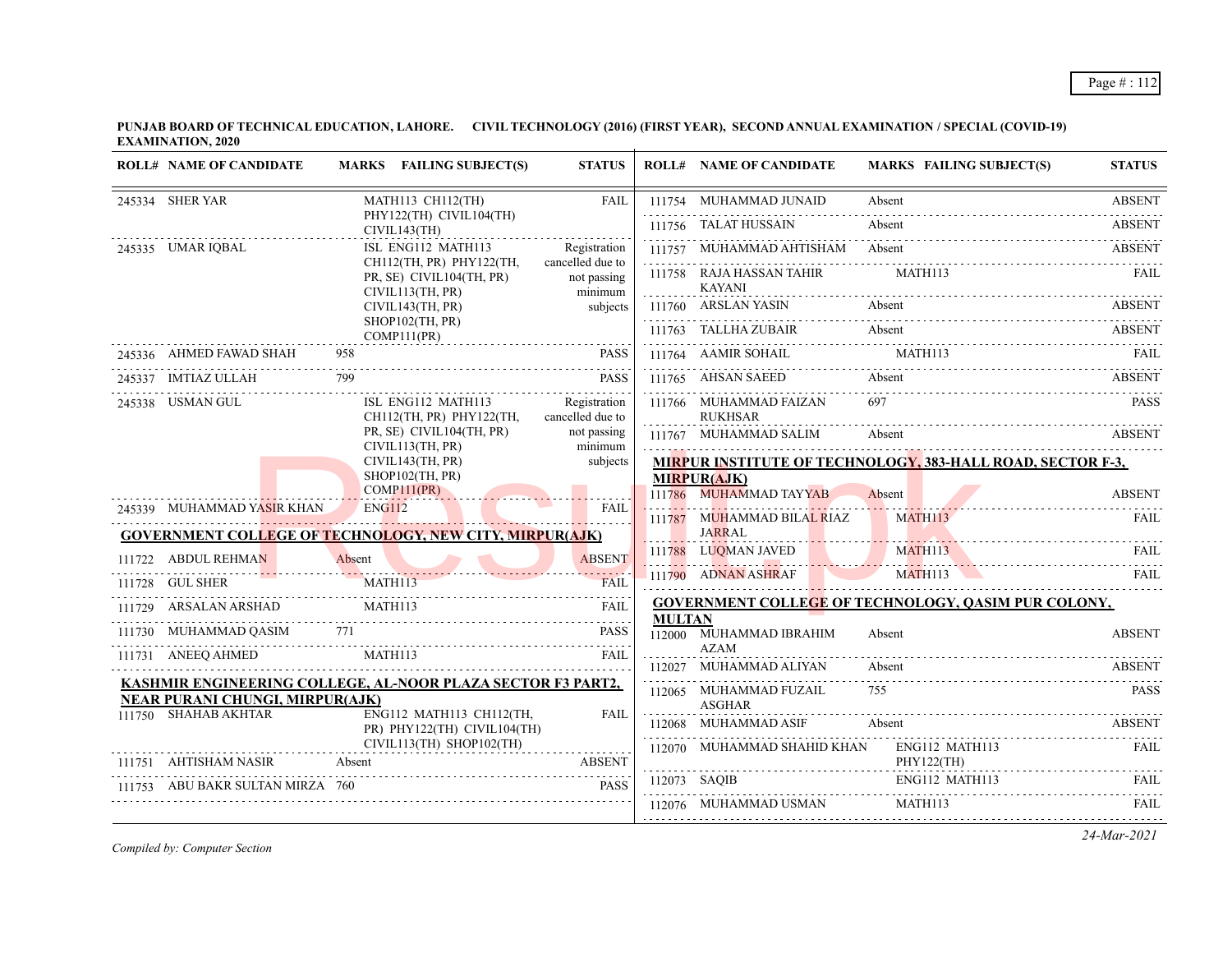**PUNJAB BOARD OF TECHNICAL EDUCATION, LAHORE. CIVIL TECHNOLOGY (2016) (FIRST YEAR), SECOND ANNUAL EXAMINATION / SPECIAL (COVID-19) EXAMINATION, 2020**  $\overline{+}$ 

| <b>ROLL# NAME OF CANDIDATE</b>                                 |               | MARKS FAILING SUBJECT(S)                                                 | <b>STATUS</b>                              |               | <b>ROLL# NAME OF CANDIDATE</b>              | <b>MARKS FAILING SUBJECT(S)</b>                            | <b>STATUS</b> |
|----------------------------------------------------------------|---------------|--------------------------------------------------------------------------|--------------------------------------------|---------------|---------------------------------------------|------------------------------------------------------------|---------------|
| 245334 SHER YAR                                                |               | MATH113 CH112(TH)                                                        | FAIL                                       |               | 111754 MUHAMMAD JUNAID                      | Absent                                                     | <b>ABSENT</b> |
|                                                                |               | PHY122(TH) CIVIL104(TH)<br>CIVIL143(TH)                                  |                                            |               | 111756 TALAT HUSSAIN                        | Absent                                                     | <b>ABSENT</b> |
| 245335 UMAR IQBAL                                              |               | ISL ENG112 MATH113                                                       | Registration                               |               | 111757 MUHAMMAD AHTISHAM Absent             |                                                            | <b>ABSENT</b> |
|                                                                |               | CH112(TH, PR) PHY122(TH,<br>PR, SE) CIVIL104(TH, PR)<br>CIVIL113(TH, PR) | cancelled due to<br>not passing<br>minimum |               | 111758 RAJA HASSAN TAHIR<br><b>KAYANI</b>   | MATH113                                                    | FAIL          |
|                                                                |               | CIVIL143(TH, PR)                                                         | subjects                                   |               | 111760 ARSLAN YASIN                         | Absent                                                     | ABSENT        |
|                                                                |               | SHOP102(TH, PR)<br>COMP111(PR)                                           |                                            |               | 111763 TALLHA ZUBAIR                        | Absent                                                     | <b>ABSENT</b> |
| 245336 AHMED FAWAD SHAH                                        | 958           |                                                                          | <b>PASS</b>                                |               | 111764 AAMIR SOHAIL                         | MATH113                                                    |               |
| 245337 IMTIAZ ULLAH                                            |               |                                                                          | <b>PASS</b>                                |               | 111765 AHSAN SAEED                          | Absent                                                     | <b>ABSENT</b> |
| 245338 USMAN GUL                                               |               | ISL ENG112 MATH113<br>CH112(TH, PR) PHY122(TH,                           | Registration<br>cancelled due to           |               | 111766 MUHAMMAD FAIZAN<br><b>RUKHSAR</b>    | 697                                                        | <b>PASS</b>   |
|                                                                |               | PR, SE) CIVIL104(TH, PR)<br>CIVIL113(TH, PR)                             | not passing<br>minimum                     |               | 111767 MUHAMMAD SALIM                       | Absent                                                     | <b>ABSENT</b> |
|                                                                |               | CIVIL143(TH, PR)<br>SHOP102(TH, PR)<br>COMP111(PR)                       | subjects                                   |               | <b>MIRPUR(AJK)</b>                          | MIRPUR INSTITUTE OF TECHNOLOGY, 383-HALL ROAD, SECTOR F-3, |               |
| 245339 MUHAMMAD YASIR KHAN                                     | <b>ENG112</b> |                                                                          | <b>FAIL</b>                                |               | 111786 MUHAMMAD TAYYAB                      | Absent                                                     | <b>ABSENT</b> |
| <b>GOVERNMENT COLLEGE OF TECHNOLOGY, NEW CITY, MIRPUR(AJK)</b> |               |                                                                          |                                            |               | 111787 MUHAMMAD BILAL RIAZ<br><b>JARRAL</b> | MATH113                                                    | FAIL.         |
| 111722 ABDUL REHMAN                                            | Absent        |                                                                          | <b>ABSENT</b>                              |               | 111788 LUOMAN JAVED                         | MATH113                                                    | FAIL          |
| 111728 GUL SHER                                                |               | MATH113                                                                  | FAIL                                       |               | 111790 ADNAN ASHRAF<br><b>CONTRACTOR</b>    | MATH113                                                    | FAIL          |
| 111729 ARSALAN ARSHAD                                          |               | MATH113                                                                  | <b>FAIL</b>                                |               |                                             | <b>GOVERNMENT COLLEGE OF TECHNOLOGY, QASIM PUR COLONY,</b> |               |
| 111730 MUHAMMAD QASIM 771                                      |               |                                                                          | <b>PASS</b>                                | <b>MULTAN</b> | 112000 MUHAMMAD IBRAHIM<br><b>AZAM</b>      | Absent                                                     | <b>ABSENT</b> |
| 111731 ANEEQ AHMED                                             |               | MATH113                                                                  | <b>FAIL</b>                                |               | 112027 MUHAMMAD ALIYAN                      | Absent                                                     | <b>ABSENT</b> |
| KASHMIR ENGINEERING COLLEGE, AL-NOOR PLAZA SECTOR F3 PART2,    |               |                                                                          |                                            |               | 112065 MUHAMMAD FUZAIL                      | 755                                                        | <b>PASS</b>   |
| <b>NEAR PURANI CHUNGI, MIRPUR(AJK)</b><br>111750 SHAHAB AKHTAR |               | ENG112 MATH113 CH112(TH,                                                 | FAIL                                       |               | <b>ASGHAR</b>                               |                                                            |               |
|                                                                |               | PR) PHY122(TH) CIVIL104(TH)                                              |                                            |               | 112068 MUHAMMAD ASIF                        | Absent                                                     | <b>ABSENT</b> |
| 111751 AHTISHAM NASIR                                          | Absent        | CIVIL113(TH) SHOP102(TH)                                                 | .<br><b>ABSENT</b>                         |               | 112070 MUHAMMAD SHAHID KHAN ENG112 MATH113  | PHY122(TH)                                                 | FAIL          |
| 111753 ABU BAKR SULTAN MIRZA 760                               |               |                                                                          | <b>PASS</b>                                |               | 112073 SAQIB                                | ENG112 MATH113                                             | FAIL.         |
|                                                                |               |                                                                          |                                            |               | 112076 MUHAMMAD USMAN                       | MATH113                                                    | FAII.         |
|                                                                |               |                                                                          |                                            |               |                                             |                                                            |               |

*Compiled by: Computer Section*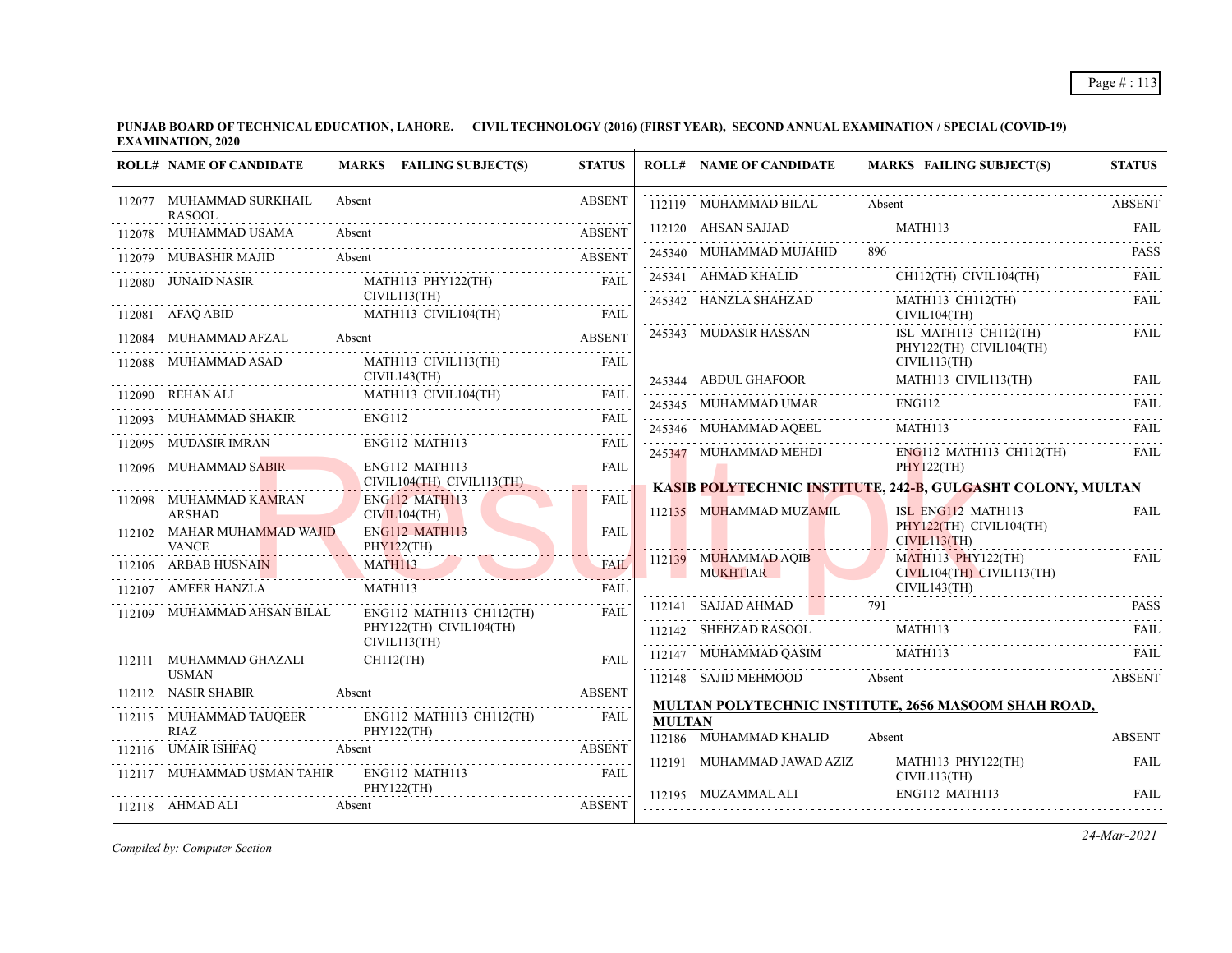**PUNJAB BOARD OF TECHNICAL EDUCATION, LAHORE. CIVIL TECHNOLOGY (2016) (FIRST YEAR), SECOND ANNUAL EXAMINATION / SPECIAL (COVID-19) EXAMINATION, 2020**

| <b>ROLL# NAME OF CANDIDATE</b>               | MARKS FAILING SUBJECT(S)                                                                                                                                                                                                                                                                                                                                                                                                                           | <b>STATUS</b>    |               | <b>ROLL# NAME OF CANDIDATE</b> | MARKS FAILING SUBJECT(S)                                                                                                                                   | <b>STATUS</b> |
|----------------------------------------------|----------------------------------------------------------------------------------------------------------------------------------------------------------------------------------------------------------------------------------------------------------------------------------------------------------------------------------------------------------------------------------------------------------------------------------------------------|------------------|---------------|--------------------------------|------------------------------------------------------------------------------------------------------------------------------------------------------------|---------------|
| 112077 MUHAMMAD SURKHAIL<br><b>RASOOL</b>    | Absent                                                                                                                                                                                                                                                                                                                                                                                                                                             | <b>ABSENT</b>    |               | 112119 MUHAMMAD BILAL Absent   |                                                                                                                                                            | <b>ABSENT</b> |
| .<br>112078 MUHAMMAD USAMA                   | MUHAMMAD USAMA Absent ABSENT                                                                                                                                                                                                                                                                                                                                                                                                                       |                  |               | 112120 AHSAN SAJJAD MATH113    |                                                                                                                                                            |               |
| 112079 MUBASHIR MAJID                        | Absent<br><b>ABSENT</b>                                                                                                                                                                                                                                                                                                                                                                                                                            |                  |               | 245340 MUHAMMAD MUJAHID 896    |                                                                                                                                                            | <b>PASS</b>   |
|                                              | 112080 JUNAID NASIR MATH113 PHY122(TH)                                                                                                                                                                                                                                                                                                                                                                                                             | <b>FAIL</b>      |               |                                | $245341 \quad \text{AHMAD KH} \quad \text{CH112(TH)} \quad \text{CIVIL104(TH)} \quad \text{FAIL}$                                                          |               |
| CIVIL113(TH)                                 | $\begin{tabular}{lllllllllll} \bf 112081 & AFAQ ABID & \tt MATH113 & CIVIL104(TH) & \tt FAIL \\ \hline \end{tabular}$                                                                                                                                                                                                                                                                                                                              |                  |               | 245342 HANZLA SHAHZAD          | MATH113 CH112(TH)<br>CIVIL104(TH)                                                                                                                          | <b>FAIL</b>   |
|                                              | 112084 MUHAMMAD AFZAL Absent ABSENT ABSENT                                                                                                                                                                                                                                                                                                                                                                                                         |                  |               | 245343 MUDASIR HASSAN          | ISL MATH113 CH112(TH)<br>PHY122(TH) CIVIL104(TH)                                                                                                           | <b>FAIL</b>   |
|                                              |                                                                                                                                                                                                                                                                                                                                                                                                                                                    |                  |               |                                | CIVIL113(TH)                                                                                                                                               |               |
|                                              |                                                                                                                                                                                                                                                                                                                                                                                                                                                    |                  |               | 245344 ABDUL GHAFOOR           | MATH113 CIVIL113(TH) FAIL<br><b>ENG112</b>                                                                                                                 |               |
|                                              |                                                                                                                                                                                                                                                                                                                                                                                                                                                    |                  |               |                                | 245345 MUHAMMAD UMAR ENGI12 FAIL FAIL                                                                                                                      |               |
|                                              | $\begin{tabular}{c c c c} \hline 112088 & MUHAMMAD ASAD & MATHI13 CVIL113(TH) & FAIL \\ & CIVIL143(TH) & MATH113 CIVIL104(TH) & FAIL \\ \hline \end{tabular} \hline \begin{tabular}{c} \multicolumn{2}{c c c} \multicolumn{2}{c c} \multicolumn{2}{c} \multicolumn{2}{c} \multicolumn{2}{c} \multicolumn{2}{c} \multicolumn{2}{c} \multicolumn{2}{c} \multicolumn{2}{c} \multicolumn{2}{c} \multicolumn{2}{c} \multicolumn{2}{c} \multicolumn{2}{$ |                  |               |                                | ${\bf 245346} \quad {\bf MUHAMMAD AQEEL} \qquad {\bf MATH113} \qquad {\bf FAIL} \qquad {\bf TAL}$<br>245347 MUHAMMAD MEHDI ENG112 MATH113 CH112(TH)        |               |
| 112096 MUHAMMAD SABIR                        | ENG112 MATH113                                                                                                                                                                                                                                                                                                                                                                                                                                     | <b>FAIL</b>      |               |                                | PHY122(TH)                                                                                                                                                 | FAIL          |
| 112098 MUHAMMAD KAMRAN                       | CIVIL104(TH) CIVIL113(TH)<br>ENG112 MATH113                                                                                                                                                                                                                                                                                                                                                                                                        | <b>FAIL</b>      |               |                                | KASIB POLYTECHNIC INSTITUTE, 242-B, GULGASHT COLONY, MULTAN                                                                                                |               |
| <b>ARSHAD</b><br>112102 MAHAR MUHAMMAD WAJID | CIVIL104(TH)<br>ENG112 MATH113                                                                                                                                                                                                                                                                                                                                                                                                                     | FAIL             |               | 112135 MUHAMMAD MUZAMIL        | ISL ENG112 MATH113<br>PHY122(TH) CIVIL104(TH)                                                                                                              | <b>FAIL</b>   |
| <b>VANCE</b>                                 | PHY122(TH)                                                                                                                                                                                                                                                                                                                                                                                                                                         | <b>FAIL</b>      |               | 112139 MUHAMMAD AQIB           | CIVIL113(TH)<br>$MATH113$ $PHY122(TH)$                                                                                                                     | <b>FAIL</b>   |
| 112107 AMEER HANZLA                          | 112106 ARBAB HUSNAIN MATH113<br>MATH113                                                                                                                                                                                                                                                                                                                                                                                                            | .<br><b>FAIL</b> |               | <b>MUKHTIAR</b>                | CIVIL104(TH) CIVIL113(TH)                                                                                                                                  |               |
| 112109 MUHAMMAD AHSAN BILAL                  | ENG112 MATH113 CH112(TH)                                                                                                                                                                                                                                                                                                                                                                                                                           | <b>FAIL</b>      |               |                                | CIVIL143(TH)<br>$112141$ SAJJAD AHMAD $791$ PASS                                                                                                           |               |
|                                              | PHY122(TH) CIVIL104(TH)<br>CIVIL113(TH)                                                                                                                                                                                                                                                                                                                                                                                                            |                  |               | 112142 SHEHZAD RASOOL MATH113  |                                                                                                                                                            | FAIL          |
| 112111 MUHAMMAD GHAZALI                      | $CH112$ (TH)                                                                                                                                                                                                                                                                                                                                                                                                                                       | FAII.            |               |                                | MATHI13<br>FAIL<br>112148 SAJID MEHMOOD Absent                                                                                                             |               |
| <b>USMAN</b>                                 |                                                                                                                                                                                                                                                                                                                                                                                                                                                    |                  |               |                                |                                                                                                                                                            |               |
| 112115 MUHAMMAD TAUQEER                      | 112112 NASIR SHABIR Absent ABSENT<br>ENG112 MATH113 CH112(TH)                                                                                                                                                                                                                                                                                                                                                                                      | FAIL             |               |                                | <b>MULTAN POLYTECHNIC INSTITUTE, 2656 MASOOM SHAH ROAD,</b>                                                                                                |               |
| RIAZ                                         | PHY122(TH)                                                                                                                                                                                                                                                                                                                                                                                                                                         |                  | <b>MULTAN</b> | 112186 MUHAMMAD KHALID         | Absent                                                                                                                                                     | <b>ABSENT</b> |
|                                              | 112116 UMAIR ISHFAQ Absent ABSENT ABSENT                                                                                                                                                                                                                                                                                                                                                                                                           |                  |               | 112191 MUHAMMAD JAWAD AZIZ     | MATH113 PHY122(TH)                                                                                                                                         | FAIL.         |
|                                              | 112117 MUHAMMAD USMAN TAHIR ENG112 MATH113 FAIL<br>PHY122(TH)                                                                                                                                                                                                                                                                                                                                                                                      |                  |               |                                | CIVIL113(TH)                                                                                                                                               |               |
| 112118 AHMAD ALI                             | Absent                                                                                                                                                                                                                                                                                                                                                                                                                                             | <b>ABSENT</b>    |               |                                | $\begin{tabular}{lllllllllll} \bf 112195 & MUZAMMAL ALI & \multicolumn{3}{l} {ENG112} \text{ MATH113} & \multicolumn{3}{l} {FAIL} \\ \hline \end{tabular}$ |               |

*Compiled by: Computer Section*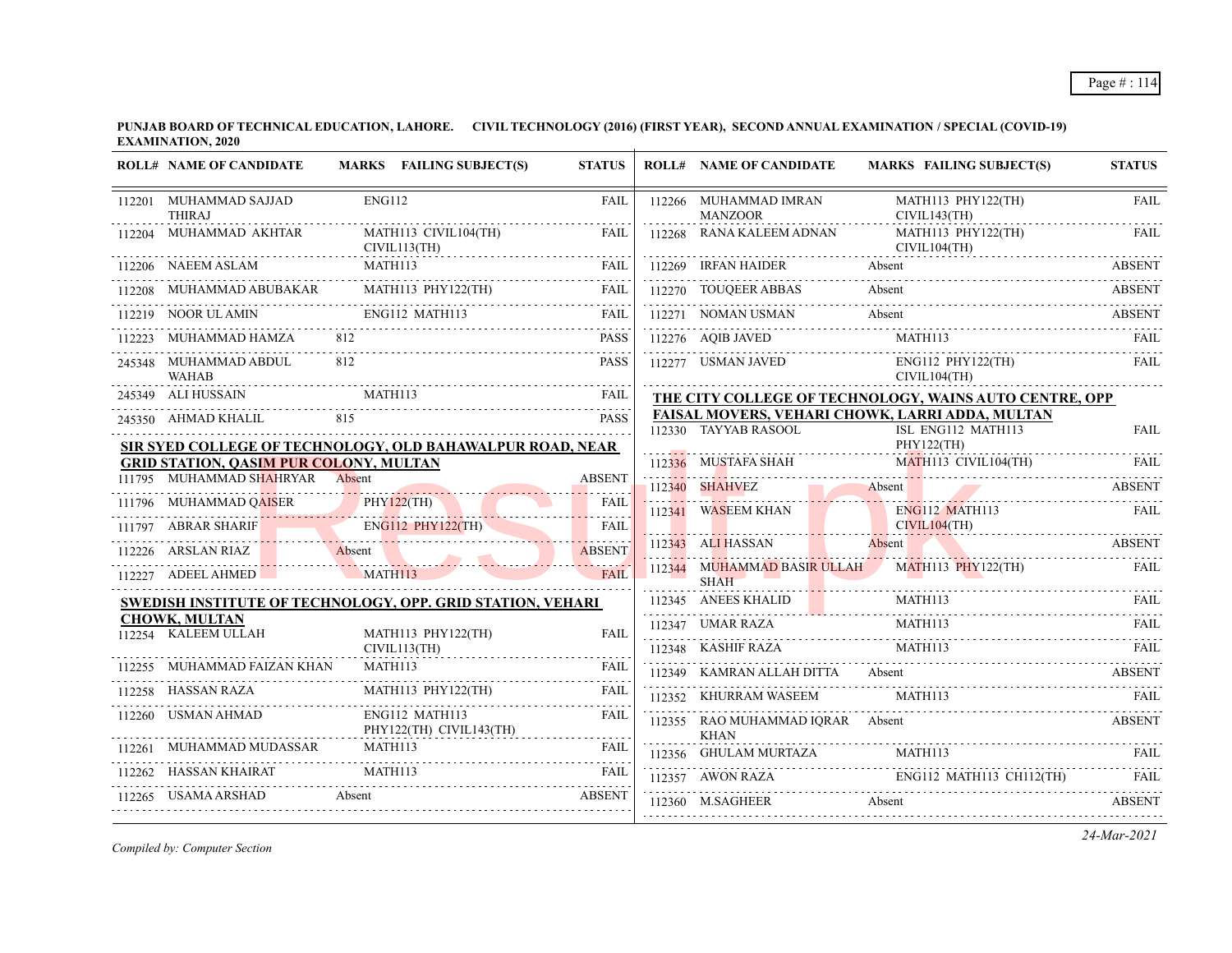| <b>ROLL# NAME OF CANDIDATE</b>                                                                                                                                                                                                                                                                                                                                                                                                    |         | MARKS FAILING SUBJECT(S)                  | <b>STATUS</b> | <b>ROLL# NAME OF CANDIDATE</b>                                          |   |         | <b>MARKS FAILING SUBJECT(S)</b>                                                                                                        | <b>STATUS</b> |
|-----------------------------------------------------------------------------------------------------------------------------------------------------------------------------------------------------------------------------------------------------------------------------------------------------------------------------------------------------------------------------------------------------------------------------------|---------|-------------------------------------------|---------------|-------------------------------------------------------------------------|---|---------|----------------------------------------------------------------------------------------------------------------------------------------|---------------|
| 112201 MUHAMMAD SAJJAD<br><b>THIRAJ</b>                                                                                                                                                                                                                                                                                                                                                                                           | ENG112  |                                           | FAIL          | 112266 MUHAMMAD IMRAN<br><b>MANZOOR</b>                                 | . |         | MATH113 PHY122(TH)<br>CIVIL143(TH)                                                                                                     | <b>FAIL</b>   |
| 112204 MUHAMMAD AKHTAR                                                                                                                                                                                                                                                                                                                                                                                                            |         | MATH113 CIVIL104(TH)<br>CIVIL113(TH)      | FAIL          | 112268 RANA KALEEM ADNAN                                                |   |         | MATH113 PHY122(TH)<br>CIVIL104(TH)                                                                                                     | <b>FAIL</b>   |
| 112206 NAEEM ASLAM                                                                                                                                                                                                                                                                                                                                                                                                                | MATH113 | EEM ASLAM MATHI13 FAIL                    |               | 112269 IRFAN HAIDER                                                     |   | Absent  | 112269 IRFAN HAIDER Absent ABSENT                                                                                                      | <b>ABSENT</b> |
| $112208 \quad \text{MUHAMMAD ABUBAKAR} \qquad \qquad \text{MATH113 PHY122(TH)} \qquad \qquad \text{FAIL} \qquad \qquad \text{FAIL}$                                                                                                                                                                                                                                                                                               |         |                                           |               |                                                                         |   |         | 112270 TOUQEER ABBAS Absent ABSENT                                                                                                     |               |
| 112219 NOOR ULAMIN ENGI12 MATH113 FAIL                                                                                                                                                                                                                                                                                                                                                                                            |         |                                           |               |                                                                         |   |         |                                                                                                                                        |               |
| 112223 MUHAMMAD HAMZA 812                                                                                                                                                                                                                                                                                                                                                                                                         |         |                                           | PASS          |                                                                         |   |         |                                                                                                                                        |               |
| 245348 MUHAMMAD ABDUL<br><b>WAHAB</b>                                                                                                                                                                                                                                                                                                                                                                                             | 812     |                                           | <b>PASS</b>   |                                                                         |   |         | 112277 USMAN JAVED ENG112 PHY122(TH)<br>CIVIL104(TH)                                                                                   | FAII.         |
| WAHAB<br>245349 ALI HUSSAIN MATH113 FAIL<br>2000 MATH113                                                                                                                                                                                                                                                                                                                                                                          |         |                                           |               |                                                                         |   |         | THE CITY COLLEGE OF TECHNOLOGY, WAINS AUTO CENTRE, OPP                                                                                 |               |
| 245350 AHMAD KHALIL 815                                                                                                                                                                                                                                                                                                                                                                                                           |         |                                           | <b>PASS</b>   | FAISAL MOVERS, VEHARI CHOWK, LARRI ADDA, MULTAN<br>112330 TAYYAB RASOOL |   |         | ISL ENG112 MATH113                                                                                                                     | <b>FAIL</b>   |
| SIR SYED COLLEGE OF TECHNOLOGY, OLD BAHAWALPUR ROAD, NEAR                                                                                                                                                                                                                                                                                                                                                                         |         |                                           |               |                                                                         |   |         | 112330 TAYYAB RASOOL ISL ENG112 MATH113 FAIL<br>PHY122(TH) PHY122(TH) PHY122(TH) FAIL<br>112336 MUSTAFA SHAH MATH113 CIVIL104(TH) FAIL |               |
| <b>GRID STATION, QASIM PUR COLONY, MULTAN</b>                                                                                                                                                                                                                                                                                                                                                                                     |         |                                           |               |                                                                         |   |         |                                                                                                                                        |               |
| 111795 MUHAMMAD SHAHRYAR Absent                                                                                                                                                                                                                                                                                                                                                                                                   |         |                                           | <b>ABSENT</b> |                                                                         |   |         | 112340 SHAHVEZ Absent ABSENT                                                                                                           |               |
| 111795 MUHAMMAD SHAHRYAR Absent ABSENT ABSENT 111796 MUHAMMAD QAISER PHY122(TH) FAIL FAIL THE RESERVE ARE RESERVED ASSETT A LITTER AND RESERVED ASSETT A LITTER OF THE RESERVED OF THE RESERVED OF THE RESERVED OF THE RESERVE                                                                                                                                                                                                    |         |                                           |               |                                                                         |   |         |                                                                                                                                        |               |
|                                                                                                                                                                                                                                                                                                                                                                                                                                   |         |                                           |               |                                                                         |   |         | 112341 WASEEM KHAN ENGL12 MATH113 FAIL                                                                                                 |               |
| 112226 ARSLAN RIAZ Absent ABSENT                                                                                                                                                                                                                                                                                                                                                                                                  |         |                                           |               | 112343 ALI HASSAN Absent                                                |   |         |                                                                                                                                        | <b>ABSENT</b> |
| 112227 ADEEL AHMED MATH113                                                                                                                                                                                                                                                                                                                                                                                                        |         |                                           | <b>FAIL</b>   | <b>SHAH</b>                                                             |   |         | 112344 MUHAMMAD BASIR ULLAH MATH113 PHY122(TH)                                                                                         | <b>FAIL</b>   |
| <b>SWEDISH INSTITUTE OF TECHNOLOGY, OPP. GRID STATION, VEHARI</b>                                                                                                                                                                                                                                                                                                                                                                 |         |                                           |               |                                                                         |   | MATH113 | 112345 ANEES KHALID MATHI13 FAIL RATE                                                                                                  |               |
| <b>CHOWK, MULTAN</b><br>112254 KALEEM ULLAH                                                                                                                                                                                                                                                                                                                                                                                       |         | MATH113 PHY122(TH)                        | FAIL          |                                                                         |   |         | $\begin{array}{c}\n 112347 \quad \text{UMAR RAZA} \\  \text{MATH113}\n \end{array}$                                                    |               |
|                                                                                                                                                                                                                                                                                                                                                                                                                                   |         | CIVIL113(TH)                              |               |                                                                         |   |         | $\begin{tabular}{c} \bf 112348 & KASHIF RAZA & \textbf{MATH113} & \textbf{FAIL} \\ \hline \end{tabular}$                               |               |
| 112255 MUHAMMAD FAIZAN KHAN                                                                                                                                                                                                                                                                                                                                                                                                       |         | MATH113                                   | <b>FAIL</b>   |                                                                         |   |         | 112349 KAMRAN ALLAH DITTA Absent ABSENT ABSENT                                                                                         |               |
| 112258 HASSAN RAZA                                                                                                                                                                                                                                                                                                                                                                                                                |         | MATH113 PHY122(TH)                        | <b>FAIL</b>   |                                                                         |   |         |                                                                                                                                        |               |
| 112260 USMAN AHMAD                                                                                                                                                                                                                                                                                                                                                                                                                |         | ENG112 MATH113<br>PHY122(TH) CIVIL143(TH) | <b>FAIL</b>   | 112355 RAO MUHAMMAD IQRAR Absent<br><b>KHAN</b>                         |   |         | ABSENT                                                                                                                                 |               |
|                                                                                                                                                                                                                                                                                                                                                                                                                                   |         |                                           |               |                                                                         |   |         | $112356 \quad \text{GHULAM MURTAZA} \qquad \text{MATH113} \qquad \text{FAIL}$                                                          |               |
| $\begin{tabular}{lllllll} \multicolumn{2}{c}{\textbf{MAIH113}} & \multicolumn{2}{c}{\textbf{FAIL}}\\ \multicolumn{2}{c}{\textbf{112262}} & \textbf{HASSAN KHAIRAT} & \textbf{MATH113} & \textbf{FAIL}\\ \multicolumn{2}{c}{\textbf{112262}} & \textbf{HASSAN KHAIRAT} & \textbf{MATH113} & \textbf{AAIH113} & \textbf{FAIL}\\ \multicolumn{2}{c}{\textbf{112262}} & \textbf{HASSAN KHAIRAT} & \textbf{MATH113} & \textbf{AAIH113$ |         |                                           |               |                                                                         |   |         | $\text{ING112 MATH113 CH112(TH)} \quad \text{FAIL} \quad \text{FAIL}$                                                                  |               |
| 112265 USAMA ARSHAD Absent                                                                                                                                                                                                                                                                                                                                                                                                        |         | SHAD Absent ABSENT                        |               | 112360 M.SAGHEER Absent                                                 |   |         | <b>ABSENT</b>                                                                                                                          |               |
|                                                                                                                                                                                                                                                                                                                                                                                                                                   |         |                                           |               |                                                                         |   |         |                                                                                                                                        |               |

*Compiled by: Computer Section*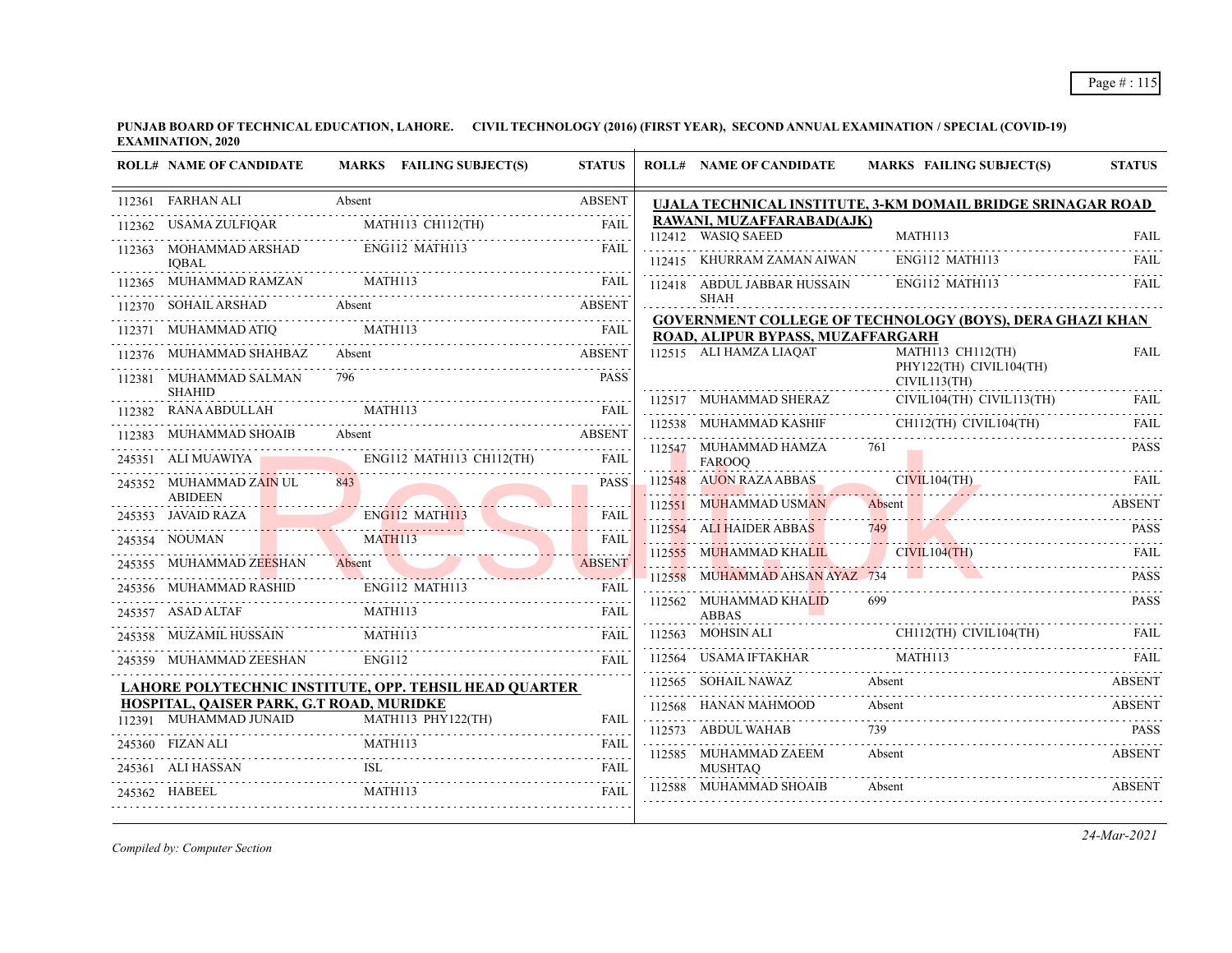|        | <b>ROLL# NAME OF CANDIDATE</b>                                                              | MARKS FAILING SUBJECT(S)                                      | <b>STATUS</b>                                                | <b>ROLL# NAME OF CANDIDATE</b>                  | <b>MARKS FAILING SUBJECT(S)</b>                                                                                                                                        | <b>STATUS</b> |
|--------|---------------------------------------------------------------------------------------------|---------------------------------------------------------------|--------------------------------------------------------------|-------------------------------------------------|------------------------------------------------------------------------------------------------------------------------------------------------------------------------|---------------|
|        | 112361 FARHAN ALI                                                                           | Absent                                                        | <b>ABSENT</b>                                                |                                                 | UJALA TECHNICAL INSTITUTE, 3-KM DOMAIL BRIDGE SRINAGAR ROAD                                                                                                            |               |
| 112362 | USAMA ZULFIQAR                                                                              | MATH113 CH112(TH)                                             | <b>FAIL</b>                                                  | RAWANI, MUZAFFARABAD(AJK)<br>112412 WASIQ SAEED | MATH113                                                                                                                                                                | <b>FAIL</b>   |
|        | 112363 MOHAMMAD ARSHAD<br><b>IOBAL</b>                                                      | ENG112 MATH113                                                | FAIL                                                         | 112415 KHURRAM ZAMAN AIWAN                      | ENG112 MATH113                                                                                                                                                         | FAIL          |
|        | 112365 MUHAMMAD RAMZAN                                                                      | MATH113                                                       | FAIL                                                         | 112418 ABDUL JABBAR HUSSAIN                     | ENG112 MATH113                                                                                                                                                         | <b>FAIL</b>   |
|        | 112370 SOHAIL ARSHAD                                                                        | Absent                                                        | <b>ABSENT</b>                                                | <b>SHAH</b>                                     |                                                                                                                                                                        |               |
|        | 112371 MUHAMMAD ATIQ                                                                        | MATH113                                                       | FAIL                                                         | ROAD, ALIPUR BYPASS, MUZAFFARGARH               | <b>GOVERNMENT COLLEGE OF TECHNOLOGY (BOYS), DERA GHAZI KHAN</b>                                                                                                        |               |
|        | 112376 MUHAMMAD SHAHBAZ                                                                     | Absent                                                        | <b>ABSENT</b>                                                | 112515 ALI HAMZA LIAQAT                         | MATH113 CH112(TH)<br>PHY122(TH) CIVIL104(TH)                                                                                                                           | <b>FAIL</b>   |
| 112381 | MUHAMMAD SALMAN<br><b>SHAHID</b>                                                            | 796                                                           | <b>PASS</b>                                                  |                                                 | CIVIL113(TH)                                                                                                                                                           |               |
| 112382 | RANA ABDULLAH                                                                               | MATH113                                                       | <b>FAIL</b>                                                  |                                                 | CIVIL104(TH) CIVIL113(TH)<br>$112517 \quad \text{MUHAMMAD SHERAZ} \quad \quad \quad \text{CIVIL104(TH)} \quad \quad \text{CIVIL113(TH)} \quad \quad \quad \text{FAIL}$ |               |
|        | 112383 MUHAMMAD SHOAIB                                                                      | Absent<br>AMMAD SHOAIB Absent ABSENT                          |                                                              | 112538 MUHAMMAD KASHIF                          | CH112(TH) CIVIL104(TH)                                                                                                                                                 | FAIL          |
|        | 245351 ALI MUAWIYA                                                                          | ENG112 MATH113 CH112(TH)                                      | FAIL                                                         | 112547 MUHAMMAD HAMZA<br><b>FAROOO</b>          | 761                                                                                                                                                                    | <b>PASS</b>   |
|        | 245352 MUHAMMAD ZAIN UL                                                                     | 843                                                           | <b>PASS</b>                                                  | 112548 AUON RAZA ABBAS                          | CIVIL104(TH)<br><u> 1999 - John Alemander, martin a</u>                                                                                                                | -FAIL         |
|        | <b>ABIDEEN</b><br>245353 JAVAID RAZA<br><b>Contract Contract Contract Contract Contract</b> | ENG112 MATH113                                                | <b>FAIL</b>                                                  | 112551 MUHAMMAD USMAN                           | Absent                                                                                                                                                                 | ABSENT        |
|        | 245354 NOUMAN                                                                               | $15354$ NOUMAN MATHI13                                        | .<br><b>FAIL</b>                                             | 112554 ALI HAIDER ABBAS                         | 749                                                                                                                                                                    | <b>PASS</b>   |
|        | 245355 MUHAMMAD ZEESHAN                                                                     | Absent                                                        | <b>ABSENT</b>                                                | 112555 MUHAMMAD KHALIL                          | CIVIL104(TH)<br><u> 2000 : 1000 : 2000 : 2000 : 2000 : 2000 : 2000 : 2000 : 2000 : 2000 : 2000 : 2000 : 2000 : 2000 : 2000 : 200</u>                                   | <b>FAIL</b>   |
|        | 245356 MUHAMMAD RASHID                                                                      | ENG112 MATH113                                                |                                                              | 112558 MUHAMMAD AHSAN AYAZ 734                  | a sa ta                                                                                                                                                                | <b>PASS</b>   |
|        | 245357 ASAD ALTAF                                                                           | MATH113                                                       | <b>FAIL</b><br><b>FAIL</b>                                   | 112562 MUHAMMAD KHALID<br><b>ABBAS</b>          | 699                                                                                                                                                                    | PASS          |
|        | 245358 MUZAMIL HUSSAIN                                                                      | MATH113                                                       | FAII.                                                        | 112563 MOHSIN ALI                               | CH112(TH) CIVIL104(TH)                                                                                                                                                 | FAII.         |
|        | 245359 MUHAMMAD ZEESHAN                                                                     | <b>ENG112</b>                                                 | FAII.                                                        | 112564 USAMA IFTAKHAR                           | MATH113                                                                                                                                                                | -FAIL         |
|        |                                                                                             | <b>LAHORE POLYTECHNIC INSTITUTE, OPP. TEHSIL HEAD OUARTER</b> |                                                              | 112565 SOHAIL NAWAZ                             | Absent                                                                                                                                                                 | ABSENT        |
|        | HOSPITAL, QAISER PARK, G.T ROAD, MURIDKE                                                    |                                                               |                                                              | 112568 HANAN MAHMOOD                            | Absent                                                                                                                                                                 | <b>ABSENT</b> |
|        | 112391 MUHAMMAD JUNAID                                                                      | MATH113 PHY122(TH)                                            | <b>FAIL</b>                                                  | 112573 ABDUL WAHAB                              |                                                                                                                                                                        | <b>PASS</b>   |
|        | 245360 FIZAN ALI                                                                            | <b>MATH113</b>                                                | FAIL<br>.                                                    | 112585 MUHAMMAD ZAEEM                           | Absent                                                                                                                                                                 | <b>ABSENT</b> |
|        | 245361 ALI HASSAN                                                                           | <b>ISL</b>                                                    | <b>FAIL</b><br>$\mathbb{Z}^2$ . In the set of $\mathbb{Z}^2$ | <b>MUSHTAO</b><br>112588 MUHAMMAD SHOAIB        |                                                                                                                                                                        |               |
|        | 245362 HABEEL                                                                               | MATH113                                                       | FAIL                                                         |                                                 | Absent                                                                                                                                                                 | <b>ABSENT</b> |
|        |                                                                                             |                                                               |                                                              |                                                 |                                                                                                                                                                        |               |

*Compiled by: Computer Section*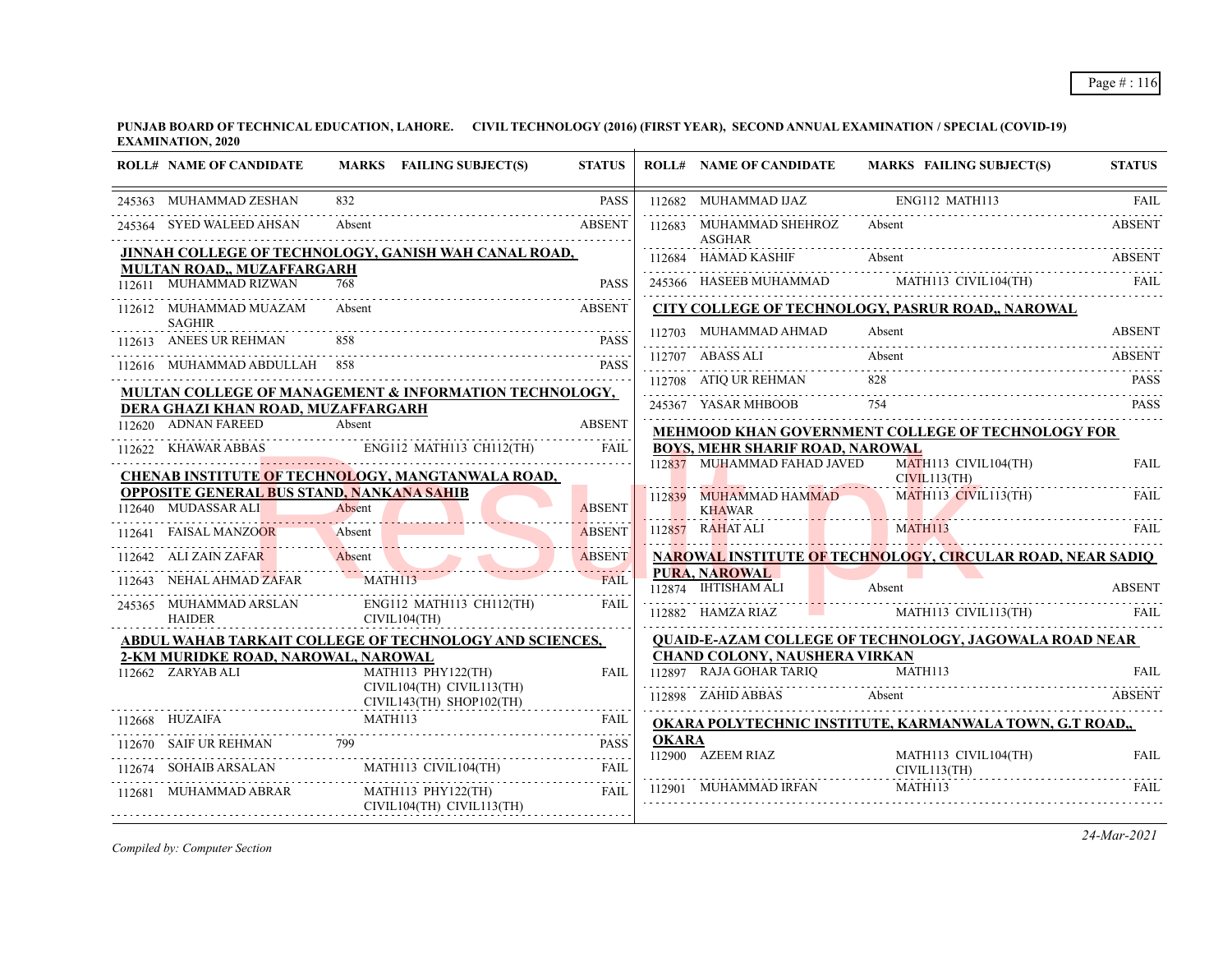**PUNJAB BOARD OF TECHNICAL EDUCATION, LAHORE. CIVIL TECHNOLOGY (2016) (FIRST YEAR), SECOND ANNUAL EXAMINATION / SPECIAL (COVID-19) EXAMINATION, 2020**

| ENG112 MATH113<br>832<br><b>PASS</b><br>245363 MUHAMMAD ZESHAN<br>112682 MUHAMMAD IJAZ<br>245364 SYED WALEED AHSAN<br><b>ABSENT</b><br>112683 MUHAMMAD SHEHROZ<br>Absent<br>Absent<br>ASGHAR<br><u>JINNAH COLLEGE OF TECHNOLOGY, GANISH WAH CANAL ROAD, </u><br>112684 HAMAD KASHIF<br>Absent<br>245366 HASEEB MUHAMMAD MATHI13 CIVIL104(TH) FAIL<br>MULTAN ROAD., MUZAFFARGARH<br>112611 MUHAMMAD RIZWAN<br>768<br><b>PASS</b><br>CITY COLLEGE OF TECHNOLOGY, PASRUR ROAD,, NAROWAL<br>Absent<br><b>ABSENT</b><br>112612 MUHAMMAD MUAZAM<br><b>SAGHIR</b><br>112703 MUHAMMAD AHMAD<br>Absent | <b>FAIL</b><br><b>ABSENT</b><br><b>ABSENT</b><br><b>ABSENT</b> |
|-----------------------------------------------------------------------------------------------------------------------------------------------------------------------------------------------------------------------------------------------------------------------------------------------------------------------------------------------------------------------------------------------------------------------------------------------------------------------------------------------------------------------------------------------------------------------------------------------|----------------------------------------------------------------|
|                                                                                                                                                                                                                                                                                                                                                                                                                                                                                                                                                                                               |                                                                |
|                                                                                                                                                                                                                                                                                                                                                                                                                                                                                                                                                                                               |                                                                |
|                                                                                                                                                                                                                                                                                                                                                                                                                                                                                                                                                                                               |                                                                |
|                                                                                                                                                                                                                                                                                                                                                                                                                                                                                                                                                                                               |                                                                |
|                                                                                                                                                                                                                                                                                                                                                                                                                                                                                                                                                                                               |                                                                |
|                                                                                                                                                                                                                                                                                                                                                                                                                                                                                                                                                                                               |                                                                |
| 112613 ANEES UR REHMAN<br><b>PASS</b>                                                                                                                                                                                                                                                                                                                                                                                                                                                                                                                                                         |                                                                |
| 112707 ABASS ALI<br>Absent<br>112616 MUHAMMAD ABDULLAH 858<br><b>PASS</b>                                                                                                                                                                                                                                                                                                                                                                                                                                                                                                                     | <b>ABSENT</b>                                                  |
| 112708 ATIQ UR REHMAN<br>828                                                                                                                                                                                                                                                                                                                                                                                                                                                                                                                                                                  | <b>PASS</b>                                                    |
| <b>MULTAN COLLEGE OF MANAGEMENT &amp; INFORMATION TECHNOLOGY,</b><br>245367 YASAR MHBOOB<br>754<br>DERA GHAZI KHAN ROAD, MUZAFFARGARH                                                                                                                                                                                                                                                                                                                                                                                                                                                         | <b>PASS</b>                                                    |
| 112620 ADNAN FAREED<br>Absent<br><b>ABSENT</b><br>MEHMOOD KHAN GOVERNMENT COLLEGE OF TECHNOLOGY FOR                                                                                                                                                                                                                                                                                                                                                                                                                                                                                           |                                                                |
| ENG112 MATH113 CH112(TH) FAIL<br><b>BOYS, MEHR SHARIF ROAD, NAROWAL</b><br>112622 KHAWAR ABBAS<br>112622 KHAWAR ABBAS ENG112 MATH113 CH112(TH) FAIL                                                                                                                                                                                                                                                                                                                                                                                                                                           |                                                                |
| 112837 MUHAMMAD FAHAD JAVED<br>MATH113 CIVIL104(TH)<br>CHENAB INSTITUTE OF TECHNOLOGY, MANGTANWALA ROAD,<br>CIVIL113(TH)                                                                                                                                                                                                                                                                                                                                                                                                                                                                      | <b>FAIL</b>                                                    |
| <b>OPPOSITE GENERAL BUS STAND, NANKANA SAHIB</b><br>MATH113 CIVIL113(TH)<br>112839 MUHAMMAD HAMMAD                                                                                                                                                                                                                                                                                                                                                                                                                                                                                            | FAIL                                                           |
| Absent<br>112640 MUDASSAR ALI<br><b>ABSENT</b><br><b>KHAWAR</b>                                                                                                                                                                                                                                                                                                                                                                                                                                                                                                                               |                                                                |
| MATH113<br>112857 RAHAT ALI<br><b>Contract Contract Contract</b><br>112641 FAISAL MANZOOR<br>Absent<br><b>ABSENT</b>                                                                                                                                                                                                                                                                                                                                                                                                                                                                          | FAII.                                                          |
| 112642 ALI ZAIN ZAFAR<br>Absent<br><b>ABSENT</b><br><b>NAROWAL INSTITUTE OF TECHNOLOGY, CIRCULAR ROAD, NEAR SADIO</b>                                                                                                                                                                                                                                                                                                                                                                                                                                                                         |                                                                |
| .<br><b>PURA, NAROWAL</b><br>112643 NEHAL AHMAD ZAFAR<br>MATH113<br><b>FAIL</b><br>and the con-<br>112874 IHTISHAM ALI<br>Absent                                                                                                                                                                                                                                                                                                                                                                                                                                                              | <b>ABSENT</b>                                                  |
| ENG112 MATH113 CH112(TH)<br>245365 MUHAMMAD ARSLAN<br>FAIL<br>112882 HAMZA RIAZ MATH113 CIVIL113(TH)<br><b>HAIDER</b><br>CIVIL104(TH)                                                                                                                                                                                                                                                                                                                                                                                                                                                         | FAIL                                                           |
| <b>QUAID-E-AZAM COLLEGE OF TECHNOLOGY, JAGOWALA ROAD NEAR</b><br><b>ABDUL WAHAB TARKAIT COLLEGE OF TECHNOLOGY AND SCIENCES,</b>                                                                                                                                                                                                                                                                                                                                                                                                                                                               |                                                                |
| 2-KM MURIDKE ROAD, NAROWAL, NAROWAL<br>CHAND COLONY, NAUSHERA VIRKAN                                                                                                                                                                                                                                                                                                                                                                                                                                                                                                                          |                                                                |
| 112897 RAJA GOHAR TARIQ<br>MATH113<br>112662 ZARYAB ALI<br>MATH113 PHY122(TH)<br><b>FAIL</b><br>CIVIL104(TH) CIVIL113(TH)<br>112898 ZAHID ABBAS<br>Absent                                                                                                                                                                                                                                                                                                                                                                                                                                     | <b>FAIL</b><br><b>ABSENT</b>                                   |
| CIVIL143(TH) SHOP102(TH)<br>MATH113<br>112668 HUZAIFA<br>FAIL                                                                                                                                                                                                                                                                                                                                                                                                                                                                                                                                 |                                                                |
| OKARA POLYTECHNIC INSTITUTE, KARMANWALA TOWN, G.T ROAD,,<br><b>OKARA</b>                                                                                                                                                                                                                                                                                                                                                                                                                                                                                                                      |                                                                |
| 799<br>112670 SAIF UR REHMAN<br><b>PASS</b><br>$112900$ AZEEM RIAZ<br>MATH113 CIVIL104(TH)                                                                                                                                                                                                                                                                                                                                                                                                                                                                                                    | <b>FAIL</b>                                                    |
| MATH113 CIVIL104(TH)<br>SOHAIB ARSALAN<br><b>FAIL</b>                                                                                                                                                                                                                                                                                                                                                                                                                                                                                                                                         | CIVIL113(TH)                                                   |
| 112901 MUHAMMAD IRFAN<br>MATH113<br>112681 MUHAMMAD ABRAR<br>MATH113 PHY122(TH)<br>FAII.<br>CIVIL104(TH) CIVIL113(TH)                                                                                                                                                                                                                                                                                                                                                                                                                                                                         | FAIL                                                           |

*Compiled by: Computer Section*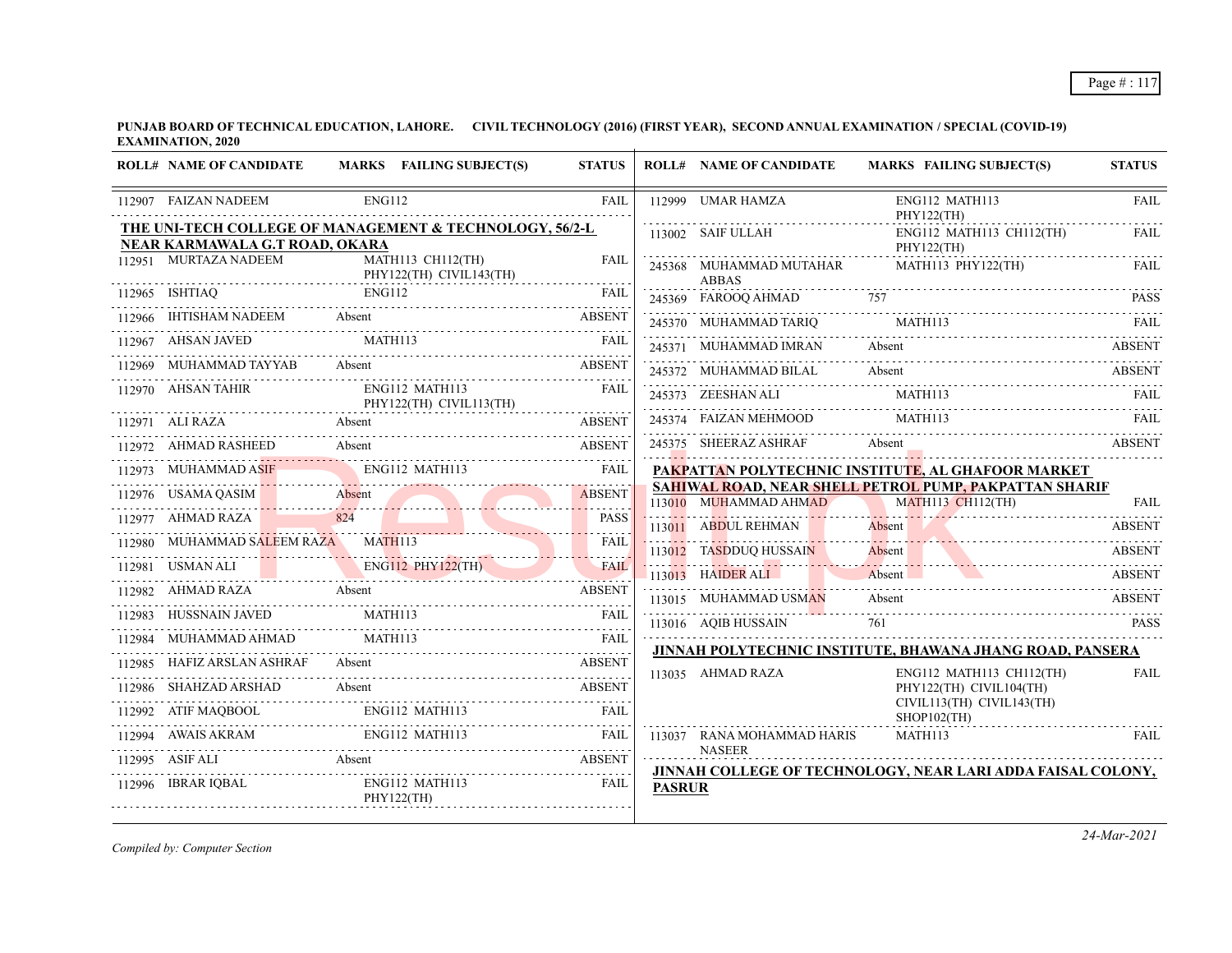**PUNJAB BOARD OF TECHNICAL EDUCATION, LAHORE. CIVIL TECHNOLOGY (2016) (FIRST YEAR), SECOND ANNUAL EXAMINATION / SPECIAL (COVID-19) EXAMINATION, 2020**

| <b>ROLL# NAME OF CANDIDATE</b> | MARKS FAILING SUBJECT(S)                                                                                                                                                  | <b>STATUS</b>    |               | <b>ROLL# NAME OF CANDIDATE</b>   | <b>MARKS FAILING SUBJECT(S)</b>                                                                                                | <b>STATUS</b> |
|--------------------------------|---------------------------------------------------------------------------------------------------------------------------------------------------------------------------|------------------|---------------|----------------------------------|--------------------------------------------------------------------------------------------------------------------------------|---------------|
| 112907 FAIZAN NADEEM           | <b>ENG112</b>                                                                                                                                                             | <b>FAIL</b>      |               | 112999 UMAR HAMZA                | ENG112 MATH113<br>PHY122(TH)                                                                                                   | <b>FAIL</b>   |
| NEAR KARMAWALA G.T ROAD, OKARA | THE UNI-TECH COLLEGE OF MANAGEMENT & TECHNOLOGY, 56/2-L                                                                                                                   |                  |               | 113002 SAIF ULLAH                | $ENG112$ MATH113 CH112(TH)<br>PHY122(TH)                                                                                       | <b>FAIL</b>   |
| 112951 MURTAZA NADEEM          | MATH113 CH112(TH)<br>PHY122(TH) CIVIL143(TH)                                                                                                                              | <b>FAIL</b><br>. |               | 245368 MUHAMMAD MUTAHAR<br>ABBAS | MATH113 PHY122(TH)                                                                                                             | FAIL          |
| $112965$ ISHTIAQ               | ISHTIAQ ENG112 FAIL                                                                                                                                                       | <b>FAIL</b>      |               | 245369 FAROOQ AHMAD              | 757                                                                                                                            | <b>PASS</b>   |
|                                | 112966 IHTISHAM NADEEM Absent ABSENT ABSENT                                                                                                                               |                  |               | 245370 MUHAMMAD TARIQ MATH113    |                                                                                                                                |               |
| 112967 AHSAN JAVED             | <b>MATH113</b>                                                                                                                                                            |                  |               | 245371 MUHAMMAD IMRAN            | Absent                                                                                                                         | <b>ABSENT</b> |
| 112969 MUHAMMAD TAYYAB         | 12969 MUHAMMAD TAYYAB Absent ABSENT ABSENT                                                                                                                                |                  |               | 245372 MUHAMMAD BILAL            | Absent                                                                                                                         | ABSENT        |
| 112970 AHSAN TAHIR             | ENG112 MATH113<br>PHY122(TH) CIVIL113(TH)                                                                                                                                 | FAIL             |               | 245373 ZEESHAN ALI               | MATH113                                                                                                                        | FAII.         |
| 112971 ALI RAZA                |                                                                                                                                                                           | <b>ABSENT</b>    |               | 245374 FAIZAN MEHMOOD            | MATH113                                                                                                                        | <b>FAIL</b>   |
| 112972 AHMAD RASHEED           | Absent                                                                                                                                                                    | <b>ABSENT</b>    |               | 245375 SHEERAZ ASHRAF            | Absent                                                                                                                         | <b>ABSENT</b> |
| 112973 MUHAMMAD ASIF           | ENG112 MATH113                                                                                                                                                            | <b>FAIL</b>      |               |                                  | PAKPATTAN POLYTECHNIC INSTITUTE, AL GHAFOOR MARKET                                                                             |               |
|                                | 112976 USAMA QASIM Absent                                                                                                                                                 | <b>ABSENT</b>    |               | 113010 MUHAMMAD AHMAD            | <b>SAHIWAL ROAD, NEAR SHELL PETROL PUMP, PAKPATTAN SHARIF</b><br>MATH113 CH112(TH)                                             | FAII.         |
| 112977 AHMAD RAZA 824          | 824                                                                                                                                                                       | <b>PASS</b>      |               | 113011 ABDUL REHMAN              |                                                                                                                                |               |
| 112980 MUHAMMAD SALEEM RAZA    | 12980 MUHAMMAD SALEEM RAZA MATHI13 FAIL                                                                                                                                   |                  |               | 113012 TASDDUQ HUSSAIN           | Absent ABSENT<br>Absent                                                                                                        | <b>ABSENT</b> |
|                                | 112981 USMAN ALI ENGILI2 PHY122(TH) FAIL                                                                                                                                  |                  |               | 113013 HAIDER ALI                | <u> 1999 171 - Johann Sterling, Johann Sterling, Amerikaanse en een een een een een een opgevolgde geheeld om de</u><br>Absent | ABSENT        |
| 112982 AHMAD RAZA Absent       |                                                                                                                                                                           |                  |               | 113015 MUHAMMAD USMAN            | Absent                                                                                                                         | ABSENT        |
| 112983 HUSSNAIN JAVED          | $\begin{tabular}{ll} \bf HUSSNAIN\; JAVED & \tt MATH113 & \tt FAIL \\ \hline \end{tabular}$                                                                               |                  |               | 113016 AQIB HUSSAIN              | 761                                                                                                                            | <b>PASS</b>   |
| 112984 MUHAMMAD AHMAD          | MATH113<br>12984 MUHAMMAD AHMAD MATH113 FAIL FAIL                                                                                                                         |                  |               |                                  |                                                                                                                                |               |
| 112985 HAFIZ ARSLAN ASHRAF     | Absent<br><b>ABSENT</b>                                                                                                                                                   |                  |               |                                  | JINNAH POLYTECHNIC INSTITUTE, BHAWANA JHANG ROAD, PANSERA                                                                      |               |
| 112986 SHAHZAD ARSHAD          | Absent                                                                                                                                                                    | ABSENT           |               | 113035 AHMAD RAZA                | ENG112 MATH113 CH112(TH)<br>PHY122(TH) CIVIL104(TH)                                                                            | <b>FAIL</b>   |
|                                | $\begin{tabular}{ll} 112992 & ATF MAQBOOL & ENG112 MATH113 & FAIL \\ \hline \end{tabular} \begin{tabular}{ll} \multicolumn{3}{l}{{\bf{AA}}TH113} & FAIL \\ \end{tabular}$ |                  |               |                                  | CIVIL113(TH) CIVIL143(TH)<br>$SHOP102$ (TH)                                                                                    |               |
|                                | $\begin{tabular}{lllllllll} \bf 112994 & \textbf{AWAIS AKRAM} & \textbf{ENG112 MATH113} & \textbf{FAIL} \\ \hline \end{tabular}$                                          |                  |               | 113037 RANA MOHAMMAD HARIS       | MATH113                                                                                                                        | FAIL          |
|                                | 112995 ASIF ALI Absent ABSENT                                                                                                                                             |                  |               | <b>NASEER</b>                    | JINNAH COLLEGE OF TECHNOLOGY, NEAR LARI ADDA FAISAL COLONY,                                                                    |               |
| 112996 IBRAR IQBAL             | ENG112 MATH113<br>PHY122(TH)                                                                                                                                              | FAIL             | <b>PASRUR</b> |                                  |                                                                                                                                |               |

*Compiled by: Computer Section*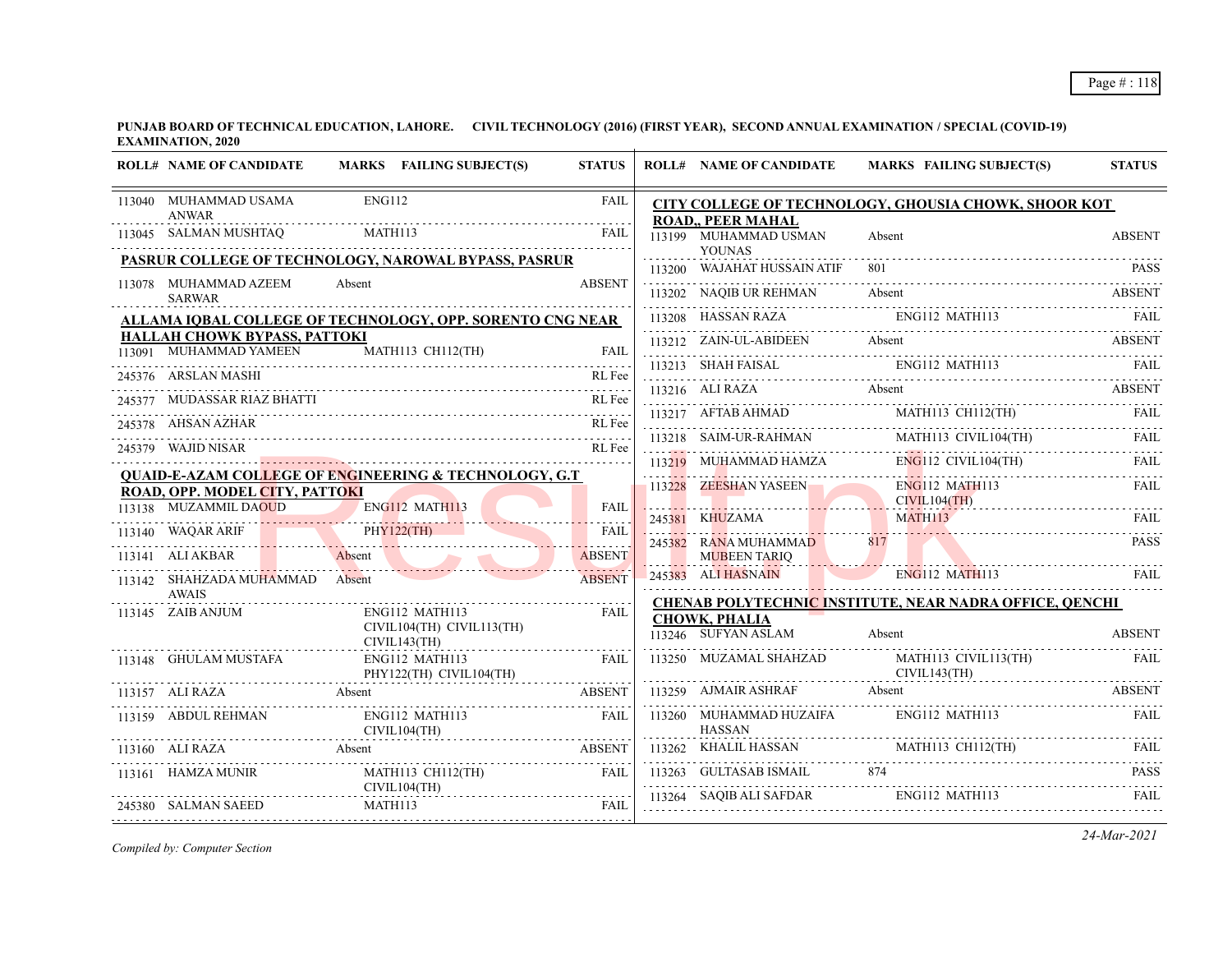|        | <b>ROLL# NAME OF CANDIDATE</b>                         | MARKS FAILING SUBJECT(S)                                         | <b>STATUS</b>       | <b>ROLL# NAME OF CANDIDATE</b>                                     |        | <b>MARKS FAILING SUBJECT(S)</b>                                                                                                                                                                      | <b>STATUS</b> |
|--------|--------------------------------------------------------|------------------------------------------------------------------|---------------------|--------------------------------------------------------------------|--------|------------------------------------------------------------------------------------------------------------------------------------------------------------------------------------------------------|---------------|
|        | 113040 MUHAMMAD USAMA<br><b>ANWAR</b>                  | <b>ENG112</b>                                                    | <b>FAIL</b>         |                                                                    |        | CITY COLLEGE OF TECHNOLOGY, GHOUSIA CHOWK, SHOOR KOT                                                                                                                                                 |               |
|        | 113045 SALMAN MUSHTAQ                                  | MATH113                                                          | FAIL                | <b>ROAD., PEER MAHAL</b><br>113199 MUHAMMAD USMAN<br><b>YOUNAS</b> | Absent |                                                                                                                                                                                                      | <b>ABSENT</b> |
|        |                                                        | <b>PASRUR COLLEGE OF TECHNOLOGY, NAROWAL BYPASS, PASRUR</b>      |                     | 113200 WAJAHAT HUSSAIN ATIF                                        |        |                                                                                                                                                                                                      | <b>PASS</b>   |
|        | 113078 MUHAMMAD AZEEM<br><b>SARWAR</b>                 | Absent                                                           | <b>ABSENT</b>       | 113202 NAQIB UR REHMAN                                             |        | Absent                                                                                                                                                                                               | <b>ABSENT</b> |
|        |                                                        | ALLAMA IQBAL COLLEGE OF TECHNOLOGY, OPP. SORENTO CNG NEAR        |                     | 113208 HASSAN RAZA                                                 |        | ENG112 MATH113                                                                                                                                                                                       |               |
|        | HALLAH CHOWK BYPASS, PATTOKI<br>113091 MUHAMMAD YAMEEN | MATH113 CH112(TH)                                                | <b>FAIL</b>         |                                                                    |        | 113212 ZAIN-UL-ABIDEEN Absent ABSENT RESERT                                                                                                                                                          |               |
|        | 245376 ARSLAN MASHI                                    |                                                                  | RL Fee              |                                                                    |        | 113213 SHAH FAISAL ENGI12 MATH113 FAIL ENGINEERS ENGINEERS AT THE RAIL                                                                                                                               |               |
|        | 245377 MUDASSAR RIAZ BHATTI                            |                                                                  | RL Fee              | 113216 ALI RAZA Absent                                             |        |                                                                                                                                                                                                      | <b>ABSENT</b> |
| 245378 | AHSAN AZHAR                                            |                                                                  | RL Fee              |                                                                    |        | $\begin{tabular}{lllllllllll} \hline 113217 & AFTAB AHMAD & \multicolumn{3}{l} \multicolumn{3}{l}{{\small \bf MATH113} & CH112(TH)} & \multicolumn{3}{l}{{\small \bf FAIL}} \\ \hline \end{tabular}$ |               |
|        | 245379 WAJID NISAR                                     |                                                                  | RL Fee              |                                                                    |        | 113218 SAIM-UR-RAHMAN MATH113 CIVIL104(TH) FAIL                                                                                                                                                      |               |
|        |                                                        |                                                                  |                     | 113219 MUHAMMAD HAMZA                                              |        | $ENG112$ CIVIL104(TH)                                                                                                                                                                                | FAIL          |
|        | <b>ROAD, OPP. MODEL CITY, PATTOKI</b>                  | <b>QUAID-E-AZAM COLLEGE OF ENGINEERING &amp; TECHNOLOGY, G.T</b> |                     | 113228 ZEESHAN YASEEN                                              |        | <b>ENG112 MATH113</b>                                                                                                                                                                                | <b>FAIL</b>   |
|        | 113138 MUZAMMIL DAOUD                                  | ENG112 MATH113                                                   | FAIL<br>a dia a dia | 245381 KHUZAMA                                                     |        | CIVIL104(TH)<br><b>MATH113</b>                                                                                                                                                                       | FAIL          |
|        | 113140 WAQAR ARIF                                      | PHY122(TH)                                                       | <b>FAIL</b>         | 245382 RANA MUHAMMAD                                               | 817    |                                                                                                                                                                                                      | <b>PASS</b>   |
|        | 113141 ALI AKBAR                                       | Absent                                                           | <b>ABSENT</b>       | <b>MUBEEN TARIQ</b><br>E                                           |        |                                                                                                                                                                                                      |               |
|        | 113142 SHAHZADA MUHAMMAD Absent<br><b>AWAIS</b>        |                                                                  | <b>ABSENT</b>       | 245383 ALI HASNAIN                                                 |        | <b>ENG112 MATH113</b>                                                                                                                                                                                | <b>FAIL</b>   |
|        | 113145 ZAIB ANJUM                                      | ENG112 MATH113                                                   | FAIL                |                                                                    |        | <b>CHENAB POLYTECHNIC INSTITUTE, NEAR NADRA OFFICE, OENCHI</b>                                                                                                                                       |               |
|        |                                                        | CIVIL104(TH) CIVIL113(TH)<br>CIVIL143(TH)                        |                     | <b>CHOWK, PHALIA</b><br>113246 SUFYAN ASLAM                        | Absent |                                                                                                                                                                                                      | <b>ABSENT</b> |
|        | 113148 GHULAM MUSTAFA                                  | ENG112 MATH113<br>PHY122(TH) CIVIL104(TH)                        | FAIL                | 113250 MUZAMAL SHAHZAD                                             |        | MATH113 CIVIL113(TH)<br>CIVIL143(TH)                                                                                                                                                                 | <b>FAIL</b>   |
|        | 113157 ALI RAZA                                        | Absent                                                           | <b>ABSENT</b>       | 113259 AJMAIR ASHRAF                                               | Absent |                                                                                                                                                                                                      | <b>ABSENT</b> |
|        | 113159 ABDUL REHMAN                                    | ENG112 MATH113<br>CIVIL104(TH)                                   | <b>FAIL</b>         | 113260 MUHAMMAD HUZAIFA<br><b>HASSAN</b>                           |        | ENG112 MATH113                                                                                                                                                                                       | FAII.         |
|        | 113160 ALI RAZA                                        | Absent                                                           | <b>ABSENT</b>       | 113262 KHALIL HASSAN MATH113 CH112(TH)                             |        |                                                                                                                                                                                                      |               |
|        | 113161 HAMZA MUNIR                                     | MATH113 CH112(TH)                                                | <b>FAIL</b>         |                                                                    |        | 113263 GULTASAB ISMAIL 874 PASS                                                                                                                                                                      |               |
|        | 245380 SALMAN SAEED                                    | CIVIL104(TH)<br>MATH113                                          | FAIL                | 113264 SAQIB ALI SAFDAR                                            |        | ENG112 MATH113                                                                                                                                                                                       | FAII.         |
|        |                                                        |                                                                  |                     |                                                                    |        |                                                                                                                                                                                                      |               |

*Compiled by: Computer Section*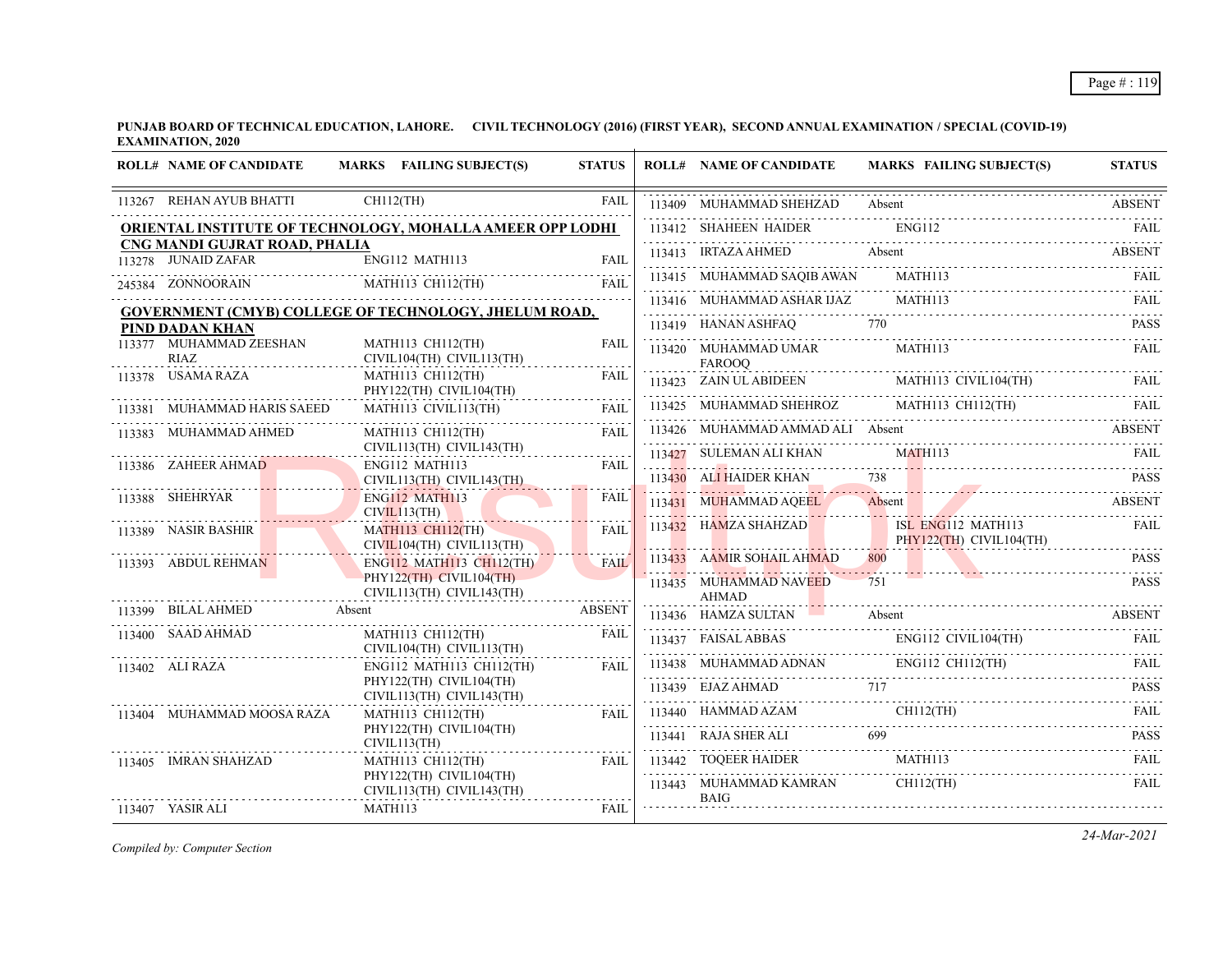**PUNJAB BOARD OF TECHNICAL EDUCATION, LAHORE. CIVIL TECHNOLOGY (2016) (FIRST YEAR), SECOND ANNUAL EXAMINATION / SPECIAL (COVID-19) EXAMINATION, 2020**

| <b>ROLL# NAME OF CANDIDATE</b>                       | MARKS FAILING SUBJECT(S)                                         | <b>STATUS</b> | <b>ROLL# NAME OF CANDIDATE</b>         | <b>MARKS FAILING SUBJECT(S)</b>                                                                                                                                                                                                                | <b>STATUS</b> |
|------------------------------------------------------|------------------------------------------------------------------|---------------|----------------------------------------|------------------------------------------------------------------------------------------------------------------------------------------------------------------------------------------------------------------------------------------------|---------------|
| 113267 REHAN AYUB BHATTI                             | $CH112$ (TH)                                                     | <b>FAIL</b>   | 113409 MUHAMMAD SHEHZAD Absent         |                                                                                                                                                                                                                                                | <b>ABSENT</b> |
|                                                      | <b>ORIENTAL INSTITUTE OF TECHNOLOGY, MOHALLA AMEER OPP LODHI</b> |               | 113412 SHAHEEN HAIDER                  | <b>ENG112</b>                                                                                                                                                                                                                                  | FAIL          |
| CNG MANDI GUJRAT ROAD, PHALIA<br>113278 JUNAID ZAFAR | ENG112 MATH113                                                   | FAIL          | 113413 IRTAZA AHMED                    | Absent                                                                                                                                                                                                                                         | <b>ABSENT</b> |
| 245384 ZONNOORAIN                                    | MATH113 CH112(TH)                                                | <b>FAIL</b>   | 113415 MUHAMMAD SAQIB AWAN MATH113     |                                                                                                                                                                                                                                                | FAIL          |
|                                                      |                                                                  |               | 113416 MUHAMMAD ASHAR IJAZ             | MATH113                                                                                                                                                                                                                                        |               |
| PIND DADAN KHAN                                      | <b>GOVERNMENT (CMYB) COLLEGE OF TECHNOLOGY, JHELUM ROAD,</b>     |               | 113419 HANAN ASHFAQ                    |                                                                                                                                                                                                                                                | <b>PASS</b>   |
| 113377 MUHAMMAD ZEESHAN<br><b>RIAZ</b>               | MATH113 CH112(TH)<br>CIVIL104(TH) CIVIL113(TH)                   | <b>FAIL</b>   | 113420 MUHAMMAD UMAR<br><b>FAROOO</b>  | <b>MATH113</b>                                                                                                                                                                                                                                 | FAII.         |
| 113378 USAMA RAZA                                    | MATH113 CH112(TH)<br>PHY122(TH) CIVIL104(TH)                     | <b>FAIL</b>   |                                        | $113423 \quad \text{ZAIN ULABIDEEN} \qquad \qquad \text{MATH113 CIVIL104(TH)} \qquad \qquad \text{FAIL}$                                                                                                                                       |               |
| 113381 MUHAMMAD HARIS SAEED                          | MATH113 CIVIL113(TH)                                             | FAII.         |                                        | 113425 MUHAMMAD SHEHROZ MATH113 CH112(TH)                                                                                                                                                                                                      | FAIL          |
| 113383 MUHAMMAD AHMED                                | MATH113 CH112(TH)                                                | FAIL          | 113426 MUHAMMAD AMMAD ALI Absent       |                                                                                                                                                                                                                                                | <b>ABSENT</b> |
| . <mark>.</mark>                                     | CIVIL113(TH) CIVIL143(TH)                                        | .             | 113427 SULEMAN ALI KHAN                | MATH <sub>113</sub>                                                                                                                                                                                                                            | FAIL          |
| 113386 ZAHEER AHMAD                                  | ENG112 MATH113<br>CIVIL113(TH) CIVIL143(TH)                      | FAII.         | 113430 ALI HAIDER KHAN                 | 738                                                                                                                                                                                                                                            | <b>PASS</b>   |
| 113388 SHEHRYAR                                      | ENG112 MATH113<br>CIVIL113(TH)                                   | FAIL          | 113431 MUHAMMAD AQEEL                  | Absent<br>UHAMMAD AQEEL Absent ABSENT                                                                                                                                                                                                          |               |
| 113389 NASIR BASHIR                                  | <b>MATH113 CH112(TH)</b><br>CIVIL104(TH) CIVIL113(TH)            | FAIL          |                                        | 113432 HAMZA SHAHZAD ISL ENG112 MATH113<br>PHY122(TH) CIVIL104(TH)                                                                                                                                                                             | FAIL          |
| 113393 ABDUL REHMAN                                  | ENG112 MATH113 CH112(TH)                                         | <b>FAIL</b>   | 113433 AAMIR SOHAIL AHMAD              | 800<br>PASS PASS                                                                                                                                                                                                                               | <b>PASS</b>   |
|                                                      | PHY122(TH) CIVIL104(TH)<br>CIVIL113(TH) CIVIL143(TH)             |               | 113435 MUHAMMAD NAVEED<br><b>AHMAD</b> | 751                                                                                                                                                                                                                                            | <b>PASS</b>   |
| 113399 BILAL AHMED                                   | Absent                                                           | <b>ABSENT</b> | 113436 HAMZA SULTAN                    | Absent<br>13436 HAMZA SULTAN Absent Assent ABSENT                                                                                                                                                                                              | <b>ABSENT</b> |
| 113400 SAAD AHMAD                                    | MATH113 CH112(TH)<br>CIVIL104(TH) CIVIL113(TH)                   | <b>FAIL</b>   |                                        | $\begin{tabular}{lllllllll} \hline 113437 & FAISAL ABBAS & & & ENG112 & CIVIL104(TH) & & & FAIL \\ \hline 113438 & MUHAMMAD ADNAN & & & & ENG112 CH112(TH) & & & FAIL \\ \hline 113439 & EJAZ AHMAD & & & & & & & & & \\ \hline \end{tabular}$ |               |
| 113402 ALI RAZA                                      | ENG112 MATH113 CH112(TH)                                         | <b>FAIL</b>   |                                        |                                                                                                                                                                                                                                                |               |
|                                                      | PHY122(TH) CIVIL104(TH)<br>CIVIL113(TH) CIVIL143(TH)             |               |                                        |                                                                                                                                                                                                                                                |               |
| 113404 MUHAMMAD MOOSA RAZA                           | MATH113 CH112(TH)                                                | FAII.         |                                        | 113437 EXAMPLE ADMAD AZAM<br>113440 HAMMAD AZAM CHI12(TH) FAIL<br>113441 RAJA SHER ALI 699 PASS                                                                                                                                                |               |
|                                                      | PHY122(TH) CIVIL104(TH)<br>CIVIL113(TH)                          |               |                                        |                                                                                                                                                                                                                                                |               |
| 113405 IMRAN SHAHZAD                                 | MATH113 CH112(TH)                                                | FAII.         | 113442 TOQEER HAIDER MATH113           |                                                                                                                                                                                                                                                | FAII.         |
|                                                      | PHY122(TH) CIVIL104(TH)<br>CIVIL113(TH) CIVIL143(TH)             |               | 113443 MUHAMMAD KAMRAN<br><b>BAIG</b>  | $CH112$ (TH)                                                                                                                                                                                                                                   | FAII.         |
| 113407 YASIR ALI                                     | MATH113                                                          | <b>FAIL</b>   |                                        |                                                                                                                                                                                                                                                |               |

*Compiled by: Computer Section*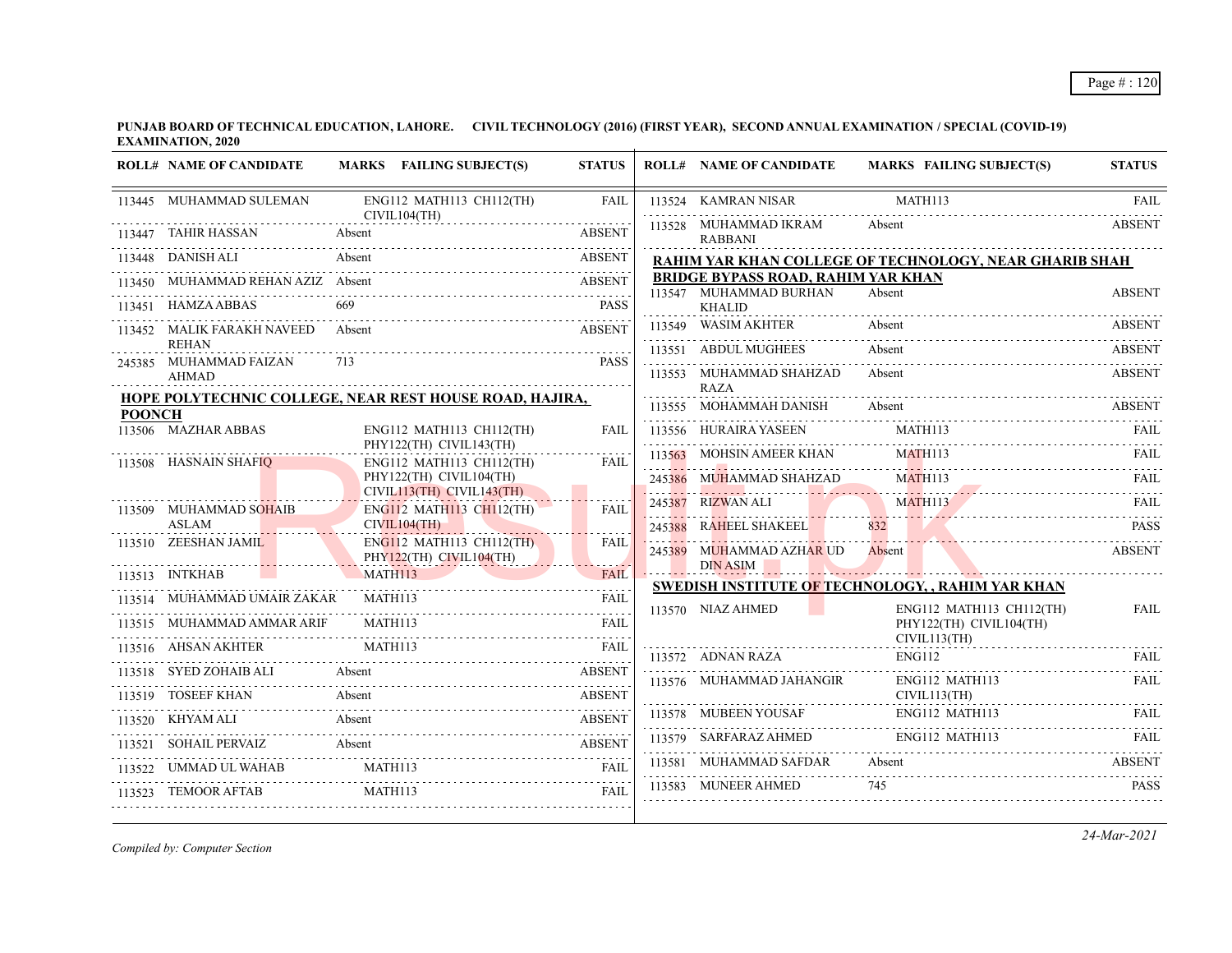|               | <b>ROLL# NAME OF CANDIDATE</b>         |         | MARKS FAILING SUBJECT(S)                                | <b>STATUS</b> | <b>ROLL# NAME OF CANDIDATE</b>                  | MARKS FAILING SUBJECT(S)                                 | <b>STATUS</b>      |
|---------------|----------------------------------------|---------|---------------------------------------------------------|---------------|-------------------------------------------------|----------------------------------------------------------|--------------------|
|               | 113445 MUHAMMAD SULEMAN                |         | ENG112 MATH113 CH112(TH)<br>CIVIL104(TH)                | FAIL          | 113524 KAMRAN NISAR                             | MATH113                                                  | FAII.              |
|               | 113447 TAHIR HASSAN                    | Absent  |                                                         | <b>ABSENT</b> | 113528 MUHAMMAD IKRAM<br><b>RABBANI</b>         | Absent                                                   | <b>ABSENT</b>      |
|               | 113448 DANISH ALI                      | Absent  |                                                         | <b>ABSENT</b> |                                                 | RAHIM YAR KHAN COLLEGE OF TECHNOLOGY, NEAR GHARIB SHAH   |                    |
|               | MUHAMMAD REHAN AZIZ Absent             |         |                                                         | <b>ABSENT</b> | <b>BRIDGE BYPASS ROAD, RAHIM YAR KHAN</b>       |                                                          |                    |
|               | 113451 HAMZA ABBAS                     |         |                                                         | <b>PASS</b>   | 113547 MUHAMMAD BURHAN<br><b>KHALID</b>         | Absent                                                   | <b>ABSENT</b>      |
|               | 113452 MALIK FARAKH NAVEED             | Absent  | <b>ABSENT</b>                                           |               | 113549 WASIM AKHTER                             | Absent                                                   | ABSENT             |
|               | <b>REHAN</b><br>245385 MUHAMMAD FAIZAN | 713     |                                                         | <b>PASS</b>   | 113551 ABDUL MUGHEES                            | Absent                                                   | <b>ABSENT</b>      |
|               | <b>AHMAD</b>                           |         |                                                         |               | 113553 MUHAMMAD SHAHZAD<br><b>RAZA</b>          | Absent                                                   | <b>ABSENT</b>      |
|               |                                        |         | HOPE POLYTECHNIC COLLEGE, NEAR REST HOUSE ROAD, HAJIRA, |               | 113555 MOHAMMAH DANISH                          | Absent                                                   | ABSENT             |
| <b>POONCH</b> | 113506 MAZHAR ABBAS                    |         | ENG112 MATH113 CH112(TH)                                | FAIL          | 113556 HURAIRA YASEEN                           | MATH113                                                  | FAIL               |
|               |                                        |         | PHY122(TH) CIVIL143(TH)                                 |               | 113563 MOHSIN AMEER KHAN                        | MATH113                                                  | FAIL               |
|               | 113508 HASNAIN SHAFIQ                  |         | ENG112 MATH113 CH112(TH)<br>PHY122(TH) CIVIL104(TH)     | <b>FAIL</b>   | 245386 MUHAMMAD SHAHZAD                         | MATH113                                                  | FAIL               |
|               | 113509 MUHAMMAD SOHAIB                 |         | CIVIL113(TH) CIVIL143(TH)<br>ENG112 MATH113 CH112(TH)   | <b>FAIL</b>   | 245387 RIZWAN ALI                               | MATH113<br>MATH113 FAIL                                  |                    |
|               | <b>ASLAM</b>                           |         | CIVIL104(TH)                                            |               | 245388 RAHEEL SHAKEEL                           | 832                                                      | <b>PASS</b>        |
|               | 113510 ZEESHAN JAMIL                   |         | ENG112 MATH113 CH112(TH)<br>PHY122(TH) CIVIL104(TH)     | <b>FAIL</b>   | 245389 MUHAMMAD AZHAR UD                        | Absent                                                   | <b>ABSENT</b>      |
|               | 113513 INTKHAB                         | MATH113 |                                                         | <b>FAIL</b>   | <b>DIN ASIM</b>                                 |                                                          |                    |
|               | 113514 MUHAMMAD UMAIR ZAKAR            |         | MATH113                                                 | FAIL          |                                                 | <b>SWEDISH INSTITUTE OF TECHNOLOGY, , RAHIM YAR KHAN</b> |                    |
|               | 113515 MUHAMMAD AMMAR ARIF             |         | MATH113                                                 | <b>FAIL</b>   | 113570 NIAZ AHMED                               | ENG112 MATH113 CH112(TH)<br>PHY122(TH) CIVIL104(TH)      | <b>FAIL</b>        |
|               | 113516 AHSAN AKHTER                    |         | 13516 AHSAN AKHTER MATH113 FAIL                         |               |                                                 | CIVIL113(TH)<br>ENG112                                   | FAIL               |
|               | 113518 SYED ZOHAIB ALI                 |         | TED ZOHAIB ALI Absent ABSENT                            |               | $113572$ ADNAN RAZA<br>113576 MUHAMMAD JAHANGIR | ENG112 MATH113                                           | <b>FAIL</b>        |
|               | 113519 TOSEEF KHAN                     |         | SEEF KHAN Absent ABSENT                                 |               |                                                 | CIVIL113(TH)                                             |                    |
|               |                                        |         | 113520 KHYAM ALI Absent ABSEN                           | <b>ABSENT</b> |                                                 |                                                          |                    |
|               | SOHAIL PERVAIZ Absent                  |         | 13521 SOHAIL PERVAIZ Absent ABSENT                      | <b>ABSENT</b> | 113579 SARFARAZ AHMED                           | ENG112 MATH113                                           | <b>EXALL STATE</b> |
|               | 113522 UMMAD UL WAHAB                  | MATH113 |                                                         | FAIL          | 113581 MUHAMMAD SAFDAR Absent                   |                                                          | <b>ABSENT</b>      |
|               | 113523 TEMOOR AFTAB                    | MATH113 |                                                         | FAIL          | 113583 MUNEER AHMED                             | 745                                                      | <b>PASS</b>        |
|               |                                        |         |                                                         |               |                                                 |                                                          |                    |

*Compiled by: Computer Section*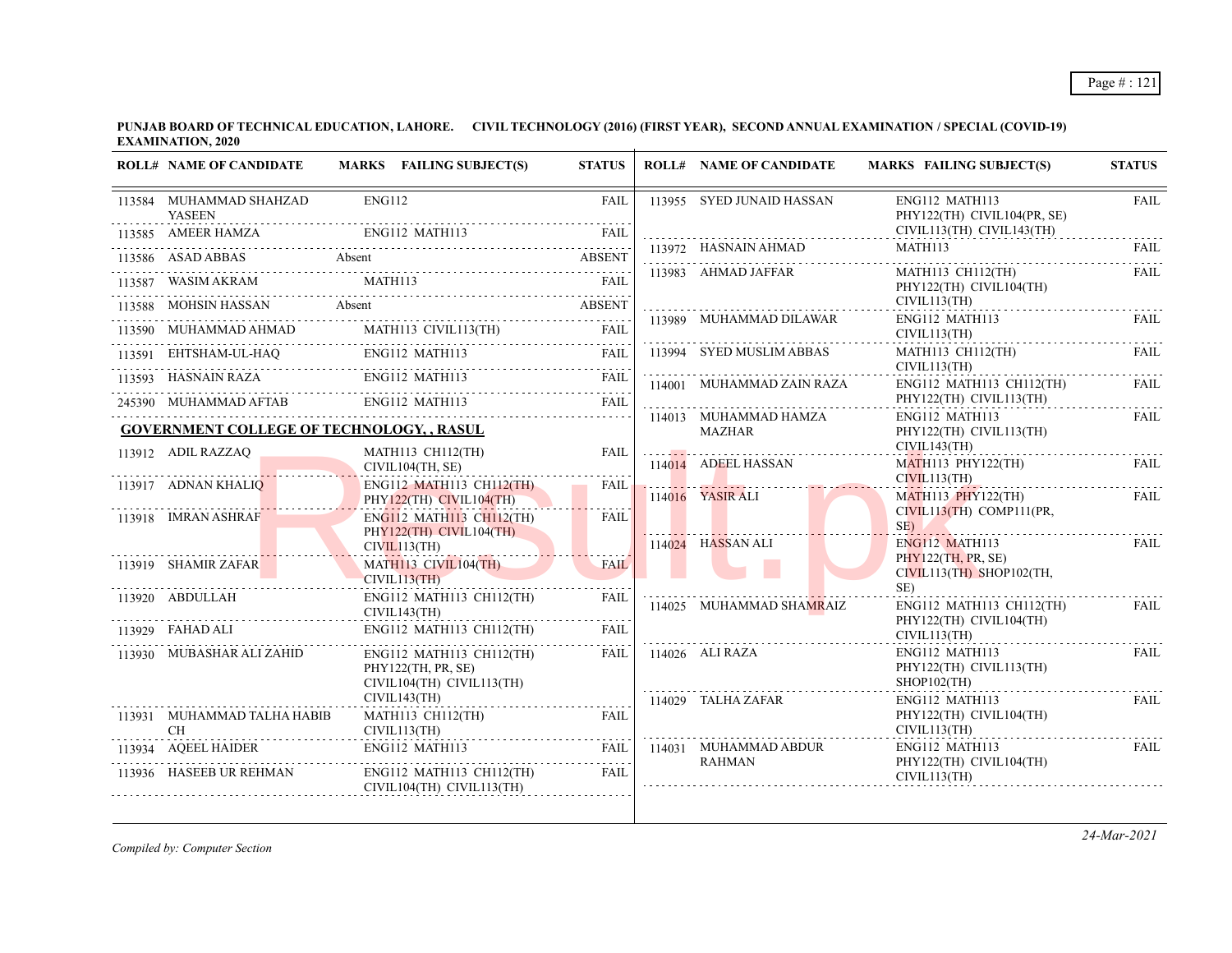**PUNJAB BOARD OF TECHNICAL EDUCATION, LAHORE. CIVIL TECHNOLOGY (2016) (FIRST YEAR), SECOND ANNUAL EXAMINATION / SPECIAL (COVID-19) EXAMINATION, 2020**

| <b>ROLL# NAME OF CANDIDATE</b>                                  | MARKS FAILING SUBJECT(S)                                                                                                                                                                       | <b>STATUS</b> | <b>ROLL# NAME OF CANDIDATE</b>                                                       | <b>MARKS FAILING SUBJECT(S)</b>                                                                          | <b>STATUS</b> |
|-----------------------------------------------------------------|------------------------------------------------------------------------------------------------------------------------------------------------------------------------------------------------|---------------|--------------------------------------------------------------------------------------|----------------------------------------------------------------------------------------------------------|---------------|
| 113584 MUHAMMAD SHAHZAD<br><b>YASEEN</b>                        | ENG112                                                                                                                                                                                         | FAIL          | 113955 SYED JUNAID HASSAN                                                            | ENG112 MATH113<br>PHY122(TH) CIVIL104(PR, SE)                                                            | <b>FAIL</b>   |
|                                                                 |                                                                                                                                                                                                |               |                                                                                      | CIVIL113(TH) CIVIL143(TH)                                                                                | .             |
|                                                                 | 113586 ASAD ABBAS Absent Absent ABSENT                                                                                                                                                         |               |                                                                                      | $\begin{tabular}{lllllllll} \bf 113972 & HASNAIN AHMAD & \tt MATH113 & \tt FAIL \\ \hline \end{tabular}$ |               |
|                                                                 | $\begin{tabular}{lllllllllll} \hline 113587 & WASIMAKRAM & \textbf{MATH113} & \textbf{FAIL} \\ \hline \textbf{113587} & WASIMAKRAM & \textbf{MATH113} & \textbf{FAIL} \\ \hline \end{tabular}$ |               | 113983 AHMAD JAFFAR                                                                  | MATH113 CH112(TH)<br>PHY122(TH) CIVIL104(TH)<br>CIVIL113(TH)                                             | FAIL          |
|                                                                 | 113588 MOHSIN HASSAN Absent ABSENT ABSENT                                                                                                                                                      |               | 113989 MUHAMMAD DILAWAR                                                              | ENG112 MATH113                                                                                           | FAIL          |
|                                                                 |                                                                                                                                                                                                |               |                                                                                      | CIVIL113(TH)                                                                                             |               |
|                                                                 | $\begin{tabular}{lllllllllll} \hline 113591 & EHTSHAM-UL-HAQ & & ENG112 MATH113 & FAIL \\ \hline 113593 & HASNAIN RAZA & & ENG112 MATH113 & & FAIL \\ \hline \end{tabular}$                    |               | 113994 SYED MUSLIM ABBAS                                                             | MATH113 CH112(TH)<br>CIVIL113(TH)                                                                        | FAIL.<br>.    |
|                                                                 |                                                                                                                                                                                                |               | 114001 MUHAMMAD ZAIN RAZA                                                            | ENG112 MATH113 CH112(TH)                                                                                 | <b>FAIL</b>   |
|                                                                 | 245390 MUHAMMAD AFTAB ENGI12 MATH113 FAIL                                                                                                                                                      |               |                                                                                      | PHY122(TH) CIVIL113(TH)                                                                                  |               |
| <b>GOVERNMENT COLLEGE OF TECHNOLOGY, , RASUL</b>                |                                                                                                                                                                                                |               | 114013 MUHAMMAD HAMZA<br>$\begin{array}{cccc}\n\text{MAZHAR} \\ \cdots\n\end{array}$ | ENG112 MATH113<br>PHY122(TH) CIVIL113(TH)<br>CIVIL143(TH)                                                | FAIL          |
| 113912 ADIL RAZZAQ $\blacksquare$                               | 912 ADIL RAZZAQ MATH113 CH112(TH)<br>CIVIL104(TH, SE)                                                                                                                                          | FAIL          | 114014 ADEEL HASSAN                                                                  | <b>MATH113 PHY122(TH)</b>                                                                                | <b>FAIL</b>   |
| 113917 ADNAN KHALIQ                                             | ENG112 MATH113 CH112(TH)<br>PHY122(TH) CIVIL104(TH)                                                                                                                                            | FAIL.         | 114016 YASIR ALI                                                                     | CIVIL113(TH)<br>MATH113 PHY122(TH)                                                                       | <b>FAIL</b>   |
| 113918 IMRAN ASHRAF                                             | <b>ENG112 MATH113 CH112(TH)</b><br>$PHY122(TH)$ CIVIL104(TH)                                                                                                                                   | <b>FAIL</b>   |                                                                                      | $CIVIL113(TH)$ $COMP111(PR,$<br>$SE$ )                                                                   |               |
|                                                                 | CIVIL113(TH)                                                                                                                                                                                   |               | $114024$ HASSAN ALI                                                                  | $ENG112$ MATH113<br>PHY122(TH, PR, SE)                                                                   | FAIL          |
| 113919 SHAMIR ZAFAR                                             | MATHI13 CIVIL104(TH)<br>CIVIL113(TH)                                                                                                                                                           | <b>FAIL</b>   |                                                                                      | $CIVIL113(TH)$ SHOP102(TH,                                                                               |               |
| 113920 ABDULLAH                                                 | ENG112 MATH113 CH112(TH)<br>CIVIL143(TH)                                                                                                                                                       | FAIL          | 114025 MUHAMMAD SHAMRAIZ                                                             | $SE$ )<br>ENG112 MATH113 CH112(TH)<br>PHY122(TH) CIVIL104(TH)                                            | FAIL          |
| 113929 FAHAD ALI                                                | ENG112 MATH113 CH112(TH)                                                                                                                                                                       | FAIL          |                                                                                      | CIVIL113(TH)                                                                                             |               |
| 113930 MUBASHAR ALI ZAHID                                       | ENG112 MATH113 CH112(TH)<br>PHY122(TH, PR, SE)<br>CIVIL104(TH) CIVIL113(TH)                                                                                                                    | FAIL          | 114026 ALI RAZA                                                                      | ENG112 MATH113<br>PHY122(TH) CIVIL113(TH)<br>$SHOP102$ (TH)                                              | <b>FAIL</b>   |
|                                                                 | CIVIL143(TH)                                                                                                                                                                                   |               | 114029 TALHA ZAFAR                                                                   | ENG112 MATH113                                                                                           | FAIL.         |
| 113931 MUHAMMAD TALHA HABIB<br><b>CH</b><br>$CH$ $CIVIL113(TH)$ | MATH113 CH112(TH)                                                                                                                                                                              | FAIL          |                                                                                      | PHY122(TH) CIVIL104(TH)<br>CIVIL113(TH)                                                                  |               |
| 113934 AQEEL HAIDER F                                           | ENG112 MATH113 FAIL 114031 MUHAMMAD ABDUR<br>RAHMAN RAHMAN                                                                                                                                     |               |                                                                                      | ENG112 MATH113                                                                                           | FAIL          |
| 113936 HASEEB UR REHMAN                                         | ENG112 MATH113 CH112(TH)<br>CIVIL104(TH) CIVIL113(TH)                                                                                                                                          | FAIL          | RAHMAN                                                                               | PHY122(TH) CIVIL104(TH)<br>CIVIL113(TH)                                                                  |               |

*Compiled by: Computer Section*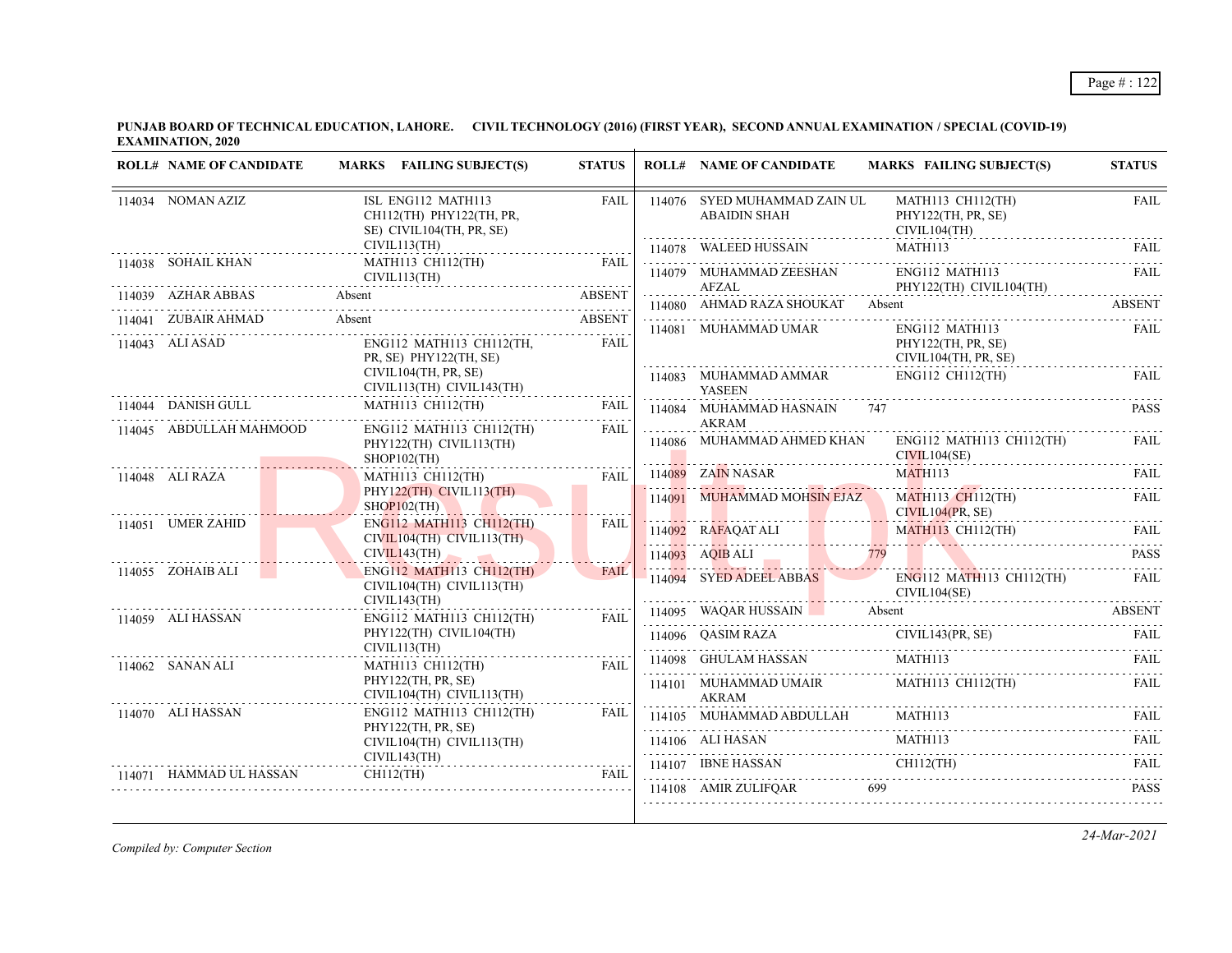| <b>ROLL# NAME OF CANDIDATE</b> | MARKS FAILING SUBJECT(S)                                                   | <b>STATUS</b> |   | <b>ROLL# NAME OF CANDIDATE</b>                      | <b>MARKS FAILING SUBJECT(S)</b>                                                                                            | <b>STATUS</b> |
|--------------------------------|----------------------------------------------------------------------------|---------------|---|-----------------------------------------------------|----------------------------------------------------------------------------------------------------------------------------|---------------|
| 114034 NOMAN AZIZ              | ISL ENG112 MATH113<br>CH112(TH) PHY122(TH, PR,<br>SE) CIVIL104(TH, PR, SE) | FAIL          |   | 114076 SYED MUHAMMAD ZAIN UL<br><b>ABAIDIN SHAH</b> | MATH113 CH112(TH)<br>PHY122(TH, PR, SE)<br>CIVIL104(TH)                                                                    | FAIL          |
|                                | CIVIL113(TH)                                                               |               |   |                                                     | $114078 \quad \text{WALEED HUSSAIN} \qquad \qquad \text{MATH113} \qquad \qquad \text{FAIL}$                                |               |
| 114038 SOHAIL KHAN             | <b>MATH113 CH112(TH)</b><br>CIVIL113(TH)                                   | <b>FAIL</b>   |   | 114079 MUHAMMAD ZEESHAN<br><b>AFZAL</b>             | ENG112 MATH113<br>PHY122(TH) CIVIL104(TH)                                                                                  | <b>FAIL</b>   |
|                                | 114039 AZHAR ABBAS Absent ABSENT                                           |               | . | 114080 AHMAD RAZA SHOUKAT Absent                    |                                                                                                                            |               |
|                                | 114041 ZUBAIR AHMAD Absent ABSENT                                          |               |   | 114081 MUHAMMAD UMAR                                | ENG112 MATH113                                                                                                             | FAIL          |
| 114043 ALI ASAD                | ENG112 MATH113 CH112(TH,<br>PR, SE) PHY122(TH, SE)                         | <b>FAIL</b>   |   |                                                     | PHY122(TH, PR, SE)<br>CIVIL104(TH, PR, SE)                                                                                 |               |
|                                | CIVIL104(TH, PR, SE)<br>CIVIL113(TH) CIVIL143(TH)                          |               |   | 114083 MUHAMMAD AMMAR<br><b>YASEEN</b>              | ENG112 CH112(TH)                                                                                                           | FAIL          |
| 114044 DANISH GULL             | MATH113 CH112(TH)                                                          | FAIL          |   | 114084 MUHAMMAD HASNAIN 747                         |                                                                                                                            | <b>PASS</b>   |
| 114045 ABDULLAH MAHMOOD        | ENG112 MATH113 CH112(TH)<br>PHY122(TH) CIVIL113(TH)<br>$SHOP102$ (TH)      | FAII.         |   | AKRAM<br>114086 MUHAMMAD AHMED KHAN                 | ENG112 MATH113 CH112(TH)<br>CIVIL104(SE)                                                                                   | FAIL.         |
| 114048 ALI RAZA                | MATH113 CH112(TH)                                                          | <b>FAIL</b>   |   | 114089 ZAIN NASAR                                   | MATH113                                                                                                                    | FAIL.         |
|                                | PHY122(TH) CIVIL113(TH)<br>$SHOP102$ (TH)                                  |               |   |                                                     | 114091 MUHAMMAD MOHSIN EJAZ MATH113 CH112(TH)<br>CIVIL104(PR, SE)                                                          | FAIL.         |
| 114051 UMER ZAHID              | <b>ENG112 MATH113 CH112(TH)</b><br>CIVIL104(TH) CIVIL113(TH)               | <b>FAIL</b>   |   |                                                     | 114092 RAFAQATALI MATHI13 CHI12(TH) FAIL                                                                                   |               |
|                                | CIVIL143(TH)                                                               | FAII.         |   |                                                     | 114093 AQIBALI 779 PASS                                                                                                    |               |
| 114055 ZOHAIB ALI              | ENG112 MATH113 CH112(TH)<br>$CIVIL104(TH)$ $CIVIL113(TH)$<br>CIVIL143(TH)  |               |   | 114094 SYED ADEEL ABBAS                             | ENG112 MATH113 CH112(TH)<br>CIVIL104(SE)                                                                                   | FAIL          |
| 114059 ALI HASSAN              | ENG112 MATH113 CH112(TH)                                                   | <b>FAIL</b>   |   |                                                     | 114095 WAQAR HUSSAIN Absent ABSENT                                                                                         |               |
|                                | PHY122(TH) CIVIL104(TH)<br>CIVIL113(TH)                                    |               |   |                                                     | 114096 QASIM RAZA CIVIL143(PR, SE) FAIL                                                                                    |               |
| 114062 SANAN ALI               | MATH113 CH112(TH)                                                          | FAII.         |   |                                                     | $\begin{tabular}{lllllllllll} \hline 114098 & \text{GHULAM HASSAN} & \text{MATH113} & \text{FAIL} \\ \hline \end{tabular}$ |               |
|                                | PHY122(TH, PR, SE)<br>CIVIL104(TH) CIVIL113(TH)                            | .             |   | 114101 MUHAMMAD UMAIR MATH113 CH112(TH)<br>AKRAM    |                                                                                                                            | FAIL          |
| 114070 ALI HASSAN              | ENG112 MATH113 CH112(TH)                                                   | FAIL          |   |                                                     | $114105 \quad \text{MUHAMMAD ABDULLAH} \quad \text{MATH113} \quad \text{FAIL} \quad \text{FAIL}$                           |               |
|                                | PHY122(TH, PR, SE)<br>CIVIL104(TH) CIVIL113(TH)                            |               |   |                                                     | 114106 ALI HASAN MATHI13 FAIL                                                                                              |               |
|                                | CIVIL143(TH)                                                               |               |   |                                                     | $114107 \quad \text{IBNE HASSAN} \quad \text{CH112(TH)} \quad \text{FAIL}$                                                 |               |
|                                | 114071 HAMMAD UL HASSAN CH112(TH)                                          | FAIL          |   | 114108 AMIR ZULIFQAR 699                            |                                                                                                                            | <b>PASS</b>   |

*Compiled by: Computer Section*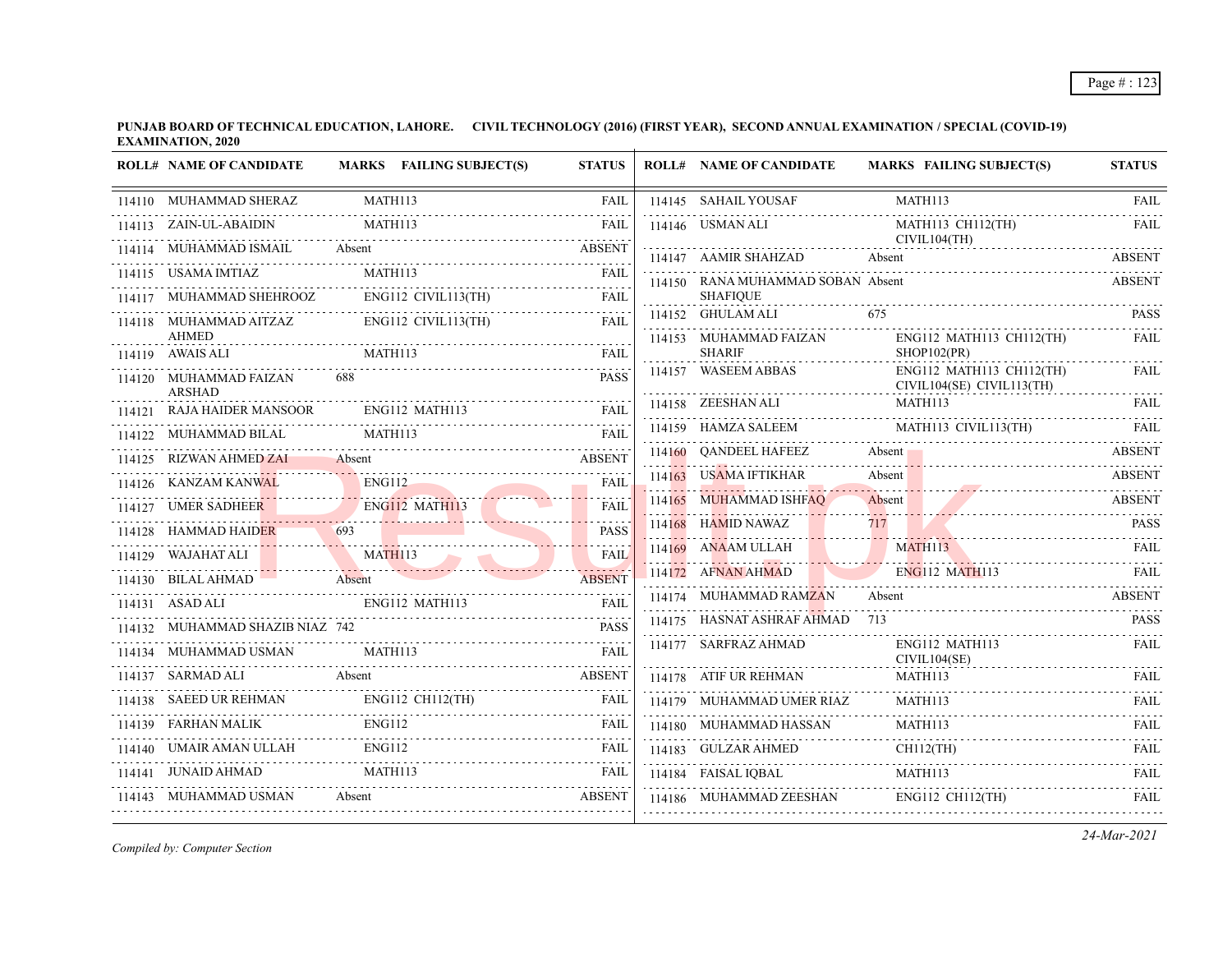| <b>ROLL# NAME OF CANDIDATE</b>           |                         | MARKS FAILING SUBJECT(S)   | <b>STATUS</b> | <b>ROLL# NAME OF CANDIDATE</b>           |        | <b>MARKS FAILING SUBJECT(S)</b>                       | <b>STATUS</b>    |
|------------------------------------------|-------------------------|----------------------------|---------------|------------------------------------------|--------|-------------------------------------------------------|------------------|
| 114110 MUHAMMAD SHERAZ                   | MATH113                 |                            | <b>FAIL</b>   | 114145 SAHAIL YOUSAF                     |        | MATH113                                               | <b>FAIL</b>      |
| 114113 ZAIN-UL-ABAIDIN                   | MATH113                 |                            | <b>FAIL</b>   | 114146 USMAN ALI                         |        | MATH113 CH112(TH)                                     | <b>FAIL</b>      |
| 114114 MUHAMMAD ISMAIL                   | Absent                  |                            | <b>ABSENT</b> | 114147 AAMIR SHAHZAD                     | Absent | CIVIL104(TH)                                          | <b>ABSENT</b>    |
| 114115 USAMA IMTIAZ                      |                         | MATH113                    | <b>FAIL</b>   | 114150 RANA MUHAMMAD SOBAN Absent        |        |                                                       | <b>ABSENT</b>    |
| 114117 MUHAMMAD SHEHROOZ                 |                         | ENG112 CIVIL113(TH)        | <b>FAIL</b>   | <b>SHAFIQUE</b>                          |        |                                                       |                  |
| 114118 MUHAMMAD AITZAZ<br><b>AHMED</b>   |                         | $ENG112$ CIVIL113(TH)      | FAII.         | 114152 GHULAM ALI                        | 675    |                                                       | <b>PASS</b>      |
| 114119 AWAIS ALI                         |                         |                            | <b>FAIL</b>   | 114153 MUHAMMAD FAIZAN<br><b>SHARIF</b>  |        | ENG112 MATH113 CH112(TH)<br>SHOP102(PR)               | <b>FAIL</b><br>. |
| 114120 MUHAMMAD FAIZAN                   | 688                     |                            | <b>PASS</b>   | 114157 WASEEM ABBAS                      |        | ENG112 MATH113 CH112(TH)<br>CIVIL104(SE) CIVIL113(TH) | <b>FAIL</b>      |
| ARSHAD<br>RAJA HAIDER MANSOOR            |                         | ENG112 MATH113             | FAII.         | 114158 ZEESHAN ALI                       |        | MATH113                                               | <b>FAIL</b>      |
| 114122 MUHAMMAD BILAL                    | MATH113                 |                            | FAIL          | 114159 HAMZA SALEEM MATH113 CIVIL113(TH) |        |                                                       | - FAIL           |
| 114125 RIZWAN AHMED ZAI                  | Absent                  |                            | <b>ABSENT</b> | 114160 QANDEEL HAFEEZ                    | Absent |                                                       | ABSENT           |
| 114126 KANZAM KANWAL                     | <b>ENG112</b>           |                            | FAIL          | 114163 USAMA IFTIKHAR                    | Absent |                                                       | <b>ABSENT</b>    |
| 114127 UMER SADHEER                      |                         | ENG112 MATH113             | <b>FAIL</b>   | 114165 MUHAMMAD ISHFAQ                   | Absent | Absent ABSENT                                         | <b>ABSENT</b>    |
| 114128 HAMMAD HAIDER                     | 693                     |                            | <b>PASS</b>   | 114168 HAMID NAWAZ                       | 717    |                                                       | <b>PASS</b>      |
| 114129 WAJAHAT ALI                       | MATH113<br><b>TABLE</b> |                            | <b>FAIL</b>   | 114169 ANAAM ULLAH                       |        | MATH113                                               | FAIL             |
| 114130 BILAL AHMAD                       | Absent                  |                            | <b>ABSENT</b> | 114172 AFNAN AHMAD                       |        | <b>ENG112 MATH113</b>                                 | FAIL             |
| <b>ENG112 MATH113</b><br>114131 ASAD ALI |                         |                            | <b>FAIL</b>   | 114174 MUHAMMAD RAMZAN                   | Absent |                                                       | <b>ABSENT</b>    |
| 114132 MUHAMMAD SHAZIB NIAZ 742          |                         |                            | <b>PASS</b>   | 114175 HASNAT ASHRAF AHMAD 713           |        |                                                       | <b>PASS</b>      |
| 114134 MUHAMMAD USMAN                    | <b>MATH113</b>          |                            | <b>FAII</b>   | 114177 SARFRAZ AHMAD                     |        | ENG112 MATH113<br>CIVIL104(SE)                        | FAIL             |
| 114137 SARMAD ALI                        | Absent                  |                            | <b>ABSENT</b> | 114178 ATIF UR REHMAN                    |        | MATH113                                               | <b>FAIL</b>      |
| 114138 SAEED UR REHMAN<br>.              |                         | ENG112 CH112(TH)           | FAIL          | 114179 MUHAMMAD UMER RIAZ                |        | MATH113                                               | <b>FAIL</b>      |
| 114139 FARHAN MALIK                      | <b>ENG112</b>           |                            | FAIL          | 114180 MUHAMMAD HASSAN<br>.              |        | MATH113                                               | <b>FAIL</b>      |
| UMAIR AMAN ULLAH                         | <b>ENG112</b>           |                            | <b>FAIL</b>   | 114183 GULZAR AHMED                      |        | $CH112$ (TH)                                          | FAIL<br>.        |
| 114141 JUNAID AHMAD                      | MATH113                 |                            | FAIL          | 114184 FAISAL IQBAL                      |        | MATH113                                               | FAII.            |
| 114143 MUHAMMAD USMAN                    |                         | FAMMAD USMAN Absent ABSENT | ABSENT        | 114186 MUHAMMAD ZEESHAN                  |        | ENG112 CH112(TH)                                      | FAIL             |
|                                          |                         |                            |               |                                          |        |                                                       |                  |

*Compiled by: Computer Section*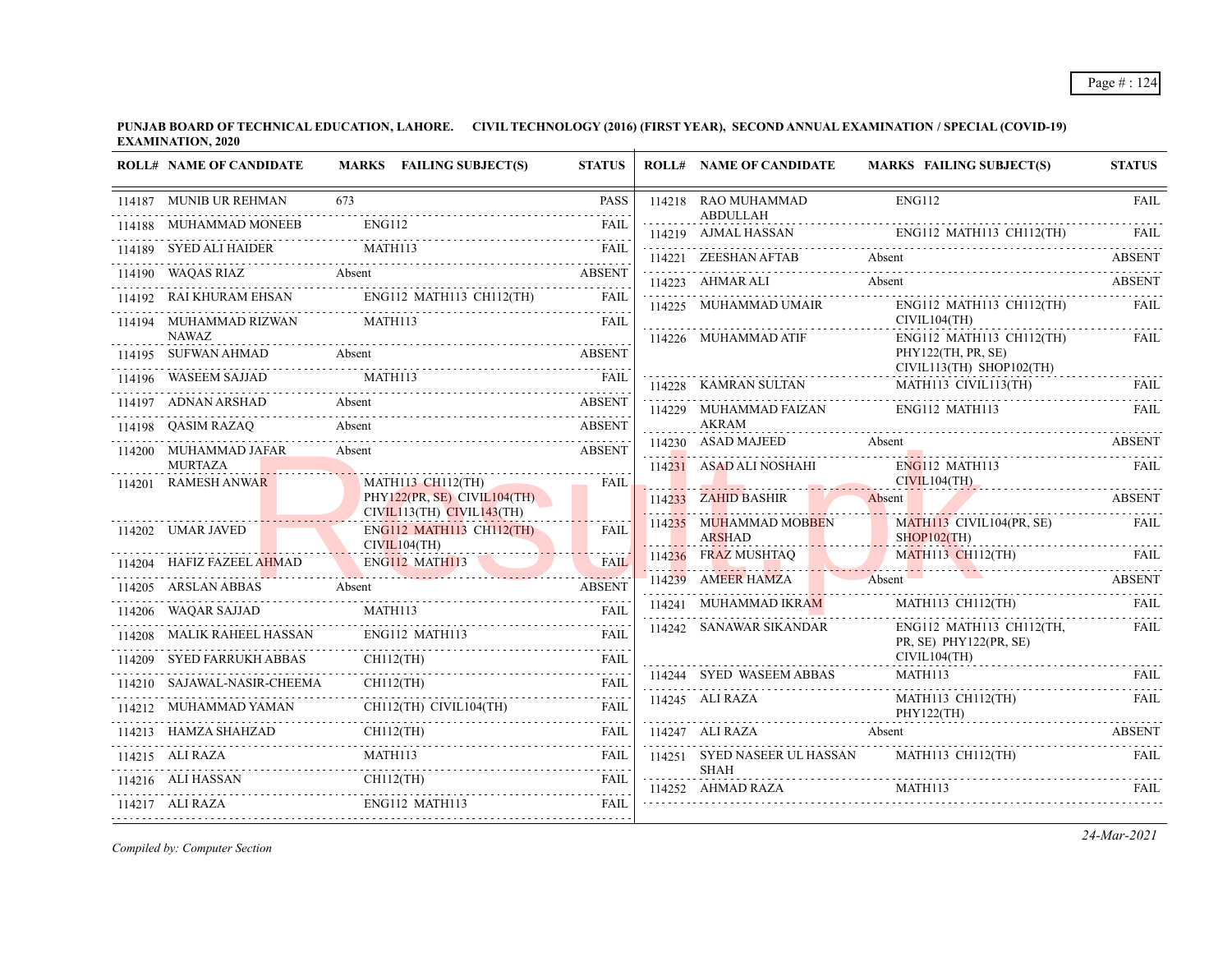|        | <b>ROLL# NAME OF CANDIDATE</b>        | <b>MARKS</b> FAILING SUBJECT(S)                                                   | <b>STATUS</b>    | <b>ROLL# NAME OF CANDIDATE</b>          | <b>MARKS FAILING SUBJECT(S)</b>                                             | <b>STATUS</b> |
|--------|---------------------------------------|-----------------------------------------------------------------------------------|------------------|-----------------------------------------|-----------------------------------------------------------------------------|---------------|
|        | 114187 MUNIB UR REHMAN                | 673                                                                               | <b>PASS</b>      | 114218 RAO MUHAMMAD                     | <b>ENG112</b>                                                               | <b>FAIL</b>   |
|        | 114188 MUHAMMAD MONEEB                | ENG112                                                                            | FAII.            | <b>ABDULLAH</b><br>114219 AJMAL HASSAN  | ENG112 MATH113 CH112(TH)                                                    |               |
|        | 114189 SYED ALI HAIDER                | MATH113                                                                           | FAII.            | 114221 ZEESHAN AFTAB                    | Absent                                                                      | ABSENT        |
|        | <b>Absent</b><br>114190 WAQAS RIAZ    |                                                                                   | <b>ABSENT</b>    | 114223 AHMAR ALI                        | Absent                                                                      | <b>ABSENT</b> |
|        | 114192 RAI KHURAM EHSAN               |                                                                                   |                  | 114225 MUHAMMAD UMAIR                   | ENG112 MATH113 CH112(TH)                                                    | FAIL          |
|        | 114194 MUHAMMAD RIZWAN                | MATH113                                                                           | <b>FAIL</b>      |                                         | CIVIL104(TH)                                                                |               |
|        | <b>NAWAZ</b><br>114195 SUFWAN AHMAD   | Absent                                                                            | <b>ABSENT</b>    | 114226 MUHAMMAD ATIF                    | ENG112 MATH113 CH112(TH)<br>PHY122(TH, PR, SE)                              | FAIL          |
|        | 114196 WASEEM SAJJAD                  | MATH113                                                                           | <b>FAIL</b>      | 114228 KAMRAN SULTAN                    | CIVIL113(TH) SHOP102(TH)<br>MATH113 CIVIL113(TH)                            | <b>FAIL</b>   |
|        | 114197 ADNAN ARSHAD                   | Absent                                                                            | <b>ABSENT</b>    | 114229 MUHAMMAD FAIZAN                  | ENG112 MATH113                                                              | <b>FAIL</b>   |
|        | 114198 QASIM RAZAQ                    | Absent                                                                            | <b>ABSENT</b>    | <b>AKRAM</b>                            |                                                                             |               |
|        | 114200 MUHAMMAD JAFAR                 | Absent                                                                            | <b>ABSENT</b>    | 114230 ASAD MAJEED                      | Absent                                                                      | <b>ABSENT</b> |
|        | <b>MURTAZA</b><br><b>RAMESH ANWAR</b> |                                                                                   | FAIL             | 114231 ASAD ALI NOSHAHI                 | $ENG112$ MATH113<br>CIVIL104(TH)                                            | <b>FAIL</b>   |
| 114201 |                                       | MATH113 CH112(TH)<br>PHY122(PR, SE) CIVIL104(TH)<br>$CIVIL113(TH)$ $CIVIL143(TH)$ |                  | 114233 ZAHID BASHIR                     | Absent                                                                      | ABSENT        |
|        | 114202 UMAR JAVED                     | ENG112 MATH113 CH112(TH)<br>CIVIL104(TH)                                          | <b>FAIL</b>      | 114235 MUHAMMAD MOBBEN<br><b>ARSHAD</b> | MATH113 CIVIL104(PR, SE)<br>$SHOP102$ (TH)                                  | FAIL          |
|        | 114204 HAFIZ FAZEEL AHMAD             | ENG112 MATH113                                                                    | <b>FAIL</b>      |                                         | 114236 FRAZ MUSHTAQ MATH113 CH112(TH) FAIL 114239 AMEER HAMZA Absent ABSENT |               |
|        | 114205 ARSLAN ABBAS                   | Absent                                                                            | <b>ABSENT</b>    |                                         |                                                                             |               |
|        | 114206 WAQAR SAJJAD                   | MATH113                                                                           | FAIL             | 114241 MUHAMMAD IKRAM                   | MATH113 CH112(TH)                                                           | <b>FAIL</b>   |
|        | 114208 MALIK RAHEEL HASSAN            | ENG112 MATH113                                                                    | <b>FAIL</b>      | 114242 SANAWAR SIKANDAR                 | ENG112 MATH113 CH112(TH,<br>PR, SE) PHY122(PR, SE)                          | FAIL          |
|        | 114209 SYED FARRUKH ABBAS             | $CH112$ (TH)                                                                      | FAIL             |                                         | CIVIL104(TH)                                                                |               |
|        | 114210 SAJAWAL-NASIR-CHEEMA           | $CH112$ (TH)                                                                      | <b>FAIL</b>      | 114244 SYED WASEEM ABBAS                | MATH113                                                                     | FAIL          |
|        | 114212 MUHAMMAD YAMAN                 | CH112(TH) CIVIL104(TH)                                                            | FAIL             | 114245 ALI RAZA                         | MATH113 CH112(TH)<br>PHY122(TH)                                             | FAIL          |
|        |                                       | $CH112$ (TH)                                                                      | FAIL             | 114247 ALI RAZA                         | Absent                                                                      | ABSENT        |
|        | 114215 ALI RAZA                       | MATH113                                                                           | <b>FAIL</b><br>. | 114251 SYED NASEER UL HASSAN            | MATH113 CH112(TH)                                                           | <b>FAIL</b>   |
|        | 114216 ALI HASSAN                     | CH112(TH)                                                                         | FAIL             | <b>SHAH</b><br>114252 AHMAD RAZA        | MATH113                                                                     | FAIL          |
|        | 114217 ALI RAZA                       | ENG112 MATH113                                                                    | FAIL             |                                         |                                                                             |               |
|        |                                       |                                                                                   |                  |                                         |                                                                             |               |

*Compiled by: Computer Section*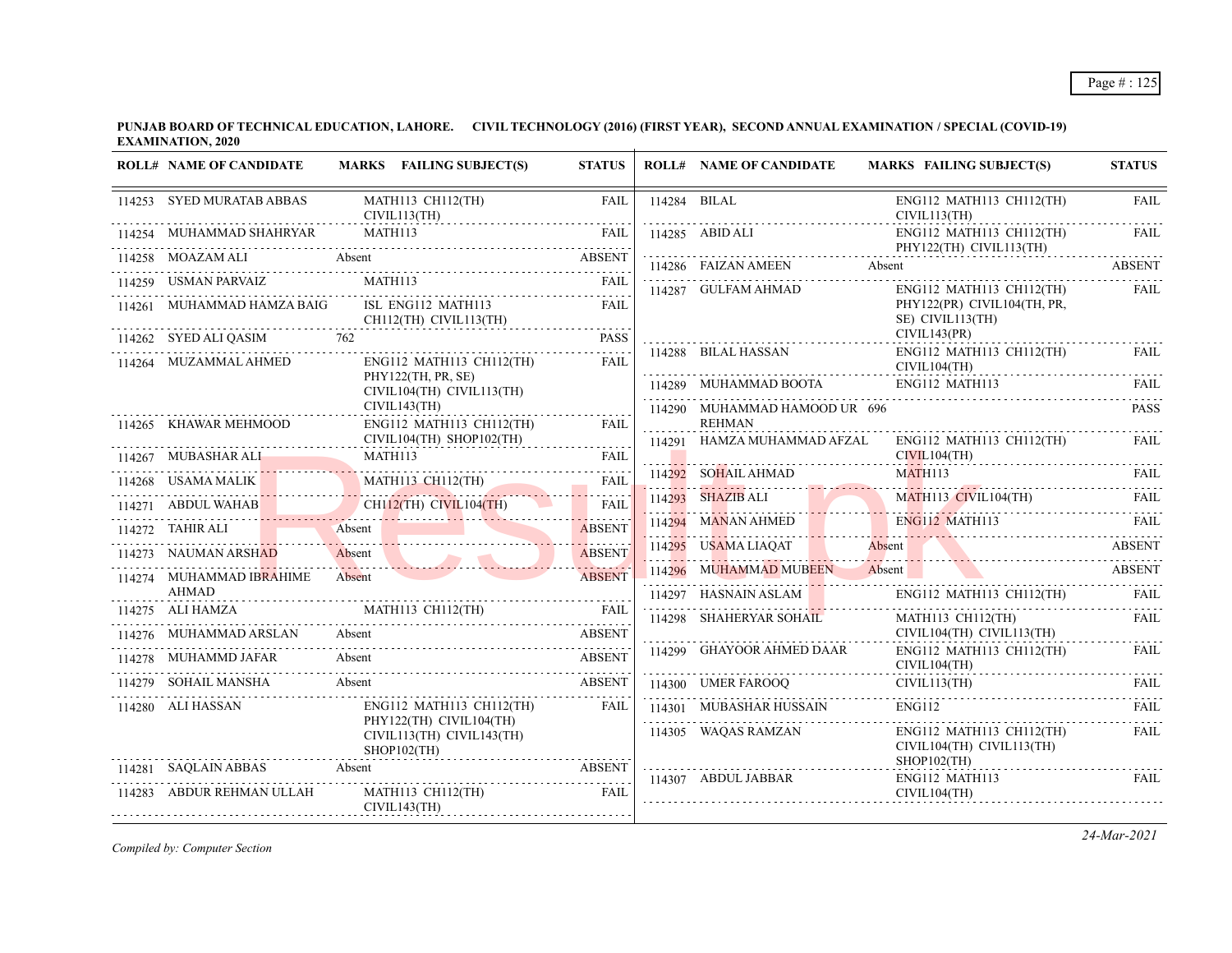| <b>ROLL# NAME OF CANDIDATE</b> | MARKS FAILING SUBJECT(S)                                                                                                                                                                                                      | <b>STATUS</b> | <b>ROLL# NAME OF CANDIDATE</b>                 | <b>MARKS FAILING SUBJECT(S)</b>                                                                                                     | <b>STATUS</b>      |
|--------------------------------|-------------------------------------------------------------------------------------------------------------------------------------------------------------------------------------------------------------------------------|---------------|------------------------------------------------|-------------------------------------------------------------------------------------------------------------------------------------|--------------------|
| 114253 SYED MURATAB ABBAS      | MATH113 CH112(TH)<br>CIVIL113(TH)                                                                                                                                                                                             | <b>FAIL</b>   | 114284 BILAL                                   | ENG112 MATH113 CH112(TH)<br>CIVIL113(TH)                                                                                            | <b>FAIL</b>        |
| 114254 MUHAMMAD SHAHRYAR       | MATH113                                                                                                                                                                                                                       | <b>FAIL</b>   |                                                | $ENG112$ MATH113 CH112(TH)<br>PHY122(TH) CIVIL113(TH)                                                                               | FAII.              |
| 114258 MOAZAM ALI<br>Absent    |                                                                                                                                                                                                                               | ABSENT        | 114286 FAIZAN AMEEN Absent                     |                                                                                                                                     | .<br><b>ABSENT</b> |
| 114259 USMAN PARVAIZ           | <b>MATH113</b>                                                                                                                                                                                                                | FAII.         | 114287 GULFAM AHMAD                            | ENG112 MATH113 CH112(TH)                                                                                                            | <b>FAIL</b>        |
| 114261 MUHAMMAD HAMZA BAIG     | ISL ENG112 MATH113<br>CH112(TH) CIVIL113(TH)                                                                                                                                                                                  | FAIL          |                                                | PHY122(PR) CIVIL104(TH, PR,<br>SE) CIVIL113(TH)<br>CIVIL143(PR)                                                                     |                    |
| 114262 SYED ALI QASIM 762      |                                                                                                                                                                                                                               | <b>PASS</b>   | 114288 BILAL HASSAN                            | ENG112 MATH113 CH112(TH)                                                                                                            | FAII.              |
| 114264 MUZAMMAL AHMED          | $ENG112$ MATH113 CH112(TH)                                                                                                                                                                                                    | <b>FAIL</b>   |                                                | CIVIL104(TH)                                                                                                                        |                    |
|                                | PHY122(TH, PR, SE)<br>CIVIL104(TH) CIVIL113(TH)                                                                                                                                                                               |               | 114289 MUHAMMAD BOOTA                          | ENG112 MATH113                                                                                                                      | FAIL               |
| 114265 KHAWAR MEHMOOD          | CIVIL143(TH)<br>$ENG112$ MATH113 CH112(TH)                                                                                                                                                                                    | <b>FAIL</b>   | 114290 MUHAMMAD HAMOOD UR 696<br><b>REHMAN</b> |                                                                                                                                     | <b>PASS</b>        |
|                                | CIVIL104(TH) SHOP102(TH)                                                                                                                                                                                                      |               | 114291 HAMZA MUHAMMAD AFZAL                    | ENG112 MATH113 CH112(TH)                                                                                                            | <b>FAIL</b>        |
| 114267 MUBASHAR ALI M          | MATH113                                                                                                                                                                                                                       | FAIL          |                                                | CIVIL104(TH)                                                                                                                        |                    |
|                                | 114268 USAMA MALIK MATHI13 CH112(TH) FAIL                                                                                                                                                                                     |               | 114292 SOHAIL AHMAD                            | MATH <sub>113</sub>                                                                                                                 | - FAIL             |
|                                | 114271 ABDUL WAHAB CHIL2(TH) CIVIL104(TH) FAIL                                                                                                                                                                                |               |                                                | 114293 SHAZIB ALI MATHI13 CIVILI04(TH)                                                                                              | - FAIL             |
|                                | THE RESERVE THE CONTRACT ASSEMBLE TO A SERVE THE CONTRACT OF A SERVE THE CONTRACT OF A SERVE THE CONTRACT OF A SERVE THE CONTRACT OF A SERVE THE CONTRACT OF A SERVE THAT A SERVE THE CONTRACT OF A SERVE THAT A SERVE THAT A | <b>ABSENT</b> |                                                | 114294 MANAN AHMED ENGIL2 MATHI13 FAIL                                                                                              |                    |
| 114273 NAUMAN ARSHAD           | 14273 NAUMAN ARSHAD Absent                                                                                                                                                                                                    | <b>ABSENT</b> | 114295 USAMA LIAQAT Absent                     |                                                                                                                                     | <b>ABSENT</b>      |
| 114274 MUHAMMAD IBRAHIME       | Absent                                                                                                                                                                                                                        | <b>ABSENT</b> |                                                | 114295 USAMA LIAQAT Absent ABSENT ABSENT ABSENT ABSENT ABSENT ABSENT ABSENT ABSENT ABSENT ABSENT ABSENT ABSENT                      |                    |
| <b>AHMAD</b>                   |                                                                                                                                                                                                                               |               | $114297$ HASNAIN ASLAM                         | ENG112 MATH113 CH112(TH)                                                                                                            |                    |
| 114275 ALI HAMZA               | 114275 ALI HAMZA MATHI13 CHI12(TH) FAIL                                                                                                                                                                                       |               | 114298 SHAHERYAR SOHAIL                        | MATH113 CH112(TH)                                                                                                                   | FAIL               |
| 114276 MUHAMMAD ARSLAN Absent  |                                                                                                                                                                                                                               | ABSENT        |                                                | CIVIL104(TH) CIVIL113(TH)                                                                                                           |                    |
| 114278 MUHAMMD JAFAR           | Absent                                                                                                                                                                                                                        | ABSENT        | 114299 GHAYOOR AHMED DAAR                      | ENG112 MATH113 CH112(TH)<br>CIVIL104(TH)                                                                                            | FAIL               |
| 114279 SOHAIL MANSHA           | Absent                                                                                                                                                                                                                        | <b>ABSENT</b> |                                                | $\begin{tabular}{ll} 114300 & UMER FAROOQ & CIVIL113(TH) & FAIL \\ & & \multicolumn{2}{l}{0.025\textwidth} & FAIL \\ \end{tabular}$ |                    |
| 114280 ALI HASSAN              | ENG112 MATH113 CH112(TH)<br>PHY122(TH) CIVIL104(TH)                                                                                                                                                                           | <b>FAIL</b>   | 114301 MUBASHAR HUSSAIN                        | <b>ENG112</b>                                                                                                                       | <b>FAIL</b>        |
|                                | CIVIL113(TH) CIVIL143(TH)<br>$SHOP102$ (TH)                                                                                                                                                                                   |               | 114305 WAQAS RAMZAN                            | $ENG112$ MATH113 CH112(TH)<br>CIVIL104(TH) CIVIL113(TH)<br>$SHOP102$ (TH)                                                           | FAIL               |
| 114281 SAQLAIN ABBAS           | SAQLAIN ABBAS Absent ABSEN                                                                                                                                                                                                    | <b>ABSENT</b> | 114307 ABDUL JABBAR                            | ENG112 MATH113                                                                                                                      | FAIL               |
| 114283 ABDUR REHMAN ULLAH      | MATH113 CH112(TH)<br>CIVIL143(TH)                                                                                                                                                                                             | <b>FAIL</b>   |                                                | CIVIL104(TH)                                                                                                                        |                    |

*Compiled by: Computer Section*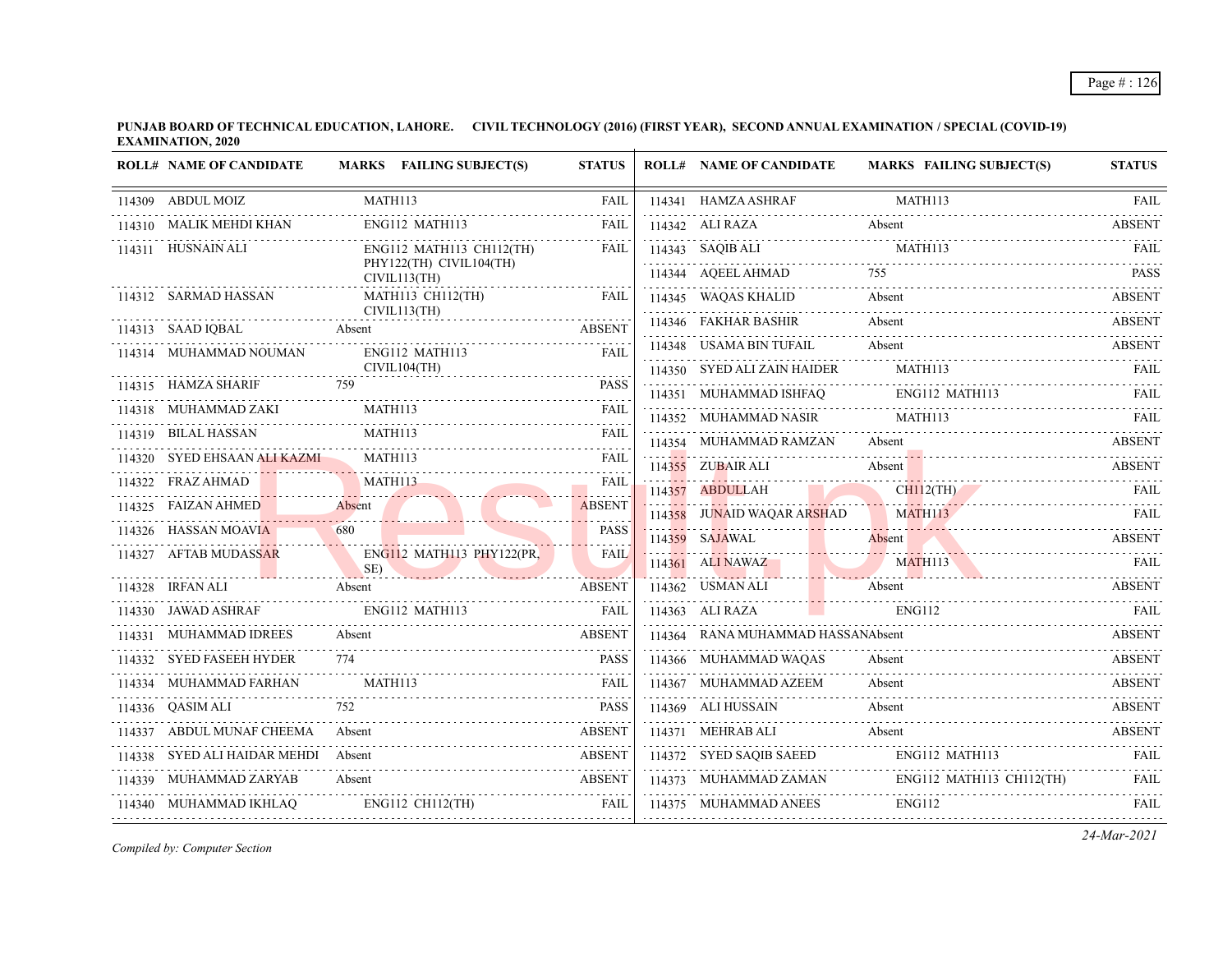**PUNJAB BOARD OF TECHNICAL EDUCATION, LAHORE. CIVIL TECHNOLOGY (2016) (FIRST YEAR), SECOND ANNUAL EXAMINATION / SPECIAL (COVID-19) EXAMINATION, 2020**  $\overline{1}$ 

| <b>ROLL# NAME OF CANDIDATE</b>       | MARKS FAILING SUBJECT(S)                         | <b>STATUS</b> | <b>ROLL# NAME OF CANDIDATE</b>     | <b>MARKS FAILING SUBJECT(S)</b>                                                                             | <b>STATUS</b> |
|--------------------------------------|--------------------------------------------------|---------------|------------------------------------|-------------------------------------------------------------------------------------------------------------|---------------|
| 114309 ABDUL MOIZ                    | MATH113                                          | <b>FAIL</b>   | 114341 HAMZA ASHRAF                | MATH113                                                                                                     | <b>FAIL</b>   |
| 114310 MALIK MEHDI KHAN              | ENG112 MATH113                                   | FAIL          | 114342 ALI RAZA                    | Absent                                                                                                      | <b>ABSENT</b> |
| 114311 HUSNAIN ALI                   | ENG112 MATH113 CH112(TH)                         | <b>FAIL</b>   |                                    | 114343 SAQIB ALI MATH113 FAIL MATH113                                                                       |               |
|                                      | PHY122(TH) CIVIL104(TH)<br>CIVIL113(TH)          |               | 114344 AQEEL AHMAD                 |                                                                                                             | <b>PASS</b>   |
| 114312 SARMAD HASSAN                 | MATH113 CH112(TH)                                | FAIL          | 114345 WAQAS KHALID                | Absent                                                                                                      | <b>ABSENT</b> |
| 114313 SAAD IQBAL                    | CIVIL113(TH)<br>$\mathbf{L}$ Absent $\mathbf{A}$ | <b>ABSENT</b> | 114346 FAKHAR BASHIR               | Absent<br>114346 FAKHAK BASHIK Absent ABSENT                                                                | <b>ABSENT</b> |
| 114314 MUHAMMAD NOUMAN               | ENG112 MATH113                                   | FAIL          | 114348 USAMA BIN TUFAIL            | Absent                                                                                                      |               |
|                                      | CIVIL104(TH)                                     |               | 114350 SYED ALI ZAIN HAIDER        | MATH113                                                                                                     | FAIL          |
| 114315 HAMZA SHARIF                  | 759                                              | <b>PASS</b>   |                                    | $114351 \quad \text{MUHAMMAD ISHFAQ} \quad \quad \text{ENG112 MATH113} \quad \quad \text{FAIL} \quad \quad$ |               |
| 114318 MUHAMMAD ZAKI N               | <b>MATH113</b>                                   | <b>FAIL</b>   | 114352 MUHAMMAD NASIR              | MATH113                                                                                                     | FAIL          |
| 114319 BILAL HASSAN                  | MATH113                                          | <b>FAIL</b>   | 114354 MUHAMMAD RAMZAN             | Absent                                                                                                      | <b>ABSENT</b> |
| 114320 SYED EHSAAN ALI KAZMI MATH113 |                                                  | <b>FAIL</b>   |                                    | 114355 ZUBAIR ALI Absent Absent ABSENT                                                                      |               |
| 114322 FRAZ AHMAD                    | MATH113<br>14322 FRAZ AHMAD MATHI13 FAIL         |               |                                    | 114357 ABDULLAH CHII2(TH) FAIL                                                                              |               |
|                                      | 114325 FAIZAN AHMED Absent ABSENT ABSENT         | <b>ABSENT</b> | 114358 JUNAID WAQAR ARSHAD MATH113 | 114358 JUNAID WAQAR ARSHAD MATHI13 FAIL                                                                     |               |
| 114326 HASSAN MOAVIA                 | 680                                              | <b>PASS</b>   | 114359 SAJAWAL                     | Absent                                                                                                      | ABSENT        |
| 114327 AFTAB MUDASSAR                | ENG112 MATH113 PHY122(PR,<br>SE)                 | <b>FAIL</b>   |                                    | 114361 ALINAWAZ MATHI13 FAIL                                                                                |               |
| 114328 IRFAN ALI<br><b>Absent</b>    |                                                  | ABSENT        | 114362 USMAN ALI                   | Absent                                                                                                      | <b>ABSENT</b> |
| 114330 JAWAD ASHRAF                  |                                                  |               | 114363 ALI RAZA                    | ENG112                                                                                                      | <b>FAIL</b>   |
| 114331 MUHAMMAD IDREES               | Absent                                           | <b>ABSENT</b> | 114364 RANA MUHAMMAD HASSANAbsent  |                                                                                                             | ABSENT        |
| 114332 SYED FASEEH HYDER             | 774                                              | <b>PASS</b>   | 114366 MUHAMMAD WAQAS              | Absent                                                                                                      | ABSENT        |
| 114334 MUHAMMAD FARHAN               | MATH113                                          |               | 114367 MUHAMMAD AZEEM              | Absent                                                                                                      | <b>ABSENT</b> |
| 114336 QASIM ALI                     | 752                                              | <b>PASS</b>   | 114369 ALI HUSSAIN<br>.            | Absent                                                                                                      | <b>ABSENT</b> |
| 114337 ABDUL MUNAF CHEEMA            | Absent ABSENT<br>Absent                          |               | 114371 MEHRAB ALI                  | Absent                                                                                                      | <b>ABSENT</b> |
| 114338 SYED ALI HAIDAR MEHDI Absent  | IDAR MEHDI Absent ABSENT                         | <b>ABSENT</b> |                                    | 114372 SYED SAQIB SAEED ENG112 MATH113 FAIL                                                                 |               |
| 114339 MUHAMMAD ZARYAB               | Absent                                           | <b>ABSENT</b> |                                    | 114373 MUHAMMAD ZAMAN ENG112 MATH113 CH112(TH)                                                              | <b>FAIL</b>   |
| 114340 MUHAMMAD IKHLAQ               | $ENG112 \tCH112(TH)$                             | FAIL          | 114375 MUHAMMAD ANEES ENG112       |                                                                                                             | FAIL          |
|                                      |                                                  |               |                                    |                                                                                                             |               |

*Compiled by: Computer Section*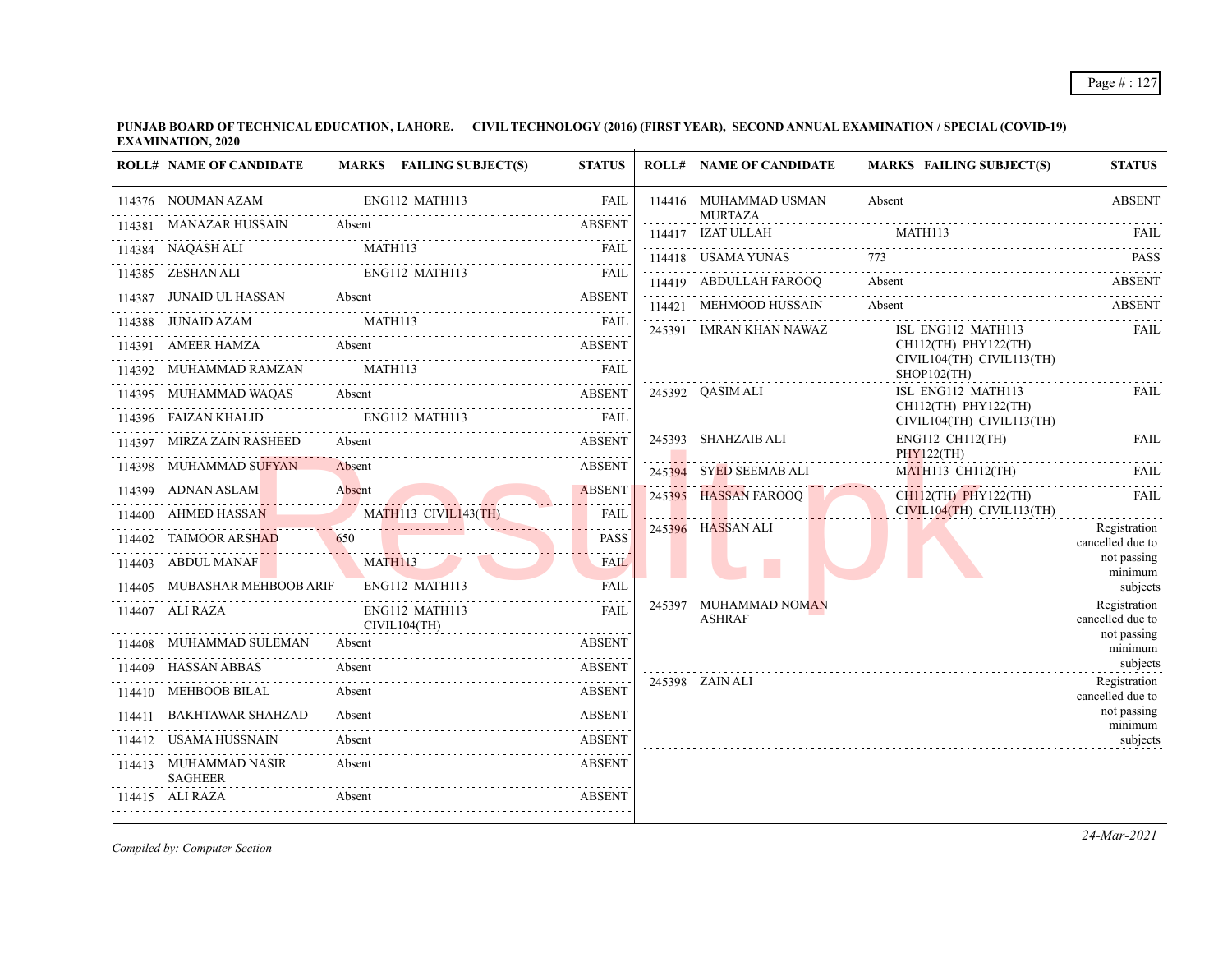| <b>ROLL# NAME OF CANDIDATE</b>                            |        | MARKS FAILING SUBJECT(S)       | <b>STATUS</b> | <b>ROLL# NAME OF CANDIDATE</b>          | <b>MARKS FAILING SUBJECT(S)</b>                      | <b>STATUS</b>                    |
|-----------------------------------------------------------|--------|--------------------------------|---------------|-----------------------------------------|------------------------------------------------------|----------------------------------|
| 114376 NOUMAN AZAM                                        |        | ENG112 MATH113                 | <b>FAIL</b>   | 114416 MUHAMMAD USMAN<br><b>MURTAZA</b> | Absent                                               | <b>ABSENT</b>                    |
| 114381 MANAZAR HUSSAIN                                    | Absent |                                | ABSENT        | 114417 IZAT ULLAH                       | MATH113                                              | - FAIL                           |
| 114384 NAQASH ALI MATH113 FAIL FAIL                       |        |                                |               | 114418 USAMA YUNAS                      |                                                      | <b>PASS</b>                      |
| 114385 ZESHAN ALI ENGI12 MATH113 FAIL                     |        |                                |               | 114419 ABDULLAH FAROOO                  | Absent                                               | <b>ABSENT</b>                    |
| 114387 JUNAID UL HASSAN Absent                            |        | <b>ABSENT</b>                  |               | 114421 MEHMOOD HUSSAIN                  | Absent                                               | ABSENT                           |
| 114388 JUNAID AZAM MATH113                                |        |                                | FAII.         | 245391 IMRAN KHAN NAWAZ                 | ISL ENG112 MATH113                                   | FAIL                             |
| 114391 AMEER HAMZA Absent ABSENT                          |        |                                |               |                                         | CH112(TH) PHY122(TH)                                 |                                  |
| 114392 MUHAMMAD RAMZAN MATH113                            |        |                                | FAII.         |                                         | CIVIL104(TH) CIVIL113(TH)<br>$SHOP102$ (TH)          |                                  |
| 114395 MUHAMMAD WAQAS Absent                              |        |                                |               | 245392 OASIM ALI                        | ISL ENG112 MATH113                                   | FAIL                             |
| 114396 FAIZAN KHALID                                      |        | ENG112 MATH113                 | <b>EAIL</b>   |                                         | $CH112$ (TH) PHY122(TH)<br>CIVIL104(TH) CIVIL113(TH) | <u>.</u>                         |
| 114397 MIRZA ZAIN RASHEED Absent                          |        |                                | <b>ABSENT</b> | 245393 SHAHZAIB ALI                     | ENG112 CH112(TH)                                     | <b>FAIL</b>                      |
| 114398 MUHAMMAD SUFYAN Absent                             |        |                                | <b>ABSENT</b> | 245394 SYED SEEMAB ALI                  | PHY122(TH)<br>MATH113 CH112(TH)                      | FAIL                             |
| 114399 ADNAN ASLAM<br>114399 ADNAN ASLAM Absent ABSENT    |        |                                |               | . <u>.</u><br>245395 HASSAN FAROOQ      | $CH112$ (TH) PHY122(TH)                              | - FAIL                           |
| 114400 AHMED HASSAN MATH113 CIVIL143(TH)                  |        |                                | <b>FAIL</b>   |                                         | $CIVIL104(TH)$ $CIVIL113(TH)$                        | .                                |
| 114402 TAIMOOR ARSHAD 650 PASS                            |        |                                | <b>PASS</b>   | 245396 HASSAN ALI                       |                                                      | Registration<br>cancelled due to |
| 114403 ABDUL MANAF MATH113                                |        | MANAF MATHI13 FAIL             |               |                                         |                                                      | not passing                      |
| 114405 MUBASHAR MEHBOOB ARIF                              |        | ENG112 MATH113                 | FAIL          |                                         |                                                      | minimum<br>subjects              |
| 114407 ALI RAZA                                           |        | ENG112 MATH113<br>CIVIL104(TH) | FAIL          | 245397 MUHAMMAD NOMAN<br><b>ASHRAF</b>  |                                                      | Registration<br>cancelled due to |
| 114408 MUHAMMAD SULEMAN Absent                            |        |                                | ABSENT        |                                         |                                                      | not passing<br>minimum           |
| 114409 HASSAN ABBAS                                       | Absent |                                | <b>ABSENT</b> |                                         |                                                      | subjects                         |
| 14410 MEHBOOB BILAL Absent ABSENT<br>114410 MEHBOOB BILAL |        |                                |               | 245398 ZAIN ALI                         |                                                      | Registration<br>cancelled due to |
| 114411 BAKHTAWAR SHAHZAD                                  |        | WAR SHAHZAD Absent ABSENT      |               |                                         |                                                      | not passing                      |
| 114412 USAMA HUSSNAIN                                     | Absent |                                | <b>ABSENT</b> |                                         |                                                      | minimum<br>subjects              |
| 114413 MUHAMMAD NASIR<br>SAGHEER                          | Absent |                                | <b>ABSENT</b> |                                         |                                                      |                                  |
| 114415 ALI RAZA                                           |        |                                |               |                                         |                                                      |                                  |
|                                                           |        |                                |               |                                         |                                                      |                                  |

*Compiled by: Computer Section*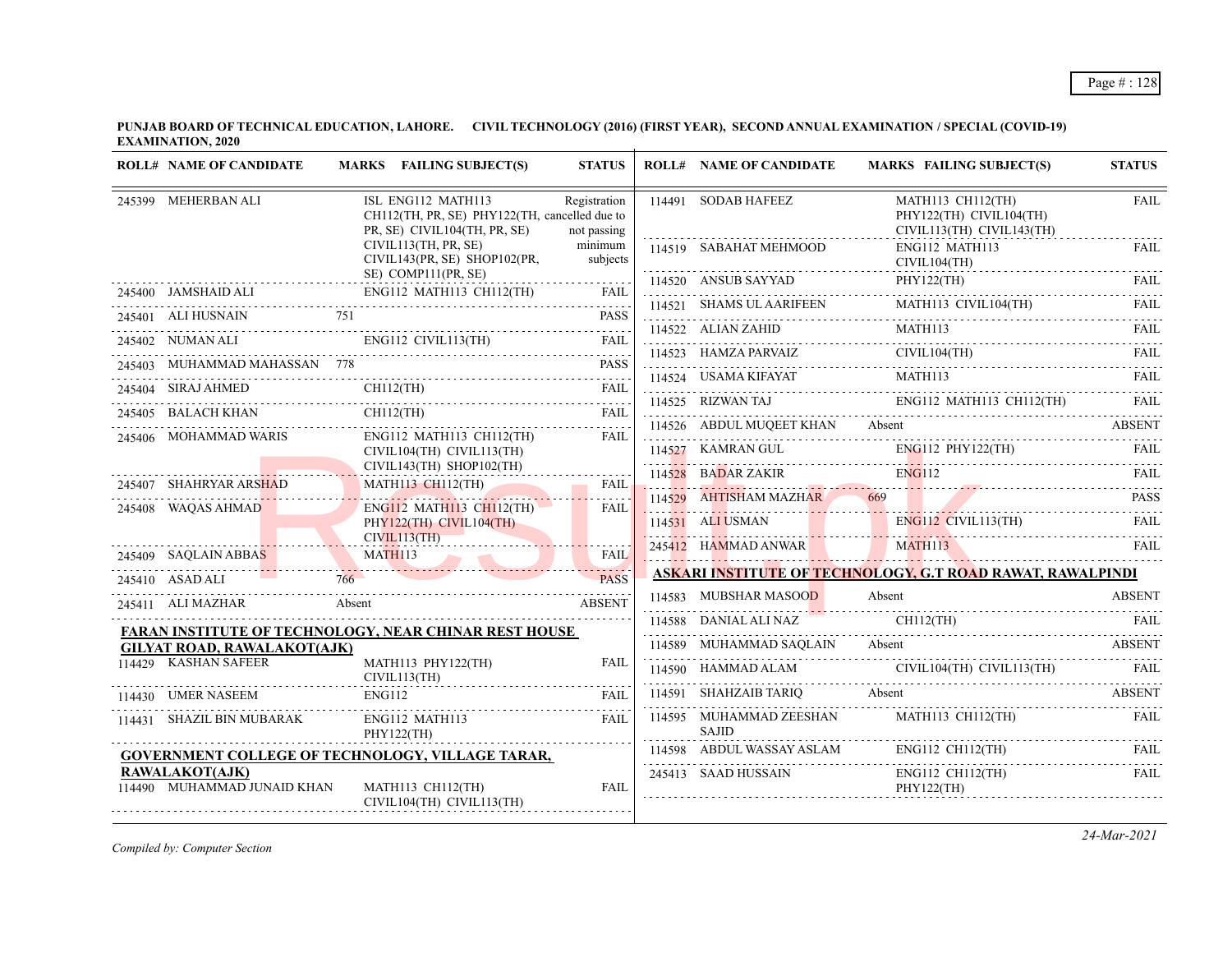| <b>ROLL# NAME OF CANDIDATE</b>                | MARKS FAILING SUBJECT(S)                                                                                                                                                                                                                                                                                                                                                                                                                                           | <b>STATUS</b>               | <b>ROLL# NAME OF CANDIDATE</b>   | <b>MARKS FAILING SUBJECT(S)</b>                                                                                                                                                                                                                                                                                                                                                                                                                                                                | <b>STATUS</b> |
|-----------------------------------------------|--------------------------------------------------------------------------------------------------------------------------------------------------------------------------------------------------------------------------------------------------------------------------------------------------------------------------------------------------------------------------------------------------------------------------------------------------------------------|-----------------------------|----------------------------------|------------------------------------------------------------------------------------------------------------------------------------------------------------------------------------------------------------------------------------------------------------------------------------------------------------------------------------------------------------------------------------------------------------------------------------------------------------------------------------------------|---------------|
| 245399 MEHERBAN ALI                           | ISL ENG112 MATH113<br>CH112(TH, PR, SE) PHY122(TH, cancelled due to<br>PR, SE) CIVIL104(TH, PR, SE)                                                                                                                                                                                                                                                                                                                                                                | Registration<br>not passing | 114491 SODAB HAFEEZ              | MATH113 CH112(TH)<br>PHY122(TH) CIVIL104(TH)<br>CIVIL113(TH) CIVIL143(TH)                                                                                                                                                                                                                                                                                                                                                                                                                      | <b>FAIL</b>   |
|                                               | CIVIL113(TH, PR, SE)<br>CIVIL143(PR, SE) SHOP102(PR,                                                                                                                                                                                                                                                                                                                                                                                                               | minimum<br>subjects         | 114519 SABAHAT MEHMOOD           | ENG112 MATH113                                                                                                                                                                                                                                                                                                                                                                                                                                                                                 | FAIL          |
|                                               | SE) COMP111(PR, SE)                                                                                                                                                                                                                                                                                                                                                                                                                                                |                             |                                  | $CIVIL104(TH)$<br>$114520$ ANSUB SAYYAD PHY122(TH) FAIL<br>$114520$ ANSUB SAYYAD PHY122(TH) FAIL                                                                                                                                                                                                                                                                                                                                                                                               |               |
| 245401 ALI HUSNAIN 751                        | 245400 JAMSHAID ALI ENGI12 MATHI13 CH112(TH) FAIL                                                                                                                                                                                                                                                                                                                                                                                                                  | <b>PASS</b>                 |                                  | $\begin{tabular}{c c c} \hline 114521 & SHAMS UL AARIFEEN & MATH113 CIVIL104(TH) & FAIL \\ \hline 114522 & ALIAN ZAHID & MATH113 & & & TAIL \\ \hline \end{tabular}$                                                                                                                                                                                                                                                                                                                           |               |
|                                               |                                                                                                                                                                                                                                                                                                                                                                                                                                                                    |                             |                                  |                                                                                                                                                                                                                                                                                                                                                                                                                                                                                                |               |
|                                               | $\begin{tabular}{ll} 245402 & NUMAN ALI & ENG112 CIVIL113(TH) & FAIL \\ \hline \end{tabular} \begin{tabular}{ll} \textbf{245402} & NUMAN ALI & & & ENG112 CIVIL113(TH) \\ \end{tabular} \begin{tabular}{ll} \textbf{245403} & MUHAMMAD MAHASSAN & 778 & & & & PASS \\ \end{tabular}$                                                                                                                                                                               |                             |                                  |                                                                                                                                                                                                                                                                                                                                                                                                                                                                                                |               |
|                                               |                                                                                                                                                                                                                                                                                                                                                                                                                                                                    |                             |                                  | $\begin{tabular}{lllllllll} \multicolumn{2}{l}{{\bf114523}} & {\bf HAMZA PARVAL} & {\bf CIVIL104(TH)} & {\bf FAL} \\ \multicolumn{2}{l}{\bf114524} & {\bf USAMA KIFAYAT} & {\bf MATH113} & {\bf FAL} \\ \multicolumn{2}{l}{\bf114524} & {\bf USAMA KIFAYAT} & {\bf MATH113} & {\bf FAL} \\ \end{tabular}$                                                                                                                                                                                      |               |
|                                               | $\begin{tabular}{ll} \multicolumn{2}{c}{\textbf{245404}} & \multicolumn{2}{c}{\textbf{SIRAJ AHMED}} & \multicolumn{2}{c}{\textbf{CH112(TH)}} & \multicolumn{2}{c}{\textbf{FAIL}} \\ \multicolumn{2}{c}{\textbf{245405}} & \multicolumn{2}{c}{\textbf{BALACH KHAMP}} & \multicolumn{2}{c}{\textbf{CH112(TH)}} & \multicolumn{2}{c}{\textbf{FAIL}} \\ \multicolumn{2}{c}{\textbf{245405}} & \multicolumn{2}{c}{\textbf{BALACH KHAMP}} & \multicolumn{2}{c}{\textbf{$ |                             |                                  | $114525 \quad \text{RIZWAN TAJ} \quad \text{ENG112 MATH113 CH112(TH)} \quad \text{FAIL} \quad \text{FAIL} \quad \text{FAIL} \quad \text{FAIL} \quad \text{FAIL} \quad \text{FAIL} \quad \text{FAIL} \quad \text{FAIL} \quad \text{FAIL} \quad \text{FAIL} \quad \text{FAIL} \quad \text{FAIL} \quad \text{FAIL} \quad \text{FAIL} \quad \text{FAIL} \quad \text{FAIL} \quad \text{FAIL} \quad \text{FAIL} \quad \text{FAIL} \quad \text{FAIL} \quad \text{FAIL} \quad \text{FAIL} \quad \text$ |               |
|                                               |                                                                                                                                                                                                                                                                                                                                                                                                                                                                    |                             |                                  |                                                                                                                                                                                                                                                                                                                                                                                                                                                                                                |               |
| 245406 MOHAMMAD WARIS                         | ENG112 MATH113 CH112(TH)<br>CIVIL104(TH) CIVIL113(TH)                                                                                                                                                                                                                                                                                                                                                                                                              | FAII.                       |                                  |                                                                                                                                                                                                                                                                                                                                                                                                                                                                                                |               |
|                                               | CIVIL143(TH) SHOP102(TH)                                                                                                                                                                                                                                                                                                                                                                                                                                           |                             |                                  | 114526 ABDUL MUQEET KHAN Absent ABSENT 114527 KAMRAN GUL ENG112 PHY122(TH) FAIL 114528 BADAR ZAKIR ENG112 PHY122(TH) FAIL 114528 BADAR ZAKIR ENG112 FAIL 114529 AHTISHAM MAZHAR 669 PASS                                                                                                                                                                                                                                                                                                       |               |
|                                               | MATH113 CH112(TH)<br>245407 SHAHRYAR ARSHAD MATH113 CH112(TH) FAIL                                                                                                                                                                                                                                                                                                                                                                                                 |                             |                                  |                                                                                                                                                                                                                                                                                                                                                                                                                                                                                                |               |
| 245408 WAQAS AHMAD                            | ENG112 MATH113 CH112(TH)<br>PHY122(TH) CIVIL104(TH)<br>CIVIL113(TH)                                                                                                                                                                                                                                                                                                                                                                                                | FAIL                        |                                  | 114531 ALI USMAN ENGILE CIVILI13(TH) FAIL (245412 HAMMAD ANWAR FAIL PAIL PAIL PAIL PAIL PAIL                                                                                                                                                                                                                                                                                                                                                                                                   |               |
|                                               | 245409 SAQLAIN ABBAS MATHI13 FAIL                                                                                                                                                                                                                                                                                                                                                                                                                                  |                             |                                  |                                                                                                                                                                                                                                                                                                                                                                                                                                                                                                |               |
|                                               | 245410 ASAD ALI 766 PASS                                                                                                                                                                                                                                                                                                                                                                                                                                           |                             |                                  | ASKARI INSTITUTE OF TECHNOLOGY, G.T ROAD RAWAT, RAWALPINDI                                                                                                                                                                                                                                                                                                                                                                                                                                     |               |
| 245411 ALI MAZHAR Absent                      | <b>Example 2018</b> ABSENT                                                                                                                                                                                                                                                                                                                                                                                                                                         |                             | 114583 MUBSHAR MASOOD            | Absent                                                                                                                                                                                                                                                                                                                                                                                                                                                                                         | <b>ABSENT</b> |
|                                               | FARAN INSTITUTE OF TECHNOLOGY, NEAR CHINAR REST HOUSE                                                                                                                                                                                                                                                                                                                                                                                                              |                             |                                  | 114588 DANIAL ALI NAZ CHI12(TH) FAIL 114589 MUHAMMAD SAQLAIN Absent ABSENT                                                                                                                                                                                                                                                                                                                                                                                                                     |               |
| <b>GILYAT ROAD, RAWALAKOT(AJK)</b>            |                                                                                                                                                                                                                                                                                                                                                                                                                                                                    |                             |                                  |                                                                                                                                                                                                                                                                                                                                                                                                                                                                                                |               |
| 114429 KASHAN SAFEER                          | MATH113 PHY122(TH)<br>CIVIL113(TH)                                                                                                                                                                                                                                                                                                                                                                                                                                 | <b>FAIL</b>                 |                                  | 114590 HAMMAD ALAM CIVIL104(TH) CIVIL113(TH) FAIL                                                                                                                                                                                                                                                                                                                                                                                                                                              |               |
|                                               | 114430 UMER NASEEM ENG112                                                                                                                                                                                                                                                                                                                                                                                                                                          | FAII.                       |                                  | 114591 SHAHZAIB TARIQ Absent ABSENT                                                                                                                                                                                                                                                                                                                                                                                                                                                            |               |
| 114431 SHAZIL BIN MUBARAK                     | ENG112 MATH113<br>PHY122(TH)                                                                                                                                                                                                                                                                                                                                                                                                                                       | FAIL                        | 114595 MUHAMMAD ZEESHAN<br>SAJID | MATH113 CH112(TH)                                                                                                                                                                                                                                                                                                                                                                                                                                                                              | <b>FAIL</b>   |
|                                               | GOVERNMENT COLLEGE OF TECHNOLOGY, VILLAGE TARAR,                                                                                                                                                                                                                                                                                                                                                                                                                   |                             |                                  | 114598 ABDUL WASSAY ASLAM ENGI12 CHI12(TH) FAIL FAIL                                                                                                                                                                                                                                                                                                                                                                                                                                           |               |
| RAWALAKOT(AJK)<br>114490 MUHAMMAD JUNAID KHAN | MATH113 CH112(TH)<br>CIVIL104(TH) CIVIL113(TH)                                                                                                                                                                                                                                                                                                                                                                                                                     | FAIL                        | 245413 SAAD HUSSAIN              | ENG112 CH112(TH)<br>PHY122(TH)                                                                                                                                                                                                                                                                                                                                                                                                                                                                 | <b>FAIL</b>   |

*Compiled by: Computer Section*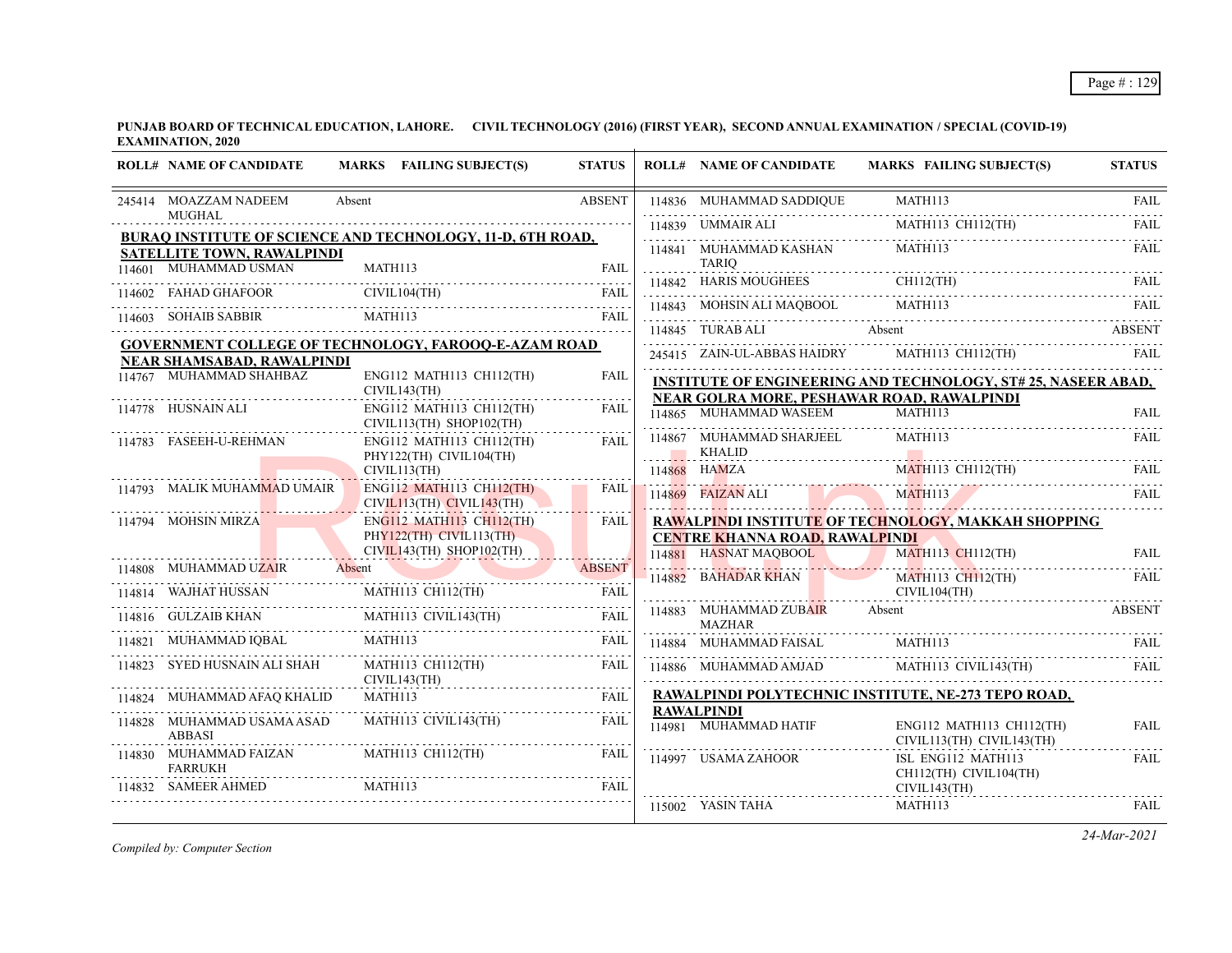**PUNJAB BOARD OF TECHNICAL EDUCATION, LAHORE. CIVIL TECHNOLOGY (2016) (FIRST YEAR), SECOND ANNUAL EXAMINATION / SPECIAL (COVID-19) EXAMINATION, 2020**

|        | <b>ROLL# NAME OF CANDIDATE</b>                                                                  |         | MARKS FAILING SUBJECT(S)                                     | <b>STATUS</b> | <b>ROLL# NAME OF CANDIDATE</b>                                 | <b>MARKS FAILING SUBJECT(S)</b>                                                                                   | <b>STATUS</b> |
|--------|-------------------------------------------------------------------------------------------------|---------|--------------------------------------------------------------|---------------|----------------------------------------------------------------|-------------------------------------------------------------------------------------------------------------------|---------------|
|        | 245414 MOAZZAM NADEEM                                                                           | Absent  |                                                              | <b>ABSENT</b> |                                                                | 114836 MUHAMMAD SADDIQUE MARIELLE MATHI13 CH112(TH)                                                               | FAIL          |
|        | <b>MUGHAL</b>                                                                                   |         |                                                              |               | 114839 UMMAIR ALI                                              |                                                                                                                   | <b>FAIL</b>   |
|        | BURAQ INSTITUTE OF SCIENCE AND TECHNOLOGY, 11-D, 6TH ROAD,<br><b>SATELLITE TOWN, RAWALPINDI</b> |         |                                                              |               | 114841 MUHAMMAD KASHAN                                         | MATH113                                                                                                           | <b>FAIL</b>   |
|        | 114601 MUHAMMAD USMAN                                                                           | MATH113 |                                                              | <b>FAIL</b>   | <b>TARIO</b><br>114842 HARIS MOUGHEES                          | THES CHII2(TH) FAIL                                                                                               |               |
|        | 114602 FAHAD GHAFOOR                                                                            |         | CIVIL104(TH)                                                 | <b>FAIL</b>   |                                                                |                                                                                                                   |               |
|        | 114603 SOHAIB SABBIR                                                                            | MATH113 |                                                              | FAIL          | 114845 TURAB ALI                                               | 114843 MOHSIN ALI MAQBOOL MATHI13 FAIL FAIL<br>Absent                                                             | <b>ABSENT</b> |
|        | <b>GOVERNMENT COLLEGE OF TECHNOLOGY, FAROOQ-E-AZAM ROAD</b>                                     |         |                                                              |               |                                                                | 245415 ZAIN-UL-ABBAS HAIDRY MATH113 CH112(TH)                                                                     | FAIL          |
|        | NEAR SHAMSABAD, RAWALPINDI                                                                      |         |                                                              |               |                                                                |                                                                                                                   |               |
|        | 114767 MUHAMMAD SHAHBAZ                                                                         |         | ENG112 MATH113 CH112(TH)<br>CIVIL143(TH)                     | FAIL          |                                                                | <b>INSTITUTE OF ENGINEERING AND TECHNOLOGY, ST#25, NASEER ABAD,</b><br>NEAR GOLRA MORE, PESHAWAR ROAD, RAWALPINDI |               |
|        | 114778 HUSNAIN ALI                                                                              |         | ENG112 MATH113 CH112(TH)<br>$CIVIL113(TH)$ SHOP102(TH)       | <b>FAIL</b>   | 114865 MUHAMMAD WASEEM                                         | MATH113                                                                                                           | FAIL          |
|        | 114783 FASEEH-U-REHMAN                                                                          |         | ENG112 MATH113 CH112(TH)                                     | FAIL          | 114867 MUHAMMAD SHARJEEL                                       | MATH113                                                                                                           | <b>FAIL</b>   |
|        |                                                                                                 |         | PHY122(TH) CIVIL104(TH)<br>CIVIL113(TH)                      |               | KHALID<br>114868 HAMZA                                         | MATH113 CH112(TH)                                                                                                 | <b>FAIL</b>   |
|        | 114793 MALIK MUHAMMAD UMAIR                                                                     |         | <b>ENG112 MATH113 CH112(TH)</b><br>CIVIL113(TH) CIVIL143(TH) | <b>FAIL</b>   | 114869 FAIZAN ALI                                              | MATH113                                                                                                           | FAII.         |
|        | 114794 MOHSIN MIRZA                                                                             |         | <b>ENG112 MATH113 CH112(TH)</b>                              | <b>FAIL</b>   |                                                                | RAWALPINDI INSTITUTE OF TECHNOLOGY, MAKKAH SHOPPING                                                               |               |
|        |                                                                                                 |         | PHY122(TH) CIVIL113(TH)<br>$CIVIL143(TH)$ SHOP102(TH)        |               | <b>CENTRE KHANNA ROAD, RAWALPINDI</b><br>114881 HASNAT MAOBOOL | MATH113 CH112(TH)                                                                                                 | <b>FAIL</b>   |
|        | 114808 MUHAMMAD UZAIR                                                                           | Absent  |                                                              | <b>ABSENT</b> | 114882 BAHADAR KHAN                                            | MATH113 CH112(TH)                                                                                                 | FAIL          |
| 114814 | <b>WAJHAT HUSSAN</b>                                                                            |         | MATH113 CH112(TH)                                            | <b>FAIL</b>   |                                                                | CIVIL104(TH)                                                                                                      |               |
| 114816 | GULZAIB KHAN MATH113 CIVIL143(TH)<br>GULZAIB KHAN MATHI13 CIVIL143(TH)                          |         |                                                              | <b>FAIL</b>   | 114883 MUHAMMAD ZUB <mark>AIR</mark><br><b>MAZHAR</b>          | Absent                                                                                                            | <b>ABSENT</b> |
| 114821 | MUHAMMAD IQBAL                                                                                  | MATH113 |                                                              | <b>FAIL</b>   | 114884 MUHAMMAD FAISAL                                         | MATH113                                                                                                           | <b>FAIL</b>   |
|        | 114823 SYED HUSNAIN ALI SHAH                                                                    |         | MATH113 CH112(TH)<br>CIVIL143(TH)                            | FAIL          |                                                                | 114886 MUHAMMAD AMJAD MATH113 CIVIL143(TH)                                                                        | <b>FAIL</b>   |
|        | 114824 MUHAMMAD AFAQ KHALID                                                                     |         | MATH113                                                      | <b>FAIL</b>   | <b>RAWALPINDI</b>                                              | RAWALPINDI POLYTECHNIC INSTITUTE, NE-273 TEPO ROAD,                                                               |               |
|        | 114828 MUHAMMAD USAMA ASAD<br><b>ABBASI</b>                                                     |         | MATH113 CIVIL143(TH)                                         | FAIL          | 114981 MUHAMMAD HATIF                                          | ENG112 MATH113 CH112(TH)<br>CIVIL113(TH) CIVIL143(TH)                                                             | <b>FAIL</b>   |
|        | 114830 MUHAMMAD FAIZAN<br><b>FARRUKH</b>                                                        |         | MATH113 CH112(TH)                                            | FAIL          | 114997 USAMA ZAHOOR                                            | ISL ENG112 MATH113<br>CH112(TH) CIVIL104(TH)                                                                      | .<br>FAIL     |
|        | <b>SAMEER AHMED</b>                                                                             |         |                                                              | <b>FAIL</b>   |                                                                | CIVIL143(TH)                                                                                                      |               |
|        |                                                                                                 |         |                                                              |               | 115002 YASIN TAHA                                              | MATH113                                                                                                           | FAIL          |

*Compiled by: Computer Section*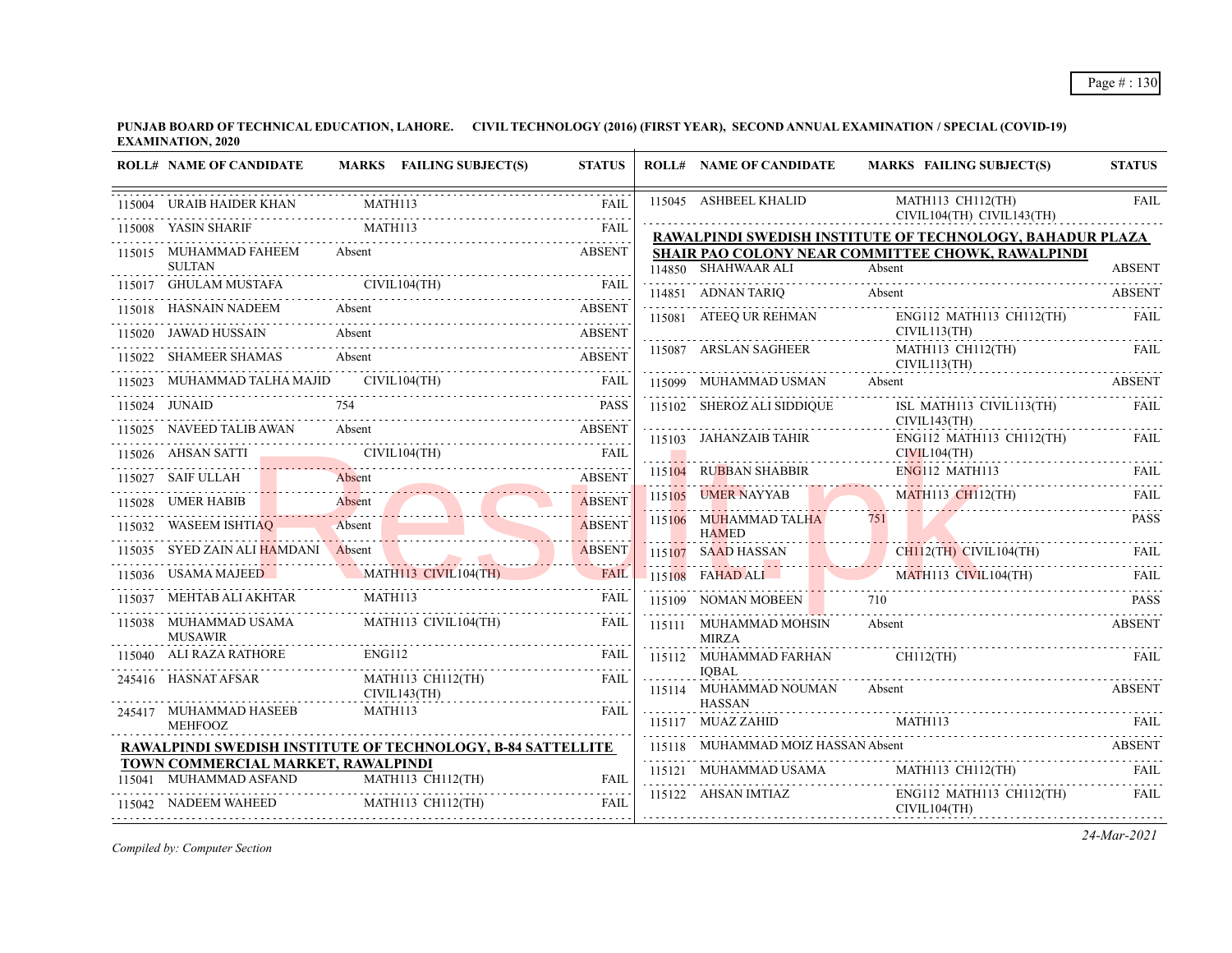| <b>ROLL# NAME OF CANDIDATE</b>                                                                                                                                                                                                 |         | MARKS FAILING SUBJECT(S)               | <b>STATUS</b>       |   | <b>ROLL# NAME OF CANDIDATE</b>                                             | <b>MARKS FAILING SUBJECT(S)</b>                                                                                             | <b>STATUS</b> |
|--------------------------------------------------------------------------------------------------------------------------------------------------------------------------------------------------------------------------------|---------|----------------------------------------|---------------------|---|----------------------------------------------------------------------------|-----------------------------------------------------------------------------------------------------------------------------|---------------|
| 115004 URAIB HAIDER KHAN                                                                                                                                                                                                       |         | <b>MATH113</b>                         | <b>FAIL</b>         |   | 115045 ASHBEEL KHALID                                                      | MATH113 CH112(TH)<br>CIVIL104(TH) CIVIL143(TH)                                                                              | <b>FAIL</b>   |
| 115008 YASIN SHARIF                                                                                                                                                                                                            | MATH113 |                                        | <b>FAIL</b>         |   |                                                                            | RAWALPINDI SWEDISH INSTITUTE OF TECHNOLOGY, BAHADUR PLAZA                                                                   |               |
| 115015 MUHAMMAD FAHEEM<br><b>SULTAN</b>                                                                                                                                                                                        | Absent  |                                        | <b>ABSENT</b>       |   | 114850 SHAHWAAR ALI                                                        | SHAIR PAO COLONY NEAR COMMITTEE CHOWK, RAWALPINDI<br>Absent                                                                 | <b>ABSENT</b> |
| 115017 GHULAM MUSTAFA CIVIL104(TH) FAIL CIVIL CHEMIC CONTRACT CIVIL CHEMIC CIVIL CHEMIC CIVIL CHEMIC CIVIL CHEMIC CIVIL CHEMIC CIVIL CHEMIC CIVIL CHEMIC CHEMIC CHEMIC CHEMIC CHEMIC CHEMIC CHEMIC CHEMIC CHEMIC CHEMIC CHEMIC |         |                                        |                     |   |                                                                            | 114850 SHAHWAAR ALI Absent Absent ABSENT                                                                                    |               |
| 115018 HASNAIN NADEEM Absent<br>15018 HASNAIN NADEEM Absent ABSENT ABSENT                                                                                                                                                      |         |                                        | <b>ABSENT</b>       |   |                                                                            | 114851 ADNAN TARIQ Absent ABSENT<br>115081 ATEEQ UR REHMAN ENG112 MATH113 CH112(TH)                                         | FAIL          |
| 115020 JAWAD HUSSAIN Absent                                                                                                                                                                                                    |         |                                        | <b>ABSENT</b>       |   |                                                                            | CIVIL113(TH)                                                                                                                |               |
| 115022 SHAMEER SHAMAS Absent ABSENT ABSENT                                                                                                                                                                                     |         |                                        |                     |   | 115087 ARSLAN SAGHEER<br>CINCLORED MAN CIN<br>115099 MUHAMMAD USMAN Absent | MATH113 CH112(TH)<br>CIVIL113(TH)                                                                                           | FAIL          |
| 115023 MUHAMMAD TALHA MAJID CIVIL104(TH)                                                                                                                                                                                       |         |                                        | FAIL                |   |                                                                            | 115099 MUHAMMAD USMAN Absent ABSENT                                                                                         |               |
| 115024 JUNAID                                                                                                                                                                                                                  | 754     |                                        | <b>PASS</b>         |   |                                                                            | 115102 SHEROZ ALI SIDDIQUE ISL MATH113 CIVIL113(TH)                                                                         | FAIL          |
| 115025 NAVEED TALIB AWAN Absent ABSENT CIVIL104(TH) FAIL TREES                                                                                                                                                                 |         |                                        |                     |   |                                                                            | CIVIL143(TH)                                                                                                                |               |
|                                                                                                                                                                                                                                |         |                                        |                     |   |                                                                            |                                                                                                                             |               |
| 115027 SAIF ULLAH Absent ABSENT                                                                                                                                                                                                |         |                                        |                     |   |                                                                            |                                                                                                                             |               |
| 115028 UMER HABIB                                                                                                                                                                                                              |         |                                        | <b>ABSENT</b>       |   |                                                                            |                                                                                                                             |               |
| 115032 WASEEM ISHTIAQ Absent ABSENT                                                                                                                                                                                            |         |                                        |                     |   | 1151 <mark>06</mark> MUHAMMAD TALHA<br><b>HAMED</b>                        | 751                                                                                                                         | <b>PASS</b>   |
| 115035 SYED ZAIN ALI HAMDANI Absent                                                                                                                                                                                            |         |                                        | <b>ABSENT</b>       |   |                                                                            | 115107 SAAD HASSAN CHIL2(TH) CIVIL104(TH) FAIL                                                                              |               |
| 115036 USAMA MAJEED MATH113 CIVIL104(TH)                                                                                                                                                                                       |         |                                        | <b>FAIL</b>         |   |                                                                            | TI5108 FAHAD ALI MATHII3 CIVILI04(TH) FAIL                                                                                  |               |
| $\begin{tabular}{lllllllllll} \hline 115037 & MEHTAB ALI AKHTAR & \textbf{MATH113} & \textbf{FAIL} \\ \hline \end{tabular}$                                                                                                    |         |                                        |                     |   | 115109 NOMAN MOBEEN 710                                                    |                                                                                                                             | <b>PASS</b>   |
| 115038 MUHAMMAD USAMA MATH113 CIVIL104(TH)<br><b>MUSAWIR</b>                                                                                                                                                                   |         |                                        | FAIL                |   | 115111 MUHAMMAD MOHSIN<br><b>MIRZA</b>                                     | Absent                                                                                                                      | <b>ABSENT</b> |
| 115040 ALI RAZA RATHORE ENG112 FAIL                                                                                                                                                                                            |         |                                        |                     |   | 115112 MUHAMMAD FARHAN                                                     | <b>CH112(TH)</b>                                                                                                            |               |
| 245416 HASNAT AFSAR                                                                                                                                                                                                            |         | MATH113 CH112(TH)<br>CIVIL143(TH)      | FAIL.               | . | IOBAL<br>115114 MUHAMMAD NOUMAN<br><b>HASSAN</b>                           | Absent                                                                                                                      | <b>ABSENT</b> |
| 245417 MUHAMMAD HASEEB<br><b>MEHFOOZ</b>                                                                                                                                                                                       |         | MATH113                                | FAIL                |   |                                                                            | 115117 MUAZ ZAHID MATHI13 FAIL REAL                                                                                         |               |
| RAWALPINDI SWEDISH INSTITUTE OF TECHNOLOGY, B-84 SATTELLITE                                                                                                                                                                    |         |                                        |                     |   |                                                                            |                                                                                                                             |               |
| TOWN COMMERCIAL MARKET, RAWALPINDI                                                                                                                                                                                             |         |                                        |                     |   |                                                                            | MUHAMMAD MOIZ HASSAN Absent ABSENT (115118 MUHAMMAD MOIZ HASSAN Absent ABSENT (115121 MUHAMMAD USAMA MATH113 CH112(TH) FAIL |               |
| 115041 MUHAMMAD ASFAND<br>115042 NADEEM WAHEED                                                                                                                                                                                 |         | MATH113 CH112(TH)<br>MATH113 CH112(TH) | <b>FAIL</b><br>FAIL |   | 115122 AHSAN IMTIAZ                                                        | ENG112 MATH113 CH112(TH)<br>CIVIL104(TH)                                                                                    | FAIL          |
|                                                                                                                                                                                                                                |         |                                        |                     |   |                                                                            |                                                                                                                             |               |

*Compiled by: Computer Section*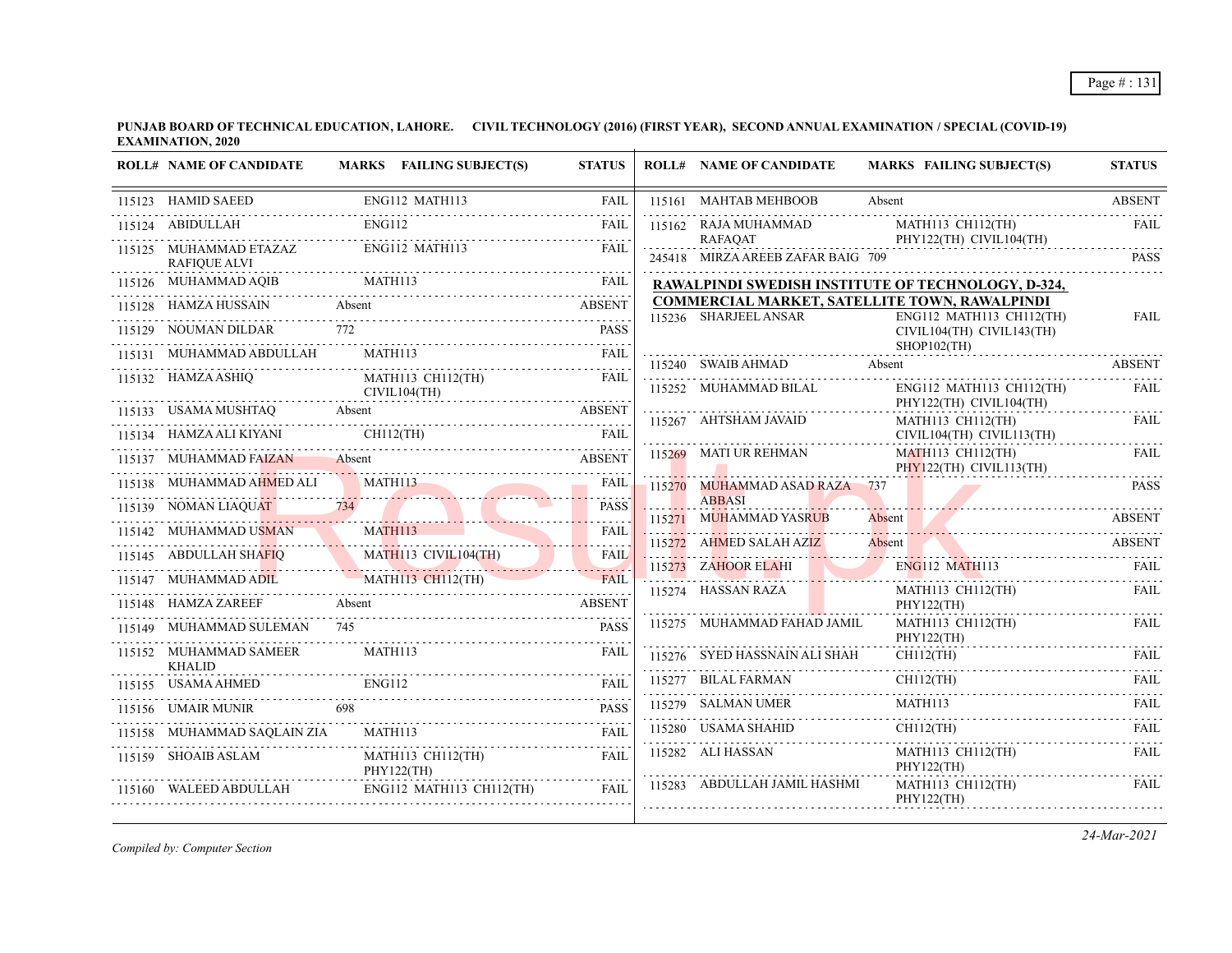|        | <b>ROLL# NAME OF CANDIDATE</b>                                                      |               | MARKS FAILING SUBJECT(S)          | <b>STATUS</b> | <b>ROLL# NAME OF CANDIDATE</b>                       |        | <b>MARKS FAILING SUBJECT(S)</b>                                                                               | <b>STATUS</b> |
|--------|-------------------------------------------------------------------------------------|---------------|-----------------------------------|---------------|------------------------------------------------------|--------|---------------------------------------------------------------------------------------------------------------|---------------|
|        | 115123 HAMID SAEED<br>HAMID SAEED ENG112 MATH113                                    |               |                                   | FAIL          | 115161 MAHTAB MEHBOOB                                | Absent |                                                                                                               | <b>ABSENT</b> |
|        | 115124 ABIDULLAH                                                                    | <b>ENG112</b> |                                   | <b>FAIL</b>   | 115162 RAJA MUHAMMAD                                 |        | MATH113 CH112(TH)                                                                                             | <b>FAIL</b>   |
|        | 115125 MUHAMMAD ETAZAZ<br><b>RAFIQUE ALVI</b>                                       |               | ENG112 MATH113                    | <b>FAIL</b>   | <b>RAFAQAT</b><br>245418 MIRZA AREEB ZAFAR BAIG 709  |        | $\Gamma$ PHY122(TH) CIVIL104(TH)                                                                              | <b>PASS</b>   |
|        | 115126 MUHAMMAD AQIB                                                                |               |                                   |               | RAWALPINDI SWEDISH INSTITUTE OF TECHNOLOGY, D-324,   |        |                                                                                                               |               |
|        | 115128 HAMZA HUSSAIN Absent<br>128 HAMZA HUSSAIN Absent ABSENT                      |               |                                   | <b>ABSENT</b> | <b>COMMERCIAL MARKET, SATELLITE TOWN, RAWALPINDI</b> |        |                                                                                                               |               |
| 115129 | <b>NOUMAN DILDAR</b>                                                                | 772           |                                   | <b>PASS</b>   | 115236 SHARJEEL ANSAR                                |        | ENG112 MATH113 CH112(TH)<br>CIVIL104(TH) CIVIL143(TH)<br>$SHOP102$ (TH)                                       | <b>FAIL</b>   |
|        | 115131 MUHAMMAD ABDULLAH                                                            |               | MATH113                           | FAIL          |                                                      |        |                                                                                                               |               |
|        | 115132 HAMZA ASHIQ                                                                  |               | MATH113 CH112(TH)<br>CIVIL104(TH) | FAIL          |                                                      |        | 115240 SWAIB AHMAD Absent ABSENT<br>115252 MUHAMMAD BILAL ENG112 MATH113 CH112(TH)<br>PHY122(TH) CIVIL104(TH) | FAIL          |
|        | 115133 USAMA MUSHTAQ Absent Absent ABSENT                                           |               |                                   |               | 115267 AHTSHAM JAVAID                                |        | MATH113 CH112(TH)                                                                                             | FAIL          |
|        | 115134 HAMZA ALI KIYANI CH112(TH)                                                   |               |                                   | FAIL          |                                                      |        | CIVIL104(TH) CIVIL113(TH)                                                                                     |               |
|        | 115137 MUHAMMAD FAIZAN Absent ABSENT                                                |               |                                   |               | 115269 MATI UR REHMAN                                |        | MATH113 CH112(TH)<br>PHY122(TH) CIVIL113(TH)                                                                  | <b>FAIL</b>   |
|        | 115138 MUHAMMAD AHMED ALI                                                           |               | MATH113                           | FAIL          | 115270 MUHAMMAD ASAD RAZA 737                        |        |                                                                                                               | <b>PASS</b>   |
|        | 115139 NOMAN LIAQUAT 734                                                            |               |                                   | <b>PASS</b>   | <b>ABBASI</b><br>115271 MUHAMMAD YASRUB              |        |                                                                                                               | <b>ABSENT</b> |
|        | 115142 MUHAMMAD USMAN MATH113 FAIL                                                  |               |                                   |               |                                                      | Absent |                                                                                                               |               |
|        | 115145 ABDULLAH SHAFIQ MATH113 CIVILI04(TH) FAIL                                    |               |                                   |               |                                                      |        | 115272 AHMED SALAH AZIZ Absent ABSENT                                                                         |               |
|        | 115147 MUHAMMAD ADIL MATH113 CH112(TH)<br>5147 MUHAMMAD ADIL MATHI13 CHI12(TH) FAIL |               |                                   |               |                                                      |        | ENGI12 MATHI13 FAIL FAIL FAIL ENGINEERS FAIL FAIL FAIL                                                        |               |
|        | 115148 HAMZA ZAREEF Absent ABSENT ABSENT                                            |               |                                   |               | 115274 HASSAN RAZA                                   |        | MATH113 CH112(TH)<br>PHY122(TH)                                                                               | <b>FAIL</b>   |
|        | 115149 MUHAMMAD SULEMAN 745                                                         |               |                                   | <b>PASS</b>   | 115275 MUHAMMAD FAHAD JAMIL                          |        | MATH113 CH112(TH)<br>PHY122(TH)                                                                               | FAIL          |
|        | 115152 MUHAMMAD SAMEER<br><b>KHALID</b>                                             | MATH113       |                                   | FAIL          | 115276 SYED HASSNAIN ALI SHAH                        |        | $CH112$ (TH)                                                                                                  | <b>FAIL</b>   |
|        | 115155 USAMA AHMED                                                                  | ENG112        |                                   | FAIL          | 115277 BILAL FARMAN                                  |        | $CH112$ (TH)                                                                                                  | <b>FAIL</b>   |
|        | 115156 UMAIR MUNIR 698                                                              |               |                                   | <b>PASS</b>   | 115279 SALMAN UMER                                   |        | MATH113                                                                                                       | <b>FAIL</b>   |
|        | 115158 MUHAMMAD SAQLAIN ZIA                                                         | MATH113       |                                   | <b>FAIL</b>   |                                                      |        | $CH112$ (TH)<br>$115280$ USAMA SHAHID CH112(TH) FAIL                                                          |               |
|        | 115159 SHOAIB ASLAM                                                                 |               | MATH113 CH112(TH)<br>PHY122(TH)   | FAIL          | 115282 ALI HASSAN                                    |        | MATH113 CH112(TH)<br>PHY122(TH)                                                                               | FAIL          |
|        | 115160 WALEED ABDULLAH                                                              |               | $ENG112$ MATH113 CH112(TH)        | FAIL          | 115283 ABDULLAH JAMIL HASHMI                         |        | MATH113 CH112(TH)<br>PHY122(TH)                                                                               | FAIL          |

*Compiled by: Computer Section*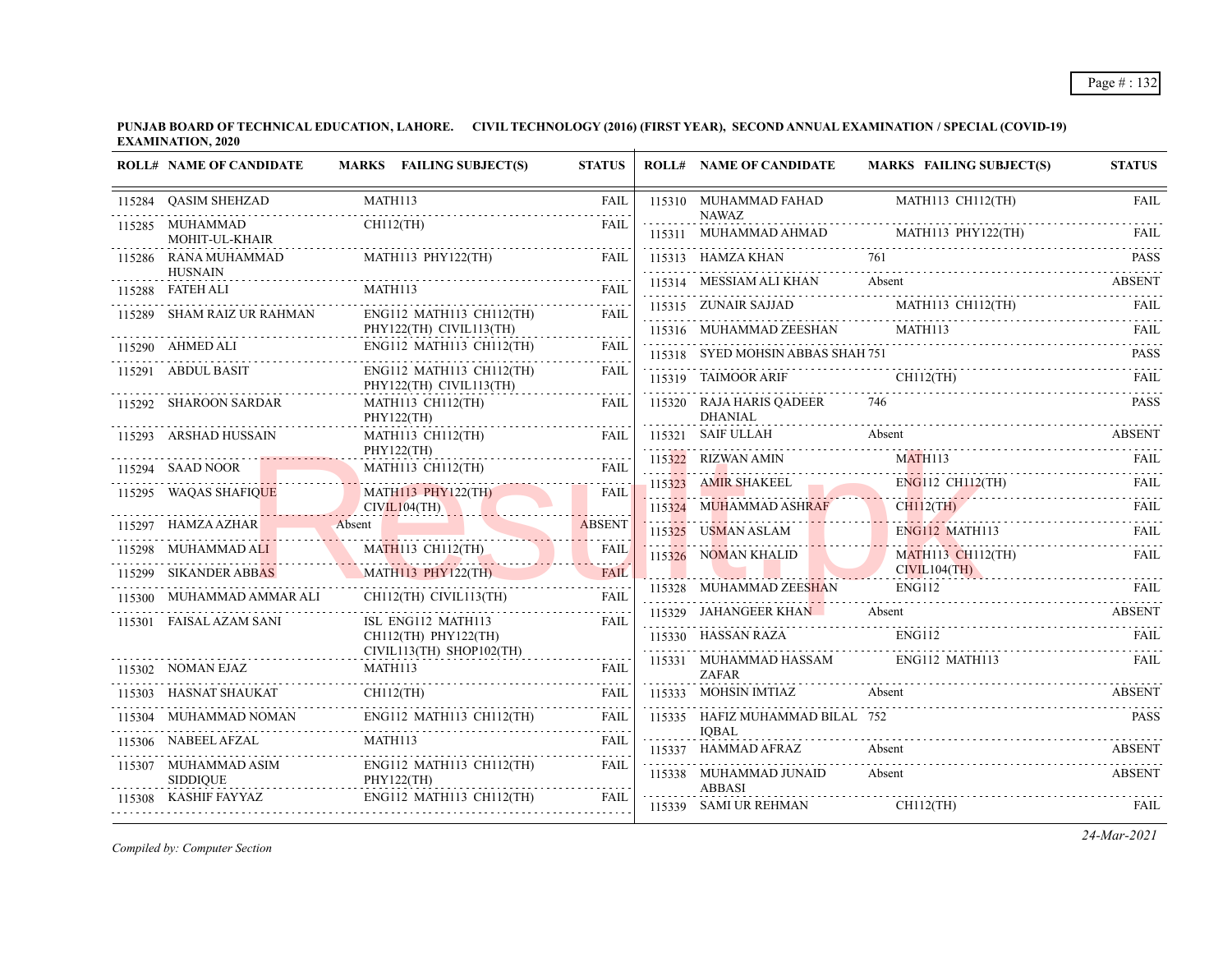**PUNJAB BOARD OF TECHNICAL EDUCATION, LAHORE. CIVIL TECHNOLOGY (2016) (FIRST YEAR), SECOND ANNUAL EXAMINATION / SPECIAL (COVID-19) EXAMINATION, 2020**  $\overline{1}$ 

| <b>ROLL# NAME OF CANDIDATE</b>           | MARKS FAILING SUBJECT(S)                            | <b>STATUS</b> | <b>ROLL# NAME OF CANDIDATE</b>         | <b>MARKS FAILING SUBJECT(S)</b>                                                 | <b>STATUS</b>              |
|------------------------------------------|-----------------------------------------------------|---------------|----------------------------------------|---------------------------------------------------------------------------------|----------------------------|
| 115284 QASIM SHEHZAD                     | MATH113                                             | FAIL          | 115310 MUHAMMAD FAHAD<br><b>NAWAZ</b>  | MATH113 CH112(TH)                                                               | FAIL                       |
| 115285 MUHAMMAD<br><b>MOHIT-UL-KHAIR</b> | $CH112$ (TH)                                        | FAIL          | 115311 MUHAMMAD AHMAD                  | MATH113 PHY122(TH)                                                              | <b>FAIL</b>                |
| 115286 RANA MUHAMMAD<br><b>HUSNAIN</b>   | MATH113 PHY122(TH)                                  | <b>FAIL</b>   | 115313 HAMZA KHAN                      | 761                                                                             | <b>PASS</b>                |
| 115288 FATEH ALI                         | MATH113                                             | FAIL          | 115314 MESSIAM ALI KHAN                | Absent                                                                          | <b>ABSENT</b>              |
| 115289 SHAM RAIZ UR RAHMAN               | ENG112 MATH113 CH112(TH)                            | <b>FAIL</b>   |                                        | 115315 ZUNAIR SAJJAD MATHI13 CHI12(TH) FAIL                                     |                            |
| 115290 AHMED ALI                         | PHY122(TH) CIVIL113(TH)<br>ENG112 MATH113 CH112(TH) | FAIL          | 115318 SYED MOHSIN ABBAS SHAH 751      | 115316 MUHAMMAD ZEESHAN MATHI13 FAIL FAIL                                       | <b>PASS</b>                |
| .<br>115291 ABDUL BASIT                  | ENG112 MATH113 CH112(TH)<br>PHY122(TH) CIVIL113(TH) | <b>FAIL</b>   | 115319 TAIMOOR ARIF                    | $CH112$ (TH)                                                                    | <b>FAIL</b>                |
| 115292 SHAROON SARDAR                    | MATH113 CH112(TH)<br>PHY122(TH)                     | FAIL          | 115320 RAJA HARIS QADEER<br>DHANIAL    | 746                                                                             | <b>PASS</b>                |
| 115293 ARSHAD HUSSAIN                    | MATH113 CH112(TH)                                   | <b>FAIL</b>   | 115321 SAIF ULLAH                      | Absent                                                                          | ABSENT                     |
| 115294 SAAD NOOR                         | PHY122(TH)<br>.<br>MATH113 CH112(TH)                | FAIL          | 115322 RIZWAN AMIN                     | MATH113                                                                         |                            |
| 115295 WAQAS SHAFIQUE                    | $MATH113$ $PHY122(TH)$                              | <b>FAIL</b>   |                                        | 115322 NEWAN AMINT                                                              |                            |
| 115297 HAMZA AZHAR Absent                | CIVIL104(TH)                                        | <b>ABSENT</b> | 115325 USMAN ASLAM ENG112 MATH113      |                                                                                 |                            |
| 115298 MUHAMMAD ALI                      | <b>MATH113 CH112(TH)</b>                            | <b>FAIL</b>   | 115326 NOMAN KHALID                    | <b>MATH113 CH112(TH)</b>                                                        | <b>FAIL</b><br><b>FAIL</b> |
| 115299 SIKANDER ABBAS                    | MATH113 PHY122(TH)                                  | <b>FAIL</b>   | <u> Alban Maria Maria A</u>            | CIVIL104(TH)                                                                    |                            |
|                                          | 115300 MUHAMMAD AMMAR ALI CH112(TH) CIVIL113(TH)    | FAIL          | 115329 JAHANGEER KHAN Absent           | 115328 MUHAMMAD ZEES <mark>H</mark> AN ENG112 FAIL<br><b>EXAMPLE THE ABSENT</b> |                            |
| 115301 FAISAL AZAM SANI                  | ISL ENG112 MATH113<br>CH112(TH) PHY122(TH)          | FAIL          | 115330 HASSAN RAZA                     | <b>ENG112</b>                                                                   |                            |
| 115302 NOMAN EJAZ                        | CIVIL113(TH) SHOP102(TH)<br>MATH113                 | <b>FAIL</b>   | 115331 MUHAMMAD HASSAM                 | ENG112 MATH113                                                                  | FAIL                       |
| 115303 HASNAT SHAUKAT                    | $CH112$ (TH)                                        | <b>FAIL</b>   | <b>ZAFAR</b><br>115333 MOHSIN IMTIAZ   | Absent                                                                          | ABSENT                     |
|                                          | ENG112 MATH113 CH112(TH)                            |               | 115335 HAFIZ MUHAMMAD BILAL 752        |                                                                                 | <b>PASS</b>                |
| 115306 NABEEL AFZAL                      | MATH113                                             | <b>FAIL</b>   | <b>IOBAL</b><br>115337 HAMMAD AFRAZ    | Absent                                                                          | ABSENT                     |
| 115307 MUHAMMAD ASIM<br><b>SIDDIOUE</b>  | ENG112 MATH113 CH112(TH)<br>PHY122(TH)              | FAIL          | 115338 MUHAMMAD JUNAID                 | Absent                                                                          | <b>ABSENT</b>              |
| 115308 KASHIF FAYYAZ                     | ENG112 MATH113 CH112(TH)                            | FAIL          | <b>ABBASI</b><br>115339 SAMI UR REHMAN | $CH112$ (TH)                                                                    | <b>FAIL</b>                |

*Compiled by: Computer Section*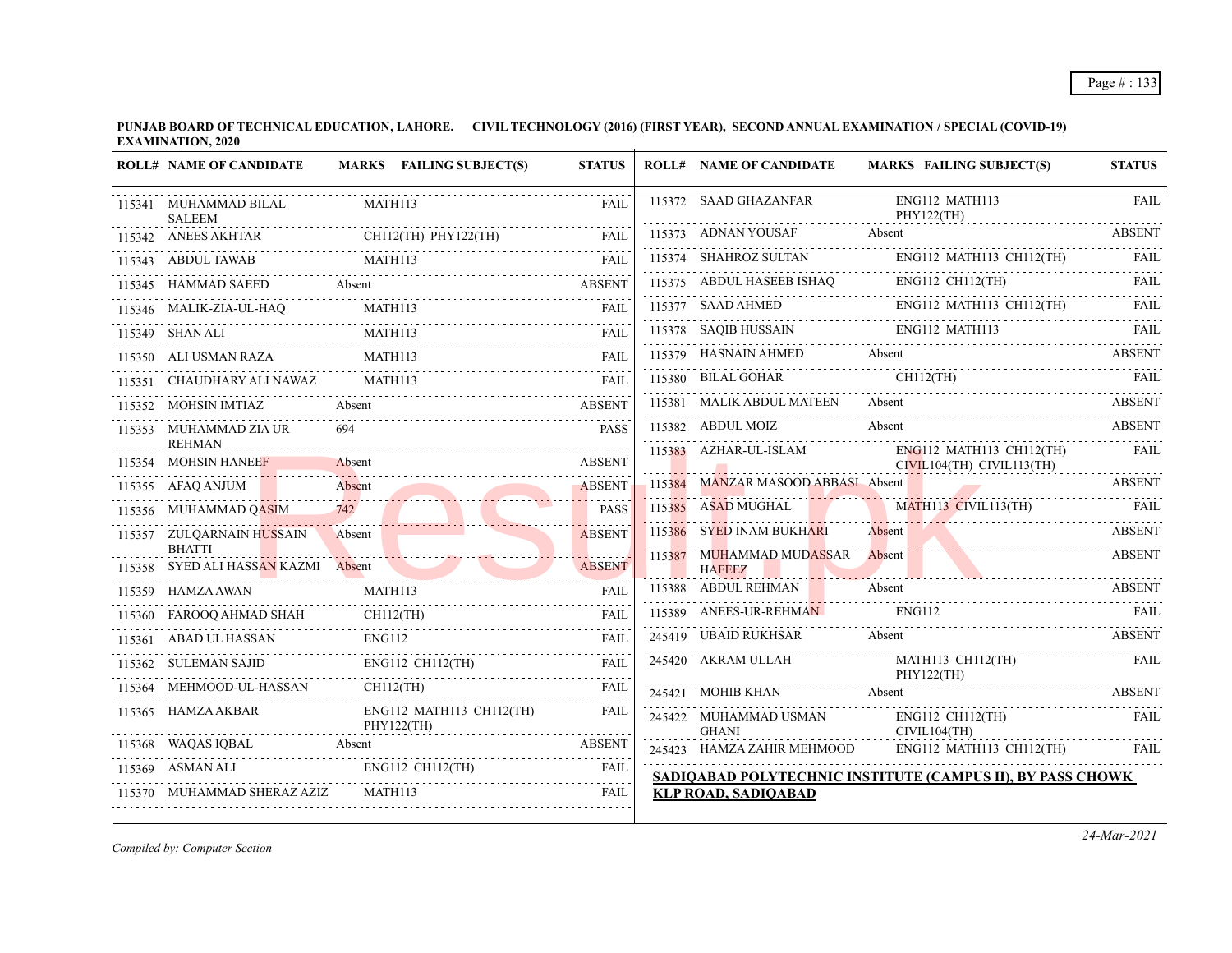**PUNJAB BOARD OF TECHNICAL EDUCATION, LAHORE. CIVIL TECHNOLOGY (2016) (FIRST YEAR), SECOND ANNUAL EXAMINATION / SPECIAL (COVID-19) EXAMINATION, 2020**

| <b>ROLL# NAME OF CANDIDATE</b>                              |                                                                                                       | MARKS FAILING SUBJECT(S)                                                                                       | <b>STATUS</b>    | <b>ROLL# NAME OF CANDIDATE</b>                   | <b>MARKS FAILING SUBJECT(S)</b>                                                                                                                                                                                                      | <b>STATUS</b> |
|-------------------------------------------------------------|-------------------------------------------------------------------------------------------------------|----------------------------------------------------------------------------------------------------------------|------------------|--------------------------------------------------|--------------------------------------------------------------------------------------------------------------------------------------------------------------------------------------------------------------------------------------|---------------|
| 115341 MUHAMMAD BILAL<br><b>SALEEM</b>                      | MATH113                                                                                               |                                                                                                                | <b>FAIL</b>      | 115372 SAAD GHAZANFAR                            | ENG112 MATH113<br>PHY122(TH)                                                                                                                                                                                                         | <b>FAIL</b>   |
| 115342 ANEES AKHTAR                                         |                                                                                                       |                                                                                                                | <b>FAIL</b>      |                                                  | 115373 ADNAN YOUSAF Absent Absent ABSENT                                                                                                                                                                                             |               |
| 115343 ABDUL TAWAB                                          | MATH113                                                                                               |                                                                                                                | <b>FAIL</b>      |                                                  | $\text{ING113374 \quad SHAHROZ SULTAN} \qquad \qquad \text{ENG112 \quad MATH113 \quad CH112 (TH)} \qquad \qquad \text{FAIL}$                                                                                                         |               |
| 115345 HAMMAD SAEED Absent ABSENT                           |                                                                                                       |                                                                                                                |                  |                                                  | $115375 \quad \text{ABDUL HASEEB ISHAQ} \qquad \qquad \text{ENG112 CH112(TH)} \qquad \qquad \text{FAIL} \qquad \qquad \text{FAIL}$                                                                                                   |               |
| 115346 MALIK-ZIA-UL-HAQ MATH113                             |                                                                                                       |                                                                                                                | <b>FAIL</b>      |                                                  | $115377$ SAAD AHMED ENG112 MATH113 CH112(TH) FAIL                                                                                                                                                                                    |               |
| 115349 SHAN ALI<br>.                                        | MATH113                                                                                               |                                                                                                                | <b>FAIL</b>      | 115378 SAQIB HUSSAIN ENG112 MATH113              |                                                                                                                                                                                                                                      | <b>FAIL</b>   |
| 115350 ALI USMAN RAZA MATH113 FAIL                          |                                                                                                       | MATH113                                                                                                        |                  |                                                  |                                                                                                                                                                                                                                      |               |
| 115351 CHAUDHARY ALI NAWAZ MATH113                          |                                                                                                       |                                                                                                                | FAII.            |                                                  | 115379 HASNAIN AHMED Absent ABSENT (115379 HASNAIN AHMED Absent CH112(TH) FAIL                                                                                                                                                       |               |
| 115352 MOHSIN IMTIAZ                                        |                                                                                                       | Absent<br><b>ABSENT</b>                                                                                        |                  |                                                  | 115381 MALIK ABDUL MATEEN Absent ABSENT ABSENT                                                                                                                                                                                       |               |
| 115353 MUHAMMAD ZIA UR                                      |                                                                                                       |                                                                                                                | <b>PASS</b>      |                                                  | 115382 ABDUL MOIZ Absent ABSENT                                                                                                                                                                                                      |               |
| <b>REHMAN</b><br>115354 MOHSIN HANEEF                       |                                                                                                       | Absent                                                                                                         | <b>ABSENT</b>    |                                                  | 115383 AZHAR-UL-ISLAM ENG112 MATH113 CH112(TH) FAIL CIVIL104(TH) CIVIL113(TH)                                                                                                                                                        |               |
| 115355 AFAQ ANJUM                                           |                                                                                                       | Absent                                                                                                         | <b>ABSENT</b>    |                                                  | 115384 MANZAR MASOOD ABBASI Absent ABSENT                                                                                                                                                                                            |               |
| 115356 MUHAMMAD QASIM                                       |                                                                                                       | $742$<br>THAMMAD QASIM $742$                                                                                   | .<br><b>PASS</b> |                                                  | 115385 ASAD MUGHAL MATH113 CIVIL113(TH)                                                                                                                                                                                              |               |
| 115357 ZULQARNAIN HUSSAIN                                   |                                                                                                       | Absent and the same of the same of the same of the same of the same of the same of the same of the same of the | <b>ABSENT</b>    | 115386 SYED INAM BUKHARI                         | AM BUKHARI Absent American Absent Absent Absent Absent Absent Absent Absent Absent Absent Absent Absent Absent<br>Absolute Absent Absent Absent Absent Absent Absent Absent Absent Absent Absent Absent Absolute Absent Absent A     | <b>ABSENT</b> |
| <b>BHATTI</b><br>115358 SYED ALI HASSAN KAZMI Absent ABSENT |                                                                                                       |                                                                                                                |                  | 115387 MUHAMMAD MUDASSAR Absent<br><b>HAFEEZ</b> | <u> 1989 - Johann Barbara, martin a bhann an t-Iomraidh an t-Iomraidh an t-Iomraidh an t-Iomraidh an t-Iomraidh an t-Iomraidh an t-Iomraidh an t-Iomraidh an t-Iomraidh an t-Iomraidh an t-Iomraidh an t-Iomraidh an t-Iomraidh </u> | <b>ABSENT</b> |
| 115359 HAMZA AWAN                                           |                                                                                                       | MATH113                                                                                                        | <b>FAIL</b>      | 115388 ABDUL REHMAN Absent                       |                                                                                                                                                                                                                                      | <b>ABSENT</b> |
| 115360 FAROOQ AHMAD SHAH CH112(TH)                          |                                                                                                       |                                                                                                                | FAIL             | 115389 ANEES-UR-REHMAN                           | ENG112                                                                                                                                                                                                                               | <b>EXALL</b>  |
| 115361 ABAD UL HASSAN ENG112 FAIL PAIL                      |                                                                                                       |                                                                                                                |                  |                                                  | 245419 UBAID RUKHSAR Absent Absent ABSENT                                                                                                                                                                                            |               |
| 115362 SULEMAN SAJID ENG112 CH112(TH) FAIL                  |                                                                                                       |                                                                                                                | <b>FAIL</b>      |                                                  | ${\small \begin{tabular}{ll} \bf 245420 \quad AKRAM ULLAH & \tt MATH113 CH112(TH) & \tt FAIL \\ & \tt PHY122(TH) & \tt \end{tabular}}$                                                                                               |               |
| 115364 MEHMOOD-UL-HASSAN CH112(TH)                          |                                                                                                       |                                                                                                                | FAIL             | 245421 MOHIB KHAN Absent                         |                                                                                                                                                                                                                                      | <b>ABSENT</b> |
| 115365 HAMZA AKBAR                                          |                                                                                                       | ENG112 MATH113 CH112(TH)<br>PHY122(TH)                                                                         | <b>FAIL</b>      |                                                  | $\begin{tabular}{ll} 245422 & MUHAMMAD USMAN & ENG112 CH112(TH) \\ \hline \text{GHANI} & CIVIL104(TH) \\ \end{tabular}$                                                                                                              | FAIL          |
| 115368 WAQAS IQBAL Absent Absent ABSENT                     |                                                                                                       |                                                                                                                |                  | 245423 HAMZA ZAHIR MEHMOOD                       | ENG112 MATH113 CH112(TH)                                                                                                                                                                                                             | <b>FAIL</b>   |
|                                                             | $115369 \quad \textrm{ASMAN ALL} \qquad \qquad \textrm{ENG112 CH112(TH)} \qquad \qquad \textrm{FAIL}$ |                                                                                                                |                  |                                                  | SADIOABAD POLYTECHNIC INSTITUTE (CAMPUS II), BY PASS CHOWK                                                                                                                                                                           |               |
| 115370 MUHAMMAD SHERAZ AZIZ MATH113                         |                                                                                                       |                                                                                                                | FAIL             | <b>KLP ROAD, SADIOABAD</b>                       |                                                                                                                                                                                                                                      |               |

*Compiled by: Computer Section*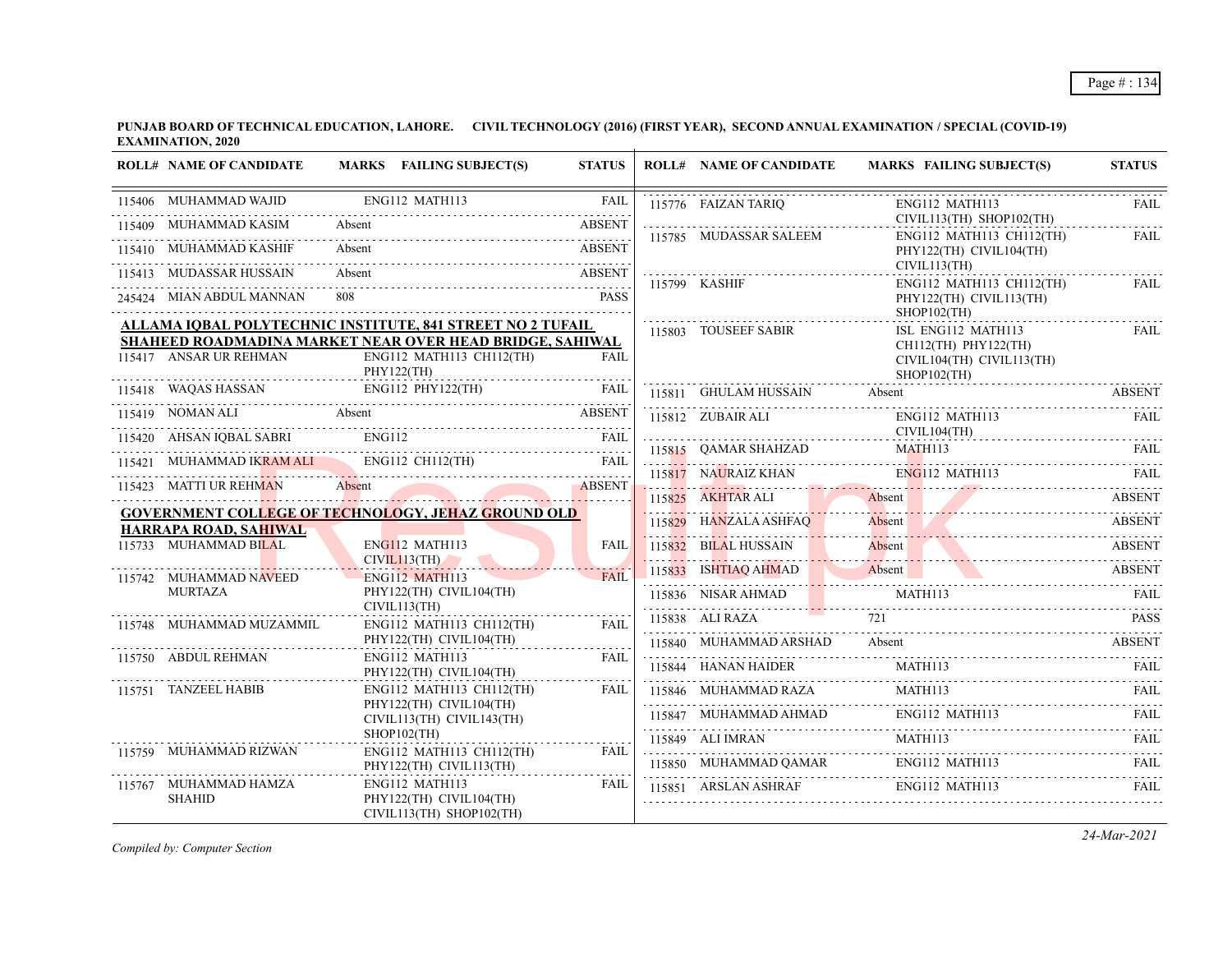**PUNJAB BOARD OF TECHNICAL EDUCATION, LAHORE. CIVIL TECHNOLOGY (2016) (FIRST YEAR), SECOND ANNUAL EXAMINATION / SPECIAL (COVID-19) EXAMINATION, 2020**

| <b>ROLL# NAME OF CANDIDATE</b>                                                                                                                                                                                                |                                | MARKS FAILING SUBJECT(S)                             | <b>STATUS</b> |   | <b>ROLL# NAME OF CANDIDATE</b> | MARKS FAILING SUBJECT(S)                                                     | <b>STATUS</b> |
|-------------------------------------------------------------------------------------------------------------------------------------------------------------------------------------------------------------------------------|--------------------------------|------------------------------------------------------|---------------|---|--------------------------------|------------------------------------------------------------------------------|---------------|
| 115406 MUHAMMAD WAJID                                                                                                                                                                                                         | ENG112 MATH113                 |                                                      | <b>FAIL</b>   |   | 115776 FAIZAN TARIO            | ENG112 MATH113                                                               | <b>FAIL</b>   |
| 115409 MUHAMMAD KASIM                                                                                                                                                                                                         | Absent                         |                                                      | <b>ABSENT</b> |   | 115785 MUDASSAR SALEEM         | CIVIL113(TH) SHOP102(TH)<br>ENG112 MATH113 CH112(TH)                         | <b>FAIL</b>   |
| 10 MUHAMMAD KASHIF Absent ABSENT ABSENT<br>115410 MUHAMMAD KASHIF                                                                                                                                                             |                                |                                                      |               |   |                                | PHY122(TH) CIVIL104(TH)                                                      |               |
| 115413 MUDASSAR HUSSAIN                                                                                                                                                                                                       |                                | Absent ABSENT                                        |               |   | 115799 KASHIF                  | CIVIL113(TH)<br>ENG112 MATH113 CH112(TH)                                     | FAIL          |
| 245424 MIAN ABDUL MANNAN                                                                                                                                                                                                      | 808                            |                                                      | <b>PASS</b>   |   |                                | PHY122(TH) CIVIL113(TH)<br>$SHOP102$ (TH)                                    |               |
| ALLAMA IQBAL POLYTECHNIC INSTITUTE, 841 STREET NO 2 TUFAIL                                                                                                                                                                    |                                |                                                      |               |   | 115803 TOUSEEF SABIR           | ISL ENG112 MATH113                                                           | <b>FAIL</b>   |
| SHAHEED ROADMADINA MARKET NEAR OVER HEAD BRIDGE, SAHIWAL<br>115417 ANSAR UR REHMAN                                                                                                                                            | PHY122(TH)                     | ENG112 MATH113 CH112(TH)                             | FAII.         |   |                                | $CH112(TH)$ PHY122(TH)<br>CIVIL104(TH) CIVIL113(TH)<br>$SHOP102$ (TH)        |               |
| $\begin{tabular}{lllllllllll} \bf 115418 & WAQAS HASSAN & \multicolumn{3}{l} \multicolumn{3}{l} {ENG112 PHY122(TH)} & \multicolumn{3}{l} {\bf FAIL} \\ \hline \end{tabular}$                                                  |                                |                                                      |               |   | 115811 GHULAM HUSSAIN          | Absent                                                                       | <b>ABSENT</b> |
| 115419 NOMAN ALI Absent and the series of the contract of the contract of the contract of the contract of the contract of the contract of the contract of the contract of the contract of the contract of the contract of the |                                |                                                      |               |   | 115812 ZUBAIR ALI              | ENG112 MATH113                                                               | <b>FAIL</b>   |
| 115420 AHSAN IOBAL SABRI                                                                                                                                                                                                      |                                | XI ENG112 FAIL                                       |               |   |                                | CIVIL104(TH)                                                                 |               |
| 115421 MUHAMMAD IKRAM ALI ENGI12 CH112(TH) FAIL                                                                                                                                                                               |                                |                                                      |               |   |                                | 115815 QAMAR SHAHZAD MATH113 FAIL<br>115817 NAURAIZ KHAN ENG112 MATH113 FAIL |               |
| 115423 MATTI UR REHMAN Absent and the contract of the contract of the ABSENT<br>115423 MATTI UR REHMAN                                                                                                                        |                                |                                                      |               |   |                                |                                                                              |               |
| <b>GOVERNMENT COLLEGE OF TECHNOLOGY, JEHAZ GROUND OLD</b>                                                                                                                                                                     |                                |                                                      |               |   | 115825 AKHTAR ALI              | Absent<br>Absent                                                             | <b>ABSENT</b> |
| HARRAPA ROAD, SAHIWAL                                                                                                                                                                                                         |                                |                                                      |               |   | 115829 HANZALA ASHFAQ          | Absent                                                                       | <b>ABSENT</b> |
| 115733 MUHAMMAD BILAL                                                                                                                                                                                                         | ENG112 MATH113<br>CIVIL113(TH) |                                                      | <b>FAIL</b>   |   | 115832 BILAL HUSSAIN           | Absent<br>Absent ABSENT                                                      | <b>ABSENT</b> |
| 115742 MUHAMMAD NAVEED                                                                                                                                                                                                        | <b>ENG112 MATH113</b>          |                                                      | <b>FAIL</b>   |   |                                | TUS833 ISHTIAQ AHMAD Absent ABSENT                                           |               |
| MURTAZA                                                                                                                                                                                                                       | CIVIL113(TH)                   | PHY122(TH) CIVIL104(TH)                              |               |   |                                |                                                                              |               |
| 115748 MUHAMMAD MUZAMMIL                                                                                                                                                                                                      |                                | ENG112 MATH113 CH112(TH)                             | FAII.         |   | 115838 ALI RAZA                | 72.1                                                                         | <b>PASS</b>   |
|                                                                                                                                                                                                                               |                                | PHY122(TH) CIVIL104(TH)                              |               |   | 115840 MUHAMMAD ARSHAD         | Absent<br>115840 MUHAMMAD ARSHAD Absent ABSENT                               |               |
| 115750 ABDUL REHMAN                                                                                                                                                                                                           | ENG112 MATH113                 | PHY122(TH) CIVIL104(TH)                              | FAII.         |   | 115844 HANAN HAIDER            | MATH113                                                                      | FAII.         |
| 115751 TANZEEL HABIB                                                                                                                                                                                                          |                                | $ENG112$ MATH113 CH112(TH)                           | FAIL          |   | 115846 MUHAMMAD RAZA           | MATH113                                                                      | <b>FAIL</b>   |
|                                                                                                                                                                                                                               |                                | PHY122(TH) CIVIL104(TH)<br>CIVIL113(TH) CIVIL143(TH) |               |   |                                |                                                                              |               |
|                                                                                                                                                                                                                               | $SHOP102$ (TH)                 |                                                      |               |   | 115849 ALI IMRAN               | $MATH113$                                                                    | FAIL          |
| 115759 MUHAMMAD RIZWAN                                                                                                                                                                                                        |                                | ENG112 MATH113 CH112(TH)<br>PHY122(TH) CIVIL113(TH)  | FAIL          | . |                                | 115850 MUHAMMAD QAMAR ENGI12 MATH113 FAIL FAIL                               |               |
| 115767 MUHAMMAD HAMZA<br><b>SHAHID</b>                                                                                                                                                                                        | ENG112 MATH113                 | PHY122(TH) CIVIL104(TH)<br>CIVIL113(TH) SHOP102(TH)  | FAIL          |   |                                | 115851 ARSLAN ASHRAF ENG112 MATH113                                          | <b>FAIL</b>   |

*Compiled by: Computer Section*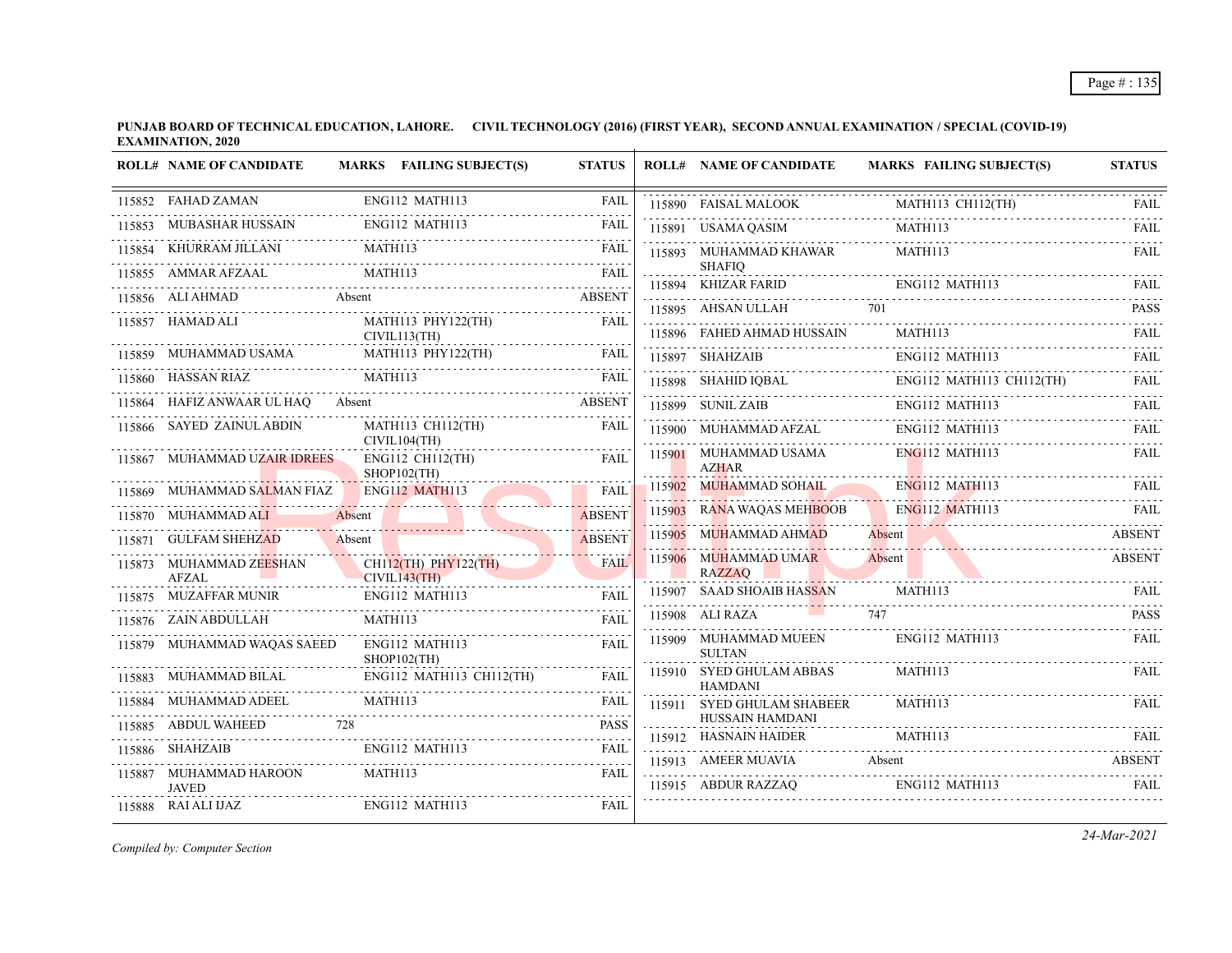|        | <b>ROLL# NAME OF CANDIDATE</b>          | MARKS FAILING SUBJECT(S)                  | <b>STATUS</b> |        | <b>ROLL# NAME OF CANDIDATE</b>             | <b>MARKS FAILING SUBJECT(S)</b> | <b>STATUS</b>                                                                                                                                       |
|--------|-----------------------------------------|-------------------------------------------|---------------|--------|--------------------------------------------|---------------------------------|-----------------------------------------------------------------------------------------------------------------------------------------------------|
|        | 115852 FAHAD ZAMAN                      | ENG112 MATH113                            | <b>FAIL</b>   |        | 115890 FAISAL MALOOK                       | MATH113 CH112(TH)               | FAIL                                                                                                                                                |
|        | 115853 MUBASHAR HUSSAIN                 | <b>ENG112 MATH113</b>                     | <b>FAIL</b>   |        | 115891 USAMA QASIM                         | MATH113                         | FAIL                                                                                                                                                |
|        | KHURRAM JILLANI                         | MATH113                                   | FAIL          |        | 115893 MUHAMMAD KHAWAR                     | MATH113                         | FAIL                                                                                                                                                |
|        | 115855 AMMAR AFZAAL                     | MATH113                                   | <b>FAIL</b>   |        | <b>SHAFIO</b><br>115894 KHIZAR FARID       | ENG112 MATH113                  | FAIL                                                                                                                                                |
|        | 115856 ALI AHMAD                        | Absent                                    | <b>ABSENT</b> |        | 115895 AHSAN ULLAH                         | 701                             | <b>PASS</b>                                                                                                                                         |
|        | 115857 HAMAD ALI                        | MATH113 PHY122(TH)<br>CIVIL113(TH)        | <b>FAIL</b>   |        | 115896 FAHED AHMAD HUSSAIN                 | <b>MATH113</b>                  | FAIL                                                                                                                                                |
|        | 115859 MUHAMMAD USAMA                   | MATH113 PHY122(TH)                        | FAIL          |        | 115897 SHAHZAIB                            | ENG112 MATH113                  | <b>FAIL</b>                                                                                                                                         |
|        | 115860 HASSAN RIAZ                      | MATH113                                   | FAIL          |        | 115898 SHAHID IQBAL                        | ENG112 MATH113 CH112(TH)<br>.   | <b>FAIL</b>                                                                                                                                         |
| 115864 | HAFIZ ANWAAR UL HAO                     | Absent                                    | <b>ABSENT</b> |        | 115899 SUNIL ZAIB                          | ENG112 MATH113                  | FAIL                                                                                                                                                |
|        | 115866 SAYED ZAINUL ABDIN               | MATH113 CH112(TH)<br>CIVIL104(TH)         | FAIL          |        | 115900 MUHAMMAD AFZAL                      | ENG112 MATH113                  | <b>FAIL</b><br>$\mathcal{L}^{\mathcal{A}}\left( \mathcal{A}^{\mathcal{A}}\right) =\mathcal{L}^{\mathcal{A}}\left( \mathcal{A}^{\mathcal{A}}\right)$ |
|        | 115867 MUHAMMAD UZAIR IDREES            | <b>ENG112 CH112(TH)</b><br>$SHOP102$ (TH) | FAIL          |        | 115901 MUHAMMAD USAMA<br><b>AZHAR</b>      | $ENG112$ MATH113                | <b>FAIL</b>                                                                                                                                         |
|        | 115869 MUHAMMAD SALMAN FIAZ             | <b>ENG112 MATH113</b>                     | <b>FAIL</b>   |        | 115902 MUHAMMAD SOHAIL                     | <b>ENG112 MATH113</b>           | FAIL                                                                                                                                                |
|        | MUHAMMAD ALI                            | Absent                                    | <b>ABSENT</b> |        | 115903 RANA WAQAS MEHBOOB                  | <b>ENG112 MATH113</b>           | FAIL                                                                                                                                                |
| 115871 | <b>GULFAM SHEHZAD</b>                   | Absent                                    | <b>ABSENT</b> | 115905 | <b>MUHAMMAD AHMAD</b>                      | Absent                          | <b>ABSENT</b>                                                                                                                                       |
|        | 115873 MUHAMMAD ZEESHAN<br><b>AFZAL</b> | CH112(TH) PHY122(TH)<br>CIVIL143(TH)      | <b>FAIL</b>   |        | 115906 MUHAMMAD UMAR<br><b>RAZZAO</b>      | Absent                          | <b>ABSENT</b>                                                                                                                                       |
| 115875 | MUZAFFAR MUNIR                          | ENG112 MATH113                            | <b>FAIL</b>   |        | 115907 SAAD SHOAIB HASSAN                  | MATH113                         | FAIL<br>.                                                                                                                                           |
|        | 115876 ZAIN ABDULLAH                    | MATH113                                   | <b>FAIL</b>   |        | 115908 ALI RAZA                            | 747                             | <b>PASS</b>                                                                                                                                         |
|        | 115879 MUHAMMAD WAQAS SAEED             | ENG112 MATH113<br>SHOP102(TH)<br>.        | <b>FAIL</b>   |        | 115909 MUHAMMAD MUEEN<br><b>SULTAN</b>     | ENG112 MATH113                  | <b>FAIL</b>                                                                                                                                         |
|        | 115883 MUHAMMAD BILAL                   | ENG112 MATH113 CH112(TH)                  |               |        | 115910 SYED GHULAM ABBAS<br><b>HAMDANI</b> | <b>MATH113</b>                  | FAIL                                                                                                                                                |
| 115884 | MUHAMMAD ADEEL                          | MATH113                                   | <b>FAIL</b>   |        | 115911 SYED GHULAM SHABEER                 | MATH113                         | FAIL.                                                                                                                                               |
|        | 115885 ABDUL WAHEED                     | 728                                       | <b>PASS</b>   |        | HUSSAIN HAMDANI<br>115912 HASNAIN HAIDER   | MATH113                         | FAIL                                                                                                                                                |
|        | 115886 SHAHZAIB                         | ENG112 MATH113                            | <b>FAIL</b>   |        | 115913 AMEER MUAVIA                        | Absent                          | ABSENT                                                                                                                                              |
| 115887 | MUHAMMAD HAROON<br><b>JAVED</b>         | MATH113                                   | FAIL          |        | 115915 ABDUR RAZZAQ                        | ENG112 MATH113                  | FAIL                                                                                                                                                |
|        | 115888 RAI ALI IJAZ                     | ENG112 MATH113                            | FAIL          |        |                                            |                                 |                                                                                                                                                     |

*Compiled by: Computer Section*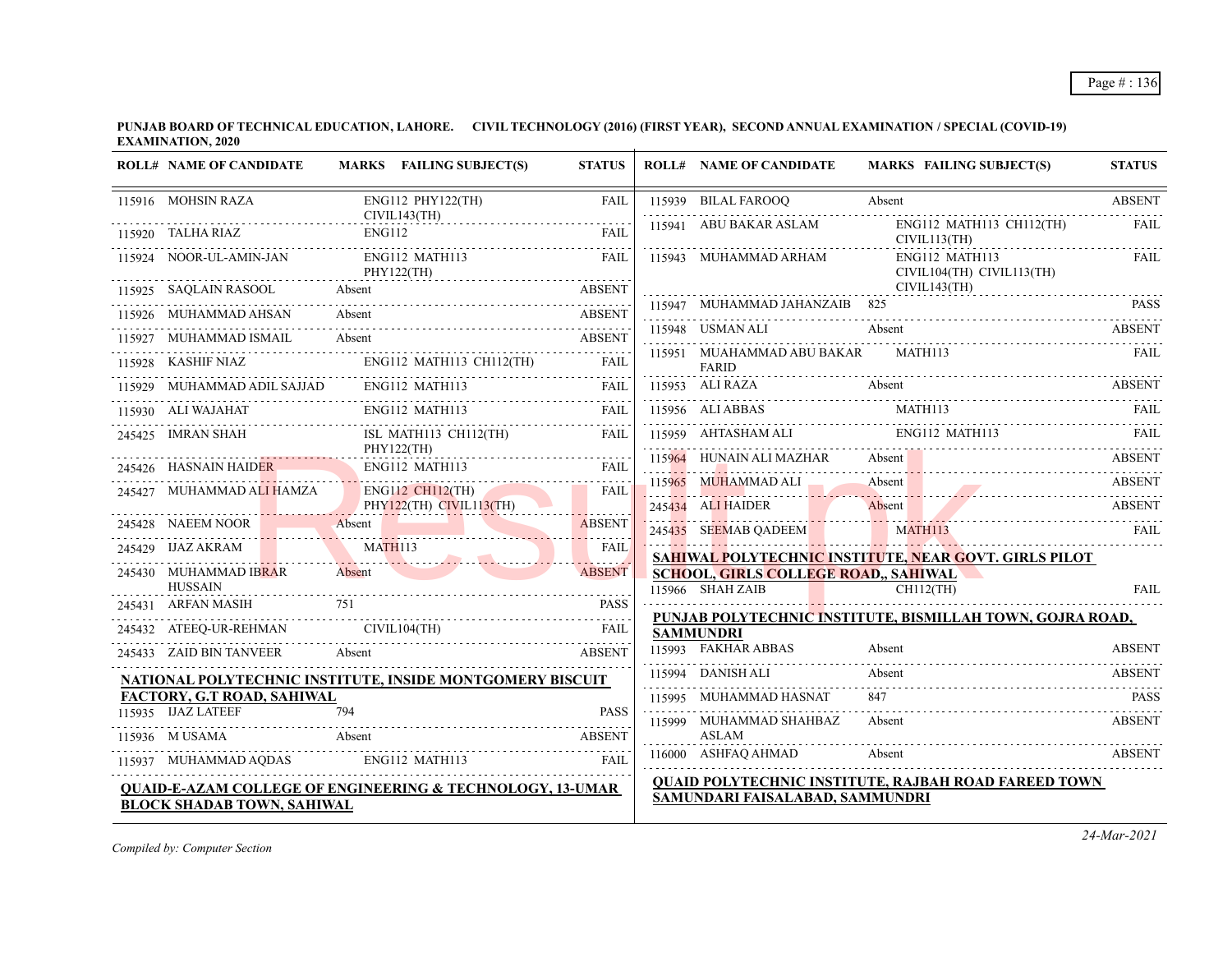| <b>ROLL# NAME OF CANDIDATE</b>                                                         | MARKS FAILING SUBJECT(S) | <b>STATUS</b>                                                 | <b>ROLL# NAME OF CANDIDATE</b>                                  | MARKS FAILING SUBJECT(S)                                                                                                                                                                                                                                                                                                                                                                                                                       | <b>STATUS</b> |
|----------------------------------------------------------------------------------------|--------------------------|---------------------------------------------------------------|-----------------------------------------------------------------|------------------------------------------------------------------------------------------------------------------------------------------------------------------------------------------------------------------------------------------------------------------------------------------------------------------------------------------------------------------------------------------------------------------------------------------------|---------------|
| 115916 MOHSIN RAZA                                                                     | $ENG112$ $PHY122(TH)$    | <b>FAIL</b>                                                   | 115939 BILAL FAROOQ                                             | Absent                                                                                                                                                                                                                                                                                                                                                                                                                                         | <b>ABSENT</b> |
|                                                                                        | CIVIL143(TH)             | <b>FAIL</b>                                                   |                                                                 | $\begin{tabular}{ll} 115941 & ABU BAKAR ASLAM & ENG112 MATH113 CH112(TH) & FAIL \\ \hline \multicolumn{2}{l}{\textbf{CIVIL113(TH)}} & \multicolumn{2}{l}{\textbf{CIVIL113(TH)}} \end{tabular} \quad \begin{tabular}{ll} \multicolumn{2}{l}{\textbf{FAIL}}\\ \multicolumn{2}{l}{\textbf{CIVIL113(TH)}}\\ \multicolumn{2}{l}{\textbf{CIVIL113(TH)}}\\ \multicolumn{2}{l}{\textbf{CIVIL113(TH)}}\\ \multicolumn{2}{l}{\textbf{CIVIL113(TH)}}\\ \$ |               |
| 115924 NOOR-UL-AMIN-JAN                                                                | ENG112 MATH113           | FAIL<br>PHY122(TH)                                            | 115943 MUHAMMAD ARHAM                                           | ENG112 MATH113<br>CIVIL104(TH) CIVIL113(TH)                                                                                                                                                                                                                                                                                                                                                                                                    | FAIL          |
| 115925 SAQLAIN RASOOL Absent ABSENT                                                    |                          |                                                               |                                                                 | CIVIL143(TH)                                                                                                                                                                                                                                                                                                                                                                                                                                   |               |
| 115926 MUHAMMAD AHSAN                                                                  | Absent                   | <b>ABSENT</b>                                                 |                                                                 | TI5947 MUHAMMAD JAHANZAIB 825 PASS PASS                                                                                                                                                                                                                                                                                                                                                                                                        |               |
| 115927 MUHAMMAD ISMAIL Absent ABSENT ABSENT                                            |                          |                                                               | 115948 USMAN ALI Absent                                         | <b>Example 2018</b> ABSENT                                                                                                                                                                                                                                                                                                                                                                                                                     |               |
| 115928 KASHIF NIAZ ENGI12 MATH113 CH112(TH) FAIL                                       |                          |                                                               | 115951 MUAHAMMAD ABU BAKAR MATH113<br>FARID                     |                                                                                                                                                                                                                                                                                                                                                                                                                                                |               |
| 115929 MUHAMMAD ADIL SAJJAD ENG112 MATH113                                             |                          |                                                               |                                                                 | 115953 ALI RAZA Absent ABSENT                                                                                                                                                                                                                                                                                                                                                                                                                  |               |
| 115929 MUHAMMAD ADIL SAJJAD ENG112 MATH113 FAIL 115930 ALI WAJAHAT ENG112 MATH113 FAIL |                          |                                                               |                                                                 | 115956 ALI ABBAS MATH113 FAIL RELEASE MATH113                                                                                                                                                                                                                                                                                                                                                                                                  |               |
| 245425 IMRAN SHAH                                                                      | PHY122(TH)               | ISL MATH113 CH112(TH)<br><b>FAIL</b>                          |                                                                 | THE TRILL ENGLISH STATE STATE STATE STATE THE TRILL TRILL TRILL TRILL TRILL TRILL TRILL TRILL TRILL TRILL TRILL TRILL TRILL TRILL TRILL TRILL TRILL TRILL TRILL TRILL TRILL TRILL TRILL TRILL TRILL TRILL TRILL TRILL TRILL TR                                                                                                                                                                                                                 |               |
| PHY122(TH)<br>245426 HASNAIN HAIDER ENGI12 MATHI13 FAIL                                |                          |                                                               |                                                                 | 115964 HUNAIN ALI MAZHAR Absent Absent ABSENT                                                                                                                                                                                                                                                                                                                                                                                                  |               |
| 245427 MUHAMMAD ALI HAMZA ENG112 CH112(TH) FAIL                                        |                          | <b>FAIL</b>                                                   |                                                                 | 115965 MUHAMMAD ALI Absent ABSENT                                                                                                                                                                                                                                                                                                                                                                                                              |               |
| 245428 NAEEM NOOR Absent                                                               |                          | <b>ABSENT</b>                                                 |                                                                 | 245434 ALI HAIDER Absent ABSENT ABSENT                                                                                                                                                                                                                                                                                                                                                                                                         |               |
|                                                                                        |                          | <u> 1999 - John Miller, Amerikaansk ferfinger om formanne</u> |                                                                 | 245435 SEEMAB QADEEM MATHII3 FAIL                                                                                                                                                                                                                                                                                                                                                                                                              |               |
| 245429 IJAZ AKRAM MATH113                                                              |                          | <b>FAIL</b>                                                   |                                                                 | SAHIWAL POLYTECHNIC INSTITUTE, NEAR GOVT. GIRLS PILOT                                                                                                                                                                                                                                                                                                                                                                                          |               |
| 245430 MUHAMMAD IBRAR Absent<br><b>HUSSAIN</b>                                         |                          | <b>ABSENT</b>                                                 | <b>SCHOOL, GIRLS COLLEGE ROAD,, SAHIWAL</b><br>115966 SHAH ZAIB | $CH112$ (TH)                                                                                                                                                                                                                                                                                                                                                                                                                                   | FAII.         |
| 245431 ARFAN MASIH 751 PASS                                                            |                          |                                                               | and the state                                                   |                                                                                                                                                                                                                                                                                                                                                                                                                                                |               |
| 245432 ATEEQ-UR-REHMAN CIVIL104(TH) FAIL                                               |                          | FAIL                                                          | <b>SAMMUNDRI</b>                                                | PUNJAB POLYTECHNIC INSTITUTE, BISMILLAH TOWN, GOJRA ROAD,                                                                                                                                                                                                                                                                                                                                                                                      |               |
| 245433 ZAID BIN TANVEER Absent ABSENT                                                  |                          |                                                               | 115993 FAKHAR ABBAS                                             | Absent                                                                                                                                                                                                                                                                                                                                                                                                                                         | <b>ABSENT</b> |
| NATIONAL POLYTECHNIC INSTITUTE, INSIDE MONTGOMERY BISCUIT                              |                          |                                                               | 115994 DANISH ALI                                               | Absent                                                                                                                                                                                                                                                                                                                                                                                                                                         | <b>ABSENT</b> |
| FACTORY, G.T ROAD, SAHIWAL                                                             |                          |                                                               | 115995 MUHAMMAD HASNAT                                          | 847<br>$113995$ MUHAMMAD HASINAI 047                                                                                                                                                                                                                                                                                                                                                                                                           |               |
| 115935 IJAZ LATEEF                                                                     | 794                      | <b>PASS</b>                                                   | 115999 MUHAMMAD SHAHBAZ                                         | Absent                                                                                                                                                                                                                                                                                                                                                                                                                                         | ABSENT        |
| <b>Absent</b><br>115936 M USAMA                                                        |                          | <b>ABSENT</b>                                                 | <b>ASLAM</b>                                                    |                                                                                                                                                                                                                                                                                                                                                                                                                                                |               |
| 115937 MUHAMMAD AQDAS ENG112 MATH113 FAIL                                              |                          |                                                               | 116000 ASHFAQ AHMAD                                             | Absent<br><b>ABSENT</b>                                                                                                                                                                                                                                                                                                                                                                                                                        |               |
| <b>QUAID-E-AZAM COLLEGE OF ENGINEERING &amp; TECHNOLOGY, 13-UMAR</b>                   |                          |                                                               | SAMUNDARI FAISALABAD, SAMMUNDRI                                 | QUAID POLYTECHNIC INSTITUTE, RAJBAH ROAD FAREED TOWN                                                                                                                                                                                                                                                                                                                                                                                           |               |
| <b>BLOCK SHADAB TOWN, SAHIWAL</b>                                                      |                          |                                                               |                                                                 |                                                                                                                                                                                                                                                                                                                                                                                                                                                |               |

*Compiled by: Computer Section*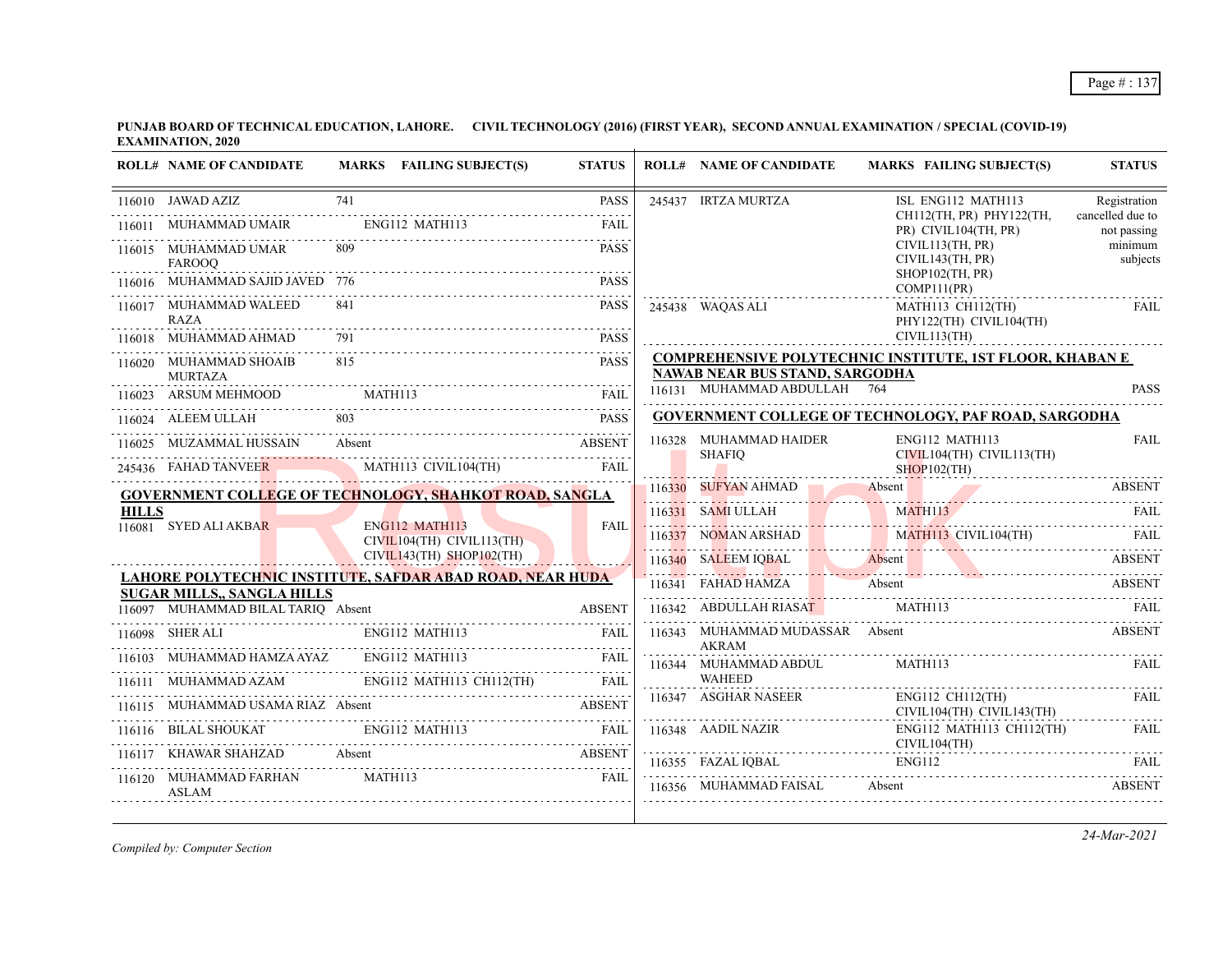|              | <b>ROLL# NAME OF CANDIDATE</b>                 | MARKS FAILING SUBJECT(S)                                                                                               | <b>STATUS</b> | <b>ROLL# NAME OF CANDIDATE</b>                                                                                                                                                                              | <b>MARKS FAILING SUBJECT(S)</b>                                                           | <b>STATUS</b>                   |
|--------------|------------------------------------------------|------------------------------------------------------------------------------------------------------------------------|---------------|-------------------------------------------------------------------------------------------------------------------------------------------------------------------------------------------------------------|-------------------------------------------------------------------------------------------|---------------------------------|
|              | 116010 JAWAD AZIZ                              | 741                                                                                                                    | <b>PASS</b>   | 245437 IRTZA MURTZA                                                                                                                                                                                         | ISL ENG112 MATH113                                                                        | Registration                    |
| 116011       | MUHAMMAD UMAIR ENG112 MATH113                  |                                                                                                                        | FAIL          |                                                                                                                                                                                                             | CH112(TH, PR) PHY122(TH,<br>PR) CIVIL104(TH, PR)                                          | cancelled due to<br>not passing |
|              | 116015 MUHAMMAD UMAR<br><b>FAROOO</b>          | -809                                                                                                                   | <b>PASS</b>   |                                                                                                                                                                                                             | CIVIL113(TH, PR)<br>CIVIL143(TH, PR)<br>$SHOP102$ (TH, PR)                                | minimum<br>subjects             |
|              | 116016 MUHAMMAD SAJID JAVED 776                |                                                                                                                        | <b>PASS</b>   |                                                                                                                                                                                                             | COMP111(PR)                                                                               |                                 |
|              | 116017 MUHAMMAD WALEED<br><b>RAZA</b>          | 841                                                                                                                    | <b>PASS</b>   | 245438 WAOAS ALI                                                                                                                                                                                            | MATH113 CH112(TH)<br>PHY122(TH) CIVIL104(TH)                                              | <b>FAIL</b>                     |
|              | MUHAMMAD AHMAD                                 |                                                                                                                        | <b>PASS</b>   |                                                                                                                                                                                                             | CIVIL113(TH)                                                                              |                                 |
|              | 116020 MUHAMMAD SHOAIB<br><b>MURTAZA</b>       | 815                                                                                                                    | <b>PASS</b>   | <b>NAWAB NEAR BUS STAND, SARGODHA</b>                                                                                                                                                                       | <b>COMPREHENSIVE POLYTECHNIC INSTITUTE, 1ST FLOOR, KHABAN E</b>                           |                                 |
|              | 116023 ARSUM MEHMOOD MATH113                   |                                                                                                                        | <b>FAIL</b>   | 116131 MUHAMMAD ABDULLAH 764                                                                                                                                                                                |                                                                                           | <b>PASS</b>                     |
|              | 116024 ALEEM ULLAH                             |                                                                                                                        | <b>PASS</b>   |                                                                                                                                                                                                             | <b>GOVERNMENT COLLEGE OF TECHNOLOGY, PAF ROAD, SARGODHA</b>                               |                                 |
|              |                                                | 116025 MUZAMMAL HUSSAIN Absent ABSENT                                                                                  |               | 116328 MUHAMMAD HAIDER                                                                                                                                                                                      | ENG112 MATH113                                                                            | <b>FAIL</b>                     |
|              |                                                | 245436 FAHAD TANVEER MATH113 CIVIL104(TH)                                                                              | <b>FAIL</b>   | SHAFIO                                                                                                                                                                                                      | CIVIL104(TH) CIVIL113(TH)<br>$SHOP102$ (TH)                                               |                                 |
|              |                                                | GOVERNMENT COLLEGE OF TECHNOLOGY, SHAHKOT ROAD, SANGLA                                                                 |               |                                                                                                                                                                                                             | 116330 SUFYAN AHMAD Absent ABSENT                                                         |                                 |
| <b>HILLS</b> | 116081 SYED ALI AKBAR                          |                                                                                                                        | FAII.         |                                                                                                                                                                                                             |                                                                                           |                                 |
|              |                                                | ENG112 MATH113<br>$CIVIL104(TH)$ $CIVIL113(TH)$                                                                        |               |                                                                                                                                                                                                             | 116331 SAMI ULLAH MATHI13 CIVILI04(TH) FAIL 116337 NOMAN ARSHAD MATHI13 CIVILI04(TH) FAIL |                                 |
|              |                                                | $CIVIL143(TH)$ SHOP102(TH)                                                                                             |               |                                                                                                                                                                                                             | 116340 SALEEM IQBAL Absent ABSENT                                                         |                                 |
|              | <b>SUGAR MILLS,, SANGLA HILLS</b>              | LAHORE POLYTECHNIC INSTITUTE, SAFDAR ABAD ROAD, NEAR HUDA                                                              |               |                                                                                                                                                                                                             | MAD HAMAN ABSENT ABSENT ABSENT ABSENT ABSENT SERIES ABOUT A RESERT MATHI13                |                                 |
|              | 116097 MUHAMMAD BILAL TARIQ Absent             |                                                                                                                        | <b>ABSENT</b> |                                                                                                                                                                                                             |                                                                                           |                                 |
|              | 116098 SHER ALI ENG112 MATH113                 |                                                                                                                        | FAII.         | <b>AKRAM</b>                                                                                                                                                                                                | 116343 MUHAMMAD MUDASSAR Absent                                                           | <b>ABSENT</b>                   |
|              |                                                | 116103 MUHAMMAD HAMZA AYAZ ENG112 MATH113 FAIL TALL 116111 MUHAMMAD AZAM ENG112 MATH113 CH112(TH) FAIL                 |               | 116344 MUHAMMAD ABDUL                                                                                                                                                                                       | MATH113                                                                                   | FAII.                           |
|              |                                                |                                                                                                                        |               | <b>WAHEED</b>                                                                                                                                                                                               |                                                                                           |                                 |
|              |                                                | 116115 MUHAMMAD USAMA RIAZ Absent ABSENT                                                                               |               | 116347 ASGHAR NASEER                                                                                                                                                                                        | ENG112 CH112(TH)<br>CIVIL104(TH) CIVIL143(TH)                                             | FAII.                           |
|              |                                                | 116116 BILAL SHOUKAT ENGI12 MATH113 FAIL                                                                               |               | $\begin{tabular}{ll} 116348 & AADIL NAZIR & \multicolumn{2}{c}{ENG112} \multicolumn{2}{c}{MATH} \\ \multicolumn{2}{c}{\textbf{CIVIL104(TH)}} \\ \multicolumn{2}{c}{\textbf{CIVIL104(TH)}} \\ \end{tabular}$ | ENG112 MATH113 CH112(TH)                                                                  | FAII.                           |
|              |                                                | KHAWAR SHAHZAD Absent ABSENT                                                                                           |               |                                                                                                                                                                                                             | 116355 FAZAL IQBAL ENGI12 FAIL FAIL                                                       |                                 |
|              | 116120 MUHAMMAD FARHAN MATH113<br><b>ASLAM</b> | <b>EXAMPLE SERVICE SERVICE SERVICE SERVICE SERVICE SERVICE SERVICE SERVICE SERVICE SERVICE SERVICE SERVICE SERVICE</b> |               | 116356 MUHAMMAD FAISAL                                                                                                                                                                                      | Absent                                                                                    | <b>ABSENT</b>                   |

*Compiled by: Computer Section*

*24-Mar-2021*

Page # : 137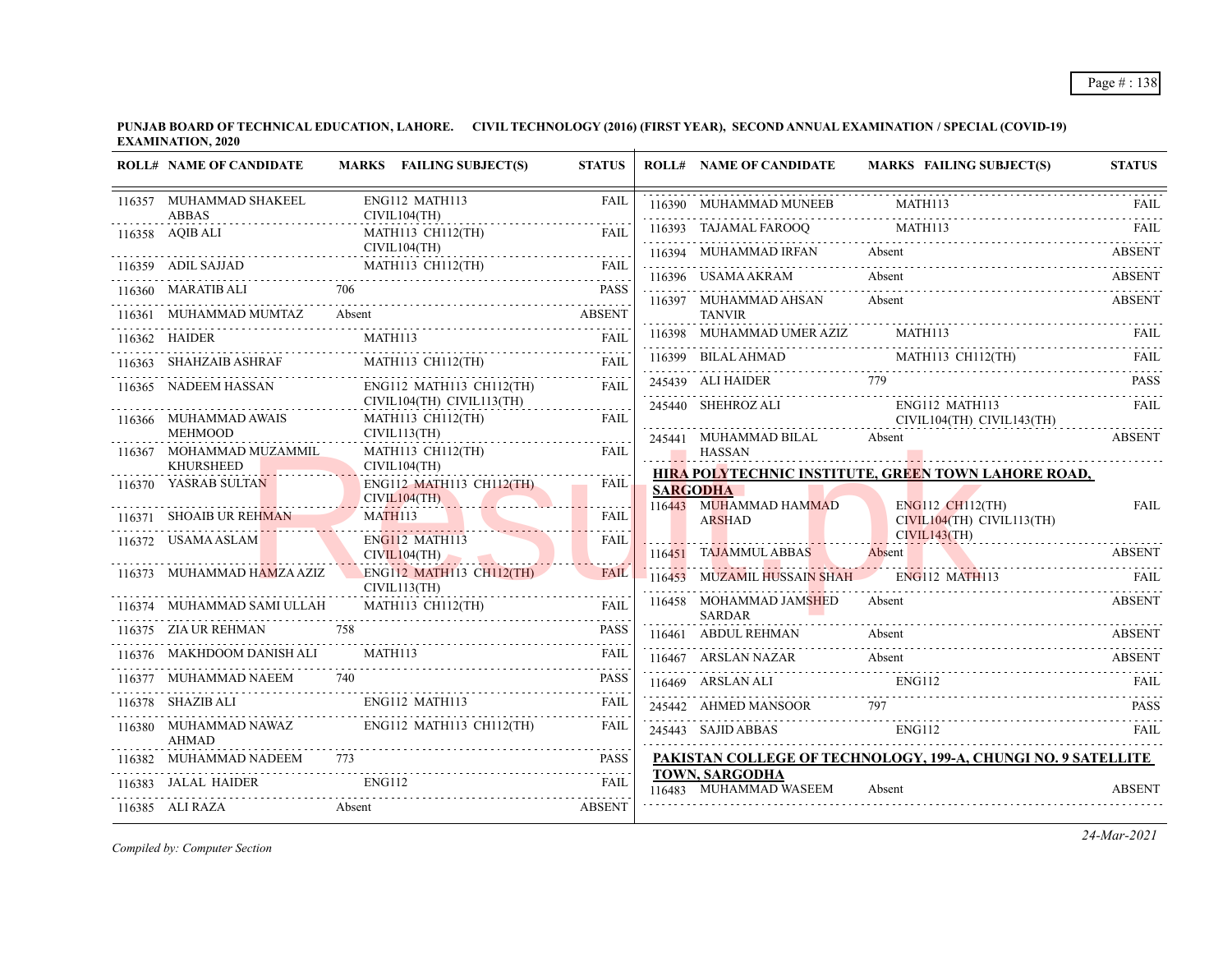|        | <b>ROLL# NAME OF CANDIDATE</b>               |         | MARKS FAILING SUBJECT(S)                              | <b>STATUS</b> | <b>ROLL# NAME OF CANDIDATE</b>                                                                                                                                                                                                   | MARKS FAILING SUBJECT(S)                                                                                                                                                                                                        | <b>STATUS</b> |
|--------|----------------------------------------------|---------|-------------------------------------------------------|---------------|----------------------------------------------------------------------------------------------------------------------------------------------------------------------------------------------------------------------------------|---------------------------------------------------------------------------------------------------------------------------------------------------------------------------------------------------------------------------------|---------------|
|        | 116357 MUHAMMAD SHAKEEL<br><b>ABBAS</b>      |         | ENG112 MATH113<br>CIVIL104(TH)                        | <b>FAIL</b>   | 116390 MUHAMMAD MUNEEB                                                                                                                                                                                                           | <b>MATH113</b>                                                                                                                                                                                                                  | FAIL.         |
|        | .<br>116358 AQIB ALI                         |         | .<br>MATH113 CH112(TH)                                | <b>FAIL</b>   | 116393 TAJAMAL FAROOQ MATH113                                                                                                                                                                                                    |                                                                                                                                                                                                                                 |               |
|        | 116359 ADIL SAJJAD                           |         | CIVIL104(TH)<br>MATH113 CH112(TH)                     | <b>FAIL</b>   |                                                                                                                                                                                                                                  | Absent<br>116394 MUHAMMAD IRFAN Absent ABSENT ABSENT                                                                                                                                                                            |               |
|        |                                              |         |                                                       | <b>PASS</b>   | 116396 USAMA AKRAM                                                                                                                                                                                                               | Absent                                                                                                                                                                                                                          | ABSENT        |
|        | 116360 MARATIB ALI                           | Absent  |                                                       |               | 116397 MUHAMMAD AHSAN                                                                                                                                                                                                            | Absent                                                                                                                                                                                                                          | <b>ABSENT</b> |
| 116361 | MUHAMMAD MUMTAZ                              |         |                                                       | <b>ABSENT</b> | <b>TANVIR</b><br>116398 MUHAMMAD UMER AZIZ                                                                                                                                                                                       | MATH113                                                                                                                                                                                                                         | FAIL          |
|        | 116362 HAIDER                                |         | MATH113                                               | <b>FAIL</b>   |                                                                                                                                                                                                                                  |                                                                                                                                                                                                                                 |               |
|        | 116363 SHAHZAIB ASHRAF                       |         | MATH113 CH112(TH)                                     | <b>FAIL</b>   |                                                                                                                                                                                                                                  | 116399 BILAL AHMAD MATH113 CH112(TH) FAIL                                                                                                                                                                                       |               |
|        | 116365 NADEEM HASSAN                         |         | ENG112 MATH113 CH112(TH)<br>CIVIL104(TH) CIVIL113(TH) | <b>FAIL</b>   | 245439 ALI HAIDER 779                                                                                                                                                                                                            | 245439 ALI HAIDER 779 PASS                                                                                                                                                                                                      |               |
|        | 116366 MUHAMMAD AWAIS                        |         | MATH113 CH112(TH)                                     | FAIL          | - 1000 - 1000 - 1000 - 1000 - 1000 - 1000 - 1000 - 1000 - 1000 - 1000 - 1000 - 1000 - 1000 - 1000 - 1000 - 100<br>- 1000 - 1000 - 1000 - 1000 - 1000 - 1000 - 1000 - 1000 - 1000 - 1000 - 1000 - 1000 - 1000 - 1000 - 1000 - 100 | 245440 SHEHROZ ALI ENG112 MATH113<br>CIVIL104(TH) CIVIL143(TH)                                                                                                                                                                  |               |
|        | <b>MEHMOOD</b>                               |         | CIVIL113(TH)                                          |               | 245441 MUHAMMAD BILAL Absent                                                                                                                                                                                                     |                                                                                                                                                                                                                                 | <b>ABSENT</b> |
|        | 116367 MOHAMMAD MUZAMMIL<br><b>KHURSHEED</b> |         | MATH113 CH112(TH)<br>CIVIL104(TH)                     | <b>FAIL</b>   | <b>HASSAN</b>                                                                                                                                                                                                                    |                                                                                                                                                                                                                                 |               |
|        | 116370 YASRAB SULTAN                         |         | ENG112 MATH113 CH112(TH)                              | FAIL          | <b>SARGODHA</b>                                                                                                                                                                                                                  | HIRA POLYTECHNIC INSTITUTE, GREEN TOWN LAHORE ROAD,                                                                                                                                                                             |               |
|        |                                              |         | CIVIL104(TH)                                          |               | 116443 MUHAMMAD HAMMAD                                                                                                                                                                                                           | ENG112 CH112(TH)                                                                                                                                                                                                                | FAIL          |
|        | 116371 SHOAIB UR REHMAN MATH113              |         |                                                       | <b>FAIL</b>   | <b>ARSHAD</b>                                                                                                                                                                                                                    | CIVIL104(TH) CIVIL113(TH)<br>CIVIL143(TH)                                                                                                                                                                                       |               |
|        | 116372 USAMA ASLAM                           |         | ENG112 MATH113<br>CIVIL104(TH)                        | FAIL          | 116451 TAJAMMUL ABBAS                                                                                                                                                                                                            | Absent                                                                                                                                                                                                                          | ABSENT        |
|        | 116373 MUHAMMAD HAMZA AZIZ                   |         | ENG112 MATH113 CH112(TH)<br>CIVIL113(TH)              | <b>FAIL</b>   | 116453 MUZAMIL HUSSAIN SHAH ENG112 MATH113                                                                                                                                                                                       |                                                                                                                                                                                                                                 | - FAIL        |
|        | 116374     MUHAMMAD SAMI ULLAH               |         | .<br><b>MATH113 CH112(TH)</b>                         | <b>FAIL</b>   | 116458 MOHAMMAD JAMSHED<br><b>SARDAR</b>                                                                                                                                                                                         | Absent                                                                                                                                                                                                                          | ABSENT        |
|        | 116375 ZIA UR REHMAN 758                     |         |                                                       | <b>PASS</b>   | 116461 ABDUL REHMAN                                                                                                                                                                                                              | Absent                                                                                                                                                                                                                          | <b>ABSENT</b> |
|        | 116376 MAKHDOOM DANISH ALI                   | MATH113 |                                                       | FAIL          |                                                                                                                                                                                                                                  | 116467 ARSLAN NAZAR<br>ENG112 FAIL<br>ENG112 FAIL                                                                                                                                                                               |               |
|        | 116377 MUHAMMAD NAEEM                        | 740     |                                                       | <b>PASS</b>   |                                                                                                                                                                                                                                  |                                                                                                                                                                                                                                 |               |
|        |                                              |         | 116378 SHAZIB ALI ENG112 MATH113                      | <b>FAIL</b>   | 245442 AHMED MANSOOR                                                                                                                                                                                                             | 797 — 100 — 100 — 100 — 100 — 100 — 100 — 100 — 100 — 100 — 100 — 100 — 100 — 100 — 100 — 100 — 100 — 100 — 100 — 100 — 100 — 100 — 100 — 100 — 100 — 100 — 100 — 100 — 100 — 100 — 100 — 100 — 100 — 100 — 100 — 100 — 100 — 1 |               |
|        | <b>AHMAD</b>                                 |         | 116380 MUHAMMAD NAWAZ ENG112 MATH113 CH112(TH)        | <b>FAIL</b>   | 245443 SAJID ABBAS                                                                                                                                                                                                               | ENG112                                                                                                                                                                                                                          | FAIL          |
|        | 116382 MUHAMMAD NADEEM                       | 773     |                                                       | <b>PASS</b>   |                                                                                                                                                                                                                                  | PAKISTAN COLLEGE OF TECHNOLOGY, 199-A, CHUNGI NO. 9 SATELLITE                                                                                                                                                                   |               |
|        |                                              |         |                                                       | <b>FAIL</b>   | <b>TOWN, SARGODHA</b><br>116483 MUHAMMAD WASEEM                                                                                                                                                                                  | Absent                                                                                                                                                                                                                          | <b>ABSENT</b> |
|        | 116385 ALI RAZA                              | Absent  |                                                       | <b>ABSENT</b> |                                                                                                                                                                                                                                  |                                                                                                                                                                                                                                 |               |

*Compiled by: Computer Section*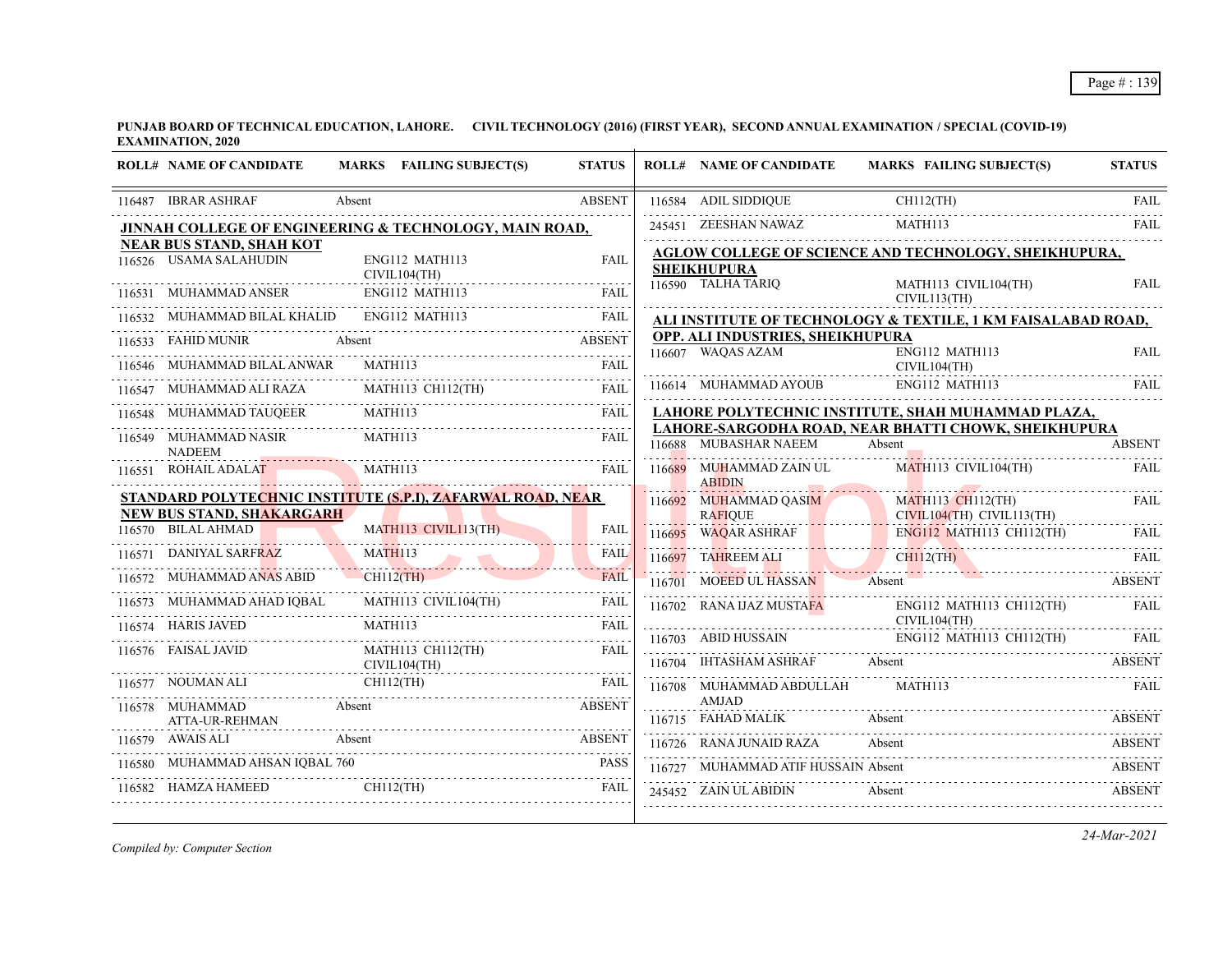| <b>ROLL# NAME OF CANDIDATE</b>                         | MARKS FAILING SUBJECT(S)                                              | <b>STATUS</b>            |        | <b>ROLL# NAME OF CANDIDATE</b>                    | <b>MARKS FAILING SUBJECT(S)</b>                                                   | <b>STATUS</b> |
|--------------------------------------------------------|-----------------------------------------------------------------------|--------------------------|--------|---------------------------------------------------|-----------------------------------------------------------------------------------|---------------|
| 116487 IBRAR ASHRAF                                    | Absent                                                                | <b>ABSENT</b>            |        | 116584 ADIL SIDDIQUE                              | $CH112$ (TH)                                                                      | <b>FAIL</b>   |
|                                                        | JINNAH COLLEGE OF ENGINEERING & TECHNOLOGY, MAIN ROAD,                |                          |        | 245451 ZEESHAN NAWAZ                              | MATH113                                                                           | FAII.         |
| <b>NEAR BUS STAND, SHAH KOT</b>                        |                                                                       |                          |        |                                                   | AGLOW COLLEGE OF SCIENCE AND TECHNOLOGY, SHEIKHUPURA,                             |               |
| 116526 USAMA SALAHUDIN<br>CIVIL104(TH)                 | ENG112 MATH113                                                        | <b>FAIL</b>              |        | <b>SHEIKHUPURA</b>                                |                                                                                   |               |
|                                                        | 116531 MUHAMMAD ANSER ENG112 MATH113 FAIL                             |                          |        | 116590 TALHA TARIQ                                | MATH113 CIVIL104(TH)<br>CIVIL113(TH)                                              | <b>FAIL</b>   |
| 116532 MUHAMMAD BILAL KHALID ENG112 MATH113            |                                                                       | <b>FAIL</b>              |        |                                                   | ALI INSTITUTE OF TECHNOLOGY & TEXTILE, 1 KM FAISALABAD ROAD,                      |               |
| 116533 FAHID MUNIR Absent                              |                                                                       | <b>ABSENT</b>            |        | OPP. ALI INDUSTRIES, SHEIKHUPURA                  |                                                                                   |               |
| 116546 MUHAMMAD BILAL ANWAR                            | MATH113                                                               | <b>FAIL</b>              |        | 116607 WAQAS AZAM                                 | ENG112 MATH113<br>CIVIL104(TH)                                                    | <b>FAIL</b>   |
| 116547 MUHAMMAD ALI RAZA                               | MATH113 CH112(TH)                                                     | <b>FAIL</b>              |        | 116614 MUHAMMAD AYOUB                             | ENG112 MATH113                                                                    | FAIL.         |
|                                                        | MUHAMMAD TAUQEER MATHI13<br>116548 MUHAMMAD TAUQEER MATH113 FAIL FAIL |                          |        |                                                   | LAHORE POLYTECHNIC INSTITUTE, SHAH MUHAMMAD PLAZA,                                |               |
| 116549 MUHAMMAD NASIR<br><b>NADEEM</b>                 | MATH113                                                               | <b>FAIL</b>              |        | 116688 MUBASHAR NAEEM                             | LAHORE-SARGODHA ROAD, NEAR BHATTI CHOWK, SHEIKHUPURA<br>Absent                    | <b>ABSENT</b> |
| 116551 ROHAIL ADALAT                                   | MATH113                                                               | <b>FAIL</b>              |        | 116689 MUHAMMAD ZAIN UL<br><b>ABIDIN</b>          | MATH113 CIVIL104(TH)                                                              | <b>FAIL</b>   |
|                                                        | STANDARD POLYTECHNIC INSTITUTE (S.P.I), ZAFARWAL ROAD, NEAR           |                          |        | .<br>116692 MUHAMMAD QASIM                        | <b>MATH113 CH112(TH)</b>                                                          | FAII.         |
| <b>NEW BUS STAND, SHAKARGARH</b><br>116570 BILAL AHMAD | MATH113 CIVIL113(TH)                                                  | <b>FAIL</b>              |        | <b>RAFIOUE</b>                                    | CIVIL104(TH) CIVIL113(TH)                                                         |               |
|                                                        |                                                                       |                          |        | $116695$ WAQAR ASHRAF                             | ENG112 MATH113 CH112(TH)<br><b>MILLAND AND AN ARTICLE AND ARTICLE AND ARTICLE</b> | FAIL.         |
| 116571 DANIYAL SARFRAZ                                 | DANIYAL SARFRAZ MATHI13                                               | <b>FAIL</b><br>$- - - -$ | 116697 | TAHREEM ALI                                       | $CH112$ (TH)                                                                      | FAIL.         |
| 116572 MUHAMMAD ANAS ABID CH112(TH)                    |                                                                       | <b>FAIL</b>              |        | 116701 MOEED UL HASSAN                            | Absent                                                                            | <b>ABSENT</b> |
|                                                        | 116573 MUHAMMAD AHAD IQBAL MATH113 CIVIL104(TH)                       | <b>FAIL</b>              |        | 116702 RANA IJAZ MUSTAFA ENG112 MATH              | ENG112 MATH113 CH112(TH)                                                          | FAIL.         |
| 116574 HARIS JAVED                                     | MATH113                                                               |                          |        |                                                   |                                                                                   |               |
| 116576 FAISAL JAVID                                    | MATH113 CH112(TH)<br>CIVIL104(TH)                                     | <b>FAIL</b>              |        |                                                   | 116703 ABID HUSSAIN ENGI12 MATH113 CH112(TH) FAIL                                 |               |
|                                                        | 116577 NOUMAN ALI CH112(TH) FAIL                                      |                          |        | 116708 MUHAMMAD ABDULLAH                          | 116704 IHTASHAM ASHRAF Absent ABSENT ABSENT<br>MATH113                            | FAII.         |
| 116578 MUHAMMAD<br><b>Absent</b>                       |                                                                       | <b>ABSENT</b>            |        | <b>AMJAD</b>                                      |                                                                                   |               |
| ATTA-UR-REHMAN                                         |                                                                       |                          |        | 116715 FAHAD MALIK Absent                         |                                                                                   | <b>ABSENT</b> |
| 116579 AWAIS ALI                                       | Absent                                                                | <b>ABSENT</b>            |        | 116726 RANA JUNAID RAZA                           | Absent                                                                            | <b>ABSENT</b> |
| 116580 MUHAMMAD AHSAN IQBAL 760                        | HAMZA HAMEED CHILI2(TH)                                               | <b>PASS</b>              |        | 116727 MUHAMMAD ATIF HUSSAIN Absent               |                                                                                   | <b>ABSENT</b> |
| 116582 HAMZA HAMEED                                    |                                                                       | FAIL                     |        | <b>Example 18</b> Absent<br>245452 ZAIN UL ABIDIN |                                                                                   | <b>ABSENT</b> |
|                                                        |                                                                       |                          |        |                                                   |                                                                                   |               |

*Compiled by: Computer Section*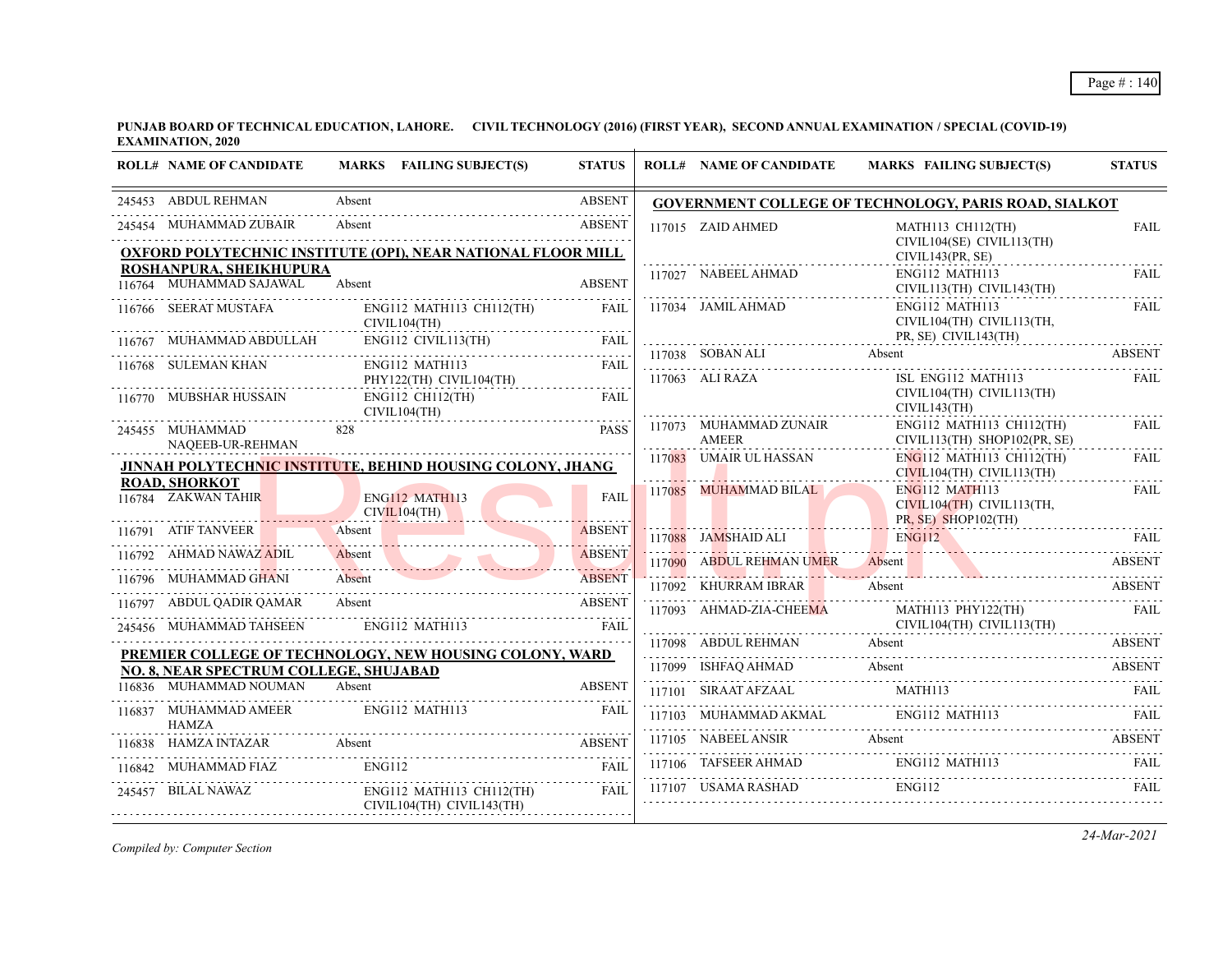**PUNJAB BOARD OF TECHNICAL EDUCATION, LAHORE. CIVIL TECHNOLOGY (2016) (FIRST YEAR), SECOND ANNUAL EXAMINATION / SPECIAL (COVID-19) EXAMINATION, 2020**

| <b>ROLL# NAME OF CANDIDATE</b>                      | MARKS FAILING SUBJECT(S)                                                      | <b>STATUS</b>                | <b>ROLL# NAME OF CANDIDATE</b>         | <b>MARKS FAILING SUBJECT(S)</b>                                                                                              | <b>STATUS</b>                |
|-----------------------------------------------------|-------------------------------------------------------------------------------|------------------------------|----------------------------------------|------------------------------------------------------------------------------------------------------------------------------|------------------------------|
| 245453 ABDUL REHMAN                                 | Absent<br>.                                                                   | <b>ABSENT</b>                |                                        | GOVERNMENT COLLEGE OF TECHNOLOGY, PARIS ROAD, SIALKOT                                                                        |                              |
| 245454 MUHAMMAD ZUBAIR                              | Absent<br><b>OXFORD POLYTECHNIC INSTITUTE (OPI), NEAR NATIONAL FLOOR MILL</b> | <b>ABSENT</b>                | 117015 ZAID AHMED                      | MATH113 CH112(TH)<br>CIVIL104(SE) CIVIL113(TH)<br>CIVIL143(PR, SE)                                                           | <b>FAIL</b>                  |
| ROSHANPURA, SHEIKHUPURA<br>116764 MUHAMMAD SAJAWAL  | Absent                                                                        | <b>ABSENT</b>                | 117027 NABEEL AHMAD                    | ENG112 MATH113<br>CIVIL113(TH) CIVIL143(TH)                                                                                  | <b>FAIL</b>                  |
| 116766 SEERAT MUSTAFA                               | ENG112 MATH113 CH112(TH)<br>CIVIL104(TH)                                      | FAIL                         | 117034 JAMIL AHMAD                     | ENG112 MATH113<br>CIVIL104(TH) CIVIL113(TH,                                                                                  | FAIL                         |
| 116767 MUHAMMAD ABDULLAH                            | $ENG112$ CIVIL113(TH)                                                         | <b>FAIL</b>                  |                                        | PR, SE) CIVIL143(TH)                                                                                                         |                              |
| 116768 SULEMAN KHAN                                 | ENG112 MATH113<br>PHY122(TH) CIVIL104(TH)                                     | FAIL                         | 117038 SOBAN ALI<br>117063 ALI RAZA    | Absent<br>ISL ENG112 MATH113                                                                                                 | <b>ABSENT</b><br><b>FAIL</b> |
| 116770 MUBSHAR HUSSAIN                              | ENG112 CH112(TH)<br>CIVIL104(TH)                                              | FAII.                        |                                        | CIVIL104(TH) CIVIL113(TH)<br>CIVIL143(TH)                                                                                    |                              |
| 245455 MUHAMMAD<br>NAQEEB-UR-REHMAN                 | 828                                                                           | <b>PASS</b>                  | 117073 MUHAMMAD ZUNAIR<br><b>AMEER</b> | ENG112 MATH113 CH112(TH)<br>CIVIL113(TH) SHOP102(PR, SE)                                                                     | <b>FAIL</b>                  |
|                                                     | JINNAH POLYTECHNIC INSTITUTE, BEHIND HOUSING COLONY, JHANG                    |                              | 117083 UMAIR UL HASSAN                 | ENG112 MATH113 CH112(TH)<br>CIVIL104(TH) CIVIL113(TH)                                                                        | <b>FAIL</b><br>.             |
| <b>ROAD, SHORKOT</b><br>116784 ZAKWAN TAHIR         | <b>ENG112 MATH113</b><br>CIVIL104(TH)                                         | <b>FAIL</b>                  | 117085 MUHAMMAD BILAL                  | <b>ENG112 MATH113</b><br>CIVIL104(TH) CIVIL113(TH,<br>PR, SE) SHOP102(TH)                                                    | FAIL                         |
| 116791 ATIF TANVEER                                 | Absent                                                                        | <b>ABSENT</b>                | 117088 JAMSHAID ALI                    | <b>ENG112</b>                                                                                                                | FAII.                        |
| 116792 AHMAD NAWAZ ADIL                             | Absent                                                                        | <b>ABSENT</b>                | 117090 ABDUL REHMAN UMER Absent        |                                                                                                                              | <b>ABSENT</b>                |
| 116796 MUHAMMAD GHANI                               | Absent                                                                        | <b>ABSENT</b>                | 117092 KHURRAM IBRAR                   | Absent                                                                                                                       | <b>ABSENT</b>                |
| 116797 ABDUL QADIR QAMAR<br>245456 MUHAMMAD TAHSEEN | Absent<br>ENG112 MATH113                                                      | <b>ABSENT</b><br><b>FAIL</b> | 117093 AHMAD-ZIA-CHEEMA                | MATH113 PHY122(TH)<br>CIVIL104(TH) CIVIL113(TH)                                                                              | <b>FAIL</b>                  |
|                                                     |                                                                               |                              |                                        | 117098 ABDUL REHMAN Absent ABSENT ABSENT                                                                                     |                              |
| NO. 8. NEAR SPECTRUM COLLEGE, SHUJABAD              | PREMIER COLLEGE OF TECHNOLOGY, NEW HOUSING COLONY, WARD                       |                              |                                        | 117099 ISHFAQ AHMAD Absent                                                                                                   | ABSENT                       |
| 116836 MUHAMMAD NOUMAN                              | Absent                                                                        | <b>ABSENT</b>                | 117101 SIRAAT AFZAAL MATH113           |                                                                                                                              | FAIL                         |
| 116837 MUHAMMAD AMEER<br><b>HAMZA</b>               | ENG112 MATH113                                                                | FAIL                         |                                        | $117103 \quad \text{MUHAMMAD AKMAL} \qquad \qquad \text{ENG112 MATH113} \qquad \qquad \text{FAIL} \qquad \qquad \text{FAIL}$ |                              |
| 116838 HAMZA INTAZAR Absent                         | HAMZA INTAZAR Absent ABSENT                                                   |                              |                                        | 117105 NABEEL ANSIR Absent ABSENT ABSENT                                                                                     |                              |
|                                                     | 116842 MUHAMMAD FIAZ ENG112 FAIL FAIL                                         |                              |                                        |                                                                                                                              |                              |
| 245457 BILAL NAWAZ                                  | $ENG112$ MATH113 CH112(TH)<br>CIVIL104(TH) CIVIL143(TH)                       | FAIL.                        | 117107 USAMA RASHAD                    | <b>ENG112</b>                                                                                                                | <b>FAIL</b>                  |

*Compiled by: Computer Section*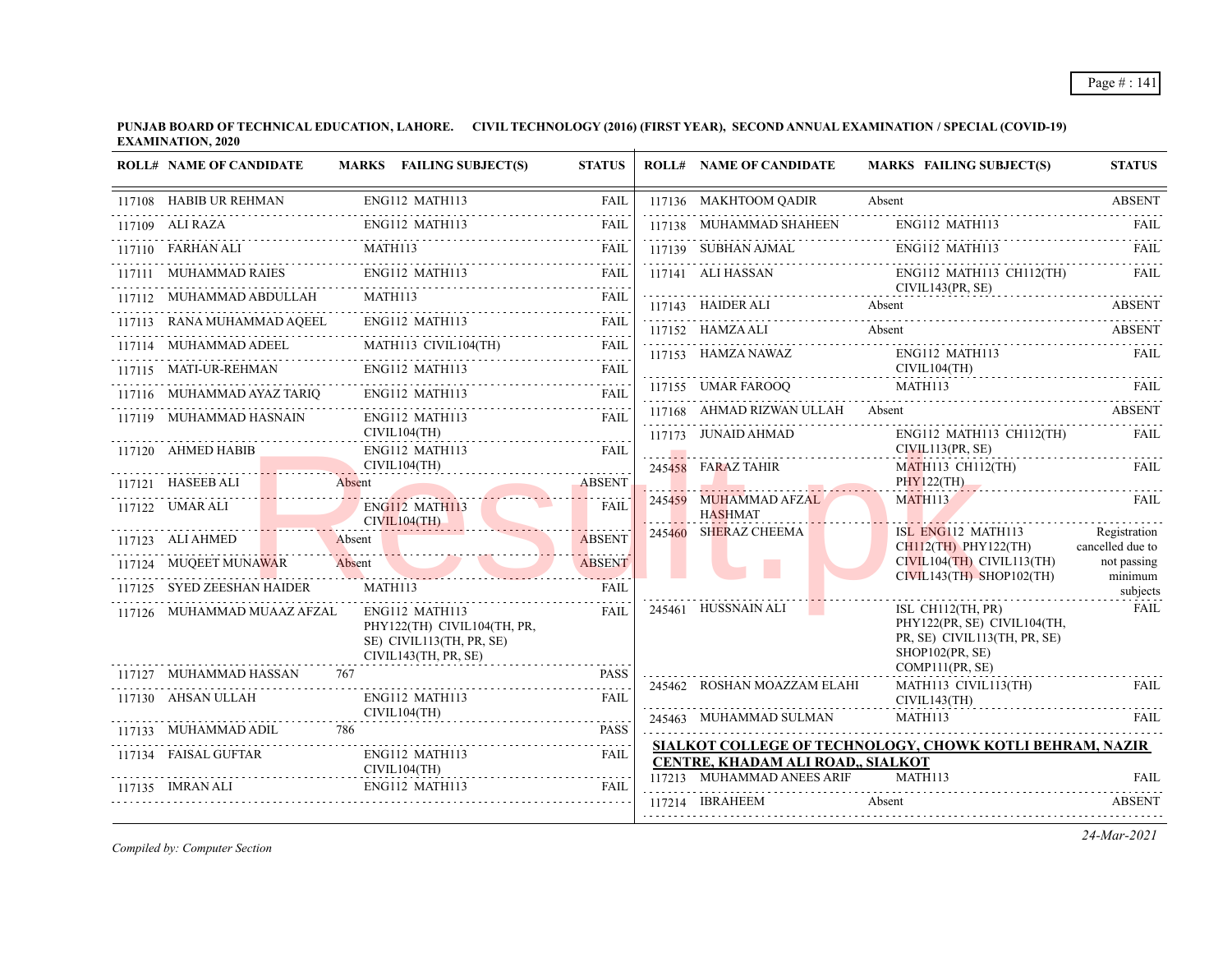**PUNJAB BOARD OF TECHNICAL EDUCATION, LAHORE. CIVIL TECHNOLOGY (2016) (FIRST YEAR), SECOND ANNUAL EXAMINATION / SPECIAL (COVID-19) EXAMINATION, 2020**  $\mathbf{r}$ 

| <b>ROLL# NAME OF CANDIDATE</b> |         | MARKS FAILING SUBJECT(S)                                                                          | <b>STATUS</b>                                                                                                                                                                           | <b>ROLL# NAME OF CANDIDATE</b>               | <b>MARKS FAILING SUBJECT(S)</b>                                                                        | <b>STATUS</b>                    |
|--------------------------------|---------|---------------------------------------------------------------------------------------------------|-----------------------------------------------------------------------------------------------------------------------------------------------------------------------------------------|----------------------------------------------|--------------------------------------------------------------------------------------------------------|----------------------------------|
| 117108 HABIB UR REHMAN         |         | ENG112 MATH113                                                                                    | FAIL                                                                                                                                                                                    | 117136 MAKHTOOM QADIR                        | Absent                                                                                                 | <b>ABSENT</b>                    |
| 117109 ALI RAZA                |         | ENG112 MATH113                                                                                    | <b>FAIL</b>                                                                                                                                                                             | 117138 MUHAMMAD SHAHEEN                      | ENG112 MATH113                                                                                         | FAIL                             |
|                                | MATH113 |                                                                                                   | <b>FAIL</b>                                                                                                                                                                             |                                              | 117139 SUBHAN AJMAL ENG112 MATH113 FAIL                                                                |                                  |
| 117111 MUHAMMAD RAIES          |         | ENG112 MATH113                                                                                    | FAIL                                                                                                                                                                                    | 117141 ALI HASSAN                            | ENG112 MATH113 CH112(TH)                                                                               | FAIL                             |
| 117112 MUHAMMAD ABDULLAH       | MATH113 |                                                                                                   | <b>FAIL</b>                                                                                                                                                                             | CIVIL143(PR, SE)<br>117143 HAIDER ALI Absent |                                                                                                        | ABSENT                           |
| 117113 RANA MUHAMMAD AQEEL     |         | ENG112 MATH113                                                                                    | FAIL                                                                                                                                                                                    | 117152 HAMZA ALI                             | Absent                                                                                                 | <b>ABSENT</b>                    |
| 117114 MUHAMMAD ADEEL          |         | MATH113 CIVIL104(TH)                                                                              | <b>FAIL</b><br>.                                                                                                                                                                        | 117153 HAMZA NAWAZ                           | ENG112 MATH113                                                                                         | FAIL                             |
| 117115 MATI-UR-REHMAN          |         | ENG112 MATH113                                                                                    | <b>FAIL</b>                                                                                                                                                                             |                                              | CIVIL104(TH)                                                                                           |                                  |
| 117116 MUHAMMAD AYAZ TARIO     |         | ENG112 MATH113                                                                                    | FAIL.                                                                                                                                                                                   | 117155 UMAR FAROOQ                           | MATH113                                                                                                | <b>FAIL</b>                      |
| 117119 MUHAMMAD HASNAIN        |         | ENG112 MATH113                                                                                    | <b>FAIL</b>                                                                                                                                                                             | 117168 AHMAD RIZWAN ULLAH Absent             | <b>ABSENT</b>                                                                                          |                                  |
| 117120 AHMED HABIB             |         | CIVIL104(TH)<br>ENG112 MATH113                                                                    | <b>FAIL</b>                                                                                                                                                                             | 117173 JUNAID AHMAD                          | ENG112 MATH113 CH112(TH)<br>CIVIL113(PR, SE)                                                           | FAIL                             |
|                                |         | CIVIL104(TH)                                                                                      |                                                                                                                                                                                         | 245458 FARAZ TAHIR                           | MATH113 CH112(TH)                                                                                      | <b>FAIL</b>                      |
| $117121$ HASEEB ALI            | Absent  |                                                                                                   | <b>ABSENT</b>                                                                                                                                                                           |                                              | PHY122(TH)                                                                                             |                                  |
| 117122 UMAR ALI                |         | ENG112 MATH113<br>CIVIL104(TH)                                                                    | <b>FAIL</b>                                                                                                                                                                             | 245459 MUHAMMAD AFZAL<br><b>HASHMAT</b>      | MATH113                                                                                                | <b>FAIL</b>                      |
| 117123 ALI AHMED               | Absent  |                                                                                                   | <b>ABSENT</b>                                                                                                                                                                           | 245460 SHERAZ CHEEMA                         | ISL ENG112 MATH113<br>$CH112$ (TH) PHY122(TH)                                                          | Registration<br>cancelled due to |
| 117124 MUQEET MUNAWAR          | Absent  |                                                                                                   | <b>ABSENT</b>                                                                                                                                                                           |                                              | $CIVIL104(TH)$ $CIVIL113(TH)$<br>$CIVIL143(TH)$ SHOP102(TH)                                            | not passing                      |
| 117125 SYED ZEESHAN HAIDER     | MATH113 |                                                                                                   | <b>FAIL</b>                                                                                                                                                                             |                                              |                                                                                                        | minimum<br>subjects              |
| 117126 MUHAMMAD MUAAZ AFZAL    |         | ENG112 MATH113<br>PHY122(TH) CIVIL104(TH, PR,<br>SE) CIVIL113(TH, PR, SE)<br>CIVIL143(TH, PR, SE) | <b>FAIL</b>                                                                                                                                                                             | 245461 HUSSNAIN ALI                          | ISL CH112 $(TH, PR)$<br>PHY122(PR, SE) CIVIL104(TH,<br>PR, SE) CIVIL113(TH, PR, SE)<br>SHOP102(PR, SE) | <b>FAIL</b>                      |
| 117127 MUHAMMAD HASSAN         | 767     |                                                                                                   | <b>PASS</b>                                                                                                                                                                             | 245462 ROSHAN MOAZZAM ELAHI                  | COMP111(PR, SE)<br>MATH113 CIVIL113(TH)                                                                | FAIL                             |
| 117130 AHSAN ULLAH             |         | ENG112 MATH113<br>CIVIL104(TH)                                                                    | <b>FAIL</b>                                                                                                                                                                             |                                              | CIVIL143(TH)                                                                                           |                                  |
| 117133 MUHAMMAD ADIL           | 786     |                                                                                                   | <b>PASS</b>                                                                                                                                                                             | 245463 MUHAMMAD SULMAN                       | MATH113                                                                                                | FAIL                             |
| 117134 FAISAL GUFTAR           |         | ENG112 MATH113                                                                                    | FAIL                                                                                                                                                                                    | CENTRE, KHADAM ALI ROAD., SIALKOT            | SIALKOT COLLEGE OF TECHNOLOGY, CHOWK KOTLI BEHRAM, NAZIR                                               |                                  |
| 117135 IMRAN ALI               |         | CIVIL104(TH)<br>ENG112 MATH113                                                                    | $\frac{1}{2} \left( \frac{1}{2} \right) \left( \frac{1}{2} \right) \left( \frac{1}{2} \right) \left( \frac{1}{2} \right) \left( \frac{1}{2} \right) \left( \frac{1}{2} \right)$<br>FAIL | 117213 MUHAMMAD ANEES ARIF                   | MATH113                                                                                                | <b>FAIL</b>                      |
|                                |         |                                                                                                   |                                                                                                                                                                                         | 117214 IBRAHEEM                              | Absent                                                                                                 | <b>ABSENT</b>                    |
|                                |         |                                                                                                   |                                                                                                                                                                                         |                                              |                                                                                                        |                                  |

*Compiled by: Computer Section*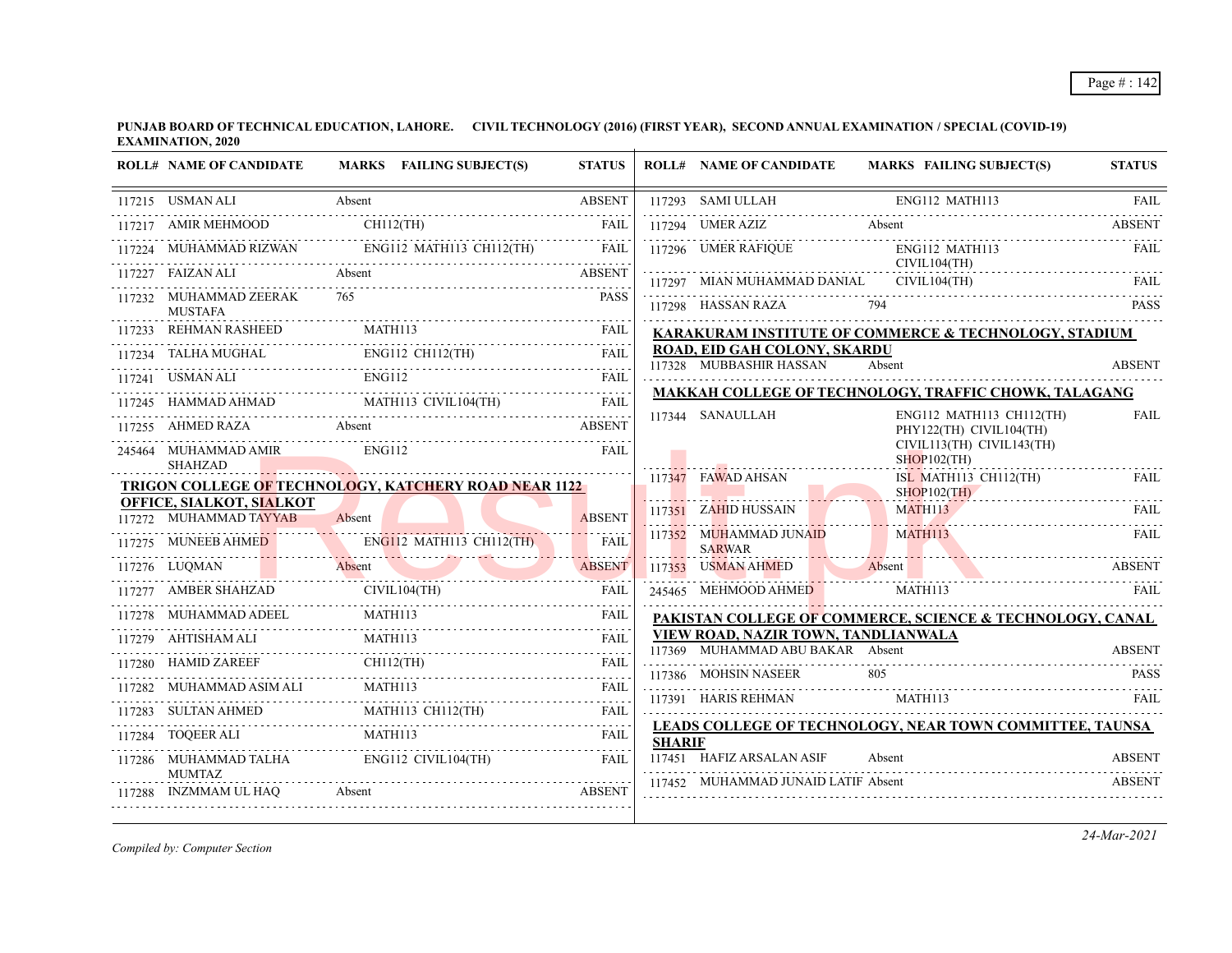| <b>ROLL# NAME OF CANDIDATE</b>                            | MARKS FAILING SUBJECT(S)                                                                                                                                                                                                                                                        | <b>STATUS</b> |               | <b>ROLL# NAME OF CANDIDATE</b>                                                 | MARKS FAILING SUBJECT(S)                                                                                                                                                                                                       | <b>STATUS</b> |
|-----------------------------------------------------------|---------------------------------------------------------------------------------------------------------------------------------------------------------------------------------------------------------------------------------------------------------------------------------|---------------|---------------|--------------------------------------------------------------------------------|--------------------------------------------------------------------------------------------------------------------------------------------------------------------------------------------------------------------------------|---------------|
| 117215 USMAN ALI                                          | Absent                                                                                                                                                                                                                                                                          | <b>ABSENT</b> |               |                                                                                |                                                                                                                                                                                                                                |               |
|                                                           | $117217 \quad \text{AMIR MEHMOOD} \qquad \text{CH112(TH)} \qquad \qquad \text{FAIL}$                                                                                                                                                                                            |               |               | 117294 UMER AZIZ Absent                                                        |                                                                                                                                                                                                                                | <b>ABSENT</b> |
|                                                           | 117224 MUHAMMAD RIZWAN ENGI12 MATH113 CH112(TH) FAIL                                                                                                                                                                                                                            |               |               | 117296 UMER RAFIOUE                                                            | ENG112 MATH113<br>CIVIL104(TH)                                                                                                                                                                                                 | <b>FAIL</b>   |
| 117227 FAIZAN ALI<br>Absent                               |                                                                                                                                                                                                                                                                                 | <b>ABSENT</b> |               | 117297 MIAN MUHAMMAD DANIAL                                                    | CIVIL104(TH)                                                                                                                                                                                                                   |               |
| 117232 MUHAMMAD ZEERAK<br><b>MUSTAFA</b>                  | 765                                                                                                                                                                                                                                                                             | <b>PASS</b>   |               | 117298 HASSAN RAZA                                                             | 794 — 200                                                                                                                                                                                                                      | <b>PASS</b>   |
|                                                           | 117233 REHMAN RASHEED MATH113 FAIL                                                                                                                                                                                                                                              |               |               |                                                                                | KARAKURAM INSTITUTE OF COMMERCE & TECHNOLOGY, STADIUM                                                                                                                                                                          |               |
|                                                           | $\begin{tabular}{c c c c c} \hline 117234 & TALHA MUGHAL & ENG112 CH112(TH) & FAIL \\ \hline 117241 & USMAN ALL & ENG112 & CH112(TH) & FAIL \\ \hline 117241 & USMAN ALL & EMG112 & TAIL \\ \hline 117245 & HAMMAD AHMAD & MATH113 CIVIL104(TH) & FAIL \\ \hline \end{tabular}$ |               |               | ROAD, EID GAH COLONY, SKARDU<br>117328 MUBBASHIR HASSAN                        | Absent                                                                                                                                                                                                                         | <b>ABSENT</b> |
|                                                           |                                                                                                                                                                                                                                                                                 |               |               |                                                                                |                                                                                                                                                                                                                                |               |
|                                                           |                                                                                                                                                                                                                                                                                 |               |               |                                                                                | <b>MAKKAH COLLEGE OF TECHNOLOGY, TRAFFIC CHOWK, TALAGANG</b>                                                                                                                                                                   |               |
|                                                           | 117255 AHMED RAZA Absent ABSENT                                                                                                                                                                                                                                                 |               |               | ENG112 MATH113 CH112(TH)<br>117344 SANAULLAH<br>PHY122(TH) CIVIL104(TH)        |                                                                                                                                                                                                                                | <b>FAIL</b>   |
| 245464 MUHAMMAD AMIR<br><b>SHAHZAD</b>                    | <b>ENG112</b>                                                                                                                                                                                                                                                                   | <b>FAIL</b>   |               |                                                                                | CIVIL113(TH) CIVIL143(TH)<br>$SHOP102$ (TH)                                                                                                                                                                                    |               |
|                                                           | TRIGON COLLEGE OF TECHNOLOGY, KATCHERY ROAD NEAR 1122                                                                                                                                                                                                                           |               |               | 117347 FAWAD AHSAN                                                             | ISL MATH113 CH112(TH)<br>$SHOP102$ (TH)                                                                                                                                                                                        | FAIL          |
| <b>OFFICE, SIALKOT, SIALKOT</b><br>117272 MUHAMMAD TAYYAB | Absent                                                                                                                                                                                                                                                                          | <b>ABSENT</b> |               | 117351 ZAHID HUSSAIN                                                           | <b>MATH113</b><br>MATH113 FAIL                                                                                                                                                                                                 | FAIL.         |
|                                                           | 117275 MUNEEB AHMED ENGI12 MATH113 CH112(TH) FAIL                                                                                                                                                                                                                               |               |               | 117352 MUHAMMAD JUNAID<br><b>SARWAR</b>                                        | <b>MATH113</b>                                                                                                                                                                                                                 | <b>FAIL</b>   |
|                                                           | 117276 LUQMAN Absent ABSENT                                                                                                                                                                                                                                                     |               |               |                                                                                | THE RESERVE THE RESERVE ASSESSED ASSESSED ARREST THAN A RESERVE THAN A RESERVE THAN A RESERVE THAN A RESERVE THAN A RESERVE THAN A RESERVE THAN A RESERVE THAN A RESERVE THAN A RESERVE THAN A RESERVE THAN A RESERVE THAN A R |               |
|                                                           | 117277 AMBER SHAHZAD CIVIL104(TH) FAIL                                                                                                                                                                                                                                          |               |               | 245465 MEHMOOD AHMED                                                           | MATH113                                                                                                                                                                                                                        |               |
|                                                           |                                                                                                                                                                                                                                                                                 |               |               |                                                                                | PAKISTAN COLLEGE OF COMMERCE, SCIENCE & TECHNOLOGY, CANAL                                                                                                                                                                      |               |
|                                                           |                                                                                                                                                                                                                                                                                 |               |               | <b>VIEW ROAD, NAZIR TOWN, TANDLIANWALA</b><br>117369 MUHAMMAD ABU BAKAR Absent |                                                                                                                                                                                                                                | <b>ABSENT</b> |
| 117280 HAMID ZAREEF                                       | $D ZAREEF$ $CH112(TH)$ $FAIL$                                                                                                                                                                                                                                                   |               |               |                                                                                |                                                                                                                                                                                                                                |               |
|                                                           |                                                                                                                                                                                                                                                                                 |               |               | 117386 MOHSIN NASEER 805                                                       |                                                                                                                                                                                                                                | <b>PASS</b>   |
|                                                           | 117283 SULTAN AHMED MATH113 CH112(TH) FAIL                                                                                                                                                                                                                                      |               |               |                                                                                | $\begin{minipage}{0.9\linewidth} \textbf{117391} \quad \textbf{HARIS REHMAN} \quad \textbf{MATH113} \end{minipage}$                                                                                                            |               |
|                                                           | $\begin{tabular}{c} \bf 117284 & \bf TOQEER \textbf{ALI} \\ \bf .117284 & \bf TOQEER \textbf{ALI} \\ \end{tabular}$                                                                                                                                                             |               | <b>SHARIF</b> |                                                                                | LEADS COLLEGE OF TECHNOLOGY, NEAR TOWN COMMITTEE, TAUNSA                                                                                                                                                                       |               |
| <b>MUMTAZ</b>                                             | 117286 MUHAMMAD TALHA ENG112 CIVIL104(TH)                                                                                                                                                                                                                                       | FAIL          |               | 117451 HAFIZ ARSALAN ASIF                                                      | Absent                                                                                                                                                                                                                         | <b>ABSENT</b> |
| 117288 INZMMAM UL HAQ                                     | 7288 INZMMAM UL HAQ Absent ABSENT                                                                                                                                                                                                                                               |               |               | 117452 MUHAMMAD JUNAID LATIF Absent                                            |                                                                                                                                                                                                                                | ABSENT        |

*Compiled by: Computer Section*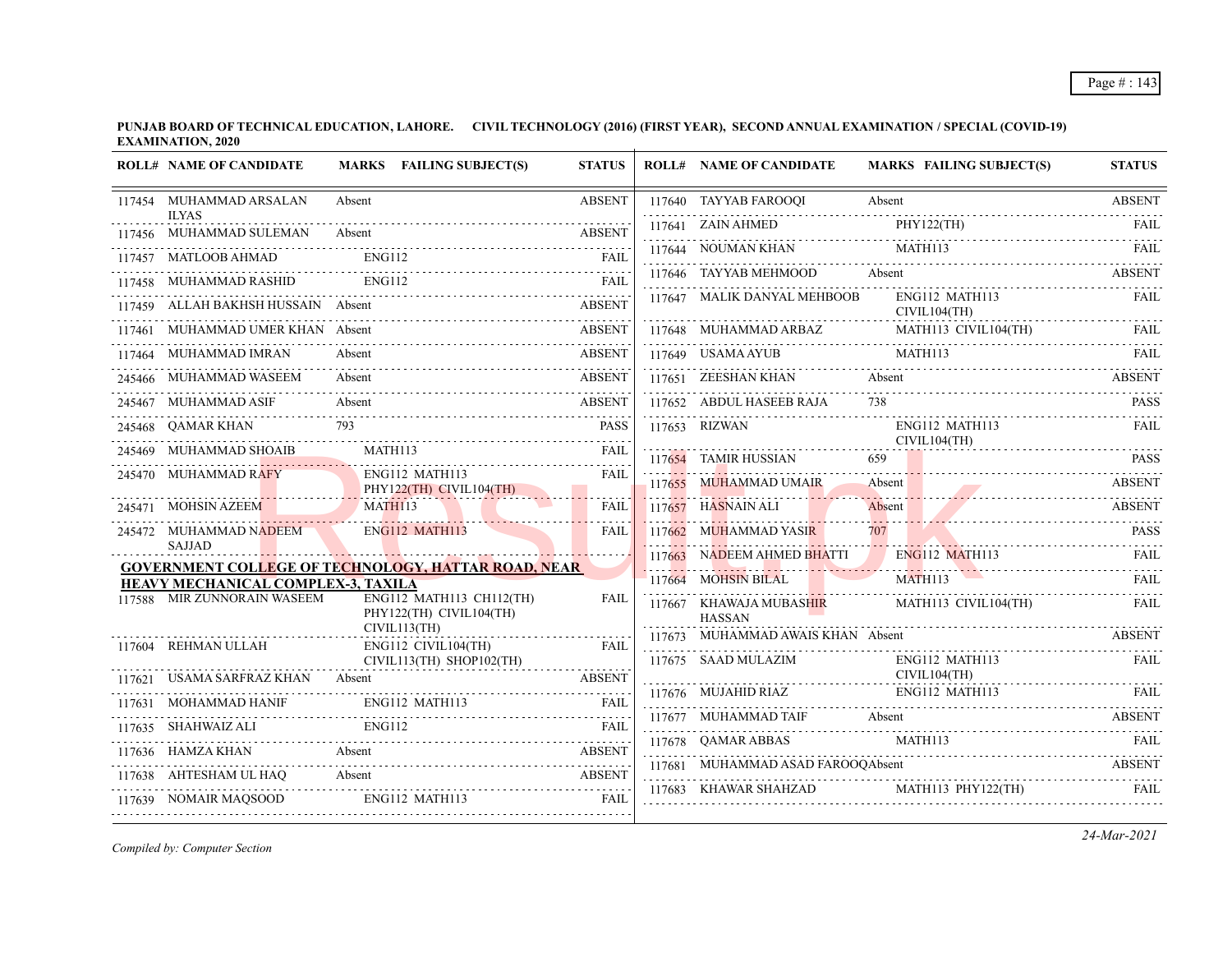**PUNJAB BOARD OF TECHNICAL EDUCATION, LAHORE. CIVIL TECHNOLOGY (2016) (FIRST YEAR), SECOND ANNUAL EXAMINATION / SPECIAL (COVID-19) EXAMINATION, 2020**  $\overline{1}$ 

| <b>ROLL# NAME OF CANDIDATE</b>                                                        |               | MARKS FAILING SUBJECT(S)                            | <b>STATUS</b> | <b>ROLL# NAME OF CANDIDATE</b>                                                                                                                                                                                                                                                                                                                                                                                                                                          |        | <b>MARKS FAILING SUBJECT(S)</b> | <b>STATUS</b> |
|---------------------------------------------------------------------------------------|---------------|-----------------------------------------------------|---------------|-------------------------------------------------------------------------------------------------------------------------------------------------------------------------------------------------------------------------------------------------------------------------------------------------------------------------------------------------------------------------------------------------------------------------------------------------------------------------|--------|---------------------------------|---------------|
| 117454 MUHAMMAD ARSALAN                                                               | Absent        |                                                     | <b>ABSENT</b> | 117640 TAYYAB FAROOQI                                                                                                                                                                                                                                                                                                                                                                                                                                                   | Absent |                                 | <b>ABSENT</b> |
| <b>ILYAS</b><br>117456 MUHAMMAD SULEMAN                                               |               |                                                     |               | 117641 ZAIN AHMED                                                                                                                                                                                                                                                                                                                                                                                                                                                       |        | PHY122(TH)                      | <b>FAIL</b>   |
| 117457 MATLOOB AHMAD                                                                  | ENG112        |                                                     | <b>FAIL</b>   | 117644 NOUMAN KHAN                                                                                                                                                                                                                                                                                                                                                                                                                                                      |        | MATH113                         | FAIL          |
| 117458 MUHAMMAD RASHID                                                                | <b>ENG112</b> | $ENG112$ FAIL                                       |               | 117646 TAYYAB MEHMOOD Absent                                                                                                                                                                                                                                                                                                                                                                                                                                            |        |                                 | <b>ABSENT</b> |
| 117459 ALLAH BAKHSH HUSSAIN Absent<br>17459 ALLAH BAKHSH HUSSAIN Absent ABSENT ABSENT |               |                                                     |               | 117647 MALIK DANYAL MEHBOOB                                                                                                                                                                                                                                                                                                                                                                                                                                             |        | ENG112 MATH113<br>CIVIL104(TH)  | FAIL          |
| 117461 MUHAMMAD UMER KHAN Absent                                                      |               |                                                     | <b>ABSENT</b> |                                                                                                                                                                                                                                                                                                                                                                                                                                                                         |        |                                 |               |
| 117464 MUHAMMAD IMRAN                                                                 | Absent        |                                                     | ABSENT        | 117649 USAMA AYUB MATH113                                                                                                                                                                                                                                                                                                                                                                                                                                               |        |                                 | FAIL          |
| 245466 MUHAMMAD WASEEM                                                                |               | Absent ABSENT                                       |               | 117651 ZEESHAN KHAN Absent                                                                                                                                                                                                                                                                                                                                                                                                                                              |        |                                 | ABSENT        |
| 245467 MUHAMMAD ASIF                                                                  | Absent        |                                                     | <b>ABSENT</b> | 117652 ABDUL HASEEB RAJA                                                                                                                                                                                                                                                                                                                                                                                                                                                | 738    |                                 | <b>PASS</b>   |
| 245468 OAMAR KHAN                                                                     |               |                                                     | <b>PASS</b>   | 117653 RIZWAN                                                                                                                                                                                                                                                                                                                                                                                                                                                           |        | ENG112 MATH113<br>CIVIL104(TH)  | FAIL          |
| 245469 MUHAMMAD SHOAIB                                                                | MATH113       |                                                     | <b>FAIL</b>   | 117654 TAMIR HUSSIAN                                                                                                                                                                                                                                                                                                                                                                                                                                                    | 659    |                                 | <b>PASS</b>   |
| 245470 MUHAMMAD RAFY                                                                  |               | ENG112 MATH113<br>PHY122(TH) CIVIL104(TH)           | <b>FAIL</b>   | 117655 MUHAMMAD UMAIR                                                                                                                                                                                                                                                                                                                                                                                                                                                   | Absent | ABSENT                          |               |
| 245471 MOHSIN AZEEM MATHI13                                                           |               |                                                     | <b>FAIL</b>   | 117657 HASNAIN ALI                                                                                                                                                                                                                                                                                                                                                                                                                                                      | Absent |                                 | <b>ABSENT</b> |
| 245472 MUHAMMAD NADEEM                                                                |               | ENG112 MATH113                                      | <b>FAIL</b>   | 117662 MUHAMMAD YASIR<br>117662 MUHAMMAD YASIR 707 PASS                                                                                                                                                                                                                                                                                                                                                                                                                 | 707    |                                 |               |
| SAJJAD<br><b>GOVERNMENT COLLEGE OF TECHNOLOGY, HATTAR ROAD, NEAR</b>                  |               |                                                     |               | 117663 NADEEM AHMED BHATTI ENG112 MATH113                                                                                                                                                                                                                                                                                                                                                                                                                               |        |                                 |               |
| HEAVY MECHANICAL COMPLEX-3, TAXILA                                                    |               |                                                     |               | 117664 MOHSIN BILAL                                                                                                                                                                                                                                                                                                                                                                                                                                                     |        | MATH113                         | <b>FAIL</b>   |
| 117588 MIR ZUNNORAIN WASEEM                                                           |               | ENG112 MATH113 CH112(TH)<br>PHY122(TH) CIVIL104(TH) | FAIL          | 117667 KHAWAJA MUBASHIR MATH113 CIVIL104(TH)<br><b>HASSAN</b>                                                                                                                                                                                                                                                                                                                                                                                                           |        |                                 | FAIL          |
| 117604 REHMAN ULLAH                                                                   |               | CIVIL113(TH)<br>ENG112 CIVIL104(TH)                 | <b>FAIL</b>   | 117673 MUHAMMAD AWAIS KHAN Absent                                                                                                                                                                                                                                                                                                                                                                                                                                       |        |                                 | <b>ABSENT</b> |
|                                                                                       |               | CIVIL113(TH) SHOP102(TH)                            |               | 117675 SAAD MULAZIM                                                                                                                                                                                                                                                                                                                                                                                                                                                     |        | ENG112 MATH113<br>CIVIL104(TH)  | <b>FAIL</b>   |
| 117621 USAMA SARFRAZ KHAN Absent<br>7621 USAMA SARFRAZ KHAN Absent ABSENT             |               |                                                     |               | $\begin{tabular}{lllllllllll} \bf 117676 & MUIAHID RIAZ & \multicolumn{3}{l} \multicolumn{3}{l} ENG112 & \multicolumn{3}{l} \multicolumn{3}{l} \multicolumn{3}{l} \multicolumn{3}{l} \multicolumn{3}{l} \multicolumn{3}{l} \multicolumn{3}{l} \multicolumn{3}{l} \multicolumn{3}{l} \multicolumn{3}{l} \multicolumn{3}{l} \multicolumn{3}{l} \multicolumn{3}{l} \multicolumn{3}{l} \multicolumn{3}{l} \multicolumn{3}{l} \multicolumn{3}{l} \multicolumn{3}{l} \multic$ |        |                                 |               |
| 117631 MOHAMMAD HANIF                                                                 |               | ENG112 MATH113                                      | FAIL          | 117677 MUHAMMAD TAIF Absent                                                                                                                                                                                                                                                                                                                                                                                                                                             |        |                                 | ABSENT        |
| 117635 SHAHWAIZ ALI<br>17635 SHAHWAIZ ALI ENG112 FAIL                                 |               |                                                     |               | 117678 QAMAR ABBAS MATH113                                                                                                                                                                                                                                                                                                                                                                                                                                              |        |                                 |               |
| Absent<br>117636 HAMZA KHAN<br>HAMZA KHAN Absent ABSENT                               |               |                                                     |               | 117681 MUHAMMAD ASAD FAROOQAbsent ABSENT                                                                                                                                                                                                                                                                                                                                                                                                                                |        |                                 |               |
| 117638 AHTESHAM UL HAQ                                                                | Absent        |                                                     | ABSENT        | 117683 KHAWAR SHAHZAD MATH113 PHY122(TH)                                                                                                                                                                                                                                                                                                                                                                                                                                |        |                                 | <b>FAIL</b>   |
| 117639 NOMAIR MAQSOOD                                                                 |               | ENG112 MATH113                                      | FAIL          |                                                                                                                                                                                                                                                                                                                                                                                                                                                                         |        |                                 |               |

*Compiled by: Computer Section*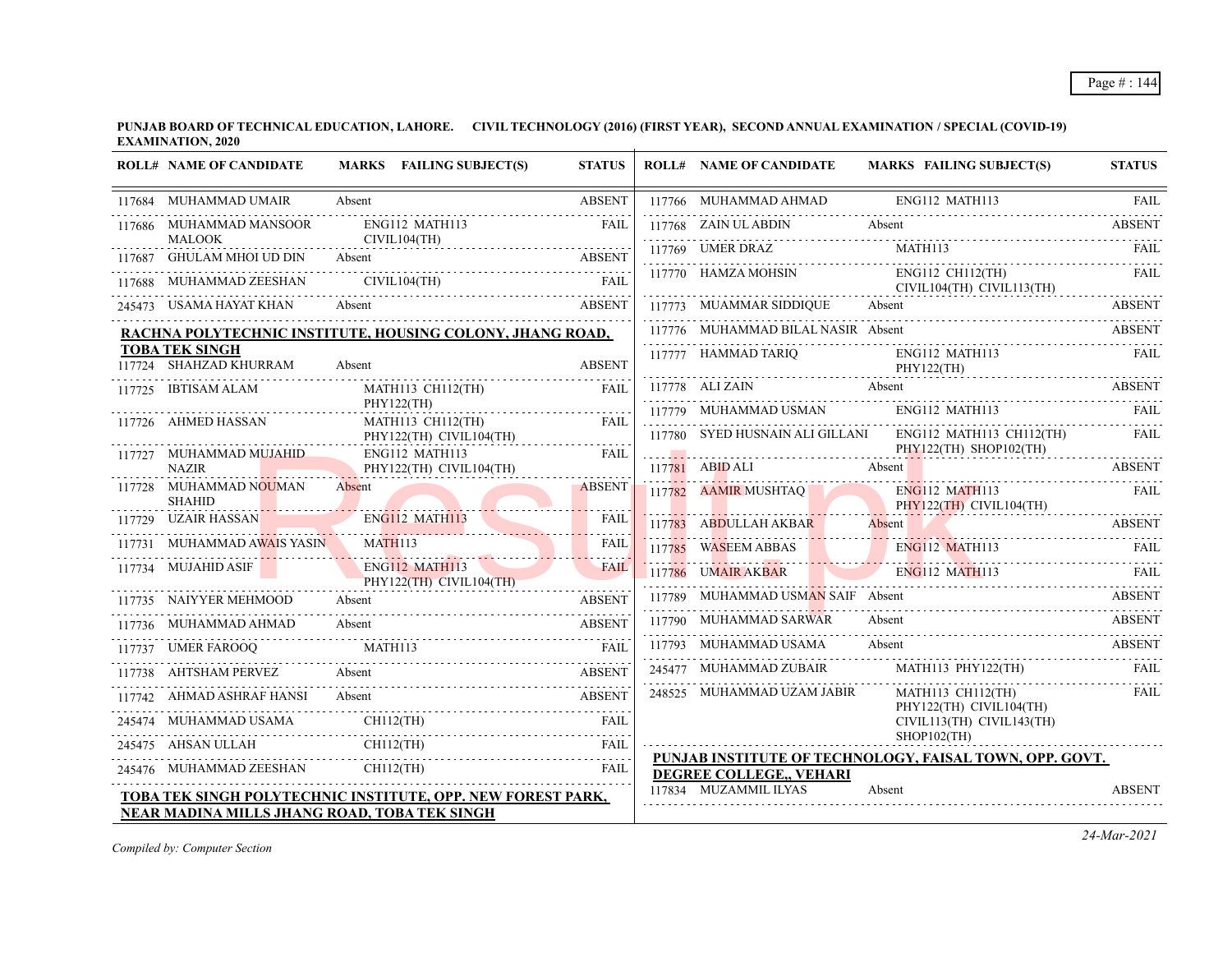**PUNJAB BOARD OF TECHNICAL EDUCATION, LAHORE. CIVIL TECHNOLOGY (2016) (FIRST YEAR), SECOND ANNUAL EXAMINATION / SPECIAL (COVID-19) EXAMINATION, 2020**

| <b>ROLL# NAME OF CANDIDATE</b>                  | MARKS FAILING SUBJECT(S)                                           | <b>STATUS</b> | <b>ROLL# NAME OF CANDIDATE</b>       | <b>MARKS FAILING SUBJECT(S)</b>                                                                                      | <b>STATUS</b> |
|-------------------------------------------------|--------------------------------------------------------------------|---------------|--------------------------------------|----------------------------------------------------------------------------------------------------------------------|---------------|
| 117684 MUHAMMAD UMAIR                           | Absent                                                             | <b>ABSENT</b> | 117766 MUHAMMAD AHMAD ENG112 MATH113 |                                                                                                                      | FAIL          |
| 117686 MUHAMMAD MANSOOR                         | ENG112 MATH113                                                     | FAII.         | 117768 ZAIN UL ABDIN                 | Absent                                                                                                               | <b>ABSENT</b> |
| <b>MALOOK</b><br>117687 GHULAM MHOI UD DIN      | CIVIL104(TH)<br>Absent                                             | <b>ABSENT</b> |                                      |                                                                                                                      |               |
| 117688 MUHAMMAD ZEESHAN                         | CIVIL104(TH) FAIL                                                  |               |                                      | 117770 HAMZA MOHSIN ENG112 CH112(TH)<br>CIVIL104(TH) CIVIL113(TH)                                                    | FAIL          |
| 245473 USAMA HAYAT KHAN                         | ASSENT USAMA HAYAT KHAN Absent ABSENT ABSENT                       |               | 117773 MUAMMAR SIDDIQUE              | 117773 MUAMMAR SIDDIQUE Absent Absent ABSENT                                                                         |               |
|                                                 | RACHNA POLYTECHNIC INSTITUTE, HOUSING COLONY, JHANG ROAD,          |               | 117776 MUHAMMAD BILAL NASIR Absent   | 117776 MUHAMMAD BILAL NASIR Absent ABSENT                                                                            |               |
| <b>TOBA TEK SINGH</b><br>117724 SHAHZAD KHURRAM | Absent                                                             | <b>ABSENT</b> |                                      | 117777 HAMMAD TARIQ ENG112 MATH113<br>PHY122(TH)                                                                     | FAIL          |
| 117725 IBTISAM ALAM                             | MATH113 CH112(TH)                                                  | FAIL          | 117778 ALI ZAIN Absent               | 117778 ALI ZAIN Absent ABSENT                                                                                        |               |
| 117726 AHMED HASSAN                             | PHY122(TH)<br>MATH113 CH112(TH)                                    | <b>FAIL</b>   |                                      | 117779 MUHAMMAD USMAN ENG112 MATH113                                                                                 | - FAIL        |
|                                                 | PHY122(TH) CIVIL104(TH)                                            |               |                                      | 117780 SYED HUSNAIN ALI GILLANI ENG112 MATH113 CH112(TH)                                                             | FAIL          |
| 117727 MUHAMMAD MUJAHID<br><b>NAZIR</b>         | ENG112 MATH113<br>PHY122(TH) CIVIL104(TH)                          | FAIL          |                                      | $PHY122(TH)$ SHOP102(TH)<br>117781 ABID ALI Absent Absent ABSENT ABSENT                                              |               |
| 117728 MUHAMMAD NOUMAN<br><b>SHAHID</b>         | Absent                                                             | <b>ABSENT</b> | 117782 AAMIR MUSHTAQ                 | ENG112 MATH113 FAIL<br>PHY122(TH) CIVIL104(TH)                                                                       |               |
| 117729 UZAIR HASSAN                             | ENGI12 MATH113                                                     | <b>FAIL</b>   |                                      | 117783 ABDULLAH AKBAR Absent ABSENT ABSENT                                                                           |               |
| 117731 MUHAMMAD AWAIS YASIN                     | MATH113                                                            | <b>FAIL</b>   |                                      | 117785 WASEEM ABBAS ENG112 MATH113 FAIL                                                                              |               |
| 117734 MUJAHID ASIF                             | <b>ENG112 MATH113</b><br>PHY122(TH) CIVIL104(TH)                   | <b>FAIL</b>   | 117786 UMAIR AKBAR ENG112 MATH113    | <u>2000 minimum 2000 minimum 2000 minimum 2000 minimum 2000 minimum 2000 minimum 2000 minimum 2000 minimum 2000 </u> | FAII.         |
| 117735 NAIYYER MEHMOOD                          | Absent                                                             | <b>ABSENT</b> | 117789 MUHAMMAD USMAN SAIF Absent    |                                                                                                                      | <b>ABSENT</b> |
|                                                 | ABSENT<br>117737 UMER FAROOQ MATH113                               |               | 117790 MUHAMMAD SARWAR               | Absent<br>117790 MUHAMMAD SARWAR Absent ABSENT                                                                       | <b>ABSENT</b> |
|                                                 |                                                                    |               | 117793 MUHAMMAD USAMA                | Absent                                                                                                               | <b>ABSENT</b> |
| 117738 AHTSHAM PERVEZ                           | Absent<br>17738 AHTSHAM PERVEZ Absent ABSENT                       | <b>ABSENT</b> | 245477 MUHAMMAD ZUBAIR               | MATH113 PHY122(TH)                                                                                                   | FAIL          |
| 117742 AHMAD ASHRAF HANSI Absent                | 7742 AHMAD ASHRAF HANSI Absent ABSENT                              |               | 248525 MUHAMMAD UZAM JABIR           | <b>MATH113 CH112(TH)</b><br>PHY122(TH) CIVIL104(TH)                                                                  | FAIL          |
| 245474 MUHAMMAD USAMA                           | CH112(TH)                                                          | FAIL          |                                      | CIVIL113(TH) CIVIL143(TH)                                                                                            |               |
|                                                 | 245475 AHSAN ULLAH CHII2(TH) FAIL FAIL                             |               |                                      | SHOP102(TH)<br>PUNJAB INSTITUTE OF TECHNOLOGY, FAISAL TOWN, OPP. GOVT.                                               |               |
|                                                 | $245476 \quad \text{MUHAMMAD ZEESHAN} \quad \text{CH112(TH)}$      | <b>FAIL</b>   | DEGREE COLLEGE,, VEHARI              |                                                                                                                      |               |
|                                                 | <b>TOBA TEK SINGH POLYTECHNIC INSTITUTE, OPP. NEW FOREST PARK,</b> |               | 117834 MUZAMMIL ILYAS                | Absent                                                                                                               | <b>ABSENT</b> |
| NEAR MADINA MILLS JHANG ROAD, TOBA TEK SINGH    |                                                                    |               |                                      |                                                                                                                      |               |

*Compiled by: Computer Section*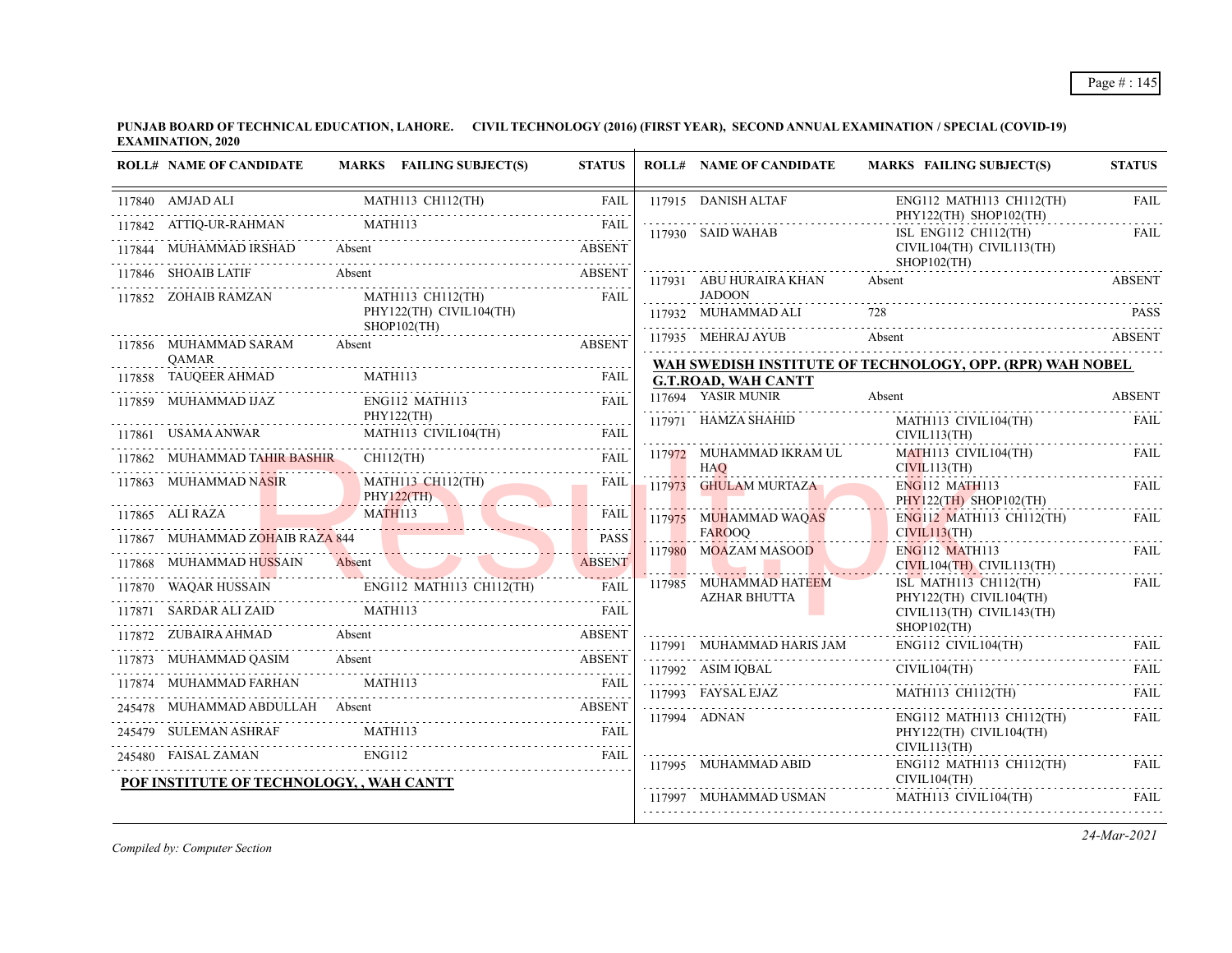| <b>ROLL# NAME OF CANDIDATE</b>                                         | MARKS FAILING SUBJECT(S)                                                                                                                                                                                         | <b>STATUS</b> | <b>ROLL# NAME OF CANDIDATE</b>                | <b>MARKS FAILING SUBJECT(S)</b>                           | <b>STATUS</b> |
|------------------------------------------------------------------------|------------------------------------------------------------------------------------------------------------------------------------------------------------------------------------------------------------------|---------------|-----------------------------------------------|-----------------------------------------------------------|---------------|
| 117840 AMJAD ALI                                                       | MATH113 CH112(TH)                                                                                                                                                                                                | FAIL          | 117915 DANISH ALTAF                           | ENG112 MATH113 CH112(TH)<br>PHY122(TH) SHOP102(TH)        | <b>FAIL</b>   |
| 117842 ATTIQ-UR-RAHMAN                                                 | 117844 MUHAMMAD IRSHAD Absent ABSENT                                                                                                                                                                             |               | 117930 SAID WAHAB                             | ISL ENG112 CH112(TH)<br>CIVIL104(TH) CIVIL113(TH)         | <b>FAIL</b>   |
| 117846 SHOAIB LATIF                                                    | 7846 SHOAIB LATIF Absent ABSENT                                                                                                                                                                                  |               | 117931 ABU HURAIRA KHAN                       | SHOP102(TH)<br>Absent                                     | <b>ABSENT</b> |
| 117852 ZOHAIB RAMZAN                                                   | MATH113 CH112(TH)<br>PHY122(TH) CIVIL104(TH)<br>$SHOP102$ (TH)                                                                                                                                                   | FAIL          | <b>JADOON</b><br>117932 MUHAMMAD ALI          |                                                           | <b>PASS</b>   |
| 117856 MUHAMMAD SARAM<br><b>OAMAR</b>                                  | Absent                                                                                                                                                                                                           | <b>ABSENT</b> | 117935 MEHRAJ AYUB                            | Absent ABSENT                                             |               |
|                                                                        |                                                                                                                                                                                                                  | FAIL          | <b>G.T.ROAD, WAH CANTT</b>                    | WAH SWEDISH INSTITUTE OF TECHNOLOGY, OPP. (RPR) WAH NOBEL |               |
| 117859 MUHAMMAD IJAZ                                                   | ENG112 MATH113<br>PHY122(TH)                                                                                                                                                                                     | <b>FAIL</b>   | 117694 YASIR MUNIR                            | Absent                                                    | <b>ABSENT</b> |
|                                                                        | $\begin{tabular}{llllll} \bf 117861 & \textbf{USAMA ANWAR} & \textbf{MATH113 CIVIL104(TH)} & \textbf{FAIL} \\ \bf 117862 & \textbf{MUHAMMAD TAHIR BASHIR} & \textbf{CH112(TH)} & \textbf{FAIL} \\ \end{tabular}$ |               | 117971 HAMZA SHAHID                           | MATH113 CIVIL104(TH)<br>CIVIL113(TH)                      | <b>FAIL</b>   |
|                                                                        |                                                                                                                                                                                                                  |               | 117972 MUHAMMAD IKRAM UL<br><b>HAQ</b>        | MATH113 CIVIL104(TH)<br>CIVIL113(TH)                      | <b>FAIL</b>   |
| 117863 MUHAMMAD NASIR                                                  | MATH113 CH112(TH)<br>PHY122(TH)                                                                                                                                                                                  | FAIL          | 117973 GHULAM MURTAZA                         | ENG112 MATH113<br>PHY122(TH) SHOP102(TH)                  | <b>FAIL</b>   |
|                                                                        | MATH113<br>117865 ALI RAZA MATH113                                                                                                                                                                               | FAIL<br>.     | 117975 MUHAMMAD WAQAS<br><b>FAROOO</b>        | ENG112 MATH113 CH112(TH)<br>CIVIL113(TH)                  | FAII.         |
| 117867 MUHAMMAD ZOHAIB RAZA 844                                        |                                                                                                                                                                                                                  | <b>PASS</b>   | 117980 MOAZAM MASOOD                          | <b>ENG112 MATH113</b>                                     | FAIL          |
|                                                                        |                                                                                                                                                                                                                  |               |                                               | $CIVIL104(TH)$ $CIVIL113(TH)$                             | .             |
|                                                                        | 117868 MUHAMMAD HUSSAIN Absent ABSENT ABSENT ABSENT 117870 WAQAR HUSSAIN ENGI12 MATH113 CH112(TH) FAIL                                                                                                           |               | 117985 MUHAMMAD HATEEM<br><b>AZHAR BHUTTA</b> | ISL MATH113 CH112(TH)<br>PHY122(TH) CIVIL104(TH)          | FAIL          |
| 117871 SARDAR ALI ZAID                                                 | MATH113                                                                                                                                                                                                          | <b>FAIL</b>   |                                               | CIVIL113(TH) CIVIL143(TH)<br>SHOP102(TH)                  |               |
| 117872 ZUBAIRA AHMAD Absent                                            | <b>ABSENT</b>                                                                                                                                                                                                    |               |                                               | 117991 MUHAMMAD HARIS JAM ENG112 CIVIL104(TH) FAIL        |               |
|                                                                        | MUHAMMAD QASIM Absent Absent ABSENT ABSENT (17874 MUHAMMAD FARHAN MATH113 FAIL                                                                                                                                   |               | 117992 ASIM IQBAL                             | CIVIL104(TH)                                              | FAII.         |
|                                                                        | 17874 MUHAMMAD FARHAN MATH113 FAIL                                                                                                                                                                               |               | 117993 FAYSAL EJAZ                            | MATH113 CH112(TH)                                         | <b>FAIL</b>   |
| 245479 SULEMAN ASHRAF                                                  | 245478 MUHAMMAD ABDULLAH Absent ABSENT<br>MATH113                                                                                                                                                                |               | 117994 ADNAN                                  | ENG112 MATH113 CH112(TH)<br>PHY122(TH) CIVIL104(TH)       | FAIL          |
|                                                                        |                                                                                                                                                                                                                  | FAII.         |                                               | CIVIL113(TH)                                              |               |
| 245480 FAISAL ZAMAN ENG112<br>POF INSTITUTE OF TECHNOLOGY, , WAH CANTT |                                                                                                                                                                                                                  |               | 117995 MUHAMMAD ABID                          | ENG112 MATH113 CH112(TH)<br>CIVIL104(TH)                  | FAIL.         |
|                                                                        |                                                                                                                                                                                                                  |               | 117997 MUHAMMAD USMAN                         | MATH113 CIVIL104(TH)                                      | <b>FAIL</b>   |

*Compiled by: Computer Section*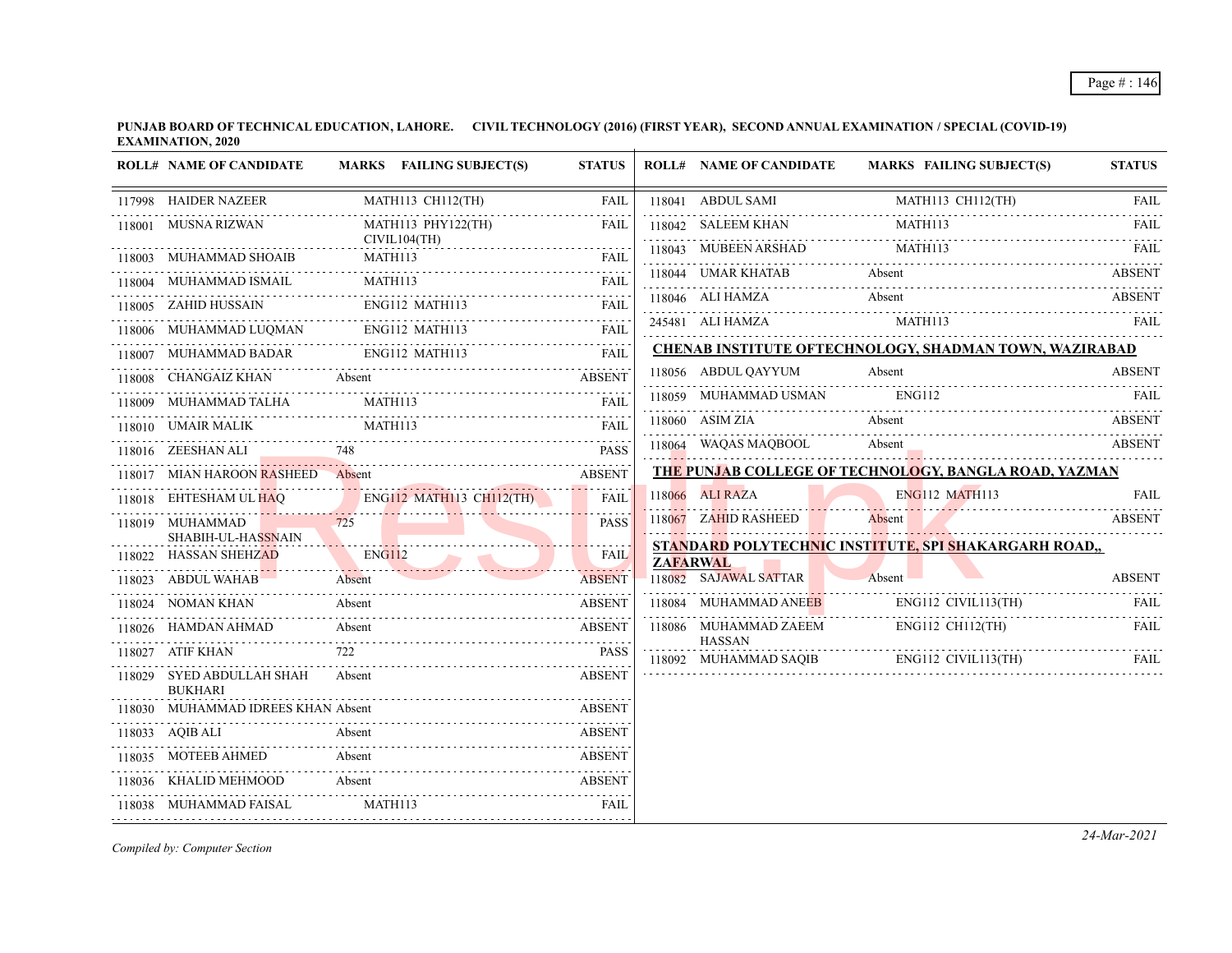## Page # : 146

**PUNJAB BOARD OF TECHNICAL EDUCATION, LAHORE. CIVIL TECHNOLOGY (2016) (FIRST YEAR), SECOND ANNUAL EXAMINATION / SPECIAL (COVID-19) EXAMINATION, 2020**  $\overline{1}$ 

|        | <b>ROLL# NAME OF CANDIDATE</b>                                                  | MARKS FAILING SUBJECT(S)                        | <b>STATUS</b>       |        | <b>ROLL# NAME OF CANDIDATE</b>           | <b>MARKS FAILING SUBJECT(S)</b>                        | <b>STATUS</b>            |
|--------|---------------------------------------------------------------------------------|-------------------------------------------------|---------------------|--------|------------------------------------------|--------------------------------------------------------|--------------------------|
|        | 117998 HAIDER NAZEER                                                            | MATH113 CH112(TH)                               | FAIL                |        | 118041 ABDUL SAMI                        | MATH113 CH112(TH)                                      | <b>FAIL</b>              |
|        | 118001 MUSNA RIZWAN                                                             | MATH113 PHY122(TH)                              | <b>FAIL</b>         | 118042 | SALEEM KHAN                              |                                                        | 1.1.1.1.1<br><b>FAIL</b> |
|        | 118003 MUHAMMAD SHOAIB                                                          | CIVIL104(TH)<br>MATH113                         | <b>FAIL</b>         |        | 118043 MUBEEN ARSHAD                     | MATH113<br>118043 MUBEEN ARSHAD MATH113 FAIL FAIL      |                          |
|        | 118004 MUHAMMAD ISMAIL                                                          | MATH113                                         | <b>FAIL</b>         |        |                                          | Absent<br>118044 UMAR KHATAB Absent ABSENT             |                          |
|        | 118005 ZAHID HUSSAIN                                                            | ENG112 MATH113                                  | 1.1.1.1.1.1<br>FAIL |        | 118046 ALI HAMZA                         | Absent                                                 | <b>ABSENT</b>            |
|        | $\begin{tabular}{ll} 118006 & MUHAMMAD LUQMAN & ENG112 \\ \hline \end{tabular}$ | ENG112 MATH113                                  | <b>FAIL</b>         |        |                                          | 245481 ALI HAMZA MATH113 FAIL                          |                          |
|        | 118007 MUHAMMAD BADAR                                                           | ENG112 MATH113                                  | <b>FAIL</b>         |        |                                          | CHENAB INSTITUTE OFTECHNOLOGY, SHADMAN TOWN, WAZIRABAD |                          |
|        |                                                                                 | 118008 CHANGAIZ KHAN Absent ABSENT              |                     |        | 118056 ABDUL QAYYUM                      | Absent                                                 | <b>ABSENT</b>            |
|        | MUHAMMAD TALHA                                                                  | MATH113                                         | <b>FAIL</b>         |        | 118059 MUHAMMAD USMAN                    | ENG112                                                 | <b>FAIL</b>              |
|        | 118010 UMAIR MALIK                                                              | MATH113                                         | <b>FAIL</b>         |        | 118060 ASIM ZIA                          | Absent                                                 | ABSENT                   |
|        | 118016 ZEESHAN ALI                                                              |                                                 | <b>PASS</b>         |        | 118064 WAQAS MAQBOOL                     | Absent                                                 | ABSENT                   |
|        | 118017 MIAN HAROON RASHEED Absent                                               |                                                 | <b>ABSENT</b>       |        |                                          | THE PUNJAB COLLEGE OF TECHNOLOGY, BANGLA ROAD, YAZMAN  |                          |
|        |                                                                                 | 118018 EHTESHAM UL HAQ ENG112 MATH113 CH112(TH) | <b>FAIL</b>         |        | 118066 ALI RAZA                          | <b>ENG112 MATH113</b>                                  | <b>FAIL</b>              |
|        | 118019 MUHAMMAD<br>SHABIH-UL-HASSNAIN                                           |                                                 | <b>PASS</b>         |        | 118067 ZAHID RASHEED                     | Absent                                                 | <b>ABSENT</b>            |
| 118022 | <b>HASSAN SHEHZAD</b>                                                           | ENG112                                          | <b>FAIL</b>         |        |                                          | STANDARD POLYTECHNIC INSTITUTE, SPI SHAKARGARH ROAD,,  |                          |
| 118023 | ABDUL WAHAB <b>ABDUL</b>                                                        | Absent                                          | <b>ABSENT</b>       |        | <b>ZAFARWAL</b><br>118082 SAJAWAL SATTAR | Absent                                                 | <b>ABSENT</b>            |
| 118024 | NOMAN KHAN                                                                      | Absent                                          | <b>ABSENT</b>       |        | 118084 MUHAMMAD ANEEB                    | ENG112 CIVIL113(TH)                                    | FAIL                     |
|        |                                                                                 | Absent<br>118026 HAMDAN AHMAD Absent ABSENT     |                     |        | 118086 MUHAMMAD ZAEEM                    | ENG112 CH112(TH)                                       | FAIL                     |
| 118027 | ATIF KHAN                                                                       | 722                                             | <b>PASS</b>         |        | <b>HASSAN</b>                            |                                                        |                          |
|        | 118029 SYED ABDULLAH SHAH<br><b>BUKHARI</b>                                     | Absent                                          | <b>ABSENT</b>       |        |                                          |                                                        |                          |
|        | 118030 MUHAMMAD IDREES KHAN Absent                                              |                                                 | <b>ABSENT</b>       |        |                                          |                                                        |                          |
|        | 118033 AQIB ALI                                                                 | 18033 AQIB ALI Absent ABSENT                    | <b>ABSENT</b>       |        |                                          |                                                        |                          |
|        | 118035 MOTEEB AHMED                                                             | Absent                                          | <b>ABSENT</b>       |        |                                          |                                                        |                          |
| 118036 | KHALID MEHMOOD                                                                  | Absent                                          | <b>ABSENT</b>       |        |                                          |                                                        |                          |
|        | 118038 MUHAMMAD FAISAL                                                          | MATH113                                         | <b>FAIL</b>         |        |                                          |                                                        |                          |

*Compiled by: Computer Section*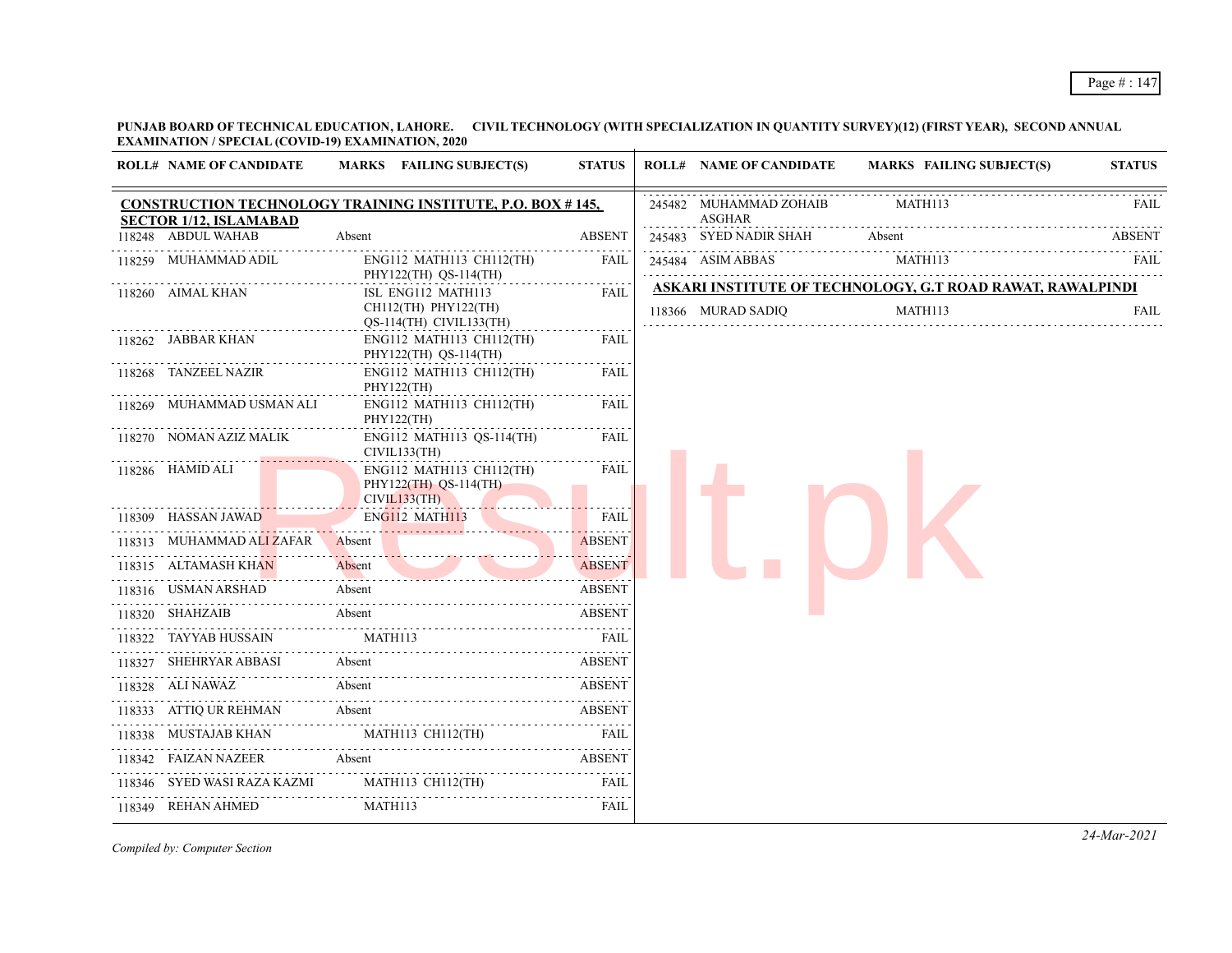**PUNJAB BOARD OF TECHNICAL EDUCATION, LAHORE. CIVIL TECHNOLOGY (WITH SPECIALIZATION IN QUANTITY SURVEY)(12) (FIRST YEAR), SECOND ANNUAL EXAMINATION / SPECIAL (COVID-19) EXAMINATION, 2020**

| <b>ROLL# NAME OF CANDIDATE</b>         | MARKS FAILING SUBJECT(S)                                              | <b>STATUS</b>               | <b>ROLL# NAME OF CANDIDATE</b>   | <b>MARKS FAILING SUBJECT(S)</b>                                       | <b>STATUS</b> |
|----------------------------------------|-----------------------------------------------------------------------|-----------------------------|----------------------------------|-----------------------------------------------------------------------|---------------|
| <b>SECTOR 1/12, ISLAMABAD</b>          | <b>CONSTRUCTION TECHNOLOGY TRAINING INSTITUTE, P.O. BOX #145,</b>     |                             | 245482 MUHAMMAD ZOHAIB<br>ASGHAR | MATH113                                                               | <b>FAIL</b>   |
| 118248 ABDUL WAHAB                     | Absent                                                                | <b>ABSENT</b>               | 245483 SYED NADIR SHAH Absent    |                                                                       | <b>ABSENT</b> |
| 118259 MUHAMMAD ADIL                   | ENG112 MATH113 CH112(TH)<br>PHY122(TH) QS-114(TH)                     | <b>FAIL</b>                 | 245484 ASIM ABBAS                | MATH113                                                               | FAIL          |
| 118260 AIMAL KHAN                      | ISL ENG112 MATH113<br>CH112(TH) PHY122(TH)<br>QS-114(TH) CIVIL133(TH) | <b>FAIL</b>                 | 118366 MURAD SADIQ               | ASKARI INSTITUTE OF TECHNOLOGY, G.T ROAD RAWAT, RAWALPINDI<br>MATH113 | <b>FAIL</b>   |
| 118262 JABBAR KHAN                     | ENG112 MATH113 CH112(TH)<br>PHY122(TH) QS-114(TH)                     | FAIL                        |                                  |                                                                       |               |
| 118268 TANZEEL NAZIR                   | ENG112 MATH113 CH112(TH)<br>PHY122(TH)                                | <b>FAIL</b>                 |                                  |                                                                       |               |
| 118269 MUHAMMAD USMAN ALI              | ENG112 MATH113 CH112(TH)<br>PHY122(TH)                                | <b>FAIL</b>                 |                                  |                                                                       |               |
| 118270 NOMAN AZIZ MALIK                | ENG112 MATH113 QS-114(TH)<br>CIVIL133(TH)                             | FAIL                        |                                  |                                                                       |               |
| 118286 HAMID ALI                       | ENG112 MATH113 CH112(TH)<br>PHY122(TH) QS-114(TH)<br>CIVIL133(TH)     | FAIL                        |                                  |                                                                       |               |
| 118309 HASSAN JAWAD                    | ENG112 MATH113                                                        | <b>FAIL</b>                 |                                  |                                                                       |               |
| 118313 MUHAMMAD ALIZAFAR Absent        |                                                                       | <b>ABSENT</b>               |                                  |                                                                       |               |
| 118315 ALTAMASH KHAN                   | 18315 ALTAMASH KHAN Absent                                            | . <b>.</b><br><b>ABSENT</b> |                                  |                                                                       |               |
| 118316 USMAN ARSHAD                    | Absent                                                                | <b>ABSENT</b>               |                                  |                                                                       |               |
| 118320 SHAHZAIB                        | Absent                                                                | ABSENT                      |                                  |                                                                       |               |
| 118322 TAYYAB HUSSAIN MATH113          |                                                                       | FAIL                        |                                  |                                                                       |               |
| 118327 SHEHRYAR ABBASI Absent          |                                                                       | ABSENT                      |                                  |                                                                       |               |
| 118328 ALI NAWAZ                       | Absent                                                                | <b>ABSENT</b>               |                                  |                                                                       |               |
|                                        | 118333 ATTIQ UR REHMAN Absent ABSENT ABSENT                           | ABSENT                      |                                  |                                                                       |               |
| 118338 MUSTAJAB KHAN MATH113 CH112(TH) |                                                                       | FAIL                        |                                  |                                                                       |               |
| 118342 FAIZAN NAZEER                   | Absent                                                                | <b>ABSENT</b>               |                                  |                                                                       |               |
| 118346 SYED WASI RAZA KAZMI            | MATH113 CH112(TH)                                                     |                             |                                  |                                                                       |               |
| 118349 REHAN AHMED                     | MATH113                                                               | <b>FAIL</b>                 |                                  |                                                                       |               |

*Compiled by: Computer Section*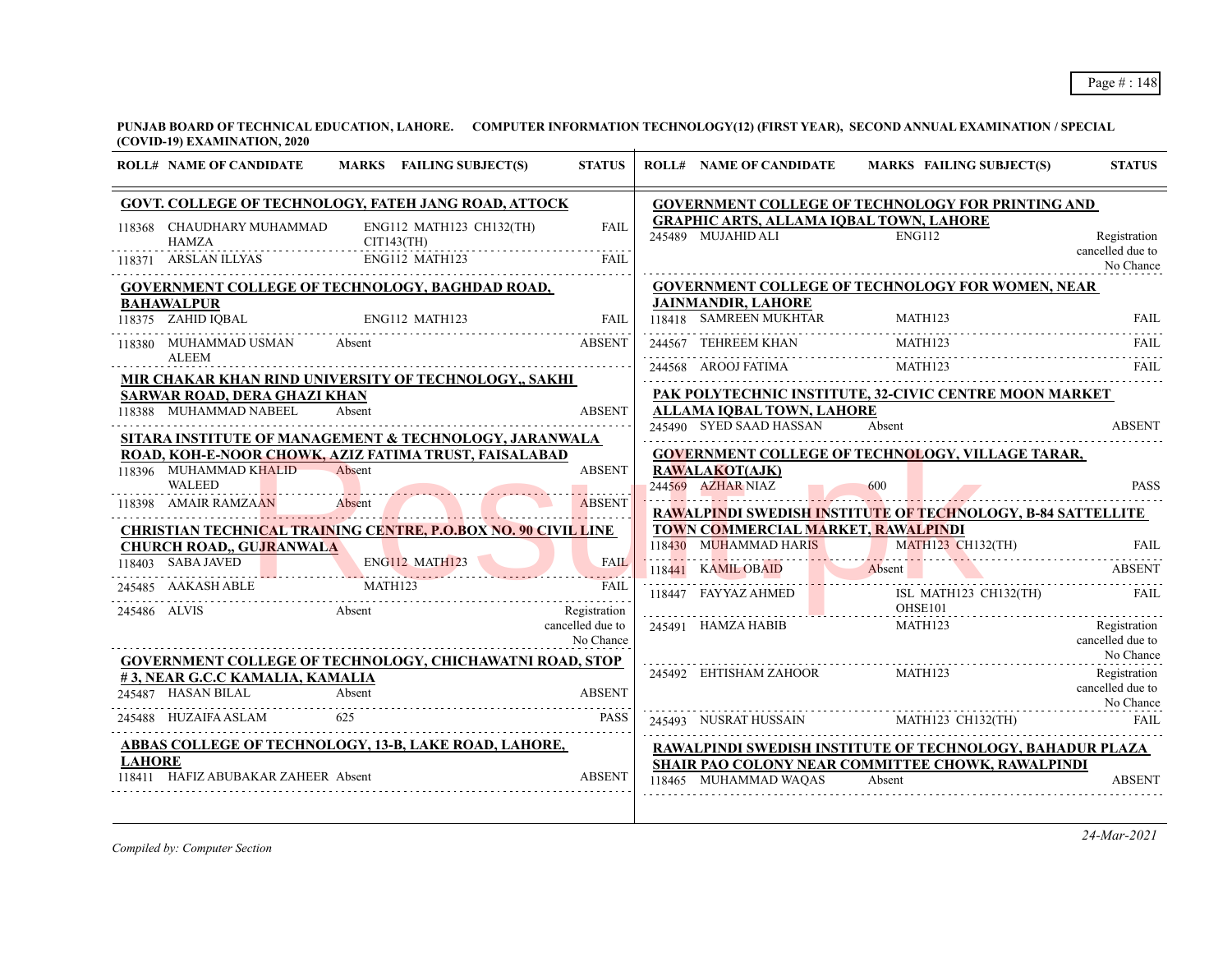|               | <b>ROLL# NAME OF CANDIDATE</b>               | MARKS FAILING SUBJECT(S)                                              | <b>STATUS</b>                    | <b>ROLL# NAME OF CANDIDATE</b>                              | <b>MARKS FAILING SUBJECT(S)</b>                                                                           | <b>STATUS</b>                    |
|---------------|----------------------------------------------|-----------------------------------------------------------------------|----------------------------------|-------------------------------------------------------------|-----------------------------------------------------------------------------------------------------------|----------------------------------|
|               |                                              | GOVT. COLLEGE OF TECHNOLOGY, FATEH JANG ROAD, ATTOCK                  |                                  |                                                             | GOVERNMENT COLLEGE OF TECHNOLOGY FOR PRINTING AND                                                         |                                  |
|               | 118368 CHAUDHARY MUHAMMAD<br>HAMZA           | ENG112 MATH123 CH132(TH)<br>CIT143(TH)                                | <b>FAIL</b>                      | 245489 MUJAHID ALI ENG112                                   | <b>GRAPHIC ARTS, ALLAMA IQBAL TOWN, LAHORE</b>                                                            | Registration                     |
|               | 118371 ARSLAN ILLYAS                         | ENG112 MATH123                                                        | FAII.                            |                                                             |                                                                                                           | cancelled due to<br>No Chance    |
|               |                                              | <b>GOVERNMENT COLLEGE OF TECHNOLOGY, BAGHDAD ROAD,</b>                |                                  |                                                             | <b>GOVERNMENT COLLEGE OF TECHNOLOGY FOR WOMEN, NEAR</b>                                                   |                                  |
|               | <b>BAHAWALPUR</b><br>118375 ZAHID IQBAL      | ENG112 MATH123                                                        | FAIL                             | <b>JAINMANDIR, LAHORE</b><br>118418 SAMREEN MUKHTAR MATH123 |                                                                                                           | <b>FAIL</b>                      |
|               |                                              |                                                                       |                                  |                                                             |                                                                                                           |                                  |
|               | 118380 MUHAMMAD USMAN Absent<br><b>ALEEM</b> |                                                                       | <b>ABSENT</b>                    | 244567 TEHREEM KHAN                                         | MATH <sub>123</sub>                                                                                       | FAIL                             |
|               |                                              | MIR CHAKAR KHAN RIND UNIVERSITY OF TECHNOLOGY,, SAKHI                 |                                  |                                                             | 244568 AROOJ FATIMA MATH123                                                                               | <b>FAIL</b>                      |
|               | SARWAR ROAD, DERA GHAZI KHAN                 |                                                                       |                                  |                                                             | PAK POLYTECHNIC INSTITUTE, 32-CIVIC CENTRE MOON MARKET                                                    |                                  |
|               | 118388 MUHAMMAD NABEEL                       | Absent                                                                | <b>ABSENT</b>                    | ALLAMA IOBAL TOWN, LAHORE                                   |                                                                                                           |                                  |
|               |                                              | SITARA INSTITUTE OF MANAGEMENT & TECHNOLOGY, JARANWALA                |                                  | 245490 SYED SAAD HASSAN                                     | Absent                                                                                                    | <b>ABSENT</b>                    |
|               |                                              | ROAD, KOH-E-NOOR CHOWK, AZIZ FATIMA TRUST, FAISALABAD                 |                                  |                                                             | <b>GOVERNMENT COLLEGE OF TECHNOLOGY, VILLAGE TARAR,</b>                                                   |                                  |
|               | 118396 MUHAMMAD KHALID Absent                |                                                                       | <b>ABSENT</b>                    | <b>RAWALAKOT(AJK)</b>                                       |                                                                                                           |                                  |
|               | <b>WALEED</b>                                |                                                                       |                                  | 244569 AZHAR NIAZ                                           | 600                                                                                                       | <b>PASS</b>                      |
|               | 118398 AMAIR RAMZAAN Absent                  |                                                                       | <b>ABSENT</b>                    |                                                             | RAWALPINDI SWEDISH INSTITUTE OF TECHNOLOGY, B-84 SATTELLITE                                               |                                  |
|               |                                              | <b>CHRISTIAN TECHNICAL TRAINING CENTRE, P.O.BOX NO. 90 CIVIL LINE</b> |                                  | TOWN COMMERCIAL MARKET, RAWALPINDI                          |                                                                                                           |                                  |
|               | <b>CHURCH ROAD,, GUJRANWALA</b>              |                                                                       |                                  |                                                             | 118430 MUHAMMAD HARIS MATH123 CH132(TH) FAIL                                                              |                                  |
|               |                                              | 118403 SABA JAVED ENGIL2 MATH123 FAIL                                 |                                  |                                                             | 118441 KAMILOBAID Absent ABSENT                                                                           |                                  |
|               |                                              | MATH123<br>245485 AAKASH ABLE MATH123 FAIL                            |                                  |                                                             | 118447 FAYYAZ AHMED ISL MATH123 CH132(TH) FAIL                                                            |                                  |
|               | 245486 ALVIS                                 | Absent                                                                | Registration<br>cancelled due to |                                                             | OHSE101<br>MATH123                                                                                        |                                  |
|               |                                              |                                                                       | No Chance                        | 245491 HAMZA HABIB                                          |                                                                                                           | Registration<br>cancelled due to |
|               |                                              | <b>GOVERNMENT COLLEGE OF TECHNOLOGY, CHICHAWATNI ROAD, STOP</b>       |                                  |                                                             |                                                                                                           | No Chance                        |
|               | #3, NEAR G.C.C KAMALIA, KAMALIA              |                                                                       |                                  | 245492 EHTISHAM ZAHOOR                                      | MATH123                                                                                                   | Registration                     |
|               |                                              | 245487 HASAN BILAL Absent ABSENT                                      |                                  |                                                             |                                                                                                           | cancelled due to<br>No Chance    |
|               |                                              |                                                                       |                                  |                                                             |                                                                                                           |                                  |
|               | 245488 HUZAIFA ASLAM                         | 625                                                                   | <b>PASS</b>                      |                                                             |                                                                                                           |                                  |
|               |                                              | <b>ABBAS COLLEGE OF TECHNOLOGY, 13-B, LAKE ROAD, LAHORE,</b>          |                                  |                                                             | 245493 NUSRAT HUSSAIN MATH123 CH132(TH) FAIL<br>RAWALPINDI SWEDISH INSTITUTE OF TECHNOLOGY, BAHADUR PLAZA |                                  |
| <b>LAHORE</b> | 118411 HAFIZ ABUBAKAR ZAHEER Absent          |                                                                       | <b>ABSENT</b>                    |                                                             | SHAIR PAO COLONY NEAR COMMITTEE CHOWK, RAWALPINDI                                                         |                                  |

*Compiled by: Computer Section*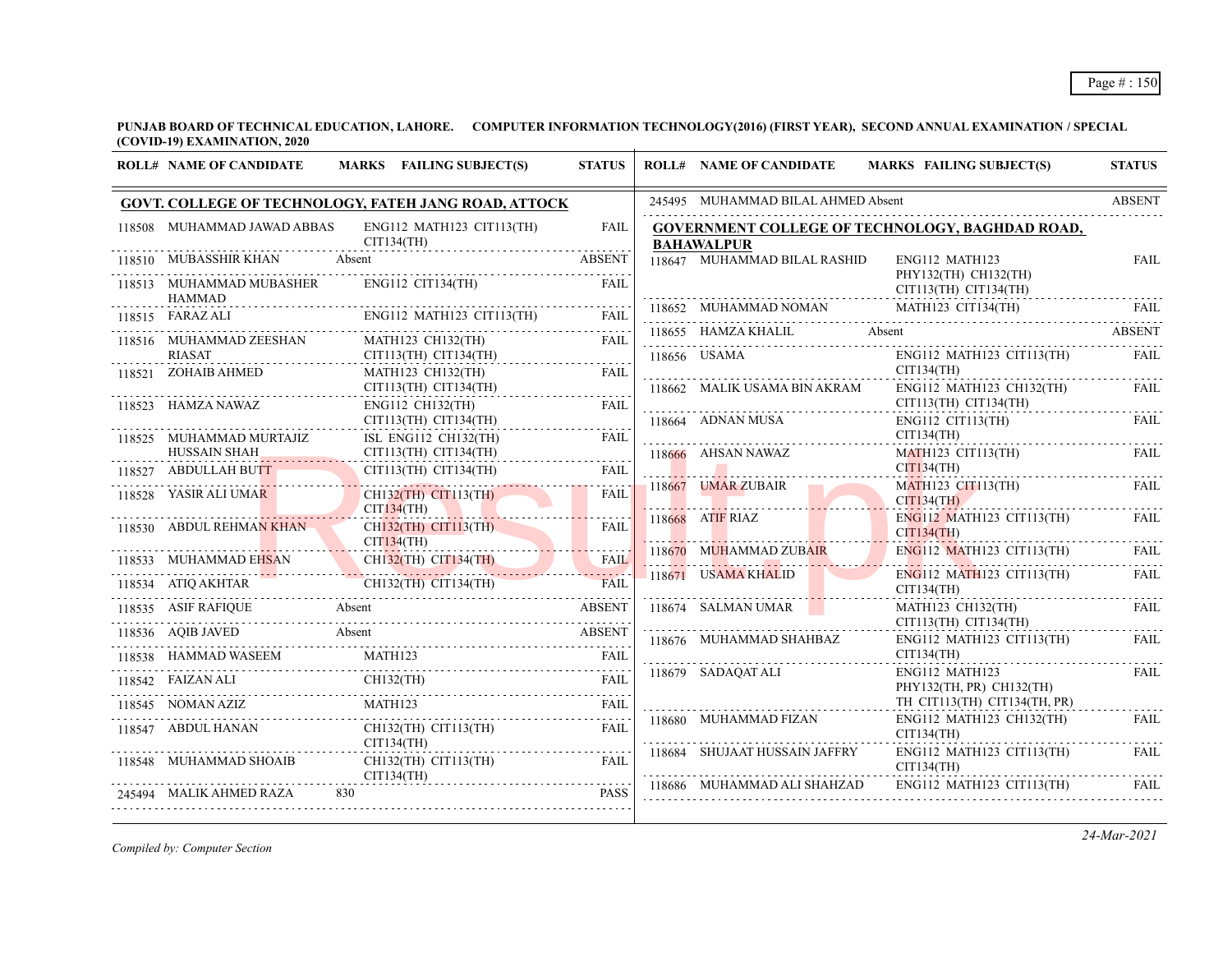| <b>ROLL# NAME OF CANDIDATE</b>       | MARKS FAILING SUBJECT(S)                                                              | <b>STATUS</b> | <b>ROLL# NAME OF CANDIDATE</b>     | <b>MARKS FAILING SUBJECT(S)</b>                                                                                                     | <b>STATUS</b> |
|--------------------------------------|---------------------------------------------------------------------------------------|---------------|------------------------------------|-------------------------------------------------------------------------------------------------------------------------------------|---------------|
|                                      | GOVT. COLLEGE OF TECHNOLOGY, FATEH JANG ROAD, ATTOCK                                  |               | 245495 MUHAMMAD BILAL AHMED Absent |                                                                                                                                     | <b>ABSENT</b> |
| 118508 MUHAMMAD JAWAD ABBAS          | ENG112 MATH123 CIT113(TH)<br>CIT134(TH)                                               | <b>FAIL</b>   | <b>BAHAWALPUR</b>                  | <b>GOVERNMENT COLLEGE OF TECHNOLOGY, BAGHDAD ROAD,</b>                                                                              |               |
| 118510 MUBASSHIR KHAN Absent         |                                                                                       | <b>ABSENT</b> | 118647 MUHAMMAD BILAL RASHID       | ENG112 MATH123                                                                                                                      | <b>FAIL</b>   |
| 118513 MUHAMMAD MUBASHER<br>HAMMAD   | $ENG112$ $CIT134(TH)$                                                                 | <b>FAIL</b>   |                                    | PHY132(TH) CH132(TH)<br>CIT113(TH) CIT134(TH)                                                                                       |               |
| 118515 FARAZ ALI                     |                                                                                       |               | 118652 MUHAMMAD NOMAN              | $\begin{tabular}{lllllllllll} \bf 118652 & \text{MUHAMMAD NOMAN} & \text{MATH123 CIT134(TH)} & \text{FAIL} \\ \hline \end{tabular}$ |               |
| 118516 MUHAMMAD ZEESHAN              | MATH123 CH132(TH)                                                                     | FAIL          | 118655 HAMZA KHALIL Absent         |                                                                                                                                     | <b>ABSENT</b> |
| <b>RIASAT</b><br>118521 ZOHAIB AHMED | $CIT113(TH)$ $CIT134(TH)$<br>MATH123 CH132(TH)                                        | FAIL          | 118656 USAMA                       | ENG112 MATH123 CIT113(TH)<br>CIT134(TH)                                                                                             | FAIL          |
|                                      | $CIT113(TH)$ $CIT134(TH)$                                                             |               | 118662 MALIK USAMA BIN AKRAM       | ENG112 MATH123 CH132(TH)                                                                                                            | FAIL          |
| 118523 HAMZA NAWAZ                   | ENG112 CH132(TH)<br>CIT113(TH) CIT134(TH)                                             | <b>FAIL</b>   | 118664 ADNAN MUSA                  | CIT113(TH) CIT134(TH)<br>$ENG112$ CIT113(TH)                                                                                        | FAIL          |
| 118525 MUHAMMAD MURTAJIZ             | ISL ENG112 CH132(TH)                                                                  | FAIL          | CIT134(TH)                         |                                                                                                                                     |               |
| HUSSAIN SHAH<br>118527 ABDULLAH BUTT | $CIT113(TH)$ $CIT134(TH)$<br>CIT113(TH) CIT134(TH)                                    | FAIL          |                                    | MATH123 CIT113(TH)<br>CITI34(TH)                                                                                                    | FAIL          |
| 118528 YASIR ALI UMAR                | CH132(TH) CIT113(TH)<br>CIT134(TH)                                                    | <b>FAIL</b>   | 118667 UMAR ZUBAIR                 | MATH123 CIT113(TH)<br>CITI34(TH)                                                                                                    | <b>FAIL</b>   |
| 118530 ABDUL REHMAN KHAN             | Millenmann<br>CH <sub>132</sub> (TH) CIT <sub>113</sub> (TH)                          | FAII.         | 118668 ATIF RIAZ                   | ENG112 MATH123 CIT113(TH)<br>CIT134(TH)                                                                                             | FAII.         |
| CIT134(TH)                           |                                                                                       |               | 118670 MUHAMMAD ZUBAIR             | $ENG112$ MATH123 CIT113(TH)                                                                                                         | FAIL          |
|                                      | 118533 MUHAMMAD EHSAN CH132(TH) CIT134(TH)<br>118534 ATIQ AKHTAR CH132(TH) CIT134(TH) | <b>FAIL</b>   | 118671 USAMA KHALID                | ENG112 MATH123 CIT113(TH)<br>CIT134(TH)<br>.                                                                                        | FAIL          |
|                                      | 118535 ASIF RAFIQUE Absent ABSENT                                                     |               | 118674 SALMAN UMAR                 | MATH123 CH132(TH)<br>CIT113(TH) CIT134(TH)                                                                                          | <b>FAIL</b>   |
|                                      | 118536 AQIB JAVED Absent                                                              |               | 118676 MUHAMMAD SHAHBAZ            | $ENG112$ MATH123 CIT113(TH)                                                                                                         | FAII.         |
| 118538 HAMMAD WASEEM                 | MATH123                                                                               | <b>FAIL</b>   |                                    | CIT134(TH)                                                                                                                          |               |
| 118542 FAIZAN ALI                    | $CH132$ (TH)<br>LI CH132(TH) FAIL                                                     |               | 118679 SADAQAT ALI                 | ENG112 MATH123<br>PHY132(TH, PR) CH132(TH)                                                                                          | <b>FAIL</b>   |
| 118545 NOMAN AZIZ                    | MATH <sub>123</sub>                                                                   | <b>FAIL</b>   |                                    | TH CIT113(TH) CIT134(TH, PR)                                                                                                        |               |
| 118547 ABDUL HANAN                   | CH132(TH) CIT113(TH)<br>CIT134(TH)                                                    | <b>FAIL</b>   | 118680 MUHAMMAD FIZAN              | ENG112 MATH123 CH132(TH)<br>CIT134(TH)                                                                                              | FAIL          |
| 118548 MUHAMMAD SHOAIB               | CH132(TH) CIT113(TH)<br>CIT134(TH)                                                    | FAII.         | 118684 SHUJAAT HUSSAIN JAFFRY      | ENG112 MATH123 CIT113(TH)<br>CIT134(TH)                                                                                             | FAIL          |
| 245494 MALIK AHMED RAZA              | 830                                                                                   | <b>PASS</b>   |                                    | 118686 MUHAMMAD ALI SHAHZAD ENG112 MATH123 CIT113(TH)                                                                               | FAIL          |
|                                      |                                                                                       |               |                                    |                                                                                                                                     |               |

*Compiled by: Computer Section*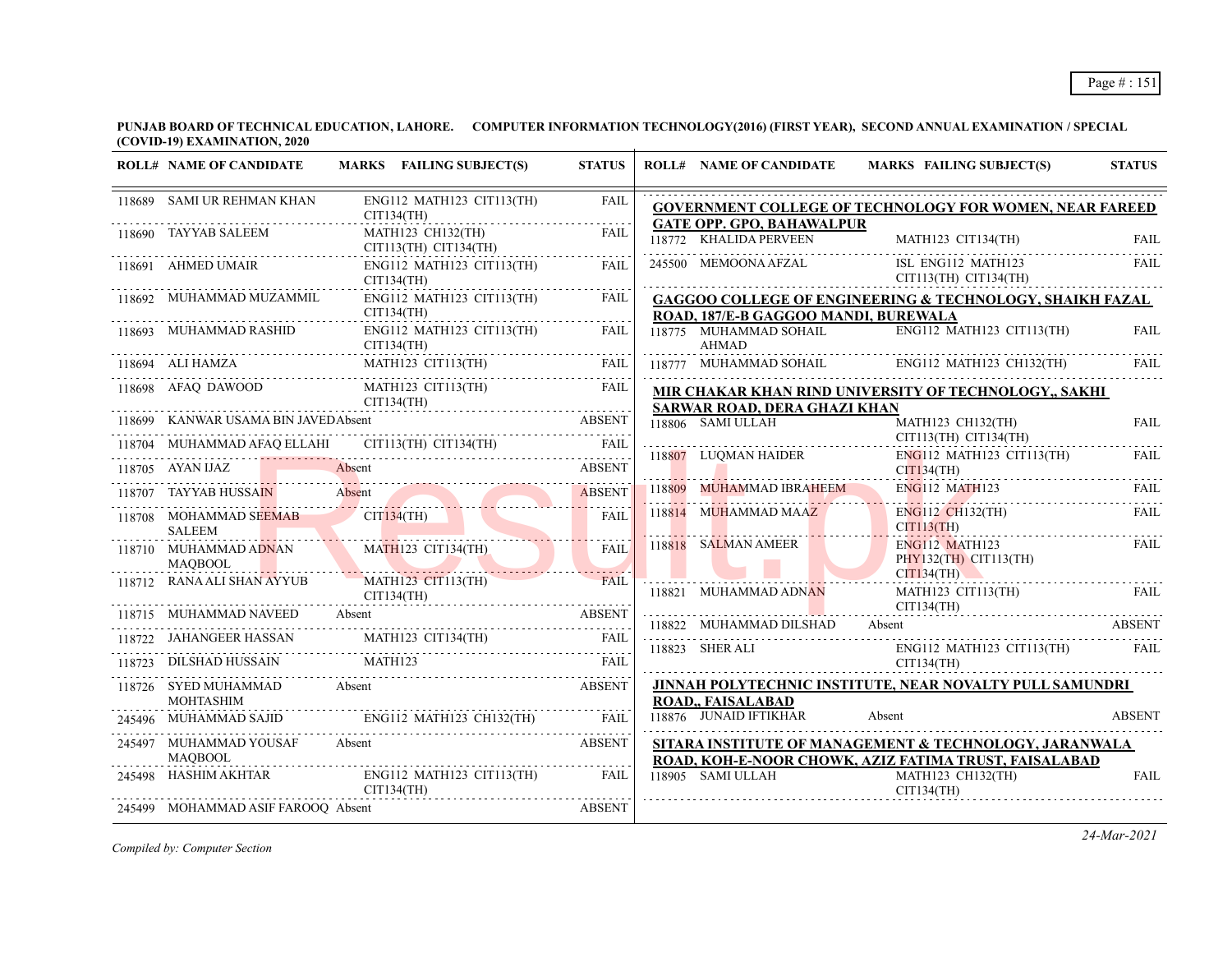**PUNJAB BOARD OF TECHNICAL EDUCATION, LAHORE. COMPUTER INFORMATION TECHNOLOGY(2016) (FIRST YEAR), SECOND ANNUAL EXAMINATION / SPECIAL (COVID-19) EXAMINATION, 2020**  $\overline{1}$ 

| <b>ROLL# NAME OF CANDIDATE</b>                  | MARKS FAILING SUBJECT(S)                                                                                                                                                                                                                                                                                                                                                                                                     | <b>STATUS</b> | <b>ROLL# NAME OF CANDIDATE</b>                           | MARKS FAILING SUBJECT(S)                                                                 | <b>STATUS</b> |
|-------------------------------------------------|------------------------------------------------------------------------------------------------------------------------------------------------------------------------------------------------------------------------------------------------------------------------------------------------------------------------------------------------------------------------------------------------------------------------------|---------------|----------------------------------------------------------|------------------------------------------------------------------------------------------|---------------|
| 118689 SAMI UR REHMAN KHAN                      | ENG112 MATH123 CIT113(TH)<br>CIT134(TH)                                                                                                                                                                                                                                                                                                                                                                                      | FAIL<br>.     |                                                          | <b>GOVERNMENT COLLEGE OF TECHNOLOGY FOR WOMEN, NEAR FAREED</b>                           |               |
| 118690 TAYYAB SALEEM                            | MATH123 CH132(TH)<br>CIT113(TH) CIT134(TH)                                                                                                                                                                                                                                                                                                                                                                                   | <b>FAIL</b>   | <b>GATE OPP. GPO, BAHAWALPUR</b>                         |                                                                                          |               |
| 118691 AHMED UMAIR                              | ENG112 MATH123 CIT113(TH)<br>CIT134(TH)                                                                                                                                                                                                                                                                                                                                                                                      | FAIL          | 245500 MEMOONA AFZAL                                     | ISL ENG112 MATH123<br>CIT113(TH) CIT134(TH)                                              | FAIL          |
| 118692 MUHAMMAD MUZAMMIL                        | ENG112 MATH123 CIT113(TH)<br>CIT134(TH)                                                                                                                                                                                                                                                                                                                                                                                      | FAIL          | ROAD, 187/E-B GAGGOO MANDI, BUREWALA                     | <b>GAGGOO COLLEGE OF ENGINEERING &amp; TECHNOLOGY, SHAIKH FAZAL</b>                      |               |
| 118693 MUHAMMAD RASHID<br>CIT134(TH)            | ENG112 MATH123 CIT113(TH)                                                                                                                                                                                                                                                                                                                                                                                                    | FAIL          | 118775 MUHAMMAD SOHAIL<br>AHMAD                          | ENG112 MATH123 CIT113(TH)                                                                | <b>FAIL</b>   |
|                                                 | 118694 ALI HAMZA MATH123 CIT113(TH) FAIL                                                                                                                                                                                                                                                                                                                                                                                     |               |                                                          | 118777 MUHAMMAD SOHAIL ENG112 MATH123 CH132(TH) FAIL                                     |               |
|                                                 | $\begin{tabular}{lllllllllll} \hline 118698 & AFAQ & DAWOOD & \multicolumn{2}{c }{MATH123 & CIT113(TH)} & \multicolumn{2}{c }{FAIL} & \multicolumn{2}{c }{CIT134(TH)} & \multicolumn{2}{c }{FAIL} & \multicolumn{2}{c }{CIT134(TH)} & \multicolumn{2}{c }{FAIL} & \multicolumn{2}{c }{CIT134(TH)} & \multicolumn{2}{c }{FAIL} & \multicolumn{2}{c }{CIT134(TH)} & \multicolumn{2}{c }{FAIL} & \multicolumn{2}{c }{CIT134(TH$ |               |                                                          | MIR CHAKAR KHAN RIND UNIVERSITY OF TECHNOLOGY,, SAKHI                                    |               |
|                                                 |                                                                                                                                                                                                                                                                                                                                                                                                                              |               | <b>SARWAR ROAD, DERA GHAZI KHAN</b><br>118806 SAMI ULLAH | MATH123 CH132(TH)                                                                        | <b>FAIL</b>   |
|                                                 |                                                                                                                                                                                                                                                                                                                                                                                                                              |               |                                                          | CIT113(TH) CIT134(TH)                                                                    |               |
|                                                 | 118704 MUHAMMAD AFAQ ELLAHI CIT113(TH) CIT134(TH) FAIL THE THE THE THE RESERVE ABSENT                                                                                                                                                                                                                                                                                                                                        |               | 1188 <mark>07</mark> LUQMAN HAIDER                       | ENG112 MATH123 CIT113(TH)<br>CIT134(TH)                                                  | FAIL          |
| 118707 TAYYAB HUSSAIN                           | TAYYAB HUSSAIN Absent ABSENT                                                                                                                                                                                                                                                                                                                                                                                                 | <b>ABSENT</b> | 118809 MUHAMMAD IBRAHEEM                                 | $ENG112$ MATH $123$                                                                      | FAII.         |
| <b>SALEEM</b>                                   | 118708 MOHAMMAD SEEMAB CIT134(TH)                                                                                                                                                                                                                                                                                                                                                                                            | <b>FAIL</b>   | 118814 MUHAMMAD MAAZ                                     | $ENG112$ CH132(TH)<br>CIT113(TH)                                                         | <b>FAIL</b>   |
| <b>MAOBOOL</b>                                  | 118710 MUHAMMAD ADNAN MATH123 CIT134(TH)<br>Maria Maria Maria Maria Maria Maria Maria Maria Maria Maria Maria Maria Maria Maria Maria Maria Maria Maria M                                                                                                                                                                                                                                                                    | <b>FAIL</b>   | 118818 SALMAN AMEER                                      | ENG112 MATH123<br>PHY132(TH) CIT113(TH)                                                  | <b>FAIL</b>   |
|                                                 | 118712 RANA ALI SHAN AYYUB MATH123 CIT113(TH)                                                                                                                                                                                                                                                                                                                                                                                | <b>FAIL</b>   | 118821 MUHAMMAD ADNAN                                    | CIT134(TH)<br>MATH123 CIT113(TH)                                                         | <b>FAIL</b>   |
|                                                 | CIT134(TH)<br>118715 MUHAMMAD NAVEED Absent ABSENT<br>118715 MUHAMMAD NAVEED Absent ABSENT                                                                                                                                                                                                                                                                                                                                   |               |                                                          | CIT134(TH)<br>118822 MUHAMMAD DILSHAD Absent ABSENT                                      |               |
|                                                 | $\begin{tabular}{ c c c c } \hline 118722 & JAHANGEER HASSAN & MATH123 CIT134(TH) & FAIL \\ \hline 118723 & DILSHAD HUSSAIN & MATH123 & & FAIL \\ \hline & & FAIL & & FAIL \\ \hline \end{tabular}$                                                                                                                                                                                                                          |               | 118823 SHER ALI                                          | ENG112 MATH123 CIT113(TH) FAIL                                                           |               |
|                                                 |                                                                                                                                                                                                                                                                                                                                                                                                                              |               |                                                          | CIT134(TH)                                                                               |               |
| 118726 SYED MUHAMMAD Absent<br><b>MOHTASHIM</b> |                                                                                                                                                                                                                                                                                                                                                                                                                              | <b>ABSENT</b> | ROAD,, FAISALABAD                                        | <b>JINNAH POLYTECHNIC INSTITUTE, NEAR NOVALTY PULL SAMUNDRI</b>                          |               |
|                                                 | 245496 MUHAMMAD SAJID ENG112 MATH123 CH132(TH) FAIL                                                                                                                                                                                                                                                                                                                                                                          |               | 118876 JUNAID IFTIKHAR                                   | Absent                                                                                   | <b>ABSENT</b> |
| 245497 MUHAMMAD YOUSAF Absent                   | <b>ABSENT</b>                                                                                                                                                                                                                                                                                                                                                                                                                |               |                                                          | SITARA INSTITUTE OF MANAGEMENT & TECHNOLOGY, JARANWALA                                   |               |
| <b>MAOBOOL</b>                                  | $245498\quad \  {\rm HASHIM\ AKHTAR} \qquad \qquad {\rm ENG112\,\ MATH123\,\ CTI113 (TH)} \qquad \qquad {\rm FAIL}$<br>CIT134(TH)                                                                                                                                                                                                                                                                                            |               | 118905 SAMI ULLAH                                        | ROAD, KOH-E-NOOR CHOWK, AZIZ FATIMA TRUST, FAISALABAD<br>MATH123 CH132(TH)<br>CIT134(TH) | <b>FAIL</b>   |
| 245499 MOHAMMAD ASIF FAROOQ Absent              |                                                                                                                                                                                                                                                                                                                                                                                                                              | <b>ABSENT</b> |                                                          |                                                                                          |               |

*Compiled by: Computer Section*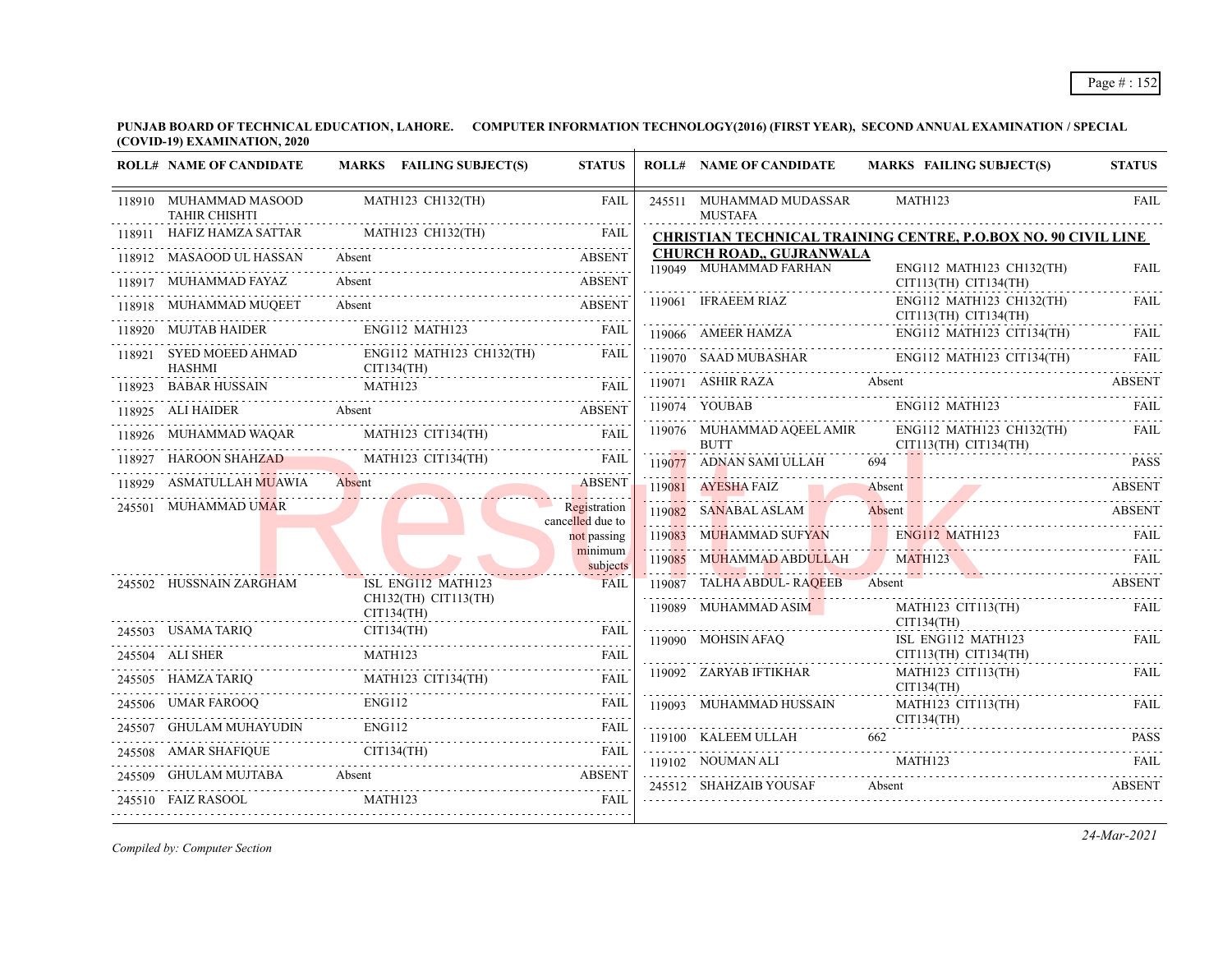| MATH123 CH132(TH)<br>MATH123<br><b>FAIL</b><br>245511 MUHAMMAD MUDASSAR<br>118910 MUHAMMAD MASOOD<br><b>TAHIR CHISHTI</b><br><b>MUSTAFA</b><br>.<br>MATH123 CH132(TH)<br>HAFIZ HAMZA SATTAR<br><b>FAIL</b><br>118911<br>CHRISTIAN TECHNICAL TRAINING CENTRE, P.O.BOX NO. 90 CIVIL LINE<br><b>CHURCH ROAD,, GUJRANWALA</b><br>Absent<br><b>ABSENT</b><br>118912 MASAOOD UL HASSAN<br>119049 MUHAMMAD FARHAN<br>ENG112 MATH123 CH132(TH)<br>118917 MUHAMMAD FAYAZ<br>Absent<br><b>ABSENT</b><br>CIT113(TH) CIT134(TH)<br>119061 IFRAEEM RIAZ<br>ENG112 MATH123 CH132(TH)<br>118918 MUHAMMAD MUQEET<br><b>ABSENT</b><br>Absent<br>CIT113(TH) CIT134(TH)<br>118920 MUJTAB HAIDER<br>ENG112 MATH123<br><b>FAIL</b><br>119066 AMEER HAMZA ENG112 MATH123 CIT134(TH) FAIL<br>ENG112 MATH123 CH132(TH)<br>118921 SYED MOEED AHMAD<br>FAIL<br><b>HASHMI</b><br>CIT134(TH)<br>119071 ASHIR RAZA Absent<br>118923 BABAR HUSSAIN<br>MATH123<br><b>FAIL</b><br>ENG112 MATH123<br>119074 YOUBAB<br><b>ALI HAIDER</b><br>Absent<br><b>ABSENT</b><br>118925<br>ENG112 MATH123 CH132(TH)<br>119076 MUHAMMAD AQEEL AMIR<br>118926 MUHAMMAD WAQAR MATH123 CIT134(TH)<br><b>FAIL</b><br><b>BUTT</b><br>$CIT113(TH)$ $CIT134(TH)$<br>HAROON SHAHZAD MATH123 CIT134(TH)<br>ROON SHAHZAD MATH123 CIT134(TH) FAIL<br>118927<br>119077 ADNAN SAMI ULLAH<br>694<br>ASMATULLAH MUAWIA<br>Absent<br><b>ABSENT</b><br>119081 AYESHA FAIZ<br>Absent<br>245501 MUHAMMAD UMAR<br>Registration<br>119082 SANABAL ASLAM<br>Absent<br>cancelled due to<br>MUHAMMAD SUFYAN<br>$ENG112$ MATH123<br>119083<br>not passing<br>minimum<br>119085 MUHAMMAD ABDULLAH MATH123<br>subjects<br>119087 TALHA ABDUL-RAQEEB<br>ISL ENG112 MATH123<br>Absent<br>245502 HUSSNAIN ZARGHAM<br><b>FAIL</b><br>CH132(TH) CIT113(TH)<br>119089 MUHAMMAD ASIM<br>MATH123 CIT113(TH)<br>CIT134(TH)<br>CIT134(TH)<br>CIT134(TH)<br>245503 USAMA TARIQ<br>119090 MOHSIN AFAQ<br>ISL ENG112 MATH123<br>MATH123<br>245504 ALI SHER<br>$CIT113(TH)$ $CIT134(TH)$<br><b>FAIL</b><br>119092 ZARYAB IFTIKHAR<br>MATH123 CIT113(TH)<br>245505 HAMZA TARIO<br>MATH123 CIT134(1H)<br>245505 HAMZA TARIQ MATH123 CIT134(1H) FAIL FAIL<br>CIT134(TH)<br>245506 UMAR FAROOQ<br>119093 MUHAMMAD HUSSAIN<br>MATH123 CIT113(TH)<br>CIT134(TH)<br><b>ENG112</b><br>245507 GHULAM MUHAYUDIN<br>FAII.<br>662<br>119100 KALEEM ULLAH<br>CIT134(TH)<br>245508 AMAR SHAFIQUE<br>119102 NOUMAN ALI<br>MATH123<br>245509 GHULAM MUJTABA Absent<br><b>ABSENT</b><br>245512 SHAHZAIB YOUSAF<br>Absent<br><b>ABSENT</b> |  | <b>ROLL# NAME OF CANDIDATE</b> | MARKS FAILING SUBJECT(S) | <b>STATUS</b> | <b>ROLL# NAME OF CANDIDATE</b> | <b>MARKS FAILING SUBJECT(S)</b> | <b>STATUS</b> |
|------------------------------------------------------------------------------------------------------------------------------------------------------------------------------------------------------------------------------------------------------------------------------------------------------------------------------------------------------------------------------------------------------------------------------------------------------------------------------------------------------------------------------------------------------------------------------------------------------------------------------------------------------------------------------------------------------------------------------------------------------------------------------------------------------------------------------------------------------------------------------------------------------------------------------------------------------------------------------------------------------------------------------------------------------------------------------------------------------------------------------------------------------------------------------------------------------------------------------------------------------------------------------------------------------------------------------------------------------------------------------------------------------------------------------------------------------------------------------------------------------------------------------------------------------------------------------------------------------------------------------------------------------------------------------------------------------------------------------------------------------------------------------------------------------------------------------------------------------------------------------------------------------------------------------------------------------------------------------------------------------------------------------------------------------------------------------------------------------------------------------------------------------------------------------------------------------------------------------------------------------------------------------------------------------------------------------------------------------------------------------------------------------------------------------------------------------------------------------------------------------------------------------------|--|--------------------------------|--------------------------|---------------|--------------------------------|---------------------------------|---------------|
|                                                                                                                                                                                                                                                                                                                                                                                                                                                                                                                                                                                                                                                                                                                                                                                                                                                                                                                                                                                                                                                                                                                                                                                                                                                                                                                                                                                                                                                                                                                                                                                                                                                                                                                                                                                                                                                                                                                                                                                                                                                                                                                                                                                                                                                                                                                                                                                                                                                                                                                                    |  |                                |                          |               |                                |                                 | <b>FAIL</b>   |
|                                                                                                                                                                                                                                                                                                                                                                                                                                                                                                                                                                                                                                                                                                                                                                                                                                                                                                                                                                                                                                                                                                                                                                                                                                                                                                                                                                                                                                                                                                                                                                                                                                                                                                                                                                                                                                                                                                                                                                                                                                                                                                                                                                                                                                                                                                                                                                                                                                                                                                                                    |  |                                |                          |               |                                |                                 |               |
|                                                                                                                                                                                                                                                                                                                                                                                                                                                                                                                                                                                                                                                                                                                                                                                                                                                                                                                                                                                                                                                                                                                                                                                                                                                                                                                                                                                                                                                                                                                                                                                                                                                                                                                                                                                                                                                                                                                                                                                                                                                                                                                                                                                                                                                                                                                                                                                                                                                                                                                                    |  |                                |                          |               |                                |                                 |               |
|                                                                                                                                                                                                                                                                                                                                                                                                                                                                                                                                                                                                                                                                                                                                                                                                                                                                                                                                                                                                                                                                                                                                                                                                                                                                                                                                                                                                                                                                                                                                                                                                                                                                                                                                                                                                                                                                                                                                                                                                                                                                                                                                                                                                                                                                                                                                                                                                                                                                                                                                    |  |                                |                          |               |                                |                                 | FAIL          |
|                                                                                                                                                                                                                                                                                                                                                                                                                                                                                                                                                                                                                                                                                                                                                                                                                                                                                                                                                                                                                                                                                                                                                                                                                                                                                                                                                                                                                                                                                                                                                                                                                                                                                                                                                                                                                                                                                                                                                                                                                                                                                                                                                                                                                                                                                                                                                                                                                                                                                                                                    |  |                                |                          |               |                                |                                 | <b>FAIL</b>   |
|                                                                                                                                                                                                                                                                                                                                                                                                                                                                                                                                                                                                                                                                                                                                                                                                                                                                                                                                                                                                                                                                                                                                                                                                                                                                                                                                                                                                                                                                                                                                                                                                                                                                                                                                                                                                                                                                                                                                                                                                                                                                                                                                                                                                                                                                                                                                                                                                                                                                                                                                    |  |                                |                          |               |                                |                                 |               |
|                                                                                                                                                                                                                                                                                                                                                                                                                                                                                                                                                                                                                                                                                                                                                                                                                                                                                                                                                                                                                                                                                                                                                                                                                                                                                                                                                                                                                                                                                                                                                                                                                                                                                                                                                                                                                                                                                                                                                                                                                                                                                                                                                                                                                                                                                                                                                                                                                                                                                                                                    |  |                                |                          |               |                                |                                 |               |
|                                                                                                                                                                                                                                                                                                                                                                                                                                                                                                                                                                                                                                                                                                                                                                                                                                                                                                                                                                                                                                                                                                                                                                                                                                                                                                                                                                                                                                                                                                                                                                                                                                                                                                                                                                                                                                                                                                                                                                                                                                                                                                                                                                                                                                                                                                                                                                                                                                                                                                                                    |  |                                |                          |               |                                |                                 | <b>ABSENT</b> |
|                                                                                                                                                                                                                                                                                                                                                                                                                                                                                                                                                                                                                                                                                                                                                                                                                                                                                                                                                                                                                                                                                                                                                                                                                                                                                                                                                                                                                                                                                                                                                                                                                                                                                                                                                                                                                                                                                                                                                                                                                                                                                                                                                                                                                                                                                                                                                                                                                                                                                                                                    |  |                                |                          |               |                                |                                 | <b>FAIL</b>   |
|                                                                                                                                                                                                                                                                                                                                                                                                                                                                                                                                                                                                                                                                                                                                                                                                                                                                                                                                                                                                                                                                                                                                                                                                                                                                                                                                                                                                                                                                                                                                                                                                                                                                                                                                                                                                                                                                                                                                                                                                                                                                                                                                                                                                                                                                                                                                                                                                                                                                                                                                    |  |                                |                          |               |                                |                                 | FAIL          |
|                                                                                                                                                                                                                                                                                                                                                                                                                                                                                                                                                                                                                                                                                                                                                                                                                                                                                                                                                                                                                                                                                                                                                                                                                                                                                                                                                                                                                                                                                                                                                                                                                                                                                                                                                                                                                                                                                                                                                                                                                                                                                                                                                                                                                                                                                                                                                                                                                                                                                                                                    |  |                                |                          |               |                                |                                 | <b>PASS</b>   |
|                                                                                                                                                                                                                                                                                                                                                                                                                                                                                                                                                                                                                                                                                                                                                                                                                                                                                                                                                                                                                                                                                                                                                                                                                                                                                                                                                                                                                                                                                                                                                                                                                                                                                                                                                                                                                                                                                                                                                                                                                                                                                                                                                                                                                                                                                                                                                                                                                                                                                                                                    |  |                                |                          |               |                                |                                 | <b>ABSENT</b> |
|                                                                                                                                                                                                                                                                                                                                                                                                                                                                                                                                                                                                                                                                                                                                                                                                                                                                                                                                                                                                                                                                                                                                                                                                                                                                                                                                                                                                                                                                                                                                                                                                                                                                                                                                                                                                                                                                                                                                                                                                                                                                                                                                                                                                                                                                                                                                                                                                                                                                                                                                    |  |                                |                          |               |                                |                                 | <b>ABSENT</b> |
|                                                                                                                                                                                                                                                                                                                                                                                                                                                                                                                                                                                                                                                                                                                                                                                                                                                                                                                                                                                                                                                                                                                                                                                                                                                                                                                                                                                                                                                                                                                                                                                                                                                                                                                                                                                                                                                                                                                                                                                                                                                                                                                                                                                                                                                                                                                                                                                                                                                                                                                                    |  |                                |                          |               |                                |                                 | FAII.         |
|                                                                                                                                                                                                                                                                                                                                                                                                                                                                                                                                                                                                                                                                                                                                                                                                                                                                                                                                                                                                                                                                                                                                                                                                                                                                                                                                                                                                                                                                                                                                                                                                                                                                                                                                                                                                                                                                                                                                                                                                                                                                                                                                                                                                                                                                                                                                                                                                                                                                                                                                    |  |                                |                          |               |                                |                                 | FAIL          |
|                                                                                                                                                                                                                                                                                                                                                                                                                                                                                                                                                                                                                                                                                                                                                                                                                                                                                                                                                                                                                                                                                                                                                                                                                                                                                                                                                                                                                                                                                                                                                                                                                                                                                                                                                                                                                                                                                                                                                                                                                                                                                                                                                                                                                                                                                                                                                                                                                                                                                                                                    |  |                                |                          |               |                                |                                 | <b>ABSENT</b> |
|                                                                                                                                                                                                                                                                                                                                                                                                                                                                                                                                                                                                                                                                                                                                                                                                                                                                                                                                                                                                                                                                                                                                                                                                                                                                                                                                                                                                                                                                                                                                                                                                                                                                                                                                                                                                                                                                                                                                                                                                                                                                                                                                                                                                                                                                                                                                                                                                                                                                                                                                    |  |                                |                          |               |                                |                                 | FAIL          |
|                                                                                                                                                                                                                                                                                                                                                                                                                                                                                                                                                                                                                                                                                                                                                                                                                                                                                                                                                                                                                                                                                                                                                                                                                                                                                                                                                                                                                                                                                                                                                                                                                                                                                                                                                                                                                                                                                                                                                                                                                                                                                                                                                                                                                                                                                                                                                                                                                                                                                                                                    |  |                                |                          |               |                                |                                 | FAIL          |
|                                                                                                                                                                                                                                                                                                                                                                                                                                                                                                                                                                                                                                                                                                                                                                                                                                                                                                                                                                                                                                                                                                                                                                                                                                                                                                                                                                                                                                                                                                                                                                                                                                                                                                                                                                                                                                                                                                                                                                                                                                                                                                                                                                                                                                                                                                                                                                                                                                                                                                                                    |  |                                |                          |               |                                |                                 |               |
|                                                                                                                                                                                                                                                                                                                                                                                                                                                                                                                                                                                                                                                                                                                                                                                                                                                                                                                                                                                                                                                                                                                                                                                                                                                                                                                                                                                                                                                                                                                                                                                                                                                                                                                                                                                                                                                                                                                                                                                                                                                                                                                                                                                                                                                                                                                                                                                                                                                                                                                                    |  |                                |                          |               |                                |                                 | FAIL          |
|                                                                                                                                                                                                                                                                                                                                                                                                                                                                                                                                                                                                                                                                                                                                                                                                                                                                                                                                                                                                                                                                                                                                                                                                                                                                                                                                                                                                                                                                                                                                                                                                                                                                                                                                                                                                                                                                                                                                                                                                                                                                                                                                                                                                                                                                                                                                                                                                                                                                                                                                    |  |                                |                          |               |                                |                                 | <b>FAIL</b>   |
|                                                                                                                                                                                                                                                                                                                                                                                                                                                                                                                                                                                                                                                                                                                                                                                                                                                                                                                                                                                                                                                                                                                                                                                                                                                                                                                                                                                                                                                                                                                                                                                                                                                                                                                                                                                                                                                                                                                                                                                                                                                                                                                                                                                                                                                                                                                                                                                                                                                                                                                                    |  |                                |                          |               |                                |                                 | <b>PASS</b>   |
|                                                                                                                                                                                                                                                                                                                                                                                                                                                                                                                                                                                                                                                                                                                                                                                                                                                                                                                                                                                                                                                                                                                                                                                                                                                                                                                                                                                                                                                                                                                                                                                                                                                                                                                                                                                                                                                                                                                                                                                                                                                                                                                                                                                                                                                                                                                                                                                                                                                                                                                                    |  |                                |                          |               |                                |                                 | <b>FAIL</b>   |
|                                                                                                                                                                                                                                                                                                                                                                                                                                                                                                                                                                                                                                                                                                                                                                                                                                                                                                                                                                                                                                                                                                                                                                                                                                                                                                                                                                                                                                                                                                                                                                                                                                                                                                                                                                                                                                                                                                                                                                                                                                                                                                                                                                                                                                                                                                                                                                                                                                                                                                                                    |  |                                |                          |               |                                |                                 |               |
|                                                                                                                                                                                                                                                                                                                                                                                                                                                                                                                                                                                                                                                                                                                                                                                                                                                                                                                                                                                                                                                                                                                                                                                                                                                                                                                                                                                                                                                                                                                                                                                                                                                                                                                                                                                                                                                                                                                                                                                                                                                                                                                                                                                                                                                                                                                                                                                                                                                                                                                                    |  | 245510 FAIZ RASOOL             | MATH123                  | <b>FAIL</b>   |                                |                                 |               |

*Compiled by: Computer Section*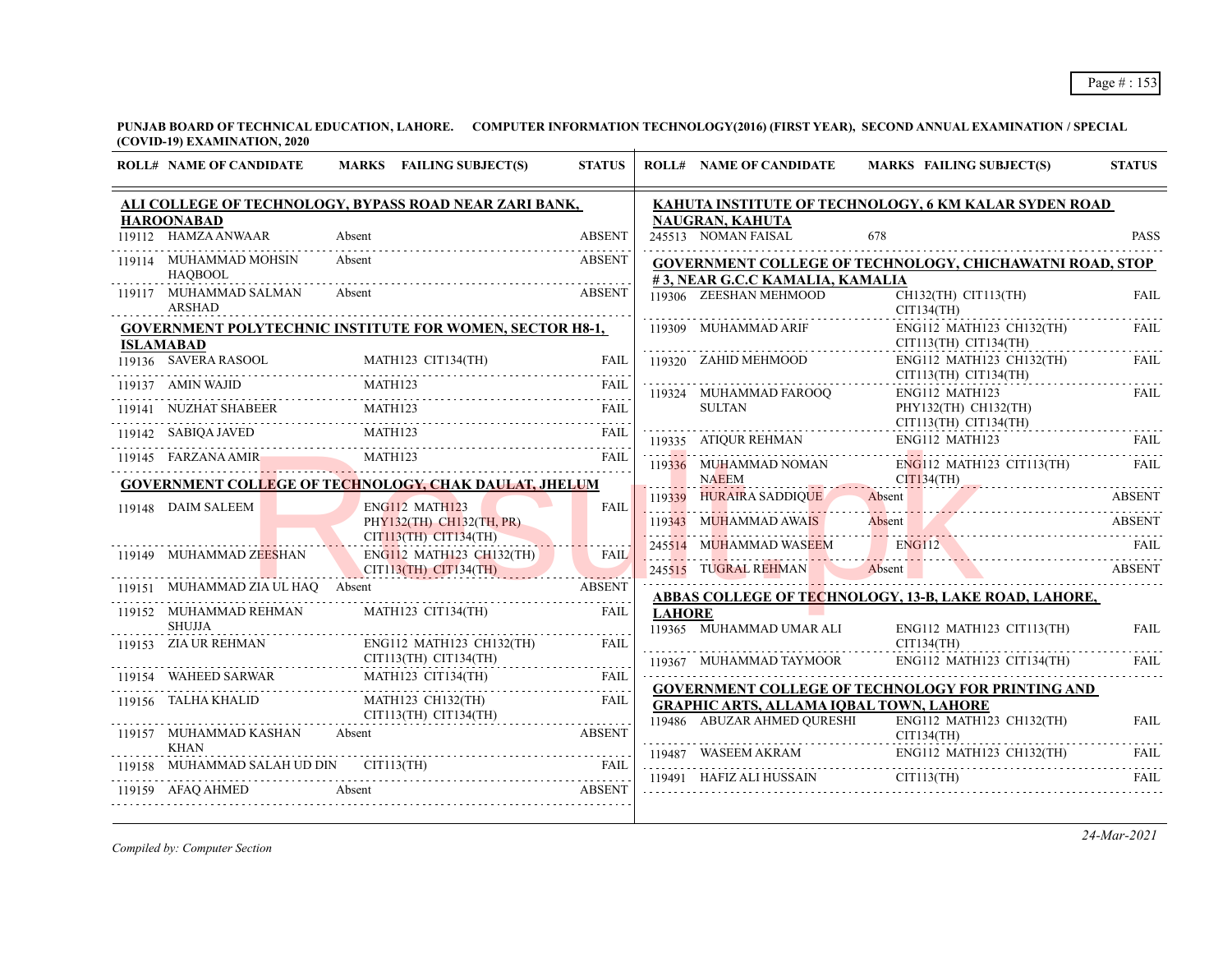**PUNJAB BOARD OF TECHNICAL EDUCATION, LAHORE. COMPUTER INFORMATION TECHNOLOGY(2016) (FIRST YEAR), SECOND ANNUAL EXAMINATION / SPECIAL (COVID-19) EXAMINATION, 2020**  $\overline{1}$ 

| <b>ROLL# NAME OF CANDIDATE</b>           | MARKS FAILING SUBJECT(S)                                                                                                                                                                                                                                                                                                                                                                                            | <b>STATUS</b> |               | <b>ROLL# NAME OF CANDIDATE</b>                            | MARKS FAILING SUBJECT(S)                                                                                                                                                       | <b>STATUS</b> |
|------------------------------------------|---------------------------------------------------------------------------------------------------------------------------------------------------------------------------------------------------------------------------------------------------------------------------------------------------------------------------------------------------------------------------------------------------------------------|---------------|---------------|-----------------------------------------------------------|--------------------------------------------------------------------------------------------------------------------------------------------------------------------------------|---------------|
|                                          | ALI COLLEGE OF TECHNOLOGY, BYPASS ROAD NEAR ZARI BANK,                                                                                                                                                                                                                                                                                                                                                              |               |               |                                                           | KAHUTA INSTITUTE OF TECHNOLOGY, 6 KM KALAR SYDEN ROAD                                                                                                                          |               |
| <b>HAROONABAD</b><br>119112 HAMZA ANWAAR | Absent                                                                                                                                                                                                                                                                                                                                                                                                              | <b>ABSENT</b> |               | NAUGRAN, KAHUTA<br>245513 NOMAN FAISAL                    | 678                                                                                                                                                                            | <b>PASS</b>   |
| 119114 MUHAMMAD MOHSIN<br><b>HAOBOOL</b> | Absent                                                                                                                                                                                                                                                                                                                                                                                                              | ABSENT        |               |                                                           | GOVERNMENT COLLEGE OF TECHNOLOGY, CHICHAWATNI ROAD, STOP                                                                                                                       |               |
| 119117 MUHAMMAD SALMAN<br><b>ARSHAD</b>  | Absent                                                                                                                                                                                                                                                                                                                                                                                                              | <b>ABSENT</b> |               | #3, NEAR G.C.C KAMALIA, KAMALIA<br>119306 ZEESHAN MEHMOOD | CH132(TH) CIT113(TH)<br>CIT134(TH)                                                                                                                                             | <b>FAIL</b>   |
| <b>ISLAMABAD</b>                         | <b>GOVERNMENT POLYTECHNIC INSTITUTE FOR WOMEN, SECTOR H8-1,</b>                                                                                                                                                                                                                                                                                                                                                     |               |               | 119309 MUHAMMAD ARIF                                      | ENG112 MATH123 CH132(TH)<br>$CIT113(TH)$ $CIT134(TH)$                                                                                                                          | FAII.         |
|                                          | 119136 SAVERA RASOOL MATH123 CIT134(TH) FAIL                                                                                                                                                                                                                                                                                                                                                                        | <b>FAIL</b>   |               | 119320 ZAHID MEHMOOD                                      | ENG112 MATH123 CH132(TH)<br>CIT113(TH) CIT134(TH)                                                                                                                              | FAIL          |
|                                          | $\begin{tabular}{c c c} \hline 119137 & AMIN WAJID & \multicolumn{2}{c}{MATH123} & \multicolumn{2}{c}{FAIL} \\ \hline 119141 & NUZHAT SHABEER & \multicolumn{2}{c}{MATH123} & \multicolumn{2}{c}{FAIL} \\ \hline 119141 & NUZHAT SHABEER & \multicolumn{2}{c}{MATH123} & \multicolumn{2}{c}{FAIL} \\ \hline 119142 & SABIQA JAVED & \multicolumn{2}{c}{MATH123} & \multicolumn{2}{c}{FAIL} \\ \hline \end{tabular}$ |               |               | 119324 MUHAMMAD FAROOQ                                    | ENG112 MATH123                                                                                                                                                                 | FAIL          |
|                                          |                                                                                                                                                                                                                                                                                                                                                                                                                     |               |               | SULTAN                                                    | PHY132(TH) CH132(TH)<br>$CIT113(TH)$ $CIT134(TH)$                                                                                                                              |               |
|                                          | 119142 STARZANA AMIR<br>119145 FARZANA AMIR MATH123 FAIL                                                                                                                                                                                                                                                                                                                                                            |               |               | 119335 ATIQUR REHMAN                                      | ENG112 MATH123                                                                                                                                                                 | FAII.         |
|                                          | <b>GOVERNMENT COLLEGE OF TECHNOLOGY, CHAK DAULAT, JHELUM</b>                                                                                                                                                                                                                                                                                                                                                        |               |               | 119336 MUHAMMAD NOMAN<br><b>NAEEM</b>                     | ENG112 MATH123 CIT113(TH)<br>$CIT134(TH)$ ARSENT                                                                                                                               | FAII.         |
| 119148 DAIM SALEEM                       | ENG112 MATH123                                                                                                                                                                                                                                                                                                                                                                                                      | <b>FAIL</b>   |               |                                                           | 119339 HURAIRA SADDIQUE Absent ABSENT                                                                                                                                          |               |
|                                          | PHY132(TH) CH132(TH, PR)<br>$CIT113(TH)$ $CIT134(TH)$                                                                                                                                                                                                                                                                                                                                                               |               |               |                                                           | 119343 MUHAMMAD AWAIS Absent ABSENT                                                                                                                                            |               |
| 119149 MUHAMMAD ZEESHAN                  | ENG112 MATH123 CH132(TH)<br>CIT113(TH) CIT134(TH)                                                                                                                                                                                                                                                                                                                                                                   | <b>FAIL</b>   |               |                                                           | 245514 MUHAMMAD WASEEM ENGI12 FAIL FAIL<br>245515 TUGRAL REHMAN Absent Manuel Absent ABSENT                                                                                    |               |
|                                          | 119151 MUHAMMAD ZIA UL HAQ Absent ABSENT                                                                                                                                                                                                                                                                                                                                                                            |               |               |                                                           | <u>ABBAS COLLEGE OF TECHNOLOGY, 13-B, LAKE ROAD, LAHORE,</u>                                                                                                                   |               |
| 119152 MUHAMMAD REHMAN<br><b>SHUJJA</b>  | MATH123 CIT134(TH)                                                                                                                                                                                                                                                                                                                                                                                                  | <b>FAIL</b>   | <b>LAHORE</b> | 119365 MUHAMMAD UMAR ALI                                  | ENG112 MATH123 CIT113(TH)                                                                                                                                                      | FAIL          |
| 119153 ZIA UR REHMAN                     | ENG112 MATH123 CH132(TH)<br>$CIT113(TH)$ $CIT1134(TH)$                                                                                                                                                                                                                                                                                                                                                              | <b>FAIL</b>   |               |                                                           | CIT134(TH)<br>119367 MUHAMMAD TAYMOOR ENG112 MATH123 CIT134(TH)                                                                                                                | FAIL          |
|                                          | 119154 WAHEED SARWAR MATH123 CIT134(TH) FAIL FAIL                                                                                                                                                                                                                                                                                                                                                                   |               |               |                                                           | <b>GOVERNMENT COLLEGE OF TECHNOLOGY FOR PRINTING AND</b>                                                                                                                       |               |
| 119156 TALHA KHALID                      | MATH123 CH132(TH) FAIL<br>CIT113(TH) CIT134(TH)                                                                                                                                                                                                                                                                                                                                                                     |               |               | <b>GRAPHIC ARTS, ALLAMA IQBAL TOWN, LAHORE</b>            |                                                                                                                                                                                |               |
| 119157 MUHAMMAD KASHAN                   | Absent                                                                                                                                                                                                                                                                                                                                                                                                              | <b>ABSENT</b> |               | CIT134(TH)                                                | 119486 ABUZAR AHMED QURESHI ENG112 MATH123 CH132(TH)                                                                                                                           | <b>FAIL</b>   |
|                                          | 119158 MUHAMMAD SALAH UD DIN CIT113(TH)                                                                                                                                                                                                                                                                                                                                                                             |               |               |                                                           | $\begin{tabular}{lllllllllll} \hline 119487 & WASEEM AKRAM & ENG112 MATH123 CH132(TH) & FAIL \\ \hline 119491 & HAFIZ ALL HUSSAIN & CIT113(TH) & FAIL \\ \hline \end{tabular}$ |               |
| 119159 AFAQ AHMED                        | ABSENT ABSENT ABSENT ABSENT AND A LIMIT AND A LIMIT A LIMIT AND A LIMIT AND A LIMIT AND A LIMIT AND A LIMIT AND A LIMIT AND A LIMIT AND A LIMIT AND A LIMIT AND A LIMIT AND A LIMIT AND A LIMIT AND A LIMIT AND A LIMIT AND A                                                                                                                                                                                       |               |               |                                                           |                                                                                                                                                                                |               |

*Compiled by: Computer Section*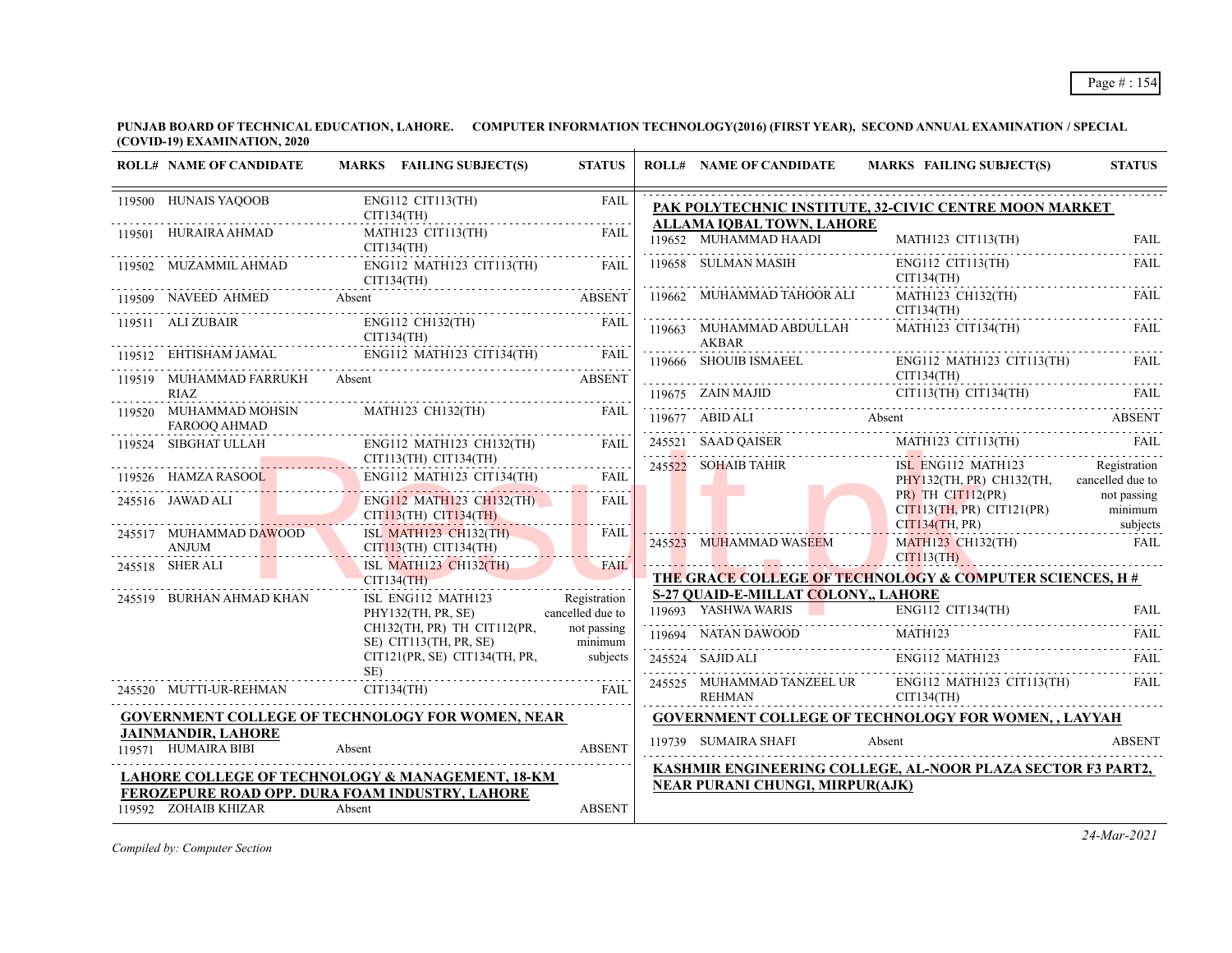| <b>ROLL# NAME OF CANDIDATE</b>                   | MARKS FAILING SUBJECT(S)                                                                                                                                                                                                                                                                                                                                                                                                                                                                          | <b>STATUS</b> | <b>ROLL# NAME OF CANDIDATE</b>             | <b>MARKS FAILING SUBJECT(S)</b>                                                                                                                                                                                                                                                                                                                                                                                 | <b>STATUS</b> |
|--------------------------------------------------|---------------------------------------------------------------------------------------------------------------------------------------------------------------------------------------------------------------------------------------------------------------------------------------------------------------------------------------------------------------------------------------------------------------------------------------------------------------------------------------------------|---------------|--------------------------------------------|-----------------------------------------------------------------------------------------------------------------------------------------------------------------------------------------------------------------------------------------------------------------------------------------------------------------------------------------------------------------------------------------------------------------|---------------|
| 119500 HUNAIS YAQOOB<br>CIT134(TH)               | ENG112 CIT113(TH)                                                                                                                                                                                                                                                                                                                                                                                                                                                                                 | FAIL          | ALLAMA IOBAL TOWN, LAHORE                  | PAK POLYTECHNIC INSTITUTE, 32-CIVIC CENTRE MOON MARKET                                                                                                                                                                                                                                                                                                                                                          |               |
| 119501 HURAIRA AHMAD                             | $\begin{tabular}{ll} \bf{MATH123} & \bf{CTT113} (TH) & \bf{FAL} \\ \bf{CIT134} (TH) & \bf{FAL} \\ \end{tabular}$                                                                                                                                                                                                                                                                                                                                                                                  |               |                                            | $\begin{tabular}{c c c} \hline 119652 & MUHAMMAD HAADI & MATH123 & CIT113(TH) & FAIL \\ \hline 119658 & SUBIMAN MASIH & ENG112 & CIT113(TH) & FAIL \\ \hline \end{tabular}$                                                                                                                                                                                                                                     |               |
| 119502 MUZAMMIL AHMAD                            | ENG112 MATH123 CIT113(TH) FAIL                                                                                                                                                                                                                                                                                                                                                                                                                                                                    |               |                                            | CIT134(TH)                                                                                                                                                                                                                                                                                                                                                                                                      |               |
|                                                  | CIT134(TH)<br>119509 NAVEED AHMED Absent<br>19509 NAVEED AHMED Absent                                                                                                                                                                                                                                                                                                                                                                                                                             |               | 119662 MUHAMMAD TAHOOR ALI<br><u>.</u>     | MATH123 CH132(TH)<br>CIT134(TH)                                                                                                                                                                                                                                                                                                                                                                                 | <b>FAIL</b>   |
|                                                  | $\begin{tabular}{lllllllllll} \hline 119511 & ALI ZUBAIR & \multicolumn{2}{l} \multicolumn{2}{l} \multicolumn{2}{l} \multicolumn{2}{l} \multicolumn{2}{l} \multicolumn{2}{l} \multicolumn{2}{l} \multicolumn{2}{l} \multicolumn{2}{l} \multicolumn{2}{l} \multicolumn{2}{l} \multicolumn{2}{l} \multicolumn{2}{l} \multicolumn{2}{l} \multicolumn{2}{l} \multicolumn{2}{l} \multicolumn{2}{l} \multicolumn{2}{l} \multicolumn{2}{l} \multicolumn{2}{l} \multicolumn{2}{l} \$                      |               | AKBAR                                      | 119663 MUHAMMAD ABDULLAH MATH123 CIT134(TH)                                                                                                                                                                                                                                                                                                                                                                     | <b>FAIL</b>   |
|                                                  |                                                                                                                                                                                                                                                                                                                                                                                                                                                                                                   |               | 119666 SHOUIB ISMAEEL                      | ENG112 MATH123 CIT113(TH)                                                                                                                                                                                                                                                                                                                                                                                       |               |
| 119519 MUHAMMAD FARRUKH Absent<br>RIAZ           |                                                                                                                                                                                                                                                                                                                                                                                                                                                                                                   | <b>ABSENT</b> | CIT134(TH)                                 |                                                                                                                                                                                                                                                                                                                                                                                                                 |               |
| 119520 MUHAMMAD MOHSIN<br>FAROOO AHMAD           | MATH123 CH132(TH) FAIL                                                                                                                                                                                                                                                                                                                                                                                                                                                                            |               |                                            |                                                                                                                                                                                                                                                                                                                                                                                                                 |               |
|                                                  | $\begin{tabular}{ll} 119524 & SIBGHAT ULLAH & ENG112 MATH123 CH13 \\ \hline \multicolumn{2}{c}{\text{CIT113(TH) CT134(TH)}} \\ \hline \multicolumn{2}{c}{\text{CIT113(TH) CT134(TH)}} \\ \hline \end{tabular}$<br>$\left[\begin{array}{c c} \text{ENG112} & \text{MATH123} & \text{CH132} \\ \text{CIT113} \text{(TH)} & \text{CIT134} \text{(TH)} \\ \end{array}\right] \hspace{0.03in} \left[\begin{array}{c c} \text{FAIL} & \text{FAIL} \\ \text{CH132} & \text{CH134} \\ \end{array}\right]$ |               |                                            | $\begin{tabular}{ c c c c } \hline \multicolumn{1}{c }{\textbf{CIT134(TH)}} & \multicolumn{1}{c }{\textbf{CIT134(TH)}} & \multicolumn{1}{c }{\textbf{FAIL}} \\[19675 & \textbf{ZAIN MAJID} & \textbf{CIT113(TH)} & \textbf{CTTI34(TH)} & \textbf{FAIL} \\[19677 & \textbf{ABIDALI} & \textbf{Absent} & \textbf{ABSENT} \\[19677 & \textbf{ABIDALI} & \textbf{Absent} & \textbf{BSENT} \\[19675 & \textbf{24521$ |               |
|                                                  | 119526 HAMZA RASOOL ENG112 MATH123 CIT134(TH) FAIL                                                                                                                                                                                                                                                                                                                                                                                                                                                |               | 245522 SOHAIB TAHIR                        | ISL ENG112 MATH123 Registration<br>PHY132(TH, PR) CH132(TH, cancelled due to                                                                                                                                                                                                                                                                                                                                    |               |
| 245516 JAWAD ALI E                               | ENG112 MATH123 CH132(TH) FAIL<br>CIT113(TH) CIT134(TH) CH214(TH)                                                                                                                                                                                                                                                                                                                                                                                                                                  |               |                                            | PR) TH CIT112(PR) not passing<br>CIT113(TH, PR) CIT121(PR) minimum<br>cIT134(TH, PR) city subjects                                                                                                                                                                                                                                                                                                              |               |
| 245517 MUHAMMAD DAWOOD<br>ANJUM                  | ISL MATH123 CH132(TH) FAIL<br>CIT113(TH) CIT134(TH)                                                                                                                                                                                                                                                                                                                                                                                                                                               |               | 245523 MUHAMMAD WASEEM                     | $M_4TH123$ CH132(TH) FAIL FAIL<br>CITI13(TH)                                                                                                                                                                                                                                                                                                                                                                    |               |
| 245518 SHER ALI                                  | ISL MATH123 CH132(TH)<br>CIT134(TH)                                                                                                                                                                                                                                                                                                                                                                                                                                                               | FAIL          |                                            | THE GRACE COLLEGE OF TECHNOLOGY & COMPUTER SCIENCES, H#                                                                                                                                                                                                                                                                                                                                                         |               |
| 245519 BURHAN AHMAD KHAN                         | ISL ENG112 MATH123 Registration                                                                                                                                                                                                                                                                                                                                                                                                                                                                   |               | <b>S-27 QUAID-E-MILLAT COLONY,, LAHORE</b> |                                                                                                                                                                                                                                                                                                                                                                                                                 |               |
|                                                  | PHY132(TH, PR, SE) cancelled due to                                                                                                                                                                                                                                                                                                                                                                                                                                                               |               |                                            | THE THE TRIP CITY CITY CITY OF THE TRIP CITY OF THE TRIP CITY OF THE TRIP CITY OF THE TRIP CITY OF THE TRIP CITY OF THE TRIP CITY OF THE TRIP CITY OF THE TRIP CITY OF THE TRIP CITY OF THE TRIP CITY OF THE TRIP CITY OF THE                                                                                                                                                                                   |               |
|                                                  | CH132(TH, PR) TH CIT112(PR,                                                                                                                                                                                                                                                                                                                                                                                                                                                                       | not passing   |                                            | <b>MATH123</b><br>119694 NATAN DAWOOD MATH123 FAIL                                                                                                                                                                                                                                                                                                                                                              |               |
|                                                  | SE) CIT113(TH, PR, SE) minimum<br>CIT121(PR, SE) CIT134(TH, PR, subjects                                                                                                                                                                                                                                                                                                                                                                                                                          |               |                                            | $\begin{tabular}{c c c c c c c c c} \hline 245524 & SAJID ALL & ENGI12 MATH123 & FAIL \\ \hline 245525 & MUHAMMAD TANZEEL UR & ENGI12 MATH123 CIT113(TH) & FAIL \\ \hline \end{tabular}$                                                                                                                                                                                                                        |               |
|                                                  | $SE$ )<br>245520 MUTTI-UR-REHMAN CIT134(TH) FAIL                                                                                                                                                                                                                                                                                                                                                                                                                                                  |               | REHMAN CIT134(TH)                          |                                                                                                                                                                                                                                                                                                                                                                                                                 |               |
|                                                  | <b>GOVERNMENT COLLEGE OF TECHNOLOGY FOR WOMEN, NEAR</b>                                                                                                                                                                                                                                                                                                                                                                                                                                           |               |                                            | <b>GOVERNMENT COLLEGE OF TECHNOLOGY FOR WOMEN,, LAYYAH</b>                                                                                                                                                                                                                                                                                                                                                      |               |
| <b>JAINMANDIR, LAHORE</b><br>119571 HUMAIRA BIBI | Absent                                                                                                                                                                                                                                                                                                                                                                                                                                                                                            | <b>ABSENT</b> | 119739 SUMAIRA SHAFI                       | Absent                                                                                                                                                                                                                                                                                                                                                                                                          | <b>ABSENT</b> |
|                                                  | LAHORE COLLEGE OF TECHNOLOGY & MANAGEMENT, 18-KM<br>FEROZEPURE ROAD OPP. DURA FOAM INDUSTRY, LAHORE                                                                                                                                                                                                                                                                                                                                                                                               |               | <b>NEAR PURANI CHUNGI, MIRPUR(AJK)</b>     | KASHMIR ENGINEERING COLLEGE, AL-NOOR PLAZA SECTOR F3 PART2,                                                                                                                                                                                                                                                                                                                                                     |               |
| 119592 ZOHAIB KHIZAR                             | Absent                                                                                                                                                                                                                                                                                                                                                                                                                                                                                            | <b>ABSENT</b> |                                            |                                                                                                                                                                                                                                                                                                                                                                                                                 |               |

*Compiled by: Computer Section*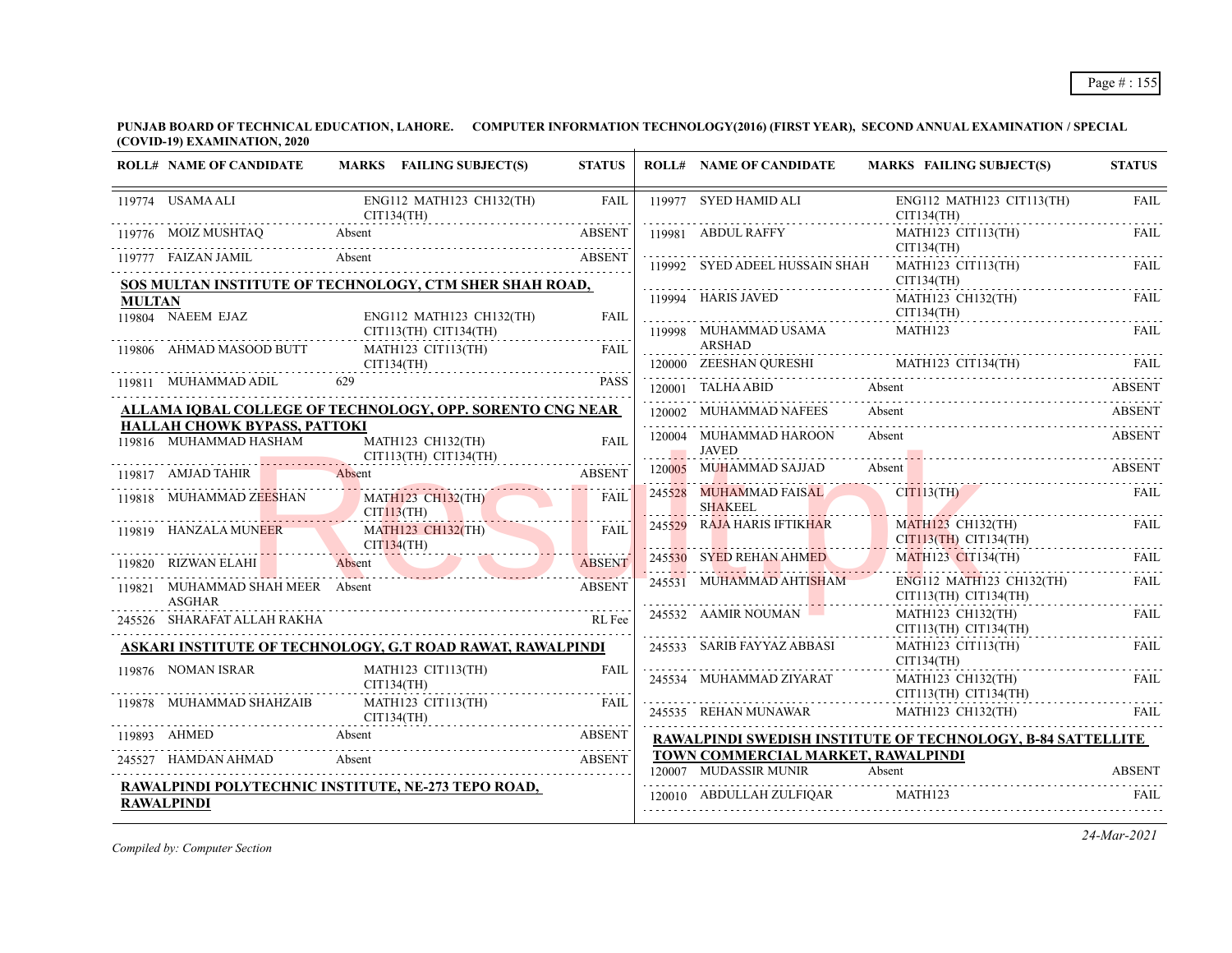**PUNJAB BOARD OF TECHNICAL EDUCATION, LAHORE. COMPUTER INFORMATION TECHNOLOGY(2016) (FIRST YEAR), SECOND ANNUAL EXAMINATION / SPECIAL (COVID-19) EXAMINATION, 2020**  $\overline{1}$ 

| 119774 USAMA ALI<br>ENG112 MATH123 CH132(TH)<br><b>FAIL</b><br>119977 SYED HAMID ALI<br>ENG112 MATH123 CIT113(TH)<br>CIT134(TH)<br>CIT134(TH)<br>119776 MOIZ MUSHTAQ<br>Absent<br>MATH123 CIT113(TH)<br><b>ABSENT</b><br>119981 ABDUL RAFFY<br>CIT134(TH)<br>Absent<br>119777 FAIZAN JAMIL<br><b>ABSENT</b><br>119992 SYED ADEEL HUSSAIN SHAH<br>MATH123 CIT113(TH)<br>CIT134(TH)<br>SOS MULTAN INSTITUTE OF TECHNOLOGY, CTM SHER SHAH ROAD,<br>119994 HARIS JAVED<br>MATH123 CH132(TH)<br><b>MULTAN</b><br>CIT134(TH)<br>119804 NAEEM EJAZ<br>ENG112 MATH123 CH132(TH)<br>FAIL<br>119998 MUHAMMAD USAMA<br>MATH123<br>CIT113(TH) CIT134(TH)<br>ARSHAD<br>119806 AHMAD MASOOD BUTT<br><b>FAIL</b><br>MATH123 CIT113(TH)<br>120000 ZEESHAN QURESHI MATH123 CIT134(TH) FAIL<br>CIT134(TH)<br>119811 MUHAMMAD ADIL<br>629<br><b>PASS</b><br>120001 TALHA ABID Absent<br>ALLAMA IQBAL COLLEGE OF TECHNOLOGY, OPP. SORENTO CNG NEAR<br>120002 MUHAMMAD NAFEES<br>Absent<br>HALLAH CHOWK BYPASS, PATTOKI<br>120004 MUHAMMAD HAROON<br>Absent<br>119816 MUHAMMAD HASHAM<br>MATH123 CH132(TH)<br><b>FAIL</b><br>JAVED<br>CIT113(TH) CIT134(TH)<br>120005 MUHAMMAD SAJJAD<br>Absent<br>119817 AMJAD TAHIR<br><b>ABSENT</b><br>Absent<br>245528 MUHAMMAD FAISAL<br>CITI13(TH)<br>119818 MUHAMMAD ZEESHAN<br><b>MATH123 CH132(TH)</b><br>FAIL<br><b>SHAKEEL</b><br><u> 1988 - Johann Stein, Amerikaansk politik fan it ferstjer fan it ferstjer fan it ferstjer fan it ferstjer fan </u><br>$CIT113$ (TH)<br>245529 RAJA HARIS IFTIKHAR<br><b>MATH123 CH132(TH)</b><br><b>MATH123 CH132(TH)</b><br>119819 HANZALA MUNEER<br>FAIL<br>CIT113(TH) CIT134(TH)<br>CIT134(TH)<br>245530 SYED REHAN AHMED<br><b>MATH123 CIT134(TH)</b><br>119820 RIZWAN ELAHI<br>Absent<br><b>ABSENT</b><br>245531 MUHAMMAD AHTISHAM<br>ENG112 MATH123 CH132(TH)<br>119821 MUHAMMAD SHAH MEER Absent<br><b>ABSENT</b><br>CIT113(TH) CIT134(TH)<br><b>ASGHAR</b><br>245532 AAMIR NOUMAN<br>MATH123 CH132(TH)<br>245526 SHARAFAT ALLAH RAKHA<br>RL Fee<br>CIT113(TH) CIT134(TH)<br>ASKARI INSTITUTE OF TECHNOLOGY, G.T ROAD RAWAT, RAWALPINDI<br>245533 SARIB FAYYAZ ABBASI<br>MATH123 CIT113(TH)<br>CIT134(TH)<br>119876 NOMAN ISRAR<br>MATH123 CIT113(TH)<br><b>FAIL</b><br>245534 MUHAMMAD ZIYARAT<br>MATH123 CH132(TH)<br>CIT134(TH)<br>CIT113(TH) CIT134(TH)<br>119878 MUHAMMAD SHAHZAIB<br>MATH123 CIT113(TH)<br><b>FAIL</b><br>245535 REHAN MUNAWAR<br>MATH123 CH132(TH)<br>CIT134(TH)<br>119893 AHMED Absent ABSENT<br><b>RAWALPINDI SWEDISH INSTITUTE OF TECHNOLOGY, B-84 SATTELLITE</b><br>TOWN COMMERCIAL MARKET, RAWALPINDI<br>Absent<br><b>ABSENT</b><br>245527 HAMDAN AHMAD<br>120007 MUDASSIR MUNIR<br>Absent<br>RAWALPINDI POLYTECHNIC INSTITUTE, NE-273 TEPO ROAD,<br>120010 ABDULLAH ZULFIQAR MATH123<br><b>RAWALPINDI</b> | <b>ROLL# NAME OF CANDIDATE</b> | MARKS FAILING SUBJECT(S) | <b>STATUS</b> | <b>ROLL# NAME OF CANDIDATE</b> | MARKS FAILING SUBJECT(S) | <b>STATUS</b> |
|----------------------------------------------------------------------------------------------------------------------------------------------------------------------------------------------------------------------------------------------------------------------------------------------------------------------------------------------------------------------------------------------------------------------------------------------------------------------------------------------------------------------------------------------------------------------------------------------------------------------------------------------------------------------------------------------------------------------------------------------------------------------------------------------------------------------------------------------------------------------------------------------------------------------------------------------------------------------------------------------------------------------------------------------------------------------------------------------------------------------------------------------------------------------------------------------------------------------------------------------------------------------------------------------------------------------------------------------------------------------------------------------------------------------------------------------------------------------------------------------------------------------------------------------------------------------------------------------------------------------------------------------------------------------------------------------------------------------------------------------------------------------------------------------------------------------------------------------------------------------------------------------------------------------------------------------------------------------------------------------------------------------------------------------------------------------------------------------------------------------------------------------------------------------------------------------------------------------------------------------------------------------------------------------------------------------------------------------------------------------------------------------------------------------------------------------------------------------------------------------------------------------------------------------------------------------------------------------------------------------------------------------------------------------------------------------------------------------------------------------------------------------------------------------------------|--------------------------------|--------------------------|---------------|--------------------------------|--------------------------|---------------|
|                                                                                                                                                                                                                                                                                                                                                                                                                                                                                                                                                                                                                                                                                                                                                                                                                                                                                                                                                                                                                                                                                                                                                                                                                                                                                                                                                                                                                                                                                                                                                                                                                                                                                                                                                                                                                                                                                                                                                                                                                                                                                                                                                                                                                                                                                                                                                                                                                                                                                                                                                                                                                                                                                                                                                                                                          |                                |                          |               |                                |                          | <b>FAIL</b>   |
|                                                                                                                                                                                                                                                                                                                                                                                                                                                                                                                                                                                                                                                                                                                                                                                                                                                                                                                                                                                                                                                                                                                                                                                                                                                                                                                                                                                                                                                                                                                                                                                                                                                                                                                                                                                                                                                                                                                                                                                                                                                                                                                                                                                                                                                                                                                                                                                                                                                                                                                                                                                                                                                                                                                                                                                                          |                                |                          |               |                                |                          | FAIL          |
|                                                                                                                                                                                                                                                                                                                                                                                                                                                                                                                                                                                                                                                                                                                                                                                                                                                                                                                                                                                                                                                                                                                                                                                                                                                                                                                                                                                                                                                                                                                                                                                                                                                                                                                                                                                                                                                                                                                                                                                                                                                                                                                                                                                                                                                                                                                                                                                                                                                                                                                                                                                                                                                                                                                                                                                                          |                                |                          |               |                                |                          | FAIL          |
|                                                                                                                                                                                                                                                                                                                                                                                                                                                                                                                                                                                                                                                                                                                                                                                                                                                                                                                                                                                                                                                                                                                                                                                                                                                                                                                                                                                                                                                                                                                                                                                                                                                                                                                                                                                                                                                                                                                                                                                                                                                                                                                                                                                                                                                                                                                                                                                                                                                                                                                                                                                                                                                                                                                                                                                                          |                                |                          |               |                                |                          | FAIL.         |
|                                                                                                                                                                                                                                                                                                                                                                                                                                                                                                                                                                                                                                                                                                                                                                                                                                                                                                                                                                                                                                                                                                                                                                                                                                                                                                                                                                                                                                                                                                                                                                                                                                                                                                                                                                                                                                                                                                                                                                                                                                                                                                                                                                                                                                                                                                                                                                                                                                                                                                                                                                                                                                                                                                                                                                                                          |                                |                          |               |                                |                          |               |
|                                                                                                                                                                                                                                                                                                                                                                                                                                                                                                                                                                                                                                                                                                                                                                                                                                                                                                                                                                                                                                                                                                                                                                                                                                                                                                                                                                                                                                                                                                                                                                                                                                                                                                                                                                                                                                                                                                                                                                                                                                                                                                                                                                                                                                                                                                                                                                                                                                                                                                                                                                                                                                                                                                                                                                                                          |                                |                          |               |                                |                          | FAIL.         |
|                                                                                                                                                                                                                                                                                                                                                                                                                                                                                                                                                                                                                                                                                                                                                                                                                                                                                                                                                                                                                                                                                                                                                                                                                                                                                                                                                                                                                                                                                                                                                                                                                                                                                                                                                                                                                                                                                                                                                                                                                                                                                                                                                                                                                                                                                                                                                                                                                                                                                                                                                                                                                                                                                                                                                                                                          |                                |                          |               |                                |                          |               |
|                                                                                                                                                                                                                                                                                                                                                                                                                                                                                                                                                                                                                                                                                                                                                                                                                                                                                                                                                                                                                                                                                                                                                                                                                                                                                                                                                                                                                                                                                                                                                                                                                                                                                                                                                                                                                                                                                                                                                                                                                                                                                                                                                                                                                                                                                                                                                                                                                                                                                                                                                                                                                                                                                                                                                                                                          |                                |                          |               |                                |                          | <b>ABSENT</b> |
|                                                                                                                                                                                                                                                                                                                                                                                                                                                                                                                                                                                                                                                                                                                                                                                                                                                                                                                                                                                                                                                                                                                                                                                                                                                                                                                                                                                                                                                                                                                                                                                                                                                                                                                                                                                                                                                                                                                                                                                                                                                                                                                                                                                                                                                                                                                                                                                                                                                                                                                                                                                                                                                                                                                                                                                                          |                                |                          |               |                                |                          | <b>ABSENT</b> |
|                                                                                                                                                                                                                                                                                                                                                                                                                                                                                                                                                                                                                                                                                                                                                                                                                                                                                                                                                                                                                                                                                                                                                                                                                                                                                                                                                                                                                                                                                                                                                                                                                                                                                                                                                                                                                                                                                                                                                                                                                                                                                                                                                                                                                                                                                                                                                                                                                                                                                                                                                                                                                                                                                                                                                                                                          |                                |                          |               |                                |                          | <b>ABSENT</b> |
|                                                                                                                                                                                                                                                                                                                                                                                                                                                                                                                                                                                                                                                                                                                                                                                                                                                                                                                                                                                                                                                                                                                                                                                                                                                                                                                                                                                                                                                                                                                                                                                                                                                                                                                                                                                                                                                                                                                                                                                                                                                                                                                                                                                                                                                                                                                                                                                                                                                                                                                                                                                                                                                                                                                                                                                                          |                                |                          |               |                                |                          | <b>ABSENT</b> |
|                                                                                                                                                                                                                                                                                                                                                                                                                                                                                                                                                                                                                                                                                                                                                                                                                                                                                                                                                                                                                                                                                                                                                                                                                                                                                                                                                                                                                                                                                                                                                                                                                                                                                                                                                                                                                                                                                                                                                                                                                                                                                                                                                                                                                                                                                                                                                                                                                                                                                                                                                                                                                                                                                                                                                                                                          |                                |                          |               |                                |                          | FAIL          |
|                                                                                                                                                                                                                                                                                                                                                                                                                                                                                                                                                                                                                                                                                                                                                                                                                                                                                                                                                                                                                                                                                                                                                                                                                                                                                                                                                                                                                                                                                                                                                                                                                                                                                                                                                                                                                                                                                                                                                                                                                                                                                                                                                                                                                                                                                                                                                                                                                                                                                                                                                                                                                                                                                                                                                                                                          |                                |                          |               |                                |                          | FAIL          |
|                                                                                                                                                                                                                                                                                                                                                                                                                                                                                                                                                                                                                                                                                                                                                                                                                                                                                                                                                                                                                                                                                                                                                                                                                                                                                                                                                                                                                                                                                                                                                                                                                                                                                                                                                                                                                                                                                                                                                                                                                                                                                                                                                                                                                                                                                                                                                                                                                                                                                                                                                                                                                                                                                                                                                                                                          |                                |                          |               |                                |                          | FAIL.         |
|                                                                                                                                                                                                                                                                                                                                                                                                                                                                                                                                                                                                                                                                                                                                                                                                                                                                                                                                                                                                                                                                                                                                                                                                                                                                                                                                                                                                                                                                                                                                                                                                                                                                                                                                                                                                                                                                                                                                                                                                                                                                                                                                                                                                                                                                                                                                                                                                                                                                                                                                                                                                                                                                                                                                                                                                          |                                |                          |               |                                |                          | FAIL          |
|                                                                                                                                                                                                                                                                                                                                                                                                                                                                                                                                                                                                                                                                                                                                                                                                                                                                                                                                                                                                                                                                                                                                                                                                                                                                                                                                                                                                                                                                                                                                                                                                                                                                                                                                                                                                                                                                                                                                                                                                                                                                                                                                                                                                                                                                                                                                                                                                                                                                                                                                                                                                                                                                                                                                                                                                          |                                |                          |               |                                |                          | FAIL.         |
|                                                                                                                                                                                                                                                                                                                                                                                                                                                                                                                                                                                                                                                                                                                                                                                                                                                                                                                                                                                                                                                                                                                                                                                                                                                                                                                                                                                                                                                                                                                                                                                                                                                                                                                                                                                                                                                                                                                                                                                                                                                                                                                                                                                                                                                                                                                                                                                                                                                                                                                                                                                                                                                                                                                                                                                                          |                                |                          |               |                                |                          | <b>FAIL</b>   |
|                                                                                                                                                                                                                                                                                                                                                                                                                                                                                                                                                                                                                                                                                                                                                                                                                                                                                                                                                                                                                                                                                                                                                                                                                                                                                                                                                                                                                                                                                                                                                                                                                                                                                                                                                                                                                                                                                                                                                                                                                                                                                                                                                                                                                                                                                                                                                                                                                                                                                                                                                                                                                                                                                                                                                                                                          |                                |                          |               |                                |                          | FAIL          |
|                                                                                                                                                                                                                                                                                                                                                                                                                                                                                                                                                                                                                                                                                                                                                                                                                                                                                                                                                                                                                                                                                                                                                                                                                                                                                                                                                                                                                                                                                                                                                                                                                                                                                                                                                                                                                                                                                                                                                                                                                                                                                                                                                                                                                                                                                                                                                                                                                                                                                                                                                                                                                                                                                                                                                                                                          |                                |                          |               |                                |                          | FAIL.         |
|                                                                                                                                                                                                                                                                                                                                                                                                                                                                                                                                                                                                                                                                                                                                                                                                                                                                                                                                                                                                                                                                                                                                                                                                                                                                                                                                                                                                                                                                                                                                                                                                                                                                                                                                                                                                                                                                                                                                                                                                                                                                                                                                                                                                                                                                                                                                                                                                                                                                                                                                                                                                                                                                                                                                                                                                          |                                |                          |               |                                |                          |               |
|                                                                                                                                                                                                                                                                                                                                                                                                                                                                                                                                                                                                                                                                                                                                                                                                                                                                                                                                                                                                                                                                                                                                                                                                                                                                                                                                                                                                                                                                                                                                                                                                                                                                                                                                                                                                                                                                                                                                                                                                                                                                                                                                                                                                                                                                                                                                                                                                                                                                                                                                                                                                                                                                                                                                                                                                          |                                |                          |               |                                |                          |               |
|                                                                                                                                                                                                                                                                                                                                                                                                                                                                                                                                                                                                                                                                                                                                                                                                                                                                                                                                                                                                                                                                                                                                                                                                                                                                                                                                                                                                                                                                                                                                                                                                                                                                                                                                                                                                                                                                                                                                                                                                                                                                                                                                                                                                                                                                                                                                                                                                                                                                                                                                                                                                                                                                                                                                                                                                          |                                |                          |               |                                |                          | ABSENT        |
|                                                                                                                                                                                                                                                                                                                                                                                                                                                                                                                                                                                                                                                                                                                                                                                                                                                                                                                                                                                                                                                                                                                                                                                                                                                                                                                                                                                                                                                                                                                                                                                                                                                                                                                                                                                                                                                                                                                                                                                                                                                                                                                                                                                                                                                                                                                                                                                                                                                                                                                                                                                                                                                                                                                                                                                                          |                                |                          |               |                                |                          | FAIL.         |

*Compiled by: Computer Section*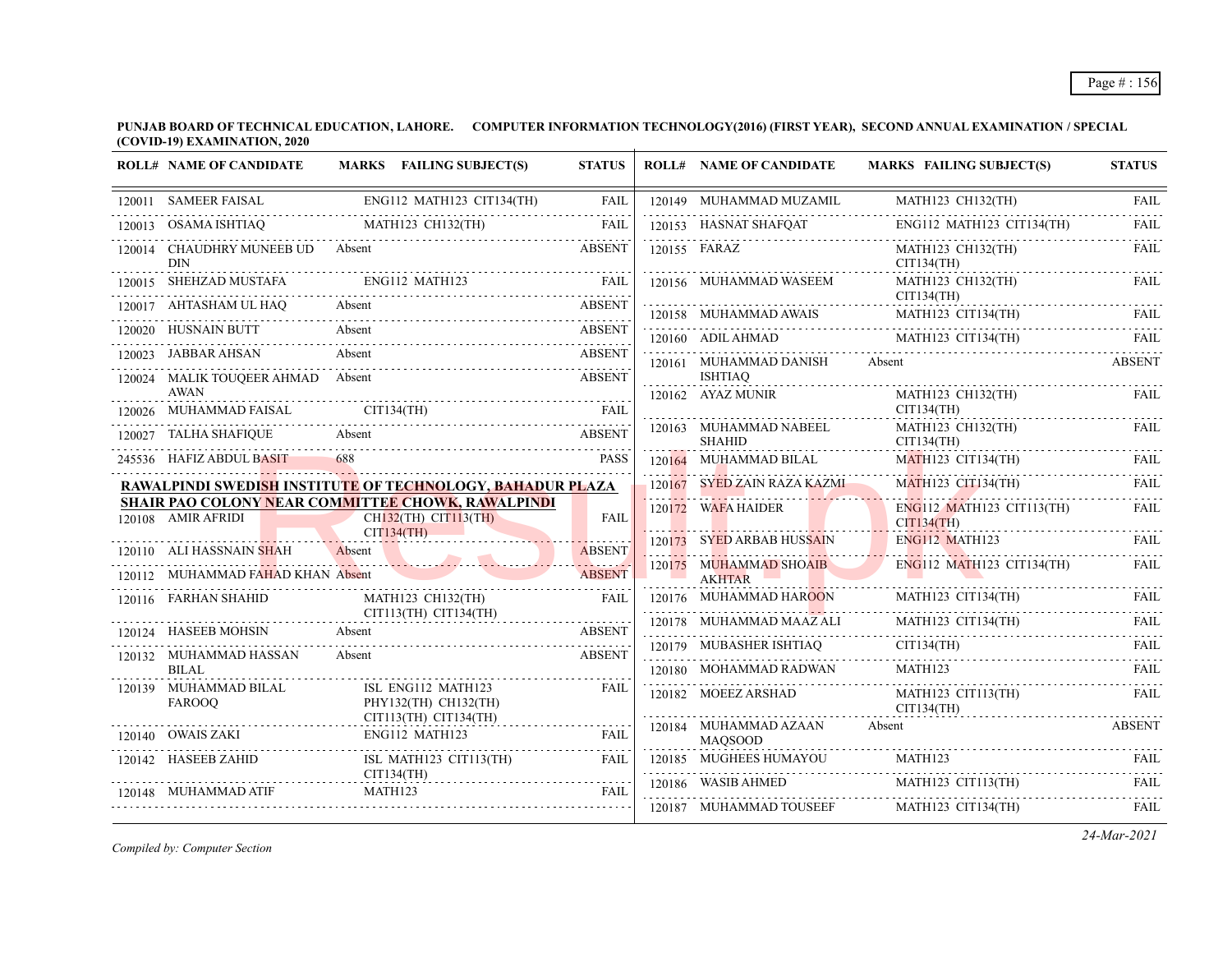**PUNJAB BOARD OF TECHNICAL EDUCATION, LAHORE. COMPUTER INFORMATION TECHNOLOGY(2016) (FIRST YEAR), SECOND ANNUAL EXAMINATION / SPECIAL (COVID-19) EXAMINATION, 2020**  $\overline{1}$ 

|        | <b>ROLL# NAME OF CANDIDATE</b>                   | MARKS FAILING SUBJECT(S)                                                                                   | <b>STATUS</b> | <b>ROLL# NAME OF CANDIDATE</b>          | <b>MARKS FAILING SUBJECT(S)</b>         | <b>STATUS</b>    |
|--------|--------------------------------------------------|------------------------------------------------------------------------------------------------------------|---------------|-----------------------------------------|-----------------------------------------|------------------|
|        | 120011 SAMEER FAISAL                             | ENG112 MATH123 CIT134(TH)                                                                                  | <b>FAIL</b>   | 120149 MUHAMMAD MUZAMIL                 | MATH123 CH132(TH)                       | <b>FAIL</b>      |
| 120013 | OSAMA ISHTIAQ                                    | MATH123 CH132(TH)                                                                                          | <b>FAIL</b>   | 120153 HASNAT SHAFQAT                   | ENG112 MATH123 CIT134(TH)               | .<br><b>FAIL</b> |
|        | 120014 CHAUDHRY MUNEEB UD Absent<br><b>DIN</b>   |                                                                                                            | <b>ABSENT</b> | 120155 FARAZ                            | MATH123 CH132(TH)<br>CIT134(TH)         | FAIL             |
|        | 120015 SHEHZAD MUSTAFA                           | ENG112 MATH123                                                                                             | FAIL          | 120156 MUHAMMAD WASEEM                  | MATH123 CH132(TH)                       | FAIL             |
|        | 120017 AHTASHAM UL HAO                           | Absent                                                                                                     | <b>ABSENT</b> | 120158 MUHAMMAD AWAIS                   | CIT134(TH)<br>MATH123 CIT134(TH)        | <b>FAIL</b>      |
|        | 120020 HUSNAIN BUTT                              | Absent                                                                                                     | <b>ABSENT</b> | 120160 ADIL AHMAD                       | MATH123 CIT134(TH)                      | FAII.            |
|        | 120023 JABBAR AHSAN                              | Absent                                                                                                     | <b>ABSENT</b> | 120161 MUHAMMAD DANISH                  | Absent                                  | <b>ABSENT</b>    |
|        | 120024 MALIK TOUQEER AHMAD Absent<br><b>AWAN</b> |                                                                                                            | <b>ABSENT</b> | <b>ISHTIAO</b><br>.                     |                                         |                  |
|        | MUHAMMAD FAISAL CIT134(TH)                       |                                                                                                            | <b>FAIL</b>   | 120162 AYAZ MUNIR                       | MATH123 CH132(TH)<br>CIT134(TH)         | FAIL             |
|        | 120027 TALHA SHAFIQUE                            | Absent                                                                                                     | <b>ABSENT</b> | 120163 MUHAMMAD NABEEL<br><b>SHAHID</b> | MATH123 CH132(TH)<br>CIT134(TH)         | FAIL             |
|        | 245536 HAFIZ ABDUL BASIT                         | 688                                                                                                        | <b>PASS</b>   | 120164 MUHAMMAD BILAL                   | MATH123 CIT134(TH)                      | <b>FAIL</b>      |
|        |                                                  | RAWALPINDI SWEDI <mark>SH</mark> INSTITU <mark>TE</mark> OF TECHNOLOGY, BAHADUR PLAZA                      |               | 120167 SYED ZAIN RAZA KAZMI             | MATH123 CIT134(TH)                      | FAIL             |
|        | 120108 AMIR AFRIDI                               | <b>SHAIR PAO COLONY NEAR COMMITTEE CHOWK, RAWALPINDI</b><br>CH <sub>132</sub> (TH) CIT <sub>113</sub> (TH) | <b>FAIL</b>   | 120172 WAFA HAIDER                      | ENG112 MATH123 CIT113(TH)<br>CITI34(TH) | <b>FAIL</b>      |
|        | 120110 ALI HASSNAIN SHAH                         | CIT134(TH)<br>Absent                                                                                       | <b>ABSENT</b> | 120173 SYED ARBAB HUSSAIN               | <b>ENG112 MATH123</b>                   | FAIL             |
|        | 120112 MUHAMMAD FAHAD KHAN Absent                |                                                                                                            | <b>ABSENT</b> | 120175 MUHAMMAD SHOAIB<br><b>AKHTAR</b> | $ENG112$ MATH123 CIT134(TH)             | FAIL             |
|        | 120116 FARHAN SHAHID                             | MATH123 CH132(TH)                                                                                          | <b>FAIL</b>   | 120176 MUHAMMAD HAROON                  | MATH123 CIT134(TH)                      | FAIL             |
|        | 120124 HASEEB MOHSIN                             | $CIT113(TH)$ $CIT134(TH)$<br>Absent                                                                        | <b>ABSENT</b> | 120178 MUHAMMAD MAAZ ALI                | MATH123 CIT134(TH)                      | FAIL             |
|        | 120132 MUHAMMAD HASSAN                           | Absent                                                                                                     | <b>ABSENT</b> | 120179 MUBASHER ISHTIAQ                 | CIT134(TH)                              | <b>FAIL</b>      |
|        | <b>BILAL</b>                                     |                                                                                                            |               |                                         | 120180 MOHAMMAD RADWAN MATH123 FAIL     |                  |
|        | 120139 MUHAMMAD BILAL<br><b>FAROOO</b>           | ISL ENG112 MATH123<br>PHY132(TH) CH132(TH)<br>$CIT113(TH)$ $CIT134(TH)$                                    | <b>FAIL</b>   | 120182 MOEEZ ARSHAD                     | MATH123 CIT113(TH)<br>CIT134(TH)        | FAIL             |
|        | 120140 OWAIS ZAKI                                | ENG112 MATH123                                                                                             | <b>FAIL</b>   | 120184 MUHAMMAD AZAAN<br><b>MAOSOOD</b> | Absent                                  | <b>ABSENT</b>    |
|        | 120142 HASEEB ZAHID                              | ISL MATH123 CIT113(TH)                                                                                     | FAIL          | 120185 MUGHEES HUMAYOU                  | MATH123                                 | <b>FAIL</b>      |
|        | 120148 MUHAMMAD ATIF                             | CIT134(TH)<br>MATH123                                                                                      | FAIL          | 120186 WASIB AHMED                      | MATH123 CIT113(TH)                      | <b>FAIL</b>      |
|        |                                                  |                                                                                                            |               | 120187 MUHAMMAD TOUSEEF                 | MATH123 CIT134(TH)                      | <b>FAIL</b>      |

*Compiled by: Computer Section*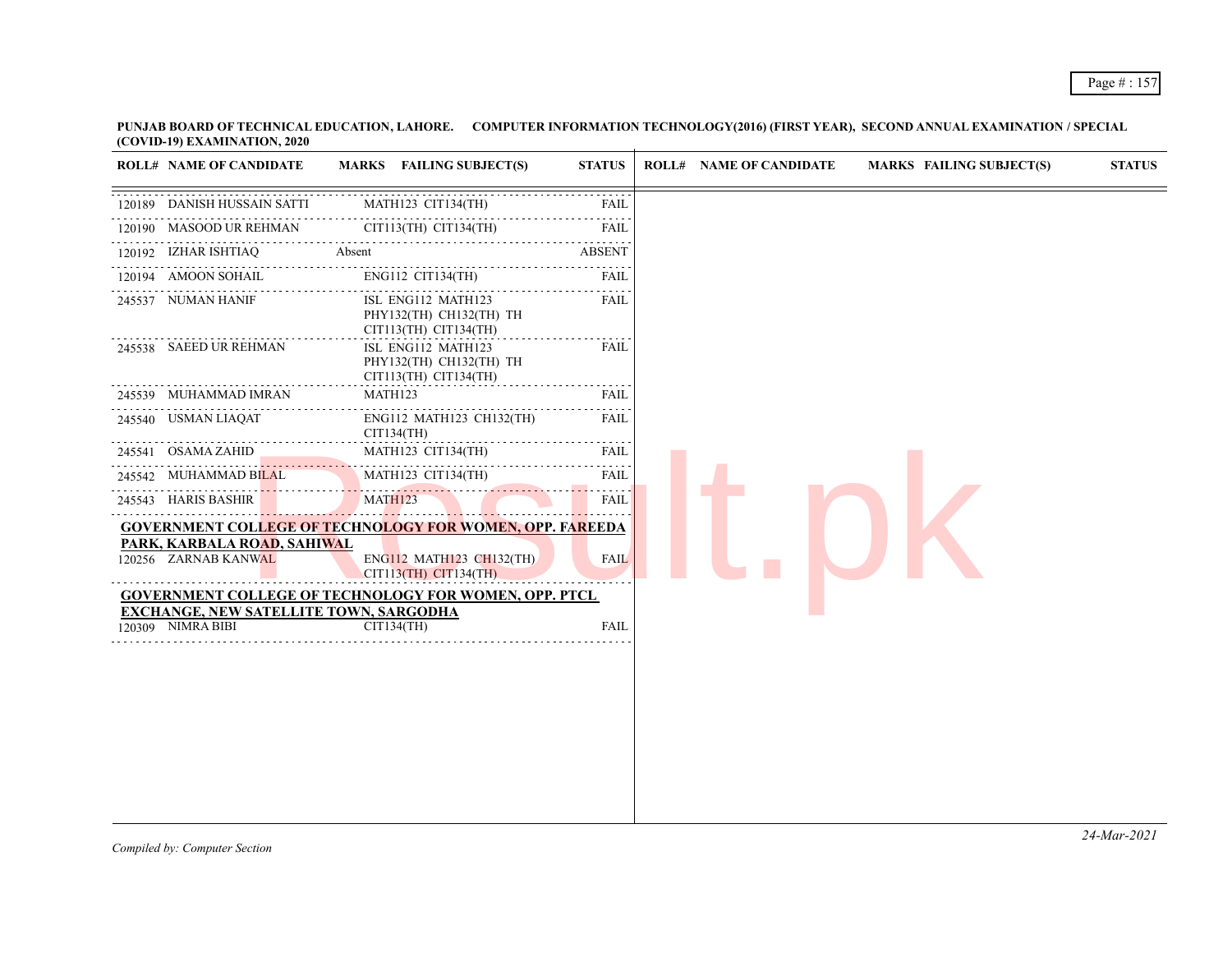| <b>ROLL# NAME OF CANDIDATE</b>         | MARKS FAILING SUBJECT(S)                                                        | <b>STATUS</b>              | <b>ROLL# NAME OF CANDIDATE</b> | <b>MARKS FAILING SUBJECT(S)</b> | <b>STATUS</b> |
|----------------------------------------|---------------------------------------------------------------------------------|----------------------------|--------------------------------|---------------------------------|---------------|
| 120189 DANISH HUSSAIN SATTI            | MATH123 CIT134(TH)                                                              | FAIL                       |                                |                                 |               |
| 120190 MASOOD UR REHMAN                | CIT113(TH) CIT134(TH)                                                           | 2.2.2.2.2.2<br><b>FAIL</b> |                                |                                 |               |
| 120192 IZHAR ISHTIAQ                   | Absent                                                                          | ABSENT                     |                                |                                 |               |
| .<br>120194 AMOON SOHAIL               | ENG112 CIT134(TH)                                                               | 2.2.2.2.1<br>FAIL          |                                |                                 |               |
| 245537 NUMAN HANIF                     | .<br>ISL ENG112 MATH123<br>PHY132(TH) CH132(TH) TH<br>$CIT113(TH)$ $CIT134(TH)$ | FAIL                       |                                |                                 |               |
| 245538 SAEED UR REHMAN                 | ISL ENG112 MATH123<br>PHY132(TH) CH132(TH) TH<br>$CIT113(TH)$ $CIT134(TH)$      | FAIL                       |                                |                                 |               |
| 245539 MUHAMMAD IMRAN                  | MATH123                                                                         | FAIL<br>.                  |                                |                                 |               |
| 245540 USMAN LIAQAT                    | ENG112 MATH123 CH132(TH)<br>CIT134(TH)<br>.                                     | FAIL<br>.                  |                                |                                 |               |
| 245541 OSAMA ZAHID                     | MATH123 CIT134(TH)                                                              | FAIL                       |                                |                                 |               |
| 245542 MUHAMMAD BILAL                  | MATH123 CIT134(TH)                                                              | <b>FAIL</b><br>.           |                                |                                 |               |
| 245543 HARIS BASHIR                    | MATH123                                                                         | FAIL                       |                                |                                 |               |
| PARK, KARBALA ROAD, SAHIWAL            | <b>GOVERNMENT COLLEGE OF TECHNOLOGY FOR WOMEN, OPP. FAREEDA</b>                 |                            |                                |                                 |               |
| 120256 ZARNAB KANWAL                   | ENG112 MATH123 CH132(TH)<br>CIT113(TH) CIT134(TH)                               | <b>FAIL</b>                |                                |                                 |               |
| EXCHANGE, NEW SATELLITE TOWN, SARGODHA | <b>GOVERNMENT COLLEGE OF TECHNOLOGY FOR WOMEN, OPP. PTCL</b>                    |                            |                                |                                 |               |
| 120309 NIMRA BIBI                      | CIT134(TH)                                                                      | <b>FAIL</b>                |                                |                                 |               |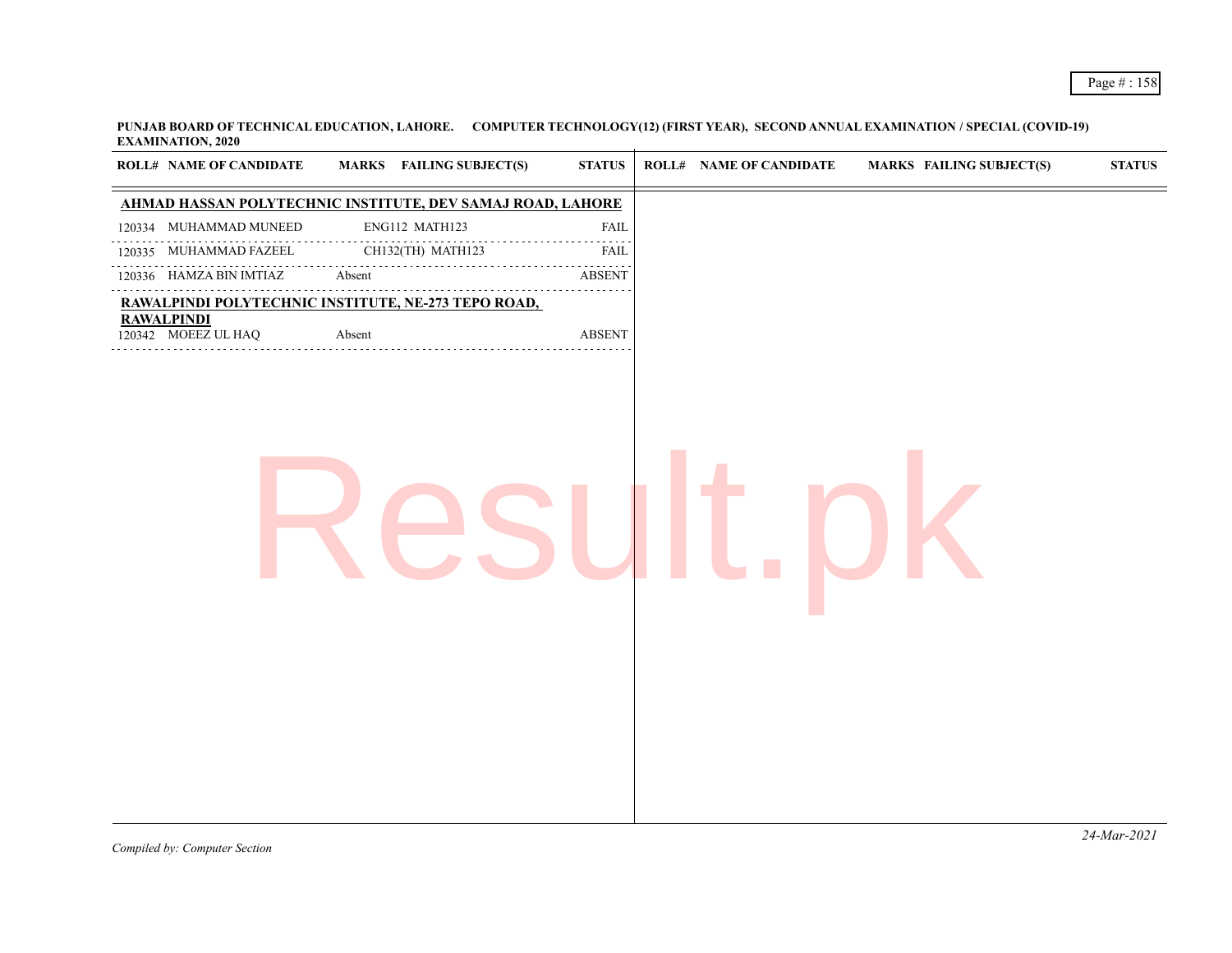| AHMAD HASSAN POLYTECHNIC INSTITUTE, DEV SAMAJ ROAD, LAHORE<br>ENG112 MATH123<br>120334 MUHAMMAD MUNEED<br>FAIL<br>120335 MUHAMMAD FAZEEL<br>CH132(TH) MATH123<br><b>FAIL</b><br>120336 HAMZA BIN IMTIAZ<br>Absent<br><b>ABSENT</b><br>.<br>RAWALPINDI POLYTECHNIC INSTITUTE, NE-273 TEPO ROAD,<br><b>RAWALPINDI</b><br>120342 MOEEZ UL HAQ<br>Absent<br><b>ABSENT</b> | <b>ROLL# NAME OF CANDIDATE</b> | <b>MARKS</b> FAILING SUBJECT(S) | <b>STATUS</b> | <b>ROLL# NAME OF CANDIDATE</b> | MARKS FAILING SUBJECT(S) | $\boldsymbol{\mathrm{STAT}}$ |
|-----------------------------------------------------------------------------------------------------------------------------------------------------------------------------------------------------------------------------------------------------------------------------------------------------------------------------------------------------------------------|--------------------------------|---------------------------------|---------------|--------------------------------|--------------------------|------------------------------|
|                                                                                                                                                                                                                                                                                                                                                                       |                                |                                 |               |                                |                          |                              |
|                                                                                                                                                                                                                                                                                                                                                                       |                                |                                 |               |                                |                          |                              |
|                                                                                                                                                                                                                                                                                                                                                                       |                                |                                 |               |                                |                          |                              |
|                                                                                                                                                                                                                                                                                                                                                                       |                                |                                 |               |                                |                          |                              |
|                                                                                                                                                                                                                                                                                                                                                                       |                                |                                 |               |                                |                          |                              |
|                                                                                                                                                                                                                                                                                                                                                                       |                                |                                 |               |                                |                          |                              |
|                                                                                                                                                                                                                                                                                                                                                                       |                                |                                 |               |                                |                          |                              |
|                                                                                                                                                                                                                                                                                                                                                                       |                                |                                 |               |                                |                          |                              |
|                                                                                                                                                                                                                                                                                                                                                                       |                                |                                 |               |                                |                          |                              |
|                                                                                                                                                                                                                                                                                                                                                                       |                                |                                 |               |                                |                          |                              |
|                                                                                                                                                                                                                                                                                                                                                                       |                                |                                 |               |                                |                          |                              |
|                                                                                                                                                                                                                                                                                                                                                                       |                                |                                 |               |                                |                          |                              |
|                                                                                                                                                                                                                                                                                                                                                                       |                                |                                 |               |                                |                          |                              |
|                                                                                                                                                                                                                                                                                                                                                                       |                                |                                 |               |                                |                          |                              |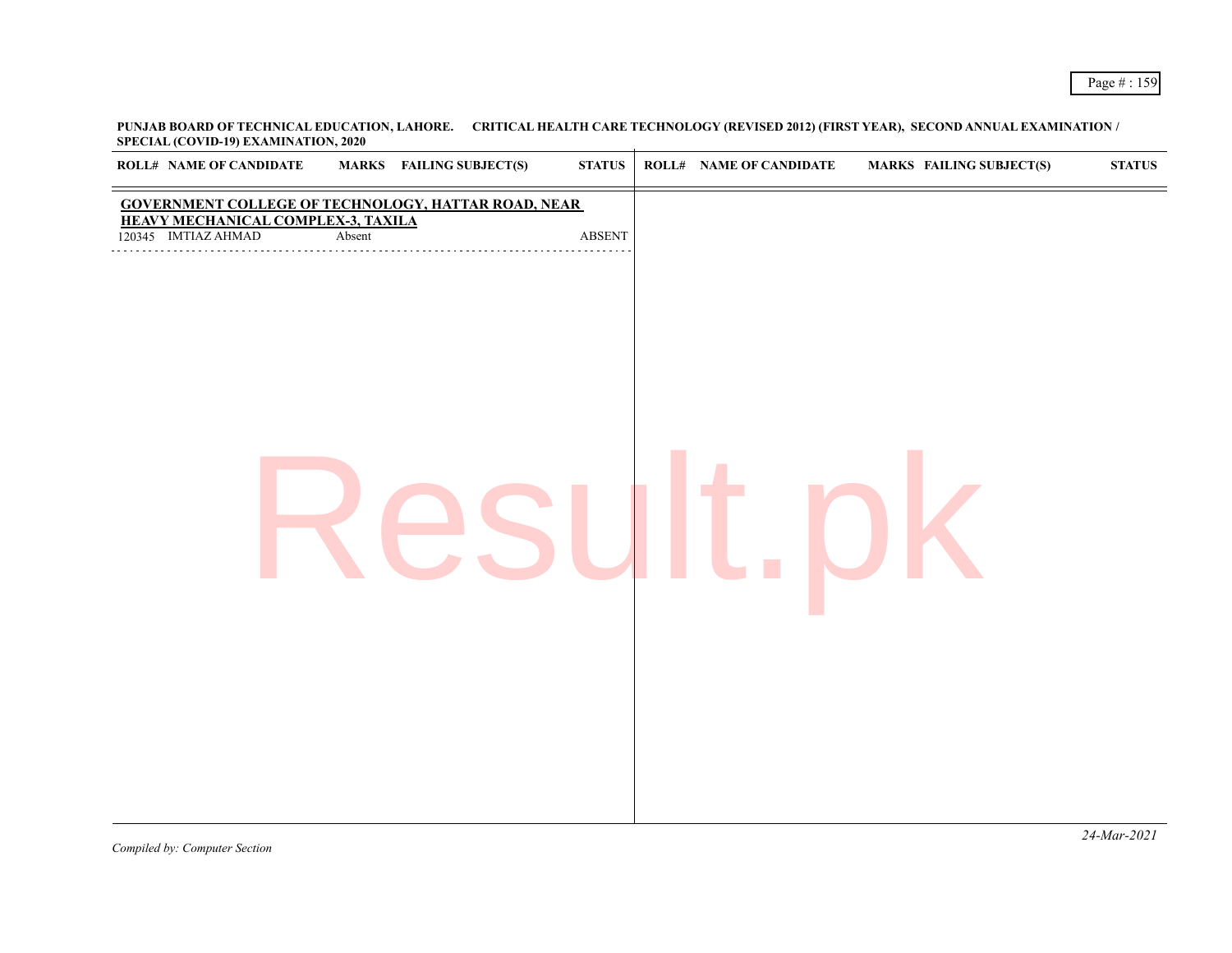| <b>ROLL# NAME OF CANDIDATE</b>                            | MARKS FAILING SUBJECT(S)                            | $\bold{STATUS}$         | <b>ROLL# NAME OF CANDIDATE</b> | <b>MARKS FAILING SUBJECT(S)</b> | <b>STATUS</b> |
|-----------------------------------------------------------|-----------------------------------------------------|-------------------------|--------------------------------|---------------------------------|---------------|
|                                                           | GOVERNMENT COLLEGE OF TECHNOLOGY, HATTAR ROAD, NEAR |                         |                                |                                 |               |
| HEAVY MECHANICAL COMPLEX-3, TAXILA<br>120345 IMTIAZ AHMAD | Absent                                              | $\operatorname{ABSENT}$ |                                |                                 |               |
|                                                           |                                                     |                         |                                |                                 |               |
|                                                           |                                                     |                         |                                |                                 |               |
|                                                           |                                                     |                         |                                |                                 |               |
|                                                           |                                                     |                         |                                |                                 |               |
|                                                           |                                                     |                         |                                |                                 |               |
|                                                           |                                                     |                         |                                |                                 |               |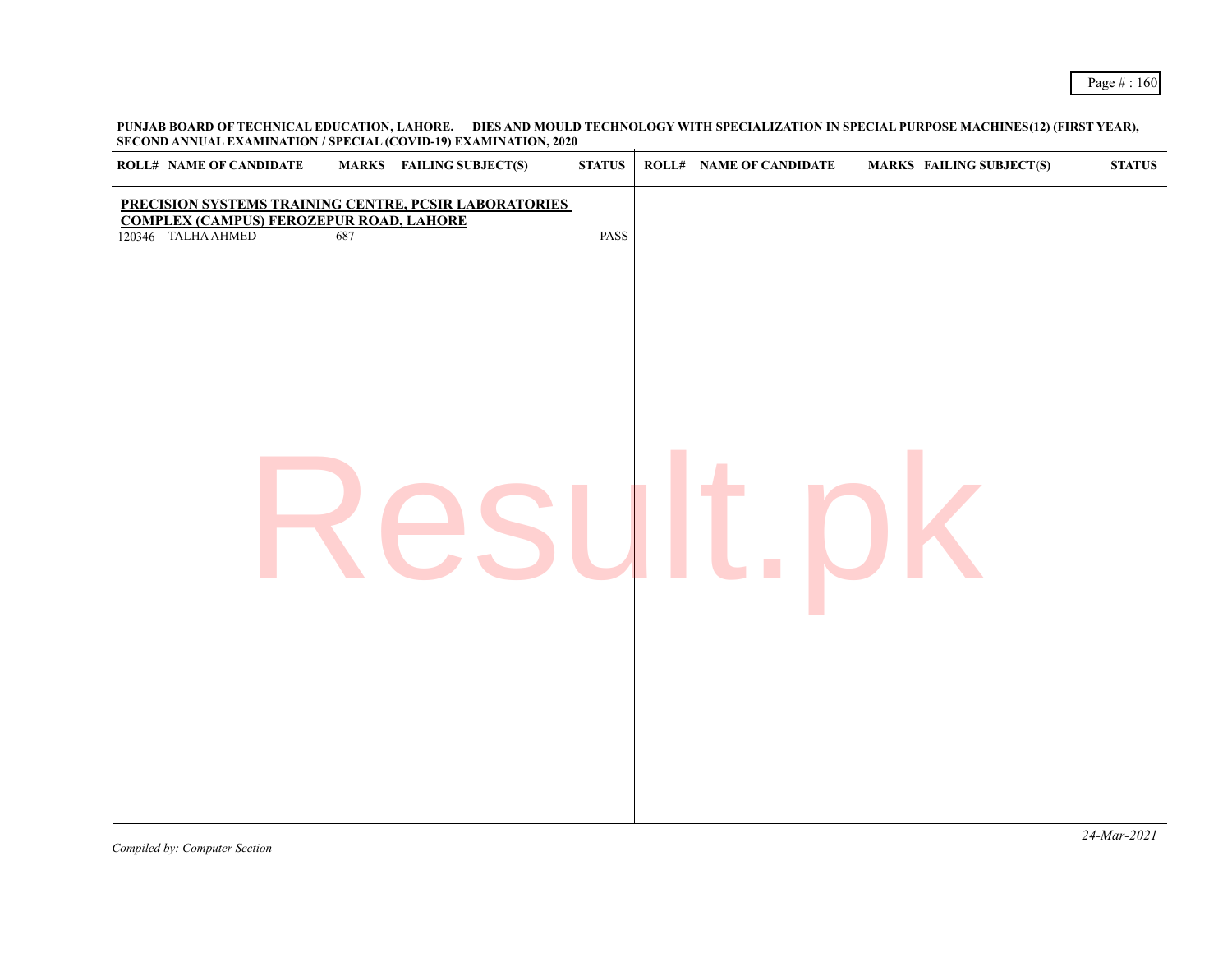**PUNJAB BOARD OF TECHNICAL EDUCATION, LAHORE. DIES AND MOULD TECHNOLOGY WITH SPECIALIZATION IN SPECIAL PURPOSE MACHINES(12) (FIRST YEAR), SECOND ANNUAL EXAMINATION / SPECIAL (COVID-19) EXAMINATION, 2020**

| <b>ROLL# NAME OF CANDIDATE</b>                                                                          |     | $\sim$<br><b>MARKS</b> FAILING SUBJECT(S) | <b>STATUS</b> | <b>ROLL# NAME OF CANDIDATE</b> | <b>MARKS FAILING SUBJECT(S)</b> | $\bold{STATUS}$ |
|---------------------------------------------------------------------------------------------------------|-----|-------------------------------------------|---------------|--------------------------------|---------------------------------|-----------------|
|                                                                                                         |     |                                           |               |                                |                                 |                 |
| PRECISION SYSTEMS TRAINING CENTRE, PCSIR LABORATORIES<br><b>COMPLEX (CAMPUS) FEROZEPUR ROAD, LAHORE</b> |     |                                           |               |                                |                                 |                 |
| 120346 TALHA AHMED                                                                                      | 687 |                                           | PASS          |                                |                                 |                 |
|                                                                                                         |     |                                           |               |                                |                                 |                 |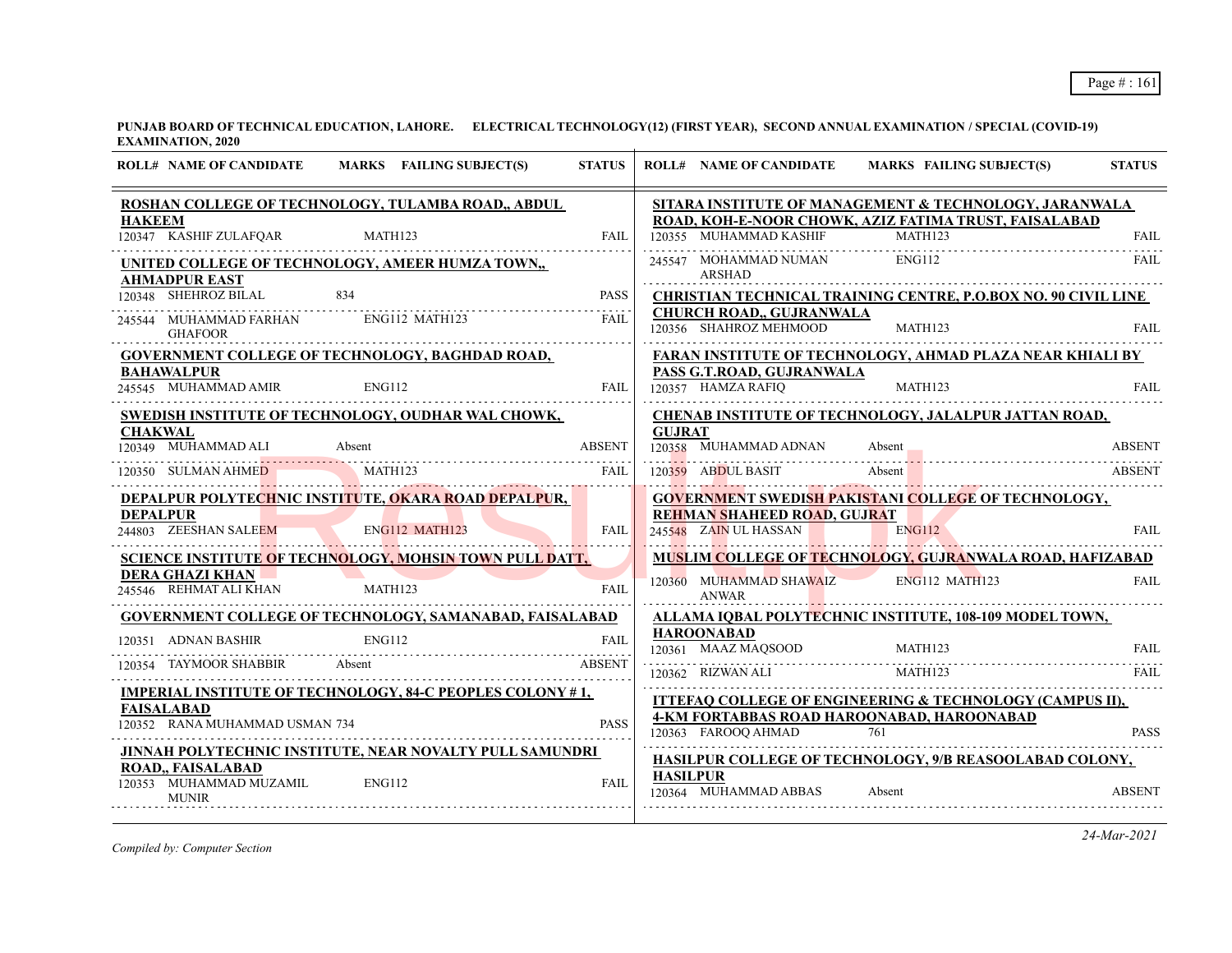| <b>ROLL# NAME OF CANDIDATE</b>                                      | MARKS FAILING SUBJECT(S)                                         | <b>STATUS</b> |                   | <b>ROLL# NAME OF CANDIDATE</b>                              | <b>MARKS FAILING SUBJECT(S)</b>                                                                                                | <b>STATUS</b> |
|---------------------------------------------------------------------|------------------------------------------------------------------|---------------|-------------------|-------------------------------------------------------------|--------------------------------------------------------------------------------------------------------------------------------|---------------|
| <b>HAKEEM</b>                                                       | ROSHAN COLLEGE OF TECHNOLOGY, TULAMBA ROAD,, ABDUL               |               |                   |                                                             | SITARA INSTITUTE OF MANAGEMENT & TECHNOLOGY, JARANWALA<br>ROAD, KOH-E-NOOR CHOWK, AZIZ FATIMA TRUST, FAISALABAD                |               |
| 120347 KASHIF ZULAFQAR                                              | MATH123                                                          | <b>FAIL</b>   |                   |                                                             | T20355 MUHAMMAD KASHIF MATH123 FAIL FAIL                                                                                       |               |
| <b>AHMADPUR EAST</b>                                                | UNITED COLLEGE OF TECHNOLOGY, AMEER HUMZA TOWN,                  |               |                   | 245547 MOHAMMAD NUMAN<br><b>ARSHAD</b>                      | ENG112                                                                                                                         | FAIL          |
| 120348 SHEHROZ BILAL                                                | 834                                                              | <b>PASS</b>   |                   |                                                             | <b>CHRISTIAN TECHNICAL TRAINING CENTRE, P.O.BOX NO. 90 CIVIL LINE</b>                                                          |               |
| 245544 MUHAMMAD FARHAN ENG112 MATH123<br><b>GHAFOOR</b>             |                                                                  | <b>FAIL</b>   |                   | <b>CHURCH ROAD,, GUJRANWALA</b><br>120356 SHAHROZ MEHMOOD   | MATH123                                                                                                                        | FAII.         |
|                                                                     | <b>GOVERNMENT COLLEGE OF TECHNOLOGY, BAGHDAD ROAD,</b>           |               |                   |                                                             | <b>FARAN INSTITUTE OF TECHNOLOGY, AHMAD PLAZA NEAR KHIALI BY</b>                                                               |               |
| <b>BAHAWALPUR</b><br>245545 MUHAMMAD AMIR                           | <b>ENG112</b>                                                    | <b>FAIL</b>   |                   | PASS G.T.ROAD, GUJRANWALA<br>120357 HAMZA RAFIO             | MATH123                                                                                                                        | FAII.         |
|                                                                     | SWEDISH INSTITUTE OF TECHNOLOGY, OUDHAR WAL CHOWK,               |               |                   |                                                             | <b>CHENAB INSTITUTE OF TECHNOLOGY, JALALPUR JATTAN ROAD,</b>                                                                   |               |
| <b>CHAKWAL</b>                                                      |                                                                  | <b>ABSENT</b> | <b>GUJRAT</b>     | 120358 MUHAMMAD ADNAN Absent                                |                                                                                                                                | <b>ABSENT</b> |
| 120350 SULMAN AHMED MATH123                                         |                                                                  | <b>FAIL</b>   |                   | 120359 ABDUL BASIT Absent                                   | 120359 ABDUL BASIT Absent Absent ABSENT                                                                                        |               |
|                                                                     | DEPALPUR POLYTECHNIC INSTITUTE, OKARA ROAD DEPALPUR,             |               |                   |                                                             | <b>GOVERNMENT SWEDISH PAKISTANI COLLEGE OF TECHNOLOGY,</b>                                                                     |               |
| <b>DEPALPUR</b><br>244803 ZEESHAN SALEEM                            | ENG112 MATH123                                                   | <b>FAIL</b>   |                   | <b>REHMAN SHAHEED ROAD, GUJRAT</b><br>245548 ZAIN UL HASSAN | <b>ENG112</b>                                                                                                                  | FAII.         |
|                                                                     | SCIENCE INSTITUTE OF TECHNOLOGY, MOHSIN TOWN PULL DATT,          |               |                   |                                                             | MUSLIM COLLEGE OF TECHNOLOGY, GUJRANWALA ROAD, HAFIZABAD                                                                       |               |
| <b>DERA GHAZI KHAN</b><br>245546 REHMAT ALI KHAN                    | MATH123                                                          | FAIL          |                   | 120360 MUHAMMAD SHAWAIZ<br>ANWAR                            | ENG112 MATH123                                                                                                                 | <b>FAIL</b>   |
|                                                                     | <b>GOVERNMENT COLLEGE OF TECHNOLOGY, SAMANABAD, FAISALABAD</b>   |               |                   |                                                             | <b>ALLAMA IQBAL POLYTECHNIC INSTITUTE, 108-109 MODEL TOWN,</b>                                                                 |               |
| 120351 ADNAN BASHIR                                                 | 0351 ADNAN BASHIR ENGI12 FAIL                                    |               | <b>HAROONABAD</b> |                                                             |                                                                                                                                |               |
|                                                                     | 120354 TAYMOOR SHABBIR Absent ABSENT ABSENT ABSENT               |               |                   | 120362 RIZWAN ALI MATH123                                   | $\begin{tabular}{l c c c c} \hline $120361$ & \textbf{MAZ MAQSOOD} & \textbf{MATH123} & \textbf{FAIL} \\ \hline \end{tabular}$ | FAII.         |
|                                                                     | <b>IMPERIAL INSTITUTE OF TECHNOLOGY, 84-C PEOPLES COLONY #1,</b> |               |                   |                                                             |                                                                                                                                |               |
| <b>FAISALABAD</b><br>120352 RANA MUHAMMAD USMAN 734                 |                                                                  | <b>PASS</b>   |                   |                                                             | <b>ITTEFAQ COLLEGE OF ENGINEERING &amp; TECHNOLOGY (CAMPUS II),</b><br>4-KM FORTABBAS ROAD HAROONABAD, HAROONABAD<br>761       |               |
|                                                                     | JINNAH POLYTECHNIC INSTITUTE, NEAR NOVALTY PULL SAMUNDRI         |               |                   | 120363 FAROOQ AHMAD                                         |                                                                                                                                | <b>PASS</b>   |
| <b>ROAD., FAISALABAD</b><br>120353 MUHAMMAD MUZAMIL<br><b>MUNIR</b> | ENG112                                                           | <b>FAIL</b>   | <b>HASILPUR</b>   | 120364 MUHAMMAD ABBAS                                       | <b>HASILPUR COLLEGE OF TECHNOLOGY, 9/B REASOOLABAD COLONY,</b><br>Absent                                                       | <b>ABSENT</b> |
|                                                                     |                                                                  |               |                   |                                                             |                                                                                                                                |               |

*Compiled by: Computer Section*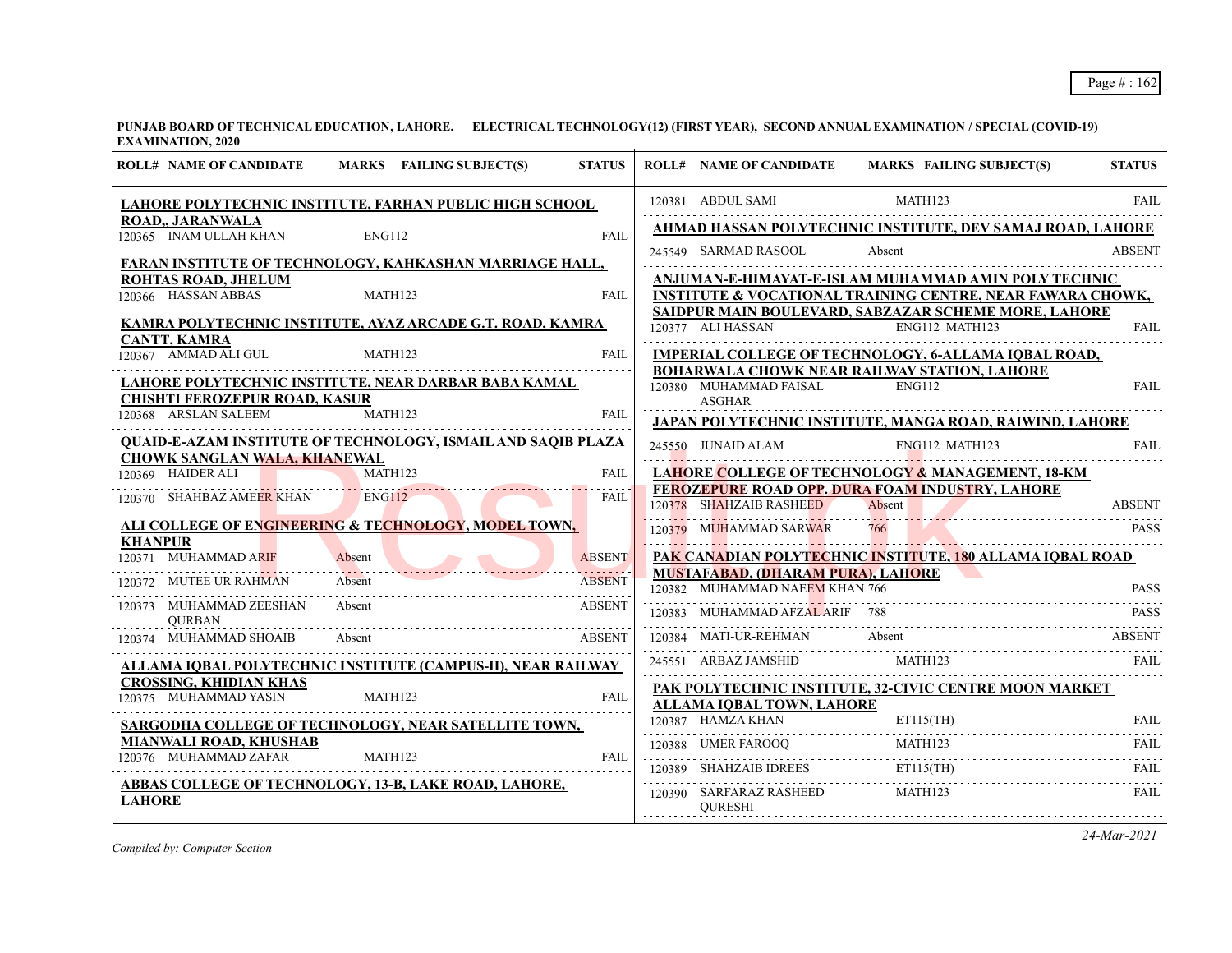| <b>ROLL# NAME OF CANDIDATE</b>                               | MARKS FAILING SUBJECT(S)                                            | <b>STATUS</b>           | <b>ROLL# NAME OF CANDIDATE</b>                                             | <b>MARKS FAILING SUBJECT(S)</b>                                                                                                                                                                                                                                                                                                                                                                                                                                                        | <b>STATUS</b> |
|--------------------------------------------------------------|---------------------------------------------------------------------|-------------------------|----------------------------------------------------------------------------|----------------------------------------------------------------------------------------------------------------------------------------------------------------------------------------------------------------------------------------------------------------------------------------------------------------------------------------------------------------------------------------------------------------------------------------------------------------------------------------|---------------|
|                                                              | LAHORE POLYTECHNIC INSTITUTE, FARHAN PUBLIC HIGH SCHOOL             |                         | 120381 ABDUL SAMI                                                          | MATH123                                                                                                                                                                                                                                                                                                                                                                                                                                                                                | <b>FAIL</b>   |
| <b>ROAD., JARANWALA</b><br>120365 INAM ULLAH KHAN            | ENG112                                                              | <b>FAIL</b>             |                                                                            | AHMAD HASSAN POLYTECHNIC INSTITUTE, DEV SAMAJ ROAD, LAHORE                                                                                                                                                                                                                                                                                                                                                                                                                             |               |
|                                                              | FARAN INSTITUTE OF TECHNOLOGY, KAHKASHAN MARRIAGE HALL,             |                         | 245549 SARMAD RASOOL                                                       | Absent                                                                                                                                                                                                                                                                                                                                                                                                                                                                                 | <b>ABSENT</b> |
| ROHTAS ROAD, JHELUM                                          |                                                                     |                         |                                                                            | ANJUMAN-E-HIMAYAT-E-ISLAM MUHAMMAD AMIN POLY TECHNIC                                                                                                                                                                                                                                                                                                                                                                                                                                   |               |
| 120366 HASSAN ABBAS                                          | MATH123                                                             | <b>FAIL</b>             |                                                                            | <b>INSTITUTE &amp; VOCATIONAL TRAINING CENTRE, NEAR FAWARA CHOWK,</b><br>SAIDPUR MAIN BOULEVARD, SABZAZAR SCHEME MORE, LAHORE                                                                                                                                                                                                                                                                                                                                                          |               |
| <b>CANTT, KAMRA</b>                                          | KAMRA POLYTECHNIC INSTITUTE, AYAZ ARCADE G.T. ROAD, KAMRA           |                         | 120377 ALI HASSAN                                                          | ENG112 MATH123                                                                                                                                                                                                                                                                                                                                                                                                                                                                         | FAIL          |
| 120367 AMMAD ALI GUL                                         | MATH123                                                             | FAIL                    |                                                                            | <b>IMPERIAL COLLEGE OF TECHNOLOGY, 6-ALLAMA IQBAL ROAD,</b>                                                                                                                                                                                                                                                                                                                                                                                                                            |               |
|                                                              | LAHORE POLYTECHNIC INSTITUTE, NEAR DARBAR BABA KAMAL                |                         | 120380 MUHAMMAD FAISAL                                                     | <b>BOHARWALA CHOWK NEAR RAILWAY STATION, LAHORE</b><br><b>ENG112</b>                                                                                                                                                                                                                                                                                                                                                                                                                   | <b>FAIL</b>   |
| <b>CHISHTI FEROZEPUR ROAD, KASUR</b><br>120368 ARSLAN SALEEM | MATH123                                                             | <b>FAIL</b>             | <b>ASGHAR</b>                                                              |                                                                                                                                                                                                                                                                                                                                                                                                                                                                                        |               |
|                                                              | <b>QUAID-E-AZAM INSTITUTE OF TECHNOLOGY, ISMAIL AND SAQIB PLAZA</b> |                         |                                                                            | <b>JAPAN POLYTECHNIC INSTITUTE, MANGA ROAD, RAIWIND, LAHORE</b>                                                                                                                                                                                                                                                                                                                                                                                                                        |               |
| <b>CHOWK SANGLAN WALA, KHANEWAL</b>                          |                                                                     |                         | 245550 JUNAID ALAM                                                         | ENG112 MATH123                                                                                                                                                                                                                                                                                                                                                                                                                                                                         | <b>FAIL</b>   |
| 120369 HAIDER ALI                                            | MATH123                                                             | <b>FAIL</b><br><u>.</u> |                                                                            | <b>LAHORE COLLEGE OF TECHNOLOGY &amp; MANAGEMENT, 18-KM</b><br>FEROZEPURE ROAD OPP. DURA FOAM INDUSTRY, LAHORE                                                                                                                                                                                                                                                                                                                                                                         |               |
| 120370 SHAHBAZ AMEER KHAN                                    | <b>ENG112</b>                                                       | <b>FAIL</b>             | 120378 SHAHZAIB RASHEED                                                    | Absent                                                                                                                                                                                                                                                                                                                                                                                                                                                                                 | <b>ABSENT</b> |
| <b>KHANPUR</b>                                               | ALI COLLEGE OF ENGINEERING & TECHNOLOGY, MODEL TOWN,                |                         | 120379 MUHAMMAD SARWAR                                                     | 120379 MUHAMMAD SARWAR 766 PASS                                                                                                                                                                                                                                                                                                                                                                                                                                                        | <b>PASS</b>   |
| 120371 MUHAMMAD ARIF                                         | Absent                                                              | <b>ABSENT</b>           |                                                                            | PAK CANADIAN POLYTECHNIC INSTITUTE, 180 ALLAMA IQBAL ROAD                                                                                                                                                                                                                                                                                                                                                                                                                              |               |
| 120372 MUTEE UR RAHMAN                                       | Absent                                                              | <b>ABSENT</b>           | <b>MUSTAFABAD, (DHARAM PURA), LAHORE</b><br>120382 MUHAMMAD NAEEM KHAN 766 |                                                                                                                                                                                                                                                                                                                                                                                                                                                                                        | <b>PASS</b>   |
| 120373 MUHAMMAD ZEESHAN<br><b>OURBAN</b>                     | Absent                                                              | .<br><b>ABSENT</b>      | 120383 MUHAMMAD AFZAL ARIF 788                                             |                                                                                                                                                                                                                                                                                                                                                                                                                                                                                        | <b>PASS</b>   |
| 120374 MUHAMMAD SHOAIB                                       | Absent                                                              | ABSENT                  | 120384 MATI-UR-REHMAN                                                      | Absent                                                                                                                                                                                                                                                                                                                                                                                                                                                                                 | <b>ABSENT</b> |
|                                                              | ALLAMA IQBAL POLYTECHNIC INSTITUTE (CAMPUS-II), NEAR RAILWAY        |                         | 245551 ARBAZ JAMSHID                                                       | MATH123                                                                                                                                                                                                                                                                                                                                                                                                                                                                                | FAIL          |
| <b>CROSSING, KHIDIAN KHAS</b><br>120375 MUHAMMAD YASIN       | MATH123                                                             | FAIL                    |                                                                            | PAK POLYTECHNIC INSTITUTE, 32-CIVIC CENTRE MOON MARKET                                                                                                                                                                                                                                                                                                                                                                                                                                 |               |
|                                                              | SARGODHA COLLEGE OF TECHNOLOGY, NEAR SATELLITE TOWN,                |                         | ALLAMA IOBAL TOWN, LAHORE                                                  | $\fbox{0.387} \begin{tabular}{l} \hline \textbf{HAMZA KHAN} \end{tabular} \begin{tabular}{l} \multicolumn{2}{c} {\bf{ET115(TH)}} \end{tabular} \begin{tabular}{l} \multicolumn{2}{c} {\bf{FAL}} \end{tabular} \begin{tabular}{l} \multicolumn{2}{c} {\bf{FAL}} \end{tabular} \end{tabular} \begin{tabular}{l} \multicolumn{2}{c} {\bf{FAL}} \end{tabular} \begin{tabular}{l} \multicolumn{2}{c} {\bf{FAL}} \end{tabular} \end{tabular} \begin{tabular}{l} \multicolumn{2}{c} {\bf{FAL$ |               |
| <b>MIANWALI ROAD, KHUSHAB</b>                                |                                                                     |                         |                                                                            | MATH123                                                                                                                                                                                                                                                                                                                                                                                                                                                                                | FAIL.         |
| 120376 MUHAMMAD ZAFAR                                        | MATH123                                                             | <b>FAIL</b>             | 120388 UMER FAROOQ                                                         | $ET115$ (TH)<br>$120389 \quad \text{SHAHZAIB IDEES} \qquad \qquad \text{ETH} \qquad \qquad \text{FAIL}$                                                                                                                                                                                                                                                                                                                                                                                |               |
| <b>LAHORE</b>                                                | <b>ABBAS COLLEGE OF TECHNOLOGY, 13-B, LAKE ROAD, LAHORE,</b>        |                         | 120390 SARFARAZ RASHEED<br><b>OURESHI</b>                                  | MATH123                                                                                                                                                                                                                                                                                                                                                                                                                                                                                | FAIL          |
|                                                              |                                                                     |                         |                                                                            |                                                                                                                                                                                                                                                                                                                                                                                                                                                                                        |               |

*Compiled by: Computer Section*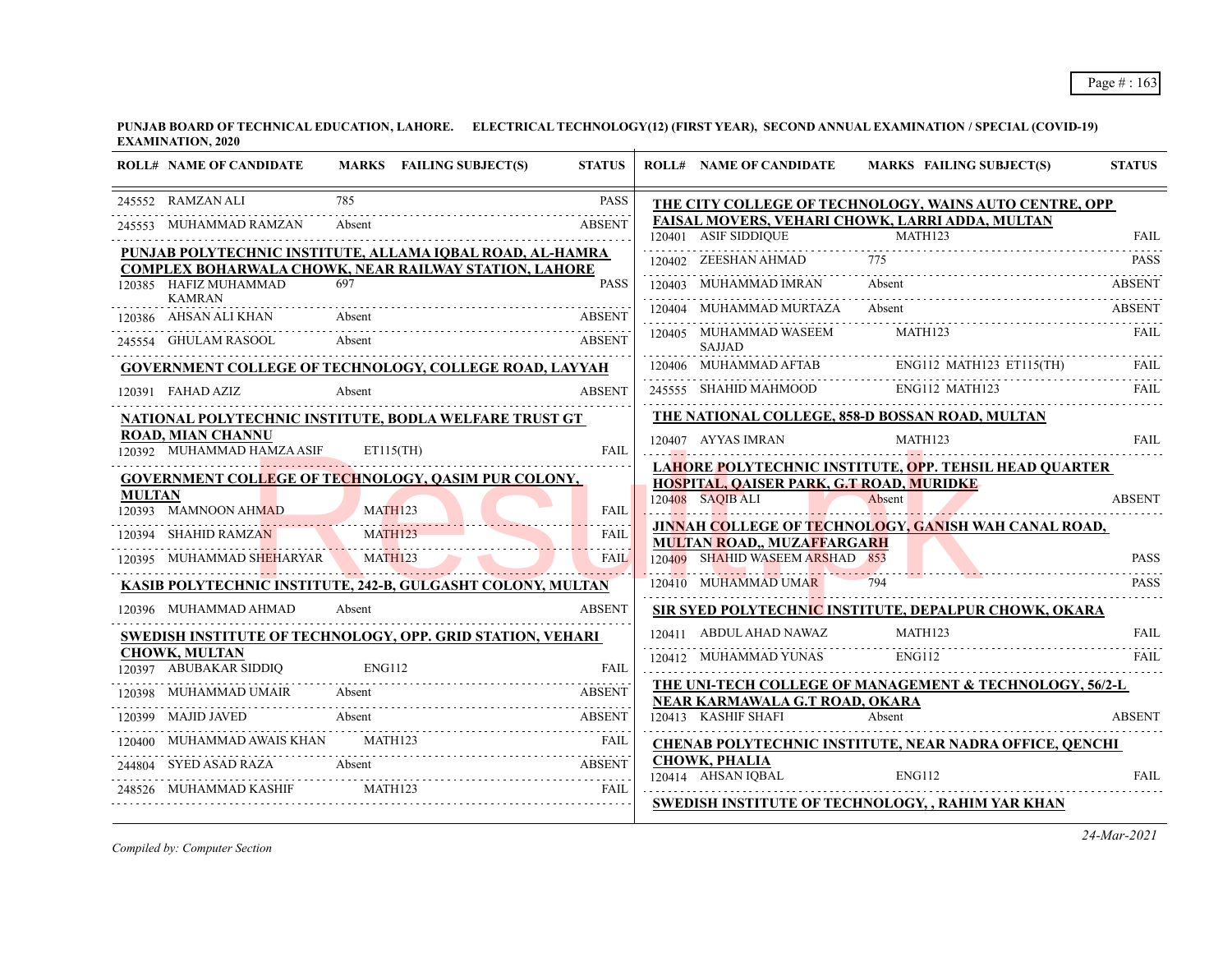|               | <b>ROLL# NAME OF CANDIDATE</b>                         |                | MARKS FAILING SUBJECT(S)                                      | <b>STATUS</b> | <b>ROLL# NAME OF CANDIDATE</b>                                | MARKS FAILING SUBJECT(S)                                                                                                                                                                                                                                                                                                                                                                                                            | <b>STATUS</b> |
|---------------|--------------------------------------------------------|----------------|---------------------------------------------------------------|---------------|---------------------------------------------------------------|-------------------------------------------------------------------------------------------------------------------------------------------------------------------------------------------------------------------------------------------------------------------------------------------------------------------------------------------------------------------------------------------------------------------------------------|---------------|
|               | 245552 RAMZAN ALI                                      | 785            |                                                               | <b>PASS</b>   |                                                               | THE CITY COLLEGE OF TECHNOLOGY, WAINS AUTO CENTRE, OPP                                                                                                                                                                                                                                                                                                                                                                              |               |
|               | 245553 MUHAMMAD RAMZAN                                 | Absent         |                                                               | <b>ABSENT</b> |                                                               | FAISAL MOVERS, VEHARI CHOWK, LARRI ADDA, MULTAN                                                                                                                                                                                                                                                                                                                                                                                     |               |
|               |                                                        |                | PUNJAB POLYTECHNIC INSTITUTE, ALLAMA IQBAL ROAD, AL-HAMRA     |               | 120401 ASIF SIDDIQUE                                          | <b>MATH123</b>                                                                                                                                                                                                                                                                                                                                                                                                                      | <b>FAIL</b>   |
|               |                                                        |                | <b>COMPLEX BOHARWALA CHOWK, NEAR RAILWAY STATION, LAHORE</b>  |               | 120402 ZEESHAN AHMAD                                          |                                                                                                                                                                                                                                                                                                                                                                                                                                     | <b>PASS</b>   |
|               | 120385 HAFIZ MUHAMMAD                                  | 697            |                                                               | <b>PASS</b>   | 120403 MUHAMMAD IMRAN                                         | Absent                                                                                                                                                                                                                                                                                                                                                                                                                              | <b>ABSENT</b> |
|               | <b>KAMRAN</b><br>120386 AHSAN ALI KHAN                 | Absent         |                                                               | <b>ABSENT</b> | 120404 MUHAMMAD MURTAZA Absent                                |                                                                                                                                                                                                                                                                                                                                                                                                                                     | <b>ABSENT</b> |
|               | 245554 GHULAM RASOOL                                   | Absent         |                                                               | <b>ABSENT</b> | 120405 MUHAMMAD WASEEM<br><b>SAJJAD</b>                       | MATH123                                                                                                                                                                                                                                                                                                                                                                                                                             | <b>FAIL</b>   |
|               |                                                        |                | <b>GOVERNMENT COLLEGE OF TECHNOLOGY, COLLEGE ROAD, LAYYAH</b> |               |                                                               | $\begin{tabular}{lllllllllllll} \hline 120406 & \multicolumn{3}{l}{{\bf M}1123 & \multicolumn{3}{l}{{\bf E}113}\xspace} & \multicolumn{3}{l}{{\bf F}113}\xspace & \multicolumn{3}{l}{{\bf F}113}\xspace & \multicolumn{3}{l}{{\bf F}113}\xspace & \multicolumn{3}{l}{{\bf F}113}\xspace & \multicolumn{3}{l}{{\bf F}113}\xspace & \multicolumn{3}{l}{{\bf F}113}\xspace & \multicolumn{3}{l}{{\bf F}113}\xspace & \multicolumn{3}{$ |               |
|               | 120391 FAHAD AZIZ                                      | Absent         |                                                               | <b>ABSENT</b> |                                                               |                                                                                                                                                                                                                                                                                                                                                                                                                                     |               |
|               |                                                        |                | NATIONAL POLYTECHNIC INSTITUTE, BODLA WELFARE TRUST GT        |               |                                                               | THE NATIONAL COLLEGE, 858-D BOSSAN ROAD, MULTAN                                                                                                                                                                                                                                                                                                                                                                                     |               |
|               | <b>ROAD, MIAN CHANNU</b><br>120392 MUHAMMAD HAMZA ASIF | ET115(TH)      |                                                               | <b>FAIL</b>   | 120407 AYYAS IMRAN                                            | MATH123                                                                                                                                                                                                                                                                                                                                                                                                                             | <b>FAIL</b>   |
|               |                                                        |                |                                                               |               |                                                               | <b>LAHORE POLYTECHNIC INSTITUTE, OPP. TEHSIL HEAD QUARTER</b>                                                                                                                                                                                                                                                                                                                                                                       |               |
| <b>MULTAN</b> |                                                        |                | GOVERNMENT COLLEGE OF TECHNOLOGY, QASIM PUR COLONY,           |               | HOSPITAL, OAISER PARK, G.T ROAD, MURIDKE                      |                                                                                                                                                                                                                                                                                                                                                                                                                                     |               |
|               | 120393 MAMNOON AHMAD                                   | MATH123        |                                                               | <b>FAIL</b>   | 120408 SAOIB ALI                                              | Absent                                                                                                                                                                                                                                                                                                                                                                                                                              | <b>ABSENT</b> |
|               | 120394 SHAHID RAMZAN<br>HAHID RAMZAN MATH123           | <b>MATH123</b> |                                                               | <b>FAIL</b>   |                                                               | JINNAH COLLEGE OF TECHNOLOGY, GANISH WAH CANAL ROAD,                                                                                                                                                                                                                                                                                                                                                                                |               |
|               | 120395 MUHAMMAD SHEHARYAR MATH123                      |                |                                                               | <b>FAIL</b>   | MULTAN ROAD,, MUZAFFARGARH<br>120409 SHAHID WASEEM ARSHAD 853 |                                                                                                                                                                                                                                                                                                                                                                                                                                     | <b>PASS</b>   |
|               |                                                        |                | KASIB POLYTECHNIC INSTITUTE, 242-B, GULGASHT COLONY, MULTAN   |               | 120410 MUHAMMAD UMAR                                          | 794                                                                                                                                                                                                                                                                                                                                                                                                                                 | <b>PASS</b>   |
|               | 120396 MUHAMMAD AHMAD                                  | Absent         |                                                               | ABSENT        |                                                               | SIR SYE <u>D POLYTECHNIC INSTITUTE, DEPALPUR CHOWK, OKARA</u>                                                                                                                                                                                                                                                                                                                                                                       |               |
|               |                                                        |                | SWEDISH INSTITUTE OF TECHNOLOGY, OPP. GRID STATION, VEHARI    |               | 120411     ABDUL AHAD NAWAZ                                   | MATH123                                                                                                                                                                                                                                                                                                                                                                                                                             | <b>FAIL</b>   |
|               | <b>CHOWK, MULTAN</b>                                   |                |                                                               |               | 120412 MUHAMMAD YUNAS                                         | ENG112                                                                                                                                                                                                                                                                                                                                                                                                                              | FAIL          |
|               | 120397 ABUBAKAR SIDDIQ                                 | ENG112         |                                                               | <b>FAIL</b>   |                                                               | THE UNI-TECH COLLEGE OF MANAGEMENT & TECHNOLOGY, 56/2-L                                                                                                                                                                                                                                                                                                                                                                             |               |
|               | 120398 MUHAMMAD UMAIR                                  | Absent         |                                                               | ABSENT        | NEAR KARMAWALA G.T ROAD, OKARA                                |                                                                                                                                                                                                                                                                                                                                                                                                                                     |               |
|               | 120399 MAJID JAVED<br>Absent                           |                |                                                               | <b>ABSENT</b> | 120413 KASHIF SHAFI                                           | Absent                                                                                                                                                                                                                                                                                                                                                                                                                              | <b>ABSENT</b> |
|               | 120400 MUHAMMAD AWAIS KHAN                             | MATH123        |                                                               | <b>FAIL</b>   |                                                               | <b>CHENAB POLYTECHNIC INSTITUTE, NEAR NADRA OFFICE, QENCHI</b>                                                                                                                                                                                                                                                                                                                                                                      |               |
|               |                                                        |                | 244804 SYED ASAD RAZA Absent ABSENT                           |               | <b>CHOWK, PHALIA</b><br>120414 AHSAN IOBAL                    | ENG112                                                                                                                                                                                                                                                                                                                                                                                                                              | <b>FAIL</b>   |
|               | 248526 MUHAMMAD KASHIF                                 | MATH123        |                                                               | <b>FAIL</b>   |                                                               |                                                                                                                                                                                                                                                                                                                                                                                                                                     |               |
|               |                                                        |                |                                                               |               |                                                               | SWEDISH INSTITUTE OF TECHNOLOGY, , RAHIM YAR KHAN                                                                                                                                                                                                                                                                                                                                                                                   |               |

*Compiled by: Computer Section*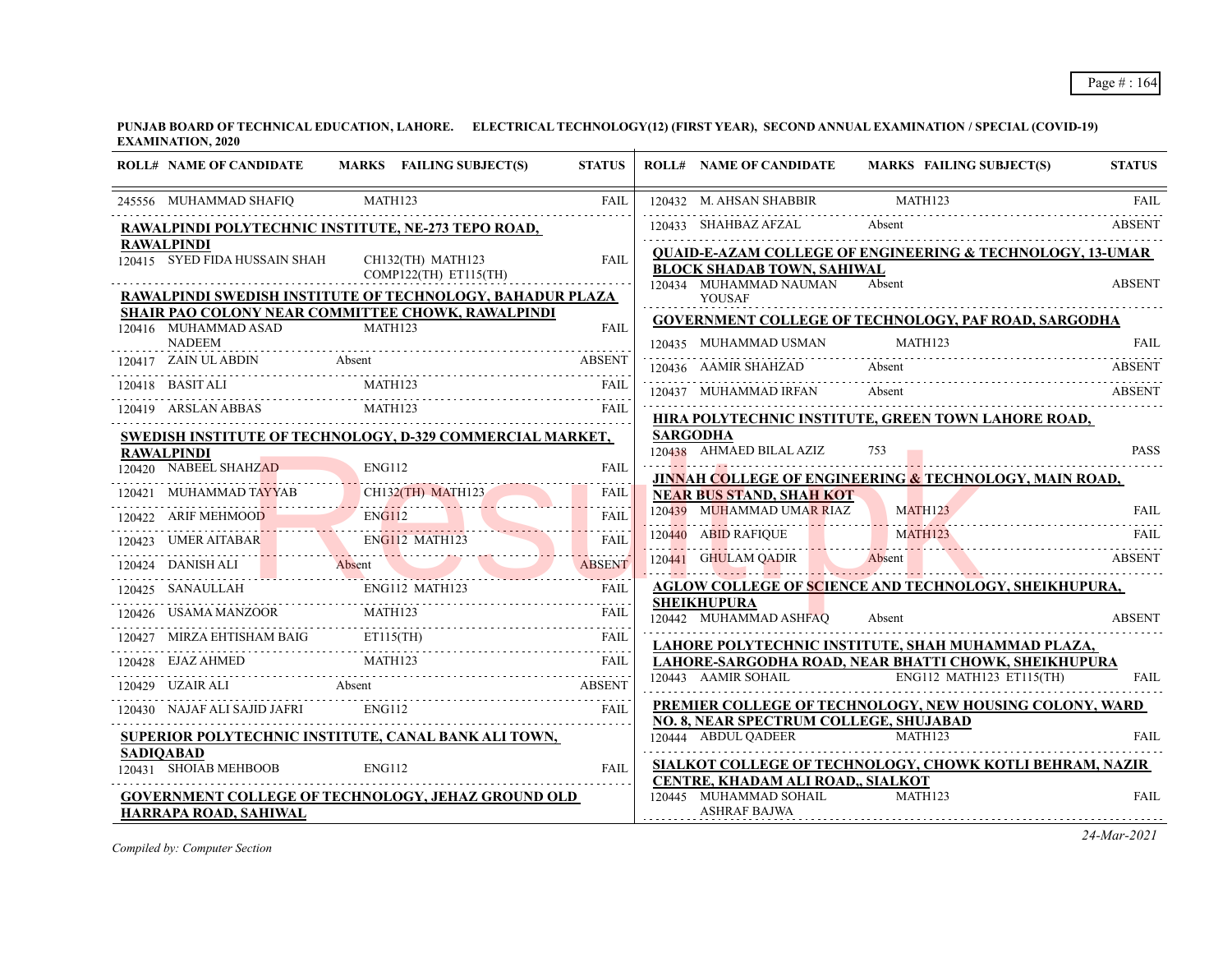| <b>ROLL# NAME OF CANDIDATE</b>                     | MARKS FAILING SUBJECT(S)                                                                                                                                                                                                                                                                                                                                                                                                                                                                      | <b>STATUS</b> | <b>ROLL# NAME OF CANDIDATE</b>                                                     | <b>MARKS FAILING SUBJECT(S)</b>                                                                                                         | <b>STATUS</b> |
|----------------------------------------------------|-----------------------------------------------------------------------------------------------------------------------------------------------------------------------------------------------------------------------------------------------------------------------------------------------------------------------------------------------------------------------------------------------------------------------------------------------------------------------------------------------|---------------|------------------------------------------------------------------------------------|-----------------------------------------------------------------------------------------------------------------------------------------|---------------|
| 245556 MUHAMMAD SHAFIQ                             | MATH123                                                                                                                                                                                                                                                                                                                                                                                                                                                                                       | <b>FAIL</b>   |                                                                                    | $\begin{tabular}{ccccc} 120432 & M. AHSAN SHABBIR & MATH123 & FAIL \\ \hline 120433 & SHAHBAZ AFZAL & Absent & ABSENT \\ \end{tabular}$ | <b>FAIL</b>   |
|                                                    | RAWALPINDI POLYTECHNIC INSTITUTE, NE-273 TEPO ROAD,                                                                                                                                                                                                                                                                                                                                                                                                                                           |               |                                                                                    | 120433 SHAHBAZ AFZAL Absent ABSENT                                                                                                      |               |
| <b>RAWALPINDI</b><br>120415 SYED FIDA HUSSAIN SHAH | CH132(TH) MATH123<br>COMP122(TH) ET115(TH)                                                                                                                                                                                                                                                                                                                                                                                                                                                    | <b>FAIL</b>   | <b>BLOCK SHADAB TOWN, SAHIWAL</b><br>120434 MUHAMMAD NAUMAN                        | <b>QUAID-E-AZAM COLLEGE OF ENGINEERING &amp; TECHNOLOGY, 13-UMAR</b><br>Absent                                                          |               |
|                                                    | RAWALPINDI SWEDISH INSTITUTE OF TECHNOLOGY, BAHADUR PLAZA                                                                                                                                                                                                                                                                                                                                                                                                                                     |               | <b>YOUSAF</b>                                                                      |                                                                                                                                         | <b>ABSENT</b> |
| 120416 MUHAMMAD ASAD                               | <b>SHAIR PAO COLONY NEAR COMMITTEE CHOWK, RAWALPINDI</b><br>MATH123                                                                                                                                                                                                                                                                                                                                                                                                                           | <b>FAIL</b>   |                                                                                    | <b>GOVERNMENT COLLEGE OF TECHNOLOGY, PAF ROAD, SARGODHA</b>                                                                             |               |
| <b>NADEEM</b>                                      |                                                                                                                                                                                                                                                                                                                                                                                                                                                                                               |               | 120435 MUHAMMAD USMAN                                                              | MATH123                                                                                                                                 | <b>FAIL</b>   |
|                                                    |                                                                                                                                                                                                                                                                                                                                                                                                                                                                                               |               | 120436 AAMIR SHAHZAD Absent                                                        |                                                                                                                                         | <b>ABSENT</b> |
|                                                    | $\begin{tabular}{c c c} \hline 120417 & ZAN ULABDN & Absent & ABSENT \\ \hline 120418 & BASIT ALI & MATH123 & FAIL \\ \hline 120419 & ARSLAN ABBAS & MATH123 & FAIL \\ \hline \end{tabular}$                                                                                                                                                                                                                                                                                                  |               | 120437 MUHAMMAD IRFAN Absent                                                       |                                                                                                                                         | ABSENT        |
|                                                    |                                                                                                                                                                                                                                                                                                                                                                                                                                                                                               |               |                                                                                    | HIRA POLYTECHNIC INSTITUTE, GREEN TOWN LAHORE ROAD,                                                                                     |               |
|                                                    | SWEDISH INSTITUTE OF TECHNOLOGY, D-329 COMMERCIAL MARKET,                                                                                                                                                                                                                                                                                                                                                                                                                                     |               | <b>SARGODHA</b>                                                                    |                                                                                                                                         |               |
| <b>RAWALPINDI</b>                                  | 120420 NABEEL SHAHZAD ENG112 FAIL                                                                                                                                                                                                                                                                                                                                                                                                                                                             |               | 120438 AHMAED BILAL AZIZ                                                           |                                                                                                                                         | <b>PASS</b>   |
|                                                    |                                                                                                                                                                                                                                                                                                                                                                                                                                                                                               |               | <b>NEAR BUS STAND, SHAH KOT</b>                                                    | JINNAH COLLEGE OF ENGINEERING & TECHNOLOGY, MAIN ROAD,                                                                                  |               |
|                                                    | $120421 \quad \text{MUHAMMAD TAYYAB} \quad \text{CH132(TH) MATH123} \quad \text{FAIL} \quad \text{FAIL} \quad \text{FAIL} \quad \text{FAIL} \quad \text{FAIL} \quad \text{FAIL} \quad \text{FAIL} \quad \text{FAIL} \quad \text{FAIL} \quad \text{FAIL} \quad \text{FAIL} \quad \text{FAIL} \quad \text{FAIL} \quad \text{FAIL} \quad \text{FAIL} \quad \text{FAIL} \quad \text{FAIL} \quad \text{FAIL} \quad \text{FAIL} \quad \text{FAIL} \quad \text{FAIL} \quad \text{FAIL} \quad \text{$ |               | 120439 MUHAMMAD UMAR RIAZ MATH123                                                  |                                                                                                                                         | <b>FAIL</b>   |
|                                                    | 120423 UMER AITABAR ENGLI2 MATHI23 FAIL                                                                                                                                                                                                                                                                                                                                                                                                                                                       |               |                                                                                    | 120440 ABID RAFIQUE MATH123 FAIL                                                                                                        |               |
|                                                    | 120424 DANISH ALI Absent ABSENT                                                                                                                                                                                                                                                                                                                                                                                                                                                               | <b>ABSENT</b> |                                                                                    | 120441 GHULAM QADIR Absent ABSENT                                                                                                       |               |
|                                                    |                                                                                                                                                                                                                                                                                                                                                                                                                                                                                               |               |                                                                                    | AGLOW COLLEGE OF SCIENCE AND TECHNOLOGY, SHEIKHUPURA,                                                                                   |               |
|                                                    | $\begin{tabular}{lllllllllll} \multicolumn{2}{l}{{\bf{120425}}}\quad{\bf{SANAULLAH}}\qquad\qquad {\bf{ENG112~MATH123}}\qquad\qquad {\bf{FAIL}}\\ \hline \multicolumn{2}{l}{\bf{120426~USAMA MANZOOR}}\qquad\qquad {\bf{MATH123}}\qquad\qquad {\bf{FAIL}}\\ \hline \end{tabular}$                                                                                                                                                                                                              |               | <b>SHEIKHUPURA</b><br>120442 MUHAMMAD ASHFAQ                                       | Absent                                                                                                                                  | <b>ABSENT</b> |
|                                                    | 120427 MIRZA EHTISHAM BAIG ETI15(TH) FAIL FAIL                                                                                                                                                                                                                                                                                                                                                                                                                                                |               |                                                                                    | LAHORE POLYTECHNIC INSTITUTE, SHAH MUHAMMAD PLAZA,                                                                                      |               |
|                                                    | 120428 EJAZ AHMED MATH123 FAIL AREA AHMED MATH123                                                                                                                                                                                                                                                                                                                                                                                                                                             |               |                                                                                    | LAHORE-SARGODHA ROAD, NEAR BHATTI CHOWK, SHEIKHUPURA                                                                                    |               |
|                                                    | 120429 UZAIR ALI Absent ABSENT                                                                                                                                                                                                                                                                                                                                                                                                                                                                |               | 120443 AAMIR SOHAIL                                                                | $ENG112$ MATH123 ET115(TH)                                                                                                              | <b>FAIL</b>   |
|                                                    | 120430 NAJAF ALI SAJID JAFRI ENGI12 FAIL FAIL FAIL                                                                                                                                                                                                                                                                                                                                                                                                                                            |               | NO. 8, NEAR SPECTRUM COLLEGE, SHUJABAD                                             | PREMIER COLLEGE OF TECHNOLOGY, NEW HOUSING COLONY, WARD                                                                                 |               |
|                                                    | SUPERIOR POLYTECHNIC INSTITUTE, CANAL BANK ALI TOWN,                                                                                                                                                                                                                                                                                                                                                                                                                                          |               | 120444 ABDUL QADEER                                                                | MATH123                                                                                                                                 | FAII.         |
| <b>SADIOABAD</b><br>120431 SHOIAB MEHBOOB          | ENG112                                                                                                                                                                                                                                                                                                                                                                                                                                                                                        | <b>FAIL</b>   |                                                                                    | SIALKOT COLLEGE OF TECHNOLOGY, CHOWK KOTLI BEHRAM, NAZIR                                                                                |               |
| HARRAPA ROAD, SAHIWAL                              | <b>GOVERNMENT COLLEGE OF TECHNOLOGY, JEHAZ GROUND OLD</b>                                                                                                                                                                                                                                                                                                                                                                                                                                     |               | CENTRE, KHADAM ALI ROAD., SIALKOT<br>120445 MUHAMMAD SOHAIL<br><b>ASHRAF BAJWA</b> | MATH123                                                                                                                                 | <b>FAIL</b>   |

*Compiled by: Computer Section*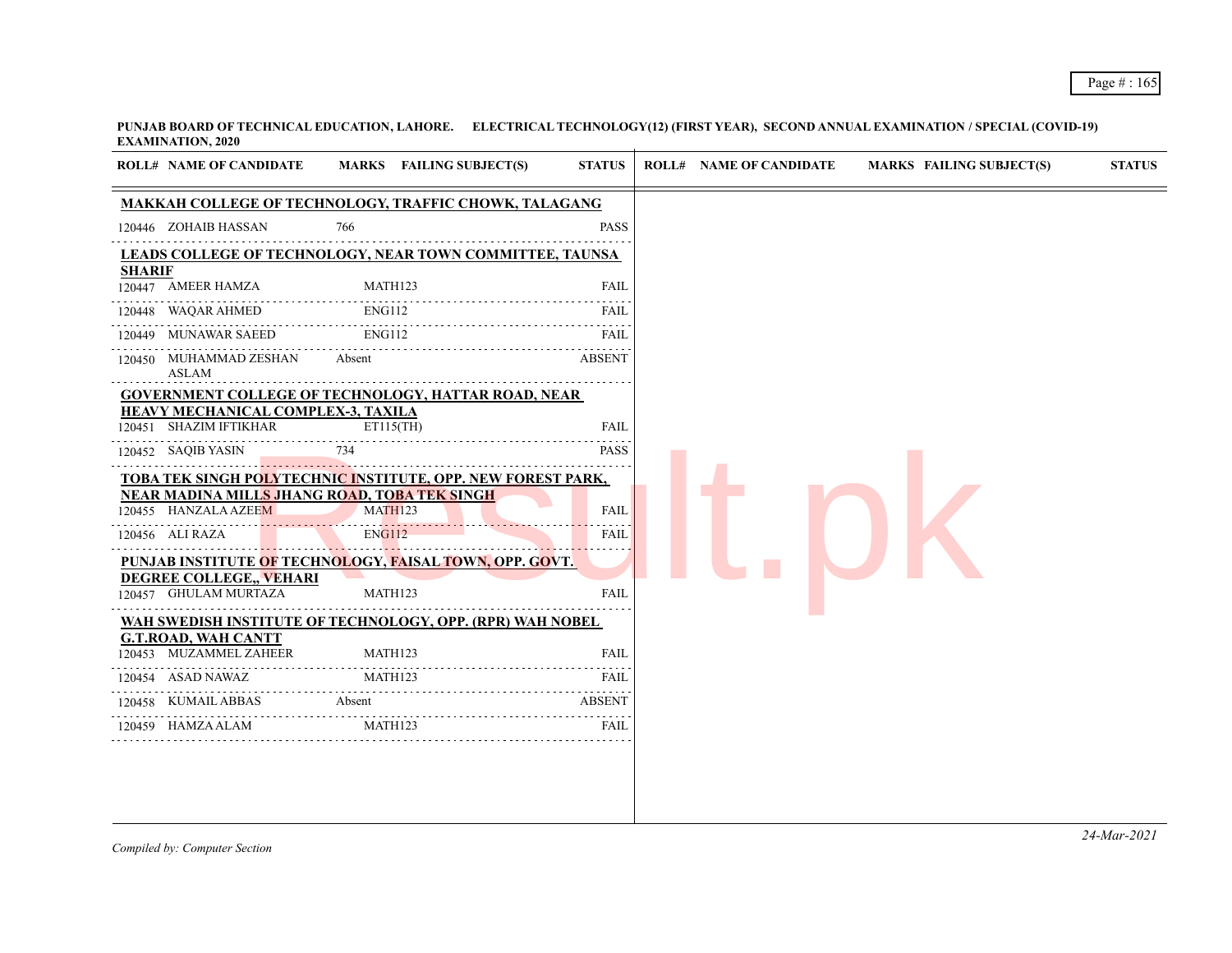|               | <b>ROLL# NAME OF CANDIDATE</b>                                      | MARKS FAILING SUBJECT(S)                                    | <b>STATUS</b> |
|---------------|---------------------------------------------------------------------|-------------------------------------------------------------|---------------|
|               |                                                                     | MAKKAH COLLEGE OF TECHNOLOGY, TRAFFIC CHOWK, TALAGANG       |               |
|               | 120446 ZOHAIB HASSAN                                                | 766                                                         | <b>PASS</b>   |
|               |                                                                     | LEADS COLLEGE OF TECHNOLOGY, NEAR TOWN COMMITTEE, TAUNSA    |               |
| <b>SHARIF</b> | 120447 AMEER HAMZA                                                  | MATH123                                                     | FAIL          |
|               | .<br>120448 WAQAR AHMED                                             | <b>ENG112</b>                                               | FAIL          |
|               | 120449 MUNAWAR SAEED                                                | ENG112                                                      | FAIL          |
|               | 120450 MUHAMMAD ZESHAN<br>ASLAM                                     | Absent                                                      | ABSENT        |
|               |                                                                     | <b>GOVERNMENT COLLEGE OF TECHNOLOGY, HATTAR ROAD, NEAR</b>  |               |
|               | <b>HEAVY MECHANICAL COMPLEX-3, TAXILA</b><br>120451 SHAZIM IFTIKHAR | ET115(TH)                                                   | <b>FAIL</b>   |
|               | 120452 SAQIB YASIN                                                  | 734                                                         | <b>PASS</b>   |
|               |                                                                     | TOBA TEK SINGH POLYTECHNIC INSTITUTE, OPP. NEW FOREST PARK, |               |
|               | 120455 HANZALA AZEEM                                                | NEAR MADINA MILLS JHANG ROAD, TOBA TEK SINGH<br>MATH123     | <b>FAIL</b>   |
|               | 120456 ALI RAZA                                                     | <b>ENG112</b>                                               | <b>FAIL</b>   |
|               |                                                                     | PUNJAB INSTITUTE OF TECHNOLOGY, FAISAL TOWN, OPP. GOVT.     |               |
|               | <b>DEGREE COLLEGE,, VEHARI</b>                                      |                                                             |               |
|               | 120457 GHULAM MURTAZA                                               | MATH123                                                     | <b>FAIL</b>   |
|               | <b>G.T.ROAD, WAH CANTT</b>                                          | WAH SWEDISH INSTITUTE OF TECHNOLOGY, OPP. (RPR) WAH NOBEL   |               |
|               | 120453 MUZAMMEL ZAHEER                                              | MATH123                                                     | <b>FAIL</b>   |
|               | 120454 ASAD NAWAZ                                                   | <b>MATH123</b>                                              | FAIL          |
|               |                                                                     |                                                             |               |
|               | 120458 KUMAIL ABBAS                                                 | <b>Absent</b>                                               | <b>ABSENT</b> |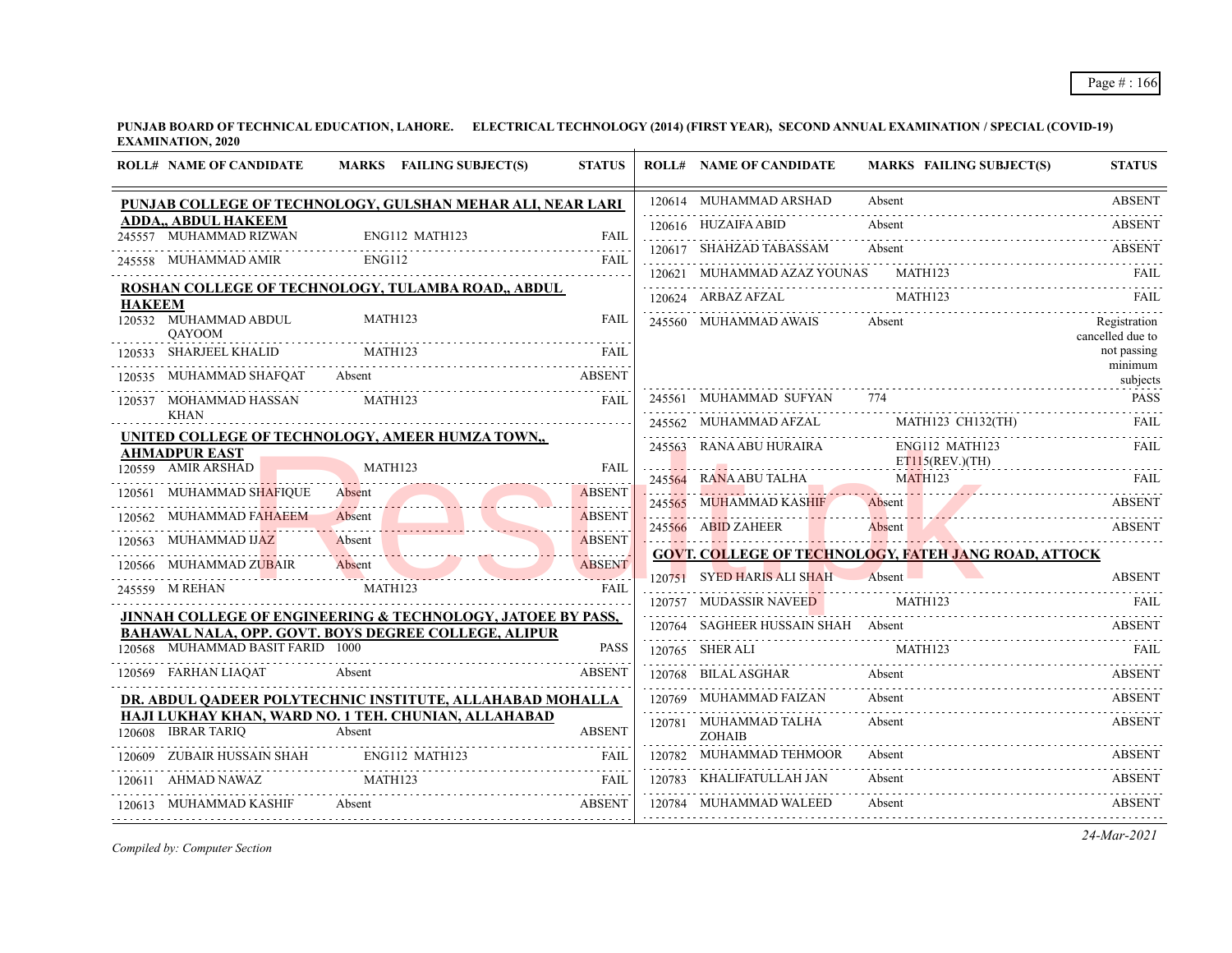|               | <b>ROLL# NAME OF CANDIDATE</b>                       | MARKS FAILING SUBJECT(S)                                                                                          | <b>STATUS</b>      | <b>ROLL# NAME OF CANDIDATE</b>         | <b>MARKS FAILING SUBJECT(S)</b>                                 | <b>STATUS</b>                    |
|---------------|------------------------------------------------------|-------------------------------------------------------------------------------------------------------------------|--------------------|----------------------------------------|-----------------------------------------------------------------|----------------------------------|
|               |                                                      | PUNJAB COLLEGE OF TECHNOLOGY, GULSHAN MEHAR ALI, NEAR LARI                                                        |                    | 120614 MUHAMMAD ARSHAD                 | Absent                                                          | <b>ABSENT</b>                    |
|               | <b>ADDA,, ABDUL HAKEEM</b><br>245557 MUHAMMAD RIZWAN | ENG112 MATH123                                                                                                    | <b>FAIL</b>        | 120616 HUZAIFA ABID                    | Absent                                                          | <b>ABSENT</b>                    |
|               | 245558 MUHAMMAD AMIR                                 | ENG112                                                                                                            | <b>FAIL</b>        | 120617 SHAHZAD TABASSAM                | Absent<br>120617 SHAHZAD TABASSAM Absent Absent ABSENT          |                                  |
|               |                                                      |                                                                                                                   |                    | 120621 MUHAMMAD AZAZ YOUNAS MATH123    |                                                                 | FAIL.                            |
| <b>HAKEEM</b> |                                                      | ROSHAN COLLEGE OF TECHNOLOGY, TULAMBA ROAD,, ABDUL                                                                |                    | 120624 ARBAZ AFZAL                     | MATH123                                                         |                                  |
|               | 120532 MUHAMMAD ABDUL<br><b>OAYOOM</b>               | MATH123                                                                                                           | <b>FAIL</b>        | 245560 MUHAMMAD AWAIS                  | Absent                                                          | Registration<br>cancelled due to |
|               | 120533 SHARJEEL KHALID                               | MATH123                                                                                                           | <b>FAIL</b>        |                                        |                                                                 | not passing<br>minimum           |
|               | 120535 MUHAMMAD SHAFQAT Absent                       |                                                                                                                   | <b>ABSENT</b>      |                                        |                                                                 | subjects                         |
|               | 120537 MOHAMMAD HASSAN<br><b>KHAN</b>                | MATH123                                                                                                           | FAIL               | 245561 MUHAMMAD SUFYAN 774             |                                                                 | <b>PASS</b>                      |
|               |                                                      | UNITED COLLEGE OF TECHNOLOGY, AMEER HUMZA TOWN,                                                                   |                    | 245562 MUHAMMAD AFZAL                  | MATH123 CH132(TH)                                               | <b>FAIL</b>                      |
|               | <b>AHMADPUR EAST</b>                                 |                                                                                                                   |                    | 245563 RANA ABU HURAIRA                | ENG112 MATH123<br>ET115(REV.)(TH)                               | FAII.                            |
|               | 120559 AMIR ARSHAD                                   | MATH123                                                                                                           | <b>FAIL</b>        | 245564 RANA ABU TALHA                  | MATH123                                                         |                                  |
|               | 120561 MUHAMMAD SHAFIQUE                             | Absent                                                                                                            | <b>ABSENT</b><br>. | 245565 MUHAMMAD KASHIF                 |                                                                 |                                  |
|               | 120562 MUHAMMAD FAHAEEM                              | Absent                                                                                                            | <b>ABSENT</b>      | 245566 ABID ZAHEER                     | Absent ADSENT<br>245566 ABID ZAHEER Absent Absent ABSENT ABSENT |                                  |
|               | 120563 MUHAMMAD IJAZ                                 | Absent ABSENT                                                                                                     | <b>ABSENT</b>      |                                        | <b>GOVT. COLLEGE OF TECHNOLOGY, FATEH JANG ROAD, ATTOCK</b>     |                                  |
|               | 120566 MUHAMMAD ZUBAIR                               | Absent                                                                                                            | <b>ABSENT</b>      | 120751 SYED HARIS ALI SHAH             | Absent                                                          | <b>ABSENT</b>                    |
|               | 245559 M REHAN                                       | MATH123                                                                                                           | FAIL               | 120757 MUDASSIR NAVEED                 | MATH123                                                         |                                  |
|               |                                                      | JINNAH COLLEGE OF ENGINEERING & TECHNOLOGY, JATOEE BY PASS,                                                       |                    |                                        | 120764 SAGHEER HUSSAIN SHAH Absent                              | ABSENT                           |
|               | 120568 MUHAMMAD BASIT FARID 1000                     | BAHAWAL NALA, OPP. GOVT. BOYS DEGREE COLLEGE, ALIPUR                                                              | <b>PASS</b>        | 120765 SHER ALI                        | MATH123                                                         |                                  |
|               | 120569 FARHAN LIAQAT                                 | Absent                                                                                                            | <b>ABSENT</b>      | 120768 BILAL ASGHAR                    | SHER ALI MATH123 FAIL<br>Absent                                 | <b>ABSENT</b>                    |
|               |                                                      |                                                                                                                   |                    | 120769 MUHAMMAD FAIZAN                 | Absent                                                          | <b>ABSENT</b>                    |
|               |                                                      | DR. ABDUL QADEER POLYTECHNIC INSTITUTE, ALLAHABAD MOHALLA<br>HAJI LUKHAY KHAN, WARD NO. 1 TEH. CHUNIAN, ALLAHABAD |                    |                                        |                                                                 |                                  |
|               | 120608 IBRAR TARIO                                   | Absent                                                                                                            | <b>ABSENT</b>      | 120781 MUHAMMAD TALHA<br><b>ZOHAIB</b> | Absent                                                          | <b>ABSENT</b>                    |
|               | 120609 ZUBAIR HUSSAIN SHAH ENG112 MATH123            |                                                                                                                   | FAIL               | 120782 MUHAMMAD TEHMOOR                | Absent                                                          | <b>ABSENT</b>                    |
|               | 120611 AHMAD NAWAZ                                   | MATH123                                                                                                           | <b>FAIL</b>        | 120783 KHALIFATULLAH JAN               | Absent                                                          | <b>ABSENT</b>                    |
|               | 120613 MUHAMMAD KASHIF                               | Absent ABSENT                                                                                                     |                    | 120784 MUHAMMAD WALEED                 | Absent                                                          | <b>ABSENT</b>                    |
|               |                                                      |                                                                                                                   |                    |                                        |                                                                 |                                  |

*Compiled by: Computer Section*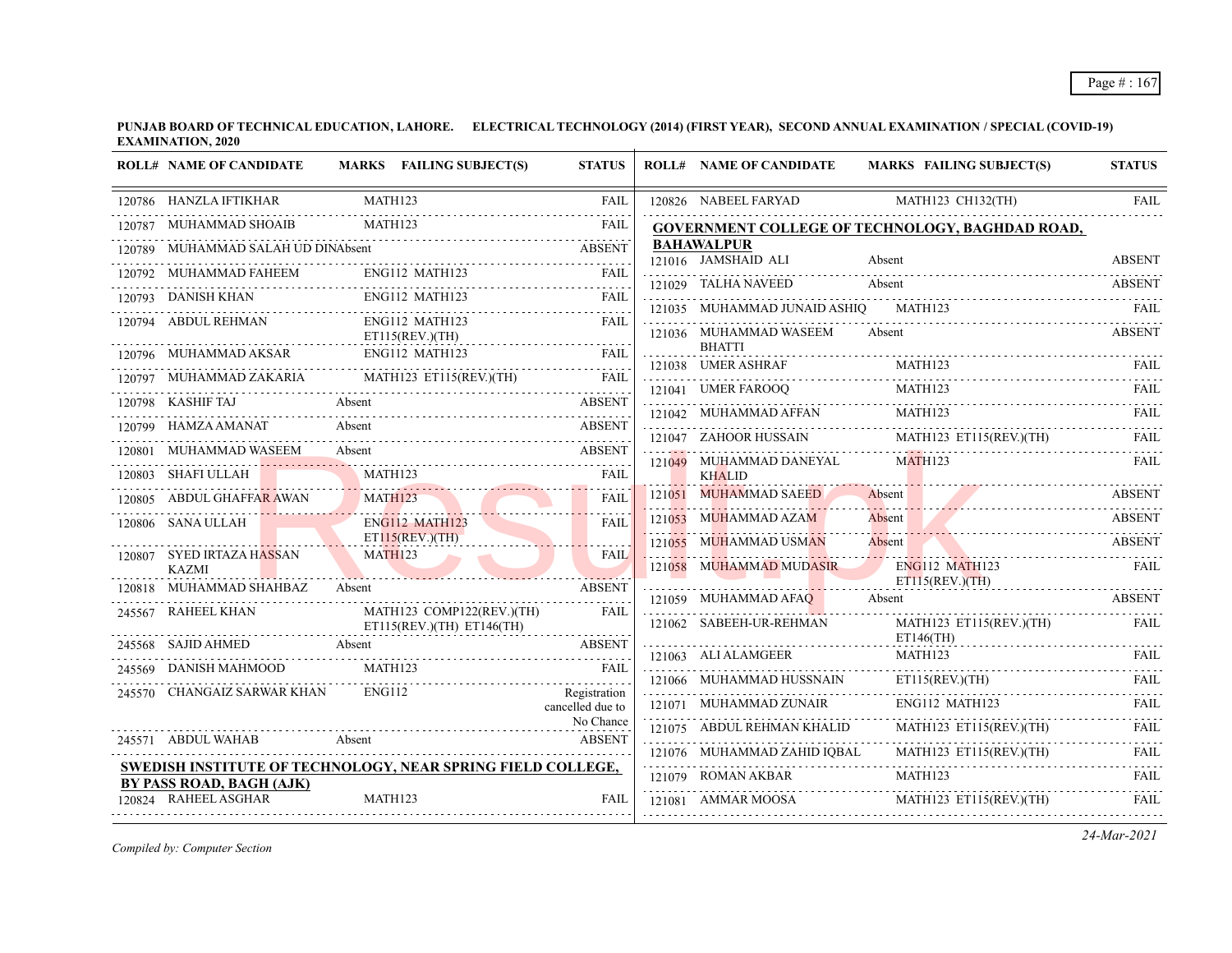|        | <b>ROLL# NAME OF CANDIDATE</b>            | MARKS FAILING SUBJECT(S)                                    | <b>STATUS</b>                    | <b>ROLL# NAME OF CANDIDATE</b>           | <b>MARKS FAILING SUBJECT(S)</b>                                | <b>STATUS</b>    |
|--------|-------------------------------------------|-------------------------------------------------------------|----------------------------------|------------------------------------------|----------------------------------------------------------------|------------------|
|        | 120786 HANZLA IFTIKHAR                    | <b>MATH123</b>                                              | <b>FAIL</b>                      | 120826 NABEEL FARYAD                     | MATH123 CH132(TH)                                              | <b>FAIL</b>      |
| 120787 | MUHAMMAD SHOAIB                           | <b>MATH123</b>                                              | <b>FAIL</b>                      |                                          | <b>GOVERNMENT COLLEGE OF TECHNOLOGY, BAGHDAD ROAD,</b>         |                  |
|        | MUHAMMAD SALAH UD DINAbsent               |                                                             | <b>ABSENT</b>                    | <b>BAHAWALPUR</b><br>121016 JAMSHAID ALI |                                                                |                  |
|        | 120792 MUHAMMAD FAHEEM                    | ENG112 MATH123                                              | FAIL                             |                                          | Absent                                                         | <b>ABSENT</b>    |
|        | 120793 DANISH KHAN                        | ENG112 MATH123                                              | <b>FAIL</b>                      | 121029 TALHA NAVEED                      | Absent                                                         | <b>ABSENT</b>    |
|        | .<br>120794 ABDUL REHMAN                  | ENG112 MATH123                                              | <b>FAIL</b>                      | 121035 MUHAMMAD JUNAID ASHIQ             | MATH123                                                        | FAIL             |
|        |                                           | ET115(REV.)(TH)                                             |                                  | 121036 MUHAMMAD WASEEM<br><b>BHATTI</b>  | Absent                                                         | <b>ABSENT</b>    |
|        | 120796 MUHAMMAD AKSAR                     | ENG112 MATH123                                              | <b>FAIL</b>                      | 121038 UMER ASHRAF                       | MATH123                                                        | FAIL             |
|        | 120797 MUHAMMAD ZAKARIA                   |                                                             |                                  | 121041 UMER FAROOQ                       | MATH123                                                        | FAIL             |
| 120798 | KASHIF TAJ                                | Absent                                                      | <b>ABSENT</b>                    | 121042 MUHAMMAD AFFAN                    | $M$ TAIL<br>MATH123                                            |                  |
| 120799 | HAMZA AMANAT                              | Absent                                                      | <b>ABSENT</b>                    |                                          | 121047 ZAHOOR HUSSAIN MATH123 ET115(REV.)(TH)                  | <b>FAIL</b>      |
|        | 120801 MUHAMMAD WASEEM                    | Absent                                                      | <b>ABSENT</b>                    | 121049 MUHAMMAD DANEYAL                  | <b>MATH123</b>                                                 |                  |
|        | 120803 SHAFI ULLAH                        | MATH123                                                     | FAIL                             | <b>KHALID</b>                            |                                                                | <b>FAIL</b>      |
|        | ABDUL GHAFFAR AWAN                        | MATH123                                                     | FAII.                            | 121051 MUHAMMAD SAEED                    | Absent                                                         | <b>ABSENT</b>    |
|        | 120806 SANA ULLAH                         | . <i>.</i><br>ENG112 MATH123                                | <b>FAIL</b>                      | 121053 MUHAMMAD AZAM                     | Absent                                                         | <b>ABSENT</b>    |
|        |                                           | ET115(REV.)(TH)                                             |                                  | 121055 MUHAMMAD USMAN                    | Absent                                                         | <b>ABSENT</b>    |
|        | 120807 SYED IRTAZA HASSAN<br><b>KAZMI</b> | <b>MATH123</b>                                              | <b>FAIL</b>                      | 121058 MUHAMMAD MUDASIR                  | <b>ENG112 MATH123</b>                                          | <b>FAIL</b>      |
|        | 120818 MUHAMMAD SHAHBAZ                   | Absent                                                      | <b>ABSENT</b>                    |                                          | ET115(REV.)(TH)                                                |                  |
| 245567 | RAHEEL KHAN                               | MATH123 COMP122(REV.)(TH)                                   | FAIL                             | 121059 MUHAMMAD AFAQ                     | Absent                                                         | <b>ABSENT</b>    |
|        |                                           | ET115(REV.)(TH) ET146(TH)                                   |                                  | 121062 SABEEH-UR-REHMAN                  | MATH123 ET115(REV.)(TH)<br>$ET146$ (TH)                        | FAIL             |
|        | 245568 SAJID AHMED                        | Absent                                                      | <b>ABSENT</b>                    | 121063 ALI ALAMGEER                      | MATH123                                                        | FAIL             |
| 245569 | DANISH MAHMOOD                            | MATH123                                                     | <b>FAIL</b>                      | 121066 MUHAMMAD HUSSNAIN                 | ET115(REV.)(TH)                                                | <b>FAIL</b>      |
|        | 245570 CHANGAIZ SARWAR KHAN               | ENG112                                                      | Registration<br>cancelled due to | 121071 MUHAMMAD ZUNAIR                   | ENG112 MATH123                                                 |                  |
|        |                                           |                                                             | No Chance                        | 121075 ABDUL REHMAN KHALID               | MATH123 ET115(REV.)(TH)                                        |                  |
|        | 245571 ABDUL WAHAB                        | Absent                                                      | <b>ABSENT</b>                    | 121076 MUHAMMAD ZAHID IQBAL              | MATH123 ET115(REV.)(TH)                                        | FAIL             |
|        |                                           | SWEDISH INSTITUTE OF TECHNOLOGY, NEAR SPRING FIELD COLLEGE, |                                  |                                          | 121076 MUHAMMAD ZAHID IQBAL MATH123 ET115(REV.)(TH)<br>MATH123 | .<br><b>FAIL</b> |
|        | BY PASS ROAD, BAGH (AJK)                  |                                                             |                                  | 121079 ROMAN AKBAR                       |                                                                |                  |
|        | 120824 RAHEEL ASGHAR                      | MATH123                                                     | <b>FAIL</b>                      | 121081 AMMAR MOOSA                       | MATH123 ET115(REV.)(TH)                                        | <b>FAIL</b>      |

*Compiled by: Computer Section*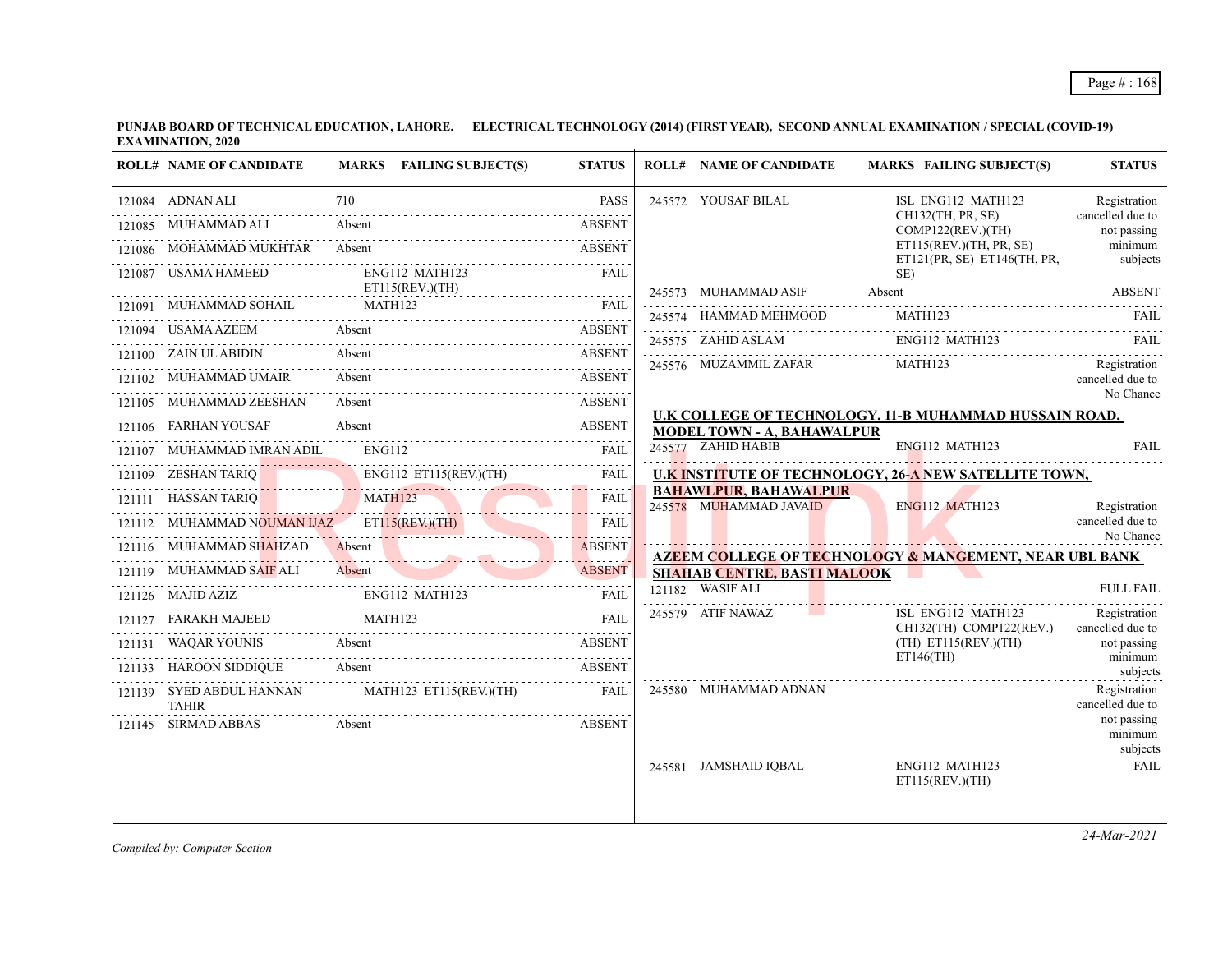| <b>ROLL# NAME OF CANDIDATE</b>              | MARKS FAILING SUBJECT(S)                              | <b>STATUS</b> | <b>ROLL# NAME OF CANDIDATE</b>                         | <b>MARKS FAILING SUBJECT(S)</b>                                   | <b>STATUS</b>                    |
|---------------------------------------------|-------------------------------------------------------|---------------|--------------------------------------------------------|-------------------------------------------------------------------|----------------------------------|
| 121084 ADNAN ALI                            | 710                                                   | <b>PASS</b>   | 245572 YOUSAF BILAL                                    | ISL ENG112 MATH123                                                | Registration                     |
| 121085 MUHAMMAD ALI                         | Absent                                                | <b>ABSENT</b> |                                                        | CH132(TH, PR, SE)<br>COMP122(REV.)(TH)                            | cancelled due to<br>not passing  |
| 121086 MOHAMMAD MUKHTAR Absent              |                                                       | ABSENT        |                                                        | ET115(REV.)(TH, PR, SE)<br>ET121(PR, SE) ET146(TH, PR,            | minimum<br>subjects              |
| 121087 USAMA HAMEED                         | ENG112 MATH123<br>ET115(REV.)(TH)                     | FAIL          |                                                        | SE)                                                               |                                  |
| 121091 MUHAMMAD SOHAIL MATH123              |                                                       | FAII.         | 245573 MUHAMMAD ASIF                                   | Absent                                                            | <b>ABSENT</b>                    |
| 121094 USAMA AZEEM Absent                   |                                                       | <b>ABSENT</b> | 245574 HAMMAD MEHMOOD                                  | MATH123<br>ENG112 MATH123                                         | FAIL                             |
| 121100 ZAIN UL ABIDIN                       | Absent                                                | ABSENT        | 245575 ZAHID ASLAM                                     | MATH123                                                           | - FAIL                           |
| 121102 MUHAMMAD UMAIR                       | Absent                                                | ABSENT        | 245576 MUZAMMIL ZAFAR                                  |                                                                   | Registration<br>cancelled due to |
| 121105 MUHAMMAD ZEESHAN                     | Absent                                                | <b>ABSENT</b> |                                                        |                                                                   | No Chance                        |
| 121106 FARHAN YOUSAF                        | Absent                                                | <b>ABSENT</b> | <b>MODEL TOWN - A, BAHAWALPUR</b>                      | U.K COLLEGE OF TECHNOLOGY, 11-B MUHAMMAD HUSSAIN ROAD,            |                                  |
| 121107 MUHAMMAD IMRAN ADIL                  | ENGI12                                                | FAIL          | 245577 ZAHID HABIB                                     | ENG112 MATH123                                                    | <b>FAIL</b>                      |
| 121109 ZESHAN TARIQ                         | ENG112 ET115(REV.)(TH)                                | FAIL          |                                                        | U.K INSTITUTE OF TECHNOLOGY, 26-A NEW SATELLITE TOWN,             |                                  |
| 121111 HASSAN TARIQ                         | MATH123                                               | FAIL          | <b>BAHAWLPUR, BAHAWALPUR</b><br>245578 MUHAMMAD JAVAID | <b>ENG112 MATH123</b>                                             | Registration                     |
| 121112 MUHAMMAD NOUMAN IJAZ ET115(REV.)(TH) |                                                       | FAIL          |                                                        |                                                                   | cancelled due to<br>No Chance    |
| 121116 MUHAMMAD SHAHZAD                     | 121116 MUHAMMAD SHAHZAD Absent ABSENT                 |               |                                                        | <b>AZEEM COLLEGE OF TECHNOLOGY &amp; MANGEMENT, NEAR UBL BANK</b> |                                  |
| 121119 MUHAMMAD SAIF ALI                    | Absent<br>121119 MUHAMMAD SAIF ALI Absent ABSENT      | <b>ABSENT</b> | <b>SHAHAB CENTRE, BASTI MALOOK</b><br>121182 WASIF ALI |                                                                   | <b>FULL FAIL</b>                 |
| $121126$ MAJID AZIZ                         | <b>ENG112 MATH123</b>                                 | <b>FAIL</b>   |                                                        |                                                                   |                                  |
| 121127 FARAKH MAJEED MATH123                |                                                       | FAII.         | 245579 ATIF NAWAZ                                      | ISL ENG112 MATH123<br>CH132(TH) COMP122(REV.)                     | Registration<br>cancelled due to |
| 121131 WAQAR YOUNIS                         | Absent                                                | <b>ABSENT</b> |                                                        | $(TH)$ ET115(REV.)(TH)<br>$ET146$ (TH)                            | not passing<br>minimum           |
| 121133 HAROON SIDDIQUE                      | Absent                                                | <b>ABSENT</b> |                                                        |                                                                   | subjects                         |
| <b>TAHIR</b>                                | 121139 SYED ABDUL HANNAN MATH123 ET115(REV.)(TH) FAIL |               | 245580 MUHAMMAD ADNAN                                  |                                                                   | Registration<br>cancelled due to |
| 121145 SIRMAD ABBAS                         | Absent                                                | <b>ABSENT</b> |                                                        |                                                                   | not passing<br>minimum           |
|                                             |                                                       |               | 245581 JAMSHAID IQBAL                                  | ENG112 MATH123<br>ET115(REV.)(TH)                                 | subjects<br><b>FAIL</b>          |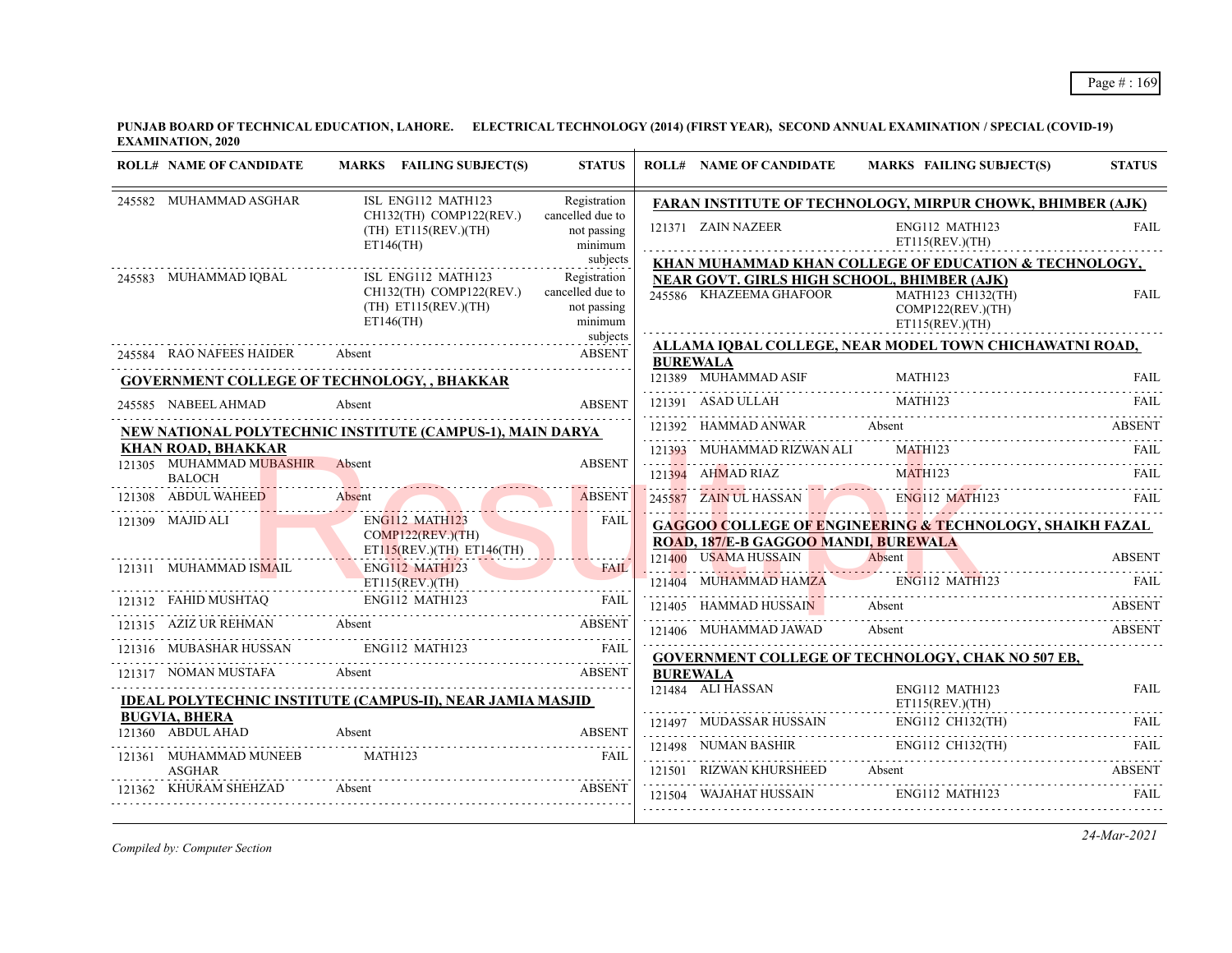|                                           |                                                                                         |                                                            | <b>ROLL# NAME OF CANDIDATE</b>              | MARKS FAILING SUBJECT(S)                                                                                 | <b>STATUS</b> |
|-------------------------------------------|-----------------------------------------------------------------------------------------|------------------------------------------------------------|---------------------------------------------|----------------------------------------------------------------------------------------------------------|---------------|
| 245582 MUHAMMAD ASGHAR                    | ISL ENG112 MATH123                                                                      | Registration                                               |                                             | <b>FARAN INSTITUTE OF TECHNOLOGY, MIRPUR CHOWK, BHIMBER (AJK)</b>                                        |               |
|                                           | CH132(TH) COMP122(REV.)<br>$(TH)$ ET115(REV.)(TH)<br>$ET146$ (TH)                       | cancelled due to<br>not passing<br>minimum                 | 121371 ZAIN NAZEER                          | ENG112 MATH123<br>ET115(REV.)(TH)                                                                        | <b>FAIL</b>   |
|                                           |                                                                                         | subjects                                                   |                                             | KHAN MUHAMMAD KHAN COLLEGE OF EDUCATION & TECHNOLOGY,                                                    |               |
| 245583 MUHAMMAD IQBAL                     | ISL ENG112 MATH123<br>CH132(TH) COMP122(REV.)<br>$(TH)$ ET115(REV.)(TH)<br>$ET146$ (TH) | Registration<br>cancelled due to<br>not passing<br>minimum | 245586 KHAZEEMA GHAFOOR                     | NEAR GOVT. GIRLS HIGH SCHOOL, BHIMBER (AJK)<br>MATH123 CH132(TH)<br>COMP122(REV.)(TH)<br>ET115(REV.)(TH) | <b>FAIL</b>   |
|                                           |                                                                                         | subjects                                                   |                                             | ALLAMA IQBAL COLLEGE, NEAR MODEL TOWN CHICHAWATNI ROAD,                                                  |               |
| 245584 RAO NAFEES HAIDER                  | Absent                                                                                  | <b>ABSENT</b>                                              | <b>BUREWALA</b>                             |                                                                                                          |               |
|                                           | <b>GOVERNMENT COLLEGE OF TECHNOLOGY, , BHAKKAR</b>                                      |                                                            | 121389 MUHAMMAD ASIF                        | MATH123                                                                                                  | <b>FAIL</b>   |
| 245585 NABEEL AHMAD                       | Absent                                                                                  | <b>ABSENT</b>                                              | 121391 ASAD ULLAH                           | MATH123                                                                                                  | FAIL.         |
|                                           | NEW NATIONAL POLYTECHNIC INSTITUTE (CAMPUS-1), MAIN DARYA                               |                                                            | 121392 HAMMAD ANWAR Absent                  |                                                                                                          | ABSENT        |
| <b>KHAN ROAD, BHAKKAR</b>                 |                                                                                         |                                                            | 121393 MUHAMMAD RIZWAN ALI                  | MATH123                                                                                                  |               |
| 121305 MUHAMMAD MUBASHIR<br><b>BALOCH</b> | Absent                                                                                  | <b>ABSENT</b>                                              | 121394 AHMAD RIAZ                           | MATH123                                                                                                  | FAIL          |
| 121308 ABDUL WAHEED                       | Absent                                                                                  | <b>ABSENT</b>                                              | 245587 ZAIN UL HASSAN                       | <b>ENG112 MATH123</b><br>245587 ZAIN UL HASSAN ENGI12 MATH123 FAIL                                       |               |
| 121309 MAJID ALI                          | ENG112 MATH123                                                                          | FAIL                                                       |                                             | <b>GAGGOO COLLEGE OF ENGINEERING &amp; TECHNOLOGY, SHAIKH FAZAL</b>                                      |               |
|                                           | COMP122(REV.)(TH)<br>$ET115(REV.)(TH)$ $ET146(TH)$                                      |                                                            | <b>ROAD, 187/E-B GAGGOO MANDI, BUREWALA</b> |                                                                                                          |               |
| 121311 MUHAMMAD ISMAIL                    | ENG112 MATH123                                                                          | <b>FAIL</b>                                                | 121400 USAMA HUSSAIN                        | Absent                                                                                                   | <b>ABSENT</b> |
|                                           | ET115(REV.)(TH)                                                                         |                                                            | 121404 MUHAMMAD HAMZA                       | <b>ENG112 MATH123</b>                                                                                    |               |
| 121312 FAHID MUSHTAQ                      | ENG112 MATH123                                                                          | <b>FAIL</b>                                                | 121405 HAMMAD HUSSAIN                       | Absent                                                                                                   | ABSENT        |
| 121315 AZIZ UR REHMAN Absent              |                                                                                         | <b>ABSENT</b>                                              | 121406 MUHAMMAD JAWAD                       | Absent                                                                                                   | ABSENT        |
| 121316 MUBASHAR HUSSAN                    | ENG112 MATH123                                                                          | <b>FAIL</b>                                                |                                             | GOVERNMENT COLLEGE OF TECHNOLOGY, CHAK NO 507 EB,                                                        |               |
| 121317 NOMAN MUSTAFA                      | Absent                                                                                  | <b>ABSENT</b>                                              | <b>BUREWALA</b>                             |                                                                                                          |               |
|                                           | <b>IDEAL POLYTECHNIC INSTITUTE (CAMPUS-II), NEAR JAMIA MASJID</b>                       |                                                            | 121484 ALI HASSAN                           | ENG112 MATH123<br>ET115(REV.)(TH)                                                                        | FAII.         |
| <b>BUGVIA, BHERA</b><br>121360 ABDUL AHAD | Absent                                                                                  | <b>ABSENT</b>                                              |                                             | 121497 MUDASSAR HUSSAIN ENG112 CH132(TH) FAIL                                                            |               |
|                                           |                                                                                         |                                                            |                                             | 121498 NUMAN BASHIR ENG112 CH132(TH)                                                                     | FAIL          |
| 121361 MUHAMMAD MUNEEB<br><b>ASGHAR</b>   | MATH123                                                                                 | <b>FAIL</b>                                                | 121501 RIZWAN KHURSHEED Absent              |                                                                                                          | <b>ABSENT</b> |
| 121362 KHURAM SHEHZAD                     | Absent                                                                                  | <b>ABSENT</b>                                              | 121504 WAJAHAT HUSSAIN                      | ENG112 MATH123                                                                                           | <b>FAIL</b>   |

*Compiled by: Computer Section*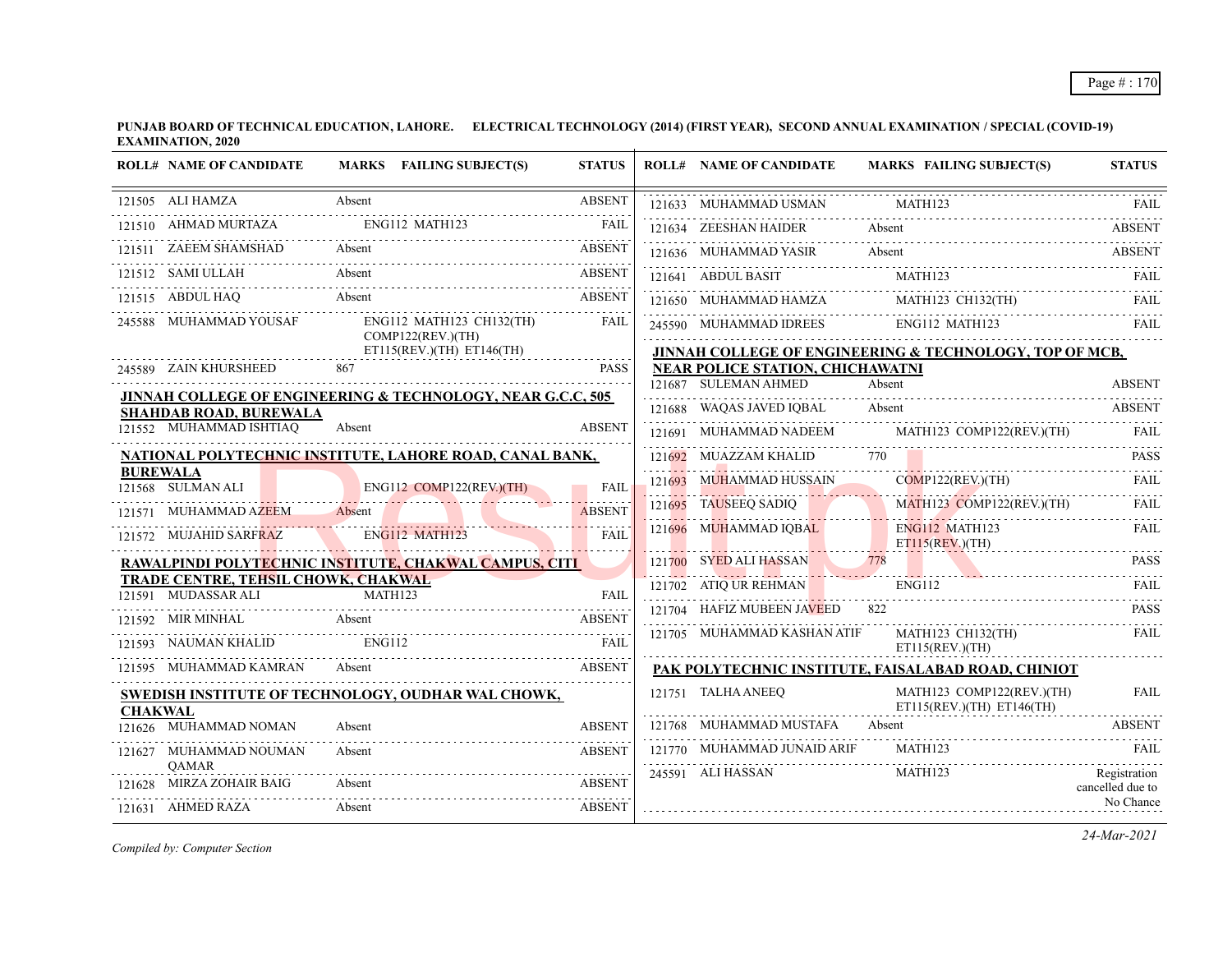|                | <b>ROLL# NAME OF CANDIDATE</b>                                              |               | MARKS FAILING SUBJECT(S)                      | <b>STATUS</b> | <b>ROLL# NAME OF CANDIDATE</b>                                  |        | <b>MARKS FAILING SUBJECT(S)</b>                            | <b>STATUS</b>                    |
|----------------|-----------------------------------------------------------------------------|---------------|-----------------------------------------------|---------------|-----------------------------------------------------------------|--------|------------------------------------------------------------|----------------------------------|
|                | 121505 ALI HAMZA                                                            | Absent        |                                               | <b>ABSENT</b> | 121633 MUHAMMAD USMAN                                           |        | MATH123                                                    | <b>FAIL</b>                      |
|                | 121510 AHMAD MURTAZA                                                        |               | ENG112 MATH123                                | <b>FAIL</b>   | 121634 ZEESHAN HAIDER                                           |        | Absent                                                     | <b>ABSENT</b>                    |
|                | 121511 ZAEEM SHAMSHAD                                                       |               | ZAEEM SHAMSHAD Absent ABSENT                  |               |                                                                 |        | 121636 MUHAMMAD YASIR Absent ABSENT ABSENT                 |                                  |
|                | 121512 SAMI ULLAH                                                           | Absent        |                                               | <b>ABSENT</b> | 121641 ABDUL BASIT                                              |        | MATH123                                                    | FAII.                            |
|                | 121515 ABDUL HAQ                                                            | Absent        |                                               | <b>ABSENT</b> |                                                                 |        | 121650 MUHAMMAD HAMZA MATH123 CH132(TH) FAIL               |                                  |
|                | 245588 MUHAMMAD YOUSAF                                                      |               | ENG112 MATH123 CH132(TH)<br>COMP122(REV.)(TH) | <b>FAIL</b>   | 245590 MUHAMMAD IDREES ENG112 MATH123                           |        |                                                            | <b>FAIL</b>                      |
|                |                                                                             |               | $ET115(REV.)(TH)$ $ET146(TH)$                 |               |                                                                 |        | JINNAH COLLEGE OF ENGINEERING & TECHNOLOGY, TOP OF MCB,    |                                  |
|                | 245589 ZAIN KHURSHEED                                                       | 867           |                                               | <b>PASS</b>   | <b>NEAR POLICE STATION, CHICHAWATNI</b><br>121687 SULEMAN AHMED | Absent |                                                            | <b>ABSENT</b>                    |
|                | JINNAH COLLEGE OF ENGINEERING & TECHNOLOGY, NEAR G.C.C, 505                 |               |                                               |               |                                                                 |        |                                                            | <b>ABSENT</b>                    |
|                | <b>SHAHDAB ROAD, BUREWALA</b><br>121552 MUHAMMAD ISHTIAQ                    | Absent        |                                               | <b>ABSENT</b> | 121688 WAQAS JAVED IQBAL                                        | Absent |                                                            |                                  |
|                |                                                                             |               |                                               |               |                                                                 |        | 121691 MUHAMMAD NADEEM MATH123 COMP122(REV.)(TH)           |                                  |
|                | NATIONAL POLYTECHNIC INSTITUTE, LAHORE ROAD, CANAL BANK,<br><b>BUREWALA</b> |               |                                               |               | 121692 MUAZZAM KHALID                                           | 770 L  |                                                            | <b>PASS</b>                      |
|                | 121568 SULMAN ALI                                                           |               | ENG112 COMP122(REV.)(TH)                      | <b>FAIL</b>   |                                                                 |        | 121693 MUHAMMAD HUSSAIN COMP122(REV.)(TH) FAIL             |                                  |
|                | 121571 MUHAMMAD AZEEM Absent                                                |               |                                               | <b>ABSENT</b> | 121695 TAUSEEQ SADIQ                                            |        | MATH123 COMP122(REV.)(TH)                                  | FAIL                             |
|                | 121572 MUJAHID SARFRAZ                                                      |               | ENG112 MATH123                                | FAII.         | 121696 MUHAMMAD IQBAL                                           |        | ENG112 MATH123<br>$ET115$ (REV.)(TH)                       | FAIL                             |
|                | RAWALPINDI POLYTECHNIC INSTITUTE, CHAKWAL CAMPUS, CITI                      |               |                                               |               | 121700 SYED ALI HASSAN                                          | 778    |                                                            | <b>PASS</b>                      |
|                | <b>TRADE CENTRE, TEHSIL CHOWK, CHAKWAL</b><br>121591 MUDASSAR ALI           | MATH123       |                                               | FAIL          | 121702 ATIQ UR REHMAN                                           |        | ENG112                                                     | FAIL                             |
|                | 121592 MIR MINHAL Absent                                                    |               |                                               | <b>ABSENT</b> | 121704 HAFIZ MUBEEN JAVEED                                      |        |                                                            | <b>PASS</b>                      |
|                | 121593 NAUMAN KHALID                                                        | <b>ENG112</b> |                                               | <b>FAIL</b>   | 121705 MUHAMMAD KASHAN ATIF                                     |        | MATH123 CH132(TH)<br>ET115(REV.)(TH)                       | FAIL                             |
|                | 121595 MUHAMMAD KAMRAN                                                      |               | Absent                                        | <b>ABSENT</b> |                                                                 |        | PAK POLYTECHNIC INSTITUTE, FAISALABAD ROAD, CHINIOT        |                                  |
|                | SWEDISH INSTITUTE OF TECHNOLOGY, OUDHAR WAL CHOWK,                          |               |                                               |               | 121751 TALHA ANEEQ                                              |        | MATH123 COMP122(REV.)(TH)<br>$ET115(REV.)(TH)$ $ET146(TH)$ | <b>FAIL</b>                      |
| <b>CHAKWAL</b> | 121626 MUHAMMAD NOMAN                                                       | Absent        |                                               | <b>ABSENT</b> | 121768 MUHAMMAD MUSTAFA                                         | Absent |                                                            | <b>ABSENT</b>                    |
|                | 121627 MUHAMMAD NOUMAN                                                      | Absent        |                                               | <b>ABSENT</b> | 121770 MUHAMMAD JUNAID ARIF                                     |        | MATH123                                                    | FAIL                             |
|                | <b>OAMAR</b><br>MIRZA ZOHAIR BAIG                                           | Absent        |                                               | <b>ABSENT</b> | 245591 ALI HASSAN                                               |        | MATH123                                                    | Registration<br>cancelled due to |
|                | 121631 AHMED RAZA                                                           | Absent        |                                               | <b>ABSENT</b> |                                                                 |        |                                                            | No Chance                        |

*Compiled by: Computer Section*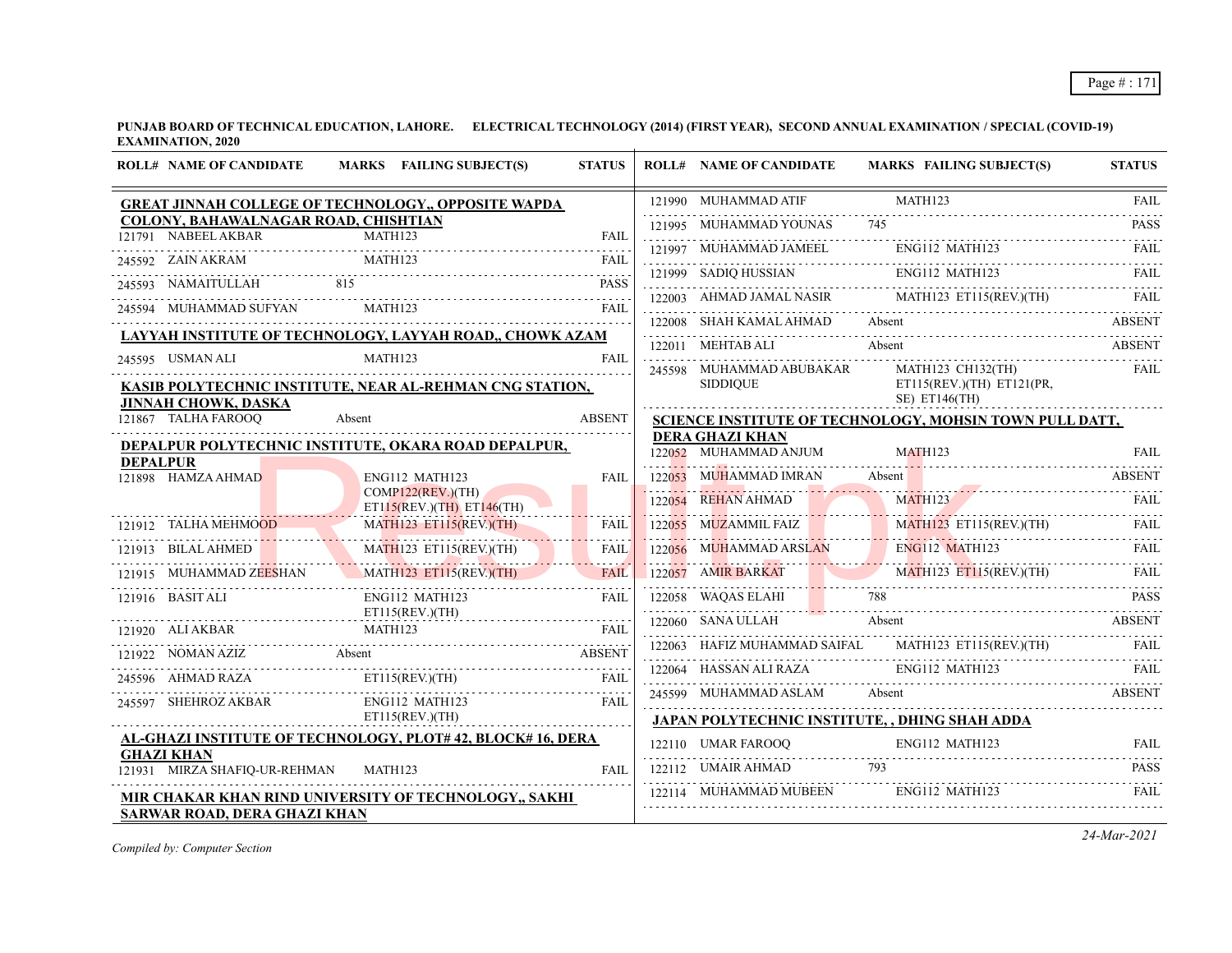|                                                             | <b>ROLL# NAME OF CANDIDATE</b><br>MARKS FAILING SUBJECT(S) |                                                                                                                                                            | <b>STATUS</b> | <b>ROLL# NAME OF CANDIDATE</b>        | <b>MARKS FAILING SUBJECT(S)</b>                                                                                                                                                                                                                                                                                                                                            | <b>STATUS</b> |
|-------------------------------------------------------------|------------------------------------------------------------|------------------------------------------------------------------------------------------------------------------------------------------------------------|---------------|---------------------------------------|----------------------------------------------------------------------------------------------------------------------------------------------------------------------------------------------------------------------------------------------------------------------------------------------------------------------------------------------------------------------------|---------------|
|                                                             |                                                            | GREAT JINNAH COLLEGE OF TECHNOLOGY,, OPPOSITE WAPDA                                                                                                        |               | 121990 MUHAMMAD ATIF                  | MATH123                                                                                                                                                                                                                                                                                                                                                                    | <b>FAIL</b>   |
| COLONY, BAHAWALNAGAR ROAD, CHISHTIAN<br>121791 NABEEL AKBAR |                                                            | MATH123                                                                                                                                                    | <b>FAIL</b>   | 121995 MUHAMMAD YOUNAS 745            |                                                                                                                                                                                                                                                                                                                                                                            | <b>PASS</b>   |
|                                                             |                                                            |                                                                                                                                                            |               |                                       | 121997 MUHAMMAD JAMEEL ENGI12 MATH123 FAIL                                                                                                                                                                                                                                                                                                                                 |               |
|                                                             |                                                            | 245592 ZAIN AKRAM MATH123 FAIL RESERVE AND MATH123                                                                                                         |               |                                       |                                                                                                                                                                                                                                                                                                                                                                            |               |
| 245593 NAMAITULLAH 815                                      |                                                            |                                                                                                                                                            | <b>PASS</b>   |                                       | $\begin{tabular}{c c c c} \hline 121999 & SADIQ HUSSIAN & ENG112 MATLAB & TAIL & FAIL \\ \hline \end{tabular} \begin{tabular}{c} \hline \multicolumn{3}{c}{HMSI12} \multicolumn{3}{c}{MATH123} & FAIL \\ \hline \multicolumn{3}{c}{\multicolumn{3}{c}{HIMAD JAMAL NASIR} & \multicolumn{3}{c}{MATH123} \multicolumn{3}{c}{ET115 (REV)(TH)} & FAIL \\ \hline \end{tabular}$ |               |
|                                                             |                                                            | 245594 MUHAMMAD SUFYAN MATH123 FAIL                                                                                                                        |               |                                       | 122008 SHAH KAMAL AHMAD Absent ABSENT ABSENT                                                                                                                                                                                                                                                                                                                               |               |
|                                                             |                                                            | LAYYAH INSTITUTE OF TECHNOLOGY, LAYYAH ROAD,, CHOWK AZAM                                                                                                   |               |                                       | 122011 MEHTAB ALI Absent ABSENT                                                                                                                                                                                                                                                                                                                                            |               |
| 245595 USMAN ALI                                            |                                                            | MATH123                                                                                                                                                    | FAII.         |                                       | 245598 MUHAMMAD ABUBAKAR MATH123 CH132(TH)                                                                                                                                                                                                                                                                                                                                 | FAIL          |
|                                                             |                                                            | KASIB POLYTECHNIC INSTITUTE, NEAR AL-REHMAN CNG STATION,                                                                                                   |               | <b>SIDDIOUE</b>                       | $ET115(REV.)(TH)$ $ET121(PR,$                                                                                                                                                                                                                                                                                                                                              |               |
| <b>JINNAH CHOWK, DASKA</b><br>121867 TALHA FAROOQ           |                                                            | Absent                                                                                                                                                     | <b>ABSENT</b> |                                       | $SE$ ) ET146(TH)<br>SCIENCE INSTITUTE OF TECHNOLOGY, MOHSIN TOWN PULL DATT,                                                                                                                                                                                                                                                                                                |               |
|                                                             |                                                            |                                                                                                                                                            |               | <b>DERA GHAZI KHAN</b>                |                                                                                                                                                                                                                                                                                                                                                                            |               |
| <b>DEPALPUR</b>                                             |                                                            | DEPALPUR POLYTECHNIC INSTITUTE, OKARA ROAD DEPALPUR,                                                                                                       |               | 122052 MUHAMMAD ANJUM                 | MATH123                                                                                                                                                                                                                                                                                                                                                                    | FAII.         |
| 121898 HAMZA AHMAD                                          |                                                            | ENG112 MATH123                                                                                                                                             | FAII.         |                                       | 122053 MUHAMMAD IMRAN Absent ABSENT ABSENT                                                                                                                                                                                                                                                                                                                                 |               |
|                                                             |                                                            | COMP122(REV.)(TH)<br>$ET115(REV.)(TH)$ $ET146(TH)$                                                                                                         |               |                                       | 122054 REHAN AHMAD MATH123 FAIL                                                                                                                                                                                                                                                                                                                                            |               |
| 121912 TALHA MEHMOOD M                                      |                                                            | MATH123 ET115(REV.)(TH)                                                                                                                                    | FAIL          |                                       | 122055 MUZAMMIL FAIZ MATH123 ET115(REV.)(TH) FAIL                                                                                                                                                                                                                                                                                                                          |               |
|                                                             |                                                            | 121913 BILAL AHMED MATH123 ET115(REV.)(TH) FAIL                                                                                                            |               |                                       |                                                                                                                                                                                                                                                                                                                                                                            |               |
|                                                             |                                                            | 121915 MUHAMMAD ZEESHAN MATH123 ET115(REV.)(TH)                                                                                                            | FAIL          |                                       | 122056 MUHAMMAD ARSLAN ENGI12 MATH123 ET115(REV.)(TH) FAIL 122057 AMIR BARKAT MATH123 ET115(REV.)(TH) FAIL                                                                                                                                                                                                                                                                 |               |
| 121916 BASIT ALI                                            |                                                            | ENG112 MATH123                                                                                                                                             | FAIL          |                                       | 122058 WAQAS ELAHI 788 PASS                                                                                                                                                                                                                                                                                                                                                |               |
|                                                             |                                                            | ET115(REV.(TH)                                                                                                                                             |               | 122060 SANA ULLAH Absent              |                                                                                                                                                                                                                                                                                                                                                                            | <b>ABSENT</b> |
|                                                             |                                                            | $\begin{tabular}{lllllllllll} \bf 121920 & \tt ALI AKBAR & \tt MATH123 & \tt FAIL \\ \bf 121920 & \tt ALI AKBAR & \tt MATH123 & \tt FAIL \\ \end{tabular}$ |               |                                       | 122063 HAFIZ MUHAMMAD SAIFAL MATH123 ET115(REV.)(TH) FAIL                                                                                                                                                                                                                                                                                                                  |               |
|                                                             |                                                            | 121922 NOMAN AZIZ Absent ABSENT<br>245596 AHMAD RAZA ET115(REV.)(TH)                                                                                       | FAIL          | 122064 HASSAN ALI RAZA ENG112 MATH123 |                                                                                                                                                                                                                                                                                                                                                                            | <b>EAIL</b>   |
|                                                             |                                                            |                                                                                                                                                            |               |                                       | 245599 MUHAMMAD ASLAM Absent                                                                                                                                                                                                                                                                                                                                               | <b>ABSENT</b> |
| 245597 SHEHROZ AKBAR ENG112 MATH123                         |                                                            | ET115(REV.)(TH)                                                                                                                                            | FAIL          |                                       | <b>JAPAN POLYTECHNIC INSTITUTE, , DHING SHAH ADDA</b>                                                                                                                                                                                                                                                                                                                      |               |
|                                                             |                                                            | AL-GHAZI INSTITUTE OF TECHNOLOGY, PLOT# 42, BLOCK# 16, DERA                                                                                                |               |                                       |                                                                                                                                                                                                                                                                                                                                                                            |               |
| <b>GHAZI KHAN</b><br>121931 MIRZA SHAFIQ-UR-REHMAN MATH123  |                                                            |                                                                                                                                                            | FAII.         |                                       | $\begin{tabular}{l c c c c c} \hline 122110 & UMAR FAROOQ & ENG112 MATH123 & FAIL \\ \hline 122112 & UMAIR AHMAD & 793 & PASS \\ \hline 122114 & MUHAMMAD MUBEEN & ENG112 MATH123 & FAIL \\ \hline \end{tabular}$                                                                                                                                                          |               |
|                                                             |                                                            |                                                                                                                                                            |               |                                       |                                                                                                                                                                                                                                                                                                                                                                            |               |
| <b>SARWAR ROAD, DERA GHAZI KHAN</b>                         |                                                            | MIR CHAKAR KHAN RIND UNIVERSITY OF TECHNOLOGY,, SAKHI                                                                                                      |               |                                       |                                                                                                                                                                                                                                                                                                                                                                            |               |

*Compiled by: Computer Section*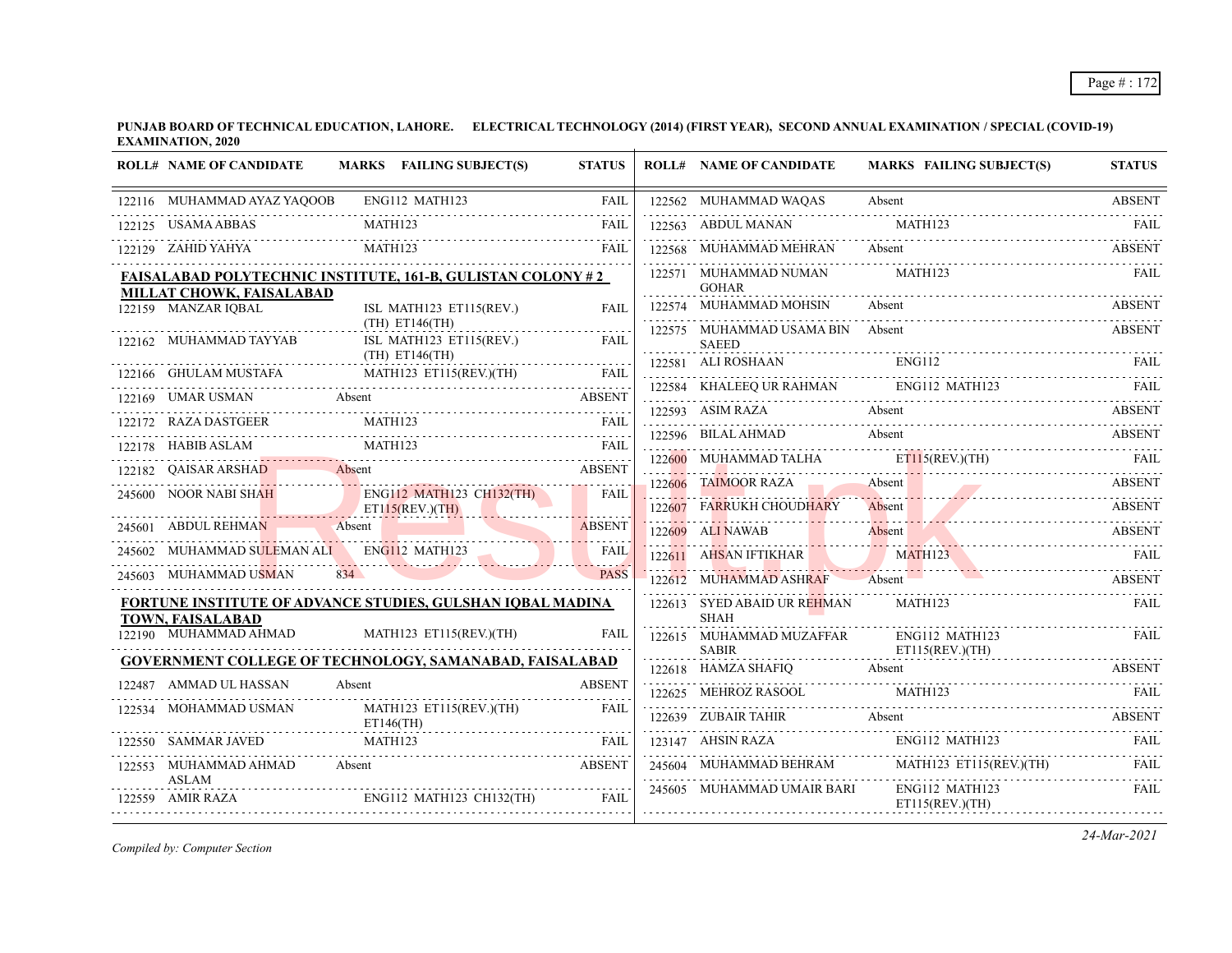| <b>ROLL# NAME OF CANDIDATE</b>                                                                                                                                                                                                                                                                                                                                                                                                               |        | MARKS FAILING SUBJECT(S)                  | <b>STATUS</b> | <b>ROLL# NAME OF CANDIDATE</b>                     | <b>MARKS FAILING SUBJECT(S)</b>                                                                                                                                                                                                                                                                 | <b>STATUS</b> |
|----------------------------------------------------------------------------------------------------------------------------------------------------------------------------------------------------------------------------------------------------------------------------------------------------------------------------------------------------------------------------------------------------------------------------------------------|--------|-------------------------------------------|---------------|----------------------------------------------------|-------------------------------------------------------------------------------------------------------------------------------------------------------------------------------------------------------------------------------------------------------------------------------------------------|---------------|
| 122116 MUHAMMAD AYAZ YAQOOB                                                                                                                                                                                                                                                                                                                                                                                                                  |        | ENG112 MATH123                            | <b>FAIL</b>   | 122562 MUHAMMAD WAQAS                              | Absent                                                                                                                                                                                                                                                                                          | <b>ABSENT</b> |
| 122125 USAMA ABBAS                                                                                                                                                                                                                                                                                                                                                                                                                           |        | <b>MATH123</b>                            | FAIL          | 122563 ABDUL MANAN                                 | <b>MATH123</b>                                                                                                                                                                                                                                                                                  | FAII.         |
|                                                                                                                                                                                                                                                                                                                                                                                                                                              |        |                                           | FAIL          | 122568 MUHAMMAD MEHRAN                             | Absent<br>$122,000$ and the maximum contract of the contract of the contract of the contract of the contract of the contract of the contract of the contract of the contract of the contract of the contract of the contract of the con                                                         | <b>ABSENT</b> |
| <b>FAISALABAD POLYTECHNIC INSTITUTE, 161-B, GULISTAN COLONY #2</b><br>MILLAT CHOWK, FAISALABAD                                                                                                                                                                                                                                                                                                                                               |        |                                           |               | 122571 MUHAMMAD NUMAN<br><b>GOHAR</b>              | <b>MATH123</b>                                                                                                                                                                                                                                                                                  | <b>FAIL</b>   |
| 122159 MANZAR IQBAL                                                                                                                                                                                                                                                                                                                                                                                                                          |        | ISL MATH123 ET115(REV.)                   | <b>FAIL</b>   | 122574 MUHAMMAD MOHSIN                             | Absent                                                                                                                                                                                                                                                                                          | <b>ABSENT</b> |
| 122162 MUHAMMAD TAYYAB                                                                                                                                                                                                                                                                                                                                                                                                                       |        | (TH) ET146(TH)<br>ISL MATH123 ET115(REV.) | FAIL          | 122575 MUHAMMAD USAMA BIN Absent<br><b>SAEED</b>   |                                                                                                                                                                                                                                                                                                 | <b>ABSENT</b> |
|                                                                                                                                                                                                                                                                                                                                                                                                                                              |        | (TH) ET146(TH)                            |               |                                                    | 122581 ALI ROSHAAN ENG112 FAIL ROSHAAN ENG112                                                                                                                                                                                                                                                   |               |
| $\begin{tabular}{lllllllll} \bf 122166 & \text{GHULAM MUSTAFA} & \text{MATH123 ET115(REV)(TH) } & \text{FAIL} \\ \hline \end{tabular}$<br>122169 UMAR USMAN Absent                                                                                                                                                                                                                                                                           |        |                                           |               | 122584 KHALEEQ UR RAHMAN ENG112 MATH123            | 122584 KHALEEQ UR RAHMAN ENG112 MATH123 FAIL                                                                                                                                                                                                                                                    |               |
|                                                                                                                                                                                                                                                                                                                                                                                                                                              |        | N Absent ABSENT                           |               |                                                    | 122593 ASIM RAZA Absent and the contract of the contract of the contract of the contract absent and the contract of the contract of the contract of the contract of the contract of the contract of the contract of the contra                                                                  |               |
| 122172 RAZA DASTGEER MATH123 FAIL PRIMER MATH123                                                                                                                                                                                                                                                                                                                                                                                             |        |                                           |               |                                                    | 122596 BILAL AHMAD Absent ABSENT                                                                                                                                                                                                                                                                |               |
| 122178 HABIB ASLAM MATH123 FAIL                                                                                                                                                                                                                                                                                                                                                                                                              |        |                                           |               |                                                    | 122600 MUHAMMAD TALHA ETIIS(REV.)(TH) FAIL                                                                                                                                                                                                                                                      |               |
| 122182 QAISAR ARSHAD Absent ABSENT                                                                                                                                                                                                                                                                                                                                                                                                           |        |                                           | <b>FAIL</b>   |                                                    | 122606 TAIMOOR RAZA Absent ABSENT                                                                                                                                                                                                                                                               |               |
| 245600 NOOR NABI SHAH ENG112 MATH123 CH132(TH)<br>ET115(REV.)(TH)                                                                                                                                                                                                                                                                                                                                                                            |        |                                           |               |                                                    | 122607 FARRUKH CHOUDHARY Absent ABSENT                                                                                                                                                                                                                                                          |               |
| 245601 ABDUL REHMAN Absent                                                                                                                                                                                                                                                                                                                                                                                                                   |        |                                           | <b>ABSENT</b> |                                                    | 122609 ALINAWAB Absent ABSENT                                                                                                                                                                                                                                                                   |               |
| 245602 MUHAMMAD SULEMAN ALI ENGI12 MATH123 FAIL                                                                                                                                                                                                                                                                                                                                                                                              |        |                                           |               |                                                    | 122611 AHSAN IFTIKHAR MATH123 FAIL PARTICLE                                                                                                                                                                                                                                                     |               |
| 245603 MUHAMMAD USMAN                                                                                                                                                                                                                                                                                                                                                                                                                        | 834    |                                           | <b>PASS</b>   |                                                    |                                                                                                                                                                                                                                                                                                 |               |
| FORTUNE INSTITUTE OF ADVANCE STUDIES, GULSHAN IQBAL MADINA<br>TOWN, FAISALABAD                                                                                                                                                                                                                                                                                                                                                               |        |                                           |               | 122613 SYED ABAID UR REHMAN MATH123<br><b>SHAH</b> |                                                                                                                                                                                                                                                                                                 | FAIL          |
| 122190 MUHAMMAD AHMAD                                                                                                                                                                                                                                                                                                                                                                                                                        |        | MATH123 ET115(REV.)(TH)                   | FAIL          | 122615 MUHAMMAD MUZAFFAR ISABIR                    | ENG112 MATH123                                                                                                                                                                                                                                                                                  | <b>FAIL</b>   |
| <b>GOVERNMENT COLLEGE OF TECHNOLOGY, SAMANABAD, FAISALABAD</b>                                                                                                                                                                                                                                                                                                                                                                               |        |                                           |               |                                                    | ET115(REV.)(TH)                                                                                                                                                                                                                                                                                 |               |
| 122487 AMMAD UL HASSAN                                                                                                                                                                                                                                                                                                                                                                                                                       | Absent |                                           | <b>ABSENT</b> |                                                    | 122618 HAMZA SHAFIQ Absent ABSENT                                                                                                                                                                                                                                                               |               |
| 122534 MOHAMMAD USMAN MATH123 ET115(REV.)(TH)                                                                                                                                                                                                                                                                                                                                                                                                |        |                                           | <b>FAIL</b>   |                                                    | 122625 MEHROZ RASOOL MATH123 FAIL                                                                                                                                                                                                                                                               |               |
| $\begin{tabular}{ll} \multicolumn{2}{l}{{\small 122550}} & \multicolumn{2}{l}{SAMMAR JAVED} & \multicolumn{2}{l}{ETI46(TH)}\\ \multicolumn{2}{l}{122550} & \multicolumn{2}{l}{SAMMAR JAVED} & \multicolumn{2}{l}{MATH123} \\ \multicolumn{2}{l}{122550} & \multicolumn{2}{l}{SAMMAR JAVED} & \multicolumn{2}{l}{MATH123} \\ \multicolumn{2}{l}{122550} & \multicolumn{2}{l}{SAMMAR JAVED} & \multicolumn{2}{l}{MATH123} \\ \multicolumn{2}{$ |        |                                           | <b>FAIL</b>   |                                                    | 122639 ZUBAIR TAHIR Absent ABSENT ABSENT ABSENT                                                                                                                                                                                                                                                 |               |
| 122553 MUHAMMAD AHMAD Absent                                                                                                                                                                                                                                                                                                                                                                                                                 |        |                                           | <b>ABSENT</b> |                                                    | $\begin{tabular}{c c c c c} \hline 123147 & AHSIN RAZA & ENG112 MATH123 & FAIL \\ \hline \multicolumn{3}{c }{\bf 245604} & MUHAMMAD BEHRAM & MATH123 ET115(REV)(TH) & FAIL \\ \hline \multicolumn{3}{c }{\bf 245604} & MUHAMMAD BEHRAM & MATH123 ET115(REV)(TH) & FAIL \\ \hline \end{tabular}$ |               |
| <b>ASLAM</b>                                                                                                                                                                                                                                                                                                                                                                                                                                 |        |                                           |               | 245605 MUHAMMAD UMAIR BARI                         | ENG112 MATH123                                                                                                                                                                                                                                                                                  | FAIL          |
| AMIR RAZA ENGI12 MATH123 CH132(TH) FAIL<br>122559 AMIR RAZA                                                                                                                                                                                                                                                                                                                                                                                  |        |                                           |               |                                                    | $ET115$ (REV.)(TH)                                                                                                                                                                                                                                                                              |               |
|                                                                                                                                                                                                                                                                                                                                                                                                                                              |        |                                           |               |                                                    |                                                                                                                                                                                                                                                                                                 |               |

*Compiled by: Computer Section*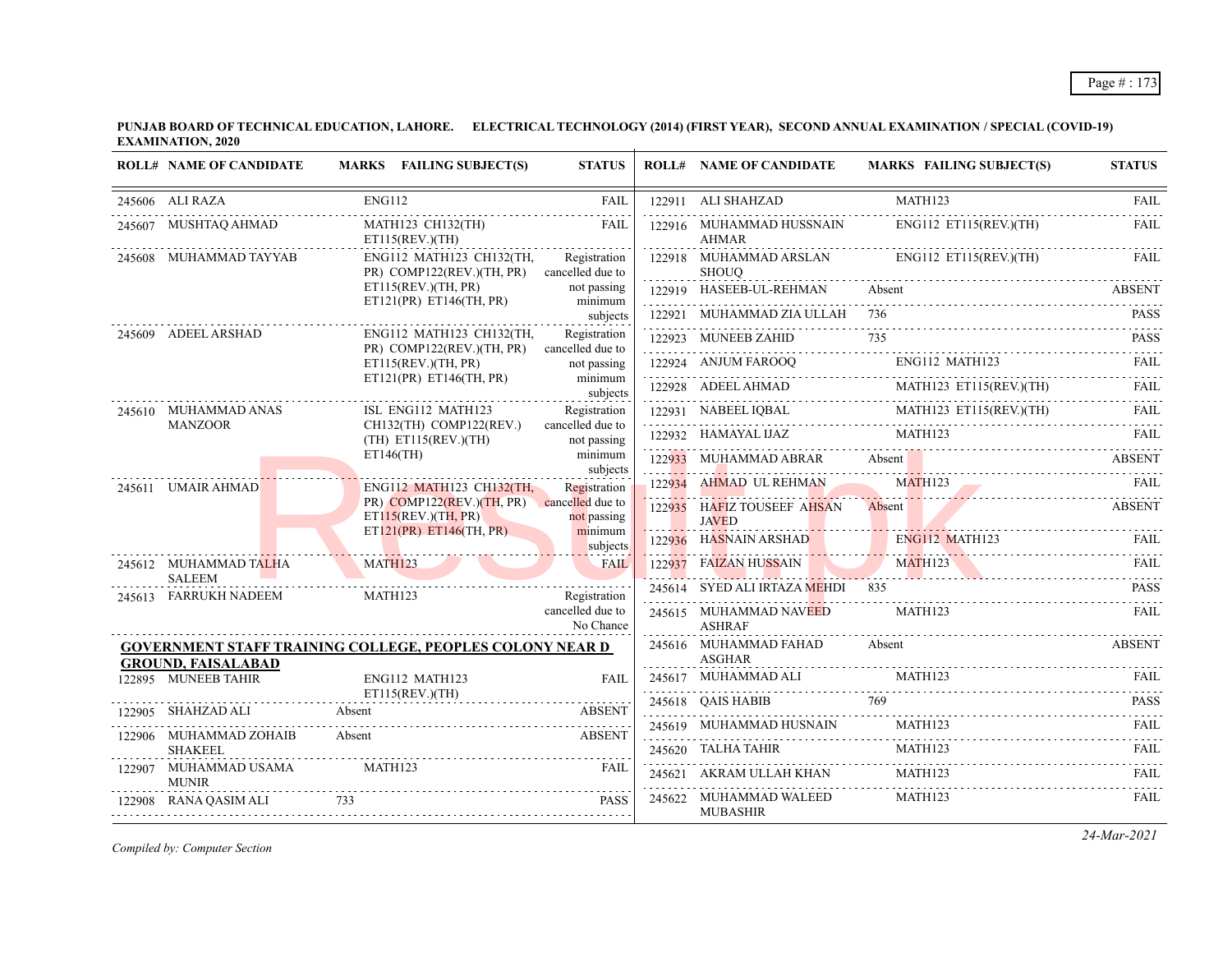| <b>ROLL# NAME OF CANDIDATE</b>                          | MARKS FAILING SUBJECT(S)                                               | <b>STATUS</b>                    | <b>ROLL# NAME OF CANDIDATE</b>                    | <b>MARKS FAILING SUBJECT(S)</b>                                                                                                                                                                                                   | <b>STATUS</b> |
|---------------------------------------------------------|------------------------------------------------------------------------|----------------------------------|---------------------------------------------------|-----------------------------------------------------------------------------------------------------------------------------------------------------------------------------------------------------------------------------------|---------------|
| 245606 ALI RAZA                                         | <b>ENG112</b>                                                          | FAIL                             | 122911 ALI SHAHZAD                                | MATH123                                                                                                                                                                                                                           | FAII.         |
| 245607 MUSHTAQ AHMAD                                    | MATH123 CH132(TH)<br>ET115(REV.)(TH)                                   | FAIL                             | 122916 MUHAMMAD HUSSNAIN<br><b>AHMAR</b>          | ENG112 ET115(REV.)(TH)                                                                                                                                                                                                            | <b>FAIL</b>   |
| 245608 MUHAMMAD TAYYAB                                  | ENG112 MATH123 CH132(TH,<br>PR) COMP122(REV.)(TH, PR) cancelled due to | Registration                     | SHOUO                                             | 122918 MUHAMMAD ARSLAN ENG112 ET115(REV.)(TH)                                                                                                                                                                                     | FAIL          |
|                                                         | ET115(REV.)(TH, PR)<br>ET121(PR) ET146(TH, PR)                         | not passing<br>minimum           | 122919 HASEEB-UL-REHMAN Absent                    |                                                                                                                                                                                                                                   | <b>ABSENT</b> |
|                                                         |                                                                        | subjects                         | 122921 MUHAMMAD ZIA ULLAH 736                     |                                                                                                                                                                                                                                   | <b>PASS</b>   |
| 245609 ADEEL ARSHAD                                     | ENG112 MATH123 CH132(TH,<br>PR) COMP122(REV.)(TH, PR)                  | Registration<br>cancelled due to | 122923 MUNEEB ZAHID                               | 735<br>122923 MUNEEB ZAHID 735 PASS                                                                                                                                                                                               |               |
|                                                         | ET115(REV.)(TH, PR)                                                    | not passing                      |                                                   | ENG112 MATH123<br>122924 ANJUM FAROOQ ENG112 MATH123<br>MATH123 ET115(REV.)(TH) FAIL                                                                                                                                              |               |
|                                                         | ET121(PR) ET146(TH, PR)                                                | minimum<br>subjects              |                                                   |                                                                                                                                                                                                                                   |               |
| 245610 MUHAMMAD ANAS                                    | ISL ENG112 MATH123                                                     | Registration                     |                                                   | $\begin{tabular}{c c c c} \hline 122928 & ADEEL AHMAD & MATH123 ET115(REV)(TH) & FAIL \\ \hline 122931 & NABEEL IQBAL & MATH123 ET115(REV)(TH) & FAIL \\ \hline 122932 & HAMAYAL IJAZ & MATH123 & & FAIL \\ \hline \end{tabular}$ |               |
| <b>MANZOOR</b>                                          | CH132(TH) COMP122(REV.)<br>(TH) ET115(REV.)(TH)                        | cancelled due to<br>not passing  |                                                   |                                                                                                                                                                                                                                   |               |
|                                                         | $ET146$ (TH)                                                           | minimum<br>subjects              |                                                   | 122933 MUHAMMAD ABRAR Absent Absent ABSENT                                                                                                                                                                                        |               |
| the company of the company of the<br>245611 UMAIR AHMAD | ENG112 MATH123 CH132(TH.                                               | Registration                     | 122934 AHMAD UL REHMAN                            | 122934 AHMAD UL REHMAN MATH123 FAIL                                                                                                                                                                                               |               |
|                                                         | PR) COMP122(REV.)(TH, PR) cancelled due to<br>ET115(REV.)(TH, PR)      | not passing                      | 122935 HAFIZ TOUSEEF AHSAN Absent<br><b>JAVED</b> |                                                                                                                                                                                                                                   | ABSENT        |
|                                                         | ET121(PR) ET146(TH, PR)                                                | minimum<br>subjects              |                                                   | 122936 HASNAIN ARSHAD ENGILE MATHLE3 FAIL FAIL                                                                                                                                                                                    |               |
| 245612 MUHAMMAD TALHA<br><b>SALEEM</b>                  | MATH123                                                                | <b>FAIL</b>                      |                                                   | 122937 FAIZAN HUSSAIN MATH123 FAIL                                                                                                                                                                                                |               |
| 245613 FARRUKH NADEEM                                   | MATH123                                                                | Registration                     | 245614 SYED ALI IRTAZA MEHDI 835                  |                                                                                                                                                                                                                                   | <b>PASS</b>   |
|                                                         |                                                                        | cancelled due to<br>No Chance    | 245615 MUHAMMAD NAVEED<br><b>ASHRAF</b>           | MATH123                                                                                                                                                                                                                           | FAIL          |
| <b>GROUND, FAISALABAD</b>                               | <b>GOVERNMENT STAFF TRAINING COLLEGE, PEOPLES COLONY NEAR D</b>        |                                  | 245616 MUHAMMAD FAHAD<br><b>ASGHAR</b>            | Absent                                                                                                                                                                                                                            | <b>ABSENT</b> |
| 122895 MUNEEB TAHIR                                     | ENG112 MATH123                                                         | <b>FAIL</b>                      |                                                   |                                                                                                                                                                                                                                   |               |
| 122905 SHAHZAD ALI                                      | ET115(REV.)(TH)<br>Absent                                              | ABSENT                           |                                                   | 245618 QAIS HABIB 769 PASS                                                                                                                                                                                                        |               |
|                                                         |                                                                        | <b>ABSENT</b>                    | 245619 MUHAMMAD HUSNAIN                           | MATH123                                                                                                                                                                                                                           | FAIL          |
| 122906 MUHAMMAD ZOHAIB<br><b>SHAKEEL</b>                | Absent                                                                 |                                  |                                                   | ${\bf 245620} \quad {\bf TALHA\thinspace TAHIR} \qquad {\bf MATH123} \qquad {\bf FAIL}$                                                                                                                                           |               |
| 122907 MUHAMMAD USAMA<br><b>MUNIR</b>                   | MATH123                                                                | <b>FAIL</b>                      | 245621 AKRAM ULLAH KHAN                           | MATH123                                                                                                                                                                                                                           | FAIL          |
| 122908 RANA QASIM ALI 733                               | 908 RANA QASIM ALI 733 PASS                                            | <b>PASS</b>                      | 245622 MUHAMMAD WALEED<br><b>MUBASHIR</b>         | MATH123                                                                                                                                                                                                                           | <b>FAIL</b>   |

*Compiled by: Computer Section*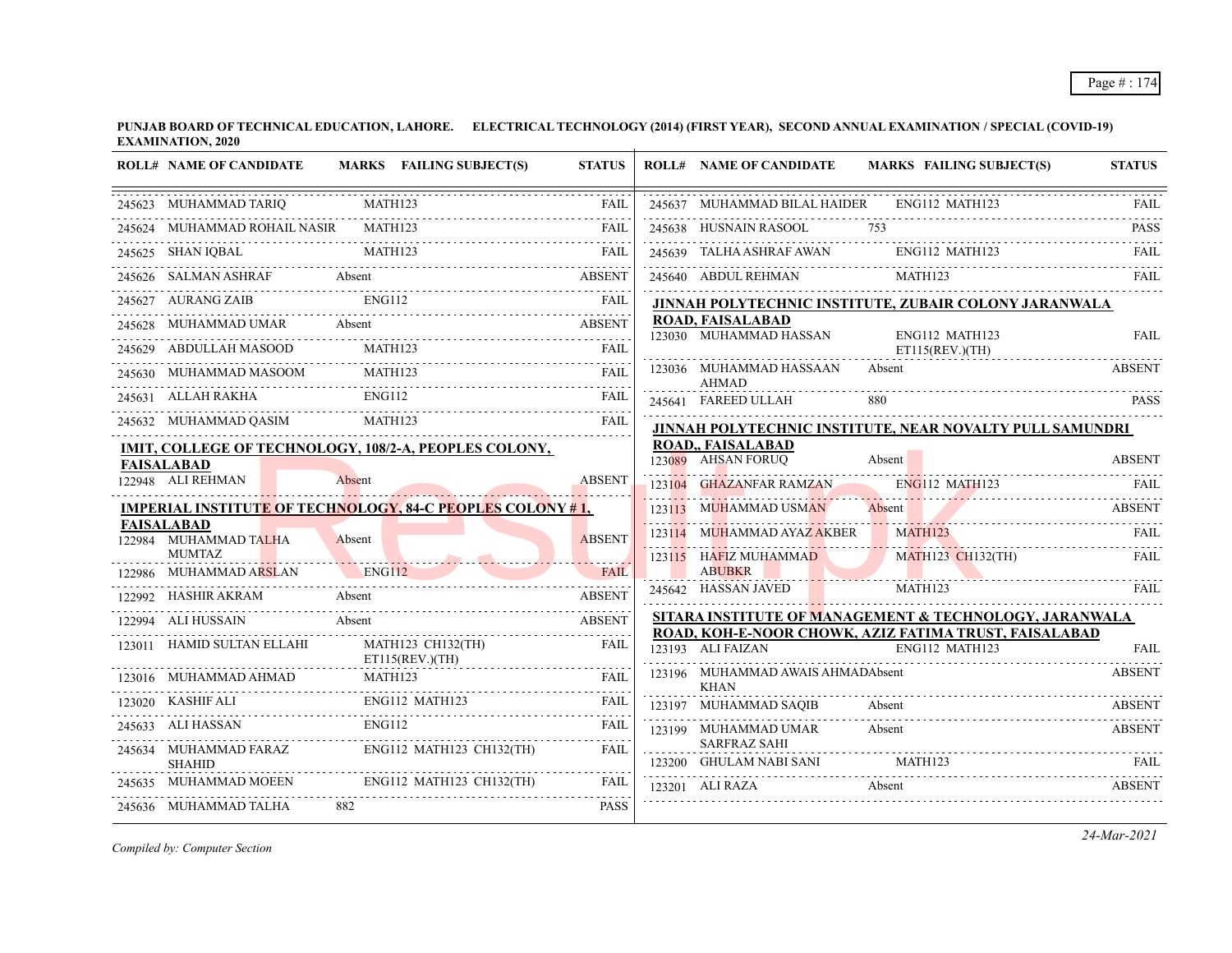| <b>ROLL# NAME OF CANDIDATE</b>         | MARKS FAILING SUBJECT(S)                                                       | <b>STATUS</b> | <b>ROLL# NAME OF CANDIDATE</b>                         | <b>MARKS FAILING SUBJECT(S)</b>                                                                                                    | <b>STATUS</b> |
|----------------------------------------|--------------------------------------------------------------------------------|---------------|--------------------------------------------------------|------------------------------------------------------------------------------------------------------------------------------------|---------------|
| 245623 MUHAMMAD TARIQ                  | MATH123                                                                        | <b>FAIL</b>   | 245637 MUHAMMAD BILAL HAIDER ENG112 MATH123            |                                                                                                                                    | FAIL          |
| 245624 MUHAMMAD ROHAIL NASIR MATH123   |                                                                                | <b>FAIL</b>   | 245638 HUSNAIN RASOOL                                  | 753                                                                                                                                | <b>PASS</b>   |
| 245625 SHAN IQBAL                      | <b>MATH123</b>                                                                 | FAIL          | 245639 TALHA ASHRAF AWAN                               | ENG112 MATH123                                                                                                                     |               |
| 245626 SALMAN ASHRAF Absent            | <b>ABSENT</b>                                                                  |               |                                                        |                                                                                                                                    |               |
| 245627 AURANG ZAIB ENG112              |                                                                                | FAIL          |                                                        | JINNAH POLYTECHNIC INSTITUTE, ZUBAIR COLONY JARANWALA                                                                              |               |
|                                        | 245628 MUHAMMAD UMAR Absent                                                    | <b>ABSENT</b> | <b>ROAD, FAISALABAD</b><br>123030 MUHAMMAD HASSAN      | ENG112 MATH123                                                                                                                     | <b>FAIL</b>   |
| 245629 ABDULLAH MASOOD                 | <b>MATH123</b>                                                                 | FAIL          |                                                        | $ET115$ (REV.)(TH)                                                                                                                 |               |
|                                        | 245630 MUHAMMAD MASOOM MATH123 FAIL                                            |               | 123036 MUHAMMAD HASSAAN<br>AHMAD                       | Absent                                                                                                                             | <b>ABSENT</b> |
| 245631 ALLAH RAKHA                     | <b>ENG112</b>                                                                  | FAIL          | 245641 FAREED ULLAH                                    | 880                                                                                                                                | <b>PASS</b>   |
| 245632 MUHAMMAD QASIM                  | MATH123                                                                        | FAIL          |                                                        | JINNAH POLYTECHNIC INSTITUTE, NEAR NOVALTY PULL SAMUNDRI                                                                           |               |
|                                        | IMIT, COLLEGE OF TECHNOLOGY, 108/2-A, PEOPLES COLONY,                          |               | <b>ROAD,, FAISALABAD</b>                               |                                                                                                                                    |               |
| <b>FAISALABAD</b><br>122948 ALI REHMAN |                                                                                | <b>ABSENT</b> | 123089 AHSAN FORUO                                     | Absent                                                                                                                             | <b>ABSENT</b> |
|                                        | Absent                                                                         |               | 123104 GHAZANFAR RAMZAN ENG112 MATH123                 |                                                                                                                                    |               |
| <b>FAISALABAD</b>                      | <u>IMPERIAL INSTITUT<mark>E OF TECHNO</mark>LOGY, 84-C PEOPLES COLONY # 1,</u> |               | 123113 MUHAMMAD USMAN                                  | Absent                                                                                                                             | <b>ABSENT</b> |
| 122984 MUHAMMAD TALHA                  | Absent                                                                         | <b>ABSENT</b> | 123114 MUHAMMAD AYAZ AKBER MATH123                     |                                                                                                                                    | FAIL          |
| <b>MUMTAZ</b>                          |                                                                                |               | 123115 HAFIZ MUHAMMAD                                  | <b>MATH123 CH132(TH)</b>                                                                                                           | FAIL          |
| 122986 MUHAMMAD ARSLAN                 | ENG <sub>112</sub>                                                             | <b>FAIL</b>   | ABUBKR                                                 | <u> 1988 - Johann Johann Stein, Stein fan it Stein fan it Stein fan it Stein fan it Stein fan it Stein fan it Stein</u><br>MATH123 | FAIL          |
| 122992 HASHIR AKRAM                    | Absent                                                                         | <b>ABSENT</b> | 245642 HASSAN JAVED                                    |                                                                                                                                    |               |
| 122994 ALI HUSSAIN                     | Absent                                                                         | ABSENT        |                                                        | SITARA INSTITUTE OF MANAGEMENT & TECHNOLOGY, JARANWALA                                                                             |               |
| 123011 HAMID SULTAN ELLAHI             | MATH123 CH132(TH)<br>ET115(REV.)(TH)                                           | <b>FAIL</b>   | 123193 ALI FAIZAN                                      | ROAD, KOH-E-NOOR CHOWK, AZIZ FATIMA TRUST, FAISALABAD<br>ENG112 MATH123                                                            | <b>FAIL</b>   |
|                                        |                                                                                | FAIL          | 123196 MUHAMMAD AWAIS AHMADAbsent<br>KHAN              |                                                                                                                                    | <b>ABSENT</b> |
| 123020 KASHIF ALI                      | ENG112 MATH123                                                                 | <b>FAIL</b>   | 123197 MUHAMMAD SAQIB                                  | Absent                                                                                                                             | <b>ABSENT</b> |
| 245633 ALI HASSAN                      | <b>ENG112</b>                                                                  | FAIL          | 123199 MUHAMMAD UMAR                                   | Absent                                                                                                                             | <b>ABSENT</b> |
| 245634 MUHAMMAD FARAZ<br><b>SHAHID</b> | ENG112 MATH123 CH132(TH)                                                       | .<br>FAIL     | <b>SARFRAZ SAHI</b><br>123200 GHULAM NABI SANI MATH123 |                                                                                                                                    |               |
| 245635 MUHAMMAD MOEEN                  | ENG112 MATH123 CH132(TH)                                                       | FAIL          | 123201 ALI RAZA                                        | Absent                                                                                                                             | <b>ABSENT</b> |
| 245636 MUHAMMAD TALHA                  | 882                                                                            | <b>PASS</b>   |                                                        |                                                                                                                                    |               |

*Compiled by: Computer Section*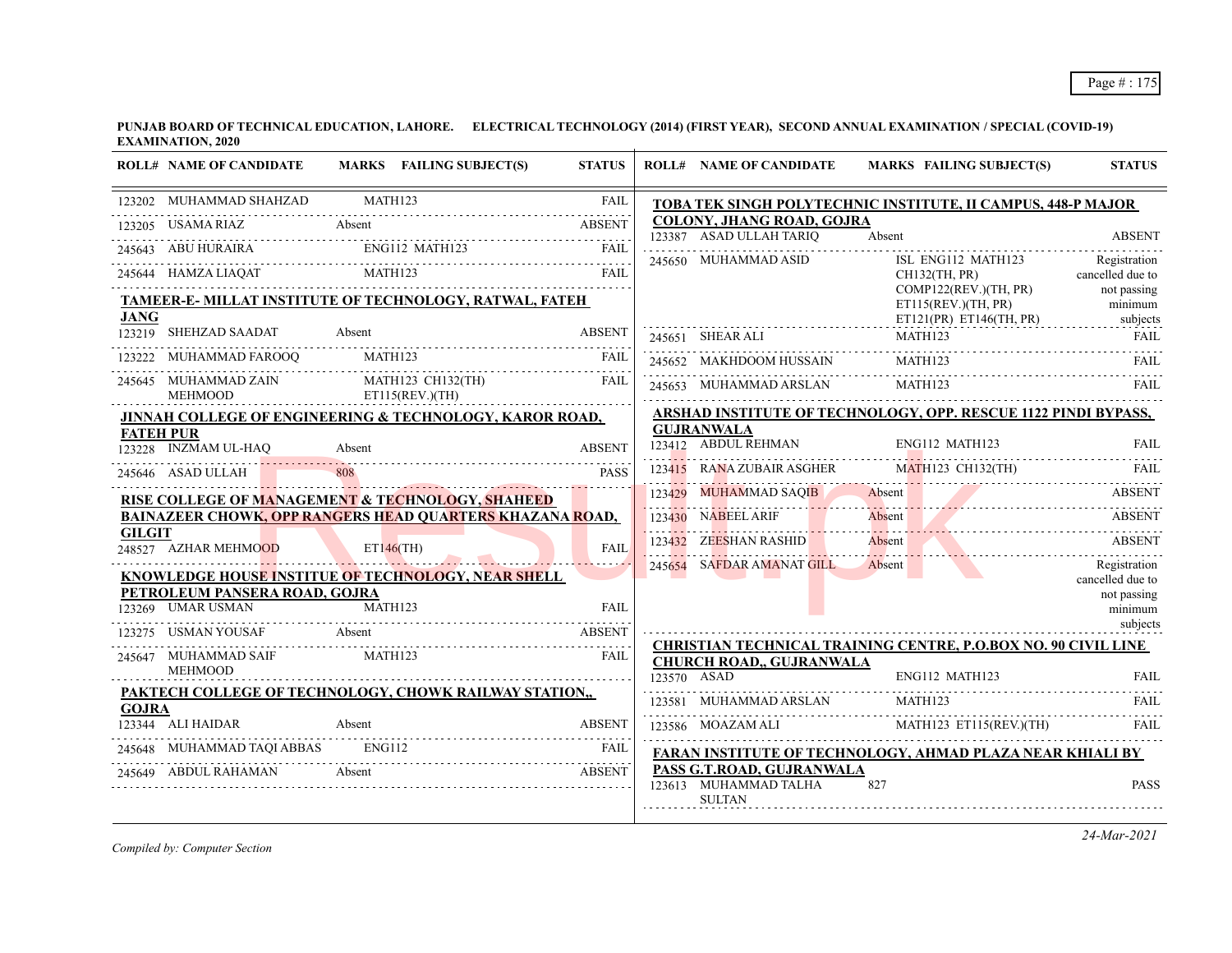|               | <b>ROLL# NAME OF CANDIDATE</b>                   |         | MARKS FAILING SUBJECT(S)                                           | <b>STATUS</b> |        | <b>ROLL# NAME OF CANDIDATE</b>                                      | <b>MARKS FAILING SUBJECT(S)</b>                                         | <b>STATUS</b>                      |
|---------------|--------------------------------------------------|---------|--------------------------------------------------------------------|---------------|--------|---------------------------------------------------------------------|-------------------------------------------------------------------------|------------------------------------|
|               | 123202 MUHAMMAD SHAHZAD                          | MATH123 |                                                                    | <b>FAIL</b>   |        |                                                                     | TOBA TEK SINGH POLYTECHNIC INSTITUTE, II CAMPUS, 448-P MAJOR            |                                    |
| 123205        | USAMA RIAZ                                       | Absent  |                                                                    | <b>ABSENT</b> |        | COLONY, JHANG ROAD, GOJRA                                           |                                                                         |                                    |
|               | ABU HURAIRA                                      |         | ENG112 MATH123                                                     | <b>FAIL</b>   |        | 123387 ASAD ULLAH TARIQ                                             | Absent                                                                  | <b>ABSENT</b><br>.                 |
|               | 245644 HAMZA LIAQAT                              | MATH123 |                                                                    | <b>FAIL</b>   |        | 245650 MUHAMMAD ASID                                                | ISL ENG112 MATH123<br>CH132(TH, PR)                                     | Registration<br>cancelled due to   |
| <b>JANG</b>   |                                                  |         | TAMEER-E- MILLAT INSTITUTE OF TECHNOLOGY, RATWAL, FATEH            |               |        |                                                                     | COMP122(REV.)(TH, PR)<br>ET115(REV.)(TH, PR)<br>ET121(PR) ET146(TH, PR) | not passing<br>minimum<br>subjects |
|               | 123219 SHEHZAD SAADAT                            | Absent  |                                                                    | <b>ABSENT</b> |        | 245651 SHEAR ALI                                                    | MATH123                                                                 | FAIL                               |
|               | MUHAMMAD FAROOQ                                  |         | MATH123                                                            | FAIL          |        | 245652 MAKHDOOM HUSSAIN                                             | MATH123                                                                 | FAIL                               |
|               | 245645 MUHAMMAD ZAIN<br><b>MEHMOOD</b>           |         | MATH123 CH132(TH)<br>ET115(REV.)(TH)                               | <b>FAIL</b>   |        | 245653 MUHAMMAD ARSLAN                                              | MATH123                                                                 | <b>FAIL</b>                        |
|               |                                                  |         | <b>JINNAH COLLEGE OF ENGINEERING &amp; TECHNOLOGY, KAROR ROAD,</b> |               |        |                                                                     | ARSHAD INSTITUTE OF TECHNOLOGY, OPP. RESCUE 1122 PINDI BYPASS,          |                                    |
|               | <b>FATEH PUR</b>                                 |         |                                                                    |               |        | <b>GUJRANWALA</b>                                                   |                                                                         |                                    |
|               | 123228 INZMAM UL-HAO                             | Absent  |                                                                    | <b>ABSENT</b> |        | 123412 ABDUL REHMAN                                                 | ENG112 MATH123                                                          | FAII.                              |
|               | 245646 ASAD ULLAH                                |         |                                                                    | <b>PASS</b>   |        | 123415 RANA ZUBAIR ASGHER                                           | <b>MATH123 CH132(TH)</b>                                                |                                    |
|               | RISE COLLEGE OF MANAGEMENT & TECHNOLOGY, SHAHEED |         |                                                                    |               | 123429 | <b>MUHAMMAD SAQIB</b>                                               | Absent                                                                  | <b>ABSENT</b>                      |
|               |                                                  |         | <b>BAINAZEER CHOWK, OPP RANGERS HEAD QUARTERS KHAZANA ROAD,</b>    |               |        | 123430 NABEEL ARIF                                                  | Absent                                                                  | <b>ABSENT</b>                      |
| <b>GILGIT</b> | 248527 AZHAR MEHMOOD                             |         | $ET146$ (TH)                                                       | <b>FAII</b>   |        | 123432 ZEESHAN RASHID                                               | Absent                                                                  | <b>ABSENT</b>                      |
|               |                                                  |         | <u>KNOWLEDGE HOUSE INSTITUE OF TECHNOLOGY, NEAR SHELL</u>          |               |        | 245654 SAFDAR AMANAT GILL                                           | Absent                                                                  | Registration<br>cancelled due to   |
|               | PETROLEUM PANSERA ROAD, GOJRA                    |         |                                                                    |               |        |                                                                     |                                                                         | not passing                        |
|               | 123269 UMAR USMAN                                | MATH123 |                                                                    | <b>FAIL</b>   |        |                                                                     |                                                                         | minimum                            |
|               | 123275 USMAN YOUSAF                              | Absent  |                                                                    | <b>ABSENT</b> |        |                                                                     |                                                                         | subjects                           |
|               | 245647 MUHAMMAD SAIF<br><b>MEHMOOD</b>           |         | <b>MATH123</b>                                                     | FAIL          |        | <b>CHURCH ROAD., GUJRANWALA</b>                                     | <b>CHRISTIAN TECHNICAL TRAINING CENTRE, P.O.BOX NO. 90 CIVIL LINE</b>   |                                    |
|               |                                                  |         |                                                                    |               |        | 123570 ASAD                                                         | <b>ENG112 MATH123</b>                                                   | FAII.                              |
| <b>GOJRA</b>  |                                                  |         | PAKTECH COLLEGE OF TECHNOLOGY, CHOWK RAILWAY STATION,              |               |        | 123581 MUHAMMAD ARSLAN                                              | <b>MATH123</b>                                                          | FAIL                               |
|               | 123344 ALI HAIDAR                                | Absent  |                                                                    | <b>ABSENT</b> |        | 123586 MOAZAM ALI                                                   | MATH123 ET115(REV.)(TH)                                                 | <b>FAIL</b>                        |
|               | 245648 MUHAMMAD TAOI ABBAS                       | ENG112  |                                                                    | <b>FAIL</b>   |        |                                                                     | FARAN INSTITUTE OF TECHNOLOGY, AHMAD PLAZA NEAR KHIALI BY               |                                    |
|               | 245649 ABDUL RAHAMAN                             | Absent  |                                                                    | <b>ABSENT</b> |        | PASS G.T.ROAD, GUJRANWALA<br>123613 MUHAMMAD TALHA<br><b>SULTAN</b> | 827                                                                     | <b>PASS</b>                        |
|               |                                                  |         |                                                                    |               |        |                                                                     |                                                                         |                                    |

*Compiled by: Computer Section*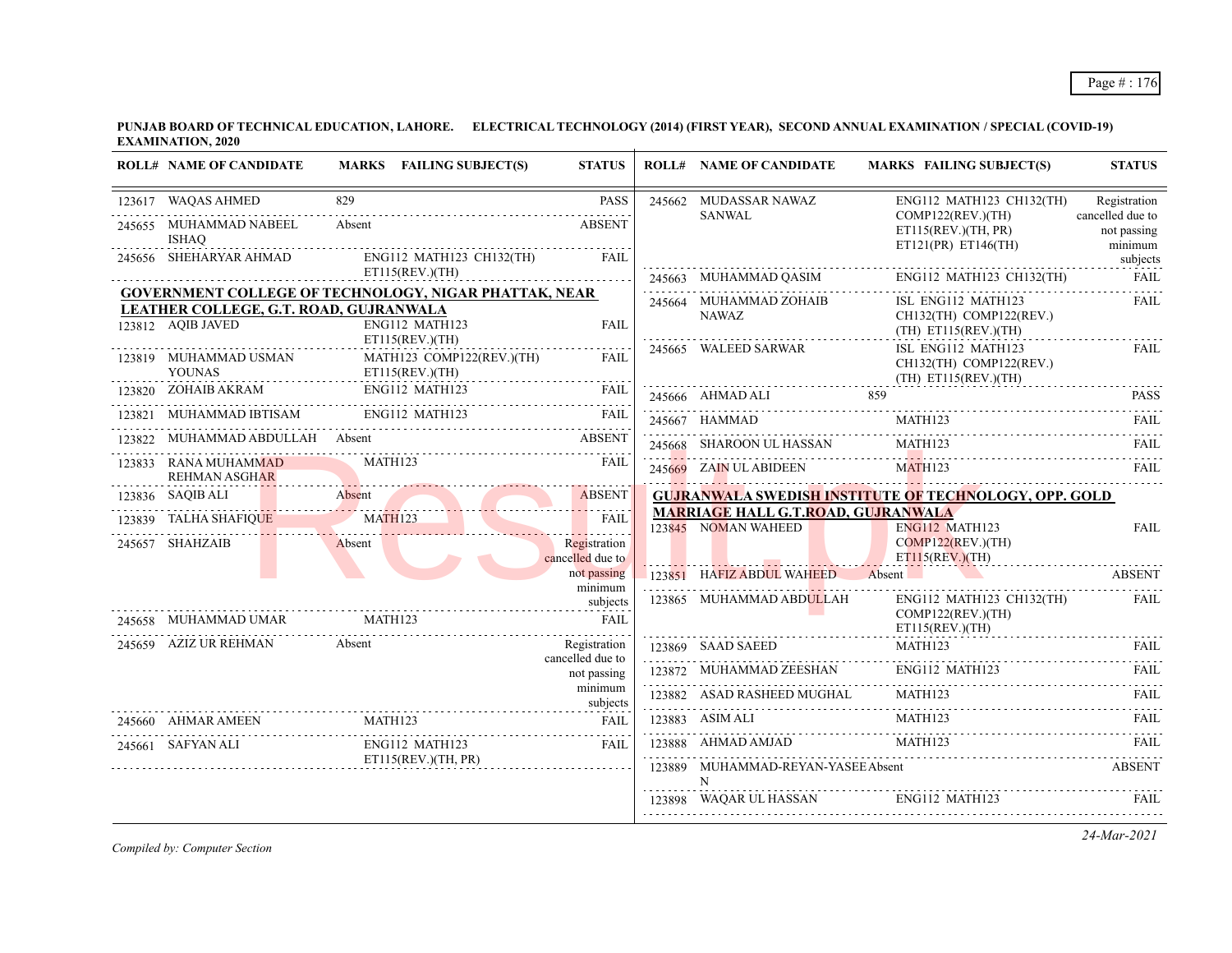|        | <b>ROLL# NAME OF CANDIDATE</b>                              | MARKS FAILING SUBJECT(S)                                     | <b>STATUS</b>                    | <b>ROLL# NAME OF CANDIDATE</b>                                   | <b>MARKS FAILING SUBJECT(S)</b>                                         | <b>STATUS</b>                    |
|--------|-------------------------------------------------------------|--------------------------------------------------------------|----------------------------------|------------------------------------------------------------------|-------------------------------------------------------------------------|----------------------------------|
|        | 123617 WAQAS AHMED<br>245655 MUHAMMAD NABEEL                | 829<br>Absent                                                | <b>PASS</b><br><b>ABSENT</b>     | 245662 MUDASSAR NAWAZ<br><b>SANWAL</b>                           | $ENG112$ MATH123 CH132(TH)<br>COMP122(REV.)(TH)                         | Registration<br>cancelled due to |
|        | <b>ISHAO</b><br>245656 SHEHARYAR AHMAD                      | ENG112 MATH123 CH132(TH)                                     | FAIL                             |                                                                  | ET115(REV.)(TH, PR)<br>ET121(PR) ET146(TH)                              | not passing<br>minimum           |
|        |                                                             | ET115(REV.)(TH)                                              |                                  | 245663 MUHAMMAD QASIM                                            | ENG112 MATH123 CH132(TH) FAIL                                           | subjects                         |
|        |                                                             | <b>GOVERNMENT COLLEGE OF TECHNOLOGY, NIGAR PHATTAK, NEAR</b> |                                  | 245664 MUHAMMAD ZOHAIB                                           | ISL ENG112 MATH123                                                      | FAIL                             |
|        | LEATHER COLLEGE, G.T. ROAD, GUJRANWALA<br>123812 AQIB JAVED | ENG112 MATH123<br>ET115(REV.)(TH)                            | <b>FAIL</b>                      | <b>NAWAZ</b>                                                     | CH132(TH) COMP122(REV.)<br>$(TH)$ ET115(REV.)(TH)                       |                                  |
|        | 123819 MUHAMMAD USMAN<br><b>YOUNAS</b>                      | MATH123 COMP122(REV.)(TH)<br>ET115(REV.)(TH)                 | <b>FAIL</b>                      | 245665 WALEED SARWAR                                             | ISL ENG112 MATH123<br>CH132(TH) COMP122(REV.)<br>$(TH)$ ET115(REV.)(TH) | FAIL                             |
|        |                                                             |                                                              | <b>FAIL</b>                      |                                                                  | 24566 AHMAD ALI 859 PASS PASS PASS                                      |                                  |
|        | 123821 MUHAMMAD IBTISAM                                     | ENG112 MATH123                                               | <b>FAIL</b>                      |                                                                  | 245667 HAMMAD MATH123 FAIL                                              |                                  |
| 123822 | MUHAMMAD ABDULLAH Absent                                    |                                                              | <b>ABSENT</b>                    | 245668 SHAROON UL HASSAN                                         | MATH123                                                                 | <b>FAIL</b>                      |
|        | 123833 RANA MUHAMMAD<br><b>REHMAN ASGHAR</b>                | <b>MATH123</b>                                               | <b>FAIL</b>                      | 245669 ZAIN UL ABIDEEN                                           | MATH123                                                                 | FAIL                             |
|        | 123836 SAQIB ALI                                            | 3836 SAQIB ALI Absent ABSENT                                 | <b>ABSENT</b>                    |                                                                  | <b>GUJRANWALA SWEDISH INSTITUTE OF TECHNOLOGY, OPP. GOLD</b>            |                                  |
|        |                                                             | 123839 TALHA SHAFIQUE MATH123 RALL PAIL                      |                                  | <b>MARRIAGE HALL G.T.ROAD, GUJRANWALA</b><br>123845 NOMAN WAHEED | ENG112 MATH123                                                          | <b>FAIL</b>                      |
|        | 245657 SHAHZAIB                                             | Absent                                                       | Registration<br>cancelled due to |                                                                  | COMP122(REV.)(TH)<br>ET115(REV.)(TH)                                    |                                  |
|        |                                                             |                                                              | not passing<br>minimum           |                                                                  | 123851 HAFIZ ABDUL WAHEED Absent                                        | <b>ABSENT</b>                    |
|        | 245658 MUHAMMAD UMAR                                        | <b>MATH123</b>                                               | subjects<br><b>FAIL</b>          | 123865 MUHAMMAD ABD <mark>UL</mark> LAH                          | ENG112 MATH123 CH132(TH)<br>COMP122(REV.)(TH)<br>ET115(REV.)(TH)        | FAIL                             |
|        | 245659 AZIZ UR REHMAN                                       | Absent                                                       | Registration                     |                                                                  | MATH123                                                                 |                                  |
|        |                                                             |                                                              | cancelled due to<br>not passing  | 123872 MUHAMMAD ZEESHAN ENG112 MATH123                           |                                                                         | FAIL.                            |
|        |                                                             | subjects                                                     | minimum                          | 123882 ASAD RASHEED MUGHAL                                       | MATH <sub>123</sub>                                                     | FAIL.                            |
|        |                                                             | MATH123<br>245660 AHMAR AMEEN MATH123 FAIL                   |                                  | 123883 ASIM ALI                                                  | <b>MATH123</b><br>123883 ASIM ALI MATH123 FAIL                          |                                  |
|        | 245661 SAFYAN ALI                                           | ENG112 MATH123                                               | FAIL                             |                                                                  |                                                                         |                                  |
|        |                                                             | ET115(REV.)(TH, PR)                                          |                                  | 123889 MUHAMMAD-REYAN-YASEE Absent<br>N                          |                                                                         | <b>ABSENT</b>                    |
|        |                                                             |                                                              |                                  |                                                                  | 123898 WAQAR UL HASSAN ENG112 MATH123                                   | FAIL.                            |
|        |                                                             |                                                              |                                  |                                                                  |                                                                         |                                  |

*Compiled by: Computer Section*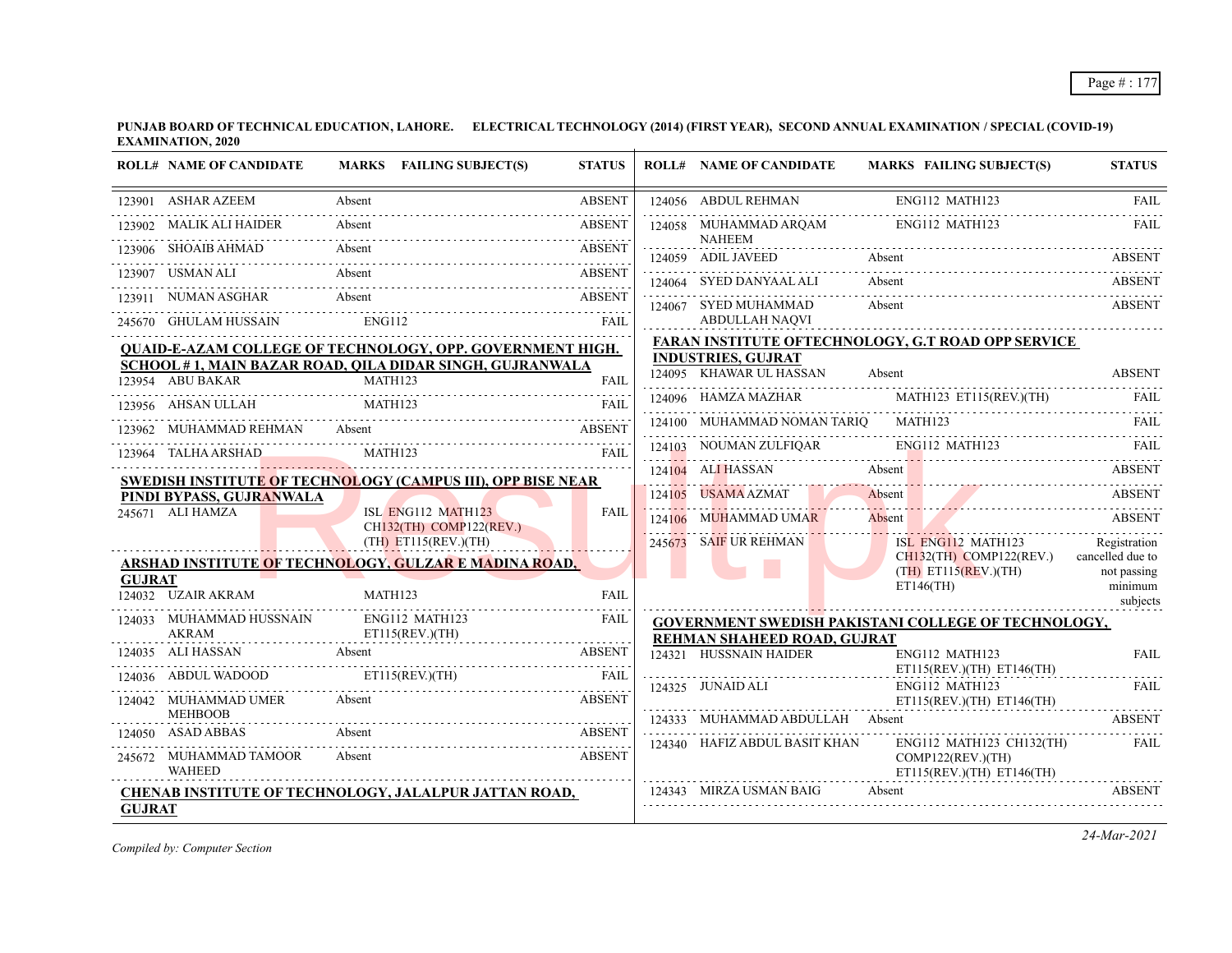| <b>STATUS</b>                                              |
|------------------------------------------------------------|
| FAIL                                                       |
| FAIL                                                       |
| <b>ABSENT</b>                                              |
| <b>ABSENT</b>                                              |
| <b>ABSENT</b>                                              |
|                                                            |
| <b>FARAN INSTITUTE OFTECHNOLOGY, G.T ROAD OPP SERVICE</b>  |
| <b>ABSENT</b>                                              |
|                                                            |
| FAIL                                                       |
| 124103 NOUMAN ZULFIQAR ENG112 MATH123 FAIL                 |
| ABSENT                                                     |
| <b>ABSENT</b><br><u>1000a1</u>                             |
| <b>ABSENT</b>                                              |
| Registration<br>ISL ENG112 MATH123                         |
| $CH132$ (TH) COMP122(REV.) cancelled due to<br>not passing |
| minimum<br>subjects                                        |
| <b>GOVERNMENT SWEDISH PAKISTANI COLLEGE OF TECHNOLOGY,</b> |
|                                                            |
| <b>FAIL</b>                                                |
| <b>FAIL</b>                                                |
| <b>ABSENT</b>                                              |
| FAIL                                                       |
|                                                            |
| <b>ABSENT</b>                                              |
|                                                            |

*Compiled by: Computer Section*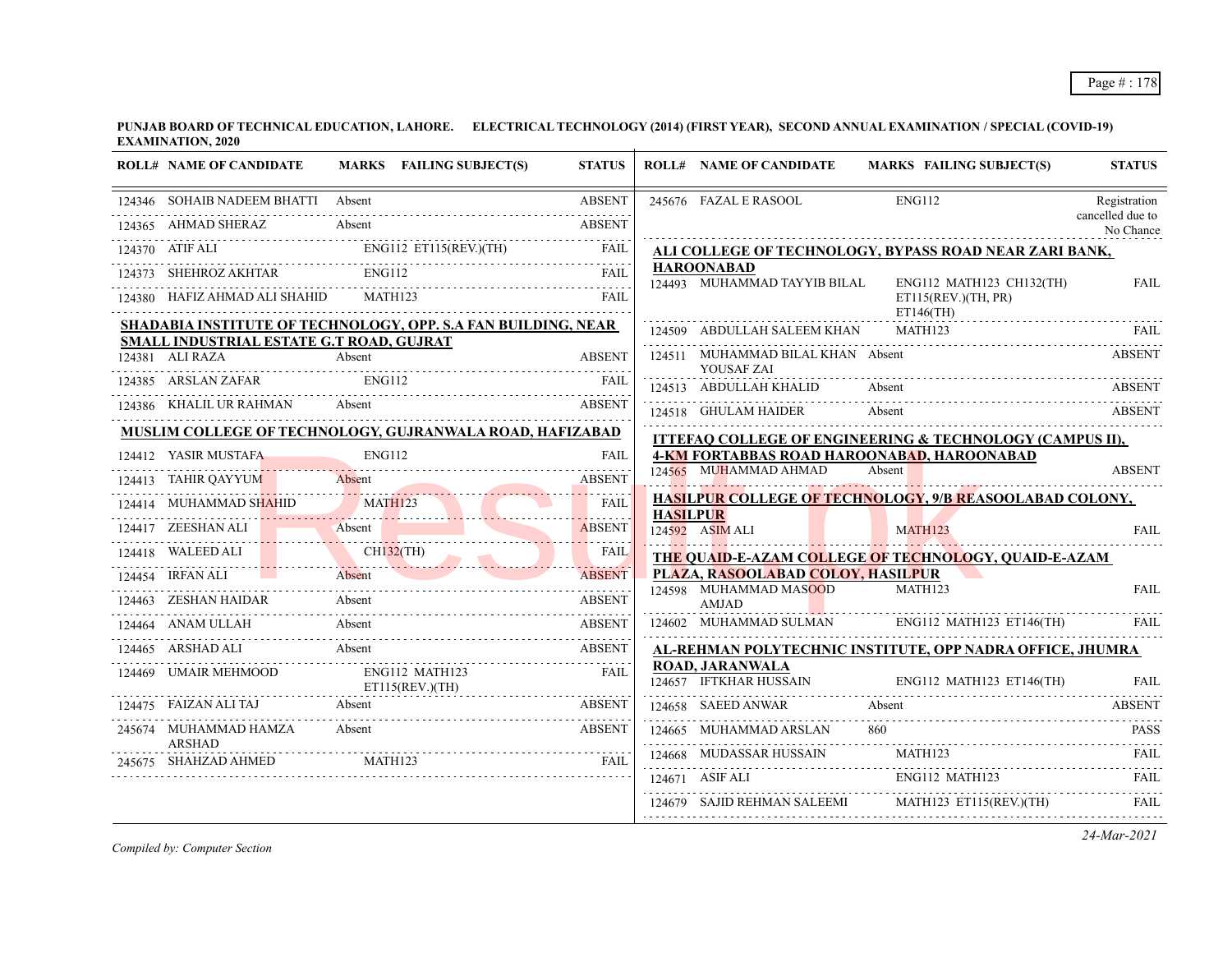| <b>ROLL# NAME OF CANDIDATE</b>                                                                                                                                                                                                                                                                                                        | MARKS FAILING SUBJECT(S) | <b>STATUS</b>                             |                 | <b>ROLL# NAME OF CANDIDATE</b>                    | MARKS FAILING SUBJECT(S)                                                     | <b>STATUS</b>                 |
|---------------------------------------------------------------------------------------------------------------------------------------------------------------------------------------------------------------------------------------------------------------------------------------------------------------------------------------|--------------------------|-------------------------------------------|-----------------|---------------------------------------------------|------------------------------------------------------------------------------|-------------------------------|
| 124346 SOHAIB NADEEM BHATTI Absent                                                                                                                                                                                                                                                                                                    |                          | <b>ABSENT</b>                             |                 | 245676 FAZAL E RASOOL                             | <b>ENG112</b>                                                                | Registration                  |
| 124365 AHMAD SHERAZ                                                                                                                                                                                                                                                                                                                   | Absent                   | <b>ABSENT</b>                             |                 |                                                   |                                                                              | cancelled due to<br>No Chance |
| $\begin{tabular}{lllllllll} \multicolumn{2}{l}{{\bf 124370}} & {\bf ATF ALL} & {\bf ENG112} & {\bf ETI15} ({\bf REV.})(TH) & {\bf FAIL} \\ \multicolumn{2}{l}{\bf 124373} & {\bf SHEHROZ AKHTAR} & {\bf ENG112} & {\bf FAIIC} \\ \multicolumn{2}{l}{\bf 124373} & {\bf SHEHROZ AKHTAR} & {\bf ENG112} & {\bf FAIIC} \\ \end{tabular}$ |                          |                                           |                 |                                                   | ALI COLLEGE OF TECHNOLOGY, BYPASS ROAD NEAR ZARI BANK,                       |                               |
|                                                                                                                                                                                                                                                                                                                                       |                          |                                           |                 | <b>HAROONABAD</b><br>124493 MUHAMMAD TAYYIB BILAL | ENG112 MATH123 CH132(TH)                                                     | <b>FAIL</b>                   |
| 124380 HAFIZ AHMAD ALI SHAHID                                                                                                                                                                                                                                                                                                         | MATH123                  | FAIL                                      |                 |                                                   | ET115(REV.)(TH, PR)<br>$ET146$ (TH)                                          |                               |
| SHADABIA INSTITUTE OF TECHNOLOGY, OPP. S.A FAN BUILDING, NEAR<br><b>SMALL INDUSTRIAL ESTATE G.T ROAD, GUJRAT</b>                                                                                                                                                                                                                      |                          |                                           |                 | 124509 ABDULLAH SALEEM KHAN                       | MATH123                                                                      | FAIL                          |
| 124381 ALI RAZA                                                                                                                                                                                                                                                                                                                       | Absent                   | <b>ABSENT</b>                             |                 | 124511 MUHAMMAD BILAL KHAN Absent                 |                                                                              | <b>ABSENT</b>                 |
| 124385 ARSLAN ZAFAR ENG112                                                                                                                                                                                                                                                                                                            |                          | FAIL                                      |                 | YOUSAF ZAI<br>124513 ABDULLAH KHALID              | Absent                                                                       | <b>ABSENT</b>                 |
| 124386 KHALIL UR RAHMAN Absent ABSENT                                                                                                                                                                                                                                                                                                 |                          |                                           |                 | 124518 GHULAM HAIDER                              | Absent                                                                       | <b>ABSENT</b>                 |
| MUSLIM COLLEGE OF TECHNOLOGY, GUJRANWALA ROAD, HAFIZABAD                                                                                                                                                                                                                                                                              |                          |                                           |                 |                                                   | ITTEFAQ COLLEGE OF ENGINEERING & TECHNOLOGY (CAMPUS II),                     |                               |
| 124412 YASIR MUSTAFA                                                                                                                                                                                                                                                                                                                  | <b>ENG112</b>            | <b>FAIL</b>                               |                 |                                                   | <b>4-KM FORTABBAS ROAD HAROONABAD, HAROONABAD</b>                            |                               |
| 124413 TAHIR QAYYUM<br>413 TAHIR QAYYUM Absent                                                                                                                                                                                                                                                                                        |                          | <b>ABSENT</b>                             |                 | 124565 MUHAMMAD AHMAD                             | Absent                                                                       | <b>ABSENT</b>                 |
| 124414 MUHAMMAD SHAHID MATH123                                                                                                                                                                                                                                                                                                        |                          | <b>FAIL</b>                               | <b>HASILPUR</b> |                                                   | HASILPUR COLLEGE OF TECHNOLOGY, 9/B REASOOLABAD COLONY,                      |                               |
| 124417 ZEESHAN ALI                                                                                                                                                                                                                                                                                                                    | Absent                   | .<br>ABSENT                               |                 | 124592 ASIM ALI                                   | MATH123                                                                      | FAII.                         |
| 124418 WALEED ALI CH132(TH)                                                                                                                                                                                                                                                                                                           |                          | FAIL                                      |                 |                                                   | THE QUAID-E-AZAM COLLEGE OF TECHNOLOGY, QUAID-E-AZAM                         |                               |
| 124454 IRFAN ALI Absent                                                                                                                                                                                                                                                                                                               |                          | <b>ABSENT</b><br><b>Contract Contract</b> |                 | PLAZA, RASOOLABAD COLOY, HASILPUR                 |                                                                              |                               |
| 124463 ZESHAN HAIDAR                                                                                                                                                                                                                                                                                                                  | Absent                   | <b>ABSENT</b>                             |                 | 124598 MUHAMMAD MASOOD<br>AMJAD                   | <b>MATH123</b>                                                               | <b>FAIL</b>                   |
| 124464 ANAM ULLAH Absent                                                                                                                                                                                                                                                                                                              |                          | ABSENT                                    |                 | 124602 MUHAMMAD SULMAN                            | $ENG112$ MATH123 ET146(TH)                                                   | - FAIL                        |
| 124465 ARSHAD ALI Absent ABSENT                                                                                                                                                                                                                                                                                                       |                          |                                           |                 |                                                   | AL-REHMAN POLYTECHNIC INSTITUTE, OPP NADRA OFFICE, JHUMRA                    |                               |
| 124469 UMAIR MEHMOOD                                                                                                                                                                                                                                                                                                                  | ENG112 MATH123           | <b>FAIL</b>                               |                 | <b>ROAD, JARANWALA</b>                            | 124657 IFTKHAR HUSSAIN ENG112 MATH123 ET146(TH)                              | FAII.                         |
| 124475 FAIZAN ALI TAJ Absent<br>Absent ABSENT<br>Absent ABSENT ABSENT ABSENT                                                                                                                                                                                                                                                          |                          |                                           |                 | 124658 SAEED ANWAR Absent                         |                                                                              | <b>ABSENT</b>                 |
| 245674 MUHAMMAD HAMZA Absent<br>ARSHAD                                                                                                                                                                                                                                                                                                |                          | ABSENT                                    |                 | 124665 MUHAMMAD ARSLAN                            |                                                                              | <b>PASS</b>                   |
| 245675 SHAHZAD AHMED MATH123                                                                                                                                                                                                                                                                                                          |                          | FAIL                                      |                 |                                                   |                                                                              |                               |
|                                                                                                                                                                                                                                                                                                                                       |                          |                                           |                 |                                                   | 124668 MUDASSAR HUSSAIN MATH123 FAIL ENGI12 MATH123 FAIL ENGI12 MATH123 FAIL |                               |
|                                                                                                                                                                                                                                                                                                                                       |                          |                                           |                 |                                                   | 124679 SAJID REHMAN SALEEMI MATH123 ET115(REV.)(TH)                          | FAIL                          |

*Compiled by: Computer Section*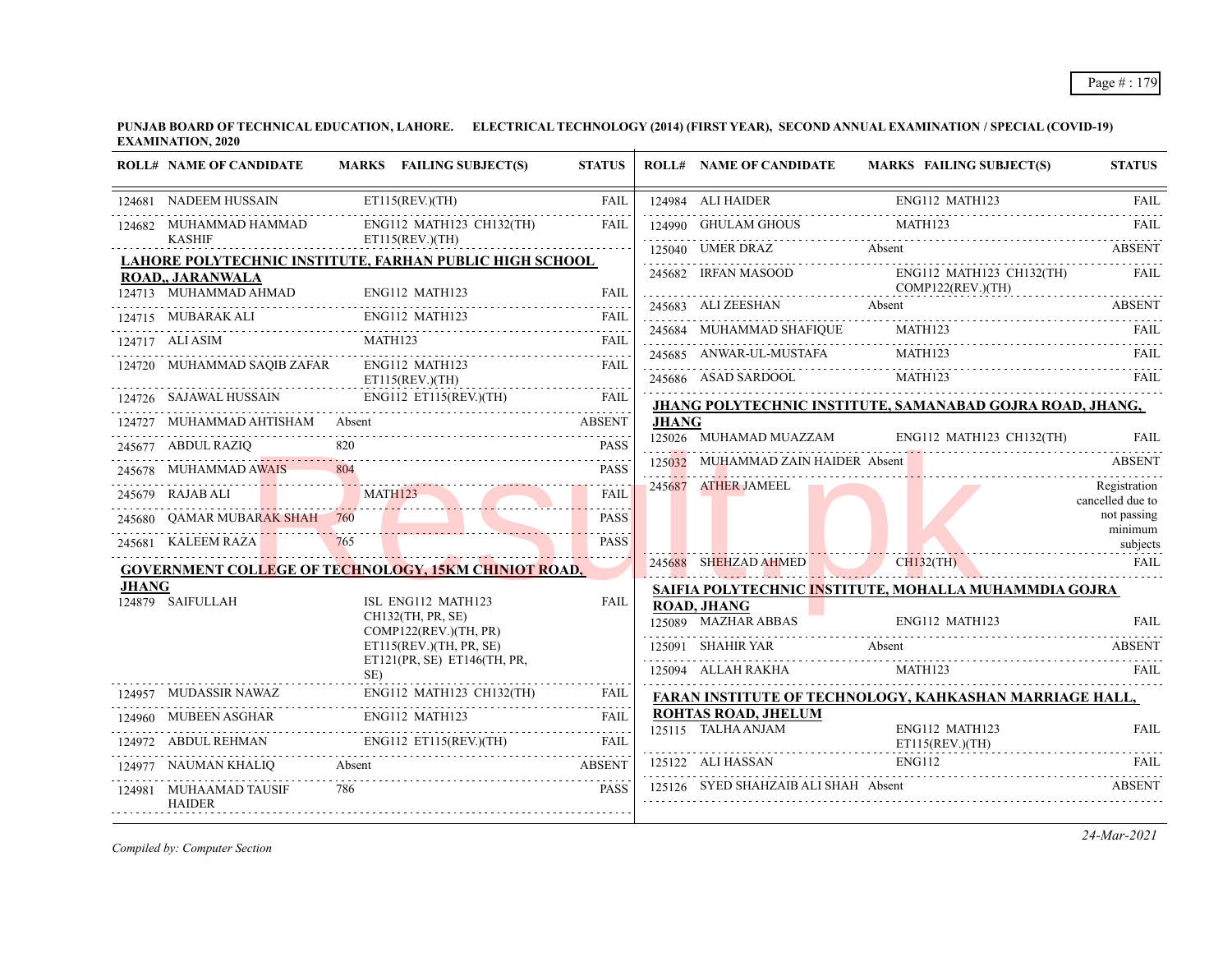|              | <b>ROLL# NAME OF CANDIDATE</b>          |     | MARKS FAILING SUBJECT(S)                                                                                                                                                                                                             | <b>STATUS</b>                   |       | <b>ROLL# NAME OF CANDIDATE</b>                                                                                        |               | <b>MARKS FAILING SUBJECT(S)</b> | <b>STATUS</b>                    |
|--------------|-----------------------------------------|-----|--------------------------------------------------------------------------------------------------------------------------------------------------------------------------------------------------------------------------------------|---------------------------------|-------|-----------------------------------------------------------------------------------------------------------------------|---------------|---------------------------------|----------------------------------|
|              | 124681 NADEEM HUSSAIN                   |     | ET115(REV.)(TH)                                                                                                                                                                                                                      | <b>FAIL</b>                     |       | 124984 ALI HAIDER<br>124984 ALI HAIDER ENG112 MATH123 FAIL                                                            |               | ENG112 MATH123                  |                                  |
|              | 124682 MUHAMMAD HAMMAD<br><b>KASHIF</b> |     | ENG112 MATH123 CH132(TH)                                                                                                                                                                                                             | <b>FAIL</b>                     |       | 124990 GHULAM GHOUS                                                                                                   | MATH123       |                                 | <b>FAIL</b>                      |
|              |                                         |     | ET115(REV.)(TH)<br>LAHORE POLYTECHNIC INSTITUTE, FARHAN PUBLIC HIGH SCHOOL                                                                                                                                                           |                                 |       | 125040 UMER DRAZ Absent ABSENT                                                                                        |               |                                 |                                  |
|              | ROAD,, JARANWALA                        |     |                                                                                                                                                                                                                                      |                                 |       | 245682 IRFAN MASOOD<br>COMP122(REV.)(TH)                                                                              |               | ENG112 MATH123 CH132(TH)        | FAIL                             |
|              |                                         |     | 124713 MUHAMMAD AHMAD ENG112 MATH123 FAIL                                                                                                                                                                                            |                                 |       | 245683 ALI ZEESHAN Absent ABSENT                                                                                      |               |                                 |                                  |
|              | 124715 MUBARAK ALI                      |     | ENG112 MATH123                                                                                                                                                                                                                       |                                 |       | 245684 MUHAMMAD SHAFIQUE MATH123                                                                                      |               |                                 | <b>FAIL</b>                      |
|              | 124717 ALI ASIM                         |     | MATH123<br>24717 ALI ASIM MATH123 FAIL                                                                                                                                                                                               |                                 |       | 245685 ANWAR-UL-MUSTAFA                                                                                               | MATH123       |                                 | FAIL                             |
|              | 124720 MUHAMMAD SAQIB ZAFAR             |     | ENG112 MATH123<br>ET115(REV.)(TH)                                                                                                                                                                                                    | FAIL.                           |       | 245686 ASAD SARDOOL MATH123 FAIL THE MATHEM AND SARDOOL MATH123                                                       |               |                                 |                                  |
|              | 124726 SAJAWAL HUSSAIN                  |     |                                                                                                                                                                                                                                      | <b>FAIL</b>                     |       | JHANG POLYTECHNIC INSTITUTE, SAMANABAD GOJRA ROAD, JHANG,                                                             |               |                                 |                                  |
|              | 124727 MUHAMMAD AHTISHAM Absent         |     |                                                                                                                                                                                                                                      | ABSENT                          | JHANG |                                                                                                                       |               |                                 |                                  |
|              | 245677 ABDUL RAZIQ                      |     | $\frac{620}{10011}$ independence.                                                                                                                                                                                                    | <b>PASS</b>                     |       | 125026 MUHAMAD MUAZZAM                                                                                                |               | ENG112 MATH123 CH132(TH)        | <b>FAIL</b>                      |
|              | 245678 MUHAMMAD AWAIS                   |     |                                                                                                                                                                                                                                      | <b>PASS</b>                     |       | 125032 MUHAMMAD ZAIN HAIDER Absent                                                                                    |               |                                 | ABSENT                           |
|              | MATH123<br>245679 RAJAB ALI             |     | <u>anno 1980 anno 1980 anno 1980 anno 1980 anno 1980 anno 1980 anno 1980 anno 1980 anno 1980 anno 1980 anno 1980 anno 1980 anno 1980 anno 1980 anno 1980 anno 1980 anno 1980 anno 1980 anno 1980 anno 1980 anno 1980 anno 1980 a</u> | $-1 - 1 - 1 - 1$<br><b>FAIL</b> |       | 245687 ATHER JAMEEL                                                                                                   |               |                                 | Registration<br>cancelled due to |
|              | 245680 QAMAR MUBARAK SHAH 760           |     |                                                                                                                                                                                                                                      | <b>PASS</b>                     |       |                                                                                                                       |               |                                 | not passing                      |
|              | 245681 KALEEM RAZA                      | 765 |                                                                                                                                                                                                                                      | <b>PASS</b>                     |       | <u> 11. martin 11. martin 12. martin 12. martin 12. martin 12. martin 12. martin 12. martin 12. martin 12. martin</u> |               |                                 | minimum<br>subjects              |
|              |                                         |     | <b>GOVERNMENT COLLEGE OF TECHNOLOGY, 15KM CHINIOT ROAD,</b>                                                                                                                                                                          |                                 |       | 245688 SHEHZAD AHMED CH132(TH)                                                                                        |               |                                 | FAIL                             |
| <b>JHANG</b> |                                         |     |                                                                                                                                                                                                                                      |                                 |       | SAIFIA POLYTECHNIC INSTITUTE, MOHALLA MUHAMMDIA GOJRA                                                                 |               |                                 |                                  |
|              | 124879 SAIFULLAH                        |     | ISL ENG112 MATH123<br>CH132(TH, PR, SE)<br>COMP122(REV.)(TH, PR)                                                                                                                                                                     | <b>FAIL</b>                     |       | <b>ROAD, JHANG</b><br>125089 MAZHAR ABBAS<br><b>The Company</b>                                                       |               | ENG112 MATH123                  | <b>FAIL</b>                      |
|              |                                         |     | ET115(REV.)(TH, PR, SE)                                                                                                                                                                                                              |                                 |       | 125091 SHAHIR YAR Absent ABSENT ABSENT                                                                                |               |                                 |                                  |
|              |                                         | SE) | ET121(PR, SE) ET146(TH, PR,                                                                                                                                                                                                          |                                 |       | 125094 ALLAH RAKHA                                                                                                    |               | MATH123                         | FAIL                             |
|              | 124957 MUDASSIR NAWAZ                   |     | ENG112 MATH123 CH132(TH)                                                                                                                                                                                                             | FAIL                            |       | FARAN INSTITUTE OF TECHNOLOGY, KAHKASHAN MARRIAGE HALL,                                                               |               |                                 |                                  |
|              |                                         |     | 124960 MUBEEN ASGHAR ENG112 MATH123 FAIL                                                                                                                                                                                             |                                 |       | <b>ROHTAS ROAD, JHELUM</b><br>125115 TALHA ANJAM                                                                      |               | ENG112 MATH123                  | <b>FAIL</b>                      |
|              |                                         |     | 124972 ABDUL REHMAN ENG112 ET115(REV.)(TH) FAIL                                                                                                                                                                                      |                                 |       |                                                                                                                       |               | ET115(REV.)(TH)                 |                                  |
|              | 124977 NAUMAN KHALIQ Absent             |     |                                                                                                                                                                                                                                      | <b>ABSENT</b>                   |       | 125122 ALI HASSAN<br>125122 ALI HASSAN ENG112 FAIL                                                                    | <b>ENG112</b> |                                 |                                  |
|              | 124981 MUHAAMAD TAUSIF<br><b>HAIDER</b> | 786 |                                                                                                                                                                                                                                      | <b>PASS</b>                     |       | 125126 SYED SHAHZAIB ALI SHAH Absent                                                                                  |               |                                 | <b>ABSENT</b>                    |

*Compiled by: Computer Section*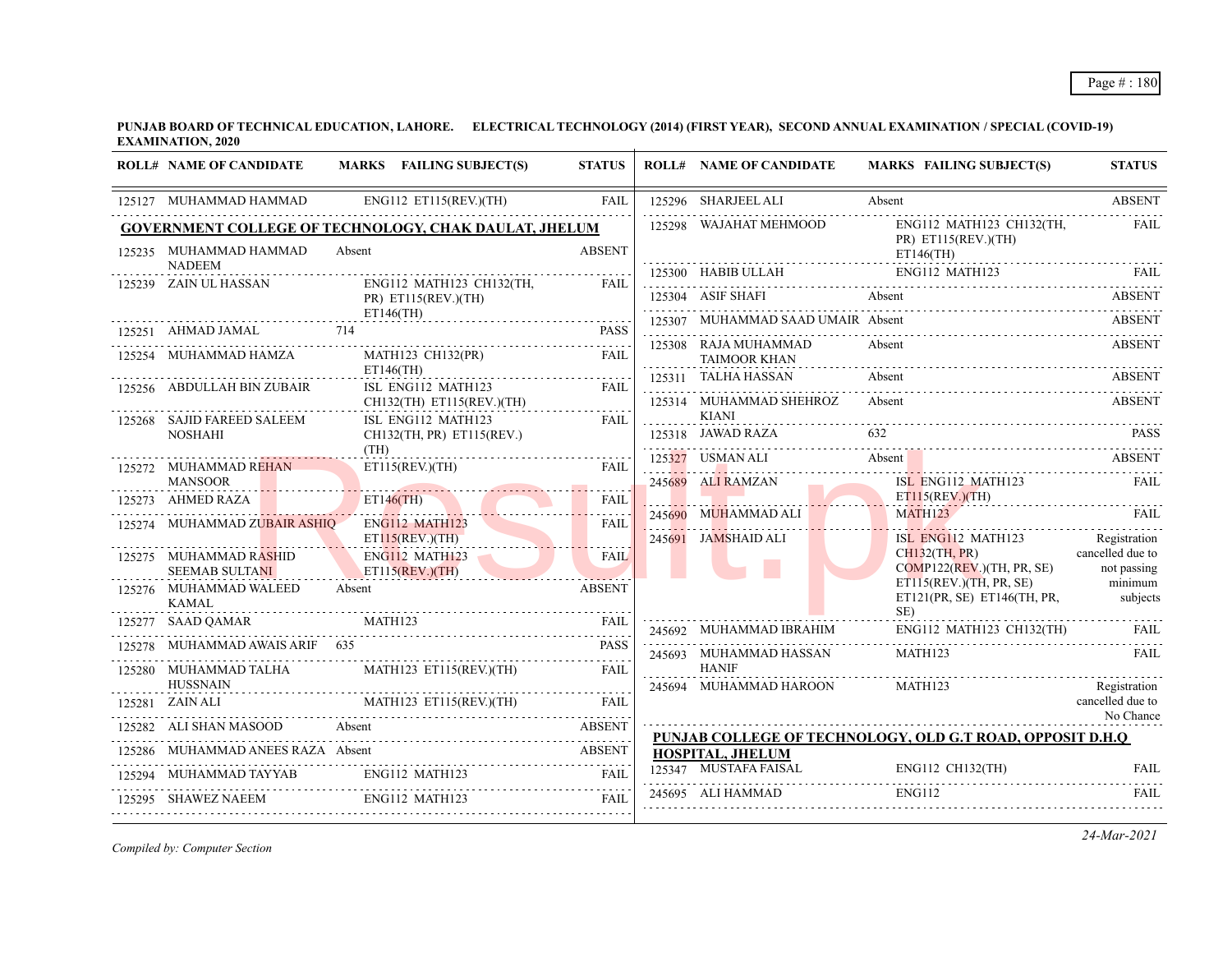| <b>ROLL# NAME OF CANDIDATE</b>                                                                                                                                                                                                                                                                                                                            |        | MARKS FAILING SUBJECT(S)                        | <b>STATUS</b> |   | <b>ROLL# NAME OF CANDIDATE</b>                                                             |            | MARKS FAILING SUBJECT(S)                                                | <b>STATUS</b>                    |
|-----------------------------------------------------------------------------------------------------------------------------------------------------------------------------------------------------------------------------------------------------------------------------------------------------------------------------------------------------------|--------|-------------------------------------------------|---------------|---|--------------------------------------------------------------------------------------------|------------|-------------------------------------------------------------------------|----------------------------------|
| 125127 MUHAMMAD HAMMAD ENG112 ET115(REV.)(TH)                                                                                                                                                                                                                                                                                                             |        |                                                 | <b>FAIL</b>   |   | 125296 SHARJEEL ALI                                                                        | Absent     |                                                                         | <b>ABSENT</b>                    |
| <b>GOVERNMENT COLLEGE OF TECHNOLOGY, CHAK DAULAT, JHELUM</b>                                                                                                                                                                                                                                                                                              |        |                                                 |               |   | 125298 WAJAHAT MEHMOOD                                                                     |            | ENG112 MATH123 CH132(TH, FAIL<br>$PR)$ ET115(REV.)(TH)                  |                                  |
| 125235 MUHAMMAD HAMMAD<br><b>NADEEM</b>                                                                                                                                                                                                                                                                                                                   | Absent |                                                 | <b>ABSENT</b> |   |                                                                                            |            | $ET146$ (TH)                                                            |                                  |
| 125239 ZAIN UL HASSAN                                                                                                                                                                                                                                                                                                                                     |        | ENG112 MATH123 CH132(TH, FAIL                   |               |   |                                                                                            |            |                                                                         |                                  |
|                                                                                                                                                                                                                                                                                                                                                           |        | $PR)$ ET115(REV.)(TH)                           |               |   | 125304 ASIF SHAFI Absent ABSENT ABSENT ABSENT                                              |            |                                                                         |                                  |
| 125251 AHMAD JAMAL 714                                                                                                                                                                                                                                                                                                                                    |        | $ET146$ (TH)                                    | <b>PASS</b>   |   | 125307 MUHAMMAD SAAD UMAIR Absent                                                          |            |                                                                         | <b>ABSENT</b>                    |
| 125254 MUHAMMAD HAMZA                                                                                                                                                                                                                                                                                                                                     |        | MATH123 CH132(PR)                               | FAIL          | . | 125308 RAJA MUHAMMAD<br>TAIMOOR KHAN                                                       | Absent     |                                                                         | <b>ABSENT</b>                    |
| 125256 ABDULLAH BIN ZUBAIR                                                                                                                                                                                                                                                                                                                                |        | $ET146$ (TH)<br>ISL ENG112 MATH123              | FAIL          |   | $125311 \quad \text{TALHA HASSAN} \qquad \qquad \text{Absent} \qquad \qquad \text{ABSENT}$ |            |                                                                         |                                  |
|                                                                                                                                                                                                                                                                                                                                                           |        | CH132(TH) ET115(REV.)(TH)                       |               |   | 125314 MUHAMMAD SHEHROZ Absent                                                             |            |                                                                         | <b>ABSENT</b>                    |
| 125268 SAJID FAREED SALEEM<br><b>NOSHAHI</b>                                                                                                                                                                                                                                                                                                              |        | ISL ENG112 MATH123<br>CH132(TH, PR) ET115(REV.) |               |   | <b>KIANI</b><br>125318 JAWAD RAZA 632 PASS                                                 |            |                                                                         |                                  |
|                                                                                                                                                                                                                                                                                                                                                           | (TH)   |                                                 |               |   | 125327 USMAN ALI                                                                           | Absent No. |                                                                         | <b>ABSENT</b>                    |
| 125272 MUHAMMAD REHAN<br><b>MANSOOR</b>                                                                                                                                                                                                                                                                                                                   |        | ET115(REV.)(TH)                                 | FAIL          |   | 245689 ALI RAMZAN                                                                          |            | ISL ENG112 MATH123                                                      | FAIL                             |
| <b>The Common Service</b><br>125273 AHMED RAZA                                                                                                                                                                                                                                                                                                            |        | ET146(TH)                                       | <b>FAIL</b>   |   |                                                                                            |            | ET115(REV.)(TH)                                                         |                                  |
| 125274 MUHAMMAD ZUBAIR ASHIO                                                                                                                                                                                                                                                                                                                              |        | ENG112 MATH123                                  | <b>FAIL</b>   |   | 245690 MUHAMMAD ALI MATH123 FAIL RAIL                                                      |            |                                                                         |                                  |
|                                                                                                                                                                                                                                                                                                                                                           |        | ET115(REV.)(TH)                                 |               |   | 245691 JAMSHAID ALI                                                                        |            | ISL ENG112 MATH123<br>$CH132$ (TH, PR)                                  | Registration<br>cancelled due to |
| 125275 MUHAMMAD RASHID<br><b>SEEMAB SULTANI</b>                                                                                                                                                                                                                                                                                                           |        | ENG112 MATH123<br>ET115(REV.)(TH)               | <b>FAIL</b>   |   |                                                                                            |            | COMP122(REV.)(TH, PR, SE) not passing                                   |                                  |
| 125276 MUHAMMAD WALEED<br><b>KAMAL</b>                                                                                                                                                                                                                                                                                                                    | Absent |                                                 | <b>ABSENT</b> |   |                                                                                            |            | ET115(REV.)(TH, PR, SE) minimum<br>ET121(PR, SE) ET146(TH, PR, subjects |                                  |
| 125277 SAAD QAMAR MATH123 FAIL FAIL                                                                                                                                                                                                                                                                                                                       |        |                                                 |               |   | 245692 MUHAMMAD IBRAHIM                                                                    |            | SE)<br>ENG112 MATH123 CH132(TH) FAIL                                    |                                  |
| 125278 MUHAMMAD AWAIS ARIF 635                                                                                                                                                                                                                                                                                                                            |        |                                                 |               |   | 245693 MUHAMMAD HASSAN                                                                     |            | MATH123                                                                 | FAIL                             |
| 125280 MUHAMMAD TALHA MATH123 ET115(REV.)(TH) FAIL<br><b>HUSSNAIN</b>                                                                                                                                                                                                                                                                                     |        |                                                 |               |   | <b>HANIF</b><br>245694 MUHAMMAD HAROON                                                     |            | MATH123                                                                 | Registration                     |
|                                                                                                                                                                                                                                                                                                                                                           |        |                                                 |               |   |                                                                                            |            |                                                                         | cancelled due to                 |
| 125282 ALI SHAN MASOOD Absent ABSENT                                                                                                                                                                                                                                                                                                                      |        |                                                 |               |   | No Chance No Chance (No Chance )                                                           |            |                                                                         |                                  |
|                                                                                                                                                                                                                                                                                                                                                           |        |                                                 |               |   | PUNJAB COLLEGE OF TECHNOLOGY, OLD G.T ROAD, OPPOSIT D.H.Q<br>HOSPITAL, JHELUM              |            |                                                                         |                                  |
|                                                                                                                                                                                                                                                                                                                                                           |        |                                                 |               |   | 125347 MUSTAFA FAISAL ENGI12 CH132(TH) FAIL                                                |            |                                                                         |                                  |
| $\begin{tabular}{lllllllllll} \multicolumn{2}{l}{{\bf 125286}} & {\bf MUHAMMAD ANEES RAZA} & \text{Absent} & & & \text{ABSENT} \\ \hline {\color{red}{{\bf 125294}}}& {\bf MUHAMMAD TAYXAB} & {\bf ENG112 MATH123} & {\bf FALI} \\ \hline \multicolumn{2}{l}{\bf 125295}& {\bf SHAWEZ NAEEM} & {\bf ENG112 MATH123} & {\bf FALI} \\ \hline \end{tabular}$ |        |                                                 |               |   | 245695 ALI HAMMAD                                                                          |            | ENG112                                                                  | FAIL                             |
|                                                                                                                                                                                                                                                                                                                                                           |        |                                                 |               |   |                                                                                            |            |                                                                         |                                  |

*Compiled by: Computer Section*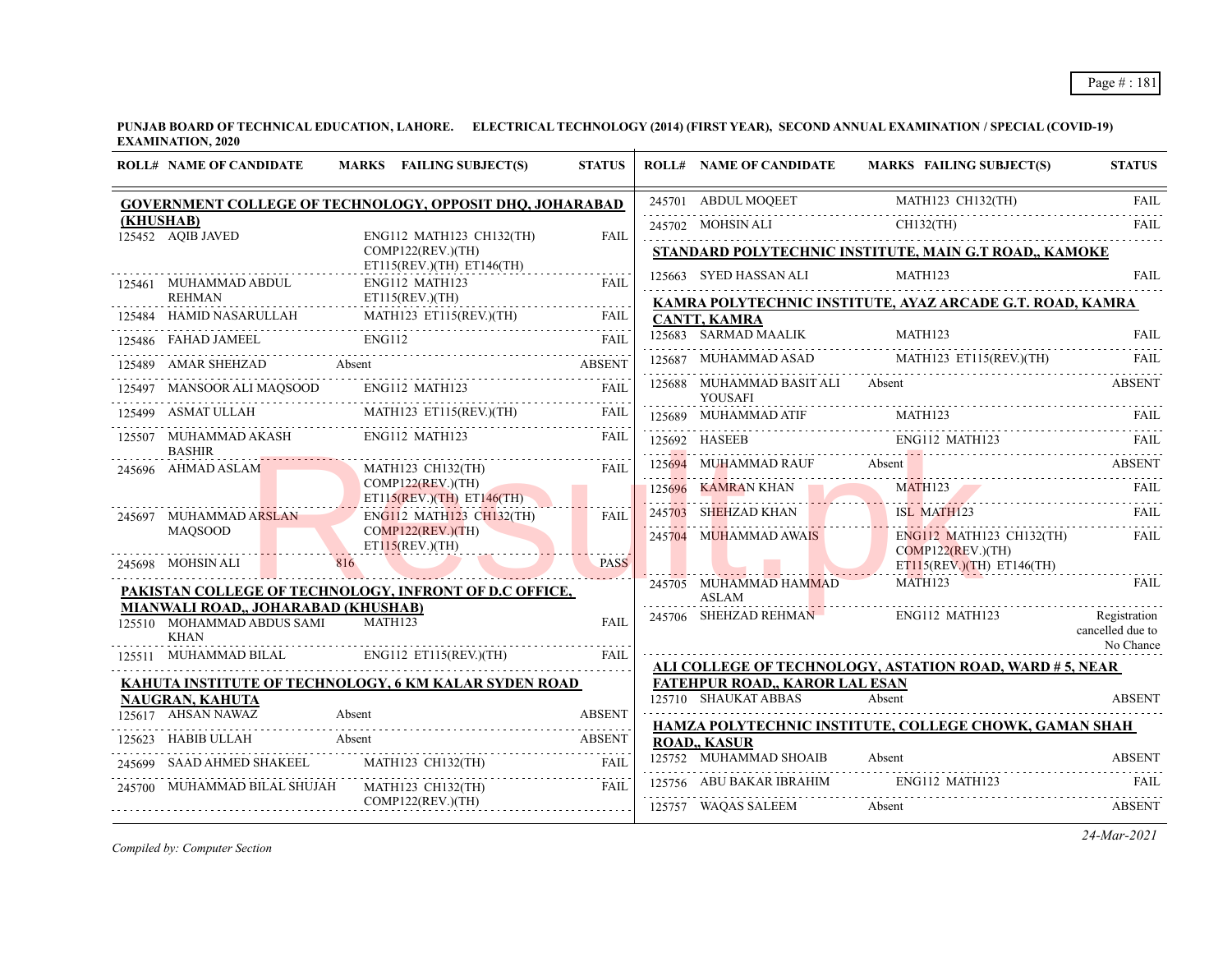| <b>ROLL# NAME OF CANDIDATE</b>                                                                                                            | MARKS FAILING SUBJECT(S)                                                                                                                                                                                                                                                                                                                                                                                                     | <b>STATUS</b> | <b>ROLL# NAME OF CANDIDATE</b>                     | MARKS FAILING SUBJECT(S)                                                                                                                                                                                                                                  | <b>STATUS</b>                 |
|-------------------------------------------------------------------------------------------------------------------------------------------|------------------------------------------------------------------------------------------------------------------------------------------------------------------------------------------------------------------------------------------------------------------------------------------------------------------------------------------------------------------------------------------------------------------------------|---------------|----------------------------------------------------|-----------------------------------------------------------------------------------------------------------------------------------------------------------------------------------------------------------------------------------------------------------|-------------------------------|
|                                                                                                                                           | <b>GOVERNMENT COLLEGE OF TECHNOLOGY, OPPOSIT DHQ, JOHARABAD</b>                                                                                                                                                                                                                                                                                                                                                              |               |                                                    |                                                                                                                                                                                                                                                           |                               |
| (KHUSHAB)<br>$125452$ AQIB JAVED                                                                                                          | ENG112 MATH123 CH132(TH)                                                                                                                                                                                                                                                                                                                                                                                                     | <b>FAIL</b>   |                                                    | $\begin{tabular}{c c c} 245701 & ABDUL MOQEET & MATH123 CH132(TH) & FAIL \\ \hline \multicolumn{3}{c }{245702} & MOHSIN ALI & CH132(TH) & FAIL \\ \hline \multicolumn{3}{c }{H132(TH)} & FAIL \\ \hline \end{tabular}$                                    |                               |
|                                                                                                                                           | COMP122(REV.)(TH)                                                                                                                                                                                                                                                                                                                                                                                                            |               |                                                    | STANDARD POLYTECHNIC INSTITUTE, MAIN G.T ROAD,, KAMOKE                                                                                                                                                                                                    |                               |
| 125461 MUHAMMAD ABDUL                                                                                                                     | $ET115(REV.)(TH)$ $ET146(TH)$<br>ENG112 MATH123                                                                                                                                                                                                                                                                                                                                                                              | <b>FAIL</b>   | 125663 SYED HASSAN ALI MATH123                     |                                                                                                                                                                                                                                                           | <b>FAIL</b>                   |
| .<br><b>REHMAN</b>                                                                                                                        | ET115(REV.)(TH)                                                                                                                                                                                                                                                                                                                                                                                                              |               |                                                    | KAMRA POLYTECHNIC INSTITUTE, AYAZ ARCADE G.T. ROAD, KAMRA                                                                                                                                                                                                 |                               |
|                                                                                                                                           | 125484 HAMID NASARULLAH MATH123 ET115(REV.)(TH) FAIL                                                                                                                                                                                                                                                                                                                                                                         |               | <b>CANTT, KAMRA</b>                                |                                                                                                                                                                                                                                                           |                               |
|                                                                                                                                           |                                                                                                                                                                                                                                                                                                                                                                                                                              |               |                                                    | 125683 SARMAD MAALIK MATH123 FAIL FAIL                                                                                                                                                                                                                    |                               |
|                                                                                                                                           | 125486 FAHAD JAMEEL ENGI12 FAIL PAIL PART ABSENT ASSEMBLY A MARINE AND A MARINE AND A MARINE AND A MARINE AND A MARINE AND A MARINE AND A MARINE AND A MARINE AND A MARINE AND A MARINE AND A MARINE AND A MARINE AND A MARINE                                                                                                                                                                                               |               |                                                    | 125687 MUHAMMAD ASAD MATH123 ET115(REV.)(TH) FAIL                                                                                                                                                                                                         |                               |
|                                                                                                                                           | 125497 MANSOOR ALI MAQSOOD ENG112 MATH123                                                                                                                                                                                                                                                                                                                                                                                    | FAIL          | 125688 MUHAMMAD BASIT ALI Absent<br><b>YOUSAFI</b> |                                                                                                                                                                                                                                                           | ABSENT                        |
|                                                                                                                                           | 125499 ASMATULLAH MATH123 ET115(REV.)(TH) FAIL                                                                                                                                                                                                                                                                                                                                                                               | FAIL          |                                                    |                                                                                                                                                                                                                                                           |                               |
| 125507 MUHAMMAD AKASH ENG112 MATH123<br><b>BASHIR</b>                                                                                     |                                                                                                                                                                                                                                                                                                                                                                                                                              | <b>FAIL</b>   |                                                    | $\begin{tabular}{c c c c c} \hline 125689 & MUHAMMAD ATIF & MATH123 & FAIL \\ \hline \multicolumn{3}{c }{\bf 125692} & HASEEB & ENG112 MATH123 & FAIL \\ \hline \multicolumn{3}{c }{\bf 125692} & HASEEB & FAG112 MATH123 & FAIL \\ \hline \end{tabular}$ |                               |
| 245696 AHMAD ASLAM                                                                                                                        | MATH123 CH132(TH)                                                                                                                                                                                                                                                                                                                                                                                                            | <b>FAIL</b>   |                                                    | 125694 MUHAMMAD RAUF Absent Absent ABSENT ABSENT                                                                                                                                                                                                          |                               |
|                                                                                                                                           | COMP122(REV.)(TH)<br>ET115(REV.)(TH) ET146(TH)                                                                                                                                                                                                                                                                                                                                                                               |               |                                                    | 125696 KAMRAN KHAN MATHI23 FAIL RELEASED AND MATHI23                                                                                                                                                                                                      |                               |
| 245697 MUHAMMAD ARSLAN                                                                                                                    | <b>ENG112 MATH123 CH132(TH)</b>                                                                                                                                                                                                                                                                                                                                                                                              | FAIL          |                                                    | 245703 SHEHZAD KHAN ISL MATH123 FAIL                                                                                                                                                                                                                      |                               |
| <b>MAOSOOD</b>                                                                                                                            | COMP122(REV.)(TH)                                                                                                                                                                                                                                                                                                                                                                                                            |               | 245704 MUHAMMAD AWAIS                              | ENG112 MATH123 CH132(TH) FAIL                                                                                                                                                                                                                             |                               |
| <u> 1100 - 1100 - 1100 - 1100 - 1100 - 1100 - 1100 - 1100 - 1100 - 1100 - 1100 - 1100 - 1100 - 1100 - 1100 - 110</u><br>245698 MOHSIN ALI | ET115(REV.)(TH)<br>816                                                                                                                                                                                                                                                                                                                                                                                                       | <b>PASS</b>   |                                                    | COMP122(REV.)(TH)<br>$ET115(REV.)(TH)$ $ET146(TH)$                                                                                                                                                                                                        |                               |
|                                                                                                                                           | PAKISTAN COLLEGE OF TECHNOLOGY, INFRONT OF D.C OFFICE,                                                                                                                                                                                                                                                                                                                                                                       |               | 245705 MUHAMMAD HAMMAD                             | MATH123                                                                                                                                                                                                                                                   | <b>FAIL</b>                   |
| MIANWALI ROAD,, JOHARABAD (KHUSHAB)                                                                                                       |                                                                                                                                                                                                                                                                                                                                                                                                                              |               |                                                    | ASLAM ASLAM ENGLI2 MATHI23<br>245706 SHEHZAD REHMAN ENGLI2 MATHI23                                                                                                                                                                                        | Registration                  |
| 125510 MOHAMMAD ABDUS SAMI<br>KHAN                                                                                                        | <b>MATH123</b>                                                                                                                                                                                                                                                                                                                                                                                                               | <b>FAIL</b>   |                                                    |                                                                                                                                                                                                                                                           | cancelled due to<br>No Chance |
|                                                                                                                                           | 125511 MUHAMMAD BILAL ENG112 ET115(REV.)(TH)                                                                                                                                                                                                                                                                                                                                                                                 | FAIL          |                                                    | ALI COLLEGE OF TECHNOLOGY, ASTATION ROAD, WARD # 5, NEAR                                                                                                                                                                                                  |                               |
|                                                                                                                                           | KAHUTA INSTITUTE OF TECHNOLOGY, 6 KM KALAR SYDEN ROAD                                                                                                                                                                                                                                                                                                                                                                        |               | <b>FATEHPUR ROAD., KAROR LAL ESAN</b>              |                                                                                                                                                                                                                                                           |                               |
| NAUGRAN, KAHUTA                                                                                                                           |                                                                                                                                                                                                                                                                                                                                                                                                                              |               | 125710 SHAUKAT ABBAS                               | Absent                                                                                                                                                                                                                                                    | <b>ABSENT</b>                 |
| 125617 AHSAN NAWAZ                                                                                                                        | 125617 AHSAN NAWAZ Absent ABSENT                                                                                                                                                                                                                                                                                                                                                                                             |               |                                                    | HAMZA POLYTECHNIC INSTITUTE, COLLEGE CHOWK, GAMAN SHAH                                                                                                                                                                                                    |                               |
| 125623 HABIB ULLAH Absent                                                                                                                 |                                                                                                                                                                                                                                                                                                                                                                                                                              | <b>ABSENT</b> | <b>ROAD, KASUR</b>                                 |                                                                                                                                                                                                                                                           |                               |
|                                                                                                                                           | 245699 SAAD AHMED SHAKEEL MATH123 CH132(TH)                                                                                                                                                                                                                                                                                                                                                                                  | <b>FAIL</b>   | 125752 MUHAMMAD SHOAIB                             | Absent                                                                                                                                                                                                                                                    | <b>ABSENT</b>                 |
|                                                                                                                                           | $\begin{tabular}{lllll} \multicolumn{2}{l}{{\textbf{245700}}}&MUHAMMAD BILAL SHUJAH&MATH123 CH132(TH) & FAIL\\ & COMP122(REV.)(TH)& & & FAIL\\ \multicolumn{2}{l}{\textbf{545.0}} & & & \multicolumn{2}{l}{\textbf{55.0}}\\ \multicolumn{2}{l}{\textbf{56.0}} & & & \multicolumn{2}{l}{\textbf{57.0}}\\ \multicolumn{2}{l}{\textbf{58.0}} & & & \multicolumn{2}{l}{\textbf{58.0}}\\ \multicolumn{2}{l}{\textbf{59.0}} & & &$ |               |                                                    | 125756 ABU BAKAR IBRAHIM ENG112 MATH123 FAIL                                                                                                                                                                                                              |                               |
|                                                                                                                                           |                                                                                                                                                                                                                                                                                                                                                                                                                              |               | 125757 WAQAS SALEEM                                | Absent                                                                                                                                                                                                                                                    | <b>ABSENT</b>                 |

*Compiled by: Computer Section*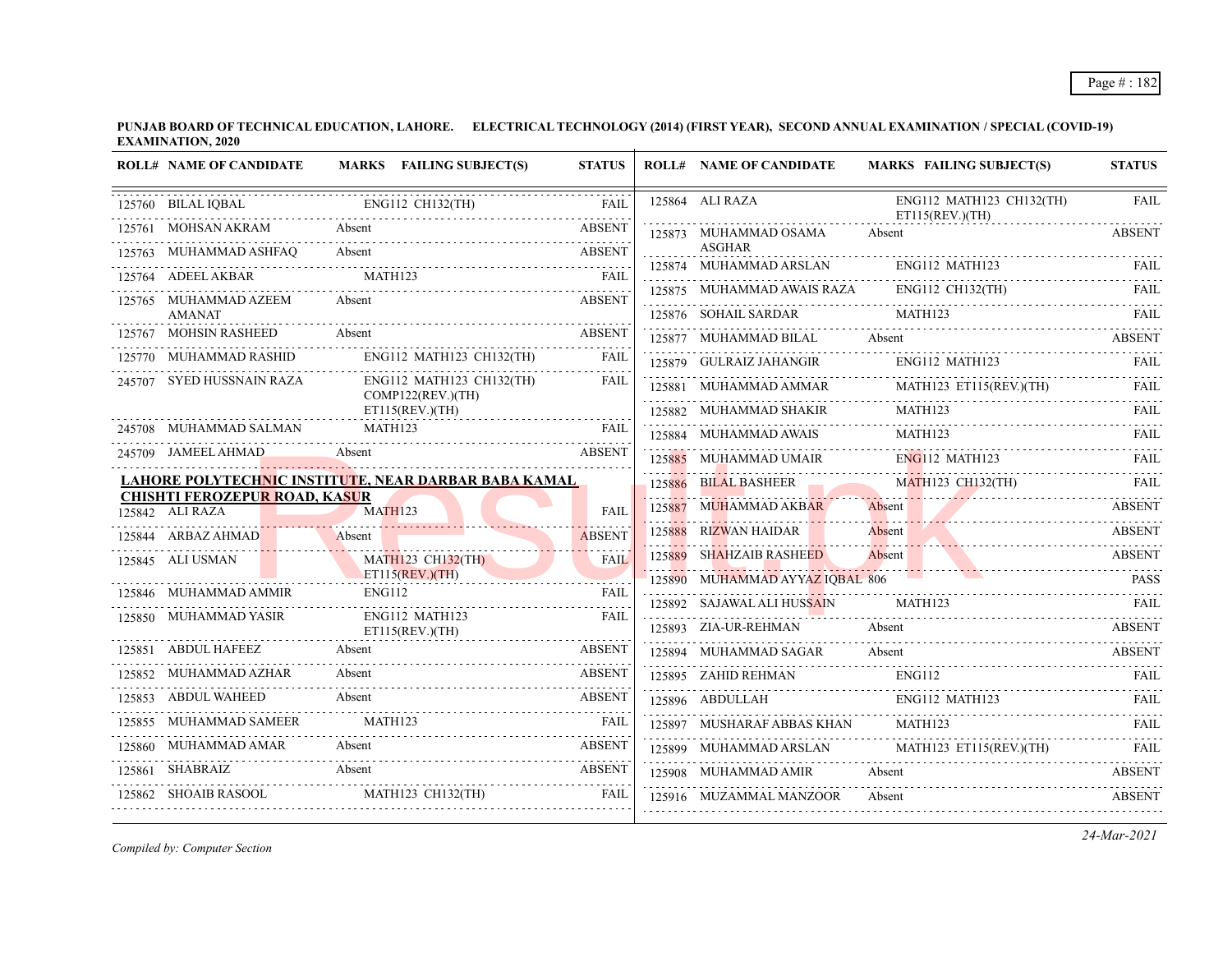| <b>ROLL# NAME OF CANDIDATE</b>                          | MARKS FAILING SUBJECT(S)                                                           | <b>STATUS</b>                   | <b>ROLL# NAME OF CANDIDATE</b>              | <b>MARKS FAILING SUBJECT(S)</b>                                                                                                                                                                                               | <b>STATUS</b> |
|---------------------------------------------------------|------------------------------------------------------------------------------------|---------------------------------|---------------------------------------------|-------------------------------------------------------------------------------------------------------------------------------------------------------------------------------------------------------------------------------|---------------|
| 125760 BILAL IOBAL                                      | 3AL ENGI12 CH132(TH) FAIL FAIL                                                     |                                 | 125864 ALI RAZA                             | ENG112 MATH123 CH132(TH)<br>ET115(REV.)(TH)                                                                                                                                                                                   | <b>FAIL</b>   |
| 125761 MOHSAN AKRAM                                     |                                                                                    | <b>ABSENT</b>                   | 125873 MUHAMMAD OSAMA                       | Absent                                                                                                                                                                                                                        | <b>ABSENT</b> |
| 125763 MUHAMMAD ASHFAQ                                  | Absent                                                                             | <b>ABSENT</b>                   | <b>ASGHAR</b><br>125874 MUHAMMAD ARSLAN     | ENG112 MATH123                                                                                                                                                                                                                | FAIL          |
| 125764 ADEEL AKBAR                                      | MATH123                                                                            | <b>FAIL</b>                     | 125875 MUHAMMAD AWAIS RAZA ENG112 CH132(TH) |                                                                                                                                                                                                                               | FAIL          |
| 125765 MUHAMMAD AZEEM<br><b>AMANAT</b>                  | Absent                                                                             | <b>ABSENT</b>                   | 125876 SOHAIL SARDAR                        | <b>MATH123</b>                                                                                                                                                                                                                | FAIL          |
| 125767 MOHSIN RASHEED                                   | Absent                                                                             | <b>ABSENT</b>                   |                                             |                                                                                                                                                                                                                               |               |
| 125770 MUHAMMAD RASHID                                  | ENG112 MATH123 CH132(TH)                                                           | <b>FAIL</b>                     | 125879 GULRAIZ JAHANGIR                     | 125877 MUHAMMAD BILAL Absent ABSENT<br>ENG112 MATH123                                                                                                                                                                         | FAIL          |
| 245707 SYED HUSSNAIN RAZA                               | ENG112 MATH123 CH132(TH) FAIL<br>COMP122(REV.)(TH)                                 | <b>FAIL</b>                     |                                             | 125881 MUHAMMAD AMMAR MATH123 ET115(REV.)(TH) FAIL                                                                                                                                                                            |               |
|                                                         | ET115(REV.)(TH)                                                                    |                                 |                                             | 125882 MUHAMMAD SHAKIR MATH123 FALL THE TELEVISION OF THE TELEVISION CONTRACT THE TELEVISION OF THE TELEVISION OF THE TELEVISION OF THE TELEVISION OF THE TELEVISION OF THE TELEVISION OF THE TELEVISION OF THE TELEVISION OF |               |
|                                                         | ${\bf 245708} \quad {\bf MUHAMMAD\ SALMAN} \qquad {\bf MATH123} \qquad {\bf FAIL}$ |                                 |                                             | 125884 MUHAMMAD AWAIS MATH123 FAIL                                                                                                                                                                                            |               |
| 245709 JAMEEL AHMAD Absent                              |                                                                                    | <b>ABSENT</b>                   | 125885 MUHAMMAD UMAIR ENG112 MATH123        |                                                                                                                                                                                                                               | <b>FAIL</b>   |
|                                                         | <u>LAHORE POLYTECHNIC INSTITUTE, NEAR DARBAR BABA KAMAL</u>                        |                                 | 125886 BILAL BASHEER                        | MATH123 CH132(TH) FAIL                                                                                                                                                                                                        |               |
| <b>CHISHTI FEROZEPUR ROAD, KASUR</b><br>125842 ALI RAZA | MATH123                                                                            | <b>FAIL</b>                     | 125887 MUHAMMAD AKBAR                       | Absent                                                                                                                                                                                                                        | <b>ABSENT</b> |
| 125844 ARBAZ AHMAD Absent                               |                                                                                    | <b>ABSENT</b>                   | 125888 RIZWAN HAIDAR                        | 125888 RIZWAN HAIDAR Absent Absent ABSENT                                                                                                                                                                                     |               |
| 125845 ALI USMAN                                        | <b>MATH123 CH132(TH)</b>                                                           | <b>FAIL</b>                     | 125889 SHAHZAIB RASHEED                     | Absent                                                                                                                                                                                                                        | <b>ABSENT</b> |
|                                                         | ET115(REV.)(TH)                                                                    |                                 | 125890 MUHAMMAD AYYAZ IOBAL 806             |                                                                                                                                                                                                                               | <b>PASS</b>   |
| 125846 MUHAMMAD AMMIR                                   | <b>ENG112</b>                                                                      | FAIL                            | 125892 SAJAWAL ALI HUSSAIN MATH123          |                                                                                                                                                                                                                               | - FAIL        |
| 125850 MUHAMMAD YASIR                                   | ENG112 MATH123<br>ET115(REV.)(TH)                                                  | <b>FAIL</b>                     | 125893 ZIA-UR-REHMAN                        | Absent                                                                                                                                                                                                                        | <b>ABSENT</b> |
| 125851 ABDUL HAFEEZ Absent                              |                                                                                    | <b>ABSENT</b>                   | 125894 MUHAMMAD SAGAR                       | Absent                                                                                                                                                                                                                        | <b>ABSENT</b> |
| 125852 MUHAMMAD AZHAR                                   | Absent                                                                             | <b>ABSENT</b>                   |                                             |                                                                                                                                                                                                                               |               |
| 125853 ABDUL WAHEED                                     | Absent                                                                             | <b>ABSENT</b>                   |                                             | 125895 ZAHID REHMAN ENG112 FAIL PAIL PAIL 125896 ABDULLAH ENG112 MATH123 FAIL                                                                                                                                                 |               |
| 125855 MUHAMMAD SAMEER MATH123                          |                                                                                    | <b>EXALL THE STATE OF STATE</b> | 125897 MUSHARAF ABBAS KHAN                  | MATH123                                                                                                                                                                                                                       |               |
| 125860 MUHAMMAD AMAR Absent                             |                                                                                    | <b>ABSENT</b>                   |                                             | 125899 MUHAMMAD ARSLAN MATH123 ET115(REV.)(TH) FAIL                                                                                                                                                                           |               |
| 125861 SHABRAIZ<br><b>Absent</b>                        |                                                                                    | <b>ABSENT</b>                   | 125908 MUHAMMAD AMIR Absent                 |                                                                                                                                                                                                                               | ABSENT        |
| 125862 SHOAIB RASOOL                                    | MATH123 CH132(TH)                                                                  | <b>FAIL</b>                     | 125916 MUZAMMAL MANZOOR                     | Absent                                                                                                                                                                                                                        | <b>ABSENT</b> |

*Compiled by: Computer Section*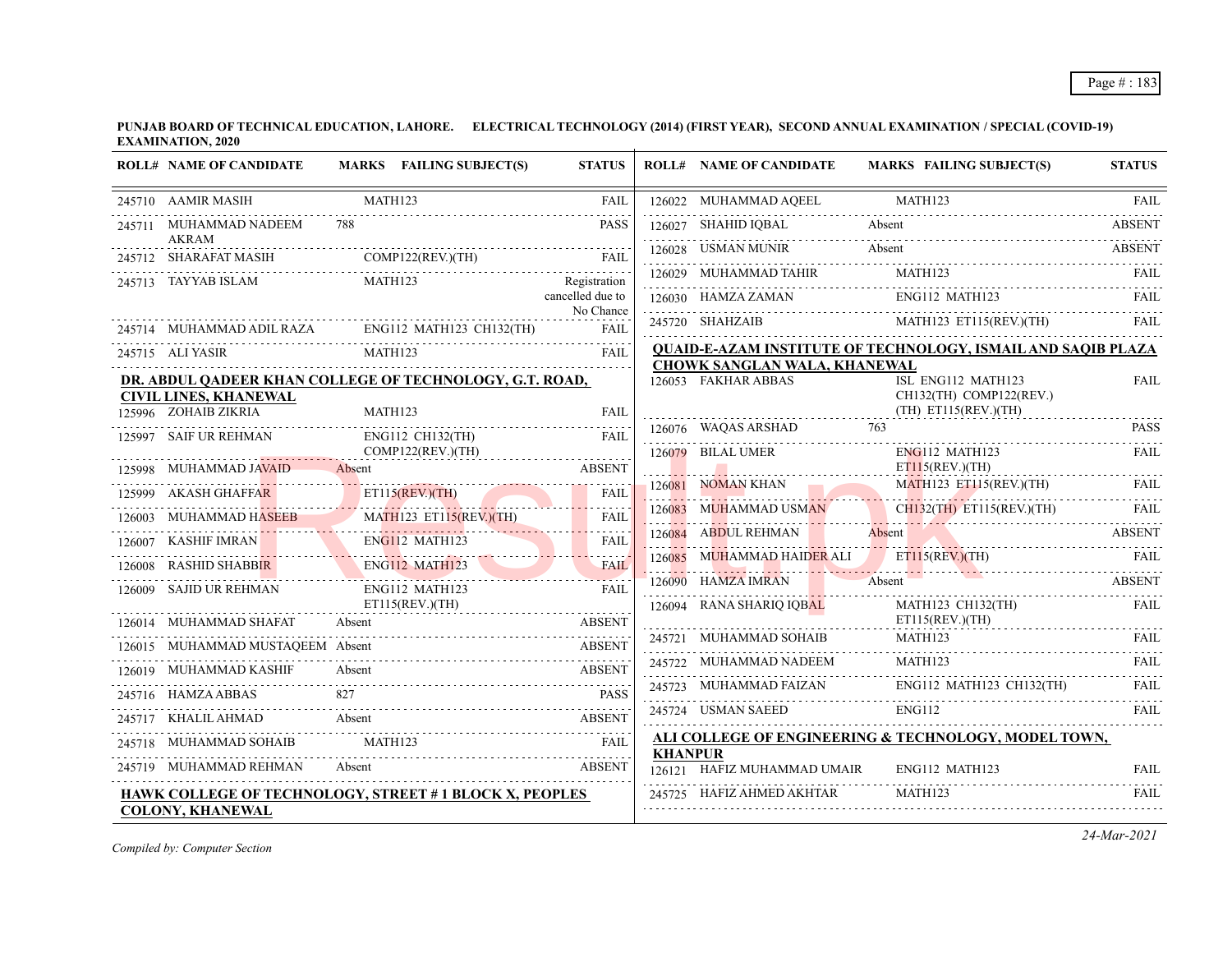|        | <b>ROLL# NAME OF CANDIDATE</b>                          | MARKS FAILING SUBJECT(S)                                      | <b>STATUS</b>                 |                | <b>ROLL# NAME OF CANDIDATE</b>                      | <b>MARKS FAILING SUBJECT(S)</b>                              | <b>STATUS</b> |
|--------|---------------------------------------------------------|---------------------------------------------------------------|-------------------------------|----------------|-----------------------------------------------------|--------------------------------------------------------------|---------------|
|        | 245710 AAMIR MASIH                                      | MATH123                                                       | <b>FAIL</b>                   |                | 126022 MUHAMMAD AQEEL                               | MATH123                                                      | <b>FAIL</b>   |
| 245711 | MUHAMMAD NADEEM                                         |                                                               | <b>PASS</b>                   |                | 126027 SHAHID IQBAL                                 | Absent                                                       | <b>ABSENT</b> |
|        | <b>AKRAM</b><br>245712 SHARAFAT MASIH COMP122(REV.)(TH) |                                                               | <b>FAIL</b>                   |                | 126028 USMAN MUNIR                                  | Absent                                                       | <b>ABSENT</b> |
|        | 245713 TAYYAB ISLAM                                     | MATH123                                                       | Registration                  |                | 126029 MUHAMMAD TAHIR                               | MATH123                                                      | FAIL          |
|        |                                                         |                                                               | cancelled due to<br>No Chance |                | 126030 HAMZA ZAMAN                                  | ENG112 MATH123                                               |               |
|        |                                                         | 245714 MUHAMMAD ADIL RAZA ENG112 MATH123 CH132(TH)            | <b>FAIL</b>                   |                | 245720 SHAHZAIB                                     | 720 SHAHZAIB MATH123 ET115(REV.)(TH) FAIL                    | <b>FAIL</b>   |
|        | 245715 ALI YASIR                                        | MATH123                                                       | <b>FAIL</b>                   |                |                                                     | QUAID-E-AZAM INSTITUTE OF TECHNOLOGY, ISMAIL AND SAQIB PLAZA |               |
|        |                                                         | DR. ABDUL QADEER KHAN COLLEGE OF TECHNOLOGY, G.T. ROAD,       |                               |                | CHOWK SANGLAN WALA, KHANEWAL<br>126053 FAKHAR ABBAS | ISL ENG112 MATH123                                           | <b>FAIL</b>   |
|        | <b>CIVIL LINES, KHANEWAL</b><br>125996 ZOHAIB ZIKRIA    | MATH123                                                       | <b>FAIL</b>                   |                |                                                     | CH132(TH) COMP122(REV.)<br>$(TH)$ ET115(REV.)(TH)            |               |
|        | 125997 SAIF UR REHMAN                                   | ENG112 CH132(TH)                                              | <b>FAIL</b>                   |                | 126076 WAQAS ARSHAD                                 | 763                                                          | <b>PASS</b>   |
|        |                                                         | COMP122(REV.)(TH)                                             |                               |                | 126079 BILAL UMER                                   | $ENG112$ MATH123                                             | FAIL          |
|        | 125998 MUHAMMAD JAVAID                                  | Absent                                                        | <b>ABSENT</b>                 |                | <b>NOMAN KHAN</b>                                   | ET115(REV.)(TH)<br><b>MATH123 ET115(REV.)(TH)</b>            |               |
| 125999 | <b>AKASH GHAFFAR</b>                                    | ET115(REV.)(TH)                                               | <b>FAIL</b>                   | 126081         | NOMAN KHAN                                          |                                                              |               |
|        | MUHAMMAD HASEEB                                         | MATH123 ET115(REV.)(TH)                                       | FAIL                          | 126083         | <b>MUHAMMAD USMAN</b>                               | CH132(TH) ET115(REV.)(TH)                                    | FAIL          |
|        | 126007 KASHIF IMRAN                                     | ENG112 MATH123                                                | FAIL                          |                | 126084 ABDUL REHMAN                                 | Absent                                                       | ABSENT        |
| 126008 | <b>RASHID SHABBIR</b>                                   | ENG112 MATH123                                                | <b>FAIL</b>                   |                |                                                     | 126085 MUHAMMAD HAIDER ALI ETILS(REV.)(TH) FAIL              |               |
|        | 126009 SAJID UR REHMAN                                  | ENG112 MATH123                                                | <b>FAIL</b>                   |                | 126090 HAMZA IMRAN                                  | Absent                                                       | <b>ABSENT</b> |
|        | 126014 MUHAMMAD SHAFAT                                  | ET115(REV.)(TH)<br>Absent                                     | <b>ABSENT</b>                 |                | 126094 RANA SHARIQ IQBAL                            | MATH123 CH132(TH)<br>$ET115$ (REV.)(TH)                      | FAIL          |
|        | 126015 MUHAMMAD MUSTAQEEM Absent                        |                                                               | <b>ABSENT</b>                 |                | 245721 MUHAMMAD SOHAIB                              | MATH123                                                      | FAIL          |
|        |                                                         | Absent                                                        |                               |                | 245722 MUHAMMAD NADEEM                              | MATH123                                                      | FAIL          |
|        | 245716 HAMZA ABBAS                                      |                                                               | <b>PASS</b>                   |                |                                                     |                                                              |               |
|        | 245717 KHALIL AHMAD                                     | Absent                                                        | <b>ABSENT</b>                 |                | 245724 USMAN SAEED                                  | <b>ENG112</b>                                                | FAIL          |
|        | 245718 MUHAMMAD SOHAIB                                  | MATH123                                                       | <b>EXALL</b>                  |                |                                                     | ALI COLLEGE OF ENGINEERING & TECHNOLOGY, MODEL TOWN,         |               |
|        | 245719 MUHAMMAD REHMAN                                  | Absent                                                        | <b>ABSENT</b>                 |                | 126121 HAFIZ MUHAMMAD UMAIR                         | ENG112 MATH123                                               | FAIL          |
|        |                                                         | <b>HAWK COLLEGE OF TECHNOLOGY, STREET #1 BLOCK X, PEOPLES</b> |                               |                | 245725 HAFIZ AHMED AKHTAR                           | MATH123                                                      | <b>FAIL</b>   |
|        | 126019 MUHAMMAD KASHIF<br><b>COLONY, KHANEWAL</b>       |                                                               | <b>ABSENT</b>                 | <b>KHANPUR</b> |                                                     | 245723 MUHAMMAD FAIZAN ENG112 MATH123 CH132(TH) FAIL         |               |

*Compiled by: Computer Section*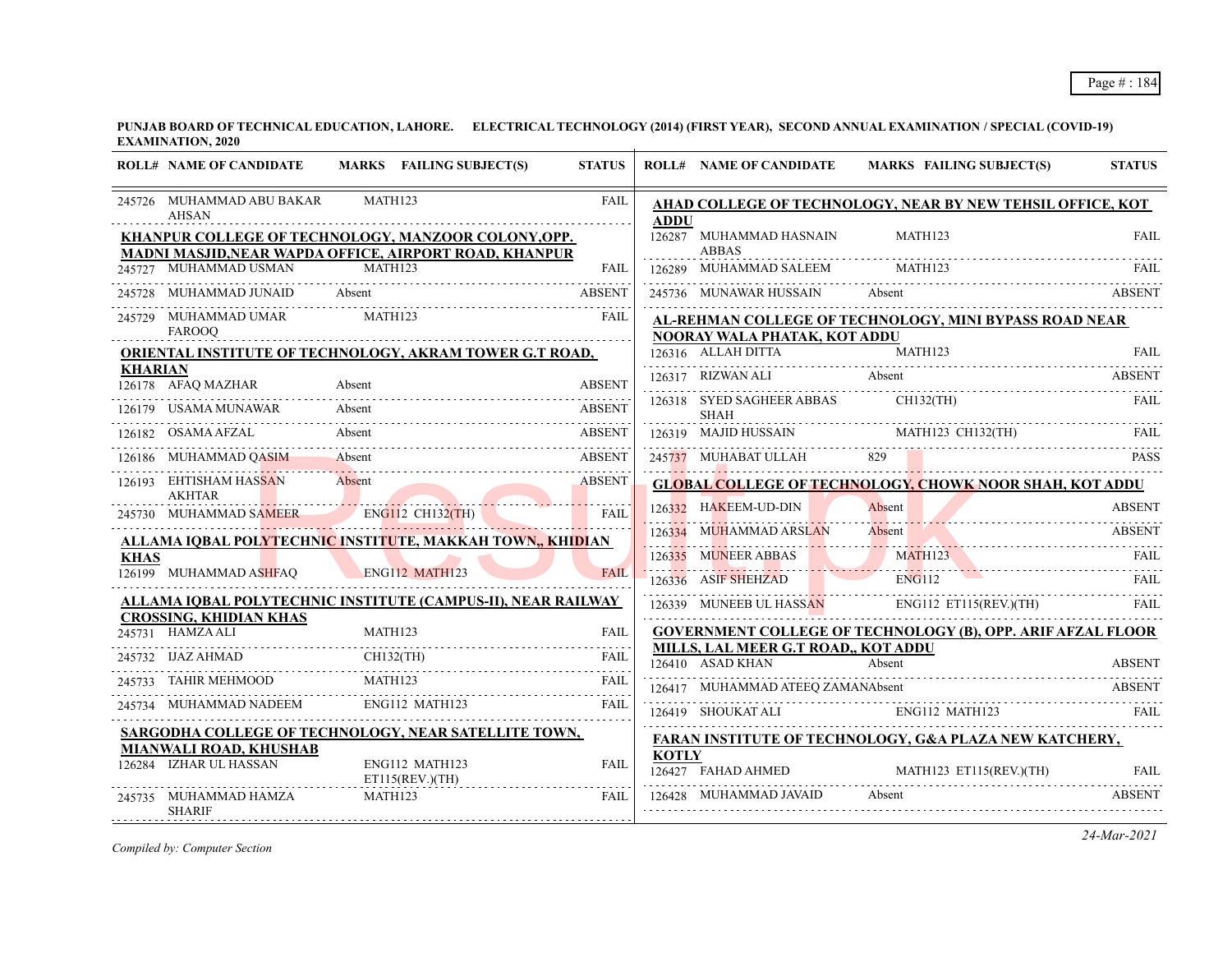|                | <b>ROLL# NAME OF CANDIDATE</b>                                                                                |                | MARKS FAILING SUBJECT(S)          | <b>STATUS</b> |              | <b>ROLL# NAME OF CANDIDATE</b>                          | <b>MARKS FAILING SUBJECT(S)</b>                                            | <b>STATUS</b> |
|----------------|---------------------------------------------------------------------------------------------------------------|----------------|-----------------------------------|---------------|--------------|---------------------------------------------------------|----------------------------------------------------------------------------|---------------|
|                | 245726 MUHAMMAD ABU BAKAR<br><b>AHSAN</b>                                                                     | MATH123        |                                   | <b>FAIL</b>   | <b>ADDU</b>  |                                                         | AHAD COLLEGE OF TECHNOLOGY, NEAR BY NEW TEHSIL OFFICE, KOT                 |               |
|                | KHANPUR COLLEGE OF TECHNOLOGY, MANZOOR COLONY, OPP.<br>MADNI MASJID, NEAR WAPDA OFFICE, AIRPORT ROAD, KHANPUR |                |                                   |               |              | 126287 MUHAMMAD HASNAIN<br><b>ABBAS</b>                 | MATH123                                                                    | <b>FAIL</b>   |
|                | 245727 MUHAMMAD USMAN                                                                                         | MATH123        |                                   | <b>FAIL</b>   |              | 126289 MUHAMMAD SALEEM                                  | MATH123                                                                    | <b>FAIL</b>   |
|                | 245728 MUHAMMAD JUNAID Absent                                                                                 |                |                                   | <b>ABSENT</b> |              | 245736 MUNAWAR HUSSAIN Absent                           |                                                                            | ABSENT        |
|                | 245729 MUHAMMAD UMAR<br><b>FAROOO</b>                                                                         | <b>MATH123</b> |                                   | FAIL          |              | NOORAY WALA PHATAK, KOT ADDU                            | AL-REHMAN COLLEGE OF TECHNOLOGY, MINI BYPASS ROAD NEAR                     |               |
|                | <b>ORIENTAL INSTITUTE OF TECHNOLOGY, AKRAM TOWER G.T ROAD,</b>                                                |                |                                   |               |              | 126316 ALLAH DITTA                                      | 126316 ALLAH DITTA MATH123 FAIL                                            |               |
| <b>KHARIAN</b> | 126178 AFAQ MAZHAR                                                                                            | Absent         |                                   | <b>ABSENT</b> |              | 126317 RIZWAN ALI Absent                                |                                                                            | <b>ABSENT</b> |
|                | 126179 USAMA MUNAWAR                                                                                          | Absent         |                                   | <b>ABSENT</b> |              | 126318 SYED SAGHEER ABBAS<br><b>SHAH</b>                | CH132(TH)                                                                  | FAIL          |
|                | 126182 OSAMA AFZAL                                                                                            | Absent         |                                   | ABSENT        |              |                                                         | 126319 MAJID HUSSAIN MATH123 CH132(TH) FAIL                                |               |
|                | 126186 MUHAMMAD QASIM                                                                                         | Absent         |                                   | <b>ABSENT</b> |              |                                                         | 245737 MUHABAT ULLAH 829 PASS PASS                                         |               |
|                | 126193 EHTISHAM HASSAN<br><b>AKHTAR</b>                                                                       | Absent         |                                   | <b>ABSENT</b> |              |                                                         | <b>GLOBAL COLLEGE OF TECHNOLOGY, CHOWK NOOR SHAH, KOT ADDU</b>             |               |
|                | 245730 MUHAMMAD SAMEER ENGI12 CH132(TH)                                                                       |                |                                   | <b>FAIL</b>   |              | 126332 HAKEEM-UD-DIN                                    | Absent                                                                     | <b>ABSENT</b> |
|                | ALLAMA IQBAL POLYTECHNIC INSTITUTE, MAKKAH TOWN,, KHIDIAN                                                     |                |                                   |               |              | 126334 MUHAMMAD ARSLAN                                  | Absent                                                                     | <b>ABSENT</b> |
| <b>KHAS</b>    |                                                                                                               |                |                                   |               |              | 126335 MUNEER ABBAS                                     | MATH123                                                                    | FAIL          |
|                | 126199 MUHAMMAD ASHFAQ                                                                                        |                | ENG112 MATH123                    | FAIL.         |              | 126336 ASIF SHEHZAD                                     | ENG112                                                                     | FAIL.         |
|                | ALLAMA IOBAL POLYTECHNIC INSTITUTE (CAMPUS-II), NEAR RAILWAY                                                  |                |                                   |               |              |                                                         | 126339 MUNEEB UL HASSAN ENG112 ET115(REV.)(TH)                             | FAIL          |
|                | <b>CROSSING, KHIDIAN KHAS</b><br>245731 HAMZA ALI                                                             | MATH123        |                                   |               |              |                                                         | <b>GOVERNMENT COLLEGE OF TECHNOLOGY (B), OPP. ARIF AFZAL FLOOR</b>         |               |
|                | 245732 IJAZ AHMAD                                                                                             |                | $CH132$ (TH)                      | FAIL          |              | MILLS, LAL MEER G.T ROAD., KOT ADDU<br>126410 ASAD KHAN | Absent                                                                     | <b>ABSENT</b> |
|                | 245733 TAHIR MEHMOOD                                                                                          | MATH123        |                                   | FAIL          |              |                                                         |                                                                            |               |
|                | 245734 MUHAMMAD NADEEM ENG112 MATH123                                                                         |                |                                   | <b>FAIL</b>   |              | 126419 SHOUKAT ALI ENG112 MATH123                       | 126417 MUHAMMAD ATEEQ ZAMANAbsent ABSENT                                   | FAIL.         |
|                | SARGODHA COLLEGE OF TECHNOLOGY, NEAR SATELLITE TOWN,                                                          |                |                                   |               |              |                                                         | <b>FARAN INSTITUTE OF TECHNOLOGY, G&amp;A PLAZA NEW KATCHERY,</b>          |               |
|                | MIANWALI ROAD, KHUSHAB<br>126284 IZHAR UL HASSAN                                                              |                | ENG112 MATH123<br>ET115(REV.)(TH) | <b>FAIL</b>   | <b>KOTLY</b> | 126427 FAHAD AHMED                                      | MATH123 ET115(REV.)(TH)<br>126427 FAHAD AHMED MATH123 ET115(REV.)(TH) FAIL | <b>FAIL</b>   |
|                | 245735 MUHAMMAD HAMZA<br><b>SHARIF</b>                                                                        | MATH123        |                                   | <b>FAIL</b>   |              | 126428 MUHAMMAD JAVAID                                  | Absent                                                                     | <b>ABSENT</b> |

*Compiled by: Computer Section*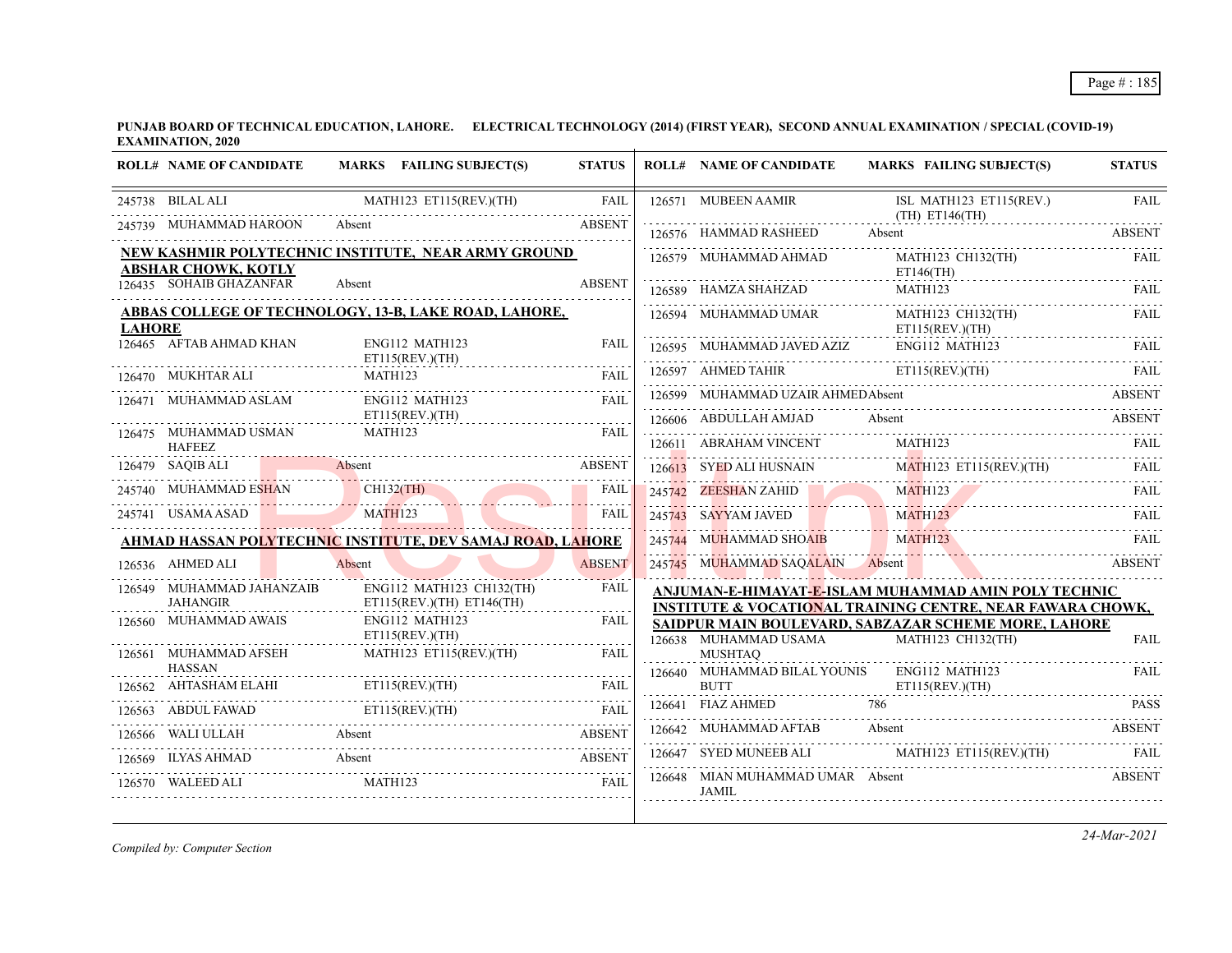|               | <b>ROLL# NAME OF CANDIDATE</b>           | MARKS FAILING SUBJECT(S)                                     | <b>STATUS</b>    | <b>ROLL# NAME OF CANDIDATE</b>                   | <b>MARKS FAILING SUBJECT(S)</b>                                           | <b>STATUS</b> |
|---------------|------------------------------------------|--------------------------------------------------------------|------------------|--------------------------------------------------|---------------------------------------------------------------------------|---------------|
|               | 245738 BILAL ALI                         | MATH123 ET115(REV.)(TH)                                      | <b>FAIL</b>      | 126571 MUBEEN AAMIR                              | ISL MATH123 ET115(REV.)<br>(TH) ET146(TH)                                 | <b>FAIL</b>   |
|               | 245739 MUHAMMAD HAROON                   | Absent                                                       | <b>ABSENT</b>    | 126576 HAMMAD RASHEED                            | Absent                                                                    | <b>ABSENT</b> |
|               | <b>ABSHAR CHOWK, KOTLY</b>               | NEW KASHMIR POLYTECHNIC INSTITUTE, NEAR ARMY GROUND          |                  | 126579 MUHAMMAD AHMAD                            | MATH123 CH132(TH)<br>$ET146$ (TH)                                         | FAIL          |
|               | 126435 SOHAIB GHAZANFAR                  | Absent                                                       | <b>ABSENT</b>    | 126589 HAMZA SHAHZAD                             | MATH123                                                                   | FAIL          |
| <b>LAHORE</b> |                                          | <b>ABBAS COLLEGE OF TECHNOLOGY, 13-B, LAKE ROAD, LAHORE,</b> |                  | 126594 MUHAMMAD UMAR                             | MATH123 CH132(TH)<br>ET115(REV.)(TH)                                      | FAIL          |
|               | 126465 AFTAB AHMAD KHAN                  | ENG112 MATH123<br>$ET115$ (REV.)(TH)                         | <b>FAIL</b>      | 126595 MUHAMMAD JAVED AZIZ                       | ENG112 MATH123                                                            | FAIL          |
|               | 126470 MUKHTAR ALI                       | MATH123                                                      | <b>FAII</b>      | 126597 AHMED TAHIR                               | ET115(REV.)(TH)                                                           | -FAIL         |
|               | 126471 MUHAMMAD ASLAM                    | ENG112 MATH123                                               | FAIL             | 126599 MUHAMMAD UZAIR AHMEDAbsent                |                                                                           | <b>ABSENT</b> |
|               | 126475 MUHAMMAD USMAN                    | $ET115$ (REV.)(TH)<br>MATH123                                | <b>FAIL</b>      | 126606 ABDULLAH AMJAD                            | Absent                                                                    | <b>ABSENT</b> |
|               | <b>HAFEEZ</b>                            |                                                              |                  | 126611 ABRAHAM VINCENT                           | MATH123                                                                   | FAIL          |
|               | 126479 SAQIB ALI                         | Absent                                                       | <b>ABSENT</b>    | 126613 SYED ALI HUSNAIN                          | MATH123 ET115(REV)(TH)                                                    |               |
|               | 245740 MUHAMMAD ESHAN                    | $CH132$ (TH)                                                 | <b>FAIL</b>      | 245742 ZEESHAN ZAHID                             | <b>MATH123</b>                                                            | FAIL          |
|               | 245741 USAMA ASAD                        | MATH123                                                      | <b>FAIL</b>      | 245743 SAYYAM JAVED                              | <b>MATH123</b>                                                            | FAIL          |
|               |                                          | AHMAD HASSAN POLYTECHNIC INSTITUTE, DEV SAMAJ ROAD, LAHORE   |                  | 245744 MUHAMMAD SHOAIB MATH123                   |                                                                           | FAIL          |
|               | 126536 AHMED ALI                         | Absent                                                       | <b>ABSENT</b>    | 245745 MUHAMMAD SAQALAIN Absent                  |                                                                           | <b>ABSENT</b> |
|               | 126549 MUHAMMAD JAHANZAIB                | ENG112 MATH123 CH132(TH)                                     | <b>FAIL</b>      |                                                  | ANJUMAN-E-HIMAYAT-E-ISLAM MUHAMMAD AMIN POLY TECHNIC                      |               |
|               | <b>JAHANGIR</b><br>126560 MUHAMMAD AWAIS | $ET115(REV.)(TH)$ $ET146(TH)$<br>ENG112 MATH123              | .<br><b>FAIL</b> |                                                  | <b>INSTITUTE &amp; VOCATIONAL TRAINING CENTRE, NEAR FAWARA CHOWK.</b>     |               |
|               |                                          | ET115(REV.)(TH)                                              |                  | 126638 MUHAMMAD USAMA                            | SAIDPUR MAIN BOULEVARD, SABZAZAR SCHEME MORE, LAHORE<br>MATH123 CH132(TH) | <b>FAIL</b>   |
|               | 126561 MUHAMMAD AFSEH                    | MATH123 ET115(REV.)(TH)                                      | FAIL             | <b>MUSHTAO</b>                                   |                                                                           |               |
| 126562        | <b>HASSAN</b><br>.<br>AHTASHAM ELAHI     | $ET115$ (REV.)(TH)                                           | <b>FAIL</b>      | 126640 MUHAMMAD BILAL YOUNIS<br><b>BUTT</b>      | ENG112 MATH123<br>ET115(REV.)(TH)                                         | FAIL          |
|               | 126563 ABDUL FAWAD                       | ET115(REV.)(TH)                                              |                  | 126641 FIAZ AHMED                                | 786                                                                       | <b>PASS</b>   |
|               | 126566 WALI ULLAH                        | ABDUL FAWAD ETI15(REV.)(TH) FAIL<br>Absent                   | <b>ABSENT</b>    | 126642 MUHAMMAD AFTAB                            | Absent                                                                    | <b>ABSENT</b> |
| 126569        | <b>ILYAS AHMAD</b><br>Absent             |                                                              | <b>ABSENT</b>    |                                                  | 126647 SYED MUNEEB ALI MATH123 ET115(REV.)(TH) FAIL                       |               |
|               | 126570 WALEED ALI                        | MATH123                                                      | <b>FAIL</b>      | 126648 MIAN MUHAMMAD UMAR Absent<br><b>JAMIL</b> |                                                                           | <b>ABSENT</b> |

*Compiled by: Computer Section*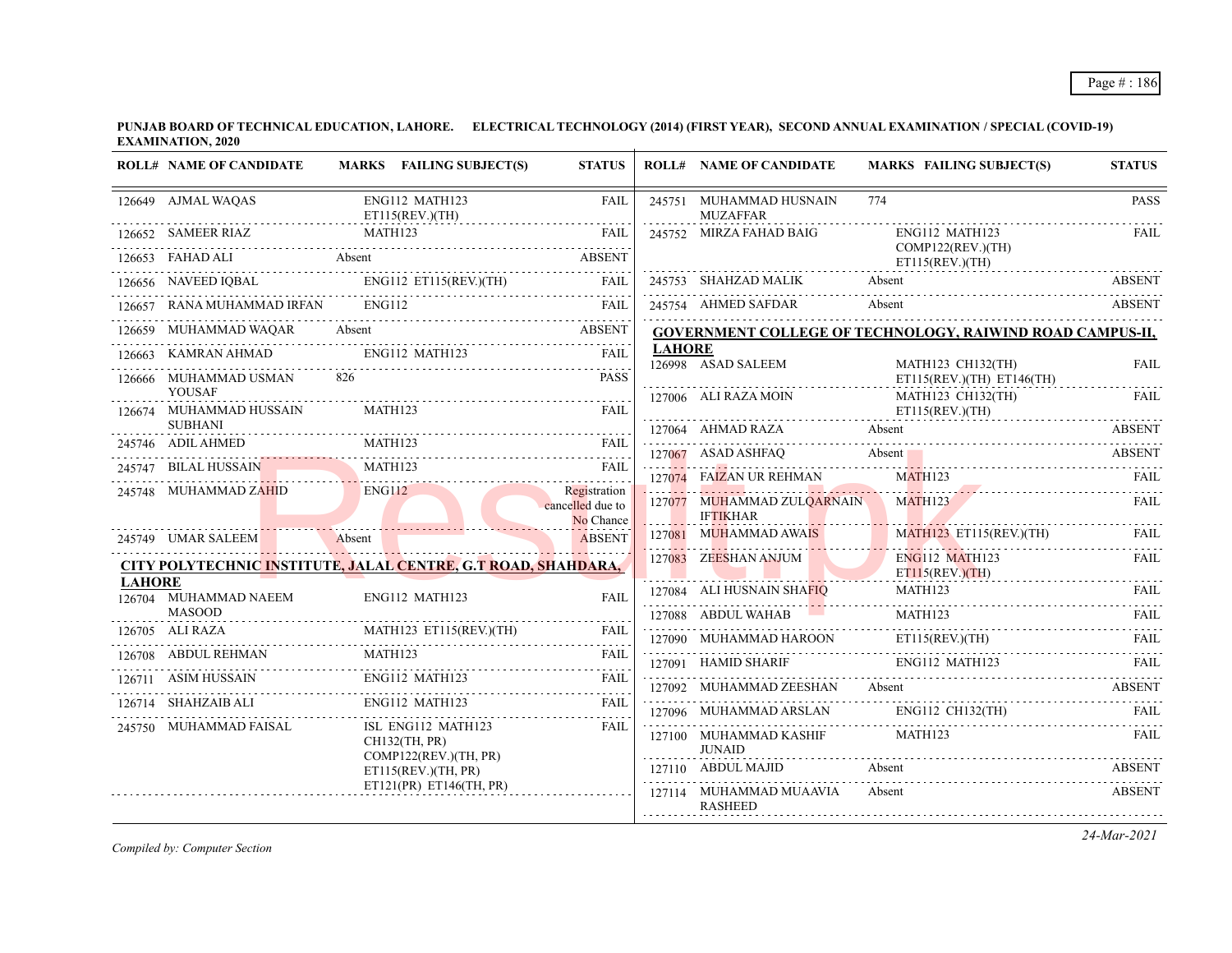|               | <b>ROLL# NAME OF CANDIDATE</b>                    | MARKS FAILING SUBJECT(S)                                      | <b>STATUS</b>                                 |               | <b>ROLL# NAME OF CANDIDATE</b>                | <b>MARKS FAILING SUBJECT(S)</b>                                  | <b>STATUS</b> |
|---------------|---------------------------------------------------|---------------------------------------------------------------|-----------------------------------------------|---------------|-----------------------------------------------|------------------------------------------------------------------|---------------|
|               | 126649 AJMAL WAQAS                                | ENG112 MATH123<br>ET115(REV.)(TH)                             | <b>FAIL</b>                                   |               | 245751 MUHAMMAD HUSNAIN<br><b>MUZAFFAR</b>    | 774                                                              |               |
|               | 126652 SAMEER RIAZ                                | MATH123                                                       | <b>FAIL</b>                                   |               | 245752 MIRZA FAHAD BAIG                       | ENG112 MATH123                                                   | .<br>FAIL     |
|               | <b>Absent</b><br>126653 FAHAD ALI                 |                                                               | ABSENT                                        |               |                                               | COMP122(REV.)(TH)<br>$ET115$ (REV.)(TH)                          |               |
|               | 126656 NAVEED IQBAL                               | ENG112 ET115(REV.)(TH)                                        | FAIL                                          |               | 245753 SHAHZAD MALIK                          | Absent                                                           | <b>ABSENT</b> |
|               | 126657 RANA MUHAMMAD IRFAN                        | <b>ENG112</b>                                                 | <b>FAIL</b>                                   |               | 245754 AHMED SAFDAR                           | Absent                                                           | <b>ABSENT</b> |
| 126659        | MUHAMMAD WAQAR                                    | Absent                                                        | <b>ABSENT</b>                                 |               |                                               | <b>GOVERNMENT COLLEGE OF TECHNOLOGY, RAIWIND ROAD CAMPUS-II,</b> |               |
|               | 126663 KAMRAN AHMAD                               | ENG112 MATH123                                                | FAIL                                          | <b>LAHORE</b> | 126998 ASAD SALEEM                            | MATH123 CH132(TH)                                                | FAIL          |
|               | 126666 MUHAMMAD USMAN                             | 826                                                           | <b>PASS</b>                                   |               |                                               | ET115(REV.)(TH) ET146(TH)                                        |               |
|               | <b>YOUSAF</b><br>126674 MUHAMMAD HUSSAIN          | MATH123                                                       | <b>FAIL</b>                                   |               | 127006 ALI RAZA MOIN                          | MATH123 CH132(TH)<br>ET115(REV.)(TH)                             | <b>FAIL</b>   |
|               | <b>SUBHANI</b>                                    |                                                               |                                               |               | 127064 AHMAD RAZA                             | Absent                                                           | <b>ABSENT</b> |
|               | 245746 ADIL AHMED                                 | MATH123<br>LAL HUSSAIN MATH123 FAIL                           | <b>FAIL</b>                                   |               | 127067 ASAD ASHFAQ                            | Absent                                                           | <b>ABSENT</b> |
|               | <b>BILAL HUSSAIN</b>                              |                                                               |                                               |               | 127074 FAIZAN UR REHMAN                       | <b>MATH123</b>                                                   | FAIL          |
|               | 245748 MUHAMMAD ZAHID<br>the contract of the con- | <b>ENG112</b>                                                 | Registration<br>cancelled due to<br>No Chance |               | 127077 MUHAMMAD ZULQARNAIN<br><b>IFTIKHAR</b> | MATH123                                                          | <b>FAIL</b>   |
|               | 245749 UMAR SALEEM                                | Absent                                                        | <b>ABSENT</b>                                 |               | 127081 MUHAMMAD AWAIS                         | $MATH123$ ET115(REV.)(TH)                                        | <b>FAIL</b>   |
|               |                                                   | CITY POLYTECHNIC INSTITUTE, JALAL CENTRE, G.T ROAD, SHAHDARA, |                                               |               | 127083 ZEESHAN ANJUM                          | <b>ENG112 MATH123</b><br>ET115(REV.)(TH)                         | <b>FAIL</b>   |
| <b>LAHORE</b> | 126704 MUHAMMAD NAEEM                             | ENG112 MATH123                                                | <b>FAIL</b>                                   |               | 127084 ALI HUSNAIN SHA <mark>FIQ</mark>       | MATH123                                                          | <b>FAIL</b>   |
|               | <b>MASOOD</b>                                     |                                                               |                                               |               | 127088 ABDUL WAHAB                            | MATH123                                                          | FAIL          |
|               | 126705 ALI RAZA                                   | MATH123 ET115(REV.)(TH)                                       | FAIL                                          |               | 127090 MUHAMMAD HAROON                        | ET115(REV.)(TH)                                                  | <b>FAIL</b>   |
|               | 126708 ABDUL REHMAN                               | MATH123                                                       | <b>FAIL</b>                                   |               | 127091 HAMID SHARIF                           | ENG112 MATH123                                                   | - FAIL        |
|               | 126711 ASIM HUSSAIN                               | ENG112 MATH123                                                | <b>FAIL</b>                                   |               | 127092 MUHAMMAD ZEESHAN Absent                |                                                                  | <b>ABSENT</b> |
|               | 126714 SHAHZAIB ALI                               | ENG112 MATH123                                                | FAIL                                          |               | 127096 MUHAMMAD ARSLAN                        | ENG112 CH132(TH)                                                 | <b>FAIL</b>   |
|               | 245750 MUHAMMAD FAISAL                            | ISL ENG112 MATH123<br>CH132(TH, PR)<br>COMP122(REV.)(TH, PR)  | <b>FAIL</b>                                   |               | 127100 MUHAMMAD KASHIF<br><b>JUNAID</b>       | MATH123                                                          | <b>FAIL</b>   |
|               |                                                   | ET115(REV.)(TH, PR)                                           |                                               |               | 127110 ABDUL MAJID                            | Absent                                                           | ABSENT        |
|               |                                                   | ET121(PR) ET146(TH, PR)                                       |                                               |               | 127114 MUHAMMAD MUAAVIA<br><b>RASHEED</b>     | Absent                                                           | <b>ABSENT</b> |

*Compiled by: Computer Section*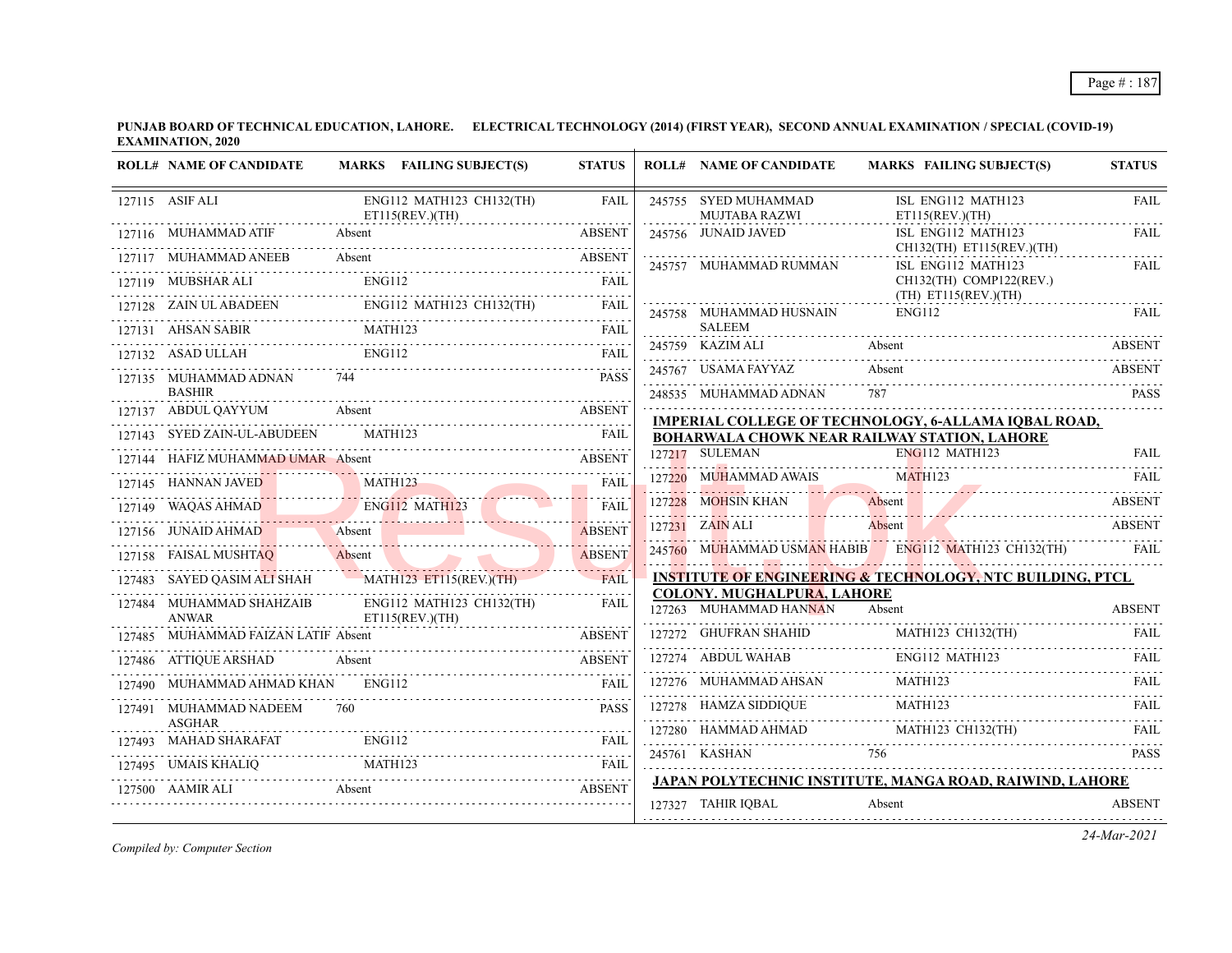| <b>ROLL# NAME OF CANDIDATE</b>                                        | MARKS FAILING SUBJECT(S)                    | <b>STATUS</b> | <b>ROLL# NAME OF CANDIDATE</b>                              | <b>MARKS FAILING SUBJECT(S)</b>                                                                             | <b>STATUS</b> |
|-----------------------------------------------------------------------|---------------------------------------------|---------------|-------------------------------------------------------------|-------------------------------------------------------------------------------------------------------------|---------------|
| 127115 ASIF ALI                                                       | ENG112 MATH123 CH132(TH)<br>ET115(REV.)(TH) | <b>FAIL</b>   | 245755 SYED MUHAMMAD<br><b>MUJTABA RAZWI</b>                | ISL ENG112 MATH123<br>ET115(REV.)(TH)                                                                       | <b>FAIL</b>   |
| 127116 MUHAMMAD ATIF                                                  |                                             | <b>ABSENT</b> | 245756 JUNAID JAVED                                         | ISL ENG112 MATH123<br>CH132(TH) ET115(REV.)(TH)                                                             | FAIL          |
| 127117 MUHAMMAD ANEEB                                                 | Absent                                      | <b>ABSENT</b> | 245757 MUHAMMAD RUMMAN                                      | ISL ENG112 MATH123                                                                                          | FAIL          |
| 127119 MUBSHAR ALI                                                    | <b>ENG112</b>                               |               |                                                             | CH132(TH) COMP122(REV.)<br>$(TH)$ ET115(REV.)(TH)                                                           |               |
| 127128 ZAIN ULABADEEN ENG112 MATH123 CH132(TH) FAIL                   | ENG112 MATH123 CH132(TH)                    |               | 245758 MUHAMMAD HUSNAIN                                     | ENG112                                                                                                      | <b>FAIL</b>   |
| 127131 AHSAN SABIR                                                    | MATH123                                     | <b>FAIL</b>   | <b>SALEEM</b>                                               |                                                                                                             |               |
| 127132 ASAD ULLAH                                                     | <b>ENG112</b>                               | <b>FAIL</b>   | 245759 KAZIM ALI                                            | Absent                                                                                                      | ABSENT        |
| 127135 MUHAMMAD ADNAN<br><b>BASHIR</b>                                |                                             | <b>PASS</b>   | 245767 USAMA FAYYAZ                                         | Absent                                                                                                      | <b>ABSENT</b> |
| 127137 ABDUL QAYYUM Absent                                            |                                             | <b>ABSENT</b> | 248535 MUHAMMAD ADNAN                                       |                                                                                                             | <b>PASS</b>   |
| 127143 SYED ZAIN-UL-ABUDEEN                                           | MATH123                                     | <b>FAIL</b>   |                                                             | IMPERIAL COLLEGE OF TECHNOLOGY, 6-ALLAMA IQBAL ROAD,<br><b>BOHARWALA CHOWK NEAR RAILWAY STATION, LAHORE</b> |               |
| 127144 HAFIZ MUHAMMAD UMAR Absent                                     |                                             | <b>ABSENT</b> | 127217 SULEMAN                                              | ENG112 MATH123                                                                                              | FAIL          |
| 127145 HANNAN JAVED MATH123                                           |                                             | <b>FAIL</b>   | 127220 MUHAMMAD AWAIS                                       | <b>MATH123</b>                                                                                              |               |
| 127149 WAQAS AHMAD                                                    | ENG112 MATH123                              | <b>FAIL</b>   |                                                             | MOHSIN KHAN Absent ABSENT                                                                                   |               |
| 127156 JUNAID AHMAD                                                   | Absent                                      | <b>ABSENT</b> | 127231 ZAIN ALI                                             | Absent                                                                                                      | <b>ABSENT</b> |
| 127158 FAISAL MUSHTAQ                                                 | Absent                                      | <b>ABSENT</b> |                                                             | 245760 MUHAMMAD USMAN HABIB ENG112 MATH123 CH132(TH)                                                        | FAIL.         |
| 127483 SAYED QASIM ALI SHAH MATH123 ET115(REV.)(TH)                   |                                             | <b>FAIL</b>   |                                                             | <b>INSTITUTE OF ENGINEERING &amp; TECHNOLOGY, NTC BUILDING, PTCL</b>                                        |               |
| 127484 MUHAMMAD SHAHZAIB<br><b>ANWAR</b>                              | ENG112 MATH123 CH132(TH)<br>ET115(REV.)(TH) | FAIL          | <b>COLONY. MUGHALPURA, LAHORE</b><br>127263 MUHAMMAD HANNAN | Absent                                                                                                      | <b>ABSENT</b> |
| MUHAMMAD FAIZAN LATIF Absent                                          |                                             | <b>ABSENT</b> | 127272 GHUFRAN SHAHID                                       | MATH123 CH132(TH)                                                                                           | FAIL.         |
| 127486 ATTIQUE ARSHAD                                                 | Absent                                      | ABSENT        | 127274 ABDUL WAHAB ENG112 MATH123                           |                                                                                                             | FAIL.         |
| 127490 MUHAMMAD AHMAD KHAN ENG112                                     |                                             | <b>FAIL</b>   | 127276 MUHAMMAD AHSAN                                       | MATH123                                                                                                     | <b>FAIL</b>   |
| 127491 MUHAMMAD NADEEM                                                | 760                                         | <b>PASS</b>   | 127278 HAMZA SIDDIQUE $\sim$                                | MATH123                                                                                                     | <b>FAIL</b>   |
| <b>ASGHAR</b><br>127493 MAHAD SHARAFAT                                | ENG112                                      | <b>FAIL</b>   | 127280 HAMMAD AHMAD                                         | MATH123 CH132(TH)<br>127280 HAMMAD AHMAD MATH123 CH132(TH) FAIL                                             |               |
|                                                                       |                                             |               | 245761 KASHAN                                               | 756                                                                                                         | <b>PASS</b>   |
| 127495 UMAIS KHALIQ MATH123 FAIL<br><b>Absent</b><br>127500 AAMIR ALI |                                             |               |                                                             | <b>JAPAN POLYTECHNIC INSTITUTE, MANGA ROAD, RAIWIND, LAHORE</b>                                             |               |
| 127500 AAMIR ALI Absent ABSENT ABSENT                                 |                                             |               | 127327 TAHIR IOBAL                                          | Absent                                                                                                      | <b>ABSENT</b> |
|                                                                       |                                             |               |                                                             |                                                                                                             |               |

*Compiled by: Computer Section*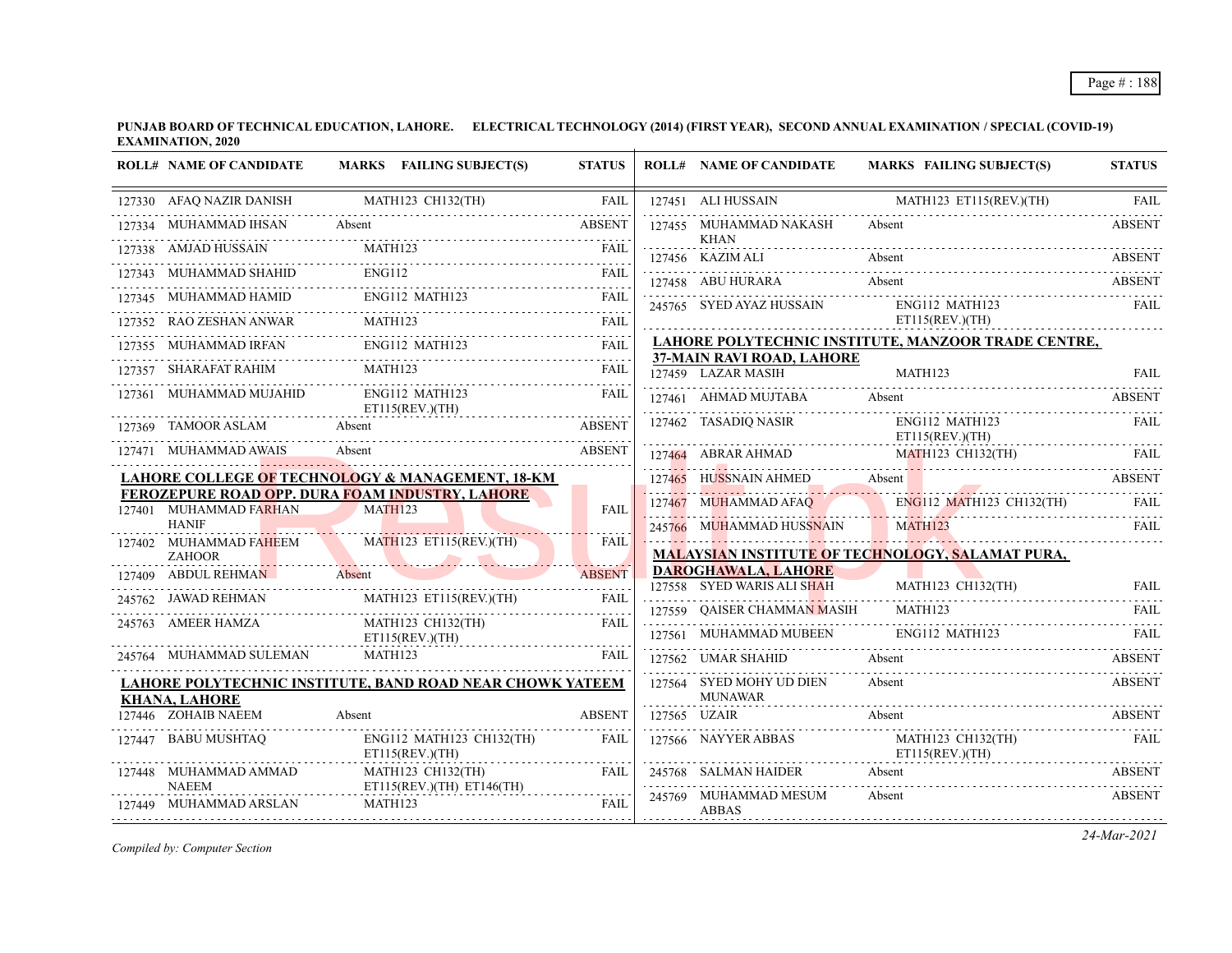| <b>ROLL# NAME OF CANDIDATE</b>         | MARKS FAILING SUBJECT(S)                                                                                                                                                                                                                                                                                                                                                                                                                                                                              | <b>STATUS</b> | <b>ROLL# NAME OF CANDIDATE</b>                                             | MARKS FAILING SUBJECT(S)                                                                                               | <b>STATUS</b> |
|----------------------------------------|-------------------------------------------------------------------------------------------------------------------------------------------------------------------------------------------------------------------------------------------------------------------------------------------------------------------------------------------------------------------------------------------------------------------------------------------------------------------------------------------------------|---------------|----------------------------------------------------------------------------|------------------------------------------------------------------------------------------------------------------------|---------------|
|                                        | $127330 \quad \  AFAQ\ NAZIR\ DANISH \qquad \qquad \  \  MATH123\ CH132(TH) \qquad \qquad \  \  FAIL \\ \qquad \qquad \qquad \ldots \qquad \qquad \qquad \ldots \qquad \qquad \qquad \ldots \qquad \qquad \ldots \qquad \qquad \ldots \qquad \qquad \ldots \qquad \qquad \ldots \qquad \qquad \ldots \qquad \qquad \ldots \qquad \qquad \ldots \qquad \qquad \ldots \qquad \qquad \ldots \qquad \qquad \ldots \qquad \qquad \ldots \qquad \qquad \ldots \qquad \ldots \qquad \qquad \ldots \qquad \q$ |               | 127451 ALI HUSSAIN                                                         | MATH123 ET115(REV.)(TH)                                                                                                | <b>FAIL</b>   |
| 127334 MUHAMMAD IHSAN Absent           | <b>ABSENT</b>                                                                                                                                                                                                                                                                                                                                                                                                                                                                                         |               | 127455 MUHAMMAD NAKASH<br>KHAN                                             | Absent                                                                                                                 | <b>ABSENT</b> |
| 127338 AMJAD HUSSAIN                   |                                                                                                                                                                                                                                                                                                                                                                                                                                                                                                       |               | 127456 KAZIM ALI                                                           | Absent                                                                                                                 | <b>ABSENT</b> |
| 127343 MUHAMMAD SHAHID                 | $\begin{array}{c}\n 343 \text{ MUHAMMAD SHAHID}\n \end{array}$ ENG112                                                                                                                                                                                                                                                                                                                                                                                                                                 |               | 127458 ABU HURARA                                                          | Absent                                                                                                                 | ABSENT        |
| 127345 MUHAMMAD HAMID ENG112 MATH123   |                                                                                                                                                                                                                                                                                                                                                                                                                                                                                                       | FAIL          | 245765 SYED AYAZ HUSSAIN                                                   | ENG112 MATH123                                                                                                         | FAII.         |
|                                        | $\begin{tabular}{llllll} \bf \textbf{127352} & \textbf{RAO ZESHAN ANWAR} & \textbf{MATH123} & \textbf{FAIL} \\ \hline \end{tabular}$                                                                                                                                                                                                                                                                                                                                                                  |               |                                                                            | ET115(REV.)(TH)                                                                                                        |               |
|                                        | $\begin{tabular}{lllllllll} \bf 127355 & MUHAMMAD IRFAN & \multicolumn{3}{l} {\bf EMG112} \text{ MATH123} & \multicolumn{3}{l} {\bf FAIL} \\ \hline \end{tabular}$                                                                                                                                                                                                                                                                                                                                    |               |                                                                            | LAHORE POLYTECHNIC INSTITUTE, MANZOOR TRADE CENTRE,                                                                    |               |
| 127357 SHARAFAT RAHIM                  | MATH <sub>123</sub>                                                                                                                                                                                                                                                                                                                                                                                                                                                                                   | FAIL          | 37-MAIN RAVI ROAD, LAHORE<br>127459 LAZAR MASIH                            | MATH123                                                                                                                | <b>FAIL</b>   |
| 127361 MUHAMMAD MUJAHID                | ENG112 MATH123<br>ET115(REV.)(TH)                                                                                                                                                                                                                                                                                                                                                                                                                                                                     | FAIL          | 127461 AHMAD MUJTABA Absent                                                |                                                                                                                        | ABSENT        |
| 127369 TAMOOR ASLAM Absent             |                                                                                                                                                                                                                                                                                                                                                                                                                                                                                                       | ABSENT        | 127462 TASADIQ NASIR ENG112 MATH123<br>ET115(REV.)(TH)                     |                                                                                                                        | FAII.         |
| 127471 MUHAMMAD AWAIS                  | Absent                                                                                                                                                                                                                                                                                                                                                                                                                                                                                                | <b>ABSENT</b> |                                                                            | 127464 ABRAR AHMAD MATH123 CH132(TH) FAIL                                                                              |               |
|                                        | LAHORE COLLEGE <mark>OF</mark> TECHNO <mark>LO</mark> GY & MANAGEMENT, 18-KM                                                                                                                                                                                                                                                                                                                                                                                                                          |               |                                                                            | 127465 HUSSNAIN AHMED Absent ABSENT ABSENT                                                                             |               |
| 127401 MUHAMMAD FARHAN                 | <b>FEROZEPURE ROAD OPP. DURA FOAM INDUSTRY, LAHORE</b><br><b>MATH123</b>                                                                                                                                                                                                                                                                                                                                                                                                                              | <b>FAIL</b>   |                                                                            | 127467 MUHAMMAD AFAQ ENG112 MATH123 CH132(TH)                                                                          | FAII.         |
| <b>HANIF</b>                           |                                                                                                                                                                                                                                                                                                                                                                                                                                                                                                       |               | 245766 MUHAMMAD HUSSNAIN MATH123                                           | <u> 1. A. Theodorom A. Ann A. A. Ann A. Zamann A. Ann A. Ann A. Ann A. Ann A. Ann A. Ann A. Ann A. Ann A. Ann A. A</u> | FAIL          |
| <b>ZAHOOR</b>                          | 127402 MUHAMMAD FAHEEM MATH123 ET115(REV.)(TH)                                                                                                                                                                                                                                                                                                                                                                                                                                                        | FAIL          |                                                                            | <b>MALAYSIAN INSTITUTE OF TECHNOLOGY, SALAMAT PURA,</b>                                                                |               |
| 127409 ABDUL REHMAN Absent             | <b>Contract Contract</b>                                                                                                                                                                                                                                                                                                                                                                                                                                                                              | <b>ABSENT</b> | <b>DAROGHAWALA, LAHORE</b><br>127558 SYED WARIS ALI SHAH MATH123 CH132(TH) |                                                                                                                        | <b>FAIL</b>   |
|                                        | 245762 JAWAD REHMAN MATH123 ET115(REV.)(TH)                                                                                                                                                                                                                                                                                                                                                                                                                                                           | FAIL          | 127559 QAISER CHAMMAN MASIH MATH123                                        |                                                                                                                        | FAIL          |
| 245763 AMEER HAMZA                     | MATH123 CH132(TH)<br>ET115(REV.)(TH)                                                                                                                                                                                                                                                                                                                                                                                                                                                                  | FAIL          | 127561 MUHAMMAD MUBEEN ENG112 MATH123                                      |                                                                                                                        | <b>EAIL</b>   |
| 245764 MUHAMMAD SULEMAN                | MATH123                                                                                                                                                                                                                                                                                                                                                                                                                                                                                               | <b>FAIL</b>   | 127562 UMAR SHAHID                                                         | Absent                                                                                                                 | <b>ABSENT</b> |
| <b>KHANA, LAHORE</b>                   | LAHORE POLYTECHNIC INSTITUTE, BAND ROAD NEAR CHOWK YATEEM                                                                                                                                                                                                                                                                                                                                                                                                                                             |               | 127564 SYED MOHY UD DIEN<br><b>MUNAWAR</b>                                 | Absent                                                                                                                 | <b>ABSENT</b> |
| 127446 ZOHAIB NAEEM                    | Absent                                                                                                                                                                                                                                                                                                                                                                                                                                                                                                | <b>ABSENT</b> | 127565 UZAIR                                                               | Absent                                                                                                                 | ABSENT        |
| 127447 BABU MUSHTAQ                    | ENG112 MATH123 CH132(TH)<br>ET115(REV.)(TH)                                                                                                                                                                                                                                                                                                                                                                                                                                                           | FAIL          | 127566 NAYYER ABBAS                                                        | MATH123 CH132(TH)<br>ET115(REV.)(TH)                                                                                   | FAIL          |
| 127448 MUHAMMAD AMMAD                  | MATH123 CH132(TH)                                                                                                                                                                                                                                                                                                                                                                                                                                                                                     | FAIL          | 245768 SALMAN HAIDER                                                       | Absent                                                                                                                 | <b>ABSENT</b> |
| <b>NAEEM</b><br>127449 MUHAMMAD ARSLAN | ET115(REV.(TH) ET146(TH))<br>MATH123                                                                                                                                                                                                                                                                                                                                                                                                                                                                  | FAIL          | 245769 MUHAMMAD MESUM<br>ABBAS                                             | Absent                                                                                                                 | <b>ABSENT</b> |

*Compiled by: Computer Section*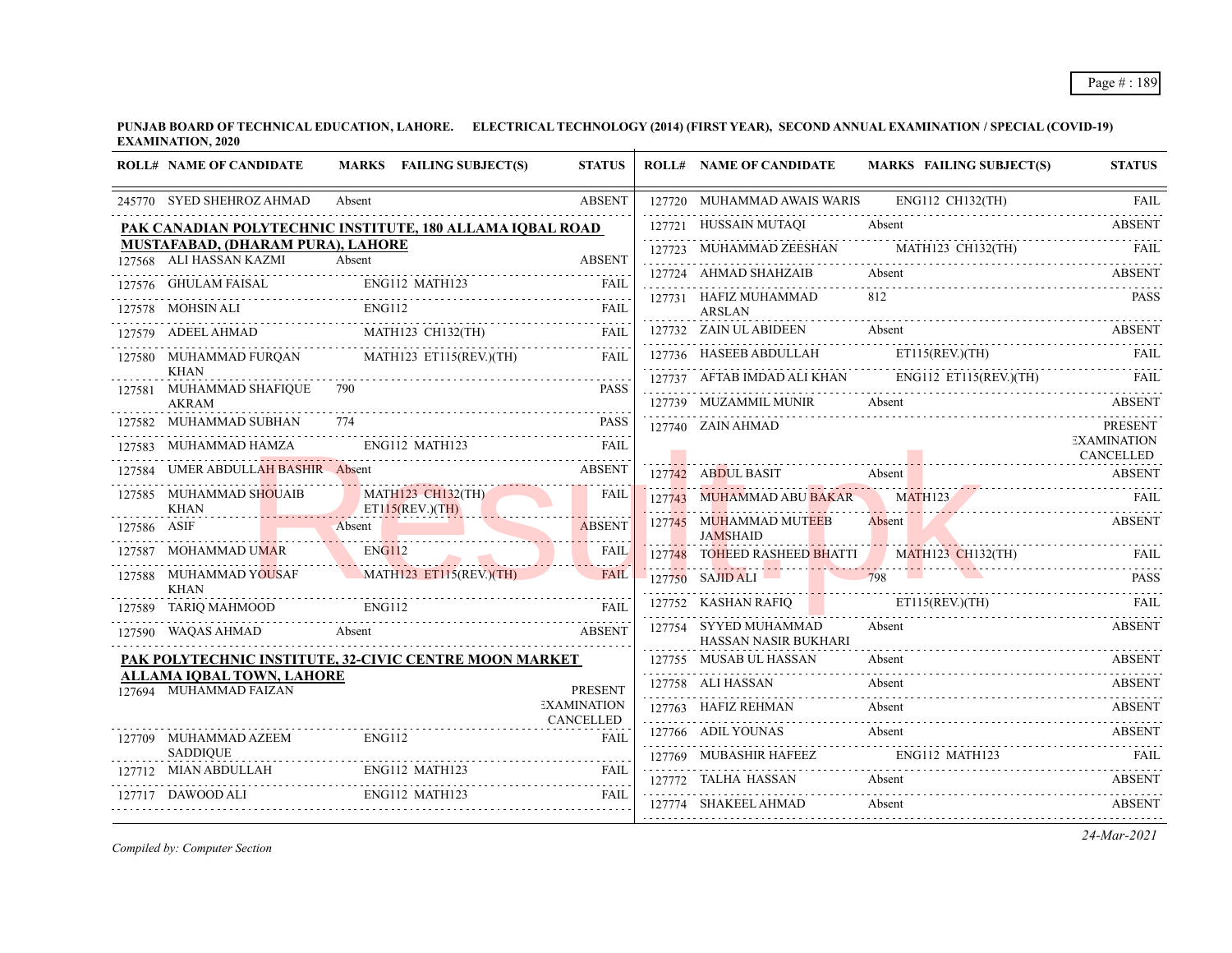|             | <b>ROLL# NAME OF CANDIDATE</b>                             | MARKS FAILING SUBJECT(S)                                     | <b>STATUS</b>            | <b>ROLL# NAME OF CANDIDATE</b>                | MARKS FAILING SUBJECT(S)                                                                                                                     | <b>STATUS</b>                   |
|-------------|------------------------------------------------------------|--------------------------------------------------------------|--------------------------|-----------------------------------------------|----------------------------------------------------------------------------------------------------------------------------------------------|---------------------------------|
|             | 245770 SYED SHEHROZ AHMAD                                  | Absent                                                       | <b>ABSENT</b>            | 127720 MUHAMMAD AWAIS WARIS ENG112 CH132(TH)  |                                                                                                                                              | FAII.                           |
|             |                                                            | PAK CANADIAN POLYTECHNIC INSTITUTE, 180 ALLAMA IQBAL ROAD    |                          | 127721 HUSSAIN MUTAQI                         | Absent                                                                                                                                       | ABSENT                          |
|             | MUSTAFABAD, (DHARAM PURA), LAHORE                          |                                                              |                          |                                               | 127723 MUHAMMAD ZEESHAN MATH123 CH132(TH) FAIL                                                                                               |                                 |
|             | 127568 ALI HASSAN KAZMI                                    | Absent                                                       | <b>ABSENT</b>            | 127724 AHMAD SHAHZAIB                         | Absent                                                                                                                                       | ABSENT                          |
|             |                                                            | 127576 GHULAM FAISAL ENG112 MATH123 FAIL                     | FAIL                     | 127731 HAFIZ MUHAMMAD                         | 812                                                                                                                                          | <b>PASS</b>                     |
|             | 127578 MOHSIN ALI                                          | <b>ENG112</b>                                                | <b>FAIL</b>              | <b>ARSLAN</b>                                 |                                                                                                                                              |                                 |
|             |                                                            | 127579 ADEEL AHMAD MATH123 CH132(TH)                         | FAIL                     | 127732 ZAIN UL ABIDEEN                        | Absent                                                                                                                                       | ABSENT                          |
|             |                                                            | 127580 MUHAMMAD FURQAN MATH123 ET115(REV.)(TH)               | FAIL.                    |                                               | 127736 HASEEB ABDULLAH ETI15(REV.)(TH) FAIL                                                                                                  |                                 |
|             | <b>KHAN</b><br>127581 MUHAMMAD SHAFIQUE 790                |                                                              | <b>PASS</b>              |                                               | $127737$ AFTAB IMDAD ALI KHAN ENGI12 ET115(REV.)(TH) FAIL                                                                                    |                                 |
|             | <b>AKRAM</b>                                               |                                                              |                          | 127739 MUZAMMIL MUNIR Absent                  |                                                                                                                                              | <b>ABSENT</b>                   |
|             | 127582 MUHAMMAD SUBHAN                                     | 774                                                          | <b>PASS</b>              | 127740 ZAIN AHMAD                             |                                                                                                                                              | <b>PRESENT</b>                  |
|             |                                                            |                                                              | FAIL                     |                                               |                                                                                                                                              | <b>EXAMINATION</b><br>CANCELLED |
|             | 127584 UMER ABDULLAH BASHIR Absent                         | <b>ABSENT</b>                                                |                          | 127742 ABDUL BASIT Absent                     | ASSIT Absent ABSENT ABSENT                                                                                                                   | <b>ABSENT</b>                   |
|             | <b>KHAN</b>                                                | 127585 MUHAMMAD SHOUAIB MATH123 CH132(TH)<br>ET115(REV.)(TH) | <b>FAIL</b>              | 127743 MUHAMMAD ABU BAKAR MATH123             | 127743 MUHAMMAD ABU BAKAR MATH123 FAIL                                                                                                       |                                 |
| 127586 ASIF | <b>Contract Contract</b>                                   | Absent                                                       | <b>ABSENT</b>            | 127745 MUHAMMAD MUTEEB<br><b>JAMSHAID</b>     | <b>Absent</b>                                                                                                                                | <b>ABSENT</b>                   |
|             | 127587 MOHAMMAD UMAR                                       | ENG112                                                       | <b>FAIL</b>              |                                               | 127748 TOHEED RASHEED BHATTI MATH123 CH132(TH)<br><u>MANIFEST STATE THE TIME OF A AN INDIANAL MILLION COMMUNISTIC COMMUNISTIC CONTINUES.</u> | - FAIL                          |
|             | 127588 MUHAMMAD YOUSAF<br><b>KHAN</b>                      | MATH123 ET115(REV)(TH)                                       | <b>FAIL</b>              | 127750 SAJID ALI 798                          |                                                                                                                                              | <b>PASS</b>                     |
|             | 127589 TARIQ MAHMOOD                                       | ENG112                                                       | FAIL                     | 127752 KASHAN RAFIQ ET115(REV.)(TH)           | $127752$ KASHAN RAFIQ ET115(REV.)(TH) FAIL                                                                                                   |                                 |
|             | 127590 WAQAS AHMAD Absent                                  | QAS AHMAD Absent ABSENT                                      |                          | 127754 SYYED MUHAMMAD<br>HASSAN NASIR BUKHARI | Absent                                                                                                                                       | <b>ABSENT</b>                   |
|             |                                                            | PAK POLYTECHNIC INSTITUTE, 32-CIVIC CENTRE MOON MARKET       |                          | 127755 MUSAB UL HASSAN                        | Absent                                                                                                                                       | ABSENT                          |
|             | <b>ALLAMA IQBAL TOWN, LAHORE</b><br>127694 MUHAMMAD FAIZAN |                                                              | <b>PRESENT</b>           | 127758 ALI HASSAN                             | Absent<br>127758 ALI HASSAN Absent ABSENT                                                                                                    |                                 |
|             |                                                            |                                                              | <b>EXAMINATION</b>       | 127763 HAFIZ REHMAN                           | Absent                                                                                                                                       | <b>ABSENT</b>                   |
|             | 127709 MUHAMMAD AZEEM                                      | <b>ENG112</b>                                                | CANCELLED<br><b>FAII</b> | 127766 ADIL YOUNAS                            | Absent                                                                                                                                       | ABSENT                          |
|             | <b>SADDIOUE</b>                                            |                                                              |                          |                                               | 127769 MUBASHIR HAFEEZ ENGI12 MATH123 FAIL                                                                                                   |                                 |
|             |                                                            | 127712 MIAN ABDULLAH ENGI12 MATH123 FAIL                     |                          | 127772 TALHA HASSAN Absent                    |                                                                                                                                              | <b>ABSENT</b>                   |
|             | 127717 DAWOOD ALI                                          | ENG112 MATH123                                               | <b>FAIL</b>              | 127774 SHAKEEL AHMAD                          | Absent                                                                                                                                       | <b>ABSENT</b>                   |

*Compiled by: Computer Section*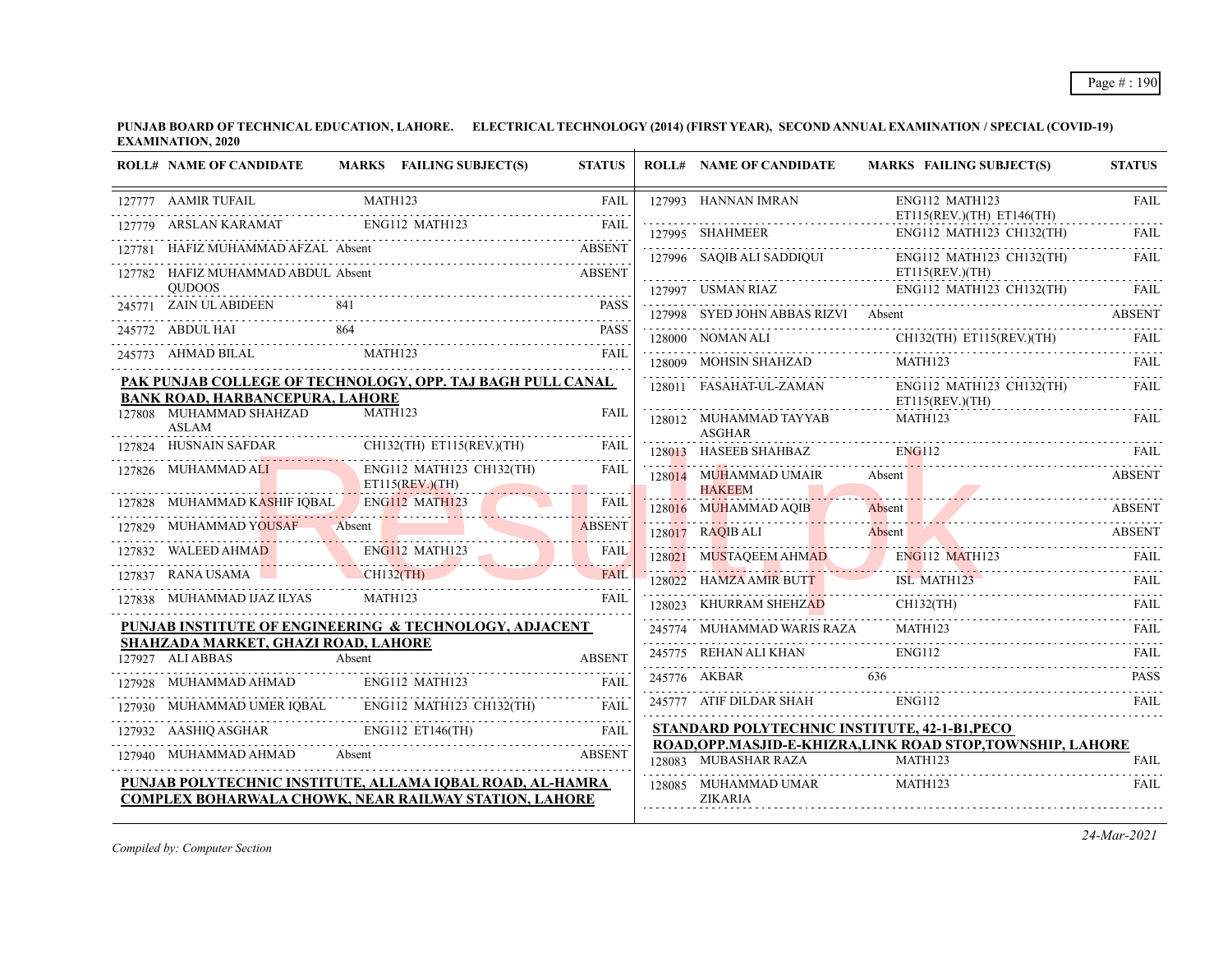|        | <b>ROLL# NAME OF CANDIDATE</b>                          | MARKS FAILING SUBJECT(S)                                                                                           | <b>STATUS</b> | <b>ROLL# NAME OF CANDIDATE</b>                | <b>MARKS FAILING SUBJECT(S)</b>                                        | <b>STATUS</b> |
|--------|---------------------------------------------------------|--------------------------------------------------------------------------------------------------------------------|---------------|-----------------------------------------------|------------------------------------------------------------------------|---------------|
|        | 127777 AAMIR TUFAIL                                     | MATH123                                                                                                            | <b>FAIL</b>   | 127993 HANNAN IMRAN                           | ENG112 MATH123<br>ET115(REV.)(TH) ET146(TH)                            | <b>FAIL</b>   |
|        | ARSLAN KARAMAT                                          | ENG112 MATH123                                                                                                     | FAIL          | 127995 SHAHMEER                               | ENG112 MATH123 CH132(TH)                                               | FAIL.         |
|        | HAFIZ MUHAMMAD AFZAL Absent                             |                                                                                                                    | <b>ABSENT</b> | 127996 SAQIB ALI SADDIQUI                     | ENG112 MATH123 CH132(TH)                                               | FAIL          |
|        | 127782 HAFIZ MUHAMMAD ABDUL Absent<br><b>OUDOOS</b>     |                                                                                                                    | <b>ABSENT</b> |                                               | ET115(REV.)(TH)                                                        |               |
|        | 245771 ZAIN UL ABIDEEN                                  |                                                                                                                    | <b>PASS</b>   | 127997 USMAN RIAZ                             | ENG112 MATH123 CH132(TH)                                               | FAIL          |
|        | 245772 ABDUL HAI                                        | 864                                                                                                                | <b>PASS</b>   | 127998 SYED JOHN ABBAS RIZVI Absent           |                                                                        | <b>ABSENT</b> |
|        | 245773 AHMAD BILAL                                      | MATH123                                                                                                            | <b>FAII</b>   | 128000 NOMAN ALI                              | $CH132$ (TH) ET115(REV.)(TH)                                           | FAIL          |
|        |                                                         |                                                                                                                    |               | 128009 MOHSIN SHAHZAD                         | MATH <sub>123</sub>                                                    | FAII.         |
|        | <b>BANK ROAD, HARBANCEPURA, LAHORE</b>                  | PAK PUNJAB COLLEGE OF TECHNOLOGY, OPP. TAJ BAGH PULL CANAL                                                         |               | 128011 FASAHAT-UL-ZAMAN                       | ENG112 MATH123 CH132(TH)<br>ET115(REV.)(TH)                            | FAIL          |
|        | 127808 MUHAMMAD SHAHZAD<br><b>ASLAM</b>                 | MATH123                                                                                                            | <b>FAIL</b>   | 128012 MUHAMMAD TAYYAB<br><b>ASGHAR</b>       | MATH123                                                                | <b>FAIL</b>   |
|        | <b>HUSNAIN SAFDAR</b>                                   | CH132(TH) ET115(REV.)(TH)                                                                                          | <b>FAIL</b>   | 128013 HASEEB SHAHBAZ                         | <b>ENG112</b>                                                          | FAIL.         |
|        | 127826 MUHAMMAD ALI                                     | ENG112 MATH123 CH132(TH)<br>ET115(REV.)(TH)                                                                        | <b>FAIL</b>   | 128014 MUHAMMAD UMAIR<br><b>HAKEEM</b>        | Absent                                                                 | <b>ABSENT</b> |
|        | 127828 MUHAMMAD KASHIF IQBAL ENG112 MATH123             |                                                                                                                    | <b>FAIL</b>   | 128016 MUHAMMAD AQIB                          | Absent                                                                 | <b>ABSENT</b> |
| 127829 | MUHAMMAD YOUSAF                                         | Absent                                                                                                             | <b>ABSENT</b> | 128017 RAQIB ALI                              | Absent                                                                 | <b>ABSENT</b> |
|        | 127832 WALEED AHMAD                                     | ENG112 MATH123<br><u> Andrew Martin Barbara (d. 1988)</u>                                                          | <b>FAIL</b>   | 128021 MUSTAQEEM AHMAD                        | <b>ENG112 MATH123</b>                                                  | FAIL          |
|        | 127837 RANA USAMA                                       | $CH132$ (TH)                                                                                                       | <b>FAII</b>   | 128022 HAMZA AMIR BUTT                        | ISL MATH123                                                            | FAIL          |
|        | 127838 MUHAMMAD IJAZ ILYAS                              | MATH123                                                                                                            | <b>FAII</b>   | 128023 KHURRAM SHEHZAD                        | CH132(TH)                                                              | FAIL.         |
|        |                                                         | PUNJAB INSTITUTE OF ENGINEERING & TECHNOLOGY, ADJACENT                                                             |               | 245774 MUHAMMAD WARIS RAZA                    | MATH <sub>123</sub>                                                    | FAII.         |
|        | SHAHZADA MARKET, GHAZI ROAD, LAHORE<br>127927 ALI ABBAS | Absent                                                                                                             | <b>ABSENT</b> | 245775 REHAN ALI KHAN                         | <b>ENG112</b>                                                          | FAIL.         |
| 127928 | MUHAMMAD AHMAD                                          | ENG112 MATH123                                                                                                     | <b>FAIL</b>   | 245776 AKBAR                                  | 636                                                                    | <b>PASS</b>   |
|        | MUHAMMAD UMER IOBAL                                     | ENG112 MATH123 CH132(TH)                                                                                           | <b>FAIL</b>   | 245777 ATIF DILDAR SHAH                       | ENG112                                                                 | FAII.         |
|        | 127932 AASHIQ ASGHAR                                    | ENG112 ET146(TH)                                                                                                   | <b>FAIL</b>   | STANDARD POLYTECHNIC INSTITUTE, 42-1-B1, PECO |                                                                        |               |
|        | 127940 MUHAMMAD AHMAD                                   | Absent                                                                                                             | <b>ABSENT</b> | 128083 MUBASHAR RAZA                          | ROAD, OPP.MASJID-E-KHIZRA, LINK ROAD STOP, TOWNSHIP, LAHORE<br>MATH123 | FAIL          |
|        |                                                         | PUNJAB POLYTECHNIC INSTITUTE, ALLAMA IQBAL ROAD, AL-HAMRA<br>COMPLEX BOHARWALA CHOWK, NEAR RAILWAY STATION, LAHORE |               | 128085 MUHAMMAD UMAR<br><b>ZIKARIA</b>        | MATH123                                                                | FAIL          |

*Compiled by: Computer Section*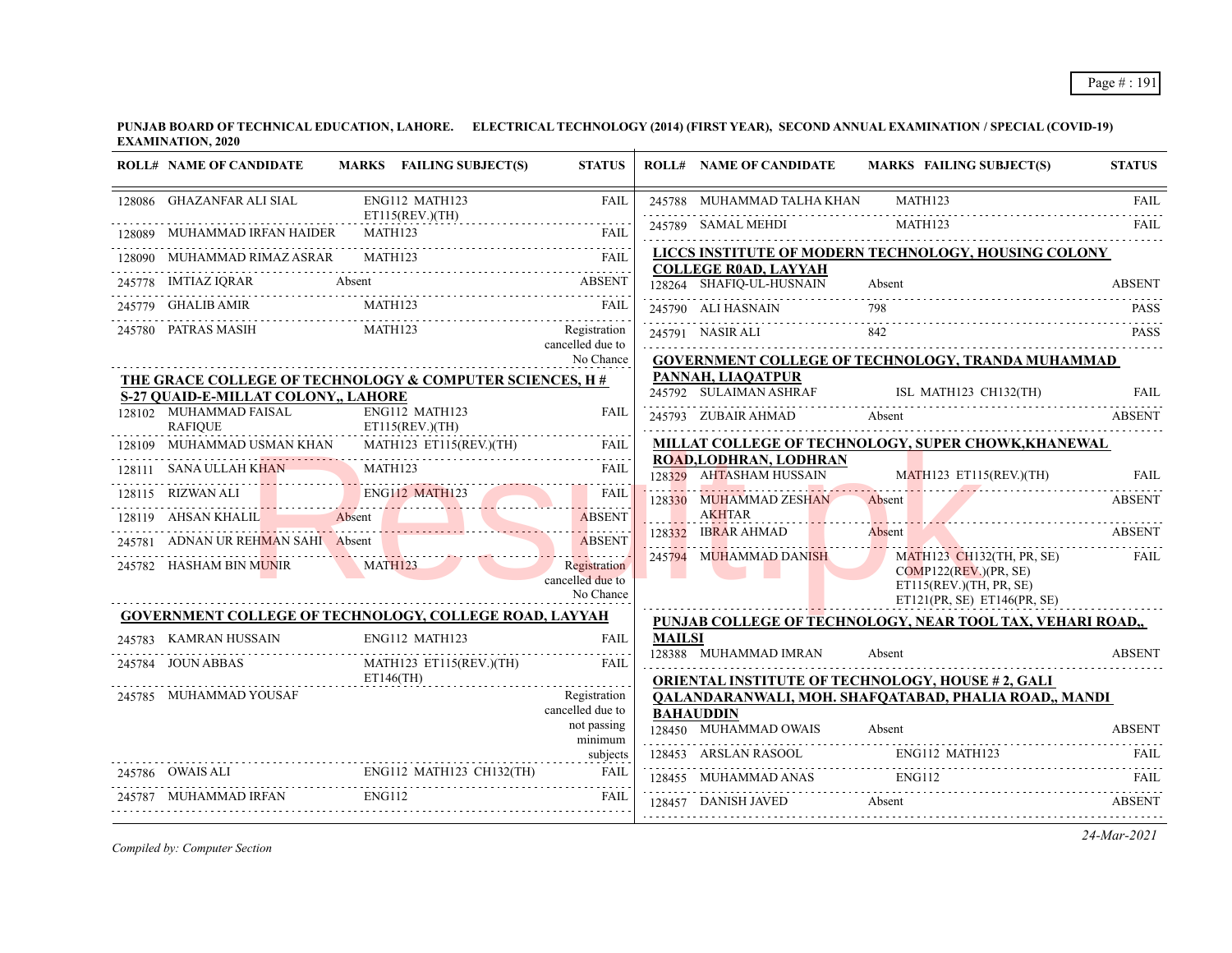| <b>ROLL# NAME OF CANDIDATE</b>                | MARKS FAILING SUBJECT(S)                                 | <b>STATUS</b>                    |               | <b>ROLL# NAME OF CANDIDATE</b>                          | <b>MARKS FAILING SUBJECT(S)</b>                            | <b>STATUS</b> |
|-----------------------------------------------|----------------------------------------------------------|----------------------------------|---------------|---------------------------------------------------------|------------------------------------------------------------|---------------|
| 128086 GHAZANFAR ALI SIAL                     | ENG112 MATH123                                           | <b>FAIL</b>                      |               | 245788 MUHAMMAD TALHA KHAN                              | MATH123                                                    | FAIL          |
| MUHAMMAD IRFAN HAIDER                         | ET115(REV.)(TH)<br>MATH123                               | <b>FAIL</b>                      |               | 245789 SAMAL MEHDI                                      | MATH123                                                    | <b>FAIL</b>   |
| 128090 MUHAMMAD RIMAZ ASRAR                   | <b>MATH123</b>                                           | <b>FAIL</b>                      |               |                                                         | LICCS INSTITUTE OF MODERN TECHNOLOGY, HOUSING COLONY       |               |
|                                               | 245778 IMTIAZ IQRAR Absent ABSENT ABSENT                 |                                  |               | <b>COLLEGE R0AD, LAYYAH</b><br>128264 SHAFIQ-UL-HUSNAIN | Absent                                                     | <b>ABSENT</b> |
|                                               | 245779 GHALIB AMIR MATH123 FA                            | FAIL                             |               | 245790 ALI HASNAIN                                      |                                                            |               |
| 245780 PATRAS MASIH                           | MATH123                                                  | Registration<br>cancelled due to |               | 245791 NASIR ALI                                        | 842                                                        | <b>PASS</b>   |
|                                               |                                                          | No Chance                        |               |                                                         | <b>GOVERNMENT COLLEGE OF TECHNOLOGY, TRANDA MUHAMMAD</b>   |               |
|                                               | THE GRACE COLLEGE OF TECHNOLOGY & COMPUTER SCIENCES, H # |                                  |               | PANNAH, LIAQATPUR<br>245792 SULAIMAN ASHRAF             | ISL MATH123 CH132(TH)                                      |               |
| S-27 QUAID-E-MILLAT COLONY,, LAHORE           |                                                          |                                  |               |                                                         |                                                            | <b>FAIL</b>   |
| 128102 MUHAMMAD FAISAL<br>.<br><b>RAFIOUE</b> | ENG112 MATH123<br>ET115(REV.)(TH)                        | <b>FAIL</b>                      |               | 245793 ZUBAIR AHMAD Absent                              |                                                            | <b>ABSENT</b> |
|                                               | 128109 MUHAMMAD USMAN KHAN MATH123 ET115(REV.)(TH)       | FAIL                             |               |                                                         | MILLAT COLLEGE OF TECHNOLOGY, SUPER CHOWK, KHANEWAL        |               |
|                                               | 128111 SANA ULLAH KHAN MATH123                           | <b>FAIL</b>                      |               | ROAD, LODHRAN, LODHRAN<br>128329 AHTASHAM HUSSAIN       | $MATH123$ ET115(REV.)(TH)                                  | <b>FAIL</b>   |
|                                               | 128115 RIZWAN ALI ENGILI MATHI23                         | <b>FAIL</b>                      |               | 128330 MUHAMMAD ZESHAN                                  | Absent                                                     | <b>ABSENT</b> |
| 128119 AHSAN KHALIL Absent                    | AHSAN KHALIL Absent Absent ABSENT                        | de de decem<br><b>ABSENT</b>     |               | <b>AKHTAR</b>                                           |                                                            |               |
| 245781 ADNAN UR REHMAN SAHI Absent            |                                                          | <b>ABSENT</b>                    |               | 128332 IBRAR AHMAD                                      | Absent                                                     | <b>ABSENT</b> |
| 245782 HASHAM BIN MUNIR                       | MATH123                                                  | Registration                     |               | 245794 MUHAMMAD DANISH                                  | MATH123 CH132(TH, PR, SE)<br>COMP122(REV.)(PR, SE)         | FAIL          |
|                                               |                                                          | cancelled due to                 |               |                                                         | ET115(REV.)(TH, PR, SE)                                    |               |
|                                               |                                                          | No Chance                        |               |                                                         | ET121(PR, SE) ET146(PR, SE)                                |               |
|                                               | GOVERNMENT COLLEGE OF TECHNOLOGY, COLLEGE ROAD, LAYYAH   |                                  |               |                                                         | PUNJAB COLLEGE OF TECHNOLOGY, NEAR TOOL TAX, VEHARI ROAD,, |               |
| 245783 KAMRAN HUSSAIN                         | ENG112 MATH123                                           | <b>FAIL</b>                      | <b>MAILSI</b> | 128388 MUHAMMAD IMRAN                                   |                                                            | <b>ABSENT</b> |
| 245784 JOUN ABBAS                             | MATH123 ET115(REV.)(TH)                                  | FAIL                             |               |                                                         | Absent                                                     |               |
|                                               | $ET146$ (TH)                                             |                                  |               |                                                         | <b>ORIENTAL INSTITUTE OF TECHNOLOGY, HOUSE #2, GALI</b>    |               |
| 245785 MUHAMMAD YOUSAF                        |                                                          | Registration<br>cancelled due to |               | <b>BAHAUDDIN</b>                                        | QALANDARANWALI, MOH. SHAFQATABAD, PHALIA ROAD,, MANDI      |               |
|                                               |                                                          | not passing                      |               | 128450 MUHAMMAD OWAIS Absent                            |                                                            | <b>ABSENT</b> |
|                                               |                                                          | minimum                          |               |                                                         |                                                            |               |
|                                               | 245786 OWAIS ALI ENG112 MATH123 CH132(TH) FAIL           | subjects                         |               |                                                         | 128453 ARSLAN RASOOL ENGI12 MATH123 FAIL<br>ENG112         |               |
| 245787 MUHAMMAD IRFAN                         | <b>ENG112</b>                                            | FAIL                             |               |                                                         | 128455 MUHAMMAD ANAS ENG112 FAIL FAIL                      | <b>ABSENT</b> |
|                                               |                                                          |                                  |               | 128457 DANISH JAVED                                     | Absent                                                     |               |

*Compiled by: Computer Section*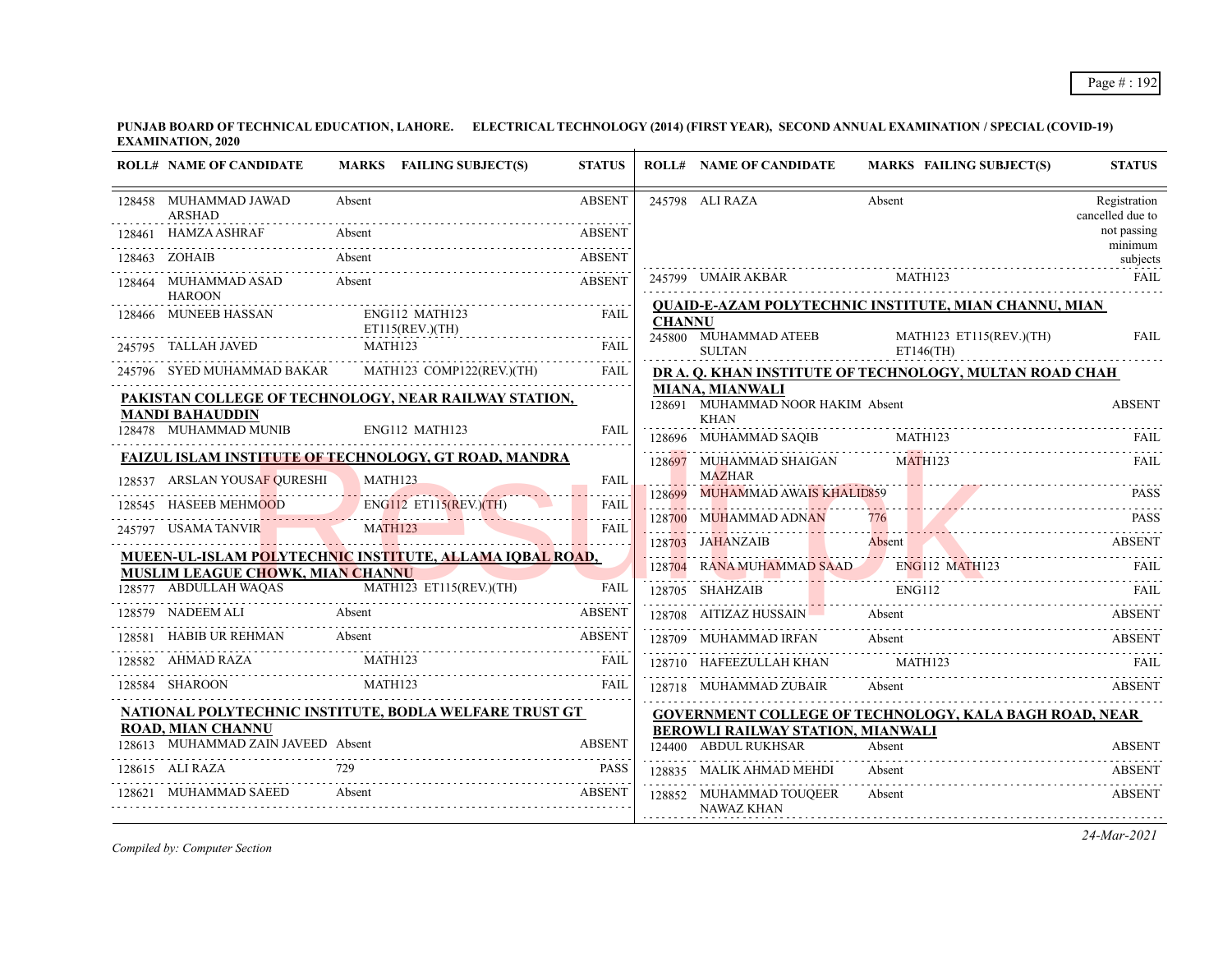| <b>ROLL# NAME OF CANDIDATE</b>                                                                                        |                | MARKS FAILING SUBJECT(S) | <b>STATUS</b> |               | <b>ROLL# NAME OF CANDIDATE</b>                                             |        | <b>MARKS FAILING SUBJECT(S)</b>         | <b>STATUS</b>                    |
|-----------------------------------------------------------------------------------------------------------------------|----------------|--------------------------|---------------|---------------|----------------------------------------------------------------------------|--------|-----------------------------------------|----------------------------------|
| 128458 MUHAMMAD JAWAD<br>ARSHAD                                                                                       | Absent         |                          | <b>ABSENT</b> |               | 245798 ALI RAZA                                                            | Absent |                                         | Registration<br>cancelled due to |
| 128461 HAMZA ASHRAF                                                                                                   | Absent         |                          | <b>ABSENT</b> |               |                                                                            |        |                                         | not passing<br>minimum           |
| 128463 ZOHAIB                                                                                                         | Absent         |                          | <b>ABSENT</b> |               |                                                                            |        |                                         | subjects                         |
| 128464 MUHAMMAD ASAD<br><b>HAROON</b>                                                                                 | Absent         |                          | <b>ABSENT</b> |               | 245799 UMAIR AKBAR                                                         |        | MATH123                                 | FAIL                             |
| 128466 MUNEEB HASSAN<br>ET115(REV.)(TH)                                                                               |                | ENG112 MATH123           | <b>FAIL</b>   | <b>CHANNU</b> | <b>QUAID-E-AZAM POLYTECHNIC INSTITUTE, MIAN CHANNU, MIAN</b>               |        |                                         |                                  |
| 245795 TALLAH JAVED                                                                                                   | MATH123        |                          | <b>FAIL</b>   |               | 245800 MUHAMMAD ATEEB<br><b>SULTAN</b>                                     |        | MATH123 ET115(REV.)(TH)<br>$ET146$ (TH) | FAII.                            |
| 245796 SYED MUHAMMAD BAKAR MATH123 COMP122(REV.)(TH)                                                                  |                |                          | FAIL          |               | DR A. Q. KHAN INSTITUTE OF TECHNOLOGY, MULTAN ROAD CHAH                    |        |                                         |                                  |
| PAKISTAN COLLEGE OF TECHNOLOGY, NEAR RAILWAY STATION,<br><b>MANDI BAHAUDDIN</b>                                       |                |                          |               |               | <b>MIANA, MIANWALI</b><br>128691 MUHAMMAD NOOR HAKIM Absent<br><b>KHAN</b> |        |                                         | <b>ABSENT</b>                    |
| 128478 MUHAMMAD MUNIB                                                                                                 |                | ENG112 MATH123           | <b>FAII</b>   |               | 128696 MUHAMMAD SAQIB MATH123                                              |        |                                         | FAIL                             |
| <b>FAIZUL ISLAM INSTITUTE OF TECHNOLOGY, GT ROAD, MANDRA</b>                                                          |                |                          |               |               | 128697 MUHAMMAD SHAIGAN                                                    |        | MATH123                                 | <b>FAIL</b>                      |
| 128537 ARSLAN YOUSAF OURESHI                                                                                          | MATH123        |                          | <b>FAIL</b>   |               | <b>MAZHAR</b><br>128699 MUHAMMAD AWAIS KHALID859                           |        |                                         | <b>PASS</b>                      |
| 128545 HASEEB MEHMOOD                                                                                                 |                | ENG112 ET115(REV.)(TH)   | <b>FAIL</b>   |               | 128700 MUHAMMAD ADNAN                                                      |        |                                         | <b>PASS</b>                      |
| 245797 USAMA TANVIR                                                                                                   | <b>MATH123</b> |                          | FAIL          |               | 128703 JAHANZAIB Absent                                                    |        |                                         | <b>ABSENT</b>                    |
| MUEEN-UL-ISLAM POLYTECHNIC INSTITUTE, ALLAMA IQBAL ROAD,                                                              |                |                          |               |               | 128704 RANA MUHAMMAD SAAD ENG112 MATH123                                   |        |                                         |                                  |
| <b>MUSLIM LEAGUE CHOWK, MIAN CHANNU</b><br>28577 ABDULLAH WAQAS MATH123 ET115(REV.)(TH) FAIL<br>128577 ABDULLAH WAQAS |                |                          |               |               | 128705 SHAHZAIB                                                            |        | <b>ENG112</b>                           |                                  |
| 128579 NADEEM ALI<br><b>Example 18</b> Absent                                                                         |                |                          | <b>ABSENT</b> |               | 128708 AITIZAZ HUSSAIN Absent                                              |        |                                         | ABSENT                           |
| HABIB UR REHMAN                                                                                                       | Absent         |                          | <b>ABSENT</b> |               | 128709 MUHAMMAD IRFAN                                                      | Absent |                                         | <b>ABSENT</b>                    |
| 128582 AHMAD RAZA                                                                                                     | MATH123        |                          | <b>FAIL</b>   |               | 128710 HAFEEZULLAH KHAN                                                    |        | MATH <sub>123</sub>                     |                                  |
| MATH123<br>128584 SHAROON                                                                                             |                |                          | <b>FAIL</b>   |               | 128718 MUHAMMAD ZUBAIR                                                     | Absent |                                         | <b>ABSENT</b>                    |
| NATIONAL POLYTECHNIC INSTITUTE, BODLA WELFARE TRUST GT                                                                |                |                          |               |               | <b>GOVERNMENT COLLEGE OF TECHNOLOGY, KALA BAGH ROAD, NEAR</b>              |        |                                         |                                  |
| <b>ROAD, MIAN CHANNU</b><br>128613 MUHAMMAD ZAIN JAVEED Absent                                                        |                |                          | <b>ABSENT</b> |               | BEROWLI RAILWAY STATION, MIANWALI                                          |        |                                         |                                  |
|                                                                                                                       |                |                          |               |               | 124400 ABDUL RUKHSAR                                                       | Absent |                                         | <b>ABSENT</b>                    |
| 128615 ALI RAZA                                                                                                       |                |                          | <b>PASS</b>   |               | 128835 MALIK AHMAD MEHDI                                                   | Absent |                                         | <b>ABSENT</b>                    |
| 128621 MUHAMMAD SAEED                                                                                                 | Absent         |                          | <b>ABSENT</b> |               | 128852 MUHAMMAD TOUQEER<br>NAWAZ KHAN                                      | Absent |                                         | <b>ABSENT</b>                    |

*Compiled by: Computer Section*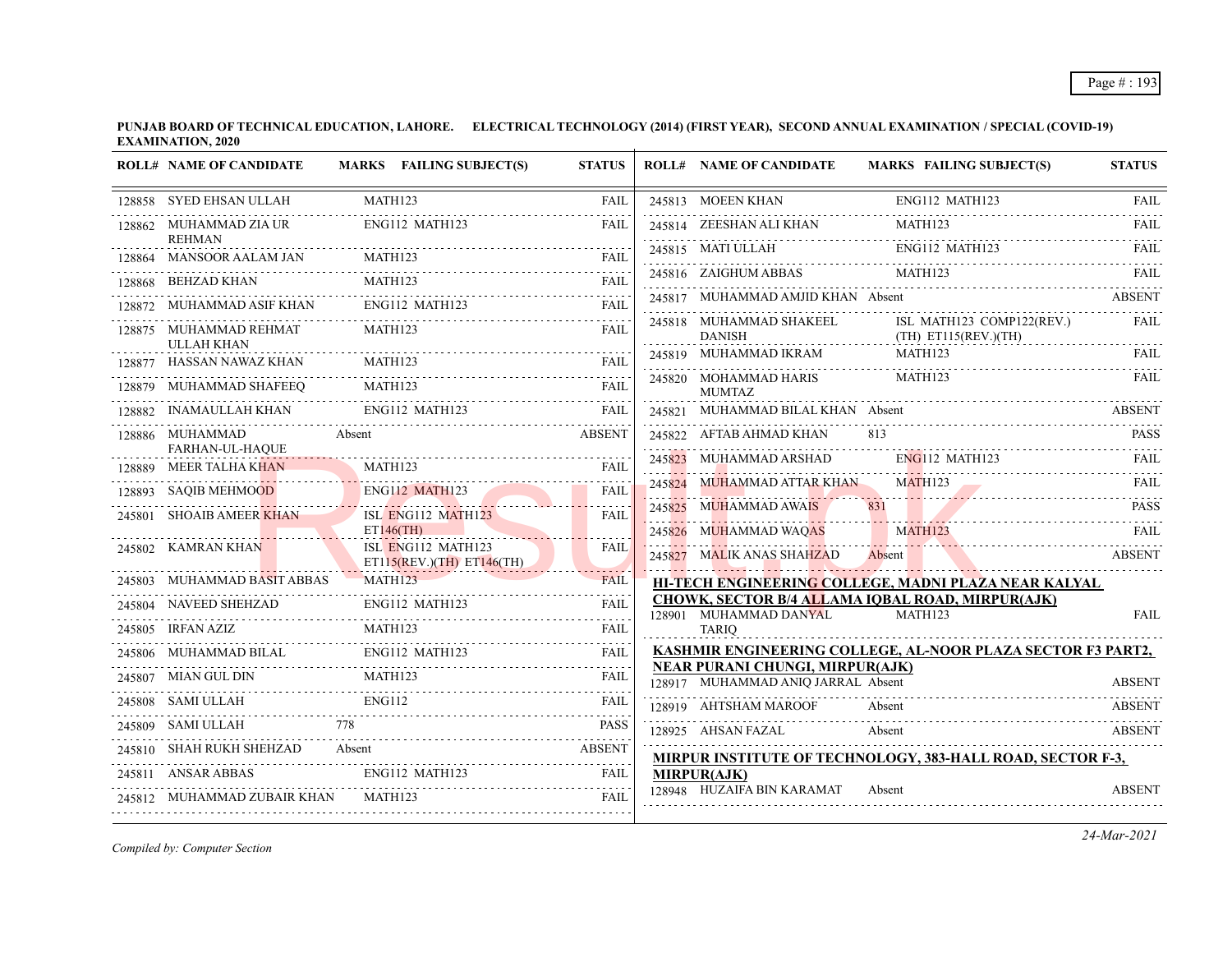|        | <b>ROLL# NAME OF CANDIDATE</b>              | MARKS FAILING SUBJECT(S)                                       | <b>STATUS</b>    | <b>ROLL# NAME OF CANDIDATE</b>                                        | <b>MARKS FAILING SUBJECT(S)</b>                                   | <b>STATUS</b>                |
|--------|---------------------------------------------|----------------------------------------------------------------|------------------|-----------------------------------------------------------------------|-------------------------------------------------------------------|------------------------------|
|        | 128858 SYED EHSAN ULLAH                     | MATH123                                                        | FAIL             | 245813 MOEEN KHAN                                                     | ENG112 MATH123                                                    | FAIL                         |
|        | 128862 MUHAMMAD ZIA UR<br><b>REHMAN</b>     | ENG112 MATH123                                                 | <b>FAIL</b>      | 245814 ZEESHAN ALI KHAN                                               | MATH123                                                           | <b>FAIL</b>                  |
|        | 128864 MANSOOR AALAM JAN                    | MATH123                                                        | <b>FAIL</b>      |                                                                       | 245815 MATI ULLAH ENGI12 MATH123 FAIL                             |                              |
| 128868 | BEHZAD KHAN                                 | MATH123                                                        | .<br>FAIL        | 245816 ZAIGHUM ABBAS                                                  | MATH123                                                           | <b>FAIL</b>                  |
|        | MUHAMMAD ASIF KHAN                          | ENG112 MATH123                                                 | <b>FAIL</b>      | 245817 MUHAMMAD AMJID KHAN Absent                                     |                                                                   | <b>ABSENT</b>                |
|        | 128875 MUHAMMAD REHMAT<br><b>ULLAH KHAN</b> | MATH123                                                        | FAIL             | 245818 MUHAMMAD SHAKEEL<br><b>DANISH</b>                              | ISL MATH123 COMP122(REV.)<br>$(TH)$ ET115(REV.)(TH)               | FAIL                         |
|        | 128877 HASSAN NAWAZ KHAN                    | MATH123                                                        | <b>FAIL</b>      | 245819 MUHAMMAD IKRAM                                                 | MATH123                                                           | FAIL                         |
|        | 128879 MUHAMMAD SHAFEEQ                     | MATH123                                                        | <b>FAIL</b>      | 245820 MOHAMMAD HARIS<br><b>MUMTAZ</b>                                | <b>MATH123</b>                                                    | FAIL                         |
|        | INAMAULLAH KHAN                             | ENG112 MATH123                                                 | <b>FAIL</b>      | 245821 MUHAMMAD BILAL KHAN Absent                                     |                                                                   | ABSENT                       |
|        | 128886 MUHAMMAD                             | Absent                                                         | <b>ABSENT</b>    | 245822 AFTAB AHMAD KHAN                                               | 813                                                               | PASS                         |
| 128889 | FARHAN-UL-HAQUE<br>MEER TALHA KHAN          | MATH123                                                        | <b>FAIL</b>      | 245823 MUHAMMAD ARSHAD ENG112 MATH123                                 |                                                                   |                              |
| 128893 | <b>SAQIB MEHMOOD</b>                        | <b>ENG112 MATH123</b>                                          | <b>FAIL</b>      | 245824 MUHAMMAD ATTAR KHAN                                            | MATH123                                                           | <b>FAIL</b>                  |
| 245801 | <b>SHOAIB AMEER KHAN</b>                    | ISL ENG112 MATH123<br>$ET146$ (TH)                             | <b>FAIL</b>      | 245825 MUHAMMAD AWAIS                                                 | 831<br><b>MATH123</b>                                             | <b>PASS</b>                  |
|        | 245802 KAMRAN KHAN                          | ISL ENG112 MATH123<br>$ET115(REV.)(TH)$ $ET146(TH)$            | <b>FAIL</b>      | 245826 MUHAMMAD WAQAS<br>245827 MALIK ANAS SHAHZAD                    | Absent<br>245827 MALIK ANAS SHAHZAD ADSENT NASHRIDA ABSENT        | <b>FAIL</b><br><b>ABSENT</b> |
|        | 245803 MUHAMMAD BASIT ABBAS                 | <b>MATH123</b>                                                 | $-0.000$<br>FAIL |                                                                       | HI-TECH ENGINEERING COLLEGE, MADNI PLAZA NEAR KALYAL              |                              |
|        | 245804 NAVEED SHEHZAD                       | ENG112 MATH123                                                 | <b>FAIL</b>      | 128901 MUHAMMAD DANYAL                                                | CHOWK, SECTOR B/4 ALLAMA IOBAL ROAD, MIRPUR(AJK)<br>MATH123       | <b>FAIL</b>                  |
|        | 245805 IRFAN AZIZ<br>.                      | MATH123                                                        | <b>FAIL</b>      | <b>TARIO</b>                                                          |                                                                   |                              |
|        | 245806 MUHAMMAD BILAL                       | ENG112 MATH123                                                 | <b>FAIL</b>      |                                                                       | KASHMIR ENGINEERING COLLEGE, AL-NOOR PLAZA SECTOR F3 PART2,       |                              |
|        | 245807 MIAN GUL DIN                         | <b>MATH123</b>                                                 | <b>FAIL</b>      | NEAR PURANI CHUNGI, MIRPUR(AJK)<br>128917 MUHAMMAD ANIQ JARRAL Absent |                                                                   | <b>ABSENT</b>                |
|        | 245808 SAMI ULLAH                           | <b>ENG112</b>                                                  | <b>FAIL</b>      | 128919 AHTSHAM MAROOF                                                 | Absent                                                            | <b>ABSENT</b>                |
|        | 245809 SAMI ULLAH                           |                                                                | <b>PASS</b>      | 128925    AHSAN FAZAL                                                 | Absent                                                            | <b>ABSENT</b>                |
|        | 245810 SHAH RUKH SHEHZAD                    |                                                                |                  |                                                                       | <b>MIRPUR INSTITUTE OF TECHNOLOGY, 383-HALL ROAD, SECTOR F-3,</b> |                              |
|        | 245811 ANSAR ABBAS                          | ENG112 MATH123                                                 | FAIL             | <b>MIRPUR(AJK)</b>                                                    |                                                                   |                              |
|        | 245812 MUHAMMAD ZUBAIR KHAN                 | MATH123<br>--- <del>--</del><br>------------------------------ | <b>FAIL</b>      | 128948 HUZAIFA BIN KARAMAT                                            | Absent                                                            | <b>ABSENT</b>                |
|        |                                             |                                                                |                  |                                                                       |                                                                   |                              |

*Compiled by: Computer Section*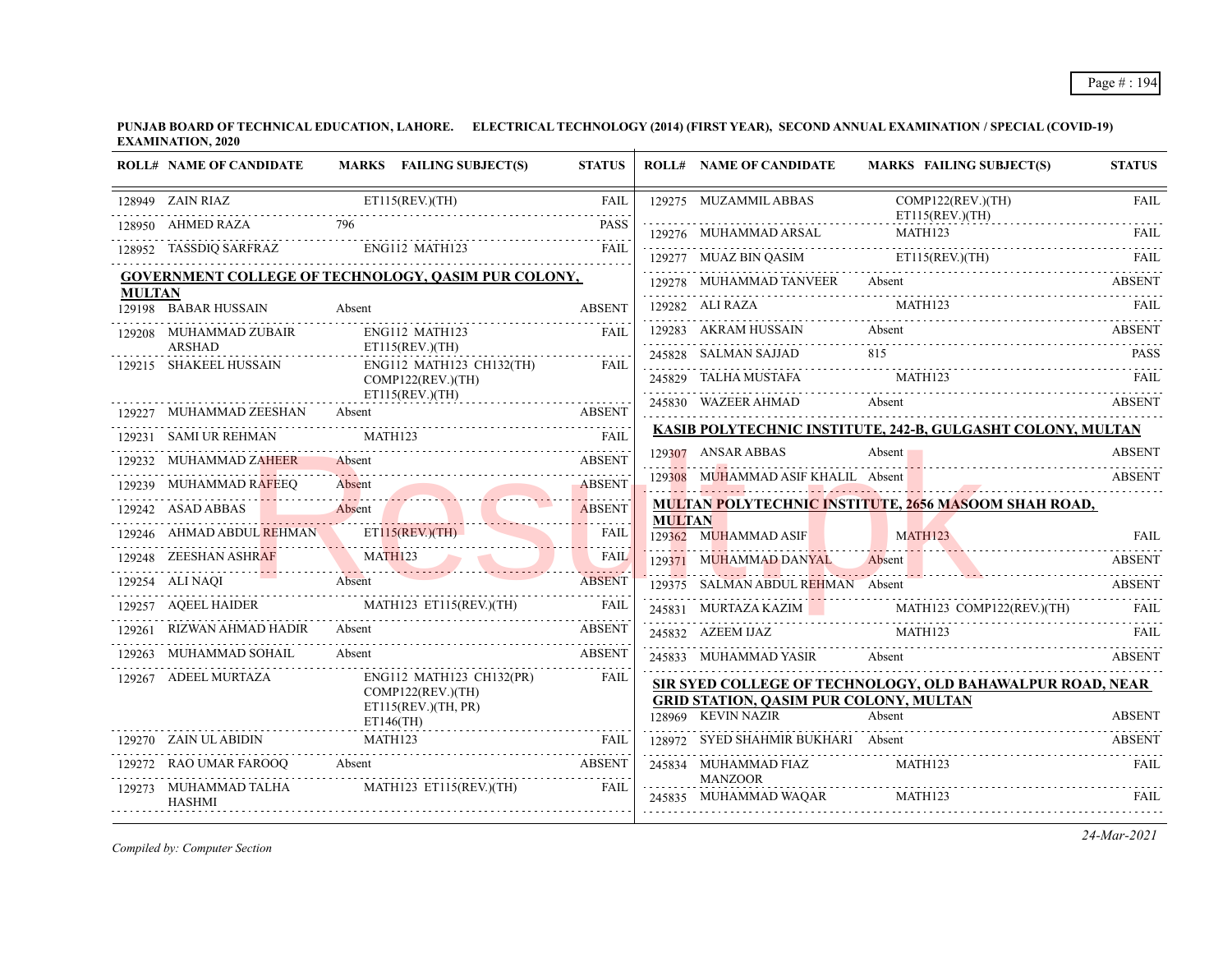|               | <b>ROLL# NAME OF CANDIDATE</b>          | MARKS FAILING SUBJECT(S)                                                                                                                                                                                                             | <b>STATUS</b>                |               | <b>ROLL# NAME OF CANDIDATE</b>                                      | <b>MARKS FAILING SUBJECT(S)</b>                                                                                                                                                                                                                                                           | <b>STATUS</b> |
|---------------|-----------------------------------------|--------------------------------------------------------------------------------------------------------------------------------------------------------------------------------------------------------------------------------------|------------------------------|---------------|---------------------------------------------------------------------|-------------------------------------------------------------------------------------------------------------------------------------------------------------------------------------------------------------------------------------------------------------------------------------------|---------------|
|               | 128949 ZAIN RIAZ                        | $Z$ ET115(REV.)(TH)                                                                                                                                                                                                                  | <b>FAIL</b>                  |               | 129275 MUZAMMIL ABBAS                                               | COMP122(REV.)(TH)                                                                                                                                                                                                                                                                         | <b>FAIL</b>   |
|               | 796<br>128950 AHMED RAZA                |                                                                                                                                                                                                                                      | <b>PASS</b>                  |               | ET115(REV)(TH)                                                      |                                                                                                                                                                                                                                                                                           |               |
|               |                                         | 128952 TASSDIQ SARFRAZ ENG112 MATH123 FAIL                                                                                                                                                                                           |                              |               |                                                                     | 129276 MUHAMMAD ARSAL MATH123 FAIL<br>129277 MUAZ BIN QASIM ETI15(REV.)(TH) FAIL                                                                                                                                                                                                          |               |
|               |                                         | GOVERNMENT COLLEGE OF TECHNOLOGY, QASIM PUR COLONY,                                                                                                                                                                                  |                              |               |                                                                     | 129278 MUHAMMAD TANVEER Absent ABSENT ABSENT                                                                                                                                                                                                                                              |               |
| <b>MULTAN</b> | 129198 BABAR HUSSAIN                    | Absent                                                                                                                                                                                                                               | <b>ABSENT</b>                |               |                                                                     | 129282 ALI RAZA MATH123 FAIL                                                                                                                                                                                                                                                              |               |
|               | 129208 MUHAMMAD ZUBAIR                  | ENG112 MATH123                                                                                                                                                                                                                       | FAIL                         |               |                                                                     | 129283 AKRAM HUSSAIN Absent ABSENT                                                                                                                                                                                                                                                        |               |
|               | <b>ARSHAD</b><br>129215 SHAKEEL HUSSAIN | ET115(REV.)(TH)<br>ENG112 MATH123 CH132(TH)                                                                                                                                                                                          | <b>FAIL</b>                  |               |                                                                     | $\begin{tabular}{lllllllll} \multicolumn{2}{c}{245828} & \multicolumn{2}{c}{SALMAN SAJJAD} & \multicolumn{2}{c}{815} & \multicolumn{2}{c}{PASS} \\ \multicolumn{2}{c}{245829} & \multicolumn{2}{c}{TALHA MUSTAFA} & \multicolumn{2}{c}{MATH123} & \multicolumn{2}{c}{FALI} \end{tabular}$ |               |
|               |                                         | COMP122(REV.)(TH)                                                                                                                                                                                                                    |                              |               |                                                                     |                                                                                                                                                                                                                                                                                           |               |
|               | 129227 MUHAMMAD ZEESHAN                 | ET115(REV.)(TH)<br>29227 MUHAMMAD ZEESHAN Absent ABSENT<br>20227 MUHAMMAD ZEESHAN Absent ABSENT                                                                                                                                      |                              |               |                                                                     | 245830 WAZEER AHMAD Absent ABSENT                                                                                                                                                                                                                                                         |               |
|               | 129231 SAMI UR REHMAN                   | <b>EXAMPLE STATE</b><br>MATH123                                                                                                                                                                                                      |                              |               |                                                                     | KASIB POLYTECHNIC INSTITUTE, 242-B, GULGASHT COLONY, MULTAN                                                                                                                                                                                                                               |               |
|               | 129232 MUHAMMAD ZAHEER                  | Absent                                                                                                                                                                                                                               | <b>ABSENT</b>                |               | 129307 ANSAR ABBAS                                                  | Absent 1<br>$\frac{129307}{129307}$ ANSAR ADDAS AUSSIR AUSSIR AND ALL CONTROL AUGUST AUGUST AUGUST AUGUST AUGUST AUGUST AUGUST AUGUST AUGUST AUGUST AUGUST AUGUST AUGUST AUGUST AUGUST AUGUST AUGUST AUGUST AUGUST AUGUST AUGUST AUGUST AUGUS                                             | ABSENT        |
|               | 129239 MUHAMMAD RAFEEQ                  | <u>ADOLATI AUGUST AUGUST AUGUST AUGUST AUGUST AUGUST AUGUST AUGUST AUGUST AUGUST AUGUST AUGUST AUGUST AUGUST AUGUST AUGUST AUGUST AUGUST AUGUST AUGUST AUGUST AUGUST AUGUST AUGUST AUGUST AUGUST AUGUST AUGUST AUGUST AUGUST AUG</u> | <b>ABSENT</b>                |               |                                                                     | 129308 MUHAMMAD ASIF KHALIL Absent ABSENT                                                                                                                                                                                                                                                 |               |
|               | 129242 ASAD ABBAS                       | Absent                                                                                                                                                                                                                               | de de decem<br><b>ABSENT</b> |               |                                                                     | <b>MULTAN POLYTECHNIC INSTITUTE, 2656 MASOOM SHAH ROAD,</b>                                                                                                                                                                                                                               |               |
|               |                                         |                                                                                                                                                                                                                                      |                              | <b>MULTAN</b> | 129362 MUHAMMAD ASIF                                                | MATH123                                                                                                                                                                                                                                                                                   | <b>FAIL</b>   |
|               |                                         | 129246 AHMAD ABDUL REHMAN ETILS(REV.)(TH) FAIL 129248 ZEESHAN ASHRAF MATH123                                                                                                                                                         |                              |               | 129371 MUHAMMAD DANYAL Absent                                       | TAL Absent ABSENT                                                                                                                                                                                                                                                                         |               |
|               | 129254 ALI NAQI Absent                  |                                                                                                                                                                                                                                      | <b>ABSENT</b>                |               | 129375 SALMAN ABDUL REHMAN Absent                                   |                                                                                                                                                                                                                                                                                           | ABSENT        |
|               |                                         | 129257 AQEEL HAIDER MATH123 ET115(REV.)(TH) FAIL                                                                                                                                                                                     |                              |               |                                                                     | 245831 MURTAZA KAZIM MATH123 COMP122(REV.)(TH) FAIL                                                                                                                                                                                                                                       |               |
|               | 129261 RIZWAN AHMAD HADIR Absent        | <b>ABSENT</b>                                                                                                                                                                                                                        |                              |               | 245832 AZEEM IJAZ MATH123                                           |                                                                                                                                                                                                                                                                                           | FAIL          |
|               | 129263 MUHAMMAD SOHAIL                  | Absent                                                                                                                                                                                                                               | <b>ABSENT</b>                |               |                                                                     | 245833 MUHAMMAD YASIR Absent ABSENT                                                                                                                                                                                                                                                       |               |
|               | 129267 ADEEL MURTAZA                    | ENG112 MATH123 CH132(PR)<br>COMP122(REV.)(TH)                                                                                                                                                                                        | <b>FAIL</b>                  |               |                                                                     | SIR SYED COLLEGE OF TECHNOLOGY, OLD BAHAWALPUR ROAD, NEAR                                                                                                                                                                                                                                 |               |
|               |                                         | ET115(REV.)(TH, PR)<br>ET146(TH)                                                                                                                                                                                                     |                              |               | <b>GRID STATION, QASIM PUR COLONY, MULTAN</b><br>128969 KEVIN NAZIR | Absent                                                                                                                                                                                                                                                                                    | <b>ABSENT</b> |
|               | 129270 ZAIN UL ABIDIN MATH123           |                                                                                                                                                                                                                                      | <b>FAIL</b>                  |               |                                                                     | 128972 SYED SHAHMIR BUKHARI Absent                                                                                                                                                                                                                                                        | <b>ABSENT</b> |
|               |                                         | 129272 RAO UMAR FAROOQ Absent ABSENT                                                                                                                                                                                                 |                              |               | 245834 MUHAMMAD FIAZ                                                | MATH123                                                                                                                                                                                                                                                                                   | FAIL          |
|               | 129273 MUHAMMAD TALHA<br>HASHMI         | MATH123 ET115(REV.)(TH)                                                                                                                                                                                                              | <b>FAIL</b>                  |               | <b>MANZOOR</b><br>245835 MUHAMMAD WAQAR MATH123                     |                                                                                                                                                                                                                                                                                           |               |

*Compiled by: Computer Section*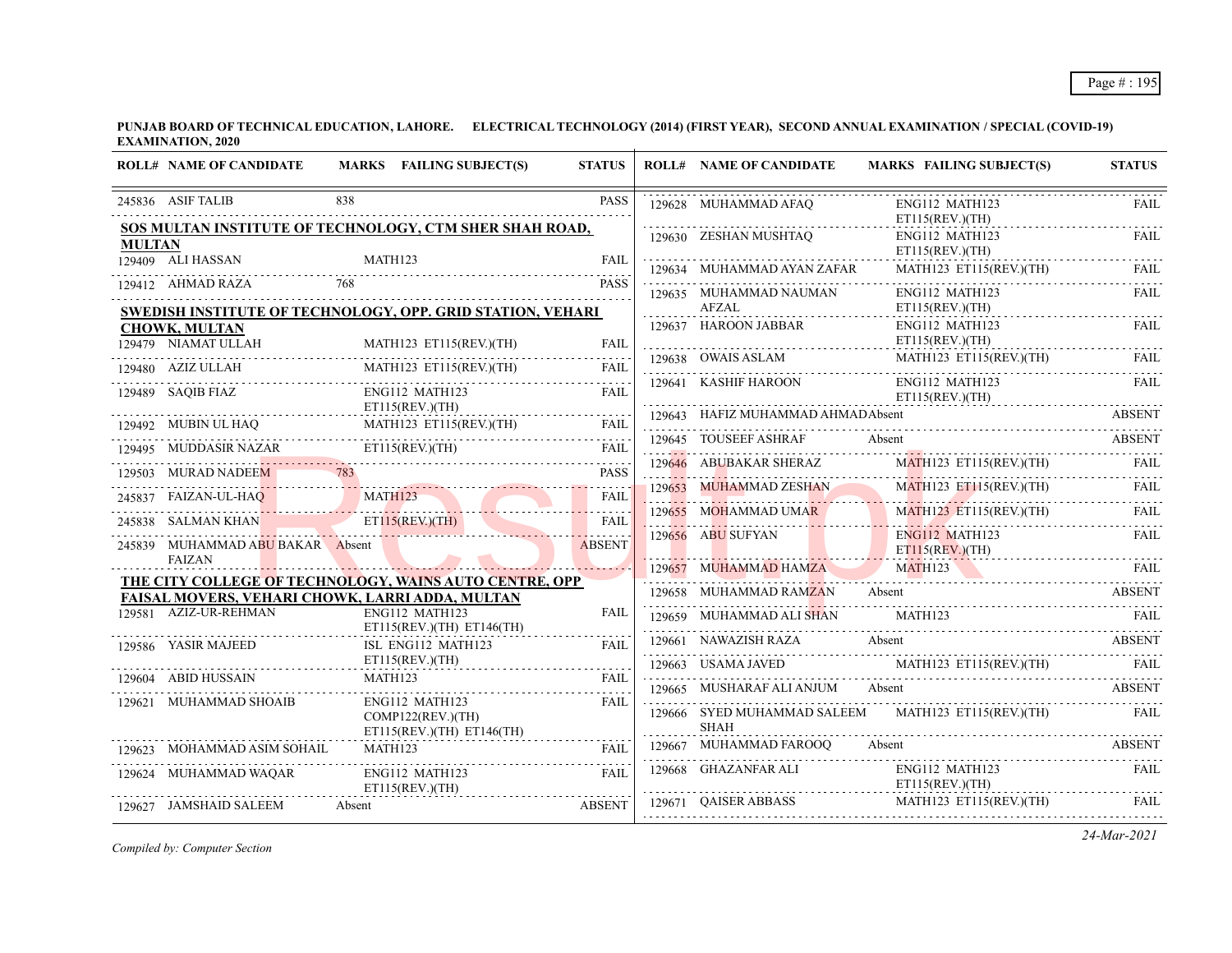|               | <b>ROLL# NAME OF CANDIDATE</b>   | MARKS FAILING SUBJECT(S)                                                                                  | <b>STATUS</b>      | <b>ROLL# NAME OF CANDIDATE</b>    | <b>MARKS FAILING SUBJECT(S)</b>                                                                                                                                                             | <b>STATUS</b> |
|---------------|----------------------------------|-----------------------------------------------------------------------------------------------------------|--------------------|-----------------------------------|---------------------------------------------------------------------------------------------------------------------------------------------------------------------------------------------|---------------|
|               | 245836 ASIF TALIB                | 838                                                                                                       | <b>PASS</b>        | 129628 MUHAMMAD AFAQ              | ENG112 MATH123<br>ET115(REV.)(TH)                                                                                                                                                           | <b>FAIL</b>   |
| <b>MULTAN</b> |                                  | SOS MULTAN INSTITUTE OF TECHNOLOGY, CTM SHER SHAH ROAD,                                                   |                    | 129630 ZESHAN MUSHTAQ             | ENG112 MATH123<br>ET115(REV.)(TH)                                                                                                                                                           | <b>FAIL</b>   |
|               | 129409 ALI HASSAN                | MATH123                                                                                                   | <b>FAII</b>        | 129634 MUHAMMAD AYAN ZAFAR        | MATH123 ET115(REV.)(TH)                                                                                                                                                                     | <b>FAIL</b>   |
|               | 129412 AHMAD RAZA                | 768                                                                                                       | <b>PASS</b>        | 129635 MUHAMMAD NAUMAN<br>AFZAL   | ENG112 MATH123<br>ET115(REV.)(TH)                                                                                                                                                           | FAIL          |
|               | <b>CHOWK, MULTAN</b>             | SWEDISH INSTITUTE OF TECHNOLOGY, OPP. GRID STATION, VEHARI                                                |                    | 129637 HAROON JABBAR              | ENG112 MATH123                                                                                                                                                                              | <b>FAIL</b>   |
|               | 129479 NIAMAT ULLAH              | MATH123 ET115(REV.)(TH)                                                                                   | <b>FAIL</b>        |                                   | ET115(REV.)(TH)                                                                                                                                                                             |               |
|               | 129480 AZIZ ULLAH                | $\frac{1}{29479}$ NATHI23 ET115(REV.)(TH) FAIL FAIL                                                       |                    |                                   | 129638 OWAIS ASLAM MATH123 ET115(REV.)(TH) FAIL                                                                                                                                             |               |
|               | 129489 SAOIB FIAZ                | ENG112 MATH123<br>$ET115$ (REV.)(TH)                                                                      | FAIL               | 129641 KASHIF HAROON              | ENG112 MATH123<br>ET115(REV.)(TH)                                                                                                                                                           | <b>FAIL</b>   |
|               | 129492 MUBIN UL HAQ              | MATH123 ET115(REV.)(TH)                                                                                   | FAIL               | 129643 HAFIZ MUHAMMAD AHMADAbsent |                                                                                                                                                                                             | <b>ABSENT</b> |
|               |                                  |                                                                                                           |                    | 129645 TOUSEEF ASHRAF             | Absent                                                                                                                                                                                      | <b>ABSENT</b> |
|               | 129503 MURAD NADEEM              | 129495 MUDDASIR NAZAR ETI15(REV.)(TH) FAIL                                                                | <b>PASS</b>        | 129646 ABUBAKAR SHERAZ            | <b>MATH123 ET115(REV.)(TH)</b>                                                                                                                                                              | -FAIL         |
| 245837        | FAIZAN-UL-HAQ                    | <b>MATH123</b>                                                                                            | .<br><b>FAIL</b>   |                                   | 129653 MUHAMMAD ZESHAN MATH123 ET115(REV.)(TH)                                                                                                                                              |               |
|               | 245838 SALMAN KHAN               | $ET115$ (REV.)(TH)                                                                                        | <b>FAIL</b>        | 129655 MOHAMMAD UMAR              | MATH123 ET115(REV.)(TH)                                                                                                                                                                     | FAIL          |
|               | 245839 MUHAMMAD ABU BAKAR Absent |                                                                                                           | .<br><b>ABSENT</b> | 129656 ABU SUFYAN                 | ENG112 MATH123<br>ET115(REV.)(TH)                                                                                                                                                           | <b>FAIL</b>   |
|               | <b>FAIZAN</b>                    |                                                                                                           |                    | 129657 MUHAMMAD HAMZA             | MATH123<br>129657 MUHAMMAD HAMZA MAIHI23 MAIHI23 FAIL                                                                                                                                       | FAIL          |
|               |                                  | THE CITY COLLEGE OF TECHNOLOGY, WAINS AUTO CENTRE, OPP<br>FAISAL MOVERS, VEHARI CHOWK, LARRI ADDA, MULTAN |                    | 129658 MUHAMMAD RAMZAN            | Absent                                                                                                                                                                                      | <b>ABSENT</b> |
|               | 129581 AZIZ-UR-REHMAN            | ENG112 MATH123<br>$ET115(REV.)(TH)$ $ET146(TH)$                                                           | <b>FAIL</b>        | 129659 MUHAMMAD ALI SHAN          | MATH123                                                                                                                                                                                     | FAIL          |
|               | 129586 YASIR MAJEED              | ISL ENG112 MATH123                                                                                        | FAIL               | 129661 NAWAZISH RAZA              | Absent                                                                                                                                                                                      | <b>ABSENT</b> |
|               | 129604 ABID HUSSAIN              | ET115(REV.)(TH)<br>MATH123                                                                                | FAIL               |                                   | $\begin{tabular}{c} 129663 & USAMA JAVED \\ \hline \end{tabular} \begin{tabular}{c} {\bf{AATH123} ETI15(REV)(TH)} \\ \end{tabular} \begin{tabular}{c} \bf{FAIL} \\ \bf{FAIL} \end{tabular}$ |               |
|               |                                  |                                                                                                           |                    | 129665 MUSHARAF ALI ANJUM Absent  |                                                                                                                                                                                             | <b>ABSENT</b> |
|               | 129621 MUHAMMAD SHOAIB           | ENG112 MATH123<br>COMP122(REV.)(TH)<br>ET115(REV.)(TH) ET146(TH)                                          | FAIL               | <b>SHAH</b>                       | 129666 SYED MUHAMMAD SALEEM MATH123 ET115(REV.)(TH)                                                                                                                                         | FAIL          |
|               | 129623 MOHAMMAD ASIM SOHAIL      | <b>MATH123</b>                                                                                            | FAII.              | 129667 MUHAMMAD FAROOO            | Absent                                                                                                                                                                                      | <b>ABSENT</b> |
|               | 129624 MUHAMMAD WAQAR            | ENG112 MATH123<br>$ET115$ (REV.)(TH)                                                                      | <b>FAIL</b>        | 129668 GHAZANFAR ALI              | ENG112 MATH123<br>ET115(REV.)(TH)                                                                                                                                                           | <b>FAIL</b>   |
|               | 129627 JAMSHAID SALEEM           | Absent                                                                                                    | <b>ABSENT</b>      | 129671 QAISER ABBASS              | MATH123 ET115(REV.)(TH)                                                                                                                                                                     | FAIL          |
|               |                                  |                                                                                                           |                    |                                   |                                                                                                                                                                                             |               |

*Compiled by: Computer Section*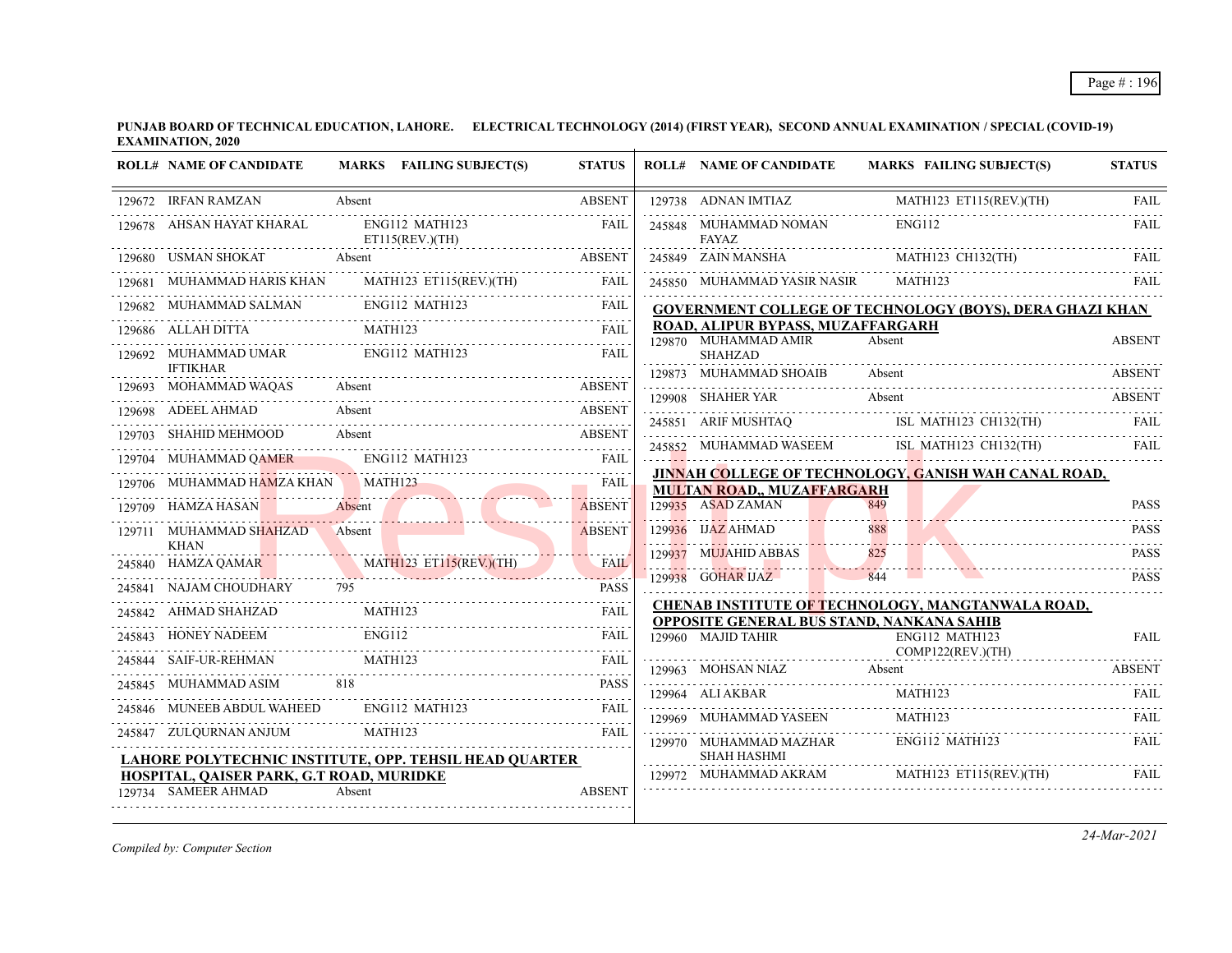|        | <b>ROLL# NAME OF CANDIDATE</b>           | MARKS FAILING SUBJECT(S)                                      | <b>STATUS</b>                  | <b>ROLL# NAME OF CANDIDATE</b>                            | <b>MARKS FAILING SUBJECT(S)</b>                                 | <b>STATUS</b> |
|--------|------------------------------------------|---------------------------------------------------------------|--------------------------------|-----------------------------------------------------------|-----------------------------------------------------------------|---------------|
|        | 129672 IRFAN RAMZAN                      | Absent                                                        | <b>ABSENT</b>                  | 129738 ADNAN IMTIAZ                                       | MATH123 ET115(REV.)(TH)                                         | FAIL          |
|        | 129678 AHSAN HAYAT KHARAL                | ENG112 MATH123<br>ET115(REV.)(TH)                             | FAIL                           | 245848 MUHAMMAD NOMAN<br><b>FAYAZ</b>                     | <b>ENG112</b>                                                   | FAIL          |
|        | 129680 USMAN SHOKAT                      | Absent                                                        | <b>ABSENT</b>                  | 245849 ZAIN MANSHA MATH123 CH132(TH)                      |                                                                 | FAIL          |
|        | 129681 MUHAMMAD HARIS KHAN               | MATH123 ET115(REV.)(TH)                                       | <b>FAIL</b>                    | 245850 MUHAMMAD YASIR NASIR                               | MATH123                                                         |               |
|        |                                          | ENG112 MATH123<br>129682 MUHAMMAD SALMAN ENG112 MATH123       | <b>FAIL</b>                    |                                                           | <b>GOVERNMENT COLLEGE OF TECHNOLOGY (BOYS), DERA GHAZI KHAN</b> |               |
|        | 129686 ALLAH DITTA                       | MATH123                                                       | <b>FAIL</b>                    | ROAD, ALIPUR BYPASS, MUZAFFARGARH<br>129870 MUHAMMAD AMIR | Absent                                                          | <b>ABSENT</b> |
|        | 129692 MUHAMMAD UMAR                     | ENG112 MATH123                                                | <b>FAIL</b>                    | <b>SHAHZAD</b>                                            |                                                                 |               |
|        | <b>IFTIKHAR</b><br>129693 MOHAMMAD WAQAS | Absent                                                        | <b>ABSENT</b>                  | 129873 MUHAMMAD SHOAIB                                    | Absent                                                          | <b>ABSENT</b> |
|        | 129698 ADEEL AHMAD                       | Absent                                                        | <b>ABSENT</b>                  | 129908 SHAHER YAR                                         | Absent                                                          | ABSENT        |
|        |                                          | 129703 SHAHID MEHMOOD Absent                                  | ABSENT                         |                                                           | 245851 ARIF MUSHTAQ ISL MATH123 CH132(TH) FAIL                  |               |
|        | 129704 MUHAMMAD QAMER ENG112 MATH123     |                                                               | FAIL                           |                                                           | 245852 MUHAMMAD WASEEM ISL_MATH123 CH132(TH)                    | FAIL          |
|        | 129706 MUHAMMAD HAMZA KHAN               | MATH <sub>123</sub>                                           | <b>FAIL</b>                    |                                                           | JINNAH COLLEGE OF TECHNOLOGY, GANISH WAH CANAL ROAD,            |               |
|        | 129709 HAMZA HASAN                       |                                                               | <u>.</u>                       | <b>MULTAN ROAD,, MUZAFFARGARH</b><br>129935 ASAD ZAMAN    | 849                                                             | <b>PASS</b>   |
|        | 129711 MUHAMMAD SHAHZAD                  | Absent                                                        | <b>ABSENT</b><br><b>ABSENT</b> | 129936 IJAZ AHMAD                                         | 888                                                             | <b>PASS</b>   |
|        | <b>KHAN</b>                              | Absent                                                        |                                | 129937 MUJAHID ABBAS                                      |                                                                 | <b>PASS</b>   |
|        |                                          | 245840 HAMZA QAMAR MATHI23 ET115(REV.)(TH) FAII               | <b>FAIL</b>                    |                                                           | 844                                                             |               |
| 245841 | NAJAM CHOUDHARY                          |                                                               | <b>PASS</b>                    | 129938 GOHAR IJAZ                                         |                                                                 | <b>PASS</b>   |
|        | 245842 AHMAD SHAHZAD                     | MATH123                                                       | FAIL                           | OPPOSITE GENERAL BUS STAND, NANKANA SAHIB                 | CHENAB INSTITUTE OF TECHNOLOGY, MANGTANWALA ROAD,               |               |
| 245843 | <b>HONEY NADEEM</b>                      | <b>ENG112</b>                                                 | <b>FAIL</b>                    | 129960 MAJID TAHIR                                        | ENG112 MATH123                                                  | <b>FAIL</b>   |
|        | SAIF-UR-REHMAN                           | SAIF-UR-REHMAN MATH123 FAIL                                   |                                | 129963 MOHSAN NIAZ                                        | COMP122(REV.)(TH)<br>Absent                                     | .<br>ABSENT   |
| 245845 | MUHAMMAD ASIM                            | 818                                                           | <b>PASS</b>                    | 129964 ALI AKBAR                                          | MATH123                                                         | FAIL          |
|        |                                          | 245846 MUNEEB ABDUL WAHEED ENG112 MATH123                     | FAII.                          | 129969 MUHAMMAD YASEEN                                    | MATH123                                                         | FAII.         |
|        | 245847 ZULQURNAN ANJUM                   | MATH123                                                       | FAIL                           |                                                           | ENG112 MATH123                                                  |               |
|        |                                          | <b>LAHORE POLYTECHNIC INSTITUTE, OPP. TEHSIL HEAD QUARTER</b> |                                | 129970 MUHAMMAD MAZHAR<br><b>SHAH HASHMI</b>              |                                                                 | FAIL          |
|        | HOSPITAL, QAISER PARK, G.T ROAD, MURIDKE |                                                               |                                |                                                           | 129972 MUHAMMAD AKRAM MATH123 ET115(REV.)(TH)                   | FAIL          |
|        | 129734 SAMEER AHMAD                      | Absent                                                        | <b>ABSENT</b>                  |                                                           |                                                                 |               |

*Compiled by: Computer Section*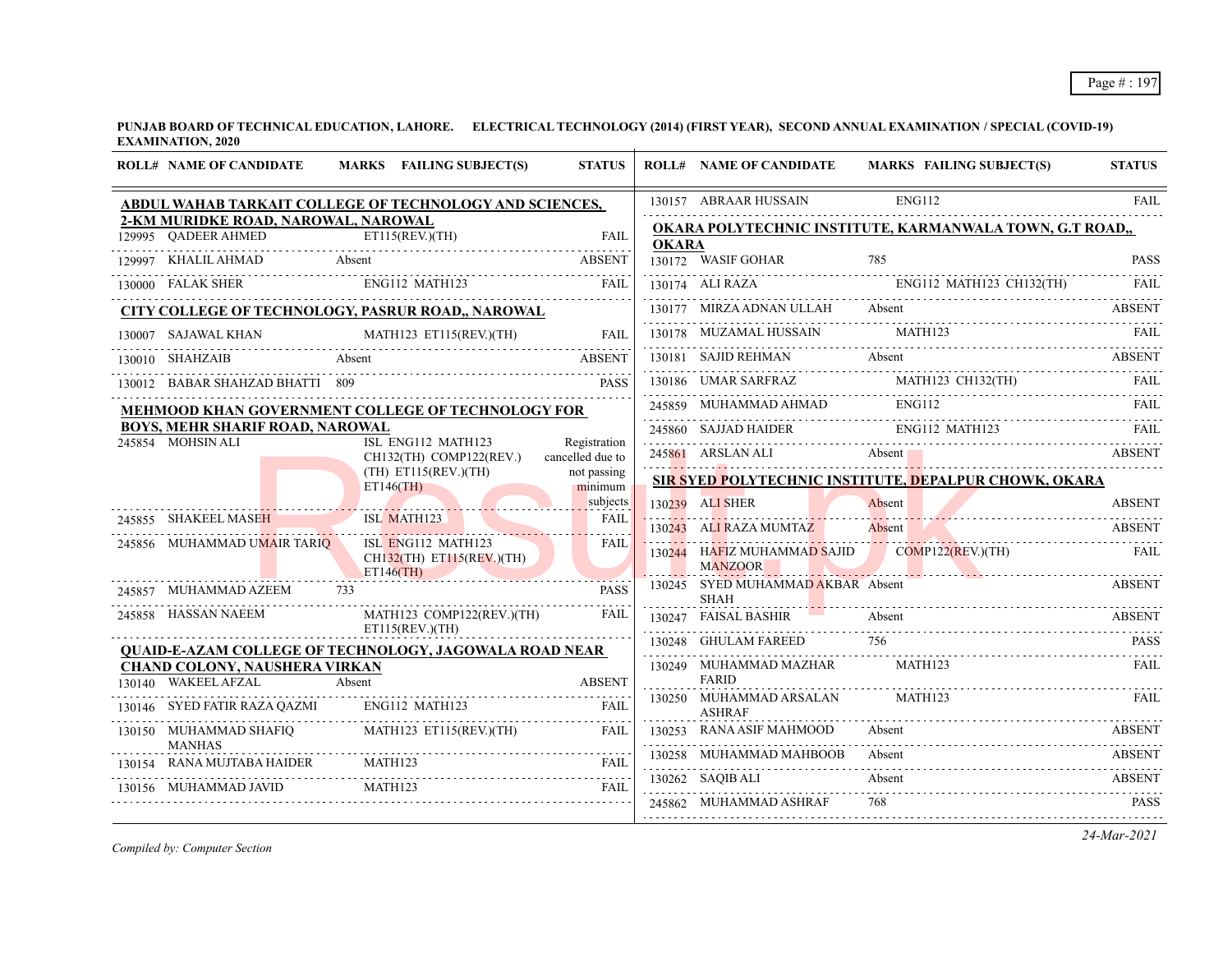| <b>ROLL# NAME OF CANDIDATE</b>                       | MARKS FAILING SUBJECT(S)                                                         | <b>STATUS</b>                    |              | <b>ROLL# NAME OF CANDIDATE</b>                                  | MARKS FAILING SUBJECT(S)                                        | <b>STATUS</b> |
|------------------------------------------------------|----------------------------------------------------------------------------------|----------------------------------|--------------|-----------------------------------------------------------------|-----------------------------------------------------------------|---------------|
|                                                      | ABDUL WAHAB TARKAIT COLLEGE OF TECHNOLOGY AND SCIENCES,                          |                                  |              | 130157 ABRAAR HUSSAIN                                           | <b>ENG112</b>                                                   | FAII.         |
| 2-KM MURIDKE ROAD, NAROWAL, NAROWAL                  | ET115(REV.)(TH)<br>129995 QADEER AHMED ETI15(REV.)(TH) FAIL                      | <b>FAIL</b>                      |              |                                                                 | <b>OKARA POLYTECHNIC INSTITUTE, KARMANWALA TOWN, G.T ROAD,,</b> |               |
| 129997 KHALIL AHMAD Absent                           |                                                                                  | ABSENT                           | <b>OKARA</b> | 130172 WASIF GOHAR                                              | 785                                                             | <b>PASS</b>   |
| 130000 FALAK SHER ENG112 MATH123                     |                                                                                  | FAIL                             |              |                                                                 | 130174 ALI RAZA ENGI12 MATH123 CH132(TH) FAIL                   |               |
|                                                      | CITY COLLEGE OF TECHNOLOGY, PASRUR ROAD,, NAROWAL                                |                                  |              |                                                                 | 130177 MIRZA ADNAN ULLAH Absent                                 | <b>ABSENT</b> |
| 130007 SAJAWAL KHAN                                  | JAWAL KHAN MATH123 ET115(REV.)(TH) FAIL                                          | FAIL                             |              | 130178 MUZAMAL HUSSAIN                                          | MATH123<br>$\frac{1001}{10}$ $\frac{1002}{100}$                 |               |
| Absent<br>130010 SHAHZAIB                            |                                                                                  | <b>ABSENT</b>                    |              |                                                                 | 130181 SAJID REHMAN Absent ABSENT                               |               |
| 130012 BABAR SHAHZAD BHATTI 809                      |                                                                                  | <b>PASS</b>                      |              |                                                                 | 130186 UMAR SARFRAZ MATH123 CH132(TH) FAIL                      |               |
|                                                      | <b>MEHMOOD KHAN GOVERNMENT COLLEGE OF TECHNOLOGY FOR</b>                         |                                  |              |                                                                 | 245859 MUHAMMAD AHMAD ENG112                                    | FAIL          |
| BOYS, MEHR SHARIF ROAD, NAROWAL<br>245854 MOHSIN ALI | ISL ENG112 MATH123                                                               |                                  |              |                                                                 | 245860 SAJJAD HAIDER ENGI12 MATH123 FAIL                        |               |
|                                                      | CH132(TH) COMP122(REV.)                                                          | Registration<br>cancelled due to |              |                                                                 | 245861 ARSLAN ALI Absent Absent ABSENT                          |               |
|                                                      | $(TH)$ ET115(REV.)(TH)<br>ET146(TH)                                              | not passing<br>minimum           |              |                                                                 | SIR SYED POLYTECHNIC INSTITUTE, DEPALPUR CHOWK, OKARA           |               |
|                                                      |                                                                                  | subjects                         |              | 130239 ALI SHER                                                 | Absent<br>130239 ALISHER Absent Absent ABSENT                   | <b>ABSENT</b> |
| 245855 SHAKEEL MASEH                                 | ISL MATH123                                                                      | FAII.<br>.                       |              | 130243 ALI RAZA MUMTAZ                                          | Absent                                                          | <b>ABSENT</b> |
| 245856 MUHAMMAD UMAIR TARIQ                          | ISL ENG112 MATH123<br>$CH132$ (TH) ET115(REV.)(TH)<br>ET146(TH)                  | FAIL                             |              | 130244 HAFIZ MUHAMMAD SAJID COMP122(REV.)(TH)<br><b>MANZOOR</b> | ARCHITECTURE AND ARCHITECTURE ARCHITECTURE                      | - FAIL        |
| 245857 MUHAMMAD AZEEM 733                            |                                                                                  | <b>PASS</b>                      |              | 130245 SYED MUHAMMAD AKBAR Absent<br><b>SHAH</b>                |                                                                 | <b>ABSENT</b> |
| 245858 HASSAN NAEEM                                  | MATH123 COMP122(REV.)(TH)                                                        | FAIL                             |              | 130247 FAISAL BASHIR                                            | Absent                                                          | <b>ABSENT</b> |
|                                                      | ET115(REV.)(TH)<br><b>OUAID-E-AZAM COLLEGE OF TECHNOLOGY, JAGOWALA ROAD NEAR</b> |                                  |              | 130248 GHULAM FAREED                                            | 756                                                             | <b>PASS</b>   |
| CHAND COLONY, NAUSHERA VIRKAN                        |                                                                                  |                                  |              | 130249 MUHAMMAD MAZHAR<br><b>FARID</b>                          | MATH123                                                         | FAIL          |
| 130140 WAKEEL AFZAL                                  | KEEL AFZAL Absent ABSENT ABSENT                                                  | <b>ABSENT</b>                    |              | 130250 MUHAMMAD ARSALAN                                         | MATH123                                                         | FAII.         |
|                                                      | 130146 SYED FATIR RAZA QAZMI ENG112 MATH123                                      | FAIL                             |              | <b>ASHRAF</b>                                                   |                                                                 |               |
| <b>MANHAS</b>                                        | 130150 MUHAMMAD SHAFIQ MATH123 ET115(REV.)(TH)                                   | FAIL                             |              | 130253 RANA ASIF MAHMOOD                                        | Absent                                                          | ABSENT        |
| 130154 RANA MUJTABA HAIDER MATH123                   |                                                                                  | FAIL                             |              | 130258 MUHAMMAD MAHBOOB                                         | Absent                                                          | <b>ABSENT</b> |
| 130156 MUHAMMAD JAVID                                | <b>MATH123</b>                                                                   | FAIL                             |              | 130262 SAQIB ALI                                                | Absent                                                          | <b>ABSENT</b> |
|                                                      |                                                                                  |                                  |              | 245862 MUHAMMAD ASHRAF                                          | 768<br>245862 MUHAMMAD ASHRAF 768 PASS                          |               |

*Compiled by: Computer Section*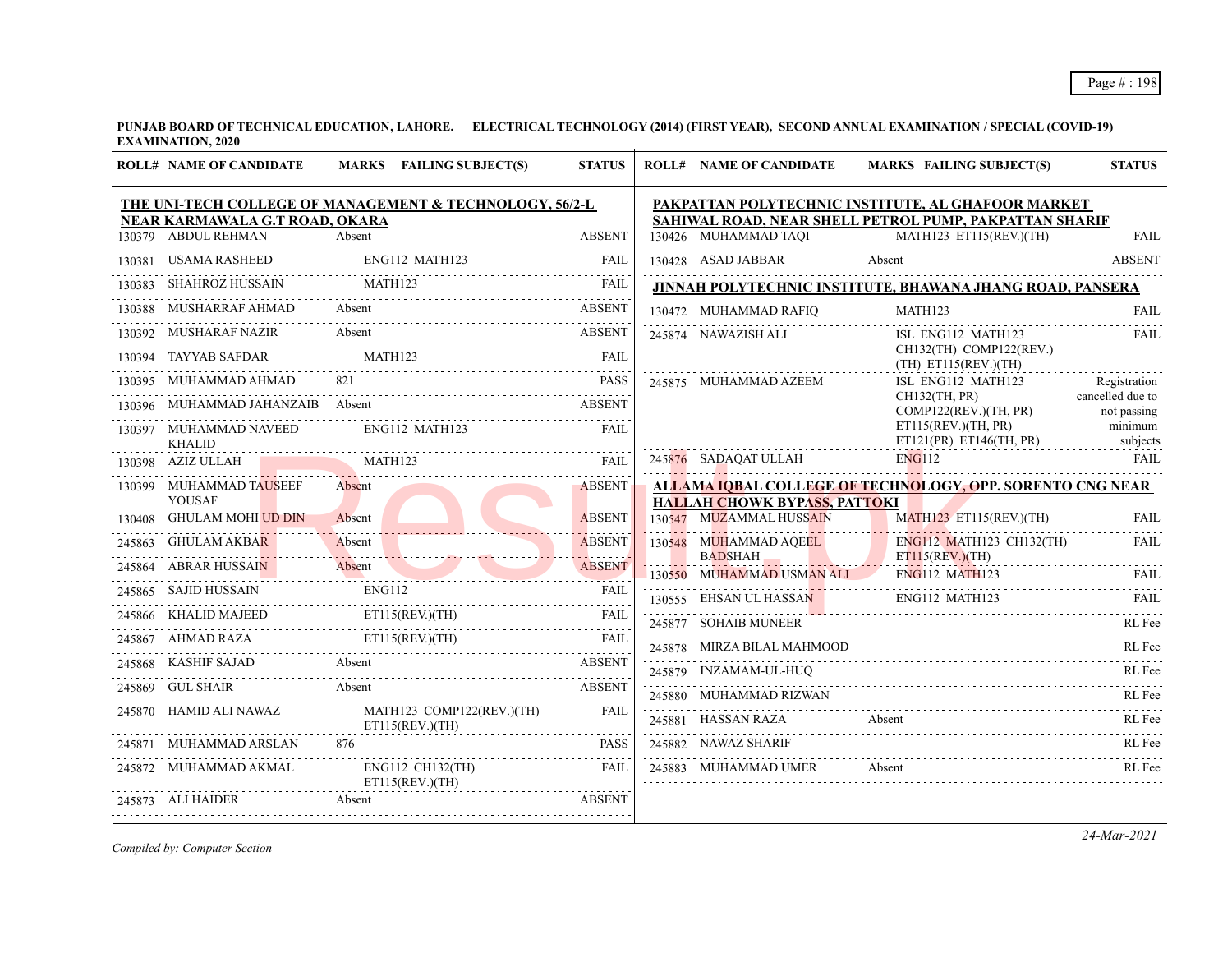| <b>ROLL# NAME OF CANDIDATE</b>           | MARKS FAILING SUBJECT(S)                                                                                     | <b>STATUS</b>          | <b>ROLL# NAME OF CANDIDATE</b>                                                                               | MARKS FAILING SUBJECT(S)                                  | <b>STATUS</b>                   |  |  |  |
|------------------------------------------|--------------------------------------------------------------------------------------------------------------|------------------------|--------------------------------------------------------------------------------------------------------------|-----------------------------------------------------------|---------------------------------|--|--|--|
| NEAR KARMAWALA G.T ROAD, OKARA           | THE UNI-TECH COLLEGE OF MANAGEMENT & TECHNOLOGY, 56/2-L                                                      |                        | PAKPATTAN POLYTECHNIC INSTITUTE, AL GHAFOOR MARKET<br>SAHIWAL ROAD, NEAR SHELL PETROL PUMP, PAKPATTAN SHARIF |                                                           |                                 |  |  |  |
| 130379 ABDUL REHMAN                      | Absent                                                                                                       | <b>ABSENT</b>          |                                                                                                              | 130426 MUHAMMAD TAQI MATH123 ET115(REV.)(TH)              | <b>FAIL</b>                     |  |  |  |
|                                          | $\textbf{130381 \quad USAM RASHEED} \qquad \qquad \textbf{ENG112 \quad MATH123} \qquad \qquad \textbf{FAIL}$ |                        | 130428 ASAD JABBAR                                                                                           | Absent                                                    | <b>ABSENT</b>                   |  |  |  |
| 130383 SHAHROZ HUSSAIN                   | MATH123                                                                                                      |                        |                                                                                                              | JINNAH POLYTECHNIC INSTITUTE, BHAWANA JHANG ROAD, PANSERA |                                 |  |  |  |
| 130388 MUSHARRAF AHMAD Absent            | MUSHARRAF AHMAD Absent ABSENT                                                                                |                        | 130472 MUHAMMAD RAFIO                                                                                        | MATH123<br>130472 MUHAMMAD RAFIQ MATH123 FAIL             | FAIL                            |  |  |  |
| 130392 MUSHARAF NAZIR                    | Absent                                                                                                       | ABSENT                 | 245874 NAWAZISH ALI                                                                                          | ISL ENG112 MATH123                                        | FAIL                            |  |  |  |
| 130394 TAYYAB SAFDAR MATH123             |                                                                                                              | FAII.                  |                                                                                                              | CH132(TH) COMP122(REV.)<br>$(TH)$ ET115(REV.)(TH)         |                                 |  |  |  |
| 130395 MUHAMMAD AHMAD                    |                                                                                                              | <b>PASS</b>            | 245875 MUHAMMAD AZEEM                                                                                        | ISL ENG112 MATH123                                        | Registration                    |  |  |  |
| 130396 MUHAMMAD JAHANZAIB Absent         |                                                                                                              | <b>ABSENT</b>          |                                                                                                              | CH132(TH, PR)<br>COMP122(REV.)(TH, PR)                    | cancelled due to<br>not passing |  |  |  |
| 130397 MUHAMMAD NAVEED<br><b>KHALID</b>  | ENG112 MATH123                                                                                               | FAIL                   |                                                                                                              | ET115(REV.)(TH, PR)<br>ET121(PR) ET146(TH, PR)            | minimum<br>subjects             |  |  |  |
| 130398 AZIZ ULLAH                        | MATH123                                                                                                      | FAII.                  | 245876 SADAQAT ULLAH                                                                                         | <b>ENG112</b>                                             | FAIL                            |  |  |  |
| 130399 MUHAMMAD TAUSEEF<br><b>YOUSAF</b> | Absent                                                                                                       | <b>ABSENT</b>          |                                                                                                              | ALLAMA IOBAL COLLEGE OF TECHNOLOGY, OPP. SORENTO CNG NEAR |                                 |  |  |  |
| 130408 GHULAM MOHI UD DIN                | Absent                                                                                                       | .<br><b>ABSENT</b>     | <b>HALLAH CHOWK BYPASS, PATTOKI</b><br>130547 MUZAMMAL HUSSAIN                                               | MATH123 ET115(REV)(TH)                                    | <b>FAIL</b>                     |  |  |  |
| 245863 GHULAM AKBAR                      | Absent<br><u> Tanton Tanton de Maria de la I</u>                                                             | ABSENT<br>. <i>. .</i> | 130548 MUHAMMAD AQEEL<br><b>BADSHAH</b>                                                                      | ENG112 MATH123 CH132(TH)<br>ET115(REV.)(TH)               | <b>FAIL</b>                     |  |  |  |
| 245864 ABRAR HUSSAIN                     | ABRAR HUSSAIN Absent                                                                                         |                        | 130550 MUHAMMAD USMAN ALI                                                                                    | <b>ENG112 MATH123</b>                                     | FAIL.                           |  |  |  |
| 245865 SAJID HUSSAIN                     | ENG112                                                                                                       | FAIL                   | 130555 EHSAN UL HASSAN                                                                                       | ENG112 MATH123                                            | FAIL.                           |  |  |  |
|                                          | 245866 KHALID MAJEED ET115(REV.)(TH) FAIL                                                                    |                        | 245877 SOHAIB MUNEER                                                                                         |                                                           | RL Fee                          |  |  |  |
|                                          | 245867 AHMAD RAZA ET115(REV.)(TH) FAIL                                                                       |                        | 245878 MIRZA BILAL MAHMOOD                                                                                   |                                                           | RL Fee                          |  |  |  |
|                                          | 245868 KASHIF SAJAD Absent ABSENT                                                                            |                        | 245879 INZAMAM-UL-HUQ                                                                                        |                                                           | RL Fee                          |  |  |  |
| 245869 GUL SHAIR                         | Absent                                                                                                       | <b>ABSENT</b>          | 245880 MUHAMMAD RIZWAN                                                                                       |                                                           | RL Fee                          |  |  |  |
| 245870 HAMID ALI NAWAZ                   | MATH123 COMP122(REV.)(TH)<br>ET115(REV.)(TH)                                                                 | FAII.                  | 245881 HASSAN RAZA                                                                                           | Absent                                                    | RL Fee                          |  |  |  |
| 245871 MUHAMMAD ARSLAN                   | 876                                                                                                          | <b>PASS</b>            | 245882 NAWAZ SHARIF                                                                                          |                                                           | RL Fee                          |  |  |  |
| 245872 MUHAMMAD AKMAL                    | ENG112 CH132(TH)<br>ET115(REV.)(TH)                                                                          | <b>FAIL</b>            | 245883 MUHAMMAD UMER                                                                                         | Absent                                                    | RL Fee                          |  |  |  |
| 245873 ALI HAIDER                        | Absent                                                                                                       | <b>ABSENT</b>          |                                                                                                              |                                                           |                                 |  |  |  |
|                                          |                                                                                                              |                        |                                                                                                              |                                                           |                                 |  |  |  |

*Compiled by: Computer Section*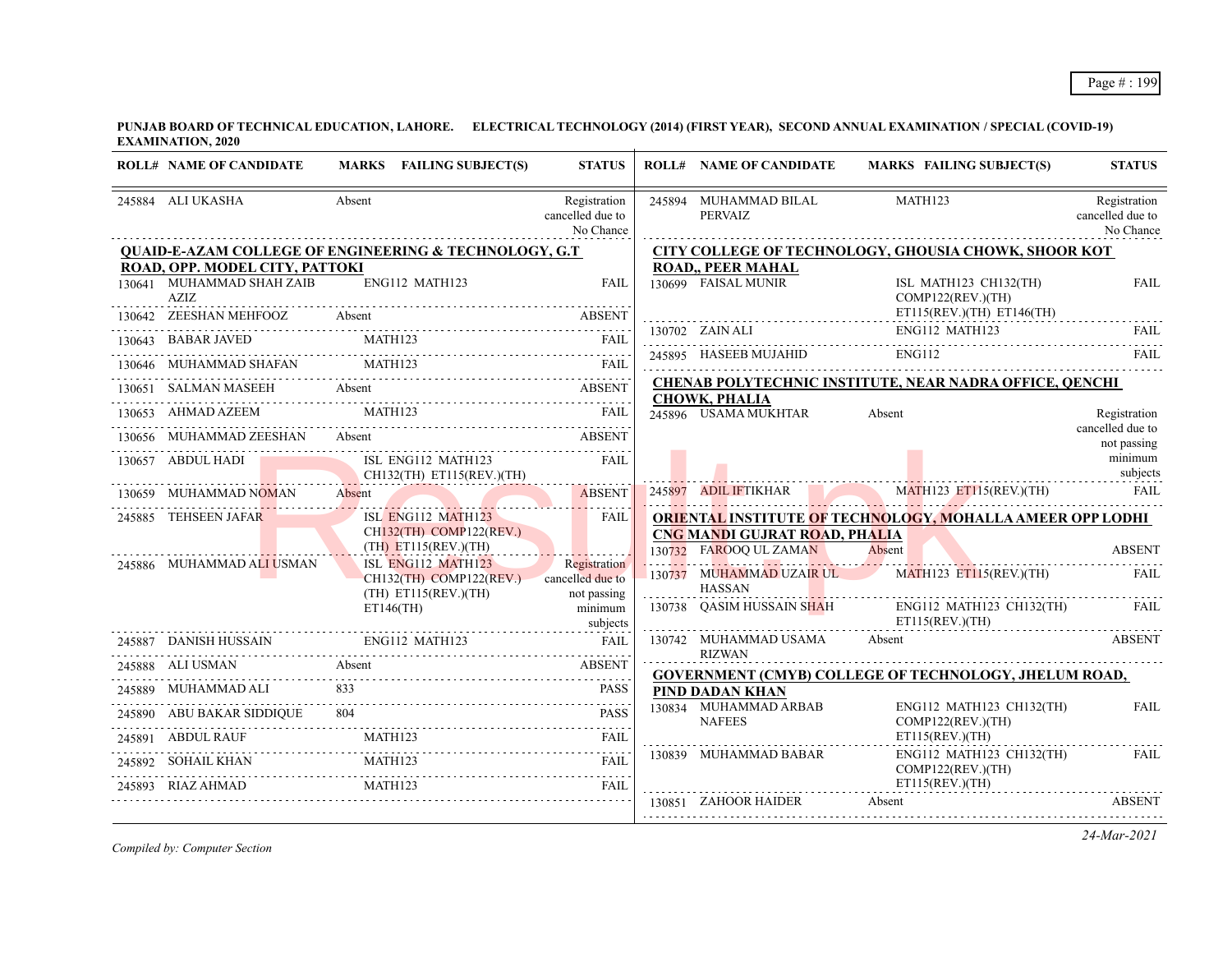| <b>ROLL# NAME OF CANDIDATE</b>    | MARKS FAILING SUBJECT(S)                                                                                                                                                                                                                                                                                                                                                                                                                        | <b>STATUS</b>                                 | <b>ROLL# NAME OF CANDIDATE</b>                          | MARKS FAILING SUBJECT(S)                                                                                                                                                                                                                                                                                                            | <b>STATUS</b>                                 |
|-----------------------------------|-------------------------------------------------------------------------------------------------------------------------------------------------------------------------------------------------------------------------------------------------------------------------------------------------------------------------------------------------------------------------------------------------------------------------------------------------|-----------------------------------------------|---------------------------------------------------------|-------------------------------------------------------------------------------------------------------------------------------------------------------------------------------------------------------------------------------------------------------------------------------------------------------------------------------------|-----------------------------------------------|
| 245884 ALI UKASHA                 | Absent                                                                                                                                                                                                                                                                                                                                                                                                                                          | Registration<br>cancelled due to<br>No Chance | 245894 MUHAMMAD BILAL<br>PERVAIZ                        | <b>MATH123</b>                                                                                                                                                                                                                                                                                                                      | Registration<br>cancelled due to<br>No Chance |
|                                   | <b>QUAID-E-AZAM COLLEGE OF ENGINEERING &amp; TECHNOLOGY, G.T</b>                                                                                                                                                                                                                                                                                                                                                                                |                                               |                                                         | CITY COLLEGE OF TECHNOLOGY, GHOUSIA CHOWK, SHOOR KOT                                                                                                                                                                                                                                                                                |                                               |
| ROAD, OPP. MODEL CITY, PATTOKI    |                                                                                                                                                                                                                                                                                                                                                                                                                                                 |                                               | ROAD,, PEER MAHAL                                       |                                                                                                                                                                                                                                                                                                                                     |                                               |
| 130641 MUHAMMAD SHAH ZAIB<br>AZIZ | ENG112 MATH123                                                                                                                                                                                                                                                                                                                                                                                                                                  | <b>FAIL</b>                                   | 130699 FAISAL MUNIR                                     | ISL MATH123 CH132(TH)<br>COMP122(REV.)(TH)                                                                                                                                                                                                                                                                                          | <b>FAIL</b>                                   |
| 130642 ZEESHAN MEHFOOZ Absent     |                                                                                                                                                                                                                                                                                                                                                                                                                                                 | <b>ABSENT</b>                                 |                                                         | $ET115(REV)(TH)$ $ET146(TH)$                                                                                                                                                                                                                                                                                                        | .                                             |
|                                   | 130643 BABAR JAVED MATH123 FAIL                                                                                                                                                                                                                                                                                                                                                                                                                 |                                               |                                                         | $\begin{tabular}{c c c c} \hline 130702 & ZAIN ALL & ENGI12 MATH123 & FAIL \\ \hline 245895 & HASEEB MUJAHID & ENGI12 & & TAIL \\ \hline \end{tabular} \begin{tabular}{c} \hline \multicolumn{3}{c}{\textbf{FAIL}} \\ \hline \multicolumn{3}{c}{\textbf{FAIL}} \\ \hline \multicolumn{3}{c}{\textbf{FAIL}} \\ \hline \end{tabular}$ |                                               |
| 130646 MUHAMMAD SHAFAN MATH123    |                                                                                                                                                                                                                                                                                                                                                                                                                                                 | FAIL                                          |                                                         |                                                                                                                                                                                                                                                                                                                                     |                                               |
|                                   | 130651 SALMAN MASEEH Absent ABSENT ABSENT                                                                                                                                                                                                                                                                                                                                                                                                       |                                               | <b>CHOWK, PHALIA</b>                                    | CHENAB POLYTECHNIC INSTITUTE, NEAR NADRA OFFICE, QENCHI                                                                                                                                                                                                                                                                             |                                               |
|                                   |                                                                                                                                                                                                                                                                                                                                                                                                                                                 |                                               | 245896 USAMA MUKHTAR                                    | Absent                                                                                                                                                                                                                                                                                                                              | Registration                                  |
|                                   | $\begin{tabular}{c c c c} \hline 130653 & AHMAD AZEEM & \multicolumn{3}{ c }{MATH123} & \multicolumn{3}{ c }{FAIL} \\ \hline \end{tabular} \begin{tabular}{lllllllllll} \multicolumn{3}{ c }{PATH} & \multicolumn{3}{ c }{HATH123} & \multicolumn{3}{ c }{FAIL} \\ \hline \end{tabular} \begin{tabular}{lllllllllllll} \multicolumn{3}{ c }{PATH} & \multicolumn{3}{ c }{ABSENT} \\ \multicolumn{3}{ c }{ABSENT} & \multicolumn{3}{ c }{ABSENT$ |                                               |                                                         |                                                                                                                                                                                                                                                                                                                                     | cancelled due to<br>not passing               |
|                                   | 130657 ABDUL HADI ISL ENG112 MATH123<br>CH132(TH) ET115(REV.)(TH)                                                                                                                                                                                                                                                                                                                                                                               | FAII.                                         |                                                         |                                                                                                                                                                                                                                                                                                                                     | minimum<br>subjects                           |
|                                   | 130659 MUHAMMAD NOMAN Absent                                                                                                                                                                                                                                                                                                                                                                                                                    | ABSENT                                        |                                                         | 245897 ADIL IFTIKHAR MATH123 ET115(REV.)(TH) FAIL                                                                                                                                                                                                                                                                                   |                                               |
| 245885 TEHSEEN JAFAR              | ISL ENG112 MATH123                                                                                                                                                                                                                                                                                                                                                                                                                              | <b>FAIL</b>                                   |                                                         | <b>ORIENTAL INSTITUTE OF TECHNOLOGY, MOHALLA AMEER OPP LODHI</b>                                                                                                                                                                                                                                                                    |                                               |
|                                   | $CH132$ (TH) COMP122(REV.)<br>$(TH)$ ET115(REV.)(TH)                                                                                                                                                                                                                                                                                                                                                                                            |                                               | CNG MANDI GUJRAT ROAD, PHALIA<br>130732 FAROOQ UL ZAMAN | Absent                                                                                                                                                                                                                                                                                                                              | <b>ABSENT</b>                                 |
| 245886 MUHAMMAD ALI USMAN         | ISL ENG112 MATH123<br>CH132(TH) COMP122(REV.)                                                                                                                                                                                                                                                                                                                                                                                                   | Registration<br>cancelled due to              | <b>HASSAN</b>                                           | 130737 MUHAMMAD UZAIR UL MATH123 ET115(REV.)(TH) FAIL                                                                                                                                                                                                                                                                               |                                               |
|                                   | $(TH)$ ET115(REV.)(TH)<br>$ET146$ (TH)                                                                                                                                                                                                                                                                                                                                                                                                          | not passing<br>minimum<br>subjects            |                                                         | 130738 QASIM HUSSAIN SHAH ENG112 MATH123 CH132(TH)<br>ET115(REV.)(TH)                                                                                                                                                                                                                                                               | FAIL                                          |
| 245887 DANISH HUSSAIN             | ENG112 MATH123                                                                                                                                                                                                                                                                                                                                                                                                                                  | <b>FAIL</b>                                   | 130742 MUHAMMAD USAMA                                   | Absent                                                                                                                                                                                                                                                                                                                              | ABSENT                                        |
|                                   | 245888 ALI USMAN Absent                                                                                                                                                                                                                                                                                                                                                                                                                         | ABSENT                                        | <b>RIZWAN</b>                                           |                                                                                                                                                                                                                                                                                                                                     |                                               |
|                                   | 245889 MUHAMMAD ALI 833 PASS                                                                                                                                                                                                                                                                                                                                                                                                                    |                                               | PIND DADAN KHAN                                         | <b>GOVERNMENT (CMYB) COLLEGE OF TECHNOLOGY, JHELUM ROAD,</b>                                                                                                                                                                                                                                                                        |                                               |
| 245890 ABU BAKAR SIDDIQUE 804     |                                                                                                                                                                                                                                                                                                                                                                                                                                                 | <b>PASS</b>                                   | 130834 MUHAMMAD ARBAB<br><b>NAFEES</b>                  | ENG112 MATH123 CH132(TH)<br>COMP122(REV.)(TH)                                                                                                                                                                                                                                                                                       | <b>FAIL</b>                                   |
|                                   |                                                                                                                                                                                                                                                                                                                                                                                                                                                 |                                               |                                                         | ET115(REV.)(TH)                                                                                                                                                                                                                                                                                                                     |                                               |
| 245892 SOHAIL KHAN                | MATH123                                                                                                                                                                                                                                                                                                                                                                                                                                         | <b>FAIL</b>                                   | 130839 MUHAMMAD BABAR                                   | ENG112 MATH123 CH132(TH)<br>COMP122(REV.)(TH)                                                                                                                                                                                                                                                                                       | FAIL.                                         |
| 245893 RIAZ AHMAD                 | MATH123                                                                                                                                                                                                                                                                                                                                                                                                                                         | <b>FAIL</b>                                   |                                                         | ET115(REV.)(TH)                                                                                                                                                                                                                                                                                                                     |                                               |
|                                   |                                                                                                                                                                                                                                                                                                                                                                                                                                                 |                                               |                                                         | 130851 ZAHOOR HAIDER Absent ABSENT ABSENT                                                                                                                                                                                                                                                                                           |                                               |

*Compiled by: Computer Section*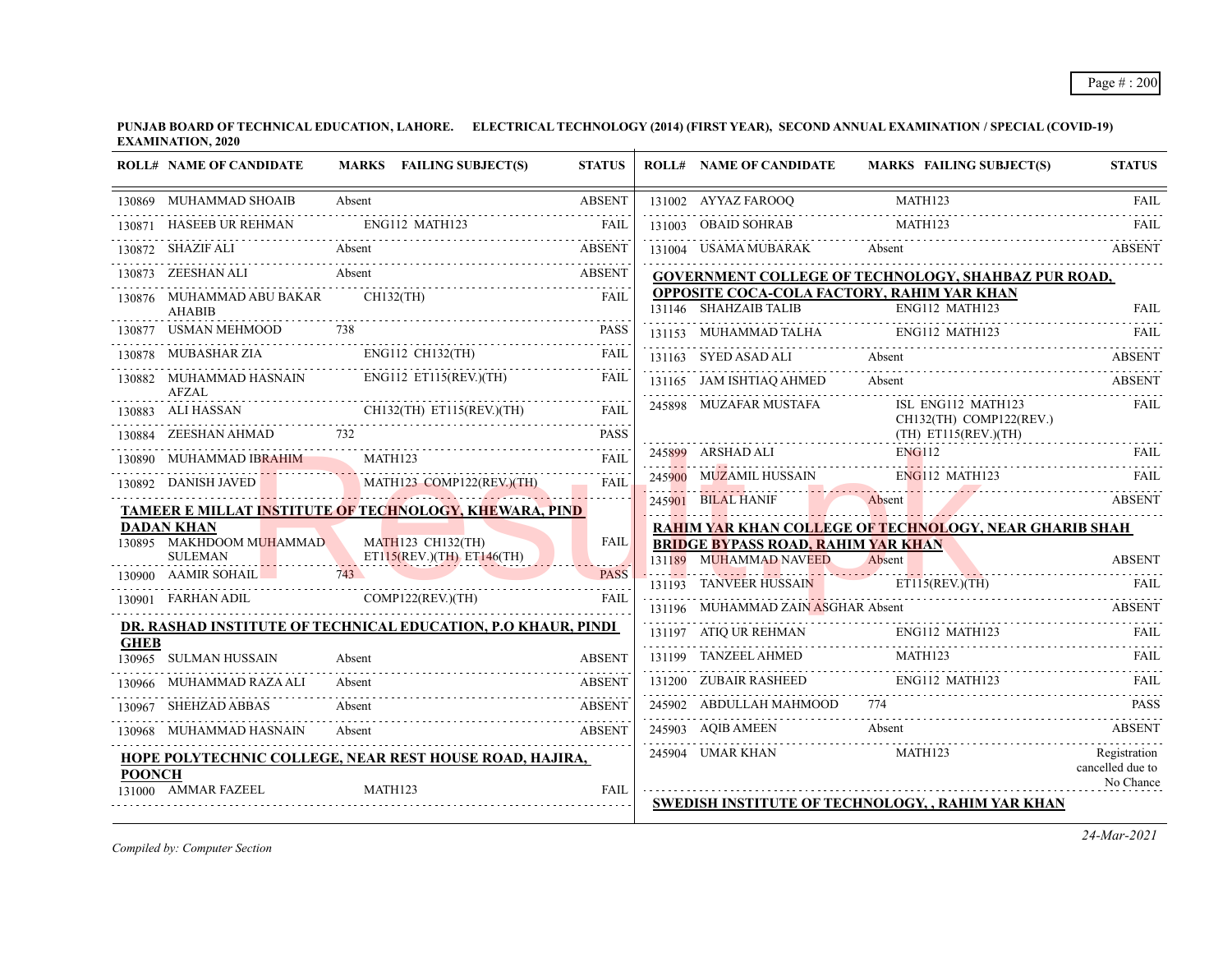|               | <b>ROLL# NAME OF CANDIDATE</b>                                |         | MARKS FAILING SUBJECT(S)                                  | <b>STATUS</b> | <b>ROLL# NAME OF CANDIDATE</b>                                      | <b>MARKS FAILING SUBJECT(S)</b>                               | <b>STATUS</b>                                 |
|---------------|---------------------------------------------------------------|---------|-----------------------------------------------------------|---------------|---------------------------------------------------------------------|---------------------------------------------------------------|-----------------------------------------------|
| 130869        | MUHAMMAD SHOAIB                                               | Absent  |                                                           | <b>ABSENT</b> | 131002 AYYAZ FAROOQ                                                 | MATH123                                                       | <b>FAIL</b>                                   |
| 130871        | HASEEB UR REHMAN                                              |         | ENG112 MATH123                                            | FAII.         | 131003 OBAID SOHRAB                                                 | MATH123                                                       |                                               |
|               | SHAZIF ALI                                                    |         | ALI Absent ABSENT                                         | <b>ABSENT</b> | 131004 USAMA MUBARAK                                                | Absent                                                        | <b>ABSENT</b>                                 |
| 130873        | ZEESHAN ALI                                                   |         | Absent                                                    | <b>ABSENT</b> |                                                                     | GOVERNMENT COLLEGE OF TECHNOLOGY, SHAHBAZ PUR ROAD,           |                                               |
|               | 130876 MUHAMMAD ABU BAKAR<br>AHABIB                           |         | $CH132$ (TH)                                              | <b>FAIL</b>   | 131146 SHAHZAIB TALIB                                               | OPPOSITE COCA-COLA FACTORY, RAHIM YAR KHAN<br>ENG112 MATH123  | <b>FAIL</b>                                   |
| 130877        | <b>USMAN MEHMOOD</b>                                          | 738     |                                                           | <b>PASS</b>   | 131153 MUHAMMAD TALHA                                               | ENG112 MATH123                                                |                                               |
| 130878        | <b>MUBASHAR ZIA</b>                                           |         | ENG112 CH132(TH)                                          | FAIL          | 131163 SYED ASAD ALI                                                | Absent<br>131163 SYED ASAD ALI Absent ABSENT                  |                                               |
|               | 130882 MUHAMMAD HASNAIN<br><b>AFZAL</b>                       |         | ENG112 ET115(REV.)(TH)                                    | <b>FAIL</b>   | 131165 JAM ISHTIAQ AHMED                                            | Absent                                                        | <b>ABSENT</b>                                 |
|               | 130883 ALI HASSAN CH132(TH) ET115(REV.)(TH) FAIL              |         |                                                           |               | 245898 MUZAFAR MUSTAFA                                              | ISL ENG112 MATH123<br>CH132(TH) COMP122(REV.)                 | <b>FAIL</b>                                   |
| 130884        | ZEESHAN AHMAD 732                                             |         |                                                           | <b>PASS</b>   |                                                                     | $(TH)$ ET115(REV.)(TH)                                        |                                               |
| 130890        | MUHAMMAD IBRAHIM                                              | MATH123 |                                                           | FAII.         | 245899 ARSHAD ALI E                                                 | ENG112                                                        | <b>FAIL</b>                                   |
| 130892        | DANISH JAVED                                                  |         | MATH123 COMP122(REV.)(TH)                                 | FAIL          | 245900 MUZAMIL HUSSAIN                                              | $ENG112$ MATH123                                              |                                               |
|               | TAMEER E MILLAT INSTITUTE OF TECHNOLOGY, KHEWARA, PIND        |         |                                                           |               | 245901 BILAL HANIF                                                  | Absent                                                        | <b>ABSENT</b>                                 |
|               | <b>DADAN KHAN</b><br>130895 MAKHDOOM MUHAMMAD                 |         |                                                           |               |                                                                     | <b>RAHIM YAR KHAN COLLEGE OF TECHNOLOGY, NEAR GHARIB SHAH</b> |                                               |
|               | <b>SULEMAN</b>                                                |         | <b>MATH123 CH132(TH)</b><br>$ET115(REV.)(TH)$ $ET146(TH)$ | <b>FAIL</b>   | <b>BRIDGE BYPASS ROAD, RAHIM YAR KHAN</b><br>131189 MUHAMMAD NAVEED | Absent                                                        | <b>ABSENT</b>                                 |
|               | 130900 AAMIR SOHAIL                                           | 743     |                                                           | <b>PASS</b>   | 131193 TANVEER HUSSAIN                                              | ET115(REV.)(TH)                                               |                                               |
|               | 130901 FARHAN ADIL COMP122(REV.)(TH)                          |         |                                                           | <b>FAII</b>   | 131196 MUHAMMAD ZAIN ASGHAR Absent                                  |                                                               | <b>ABSENT</b>                                 |
| <b>GHEB</b>   | DR. RASHAD INSTITUTE OF TECHNICAL EDUCATION, P.O KHAUR, PINDI |         |                                                           |               |                                                                     | 131197 ATIQ UR REHMAN ENG112 MATH123 FAIL                     |                                               |
|               | 130965 SULMAN HUSSAIN                                         | Absent  |                                                           | <b>ABSENT</b> |                                                                     | 131199 TANZEEL AHMED MATH123 FAIL FAIL                        |                                               |
|               | 130966 MUHAMMAD RAZA ALI                                      | Absent  |                                                           | <b>ABSENT</b> | 131200 ZUBAIR RASHEED ENG112 MATH123                                |                                                               |                                               |
| 130967        | SHEHZAD ABBAS                                                 | Absent  |                                                           | <b>ABSENT</b> | 245902 ABDULLAH MAHMOOD                                             |                                                               | <b>PASS</b>                                   |
|               | MUHAMMAD HASNAIN                                              | Absent  |                                                           | <b>ABSENT</b> |                                                                     | 245903 AQIB AMEEN Absent ABSENT ABSENT                        |                                               |
| <b>POONCH</b> | HOPE POLYTECHNIC COLLEGE, NEAR REST HOUSE ROAD, HAJIRA,       |         |                                                           |               | 245904 UMAR KHAN                                                    | MATH123                                                       | Registration<br>cancelled due to<br>No Chance |
|               | 131000 AMMAR FAZEEL                                           | MATH123 |                                                           | FAIL          |                                                                     | SWEDISH INSTITUTE OF TECHNOLOGY, , RAHIM YAR KHAN             |                                               |

*Compiled by: Computer Section*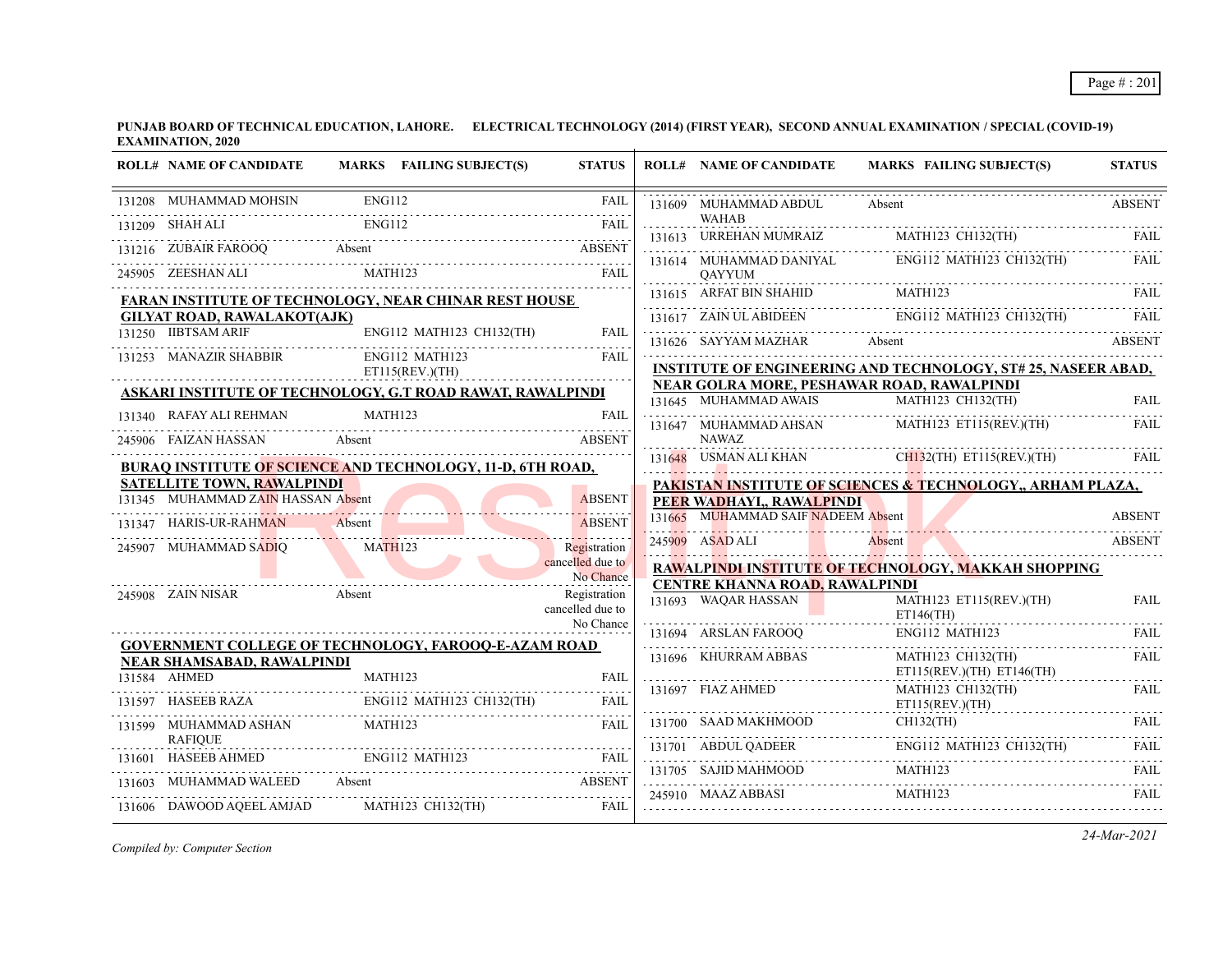|        | <b>ROLL# NAME OF CANDIDATE</b>                                                                                                                                                                                                                                                                                                                                                                                                  | MARKS FAILING SUBJECT(S)                                                    | <b>STATUS</b>                 | <b>ROLL# NAME OF CANDIDATE</b>        | MARKS FAILING SUBJECT(S)                                             | <b>STATUS</b> |
|--------|---------------------------------------------------------------------------------------------------------------------------------------------------------------------------------------------------------------------------------------------------------------------------------------------------------------------------------------------------------------------------------------------------------------------------------|-----------------------------------------------------------------------------|-------------------------------|---------------------------------------|----------------------------------------------------------------------|---------------|
|        | 131208 MUHAMMAD MOHSIN<br>$\begin{tabular}{l c c c} \hline \rule[1mm]{0mm}{2mm} \rule[1mm]{0mm}{2mm} \rule[1mm]{0mm}{2mm} \rule[1mm]{0mm}{2mm} \rule[1mm]{0mm}{2mm} \rule[1mm]{0mm}{2mm} \rule[1mm]{0mm}{2mm} \rule[1mm]{0mm}{2mm} \rule[1mm]{0mm}{2mm} \rule[1mm]{0mm}{2mm} \rule[1mm]{0mm}{2mm} \rule[1mm]{0mm}{2mm} \rule[1mm]{0mm}{2mm} \rule[1mm]{0mm}{2mm} \rule[1mm]{0mm}{2mm} \rule[1mm]{0mm}{2mm} \rule[1mm]{0mm}{2mm$ |                                                                             | <b>FAIL</b>                   | 131609 MUHAMMAD ABDUL                 | Absent                                                               | <b>ABSENT</b> |
|        | 131209 SHAH ALI                                                                                                                                                                                                                                                                                                                                                                                                                 |                                                                             | FAII.                         | <b>WAHAB</b>                          | 131613 URREHAN MUMRAIZ MATH123 CH132(TH)                             |               |
|        |                                                                                                                                                                                                                                                                                                                                                                                                                                 | 131216 ZUBAIR FAROOQ Absent ABSENT ABSENT ASSENT ASSESSED AND A THE PARTIES |                               | 131614 MUHAMMAD DANIYAL               | ENG112 MATH123 CH132(TH)                                             | <b>FAIL</b>   |
|        | 245905 ZEESHAN ALI                                                                                                                                                                                                                                                                                                                                                                                                              |                                                                             |                               | <b>OAYYUM</b>                         |                                                                      |               |
|        |                                                                                                                                                                                                                                                                                                                                                                                                                                 | FARAN INSTITUTE OF TECHNOLOGY, NEAR CHINAR REST HOUSE                       |                               |                                       | <u>131615</u> ARFAT BIN SHAHID MATH123 FAIL                          |               |
|        | <b>GILYAT ROAD, RAWALAKOT(AJK)</b>                                                                                                                                                                                                                                                                                                                                                                                              |                                                                             |                               |                                       | 131617 ZAIN ULABIDEEN ENGI12 MATHI23 CH132(TH) FAIL                  |               |
|        | 131250 IIBTSAM ARIF                                                                                                                                                                                                                                                                                                                                                                                                             | ENG112 MATH123 CH132(TH)                                                    | <b>FAIL</b>                   | 131626 SAYYAM MAZHAR                  | Absent                                                               | <b>ABSENT</b> |
|        | 131253 MANAZIR SHABBIR                                                                                                                                                                                                                                                                                                                                                                                                          | ENG112 MATH123<br>ET115(REV.)(TH)                                           | FAII.                         |                                       | <b>INSTITUTE OF ENGINEERING AND TECHNOLOGY, ST# 25, NASEER ABAD,</b> |               |
|        |                                                                                                                                                                                                                                                                                                                                                                                                                                 | ASKARI INSTITUTE OF TECHNOLOGY, G.T ROAD RAWAT, RAWALPINDI                  |                               |                                       | <b>NEAR GOLRA MORE, PESHAWAR ROAD, RAWALPINDI</b>                    |               |
|        |                                                                                                                                                                                                                                                                                                                                                                                                                                 |                                                                             |                               |                                       | 131645 MUHAMMAD AWAIS MATH123 CH132(TH)                              | <b>FAIL</b>   |
|        | 131340 RAFAY ALI REHMAN                                                                                                                                                                                                                                                                                                                                                                                                         | MATH123                                                                     | <b>FAIL</b>                   |                                       | 131647 MUHAMMAD AHSAN MATH123 ET115(REV.)(TH)                        | FAIL          |
|        | 245906 FAIZAN HASSAN                                                                                                                                                                                                                                                                                                                                                                                                            | Absent                                                                      | <b>ABSENT</b>                 | <b>NAWAZ</b>                          |                                                                      |               |
|        |                                                                                                                                                                                                                                                                                                                                                                                                                                 | <b>BURAQ INSTITUTE OF SCIENCE AND TECHNOLOGY, 11-D, 6TH ROAD,</b>           |                               |                                       | 131648 USMAN ALI KHAN CH132(TH) ET115(REV.)(TH)                      | FAII.         |
|        | <b>SATELLITE TOWN, RAWALPINDI</b>                                                                                                                                                                                                                                                                                                                                                                                               |                                                                             |                               |                                       | PAKISTAN INSTITUTE OF SCIENCES & TECHNOLOGY,, ARHAM PLAZA,           |               |
|        | 131345 MUHAMMAD ZAIN HASSAN Absent                                                                                                                                                                                                                                                                                                                                                                                              |                                                                             | <b>ABSENT</b>                 | PEER WADHAYI., RAWALPINDI             |                                                                      |               |
|        | 131347 HARIS-UR-RAHMAN                                                                                                                                                                                                                                                                                                                                                                                                          | Absent                                                                      | <b>ABSENT</b>                 | 131665 MUHAMMAD SAIF NADEEM Absent    |                                                                      | <b>ABSENT</b> |
|        | 245907 MUHAMMAD SADIQ                                                                                                                                                                                                                                                                                                                                                                                                           | MATH <sub>123</sub>                                                         | Registration                  | 245909 ASAD ALI                       | Absent                                                               | <b>ABSENT</b> |
|        |                                                                                                                                                                                                                                                                                                                                                                                                                                 |                                                                             | cancelled due to<br>No Chance |                                       | RAWALPINDI INSTITUTE OF TECHNOLOGY, MAKKAH SHOPPING                  |               |
|        | 245908 ZAIN NISAR                                                                                                                                                                                                                                                                                                                                                                                                               | Absent                                                                      | Registration                  | <b>CENTRE KHANNA ROAD, RAWALPINDI</b> |                                                                      |               |
|        |                                                                                                                                                                                                                                                                                                                                                                                                                                 |                                                                             | cancelled due to              | 131693 WAQAR HASSAN                   | MATH123 ET115(REV.)(TH)<br>$ET146$ (TH)                              | <b>FAIL</b>   |
|        |                                                                                                                                                                                                                                                                                                                                                                                                                                 |                                                                             | No Chance                     |                                       | 131694 ARSLAN FAROOQ ENG112 MATH123 FAIL                             |               |
|        | NEAR SHAMSABAD, RAWALPINDI                                                                                                                                                                                                                                                                                                                                                                                                      | <b>GOVERNMENT COLLEGE OF TECHNOLOGY, FAROOQ-E-AZAM ROAD</b>                 |                               | 131696 KHURRAM ABBAS                  | MATH123 CH132(TH)                                                    | <b>FAIL</b>   |
|        | 131584 AHMED                                                                                                                                                                                                                                                                                                                                                                                                                    | MATH123                                                                     | FAII.                         |                                       | ET115(REV.)(TH) ET146(TH)                                            |               |
|        | 131597 HASEEB RAZA                                                                                                                                                                                                                                                                                                                                                                                                              | ENG112 MATH123 CH132(TH)                                                    | FAIL                          | 131697 FIAZ AHMED                     | MATH123 CH132(TH)<br>ET115(REV.)(TH)                                 | FAIL          |
|        | 131599 MUHAMMAD ASHAN                                                                                                                                                                                                                                                                                                                                                                                                           | MATH123                                                                     | <b>FAIL</b>                   |                                       | 131700 SAAD MAKHMOOD CH132(TH) FAIL                                  |               |
|        | <b>RAFIOUE</b>                                                                                                                                                                                                                                                                                                                                                                                                                  | MATRICE MATRICE ENGILE MATRI23 FAIL                                         |                               | 131701 ABDUL QADEER                   | ENG112 MATH123 CH132(TH)                                             | <b>FAIL</b>   |
| 131601 |                                                                                                                                                                                                                                                                                                                                                                                                                                 |                                                                             |                               |                                       | MATH123                                                              |               |
|        | 131603 MUHAMMAD WALEED Absent                                                                                                                                                                                                                                                                                                                                                                                                   |                                                                             | <b>ABSENT</b>                 | 245910 MAAZ ABBASI                    | MATH123                                                              | <b>FAIL</b>   |
|        | 131606 DAWOOD AQEEL AMJAD                                                                                                                                                                                                                                                                                                                                                                                                       | MATH123 CH132(TH)                                                           | FAIL                          |                                       |                                                                      |               |

*Compiled by: Computer Section*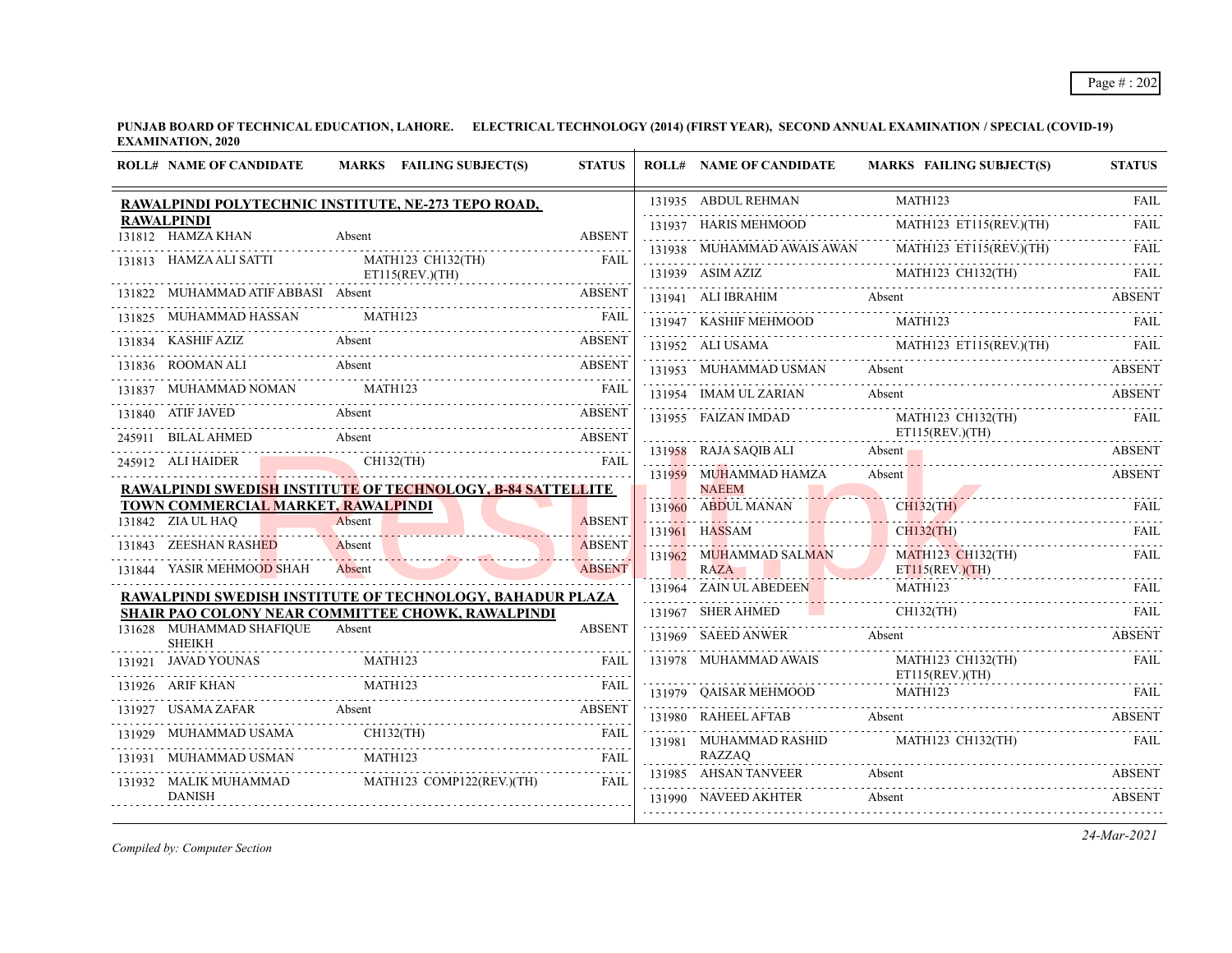|        | <b>ROLL# NAME OF CANDIDATE</b>                          | MARKS FAILING SUBJECT(S)                                                                                       | <b>STATUS</b>            | <b>ROLL# NAME OF CANDIDATE</b>                                                                                    | <b>MARKS FAILING SUBJECT(S)</b>                                                                                                                                                                                                                                                                          | <b>STATUS</b>            |
|--------|---------------------------------------------------------|----------------------------------------------------------------------------------------------------------------|--------------------------|-------------------------------------------------------------------------------------------------------------------|----------------------------------------------------------------------------------------------------------------------------------------------------------------------------------------------------------------------------------------------------------------------------------------------------------|--------------------------|
|        |                                                         | RAWALPINDI POLYTECHNIC INSTITUTE, NE-273 TEPO ROAD,                                                            |                          | 131935 ABDUL REHMAN                                                                                               | MATH123                                                                                                                                                                                                                                                                                                  | <b>FAIL</b>              |
|        | <b>RAWALPINDI</b><br>131812 HAMZA KHAN                  | Absent                                                                                                         | <b>ABSENT</b>            | 131937 HARIS MEHMOOD                                                                                              | MATH123 ET115(REV.)(TH)                                                                                                                                                                                                                                                                                  | 1.1.1.1.1<br><b>FAIL</b> |
|        |                                                         |                                                                                                                |                          |                                                                                                                   | 131938 MUHAMMAD AWAIS AWAN MATH123 ET115(REV.)(TH)                                                                                                                                                                                                                                                       | FAII.                    |
|        | 131813 HAMZA ALI SATTI                                  | MATH123 CH132(TH)<br>ET115(REV.)(TH)                                                                           | FAIL                     |                                                                                                                   | MATH123 CH132(TH)<br>$MATH123 \text{ CH132} (TH)$ $131941 \text{ A11 IRR AHM}$ 131941 AIIRRAHIM                                                                                                                                                                                                          |                          |
|        | 131822 MUHAMMAD ATIF ABBASI Absent                      |                                                                                                                | <b>ABSENT</b>            | 131941 ALI IBRAHIM Absent                                                                                         | 131941 ALI IBRAHIM Absent ABSENT                                                                                                                                                                                                                                                                         | <b>ABSENT</b>            |
|        | 131825 MUHAMMAD HASSAN                                  | MATH123<br>825 MUHAMMAD HASSAN MATH123 FAIL RELEASED MUHAMMAD HASSAN MATH123                                   |                          |                                                                                                                   | $131947 \quad \text{KASHIF MEHMOOD} \qquad \qquad \text{MATH123} \qquad \qquad \text{FAIL}$                                                                                                                                                                                                              |                          |
|        | 131834 KASHIF AZIZ                                      | 31834 KASHIF AZIZ Absent ABSENT ABSENT                                                                         |                          |                                                                                                                   | $\begin{tabular}{c} \hline 131952 \\ \hline \end{tabular} \begin{tabular}{c} \hline \textbf{ALI USAMA} \\ \hline \end{tabular} \begin{tabular}{c} \hline \textbf{MATH123} & \textbf{ET115} \textbf{(REV)} \textbf{(TH)} \\ \hline \end{tabular} \begin{tabular}{c} \textbf{FAL} \\ \hline \end{tabular}$ |                          |
|        |                                                         | 131836 ROOMAN ALI Absent                                                                                       | <b>ABSENT</b>            | 131953 MUHAMMAD USMAN Absent                                                                                      | 131953 MUHAMMAD USMAN Absent Absent ABSENT                                                                                                                                                                                                                                                               | <b>ABSENT</b>            |
|        | 131837 MUHAMMAD NOMAN MATH123                           |                                                                                                                | FAIL                     |                                                                                                                   | 131954 IMAM UL ZARIAN Absent ABSENT                                                                                                                                                                                                                                                                      |                          |
|        | 131840 ATIF JAVED                                       | Absent<br>1840 ATIF JAVED Absent ABSENT                                                                        |                          |                                                                                                                   |                                                                                                                                                                                                                                                                                                          | FAIL                     |
|        | 245911 BILAL AHMED                                      | Absent                                                                                                         | <b>ABSENT</b>            | $\begin{tabular}{ll} \bf 131955 & FAIZAN IMDAD & \tt MATH123 CH132(TH) \\ & \tt ET115(REV.)(TH) \\ \end{tabular}$ |                                                                                                                                                                                                                                                                                                          |                          |
|        | 245912 ALI HAIDER                                       | CH132(TH)                                                                                                      | <b>FAIL</b>              | 131959 MUHAMMAD HAMZA                                                                                             | 131958 RAJA SAQIB ALI Absent Absent ABSENT<br>Absent                                                                                                                                                                                                                                                     | <b>ABSENT</b>            |
|        |                                                         | <b>RAWALPINDI SWEDISH INSTITUTE OF TECHNOLOGY, B-84 SATTELLITE</b>                                             |                          | <b>NAEEM</b>                                                                                                      |                                                                                                                                                                                                                                                                                                          |                          |
|        | TOWN COMMERCIAL MARKET, RAWALPINDI<br>131842 ZIA UL HAQ | Absent                                                                                                         | <b>ABSENT</b>            | 131960 ABDUL MANAN                                                                                                | CH132(TH) FAIL                                                                                                                                                                                                                                                                                           |                          |
|        | 131843 ZEESHAN RASHED                                   | Absent                                                                                                         | adaaaaa<br><b>ABSENT</b> | 131961 HASSAM                                                                                                     | <b>CH132(TH)</b>                                                                                                                                                                                                                                                                                         | <b>FAIL</b>              |
|        | 131844 YASIR MEHMOOD SHAH                               | Absent                                                                                                         | <b>ABSENT</b>            | 131962 MUHAMMAD SALMAN<br>RAZA                                                                                    | MATH123 CH132(TH)                                                                                                                                                                                                                                                                                        | <b>FAIL</b>              |
|        |                                                         |                                                                                                                |                          |                                                                                                                   | ET115(REV.)(TH)<br>131964 ZAIN ULABEDEEN MATH123 FAIL                                                                                                                                                                                                                                                    |                          |
|        |                                                         | RAWALPINDI SWEDISH INSTITUTE OF TECHNOLOGY, BAHADUR PLAZA<br>SHAIR PAO COLONY NEAR COMMITTEE CHOWK, RAWALPINDI |                          | 131967 SHER AHMED                                                                                                 | $CH132$ (TH)<br>MED CH132(TH) FAIL FAIL                                                                                                                                                                                                                                                                  |                          |
|        | 131628 MUHAMMAD SHAFIQUE<br><b>SHEIKH</b>               | Absent                                                                                                         | <b>ABSENT</b>            | 131969 SAEED ANWER                                                                                                | Absent                                                                                                                                                                                                                                                                                                   | <b>ABSENT</b>            |
|        |                                                         | 131921 JAVAD YOUNAS<br>MATH123<br>MATH123<br>MATH123<br>MATH123<br>MATH123                                     |                          | 131978 MUHAMMAD AWAIS                                                                                             | MATH123 CH132(TH)<br>ET115(REV.)(TH)                                                                                                                                                                                                                                                                     | <b>FAIL</b>              |
|        |                                                         |                                                                                                                |                          | 131979 OAISAR MEHMOOD                                                                                             | MATH123                                                                                                                                                                                                                                                                                                  | FAIL                     |
| 131927 |                                                         | USAMA ZAFAR Absent AF Absent AF A LIMIT AT A LIMIT AT A LIMIT AT A LIMIT AT A LIMIT AT A LIMIT AT A LIMIT AT A | <b>ABSENT</b>            | 131980 RAHEEL AFTAB Absent                                                                                        |                                                                                                                                                                                                                                                                                                          | <b>ABSENT</b>            |
|        | 131929 MUHAMMAD USAMA                                   | CH132(TH)                                                                                                      | <b>FAIL</b>              | 131981 MUHAMMAD RASHID                                                                                            | MATH123 CH132(TH)                                                                                                                                                                                                                                                                                        | <b>EAIL</b>              |
|        | 131931 MUHAMMAD USMAN                                   | MATH123                                                                                                        | <b>FAIL</b>              | <b>RAZZAO</b>                                                                                                     |                                                                                                                                                                                                                                                                                                          |                          |
|        | 131932 MALIK MUHAMMAD                                   | MATH123 COMP122(REV.)(TH)                                                                                      | FAIL                     | 131985 AHSAN TANVEER                                                                                              | Absent                                                                                                                                                                                                                                                                                                   | <b>ABSENT</b>            |
|        | <b>DANISH</b>                                           |                                                                                                                |                          | 131990 NAVEED AKHTER                                                                                              | Absent                                                                                                                                                                                                                                                                                                   | <b>ABSENT</b>            |

*Compiled by: Computer Section*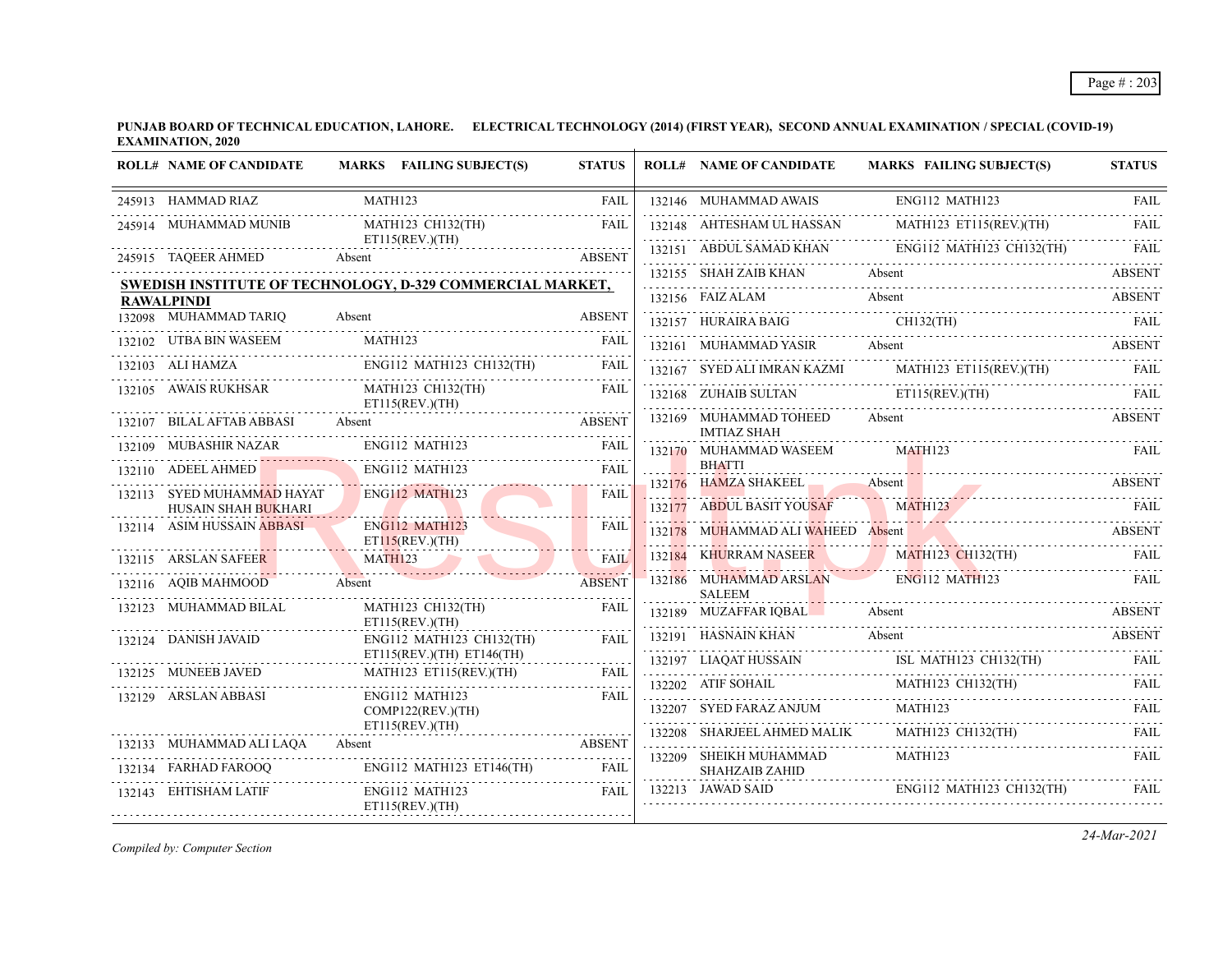|        | <b>ROLL# NAME OF CANDIDATE</b>                           | MARKS FAILING SUBJECT(S)                                         | <b>STATUS</b> |        | <b>ROLL# NAME OF CANDIDATE</b>               | <b>MARKS FAILING SUBJECT(S)</b> | <b>STATUS</b> |
|--------|----------------------------------------------------------|------------------------------------------------------------------|---------------|--------|----------------------------------------------|---------------------------------|---------------|
|        | 245913 HAMMAD RIAZ                                       | MATH123                                                          | <b>FAIL</b>   |        | 132146 MUHAMMAD AWAIS                        | ENG112 MATH123                  | <b>FAIL</b>   |
|        | 245914 MUHAMMAD MUNIB                                    | MATH123 CH132(TH)                                                | <b>FAIL</b>   |        | 132148 AHTESHAM UL HASSAN                    | MATH123 ET115(REV.)(TH)         | FAIL          |
|        | 245915 TAQEER AHMED                                      | $ET115$ (REV.)(TH)<br>Absent                                     | <b>ABSENT</b> |        | 132151 ABDUL SAMAD KHAN                      | ENG112 MATH123 CH132(TH)        | FAIL          |
|        |                                                          | <b>SWEDISH INSTITUTE OF TECHNOLOGY, D-329 COMMERCIAL MARKET,</b> |               |        | 132155 SHAH ZAIB KHAN                        | Absent                          | <b>ABSENT</b> |
|        | <b>RAWALPINDI</b>                                        |                                                                  |               |        | 132156 FAIZ ALAM                             | Absent                          | <b>ABSENT</b> |
|        | 132098 MUHAMMAD TARIQ                                    | Absent                                                           | <b>ABSENT</b> |        | 132157 HURAIRA BAIG                          | $CH132$ (TH)                    | <b>FAIL</b>   |
|        | 132102 UTBA BIN WASEEM                                   | <b>MATH123</b>                                                   | FAIL          |        | 132161 MUHAMMAD YASIR                        | Absent                          | <b>ABSENT</b> |
|        | 132103 ALI HAMZA                                         | ENG112 MATH123 CH132(TH)                                         | <b>FAIL</b>   |        | 132167 SYED ALI IMRAN KAZMI                  | MATH123 ET115(REV.)(TH)         |               |
|        | 132105 AWAIS RUKHSAR                                     | MATH123 CH132(TH)<br>$ET115$ (REV.)(TH)                          | <b>FAIL</b>   |        | 132168 ZUHAIB SULTAN                         | ET115(REV.)(TH)                 | FAII.         |
|        | 132107 BILAL AFTAB ABBASI                                | Absent                                                           | <b>ABSENT</b> |        | 132169 MUHAMMAD TOHEED<br><b>IMTIAZ SHAH</b> | Absent                          | <b>ABSENT</b> |
| 132109 | MUBASHIR NAZAR                                           | ENG112 MATH123                                                   | FAIL          |        | 132170 MUHAMMAD WASEEM                       | MATH123                         | FAIL          |
|        | 132110 ADEEL AHMED                                       | ENG112 MATH123                                                   | <b>FAIL</b>   |        | <b>BHATTI</b>                                | Absent                          |               |
|        | 132113 SYED MUHAMMAD HAYAT                               | <b>ENG112 MATH123</b>                                            | <b>FAIL</b>   |        | 132176 HAMZA SHAKEEL<br>ABDUL BASIT YOUSAF   | MATH123                         | <b>ABSENT</b> |
|        | <b>HUSAIN SHAH BUKHARI</b><br>132114 ASIM HUSSAIN ABBASI | ENG112 MATH123                                                   | <b>FAIL</b>   | 132177 |                                              |                                 | - FAIL        |
|        |                                                          | ET115(REV.)(TH)                                                  |               |        | 132178 MUHAMMAD ALI WAHEED Absent            |                                 | ABSENT        |
|        | 132115 ARSLAN SAFEER                                     | MATH123<br>. <i>.</i>                                            | <b>FAIL</b>   |        | 132184 KHURRAM NASEER                        | MATH123 CH132(TH)               |               |
|        | 132116 AQIB MAHMOOD                                      | Absent                                                           | <b>ABSENT</b> |        | 132186 MUHAMMAD ARSLAN<br><b>SALEEM</b>      | <b>ENG112 MATH123</b>           | FAIL          |
|        | 132123 MUHAMMAD BILAL                                    | MATH123 CH132(TH)<br>$ET115$ (REV.)(TH)                          | <b>FAIL</b>   |        | 132189 MUZAFFAR IQBAL<br>.                   | Absent                          | <b>ABSENT</b> |
|        | 132124 DANISH JAVAID                                     | ENG112 MATH123 CH132(TH)                                         | FAIL          |        | 132191 HASNAIN KHAN                          | Absent                          | <b>ABSENT</b> |
|        | 132125 MUNEEB JAVED                                      | $ET115(REV.)(TH)$ $ET146(TH)$<br>MATH123 ET115(REV.)(TH)         | FAIL          |        | 132197 LIAQAT HUSSAIN                        | ISL MATH123 CH132(TH)           | <b>FAIL</b>   |
|        |                                                          | ENG112 MATH123                                                   |               |        | 132202 ATIF SOHAIL                           | MATH123 CH132(TH)               | FAII.         |
|        | 132129 ARSLAN ABBASI                                     | COMP122(REV.)(TH)                                                | <b>FAIL</b>   |        | 132207 SYED FARAZ ANJUM                      | MATH123                         | FAIL          |
|        | 132133 MUHAMMAD ALI LAQA                                 | ET115(REV.)(TH)<br>Absent                                        | <b>ABSENT</b> |        | 132208 SHARJEEL AHMED MALIK                  | MATH123 CH132(TH)               | FAIL          |
|        |                                                          |                                                                  |               |        | 132209 SHEIKH MUHAMMAD                       | MATH123                         | <b>FAIL</b>   |
|        | 132134 FARHAD FAROOQ                                     | ENG112 MATH123 ET146(TH)                                         | <b>FAIL</b>   |        | <b>SHAHZAIB ZAHID</b>                        |                                 |               |
|        | 132143 EHTISHAM LATIF                                    | ENG112 MATH123<br>ET115(REV.)(TH)                                | FAIL          |        | 132213 JAWAD SAID                            | ENG112 MATH123 CH132(TH)        | FAIL          |

*Compiled by: Computer Section*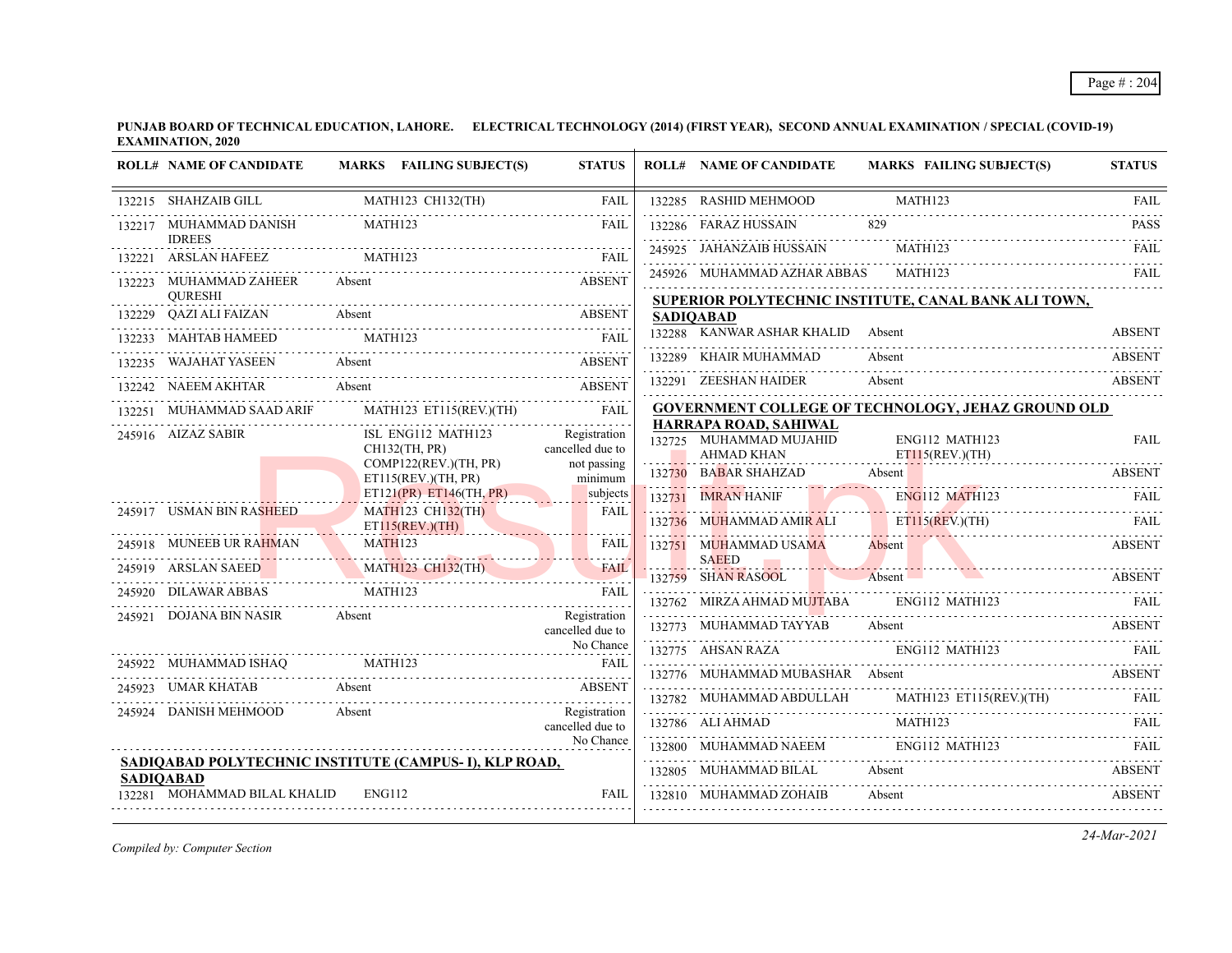|        | <b>ROLL# NAME OF CANDIDATE</b>          | MARKS FAILING SUBJECT(S)                              | <b>STATUS</b>                    | <b>ROLL# NAME OF CANDIDATE</b>                                 | <b>MARKS FAILING SUBJECT(S)</b>                                                                                                                                                                                                                | <b>STATUS</b> |
|--------|-----------------------------------------|-------------------------------------------------------|----------------------------------|----------------------------------------------------------------|------------------------------------------------------------------------------------------------------------------------------------------------------------------------------------------------------------------------------------------------|---------------|
|        | 132215 SHAHZAIB GILL                    | MATH123 CH132(TH)                                     | FAIL                             | 132285 RASHID MEHMOOD                                          | MATH123                                                                                                                                                                                                                                        | <b>FAIL</b>   |
|        | 132217 MUHAMMAD DANISH<br><b>IDREES</b> | MATH123                                               | FAIL                             | 132286 FARAZ HUSSAIN                                           | 829                                                                                                                                                                                                                                            | <b>PASS</b>   |
| 132221 | <b>ARSLAN HAFEEZ</b>                    | MATH123                                               | FAII.                            | 245925 JAHANZAIB HUSSAIN                                       | MATH123                                                                                                                                                                                                                                        | FAII.         |
| 132223 | MUHAMMAD ZAHEER<br><b>OURESHI</b>       | Absent                                                | <b>ABSENT</b>                    | 245926 MUHAMMAD AZHAR ABBAS MATH123                            |                                                                                                                                                                                                                                                | - FAIL        |
| 132229 | <b>OAZI ALI FAIZAN</b>                  | Absent                                                | <b>ABSENT</b>                    | <b>SADIOABAD</b>                                               | SUPERIOR POLYTECHNIC INSTITUTE, CANAL BANK ALI TOWN,                                                                                                                                                                                           |               |
|        | MAHTAB HAMEED MATH123                   |                                                       | FAII.                            | 132288 KANWAR ASHAR KHALID Absent                              |                                                                                                                                                                                                                                                | <b>ABSENT</b> |
|        | 132235 WAJAHAT YASEEN                   | Absent                                                | <b>ABSENT</b>                    | 132289 KHAIR MUHAMMAD                                          | Absent                                                                                                                                                                                                                                         | <b>ABSENT</b> |
|        | 132242 NAEEM AKHTAR                     | Absent                                                | <b>ABSENT</b>                    | 132291 ZEESHAN HAIDER                                          | Absent                                                                                                                                                                                                                                         | <b>ABSENT</b> |
|        | MUHAMMAD SAAD ARIF                      | MATH123 ET115(REV.)(TH) FAIL                          |                                  |                                                                | <b>GOVERNMENT COLLEGE OF TECHNOLOGY, JEHAZ GROUND OLD</b>                                                                                                                                                                                      |               |
|        | 245916 AIZAZ SABIR                      | ISL ENG112 MATH123<br><b>CH132(TH. PR)</b>            | Registration<br>cancelled due to | HARRAPA ROAD, SAHIWAL<br>132725 MUHAMMAD MUJAHID<br>AHMAD KHAN | ENG112 MATH123<br>$ET115$ (REV.)(TH)                                                                                                                                                                                                           | <b>FAIL</b>   |
|        |                                         | COMP122(REV.)(TH, PR)<br>ET115(REV.)(TH, PR)          | not passing<br>minimum           | 132730 BABAR SHAHZAD                                           | Absent                                                                                                                                                                                                                                         | <b>ABSENT</b> |
|        |                                         | ET121(PR) ET146(TH, PR)                               | subjects                         | 132731 IMRAN HANIF                                             | ENG112 MATH123<br>1)2/51 ENGLAND ENGLISH                                                                                                                                                                                                       | FAIL          |
|        | 245917 USMAN BIN RASHEED                | <b>MATH123 CH132(TH)</b><br>ET115(REV.)(TH)           | <b>FAIL</b>                      | 132736 MUHAMMAD AMIR ALI ET115(REV.)(TH)                       | ET115(REV.)(TH) FAIL                                                                                                                                                                                                                           |               |
|        | 245918 MUNEEB UR RAHMAN                 | MATH <sub>123</sub><br>AHMAN MATH123                  | <b>FAIL</b>                      | 132751 MUHAMMAD USAMA                                          | <b>Absent</b>                                                                                                                                                                                                                                  | <b>ABSENT</b> |
|        | 245919 ARSLAN SAEED                     | <b>MATH123 CH132(TH)</b>                              | <b>FAIL</b>                      | <b>SAEED</b><br>.<br>132759 SHAN RASOOL                        | <u> Estados de la contrada de la contrada de la contrada de la contrada de la contrada de la contrada de la contrada de la contrada de la contrada de la contrada de la contrada de la contrada de la contrada de la contrada de</u><br>Absent | <b>ABSENT</b> |
| 245920 | <b>DILAWAR ABBAS</b>                    | AWAR ABBAS MATH123 FAIL                               |                                  | 132762 MIRZA AHMAD MUJTABA ENG112 MATH123                      |                                                                                                                                                                                                                                                |               |
| 245921 | DOJANA BIN NASIR                        | Absent                                                | Registration<br>cancelled due to | 132773 MUHAMMAD TAYYAB                                         | Absent                                                                                                                                                                                                                                         | <b>ABSENT</b> |
|        |                                         |                                                       | No Chance                        |                                                                | 132775 AHSAN RAZA ENG112 MATH123 FAIL                                                                                                                                                                                                          |               |
|        | 245922 MUHAMMAD ISHAQ MATH123           |                                                       | FAIL                             | 132776 MUHAMMAD MUBASHAR Absent                                | <b>ABSENT</b>                                                                                                                                                                                                                                  |               |
|        | 245923 UMAR KHATAB                      | Absent                                                | <b>ABSENT</b>                    |                                                                |                                                                                                                                                                                                                                                |               |
|        | 245924 DANISH MEHMOOD                   | Absent                                                | Registration<br>cancelled due to |                                                                | $\begin{tabular}{c c c} \hline 132782 & MUHAMMAD ABDULLAH & MATH123 ET115(REV)(TH) & FAIL \\ \hline 132786 & ALI AHMAD & MATH123 & & \textbf{MATH123} \\ \hline \end{tabular}$                                                                 |               |
|        |                                         |                                                       | No Chance                        |                                                                |                                                                                                                                                                                                                                                |               |
|        | <b>SADIOABAD</b>                        | SADIQABAD POLYTECHNIC INSTITUTE (CAMPUS-I), KLP ROAD, |                                  | 132805 MUHAMMAD BILAL Absent                                   |                                                                                                                                                                                                                                                | <b>ABSENT</b> |
|        | 132281 MOHAMMAD BILAL KHALID            | ENG112                                                | <b>FAIL</b>                      | 132810 MUHAMMAD ZOHAIB                                         | Absent                                                                                                                                                                                                                                         | <b>ABSENT</b> |
|        |                                         |                                                       |                                  |                                                                |                                                                                                                                                                                                                                                |               |

*Compiled by: Computer Section*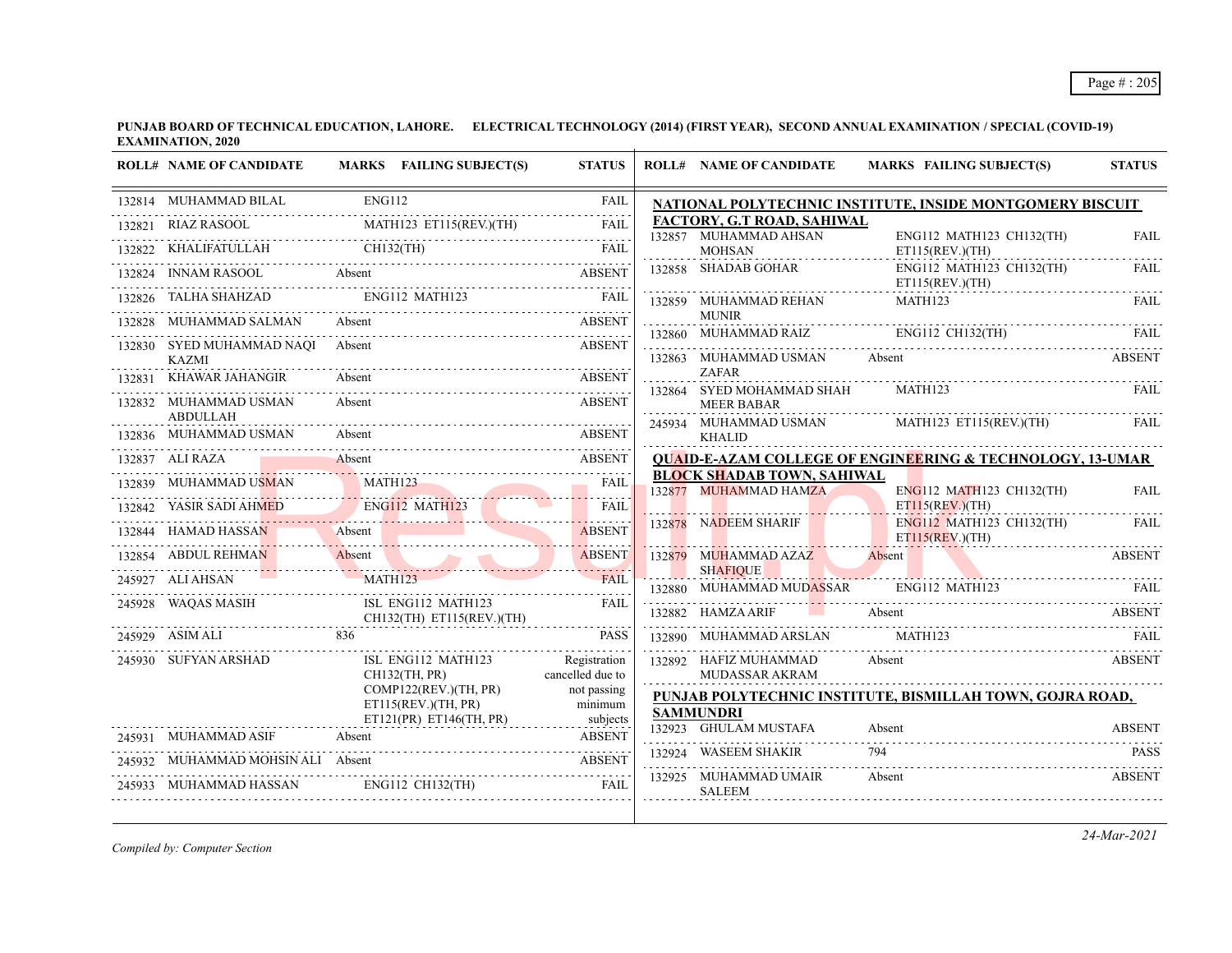|        | <b>ROLL# NAME OF CANDIDATE</b>            | MARKS FAILING SUBJECT(S)                        | <b>STATUS</b>                    |   | <b>ROLL# NAME OF CANDIDATE</b>                             | <b>MARKS FAILING SUBJECT(S)</b>                                      | <b>STATUS</b> |
|--------|-------------------------------------------|-------------------------------------------------|----------------------------------|---|------------------------------------------------------------|----------------------------------------------------------------------|---------------|
|        | 132814 MUHAMMAD BILAL                     | <b>ENG112</b>                                   | <b>FAIL</b>                      |   |                                                            | NATIONAL POLYTECHNIC INSTITUTE, INSIDE MONTGOMERY BISCUIT            |               |
| 132821 | RIAZ RASOOL                               | MATH123 ET115(REV.)(TH)                         | <b>FAIL</b>                      |   | FACTORY, G.T ROAD, SAHIWAL                                 |                                                                      |               |
|        |                                           | $CH132$ (TH)                                    |                                  |   | 132857 MUHAMMAD AHSAN<br><b>MOHSAN</b><br>.                | ENG112 MATH123 CH132(TH)<br>$ET115$ (REV.)(TH)<br>.                  | <b>FAIL</b>   |
|        |                                           |                                                 |                                  |   | 132858 SHADAB GOHAR                                        | ENG112 MATH123 CH132(TH)<br>ET115(REV.)(TH)                          | FAIL          |
|        | 132826 TALHA SHAHZAD ENG112 MATH123       |                                                 |                                  |   | 132859 MUHAMMAD REHAN                                      | MATH123                                                              | FAIL          |
|        | MUHAMMAD SALMAN                           | Absent                                          | <b>ABSENT</b>                    |   | <b>MUNIR</b><br>132860 MUHAMMAD RAIZ ENG112 CH132(TH)      |                                                                      |               |
|        | 132830 SYED MUHAMMAD NAQI<br><b>KAZMI</b> | Absent                                          | <b>ABSENT</b>                    |   | 132863 MUHAMMAD USMAN                                      | Absent                                                               | <b>ABSENT</b> |
|        | 132831 KHAWAR JAHANGIR                    | Absent                                          | <b>ABSENT</b>                    |   | <b>ZAFAR</b>                                               |                                                                      |               |
|        | 132832 MUHAMMAD USMAN                     | Absent                                          | <b>ABSENT</b>                    |   | 132864 SYED MOHAMMAD SHAH<br><b>MEER BABAR</b>             | MATH123                                                              | FAIL          |
|        | <b>ABDULLAH</b><br>132836 MUHAMMAD USMAN  | Absent                                          | <b>ABSENT</b>                    |   | 245934 MUHAMMAD USMAN<br><b>KHALID</b>                     | MATH123 ET115(REV.)(TH)                                              | FAIL          |
|        | 132837 ALI RAZA                           | Absent                                          | <b>ABSENT</b>                    |   |                                                            | <b>QUAID-E-AZAM COLLEGE OF ENGINEERING &amp; TECHNOLOGY, 13-UMAR</b> |               |
|        | MUHAMMAD USMAN                            | MATH123                                         | <b>FAIL</b>                      |   | <b>BLOCK SHADAB TOWN, SAHIWAL</b><br>132877 MUHAMMAD HAMZA | ENG112 MATH123 CH132(TH)                                             | <b>FAIL</b>   |
|        | 132842 YASIR SADI AHMED                   | ENG112 MATH123                                  | <b>FAIL</b>                      |   |                                                            | ET115(REV.)(TH)                                                      |               |
|        | 132844 HAMAD HASSAN                       | Absent                                          | <b>ABSENT</b>                    |   | 132878 NADEEM SHARIF                                       | ENG112 MATH123 CH132(TH)<br>ET115(REV.)(TH)                          | FAIL          |
|        | 132854 ABDUL REHMAN                       | Absent                                          | .<br><b>ABSENT</b>               |   | 132879 MUHAMMAD AZAZ<br><b>SHAFIOUE</b>                    | Absent                                                               | <b>ABSENT</b> |
|        | 245927 ALI AHSAN                          | <b>MATH123</b>                                  | <b>FAIL</b>                      |   | 132880 MUHAMMAD MUDASSAR                                   | ENG112 MATH123                                                       | FAIL          |
|        | 245928 WAQAS MASIH                        | ISL ENG112 MATH123<br>CH132(TH) ET115(REV.)(TH) | FAIL                             |   | 132882 HAMZA ARIF                                          | Absent                                                               | ABSENT        |
|        | 245929 ASIM ALI                           | 836                                             | <b>PASS</b>                      |   | 132890 MUHAMMAD ARSLAN                                     | <b>MATH123</b>                                                       | FAIL          |
|        | 245930 SUFYAN ARSHAD                      | ISL ENG112 MATH123<br>CH132(TH, PR)             | Registration<br>cancelled due to |   | 132892 HAFIZ MUHAMMAD<br><b>MUDASSAR AKRAM</b>             | Absent                                                               | <b>ABSENT</b> |
|        |                                           | COMP122(REV.)(TH, PR)<br>ET115(REV.)(TH, PR)    | not passing<br>minimum           |   | <b>SAMMUNDRI</b>                                           | PUNJAB POLYTECHNIC INSTITUTE, BISMILLAH TOWN, GOJRA ROAD,            |               |
|        | 245931 MUHAMMAD ASIF                      | ET121(PR) ET146(TH, PR)<br>Absent               | subjects<br><b>ABSENT</b>        |   | 132923 GHULAM MUSTAFA                                      | Absent                                                               | <b>ABSENT</b> |
|        | 245932 MUHAMMAD MOHSIN ALI Absent         |                                                 | <b>ABSENT</b>                    |   | 132924 WASEEM SHAKIR                                       | 794                                                                  | <b>PASS</b>   |
|        | 245933 MUHAMMAD HASSAN                    | ENG112 CH132(TH)                                | <b>FAIL</b>                      | . | 132925 MUHAMMAD UMAIR<br><b>SALEEM</b>                     | Absent                                                               | <b>ABSENT</b> |

*Compiled by: Computer Section*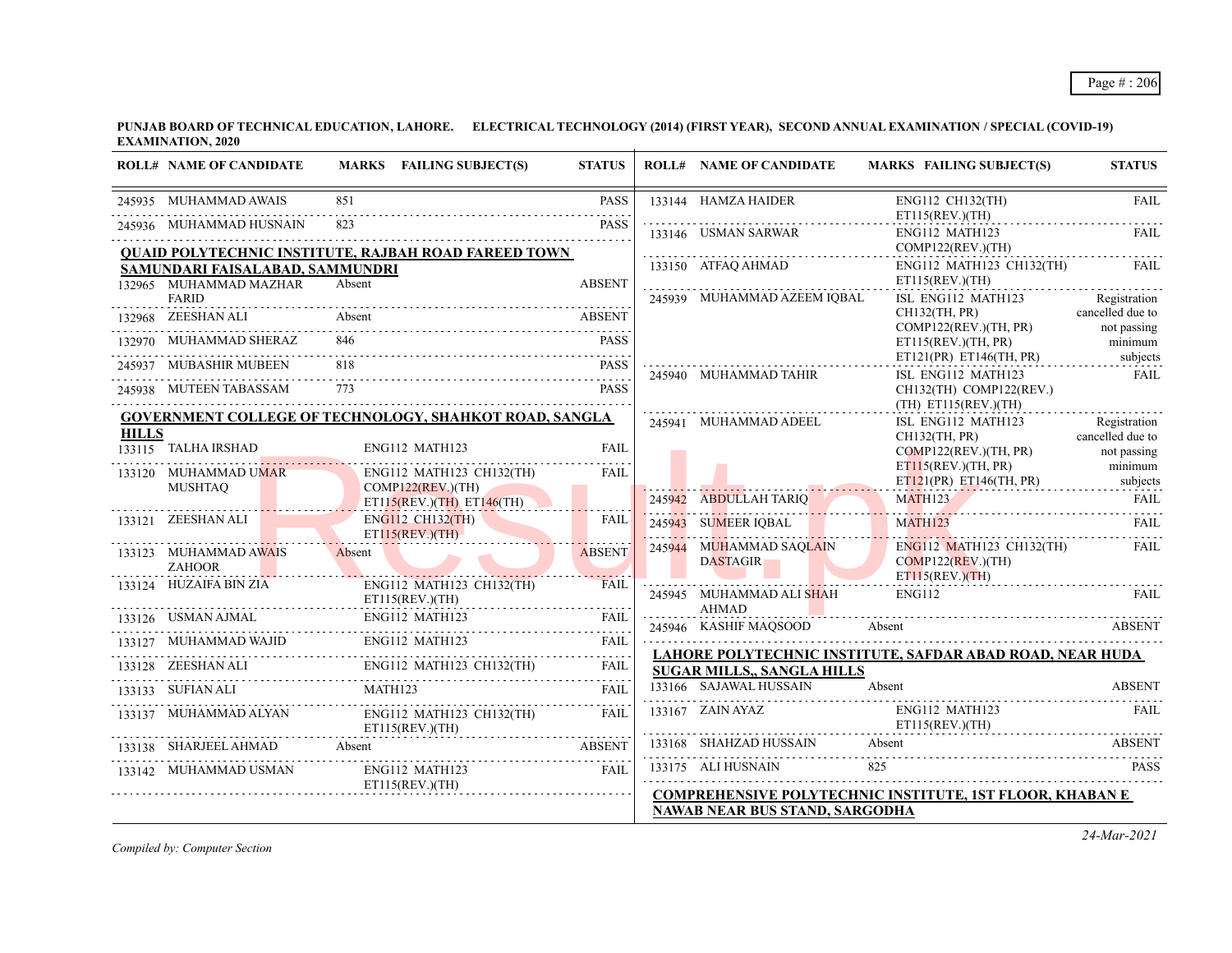|              | <b>ROLL# NAME OF CANDIDATE</b>            | MARKS FAILING SUBJECT(S)                                                                                                                                                                                                                                                                                                                                | <b>STATUS</b> | <b>ROLL# NAME OF CANDIDATE</b>             | MARKS FAILING SUBJECT(S)                                         | <b>STATUS</b>                   |
|--------------|-------------------------------------------|---------------------------------------------------------------------------------------------------------------------------------------------------------------------------------------------------------------------------------------------------------------------------------------------------------------------------------------------------------|---------------|--------------------------------------------|------------------------------------------------------------------|---------------------------------|
|              | 245935 MUHAMMAD AWAIS                     | 851                                                                                                                                                                                                                                                                                                                                                     | <b>PASS</b>   | 133144 HAMZA HAIDER                        | ENG112 CH132(TH)<br>ET115(REV.)(TH)                              | <b>FAIL</b>                     |
|              | 245936 MUHAMMAD HUSNAIN                   | 823                                                                                                                                                                                                                                                                                                                                                     | <b>PASS</b>   | 133146 USMAN SARWAR                        | ENG112 MATH123                                                   | FAIL                            |
|              | SAMUNDARI FAISALABAD, SAMMUNDRI           | <b>QUAID POLYTECHNIC INSTITUTE, RAJBAH ROAD FAREED TOWN</b>                                                                                                                                                                                                                                                                                             |               | COMP122(REV)(TH)<br>133150 ATFAQ AHMAD     | ENG112 MATH123 CH132(TH)                                         | FAIL                            |
|              | 132965 MUHAMMAD MAZHAR<br><b>FARID</b>    | Absent                                                                                                                                                                                                                                                                                                                                                  | <b>ABSENT</b> | 245939 MUHAMMAD AZEEM IOBAL                | ET115(REV.)(TH)<br>ISL ENG112 MATH123                            | Registration                    |
|              | 132968 ZEESHAN ALI                        | Absent                                                                                                                                                                                                                                                                                                                                                  | ABSENT        |                                            | CH132(TH, PR)<br>COMP122(REV.)(TH, PR)                           | cancelled due to<br>not passing |
|              | 132970 MUHAMMAD SHERAZ                    | 846                                                                                                                                                                                                                                                                                                                                                     | <b>PASS</b>   |                                            | ET115(REV.)(TH, PR)                                              | minimum                         |
|              | 245937 MUBASHIR MUBEEN                    |                                                                                                                                                                                                                                                                                                                                                         | <b>PASS</b>   | 245940 MUHAMMAD TAHIR                      | ET121(PR) ET146(TH, PR)<br>ISL ENG112 MATH123                    | subjects<br>FAIL                |
|              | 245938 MUTEEN TABASSAM                    | 773                                                                                                                                                                                                                                                                                                                                                     | <b>PASS</b>   |                                            | $CH132$ (TH) COMP122(REV.)<br>(TH) ET115(REV.)(TH)               |                                 |
|              |                                           | <b>GOVERNMENT COLLEGE OF TECHNOLOGY, SHAHKOT ROAD, SANGLA</b>                                                                                                                                                                                                                                                                                           |               | 245941 MUHAMMAD ADEEL                      | ISL ENG112 MATH123                                               | Registration                    |
| <b>HILLS</b> | 133115 TALHA IRSHAD                       | ENG112 MATH123                                                                                                                                                                                                                                                                                                                                          | <b>FAIL</b>   |                                            | CH132(TH, PR)<br>COMP122(REV.)(TH, PR)                           | cancelled due to<br>not passing |
|              | 133120 MUHAMMAD UMAR<br>MUSHTAO           | $ENG112$ MATH123 CH132(TH)<br>COMP122(REV.)(TH)                                                                                                                                                                                                                                                                                                         | FAIL          | . <u>.</u>                                 | ET115(REV.)(TH, PR)<br>ET121(PR) ET146(TH, PR)                   | minimum<br>subjects             |
|              |                                           | $ET115(REV.)(TH)$ $ET146(TH)$                                                                                                                                                                                                                                                                                                                           |               | 245942 ABDULLAH TARIO                      | MATH123                                                          | FAIL                            |
|              | 133121 ZEESHAN ALI                        | ENG112 CH132(TH)<br>ET115(REV.)(TH)                                                                                                                                                                                                                                                                                                                     | <b>FAIL</b>   | 245943 SUMEER IQBAL                        | <b>MATH123</b>                                                   | FAIL                            |
|              | 133123 MUHAMMAD AWAIS<br><b>ZAHOOR</b>    | Absent                                                                                                                                                                                                                                                                                                                                                  | <b>ABSENT</b> | 245944 MUHAMMAD SAQLAIN<br><b>DASTAGIR</b> | ENG112 MATH123 CH132(TH)<br>COMP122(REV.)(TH)<br>ET115(REV.)(TH) | <b>FAIL</b>                     |
|              | 133124 HUZAIFA BIN ZIA<br>ET115(REV.)(TH) | ENG112 MATH123 CH132(TH)<br>.                                                                                                                                                                                                                                                                                                                           | <b>FAIL</b>   | 245945 MUHAMMAD ALI SHAH                   | <b>ENG112</b>                                                    | FAIL                            |
|              |                                           | $\begin{tabular}{ll} \bf 133126 & USMAN AJMAL & \bf \end{tabular} \begin{tabular}{ll} \bf 13312 & AATH123 & \bf \end{tabular} \begin{tabular}{ll} \bf 13312 & \bf 13312 & \bf 13312 & \bf 13312 & \bf 13312 & \bf 13312 & \bf 13312 & \bf 13312 & \bf 13312 & \bf 13312 & \bf 13312 & \bf 13312 & \bf 13312 & \bf 13312 & \bf 13312 & \bf 13312 & \bf $ |               | AHMAD<br>245946 KASHIF MAOSOOD             | Absent                                                           | ABSENT                          |
|              |                                           | $\begin{tabular}{lllllllll} \bf 133127 & \bf MUHAMMAD WAJID & \bf ENG112 MATH123 & \bf FAIL \\ \hline \end{tabular}$                                                                                                                                                                                                                                    |               |                                            | LAHORE POLYTECHNIC INSTITUTE, SAFDAR ABAD ROAD, NEAR HUDA        |                                 |
|              |                                           | 133128 ZEESHAN ALI ENGI12 MATH123 CH132(TH)                                                                                                                                                                                                                                                                                                             | FAIL          | <b>SUGAR MILLS., SANGLA HILLS</b>          |                                                                  |                                 |
|              | 133133 SUFIAN ALI                         | MATH123                                                                                                                                                                                                                                                                                                                                                 | <b>FAIL</b>   | 133166 SAJAWAL HUSSAIN<br>.                | Absent                                                           | <b>ABSENT</b>                   |
|              | 133137 MUHAMMAD ALYAN                     | ENG112 MATH123 CH132(TH)<br>ET115(REV.)(TH)                                                                                                                                                                                                                                                                                                             | <b>FAIL</b>   | 133167 ZAIN AYAZ                           | ENG112 MATH123<br>ET115(REV.)(TH)                                | FAIL                            |
|              | 133138 SHARJEEL AHMAD Absent              | <b>ABSENT</b>                                                                                                                                                                                                                                                                                                                                           |               | 133168 SHAHZAD HUSSAIN                     | Absent                                                           | <b>ABSENT</b>                   |
|              | 133142 MUHAMMAD USMAN                     | ENG112 MATH123<br><b>FAIL</b>                                                                                                                                                                                                                                                                                                                           |               | 133175 ALI HUSNAIN                         | 825                                                              | <b>PASS</b>                     |
|              |                                           | ET115(REV.)(TH)                                                                                                                                                                                                                                                                                                                                         |               | <b>NAWAB NEAR BUS STAND, SARGODHA</b>      | <b>COMPREHENSIVE POLYTECHNIC INSTITUTE, 1ST FLOOR, KHABAN E</b>  |                                 |

*Compiled by: Computer Section*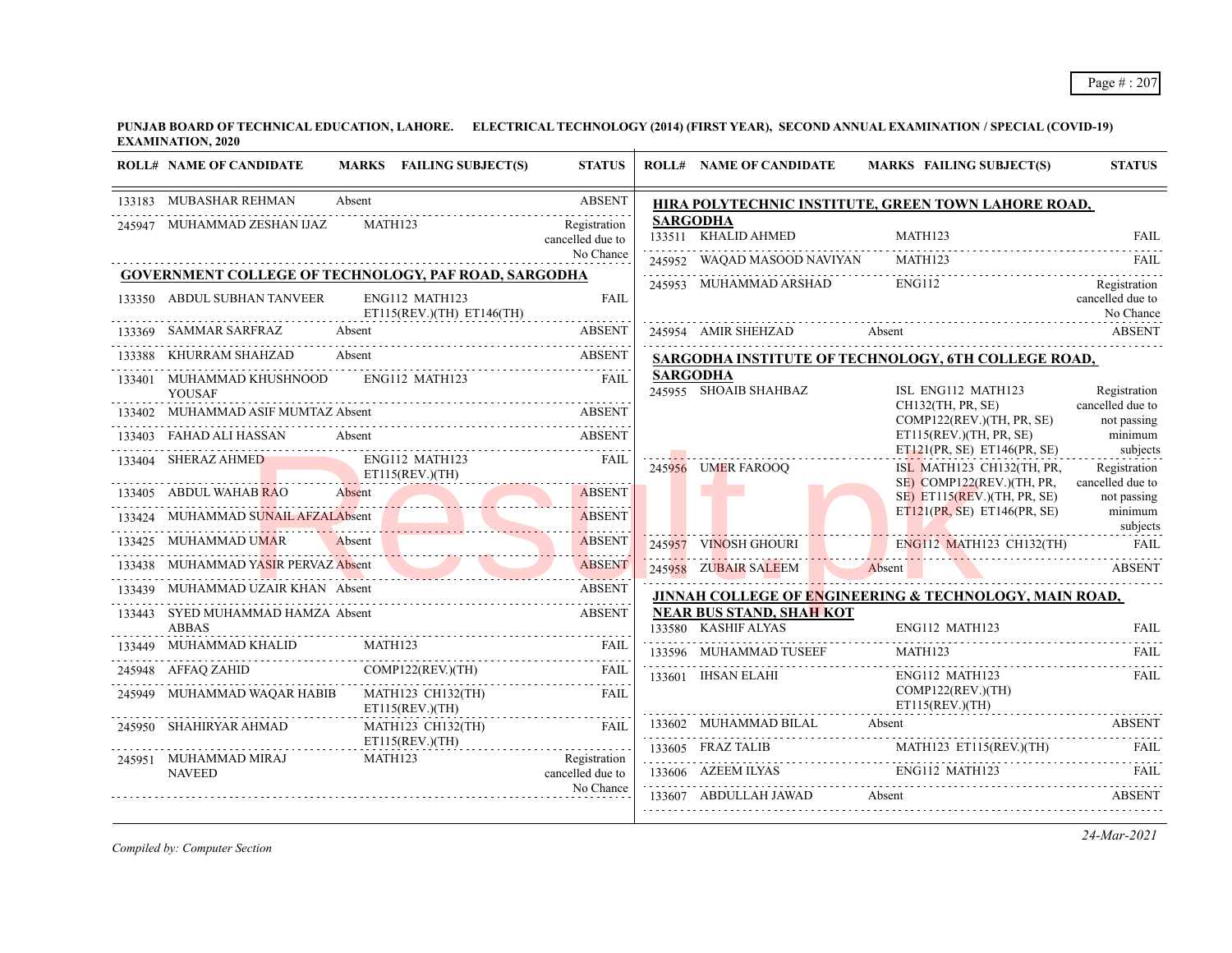|        | <b>ROLL# NAME OF CANDIDATE</b>                    | MARKS FAILING SUBJECT(S)                                    | <b>STATUS</b>                    | <b>ROLL# NAME OF CANDIDATE</b>                         | MARKS FAILING SUBJECT(S)                                                                                                                                     | <b>STATUS</b>                                |
|--------|---------------------------------------------------|-------------------------------------------------------------|----------------------------------|--------------------------------------------------------|--------------------------------------------------------------------------------------------------------------------------------------------------------------|----------------------------------------------|
|        | 133183 MUBASHAR REHMAN                            | Absent                                                      | <b>ABSENT</b>                    |                                                        | HIRA POLYTECHNIC INSTITUTE, GREEN TOWN LAHORE ROAD,                                                                                                          |                                              |
|        | 245947 MUHAMMAD ZESHAN IJAZ                       | MATH123                                                     | Registration<br>cancelled due to | <b>SARGODHA</b><br>133511 KHALID AHMED                 | MATH123                                                                                                                                                      | <b>FAIL</b>                                  |
|        |                                                   |                                                             | No Chance                        | 245952 WAQAD MASOOD NAVIYAN                            | MATH123                                                                                                                                                      | FAIL                                         |
|        |                                                   | <b>GOVERNMENT COLLEGE OF TECHNOLOGY, PAF ROAD, SARGODHA</b> |                                  | 245953 MUHAMMAD ARSHAD                                 | ENG112                                                                                                                                                       | Registration                                 |
|        | 133350 ABDUL SUBHAN TANVEER                       | ENG112 MATH123<br>ET115(REV.)(TH) ET146(TH)                 | <b>FAIL</b>                      |                                                        |                                                                                                                                                              | cancelled due to<br>No Chance                |
|        | 133369 SAMMAR SARFRAZ                             | Absent                                                      | <b>ABSENT</b>                    | 245954 AMIR SHEHZAD                                    | Absent ABSENT                                                                                                                                                |                                              |
| 133388 | KHURRAM SHAHZAD                                   | Absent                                                      | ABSENT                           |                                                        | SARGODHA INSTITUTE OF TECHNOLOGY, 6TH COLLEGE ROAD,                                                                                                          |                                              |
|        | 133401 MUHAMMAD KHUSHNOOD<br><b>YOUSAF</b>        | ENG112 MATH123                                              | <b>FAIL</b>                      | <b>SARGODHA</b><br>245955 SHOAIB SHAHBAZ               | ISL ENG112 MATH123                                                                                                                                           | Registration                                 |
| 133402 | MUHAMMAD ASIF MUMTAZ Absent                       |                                                             | <b>ABSENT</b>                    |                                                        | CH132(TH, PR, SE)<br>COMP122(REV.)(TH, PR, SE)                                                                                                               | cancelled due to<br>not passing              |
|        | 133403 FAHAD ALI HASSAN                           |                                                             |                                  |                                                        | ET115(REV.)(TH, PR, SE)                                                                                                                                      | minimum                                      |
|        | 133404 SHERAZ AHMED                               | ENG112 MATH123<br>ET115(REV.)(TH)                           | FAII.                            | 245956 UMER FAROOQ                                     | ET121(PR, SE) ET146(PR, SE)<br>ISL MATH123 CH132(TH, PR,                                                                                                     | subjects<br>Registration<br>cancelled due to |
|        | 133405 ABDUL WAHAB RAO                            | Absent <b>Absent</b>                                        | <b>ABSENT</b>                    |                                                        | SE) COMP122(REV.)(TH, PR,<br>$SE$ ) ET115(REV.)(TH, PR, SE)                                                                                                  | not passing                                  |
|        | 133424 MUHAMMAD SUNAIL AFZALAbsent                | <u> 1999 - John Harry Martin, mars and de Barbara</u>       | <b>ABSENT</b>                    |                                                        | ET121(PR, SE) ET146(PR, SE)                                                                                                                                  | minimum<br>subjects                          |
|        | 133425 MUHAMMAD UMAR                              | Absent                                                      | <b>ABSENT</b>                    | 245957 VINOSH GHOURI                                   | ENG112 MATH123 CH132(TH)                                                                                                                                     | <b>FAIL</b>                                  |
|        | MUHAMMAD YASIR PERVAZ Absent                      | <u>Communication and Communication</u>                      | <b>ABSENT</b>                    | 245958 ZUBAIR SALEEM                                   | Absent                                                                                                                                                       | <b>ABSENT</b>                                |
|        | 133439 MUHAMMAD UZAIR KHAN Absent                 |                                                             | <b>ABSENT</b>                    |                                                        | JINNAH COLLEGE OF ENGINEERING & TECHNOLOGY, MAIN ROAD,                                                                                                       |                                              |
|        | 133443 SYED MUHAMMAD HAMZA Absent<br><b>ABBAS</b> |                                                             | <b>ABSENT</b>                    | <b>NEAR BUS STAND, SHAH KOT</b><br>133580 KASHIF ALYAS | ENG112 MATH123                                                                                                                                               | <b>FAIL</b>                                  |
|        | MUHAMMAD KHALID                                   | MATH123                                                     | <b>FAIL</b>                      | 133596 MUHAMMAD TUSEEF                                 | MATH123                                                                                                                                                      | FAIL                                         |
|        | 245948 AFFAQ ZAHID                                | COMP122(REV)(TH)                                            | FAIL                             | 133601 IHSAN ELAHI                                     | ENG112 MATH123                                                                                                                                               | <b>FAIL</b>                                  |
|        | 245949 MUHAMMAD WAQAR HABIB                       | MATH123 CH132(TH)<br>ET115(REV.)(TH)                        | <b>FAIL</b>                      |                                                        | COMP122(REV.)(TH)<br>ET115(REV.)(TH)                                                                                                                         |                                              |
|        | 245950 SHAHIRYAR AHMAD                            | <b>MATH123 CH132(TH)</b><br>ET115(REV.)(TH)                 | FAII.                            | 133602 MUHAMMAD BILAL Absent                           | <b>ABSENT</b>                                                                                                                                                |                                              |
|        | 245951 MUHAMMAD MIRAJ<br><b>NAVEED</b>            | MATH123                                                     | Registration<br>cancelled due to |                                                        | $\begin{tabular}{lllll} \bf 133605 & FRAZ TALIB & \tt MATH123 & ET115(REV)(TH) & \tt FAIL \\ \hline \end{tabular}$<br>133606 AZEEM ILYAS ENGI12 MATH123 FAIL |                                              |
|        |                                                   |                                                             | No Chance                        | 133607 ABDULLAH JAWAD                                  | Absent                                                                                                                                                       | ABSENT                                       |

*Compiled by: Computer Section*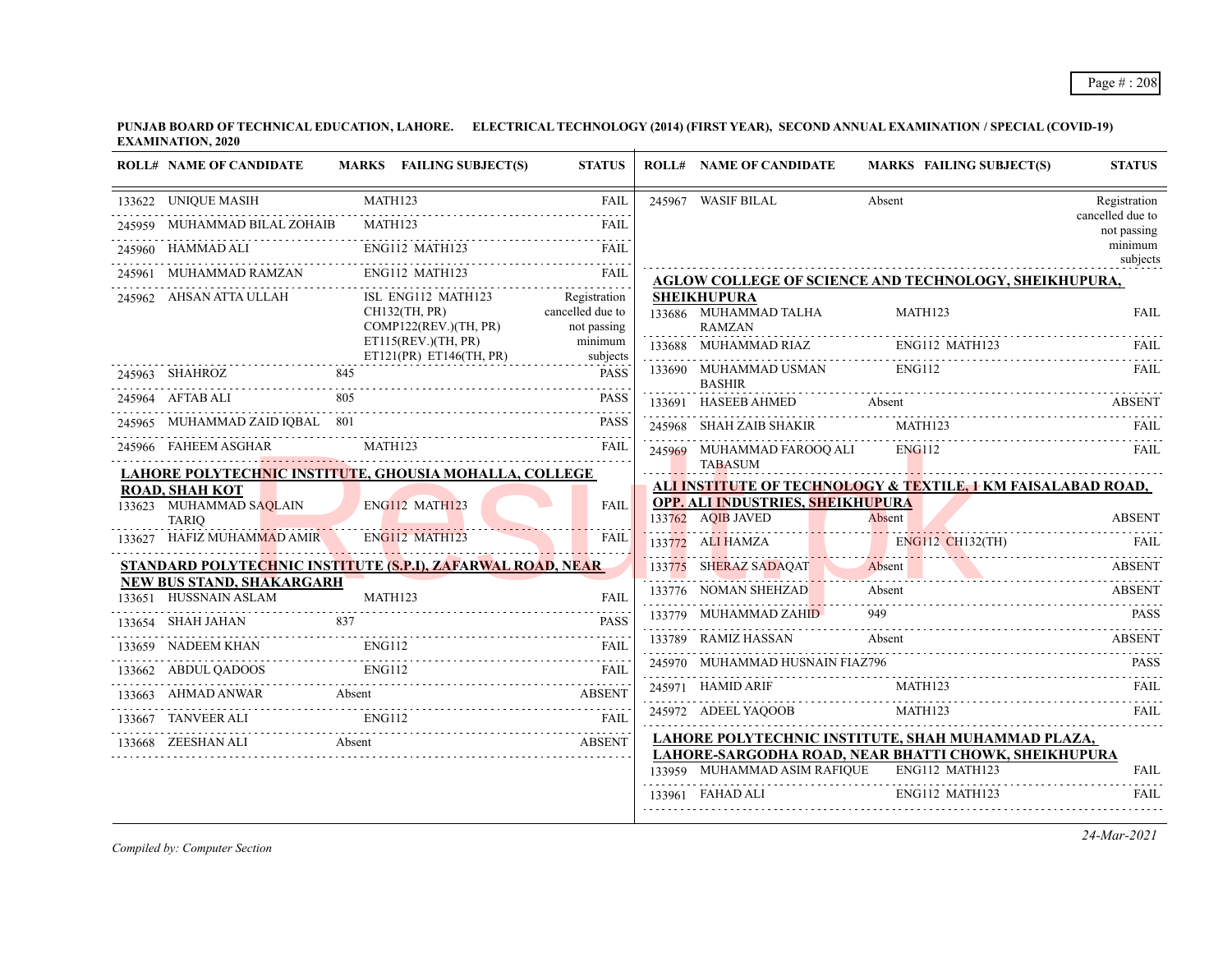|        | <b>ROLL# NAME OF CANDIDATE</b>                                        |        | MARKS FAILING SUBJECT(S)                       | <b>STATUS</b>                    |        | <b>ROLL# NAME OF CANDIDATE</b>              | <b>MARKS FAILING SUBJECT(S)</b>                                        | <b>STATUS</b>                   |
|--------|-----------------------------------------------------------------------|--------|------------------------------------------------|----------------------------------|--------|---------------------------------------------|------------------------------------------------------------------------|---------------------------------|
|        | 133622 UNIQUE MASIH                                                   |        | MATH123                                        | <b>FAIL</b>                      |        | 245967 WASIF BILAL                          | Absent                                                                 | Registration                    |
| 245959 | MUHAMMAD BILAL ZOHAIB                                                 |        | <b>MATH123</b>                                 | FAIL                             |        |                                             |                                                                        | cancelled due to<br>not passing |
|        | 245960 HAMMAD ALI                                                     |        | ENG112 MATH123                                 | FAII.                            |        |                                             |                                                                        | minimum<br>subjects             |
|        | 245961 MUHAMMAD RAMZAN                                                |        | ENG112 MATH123                                 | FAIL<br>.                        |        |                                             | AGLOW COLLEGE OF SCIENCE AND TECHNOLOGY, SHEIKHUPURA,                  |                                 |
|        | 245962 AHSAN ATTA ULLAH                                               |        | ISL ENG112 MATH123<br>CH132(TH, PR)            | Registration<br>cancelled due to |        | <b>SHEIKHUPURA</b><br>133686 MUHAMMAD TALHA | MATH123                                                                | <b>FAIL</b>                     |
|        |                                                                       |        | COMP122(REV.)(TH, PR)                          | not passing                      |        | <b>RAMZAN</b>                               |                                                                        |                                 |
|        |                                                                       |        | ET115(REV.)(TH, PR)<br>ET121(PR) ET146(TH, PR) | minimum<br>subjects              |        | 133688 MUHAMMAD RIAZ                        | ENG112 MATH123                                                         | FAIL.                           |
|        | 245963 SHAHROZ                                                        | 845    |                                                | <b>PASS</b>                      |        | 133690 MUHAMMAD USMAN<br><b>BASHIR</b>      | ENG112                                                                 | FAIL                            |
|        | 245964 AFTAB ALI                                                      | 805    |                                                | <b>PASS</b>                      | 133691 | HASEEB AHMED                                | Absent                                                                 | <b>ABSENT</b>                   |
|        | 245965 MUHAMMAD ZAID IOBAL 801                                        |        |                                                | <b>PASS</b>                      |        | 245968 SHAH ZAIB SHAKIR                     | <b>MATH123</b>                                                         | FAIL                            |
|        | 245966 FAHEEM ASGHAR                                                  |        | MATH123                                        | FAIL                             |        | 245969 MUHAMMAD FAROOQ ALI                  | ENG112                                                                 | <b>FAIL</b>                     |
|        | LAHORE POLYTECH <mark>NI</mark> C INSTITUTE, GHOUSIA MOHALLA, COLLEGE |        |                                                |                                  |        | <b>TABASUM</b>                              |                                                                        |                                 |
|        | <b>ROAD, SHAH KOT</b><br>133623 MUHAMMAD SAQLAIN                      |        | <b>ENG112 MATH123</b>                          | <b>FAIL</b>                      |        | OPP. ALI INDUSTRIES, SHEIKHUPURA            | ALI INSTITUTE OF TECHNOLOGY & TEXTILE, 1 KM FAISALABAD ROAD,           |                                 |
|        | <b>TARIQ</b>                                                          |        |                                                |                                  |        | 133762 AOIB JAVED                           | Absent                                                                 | <b>ABSENT</b>                   |
|        | 133627 HAFIZ MUHAMMAD AMIR                                            |        | <b>ENG112 MATH123</b>                          | FAII                             |        | 133772 ALI HAMZA                            | $ENG112 \t CH132(TH)$<br><u> 17. martin Martin Maria (h. 1888).</u>    | - FAIL                          |
|        | <u>STANDARD POLYTECHNIC INSTITUTE (S.P.I), ZAFARWAL ROAD, NEAR</u>    |        |                                                |                                  |        | 133775 SHERAZ SADAQAT                       | Absent<br>133775 SHERAZ SADAQAT Absent ABSENT                          | <b>ABSENT</b>                   |
|        | <b>NEW BUS STAND, SHAKARGARH</b><br>133651 HUSSNAIN ASLAM             |        | MATH123                                        | FAIL                             |        | 133776 NOMAN SHEHZAD                        | Absent                                                                 | <b>ABSENT</b>                   |
|        | 133654 SHAH JAHAN                                                     | 837    |                                                | <b>PASS</b>                      |        | 133779 MUHAMMAD ZAHID                       | 949                                                                    | <b>PASS</b>                     |
|        | 133659 NADEEM KHAN                                                    |        | ENG112                                         | $- - - - -$<br><b>FAIL</b>       |        | 133789 RAMIZ HASSAN                         | Absent                                                                 | <b>ABSENT</b>                   |
|        | 133662 ABDUL QADOOS                                                   |        | ENG112                                         | <b>FAIL</b>                      |        | 245970 MUHAMMAD HUSNAIN FIAZ796             |                                                                        | <b>PASS</b>                     |
|        | 133663 AHMAD ANWAR                                                    | Absent |                                                | <b>ABSENT</b>                    |        | 245971 HAMID ARIF                           | MATH123                                                                | FAIL.                           |
|        | 133667 TANVEER ALI                                                    |        | <b>ENG112</b>                                  | FAII.                            |        | 245972 ADEEL YAQOOB                         | MATH123                                                                | FAII.                           |
|        | 133668 ZEESHAN ALI                                                    | Absent | <b>ABSENT</b>                                  |                                  |        |                                             | LAHORE POLYTECHNIC INSTITUTE, SHAH MUHAMMAD PLAZA,                     |                                 |
|        |                                                                       |        |                                                |                                  |        | 133959 MUHAMMAD ASIM RAFIQUE                | LAHORE-SARGODHA ROAD, NEAR BHATTI CHOWK, SHEIKHUPURA<br>ENG112 MATH123 | <b>FAIL</b>                     |
|        |                                                                       |        |                                                |                                  |        | 133961 FAHAD ALI                            | ENG112 MATH123                                                         | <b>FAIL</b>                     |
|        |                                                                       |        |                                                |                                  |        |                                             |                                                                        |                                 |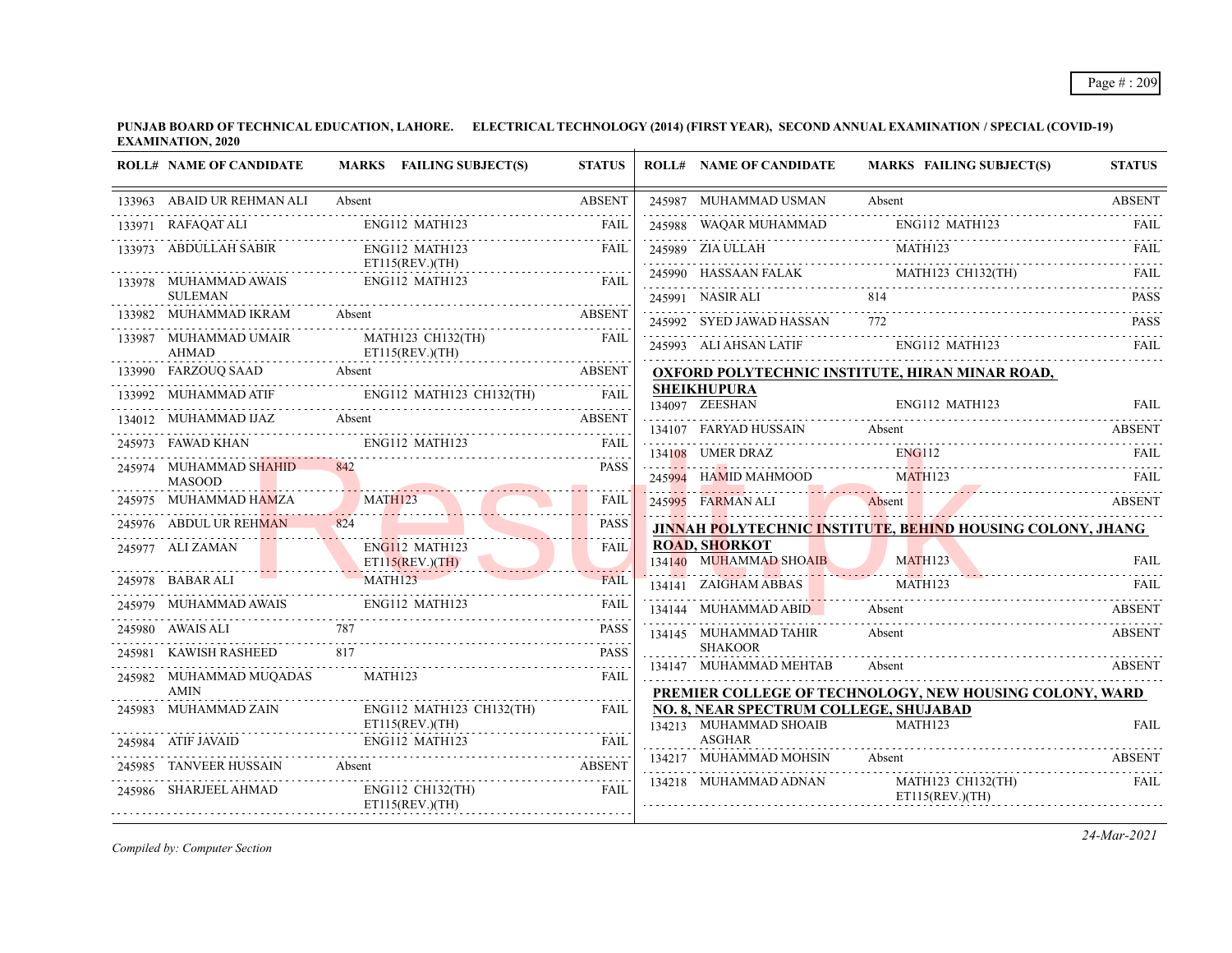| <b>ROLL# NAME OF CANDIDATE</b>          | MARKS FAILING SUBJECT(S)                           | <b>STATUS</b>                   | <b>ROLL# NAME OF CANDIDATE</b>           | <b>MARKS FAILING SUBJECT(S)</b>                                                           | <b>STATUS</b> |
|-----------------------------------------|----------------------------------------------------|---------------------------------|------------------------------------------|-------------------------------------------------------------------------------------------|---------------|
| 133963 ABAID UR REHMAN ALI              | Absent                                             | <b>ABSENT</b>                   | 245987 MUHAMMAD USMAN                    | Absent                                                                                    | <b>ABSENT</b> |
| 133971 RAFAQAT ALI                      | ENG112 MATH123                                     | <b>FAIL</b>                     | 245988 WAQAR MUHAMMAD                    | ENG112 MATH123                                                                            | <b>FAIL</b>   |
| 133973 ABDULLAH SABIR                   | ENG112 MATH123                                     | <b>FAIL</b>                     |                                          | 245989 ZIA ULLAH MATHI23 FAIL PARTHI23 FAIL PARTHI23 MATHI23 FAIL PARTHI23 CHI32(TH) FAIL |               |
| 133978 MUHAMMAD AWAIS                   | $ET115$ (REV.)(TH)<br>ENG112 MATH123               | <b>FAIL</b>                     |                                          |                                                                                           |               |
| <b>SULEMAN</b>                          |                                                    |                                 | 245991 NASIR ALI<br>814                  |                                                                                           | <b>PASS</b>   |
| 133982 MUHAMMAD IKRAM                   | Absent                                             | <b>ABSENT</b>                   | 245992 SYED JAWAD HASSAN 772             |                                                                                           | <b>PASS</b>   |
| 133987 MUHAMMAD UMAIR<br><b>AHMAD</b>   | MATH123 CH132(TH)<br>ET115(REV.)(TH)               | FAII                            |                                          | 245993 ALI AHSAN LATIF ENG112 MATH123                                                     | FAII.         |
| 133990 FARZOUQ SAAD Absent              | absent ABSENT                                      |                                 |                                          | <b>OXFORD POLYTECHNIC INSTITUTE, HIRAN MINAR ROAD,</b>                                    |               |
|                                         | 133992 MUHAMMAD ATIF ENGI12 MATH123 CH132(TH) FAIL |                                 | <b>SHEIKHUPURA</b>                       |                                                                                           |               |
|                                         | 134012 MUHAMMAD IJAZ Absent                        | <b>ABSENT</b>                   |                                          | 134097 ZEESHAN ENG112 MATH123 FAIL                                                        |               |
| 245973 FAWAD KHAN ENG112 MATH123        |                                                    | FAII.                           | 134108 UMER DRAZ                         | 134107 FARYAD HUSSAIN Absent Absent ABSENT<br><b>ENG112</b>                               | FAIL          |
| 245974 MUHAMMAD SHAHID<br><b>MASOOD</b> |                                                    | <b>PASS</b>                     | 245994 HAMID MAHMOOD                     | MATH123                                                                                   | -FAIL         |
| 245975 MUHAMMAD HAMZA                   | <b>MATH123</b>                                     | <b>FAIL</b>                     | 245995 FARMAN ALI                        | Absent ABSENT                                                                             |               |
| 245976 ABDUL UR REHMAN                  | 824                                                | <b>PASS</b>                     |                                          | JINNAH POLYTECHNIC INSTITUTE, BEHIND HOUSING COLONY, JHANG                                |               |
| 245977 ALI ZAMAN                        | ENG112 MATH123<br>ET115(REV.)(TH)                  | FAIL                            | <b>ROAD, SHORKOT</b>                     | 134140 MUHAMMAD SHOAIB MATH123 FAIL                                                       |               |
| 245978 BABAR ALI                        | <b>MATH123</b>                                     | <b>FAIL</b><br>والمتمام المتمال | 134141 ZAIGHAM ABBAS                     | <b>MATH123</b>                                                                            | FAIL          |
| 245979 MUHAMMAD AWAIS                   | ENG112 MATH123                                     | <b>FAIL</b>                     | 134144 MUHAMMAD ABID Absent              |                                                                                           | ABSENT        |
| 245980 AWAIS ALI                        |                                                    | <b>PASS</b>                     | 134145 MUHAMMAD TAHIR                    | Absent                                                                                    | <b>ABSENT</b> |
| 245981 KAWISH RASHEED                   | 817                                                | <b>PASS</b>                     | <b>SHAKOOR</b><br>134147 MUHAMMAD MEHTAB | Absent                                                                                    | <b>ABSENT</b> |
| 245982 MUHAMMAD MUQADAS                 | MATH123                                            | <b>FAIL</b>                     |                                          |                                                                                           |               |
| <b>AMIN</b><br>245983 MUHAMMAD ZAIN     | ENG112 MATH123 CH132(TH)                           | FAII.                           | NO. 8, NEAR SPECTRUM COLLEGE, SHUJABAD   | PREMIER COLLEGE OF TECHNOLOGY, NEW HOUSING COLONY, WARD                                   |               |
|                                         | ET115(REV.)(TH)                                    |                                 | 134213 MUHAMMAD SHOAIB                   | <b>MATH123</b>                                                                            | <b>FAIL</b>   |
| 245984 ATIF JAVAID                      | ENG112 MATH123 FAIL FAIL FAIL FAIL                 |                                 | ASGHAR                                   |                                                                                           |               |
| TANVEER HUSSAIN Absent                  | TANVEER HUSSAIN Absent ABSENT                      |                                 | 134217 MUHAMMAD MOHSIN                   | Absent                                                                                    | <b>ABSENT</b> |
| 245986 SHARJEEL AHMAD                   | ENG112 CH132(TH)<br>ET115(REV.)(TH)                | FAIL                            | 134218 MUHAMMAD ADNAN                    | MATH123 CH132(TH)<br>ET115(REV.)(TH)                                                      | <b>FAIL</b>   |
|                                         |                                                    |                                 |                                          |                                                                                           |               |

*Compiled by: Computer Section*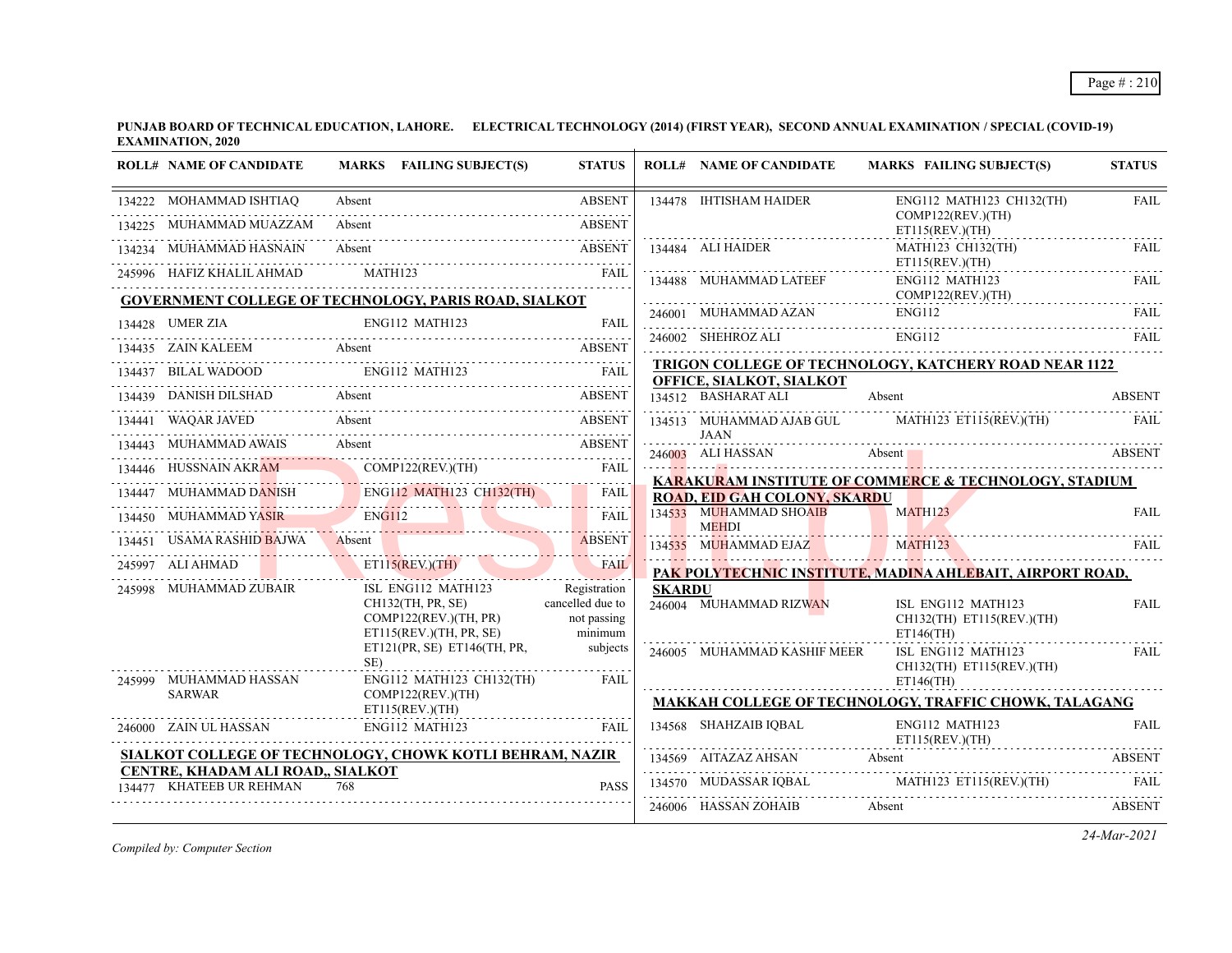| <b>ROLL# NAME OF CANDIDATE</b>                                | MARKS FAILING SUBJECT(S)                                                                                                     | <b>STATUS</b>          |               | <b>ROLL# NAME OF CANDIDATE</b>                                                    | <b>MARKS FAILING SUBJECT(S)</b>                                                                                                                                                                                                          | <b>STATUS</b> |  |
|---------------------------------------------------------------|------------------------------------------------------------------------------------------------------------------------------|------------------------|---------------|-----------------------------------------------------------------------------------|------------------------------------------------------------------------------------------------------------------------------------------------------------------------------------------------------------------------------------------|---------------|--|
| 134222 MOHAMMAD ISHTIAQ                                       | Absent                                                                                                                       | ABSENT                 |               | 134478 IHTISHAM HAIDER                                                            | ENG112 MATH123 CH132(TH)                                                                                                                                                                                                                 | <b>FAIL</b>   |  |
| 134225 MUHAMMAD MUAZZAM                                       | Absent                                                                                                                       | <b>ABSENT</b>          |               |                                                                                   | COMP122(REV.)(TH)<br>ET115(REV.)(TH)                                                                                                                                                                                                     |               |  |
| 134234 MUHAMMAD HASNAIN                                       |                                                                                                                              |                        |               |                                                                                   | MATH123 CH132(TH)<br>ET115(REV.)(TH)                                                                                                                                                                                                     | FAIL.         |  |
|                                                               | 245996 HAFIZ KHALIL AHMAD MATH123 FAIL AHMAD MATH123 FAIL                                                                    |                        |               | 134488 MUHAMMAD LATEEF                                                            | ENG112 MATH123                                                                                                                                                                                                                           | FAII.         |  |
|                                                               | <b>GOVERNMENT COLLEGE OF TECHNOLOGY, PARIS ROAD, SIALKOT</b>                                                                 |                        |               |                                                                                   | COMP122(REV.)(TH)                                                                                                                                                                                                                        |               |  |
| 134428 UMER ZIA                                               | 34428 UMER ZIA ENGI12 MATH123 FAIL                                                                                           |                        |               |                                                                                   | 246001 MUHAMMAD AZAN ENGI12 FAIL FAIL                                                                                                                                                                                                    |               |  |
|                                                               | 134435 ZAIN KALEEM Absent ABSENT                                                                                             |                        |               |                                                                                   | ENG112<br>246002 SHEHROZ ALI ENG112 FAIL ENGLISHED ENGLISHED ENGLISHED ENGLISHED ENGLISHED ENGLISHED ENGLISHED ENGLISHED ENGLISHED ENGLISHED ENGLISHED ENGLISHED ENGLISHED ENGLISHED ENGLISHED ENGLISHED ENGLISHED ENGLISHED ENGLISHED E |               |  |
|                                                               | 134437 BILAL WADOOD ENG112 MATH123 FAIL                                                                                      |                        |               | TRIGON COLLEGE OF TECHNOLOGY, KATCHERY ROAD NEAR 1122<br>OFFICE, SIALKOT, SIALKOT |                                                                                                                                                                                                                                          |               |  |
|                                                               | 134439 DANISH DILSHAD Absent Assent ABSENT                                                                                   |                        |               | 134512 BASHARAT ALI                                                               | Absent                                                                                                                                                                                                                                   | <b>ABSENT</b> |  |
|                                                               | 134441 WAQAR JAVED Absent ABSENT                                                                                             |                        |               |                                                                                   | 134513 MUHAMMAD AJAB GUL MATH123 ET115(REV.)(TH)                                                                                                                                                                                         | FAIL.         |  |
|                                                               | 134443 MUHAMMAD AWAIS Absent ABSENT                                                                                          |                        |               | <b>JAAN</b>                                                                       |                                                                                                                                                                                                                                          |               |  |
|                                                               | 134446 HUSSNAIN AKRAM COMP122(REV.)(TH) FAIL                                                                                 |                        |               |                                                                                   | 246003 ALI HASSAN Absent Absent ABSENT ABSENT                                                                                                                                                                                            |               |  |
|                                                               |                                                                                                                              |                        |               | <b>ROAD, EID GAH COLONY, SKARDU</b>                                               | <b>KARAKURAM INSTITUTE OF COMMERCE &amp; TECHNOLOGY, STADIUM</b>                                                                                                                                                                         |               |  |
|                                                               | 134447 MUHAMMAD DANISH ENG112 MATH123 CH132(TH) FAIL 134450 MUHAMMAD YASIR ENG112 MATH123 CH132(TH) FAIL                     |                        |               | 134533 MUHAMMAD SHOAIB<br><b>MEHDI</b>                                            | <b>MATH123</b>                                                                                                                                                                                                                           | <b>FAIL</b>   |  |
| 134451 USAMA RASHID BAJWA Absent                              | 134451 USAMA RASHID BAJWA Absent                                                                                             |                        |               |                                                                                   | 134535 MUHAMMAD EJAZ MATH123 FAIL RATE                                                                                                                                                                                                   |               |  |
|                                                               | 245997 ALI AHMAD ETI15(REV.)(TH) FAIL                                                                                        |                        |               |                                                                                   | PAK POLYTECHNIC INSTITUTE, MADINA AHLEBAIT, AIRPORT ROAD,                                                                                                                                                                                |               |  |
| 245998 MUHAMMAD ZUBAIR                                        | ISL ENG112 MATH123 Registration<br>CH132(TH, PR, SE) cancelled due to<br>$COMP122(REV.)$ (TH, PR)<br>ET115(REV.)(TH, PR, SE) | not passing<br>minimum | <b>SKARDU</b> | 246004 MUHAMMAD RIZWAN                                                            | ISL ENG112 MATH123<br>CH132(TH) ET115(REV.)(TH)<br>$ET146$ (TH)                                                                                                                                                                          | <b>FAIL</b>   |  |
| 245999 MUHAMMAD HASSAN                                        | ET121(PR, SE) ET146(TH, PR,<br>SE)<br>ENG112 MATH123 CH132(TH)                                                               | subjects<br>FAIL       |               | 246005 MUHAMMAD KASHIF MEER                                                       | ISL ENG112 MATH123<br>CH132(TH) ET115(REV.)(TH)<br>$ET146$ (TH)                                                                                                                                                                          | FAIL          |  |
| <b>SARWAR</b>                                                 | COMP122(REV.)(TH)<br>SARWAR $COMP122(REV.)(TH)$<br>ET115(REV.)(TH)                                                           |                        |               |                                                                                   | <b>MAKKAH COLLEGE OF TECHNOLOGY, TRAFFIC CHOWK, TALAGANG</b>                                                                                                                                                                             |               |  |
|                                                               | 246000 ZAIN UL HASSAN ENG112 MATH123                                                                                         | FAIL                   |               | 134568 SHAHZAIB IOBAL                                                             | ENG112 MATH123<br>ET115(REV.)(TH)                                                                                                                                                                                                        | <b>FAIL</b>   |  |
|                                                               | SIALKOT COLLEGE OF TECHNOLOGY, CHOWK KOTLI BEHRAM, NAZIR                                                                     |                        |               |                                                                                   | 134569 AITAZAZ AHSAN Absent ABSENT                                                                                                                                                                                                       |               |  |
| CENTRE, KHADAM ALI ROAD,, SIALKOT<br>134477 KHATEEB UR REHMAN | 768                                                                                                                          | <b>PASS</b>            |               |                                                                                   | 134570 MUDASSAR IQBAL MATH123 ET115(REV.)(TH) FAIL                                                                                                                                                                                       |               |  |
|                                                               |                                                                                                                              |                        |               | 246006 HASSAN ZOHAIB                                                              | Absent                                                                                                                                                                                                                                   | <b>ABSENT</b> |  |

*Compiled by: Computer Section*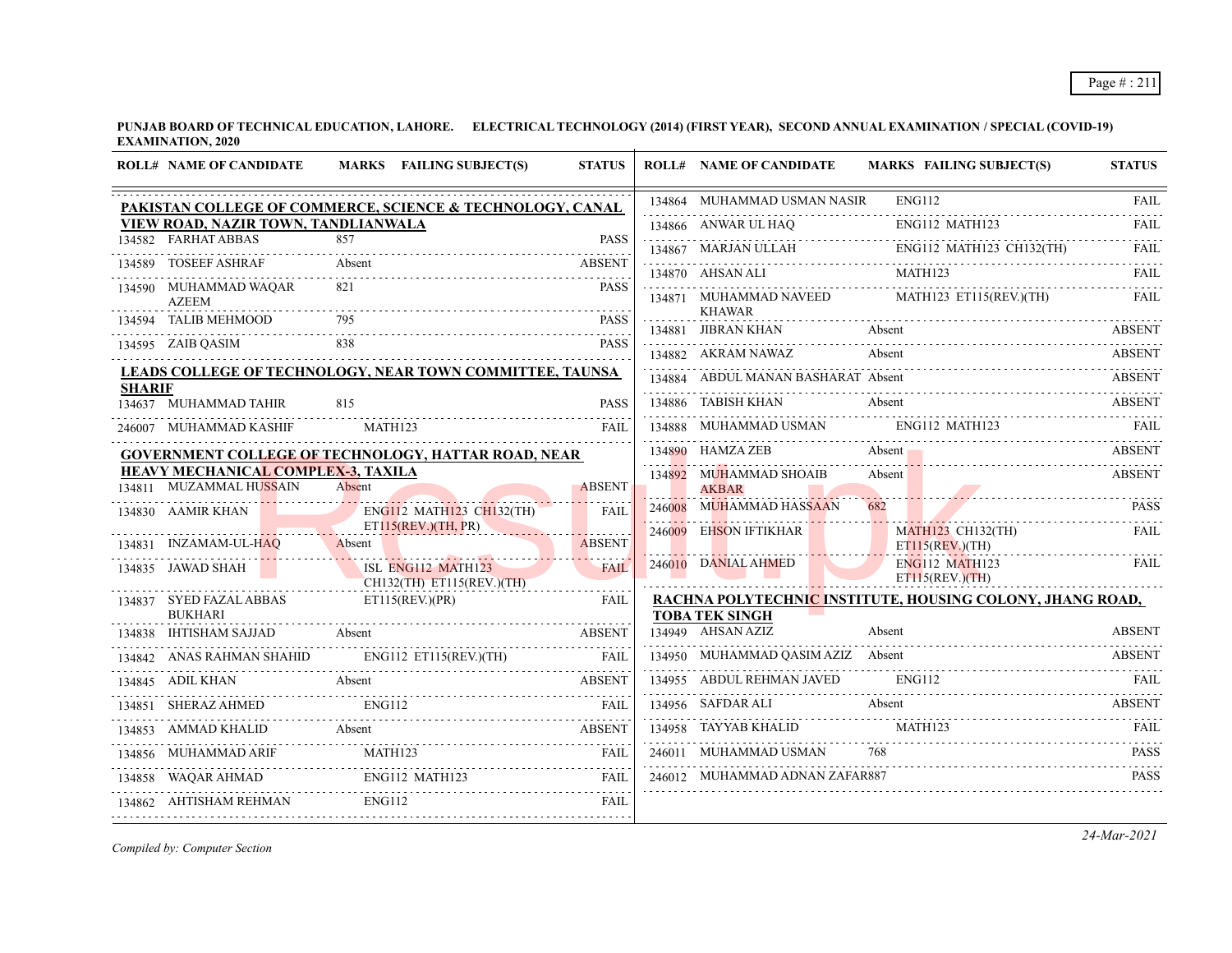## Page # : 211

**PUNJAB BOARD OF TECHNICAL EDUCATION, LAHORE. ELECTRICAL TECHNOLOGY (2014) (FIRST YEAR), SECOND ANNUAL EXAMINATION / SPECIAL (COVID-19) EXAMINATION, 2020**  $\overline{1}$ 

|               | <b>ROLL# NAME OF CANDIDATE</b>                            |               | MARKS FAILING SUBJECT(S)                               | <b>STATUS</b> | <b>ROLL# NAME OF CANDIDATE</b>                                    | <b>MARKS FAILING SUBJECT(S)</b>                           | <b>STATUS</b>       |
|---------------|-----------------------------------------------------------|---------------|--------------------------------------------------------|---------------|-------------------------------------------------------------------|-----------------------------------------------------------|---------------------|
|               | PAKISTAN COLLEGE OF COMMERCE, SCIENCE & TECHNOLOGY, CANAL |               |                                                        |               | 134864 MUHAMMAD USMAN NASIR                                       | ENG112                                                    | <b>FAIL</b>         |
|               | VIEW ROAD, NAZIR TOWN, TANDLIANWALA                       |               |                                                        |               | 134866 ANWAR UL HAO                                               | ENG112 MATH123                                            | FAIL                |
|               | 134582 FARHAT ABBAS                                       | 857           |                                                        | <b>PASS</b>   |                                                                   | 134867 MARJAN ULLAH ENGI12 MATH123 CH132(TH) FAIL         |                     |
|               | 134589 TOSEEF ASHRAF                                      | Absent        |                                                        | <b>ABSENT</b> | 134870 AHSAN ALI                                                  | MATH123                                                   | FAIL.               |
|               | 134590 MUHAMMAD WAQAR<br><b>AZEEM</b>                     | 821           |                                                        | <b>PASS</b>   | 134871 MUHAMMAD NAVEED<br><b>KHAWAR</b>                           | MATH123 ET115(REV.)(TH)                                   | FAIL                |
|               | 134594 TALIB MEHMOOD                                      | 795           |                                                        | <b>PASS</b>   | 134881 JIBRAN KHAN                                                | Absent                                                    | <b>ABSENT</b>       |
|               | 134595 ZAIB QASIM                                         |               |                                                        | <b>PASS</b>   | 134882 AKRAM NAWAZ                                                | Absent                                                    | <b>ABSENT</b>       |
| <b>SHARIF</b> | LEADS COLLEGE OF TECHNOLOGY, NEAR TOWN COMMITTEE, TAUNSA  |               |                                                        |               | 134884 ABDUL MANAN BASHARAT Absent                                |                                                           | <b>ABSENT</b>       |
|               | 134637 MUHAMMAD TAHIR                                     | 815           |                                                        | <b>PASS</b>   | 134886 TABISH KHAN                                                | Absent                                                    | <b>ABSENT</b>       |
|               | 246007 MUHAMMAD KASHIF                                    | MATH123       |                                                        | FAIL          | 134888 MUHAMMAD USMAN ENG112 MATH123                              |                                                           | <u>EAIL</u>         |
|               | GOVERNMENT COLLEGE OF TECHNOLOGY, HATTAR ROAD, NEAR       |               |                                                        |               | 134890 HAMZA ZEB                                                  | Absent –                                                  | <b>ABSENT</b>       |
|               | <b>HEAVY MECHANICAL COMPLEX-3, TAXILA</b>                 |               |                                                        |               | 134892 MUHAMMAD SHOAIB                                            | Absent                                                    | <b>ABSENT</b>       |
|               | 134811 MUZAMMAL HUSSAIN                                   | Absent        |                                                        | <b>ABSENT</b> | <b>AKBAR</b>                                                      |                                                           |                     |
|               | 134830 AAMIR KHAN                                         |               | <b>ENG112 MATH123 CH132(TH)</b><br>ET115(REV.)(TH, PR) | <b>FAIL</b>   | 246008 MUHAMMAD HASSAAN<br>246009 EHSON IFTIKHAR                  | <b>MATH123 CH132(TH)</b>                                  | <b>PASS</b><br>FAIL |
|               | 134831 INZAMAM-UL-HAQ<br>M-UL-HAQ Absent                  |               | <u> Alian American (American I</u>                     | <b>ABSENT</b> |                                                                   | ET115(REV.)(TH)                                           |                     |
|               | 134835 JAWAD SHAH                                         |               | ISL ENG112 MATH123<br>CH132(TH) ET115(REV.)(TH)        | <b>FAIL</b>   | 246010 DANIAL AHMED<br><b>Contract Contract Contract Contract</b> | ENG112 MATH123<br>ET115(REV.)(TH)                         | <b>FAIL</b>         |
|               | 134837 SYED FAZAL ABBAS<br><b>BUKHARI</b>                 |               | ET115(REV.)(PR)                                        | FAIL          | <b>TOBA TEK SINGH</b>                                             | RACHNA POLYTECHNIC INSTITUTE, HOUSING COLONY, JHANG ROAD, |                     |
|               | 134838 IHTISHAM SAJJAD Absent                             |               |                                                        | ABSENT        | 134949 AHSAN AZIZ                                                 | Absent                                                    | <b>ABSENT</b>       |
|               | 134842 ANAS RAHMAN SHAHID                                 |               | ENG112 ET115(REV.)(TH) FAIL                            |               | 134950 MUHAMMAD OASIM AZIZ Absent                                 |                                                           | <b>ABSENT</b>       |
|               | 134845 ADIL KHAN                                          | Absent        |                                                        | <b>ABSENT</b> | 134955 ABDUL REHMAN JAVED                                         | <b>ENG112</b>                                             |                     |
| 134851        | <b>SHERAZ AHMED</b>                                       | ENG112        |                                                        | <b>FAIL</b>   | 134956 SAFDAR ALI                                                 | Absent                                                    | ABSENT              |
|               | 134853 AMMAD KHALID Absent ABSENT ABSENT                  |               |                                                        |               | 134958 TAYYAB KHALID                                              | MATH123                                                   |                     |
|               | 134856 MUHAMMAD ARIF                                      |               | MUHAMMAD ARIF MATH123 FAIL                             |               | 246011 MUHAMMAD USMAN                                             | 768                                                       | <b>PASS</b>         |
| 134858        |                                                           |               | ENG112 MATH123<br>WAQAR AHMAD ENGI12 MATH123 FAIL      |               | 246012 MUHAMMAD ADNAN ZAFAR887                                    |                                                           | <b>PASS</b>         |
|               | 134862 AHTISHAM REHMAN                                    | <b>ENG112</b> |                                                        | FAIL          |                                                                   |                                                           |                     |
|               |                                                           |               |                                                        |               |                                                                   |                                                           |                     |

*Compiled by: Computer Section*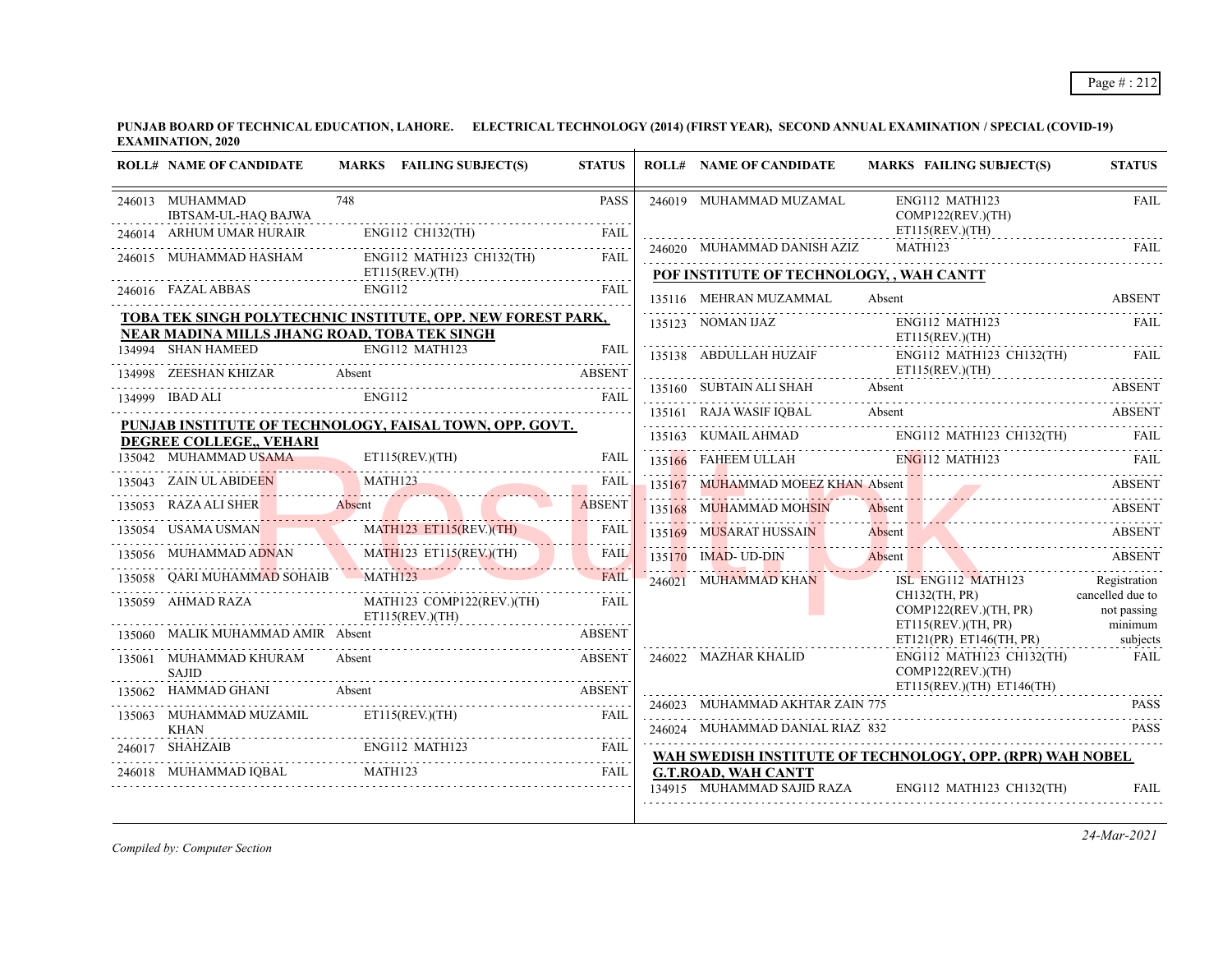|        | <b>ROLL# NAME OF CANDIDATE</b>                                                                              |        | MARKS FAILING SUBJECT(S)                        | <b>STATUS</b> | <b>ROLL# NAME OF CANDIDATE</b>                                        |        | <b>MARKS FAILING SUBJECT(S)</b>                | <b>STATUS</b>                   |
|--------|-------------------------------------------------------------------------------------------------------------|--------|-------------------------------------------------|---------------|-----------------------------------------------------------------------|--------|------------------------------------------------|---------------------------------|
|        | 246013 MUHAMMAD<br>IBTSAM-UL-HAO BAJWA                                                                      | 748    |                                                 | <b>PASS</b>   | 246019 MUHAMMAD MUZAMAL                                               |        | ENG112 MATH123<br>COMP122(REV.)(TH)            | <b>FAIL</b>                     |
|        | 246014 ARHUM UMAR HURAIR                                                                                    |        | ENG112 CH132(TH)                                | FAIL          | 246020 MUHAMMAD DANISH AZIZ                                           |        | ET115(REV.)(TH)<br>MATH123                     | <b>FAIL</b>                     |
|        | 246015 MUHAMMAD HASHAM                                                                                      |        | ENG112 MATH123 CH132(TH)                        | <b>FAIL</b>   |                                                                       |        |                                                |                                 |
|        | 246016 FAZAL ABBAS                                                                                          | ENG112 | ET115(REV.)(TH)                                 | FAIL          | POF INSTITUTE OF TECHNOLOGY, , WAH CANTT                              |        |                                                |                                 |
|        |                                                                                                             |        |                                                 |               | 135116 MEHRAN MUZAMMAL                                                | Absent |                                                | <b>ABSENT</b>                   |
|        | TOBA TEK SINGH POLYTECHNIC INSTITUTE, OPP. NEW FOREST PARK,<br>NEAR MADINA MILLS JHANG ROAD, TOBA TEK SINGH |        |                                                 |               | 135123 NOMAN IJAZ                                                     |        | ENG112 MATH123                                 | FAIL                            |
|        | 134994 SHAN HAMEED                                                                                          |        | ENG112 MATH123                                  | <b>FAII</b>   |                                                                       |        | ET115(REV.)(TH)<br>ENG112 MATH123 CH132(TH)    | FAIL                            |
|        | 134998 ZEESHAN KHIZAR Absent ABSENT ABSENT                                                                  |        |                                                 |               |                                                                       |        | ET115(REV.)(TH)                                |                                 |
|        | 134999 IBAD ALI                                                                                             | ENG112 |                                                 | FAIL          | 135160 SUBTAIN ALI SHAH Absent                                        |        |                                                | ABSENT                          |
|        |                                                                                                             |        |                                                 |               | 135161 RAJA WASIF IQBAL Absent Absent ABSENT                          |        |                                                |                                 |
|        | PUNJAB INSTITUTE OF TECHNOLOGY, FAISAL TOWN, OPP. GOVT.<br>DEGREE COLLEGE,, VEHARI                          |        |                                                 |               | 135163 KUMAIL AHMAD                                                   |        | ENG112 MATH123 CH132(TH)                       | FAIL                            |
|        | 135042 MUHAMMAD USAMA                                                                                       |        | ET115(REV.)(TH)                                 | FAIL          | 135166 FAHEEM ULLAH ENG112 MATH123                                    |        |                                                | FAII.                           |
|        | 135043 ZAIN UL ABIDEEN                                                                                      |        | MATH123                                         | FAIL          | 135167 MUHAMMAD MOEEZ KHAN Absent                                     |        |                                                | <b>ABSENT</b>                   |
| 135053 | RAZA ALI SHER Absent                                                                                        |        |                                                 | <b>ABSENT</b> | 135168 MUHAMMAD MOHSIN<br>135168 MUHAMMAD MOHSIN Absent Absent ABSENT | Absent |                                                | <b>ABSENT</b>                   |
| 135054 | USAMA USMAN                                                                                                 |        | MATH123 ET115(REV.)(TH)                         | <b>FAIL</b>   | 135169 MUSARAT HUSSAIN                                                | Absent |                                                | <b>ABSENT</b>                   |
| 135056 | MUHAMMAD ADNAN                                                                                              |        | MATH123 ET115(REV.)(TH)                         | <b>FAIL</b>   | $135170$ IMAD-UD-DIN                                                  | Absent |                                                | <b>ABSENT</b>                   |
|        | <b>QARI MUHAMMAD SOHAIB</b> MATH123                                                                         |        |                                                 | <b>FAIL</b>   | 246021 MUHAMMAD KHAN                                                  |        | ISL ENG112 MATH123                             | .<br>Registration               |
|        | 135059 AHMAD RAZA                                                                                           |        | MATH123 COMP122(REV.)(TH)<br>$ET115$ (REV.)(TH) | <b>FAIL</b>   |                                                                       |        | CH132(TH, PR)<br>COMP122(REV.)(TH, PR)         | cancelled due to<br>not passing |
|        | 135060 MALIK MUHAMMAD AMIR Absent                                                                           |        |                                                 | <b>ABSENT</b> |                                                                       |        | ET115(REV.)(TH, PR)<br>ET121(PR) ET146(TH, PR) | minimum<br>subjects             |
|        | 135061 MUHAMMAD KHURAM<br><b>SAJID</b>                                                                      | Absent |                                                 | <b>ABSENT</b> | 246022 MAZHAR KHALID                                                  |        | ENG112 MATH123 CH132(TH)<br>COMP122(REV.)(TH)  | FAIL                            |
|        | 135062 HAMMAD GHANI                                                                                         |        | Absent                                          | ABSENT        |                                                                       |        | $ET115(REV.)(TH)$ $ET146(TH)$                  |                                 |
|        | 135063 MUHAMMAD MUZAMIL                                                                                     |        | ET115(REV.)(TH)                                 | FAIL          | 246023 MUHAMMAD AKHTAR ZAIN 775                                       |        |                                                | <b>PASS</b>                     |
|        | <b>KHAN</b>                                                                                                 |        |                                                 |               | 246024 MUHAMMAD DANIAL RIAZ 832                                       |        |                                                | <b>PASS</b>                     |
|        | 246017 SHAHZAIB                                                                                             |        | ENG112 MATH123                                  |               | WAH SWEDISH INSTITUTE OF TECHNOLOGY, OPP. (RPR) WAH NOBEL             |        |                                                |                                 |
|        | 246018 MUHAMMAD IQBAL MATH123                                                                               |        |                                                 | <b>FAIL</b>   | <b>G.T.ROAD, WAH CANTT</b><br>134915 MUHAMMAD SAJID RAZA              |        | ENG112 MATH123 CH132(TH)                       | <b>FAIL</b>                     |
|        |                                                                                                             |        |                                                 |               |                                                                       |        |                                                |                                 |

*Compiled by: Computer Section*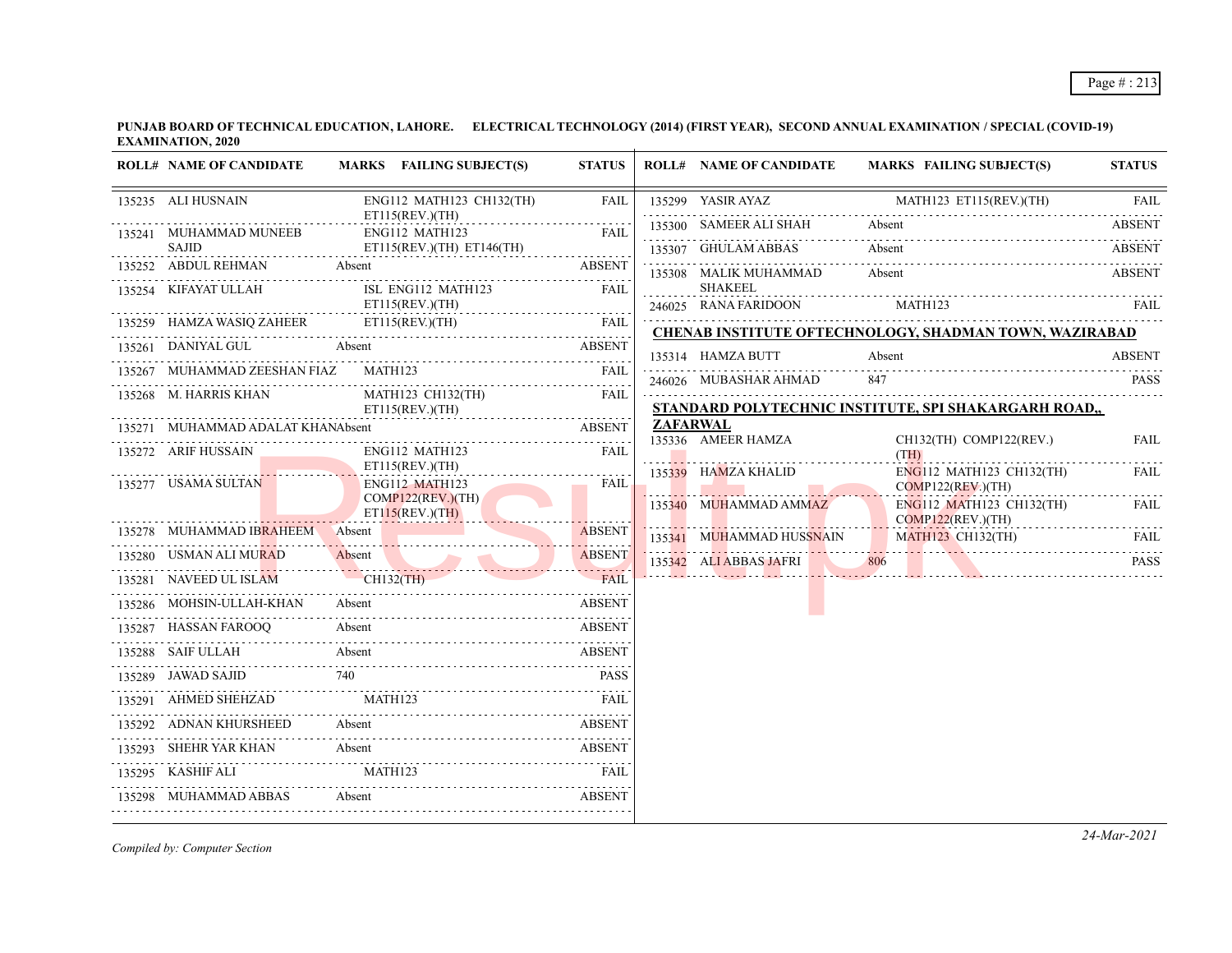## Page # : 213

**PUNJAB BOARD OF TECHNICAL EDUCATION, LAHORE. ELECTRICAL TECHNOLOGY (2014) (FIRST YEAR), SECOND ANNUAL EXAMINATION / SPECIAL (COVID-19) EXAMINATION, 2020**

| ENG112 MATH123 CH132(TH)<br>135299 YASIR AYAZ<br>MATH123 ET115(REV.)(TH)<br><b>FAIL</b><br>135235 ALI HUSNAIN<br><b>FAIL</b><br>ET115(REV.)(TH)<br>Absent<br>135300 SAMEER ALI SHAH<br><b>ABSENT</b><br>135241 MUHAMMAD MUNEEB<br>ENG112 MATH123<br><b>FAIL</b><br>AAD MUNEEB<br>-----------------------<br>$ET115(REV.)(TH)$ $ET146(TH)$<br><b>SAJID</b><br>Absent<br>135307 GHULAM ABBAS<br><b>ABSENT</b><br>135252 ABDUL REHMAN<br><b>ABSENT</b><br>Absent<br>Absent<br>135308 MALIK MUHAMMAD<br><b>ABSENT</b><br>SHAKEEL<br>135254 KIFAYAT ULLAH<br>ISL ENG112 MATH123<br><b>FAIL</b><br>ET115(REV.)(TH)<br>MATH123<br>246025 RANA FARIDOON<br>135259 HAMZA WASIQ ZAHEER ETI15(REV.)(TH) FAIL<br><b>CHENAB INSTITUTE OFTECHNOLOGY, SHADMAN TOWN, WAZIRABAD</b><br>135261 DANIYAL GUL Absent<br><b>ABSENT</b><br>135314 HAMZA BUTT<br><b>ABSENT</b><br>Absent<br>MATH123 FAIL<br>135267 MUHAMMAD ZEESHAN FIAZ<br>246026 MUBASHAR AHMAD<br>847<br><b>PASS</b><br>135268 M. HARRIS KHAN<br>MATH123 CH132(TH)<br><b>FAIL</b><br>STANDARD POLYTECHNIC INSTITUTE, SPI SHAKARGARH ROAD,<br>ET115(REV.)(TH)<br><b>ZAFARWAL</b><br>135271 MUHAMMAD ADALAT KHANAbsent<br><b>ABSENT</b><br>135336 AMEER HAMZA<br>CH132(TH) COMP122(REV.)<br><b>FAIL</b><br>135272 ARIF HUSSAIN<br>ENG112 MATH123<br>FAIL<br><b>Contract Contract</b><br>(TH)<br>ET115(REV.)(TH)<br>ENG112 MATH123 CH132(TH)<br>135339 HAMZA KHALID<br>FAIL<br>135277 USAMA SULTAN<br>ENG112 MATH123<br><b>FAIL</b><br>$COMP122(REV.)$ (TH)<br>COMP122(REV.)(TH)<br>ENG112 MATH123 CH132(TH)<br>135340 MUHAMMAD AMMAZ<br>FAIL<br>ET115(REV.)(TH)<br>COMP122(REV.)(TH)<br>135278 MUHAMMAD IBRAHEEM<br><b>ABSENT</b><br>Absent<br>and the control of the control of<br>135341 MUHAMMAD HUSSNAIN<br><b>MATH123 CH132(TH)</b><br>135341 MUHAMMAD HUSSNAIN MATH123 CH132(TH) FAIL<br><b>ABSENT</b><br>HOSEN NAVEED UL ISLAM<br>CH132(TH)<br>135286 MOHSIN JITTAW WAS CHIS2(TH)<br>135342 ALIABBAS JAFRI 806<br>35342 ALIABBAS JAFRI 806 PASS<br><b><i><u>ALLESSOR</u></i></b><br>FAIL<br><b>ABSENT</b><br>135287 HASSAN FAROOQ Absent ABSENT<br>135288 SAIF ULLAH Absent ABSENT<br>740<br>135289 JAWAD SAJID<br><b>PASS</b><br>135291 AHMED SHEHZAD MATH123<br>135292 ADNAN KHURSHEED<br><b>ABSENT</b><br>35292 ADNAN KHURSHEED Absent ABSENT ABSENT<br>135293 SHEHR YAR KHAN Absent ABSENT ABSENT 135293 KASHIF ALI MATH123 FAIL FAIL<br>135298 MUHAMMAD ABBAS Absent ABSENT | <b>ROLL# NAME OF CANDIDATE</b> | MARKS FAILING SUBJECT(S) | <b>STATUS</b> | <b>ROLL# NAME OF CANDIDATE</b> | <b>MARKS FAILING SUBJECT(S)</b> | <b>STATUS</b> |
|----------------------------------------------------------------------------------------------------------------------------------------------------------------------------------------------------------------------------------------------------------------------------------------------------------------------------------------------------------------------------------------------------------------------------------------------------------------------------------------------------------------------------------------------------------------------------------------------------------------------------------------------------------------------------------------------------------------------------------------------------------------------------------------------------------------------------------------------------------------------------------------------------------------------------------------------------------------------------------------------------------------------------------------------------------------------------------------------------------------------------------------------------------------------------------------------------------------------------------------------------------------------------------------------------------------------------------------------------------------------------------------------------------------------------------------------------------------------------------------------------------------------------------------------------------------------------------------------------------------------------------------------------------------------------------------------------------------------------------------------------------------------------------------------------------------------------------------------------------------------------------------------------------------------------------------------------------------------------------------------------------------------------------------------------------------------------------------------------------------------------------------------------------------------------------------------------------------------------------------------------------------------------------------------------------------------------------------------------------------------------------------------------------------------------------|--------------------------------|--------------------------|---------------|--------------------------------|---------------------------------|---------------|
|                                                                                                                                                                                                                                                                                                                                                                                                                                                                                                                                                                                                                                                                                                                                                                                                                                                                                                                                                                                                                                                                                                                                                                                                                                                                                                                                                                                                                                                                                                                                                                                                                                                                                                                                                                                                                                                                                                                                                                                                                                                                                                                                                                                                                                                                                                                                                                                                                                  |                                |                          |               |                                |                                 |               |
|                                                                                                                                                                                                                                                                                                                                                                                                                                                                                                                                                                                                                                                                                                                                                                                                                                                                                                                                                                                                                                                                                                                                                                                                                                                                                                                                                                                                                                                                                                                                                                                                                                                                                                                                                                                                                                                                                                                                                                                                                                                                                                                                                                                                                                                                                                                                                                                                                                  |                                |                          |               |                                |                                 |               |
|                                                                                                                                                                                                                                                                                                                                                                                                                                                                                                                                                                                                                                                                                                                                                                                                                                                                                                                                                                                                                                                                                                                                                                                                                                                                                                                                                                                                                                                                                                                                                                                                                                                                                                                                                                                                                                                                                                                                                                                                                                                                                                                                                                                                                                                                                                                                                                                                                                  |                                |                          |               |                                |                                 |               |
|                                                                                                                                                                                                                                                                                                                                                                                                                                                                                                                                                                                                                                                                                                                                                                                                                                                                                                                                                                                                                                                                                                                                                                                                                                                                                                                                                                                                                                                                                                                                                                                                                                                                                                                                                                                                                                                                                                                                                                                                                                                                                                                                                                                                                                                                                                                                                                                                                                  |                                |                          |               |                                |                                 |               |
|                                                                                                                                                                                                                                                                                                                                                                                                                                                                                                                                                                                                                                                                                                                                                                                                                                                                                                                                                                                                                                                                                                                                                                                                                                                                                                                                                                                                                                                                                                                                                                                                                                                                                                                                                                                                                                                                                                                                                                                                                                                                                                                                                                                                                                                                                                                                                                                                                                  |                                |                          |               |                                |                                 |               |
|                                                                                                                                                                                                                                                                                                                                                                                                                                                                                                                                                                                                                                                                                                                                                                                                                                                                                                                                                                                                                                                                                                                                                                                                                                                                                                                                                                                                                                                                                                                                                                                                                                                                                                                                                                                                                                                                                                                                                                                                                                                                                                                                                                                                                                                                                                                                                                                                                                  |                                |                          |               |                                |                                 |               |
|                                                                                                                                                                                                                                                                                                                                                                                                                                                                                                                                                                                                                                                                                                                                                                                                                                                                                                                                                                                                                                                                                                                                                                                                                                                                                                                                                                                                                                                                                                                                                                                                                                                                                                                                                                                                                                                                                                                                                                                                                                                                                                                                                                                                                                                                                                                                                                                                                                  |                                |                          |               |                                |                                 |               |
|                                                                                                                                                                                                                                                                                                                                                                                                                                                                                                                                                                                                                                                                                                                                                                                                                                                                                                                                                                                                                                                                                                                                                                                                                                                                                                                                                                                                                                                                                                                                                                                                                                                                                                                                                                                                                                                                                                                                                                                                                                                                                                                                                                                                                                                                                                                                                                                                                                  |                                |                          |               |                                |                                 |               |
|                                                                                                                                                                                                                                                                                                                                                                                                                                                                                                                                                                                                                                                                                                                                                                                                                                                                                                                                                                                                                                                                                                                                                                                                                                                                                                                                                                                                                                                                                                                                                                                                                                                                                                                                                                                                                                                                                                                                                                                                                                                                                                                                                                                                                                                                                                                                                                                                                                  |                                |                          |               |                                |                                 |               |
|                                                                                                                                                                                                                                                                                                                                                                                                                                                                                                                                                                                                                                                                                                                                                                                                                                                                                                                                                                                                                                                                                                                                                                                                                                                                                                                                                                                                                                                                                                                                                                                                                                                                                                                                                                                                                                                                                                                                                                                                                                                                                                                                                                                                                                                                                                                                                                                                                                  |                                |                          |               |                                |                                 |               |
|                                                                                                                                                                                                                                                                                                                                                                                                                                                                                                                                                                                                                                                                                                                                                                                                                                                                                                                                                                                                                                                                                                                                                                                                                                                                                                                                                                                                                                                                                                                                                                                                                                                                                                                                                                                                                                                                                                                                                                                                                                                                                                                                                                                                                                                                                                                                                                                                                                  |                                |                          |               |                                |                                 |               |
|                                                                                                                                                                                                                                                                                                                                                                                                                                                                                                                                                                                                                                                                                                                                                                                                                                                                                                                                                                                                                                                                                                                                                                                                                                                                                                                                                                                                                                                                                                                                                                                                                                                                                                                                                                                                                                                                                                                                                                                                                                                                                                                                                                                                                                                                                                                                                                                                                                  |                                |                          |               |                                |                                 |               |
|                                                                                                                                                                                                                                                                                                                                                                                                                                                                                                                                                                                                                                                                                                                                                                                                                                                                                                                                                                                                                                                                                                                                                                                                                                                                                                                                                                                                                                                                                                                                                                                                                                                                                                                                                                                                                                                                                                                                                                                                                                                                                                                                                                                                                                                                                                                                                                                                                                  |                                |                          |               |                                |                                 |               |
|                                                                                                                                                                                                                                                                                                                                                                                                                                                                                                                                                                                                                                                                                                                                                                                                                                                                                                                                                                                                                                                                                                                                                                                                                                                                                                                                                                                                                                                                                                                                                                                                                                                                                                                                                                                                                                                                                                                                                                                                                                                                                                                                                                                                                                                                                                                                                                                                                                  |                                |                          |               |                                |                                 |               |
|                                                                                                                                                                                                                                                                                                                                                                                                                                                                                                                                                                                                                                                                                                                                                                                                                                                                                                                                                                                                                                                                                                                                                                                                                                                                                                                                                                                                                                                                                                                                                                                                                                                                                                                                                                                                                                                                                                                                                                                                                                                                                                                                                                                                                                                                                                                                                                                                                                  |                                |                          |               |                                |                                 |               |
|                                                                                                                                                                                                                                                                                                                                                                                                                                                                                                                                                                                                                                                                                                                                                                                                                                                                                                                                                                                                                                                                                                                                                                                                                                                                                                                                                                                                                                                                                                                                                                                                                                                                                                                                                                                                                                                                                                                                                                                                                                                                                                                                                                                                                                                                                                                                                                                                                                  |                                |                          |               |                                |                                 |               |
|                                                                                                                                                                                                                                                                                                                                                                                                                                                                                                                                                                                                                                                                                                                                                                                                                                                                                                                                                                                                                                                                                                                                                                                                                                                                                                                                                                                                                                                                                                                                                                                                                                                                                                                                                                                                                                                                                                                                                                                                                                                                                                                                                                                                                                                                                                                                                                                                                                  |                                |                          |               |                                |                                 |               |
|                                                                                                                                                                                                                                                                                                                                                                                                                                                                                                                                                                                                                                                                                                                                                                                                                                                                                                                                                                                                                                                                                                                                                                                                                                                                                                                                                                                                                                                                                                                                                                                                                                                                                                                                                                                                                                                                                                                                                                                                                                                                                                                                                                                                                                                                                                                                                                                                                                  |                                |                          |               |                                |                                 |               |
|                                                                                                                                                                                                                                                                                                                                                                                                                                                                                                                                                                                                                                                                                                                                                                                                                                                                                                                                                                                                                                                                                                                                                                                                                                                                                                                                                                                                                                                                                                                                                                                                                                                                                                                                                                                                                                                                                                                                                                                                                                                                                                                                                                                                                                                                                                                                                                                                                                  |                                |                          |               |                                |                                 |               |
|                                                                                                                                                                                                                                                                                                                                                                                                                                                                                                                                                                                                                                                                                                                                                                                                                                                                                                                                                                                                                                                                                                                                                                                                                                                                                                                                                                                                                                                                                                                                                                                                                                                                                                                                                                                                                                                                                                                                                                                                                                                                                                                                                                                                                                                                                                                                                                                                                                  |                                |                          |               |                                |                                 |               |
|                                                                                                                                                                                                                                                                                                                                                                                                                                                                                                                                                                                                                                                                                                                                                                                                                                                                                                                                                                                                                                                                                                                                                                                                                                                                                                                                                                                                                                                                                                                                                                                                                                                                                                                                                                                                                                                                                                                                                                                                                                                                                                                                                                                                                                                                                                                                                                                                                                  |                                |                          |               |                                |                                 |               |
|                                                                                                                                                                                                                                                                                                                                                                                                                                                                                                                                                                                                                                                                                                                                                                                                                                                                                                                                                                                                                                                                                                                                                                                                                                                                                                                                                                                                                                                                                                                                                                                                                                                                                                                                                                                                                                                                                                                                                                                                                                                                                                                                                                                                                                                                                                                                                                                                                                  |                                |                          |               |                                |                                 |               |
|                                                                                                                                                                                                                                                                                                                                                                                                                                                                                                                                                                                                                                                                                                                                                                                                                                                                                                                                                                                                                                                                                                                                                                                                                                                                                                                                                                                                                                                                                                                                                                                                                                                                                                                                                                                                                                                                                                                                                                                                                                                                                                                                                                                                                                                                                                                                                                                                                                  |                                |                          |               |                                |                                 |               |
|                                                                                                                                                                                                                                                                                                                                                                                                                                                                                                                                                                                                                                                                                                                                                                                                                                                                                                                                                                                                                                                                                                                                                                                                                                                                                                                                                                                                                                                                                                                                                                                                                                                                                                                                                                                                                                                                                                                                                                                                                                                                                                                                                                                                                                                                                                                                                                                                                                  |                                |                          |               |                                |                                 |               |

*Compiled by: Computer Section*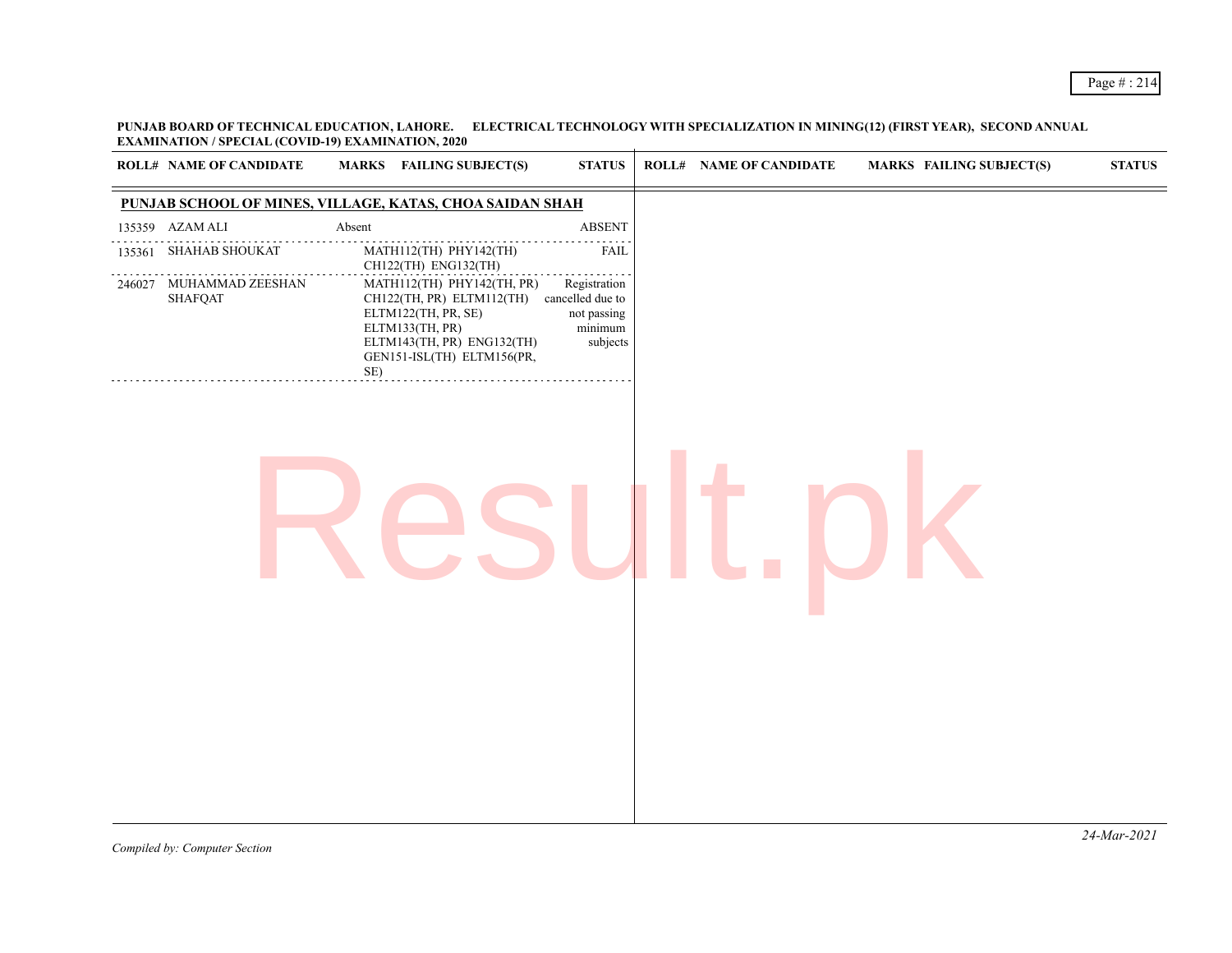## Page # : 214

**PUNJAB BOARD OF TECHNICAL EDUCATION, LAHORE. ELECTRICAL TECHNOLOGY WITH SPECIALIZATION IN MINING(12) (FIRST YEAR), SECOND ANNUAL EXAMINATION / SPECIAL (COVID-19) EXAMINATION, 2020**

|        | <b>ROLL# NAME OF CANDIDATE</b>     | <b>MARKS</b> FAILING SUBJECT(S)                                                                                                                                                       | $\bold{STATUS}$                                    | <b>ROLL# NAME OF CANDIDATE</b> | <b>MARKS FAILING SUBJECT(S)</b> | $\boldsymbol{\mathrm{STAT}}$ |
|--------|------------------------------------|---------------------------------------------------------------------------------------------------------------------------------------------------------------------------------------|----------------------------------------------------|--------------------------------|---------------------------------|------------------------------|
|        |                                    | PUNJAB SCHOOL OF MINES, VILLAGE, KATAS, CHOA SAIDAN SHAH                                                                                                                              |                                                    |                                |                                 |                              |
|        | 135359 AZAM ALI                    | Absent                                                                                                                                                                                | ABSENT                                             |                                |                                 |                              |
| 135361 | <b>SHAHAB SHOUKAT</b>              | MATH112(TH) PHY142(TH)<br>CH122(TH) ENG132(TH)                                                                                                                                        | <b>FAIL</b>                                        |                                |                                 |                              |
| 246027 | MUHAMMAD ZEESHAN<br><b>SHAFQAT</b> | MATH112(TH) PHY142(TH, PR)<br>CH122(TH, PR) ELTM112(TH) cancelled due to<br>ELTM122(TH, PR, SE)<br>ELTM133(TH, PR)<br>ELTM143(TH, PR) ENG132(TH)<br>GEN151-ISL(TH) ELTM156(PR,<br>SE) | Registration<br>not passing<br>minimum<br>subjects |                                |                                 |                              |
|        |                                    |                                                                                                                                                                                       |                                                    |                                |                                 |                              |
|        |                                    |                                                                                                                                                                                       |                                                    |                                |                                 |                              |
|        |                                    |                                                                                                                                                                                       |                                                    |                                |                                 |                              |
|        |                                    |                                                                                                                                                                                       |                                                    |                                |                                 |                              |
|        |                                    |                                                                                                                                                                                       |                                                    |                                |                                 |                              |
|        |                                    |                                                                                                                                                                                       |                                                    |                                |                                 |                              |
|        |                                    |                                                                                                                                                                                       |                                                    |                                |                                 |                              |
|        |                                    |                                                                                                                                                                                       |                                                    |                                |                                 |                              |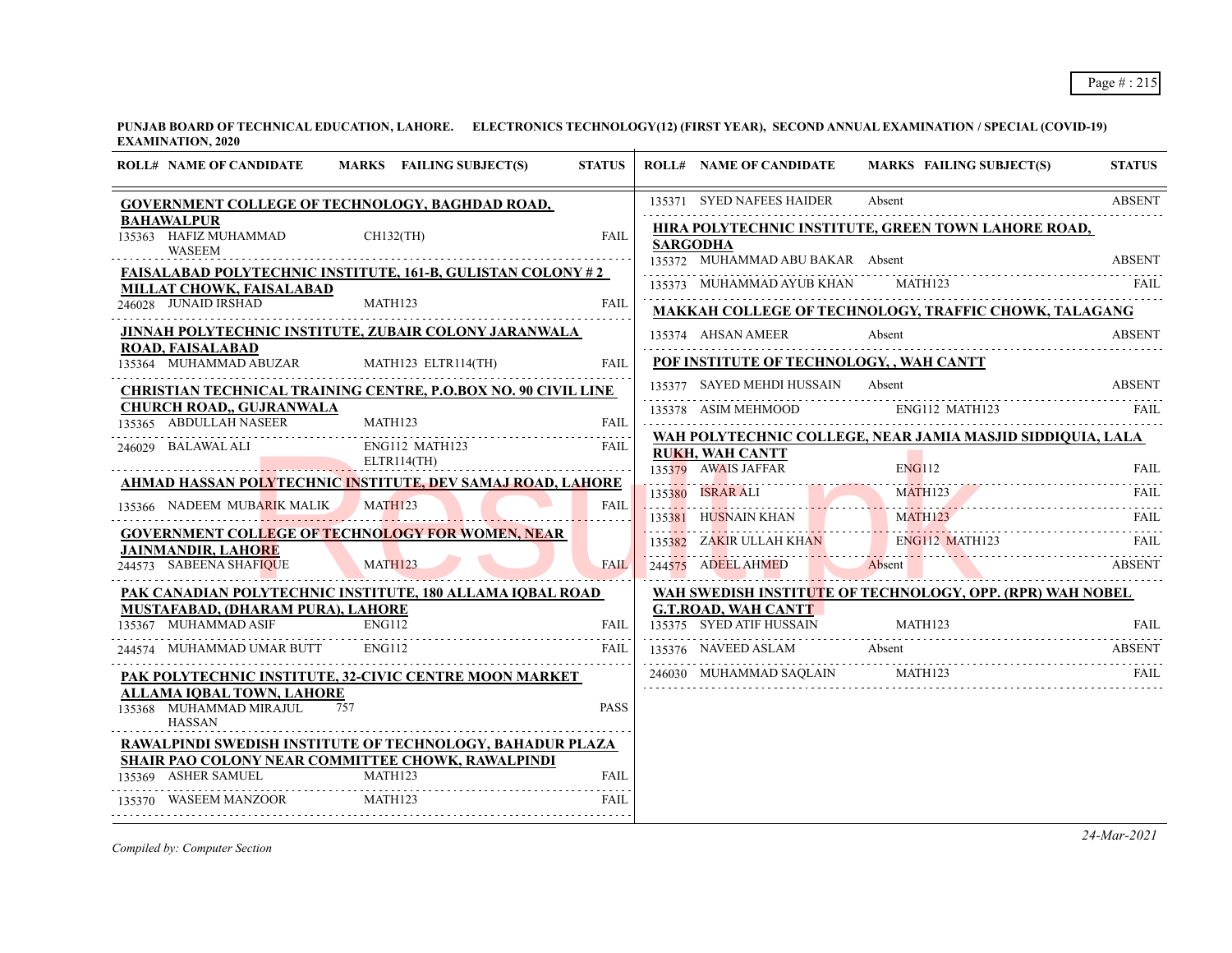| 135371 SYED NAFEES HAIDER<br>Absent<br><b>ABSENT</b><br>GOVERNMENT COLLEGE OF TECHNOLOGY, BAGHDAD ROAD,<br><b>BAHAWALPUR</b><br>HIRA POLYTECHNIC INSTITUTE, GREEN TOWN LAHORE ROAD,<br><b>FAIL</b><br>$CH132$ (TH)<br><b>SARGODHA</b><br><b>WASEEM</b><br>135372 MUHAMMAD ABU BAKAR Absent<br><b>ABSENT</b><br><b>FAISALABAD POLYTECHNIC INSTITUTE, 161-B, GULISTAN COLONY #2</b><br>135373 MUHAMMAD AYUB KHAN MATH123<br>FAIL<br>MILLAT CHOWK, FAISALABAD<br>246028 JUNAID IRSHAD<br>MATH123<br><b>FAIL</b><br>MAKKAH COLLEGE OF TECHNOLOGY, TRAFFIC CHOWK, TALAGANG<br>JINNAH POLYTECHNIC INSTITUTE, ZUBAIR COLONY JARANWALA<br><b>ABSENT</b><br>135374 AHSAN AMEER<br>Absent<br><b>ROAD, FAISALABAD</b><br>POF INSTITUTE OF TECHNOLOGY, , WAH CANTT<br>MATH123 ELTR114(TH)<br><b>FAIL</b><br>135377 SAYED MEHDI HUSSAIN Absent<br><b>ABSENT</b><br><b>CHRISTIAN TECHNICAL TRAINING CENTRE, P.O.BOX NO. 90 CIVIL LINE</b><br><b>CHURCH ROAD,, GUJRANWALA</b><br>135378 ASIM MEHMOOD<br>ENG112 MATH123<br>FAIL<br>135365 ABDULLAH NASEER<br>MATH123<br><b>FAIL</b><br>WAH POLYTECHNIC COLLEGE, NEAR JAMIA MASJID SIDDIQUIA, LALA<br>ENG112 MATH123<br>FAIL<br><b>RUKH, WAH CANTT</b><br>ELTR114(TH)<br>135379 AWAIS JAFFAR ENGLI2 FAIL THE MATHI23 FAIL MATHI23 FAIL THE MATHI23<br>AHMAD HASSAN POLYTECHNIC INSTITUTE, DEV SAMAJ ROAD, LAHORE<br>MATH123<br>135366 NADEEM MUBARIK MALIK<br>FAIL<br>135381 HUSNAIN KHAN MATH123 FAIL<br>135382 ZAKIR ULLAH KHAN ENGI12 MATH123 FAIL<br>244575 ADEEL AHMED Absent ABSENT<br><b>GOVERNMENT COLLEGE OF TECHNOLOGY FOR WOMEN, NEAR</b><br>JAINMANDIR, LAHO <mark>RE</mark><br>244573 SABEENA SHAFIQUE<br>MATH123<br><b>FAIL</b><br>244575 ADEEL AHMED Absent ABSENT<br>the control of the control of the control of the control of the control of the control of the control of the control of the control of the control of the control of the control of the control of the control of the control<br>PAK CANADIAN POLYTECHNIC INSTITUTE, 180 ALLAMA IQBAL ROAD<br>WAH SWEDISH INSTITUTE OF TECHNOLOGY, OPP. (RPR) WAH NOBEL<br>MUSTAFABAD, (DHARAM PURA), LAHORE<br><b>G.T.ROAD, WAH CANTT</b><br>135375 SYED ATIF HUSSAIN MATH123 FAIL RESERVED AT THE HUSSAIN MATH123<br><b>ENG112</b><br>FAIL<br><b>ENG112</b><br>135376 NAVEED ASLAM Absent<br><b>FAIL</b><br>ABSENT<br>246030 MUHAMMAD SAQLAIN MATH123<br>PAK POLYTECHNIC INSTITUTE, 32-CIVIC CENTRE MOON MARKET<br>ALLAMA IQBAL TOWN, LAHORE<br><b>PASS</b><br>757<br><b>HASSAN</b><br><b>RAWALPINDI SWEDISH INSTITUTE OF TECHNOLOGY, BAHADUR PLAZA</b><br>SHAIR PAO COLONY NEAR COMMITTEE CHOWK, RAWALPINDI<br>135369 ASHER SAMUEL MATH123<br>FAIL<br>MATH123<br><b>FAIL</b> | <b>ROLL# NAME OF CANDIDATE</b> | MARKS FAILING SUBJECT(S) | <b>STATUS</b> | <b>ROLL# NAME OF CANDIDATE</b> | <b>MARKS FAILING SUBJECT(S)</b> | <b>STATUS</b> |
|-------------------------------------------------------------------------------------------------------------------------------------------------------------------------------------------------------------------------------------------------------------------------------------------------------------------------------------------------------------------------------------------------------------------------------------------------------------------------------------------------------------------------------------------------------------------------------------------------------------------------------------------------------------------------------------------------------------------------------------------------------------------------------------------------------------------------------------------------------------------------------------------------------------------------------------------------------------------------------------------------------------------------------------------------------------------------------------------------------------------------------------------------------------------------------------------------------------------------------------------------------------------------------------------------------------------------------------------------------------------------------------------------------------------------------------------------------------------------------------------------------------------------------------------------------------------------------------------------------------------------------------------------------------------------------------------------------------------------------------------------------------------------------------------------------------------------------------------------------------------------------------------------------------------------------------------------------------------------------------------------------------------------------------------------------------------------------------------------------------------------------------------------------------------------------------------------------------------------------------------------------------------------------------------------------------------------------------------------------------------------------------------------------------------------------------------------------------------------------------------------------------------------------------------------------------------------------------------------------------------------------------------------------------------------------------|--------------------------------|--------------------------|---------------|--------------------------------|---------------------------------|---------------|
|                                                                                                                                                                                                                                                                                                                                                                                                                                                                                                                                                                                                                                                                                                                                                                                                                                                                                                                                                                                                                                                                                                                                                                                                                                                                                                                                                                                                                                                                                                                                                                                                                                                                                                                                                                                                                                                                                                                                                                                                                                                                                                                                                                                                                                                                                                                                                                                                                                                                                                                                                                                                                                                                                     |                                |                          |               |                                |                                 |               |
|                                                                                                                                                                                                                                                                                                                                                                                                                                                                                                                                                                                                                                                                                                                                                                                                                                                                                                                                                                                                                                                                                                                                                                                                                                                                                                                                                                                                                                                                                                                                                                                                                                                                                                                                                                                                                                                                                                                                                                                                                                                                                                                                                                                                                                                                                                                                                                                                                                                                                                                                                                                                                                                                                     | 135363 HAFIZ MUHAMMAD          |                          |               |                                |                                 |               |
|                                                                                                                                                                                                                                                                                                                                                                                                                                                                                                                                                                                                                                                                                                                                                                                                                                                                                                                                                                                                                                                                                                                                                                                                                                                                                                                                                                                                                                                                                                                                                                                                                                                                                                                                                                                                                                                                                                                                                                                                                                                                                                                                                                                                                                                                                                                                                                                                                                                                                                                                                                                                                                                                                     |                                |                          |               |                                |                                 |               |
|                                                                                                                                                                                                                                                                                                                                                                                                                                                                                                                                                                                                                                                                                                                                                                                                                                                                                                                                                                                                                                                                                                                                                                                                                                                                                                                                                                                                                                                                                                                                                                                                                                                                                                                                                                                                                                                                                                                                                                                                                                                                                                                                                                                                                                                                                                                                                                                                                                                                                                                                                                                                                                                                                     |                                |                          |               |                                |                                 |               |
|                                                                                                                                                                                                                                                                                                                                                                                                                                                                                                                                                                                                                                                                                                                                                                                                                                                                                                                                                                                                                                                                                                                                                                                                                                                                                                                                                                                                                                                                                                                                                                                                                                                                                                                                                                                                                                                                                                                                                                                                                                                                                                                                                                                                                                                                                                                                                                                                                                                                                                                                                                                                                                                                                     |                                |                          |               |                                |                                 |               |
|                                                                                                                                                                                                                                                                                                                                                                                                                                                                                                                                                                                                                                                                                                                                                                                                                                                                                                                                                                                                                                                                                                                                                                                                                                                                                                                                                                                                                                                                                                                                                                                                                                                                                                                                                                                                                                                                                                                                                                                                                                                                                                                                                                                                                                                                                                                                                                                                                                                                                                                                                                                                                                                                                     |                                |                          |               |                                |                                 |               |
|                                                                                                                                                                                                                                                                                                                                                                                                                                                                                                                                                                                                                                                                                                                                                                                                                                                                                                                                                                                                                                                                                                                                                                                                                                                                                                                                                                                                                                                                                                                                                                                                                                                                                                                                                                                                                                                                                                                                                                                                                                                                                                                                                                                                                                                                                                                                                                                                                                                                                                                                                                                                                                                                                     | 135364 MUHAMMAD ABUZAR         |                          |               |                                |                                 |               |
|                                                                                                                                                                                                                                                                                                                                                                                                                                                                                                                                                                                                                                                                                                                                                                                                                                                                                                                                                                                                                                                                                                                                                                                                                                                                                                                                                                                                                                                                                                                                                                                                                                                                                                                                                                                                                                                                                                                                                                                                                                                                                                                                                                                                                                                                                                                                                                                                                                                                                                                                                                                                                                                                                     |                                |                          |               |                                |                                 |               |
|                                                                                                                                                                                                                                                                                                                                                                                                                                                                                                                                                                                                                                                                                                                                                                                                                                                                                                                                                                                                                                                                                                                                                                                                                                                                                                                                                                                                                                                                                                                                                                                                                                                                                                                                                                                                                                                                                                                                                                                                                                                                                                                                                                                                                                                                                                                                                                                                                                                                                                                                                                                                                                                                                     |                                |                          |               |                                |                                 |               |
|                                                                                                                                                                                                                                                                                                                                                                                                                                                                                                                                                                                                                                                                                                                                                                                                                                                                                                                                                                                                                                                                                                                                                                                                                                                                                                                                                                                                                                                                                                                                                                                                                                                                                                                                                                                                                                                                                                                                                                                                                                                                                                                                                                                                                                                                                                                                                                                                                                                                                                                                                                                                                                                                                     |                                |                          |               |                                |                                 |               |
|                                                                                                                                                                                                                                                                                                                                                                                                                                                                                                                                                                                                                                                                                                                                                                                                                                                                                                                                                                                                                                                                                                                                                                                                                                                                                                                                                                                                                                                                                                                                                                                                                                                                                                                                                                                                                                                                                                                                                                                                                                                                                                                                                                                                                                                                                                                                                                                                                                                                                                                                                                                                                                                                                     | 246029 BALAWAL ALI             |                          |               |                                |                                 |               |
|                                                                                                                                                                                                                                                                                                                                                                                                                                                                                                                                                                                                                                                                                                                                                                                                                                                                                                                                                                                                                                                                                                                                                                                                                                                                                                                                                                                                                                                                                                                                                                                                                                                                                                                                                                                                                                                                                                                                                                                                                                                                                                                                                                                                                                                                                                                                                                                                                                                                                                                                                                                                                                                                                     |                                |                          |               |                                |                                 |               |
|                                                                                                                                                                                                                                                                                                                                                                                                                                                                                                                                                                                                                                                                                                                                                                                                                                                                                                                                                                                                                                                                                                                                                                                                                                                                                                                                                                                                                                                                                                                                                                                                                                                                                                                                                                                                                                                                                                                                                                                                                                                                                                                                                                                                                                                                                                                                                                                                                                                                                                                                                                                                                                                                                     |                                |                          |               |                                |                                 |               |
|                                                                                                                                                                                                                                                                                                                                                                                                                                                                                                                                                                                                                                                                                                                                                                                                                                                                                                                                                                                                                                                                                                                                                                                                                                                                                                                                                                                                                                                                                                                                                                                                                                                                                                                                                                                                                                                                                                                                                                                                                                                                                                                                                                                                                                                                                                                                                                                                                                                                                                                                                                                                                                                                                     |                                |                          |               |                                |                                 |               |
|                                                                                                                                                                                                                                                                                                                                                                                                                                                                                                                                                                                                                                                                                                                                                                                                                                                                                                                                                                                                                                                                                                                                                                                                                                                                                                                                                                                                                                                                                                                                                                                                                                                                                                                                                                                                                                                                                                                                                                                                                                                                                                                                                                                                                                                                                                                                                                                                                                                                                                                                                                                                                                                                                     |                                |                          |               |                                |                                 |               |
|                                                                                                                                                                                                                                                                                                                                                                                                                                                                                                                                                                                                                                                                                                                                                                                                                                                                                                                                                                                                                                                                                                                                                                                                                                                                                                                                                                                                                                                                                                                                                                                                                                                                                                                                                                                                                                                                                                                                                                                                                                                                                                                                                                                                                                                                                                                                                                                                                                                                                                                                                                                                                                                                                     |                                |                          |               |                                |                                 |               |
|                                                                                                                                                                                                                                                                                                                                                                                                                                                                                                                                                                                                                                                                                                                                                                                                                                                                                                                                                                                                                                                                                                                                                                                                                                                                                                                                                                                                                                                                                                                                                                                                                                                                                                                                                                                                                                                                                                                                                                                                                                                                                                                                                                                                                                                                                                                                                                                                                                                                                                                                                                                                                                                                                     |                                |                          |               |                                |                                 |               |
|                                                                                                                                                                                                                                                                                                                                                                                                                                                                                                                                                                                                                                                                                                                                                                                                                                                                                                                                                                                                                                                                                                                                                                                                                                                                                                                                                                                                                                                                                                                                                                                                                                                                                                                                                                                                                                                                                                                                                                                                                                                                                                                                                                                                                                                                                                                                                                                                                                                                                                                                                                                                                                                                                     |                                |                          |               |                                |                                 |               |
|                                                                                                                                                                                                                                                                                                                                                                                                                                                                                                                                                                                                                                                                                                                                                                                                                                                                                                                                                                                                                                                                                                                                                                                                                                                                                                                                                                                                                                                                                                                                                                                                                                                                                                                                                                                                                                                                                                                                                                                                                                                                                                                                                                                                                                                                                                                                                                                                                                                                                                                                                                                                                                                                                     | 135367 MUHAMMAD ASIF           |                          |               |                                |                                 |               |
|                                                                                                                                                                                                                                                                                                                                                                                                                                                                                                                                                                                                                                                                                                                                                                                                                                                                                                                                                                                                                                                                                                                                                                                                                                                                                                                                                                                                                                                                                                                                                                                                                                                                                                                                                                                                                                                                                                                                                                                                                                                                                                                                                                                                                                                                                                                                                                                                                                                                                                                                                                                                                                                                                     | 244574 MUHAMMAD UMAR BUTT      |                          |               |                                |                                 |               |
|                                                                                                                                                                                                                                                                                                                                                                                                                                                                                                                                                                                                                                                                                                                                                                                                                                                                                                                                                                                                                                                                                                                                                                                                                                                                                                                                                                                                                                                                                                                                                                                                                                                                                                                                                                                                                                                                                                                                                                                                                                                                                                                                                                                                                                                                                                                                                                                                                                                                                                                                                                                                                                                                                     |                                |                          |               |                                |                                 |               |
|                                                                                                                                                                                                                                                                                                                                                                                                                                                                                                                                                                                                                                                                                                                                                                                                                                                                                                                                                                                                                                                                                                                                                                                                                                                                                                                                                                                                                                                                                                                                                                                                                                                                                                                                                                                                                                                                                                                                                                                                                                                                                                                                                                                                                                                                                                                                                                                                                                                                                                                                                                                                                                                                                     |                                |                          |               |                                |                                 |               |
|                                                                                                                                                                                                                                                                                                                                                                                                                                                                                                                                                                                                                                                                                                                                                                                                                                                                                                                                                                                                                                                                                                                                                                                                                                                                                                                                                                                                                                                                                                                                                                                                                                                                                                                                                                                                                                                                                                                                                                                                                                                                                                                                                                                                                                                                                                                                                                                                                                                                                                                                                                                                                                                                                     | 135368 MUHAMMAD MIRAJUL        |                          |               |                                |                                 |               |
|                                                                                                                                                                                                                                                                                                                                                                                                                                                                                                                                                                                                                                                                                                                                                                                                                                                                                                                                                                                                                                                                                                                                                                                                                                                                                                                                                                                                                                                                                                                                                                                                                                                                                                                                                                                                                                                                                                                                                                                                                                                                                                                                                                                                                                                                                                                                                                                                                                                                                                                                                                                                                                                                                     |                                |                          |               |                                |                                 |               |
|                                                                                                                                                                                                                                                                                                                                                                                                                                                                                                                                                                                                                                                                                                                                                                                                                                                                                                                                                                                                                                                                                                                                                                                                                                                                                                                                                                                                                                                                                                                                                                                                                                                                                                                                                                                                                                                                                                                                                                                                                                                                                                                                                                                                                                                                                                                                                                                                                                                                                                                                                                                                                                                                                     |                                |                          |               |                                |                                 |               |
|                                                                                                                                                                                                                                                                                                                                                                                                                                                                                                                                                                                                                                                                                                                                                                                                                                                                                                                                                                                                                                                                                                                                                                                                                                                                                                                                                                                                                                                                                                                                                                                                                                                                                                                                                                                                                                                                                                                                                                                                                                                                                                                                                                                                                                                                                                                                                                                                                                                                                                                                                                                                                                                                                     |                                |                          |               |                                |                                 |               |
|                                                                                                                                                                                                                                                                                                                                                                                                                                                                                                                                                                                                                                                                                                                                                                                                                                                                                                                                                                                                                                                                                                                                                                                                                                                                                                                                                                                                                                                                                                                                                                                                                                                                                                                                                                                                                                                                                                                                                                                                                                                                                                                                                                                                                                                                                                                                                                                                                                                                                                                                                                                                                                                                                     | 135370 WASEEM MANZOOR          |                          |               |                                |                                 |               |

*Compiled by: Computer Section*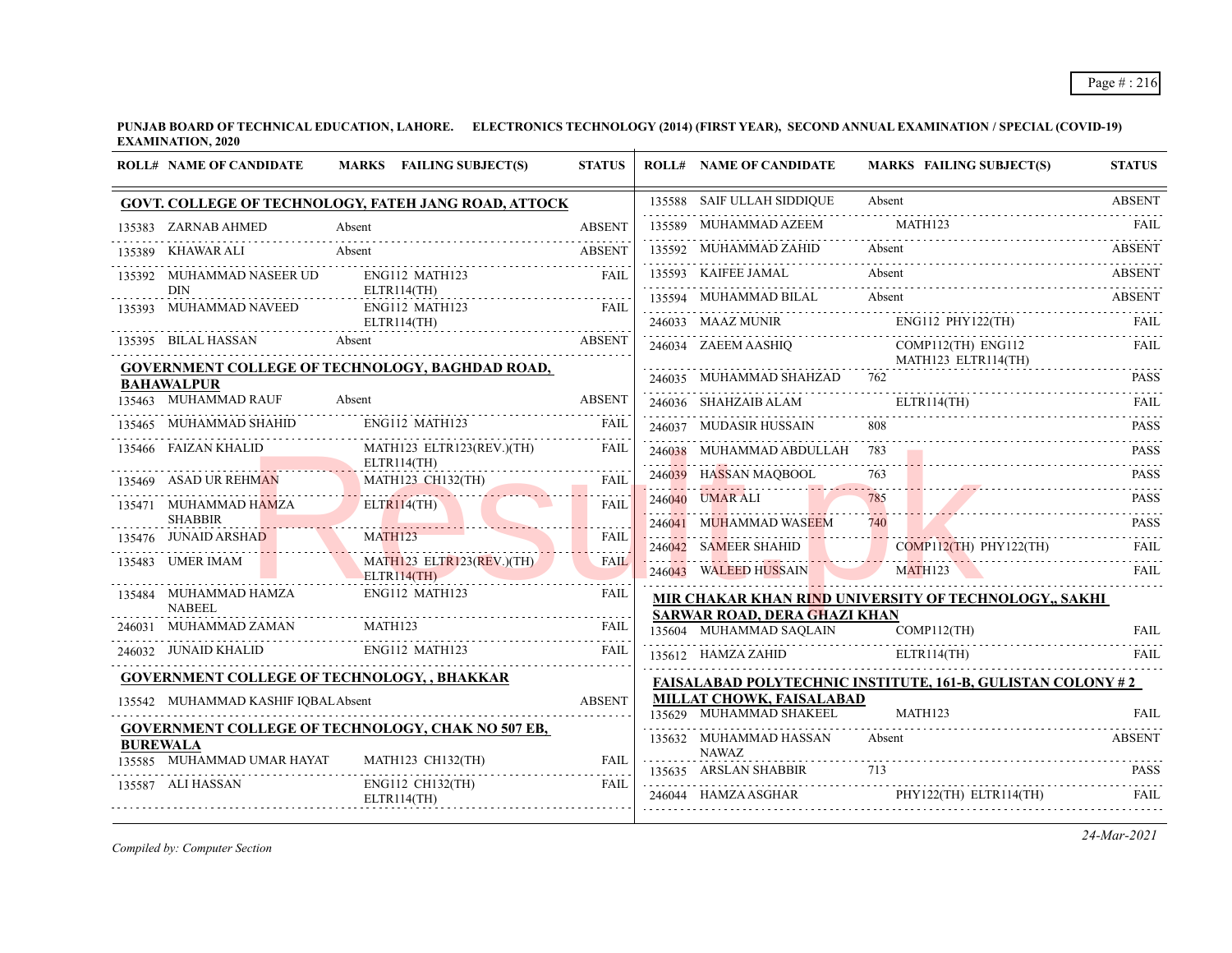|                 | <b>ROLL# NAME OF CANDIDATE</b>          | MARKS FAILING SUBJECT(S)                                 | <b>STATUS</b> | <b>ROLL# NAME OF CANDIDATE</b>                                      | <b>MARKS FAILING SUBJECT(S)</b>                                                                                                                                         | <b>STATUS</b>        |
|-----------------|-----------------------------------------|----------------------------------------------------------|---------------|---------------------------------------------------------------------|-------------------------------------------------------------------------------------------------------------------------------------------------------------------------|----------------------|
|                 |                                         | GOVT. COLLEGE OF TECHNOLOGY, FATEH JANG ROAD, ATTOCK     |               | 135588 SAIF ULLAH SIDDIQUE                                          | Absent                                                                                                                                                                  | <b>ABSENT</b>        |
|                 | 135383 ZARNAB AHMED                     | Absent                                                   | <b>ABSENT</b> | 135589 MUHAMMAD AZEEM                                               | MATH123                                                                                                                                                                 | FAIL                 |
|                 | <b>KHAWAR ALI</b>                       | Absent                                                   | <b>ABSENT</b> | 135592 MUHAMMAD ZAHID                                               | Absent                                                                                                                                                                  | <b>ABSENT</b>        |
|                 | 135392 MUHAMMAD NASEER UD<br><b>DIN</b> | ENG112 MATH123                                           | FAII.         | 135593 KAIFEE JAMAL                                                 | Absent                                                                                                                                                                  | <b>ABSENT</b>        |
|                 | 135393 MUHAMMAD NAVEED                  | ELTR114(TH)<br>ENG112 MATH123                            | <b>FAIL</b>   | 135594 MUHAMMAD BILAL                                               | Absent<br>135594 MUHAMMAD BILAL Absent ABSENT                                                                                                                           |                      |
|                 |                                         | ELTR114(TH)                                              |               |                                                                     | 246033 MAAZ MUNIR ENG112 PHY122(TH) FAIL                                                                                                                                |                      |
|                 | 135395 BILAL HASSAN                     | Absent                                                   | <b>ABSENT</b> |                                                                     | $\begin{tabular}{ll} 246034 & ZAEEM AASHIQ & COMPI12(TH) ENG112 & FAIL \\ \hline \multicolumn{2}{l}{MATH123 ELTR114(TH)} & \multicolumn{2}{l}{EM1123.12} \end{tabular}$ |                      |
|                 | <b>BAHAWALPUR</b>                       | GOVERNMENT COLLEGE OF TECHNOLOGY, BAGHDAD ROAD,          |               | 246035 MUHAMMAD SHAHZAD 762                                         | 246035 MUHAMMAD SHAHZAD 762 PASS                                                                                                                                        | <b>PASS</b>          |
|                 | 135463 MUHAMMAD RAUF                    | Absent                                                   | <b>ABSENT</b> |                                                                     | 246036 SHAHZAIB ALAM ELTRI14(TH) FAIL PRIMETERS AND RESERVE ELTRI14(TH) FAIL                                                                                            |                      |
|                 | 135465 MUHAMMAD SHAHID                  | ENG112 MATH123                                           | <b>FAIL</b>   | 246037 MUDASIR HUSSAIN                                              | 808                                                                                                                                                                     | <b>PASS</b>          |
|                 | 135466 FAIZAN KHALID                    | MATH123 ELTR123(REV.)(TH)<br>ELTR114(TH)                 | <b>FAIL</b>   | 246038 MUHAMMAD ABDULLAH 783                                        |                                                                                                                                                                         | <b>PASS</b>          |
|                 | 135469 ASAD UR REHMAN                   | MATH123 CH132(TH)                                        | FAII.         | 246039 HASSAN MAQBOOL                                               | 763                                                                                                                                                                     | <b>PASS</b>          |
|                 | 135471 MUHAMMAD HAMZA<br><b>SHABBIR</b> | ELTR114(TH)                                              | <b>FAIL</b>   |                                                                     | 246040 UMARALI 785 PASS PASS                                                                                                                                            |                      |
|                 | 135476 JUNAID ARSHAD                    | MATH123                                                  | <b>FAIL</b>   | 246041 MUHAMMAD WASEEM                                              | 740                                                                                                                                                                     | <b>PASS</b>          |
|                 |                                         | MATH123 ELTR123(REV.)(TH)                                | <b>FAIL</b>   |                                                                     | 246042 SAMEER SHAHID COMP112(TH) PHY122(TH)                                                                                                                             | FAIL                 |
|                 | 135483 UMER IMAM                        | ELTR114(TH)                                              |               |                                                                     | 246043 WALEED HUSSAIN MATH123 FAIL                                                                                                                                      |                      |
|                 | 135484 MUHAMMAD HAMZA<br><b>NABEEL</b>  | ENG112 MATH123                                           | <b>FAIL</b>   |                                                                     | MIR CHAKAR KHAN RIND UNIVERSITY OF TECHNOLOGY,, SAKHI                                                                                                                   |                      |
|                 | 246031 MUHAMMAD ZAMAN                   | MATH <sub>123</sub>                                      | <b>FAIL</b>   | SARWAR ROAD, DERA GHAZI KHAN<br>135604 MUHAMMAD SAQLAIN COMP112(TH) |                                                                                                                                                                         | FAII.                |
|                 | 246032 JUNAID KHALID ENG112 MATH123     |                                                          | <b>FAIL</b>   |                                                                     | 135612 HAMZA ZAHID ELTR114(TH)                                                                                                                                          | FAII.                |
|                 |                                         | <b>GOVERNMENT COLLEGE OF TECHNOLOGY, , BHAKKAR</b>       |               |                                                                     | <b>FAISALABAD POLYTECHNIC INSTITUTE, 161-B, GULISTAN COLONY #2</b>                                                                                                      |                      |
|                 | 135542 MUHAMMAD KASHIF IQBALAbsent      |                                                          | <b>ABSENT</b> | MILLAT CHOWK, FAISALABAD<br>135629 MUHAMMAD SHAKEEL                 | MATH123                                                                                                                                                                 | FAIL                 |
|                 |                                         | <b>GOVERNMENT COLLEGE OF TECHNOLOGY, CHAK NO 507 EB,</b> |               | 135632 MUHAMMAD HASSAN                                              | Absent                                                                                                                                                                  | <b>ABSENT</b>        |
| <b>BUREWALA</b> | 135585 MUHAMMAD UMAR HAYAT              | MATH123 CH132(TH)                                        | <b>FAIL</b>   | <b>NAWAZ</b>                                                        |                                                                                                                                                                         |                      |
|                 | 135587 ALI HASSAN                       | ENG112 CH132(TH)                                         | .<br>FAIL     | 135635 ARSLAN SHABBIR                                               | 246044 HAMZA ASGHAR PHY122(TH) ELTR114(TH)                                                                                                                              | <b>PASS</b><br>FAII. |
|                 |                                         | ELTR114(TH)                                              |               |                                                                     |                                                                                                                                                                         |                      |

*Compiled by: Computer Section*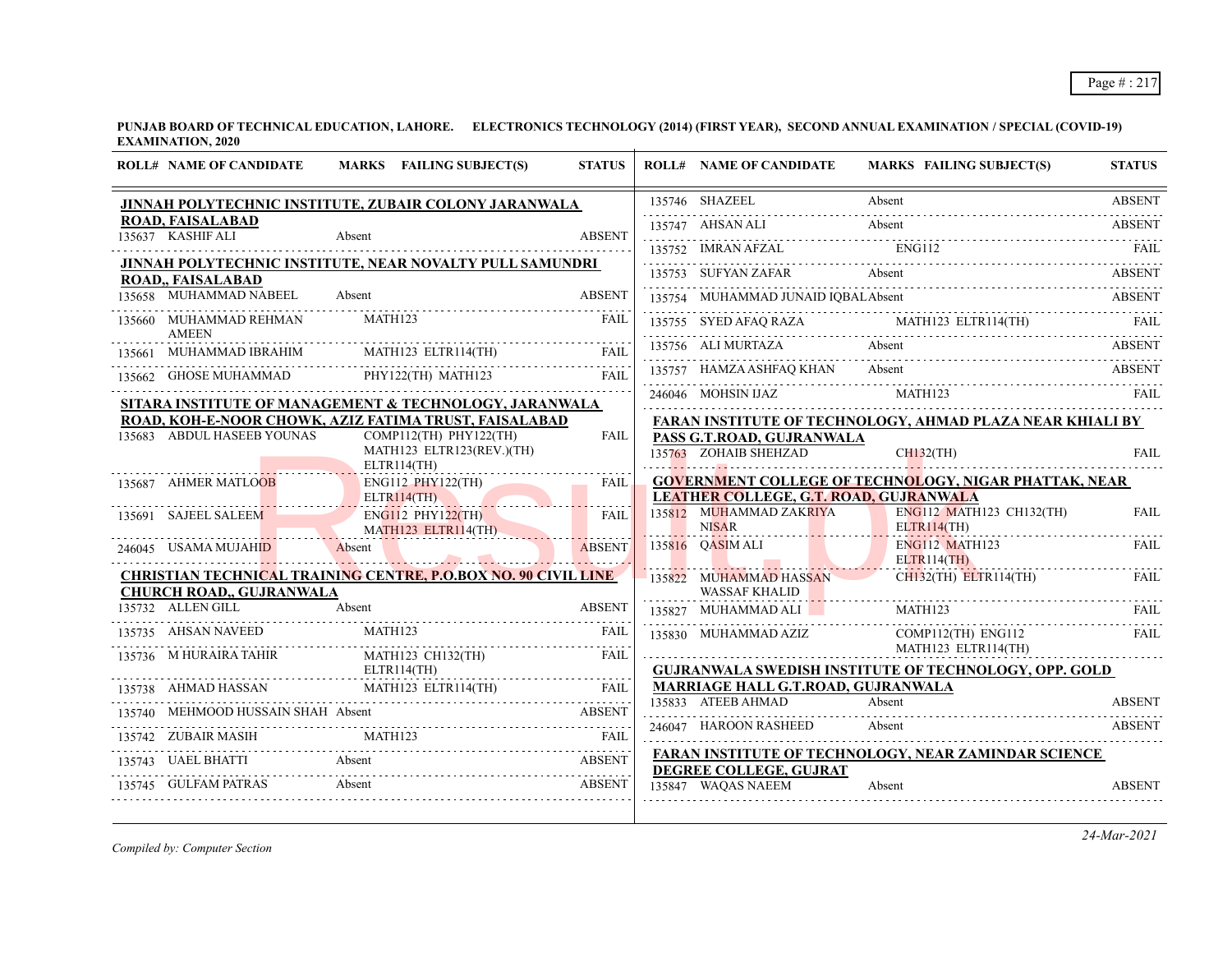**PUNJAB BOARD OF TECHNICAL EDUCATION, LAHORE. ELECTRONICS TECHNOLOGY (2014) (FIRST YEAR), SECOND ANNUAL EXAMINATION / SPECIAL (COVID-19) EXAMINATION, 2020**

|        | <b>ROLL# NAME OF CANDIDATE</b>                       | MARKS FAILING SUBJECT(S)                                              | <b>STATUS</b> | <b>ROLL# NAME OF CANDIDATE</b>                                           | <b>MARKS FAILING SUBJECT(S)</b>                                                                                                                                                                                                                                                | <b>STATUS</b> |
|--------|------------------------------------------------------|-----------------------------------------------------------------------|---------------|--------------------------------------------------------------------------|--------------------------------------------------------------------------------------------------------------------------------------------------------------------------------------------------------------------------------------------------------------------------------|---------------|
|        |                                                      | JINNAH POLYTECHNIC INSTITUTE, ZUBAIR COLONY JARANWALA                 |               | 135746 SHAZEEL                                                           | Absent                                                                                                                                                                                                                                                                         | <b>ABSENT</b> |
|        | <b>ROAD, FAISALABAD</b><br>135637 KASHIF ALI         | Absent                                                                | <b>ABSENT</b> | 135747 AHSAN ALI                                                         | Absent                                                                                                                                                                                                                                                                         | <b>ABSENT</b> |
|        |                                                      |                                                                       |               | 135752 IMRAN AFZAL                                                       | <b>ENG112</b>                                                                                                                                                                                                                                                                  |               |
|        | ROAD,, FAISALABAD                                    | JINNAH POLYTECHNIC INSTITUTE, NEAR NOVALTY PULL SAMUNDRI              |               |                                                                          | FAIL<br>135753 SUFYAN ZAFAR Absent                                                                                                                                                                                                                                             |               |
|        | 135658 MUHAMMAD NABEEL                               | Absent                                                                | <b>ABSENT</b> | 135754 MUHAMMAD JUNAID IQBALAbsent                                       |                                                                                                                                                                                                                                                                                |               |
|        | 135660 MUHAMMAD REHMAN<br><b>AMEEN</b>               | MATH123                                                               | FAIL          |                                                                          | $\begin{tabular}{c} \hline 135755 & SYED AFAQ RAZA & \multicolumn{3}{c}{MATH123} ELTR114(TH) & \multicolumn{3}{c}{FAIL} \\ \hline \end{tabular} \begin{tabular}{c} \hline \multicolumn{3}{c}{\textbf{FAL}} \\ \hline \multicolumn{3}{c}{\textbf{FAL}} \\ \hline \end{tabular}$ |               |
| 135661 | MUHAMMAD IBRAHIM                                     | MATH123 ELTR114(TH)                                                   | <b>FAIL</b>   | 135756 ALI MURTAZA                                                       | Absent                                                                                                                                                                                                                                                                         | <b>ABSENT</b> |
|        | 135662 GHOSE MUHAMMAD                                | PHY122(TH) MATH123                                                    | <b>FAIL</b>   | 135757 HAMZA ASHFAQ KHAN                                                 | Absent                                                                                                                                                                                                                                                                         | <b>ABSENT</b> |
|        |                                                      | SITARA INSTITUTE OF MANAGEMENT & TECHNOLOGY, JARANWALA                |               | 246046 MOHSIN IJAZ                                                       | MATH123                                                                                                                                                                                                                                                                        |               |
|        |                                                      | ROAD, KOH-E-NOOR CHOWK, AZIZ FATIMA TRUST, FAISALABAD                 |               |                                                                          | FARAN INSTITUTE OF TECHNOLOGY, AHMAD PLAZA NEAR KHIALI BY                                                                                                                                                                                                                      |               |
|        | 135683 ABDUL HASEEB YOUNAS                           | COMP112(TH) PHY122(TH)<br>MATH123 ELTR123(REV.)(TH)<br>$ELTR114$ (TH) | <b>FAIL</b>   | PASS G.T.ROAD, GUJRANWALA<br>135763 ZOHAIB SHEHZAD                       | CH132(TH)                                                                                                                                                                                                                                                                      | <b>FAIL</b>   |
|        | 135687 AHMER MATLOOB                                 | ENG112 PHY122(TH)                                                     | <b>FAIL</b>   |                                                                          | <b>GOVERNMENT COLLEGE OF TECHNOLOGY, NIGAR PHATTAK, NEAR</b>                                                                                                                                                                                                                   |               |
|        |                                                      | $ELTR114$ (TH)                                                        |               | <b>LEATHER COLLEGE, G.T. ROAD, GUJRANWALA</b><br>135812 MUHAMMAD ZAKRIYA | ENG112 MATH123 CH132(TH)                                                                                                                                                                                                                                                       | <b>FAIL</b>   |
|        | 135691 SAJEEL SALEEM                                 | <b>ENG112 PHY122(TH)</b><br>MATH123 ELTR114(TH)                       | FAIL          | <b>NISAR</b>                                                             | ELTR114(TH)                                                                                                                                                                                                                                                                    |               |
|        | 246045 USAMA MUJAHID                                 | Absent                                                                | <b>ABSENT</b> | 135816 OASIM ALI                                                         | <b>ENG112 MATH123</b><br>ELTR114(TH)                                                                                                                                                                                                                                           | <b>FAIL</b>   |
|        |                                                      | <u>CHRISTIAN TECHNICAL TRAINING CENTRE, P.O.BOX NO. 90 CIVIL LINE</u> |               | 135822 MUHAMMAD HASSAN                                                   | $CH132$ (TH) $ELTR114$ (TH)                                                                                                                                                                                                                                                    | FAIL          |
|        | <b>CHURCH ROAD,, GUJRANWALA</b><br>135732 ALLEN GILL | Absent                                                                | <b>ABSENT</b> | <b>WASSAF KHALID</b><br>135827 MUHAMMAD ALI                              | MATH123                                                                                                                                                                                                                                                                        | FAIL          |
|        | 135735 AHSAN NAVEED                                  | MATH123                                                               | <b>FAIL</b>   | 135830 MUHAMMAD AZIZ                                                     | COMP112(TH) ENG112<br>MATH123 ELTR114(TH)                                                                                                                                                                                                                                      | <b>FAIL</b>   |
|        | 135736 M HURAIRA TAHIR                               | MATH123 CH132(TH)<br>ELTR114(TH)                                      | <b>FAIL</b>   |                                                                          | <b>GUJRANWALA SWEDISH INSTITUTE OF TECHNOLOGY, OPP. GOLD</b>                                                                                                                                                                                                                   |               |
|        | 135738 AHMAD HASSAN                                  | MATH123 ELTR114(TH)                                                   | <b>FAIL</b>   | MARRIAGE HALL G.T.ROAD, GUJRANWALA                                       |                                                                                                                                                                                                                                                                                |               |
|        | 135740 MEHMOOD HUSSAIN SHAH Absent                   | OOD HUSSAIN SHAH Absent ABSENT                                        |               | 135833 ATEEB AHMAD                                                       | Absent                                                                                                                                                                                                                                                                         | <b>ABSENT</b> |
|        | 135742 ZUBAIR MASIH                                  | MATH123                                                               |               | 246047 HAROON RASHEED                                                    | Absent                                                                                                                                                                                                                                                                         | <b>ABSENT</b> |
|        |                                                      |                                                                       |               |                                                                          | <b>FARAN INSTITUTE OF TECHNOLOGY, NEAR ZAMINDAR SCIENCE</b>                                                                                                                                                                                                                    |               |
|        | 135745 GULFAM PATRAS                                 | UAEL BHATTI Absent ABSENT<br>Absent                                   | <b>ABSENT</b> | DEGREE COLLEGE, GUJRAT<br>135847 WAQAS NAEEM                             | Absent                                                                                                                                                                                                                                                                         | <b>ABSENT</b> |

*Compiled by: Computer Section*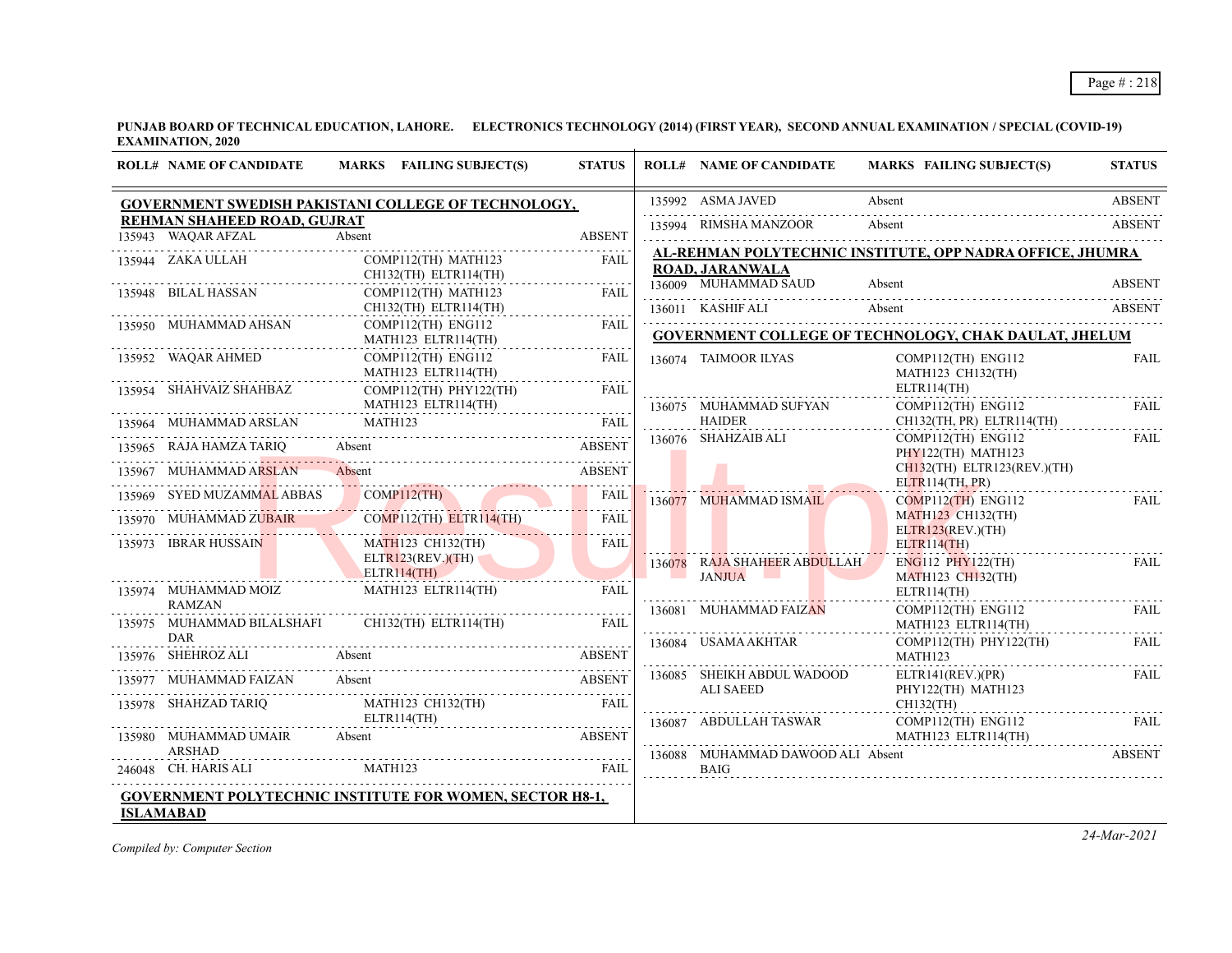**PUNJAB BOARD OF TECHNICAL EDUCATION, LAHORE. ELECTRONICS TECHNOLOGY (2014) (FIRST YEAR), SECOND ANNUAL EXAMINATION / SPECIAL (COVID-19) EXAMINATION, 2020**

|        | <b>ROLL# NAME OF CANDIDATE</b>                    | MARKS FAILING SUBJECT(S)                                                                                                                                    | <b>STATUS</b>    |        | <b>ROLL# NAME OF CANDIDATE</b>                   | <b>MARKS FAILING SUBJECT(S)</b>                              | <b>STATUS</b>           |
|--------|---------------------------------------------------|-------------------------------------------------------------------------------------------------------------------------------------------------------------|------------------|--------|--------------------------------------------------|--------------------------------------------------------------|-------------------------|
|        |                                                   | GOVERNMENT SWEDISH PAKISTANI COLLEGE OF TECHNOLOGY,                                                                                                         |                  |        | 135992 ASMA JAVED                                | Absent                                                       | <b>ABSENT</b>           |
|        | REHMAN SHAHEED ROAD, GUJRAT<br>135943 WAQAR AFZAL | Absent                                                                                                                                                      | <b>ABSENT</b>    |        | 135994 RIMSHA MANZOOR                            | Absent                                                       | ABSENT                  |
|        | 135944 ZAKA ULLAH                                 | COMP112(TH) MATH123<br>CH132(TH) ELTR114(TH)                                                                                                                | <b>FAIL</b>      |        | <b>ROAD, JARANWALA</b>                           | AL-REHMAN POLYTECHNIC INSTITUTE, OPP NADRA OFFICE, JHUMRA    |                         |
|        | 135948 BILAL HASSAN                               | COMP112(TH) MATH123<br>CH132(TH) ELTR114(TH)                                                                                                                | <b>FAIL</b>      |        | 136009 MUHAMMAD SAUD<br>136011 KASHIF ALI        | Absent<br>Absent                                             | <b>ABSENT</b><br>ABSENT |
|        | 135950 MUHAMMAD AHSAN                             | $COMP112(TH)$ ENG112<br>MATH123 ELTR114(TH)                                                                                                                 | FAIL             |        |                                                  | <b>GOVERNMENT COLLEGE OF TECHNOLOGY, CHAK DAULAT, JHELUM</b> |                         |
|        | 135952 WAQAR AHMED                                | $COMP112(TH)$ ENG112<br>MATH123 ELTR114(TH)                                                                                                                 | <b>FAIL</b><br>. |        | 136074 TAIMOOR ILYAS                             | COMP112(TH) ENG112<br>MATH123 CH132(TH)                      | <b>FAIL</b>             |
|        | 135954 SHAHVAIZ SHAHBAZ                           | $COMP112(TH)$ $PHY122(TH)$<br>MATH123 ELTR114(TH)                                                                                                           | <b>FAIL</b>      |        | 136075 MUHAMMAD SUFYAN                           | ELTR114(TH)<br>COMP112(TH) ENG112                            | FAIL                    |
|        | 135964 MUHAMMAD ARSLAN MATH123                    |                                                                                                                                                             | FAIL             |        | <b>HAIDER</b>                                    | CH132(TH, PR) ELTR114(TH)                                    |                         |
|        | 135965 RAJA HAMZA TARIO Absent                    |                                                                                                                                                             | ABSENT           |        | 136076 SHAHZAIB ALI                              | $COMP112(TH)$ $ENG112$<br>PHY122(TH) MATH123                 | FAIL                    |
|        | 135967 MUHAMMAD ARSLAN                            | Absent                                                                                                                                                      | ABSENT           |        |                                                  | $CH132$ (TH) ELTR123(REV.)(TH)<br>ELTR114(TH, PR)            |                         |
| 135969 | SYED MUZAMMAL ABBAS                               | COMP112(TH)<br>ED MUZAMMAL ABBAS COMPI12(TH) FAIL                                                                                                           |                  | 136077 | MUHAMMAD ISMAIL                                  | $COMP112$ (TH) ENG112                                        | <b>FAIL</b>             |
|        |                                                   | $COMP112(TH)$ $ELTR114(TH)$                                                                                                                                 | <b>FAIL</b>      |        |                                                  | <b>MATH123 CH132(TH)</b><br>ELTR123(REV.)(TH)                |                         |
|        | 135973 IBRAR HUSSAIN                              | MATH123 CH132(TH)<br>ELTR123(REV.)(TH)                                                                                                                      | FAIL.            |        | 136078 RAJA SHAHEER ABDULLAH                     | ELTR114(TH)<br>$ENG112$ $PHY122(TH)$                         | FAIL                    |
|        | 135974 MUHAMMAD MOIZ<br><b>RAMZAN</b>             | ELTR114(TH)<br><u> 1988 - Januar James Barnett, politik eta politik eta politik eta politik eta politik eta politik eta politik </u><br>MATH123 ELTR114(TH) | FAIL             |        | <b>JANJUA</b>                                    | <b>MATH123 CH132(TH)</b><br>ELTR114(TH)                      |                         |
|        | 135975 MUHAMMAD BILALSHAFI<br><b>DAR</b>          | $CH132$ (TH) ELTR114(TH)                                                                                                                                    | <b>FAIL</b>      |        | 136081 MUHAMMAD FAIZAN                           | $COMP112(TH)$ $ENG112$<br>MATH123 ELTR114(TH)                | FAIL                    |
|        | 135976 SHEHROZ ALI Absent                         |                                                                                                                                                             | ABSENT           |        | 136084 USAMA AKHTAR                              | COMP112(TH) PHY122(TH)<br>MATH123                            | FAIL                    |
| 135977 | MUHAMMAD FAIZAN Absent                            |                                                                                                                                                             | <b>ABSENT</b>    |        | 136085 SHEIKH ABDUL WADOOD<br>ALI SAEED          | ELTR141(REV.)(PR)<br>PHY122(TH) MATH123                      | FAIL                    |
|        | 135978 SHAHZAD TARIQ                              | MATH123 CH132(TH)<br>ELTR114(TH)                                                                                                                            | FAIL             |        |                                                  | CH132(TH)                                                    |                         |
|        | 135980 MUHAMMAD UMAIR Absent                      |                                                                                                                                                             | <b>ABSENT</b>    |        | 136087 ABDULLAH TASWAR                           | COMP112(TH) ENG112<br>MATH123 ELTR114(TH)                    | FAIL                    |
|        | ARSHAD<br>246048 CH. HARIS ALI                    | MATH123                                                                                                                                                     | FAIL             |        | 136088 MUHAMMAD DAWOOD ALI Absent<br><b>BAIG</b> |                                                              | <b>ABSENT</b>           |
|        | <b>ISLAMABAD</b>                                  | GOVERNMENT POLYTECHNIC INSTITUTE FOR WOMEN, SECTOR H8-1,                                                                                                    |                  |        |                                                  |                                                              |                         |

*Compiled by: Computer Section*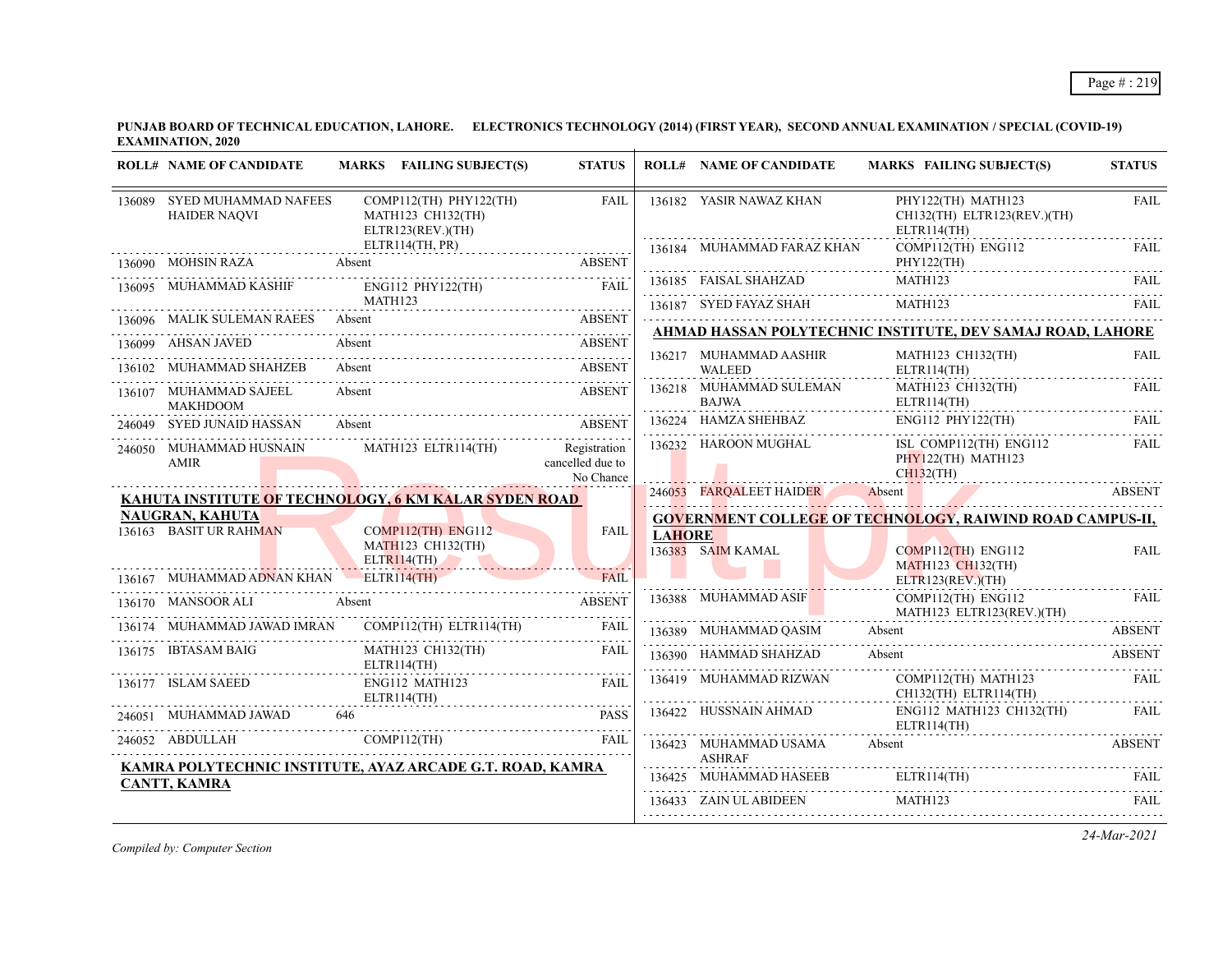**PUNJAB BOARD OF TECHNICAL EDUCATION, LAHORE. ELECTRONICS TECHNOLOGY (2014) (FIRST YEAR), SECOND ANNUAL EXAMINATION / SPECIAL (COVID-19) EXAMINATION, 2020**

|        | <b>ROLL# NAME OF CANDIDATE</b>                     | MARKS FAILING SUBJECT(S)                                             | <b>STATUS</b>                                 |               | <b>ROLL# NAME OF CANDIDATE</b>          | MARKS FAILING SUBJECT(S)                                                                            | <b>STATUS</b> |
|--------|----------------------------------------------------|----------------------------------------------------------------------|-----------------------------------------------|---------------|-----------------------------------------|-----------------------------------------------------------------------------------------------------|---------------|
|        | 136089 SYED MUHAMMAD NAFEES<br><b>HAIDER NAOVI</b> | $COMP112(TH)$ $PHY122(TH)$<br>MATH123 CH132(TH)<br>ELTR123(REV.)(TH) | <b>FAIL</b>                                   |               | 136182 YASIR NAWAZ KHAN                 | PHY122(TH) MATH123<br>CH132(TH) ELTR123(REV.)(TH)<br>ELTR114(TH)                                    | <b>FAIL</b>   |
|        | 136090 MOHSIN RAZA Absent                          | ELTR114(TH, PR)                                                      |                                               |               | 136184 MUHAMMAD FARAZ KHAN              | COMP112(TH) ENG112<br>PHY122(TH)                                                                    | FAIL          |
| 136095 | MUHAMMAD KASHIF                                    | ENG112 PHY122(TH) FAIL                                               |                                               |               | 136185 FAISAL SHAHZAD                   | MATH123                                                                                             | FAIL.         |
|        |                                                    | MATH123<br>136096 MALIK SULEMAN RAEES Absent ABSENT                  |                                               |               |                                         | $\fbox{136187} \quad \text{SVED FAYAZ SHAH} \qquad \qquad \text{MATH123} \qquad \qquad \text{FAIL}$ |               |
|        | 136099 AHSAN JAVED                                 | Absent                                                               | <b>ABSENT</b>                                 |               |                                         | AHMAD HASSAN POLYTECHNIC INSTITUTE, DEV SAMAJ ROAD, LAHORE                                          |               |
| 136102 | MUHAMMAD SHAHZEB                                   | Absent                                                               | <b>ABSENT</b>                                 |               | 136217 MUHAMMAD AASHIR<br>WALEED        | MATH123 CH132(TH)<br>$ELTR114$ (TH)                                                                 | <b>FAIL</b>   |
|        | 136107 MUHAMMAD SAJEEL<br><b>MAKHDOOM</b>          | Absent                                                               | <b>ABSENT</b>                                 |               | 136218 MUHAMMAD SULEMAN<br><b>BAJWA</b> | MATH123 CH132(TH)<br>ELTR114(TH)                                                                    | FAIL          |
|        | 246049 SYED JUNAID HASSAN                          | <b>ABSENT</b><br>Absent                                              |                                               |               | 136224 HAMZA SHEHBAZ                    | $ENG112$ $PHY122(TH)$                                                                               | FAIL.         |
|        | 246050 MUHAMMAD HUSNAIN<br>AMIR                    | MATH123 ELTR114(TH)                                                  | Registration<br>cancelled due to<br>No Chance |               | 136232 HAROON MUGHAL                    | ISL COMP112(TH) ENG112<br>PHY122(TH) MATH123<br>$CH132$ (TH)                                        | FAIL          |
|        |                                                    | KAHUTA INSTITUTE OF TECHNOLOGY, 6 KM KALAR SYDEN ROAD                |                                               |               | 246053 FARQALEET HAIDER Absent          |                                                                                                     | <b>ABSENT</b> |
|        | <b>NAUGRAN, KAHUTA</b>                             |                                                                      |                                               |               |                                         | <b>GOVERNMENT COLLEGE OF TECHNOLOGY, RAIWIND ROAD CAMPUS-II,</b>                                    |               |
|        | 136163 BASIT UR RAHMAN                             | $COMP112(TH)$ $ENG112$<br>MATH123 CH132(TH)<br>ELTR114(TH)           | FAIL                                          | <b>LAHORE</b> | 136383 SAIM KAMAL                       | $COMP112$ (TH) ENG112<br><b>MATH123 CH132(TH)</b>                                                   | <b>FAIL</b>   |
|        | 136167 MUHAMMAD ADNAN KHAN ELTRI14(TH)             |                                                                      | FAIL                                          |               |                                         | ELTR123(REV.)(TH)                                                                                   |               |
|        | 136170 MANSOOR ALI Absent                          | <b>ABSENT</b>                                                        |                                               |               | 136388 MUHAMMAD ASIF                    | COMP112(TH) ENG112<br>MATH123 ELTR123(REV.)(TH)                                                     | FAIL          |
|        | 136174 MUHAMMAD JAWAD IMRAN                        | COMP112(TH) ELTR114(TH)                                              | FAIL                                          |               | 136389 MUHAMMAD QASIM                   | Absent                                                                                              | <b>ABSENT</b> |
|        | 136175 IBTASAM BAIG                                | <b>MATH123 CH132(TH)</b><br>ELTR114(TH)                              | FAIL                                          |               | 136390 HAMMAD SHAHZAD                   | Absent                                                                                              | <b>ABSENT</b> |
|        | 136177 ISLAM SAEED                                 | ENG112 MATH123<br>ELTR114(TH)                                        | <b>FAIL</b>                                   |               | 136419 MUHAMMAD RIZWAN                  | COMP112(TH) MATH123<br>CH132(TH) ELTR114(TH)                                                        | <b>FAIL</b>   |
|        | 246051 MUHAMMAD JAWAD                              | 646                                                                  | <b>PASS</b>                                   |               | 136422 HUSSNAIN AHMAD                   | ENG112 MATH123 CH132(TH)<br>ELTR114(TH)                                                             | FAIL          |
|        | 246052 ABDULLAH                                    | COMP112(TH)                                                          | <b>FAIL</b>                                   |               | 136423 MUHAMMAD USAMA<br><b>ASHRAF</b>  | Absent                                                                                              | <b>ABSENT</b> |
|        | <b>CANTT, KAMRA</b>                                | KAMRA POLYTECHNIC INSTITUTE, AYAZ ARCADE G.T. ROAD, KAMRA            |                                               |               |                                         | 136425 MUHAMMAD HASEEB ELTR114(TH) FAIL                                                             |               |
|        |                                                    |                                                                      |                                               |               | 136433 ZAIN ULABIDEEN MATH123           |                                                                                                     | <b>FAIL</b>   |
|        |                                                    |                                                                      |                                               |               |                                         |                                                                                                     |               |

*Compiled by: Computer Section*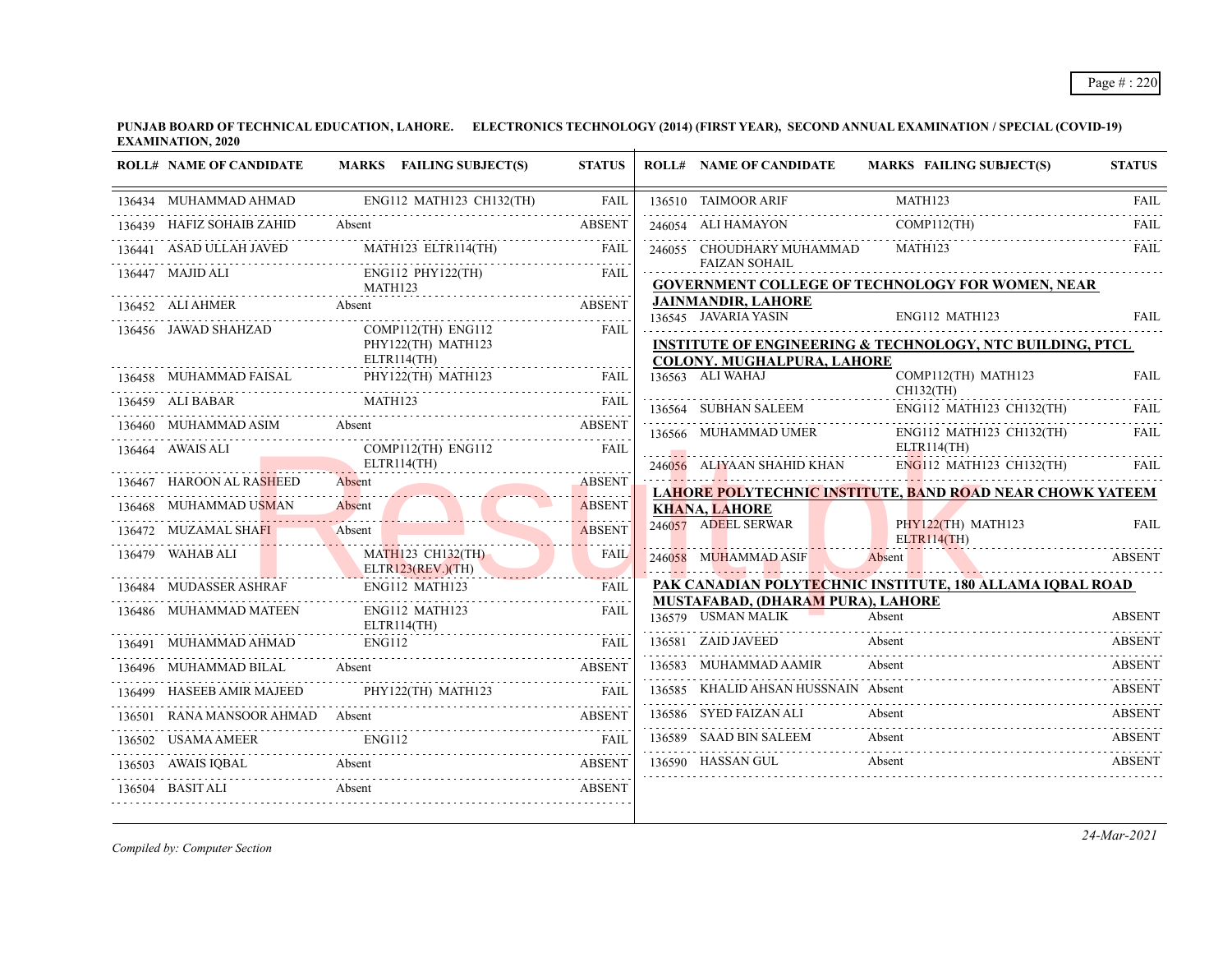**PUNJAB BOARD OF TECHNICAL EDUCATION, LAHORE. ELECTRONICS TECHNOLOGY (2014) (FIRST YEAR), SECOND ANNUAL EXAMINATION / SPECIAL (COVID-19) EXAMINATION, 2020**

|        | <b>ROLL# NAME OF CANDIDATE</b> | MARKS FAILING SUBJECT(S)                       | <b>STATUS</b> | <b>ROLL# NAME OF CANDIDATE</b>                                 | <b>MARKS FAILING SUBJECT(S)</b>                                                        | <b>STATUS</b> |
|--------|--------------------------------|------------------------------------------------|---------------|----------------------------------------------------------------|----------------------------------------------------------------------------------------|---------------|
|        | 136434 MUHAMMAD AHMAD          | ENG112 MATH123 CH132(TH)                       | FAIL          | 136510 TAIMOOR ARIF                                            | MATH123                                                                                | <b>FAIL</b>   |
|        | 136439 HAFIZ SOHAIB ZAHID      | Absent                                         | <b>ABSENT</b> | 246054 ALI HAMAYON                                             | COMP112(TH)                                                                            | FAIL.         |
|        | 136441 ASAD ULLAH JAVED        | MATH123 ELTR114(TH)                            | <b>FAIL</b>   | 246055 CHOUDHARY MUHAMMAD<br><b>FAIZAN SOHAIL</b>              | <b>MATH123</b>                                                                         | <b>FAIL</b>   |
|        | 136447 MAJID ALI               | $ENG112$ $PHY122(TH)$<br>MATH123               | FAIL          |                                                                | <b>GOVERNMENT COLLEGE OF TECHNOLOGY FOR WOMEN, NEAR</b>                                |               |
|        | 136452 ALI AHMER Absent        |                                                | <b>ABSENT</b> | <b>JAINMANDIR, LAHORE</b>                                      |                                                                                        |               |
|        | 136456 JAWAD SHAHZAD           | COMP112(TH) ENG112<br>PHY122(TH) MATH123       | FAIL          | 136545 JAVARIA YASIN                                           | ENG112 MATH123<br><b>INSTITUTE OF ENGINEERING &amp; TECHNOLOGY, NTC BUILDING, PTCL</b> | <b>FAIL</b>   |
|        |                                | ELTR114(TH)                                    | FAIL          | COLONY. MUGHALPURA, LAHORE<br>136563 ALI WAHAJ                 | COMP112(TH) MATH123                                                                    | <b>FAIL</b>   |
|        |                                | 136458 MUHAMMAD FAISAL PHY122(TH) MATH123 FAIL |               |                                                                | CH132(TH)                                                                              |               |
|        | 136459 ALI BABAR               | MATH123                                        | FAII          | 136564 SUBHAN SALEEM                                           | ENG112 MATH123 CH132(TH)                                                               | FAIL          |
|        | 136460 MUHAMMAD ASIM Absent    |                                                | <b>ABSENT</b> | 136566 MUHAMMAD UMER                                           | ENG112 MATH123 CH132(TH)                                                               | FAIL          |
|        | 136464 AWAIS ALI               | $COMP112(TH)$ $ENG112$<br>ELTR114(TH)          | <b>FAIL</b>   | 246056 ALIYAAN SHAHID KHAN                                     | ELTR114(TH)<br>ENG112 MATH123 CH132(TH)                                                | FAIL          |
|        | 136467 HAROON AL RASHEED       | Absent                                         | <b>ABSENT</b> |                                                                |                                                                                        |               |
|        | 136468 MUHAMMAD USMAN          | Absent                                         | <b>ABSENT</b> | <b>KHANA, LAHORE</b>                                           | <b>LAHORE POLYTECHNIC INSTITUTE, BAND ROAD NEAR CHOWK YATEEM</b>                       |               |
|        | 136472 MUZAMAL SHAFI           | Absent                                         | <b>ABSENT</b> | 246057 ADEEL SERWAR                                            | PHY122(TH) MATH123                                                                     | <b>FAIL</b>   |
|        | 136479 WAHAB ALI               | <b>MATH123 CH132(TH)</b><br>ELTR123(REV.)(TH)  | FAIL          | 246058 MUHAMMAD ASIF                                           | ELTR114(TH)<br>Absent                                                                  | ABSENT        |
|        | 136484 MUDASSER ASHRAF         | ENG112 MATH123                                 | FAIL          |                                                                | PAK CANADIAN POLYTECHNIC INSTITUTE, 180 ALLAMA IQBAL ROAD                              |               |
|        | 136486 MUHAMMAD MATEEN         | ENG112 MATH123<br>ELTR114(TH)                  | <b>FAIL</b>   | <b>MUSTAFABAD, (DHARAM PURA), LAHORE</b><br>136579 USMAN MALIK | Absent                                                                                 | <b>ABSENT</b> |
|        |                                | <b>ENG112</b>                                  | <b>FAIL</b>   | 136581 ZAID JAVEED                                             | Absent                                                                                 | <b>ABSENT</b> |
|        | 136496 MUHAMMAD BILAL Absent   | <b>ABSENT</b>                                  |               | 136583 MUHAMMAD AAMIR                                          | Absent                                                                                 | ABSENT        |
| 136499 | <b>HASEEB AMIR MAJEED</b>      | PHY122(TH) MATH123                             | <b>EAIL</b>   | 136585 KHALID AHSAN HUSSNAIN Absent                            |                                                                                        | <b>ABSENT</b> |
|        | RANA MANSOOR AHMAD Absent      |                                                | <b>ABSENT</b> | 136586 SYED FAIZAN ALI                                         | Absent                                                                                 | <b>ABSENT</b> |
| 136502 | USAMA AMEER                    | ENG112                                         | FAII.         | 136589 SAAD BIN SALEEM                                         | Absent                                                                                 | <b>ABSENT</b> |
|        | AWAIS IOBAL<br>Absent          |                                                | <b>ABSENT</b> | 136590 HASSAN GUL                                              | Absent                                                                                 | <b>ABSENT</b> |
|        | 136504 BASIT ALI               | Absent                                         | <b>ABSENT</b> |                                                                |                                                                                        |               |
|        |                                |                                                |               |                                                                |                                                                                        |               |

*Compiled by: Computer Section*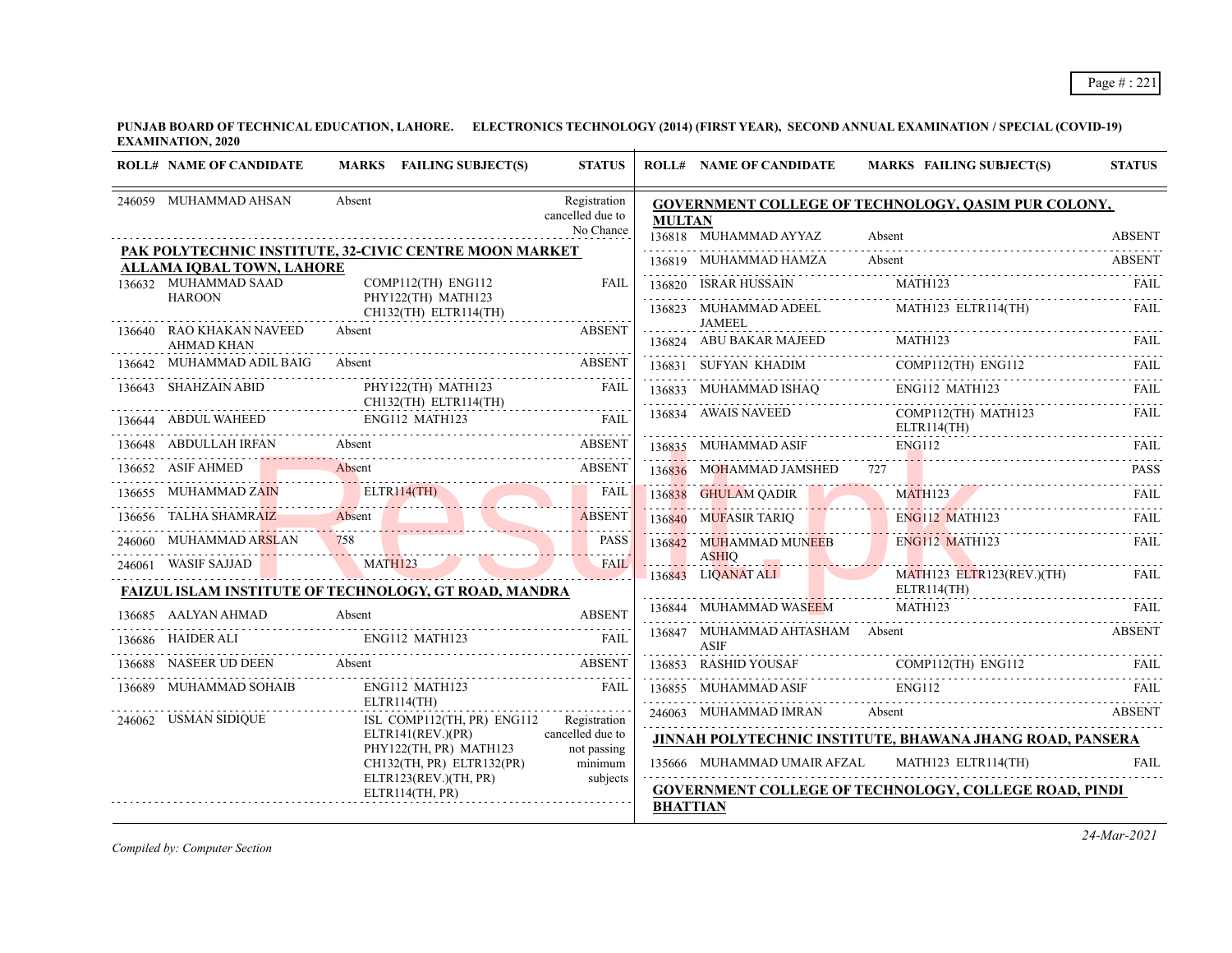**PUNJAB BOARD OF TECHNICAL EDUCATION, LAHORE. ELECTRONICS TECHNOLOGY (2014) (FIRST YEAR), SECOND ANNUAL EXAMINATION / SPECIAL (COVID-19) EXAMINATION, 2020**

| <b>ROLL# NAME OF CANDIDATE</b>                        | MARKS FAILING SUBJECT(S)                                     | <b>STATUS</b>                    |                 | <b>ROLL# NAME OF CANDIDATE</b>                 | MARKS FAILING SUBJECT(S)                                                                              | <b>STATUS</b> |
|-------------------------------------------------------|--------------------------------------------------------------|----------------------------------|-----------------|------------------------------------------------|-------------------------------------------------------------------------------------------------------|---------------|
| 246059 MUHAMMAD AHSAN                                 | Absent                                                       | Registration<br>cancelled due to |                 |                                                | <b>GOVERNMENT COLLEGE OF TECHNOLOGY, QASIM PUR COLONY,</b>                                            |               |
|                                                       |                                                              | No Chance                        | <b>MULTAN</b>   | 136818 MUHAMMAD AYYAZ                          | Absent                                                                                                | <b>ABSENT</b> |
|                                                       | PAK POLYTECHNIC INSTITUTE, 32-CIVIC CENTRE MOON MARKET       |                                  |                 | 136819 MUHAMMAD HAMZA                          | Absent                                                                                                | <b>ABSENT</b> |
| ALLAMA IOBAL TOWN, LAHORE<br>136632 MUHAMMAD SAAD     | $COMP112(TH)$ ENG112                                         | <b>FAIL</b>                      |                 | 136820 ISRAR HUSSAIN                           | MATH123                                                                                               | FAIL.         |
| <b>HAROON</b>                                         | PHY122(TH) MATH123<br>CH132(TH) ELTR114(TH)                  |                                  |                 |                                                | 136823 MUHAMMAD ADEEL MATH123 ELTR114(TH)                                                             | FAIL          |
| 136640 RAO KHAKAN NAVEED                              | Absent                                                       | <b>ABSENT</b>                    |                 | <b>JAMEEL</b>                                  |                                                                                                       |               |
| <b>AHMAD KHAN</b><br>136642 MUHAMMAD ADIL BAIG Absent |                                                              | <b>ABSENT</b>                    |                 | 136831 SUFYAN KHADIM                           | $136824 \quad \text{ABU BAKAR MAJEED} \qquad \text{MATH123} \qquad \text{FAIL}$<br>COMP112(TH) ENG112 | FAIL          |
| 136643 SHAHZAIN ABID                                  | PHY122(TH) MATH123                                           | <b>FAIL</b>                      |                 |                                                | ENG112 MATH123                                                                                        |               |
|                                                       | CH132(TH) ELTR114(TH)                                        |                                  |                 |                                                | $136833 \quad \text{MUHAMMAD ISHAQ} \quad \text{ENG112 MATH123}$                                      | FAIL.         |
|                                                       | 136644 ABDUL WAHEED ENG112 MATH123 FAIL                      |                                  |                 | 136834 AWAIS NAVEED                            | COMP112(TH) MATH123<br>ELTR114(TH)                                                                    | FAIL          |
| 136648 ABDULLAH IRFAN                                 | Absent                                                       | <b>ABSENT</b>                    |                 | 136835 MUHAMMAD ASIF                           | <b>ENG112</b>                                                                                         | FAIL          |
| 136652 ASIF AHMED                                     | Absent                                                       | <b>ABSENT</b>                    |                 | 136836 MOHAMMAD JAMSHED 727                    |                                                                                                       | <b>PASS</b>   |
| 136655 MUHAMMAD ZAIN                                  | ELTR114(TH)                                                  | <b>FAIL</b><br>.                 |                 | 136838 GHULAM QADIR                            | <b>MATH123</b>                                                                                        | FAIL.         |
| 136656 TALHA SHAMRAIZ                                 | Absent                                                       | <b>ABSENT</b><br><u>.</u>        |                 | 136840 MUFASIR TARIQ E                         | <b>ENG112 MATH123</b>                                                                                 | FAIL          |
| 246060 MUHAMMAD ARSLAN                                | 758                                                          | <b>PASS</b>                      |                 | 136842 MUHAMMAD MUNEEB ENG112 MATH123          |                                                                                                       | FAIL          |
| 246061 WASIF SAJJAD                                   | MATH123                                                      | FAIL                             |                 | <b>ASHIO</b><br>136843 LIQANAT ALI             | $MATH123$ $ELTR123(REV.)(TH)$                                                                         | <b>FAIL</b>   |
|                                                       | <b>FAIZUL ISLAM INSTITUTE OF TECHNOLOGY, GT ROAD, MANDRA</b> |                                  |                 |                                                | ELTR114(TH)                                                                                           |               |
| 136685 AALYAN AHMAD                                   | Absent                                                       | <b>ABSENT</b>                    |                 | 136844 MUHAMMAD WASEEM                         | MATH123                                                                                               | FAIL          |
| 136686 HAIDER ALI ENG112 MATH123                      |                                                              | FAIL                             |                 | 136847 MUHAMMAD AHTASHAM Absent<br><b>ASIF</b> |                                                                                                       | <b>ABSENT</b> |
| 136688 NASEER UD DEEN Absent                          | <b>ABSENT</b>                                                |                                  |                 |                                                |                                                                                                       |               |
| 136689 MUHAMMAD SOHAIB                                | ENG112 MATH123                                               | FAH                              |                 | 136855 MUHAMMAD ASIF                           | <b>ENG112</b>                                                                                         | FAIL.         |
| 246062 USMAN SIDIQUE                                  | ELTR114(TH)<br>ISL COMP112(TH, PR) ENG112                    | Registration                     |                 | 246063 MUHAMMAD IMRAN Absent                   | <b>EXAMPLE 2018 ABSENT</b>                                                                            |               |
|                                                       | ELTR141(REV.)(PR)                                            | cancelled due to                 |                 |                                                | JINNAH POLYTECHNIC INSTITUTE, BHAWANA JHANG ROAD, PANSERA                                             |               |
|                                                       | PHY122(TH, PR) MATH123<br>CH132(TH, PR) ELTR132(PR)          | not passing<br>minimum           |                 | 135666     MUHAMMAD UMAIR AFZAL                | MATH123 ELTR114(TH)                                                                                   | <b>FAIL</b>   |
|                                                       | ELTR123(REV.)(TH, PR)                                        | subjects                         |                 |                                                | GOVERNMENT COLLEGE OF TECHNOLOGY, COLLEGE ROAD, PINDI                                                 |               |
|                                                       | ELTR114(TH, PR)                                              |                                  | <b>BHATTIAN</b> |                                                |                                                                                                       |               |

*Compiled by: Computer Section*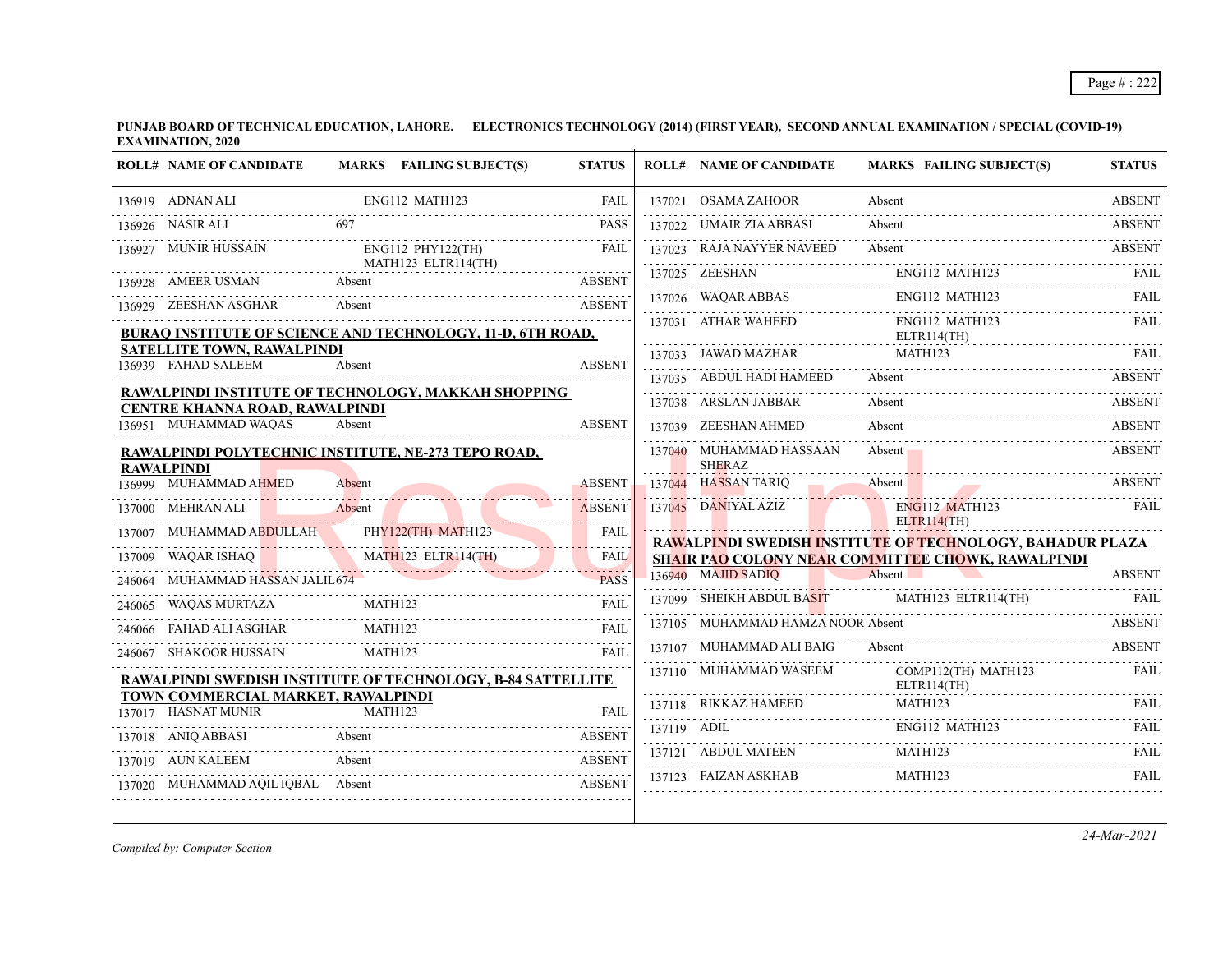**PUNJAB BOARD OF TECHNICAL EDUCATION, LAHORE. ELECTRONICS TECHNOLOGY (2014) (FIRST YEAR), SECOND ANNUAL EXAMINATION / SPECIAL (COVID-19) EXAMINATION, 2020**  $\overline{1}$ 

|        | <b>ROLL# NAME OF CANDIDATE</b>                                           |                | MARKS FAILING SUBJECT(S)                                           | <b>STATUS</b> |             | <b>ROLL# NAME OF CANDIDATE</b>           | <b>MARKS FAILING SUBJECT(S)</b>                                                 | <b>STATUS</b>      |
|--------|--------------------------------------------------------------------------|----------------|--------------------------------------------------------------------|---------------|-------------|------------------------------------------|---------------------------------------------------------------------------------|--------------------|
|        | 136919 ADNAN ALI                                                         |                | ENG112 MATH123                                                     | <b>FAIL</b>   |             | 137021 OSAMA ZAHOOR                      | Absent                                                                          | <b>ABSENT</b>      |
|        | 136926 NASIR ALI                                                         | 697            |                                                                    | <b>PASS</b>   | 137022      | UMAIR ZIA ABBASI                         | Absent                                                                          | .<br><b>ABSENT</b> |
|        | MUNIR HUSSAIN                                                            |                | $ENG112$ $PHY122(TH)$                                              | <b>FAIL</b>   |             | 137023 RAJA NAYYER NAVEED                | Absent                                                                          | <b>ABSENT</b>      |
|        | 136928 AMEER USMAN                                                       | Absent         | MATH123 ELTR114(TH)                                                | <b>ABSENT</b> |             | 137025 ZEESHAN                           | ENG112 MATH123                                                                  | FAIL               |
|        | 136929 ZEESHAN ASGHAR                                                    | Absent         |                                                                    | <b>ABSENT</b> |             | 137026 WAQAR ABBAS                       | <b>ENG112 MATH123</b>                                                           |                    |
|        |                                                                          |                | BURAQ INSTITUTE OF SCIENCE AND TECHNOLOGY, 11-D, 6TH ROAD,         |               |             | 137031 ATHAR WAHEED                      | ENG112 MATH123<br>ELTR114(TH)                                                   | FAIL               |
|        | <b>SATELLITE TOWN, RAWALPINDI</b><br>136939 FAHAD SALEEM                 | Absent         |                                                                    | <b>ABSENT</b> |             | 137033 JAWAD MAZHAR                      | MATH123                                                                         | FAIL               |
|        |                                                                          |                |                                                                    |               |             | 137035 ABDUL HADI HAMEED                 | Absent                                                                          | <b>ABSENT</b>      |
|        | CENTRE KHANNA ROAD, RAWALPINDI                                           |                | RAWALPINDI INSTITUTE OF TECHNOLOGY, MAKKAH SHOPPING                |               |             | 137038 ARSLAN JABBAR                     | Absent                                                                          | <b>ABSENT</b>      |
|        | 136951 MUHAMMAD WAQAS                                                    | Absent         |                                                                    | <b>ABSENT</b> |             | 137039 ZEESHAN AHMED                     | Absent                                                                          | <b>ABSENT</b>      |
|        | RAWALPINDI POLYTECHNIC INSTITUTE, NE-273 TEPO ROAD,<br><b>RAWALPINDI</b> |                |                                                                    |               |             | 137040 MUHAMMAD HASSAAN<br><b>SHERAZ</b> | Absent                                                                          | <b>ABSENT</b>      |
|        | 136999 MUHAMMAD AHMED                                                    | Absent         |                                                                    | <b>ABSENT</b> |             | 137044 HASSAN TARIQ                      | Absent                                                                          | <b>ABSENT</b>      |
|        | 137000 MEHRAN ALI                                                        | Absent         |                                                                    | <b>ABSENT</b> |             | 137045 DANIYAL AZIZ                      | ENG112 MATH123                                                                  | <b>FAIL</b>        |
|        | MUHAMMAD ABDULLAH                                                        |                | PHY122(TH) MATH123                                                 | <b>FAIL</b>   |             |                                          | <b>ELTR114(TH)</b><br>RAWALPINDI SWEDISH INSTITUTE OF TECHNOLOGY, BAHADUR PLAZA |                    |
| 137009 | WAQAR ISHAQ                                                              |                | MATH123 ELTR114(TH)                                                | FAIL          |             |                                          | <b>SHAIR PAO COLONY NEAR COMMITTEE CHOWK, RAWALPINDI</b>                        |                    |
|        | MUHAMMAD HASSAN JALIL674                                                 |                |                                                                    | <b>PASS</b>   |             | 136940 MAJID SADIO                       | Absent                                                                          | <b>ABSENT</b>      |
|        | 246065 WAQAS MURTAZA                                                     | MATH123        |                                                                    | <b>FAIL</b>   |             | 137099 SHEIKH ABDUL BASIT                | MATH123 ELTR114(TH)                                                             |                    |
|        | FAHAD ALI ASGHAR                                                         | <b>MATH123</b> |                                                                    | FAII.         |             | 137105 MUHAMMAD HAMZA NOOR Absent        |                                                                                 | <b>ABSENT</b>      |
| 246067 | SHAKOOR HUSSAIN                                                          | MATH123        |                                                                    | <b>FAIL</b>   |             | 137107 MUHAMMAD ALI BAIG                 | Absent                                                                          | <b>ABSENT</b>      |
|        |                                                                          |                | <b>RAWALPINDI SWEDISH INSTITUTE OF TECHNOLOGY, B-84 SATTELLITE</b> |               |             | 137110 MUHAMMAD WASEEM                   | COMP112(TH) MATH123<br>ELTR114(TH)                                              | FAIL               |
|        | TOWN COMMERCIAL MARKET, RAWALPINDI<br>137017 HASNAT MUNIR                | MATH123        |                                                                    | FAIL          |             | 137118 RIKKAZ HAMEED                     | MATH123                                                                         | FAIL.              |
|        | 137018 ANIO ABBASI                                                       | Absent         |                                                                    | <b>ABSENT</b> | 137119 ADIL |                                          | ENG112 MATH123                                                                  | <b>FAIL</b>        |
|        | 137019 AUN KALEEM                                                        | Absent         |                                                                    | <b>ABSENT</b> |             | 137121 ABDUL MATEEN                      | MATH123                                                                         | <b>FAIL</b>        |
|        | 137020 MUHAMMAD AQIL IQBAL Absent                                        |                |                                                                    | <b>ABSENT</b> |             | 137123 FAIZAN ASKHAB                     | <b>MATH123</b>                                                                  | FAIL               |
|        |                                                                          |                |                                                                    |               |             |                                          |                                                                                 |                    |

*Compiled by: Computer Section*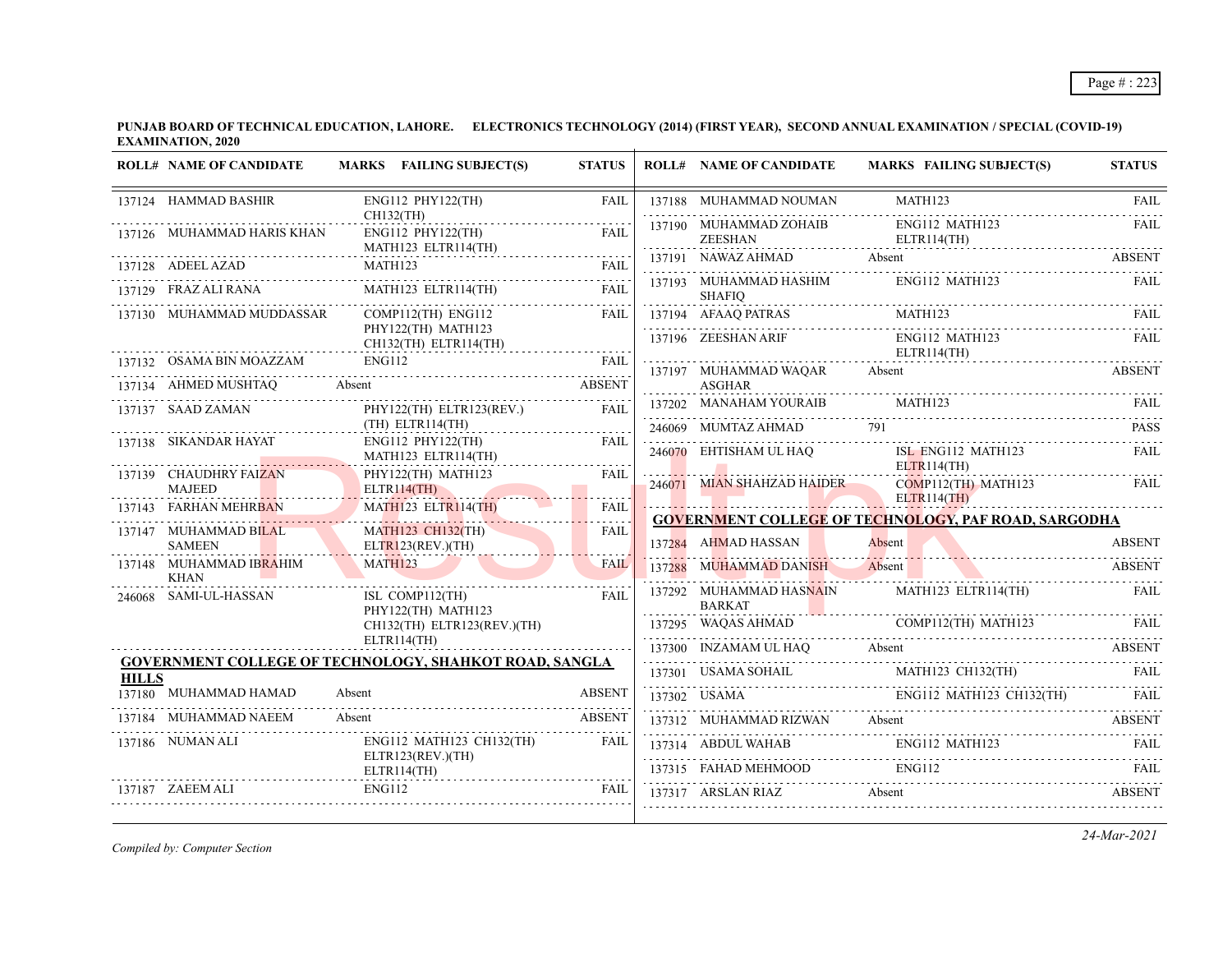**PUNJAB BOARD OF TECHNICAL EDUCATION, LAHORE. ELECTRONICS TECHNOLOGY (2014) (FIRST YEAR), SECOND ANNUAL EXAMINATION / SPECIAL (COVID-19) EXAMINATION, 2020**  $\overline{1}$ 

|              | <b>ROLL# NAME OF CANDIDATE</b>                        | MARKS FAILING SUBJECT(S)                                             | <b>STATUS</b>    | <b>ROLL# NAME OF CANDIDATE</b>           | MARKS FAILING SUBJECT(S)                                                                                                                                                                                                                                                                                                                                                                                                                                      | <b>STATUS</b> |
|--------------|-------------------------------------------------------|----------------------------------------------------------------------|------------------|------------------------------------------|---------------------------------------------------------------------------------------------------------------------------------------------------------------------------------------------------------------------------------------------------------------------------------------------------------------------------------------------------------------------------------------------------------------------------------------------------------------|---------------|
|              | 137124 HAMMAD BASHIR                                  | ENG112 PHY122(TH)<br>CH132(TH)                                       | <b>FAIL</b>      | 137188 MUHAMMAD NOUMAN                   | MATH123                                                                                                                                                                                                                                                                                                                                                                                                                                                       | FAIL          |
|              | 137126 MUHAMMAD HARIS KHAN                            | ENG112 PHY122(TH)                                                    | FAIL             | 137190 MUHAMMAD ZOHAIB<br><b>ZEESHAN</b> | ENG112 MATH123<br>ELTR114(TH)                                                                                                                                                                                                                                                                                                                                                                                                                                 | FAIL          |
|              |                                                       | MATH123 ELTR114(TH)                                                  | <b>FAIL</b>      | 137191 NAWAZ AHMAD Absent                |                                                                                                                                                                                                                                                                                                                                                                                                                                                               | <b>ABSENT</b> |
|              | 137129 FRAZ ALI RANA                                  | MATH123 ELTR114(TH)                                                  | .<br><b>FAIL</b> | 137193 MUHAMMAD HASHIM                   | ENG112 MATH123                                                                                                                                                                                                                                                                                                                                                                                                                                                | <b>FAIL</b>   |
|              |                                                       |                                                                      |                  | <b>SHAFIO</b>                            | TRAS MATH123 FAIL                                                                                                                                                                                                                                                                                                                                                                                                                                             |               |
|              | 137130 MUHAMMAD MUDDASSAR                             | $COMP112$ (TH) $ENG112$<br>PHY122(TH) MATH123                        | <b>FAIL</b>      | 137194 AFAAQ PATRAS                      | 137194 AFAAQ PATRAS MATH123 FAIL                                                                                                                                                                                                                                                                                                                                                                                                                              |               |
|              |                                                       | .<br>CH132(TH) ELTR114(TH)                                           |                  | 137196 ZEESHAN ARIF                      | ENG112 MATH123<br>ELTR114(TH)                                                                                                                                                                                                                                                                                                                                                                                                                                 | FAIL.         |
|              | 137132 OSAMA BIN MOAZZAM                              | ENG112<br>10AZZAM ENG112 FAIL                                        | <b>FAIL</b>      | 137197 MUHAMMAD WAQAR                    | Absent                                                                                                                                                                                                                                                                                                                                                                                                                                                        | <b>ABSENT</b> |
|              | 137134 AHMED MUSHTAQ                                  | Absent<br><b>ABSENT</b>                                              |                  | ASGHAR                                   |                                                                                                                                                                                                                                                                                                                                                                                                                                                               |               |
|              | 137137 SAAD ZAMAN                                     | PHY122(TH) ELTR123(REV.)                                             | <b>FAIL</b>      | 137202 MANAHAM YOURAIB                   | MATH123                                                                                                                                                                                                                                                                                                                                                                                                                                                       | FAII.         |
|              | 137138 SIKANDAR HAYAT                                 | (TH) ELTR114(TH)<br>ENG112 PHY122(TH)                                | FAIL             | 246069 MUMTAZ AHMAD 791                  |                                                                                                                                                                                                                                                                                                                                                                                                                                                               | <b>PASS</b>   |
|              |                                                       | MATH123 ELTR114(TH)                                                  |                  | 246070 EHTISHAM UL HAQ                   | ISL ENG112 MATH123                                                                                                                                                                                                                                                                                                                                                                                                                                            | <b>FAIL</b>   |
|              | 137139 CHAUDHRY FAIZAN                                | PHY122(TH) MATH123                                                   | FAIL             |                                          | ELTR114(TH)<br>246071 MIAN SHAHZAD HAIDER COMP112(TH) MATH123                                                                                                                                                                                                                                                                                                                                                                                                 | <b>FAIL</b>   |
|              | MAJEED<br>137143 FARHAN MEHRBAN                       | ELTR114(TH)<br>MATH123 ELTR114(TH)                                   | <b>FAIL</b>      |                                          | <b>ELTR114(TH)</b>                                                                                                                                                                                                                                                                                                                                                                                                                                            |               |
|              |                                                       |                                                                      | .                |                                          | <b>GOVERNMENT COLLEGE OF TECHNOLOGY, PAF ROAD, SARGODHA</b>                                                                                                                                                                                                                                                                                                                                                                                                   |               |
|              | 137147 MUHAMMAD BILAL<br><b>SAMEEN</b>                | <b>MATH123 CH132(TH)</b><br>ELTR123(REV.)(TH)                        | FAIL             | 137284 AHMAD HASSAN                      | Absent                                                                                                                                                                                                                                                                                                                                                                                                                                                        | <b>ABSENT</b> |
|              | 137148 MUHAMMAD IB <mark>RA</mark> HIM<br><b>KHAN</b> | MATH123                                                              | <b>FAIL</b>      | 137288 MUHAMMAD DANISH Absent            |                                                                                                                                                                                                                                                                                                                                                                                                                                                               | <b>ABSENT</b> |
| 246068       | SAMI-UL-HASSAN                                        | ISL COMP112(TH)<br>PHY122(TH) MATH123                                | <b>FAIL</b>      | 137292 MUHAMMAD HASNAIN<br><b>BARKAT</b> | MATH123 ELTR114(TH)                                                                                                                                                                                                                                                                                                                                                                                                                                           | FAIL          |
|              |                                                       | CH132(TH) ELTR123(REV.)(TH)                                          |                  |                                          |                                                                                                                                                                                                                                                                                                                                                                                                                                                               |               |
|              |                                                       | ELTR114(TH)                                                          |                  |                                          | 137300 INZAMAM UL HAQ Absent ABSENT                                                                                                                                                                                                                                                                                                                                                                                                                           |               |
| <b>HILLS</b> |                                                       | <b>GOVERNMENT COLLEGE OF TECHNOLOGY, SHAHKOT ROAD, SANGLA</b>        |                  |                                          |                                                                                                                                                                                                                                                                                                                                                                                                                                                               |               |
|              | 137180 MUHAMMAD HAMAD<br>.                            | Absent                                                               | <b>ABSENT</b>    |                                          | $\begin{tabular}{c c c c} \hline 137301 & USAMA SOHALI & MATH123 CH132(TH) & FAIL \\ \hline \end{tabular} \begin{tabular}{c c c} \hline \multicolumn{3}{c c c} \multicolumn{3}{c c} \multicolumn{3}{c} \multicolumn{3}{c} \multicolumn{3}{c} \multicolumn{3}{c} \multicolumn{3}{c} \multicolumn{3}{c} \multicolumn{3}{c} \multicolumn{3}{c} \multicolumn{3}{c} \multicolumn{3}{c} \multicolumn{3}{c} \multicolumn{3}{c} \multicolumn{3}{c} \multicolumn{3}{c$ |               |
|              | 137184 MUHAMMAD NAEEM                                 | Absent                                                               |                  |                                          |                                                                                                                                                                                                                                                                                                                                                                                                                                                               |               |
|              | 137186 NUMAN ALI                                      | ENG112 MATH123 CH132(TH)                                             | FAIL             |                                          | 137312 MUHAMMAD RIZWAN Absent ABSENT 137314 ABDUL WAHAB ENG112 MATH123 FAIL 137315 FAHAD MEHMOOD ENG112 TAIL                                                                                                                                                                                                                                                                                                                                                  |               |
|              |                                                       | ELTR123(REV.)(TH)<br>***/<br>------------------------<br>ELTR114(TH) |                  |                                          |                                                                                                                                                                                                                                                                                                                                                                                                                                                               |               |
|              | 137187 ZAEEM ALI                                      | ENG112                                                               | FAIL             | 137317 ARSLAN RIAZ Absent                |                                                                                                                                                                                                                                                                                                                                                                                                                                                               | ABSENT        |
|              |                                                       |                                                                      |                  |                                          |                                                                                                                                                                                                                                                                                                                                                                                                                                                               |               |

*Compiled by: Computer Section*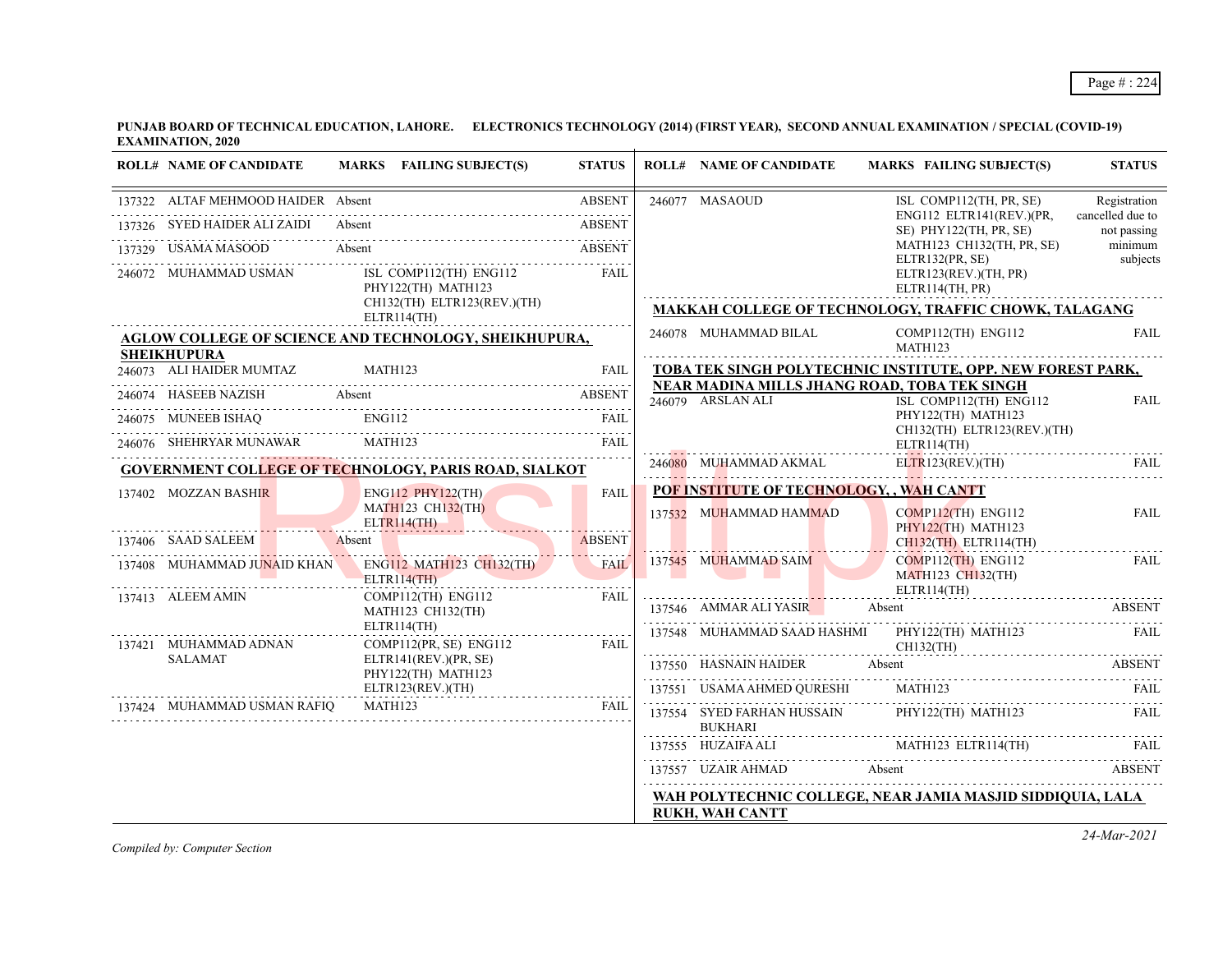**PUNJAB BOARD OF TECHNICAL EDUCATION, LAHORE. ELECTRONICS TECHNOLOGY (2014) (FIRST YEAR), SECOND ANNUAL EXAMINATION / SPECIAL (COVID-19) EXAMINATION, 2020**

| <b>ROLL# NAME OF CANDIDATE</b>      | MARKS FAILING SUBJECT(S)                                                      | <b>STATUS</b> | <b>ROLL# NAME OF CANDIDATE</b>                                           | <b>MARKS FAILING SUBJECT(S)</b>                                                                                                   | <b>STATUS</b>                   |
|-------------------------------------|-------------------------------------------------------------------------------|---------------|--------------------------------------------------------------------------|-----------------------------------------------------------------------------------------------------------------------------------|---------------------------------|
| 137322 ALTAF MEHMOOD HAIDER Absent  |                                                                               | <b>ABSENT</b> | 246077 MASAOUD                                                           | ISL COMP112(TH, PR, SE)                                                                                                           | Registration                    |
| 137326 SYED HAIDER ALI ZAIDI Absent |                                                                               | <b>ABSENT</b> |                                                                          | ENG112 ELTR141(REV.)(PR,<br>SE) PHY122(TH, PR, SE)                                                                                | cancelled due to<br>not passing |
|                                     | 137329 USAMA MASOOD Absent ABSENT                                             |               |                                                                          | MATH123 CH132(TH, PR, SE)                                                                                                         | minimum                         |
| 246072 MUHAMMAD USMAN               | ISL COMP112(TH) ENG112<br>PHY122(TH) MATH123                                  | FAIL          |                                                                          | ELTR132(PR, SE)<br>ELTR123(REV.)(TH, PR)<br>ELTR114(TH, PR)                                                                       | subjects                        |
|                                     | $CH132$ (TH) ELTR123(REV.)(TH)<br>ELTR114(TH)                                 |               |                                                                          | <b>MAKKAH COLLEGE OF TECHNOLOGY, TRAFFIC CHOWK, TALAGANG</b>                                                                      |                                 |
|                                     | AGLOW COLLEGE OF SCIENCE AND TECHNOLOGY, SHEIKHUPURA,                         |               | 246078 MUHAMMAD BILAL                                                    | $COMP112(TH)$ $ENG112$<br>MATH123                                                                                                 | <b>FAIL</b>                     |
| <b>SHEIKHUPURA</b>                  |                                                                               |               |                                                                          |                                                                                                                                   |                                 |
| 246073 ALI HAIDER MUMTAZ            | MATH123                                                                       | FAIL          | <b>NEAR MADINA MILLS JHANG ROAD, TOBA TEK SINGH</b>                      | TOBA TEK SINGH POLYTECHNIC INSTITUTE, OPP. NEW FOREST PARK,                                                                       |                                 |
|                                     | 246074 HASEEB NAZISH Absent ABSENT                                            |               | 246079 ARSLAN ALI                                                        | ISL COMP112(TH) ENG112                                                                                                            | FAIL                            |
|                                     | 246075 MUNEEB ISHAQ ENG112 FAIL FAIL                                          |               |                                                                          | PHY122(TH) MATH123                                                                                                                |                                 |
| 246076 SHEHRYAR MUNAWAR MATH123     |                                                                               | <b>FAIL</b>   |                                                                          | CH132(TH) ELTR123(REV.)(TH)<br>ELTR114(TH)                                                                                        |                                 |
|                                     | <b>GOVERNMENT COLLEGE OF TECHNOLOGY, PARIS ROAD, SIALKOT</b>                  |               | 246080 MUHAMMAD AKMAL                                                    | ELTR123(REV.)(TH)                                                                                                                 | <b>FAIL</b>                     |
| 137402 MOZZAN BASHIR                | <b>ENG112 PHY122(TH)</b>                                                      | <b>FAIL</b>   | POF INSTITUTE OF TECHNOLOGY, , WAH CANTT                                 |                                                                                                                                   |                                 |
|                                     | <b>MATH123 CH132(TH)</b><br>ELTRI14(TH)                                       |               | 137532 MUHAMMAD HAMMAD                                                   | $COMP112$ (TH) ENG112<br>PHY122(TH) MATH123                                                                                       | <b>FAIL</b>                     |
| 137406 SAAD SALEEM                  | Absent                                                                        | ABSENT        |                                                                          | CH132(TH) ELTR114(TH)                                                                                                             | .                               |
|                                     | 137408 MUHAMMAD JUNAID KHAN ENG112 MATH123 CH132(TH)<br>ELTR114(TH)           | FAIL.         | 137545 MUHAMMAD SAIM<br>and the control of the control of the control of | $COMP112$ (TH) ENG112<br><b>MATH123 CH132(TH)</b>                                                                                 | FAIL                            |
| 137413 ALEEM AMIN                   | $COMP112(TH)$ $ENG112$                                                        | FAIL          |                                                                          | ELTR114(TH)                                                                                                                       |                                 |
|                                     | MATH123 CH132(TH)<br>ELTR114(TH)                                              |               |                                                                          | 137546 AMMAR ALI YASIR Absent ABSENT                                                                                              |                                 |
| 137421 MUHAMMAD ADNAN               | COMP112(PR, SE) ENG112                                                        | <b>FAIL</b>   |                                                                          | 137548 MUHAMMAD SAAD HASHMI PHY122(TH) MATH123<br>CH132(TH)                                                                       | <b>EAIL</b>                     |
| <b>SALAMAT</b>                      | ELTR141(REV.)(PR, SE)                                                         |               |                                                                          | 137550 HASNAIN HAIDER Absent ABSENT                                                                                               |                                 |
|                                     | PHY122(TH) MATH123<br>123<br>---------------------------<br>ELTR123(REV.)(TH) |               |                                                                          | $\begin{tabular}{lllllllll} \bf 137551 & \textbf{USAMA AHMED QURESHI} & \textbf{MATH123} & \textbf{FAIL} \\ \hline \end{tabular}$ |                                 |
| 137424 MUHAMMAD USMAN RAFIO         | MATH123                                                                       | FAIL          | BUKHARI                                                                  | 137554 SYED FARHAN HUSSAIN PHY122(TH) MATH123                                                                                     | FAIL                            |
|                                     |                                                                               |               |                                                                          | $\begin{tabular}{lllllllll} \bf 137555 & HUZAIFA ALL & MATH123 & ELTR114(TH) & FAIL \\ \hline \end{tabular}$                      |                                 |
|                                     |                                                                               |               |                                                                          | 137557 UZAIR AHMAD Absent ABSENT                                                                                                  |                                 |
|                                     |                                                                               |               | <b>RUKH, WAH CANTT</b>                                                   | WAH POLYTECHNIC COLLEGE, NEAR JAMIA MASJID SIDDIQUIA, LALA                                                                        |                                 |

*Compiled by: Computer Section*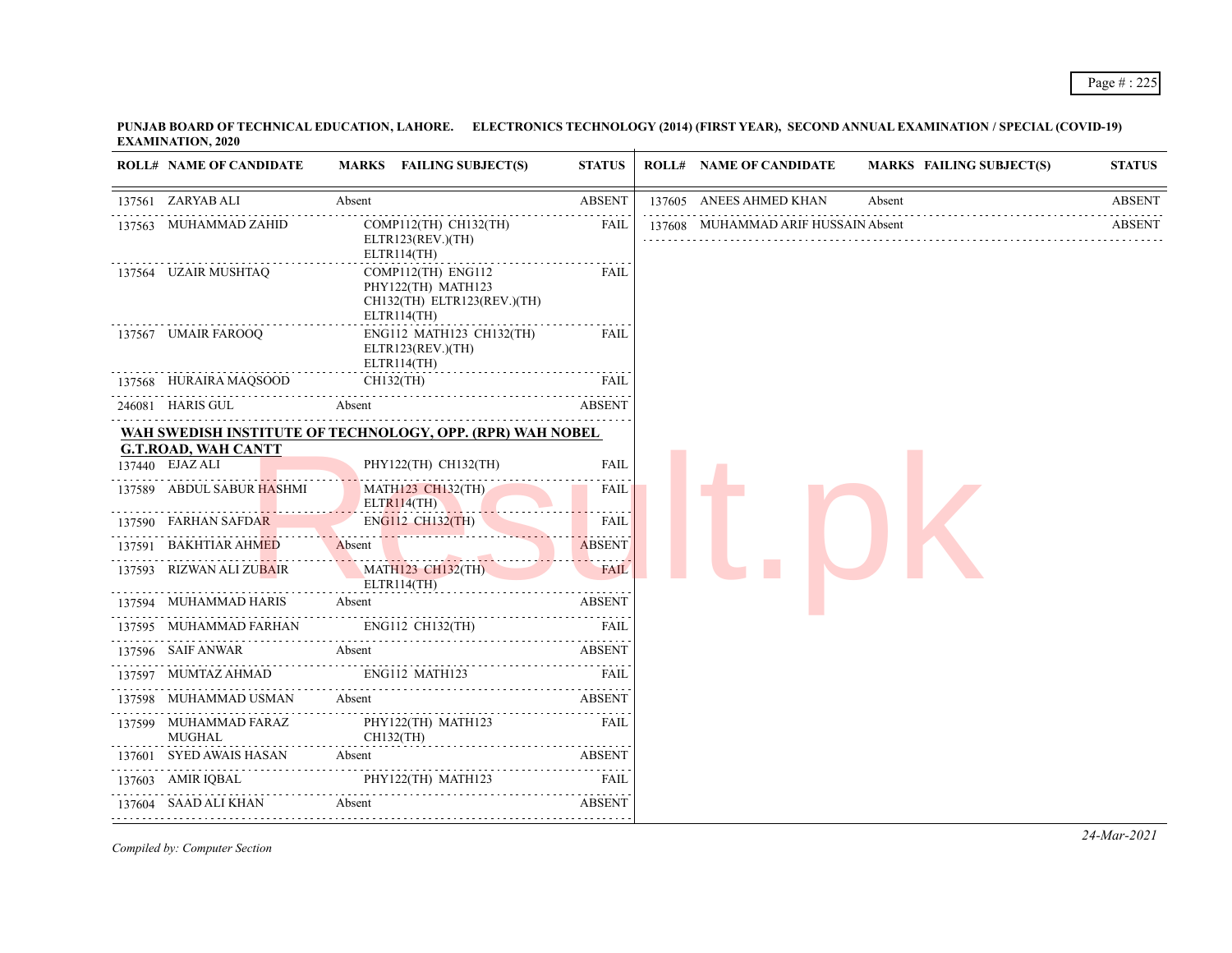**PUNJAB BOARD OF TECHNICAL EDUCATION, LAHORE. ELECTRONICS TECHNOLOGY (2014) (FIRST YEAR), SECOND ANNUAL EXAMINATION / SPECIAL (COVID-19) EXAMINATION, 2020**

| <b>ROLL# NAME OF CANDIDATE</b>                | MARKS FAILING SUBJECT(S)                                                               | <b>STATUS</b> | <b>ROLL# NAME OF CANDIDATE</b>      |        | <b>MARKS FAILING SUBJECT(S)</b> | <b>STATUS</b> |
|-----------------------------------------------|----------------------------------------------------------------------------------------|---------------|-------------------------------------|--------|---------------------------------|---------------|
| 137561 ZARYAB ALI                             | Absent                                                                                 | <b>ABSENT</b> | 137605 ANEES AHMED KHAN             | Absent |                                 | <b>ABSENT</b> |
| 137563 MUHAMMAD ZAHID                         | COMP112(TH) CH132(TH)<br>ELTR123(REV.)(TH)<br>ELTR114(TH)                              | <b>FAIL</b>   | 137608 MUHAMMAD ARIF HUSSAIN Absent |        |                                 | <b>ABSENT</b> |
| 137564 UZAIR MUSHTAQ                          | COMP112(TH) ENG112<br>PHY122(TH) MATH123<br>CH132(TH) ELTR123(REV.)(TH)<br>ELTR114(TH) | <b>FAIL</b>   |                                     |        |                                 |               |
| 137567 UMAIR FAROOQ                           | ENG112 MATH123 CH132(TH)<br>ELTR123(REV.)(TH)<br>ELTR114(TH)                           | FAIL          |                                     |        |                                 |               |
| 137568 HURAIRA MAQSOOD                        | CH132(TH)                                                                              | <b>FAIL</b>   |                                     |        |                                 |               |
| 246081 HARIS GUL                              | Absent                                                                                 | <b>ABSENT</b> |                                     |        |                                 |               |
|                                               | WAH SWEDISH INSTITUTE OF TECHNOLOGY, OPP. (RPR) WAH NOBEL                              |               |                                     |        |                                 |               |
| <b>G.T.ROAD, WAH CANTT</b><br>137440 EJAZ ALI | PHY122(TH) CH132(TH)                                                                   | <b>FAIL</b>   |                                     |        |                                 |               |
| 137589 ABDUL SABUR HASHMI                     | MATH123 CH132(TH)<br>ELTR114(TH)                                                       | FAIL          |                                     |        |                                 |               |
| 137590 FARHAN SAFDAR                          | ENG112 CH132(TH)                                                                       | <b>FAIL</b>   |                                     |        |                                 |               |
| 137591 BAKHTIAR AHMED                         | Absent<br><u> De Carlos de la Carlo de la Carlo</u>                                    | <b>ABSENT</b> |                                     |        |                                 |               |
| 137593 RIZWAN ALI ZUBAIR                      | <b>MATH123 CH132(TH)</b><br>ELTR114(TH)                                                | <b>FAIL</b>   |                                     |        |                                 |               |
| 137594 MUHAMMAD HARIS                         | Absent                                                                                 | <b>ABSENT</b> |                                     |        |                                 |               |
| 137595 MUHAMMAD FARHAN                        |                                                                                        | FAIL          |                                     |        |                                 |               |
| 137596 SAIF ANWAR                             | Absent                                                                                 | <b>ABSENT</b> |                                     |        |                                 |               |
| 137597 MUMTAZ AHMAD                           | ENG112 MATH123                                                                         | <b>FAIL</b>   |                                     |        |                                 |               |
| 137598 MUHAMMAD USMAN                         | Absent                                                                                 | <b>ABSENT</b> |                                     |        |                                 |               |
| 137599 MUHAMMAD FARAZ<br><b>MUGHAL</b>        | PHY122(TH) MATH123<br>CH132(TH)                                                        | FAIL          |                                     |        |                                 |               |
| 137601 SYED AWAIS HASAN                       | Absent                                                                                 | <b>ABSENT</b> |                                     |        |                                 |               |
| 137603 AMIR IQBAL                             | PHY122(TH) MATH123                                                                     | <b>FAIL</b>   |                                     |        |                                 |               |
| 137604 SAAD ALI KHAN                          | Absent                                                                                 | <b>ABSENT</b> |                                     |        |                                 |               |
|                                               |                                                                                        |               |                                     |        |                                 |               |

*Compiled by: Computer Section*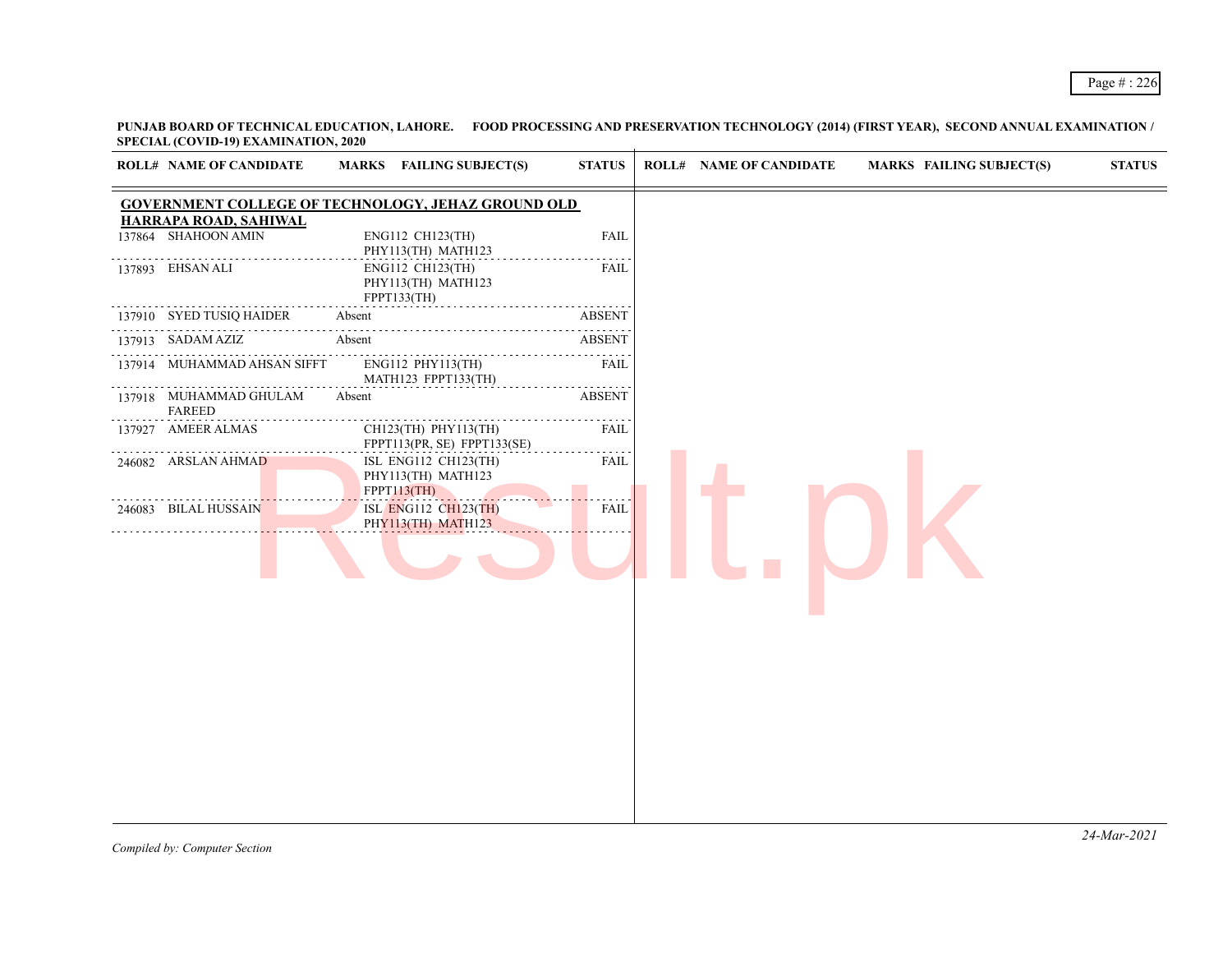**PUNJAB BOARD OF TECHNICAL EDUCATION, LAHORE. FOOD PROCESSING AND PRESERVATION TECHNOLOGY (2014) (FIRST YEAR), SECOND ANNUAL EXAMINATION / SPECIAL (COVID-19) EXAMINATION, 2020**

|        | <b>ROLL# NAME OF CANDIDATE</b>               | MARKS FAILING SUBJECT(S)                                         | <b>STATUS</b> | <b>ROLL# NAME OF CANDIDATE</b> | <b>MARKS FAILING SUBJECT(S)</b> | <b>STATUS</b> |
|--------|----------------------------------------------|------------------------------------------------------------------|---------------|--------------------------------|---------------------------------|---------------|
|        |                                              | <b>GOVERNMENT COLLEGE OF TECHNOLOGY, JEHAZ GROUND OLD</b>        |               |                                |                                 |               |
| 137864 | HARRAPA ROAD, SAHIWAL<br>SHAHOON AMIN        | ENG112 CH123(TH)<br>PHY113(TH) MATH123                           | <b>FAIL</b>   |                                |                                 |               |
|        | 137893 EHSAN ALI                             | ENG112 CH123(TH)<br>PHY113(TH) MATH123<br>FPPT133(TH)            | <b>FAIL</b>   |                                |                                 |               |
|        | 137910 SYED TUSIQ HAIDER                     | Absent                                                           | <b>ABSENT</b> |                                |                                 |               |
|        | 137913 SADAM AZIZ                            | .<br>Absent                                                      | <b>ABSENT</b> |                                |                                 |               |
|        | 137914 MUHAMMAD AHSAN SIFFT                  | ENG112 PHY113(TH)<br>MATH123 FPPT133(TH)                         | .<br>FAIL     |                                |                                 |               |
|        | .<br>137918 MUHAMMAD GHULAM<br><b>FAREED</b> | Absent                                                           | <b>ABSENT</b> |                                |                                 |               |
|        | 137927 AMEER ALMAS                           | CH123(TH) PHY113(TH)<br>FPPT113(PR, SE) FPPT133(SE)              | FAIL          |                                |                                 |               |
|        | 246082 ARSLAN AHMAD                          | ISL ENG112 CH123(TH)<br>PHY113(TH) MATH123<br><b>FPPT113(TH)</b> | <b>FAIL</b>   |                                |                                 |               |
|        | 246083 BILAL HUSSAIN                         | <b>ISL ENG112 CH123(TH)</b><br>PHY113(TH) MATH123                | <b>FAIL</b>   |                                |                                 |               |
|        |                                              |                                                                  |               |                                |                                 |               |
|        |                                              |                                                                  |               |                                |                                 |               |
|        |                                              |                                                                  |               |                                |                                 |               |
|        |                                              |                                                                  |               |                                |                                 |               |
|        |                                              |                                                                  |               |                                |                                 |               |
|        |                                              |                                                                  |               |                                |                                 |               |
|        |                                              |                                                                  |               |                                |                                 |               |
|        |                                              |                                                                  |               |                                |                                 |               |
|        |                                              |                                                                  |               |                                |                                 |               |
|        |                                              |                                                                  |               |                                |                                 |               |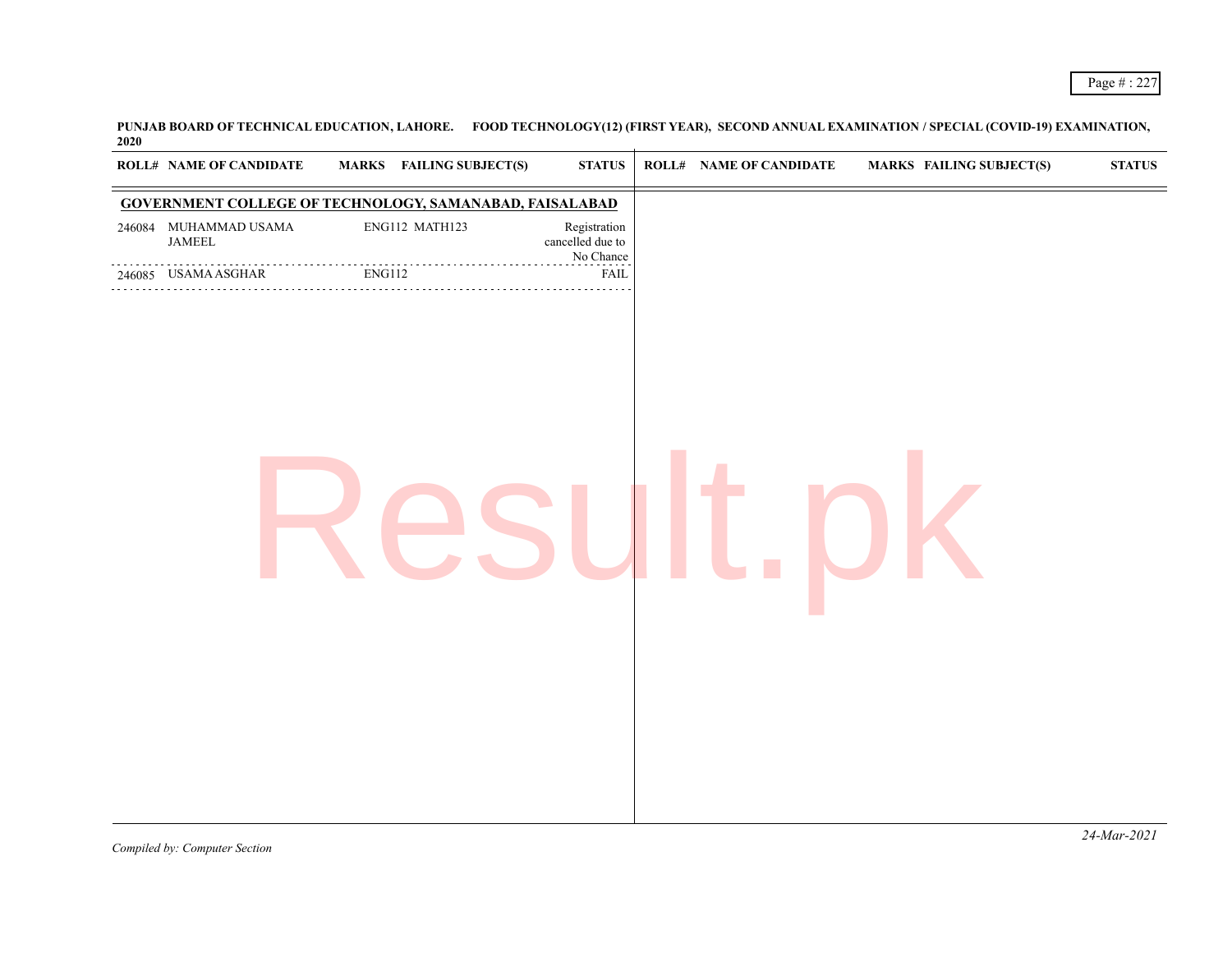**PUNJAB BOARD OF TECHNICAL EDUCATION, LAHORE. FOOD TECHNOLOGY(12) (FIRST YEAR), SECOND ANNUAL EXAMINATION / SPECIAL (COVID-19) EXAMINATION, 2020**

|                             | ROLL# NAME OF CANDIDATE                                 | <b>MARKS</b> FAILING SUBJECT(S)                                                                                                                                                                                                                                                                                                                                                                                                        | <b>STATUS</b>                                 | <b>ROLL# NAME OF CANDIDATE</b> | <b>MARKS FAILING SUBJECT(S)</b> | ${\bf STATUS}$ |
|-----------------------------|---------------------------------------------------------|----------------------------------------------------------------------------------------------------------------------------------------------------------------------------------------------------------------------------------------------------------------------------------------------------------------------------------------------------------------------------------------------------------------------------------------|-----------------------------------------------|--------------------------------|---------------------------------|----------------|
|                             |                                                         | <b>GOVERNMENT COLLEGE OF TECHNOLOGY, SAMANABAD, FAISALABAD</b>                                                                                                                                                                                                                                                                                                                                                                         |                                               |                                |                                 |                |
|                             | 246084 MUHAMMAD USAMA<br>$\ensuremath{\mathsf{JAMEEL}}$ | ENG112 MATH123                                                                                                                                                                                                                                                                                                                                                                                                                         | Registration<br>cancelled due to<br>No Chance |                                |                                 |                |
|                             | 246085 USAMA ASGHAR                                     | $\begin{tabular}{ll} \multicolumn{2}{c}{\textbf{ENG112}}\\ \multicolumn{2}{c}{\textbf{ENG112}}\\ \multicolumn{2}{c}{\textbf{ENG112}}\\ \multicolumn{2}{c}{\textbf{ENG112}}\\ \multicolumn{2}{c}{\textbf{NG112}}\\ \multicolumn{2}{c}{\textbf{NG112}}\\ \multicolumn{2}{c}{\textbf{NG112}}\\ \multicolumn{2}{c}{\textbf{NG112}}\\ \multicolumn{2}{c}{\textbf{NG112}}\\ \multicolumn{2}{c}{\textbf{NG112}}\\ \multicolumn{2}{c}{\textbf$ | <b>FAIL</b>                                   |                                |                                 |                |
|                             |                                                         |                                                                                                                                                                                                                                                                                                                                                                                                                                        |                                               |                                |                                 |                |
|                             |                                                         |                                                                                                                                                                                                                                                                                                                                                                                                                                        |                                               |                                |                                 |                |
|                             |                                                         |                                                                                                                                                                                                                                                                                                                                                                                                                                        |                                               |                                |                                 |                |
|                             |                                                         |                                                                                                                                                                                                                                                                                                                                                                                                                                        |                                               |                                |                                 |                |
|                             |                                                         |                                                                                                                                                                                                                                                                                                                                                                                                                                        |                                               |                                |                                 |                |
|                             |                                                         |                                                                                                                                                                                                                                                                                                                                                                                                                                        |                                               |                                |                                 |                |
|                             |                                                         |                                                                                                                                                                                                                                                                                                                                                                                                                                        |                                               |                                |                                 |                |
|                             |                                                         |                                                                                                                                                                                                                                                                                                                                                                                                                                        |                                               |                                |                                 |                |
|                             |                                                         |                                                                                                                                                                                                                                                                                                                                                                                                                                        |                                               |                                |                                 |                |
|                             |                                                         |                                                                                                                                                                                                                                                                                                                                                                                                                                        |                                               |                                |                                 |                |
| $\sim$ $\sim$ $\sim$ $\sim$ | $\sim$                                                  |                                                                                                                                                                                                                                                                                                                                                                                                                                        |                                               |                                |                                 | $24$ -Mar-2021 |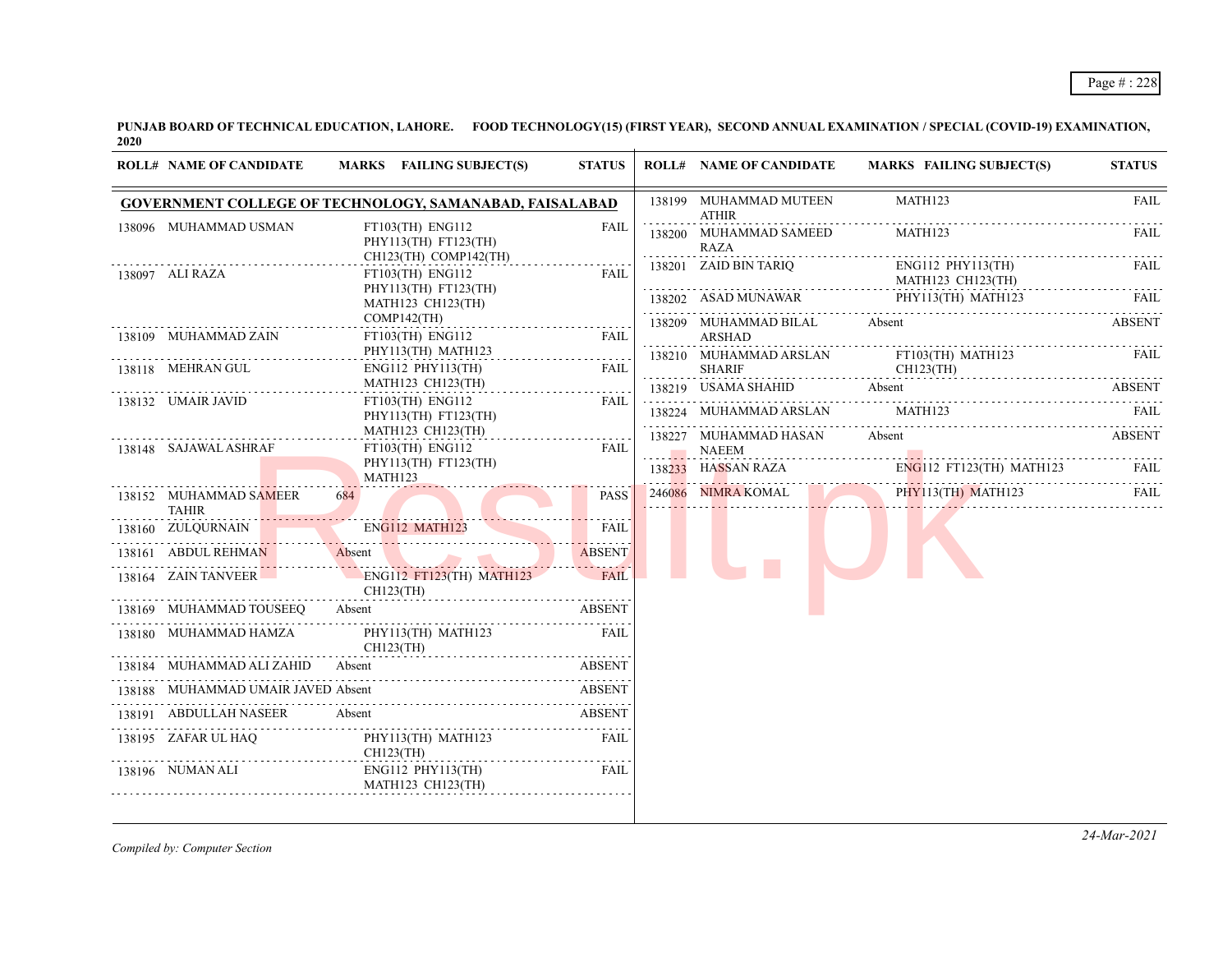**PUNJAB BOARD OF TECHNICAL EDUCATION, LAHORE. FOOD TECHNOLOGY(15) (FIRST YEAR), SECOND ANNUAL EXAMINATION / SPECIAL (COVID-19) EXAMINATION, 2020**

| <b>ROLL# NAME OF CANDIDATE</b>         | MARKS FAILING SUBJECT(S)                                             | <b>STATUS</b>                                       |                    | <b>ROLL# NAME OF CANDIDATE</b>         | MARKS FAILING SUBJECT(S)                              | <b>STATUS</b> |
|----------------------------------------|----------------------------------------------------------------------|-----------------------------------------------------|--------------------|----------------------------------------|-------------------------------------------------------|---------------|
|                                        | GOVERNMENT COLLEGE OF TECHNOLOGY, SAMANABAD, FAISALABAD              |                                                     |                    | 138199 MUHAMMAD MUTEEN<br><b>ATHIR</b> | MATH123                                               | <b>FAIL</b>   |
| 138096 MUHAMMAD USMAN                  | FT103(TH) ENG112<br>PHY113(TH) FT123(TH)                             | <b>FAIL</b>                                         |                    | 138200 MUHAMMAD SAMEED<br>RAZA         | MATH123                                               | FAIL          |
| 138097 ALI RAZA                        | CH123(TH) COMP142(TH)<br>$FT103$ (TH) ENG112<br>PHY113(TH) FT123(TH) | FAIL                                                |                    | 138201 ZAID BIN TARIQ                  | $ENG112$ $PHY113$ (TH)<br>MATH123 CH123(TH)           | FAIL          |
|                                        | MATH123 CH123(TH)<br>$COMP142$ (TH)                                  |                                                     |                    |                                        | 138202 ASAD MUNAWAR PHY113(TH) MATH123                | FAIL.         |
| 138109 MUHAMMAD ZAIN                   | FT103(TH) ENG112<br>PHY113(TH) MATH123                               | $\omega$ is a second set of $\omega$<br><b>FAIL</b> |                    | 138209 MUHAMMAD BILAL Absent<br>ARSHAD |                                                       | <b>ABSENT</b> |
| 138118 MEHRAN GUL                      | $ENG112$ $PHY113(TH)$                                                | <b>FAIL</b>                                         |                    | <b>SHARIF</b>                          | 138210 MUHAMMAD ARSLAN FT103(TH) MATH123<br>CH123(TH) | FAIL          |
| 138132 UMAIR JAVID                     | MATH123 CH123(TH)                                                    | FAIL                                                |                    |                                        | 138219 USAMA SHAHID Absent ABSENT                     |               |
|                                        | $FT103$ (TH) ENG112<br>PHY113(TH) FT123(TH)<br>MATH123 CH123(TH)     |                                                     |                    | 138224 MUHAMMAD ARSLAN MATH123         |                                                       | FAIL          |
| 138148 SAJAWAL ASHRAF                  | $FT103$ (TH) $ENG112$                                                | FAIL                                                |                    | 138227 MUHAMMAD HASAN<br><b>NAEEM</b>  | Absent                                                | ABSENT        |
|                                        | PHY113(TH) FT123(TH)<br>MATH123                                      |                                                     | . <mark>.</mark> . |                                        | 138233 HASSAN RAZA ENGLI2 FT123(TH) MATH123 FAIL      |               |
| 138152 MUHAMMAD SAMEER<br><b>TAHIR</b> | 684 7                                                                | <b>PASS</b>                                         |                    |                                        | 246086 NIMRA KOMAL PHY113(TH) MATH123                 | FAIL.         |
|                                        | 138160 ZULQURNAIN ENG112 MATH123                                     | <b>FAIL</b>                                         |                    |                                        |                                                       |               |
|                                        | 138161 ABDUL REHMAN Absent ABSENT                                    |                                                     |                    |                                        |                                                       |               |
|                                        | 138164 ZAIN TANVEER ENG112 FT123(TH) MATH123<br>CH123(TH)            | <b>FAIL</b>                                         |                    |                                        |                                                       |               |
| 138169 MUHAMMAD TOUSEEQ Absent         |                                                                      | <b>ABSENT</b>                                       |                    |                                        |                                                       |               |
|                                        | 138180 MUHAMMAD HAMZA PHY113(TH) MATH123<br>CH123(TH)                | FAIL                                                |                    |                                        |                                                       |               |
| 138184 MUHAMMAD ALI ZAHID              | Absent                                                               | <b>ABSENT</b>                                       |                    |                                        |                                                       |               |
| 138188 MUHAMMAD UMAIR JAVED Absent     |                                                                      | ABSENT                                              |                    |                                        |                                                       |               |
| 138191 ABDULLAH NASEER Absent          |                                                                      | ABSENT                                              |                    |                                        |                                                       |               |
| 138195 ZAFAR UL HAQ<br>CH123(TH)       | PHY113(TH) MATH123                                                   | FAIL                                                |                    |                                        |                                                       |               |
| 138196 NUMAN ALI                       | ENG112 PHY113(TH)<br>MATH123 CH123(TH)                               | FAIL                                                |                    |                                        |                                                       |               |

*Compiled by: Computer Section*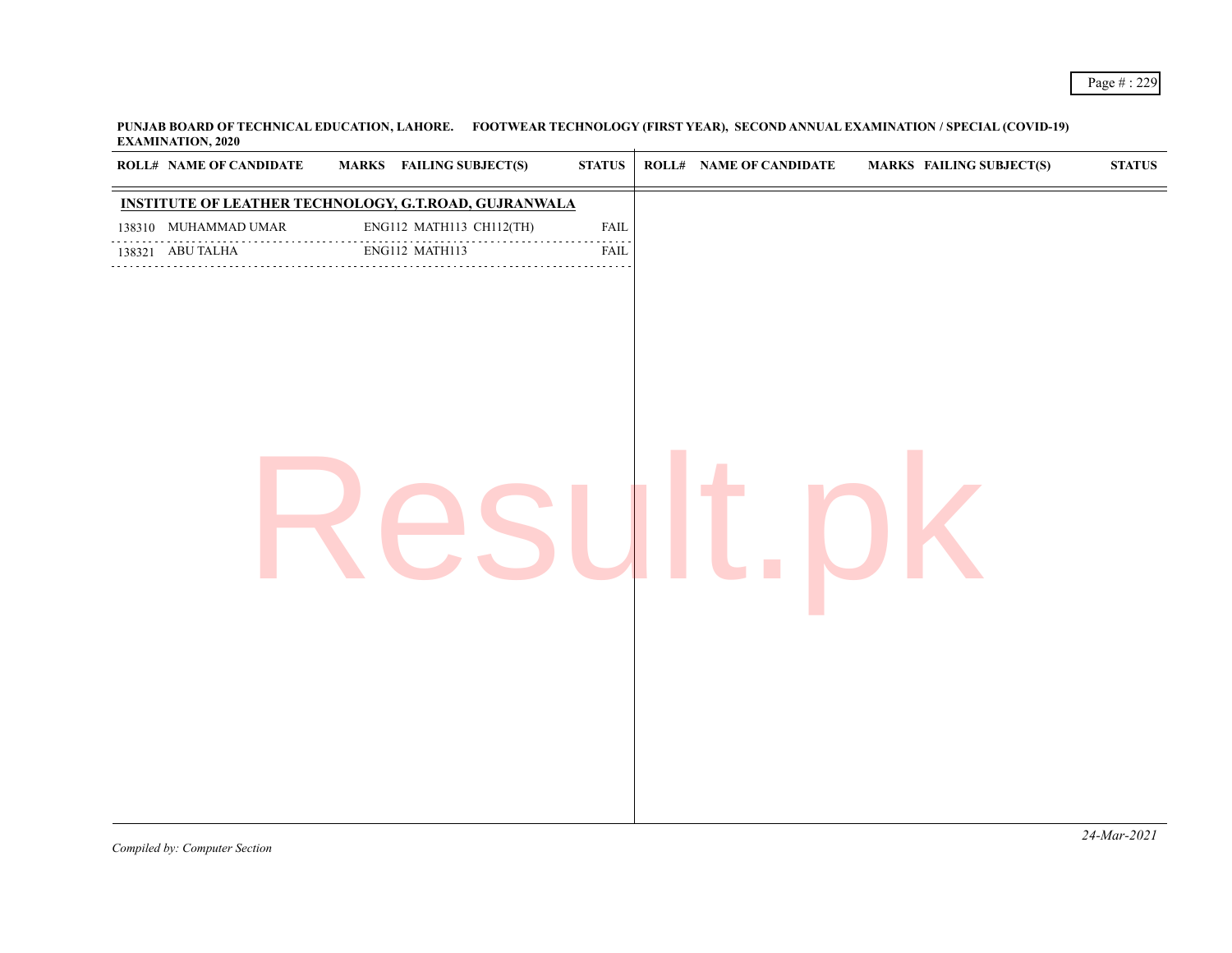**PUNJAB BOARD OF TECHNICAL EDUCATION, LAHORE. FOOTWEAR TECHNOLOGY (FIRST YEAR), SECOND ANNUAL EXAMINATION / SPECIAL (COVID-19) EXAMINATION, 2020**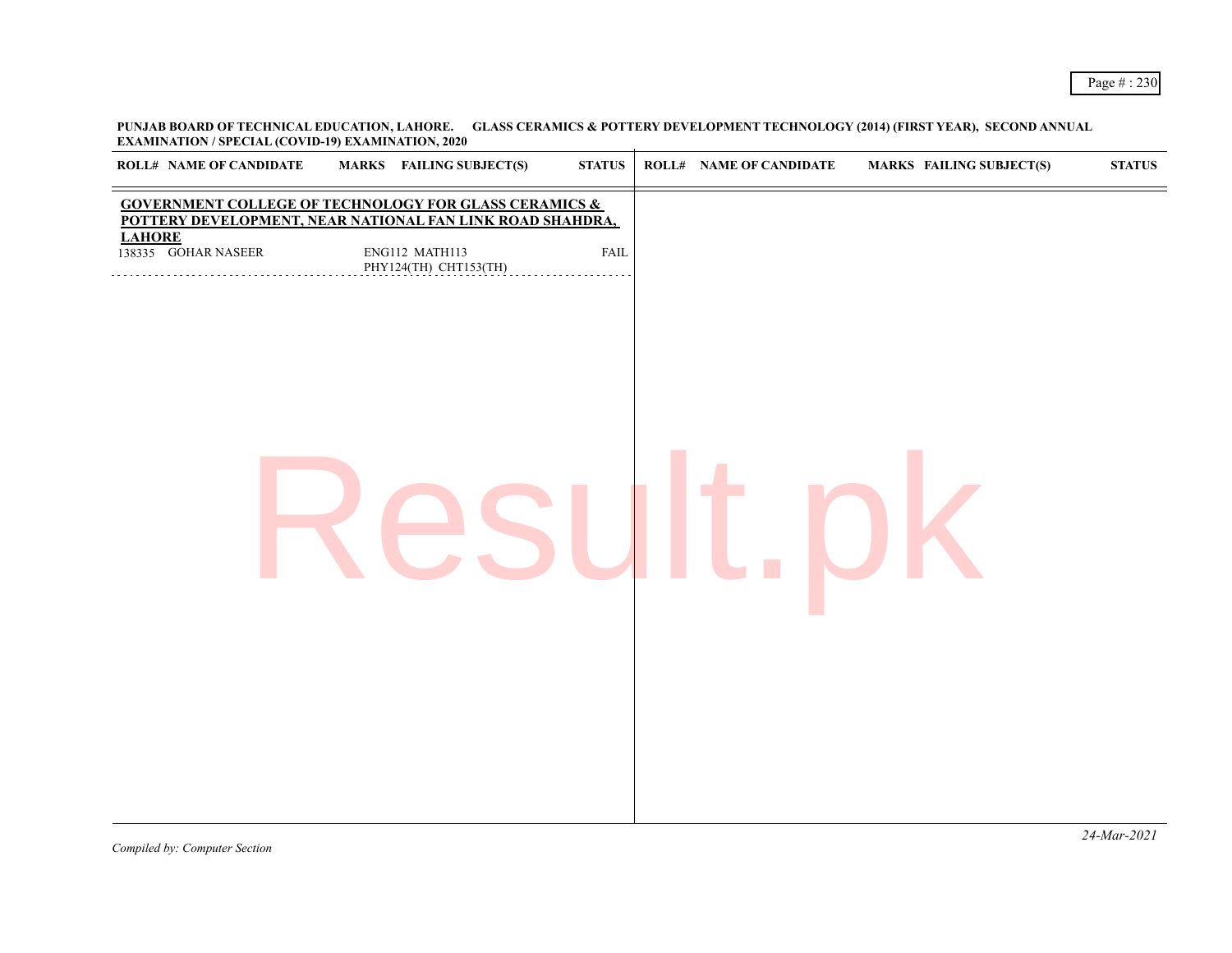**PUNJAB BOARD OF TECHNICAL EDUCATION, LAHORE. GLASS CERAMICS & POTTERY DEVELOPMENT TECHNOLOGY (2014) (FIRST YEAR), SECOND ANNUAL EXAMINATION / SPECIAL (COVID-19) EXAMINATION, 2020**

| <b>ROLL# NAME OF CANDIDATE</b>       | <b>MARKS</b> FAILING SUBJECT(S)                                                                                               | <b>STATUS</b> | <b>ROLL# NAME OF CANDIDATE</b> | <b>MARKS FAILING SUBJECT(S)</b> | $\boldsymbol{\text{STATUS}}$ |
|--------------------------------------|-------------------------------------------------------------------------------------------------------------------------------|---------------|--------------------------------|---------------------------------|------------------------------|
|                                      | <b>GOVERNMENT COLLEGE OF TECHNOLOGY FOR GLASS CERAMICS &amp;</b><br>POTTERY DEVELOPMENT, NEAR NATIONAL FAN LINK ROAD SHAHDRA, |               |                                |                                 |                              |
| <b>LAHORE</b><br>138335 GOHAR NASEER | ENG112 MATH113<br>PHY124(TH) CHT153(TH)                                                                                       | ${\rm FAIL}$  |                                |                                 |                              |
|                                      |                                                                                                                               |               |                                |                                 |                              |
|                                      |                                                                                                                               |               |                                |                                 |                              |
|                                      |                                                                                                                               |               |                                |                                 |                              |
|                                      |                                                                                                                               |               |                                |                                 |                              |
|                                      |                                                                                                                               |               |                                |                                 |                              |
|                                      |                                                                                                                               |               |                                |                                 |                              |
|                                      |                                                                                                                               |               |                                |                                 |                              |
|                                      |                                                                                                                               |               |                                |                                 |                              |
|                                      |                                                                                                                               |               |                                |                                 |                              |
|                                      |                                                                                                                               |               |                                |                                 |                              |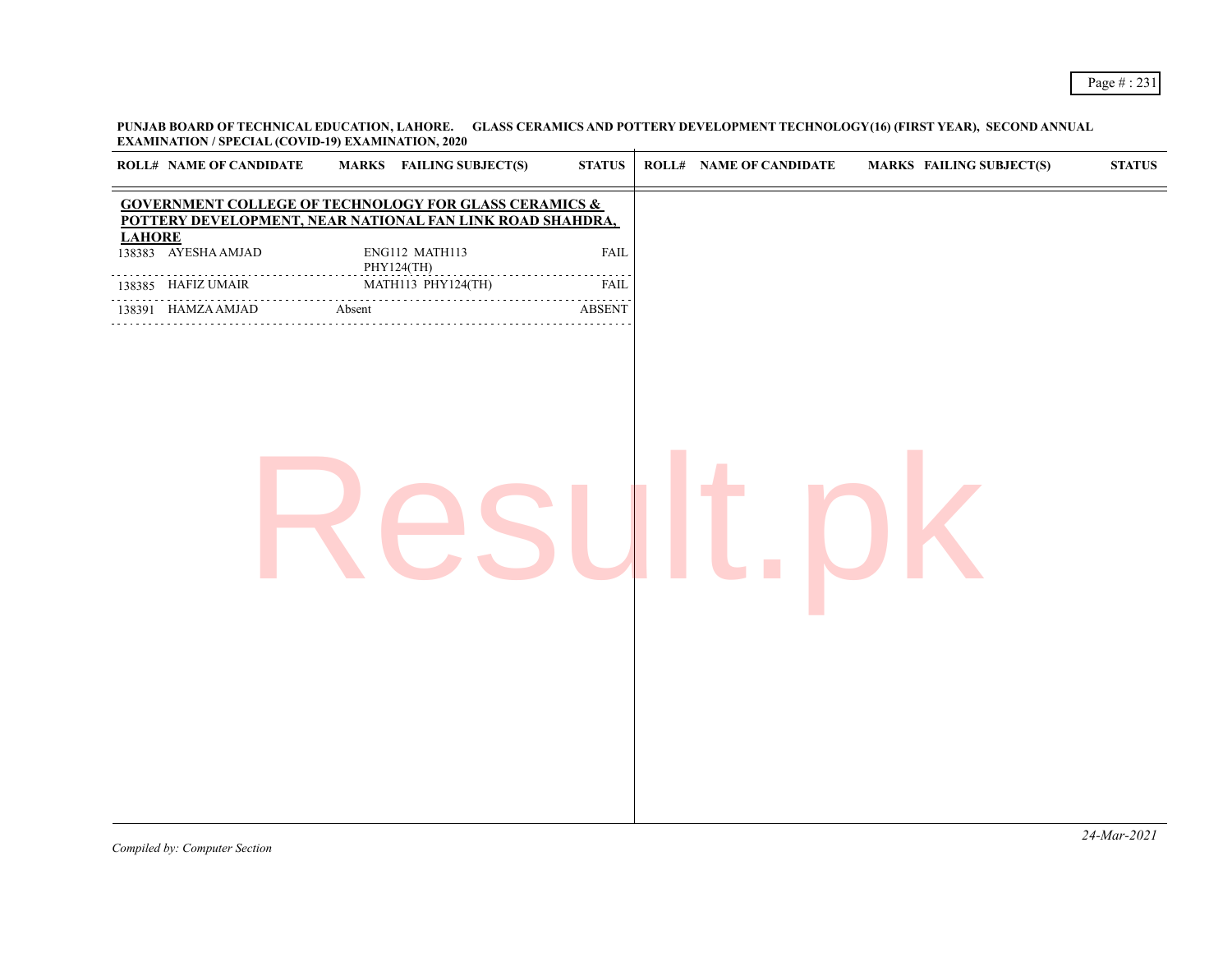**PUNJAB BOARD OF TECHNICAL EDUCATION, LAHORE. GLASS CERAMICS AND POTTERY DEVELOPMENT TECHNOLOGY(16) (FIRST YEAR), SECOND ANNUAL EXAMINATION / SPECIAL (COVID-19) EXAMINATION, 2020**

|               | <b>ROLL# NAME OF CANDIDATE</b> | MARKS FAILING SUBJECT(S)                                                                                        | <b>STATUS</b>    | <b>ROLL# NAME OF CANDIDATE</b> | <b>MARKS FAILING SUBJECT(S)</b> | $\bold{STATUS}$ |
|---------------|--------------------------------|-----------------------------------------------------------------------------------------------------------------|------------------|--------------------------------|---------------------------------|-----------------|
|               |                                | GOVERNMENT COLLEGE OF TECHNOLOGY FOR GLASS CERAMICS & POTTERY DEVELOPMENT, NEAR NATIONAL FAN LINK ROAD SHAHDRA, |                  |                                |                                 |                 |
| <b>LAHORE</b> | 138383 AYESHA AMJAD            | ENG112 MATH113<br>PHY124(TH)                                                                                    | <b>FAIL</b><br>. |                                |                                 |                 |
|               | 138385 HAFIZ UMAIR             | MATH113 PHY124(TH)                                                                                              | <b>FAIL</b>      |                                |                                 |                 |
|               | 138391 HAMZA AMJAD             | Absent                                                                                                          | <b>ABSENT</b>    |                                |                                 |                 |
|               |                                |                                                                                                                 |                  |                                |                                 |                 |
|               |                                |                                                                                                                 |                  |                                |                                 | $24$ -Mar-2021  |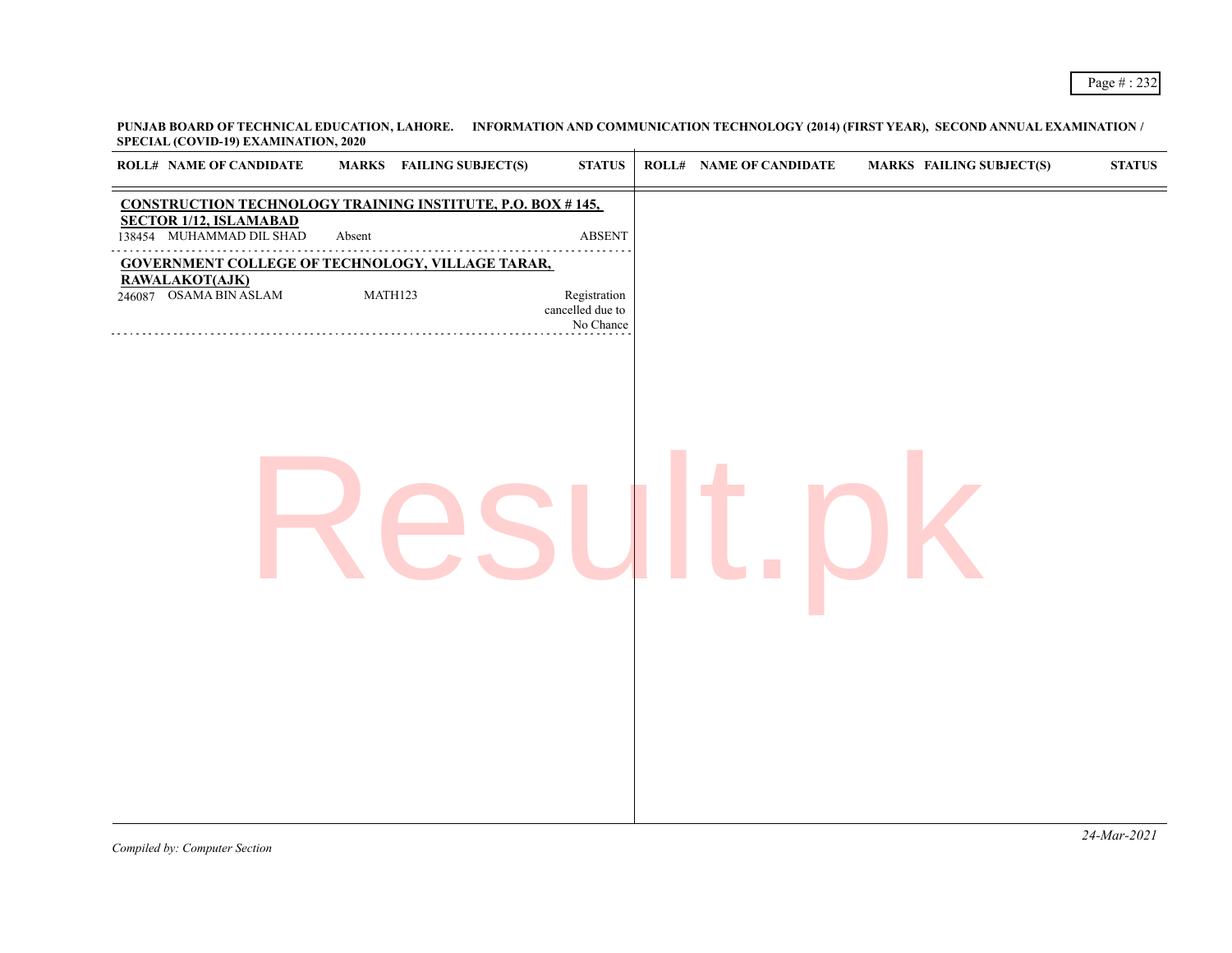**PUNJAB BOARD OF TECHNICAL EDUCATION, LAHORE. INFORMATION AND COMMUNICATION TECHNOLOGY (2014) (FIRST YEAR), SECOND ANNUAL EXAMINATION / SPECIAL (COVID-19) EXAMINATION, 2020**

| <b>ROLL# NAME OF CANDIDATE</b>                                                                      | <b>MARKS</b> FAILING SUBJECT(S) | <b>STATUS</b>                                 | <b>ROLL# NAME OF CANDIDATE</b> | <b>MARKS FAILING SUBJECT(S)</b> | $\boldsymbol{\text{STATUS}}$ |
|-----------------------------------------------------------------------------------------------------|---------------------------------|-----------------------------------------------|--------------------------------|---------------------------------|------------------------------|
| <b>CONSTRUCTION TECHNOLOGY TRAINING INSTITUTE, P.O. BOX #145,</b>                                   |                                 |                                               |                                |                                 |                              |
| SECTOR 1/12, ISLAMABAD<br>138454 MUHAMMAD DIL SHAD                                                  | Absent                          | $\operatorname{ABSENT}$                       |                                |                                 |                              |
| <b>GOVERNMENT COLLEGE OF TECHNOLOGY, VILLAGE TARAR,</b><br>RAWALAKOT(AJK)<br>246087 OSAMA BIN ASLAM | MATH123                         | Registration<br>cancelled due to<br>No Chance |                                |                                 |                              |
|                                                                                                     |                                 |                                               |                                |                                 |                              |
|                                                                                                     |                                 |                                               |                                |                                 |                              |
|                                                                                                     |                                 |                                               |                                |                                 |                              |
|                                                                                                     |                                 |                                               |                                |                                 |                              |
|                                                                                                     |                                 |                                               |                                |                                 |                              |
|                                                                                                     |                                 |                                               |                                |                                 |                              |
|                                                                                                     |                                 |                                               |                                |                                 |                              |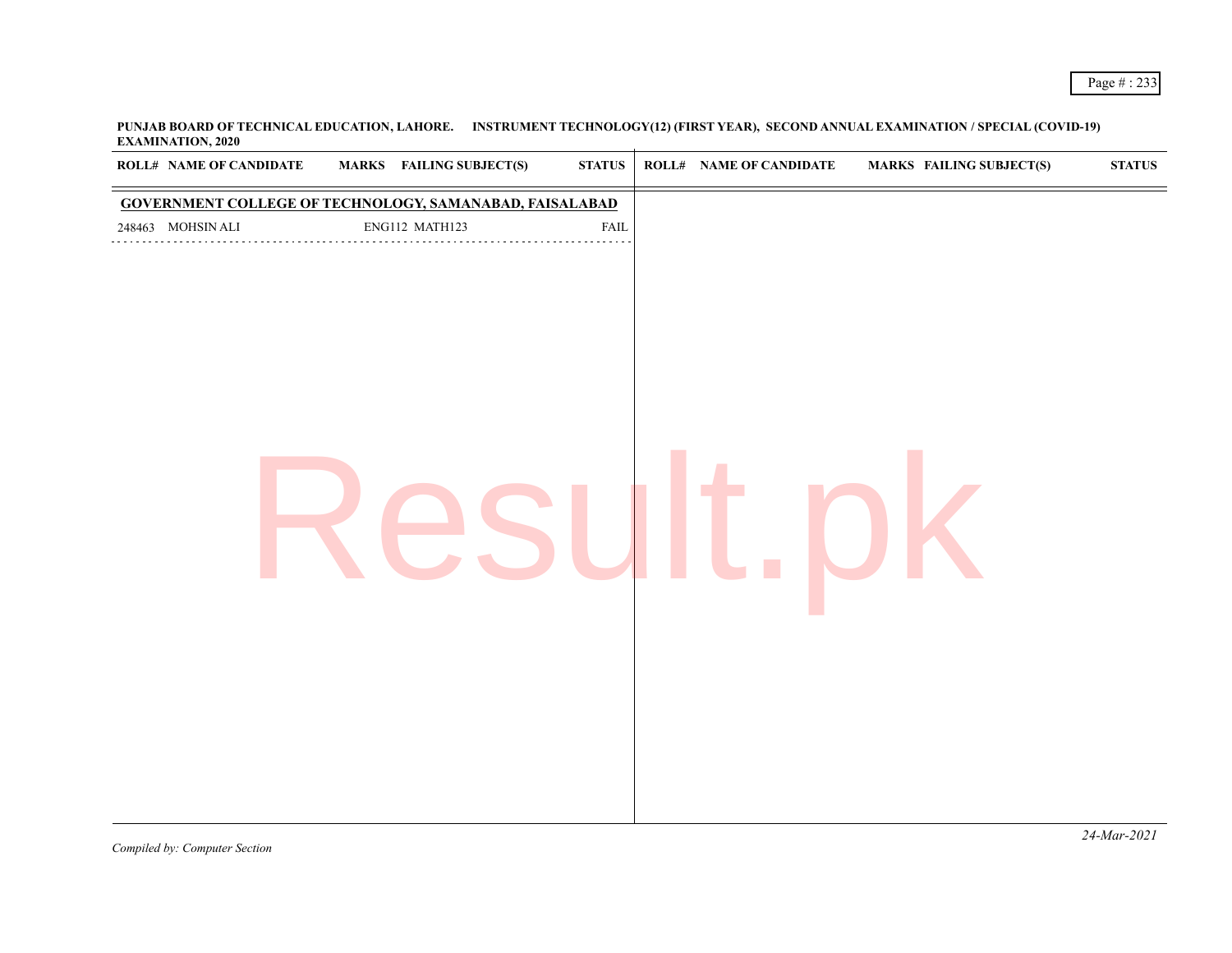**PUNJAB BOARD OF TECHNICAL EDUCATION, LAHORE. INSTRUMENT TECHNOLOGY(12) (FIRST YEAR), SECOND ANNUAL EXAMINATION / SPECIAL (COVID-19) EXAMINATION, 2020**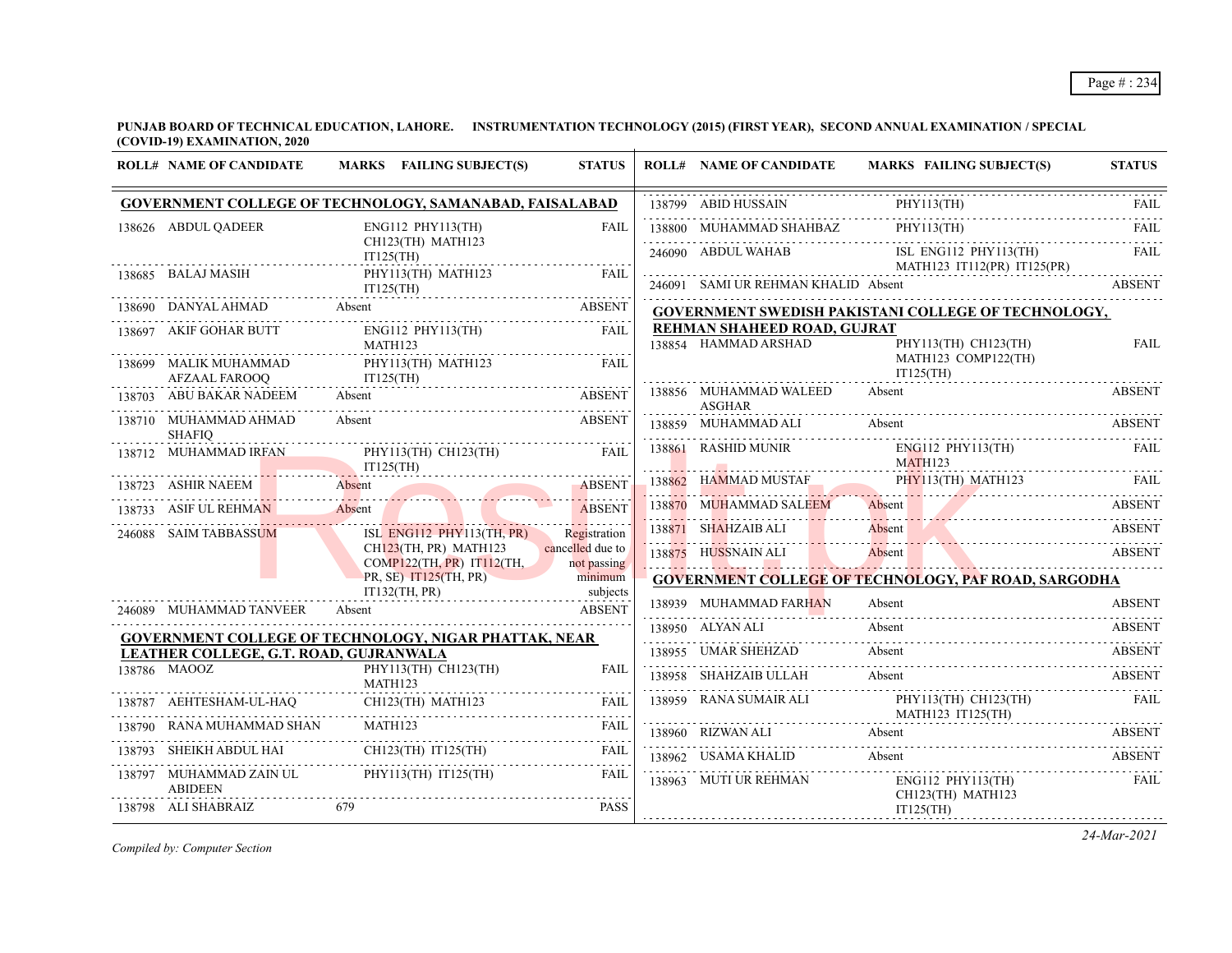**PUNJAB BOARD OF TECHNICAL EDUCATION, LAHORE. INSTRUMENTATION TECHNOLOGY (2015) (FIRST YEAR), SECOND ANNUAL EXAMINATION / SPECIAL (COVID-19) EXAMINATION, 2020** ÷.

| <b>ROLL# NAME OF CANDIDATE</b>            | MARKS FAILING SUBJECT(S)                                                                                                                                                                                                       | <b>STATUS</b>                   | <b>ROLL# NAME OF CANDIDATE</b>          | <b>MARKS FAILING SUBJECT(S)</b>                               | <b>STATUS</b> |
|-------------------------------------------|--------------------------------------------------------------------------------------------------------------------------------------------------------------------------------------------------------------------------------|---------------------------------|-----------------------------------------|---------------------------------------------------------------|---------------|
|                                           | GOVERNMENT COLLEGE OF TECHNOLOGY, SAMANABAD, FAISALABAD                                                                                                                                                                        |                                 | 138799 ABID HUSSAIN                     | PHY113(TH)<br>138799 ABID HUSSAIN PHY113(TH) FAIL             |               |
| 138626 ABDUL QADEER                       | $ENG112$ PHY113(TH)                                                                                                                                                                                                            | <b>FAIL</b>                     | 138800 MUHAMMAD SHAHBAZ                 | $PHY113(TH)$ FAIL                                             |               |
|                                           | CH123(TH) MATH123<br>IT125(TH)                                                                                                                                                                                                 |                                 | 246090 ABDUL WAHAB                      | ISL ENG112 PHY113(TH)                                         | FAII.         |
| 138685 BALAJ MASIH                        | PHY113(TH) MATH123<br>IT125(TH)                                                                                                                                                                                                | <b>FAIL</b>                     | 246091 SAMI UR REHMAN KHALID Absent     | MATH123 IT112(PR) IT125(PR)                                   | <b>ABSENT</b> |
|                                           | 138690 DANYAL AHMAD Absent ABSENT                                                                                                                                                                                              |                                 |                                         | GOVERNMENT SWEDISH PAKISTANI COLLEGE OF TECHNOLOGY,           |               |
| 138697 AKIF GOHAR BUTT                    | ENG112 PHY113(TH)                                                                                                                                                                                                              | <b>FAIL</b>                     | REHMAN SHAHEED ROAD, GUJRAT             |                                                               |               |
|                                           | MATH123                                                                                                                                                                                                                        |                                 | 138854 HAMMAD ARSHAD                    | PHY113(TH) CH123(TH)                                          | <b>FAIL</b>   |
| 138699 MALIK MUHAMMAD<br>AFZAAL FAROOO    | PHY113(TH) MATH123<br>$IT125(TH)$                                                                                                                                                                                              | <b>FAIL</b>                     |                                         | MATH123 COMP122(TH)<br>$IT125$ (TH)                           |               |
| 138703 ABU BAKAR NADEEM                   | Absent                                                                                                                                                                                                                         | <b>ABSENT</b>                   | 138856 MUHAMMAD WALEED<br><b>ASGHAR</b> | Absent                                                        | ABSENT        |
| 138710 MUHAMMAD AHMAD<br><b>SHAFIO</b>    | Absent                                                                                                                                                                                                                         | <b>ABSENT</b>                   | 138859 MUHAMMAD ALI                     | Absent                                                        | <b>ABSENT</b> |
| 138712 MUHAMMAD IRFAN                     | PHY113(TH) CH123(TH)                                                                                                                                                                                                           | <b>EAIL</b>                     | 138861 RASHID MUNIR                     | ENG112 PHY113(TH)<br>MATH123                                  | <b>FAIL</b>   |
|                                           | $\frac{1125(TH)}{498 FNT}$<br>138723 ASHIR NAEEM Absent                                                                                                                                                                        | <b>ABSENT</b>                   |                                         | 138862 HAMMAD MUSTAF PHY113(TH) MATH123 FAIL                  |               |
| 138733 ASIF UL REHMAN                     | Absent de la communication de la communication de la communication de la communication de la communication de la communication de la communication de la communication de la communication de la communication de la communica | <b>ABSENT</b>                   | 138870 MUHAMMAD SALEEM                  | Absent                                                        | <b>ABSENT</b> |
| 246088 SAIM TABBASSUM                     | ISL ENG112 PHY113(TH, PR)                                                                                                                                                                                                      | Registration                    |                                         | 138871 SHAHZAIB ALI Absent ABSENT ABSENT                      |               |
|                                           | CH <sub>123</sub> (TH, PR) MATH <sub>123</sub><br>COMP122(TH, PR) IT112(TH,                                                                                                                                                    | cancelled due to<br>not passing | 138875 HUSSNAIN ALI                     | Absent<br>Absent ABSENT                                       |               |
|                                           | PR, SE) IT125(TH, PR)                                                                                                                                                                                                          | minimum                         |                                         | <b>GOVERNMENT COLLEGE OF TECHNOLOGY, PAF ROAD, SARGODHA</b>   |               |
|                                           | $IT132$ (TH, PR)                                                                                                                                                                                                               | subjects                        |                                         |                                                               |               |
| 246089 MUHAMMAD TANVEER                   | Absent                                                                                                                                                                                                                         | <b>ABSENT</b>                   | 138939 MUHAMMAD FARHAN                  | Absent                                                        | <b>ABSENT</b> |
|                                           | <b>GOVERNMENT COLLEGE OF TECHNOLOGY, NIGAR PHATTAK, NEAR</b>                                                                                                                                                                   |                                 | 138950 ALYAN ALI                        | Absent                                                        | <b>ABSENT</b> |
| LEATHER COLLEGE, G.T. ROAD, GUJRANWALA    |                                                                                                                                                                                                                                |                                 | 138955 UMAR SHEHZAD                     | Absent                                                        | ABSENT        |
| 138786 MAOOZ                              | PHY113(TH) CH123(TH)<br>MATH123                                                                                                                                                                                                | <b>FAIL</b>                     | 138958 SHAHZAIB ULLAH                   | Absent                                                        | <b>ABSENT</b> |
|                                           | 138787 AEHTESHAM-UL-HAQ CH123(TH) MATH123 FAIL                                                                                                                                                                                 |                                 | 138959 RANA SUMAIR ALI PI<br>M          | PHY113(TH) CH123(TH)<br>MATH123 IT125(TH)<br>$\overline{H}$ ) | FAIL          |
| RANA MUHAMMAD SHAN                        | MATH123                                                                                                                                                                                                                        | <b>FAIL</b>                     |                                         | 138960 RIZWAN ALI Absent ABSENT ABSENT                        | ABSENT        |
| 138793 SHEIKH ABDUL HAI                   | CH123(TH) IT125(TH)                                                                                                                                                                                                            | FAIL                            | 138962 USAMA KHALID                     | Absent                                                        | <b>ABSENT</b> |
| 138797 MUHAMMAD ZAIN UL<br><b>ABIDEEN</b> | $PHY113(TH)$ $IT125(TH)$                                                                                                                                                                                                       | <b>FAIL</b>                     | 138963 MUTI UR REHMAN                   | $ENG112$ $PHY113$ (TH)<br>CH123(TH) MATH123                   | FAIL          |
| 138798 ALI SHABRAIZ                       | 679                                                                                                                                                                                                                            | <b>PASS</b>                     |                                         | IT125(TH)                                                     |               |

*Compiled by: Computer Section*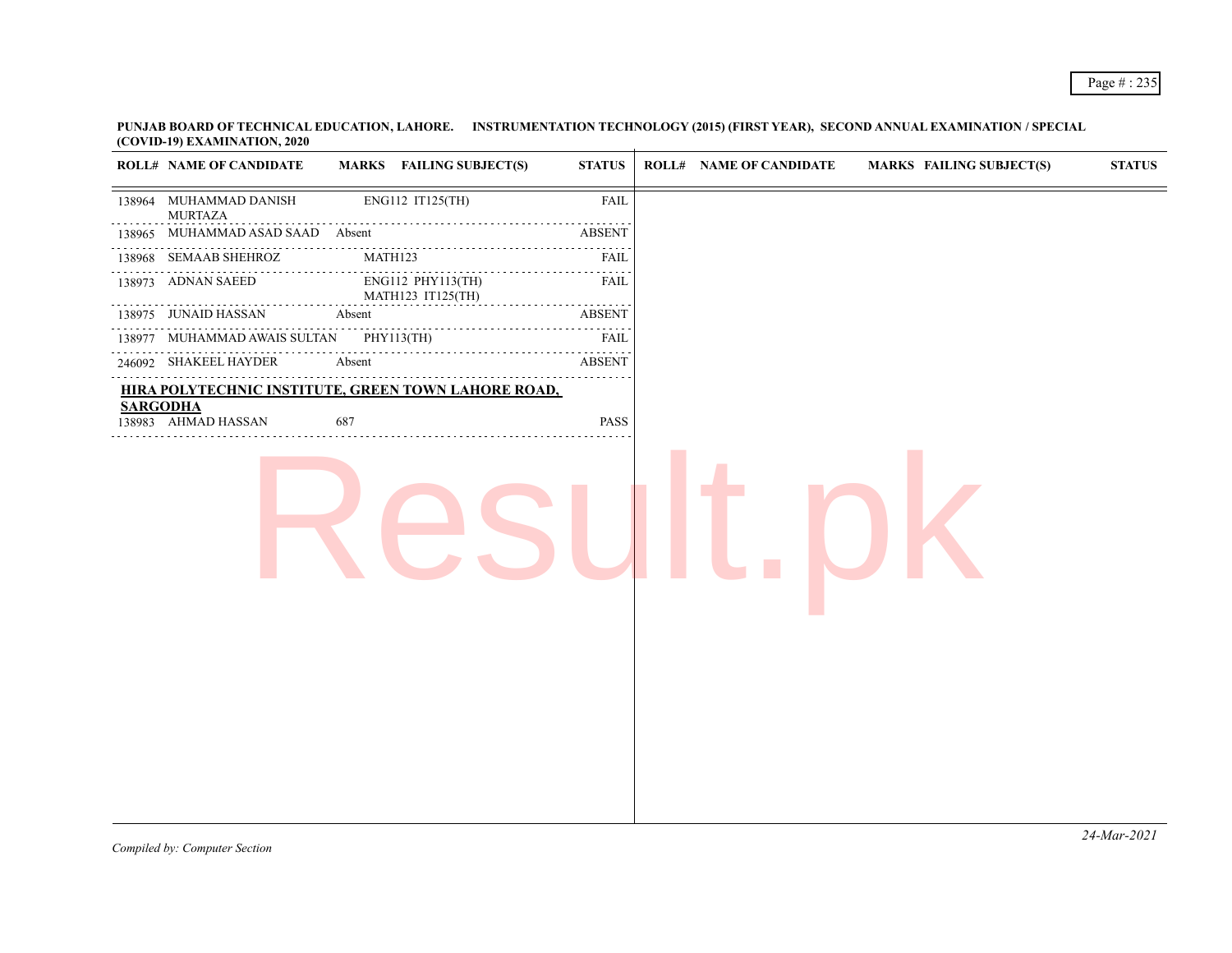**PUNJAB BOARD OF TECHNICAL EDUCATION, LAHORE. INSTRUMENTATION TECHNOLOGY (2015) (FIRST YEAR), SECOND ANNUAL EXAMINATION / SPECIAL (COVID-19) EXAMINATION, 2020** ÷.

| <b>ROLL# NAME OF CANDIDATE</b>                      |        | MARKS FAILING SUBJECT(S)               | <b>STATUS</b> | <b>ROLL# NAME OF CANDIDATE</b> | <b>MARKS FAILING SUBJECT(S)</b> | <b>STATUS</b> |
|-----------------------------------------------------|--------|----------------------------------------|---------------|--------------------------------|---------------------------------|---------------|
| 138964 MUHAMMAD DANISH<br><b>MURTAZA</b>            |        | ENG112 IT125(TH)                       | <b>FAIL</b>   |                                |                                 |               |
| 138965 MUHAMMAD ASAD SAAD Absent                    |        |                                        | <b>ABSENT</b> |                                |                                 |               |
| 138968 SEMAAB SHEHROZ                               |        | MATH123                                | FAIL          |                                |                                 |               |
| 138973 ADNAN SAEED                                  |        | ENG112 PHY113(TH)<br>MATH123 IT125(TH) | FAIL          |                                |                                 |               |
| 138975 JUNAID HASSAN                                | Absent |                                        | <b>ABSENT</b> |                                |                                 |               |
| 138977 MUHAMMAD AWAIS SULTAN PHY113(TH)<br>.        |        |                                        | FAIL          |                                |                                 |               |
| 246092 SHAKEEL HAYDER                               | Absent |                                        | <b>ABSENT</b> |                                |                                 |               |
| HIRA POLYTECHNIC INSTITUTE, GREEN TOWN LAHORE ROAD, |        |                                        |               |                                |                                 |               |
| <b>SARGODHA</b><br>138983 AHMAD HASSAN              | 687    |                                        | PASS          |                                |                                 |               |
|                                                     |        |                                        |               |                                |                                 |               |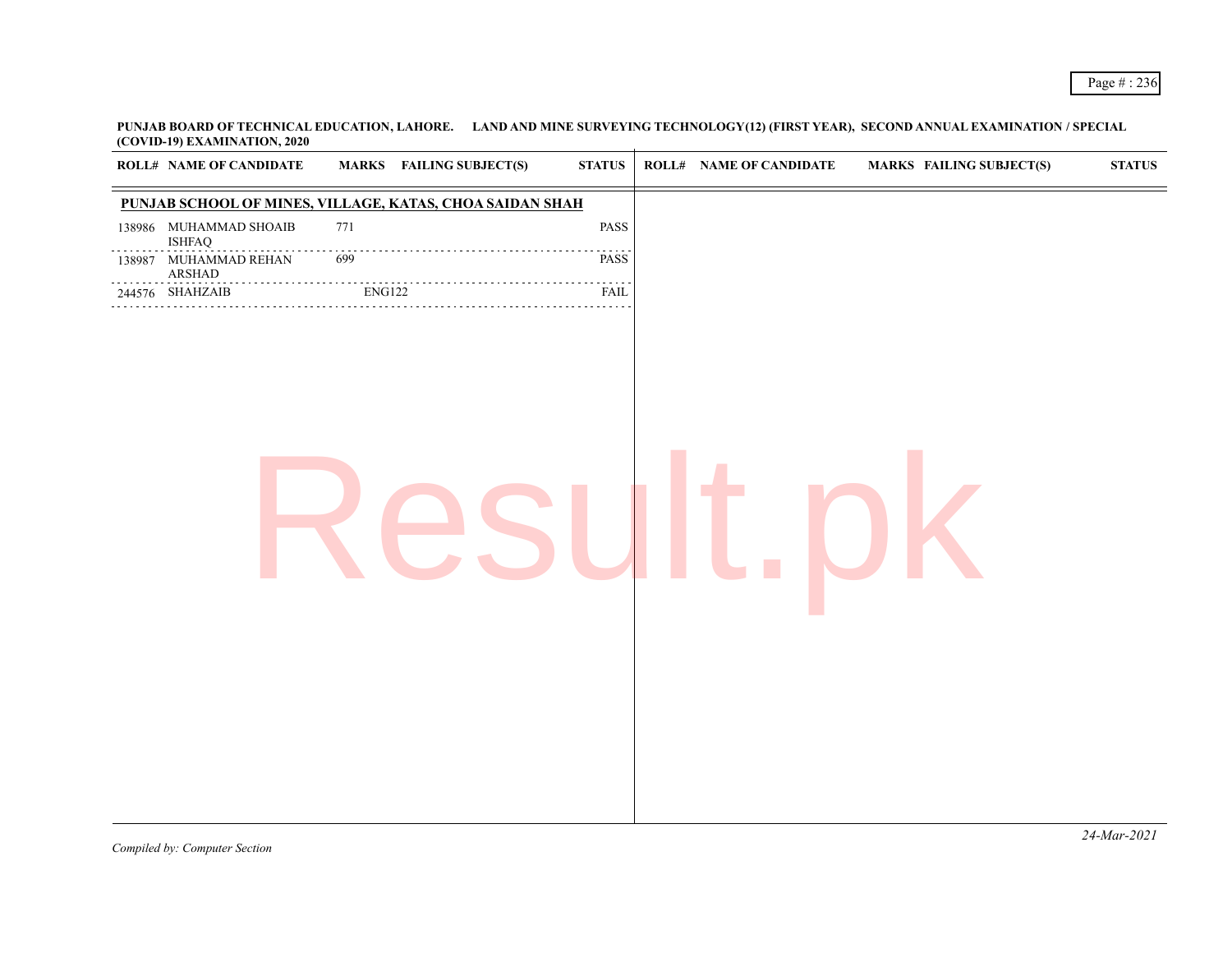**PUNJAB BOARD OF TECHNICAL EDUCATION, LAHORE. LAND AND MINE SURVEYING TECHNOLOGY(12) (FIRST YEAR), SECOND ANNUAL EXAMINATION / SPECIAL (COVID-19) EXAMINATION, 2020**

| PUNJAB SCHOOL OF MINES, VILLAGE, KATAS, CHOA SAIDAN SHAH<br>138986 MUHAMMAD SHOAIB<br>771<br>PASS<br><b>ISHFAQ</b><br>PASS<br>699<br>MUHAMMAD REHAN<br>138987<br>${\bf ARSHAD}$<br><b>ENG122</b><br>244576 SHAHZAIB<br>FAIL | <b>ROLL# NAME OF CANDIDATE</b> | <b>MARKS</b> FAILING SUBJECT(S) | $\boldsymbol{\text{STATUS}}$ | <b>ROLL# NAME OF CANDIDATE</b> | <b>MARKS FAILING SUBJECT(S)</b> | $\boldsymbol{\text{STATUS}}$ |
|-----------------------------------------------------------------------------------------------------------------------------------------------------------------------------------------------------------------------------|--------------------------------|---------------------------------|------------------------------|--------------------------------|---------------------------------|------------------------------|
|                                                                                                                                                                                                                             |                                |                                 |                              |                                |                                 |                              |
|                                                                                                                                                                                                                             |                                |                                 |                              |                                |                                 |                              |
|                                                                                                                                                                                                                             |                                |                                 |                              |                                |                                 |                              |
|                                                                                                                                                                                                                             |                                |                                 |                              |                                |                                 |                              |
|                                                                                                                                                                                                                             |                                |                                 |                              |                                |                                 | $24$ -Mar-2021               |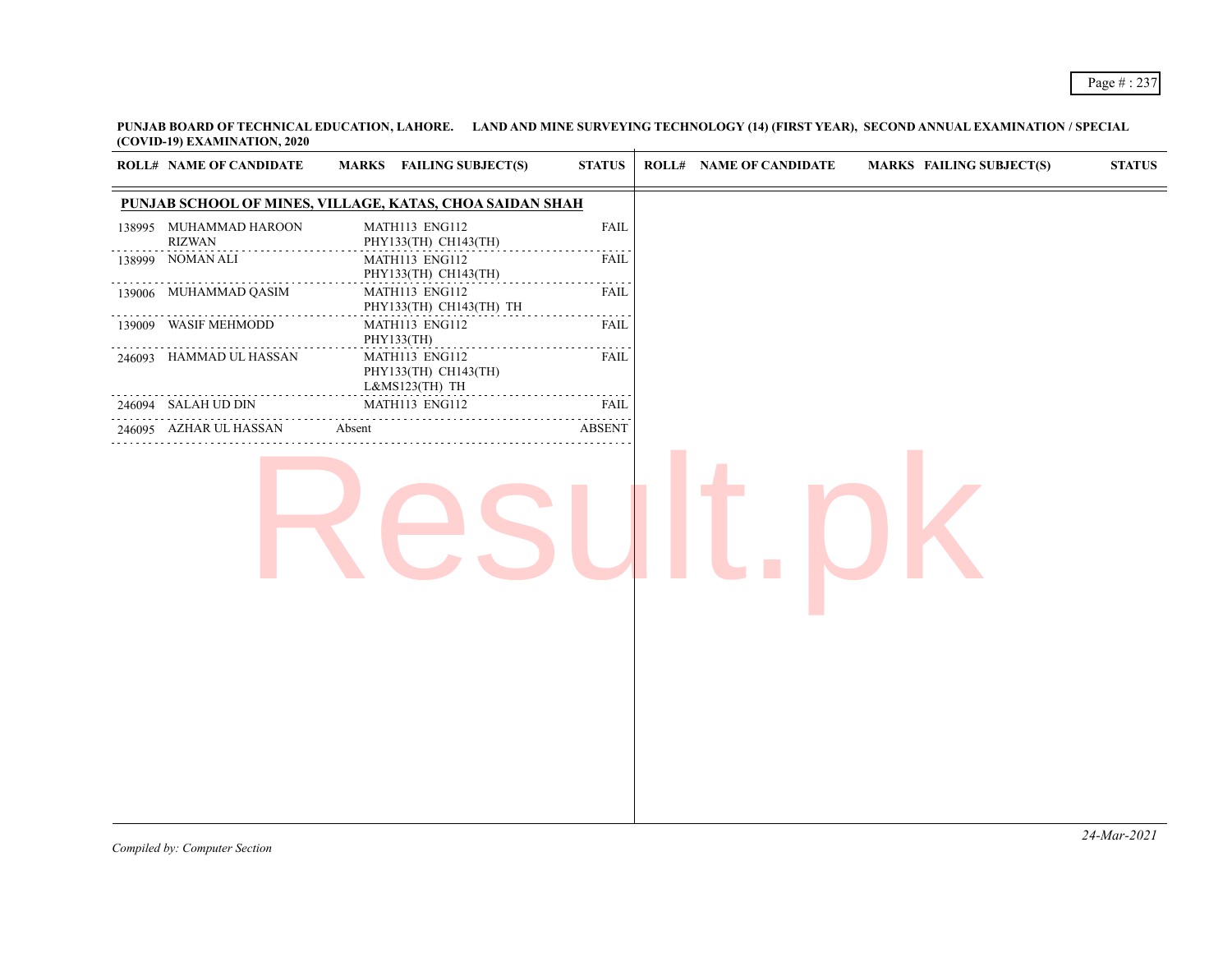**PUNJAB BOARD OF TECHNICAL EDUCATION, LAHORE. LAND AND MINE SURVEYING TECHNOLOGY (14) (FIRST YEAR), SECOND ANNUAL EXAMINATION / SPECIAL (COVID-19) EXAMINATION, 2020**

| <b>ROLL# NAME OF CANDIDATE</b>          | MARKS FAILING SUBJECT(S)                                 | <b>STATUS</b>                              | <b>ROLL# NAME OF CANDIDATE</b> | <b>MARKS FAILING SUBJECT(S)</b> | $\boldsymbol{\text{STATUS}}$ |
|-----------------------------------------|----------------------------------------------------------|--------------------------------------------|--------------------------------|---------------------------------|------------------------------|
|                                         | PUNJAB SCHOOL OF MINES, VILLAGE, KATAS, CHOA SAIDAN SHAH |                                            |                                |                                 |                              |
| 138995 MUHAMMAD HAROON<br><b>RIZWAN</b> | MATH113 ENG112<br>PHY133(TH) CH143(TH)                   | <b>FAIL</b>                                |                                |                                 |                              |
| 138999 NOMAN ALI                        | MATH113 ENG112<br>PHY133(TH) CH143(TH)                   | <b>FAIL</b><br>$\sim$ $\sim$ $\sim$ $\sim$ |                                |                                 |                              |
| 139006 MUHAMMAD QASIM                   | MATH113 ENG112<br>PHY133(TH) CH143(TH) TH                | <b>FAIL</b>                                |                                |                                 |                              |
| 139009 WASIF MEHMODD                    | MATH113 ENG112<br>PHY133(TH)                             | FAIL                                       |                                |                                 |                              |
| 246093 HAMMAD UL HASSAN                 | MATH113 ENG112<br>PHY133(TH) CH143(TH)<br>L&MS123(TH) TH | <b>FAIL</b>                                |                                |                                 |                              |
| 246094 SALAH UD DIN                     | MATH113 ENG112                                           | FAIL<br>$\sim$ $\sim$ $\sim$ $\sim$        |                                |                                 |                              |
| 246095 AZHAR UL HASSAN                  | Absent                                                   | <b>ABSENT</b>                              |                                |                                 |                              |
|                                         |                                                          |                                            |                                |                                 |                              |
|                                         |                                                          |                                            |                                |                                 |                              |
|                                         |                                                          |                                            |                                |                                 |                              |
|                                         |                                                          |                                            |                                |                                 |                              |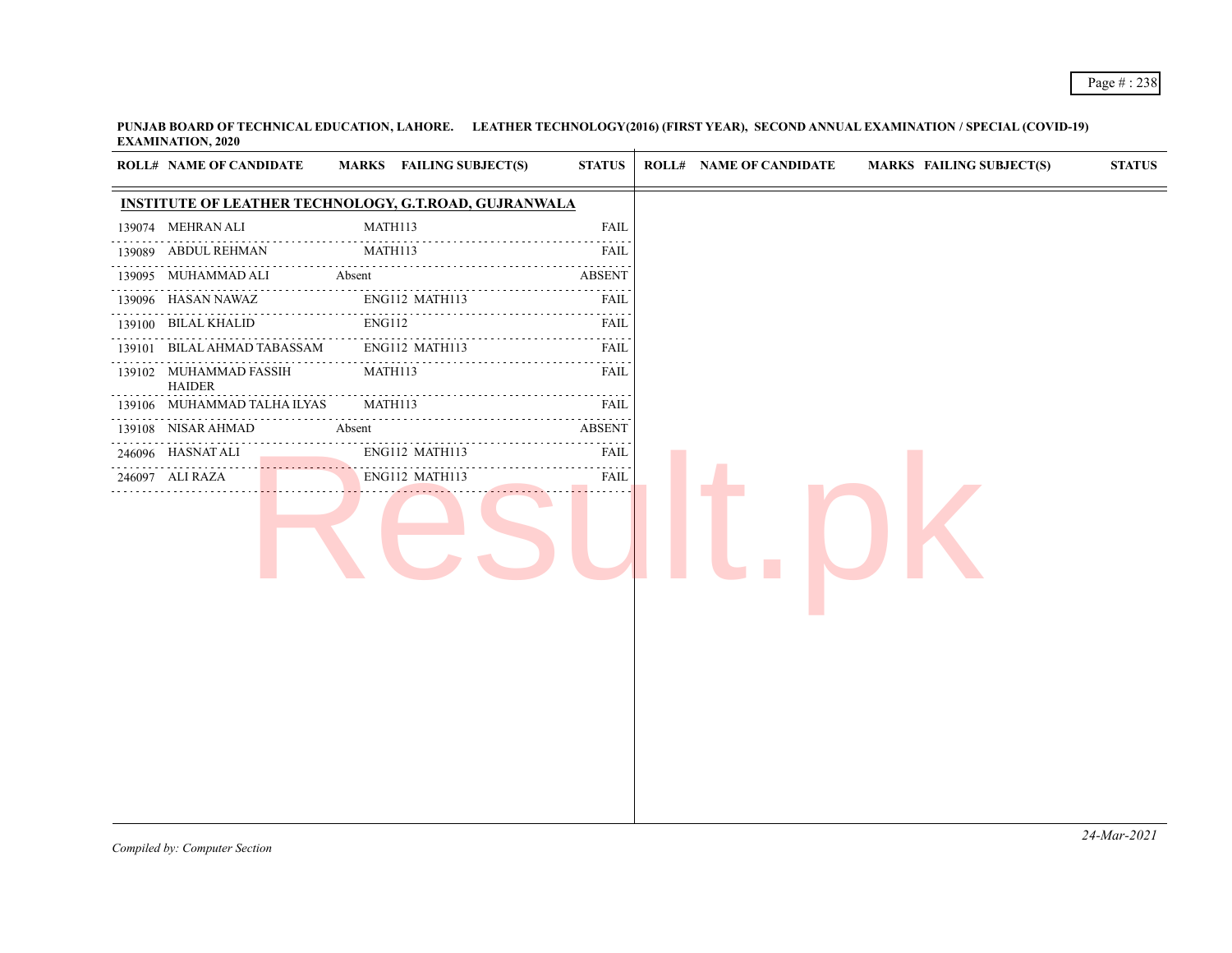**PUNJAB BOARD OF TECHNICAL EDUCATION, LAHORE. LEATHER TECHNOLOGY(2016) (FIRST YEAR), SECOND ANNUAL EXAMINATION / SPECIAL (COVID-19) EXAMINATION, 2020**

| <b>INSTITUTE OF LEATHER TECHNOLOGY, G.T.ROAD, GUJRANWALA</b><br>MATH113<br>139074 MEHRAN ALI<br><b>FAIL</b><br>139089 ABDUL REHMAN<br>MATH113<br>FAIL<br>.<br><b>ABSENT</b><br>139095 MUHAMMAD ALI<br>Absent<br>.<br>139096 HASAN NAWAZ<br>ENG112 MATH113<br>FAIL<br>.<br><b>ENG112</b><br>139100 BILAL KHALID<br><b>FAIL</b><br>.<br><u>.</u><br>BILAL AHMAD TABASSAM<br>ENG112 MATH113<br><b>FAIL</b><br>139101<br>139102 MUHAMMAD FASSIH<br>MATH113<br>FAIL<br><b>HAIDER</b><br>$\sim$ $\sim$ $\sim$ $\sim$<br>139106 MUHAMMAD TALHA ILYAS<br>MATH113<br>FAIL<br>.<br>.<br>$- - - - - -$<br>139108 NISAR AHMAD<br><b>ABSENT</b><br>Absent<br>ENG112 MATH113<br>246096 HASNAT ALI<br>FAIL<br>$\omega$ is a second set of $\omega$<br>ENG112 MATH113<br><b>FAIL</b><br>246097 ALI RAZA |  | <b>ROLL# NAME OF CANDIDATE</b> | MARKS FAILING SUBJECT(S) | <b>STATUS</b> | <b>ROLL# NAME OF CANDIDATE</b> | <b>MARKS FAILING SUBJECT(S)</b> | <b>STATUS</b> |
|-----------------------------------------------------------------------------------------------------------------------------------------------------------------------------------------------------------------------------------------------------------------------------------------------------------------------------------------------------------------------------------------------------------------------------------------------------------------------------------------------------------------------------------------------------------------------------------------------------------------------------------------------------------------------------------------------------------------------------------------------------------------------------------------|--|--------------------------------|--------------------------|---------------|--------------------------------|---------------------------------|---------------|
|                                                                                                                                                                                                                                                                                                                                                                                                                                                                                                                                                                                                                                                                                                                                                                                         |  |                                |                          |               |                                |                                 |               |
|                                                                                                                                                                                                                                                                                                                                                                                                                                                                                                                                                                                                                                                                                                                                                                                         |  |                                |                          |               |                                |                                 |               |
|                                                                                                                                                                                                                                                                                                                                                                                                                                                                                                                                                                                                                                                                                                                                                                                         |  |                                |                          |               |                                |                                 |               |
|                                                                                                                                                                                                                                                                                                                                                                                                                                                                                                                                                                                                                                                                                                                                                                                         |  |                                |                          |               |                                |                                 |               |
|                                                                                                                                                                                                                                                                                                                                                                                                                                                                                                                                                                                                                                                                                                                                                                                         |  |                                |                          |               |                                |                                 |               |
|                                                                                                                                                                                                                                                                                                                                                                                                                                                                                                                                                                                                                                                                                                                                                                                         |  |                                |                          |               |                                |                                 |               |
|                                                                                                                                                                                                                                                                                                                                                                                                                                                                                                                                                                                                                                                                                                                                                                                         |  |                                |                          |               |                                |                                 |               |
|                                                                                                                                                                                                                                                                                                                                                                                                                                                                                                                                                                                                                                                                                                                                                                                         |  |                                |                          |               |                                |                                 |               |
|                                                                                                                                                                                                                                                                                                                                                                                                                                                                                                                                                                                                                                                                                                                                                                                         |  |                                |                          |               |                                |                                 |               |
|                                                                                                                                                                                                                                                                                                                                                                                                                                                                                                                                                                                                                                                                                                                                                                                         |  |                                |                          |               |                                |                                 |               |
|                                                                                                                                                                                                                                                                                                                                                                                                                                                                                                                                                                                                                                                                                                                                                                                         |  |                                |                          |               |                                |                                 |               |
|                                                                                                                                                                                                                                                                                                                                                                                                                                                                                                                                                                                                                                                                                                                                                                                         |  |                                |                          |               |                                |                                 |               |
|                                                                                                                                                                                                                                                                                                                                                                                                                                                                                                                                                                                                                                                                                                                                                                                         |  |                                |                          |               |                                |                                 |               |
|                                                                                                                                                                                                                                                                                                                                                                                                                                                                                                                                                                                                                                                                                                                                                                                         |  |                                |                          |               |                                |                                 |               |
|                                                                                                                                                                                                                                                                                                                                                                                                                                                                                                                                                                                                                                                                                                                                                                                         |  |                                |                          |               |                                |                                 |               |
|                                                                                                                                                                                                                                                                                                                                                                                                                                                                                                                                                                                                                                                                                                                                                                                         |  |                                |                          |               |                                |                                 |               |
|                                                                                                                                                                                                                                                                                                                                                                                                                                                                                                                                                                                                                                                                                                                                                                                         |  |                                |                          |               |                                |                                 |               |
|                                                                                                                                                                                                                                                                                                                                                                                                                                                                                                                                                                                                                                                                                                                                                                                         |  |                                |                          |               |                                |                                 |               |
|                                                                                                                                                                                                                                                                                                                                                                                                                                                                                                                                                                                                                                                                                                                                                                                         |  |                                |                          |               |                                |                                 |               |
|                                                                                                                                                                                                                                                                                                                                                                                                                                                                                                                                                                                                                                                                                                                                                                                         |  |                                |                          |               |                                |                                 |               |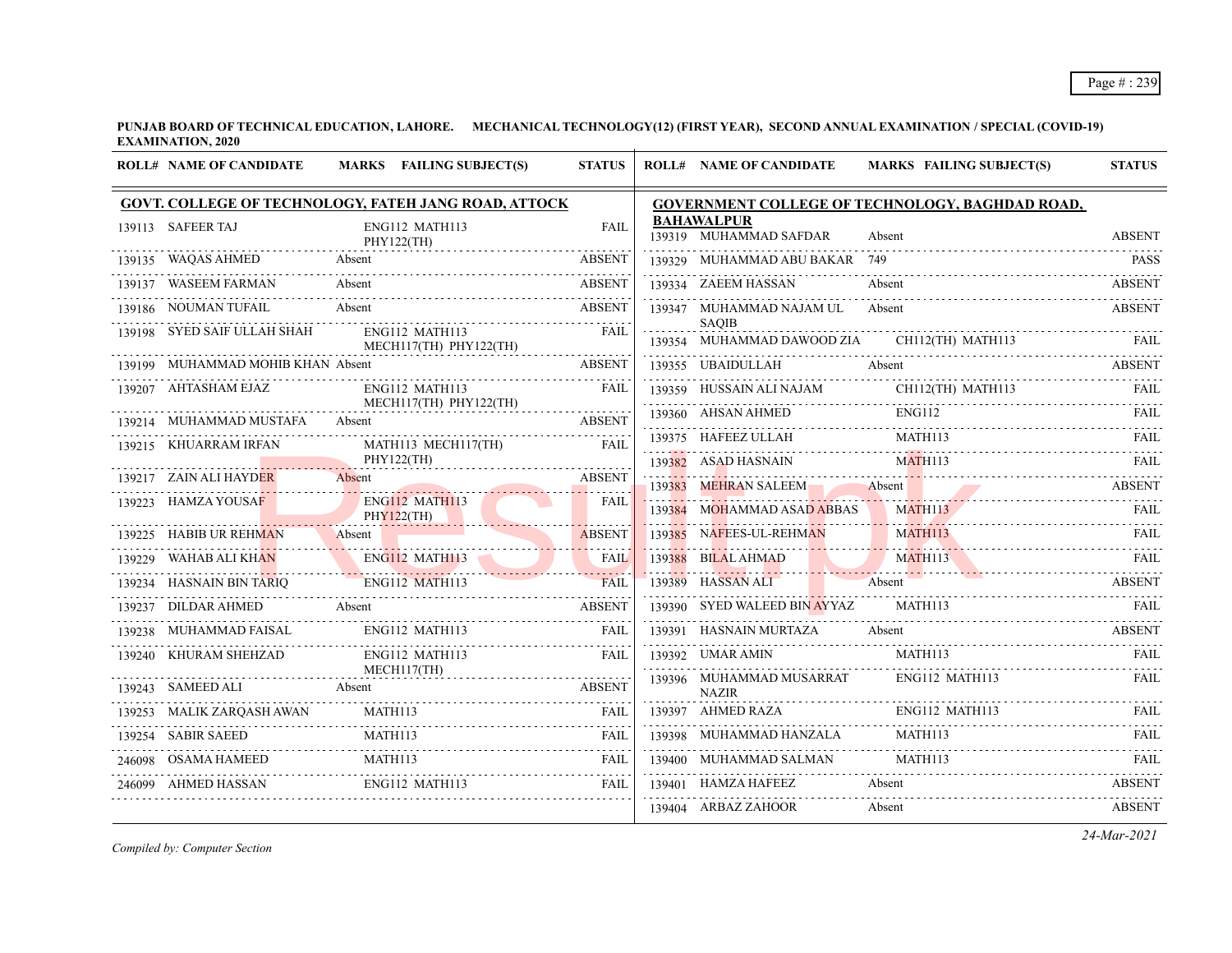**PUNJAB BOARD OF TECHNICAL EDUCATION, LAHORE. MECHANICAL TECHNOLOGY(12) (FIRST YEAR), SECOND ANNUAL EXAMINATION / SPECIAL (COVID-19) EXAMINATION, 2020**

| <b>ROLL# NAME OF CANDIDATE</b>        | MARKS FAILING SUBJECT(S)                                                                    | <b>STATUS</b> | <b>ROLL# NAME OF CANDIDATE</b>              | <b>MARKS FAILING SUBJECT(S)</b>                                                                                                                                                                                                                                                                                                                                                                                                                                             | <b>STATUS</b> |
|---------------------------------------|---------------------------------------------------------------------------------------------|---------------|---------------------------------------------|-----------------------------------------------------------------------------------------------------------------------------------------------------------------------------------------------------------------------------------------------------------------------------------------------------------------------------------------------------------------------------------------------------------------------------------------------------------------------------|---------------|
|                                       | GOVT. COLLEGE OF TECHNOLOGY, FATEH JANG ROAD, ATTOCK                                        |               |                                             | <b>GOVERNMENT COLLEGE OF TECHNOLOGY, BAGHDAD ROAD,</b>                                                                                                                                                                                                                                                                                                                                                                                                                      |               |
| 139113 SAFEER TAJ                     | ENG112 MATH113<br>PHY122(TH)                                                                | <b>FAIL</b>   | <b>BAHAWALPUR</b><br>139319 MUHAMMAD SAFDAR | Absent                                                                                                                                                                                                                                                                                                                                                                                                                                                                      | <b>ABSENT</b> |
| 139135 WAQAS AHMED                    | Absent                                                                                      | <b>ABSENT</b> | 139329 MUHAMMAD ABU BAKAR 749               |                                                                                                                                                                                                                                                                                                                                                                                                                                                                             | PASS          |
| 139137 WASEEM FARMAN                  | Absent                                                                                      | <b>ABSENT</b> | 139334 ZAEEM HASSAN                         | Absent<br>                                                                                                                                                                                                                                                                                                                                                                                                                                                                  | ABSENT        |
| 139186 NOUMAN TUFAIL                  | Absent<br>Absent    ABSENT                                                                  | <b>ABSENT</b> | 139347 MUHAMMAD NAJAM UL                    | Absent                                                                                                                                                                                                                                                                                                                                                                                                                                                                      | <b>ABSENT</b> |
| 139198 SYED SAIF ULLAH SHAH           | ENG112 MATH113<br>MECH117(TH) PHY122(TH)                                                    | FAIL          | <b>SAOIB</b>                                | 139354 MUHAMMAD DAWOOD ZIA CH112(TH) MATH113 FAIL                                                                                                                                                                                                                                                                                                                                                                                                                           |               |
| 139199 MUHAMMAD MOHIB KHAN Absent     |                                                                                             | <b>ABSENT</b> |                                             | 139355 UBAIDULLAH Absent ABSENT                                                                                                                                                                                                                                                                                                                                                                                                                                             |               |
| 139207 AHTASHAM EJAZ                  | ENG112 MATH113                                                                              | FAIL          |                                             |                                                                                                                                                                                                                                                                                                                                                                                                                                                                             |               |
| 139214 MUHAMMAD MUSTAFA               | MECH117(TH) PHY122(TH)<br>Absent                                                            | ABSENT        |                                             |                                                                                                                                                                                                                                                                                                                                                                                                                                                                             |               |
| 139215 KHUARRAM IRFAN                 | MATH113 MECH117(TH)                                                                         | <b>FAIL</b>   |                                             | $\begin{tabular}{lllllll} \bf 139375 & HAFEEZ ULLAH & \multicolumn{2}{l} \multicolumn{2}{l} \multicolumn{2}{l} \multicolumn{2}{l} \multicolumn{2}{l} \multicolumn{2}{l} \multicolumn{2}{l} \multicolumn{2}{l} \multicolumn{2}{l} \multicolumn{2}{l} \multicolumn{2}{l} \multicolumn{2}{l} \multicolumn{2}{l} \multicolumn{2}{l} \multicolumn{2}{l} \multicolumn{2}{l} \multicolumn{2}{l} \multicolumn{2}{l} \multicolumn{2}{l} \multicolumn{2}{l} \multicolumn{2}{l} \mult$ |               |
|                                       | PHY122(TH)                                                                                  |               | 139382 ASAD HASNAIN                         | MATH113                                                                                                                                                                                                                                                                                                                                                                                                                                                                     | <b>FAIL</b>   |
| 139217 ZAIN ALI HAYDER                |                                                                                             | <b>ABSENT</b> | 139383 MEHRAN SALEEM Absent                 | 139383 MEHRAN SALEEM Absent ABSENT                                                                                                                                                                                                                                                                                                                                                                                                                                          |               |
| 139223 HAMZA YOUSAF                   | ENG112 MATH113<br>PHY122(TH)                                                                | <b>FAIL</b>   | 139384 MOHAMMAD ASAD ABBAS                  | MATH113<br><u> WILLY March 1999 - Ann an British March 1999 - Ann an Dùbhaist an Dùbhaist an Dùbhaist an Dùbhaist an Dùbhais</u>                                                                                                                                                                                                                                                                                                                                            | <b>FAIL</b>   |
| 139225 HABIB UR REHMAN Absent         |                                                                                             | ABSENT        |                                             | 139385 NAFEES-UL-REHMAN MATH113 FAIL                                                                                                                                                                                                                                                                                                                                                                                                                                        |               |
|                                       |                                                                                             |               |                                             | 139388 BILALAHMAD MATH113 FAIL                                                                                                                                                                                                                                                                                                                                                                                                                                              |               |
|                                       | 139229 WAHAB ALI KHAN ENGLI2 MATHI13 FAIL TANK RAIL 139234 HASNAIN BIN TARIQ ENGLI2 MATHI13 |               | 139389 HASSAN ALI Absent                    | Absent ABSENT                                                                                                                                                                                                                                                                                                                                                                                                                                                               | <b>ABSENT</b> |
|                                       | 139237 DILDAR AHMED Absent ABSENT                                                           |               |                                             |                                                                                                                                                                                                                                                                                                                                                                                                                                                                             |               |
| 139238 MUHAMMAD FAISAL ENG112 MATH113 |                                                                                             | FAIL          | 139391 HASNAIN MURTAZA                      | Absent                                                                                                                                                                                                                                                                                                                                                                                                                                                                      | ABSENT        |
| 139240 KHURAM SHEHZAD                 | ENG112 MATH113                                                                              | FAII.         | 139392 UMAR AMIN MATH113                    |                                                                                                                                                                                                                                                                                                                                                                                                                                                                             | FAII.         |
| 139243 SAMEED ALI Absent              | MECH117(TH)                                                                                 | ABSENT        | 139396 MUHAMMAD MUSARRAT<br><b>NAZIR</b>    | ENG112 MATH113                                                                                                                                                                                                                                                                                                                                                                                                                                                              | FAII.         |
|                                       |                                                                                             |               | 139397 AHMED RAZA ENG112 MATH113            |                                                                                                                                                                                                                                                                                                                                                                                                                                                                             | FAIL          |
| 139254 SABIR SAEED                    | MATH113                                                                                     | FAIL          | 139398 MUHAMMAD HANZALA                     | MATH113                                                                                                                                                                                                                                                                                                                                                                                                                                                                     | FAII.         |
|                                       | 246098 OSAMA HAMEED MATH113 FAIL                                                            |               | 139400 MUHAMMAD SALMAN                      | MATH113                                                                                                                                                                                                                                                                                                                                                                                                                                                                     | <b>FAIL</b>   |
| 246099 AHMED HASSAN ENG112 MATH113    |                                                                                             | FAII.         | 139401 HAMZA HAFEEZ                         | Absent                                                                                                                                                                                                                                                                                                                                                                                                                                                                      | <b>ABSENT</b> |
|                                       |                                                                                             |               | 139404 ARBAZ ZAHOOR                         | Absent                                                                                                                                                                                                                                                                                                                                                                                                                                                                      | <b>ABSENT</b> |

*Compiled by: Computer Section*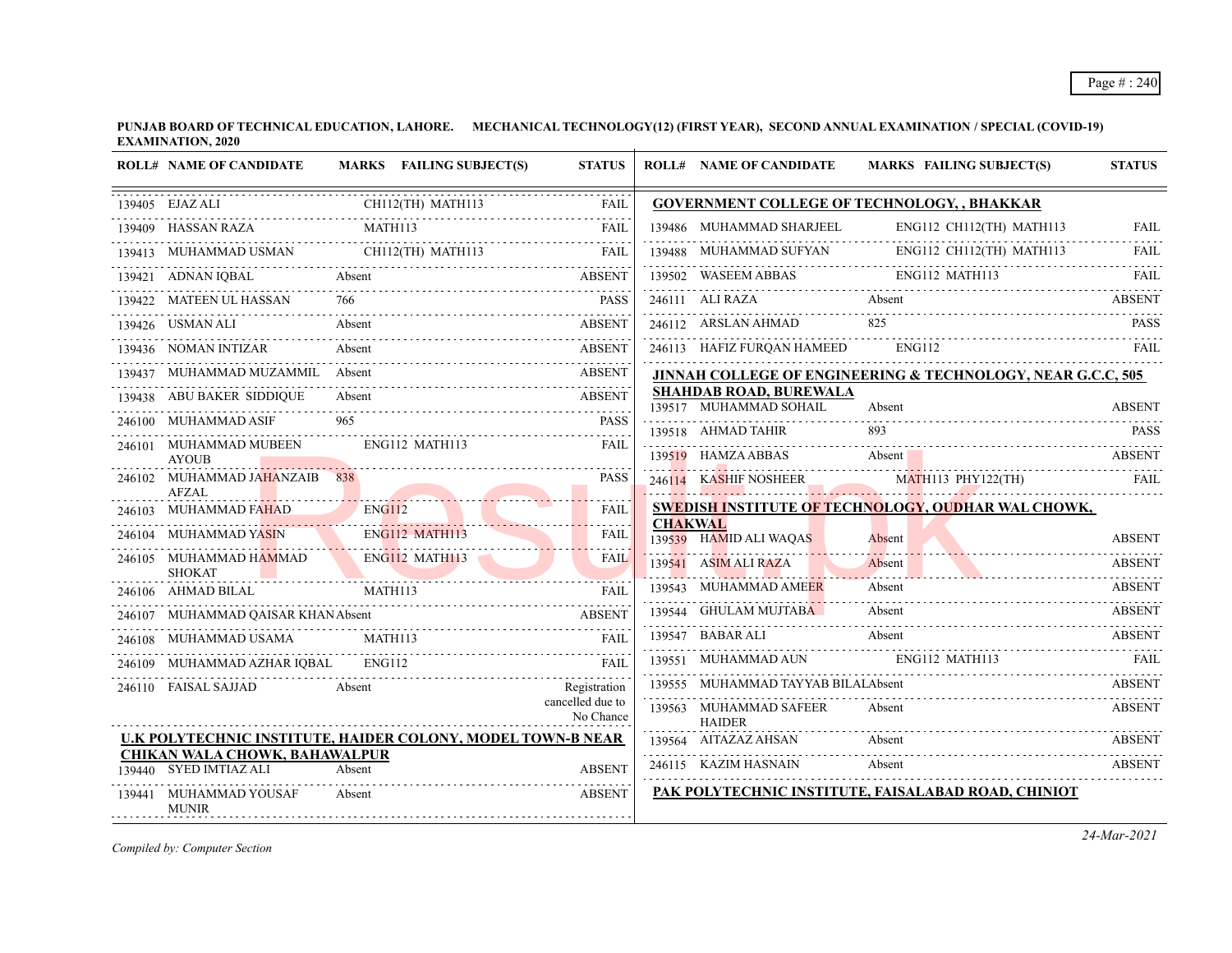**PUNJAB BOARD OF TECHNICAL EDUCATION, LAHORE. MECHANICAL TECHNOLOGY(12) (FIRST YEAR), SECOND ANNUAL EXAMINATION / SPECIAL (COVID-19) EXAMINATION, 2020**

|        | <b>ROLL# NAME OF CANDIDATE</b>                                                |                   | MARKS FAILING SUBJECT(S) | <b>STATUS</b>                 |                | <b>ROLL# NAME OF CANDIDATE</b>                          | <b>MARKS FAILING SUBJECT(S)</b>                                        | <b>STATUS</b> |
|--------|-------------------------------------------------------------------------------|-------------------|--------------------------|-------------------------------|----------------|---------------------------------------------------------|------------------------------------------------------------------------|---------------|
|        | 139405 EJAZ ALI                                                               | CH112(TH) MATH113 |                          | FAIL                          |                |                                                         | GOVERNMENT COLLEGE OF TECHNOLOGY, , BHAKKAR                            |               |
|        | 139409 HASSAN RAZA                                                            |                   | MATH113 FAIT             |                               |                | 139486 MUHAMMAD SHARJEEL                                | ENG112 CH112(TH) MATH113                                               | <b>FAIL</b>   |
|        | 139413 MUHAMMAD USMAN CHI12(TH) MATH113 FAIL 139421 ADNAN IQBAL Absent ABSENT |                   |                          |                               |                |                                                         | 139488 MUHAMMAD SUFYAN ENG112 CH112(TH) MATH113 FAIL                   |               |
|        |                                                                               |                   |                          |                               |                | 139502 WASEEM ABBAS                                     | <b>ENG112 MATH113</b>                                                  | - FAIL        |
|        | 139422 MATEEN UL HASSAN                                                       |                   |                          | <b>PASS</b>                   |                | 246111 ALI RAZA<br><b>Example 21</b> Absent             |                                                                        | <b>ABSENT</b> |
|        | 139426 USMAN ALI<br>99426 USMAN ALI Absent ABSENT                             | Absent            |                          |                               |                | 246112 ARSLAN AHMAD                                     | 825                                                                    | <b>PASS</b>   |
|        | 139436 NOMAN INTIZAR                                                          | Absent            |                          | <b>ABSENT</b>                 |                | 246113 HAFIZ FURQAN HAMEED                              | ENG112                                                                 | FAIL          |
|        | 139437 MUHAMMAD MUZAMMIL Absent                                               |                   |                          | ABSENT                        |                |                                                         | <b>JINNAH COLLEGE OF ENGINEERING &amp; TECHNOLOGY, NEAR G.C.C, 505</b> |               |
|        | 139438 ABU BAKER SIDDIQUE                                                     | Absent            |                          | <b>ABSENT</b>                 |                | <b>SHAHDAB ROAD, BUREWALA</b><br>139517 MUHAMMAD SOHAIL | Absent                                                                 | <b>ABSENT</b> |
|        | 246100 MUHAMMAD ASIF                                                          | 965               |                          | <b>PASS</b>                   |                | 139518 AHMAD TAHIR                                      | 893                                                                    | <b>PASS</b>   |
|        | 246101 MUHAMMAD MUBEEN<br><b>AYOUB</b>                                        | ENG112 MATH113    |                          | <b>FAIL</b>                   |                | 139519 HAMZA ABBAS                                      | MZA ABBAS Absent ABSENT                                                |               |
|        | 246102 MUHAMMAD JAHANZAIB 838<br><b>AFZAL</b>                                 |                   |                          | PASS                          |                |                                                         | 246114 KASHIF NOSHEER MATH113 PHY122(TH) FAIL                          |               |
| 246103 | MUHAMMAD FAHAD                                                                | ENG112            |                          | <b>FAIL</b>                   |                |                                                         | SWEDISH INSTITUTE OF TECHNOLOGY, OUDHAR WAL CHOWK,                     |               |
|        | 246104 MUHAMMAD YASIN                                                         | ENG112 MATH113    |                          | FAIL                          | <b>CHAKWAL</b> | 139539 HAMID ALI WAQAS                                  | Absent                                                                 | <b>ABSENT</b> |
|        | 246105 MUHAMMAD HAMMAD<br><b>SHOKAT</b>                                       | ENG112 MATH113    |                          | FAIL                          |                | 139541 ASIM ALI RAZA                                    | Absent                                                                 | <b>ABSENT</b> |
|        | 246106 AHMAD BILAL                                                            | MATH113           |                          | <b>FAII</b>                   |                | 139543 MUHAMMAD AMEER                                   | Absent                                                                 | ABSENT        |
|        | 246107 MUHAMMAD QAISAR KHAN Absent                                            |                   |                          | ABSENT                        |                | 139544 GHULAM MUJTABA                                   | Absent                                                                 | ABSENT        |
|        | 246108 MUHAMMAD USAMA                                                         | <b>MATH113</b>    |                          | FAIL                          |                | 139547 BABAR ALI                                        | Absent                                                                 | <b>ABSENT</b> |
|        | 246109 MUHAMMAD AZHAR IQBAL                                                   |                   | FAIL<br>AR IQBAL ENGI12  |                               |                |                                                         | 139551 MUHAMMAD AUN ENG112 MATH113 FAIL                                |               |
|        | 246110 FAISAL SAJJAD                                                          | Absent            |                          | Registration                  |                | 139555 MUHAMMAD TAYYAB BILALAbsent                      |                                                                        | ABSENT        |
|        |                                                                               |                   |                          | cancelled due to<br>No Chance |                | 139563 MUHAMMAD SAFEER<br><b>HAIDER</b>                 | Absent                                                                 | <b>ABSENT</b> |
|        | U.K POLYTECHNIC INSTITUTE, HAIDER COLONY, MODEL TOWN-B NEAR                   |                   |                          |                               |                | 139564 AITAZAZ AHSAN                                    | Absent                                                                 | <b>ABSENT</b> |
|        | <b>CHIKAN WALA CHOWK, BAHAWALPUR</b><br>139440 SYED IMTIAZ ALI                | Absent            |                          | <b>ABSENT</b>                 |                | 246115 KAZIM HASNAIN                                    | Absent                                                                 | <b>ABSENT</b> |
|        | 139441 MUHAMMAD YOUSAF<br><b>MUNIR</b>                                        | Absent            |                          | <b>ABSENT</b>                 |                |                                                         | PAK POLYTECHNIC INSTITUTE, FAISALABAD ROAD, CHINIOT                    |               |

*Compiled by: Computer Section*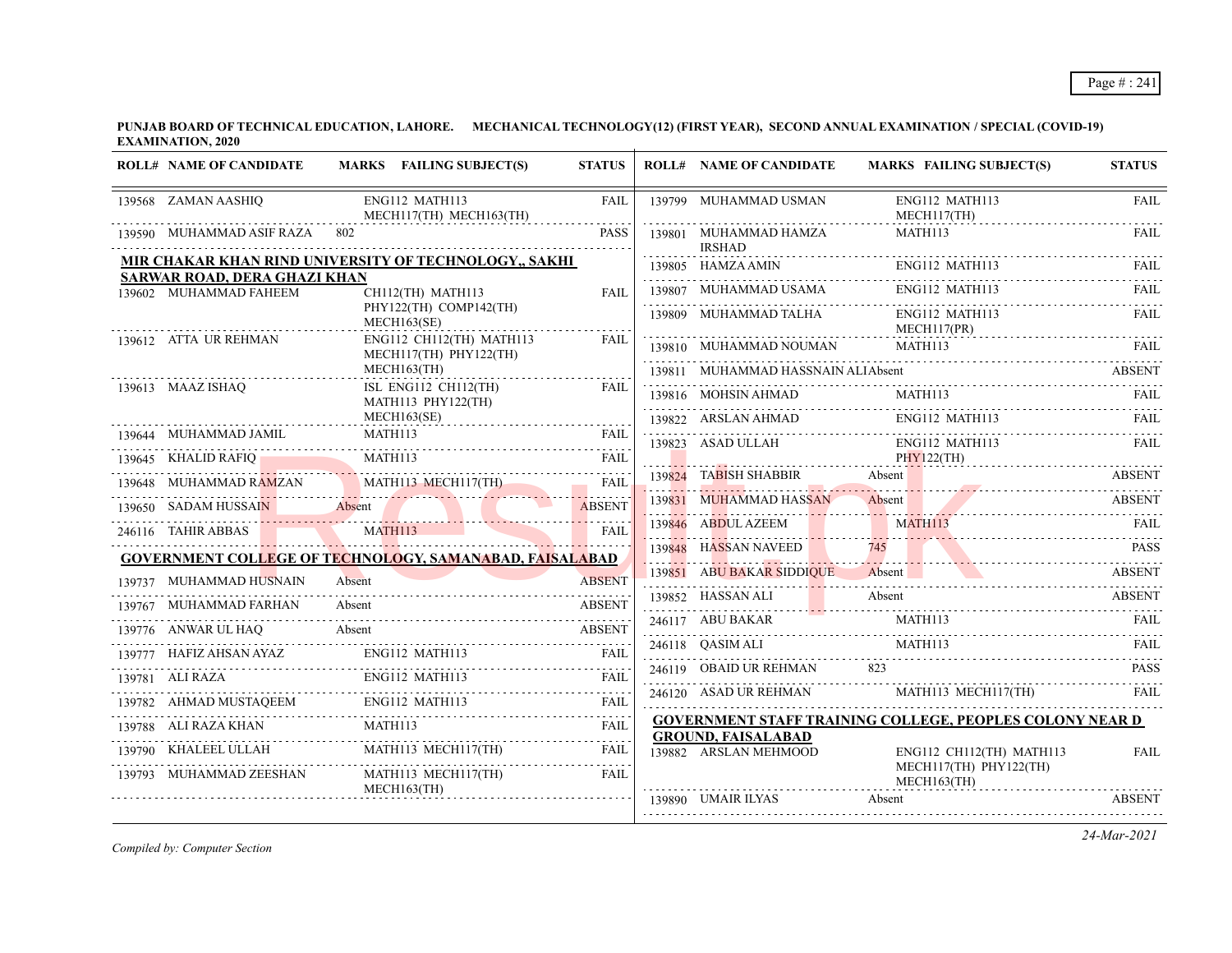**PUNJAB BOARD OF TECHNICAL EDUCATION, LAHORE. MECHANICAL TECHNOLOGY(12) (FIRST YEAR), SECOND ANNUAL EXAMINATION / SPECIAL (COVID-19) EXAMINATION, 2020**

| <b>ROLL# NAME OF CANDIDATE</b>                         | MARKS FAILING SUBJECT(S)                                                    | <b>STATUS</b> | <b>ROLL# NAME OF CANDIDATE</b>                     | <b>MARKS FAILING SUBJECT(S)</b>                                                               | <b>STATUS</b> |
|--------------------------------------------------------|-----------------------------------------------------------------------------|---------------|----------------------------------------------------|-----------------------------------------------------------------------------------------------|---------------|
| 139568 ZAMAN AASHIQ                                    | ENG112 MATH113<br>MECH117(TH) MECH163(TH)                                   | <b>FAIL</b>   | 139799 MUHAMMAD USMAN                              | ENG112 MATH113<br>$MECH117$ (TH)                                                              | <b>FAIL</b>   |
| 139590 MUHAMMAD ASIF RAZA                              | 802                                                                         | <b>PASS</b>   | 139801 MUHAMMAD HAMZA<br><b>IRSHAD</b>             | MATH113                                                                                       | <b>FAIL</b>   |
|                                                        | MIR CHAKAR KHAN RIND UNIVERSITY OF TECHNOLOGY,, SAKHI                       |               | 139805 HAMZA AMIN                                  | ENG112 MATH113                                                                                | FAIL          |
| SARWAR ROAD, DERA GHAZI KHAN<br>139602 MUHAMMAD FAHEEM | CH112(TH) MATH113                                                           | <b>FAIL</b>   | 139807 MUHAMMAD USAMA                              | ENG112 MATH113                                                                                | FAIL.         |
|                                                        | PHY122(TH) COMP142(TH)<br>MECH163(SE)                                       |               | 139809 MUHAMMAD TALHA                              | ENG112 MATH113<br>MECH117(PR)                                                                 | FAIL          |
| 139612 ATTA UR REHMAN                                  | ENG112 CH112(TH) MATH113<br>MECH117(TH) PHY122(TH)                          | <b>FAIL</b>   | 139810 MUHAMMAD NOUMAN                             | MATH113                                                                                       | FAIL.         |
|                                                        | MECH163(TH)                                                                 |               | 139811 MUHAMMAD HASSNAIN ALIAbsent                 |                                                                                               | <b>ABSENT</b> |
| 139613 MAAZ ISHAQ                                      | ISL ENG112 CH112(TH)<br>MATH113 PHY122(TH)                                  | FAIL          |                                                    | $\begin{tabular}{llllll} \bf 139816 & MOH SIN AHMAD & MATH113 & FAIL \\ \hline \end{tabular}$ |               |
|                                                        | MECH163(SE)                                                                 |               |                                                    | 139822 ARSLAN AHMAD ENG112 MATH113                                                            | FAIL.         |
| 139644 MUHAMMAD JAMIL                                  | MATH113                                                                     | FAIL          | 139823 ASAD ULLAH                                  | ENG112 MATH113                                                                                | <b>FAIL</b>   |
| 139645 KHALID RAFIQ                                    | MATH113                                                                     | <b>FAIL</b>   | 139824 TABISH SHABBIR Absent                       | PHY122(TH)                                                                                    | <b>ABSENT</b> |
|                                                        | MATH113 MECH117(TH)<br>139648 MUHAMMAD RAMZAN MATH113 MECH117(TH) FAIL      |               |                                                    |                                                                                               |               |
| 139650 SADAM HUSSAIN Absent                            |                                                                             | <b>ABSENT</b> | 139831 MUHAMMAD HASSAN Absent                      |                                                                                               | ABSENT        |
| 246116 TAHIR ABBAS                                     | MATH113                                                                     | FAII          | 139846 ABDUL AZEEM                                 | <b>MATH113</b>                                                                                | FAIL.         |
|                                                        | <b>GOVERNMENT COLLEGE OF TECHNOLOGY, SAMANABAD, FAISALABAD</b>              |               | 139848 HASSAN NAVEED                               | 745                                                                                           | <b>PASS</b>   |
| 139737 MUHAMMAD HUSNAIN                                | Absent                                                                      | <b>ABSENT</b> |                                                    | 139851 ABU BAKAR SIDDIQUE Absent ABSENT                                                       |               |
| 139767 MUHAMMAD FARHAN                                 | Absent                                                                      | <b>ABSENT</b> | 139852 HASSAN ALI                                  | Absent                                                                                        | <b>ABSENT</b> |
| 139776 ANWAR UL HAQ                                    | Absent                                                                      | <b>ABSENT</b> |                                                    | $246117$ ABU BAKAR MATHI13 FAIL                                                               |               |
| 139777 HAFIZ AHSAN AYAZ                                | ENG112 MATH113                                                              | <b>FAIL</b>   | 246118 QASIM ALI MATH113                           |                                                                                               | -FAIL         |
| 139781 ALI RAZA                                        | <b>ENG112 MATH113</b>                                                       | <b>FAIL</b>   | 246119 OBAID UR REHMAN                             | 823                                                                                           | <b>PASS</b>   |
|                                                        | ENG112 MATH113<br>$139782 \quad AHMAD MUSTAQEEM \quad ENG112 \quad MATH113$ | <b>FAIL</b>   |                                                    | 246120 ASAD UR REHMAN MATH113 MECH117(TH)                                                     | FAIL          |
|                                                        |                                                                             | <b>FAIL</b>   |                                                    | <b>GOVERNMENT STAFF TRAINING COLLEGE, PEOPLES COLONY NEAR D</b>                               |               |
|                                                        | MATH113 MECH117(TH)                                                         | <b>FAIL</b>   | <b>GROUND, FAISALABAD</b><br>139882 ARSLAN MEHMOOD | ENG112 CH112(TH) MATH113                                                                      | FAIL          |
| 139793 MUHAMMAD ZEESHAN                                | MATH113 MECH117(TH)                                                         | <b>FAIL</b>   |                                                    | MECH117(TH) PHY122(TH)<br>$MECH163$ (TH)                                                      |               |
|                                                        | MECH163(TH)                                                                 |               | 139890 UMAIR ILYAS                                 | Absent                                                                                        | <b>ABSENT</b> |

*Compiled by: Computer Section*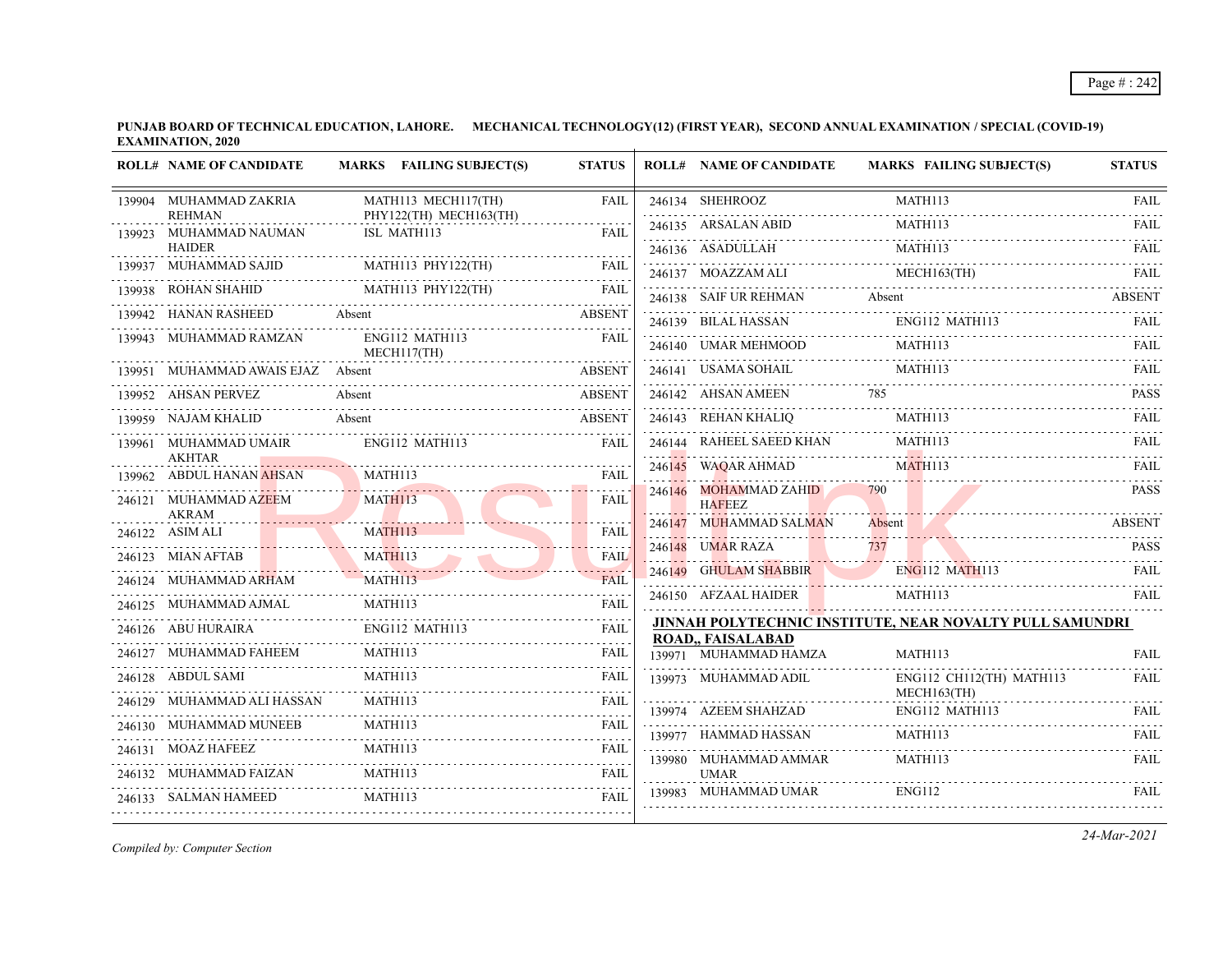**PUNJAB BOARD OF TECHNICAL EDUCATION, LAHORE. MECHANICAL TECHNOLOGY(12) (FIRST YEAR), SECOND ANNUAL EXAMINATION / SPECIAL (COVID-19) EXAMINATION, 2020**  $\overline{1}$ 

|        | <b>ROLL# NAME OF CANDIDATE</b>         | MARKS FAILING SUBJECT(S)              | <b>STATUS</b>        | <b>ROLL# NAME OF CANDIDATE</b>                              | <b>MARKS FAILING SUBJECT(S)</b>                          | <b>STATUS</b>           |
|--------|----------------------------------------|---------------------------------------|----------------------|-------------------------------------------------------------|----------------------------------------------------------|-------------------------|
|        | 139904 MUHAMMAD ZAKRIA                 | MATH113 MECH117(TH)                   | <b>FAIL</b>          | 246134 SHEHROOZ                                             | MATH113                                                  | <b>FAIL</b>             |
| 139923 | <b>REHMAN</b><br>MUHAMMAD NAUMAN       | PHY122(TH) MECH163(TH)<br>ISL MATH113 | FAIL                 | 246135 ARSALAN ABID                                         | MATH113                                                  | <u>.</u><br><b>FAIL</b> |
|        | <b>HAIDER</b>                          |                                       |                      | 246136 ASADULLAH                                            | MATH113                                                  | <b>FAIL</b>             |
|        | 139937 MUHAMMAD SAJID                  | MATH113 PHY122(TH)                    | <b>FAIL</b>          | 246137 MOAZZAM ALI                                          | MECH163(TH)                                              | <b>FAIL</b>             |
|        | 139938 ROHAN SHAHID                    | MATH113 PHY122(TH)                    | <b>FAIL</b>          | 246138 SAIF UR REHMAN                                       | Absent                                                   | <b>ABSENT</b>           |
| 139942 | HANAN RASHEED                          | Absent                                | <b>ABSENT</b>        | 246139 BILAL HASSAN                                         | ENG112 MATH113                                           | FAII.                   |
| 139943 | MUHAMMAD RAMZAN                        | ENG112 MATH113<br>MECH117(TH)<br>.    | <b>FAIL</b>          | 246140 UMAR MEHMOOD                                         | MATH113                                                  | FAII.                   |
|        | 139951 MUHAMMAD AWAIS EJAZ Absent      |                                       | <b>ABSENT</b>        | 246141 USAMA SOHAIL                                         | MATH113                                                  | FAIL                    |
| 139952 | <b>AHSAN PERVEZ</b>                    | Absent                                | <b>ABSENT</b>        | 246142 AHSAN AMEEN                                          |                                                          | <b>PASS</b>             |
|        | 139959 NAJAM KHALID                    | Absent                                | <b>ABSENT</b>        | 246143 REHAN KHALIQ                                         | MATH113                                                  | FAII.                   |
|        | 139961 MUHAMMAD UMAIR<br><b>AKHTAR</b> | ENG112 MATH113                        | <b>FAIL</b>          | 246144 RAHEEL SAEED KHAN                                    | MATH113                                                  | FAIL                    |
|        | 139962 ABDUL HANAN AHSAN               | MATH113                               | <b>FAIL</b>          | 246145 WAQAR AHMAD                                          | MATH113                                                  | <b>FAIL</b><br>.        |
|        | 246121 MUHAMMAD AZEEM<br><b>AKRAM</b>  | MATH113                               | FAIL                 | 246146 MOHAMMAD ZAHID<br><b>HAFEEZ</b>                      | 790                                                      | <b>PASS</b>             |
|        | 246122 ASIM ALI                        | MATH113                               | <b>FAIL</b>          | 246147 MUHAMMAD SALMAN                                      | Absent                                                   | <b>ABSENT</b>           |
|        | 246123 MIAN AFTAB                      | .<br><b>MATH113</b>                   | FAIL                 | 246148 UMAR RAZA                                            | 737                                                      | PASS                    |
|        | 246124 MUHAMMAD ARHAM                  | MATH113                               | 1.11<br><b>FAIL</b>  | 246149 GHULAM SHABBIR                                       | <b>ENG112 MATH113</b>                                    | FAIL                    |
|        | 246125 MUHAMMAD AJMAL                  | MATH113                               | 22222<br><b>FAIL</b> | 246150 AFZAAL HAIDER                                        | MATH113                                                  | FAII.                   |
|        | 246126 ABU HURAIRA                     | ENG112 MATH113                        | <b>FAIL</b>          |                                                             | JINNAH POLYTECHNIC INSTITUTE, NEAR NOVALTY PULL SAMUNDRI |                         |
|        | 246127 MUHAMMAD FAHEEM                 | <b>MATH113</b>                        | FAII.                | ROAD,, FAISALABAD<br>139971 MUHAMMAD HAMZA                  | MATH113                                                  | <b>FAIL</b>             |
|        | 246128 ABDUL SAMI                      | MATH113                               | <b>FAIL</b>          | <u> 2000 - San Samuel Barbara (</u><br>139973 MUHAMMAD ADIL | ENG112 CH112(TH) MATH113                                 | <b>FAIL</b>             |
|        | 246129 MUHAMMAD ALI HASSAN             | <b>MATH113</b>                        | FAIL                 | 139974 AZEEM SHAHZAD                                        | MECH163(TH)<br>ENG112 MATH113                            | FAII.                   |
|        | 246130 MUHAMMAD MUNEEB                 | <b>MATH113</b>                        | <b>FAIL</b>          | 139977 HAMMAD HASSAN                                        | MATH113                                                  | <b>FAIL</b>             |
|        | 246131 MOAZ HAFEEZ                     | MATH113                               | <b>FAIL</b>          | 139980 MUHAMMAD AMMAR                                       | <b>MATH113</b>                                           | FAIL                    |
|        | 246132 MUHAMMAD FAIZAN                 | MATH113                               | <b>FAIL</b>          | <b>UMAR</b>                                                 |                                                          |                         |
|        | 246133 SALMAN HAMEED                   | MATH113                               | <b>FAIL</b>          | 139983 MUHAMMAD UMAR                                        | ENG112                                                   | FAII.                   |
|        |                                        |                                       |                      |                                                             |                                                          |                         |

*Compiled by: Computer Section*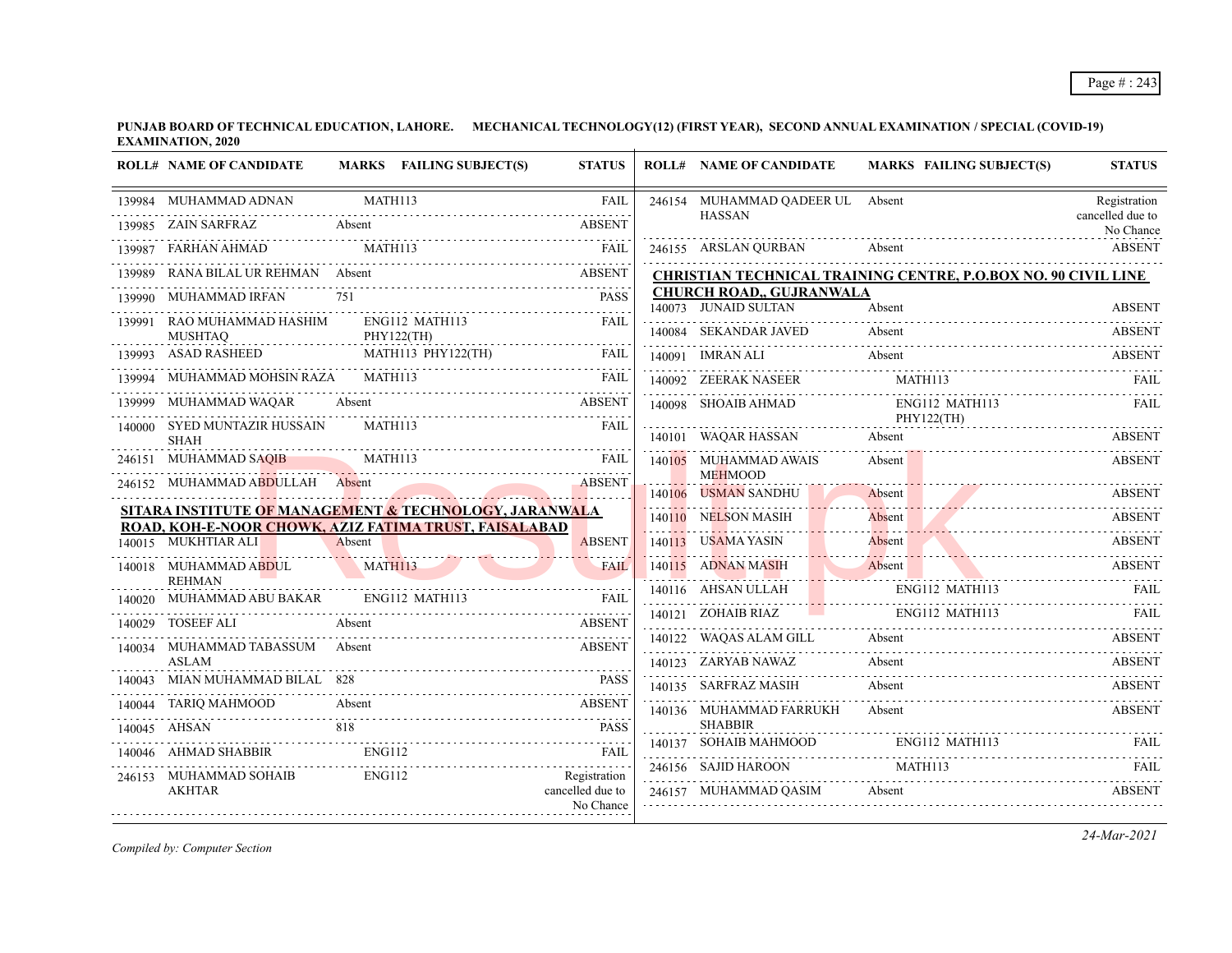**PUNJAB BOARD OF TECHNICAL EDUCATION, LAHORE. MECHANICAL TECHNOLOGY(12) (FIRST YEAR), SECOND ANNUAL EXAMINATION / SPECIAL (COVID-19) EXAMINATION, 2020**

|        | <b>ROLL# NAME OF CANDIDATE</b>                                               |               | MARKS FAILING SUBJECT(S)          | <b>STATUS</b>                 | <b>ROLL# NAME OF CANDIDATE</b>                          | <b>MARKS FAILING SUBJECT(S)</b>                                | <b>STATUS</b>                 |
|--------|------------------------------------------------------------------------------|---------------|-----------------------------------|-------------------------------|---------------------------------------------------------|----------------------------------------------------------------|-------------------------------|
|        | 139984 MUHAMMAD ADNAN                                                        | MATH113       |                                   | <b>FAIL</b>                   | 246154 MUHAMMAD QADEER UL Absent                        |                                                                | Registration                  |
|        | 139985 ZAIN SARFRAZ                                                          | Absent        |                                   | <b>ABSENT</b>                 | <b>HASSAN</b>                                           |                                                                | cancelled due to<br>No Chance |
|        | FARHAN AHMAD                                                                 | MATH113       |                                   | <b>FAIL</b>                   | 246155 ARSLAN OURBAN                                    | Absent                                                         | <b>ABSENT</b>                 |
|        | 139989 RANA BILAL UR REHMAN Absent                                           |               |                                   | <b>ABSENT</b>                 |                                                         | CHRISTIAN TECHNICAL TRAINING CENTRE, P.O.BOX NO. 90 CIVIL LINE |                               |
| 139990 | <b>MUHAMMAD IRFAN</b>                                                        |               |                                   | <b>PASS</b>                   | <b>CHURCH ROAD,, GUJRANWALA</b><br>140073 JUNAID SULTAN | Absent                                                         | <b>ABSENT</b>                 |
| 139991 | RAO MUHAMMAD HASHIM<br><b>MUSHTAO</b>                                        |               | ENG112 MATH113<br>PHY122(TH)      | <b>FAIL</b>                   | 140084 SEKANDAR JAVED                                   | Absent                                                         | <b>ABSENT</b>                 |
|        | 139993 ASAD RASHEED                                                          |               | MATH113 PHY122(TH)                | FAIL                          | 140091 IMRAN ALI                                        | Absent                                                         | ABSENT                        |
|        | 139994 MUHAMMAD MOHSIN RAZA MATH113                                          |               |                                   | <b>FAIL</b>                   | 140092 ZEERAK NASEER                                    | MATH113                                                        | FAIL                          |
|        | 139999 MUHAMMAD WAQAR                                                        | Absent        |                                   | <b>ABSENT</b>                 | 140098 SHOAIB AHMAD                                     | ENG112 MATH113                                                 | FAIL                          |
|        | 140000 SYED MUNTAZIR HUSSAIN<br><b>SHAH</b>                                  | MATH113       |                                   | FAII.                         | 140101 WAQAR HASSAN                                     | PHY122(TH)<br>Absent                                           | <b>ABSENT</b>                 |
|        | 246151 MUHAMMAD SAQIB                                                        | MATH113       |                                   | <b>FAIL</b>                   | 140105 MUHAMMAD AWAIS                                   | Absent                                                         | <b>ABSENT</b>                 |
|        | 246152 MUHAMMAD ABDULLAH Absent                                              |               | <b>Contract Contract Contract</b> | <b>ABSENT</b>                 | <b>MEHMOOD</b><br>140106 USMAN SANDHU                   | Absent                                                         | <b>ABSENT</b>                 |
|        | SITARA INSTITUTE OF MANAGEMENT & TECHNOLOGY, JARANWALA                       |               |                                   |                               | 140110 NELSON MASIH                                     | Absent                                                         | <b>ABSENT</b>                 |
|        | ROAD, KOH-E-NOOR CHOWK, AZIZ FATIMA TRUST, FAISALABAD<br>140015 MUKHTIAR ALI | Absent        |                                   | <b>ABSENT</b>                 | 140113 USAMA YASIN                                      | Absent                                                         | <b>ABSENT</b>                 |
|        | 140018 MUHAMMAD ABDUL                                                        |               |                                   | FAIL                          | 140115 ADNAN MASIH                                      | Absent                                                         |                               |
|        | <b>REHMAN</b>                                                                | MATH113       |                                   |                               |                                                         | 140115 ADNAN MASIH Absent ABSENT                               |                               |
|        | 140020 MUHAMMAD ABU BAKAR                                                    |               | ENG112 MATH113                    | <b>FAIL</b>                   | 140116 AHSAN ULLAH                                      | ENG112 MATH113                                                 | FAIL                          |
|        | TOSEEF ALI                                                                   | Absent        |                                   | <b>ABSENT</b>                 | 140121 ZOHAIB RIAZ ENG112 MATH113                       |                                                                | $FAH$ .                       |
|        | 140034 MUHAMMAD TABASSUM Absent                                              |               |                                   | <b>ABSENT</b>                 | 140122 WAQAS ALAM GILL                                  | Absent                                                         | ABSENT                        |
|        | <b>ASLAM</b>                                                                 |               |                                   |                               | 140123 ZARYAB NAWAZ                                     | Absent                                                         | <b>ABSENT</b>                 |
|        | 140043 MIAN MUHAMMAD BILAL 828                                               |               |                                   | <b>PASS</b>                   | 140135 SARFRAZ MASIH                                    | Absent                                                         | <b>ABSENT</b>                 |
| 140044 | TARIQ MAHMOOD                                                                | Absent        |                                   | <b>ABSENT</b>                 | 140136 MUHAMMAD FARRUKH                                 | Absent                                                         | <b>ABSENT</b>                 |
|        | 140045 AHSAN                                                                 | 818           |                                   | <b>PASS</b>                   | <b>SHABBIR</b>                                          |                                                                |                               |
|        | 140046 AHMAD SHABBIR                                                         | <b>ENG112</b> |                                   | FAIL                          | 140137 SOHAIB MAHMOOD                                   | ENG112 MATH113                                                 |                               |
|        | 246153 MUHAMMAD SOHAIB                                                       | ENG112        |                                   | Registration                  | 246156 SAJID HAROON                                     | MATH113                                                        | FAIL                          |
|        | <b>AKHTAR</b>                                                                |               |                                   | cancelled due to<br>No Chance | 246157 MUHAMMAD QASIM                                   | Absent                                                         | <b>ABSENT</b>                 |
|        |                                                                              |               |                                   |                               |                                                         |                                                                |                               |

*Compiled by: Computer Section*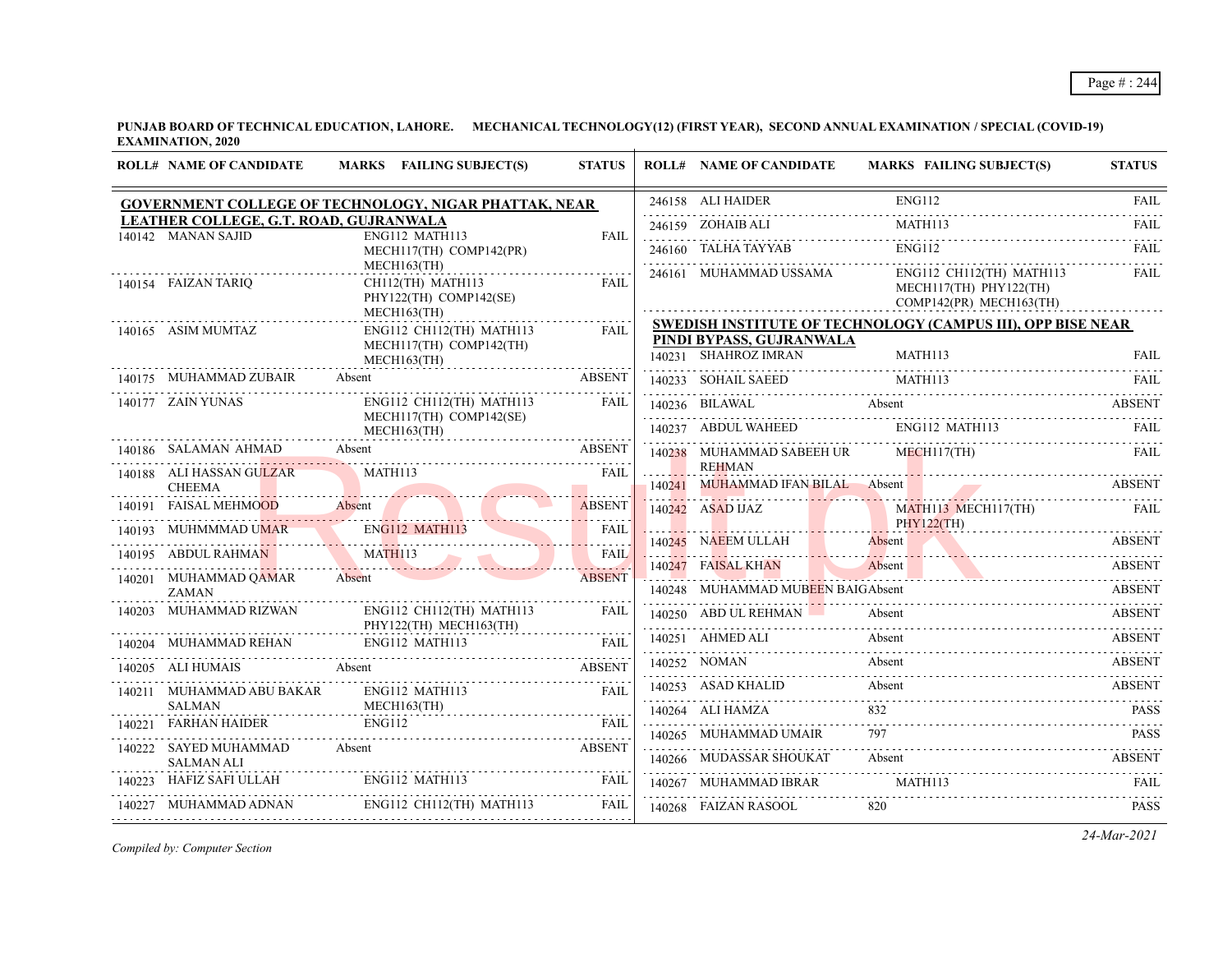**PUNJAB BOARD OF TECHNICAL EDUCATION, LAHORE. MECHANICAL TECHNOLOGY(12) (FIRST YEAR), SECOND ANNUAL EXAMINATION / SPECIAL (COVID-19) EXAMINATION, 2020**  $\overline{1}$ 

| 246158 ALI HAIDER ENG112 FAIL<br>GOVERNMENT COLLEGE OF TECHNOLOGY, NIGAR PHATTAK, NEAR<br>LEATHER COLLEGE, G.T. ROAD, GUJRANWALA<br>MATH113<br>246159 ZOHAIB ALI<br>140142 MANAN SAJID<br>ENG112 MATH113<br>FAIL<br>ENG112<br>246160 TALHA TAYYAB<br>MECH117(TH) COMP142(PR)<br>MECH163(TH)<br>$ENG112$ CH112(TH) MATH113<br>246161 MUHAMMAD USSAMA<br>140154 FAIZAN TARIQ<br>CH112(TH) MATH113<br><b>FAIL</b><br>MECH117(TH) PHY122(TH)<br>PHY122(TH) COMP142(SE)<br>COMP142(PR) MECH163(TH)<br>MECH163(TH)<br><b>SWEDISH INSTITUTE OF TECHNOLOGY (CAMPUS III), OPP BISE NEAR</b><br>ENG112 CH112(TH) MATH113<br>140165 ASIM MUMTAZ<br>FAIL<br>PINDI BYPASS, GUJRANWALA<br>MECH117(TH) COMP142(TH)<br>140231 SHAHROZ IMRAN<br>MATH113<br>$MECH163$ (TH)<br>140175 MUHAMMAD ZUBAIR<br>Absent<br><b>ABSENT</b><br>140233 SOHAIL SAEED MATH113 FAIL FAIL AND THAT THE RAIL RATE OF A SET AND THE RAIL PART OF A SET AND THE RAIL<br>140177 ZAIN YUNAS<br>$ENG112$ CH112(TH) MATH113<br>FAIL<br>140236 BILAWAL Absent ABSENT<br>MECH117(TH) COMP142(SE)<br>140237 ABDUL WAHEED ENG112 MATH113<br>MECH163(TH)<br>140186 SALAMAN AHMAD Absent<br><b>ABSENT</b><br>140238 MUHAMMAD SABEEH UR MECH117(TH)<br><b>REHMAN</b><br>140188 ALI HASSAN GULZAR<br>MATH113<br>FAIL<br>140241 MUHAMMAD IFAN BILAL Absent ABSENT ABSENT<br><b>CHEEMA</b><br>140191 FAISAL MEHMOOD Absent ABSENT ABSENT<br>140242 ASAD DAZ MATHU3 MECH117(TH) FAIL<br>140193 MUHMMMAD UMAR ENGLI2 MATH113 FAIL 140195 ABDUL RAHMAN MATH113 FAIL<br>140245 NAEEM ULLAH Absent ABSENT<br>140247 FAISAL KHAN Absent<br><b>ABSENT</b><br>Absent ABSENT<br>140201 MUHAMMAD QAMAR<br>Absent<br><b>ABSENT</b><br>140248 MUHAMMAD MUBEEN BAIGAbsent<br><b>ZAMAN</b><br>140240 MOTIFERING MODERN DINOISONE<br>140203 MUHAMMAD RIZWAN<br>ENG112 CH112(TH) MATH113<br><b>FAIL</b><br>140250 ABD UL REHMAN<br>Absent<br>PHY122(TH) MECH163(TH)<br>.<br>Absent<br>140251 AHMED ALI<br>140204 MUHAMMAD REHAN<br>MUHAMMAD REHAN ENG112 MATH113 FAIL<br>140252 NOMAN<br>Absent<br>140205 ALI HUMAIS Absent<br>UMAIS Absent ABSENT<br>Absent<br>140253 ASAD KHALID<br>FAIL<br>140211 MUHAMMAD ABU BAKAR<br>ENG112 MATH113<br><b>SALMAN</b><br>MECH163(TH)<br>832<br>140264 ALI HAMZA<br><b>ENG112</b><br><b>FARHAN HAIDER</b><br>140221<br>FAIL<br>140265 MUHAMMAD UMAIR | <b>ROLL# NAME OF CANDIDATE</b> | MARKS FAILING SUBJECT(S) | <b>STATUS</b> | <b>ROLL# NAME OF CANDIDATE</b> | MARKS FAILING SUBJECT(S) | <b>STATUS</b> |
|----------------------------------------------------------------------------------------------------------------------------------------------------------------------------------------------------------------------------------------------------------------------------------------------------------------------------------------------------------------------------------------------------------------------------------------------------------------------------------------------------------------------------------------------------------------------------------------------------------------------------------------------------------------------------------------------------------------------------------------------------------------------------------------------------------------------------------------------------------------------------------------------------------------------------------------------------------------------------------------------------------------------------------------------------------------------------------------------------------------------------------------------------------------------------------------------------------------------------------------------------------------------------------------------------------------------------------------------------------------------------------------------------------------------------------------------------------------------------------------------------------------------------------------------------------------------------------------------------------------------------------------------------------------------------------------------------------------------------------------------------------------------------------------------------------------------------------------------------------------------------------------------------------------------------------------------------------------------------------------------------------------------------------------------------------------------------------------------------------------------------------------------------------------------------------------------------------------------------------------------------------------------------------------------------------------------|--------------------------------|--------------------------|---------------|--------------------------------|--------------------------|---------------|
|                                                                                                                                                                                                                                                                                                                                                                                                                                                                                                                                                                                                                                                                                                                                                                                                                                                                                                                                                                                                                                                                                                                                                                                                                                                                                                                                                                                                                                                                                                                                                                                                                                                                                                                                                                                                                                                                                                                                                                                                                                                                                                                                                                                                                                                                                                                      |                                |                          |               |                                |                          |               |
|                                                                                                                                                                                                                                                                                                                                                                                                                                                                                                                                                                                                                                                                                                                                                                                                                                                                                                                                                                                                                                                                                                                                                                                                                                                                                                                                                                                                                                                                                                                                                                                                                                                                                                                                                                                                                                                                                                                                                                                                                                                                                                                                                                                                                                                                                                                      |                                |                          |               |                                |                          | FAII.         |
|                                                                                                                                                                                                                                                                                                                                                                                                                                                                                                                                                                                                                                                                                                                                                                                                                                                                                                                                                                                                                                                                                                                                                                                                                                                                                                                                                                                                                                                                                                                                                                                                                                                                                                                                                                                                                                                                                                                                                                                                                                                                                                                                                                                                                                                                                                                      |                                |                          |               |                                |                          | FAIL.         |
|                                                                                                                                                                                                                                                                                                                                                                                                                                                                                                                                                                                                                                                                                                                                                                                                                                                                                                                                                                                                                                                                                                                                                                                                                                                                                                                                                                                                                                                                                                                                                                                                                                                                                                                                                                                                                                                                                                                                                                                                                                                                                                                                                                                                                                                                                                                      |                                |                          |               |                                |                          | <b>FAIL</b>   |
|                                                                                                                                                                                                                                                                                                                                                                                                                                                                                                                                                                                                                                                                                                                                                                                                                                                                                                                                                                                                                                                                                                                                                                                                                                                                                                                                                                                                                                                                                                                                                                                                                                                                                                                                                                                                                                                                                                                                                                                                                                                                                                                                                                                                                                                                                                                      |                                |                          |               |                                |                          |               |
|                                                                                                                                                                                                                                                                                                                                                                                                                                                                                                                                                                                                                                                                                                                                                                                                                                                                                                                                                                                                                                                                                                                                                                                                                                                                                                                                                                                                                                                                                                                                                                                                                                                                                                                                                                                                                                                                                                                                                                                                                                                                                                                                                                                                                                                                                                                      |                                |                          |               |                                |                          | FAIL          |
|                                                                                                                                                                                                                                                                                                                                                                                                                                                                                                                                                                                                                                                                                                                                                                                                                                                                                                                                                                                                                                                                                                                                                                                                                                                                                                                                                                                                                                                                                                                                                                                                                                                                                                                                                                                                                                                                                                                                                                                                                                                                                                                                                                                                                                                                                                                      |                                |                          |               |                                |                          |               |
|                                                                                                                                                                                                                                                                                                                                                                                                                                                                                                                                                                                                                                                                                                                                                                                                                                                                                                                                                                                                                                                                                                                                                                                                                                                                                                                                                                                                                                                                                                                                                                                                                                                                                                                                                                                                                                                                                                                                                                                                                                                                                                                                                                                                                                                                                                                      |                                |                          |               |                                |                          |               |
|                                                                                                                                                                                                                                                                                                                                                                                                                                                                                                                                                                                                                                                                                                                                                                                                                                                                                                                                                                                                                                                                                                                                                                                                                                                                                                                                                                                                                                                                                                                                                                                                                                                                                                                                                                                                                                                                                                                                                                                                                                                                                                                                                                                                                                                                                                                      |                                |                          |               |                                |                          | FAIL.         |
|                                                                                                                                                                                                                                                                                                                                                                                                                                                                                                                                                                                                                                                                                                                                                                                                                                                                                                                                                                                                                                                                                                                                                                                                                                                                                                                                                                                                                                                                                                                                                                                                                                                                                                                                                                                                                                                                                                                                                                                                                                                                                                                                                                                                                                                                                                                      |                                |                          |               |                                |                          | FAIL          |
|                                                                                                                                                                                                                                                                                                                                                                                                                                                                                                                                                                                                                                                                                                                                                                                                                                                                                                                                                                                                                                                                                                                                                                                                                                                                                                                                                                                                                                                                                                                                                                                                                                                                                                                                                                                                                                                                                                                                                                                                                                                                                                                                                                                                                                                                                                                      |                                |                          |               |                                |                          |               |
|                                                                                                                                                                                                                                                                                                                                                                                                                                                                                                                                                                                                                                                                                                                                                                                                                                                                                                                                                                                                                                                                                                                                                                                                                                                                                                                                                                                                                                                                                                                                                                                                                                                                                                                                                                                                                                                                                                                                                                                                                                                                                                                                                                                                                                                                                                                      |                                |                          |               |                                |                          |               |
|                                                                                                                                                                                                                                                                                                                                                                                                                                                                                                                                                                                                                                                                                                                                                                                                                                                                                                                                                                                                                                                                                                                                                                                                                                                                                                                                                                                                                                                                                                                                                                                                                                                                                                                                                                                                                                                                                                                                                                                                                                                                                                                                                                                                                                                                                                                      |                                |                          |               |                                |                          |               |
|                                                                                                                                                                                                                                                                                                                                                                                                                                                                                                                                                                                                                                                                                                                                                                                                                                                                                                                                                                                                                                                                                                                                                                                                                                                                                                                                                                                                                                                                                                                                                                                                                                                                                                                                                                                                                                                                                                                                                                                                                                                                                                                                                                                                                                                                                                                      |                                |                          |               |                                |                          |               |
|                                                                                                                                                                                                                                                                                                                                                                                                                                                                                                                                                                                                                                                                                                                                                                                                                                                                                                                                                                                                                                                                                                                                                                                                                                                                                                                                                                                                                                                                                                                                                                                                                                                                                                                                                                                                                                                                                                                                                                                                                                                                                                                                                                                                                                                                                                                      |                                |                          |               |                                |                          | <b>ABSENT</b> |
|                                                                                                                                                                                                                                                                                                                                                                                                                                                                                                                                                                                                                                                                                                                                                                                                                                                                                                                                                                                                                                                                                                                                                                                                                                                                                                                                                                                                                                                                                                                                                                                                                                                                                                                                                                                                                                                                                                                                                                                                                                                                                                                                                                                                                                                                                                                      |                                |                          |               |                                |                          | <b>ABSENT</b> |
|                                                                                                                                                                                                                                                                                                                                                                                                                                                                                                                                                                                                                                                                                                                                                                                                                                                                                                                                                                                                                                                                                                                                                                                                                                                                                                                                                                                                                                                                                                                                                                                                                                                                                                                                                                                                                                                                                                                                                                                                                                                                                                                                                                                                                                                                                                                      |                                |                          |               |                                |                          | <b>ABSENT</b> |
|                                                                                                                                                                                                                                                                                                                                                                                                                                                                                                                                                                                                                                                                                                                                                                                                                                                                                                                                                                                                                                                                                                                                                                                                                                                                                                                                                                                                                                                                                                                                                                                                                                                                                                                                                                                                                                                                                                                                                                                                                                                                                                                                                                                                                                                                                                                      |                                |                          |               |                                |                          | <b>ABSENT</b> |
|                                                                                                                                                                                                                                                                                                                                                                                                                                                                                                                                                                                                                                                                                                                                                                                                                                                                                                                                                                                                                                                                                                                                                                                                                                                                                                                                                                                                                                                                                                                                                                                                                                                                                                                                                                                                                                                                                                                                                                                                                                                                                                                                                                                                                                                                                                                      |                                |                          |               |                                |                          | ABSENT        |
|                                                                                                                                                                                                                                                                                                                                                                                                                                                                                                                                                                                                                                                                                                                                                                                                                                                                                                                                                                                                                                                                                                                                                                                                                                                                                                                                                                                                                                                                                                                                                                                                                                                                                                                                                                                                                                                                                                                                                                                                                                                                                                                                                                                                                                                                                                                      |                                |                          |               |                                |                          | <b>PASS</b>   |
|                                                                                                                                                                                                                                                                                                                                                                                                                                                                                                                                                                                                                                                                                                                                                                                                                                                                                                                                                                                                                                                                                                                                                                                                                                                                                                                                                                                                                                                                                                                                                                                                                                                                                                                                                                                                                                                                                                                                                                                                                                                                                                                                                                                                                                                                                                                      |                                |                          |               |                                |                          | PASS          |
| Absent<br>140266 MUDASSAR SHOUKAT<br><b>ABSENT</b><br><b>SALMAN ALI</b>                                                                                                                                                                                                                                                                                                                                                                                                                                                                                                                                                                                                                                                                                                                                                                                                                                                                                                                                                                                                                                                                                                                                                                                                                                                                                                                                                                                                                                                                                                                                                                                                                                                                                                                                                                                                                                                                                                                                                                                                                                                                                                                                                                                                                                              | 140222 SAYED MUHAMMAD          | Absent                   | <b>ABSENT</b> |                                |                          |               |
| FAIL<br>140267 MUHAMMAD IBRAR MATH113                                                                                                                                                                                                                                                                                                                                                                                                                                                                                                                                                                                                                                                                                                                                                                                                                                                                                                                                                                                                                                                                                                                                                                                                                                                                                                                                                                                                                                                                                                                                                                                                                                                                                                                                                                                                                                                                                                                                                                                                                                                                                                                                                                                                                                                                                |                                |                          |               |                                |                          | FAII.         |
| 140223 HAFIZ SAFI ULLAH ENGI12 MATH113<br>140227 MUHAMMAD ADNAN ENGI12 CH112(TH) MATH113<br>FAIL<br>140268 FAIZAN RASOOL<br>820                                                                                                                                                                                                                                                                                                                                                                                                                                                                                                                                                                                                                                                                                                                                                                                                                                                                                                                                                                                                                                                                                                                                                                                                                                                                                                                                                                                                                                                                                                                                                                                                                                                                                                                                                                                                                                                                                                                                                                                                                                                                                                                                                                                      |                                |                          |               |                                |                          | <b>PASS</b>   |

*Compiled by: Computer Section*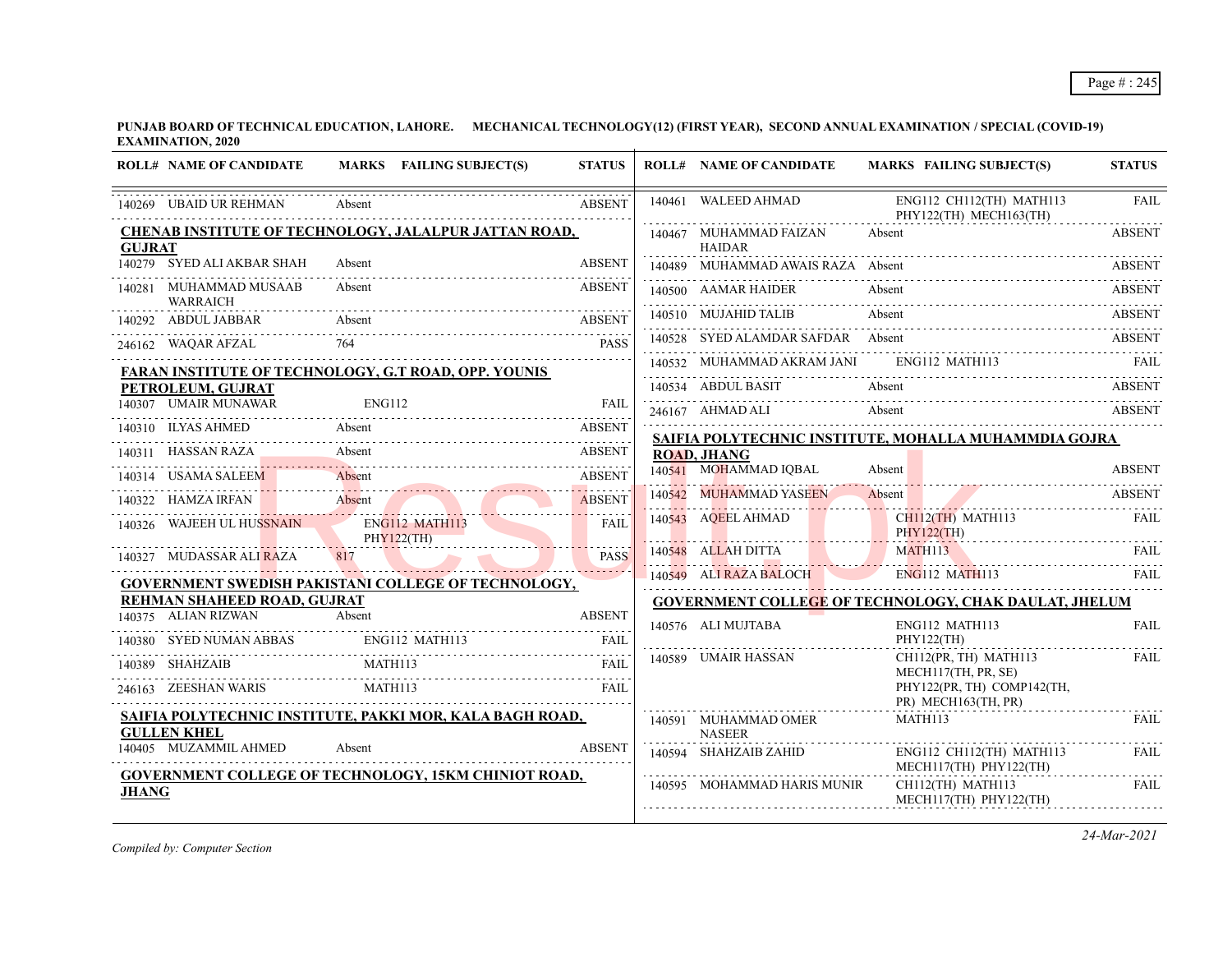**PUNJAB BOARD OF TECHNICAL EDUCATION, LAHORE. MECHANICAL TECHNOLOGY(12) (FIRST YEAR), SECOND ANNUAL EXAMINATION / SPECIAL (COVID-19) EXAMINATION, 2020**

|               | <b>ROLL# NAME OF CANDIDATE</b>         | MARKS FAILING SUBJECT(S)                                    | <b>STATUS</b> |        | <b>ROLL# NAME OF CANDIDATE</b>          | <b>MARKS FAILING SUBJECT(S)</b>                              | <b>STATUS</b> |
|---------------|----------------------------------------|-------------------------------------------------------------|---------------|--------|-----------------------------------------|--------------------------------------------------------------|---------------|
|               | 140269 UBAID UR REHMAN                 | Absent                                                      | <b>ABSENT</b> | 140461 | WALEED AHMAD                            | ENG112 CH112(TH) MATH113<br>PHY122(TH) MECH163(TH)           | <b>FAIL</b>   |
| <b>GUJRAT</b> |                                        | CHENAB INSTITUTE OF TECHNOLOGY, JALALPUR JATTAN ROAD,       |               |        | 140467 MUHAMMAD FAIZAN<br><b>HAIDAR</b> | Absent                                                       | <b>ABSENT</b> |
|               | 140279 SYED ALI AKBAR SHAH             | Absent                                                      | <b>ABSENT</b> |        | 140489 MUHAMMAD AWAIS RAZA Absent       |                                                              | ABSENT        |
|               | 140281 MUHAMMAD MUSAAB                 | Absent                                                      | <b>ABSENT</b> |        | 140500 AAMAR HAIDER                     | Absent                                                       | ABSENT        |
|               | <b>WARRAICH</b><br>140292 ABDUL JABBAR | Absent                                                      | <b>ABSENT</b> |        | 140510 MUJAHID TALIB                    | Absent                                                       | ABSENT        |
|               | 246162 WAQAR AFZAL                     |                                                             | <b>PASS</b>   |        | 140528 SYED ALAMDAR SAFDAR Absent       |                                                              | ABSENT        |
|               |                                        | FARAN INSTITUTE OF TECHNOLOGY, G.T ROAD, OPP. YOUNIS        |               |        | 140532 MUHAMMAD AKRAM JANI              | ENG112 MATH113                                               | - FAIL        |
|               | PETROLEUM, GUJRAT                      |                                                             |               |        | 140534 ABDUL BASIT                      | Absent                                                       | <b>ABSENT</b> |
|               | 140307 UMAIR MUNAWAR                   | ENG112                                                      | FAII          |        | 246167 AHMAD ALI                        | Absent                                                       | <b>ABSENT</b> |
|               | 140310 ILYAS AHMED                     | Absent                                                      | <b>ABSENT</b> |        |                                         | SAIFIA POLYTECHNIC INSTITUTE, MOHALLA MUHAMMDIA GOJRA        |               |
|               | 140311 HASSAN RAZA                     | Absent                                                      | ABSENT        |        | <b>ROAD, JHANG</b>                      |                                                              |               |
|               | 140314 USAMA SALEEM                    | Absent                                                      | <b>ABSENT</b> |        | 140541 MOHAMMAD IQBAL                   | Absent                                                       | <b>ABSENT</b> |
|               | 140322 HAMZA IRFAN                     | Absent                                                      | <b>ABSENT</b> |        | 140542 MUHAMMAD YASEEN                  | Absent                                                       | <b>ABSENT</b> |
|               | 140326 WAJEEH UL HUSSNAIN              | ENG112 MATH113<br>PHY122(TH)                                | FAIL          |        | 140543 AQEEL AHMAD                      | CH112(TH) MATH113<br><b>PHY122(TH)</b>                       | <b>FAIL</b>   |
|               | 140327 MUDASSAR ALI RAZA               | 817                                                         | <b>PASS</b>   |        | 140548 ALLAH DITTA                      | MATH <sub>113</sub>                                          | FAIL.         |
|               |                                        | <b>GOVERNMENT SWEDISH PAKISTANI COLLEGE OF TECHNOLOGY,</b>  |               |        | 140549 ALI RAZA BALOCH                  | ENG112 MATH113                                               | FAIL          |
|               | <b>REHMAN SHAHEED ROAD, GUJRAT</b>     |                                                             |               |        |                                         | <b>GOVERNMENT COLLEGE OF TECHNOLOGY, CHAK DAULAT, JHELUM</b> |               |
|               | 140375 ALIAN RIZWAN                    | Absent                                                      | <b>ABSENT</b> |        | 140576 ALI MUJTABA                      | ENG112 MATH113                                               | <b>FAIL</b>   |
|               | 140380 SYED NUMAN ABBAS                | ENG112 MATH113                                              | FAIL          |        | 140589 UMAIR HASSAN                     | PHY122(TH)<br>CH112(PR, TH) MATH113                          | FAIL          |
|               | 140389 SHAHZAIB                        | MATH113                                                     | <b>FAII</b>   |        |                                         | MECH117(TH, PR, SE)                                          |               |
|               | 246163 ZEESHAN WARIS                   | MATH113                                                     | FAII.         |        |                                         | PHY122(PR, TH) COMP142(TH,<br>PR) MECH163(TH, PR)            |               |
|               | <b>GULLEN KHEL</b>                     | SAIFIA POLYTECHNIC INSTITUTE, PAKKI MOR, KALA BAGH ROAD,    |               |        | 140591 MUHAMMAD OMER<br><b>NASEER</b>   | MATH113                                                      | FAIL          |
|               | 140405 MUZAMMIL AHMED                  | Absent                                                      | <b>ABSENT</b> |        | 140594 SHAHZAIB ZAHID                   | ENG112 CH112(TH) MATH113<br>MECH117(TH) PHY122(TH)           | FAIL          |
| <b>JHANG</b>  |                                        | <b>GOVERNMENT COLLEGE OF TECHNOLOGY, 15KM CHINIOT ROAD,</b> |               |        | 140595 MOHAMMAD HARIS MUNIR             | CH112(TH) MATH113<br>MECH117(TH) PHY122(TH)                  | FAIL          |

*Compiled by: Computer Section*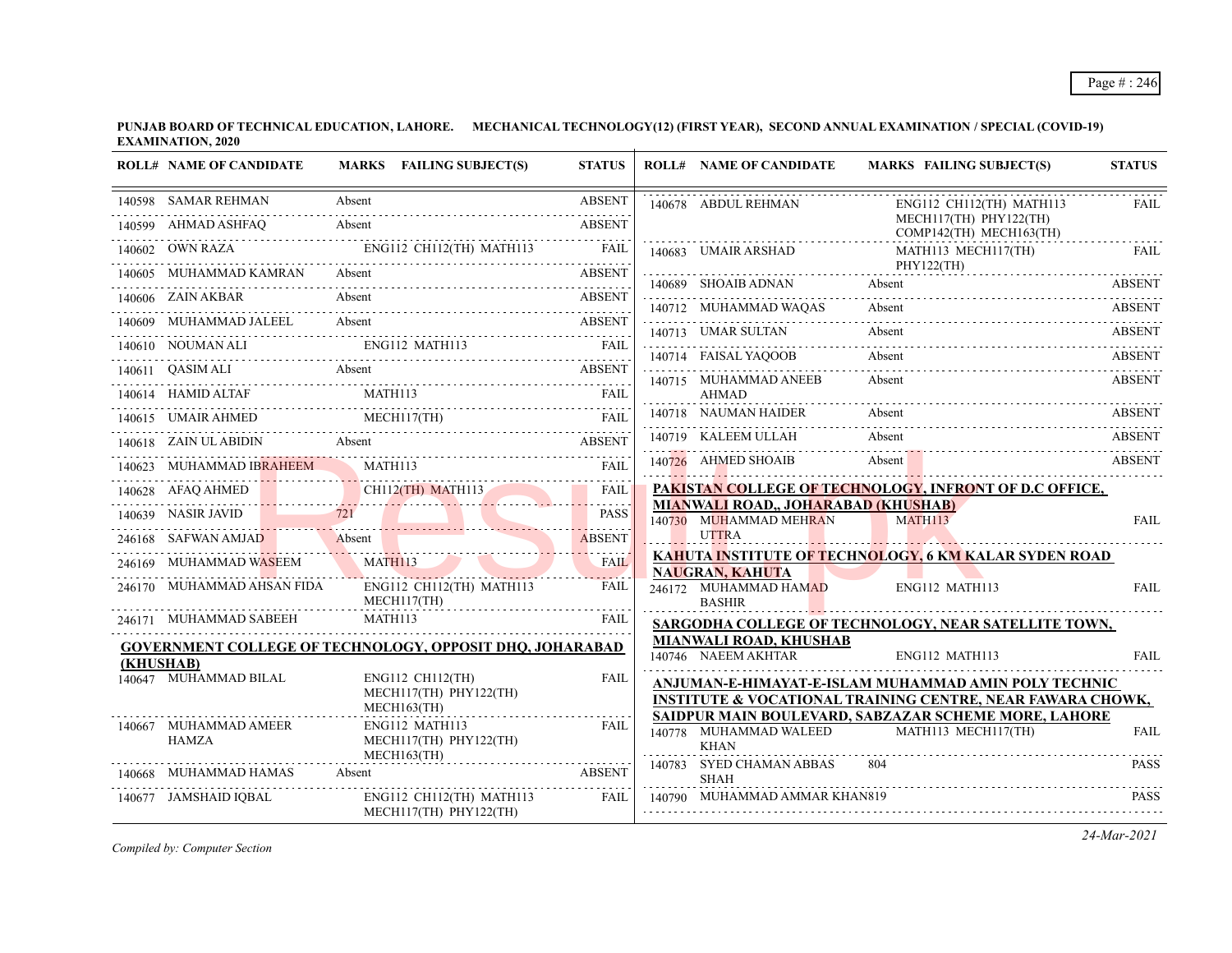**PUNJAB BOARD OF TECHNICAL EDUCATION, LAHORE. MECHANICAL TECHNOLOGY(12) (FIRST YEAR), SECOND ANNUAL EXAMINATION / SPECIAL (COVID-19) EXAMINATION, 2020**  $\overline{1}$ 

| <b>ROLL# NAME OF CANDIDATE</b> | MARKS FAILING SUBJECT(S)                                                                                                                                                                                                                                                                                                                                                                                                                                                                | <b>STATUS</b> | <b>ROLL# NAME OF CANDIDATE</b>                                | MARKS FAILING SUBJECT(S)                                                                                                      | <b>STATUS</b> |
|--------------------------------|-----------------------------------------------------------------------------------------------------------------------------------------------------------------------------------------------------------------------------------------------------------------------------------------------------------------------------------------------------------------------------------------------------------------------------------------------------------------------------------------|---------------|---------------------------------------------------------------|-------------------------------------------------------------------------------------------------------------------------------|---------------|
| 140598 SAMAR REHMAN            | 0598 SAMAR REHMAN Absent ABSENT                                                                                                                                                                                                                                                                                                                                                                                                                                                         |               | 140678 ABDUL REHMAN                                           | ENG112 CH112(TH) MATH113                                                                                                      | <b>FAIL</b>   |
| 140599 AHMAD ASHFAQ Absent     |                                                                                                                                                                                                                                                                                                                                                                                                                                                                                         | <b>ABSENT</b> |                                                               | MECH117(TH) PHY122(TH)<br>COMP142(TH) MECH163(TH)                                                                             | .             |
|                                | 140602 OWN RAZA ENGI12 CH112(TH) MATH113 FAIL                                                                                                                                                                                                                                                                                                                                                                                                                                           |               | 140683 UMAIR ARSHAD                                           | MATH113 MECH117(TH)                                                                                                           | FAIL          |
| 140605 MUHAMMAD KAMRAN Absent  | 0605 MUHAMMAD KAMRAN Absent Assex ABSENT                                                                                                                                                                                                                                                                                                                                                                                                                                                | <b>ABSENT</b> | 140689 SHOAIB ADNAN Absent                                    | PHY122(TH)                                                                                                                    | <b>ABSENT</b> |
| 140606 ZAIN AKBAR              | Absent                                                                                                                                                                                                                                                                                                                                                                                                                                                                                  | <b>ABSENT</b> |                                                               | 140689 SHOAIB ADNAN Absent ABSENT                                                                                             |               |
|                                |                                                                                                                                                                                                                                                                                                                                                                                                                                                                                         |               | 140713 UMAR SULTAN                                            | 140712 MUHAMMAD WAQAS Absent ABSENT<br>Absent                                                                                 | <b>ABSENT</b> |
|                                | 140609 MUHAMMAD JALEEL Absent ABSENT RESENT PRODUCED A MONTHLER AND RESENT ENGLISH MATHIIS FAIL RESENT RESENT RESENT RESENT RESENT RESENT RESENT RESENT RESENT RESENT RESENT RESENT RESENT RESENT RESENT RESENT RESENT RESENTS                                                                                                                                                                                                                                                          |               | 140714 FAISAL YAQOOB                                          | Absent                                                                                                                        | ABSENT        |
|                                | 140611 QASIM ALI Absent Absent ABSENT                                                                                                                                                                                                                                                                                                                                                                                                                                                   |               | 140715 MUHAMMAD ANEEB                                         | Absent                                                                                                                        | <b>ABSENT</b> |
|                                |                                                                                                                                                                                                                                                                                                                                                                                                                                                                                         |               | <b>AHMAD</b>                                                  |                                                                                                                               |               |
|                                | $[140614 \quad {\rm HAMID\ ALTAF} \qquad \qquad {\rm MATH113} \qquad \qquad {\rm FAIL} \qquad \qquad {\rm HAL} \qquad \qquad {\rm HAH} \qquad \qquad {\rm HAH} \qquad \qquad {\rm HAH} \qquad \qquad {\rm HAH} \qquad \qquad {\rm HAH} \qquad \qquad {\rm HAH} \qquad \qquad {\rm HAH} \qquad \qquad {\rm HAH} \qquad \qquad {\rm HAH} \qquad \qquad {\rm HAH} \qquad \qquad {\rm HAH} \qquad \qquad {\rm HAH} \qquad \qquad {\rm HAH} \qquad \qquad {\rm HAH} \qquad \qquad {\rm HAH}$ |               | 140718 NAUMAN HAIDER                                          | Absent                                                                                                                        | ABSENT        |
|                                | 140618 ZAIN ULABIDIN Absent ABSENT ABSENT                                                                                                                                                                                                                                                                                                                                                                                                                                               |               | 140719 KALEEM ULLAH                                           | Absent                                                                                                                        | <b>ABSENT</b> |
|                                | 140623 MUHAMMAD IBRAHEEM MATH113 FAII FAIL                                                                                                                                                                                                                                                                                                                                                                                                                                              | FAIL          | 140726 AHMED SHOAIB                                           | Absent                                                                                                                        | <b>ABSENT</b> |
|                                | 140628 AFAQ AHMED CHII2(TH) MATHII3 FAIL                                                                                                                                                                                                                                                                                                                                                                                                                                                |               |                                                               | PAKISTAN COLLEGE OF TECHNOLOGY, INFRONT OF D.C OFFICE,                                                                        |               |
|                                | 140639 NASIR JAVID 721 PASS                                                                                                                                                                                                                                                                                                                                                                                                                                                             | <b>PASS</b>   | MIANWALI ROAD,, JOHARABAD (KHUSHAB)<br>140730 MUHAMMAD MEHRAN | MATH113                                                                                                                       | <b>FAIL</b>   |
|                                | 246168 SAFWAN AMJAD Absent Absent                                                                                                                                                                                                                                                                                                                                                                                                                                                       | <b>ABSENT</b> | <b>UTTRA</b>                                                  |                                                                                                                               |               |
|                                | 246169 MUHAMMAD WASEEM MATH113                                                                                                                                                                                                                                                                                                                                                                                                                                                          | <b>FAIL</b>   | <b>NAUGRAN, KAHUTA</b>                                        | <b>KAHUTA INSTITUTE OF TECHNOLOGY, 6 KM KALAR SYDEN ROAD</b>                                                                  |               |
| 246170 MUHAMMAD AHSAN FIDA     | ENG112 CH112(TH) MATH113<br>MECH117(TH)                                                                                                                                                                                                                                                                                                                                                                                                                                                 | <b>FAIL</b>   | 246172 MUHAMMAD HAMAD<br><b>BASHIR</b>                        | ENG112 MATH113                                                                                                                | <b>FAIL</b>   |
| 246171 MUHAMMAD SABEEH         | MATH113                                                                                                                                                                                                                                                                                                                                                                                                                                                                                 | FAIL          |                                                               | SARGODHA COLLEGE OF TECHNOLOGY, NEAR SATELLITE TOWN,                                                                          |               |
| (KHUSHAB)                      | <b>GOVERNMENT COLLEGE OF TECHNOLOGY, OPPOSIT DHQ, JOHARABAD</b>                                                                                                                                                                                                                                                                                                                                                                                                                         |               | <b>MIANWALI ROAD, KHUSHAB</b><br>140746 NAEEM AKHTAR          | ENG112 MATH113                                                                                                                | <b>FAIL</b>   |
| 140647 MUHAMMAD BILAL          | ENG112 CH112(TH)<br>MECH117(TH) PHY122(TH)<br>$MECH163$ (TH)                                                                                                                                                                                                                                                                                                                                                                                                                            | <b>FAIL</b>   |                                                               | ANJUMAN-E-HIMAYAT-E-ISLAM MUHAMMAD AMIN POLY TECHNIC<br><b>INSTITUTE &amp; VOCATIONAL TRAINING CENTRE, NEAR FAWARA CHOWK,</b> |               |
| 140667 MUHAMMAD AMEER<br>HAMZA | ENG112 MATH113<br>MECH117(TH) PHY122(TH)<br>$MECH163$ (TH)                                                                                                                                                                                                                                                                                                                                                                                                                              | <b>FAIL</b>   | 140778 MUHAMMAD WALEED<br><b>KHAN</b>                         | SAIDPUR MAIN BOULEVARD, SABZAZAR SCHEME MORE, LAHORE<br>MATH113 MECH117(TH)                                                   | <b>FAIL</b>   |
| 140668 MUHAMMAD HAMAS          | <b>ABSENT</b><br>Absent                                                                                                                                                                                                                                                                                                                                                                                                                                                                 |               | 140783 SYED CHAMAN ABBAS<br><b>SHAH</b>                       | 804                                                                                                                           | <b>PASS</b>   |
| 140677 JAMSHAID IQBAL          | ENG112 CH112(TH) MATH113<br>MECH117(TH) PHY122(TH)                                                                                                                                                                                                                                                                                                                                                                                                                                      | FAIL          | 140790 MUHAMMAD AMMAR KHAN819                                 |                                                                                                                               | <b>PASS</b>   |

*Compiled by: Computer Section*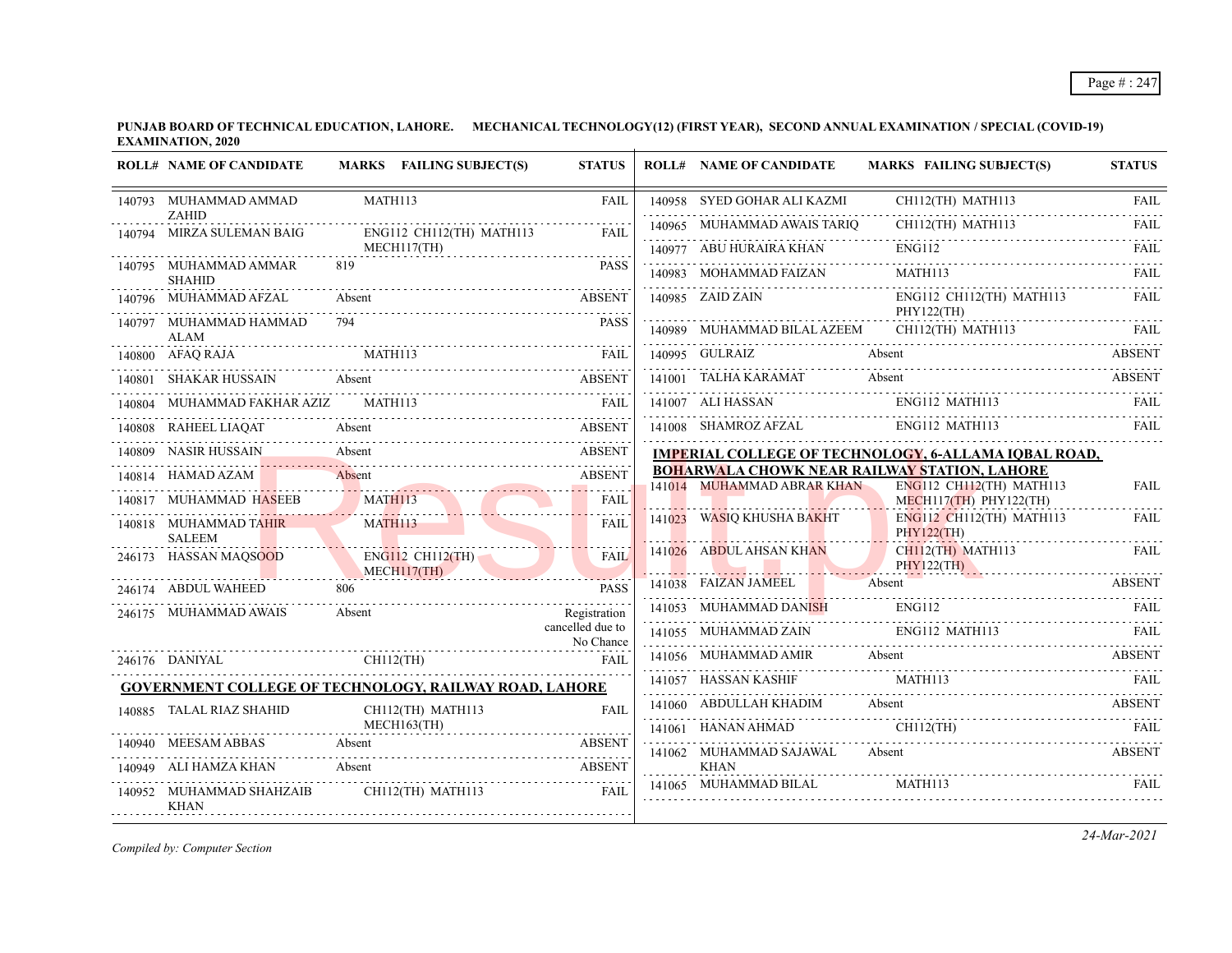**PUNJAB BOARD OF TECHNICAL EDUCATION, LAHORE. MECHANICAL TECHNOLOGY(12) (FIRST YEAR), SECOND ANNUAL EXAMINATION / SPECIAL (COVID-19) EXAMINATION, 2020**

|        | <b>ROLL# NAME OF CANDIDATE</b>                     | MARKS FAILING SUBJECT(S)                                      | <b>STATUS</b>                 |        | <b>ROLL# NAME OF CANDIDATE</b>       | <b>MARKS FAILING SUBJECT(S)</b>                                          | <b>STATUS</b>    |
|--------|----------------------------------------------------|---------------------------------------------------------------|-------------------------------|--------|--------------------------------------|--------------------------------------------------------------------------|------------------|
|        | 140793 MUHAMMAD AMMAD                              | MATH113                                                       | <b>FAIL</b>                   |        | 140958 SYED GOHAR ALI KAZMI          | CH112(TH) MATH113                                                        | <b>FAIL</b>      |
|        | <b>ZAHID</b><br>140794 MIRZA SULEMAN BAIG          | ENG112 CH112(TH) MATH113                                      | <b>FAIL</b>                   |        | 140965 MUHAMMAD AWAIS TARIQ          | CH112(TH) MATH113                                                        | <b>FAIL</b>      |
|        |                                                    | MECH117(TH)                                                   |                               |        | 140977 ABU HURAIRA KHAN              | <b>ENG112</b>                                                            | .<br><b>FAIL</b> |
|        | 140795 MUHAMMAD AMMAR<br><b>SHAHID</b>             | 819                                                           | <b>PASS</b>                   |        | 140983 MOHAMMAD FAIZAN               | <b>MATH113</b>                                                           | FAII.            |
|        | 140796 MUHAMMAD AFZAL                              | Absent                                                        | <b>ABSENT</b>                 |        | 140985 ZAID ZAIN                     | ENG112 CH112(TH) MATH113<br>PHY122(TH)                                   | FAIL.            |
|        | 140797 MUHAMMAD HAMMAD<br>ALAM                     | 794                                                           | <b>PASS</b>                   |        | 140989 MUHAMMAD BILAL AZEEM          | CH112(TH) MATH113                                                        | <b>FAIL</b>      |
| 140800 | AFAO RAJA                                          | MATH113                                                       | FAII.                         |        | 140995 GULRAIZ                       | Absent                                                                   | <b>ABSENT</b>    |
| 140801 | SHAKAR HUSSAIN                                     | Absent                                                        | <b>ABSENT</b>                 |        | 141001 TALHA KARAMAT                 | Absent                                                                   | <b>ABSENT</b>    |
|        | MUHAMMAD FAKHAR AZIZ                               | <b>MATH113</b>                                                | <b>FAIL</b>                   |        | 141007 ALI HASSAN                    | ENG112 MATH113                                                           | FAIL             |
| 140808 | RAHEEL LIAQAT                                      | Absent                                                        | <b>ABSENT</b>                 |        | 141008 SHAMROZ AFZAL                 | ENG112 MATH113                                                           | FAIL             |
| 140809 | <b>NASIR HUSSAIN</b>                               | Absent                                                        | <b>ABSENT</b>                 |        |                                      | <b>IMPERIAL COLLEGE OF TECHNOLOGY, 6-ALLAMA IQBAL ROAD,</b>              |                  |
|        | 140814 HAMAD AZAM                                  | Absent                                                        | <b>ABSENT</b>                 |        |                                      | BOHARWALA CHOWK NEAR RAILWAY STATION, LAHORE<br>ENG112 CH112(TH) MATH113 |                  |
|        | 140817 MUHAMMAD H <del>AS</del> EEB                | <b>MATH113</b>                                                | <b>FAIL</b>                   |        | 141014 MUHAMMAD ABRAR KHAN           | $MECH117$ (TH) PHY122(TH)                                                | <b>FAIL</b>      |
|        | 140818 MUHAMMAD TAHIR<br><b>SALEEM</b>             | <b>MATH113</b>                                                | <b>FAIL</b>                   | 141023 | WASIQ KHUSHA BAKHT                   | ENG112 CH112(TH) MATH113<br><b>PHY122(TH)</b>                            | <b>FAIL</b>      |
|        | 246173 HASSAN MAQSOOD                              | $ENG112$ CH112(TH)                                            | <b>FAIL</b>                   |        | 141026 ABDUL AHSAN KHAN              | CH112(TH) MATH113<br>PHY122(TH)                                          | FAIL             |
|        | 246174 ABDUL WAHEED                                | MECH117(TH)<br>806                                            | <b>PASS</b>                   |        | 141038 FAIZAN JAMEEL                 | Absent                                                                   | <b>ABSENT</b>    |
|        | 246175 MUHAMMAD AWAIS                              | Absent                                                        | Registration                  |        | 141053 MUHAMMAD DANISH               | ENG112                                                                   | FAII.            |
|        |                                                    |                                                               | cancelled due to<br>No Chance |        | 141055 MUHAMMAD ZAIN                 | ENG112 MATH113                                                           | FAII.            |
|        | 246176 DANIYAL                                     | $CH112$ (TH)                                                  | <b>FAIL</b>                   |        | 141056 MUHAMMAD AMIR                 | Absent                                                                   | ABSENT           |
|        |                                                    | <b>GOVERNMENT COLLEGE OF TECHNOLOGY, RAILWAY ROAD, LAHORE</b> |                               |        | 141057 HASSAN KASHIF                 | MATH113                                                                  |                  |
|        | 140885 TALAL RIAZ SHAHID                           | CH112(TH) MATH113                                             | <b>FAIL</b>                   |        | 141060 ABDULLAH KHADIM               | Absent                                                                   | <b>ABSENT</b>    |
|        |                                                    | MECH163(TH)                                                   |                               |        | 141061 HANAN AHMAD                   | CH112(TH)                                                                | FAIL             |
|        | 140940 MEESAM ABBAS                                | Absent                                                        | ABSENT                        |        | 141062 MUHAMMAD SAJAWAL              | Absent                                                                   | ABSENT           |
| 140952 | 140949 ALI HAMZA KHAN<br>MUHAMMAD SHAHZAIB<br>KHAN | Absent<br>CH112(TH) MATH113                                   | <b>ABSENT</b><br><b>FAIL</b>  |        | <b>KHAN</b><br>141065 MUHAMMAD BILAL | MATH113                                                                  | FAIL             |

*Compiled by: Computer Section*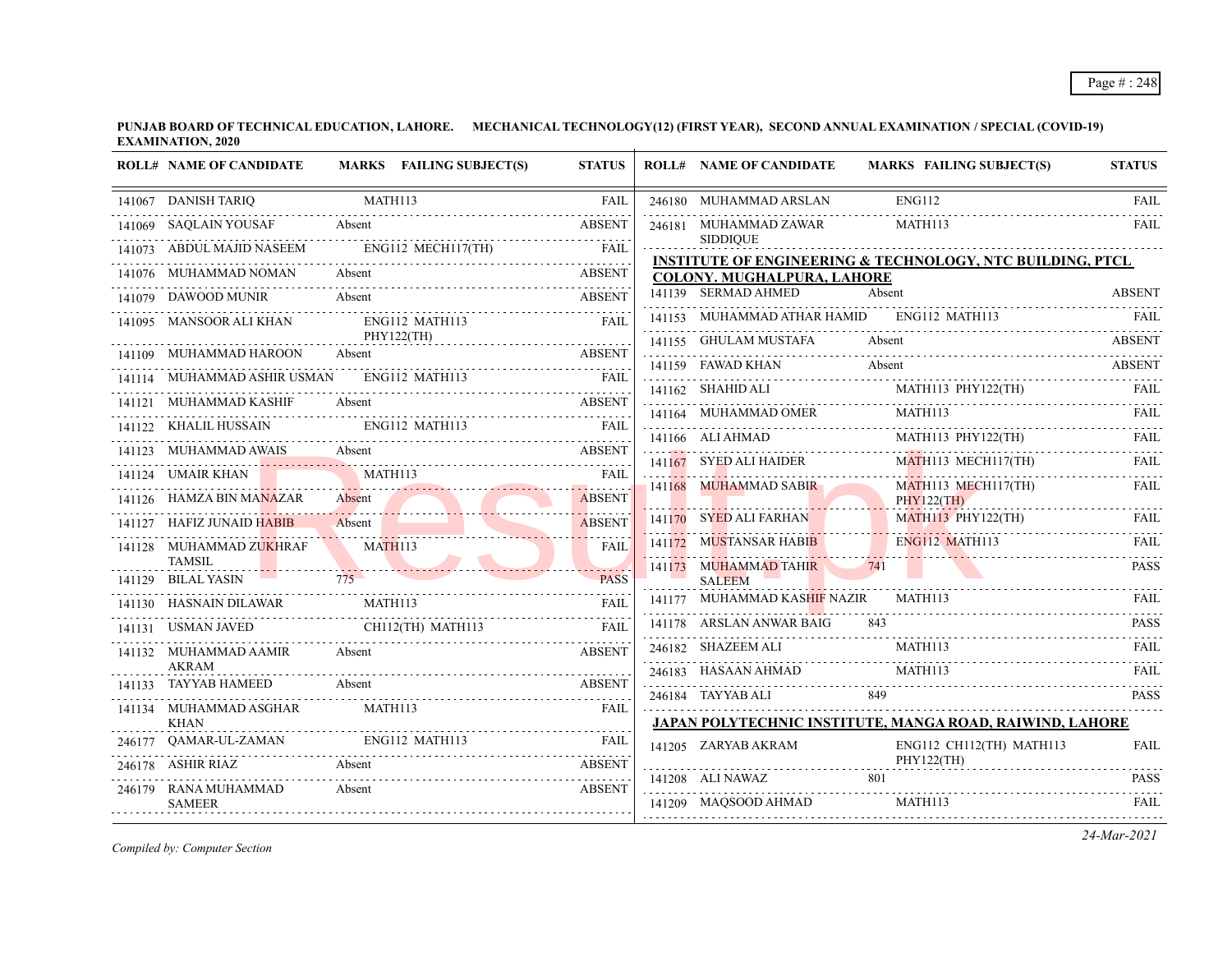**PUNJAB BOARD OF TECHNICAL EDUCATION, LAHORE. MECHANICAL TECHNOLOGY(12) (FIRST YEAR), SECOND ANNUAL EXAMINATION / SPECIAL (COVID-19) EXAMINATION, 2020**

|        | <b>ROLL# NAME OF CANDIDATE</b>        |                     | MARKS FAILING SUBJECT(S)                                                                                                                                                                                                      | <b>STATUS</b> | <b>ROLL# NAME OF CANDIDATE</b>                     | <b>MARKS FAILING SUBJECT(S)</b>                                      | <b>STATUS</b> |
|--------|---------------------------------------|---------------------|-------------------------------------------------------------------------------------------------------------------------------------------------------------------------------------------------------------------------------|---------------|----------------------------------------------------|----------------------------------------------------------------------|---------------|
| 141067 | <b>DANISH TARIQ</b>                   | MATH113             |                                                                                                                                                                                                                               | <b>FAIL</b>   | 246180 MUHAMMAD ARSLAN                             | <b>ENG112</b>                                                        | <b>FAIL</b>   |
| 141069 | <b>SAOLAIN YOUSAF</b>                 | Absent              | Absent<br>ABSENT                                                                                                                                                                                                              | <b>ABSENT</b> | 246181 MUHAMMAD ZAWAR                              | MATH113                                                              | FAIL          |
|        | ABDUL MAJID NASEEM                    |                     | ENG112 MECH117(TH)<br><u>ENGILE MECHITI(111)</u>                                                                                                                                                                              | <b>FAIL</b>   | <b>SIDDIQUE</b>                                    | <b>INSTITUTE OF ENGINEERING &amp; TECHNOLOGY, NTC BUILDING, PTCL</b> |               |
|        | 141076 MUHAMMAD NOMAN                 | Absent              | <b>ABSENT</b>                                                                                                                                                                                                                 |               | <b>COLONY. MUGHALPURA, LAHORE</b>                  |                                                                      |               |
| 141079 | DAWOOD MUNIR                          | Absent              |                                                                                                                                                                                                                               | <b>ABSENT</b> | 141139 SERMAD AHMED                                | Absent                                                               | <b>ABSENT</b> |
| 141095 | MANSOOR ALI KHAN                      |                     | ENG112 MATH113                                                                                                                                                                                                                | <b>FAII</b>   | 141153 MUHAMMAD ATHAR HAMID                        | ENG112 MATH113                                                       |               |
|        | 141109 MUHAMMAD HAROON                | Absent              | PHY122(TH)                                                                                                                                                                                                                    | <b>ABSENT</b> | 141155 GHULAM MUSTAFA                              | Absent                                                               | <b>ABSENT</b> |
|        | 141114 MUHAMMAD ASHIR USMAN           |                     | ENG112 MATH113                                                                                                                                                                                                                |               | 141159 FAWAD KHAN                                  | Absent                                                               | <b>ABSENT</b> |
|        |                                       | Absent              |                                                                                                                                                                                                                               |               | 141162 SHAHID ALI                                  |                                                                      |               |
|        | MUHAMMAD KASHIF                       |                     |                                                                                                                                                                                                                               | <b>ABSENT</b> |                                                    | 141164 MUHAMMAD OMER MATH113 FAIL FAIL                               |               |
| 141122 | KHALIL HUSSAIN ENG112 MATH113         |                     |                                                                                                                                                                                                                               | <b>FAIL</b>   | 141166 ALI AHMAD                                   | MATH113 PHY122(TH)                                                   | FAII.         |
|        | MUHAMMAD AWAIS                        | Absent              | HAMMAD AWAIS Absent Assent ABSENT                                                                                                                                                                                             | <b>ABSENT</b> | 141167 SYED ALI HAIDER                             | MATH113 MECH117(TH)                                                  | FAIL          |
| 141124 | UMAIR KHAN                            | MATH113             |                                                                                                                                                                                                                               | <b>FAIL</b>   | 141168 MUHAMMAD SABIR                              | MATH113 MECH117(TH)                                                  | FAIL          |
|        | 141126 HAMZA BIN MANAZAR              | Absent              | ZA BIN MANAZAR Absent                                                                                                                                                                                                         | <b>ABSENT</b> |                                                    | <b>PHY122(TH)</b>                                                    |               |
|        | HAFIZ JUNAID HABIB                    | Absent              |                                                                                                                                                                                                                               | <b>ABSENT</b> | 141170 SYED ALI FARHAN<br>$\frac{1}{2}$ ALI FAKHAN | <b>MATH113 PHY122(TH)</b>                                            |               |
|        | 141128 MUHAMMAD ZUKHRAF               | MATH <sub>113</sub> |                                                                                                                                                                                                                               | <b>FAIL</b>   | 141172 MUSTANSAR HABIB                             | <b>ENG112 MATH113</b>                                                | FAIL          |
| 141129 | <b>TAMSIL</b><br><b>BILAL YASIN</b>   | $775-$              |                                                                                                                                                                                                                               | <b>PASS</b>   | 141173 MUHAMMAD TAHIR<br><b>SALEEM</b>             | 741                                                                  | <b>PASS</b>   |
|        | .<br>HASNAIN DILAWAR                  | MATH113             | VERSION TO THE MATHEMS THAT THE RAIL THE MATHEMS TO THE MATHEMS THAT THE MATHEMS THAT THE MATHEMS THAT THE MATHEMS THAT THE MATHEMS THAT THE MATHEMS THAT THE MATHEMS THAT THE MATHEMS THAT THE MATHEMS THAT THE MATHEMS THAT |               | MUHAMMAD KAS <del>HIF</del> NAZIR                  | MATH113                                                              | FAII.         |
|        | USMAN JAVED                           |                     | CH112(TH) MATH113                                                                                                                                                                                                             | <b>FAIL</b>   | 141178 ARSLAN ANWAR BAIG                           | 843                                                                  | <b>PASS</b>   |
|        | 141132 MUHAMMAD AAMIR                 | Absent              |                                                                                                                                                                                                                               | <b>ABSENT</b> | 246182 SHAZEEM ALI                                 | MATH113                                                              | FAIL          |
|        | <b>AKRAM</b>                          |                     |                                                                                                                                                                                                                               |               | 246183 HASAAN AHMAD                                | MATH113                                                              | <b>FAIL</b>   |
|        | 141133 TAYYAB HAMEED                  | Absent              |                                                                                                                                                                                                                               | <b>ABSENT</b> | 246184 TAYYAB ALI                                  | 849                                                                  | <b>PASS</b>   |
|        | 141134 MUHAMMAD ASGHAR<br><b>KHAN</b> | MATH113             |                                                                                                                                                                                                                               | FAIL          |                                                    | <b>JAPAN POLYTECHNIC INSTITUTE, MANGA ROAD, RAIWIND, LAHORE</b>      |               |
|        | 246177 QAMAR-UL-ZAMAN                 |                     | ENG112 MATH113                                                                                                                                                                                                                | <b>FAIL</b>   | 141205 ZARYAB AKRAM                                | ENG112 CH112(TH) MATH113                                             | <b>FAIL</b>   |
|        | 246178 ASHIR RIAZ                     | Absent              |                                                                                                                                                                                                                               | <b>ABSENT</b> |                                                    | PHY122(TH)                                                           |               |
|        | 246179 RANA MUHAMMAD                  | Absent              |                                                                                                                                                                                                                               | <b>ABSENT</b> | 141208 ALI NAWAZ                                   | 801                                                                  | <b>PASS</b>   |
|        | <b>SAMEER</b>                         |                     |                                                                                                                                                                                                                               |               | 141209 MAQSOOD AHMAD                               | MATH113                                                              | FAIL          |

*Compiled by: Computer Section*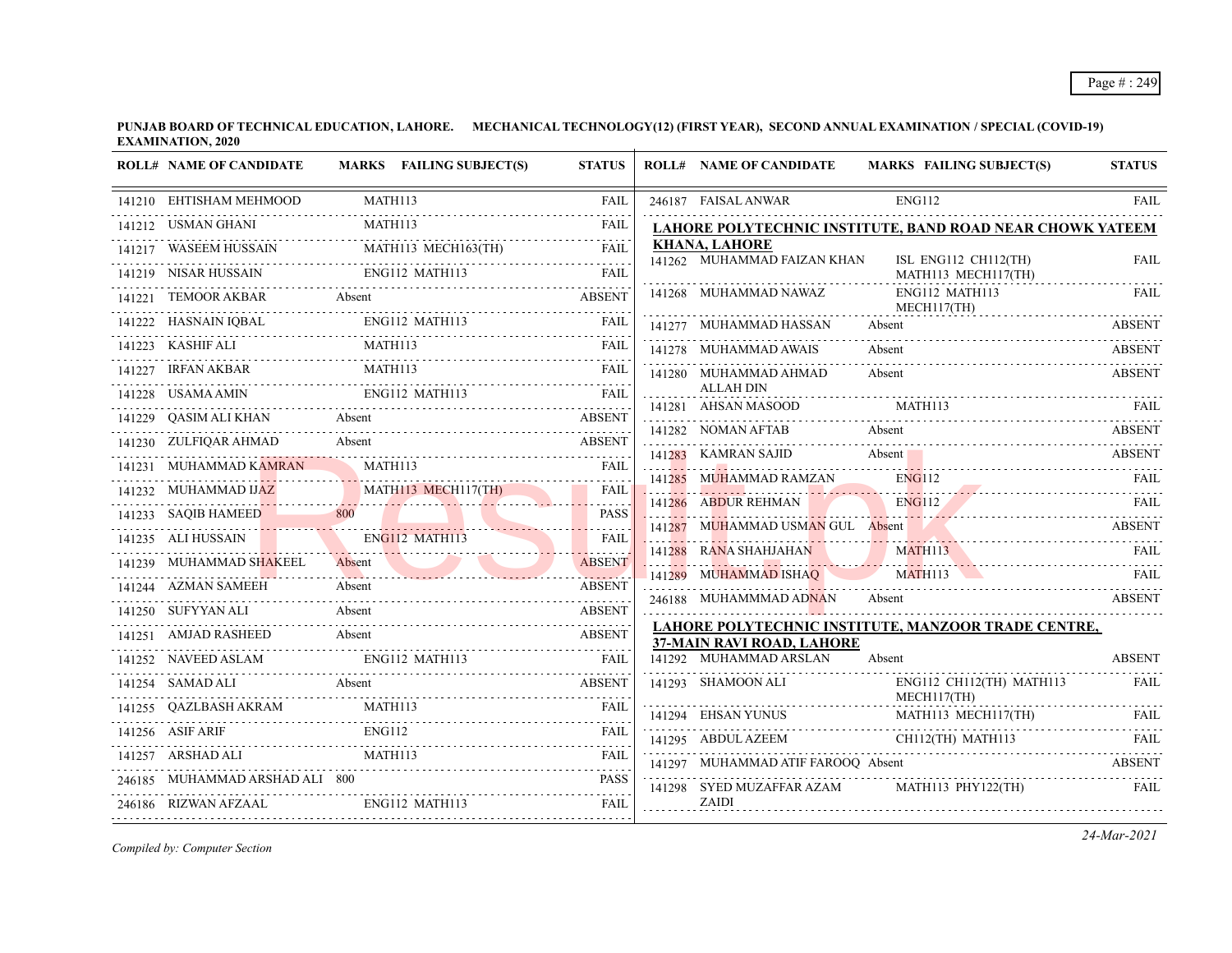**PUNJAB BOARD OF TECHNICAL EDUCATION, LAHORE. MECHANICAL TECHNOLOGY(12) (FIRST YEAR), SECOND ANNUAL EXAMINATION / SPECIAL (COVID-19) EXAMINATION, 2020**  $\overline{1}$ 

|        | <b>ROLL# NAME OF CANDIDATE</b> | MARKS FAILING SUBJECT(S)                                                                                                                                                                                                                                                 | <b>STATUS</b> | <b>ROLL# NAME OF CANDIDATE</b>       | <b>MARKS FAILING SUBJECT(S)</b>                                           | <b>STATUS</b> |
|--------|--------------------------------|--------------------------------------------------------------------------------------------------------------------------------------------------------------------------------------------------------------------------------------------------------------------------|---------------|--------------------------------------|---------------------------------------------------------------------------|---------------|
|        | 141210 EHTISHAM MEHMOOD        | MATH113                                                                                                                                                                                                                                                                  | <b>FAIL</b>   | 246187 FAISAL ANWAR                  | ENG112                                                                    | FAIL          |
|        | 141212 USMAN GHANI             | MATH113                                                                                                                                                                                                                                                                  | <b>FAIL</b>   |                                      | LAHORE POLYTECHNIC INSTITUTE, BAND ROAD NEAR CHOWK YATEEM                 |               |
|        |                                | $\begin{tabular}{lllllllll} \bf\textit{141217} & \textit{WASEEM HUSSAN} & \textit{MATH113 MECH163(TH)} & \textit{FAIL} \\ \hline \end{tabular}$                                                                                                                          |               | <b>KHANA, LAHORE</b>                 |                                                                           |               |
|        | 141219 NISAR HUSSAIN           | <b>ENG112 MATH113</b>                                                                                                                                                                                                                                                    | <b>FAIL</b>   | 141262 MUHAMMAD FAIZAN KHAN          | ISL ENG112 CH112(TH)<br>MATH113 MECH117(TH)                               | <b>FAIL</b>   |
| 141221 | <b>TEMOOR AKBAR</b>            | Absent<br>221 TEMOOR AKBAR Absent ABSENT                                                                                                                                                                                                                                 |               | 141268 MUHAMMAD NAWAZ                | ENG112 MATH113<br>MECH117(TH)                                             | FAIL          |
|        |                                |                                                                                                                                                                                                                                                                          |               | 141277 MUHAMMAD HASSAN               | Absent                                                                    | <b>ABSENT</b> |
|        |                                |                                                                                                                                                                                                                                                                          |               | 141278 MUHAMMAD AWAIS                | Absent                                                                    | <b>ABSENT</b> |
|        | 141227 IRFAN AKBAR             | MATH113                                                                                                                                                                                                                                                                  | FAIL          | 141280 MUHAMMAD AHMAD                | Absent                                                                    | ABSENT        |
|        | 141228 USAMA AMIN              |                                                                                                                                                                                                                                                                          |               | <b>ALLAH DIN</b>                     |                                                                           |               |
|        | 141229 QASIM ALI KHAN Absent   |                                                                                                                                                                                                                                                                          | <b>ABSENT</b> |                                      | $141281 \quad {\rm AHSAN\,MASOOD} \qquad {\rm MATH113} \qquad {\rm FAIL}$ |               |
|        | 141230 ZULFIQAR AHMAD          | 230 ZULFIQAR AHMAD Absent ABSENT                                                                                                                                                                                                                                         |               |                                      | 141282 NOMAN AFTAB Absent ABSENT                                          |               |
|        | 141231 MUHAMMAD KAMRAN         | <b>MATH113</b>                                                                                                                                                                                                                                                           | <b>FAIL</b>   | 141283 KAMRAN SAJID Absent           |                                                                           | ABSENT        |
|        |                                | 141232 MUHAMMAD IJAZ MATHI13 MECH117(TH)                                                                                                                                                                                                                                 | FAIL          | 141285 MUHAMMAD RAMZAN               | <b>ENG112</b><br><b>ENG112</b>                                            | <b>FAIL</b>   |
|        |                                | 141233 SAQIB HAMEED 800 PASS                                                                                                                                                                                                                                             |               | 141286 ABDUR REHMAN                  | 141286 ABDUR REHMAN ENGI12 FAIL FAIL                                      |               |
|        | 141235 ALI HUSSAIN             | ENG112 MATH113<br><b>The Contract of Street</b>                                                                                                                                                                                                                          | <b>FAIL</b>   |                                      | 141287 MUHAMMAD USMAN GUL Absent ABSENT                                   |               |
|        | 141239 MUHAMMAD SHAKEEL        | 1239 MUHAMMAD SHAKEEL Absent ABSENT                                                                                                                                                                                                                                      | <b>ABSENT</b> |                                      | 141288 RANA SHAHJAHAN MATHII3 FAIL                                        |               |
|        | 141244 AZMAN SAMEEH            | Absent                                                                                                                                                                                                                                                                   | ABSENT        | 141289 MUHAMMAD ISHAQ                | MATH113                                                                   |               |
|        | 141250 SUFYYAN ALI             | Absent                                                                                                                                                                                                                                                                   | <b>ABSENT</b> | 246188 MUHAMMMAD ADNAN               | Absent                                                                    | <b>ABSENT</b> |
|        |                                |                                                                                                                                                                                                                                                                          | <b>ABSENT</b> | 37-MAIN RAVI ROAD, LAHORE            | LAHORE POLYTECHNIC INSTITUTE, MANZOOR TRADE CENTRE,                       |               |
|        |                                | 141251 AMJAD RASHEED Absent (141251) AMJAD RASHEED FOR THE CHEMICAL CONTRACT PROPERTY CHEMICAL CONTRACT PROPERTY CHEMICAL CONTRACT PROPERTY CHEMICAL CONTRACT PROPERTY OF THE CONTRACT OF THE CONTRACT OF THE CONTRACT OF THE<br>141252 NAVEED ASLAM ENG112 MATH113 FAIL |               | 141292 MUHAMMAD ARSLAN               | Absent                                                                    | <b>ABSENT</b> |
|        | 141254 SAMAD ALI               | 254 SAMAD ALI Absent ABSENT ABSENT                                                                                                                                                                                                                                       |               | 141293 SHAMOON ALI                   | ENG112 CH112(TH) MATH113<br>MECH117(TH)                                   | <b>FAIL</b>   |
|        |                                | $141255 \quad \text{QAZLBASH AKRAM} \qquad \qquad \text{MATH113} \qquad \qquad \text{FAIL}$                                                                                                                                                                              |               |                                      |                                                                           |               |
|        | 141256 ASIF ARIF               | ENG112                                                                                                                                                                                                                                                                   |               | 141295 ABDUL AZEEM CH112(TH) MATH113 | 141295 ABDUL AZEEM CH112(TH) MATH113 FAIL                                 |               |
|        | 141257 ARSHAD ALI              | MATH113                                                                                                                                                                                                                                                                  | <b>FAIL</b>   | 141297 MUHAMMAD ATIF FAROOQ Absent   |                                                                           | ABSENT        |
|        | 246185 MUHAMMAD ARSHAD ALI 800 |                                                                                                                                                                                                                                                                          | <b>PASS</b>   | 141298 SYED MUZAFFAR AZAM            | MATH113 PHY122(TH)                                                        | <b>FAIL</b>   |
|        | 246186 RIZWAN AFZAAL           | ENG112 MATH113                                                                                                                                                                                                                                                           | <b>FAIL</b>   | ZAIDI                                |                                                                           |               |
|        |                                |                                                                                                                                                                                                                                                                          |               |                                      |                                                                           |               |

*Compiled by: Computer Section*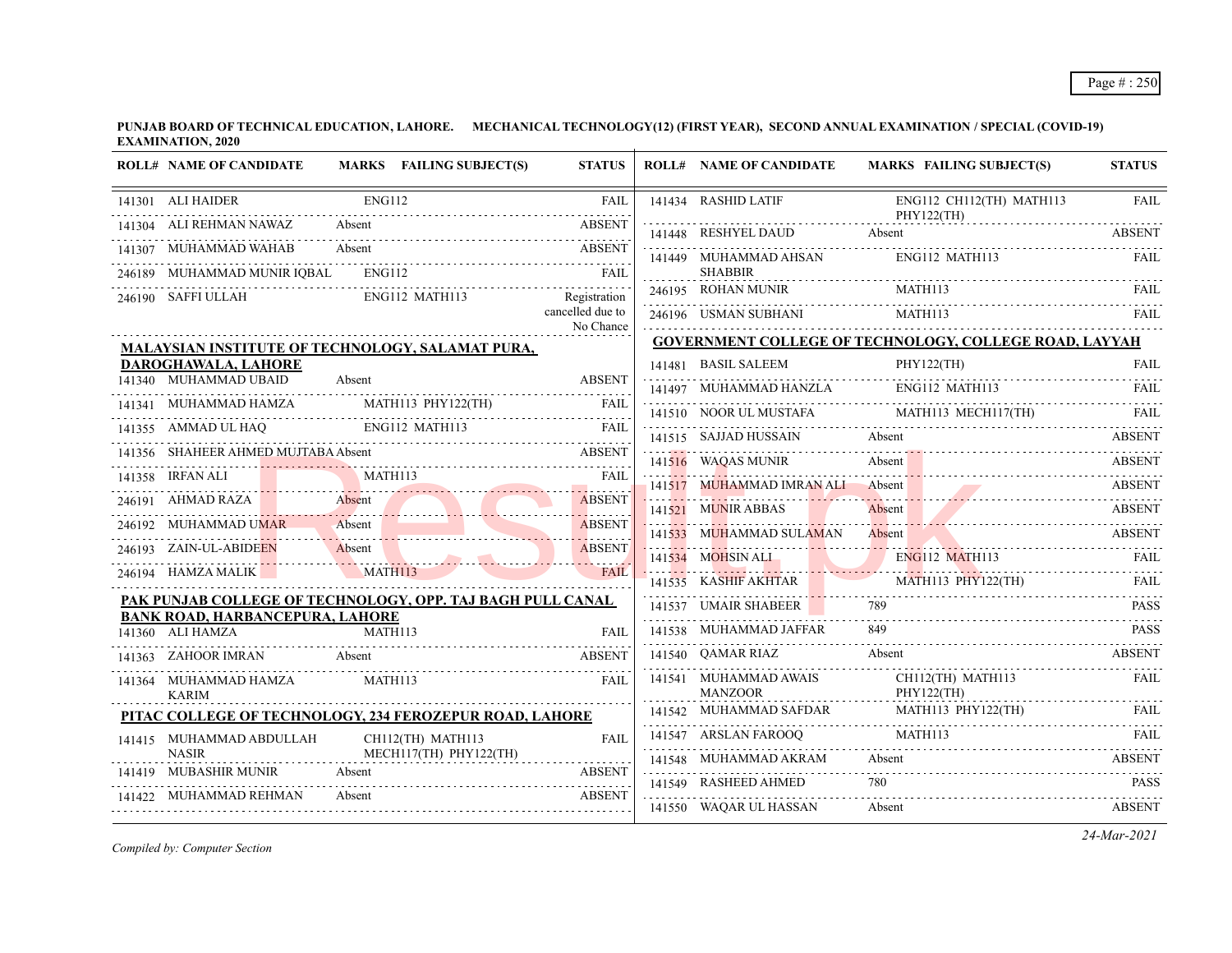**PUNJAB BOARD OF TECHNICAL EDUCATION, LAHORE. MECHANICAL TECHNOLOGY(12) (FIRST YEAR), SECOND ANNUAL EXAMINATION / SPECIAL (COVID-19) EXAMINATION, 2020**

| <b>ROLL# NAME OF CANDIDATE</b>                                                                                                                      |                       | MARKS FAILING SUBJECT(S)    | <b>STATUS</b>                 | <b>ROLL# NAME OF CANDIDATE</b>                                                                   |        | <b>MARKS FAILING SUBJECT(S)</b>                                                                                                                                                                                                                                                                                     | <b>STATUS</b> |
|-----------------------------------------------------------------------------------------------------------------------------------------------------|-----------------------|-----------------------------|-------------------------------|--------------------------------------------------------------------------------------------------|--------|---------------------------------------------------------------------------------------------------------------------------------------------------------------------------------------------------------------------------------------------------------------------------------------------------------------------|---------------|
| 141301 ALI HAIDER                                                                                                                                   | <b>ENG112</b>         |                             | <b>FAIL</b>                   | 141434 RASHID LATIF                                                                              |        | ENG112 CH112(TH) MATH113                                                                                                                                                                                                                                                                                            | <b>FAIL</b>   |
| 141304 ALI REHMAN NAWAZ                                                                                                                             |                       | Absent ABSENT               |                               |                                                                                                  |        | PHY122(TH)<br>141448 RESHYEL DAUD Absent ABSENT                                                                                                                                                                                                                                                                     |               |
| MUHAMMAD WAHAB Absent ABSENT<br>141307 MUHAMMAD WAHAB                                                                                               |                       |                             |                               | 141449 MUHAMMAD AHSAN                                                                            |        | ENG112 MATH113                                                                                                                                                                                                                                                                                                      | FAIL          |
| 246189 MUHAMMAD MUNIR IQBAL ENG112 FAIL FAIL                                                                                                        |                       |                             |                               | <b>SHABBIR</b>                                                                                   |        |                                                                                                                                                                                                                                                                                                                     |               |
| 246190 SAFFI ULLAH                                                                                                                                  |                       | ENG112 MATH113 Registration |                               |                                                                                                  |        | 246195 ROHAN MUNIR MATH113 FAIL FAIL                                                                                                                                                                                                                                                                                |               |
|                                                                                                                                                     |                       |                             | cancelled due to<br>No Chance | 246196 USMAN SUBHANI MATH113                                                                     |        |                                                                                                                                                                                                                                                                                                                     |               |
| <b>MALAYSIAN INSTITUTE OF TECHNOLOGY, SALAMAT PURA,</b>                                                                                             |                       |                             |                               |                                                                                                  |        | <b>GOVERNMENT COLLEGE OF TECHNOLOGY, COLLEGE ROAD, LAYYAH</b>                                                                                                                                                                                                                                                       |               |
| DAROGHAWALA, LAHORE                                                                                                                                 |                       |                             |                               | 141481 BASIL SALEEM                                                                              |        | 141481 BASIL SALEEM PHY122(TH) FAIL                                                                                                                                                                                                                                                                                 |               |
| 141340 MUHAMMAD UBAID                                                                                                                               | Absent                |                             | <b>ABSENT</b>                 |                                                                                                  |        | 141497 MUHAMMAD HANZLA ENGI12 MATH113 FAIL FAIL                                                                                                                                                                                                                                                                     |               |
| 141341 MUHAMMAD HAMZA MATHI13 PHY122(TH) FAIL                                                                                                       |                       |                             |                               |                                                                                                  |        | $\begin{tabular}{c} \hline 141510 & \text{NOOR UL MUSTAFA} \\ \hline \end{tabular} \begin{tabular}{c} \hline \text{AATH113} & \text{MECH117(TH)} \\ \hline \end{tabular} \begin{tabular}{c} \hline \text{FAIL} \\ \hline \end{tabular} \end{tabular} \begin{tabular}{c} \hline \text{FAIL} \\ \hline \end{tabular}$ |               |
| 141355 AMMAD UL HAQ ENGI12 MATH113 FAIL                                                                                                             |                       |                             |                               | 141515 SAJJAD HUSSAIN                                                                            | Absent |                                                                                                                                                                                                                                                                                                                     | <b>ABSENT</b> |
| 141356 SHAHEER AHMED MUJTABA Absent ABSENT                                                                                                          |                       |                             |                               |                                                                                                  |        | 141516 WAQAS MUNIR Absent Absent ABSENT                                                                                                                                                                                                                                                                             |               |
| 141358 IRFAN ALI MATHI13 FAIL PAIL                                                                                                                  |                       |                             |                               |                                                                                                  |        | 141517 MUHAMMAD IMRAN ALI Absent ABSENT                                                                                                                                                                                                                                                                             |               |
| 246191 AHMAD RAZA Absent Absent ABSENT                                                                                                              |                       |                             | <b>ABSENT</b>                 | 141521 MUNIR ABBAS                                                                               |        | Absent ABSENT                                                                                                                                                                                                                                                                                                       |               |
| 246192 MUHAMMAD UMAR Absent                                                                                                                         |                       |                             | <b>ABSENT</b><br>.            |                                                                                                  |        | 141533 MUHAMMAD SULAMAN Absent ASSENT ABSENT                                                                                                                                                                                                                                                                        |               |
| 246193 ZAIN-UL-ABIDEEN Absent RESENT<br>246193 ZAIN-UL-ABIDEEN                                                                                      |                       |                             |                               |                                                                                                  |        | 141534 MOHSIN ALL ENG112 MATH113                                                                                                                                                                                                                                                                                    | FAIL          |
| 246194 HAMZA MALIK MATH113<br><u> 1970 - Johann Stoff, deutscher Stoff, der Stoff, der Stoff, der Stoff, der Stoff, der Stoff, der Stoff, der S</u> |                       |                             | FAIL.                         |                                                                                                  |        | 141535 KASHIF AKHTAR MATHI13 PHY122(TH) FAIL                                                                                                                                                                                                                                                                        |               |
| PAK PUNJAB COLLEGE OF TECHNOLOGY, OPP. TAJ BAGH PULL CANAL                                                                                          |                       |                             |                               |                                                                                                  |        |                                                                                                                                                                                                                                                                                                                     |               |
| <b>BANK ROAD, HARBANCEPURA, LAHORE</b><br>141360 ALI HAMZA                                                                                          | $\overline{MATH}$ 113 |                             | <b>FAIL</b>                   | 141538 MUHAMMAD JAFFAR                                                                           |        | 141537 UMAIR SHABEER 789 PASS                                                                                                                                                                                                                                                                                       |               |
|                                                                                                                                                     |                       |                             |                               | 141540 OAMAR RIAZ                                                                                |        | Absent                                                                                                                                                                                                                                                                                                              | ABSENT        |
| 41363 ZAHOOR IMRAN Absent ABSENT<br>141363 ZAHOOR IMRAN Absent                                                                                      |                       |                             |                               |                                                                                                  |        | CH112(TH) MATH113                                                                                                                                                                                                                                                                                                   | FAIL          |
| 141364 MUHAMMAD HAMZA<br><b>KARIM</b>                                                                                                               | MATH113               |                             | FAIL                          | $\begin{tabular}{ll} 141541 & MUHAMMAD AWAIS & CH112(TH) & MANZOOR & PHY122(TH)\\ \end{tabular}$ |        |                                                                                                                                                                                                                                                                                                                     |               |
| PITAC COLLEGE OF TECHNOLOGY, 234 FEROZEPUR ROAD, LAHORE                                                                                             |                       |                             |                               |                                                                                                  |        | 141542 MUHAMMAD SAFDAR MATH113 PHY122(TH) FAIL                                                                                                                                                                                                                                                                      |               |
| 141415 MUHAMMAD ABDULLAH                                                                                                                            |                       | CH112(TH) MATH113           | <b>FAIL</b>                   | 141547 ARSLAN FAROOQ MATH113                                                                     |        |                                                                                                                                                                                                                                                                                                                     | FAIL.         |
| <b>NASIR</b>                                                                                                                                        |                       | MECH117(TH) PHY122(TH)      | .)<br>                        | 141548 MUHAMMAD AKRAM                                                                            | Absent | 141548 MUHAMMAD AKRAM Absent Absent ABSENT                                                                                                                                                                                                                                                                          | <b>ABSENT</b> |
| 141419 MUBASHIR MUNIR                                                                                                                               |                       | Absent ABSENT               |                               |                                                                                                  |        | 141549 RASHEED AHMED 780 PASS                                                                                                                                                                                                                                                                                       |               |
| 141422 MUHAMMAD REHMAN                                                                                                                              |                       | Absent ABSENT               | <b>ABSENT</b>                 | 141550 WAQAR UL HASSAN                                                                           | Absent |                                                                                                                                                                                                                                                                                                                     | ABSENT        |

*Compiled by: Computer Section*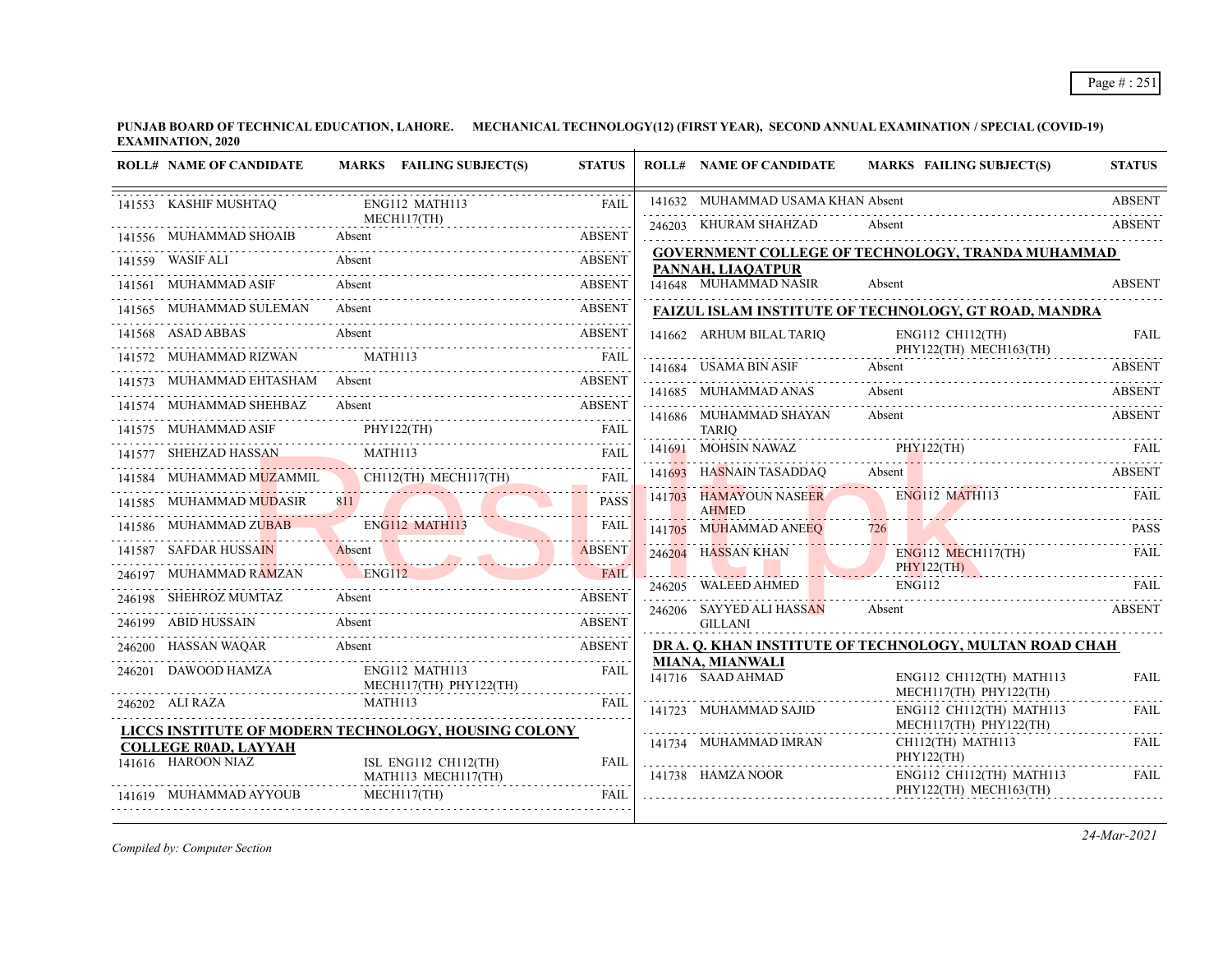**PUNJAB BOARD OF TECHNICAL EDUCATION, LAHORE. MECHANICAL TECHNOLOGY(12) (FIRST YEAR), SECOND ANNUAL EXAMINATION / SPECIAL (COVID-19) EXAMINATION, 2020**

| <b>ROLL# NAME OF CANDIDATE</b>                    | MARKS FAILING SUBJECT(S)                                                                                 | <b>STATUS</b>    | <b>ROLL# NAME OF CANDIDATE</b>              |        | <b>MARKS FAILING SUBJECT(S)</b>                          | <b>STATUS</b> |
|---------------------------------------------------|----------------------------------------------------------------------------------------------------------|------------------|---------------------------------------------|--------|----------------------------------------------------------|---------------|
| 141553 KASHIF MUSHTAQ                             | ENG112 MATH113                                                                                           | <b>FAIL</b>      | 141632 MUHAMMAD USAMA KHAN Absent           |        |                                                          | <b>ABSENT</b> |
| 141556 MUHAMMAD SHOAIB                            | MECH117(TH)<br>Absent                                                                                    |                  | 246203 KHURAM SHAHZAD                       | Absent |                                                          | <b>ABSENT</b> |
| .<br>141559 WASIF ALI                             | Absent                                                                                                   | <b>ABSENT</b>    | PANNAH, LIAOATPUR                           |        | <b>GOVERNMENT COLLEGE OF TECHNOLOGY, TRANDA MUHAMMAD</b> |               |
| 141561 MUHAMMAD ASIF                              | Absent                                                                                                   | <b>ABSENT</b>    | 141648 MUHAMMAD NASIR                       | Absent |                                                          | <b>ABSENT</b> |
| 141565 MUHAMMAD SULEMAN Absent                    |                                                                                                          | ABSENT           |                                             |        | FAIZUL ISLAM INSTITUTE OF TECHNOLOGY, GT ROAD, MANDRA    |               |
| 141568 ASAD ABBAS Absent                          | <b>ABSENT</b>                                                                                            |                  | 141662 ARHUM BILAL TARIO                    |        | ENG112 CH112(TH)                                         | <b>FAIL</b>   |
|                                                   | 141572 MUHAMMAD RIZWAN MATH113 FAIL PRIMER PRIMER AND RIZWAN MATH113                                     |                  | 141684 USAMA BIN ASIF                       | Absent | PHY122(TH) MECH163(TH)                                   | <b>ABSENT</b> |
|                                                   | 141573 MUHAMMAD EHTASHAM Absent National ABSENT                                                          |                  | 141685 MUHAMMAD ANAS                        | Absent |                                                          | <b>ABSENT</b> |
|                                                   | 141574 MUHAMMAD SHEHBAZ Absent ABSENT ABSENT ABSENT PHY122(TH) FAIL FAIL THY122(TH) FAIL THY122(TH) FAIL |                  | 141686 MUHAMMAD SHAYAN                      | Absent |                                                          | <b>ABSENT</b> |
|                                                   |                                                                                                          |                  | TARIO                                       |        |                                                          |               |
|                                                   |                                                                                                          |                  | 141691 MOHSIN NAWAZ PHY122(TH)              |        | 141691 MOHSIN NAWAZ PHY122(TH) FAIL                      |               |
|                                                   | 141584 MUHAMMAD MUZAMMIL CHII2(TH) MECHII7(TH) FAIL                                                      |                  |                                             |        | 141693 HASNAIN TASADDAQ Absent                           | <b>ABSENT</b> |
|                                                   | 141585 MUHAMMAD MUDASIR 811                                                                              | <b>PASS</b><br>. | 141703 HAMAYOUN NASEER<br><b>AHMED</b>      |        | ENG112 MATH113                                           | <b>FAIL</b>   |
|                                                   | 141586 MUHAMMAD ZUBAB ENG112 MATH113                                                                     | <b>FAIL</b>      | $141705$ MUHAMMAD ANEEQ $726$               |        |                                                          | <b>PASS</b>   |
|                                                   | 141587 SAFDAR HUSSAIN Absent                                                                             | <b>ABSENT</b>    | 246204 HASSAN KHAN                          |        | $ENG112$ MECH117(TH)                                     | <b>FAIL</b>   |
|                                                   | 246197 MUHAMMAD RAMZAN ENG112 FAIL                                                                       | <b>FAIL</b>      |                                             |        | PHY122(TH)                                               |               |
| 246198 SHEHROZ MUMTAZ                             | Absent                                                                                                   | <b>ABSENT</b>    | 246206 SAYYED ALI HASSAN                    | Absent | 246205 WALEED AHMED ENG112 FAIL                          | <b>ABSENT</b> |
|                                                   | 246199 ABID HUSSAIN Absent ABSENT                                                                        |                  | GILLANI                                     |        |                                                          |               |
|                                                   | 246200 HASSAN WAQAR Absent ABSENT                                                                        |                  |                                             |        | DR A. Q. KHAN INSTITUTE OF TECHNOLOGY, MULTAN ROAD CHAH  |               |
| 246201 DAWOOD HAMZA                               | ENG112 MATH113<br>MECH117(TH) PHY122(TH)                                                                 | FAIL             | <b>MIANA, MIANWALI</b><br>141716 SAAD AHMAD |        | ENG112 CH112(TH) MATH113<br>MECH117(TH) PHY122(TH)       | <b>FAIL</b>   |
| 246202 ALI RAZA                                   | MATH113<br>LICCS INSTITUTE OF MODERN TECHNOLOGY, HOUSING COLONY                                          | FAIL             | 141723 MUHAMMAD SAJID                       |        | ENG112 CH112(TH) MATH113<br>MECH117(TH) PHY122(TH)       | <b>FAIL</b>   |
| <b>COLLEGE ROAD, LAYYAH</b><br>141616 HAROON NIAZ | ISL ENG112 CH112(TH)                                                                                     | FAIL             | 141734 MUHAMMAD IMRAN                       |        | CH112(TH) MATH113<br>PHY122(TH)                          | FAIL          |
| 141619 MUHAMMAD AYYOUB                            | MATH113 MECH117(TH)<br>MECH117(TH)                                                                       | FAIL             | 141738 HAMZA NOOR                           |        | ENG112 CH112(TH) MATH113<br>PHY122(TH) MECH163(TH)       | FAIL          |
|                                                   |                                                                                                          |                  |                                             |        |                                                          |               |

*Compiled by: Computer Section*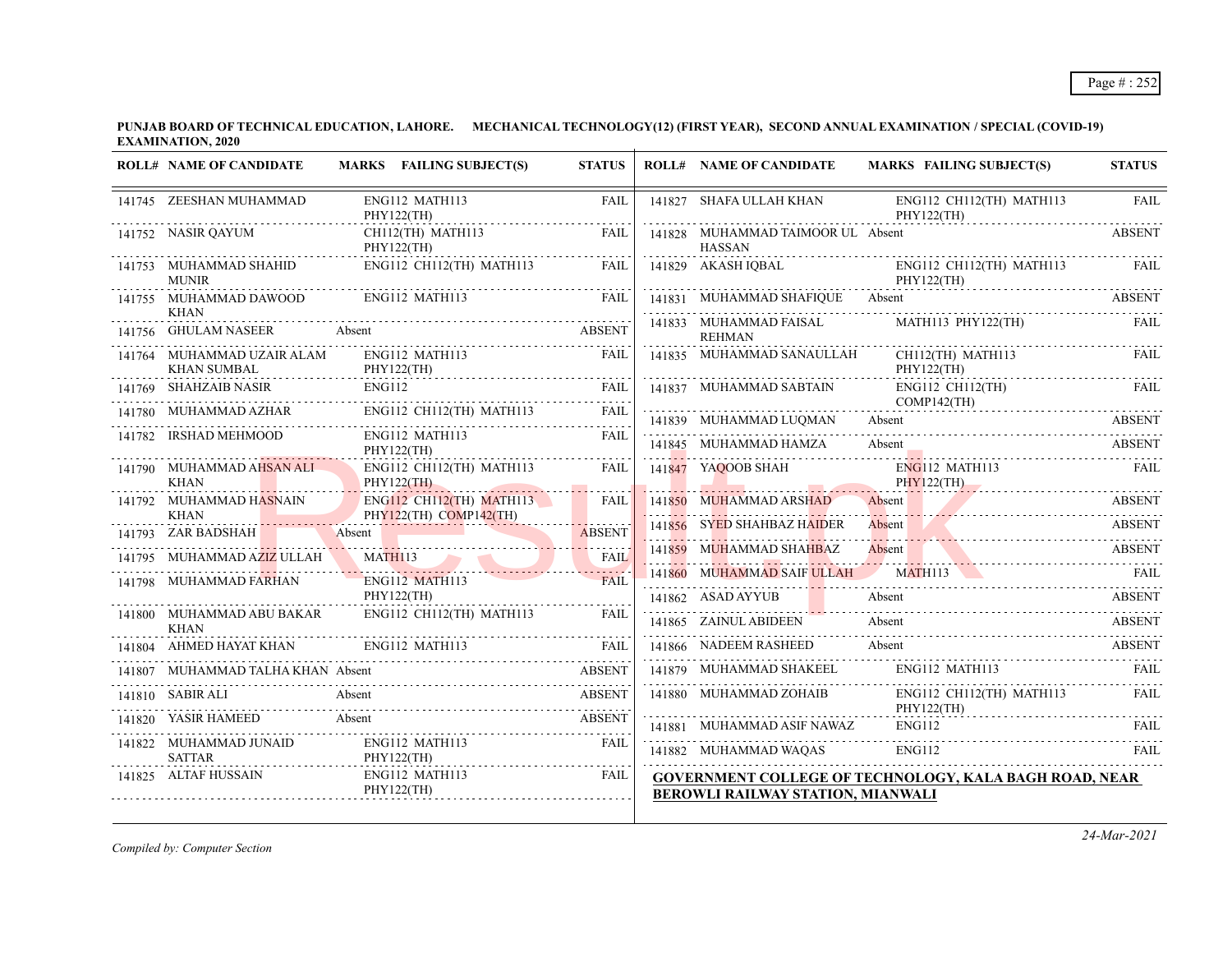**PUNJAB BOARD OF TECHNICAL EDUCATION, LAHORE. MECHANICAL TECHNOLOGY(12) (FIRST YEAR), SECOND ANNUAL EXAMINATION / SPECIAL (COVID-19) EXAMINATION, 2020**  $\overline{1}$ 

| <b>ROLL# NAME OF CANDIDATE</b>                   | MARKS FAILING SUBJECT(S)                    | <b>STATUS</b>    | <b>ROLL# NAME OF CANDIDATE</b>                          | <b>MARKS FAILING SUBJECT(S)</b>                                                       | <b>STATUS</b> |
|--------------------------------------------------|---------------------------------------------|------------------|---------------------------------------------------------|---------------------------------------------------------------------------------------|---------------|
| 141745 ZEESHAN MUHAMMAD                          | ENG112 MATH113<br>PHY122(TH)<br>.           | <b>FAIL</b>      | 141827 SHAFA ULLAH KHAN                                 | ENG112 CH112(TH) MATH113<br>PHY122(TH)                                                | <b>FAIL</b>   |
| 141752 NASIR QAYUM                               | CH112(TH) MATH113<br>PHY122(TH)             | FAIL             | 141828 MUHAMMAD TAIMOOR UL Absent<br><b>HASSAN</b><br>. |                                                                                       | <b>ABSENT</b> |
| 141753 MUHAMMAD SHAHID<br><b>MUNIR</b>           | $ENG112$ CH112(TH) MATH113                  | FAIL             | 141829 AKASH IQBAL                                      | ENG112 CH112(TH) MATH113 FAIL<br>PHY122(TH)                                           |               |
| 141755 MUHAMMAD DAWOOD<br>KHAN                   | ENG112 MATH113                              | <b>EAIL</b>      |                                                         | 141831 MUHAMMAD SHAFIQUE Absent                                                       | <b>ABSENT</b> |
| 141756 GHULAM NASEER                             | Absent ABSENT                               | <b>ABSENT</b>    | 141833 MUHAMMAD FAISAL<br><b>REHMAN</b>                 | MATH113 PHY122(TH)                                                                    | FAIL          |
| 141764 MUHAMMAD UZAIR ALAM<br><b>KHAN SUMBAL</b> | ENG112 MATH113<br>PHY122(TH)                | FAII.            | 141835 MUHAMMAD SANAULLAH                               | CH112(TH) MATH113<br>PHY122(TH)                                                       | FAIL          |
| 141769 SHAHZAIB NASIR                            | <b>ENG112</b>                               | FAIL             | 141837 MUHAMMAD SABTAIN                                 | $ENG112 \tCH112(TH)$<br>$COMP142$ (TH)                                                | FAIL          |
|                                                  | ENG112 CH112(TH) MATH113                    | FAIL             | 141839 MUHAMMAD LUQMAN                                  | Absent                                                                                | <b>ABSENT</b> |
| 141782 IRSHAD MEHMOOD                            | ENG112 MATH113<br>PHY122(TH)<br>. <b>.</b>  | FAII.            | 141845 MUHAMMAD HAMZA                                   | Absent                                                                                | <b>ABSENT</b> |
| 141790 MUHAMMAD AHSAN ALI<br><b>KHAN</b>         | ENG112 CH112(TH) MATH113<br>PHY122(TH)      | <b>FAIL</b>      | 141847 YAQOOB SHAH                                      | $ENG112$ MATH113<br><b>PHY122(TH)</b>                                                 | <b>EAIL</b>   |
| 141792 MUHAMMAD HASNAIN                          | <b>ENG112 CH112(TH) MATH113</b>             | المتمددة<br>FAIL | 141850 MUHAMMAD ARSHAD                                  | Absent                                                                                | <b>ABSENT</b> |
| <b>KHAN</b><br>141793 ZAR BADSHAH                | PHY122(TH) COMP142(TH)<br>Absent            | <b>ABSENT</b>    | 141856 SYED SHAHBAZ HAIDER                              | Absent                                                                                | <b>ABSENT</b> |
| 141795 MUHAMMAD AZIZ ULLAH                       | MATHI13                                     | <b>FAIL</b>      | 141859 MUHAMMAD SHAHBAZ                                 | Absent<br>$FAT$                                                                       |               |
| 141798 MUHAMMAD FARHAN                           | <b>ENG112 MATH113</b>                       | <b>FAIL</b>      |                                                         | 141860 MUHAMMAD SAIF ULLAH MATH113 NATH113 FAIL                                       |               |
|                                                  | PHY122(TH)                                  |                  | 141862 ASAD AYYUB                                       | Absent                                                                                | <b>ABSENT</b> |
| 141800 MUHAMMAD ABU BAKAR<br><b>KHAN</b>         | $ENG112$ CH112(TH) MATH113                  | FAIL             | 141865 ZAINUL ABIDEEN                                   | Absent                                                                                | <b>ABSENT</b> |
|                                                  | 141804 AHMED HAYAT KHAN ENG112 MATH113 FAIL |                  | 141866 NADEEM RASHEED                                   | Absent                                                                                | <b>ABSENT</b> |
| MUHAMMAD TALHA KHAN Absent                       |                                             | <b>ABSENT</b>    |                                                         | 141879 MUHAMMAD SHAKEEL ENG112 MATH113                                                | FAIL          |
| 141810 SABIR ALI                                 | Absent                                      | <b>ABSENT</b>    | 141880 MUHAMMAD ZOHAIB                                  | ENG112 CH112(TH) MATH113                                                              | <b>FAIL</b>   |
| 141820 YASIR HAMEED                              | Absent                                      | <b>ABSENT</b>    |                                                         | PHY122(TH)<br>PHY122(TH)<br>141881 MUHAMMAD ASIF NAWAZ ENGI12 FAIL<br>2000 PHY122(TH) |               |
| 141822 MUHAMMAD JUNAID                           | ENG112 MATH113                              | <b>FAIL</b>      | 141882 MUHAMMAD WAQAS                                   | ENG112                                                                                | FAII.         |
| <b>SATTAR</b><br>141825 ALTAF HUSSAIN            | PHY122(TH)<br>ENG112 MATH113<br>PHY122(TH)  | FAIL             | <b>BEROWLI RAILWAY STATION, MIANWALI</b>                | <b>GOVERNMENT COLLEGE OF TECHNOLOGY, KALA BAGH ROAD, NEAR</b>                         |               |

*Compiled by: Computer Section*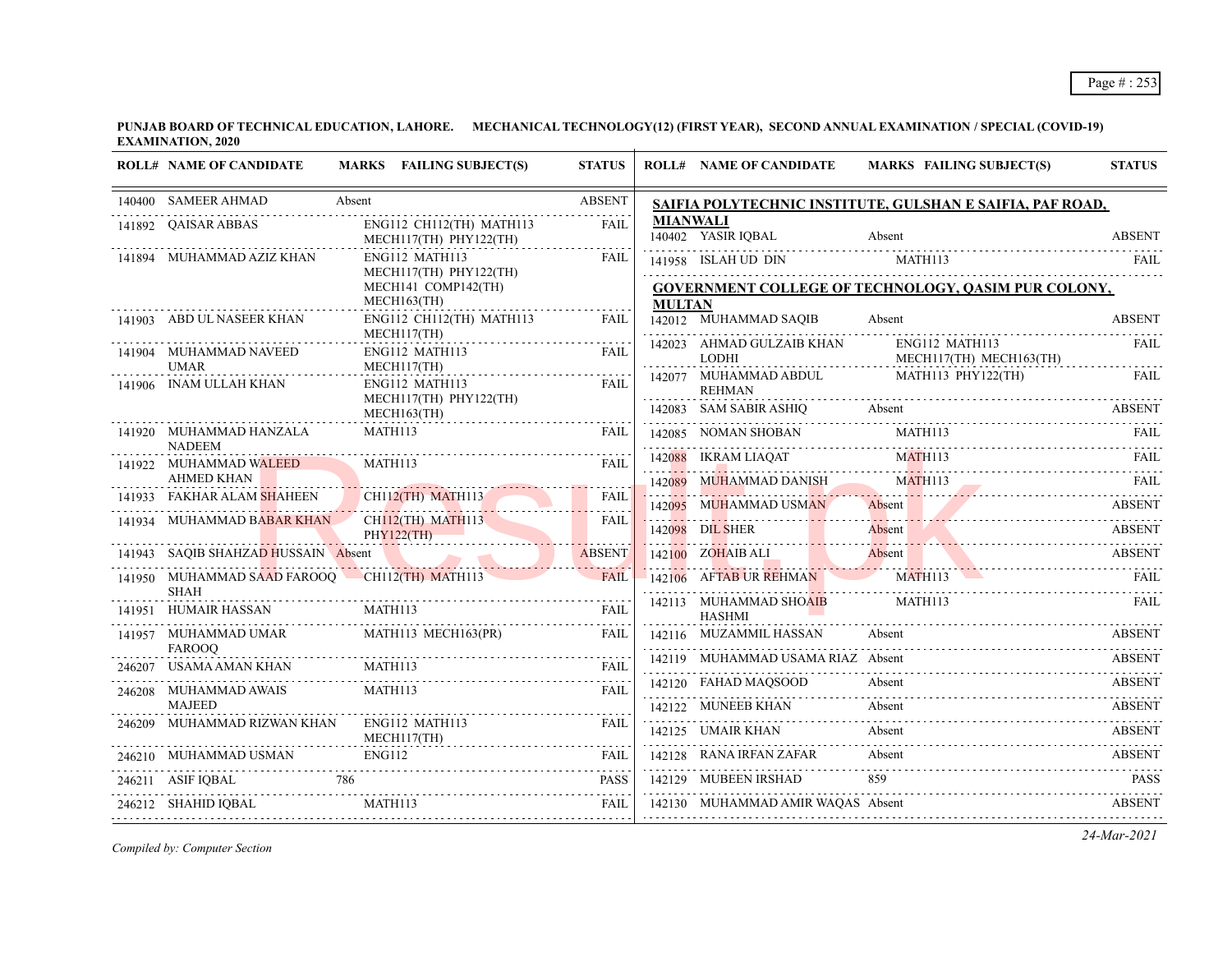| <b>ABSENT</b><br>140400 SAMEER AHMAD<br>Absent<br>SAIFIA POLYTECHNIC INSTITUTE, GULSHAN E SAIFIA, PAF ROAD,<br>.<br>MIANWALI<br>141892 QAISAR ABBAS<br>ENG112 CH112(TH) MATH113<br>FAIL<br>140402 YASIR IQBAL<br><b>Absent</b><br>MECH117(TH) PHY122(TH)<br>141894 MUHAMMAD AZIZ KHAN<br>ENG112 MATH113<br><b>FAIL</b><br>141958 ISLAH UD DIN MATH113 FAIL RELATION OF MATH113<br>MECH117(TH) PHY122(TH)<br><b>GOVERNMENT COLLEGE OF TECHNOLOGY, QASIM PUR COLONY,</b><br>MECH141 COMP142(TH)<br>MECH163(TH)<br>MULTAN<br>ENG112 CH112(TH) MATH113<br>142012 MUHAMMAD SAQIB<br>141903 ABD UL NASEER KHAN<br><b>FAIL</b><br>Absent<br>$MECH117$ (TH)<br>142023 AHMAD GULZAIB KHAN ENG112 MATH113<br>141904 MUHAMMAD NAVEED<br>ENG112 MATH113<br>FAIL<br><b>LODHI</b><br>MECH117(TH) MECH163(TH)<br><b>UMAR</b><br>MECH117(TH)<br>142077 MUHAMMAD ABDUL MATH113 PHY122(TH)<br>141906 INAM ULLAH KHAN<br>ENG112 MATH113<br>FAIL<br><b>REHMAN</b><br>MECH117(TH) PHY122(TH)<br>.<br>142083 SAM SABIR ASHIQ Absent ABSENT<br>MECH163(TH)<br>MATH113<br>142085 NOMAN SHOBAN MATHII3 FAIL<br>141920 MUHAMMAD HANZALA<br>FAIL<br><b>NADEEM</b><br>142088 IKRAM LIAQAT MATHII3 FAIL PARTEN PARTEN BERTAL PARTEN BERTAL PARTEN BERTAL PARTEN BERTAL PARTEN BERTAL<br>141922 MUHAMMAD WALEED<br>MATH113<br>FAII.<br><b>AHMED KHAN</b><br>142089 MUHAMMAD DANISH MATHII3 FAIL<br>141933 FAKHAR ALAM SHAHEEN CHILIZ(TH) MATHI13<br><b>FAIL</b><br>142095 MUHAMMAD USMAN<br>Absent ABSENT<br>ABSENT<br>CHII2(TH) MATHII3<br>141934 MUHAMMAD BABAR KHAN<br><b>FAIL</b><br>142098 DIL SHER Absent ABSENT ABSENT<br>PHY122(TH)<br>142100 ZOHAIBALI Absent ABSENT ABSENT 142106 AFTABUR REHMAN MATHII3 FAIL<br>141943 SAOIB SHAHZAD HUSSAIN Absent<br><b>ABSENT</b><br>141950 MUHAMMAD SAAD FAROOQ CH112(TH) MATH113<br><b>FAIL</b><br>SHAH<br>$\begin{tabular}{l c c c c} \hline \text{SHA} & \text{HAH} & \text{MATH113} & \text{FAIL} \\ \hline 141951 & \text{HUMAIR HASSAN} & \text{MATH113} & \text{FAIL} \\ \hline 141957 & \text{MUHAMMAD UMAR} & \text{MATH113 MECHI63(PR)} & \text{FAIL} \\ \hline \end{tabular}$<br>142113 MUHAMMAD SHOAIB<br>MATH113<br><b>HASHMI</b><br>Absent<br>142116 MUZAMMIL HASSAN<br><b>FAROOO</b><br>142119 MUHAMMAD USAMA RIAZ Absent<br>246207 USAMA AMAN KHAN MATHII3 FAIL FAIL<br><u>172117 - HOLD BRITAN DOG BRITANING - ITOGER</u><br>142120 FAHAD MAQSOOD Absent ABSENT<br>MATH113<br>246208 MUHAMMAD AWAIS<br>FAIL<br><b>MAJEED</b><br>142122 MUNEEB KHAN Absent<br>246209 MUHAMMAD RIZWAN KHAN<br>ENG112 MATH113<br><b>FAIL</b><br>Absent<br>142125 UMAIR KHAN<br>142125 UMAIR KHAN Absent ABSENT<br>MECH117(TH)<br>Absent<br><b>ENG112</b><br>142128 RANA IRFAN ZAFAR<br>246210 MUHAMMAD USMAN ENG112 FAIL FAIL<br>859<br>142129 MUBEEN IRSHAD<br>$\begin{tabular}{llllllll} \multicolumn{2}{c}{\textbf{246211}} & \textbf{ASIF IQBAL} & \textbf{786} & \textbf{PASS} \\ \hline \multicolumn{2}{c}{\textbf{246212}} & \textbf{SHAHID IQBAL} & \textbf{MATHI13} & \textbf{FAIL} \\ \multicolumn{2}{c}{\textbf{246212}} & \textbf{SHAHID IQBAL} & \textbf{MATHI13} & \textbf{FAIL} \\ \end{tabular}$<br>142130 MUHAMMAD AMIR WAQAS Absent ABSENT | <b>ROLL# NAME OF CANDIDATE</b> | MARKS FAILING SUBJECT(S) | <b>STATUS</b> | <b>ROLL# NAME OF CANDIDATE</b> | <b>MARKS FAILING SUBJECT(S)</b> | <b>STATUS</b> |
|-----------------------------------------------------------------------------------------------------------------------------------------------------------------------------------------------------------------------------------------------------------------------------------------------------------------------------------------------------------------------------------------------------------------------------------------------------------------------------------------------------------------------------------------------------------------------------------------------------------------------------------------------------------------------------------------------------------------------------------------------------------------------------------------------------------------------------------------------------------------------------------------------------------------------------------------------------------------------------------------------------------------------------------------------------------------------------------------------------------------------------------------------------------------------------------------------------------------------------------------------------------------------------------------------------------------------------------------------------------------------------------------------------------------------------------------------------------------------------------------------------------------------------------------------------------------------------------------------------------------------------------------------------------------------------------------------------------------------------------------------------------------------------------------------------------------------------------------------------------------------------------------------------------------------------------------------------------------------------------------------------------------------------------------------------------------------------------------------------------------------------------------------------------------------------------------------------------------------------------------------------------------------------------------------------------------------------------------------------------------------------------------------------------------------------------------------------------------------------------------------------------------------------------------------------------------------------------------------------------------------------------------------------------------------------------------------------------------------------------------------------------------------------------------------------------------------------------------------------------------------------------------------------------------------------------------------------------------------------------------------------------------------------------------------------------------------------------------------------------------------------------------------------------------------------|--------------------------------|--------------------------|---------------|--------------------------------|---------------------------------|---------------|
|                                                                                                                                                                                                                                                                                                                                                                                                                                                                                                                                                                                                                                                                                                                                                                                                                                                                                                                                                                                                                                                                                                                                                                                                                                                                                                                                                                                                                                                                                                                                                                                                                                                                                                                                                                                                                                                                                                                                                                                                                                                                                                                                                                                                                                                                                                                                                                                                                                                                                                                                                                                                                                                                                                                                                                                                                                                                                                                                                                                                                                                                                                                                                                             |                                |                          |               |                                |                                 |               |
|                                                                                                                                                                                                                                                                                                                                                                                                                                                                                                                                                                                                                                                                                                                                                                                                                                                                                                                                                                                                                                                                                                                                                                                                                                                                                                                                                                                                                                                                                                                                                                                                                                                                                                                                                                                                                                                                                                                                                                                                                                                                                                                                                                                                                                                                                                                                                                                                                                                                                                                                                                                                                                                                                                                                                                                                                                                                                                                                                                                                                                                                                                                                                                             |                                |                          |               |                                |                                 | <b>ABSENT</b> |
|                                                                                                                                                                                                                                                                                                                                                                                                                                                                                                                                                                                                                                                                                                                                                                                                                                                                                                                                                                                                                                                                                                                                                                                                                                                                                                                                                                                                                                                                                                                                                                                                                                                                                                                                                                                                                                                                                                                                                                                                                                                                                                                                                                                                                                                                                                                                                                                                                                                                                                                                                                                                                                                                                                                                                                                                                                                                                                                                                                                                                                                                                                                                                                             |                                |                          |               |                                |                                 |               |
|                                                                                                                                                                                                                                                                                                                                                                                                                                                                                                                                                                                                                                                                                                                                                                                                                                                                                                                                                                                                                                                                                                                                                                                                                                                                                                                                                                                                                                                                                                                                                                                                                                                                                                                                                                                                                                                                                                                                                                                                                                                                                                                                                                                                                                                                                                                                                                                                                                                                                                                                                                                                                                                                                                                                                                                                                                                                                                                                                                                                                                                                                                                                                                             |                                |                          |               |                                |                                 |               |
|                                                                                                                                                                                                                                                                                                                                                                                                                                                                                                                                                                                                                                                                                                                                                                                                                                                                                                                                                                                                                                                                                                                                                                                                                                                                                                                                                                                                                                                                                                                                                                                                                                                                                                                                                                                                                                                                                                                                                                                                                                                                                                                                                                                                                                                                                                                                                                                                                                                                                                                                                                                                                                                                                                                                                                                                                                                                                                                                                                                                                                                                                                                                                                             |                                |                          |               |                                |                                 | <b>ABSENT</b> |
|                                                                                                                                                                                                                                                                                                                                                                                                                                                                                                                                                                                                                                                                                                                                                                                                                                                                                                                                                                                                                                                                                                                                                                                                                                                                                                                                                                                                                                                                                                                                                                                                                                                                                                                                                                                                                                                                                                                                                                                                                                                                                                                                                                                                                                                                                                                                                                                                                                                                                                                                                                                                                                                                                                                                                                                                                                                                                                                                                                                                                                                                                                                                                                             |                                |                          |               |                                |                                 | FAIL          |
|                                                                                                                                                                                                                                                                                                                                                                                                                                                                                                                                                                                                                                                                                                                                                                                                                                                                                                                                                                                                                                                                                                                                                                                                                                                                                                                                                                                                                                                                                                                                                                                                                                                                                                                                                                                                                                                                                                                                                                                                                                                                                                                                                                                                                                                                                                                                                                                                                                                                                                                                                                                                                                                                                                                                                                                                                                                                                                                                                                                                                                                                                                                                                                             |                                |                          |               |                                |                                 | FAIL          |
|                                                                                                                                                                                                                                                                                                                                                                                                                                                                                                                                                                                                                                                                                                                                                                                                                                                                                                                                                                                                                                                                                                                                                                                                                                                                                                                                                                                                                                                                                                                                                                                                                                                                                                                                                                                                                                                                                                                                                                                                                                                                                                                                                                                                                                                                                                                                                                                                                                                                                                                                                                                                                                                                                                                                                                                                                                                                                                                                                                                                                                                                                                                                                                             |                                |                          |               |                                |                                 |               |
|                                                                                                                                                                                                                                                                                                                                                                                                                                                                                                                                                                                                                                                                                                                                                                                                                                                                                                                                                                                                                                                                                                                                                                                                                                                                                                                                                                                                                                                                                                                                                                                                                                                                                                                                                                                                                                                                                                                                                                                                                                                                                                                                                                                                                                                                                                                                                                                                                                                                                                                                                                                                                                                                                                                                                                                                                                                                                                                                                                                                                                                                                                                                                                             |                                |                          |               |                                |                                 |               |
|                                                                                                                                                                                                                                                                                                                                                                                                                                                                                                                                                                                                                                                                                                                                                                                                                                                                                                                                                                                                                                                                                                                                                                                                                                                                                                                                                                                                                                                                                                                                                                                                                                                                                                                                                                                                                                                                                                                                                                                                                                                                                                                                                                                                                                                                                                                                                                                                                                                                                                                                                                                                                                                                                                                                                                                                                                                                                                                                                                                                                                                                                                                                                                             |                                |                          |               |                                |                                 |               |
|                                                                                                                                                                                                                                                                                                                                                                                                                                                                                                                                                                                                                                                                                                                                                                                                                                                                                                                                                                                                                                                                                                                                                                                                                                                                                                                                                                                                                                                                                                                                                                                                                                                                                                                                                                                                                                                                                                                                                                                                                                                                                                                                                                                                                                                                                                                                                                                                                                                                                                                                                                                                                                                                                                                                                                                                                                                                                                                                                                                                                                                                                                                                                                             |                                |                          |               |                                |                                 |               |
|                                                                                                                                                                                                                                                                                                                                                                                                                                                                                                                                                                                                                                                                                                                                                                                                                                                                                                                                                                                                                                                                                                                                                                                                                                                                                                                                                                                                                                                                                                                                                                                                                                                                                                                                                                                                                                                                                                                                                                                                                                                                                                                                                                                                                                                                                                                                                                                                                                                                                                                                                                                                                                                                                                                                                                                                                                                                                                                                                                                                                                                                                                                                                                             |                                |                          |               |                                |                                 |               |
|                                                                                                                                                                                                                                                                                                                                                                                                                                                                                                                                                                                                                                                                                                                                                                                                                                                                                                                                                                                                                                                                                                                                                                                                                                                                                                                                                                                                                                                                                                                                                                                                                                                                                                                                                                                                                                                                                                                                                                                                                                                                                                                                                                                                                                                                                                                                                                                                                                                                                                                                                                                                                                                                                                                                                                                                                                                                                                                                                                                                                                                                                                                                                                             |                                |                          |               |                                |                                 |               |
|                                                                                                                                                                                                                                                                                                                                                                                                                                                                                                                                                                                                                                                                                                                                                                                                                                                                                                                                                                                                                                                                                                                                                                                                                                                                                                                                                                                                                                                                                                                                                                                                                                                                                                                                                                                                                                                                                                                                                                                                                                                                                                                                                                                                                                                                                                                                                                                                                                                                                                                                                                                                                                                                                                                                                                                                                                                                                                                                                                                                                                                                                                                                                                             |                                |                          |               |                                |                                 |               |
|                                                                                                                                                                                                                                                                                                                                                                                                                                                                                                                                                                                                                                                                                                                                                                                                                                                                                                                                                                                                                                                                                                                                                                                                                                                                                                                                                                                                                                                                                                                                                                                                                                                                                                                                                                                                                                                                                                                                                                                                                                                                                                                                                                                                                                                                                                                                                                                                                                                                                                                                                                                                                                                                                                                                                                                                                                                                                                                                                                                                                                                                                                                                                                             |                                |                          |               |                                |                                 | <b>FAIL</b>   |
|                                                                                                                                                                                                                                                                                                                                                                                                                                                                                                                                                                                                                                                                                                                                                                                                                                                                                                                                                                                                                                                                                                                                                                                                                                                                                                                                                                                                                                                                                                                                                                                                                                                                                                                                                                                                                                                                                                                                                                                                                                                                                                                                                                                                                                                                                                                                                                                                                                                                                                                                                                                                                                                                                                                                                                                                                                                                                                                                                                                                                                                                                                                                                                             |                                |                          |               |                                |                                 |               |
|                                                                                                                                                                                                                                                                                                                                                                                                                                                                                                                                                                                                                                                                                                                                                                                                                                                                                                                                                                                                                                                                                                                                                                                                                                                                                                                                                                                                                                                                                                                                                                                                                                                                                                                                                                                                                                                                                                                                                                                                                                                                                                                                                                                                                                                                                                                                                                                                                                                                                                                                                                                                                                                                                                                                                                                                                                                                                                                                                                                                                                                                                                                                                                             |                                |                          |               |                                |                                 | ABSENT        |
|                                                                                                                                                                                                                                                                                                                                                                                                                                                                                                                                                                                                                                                                                                                                                                                                                                                                                                                                                                                                                                                                                                                                                                                                                                                                                                                                                                                                                                                                                                                                                                                                                                                                                                                                                                                                                                                                                                                                                                                                                                                                                                                                                                                                                                                                                                                                                                                                                                                                                                                                                                                                                                                                                                                                                                                                                                                                                                                                                                                                                                                                                                                                                                             |                                |                          |               |                                |                                 | ABSENT        |
|                                                                                                                                                                                                                                                                                                                                                                                                                                                                                                                                                                                                                                                                                                                                                                                                                                                                                                                                                                                                                                                                                                                                                                                                                                                                                                                                                                                                                                                                                                                                                                                                                                                                                                                                                                                                                                                                                                                                                                                                                                                                                                                                                                                                                                                                                                                                                                                                                                                                                                                                                                                                                                                                                                                                                                                                                                                                                                                                                                                                                                                                                                                                                                             |                                |                          |               |                                |                                 |               |
|                                                                                                                                                                                                                                                                                                                                                                                                                                                                                                                                                                                                                                                                                                                                                                                                                                                                                                                                                                                                                                                                                                                                                                                                                                                                                                                                                                                                                                                                                                                                                                                                                                                                                                                                                                                                                                                                                                                                                                                                                                                                                                                                                                                                                                                                                                                                                                                                                                                                                                                                                                                                                                                                                                                                                                                                                                                                                                                                                                                                                                                                                                                                                                             |                                |                          |               |                                |                                 | ABSENT        |
|                                                                                                                                                                                                                                                                                                                                                                                                                                                                                                                                                                                                                                                                                                                                                                                                                                                                                                                                                                                                                                                                                                                                                                                                                                                                                                                                                                                                                                                                                                                                                                                                                                                                                                                                                                                                                                                                                                                                                                                                                                                                                                                                                                                                                                                                                                                                                                                                                                                                                                                                                                                                                                                                                                                                                                                                                                                                                                                                                                                                                                                                                                                                                                             |                                |                          |               |                                |                                 |               |
|                                                                                                                                                                                                                                                                                                                                                                                                                                                                                                                                                                                                                                                                                                                                                                                                                                                                                                                                                                                                                                                                                                                                                                                                                                                                                                                                                                                                                                                                                                                                                                                                                                                                                                                                                                                                                                                                                                                                                                                                                                                                                                                                                                                                                                                                                                                                                                                                                                                                                                                                                                                                                                                                                                                                                                                                                                                                                                                                                                                                                                                                                                                                                                             |                                |                          |               |                                |                                 | <b>ABSENT</b> |
|                                                                                                                                                                                                                                                                                                                                                                                                                                                                                                                                                                                                                                                                                                                                                                                                                                                                                                                                                                                                                                                                                                                                                                                                                                                                                                                                                                                                                                                                                                                                                                                                                                                                                                                                                                                                                                                                                                                                                                                                                                                                                                                                                                                                                                                                                                                                                                                                                                                                                                                                                                                                                                                                                                                                                                                                                                                                                                                                                                                                                                                                                                                                                                             |                                |                          |               |                                |                                 | <b>PASS</b>   |
|                                                                                                                                                                                                                                                                                                                                                                                                                                                                                                                                                                                                                                                                                                                                                                                                                                                                                                                                                                                                                                                                                                                                                                                                                                                                                                                                                                                                                                                                                                                                                                                                                                                                                                                                                                                                                                                                                                                                                                                                                                                                                                                                                                                                                                                                                                                                                                                                                                                                                                                                                                                                                                                                                                                                                                                                                                                                                                                                                                                                                                                                                                                                                                             |                                |                          |               |                                |                                 |               |

*Compiled by: Computer Section*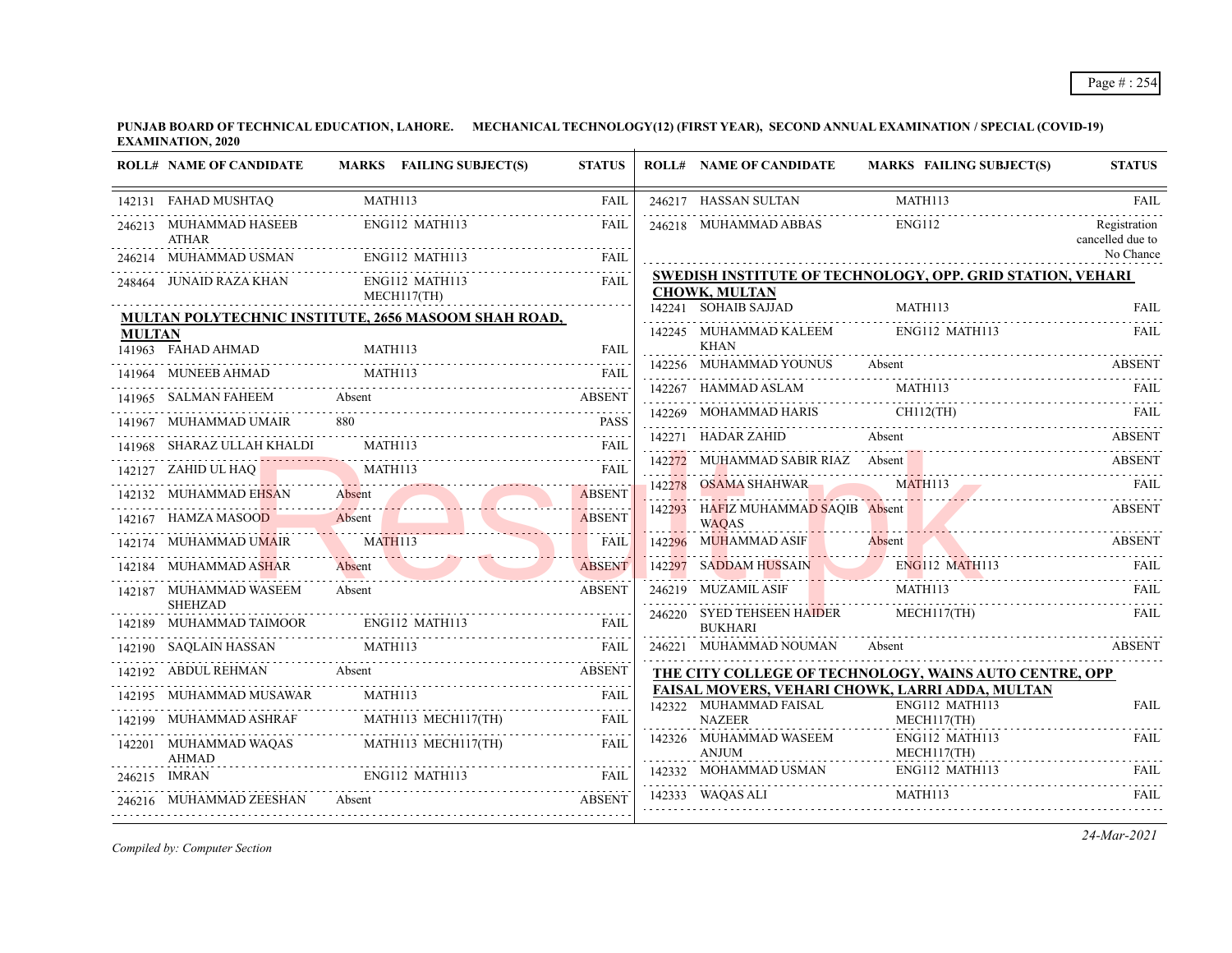|               | <b>ROLL# NAME OF CANDIDATE</b>           | MARKS FAILING SUBJECT(S)                             | <b>STATUS</b> |        | <b>ROLL# NAME OF CANDIDATE</b>                     |               |        | <b>MARKS FAILING SUBJECT(S)</b>                                                                    | <b>STATUS</b> |
|---------------|------------------------------------------|------------------------------------------------------|---------------|--------|----------------------------------------------------|---------------|--------|----------------------------------------------------------------------------------------------------|---------------|
|               | 142131 FAHAD MUSHTAQ                     | MATH113                                              | FAIL          |        | 246217 HASSAN SULTAN                               |               |        | MATH113                                                                                            | <b>FAIL</b>   |
|               | 246213 MUHAMMAD HASEEB<br>ATHAR          | ENG112 MATH113                                       | FAIL          |        | 246218 MUHAMMAD ABBAS                              | <b>ENG112</b> |        | Registration<br>cancelled due to                                                                   |               |
|               | 246214 MUHAMMAD USMAN                    | ENG112 MATH113                                       | <b>FAIL</b>   |        |                                                    |               |        |                                                                                                    | No Chance     |
|               | 248464 JUNAID RAZA KHAN                  | ENG112 MATH113<br>MECH117(TH)                        | FAIL          |        | <b>CHOWK, MULTAN</b><br>142241 SOHAIB SAJJAD       |               |        | SWEDISH INSTITUTE OF TECHNOLOGY, OPP. GRID STATION, VEHARI<br>MATH113                              | <b>FAIL</b>   |
|               |                                          | MULTAN POLYTECHNIC INSTITUTE, 2656 MASOOM SHAH ROAD, |               |        |                                                    |               |        |                                                                                                    |               |
| <b>MULTAN</b> | 141963 FAHAD AHMAD                       | MATH113                                              | <b>FAIL</b>   |        | 142245 MUHAMMAD KALEEM<br><b>KHAN</b>              |               |        | ENG112 MATH113                                                                                     | <b>FAIL</b>   |
|               | 141964 MUNEEB AHMAD                      | MATH113                                              | FAIL          |        | 142256 MUHAMMAD YOUNUS Absent                      |               |        |                                                                                                    | ABSENT        |
|               | 141965 SALMAN FAHEEM Absent              | <b>ABSENT</b>                                        |               |        | 142267 HAMMAD ASLAM                                |               |        | MATH113<br>DHAMMAD HARIS CHI12(TH) FAIL                                                            | -FAIL         |
|               | 141967 MUHAMMAD UMAIR                    | 880                                                  | <b>PASS</b>   |        | 142269 MOHAMMAD HARIS                              |               |        |                                                                                                    |               |
|               | 141968 SHARAZ ULLAH KHALDI               | MATH113                                              | FAIL          | 142271 | <b>HADAR ZAHID</b>                                 |               | Absent |                                                                                                    | <b>ABSENT</b> |
|               | 142127 ZAHID UL HAQ                      | MATH113                                              | <b>FAIL</b>   |        | 142272 MUHAMMAD SABIR RIAZ Absent                  |               |        |                                                                                                    | ABSENT        |
|               | 142132 MUHAMMAD EHSAN                    | Absent                                               | <b>ABSENT</b> |        | 142278 OSAMA SHAHWAR                               |               |        | MATHII3 FAIL                                                                                       |               |
|               | 142167 HAMZA MASOOD Absent               |                                                      | <b>ABSENT</b> |        | 142293 HAFIZ MUHAMMAD SAQIB Absent<br><b>WAQAS</b> |               |        |                                                                                                    | <b>ABSENT</b> |
|               | 142174 MUHAMMAD UMAIR                    | MATH113                                              | FAIL<br>.     |        |                                                    |               |        | 142296 MUHAMMAD ASIF Absent ABSENT ABSENT                                                          |               |
|               | 142184 MUHAMMAD ASHAR                    | Absent                                               | <b>ABSENT</b> |        |                                                    |               |        | 142297 SADDAM HUSSAIN ENGI12 MATH113 FAIL                                                          |               |
|               | 142187 MUHAMMAD WASEEM<br><b>SHEHZAD</b> | Absent                                               | <b>ABSENT</b> |        | 246219 MUZAMIL ASIF                                |               |        | MATH113                                                                                            | FAIL          |
|               |                                          | 142189 MUHAMMAD TAIMOOR ENG112 MATH113 FAIL          |               |        | 246220 SYED TEHSEEN HAIDER<br><b>BUKHARI</b>       |               |        | MECH117(TH)                                                                                        | <b>FAIL</b>   |
|               | 142190 SAQLAIN HASSAN                    | MATH113                                              | FAIL          |        | 246221 MUHAMMAD NOUMAN                             |               | Absent |                                                                                                    | ABSENT        |
|               | 142192 ABDUL REHMAN Absent               | <b>ABSENT</b>                                        |               |        |                                                    |               |        | THE CITY COLLEGE OF TECHNOLOGY, WAINS AUTO CENTRE, OPP                                             |               |
|               | 142195 MUHAMMAD MUSAWAR                  | MATH113                                              | <b>FAIL</b>   |        | 142322 MUHAMMAD FAISAL                             |               |        | FAISAL MOVERS, VEHARI CHOWK, LARRI ADDA, MULTAN<br>ENG112 MATH113                                  | <b>FAIL</b>   |
|               | 142199 MUHAMMAD ASHRAF                   | MATH113 MECH117(TH)                                  | FAIL          |        | <b>NAZEER</b>                                      |               |        | MECH117(TH)                                                                                        |               |
|               | 142201 MUHAMMAD WAQAS<br>AHMAD           | .<br>MATH113 MECH117(TH)                             | FAIL          |        | 142326 MUHAMMAD WASEEM<br><b>ANJUM</b>             |               |        | ENG112 MATH113<br>MECH117(TH)                                                                      | FAIL          |
|               | 246215 IMRAN                             | $ENGI12 MATH113$ FAIL<br>V ENG112 MATH113 FAIL       |               |        |                                                    |               |        | $142332 \quad \text{MOHAMMAD USMAN} \qquad \qquad \text{ENG112 MATH113} \qquad \qquad \text{FAIL}$ |               |
|               | 246216 MUHAMMAD ZEESHAN Absent           |                                                      | ABSENT        |        | 142333 WAQAS ALI                                   |               |        | MATH113                                                                                            | <b>FAIL</b>   |
|               |                                          |                                                      |               |        |                                                    |               |        |                                                                                                    |               |

*Compiled by: Computer Section*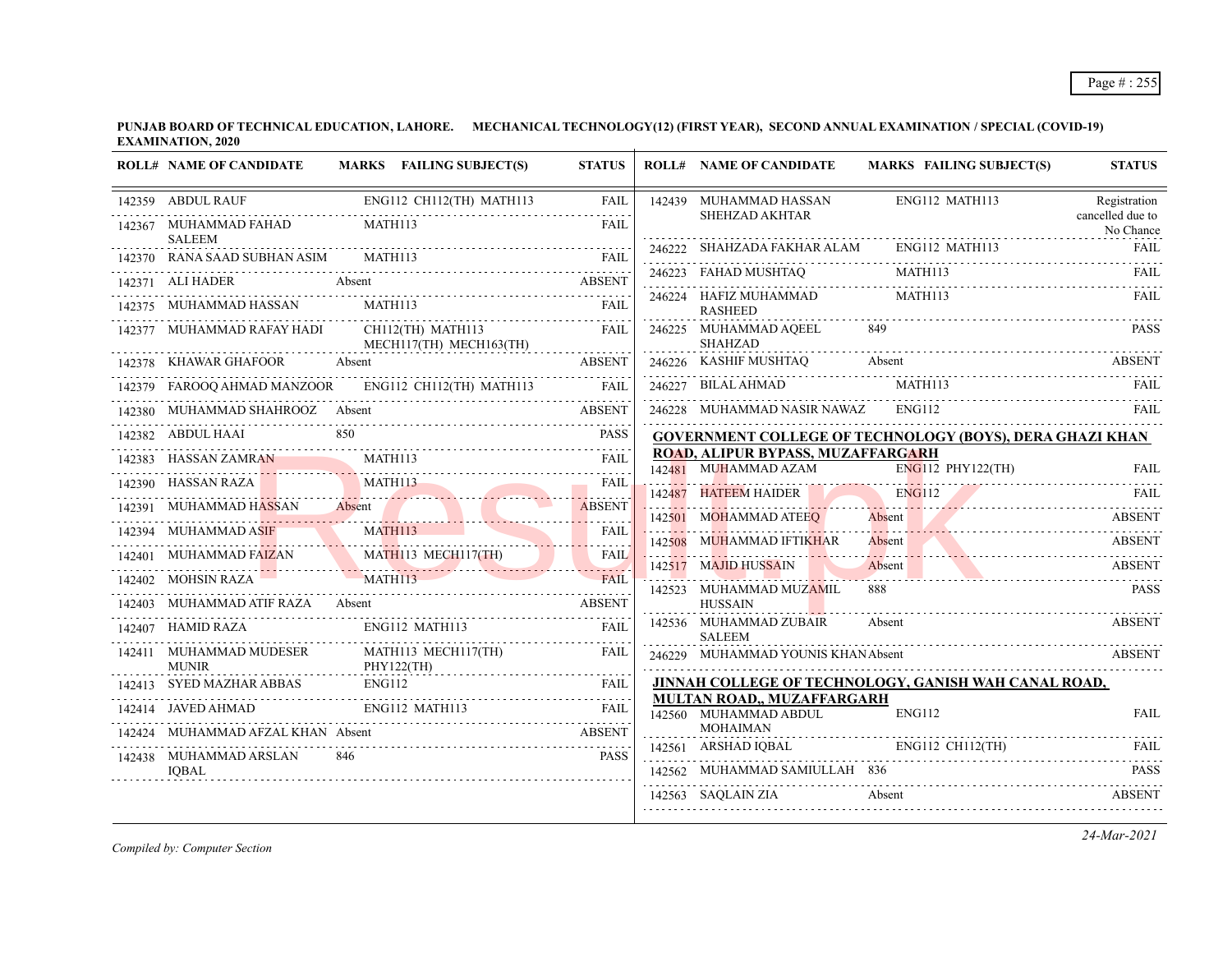|        | <b>ROLL# NAME OF CANDIDATE</b>                                                                                                                                                                 |                | MARKS FAILING SUBJECT(S)                           | <b>STATUS</b>             | <b>ROLL# NAME OF CANDIDATE</b>                            | <b>MARKS FAILING SUBJECT(S)</b>                                                                                                                                              | <b>STATUS</b>                 |
|--------|------------------------------------------------------------------------------------------------------------------------------------------------------------------------------------------------|----------------|----------------------------------------------------|---------------------------|-----------------------------------------------------------|------------------------------------------------------------------------------------------------------------------------------------------------------------------------------|-------------------------------|
|        | 142359 ABDUL RAUF                                                                                                                                                                              |                | ENG112 CH112(TH) MATH113                           | FAIL                      | 142439 MUHAMMAD HASSAN                                    | ENG112 MATH113                                                                                                                                                               | Registration                  |
|        | 142367 MUHAMMAD FAHAD<br><b>SALEEM</b>                                                                                                                                                         | MATH113        |                                                    | <b>FAIL</b>               | SHEHZAD AKHTAR                                            |                                                                                                                                                                              | cancelled due to<br>No Chance |
|        | 142370 RANA SAAD SUBHAN ASIM                                                                                                                                                                   | <b>MATH113</b> |                                                    | <b>FAIL</b>               | 246222 SHAHZADA FAKHAR ALAM ENG112 MATH113                |                                                                                                                                                                              | <b>FAIL</b>                   |
|        | 142371 ALI HADER                                                                                                                                                                               | Absent         |                                                    | <b>ABSENT</b>             | 246223 FAHAD MUSHTAQ                                      | $\begin{tabular}{ccccc} \multicolumn{2}{c }{\textbf{246223}} & FAHAD MUSHTAQ & \multicolumn{2}{c }{\textbf{MATH113}} & & \multicolumn{2}{c }{\textbf{FAIL}}\\ \end{tabular}$ |                               |
|        | 142375 MUHAMMAD HASSAN                                                                                                                                                                         | <b>MATH113</b> |                                                    | FAII.                     | 246224 HAFIZ MUHAMMAD<br><b>RASHEED</b>                   | MATH113                                                                                                                                                                      | FAIL                          |
|        | 142377 MUHAMMAD RAFAY HADI                                                                                                                                                                     |                | $CH112$ (TH) MATH $113$<br>MECH117(TH) MECH163(TH) | <b>FAIL</b>               | 246225 MUHAMMAD AQEEL<br><b>SHAHZAD</b>                   | 849                                                                                                                                                                          | <b>PASS</b>                   |
|        | 142378 KHAWAR GHAFOOR                                                                                                                                                                          |                |                                                    | <b>ABSENT</b>             |                                                           | 246226 KASHIF MUSHTAQ Absent ABSENT                                                                                                                                          |                               |
|        | 142379 FAROOQ AHMAD MANZOOR                                                                                                                                                                    |                | ENG112 CH112(TH) MATH113                           | <b>FAIL</b>               | 246227 BILAL AHMAD                                        | MATH113                                                                                                                                                                      | FAIL                          |
|        | 142380 MUHAMMAD SHAHROOZ Absent                                                                                                                                                                |                |                                                    | ABSENT                    | 246228 MUHAMMAD NASIR NAWAZ                               | ENG112                                                                                                                                                                       | FAIL                          |
|        | 142382 ABDUL HAAI                                                                                                                                                                              | 850            |                                                    | <b>PASS</b>               |                                                           | GOVERNMENT COLLEGE OF TECHNOLOGY (BOYS), DERA GHAZI KHAN                                                                                                                     |                               |
|        | 142383 HASSAN ZAMRAN                                                                                                                                                                           | MATH113        |                                                    | FAIL                      | ROAD, ALIPUR BYPASS, MUZAFFARGARH<br>142481 MUHAMMAD AZAM | $ENG112$ PHY122(TH)                                                                                                                                                          | <b>FAIL</b>                   |
|        | 142390 HASSAN RAZA MATHI13                                                                                                                                                                     |                |                                                    | <b>FAIL</b>               | 142487 HATEEM HAIDER                                      | <b>ENG112</b>                                                                                                                                                                | FAIL                          |
|        | 142391 MUHAMMAD HASSAN Absent                                                                                                                                                                  |                |                                                    | ABSENT                    | 142501 MOHAMMAD ATEEO                                     | <u> 1950'dan daha dalam dalam kalendar dalam dalam dalam dalam dalam dalam dalam dalam dalam dalam dalam dalam da</u><br><b>Absent</b>                                       | ABSENT                        |
|        | 142394 MUHAMMAD ASIF<br>MUHAMMAD ASIF MATHI13                                                                                                                                                  |                |                                                    | <b>FAIL</b><br>2.2.2.2.2. | 142508 MUHAMMAD IFTIKHAR                                  | Absent                                                                                                                                                                       | ABSENT                        |
|        | $\begin{tabular}{c c c c c} \hline 142401 & MUHAMMAD FAIZAN & MATHI13 MECHI17(TH) & FAIL \\ \hline 142402 & MOHSIN RAZA & MATH113 & \textbf{MECHI113} & \textbf{FAIL} \\ \hline \end{tabular}$ |                |                                                    |                           | 142517 MAJID HUSSAIN                                      | Absent                                                                                                                                                                       | <b>ABSENT</b>                 |
|        |                                                                                                                                                                                                |                |                                                    |                           | 142523 MUHAMMAD MUZAMIL                                   | Absent ABSENT<br>888.                                                                                                                                                        | <b>PASS</b>                   |
| 142403 | MUHAMMAD ATIF RAZA Absent                                                                                                                                                                      |                |                                                    | <b>ABSENT</b>             | <b>HUSSAIN</b>                                            |                                                                                                                                                                              |                               |
|        | 142407 HAMID RAZA                                                                                                                                                                              |                | ENG112 MATH113                                     | FAII.                     | 142536 MUHAMMAD ZUBAIR<br><b>SALEEM</b>                   | Absent                                                                                                                                                                       | ABSENT                        |
|        | 142411 MUHAMMAD MUDESER<br><b>MUNIR</b>                                                                                                                                                        |                | MATH113 MECH117(TH)<br>PHY122(TH)                  | FAIL                      | 246229 MUHAMMAD YOUNIS KHANAbsent                         |                                                                                                                                                                              | <b>ABSENT</b>                 |
|        | 142413 SYED MAZHAR ABBAS                                                                                                                                                                       | ENG112         |                                                    | <b>FAIL</b>               |                                                           | JINNAH COLLEGE OF TECHNOLOGY, GANISH WAH CANAL ROAD,                                                                                                                         |                               |
|        | 142414 JAVED AHMAD                                                                                                                                                                             |                | ENG112 MATH113                                     | <b>FAIL</b>               | MULTAN ROAD., MUZAFFARGARH<br>142560 MUHAMMAD ABDUL       | ENG112                                                                                                                                                                       | <b>FAIL</b>                   |
|        | MUHAMMAD AFZAL KHAN Absent                                                                                                                                                                     |                |                                                    | <b>ABSENT</b>             | <b>MOHAIMAN</b>                                           |                                                                                                                                                                              |                               |
|        | 142438 MUHAMMAD ARSLAN                                                                                                                                                                         | 846            |                                                    | <b>PASS</b>               | 142561 ARSHAD IOBAL                                       | ENG112 CH112(TH)                                                                                                                                                             |                               |
|        | IOBAL                                                                                                                                                                                          |                |                                                    |                           | 142562 MUHAMMAD SAMIULLAH 836                             |                                                                                                                                                                              | <b>PASS</b>                   |
|        |                                                                                                                                                                                                |                |                                                    |                           | 142563 SAOLAIN ZIA                                        | Absent                                                                                                                                                                       | <b>ABSENT</b>                 |

*Compiled by: Computer Section*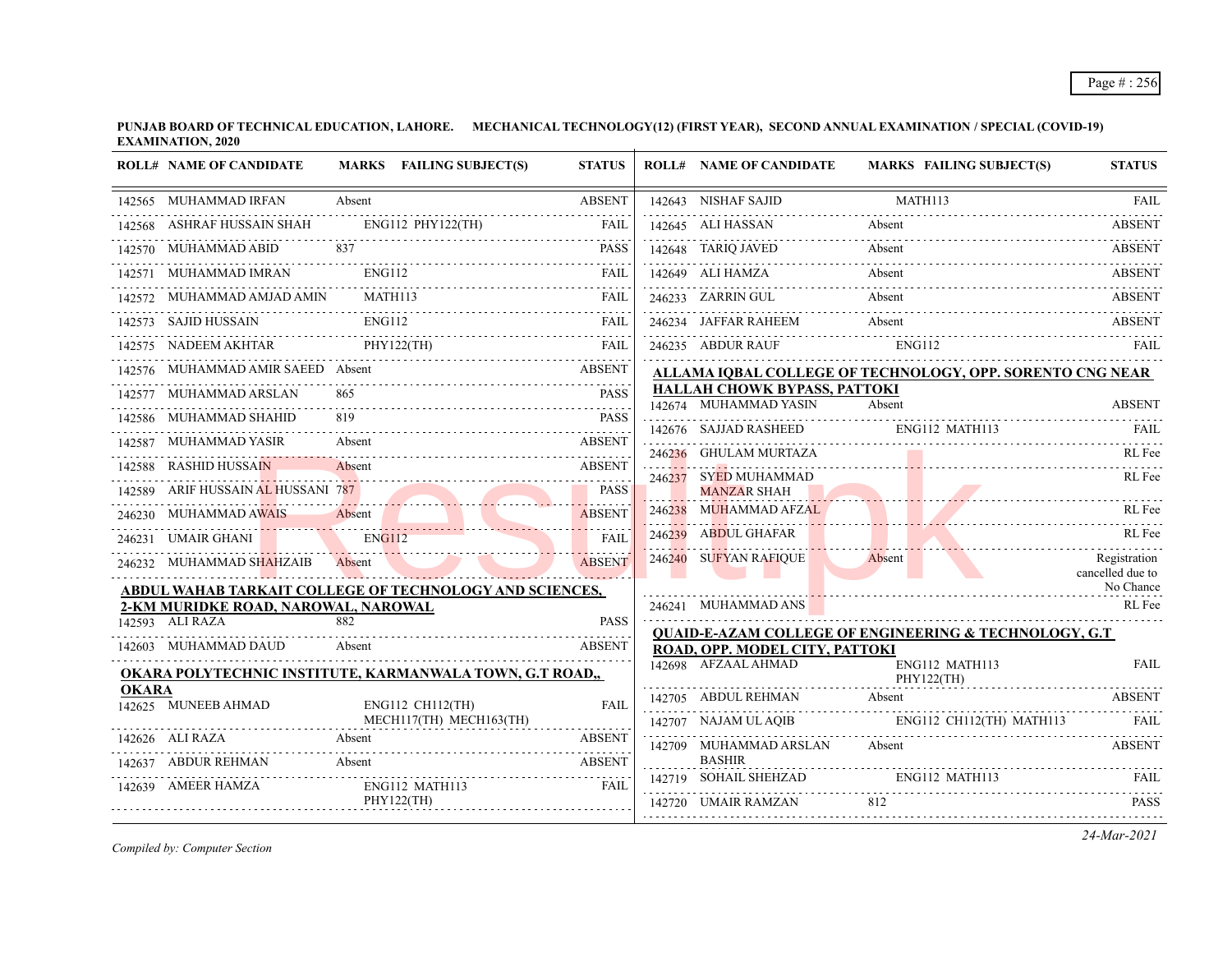|              | <b>ROLL# NAME OF CANDIDATE</b>                                 |                | MARKS FAILING SUBJECT(S)     | <b>STATUS</b> |        | <b>ROLL# NAME OF CANDIDATE</b>                               | <b>MARKS FAILING SUBJECT(S)</b>                                   | <b>STATUS</b>                    |
|--------------|----------------------------------------------------------------|----------------|------------------------------|---------------|--------|--------------------------------------------------------------|-------------------------------------------------------------------|----------------------------------|
|              | 142565 MUHAMMAD IRFAN                                          | Absent         |                              | <b>ABSENT</b> |        | 142643 NISHAF SAJID                                          | MATH113                                                           | FAIL                             |
|              | 142568 ASHRAF HUSSAIN SHAH                                     |                | ENG112 PHY122(TH)            | <b>FAIL</b>   |        | 142645 ALI HASSAN                                            | Absent                                                            | <b>ABSENT</b>                    |
|              | 142570 MUHAMMAD ABID                                           |                |                              | <b>PASS</b>   |        | 142648 TARIQ JAVED                                           | Absent                                                            | <b>ABSENT</b>                    |
|              | 142571 MUHAMMAD IMRAN                                          | ENG112         |                              | <b>FAIL</b>   |        | 142649 ALI HAMZA                                             | Absent                                                            | <b>ABSENT</b>                    |
|              | 142572 MUHAMMAD AMJAD AMIN                                     | <b>MATH113</b> |                              | <b>FAIL</b>   |        | 246233 ZARRIN GUL                                            | Absent                                                            | <b>ABSENT</b>                    |
|              | 142573 SAJID HUSSAIN ENG112                                    |                |                              | <b>FAIL</b>   |        | 246234 JAFFAR RAHEEM                                         | Absent                                                            | <b>ABSENT</b>                    |
|              | 142575 NADEEM AKHTAR                                           | PHY122(TH)     |                              | FAIL          |        | 246235 ABDUR RAUF                                            | ENG112                                                            | FAIL                             |
|              | 142576 MUHAMMAD AMIR SAEED Absent                              |                |                              | <b>ABSENT</b> |        |                                                              | ALLAMA IQBAL COLLEGE OF TECHNOLOGY, OPP. SORENTO CNG NEAR         |                                  |
|              | 142577 MUHAMMAD ARSLAN                                         |                |                              | <b>PASS</b>   |        | <b>HALLAH CHOWK BYPASS, PATTOKI</b><br>142674 MUHAMMAD YASIN | Absent                                                            | <b>ABSENT</b>                    |
|              | 142586 MUHAMMAD SHAHID                                         |                |                              | <b>PASS</b>   |        |                                                              |                                                                   |                                  |
|              | 142587 MUHAMMAD YASIR                                          | Absent         |                              | <b>ABSENT</b> |        | 246236 GHULAM MURTAZA                                        | 142676 SAJJAD RASHEED ENG112 MATH113 FAIL                         | RL Fee                           |
|              | 142588 RASHID HUSSAIN                                          | Absent         |                              | <b>ABSENT</b> |        | 246237 SYED MUHAMMAD                                         |                                                                   | RL Fee                           |
|              | 142589 ARIF HUSSAIN AL HUSSANI 787                             |                |                              | <b>PASS</b>   |        | <b>MANZAR SHAH</b>                                           |                                                                   |                                  |
|              | 246230 MUHAMMAD AWAIS                                          | Absent         |                              | <b>ABSENT</b> | 246238 | MUHAMMAD AFZAL                                               |                                                                   | RL Fee                           |
|              | 246231 UMAIR GHANI                                             | <b>ENG112</b>  |                              | <b>FAIL</b>   |        | 246239 ABDUL GHAFAR                                          |                                                                   | RL Fee                           |
|              | 246232 MUHAMMAD SHAHZAIB                                       | Absent         |                              | <b>ABSENT</b> |        | 246240 SUFYAN RAFIQUE                                        | Absent                                                            | Registration<br>cancelled due to |
|              | <u>ABDUL WAHAB TARKAIT COLLEGE OF TECHNOLOGY AND SCIENCES,</u> |                |                              |               |        |                                                              |                                                                   | No Chance                        |
|              | 2-KM MURIDKE ROAD, NAROWAL, NAROWAL<br>142593 ALI RAZA         | 882            |                              | <b>PASS</b>   |        | 246241 MUHAMMAD ANS                                          |                                                                   | RL Fee                           |
|              | 142603 MUHAMMAD DAUD                                           |                |                              | <b>ABSENT</b> |        |                                                              | <b>QUAID-E-AZAM COLLEGE OF ENGINEERING &amp; TECHNOLOGY, G.T.</b> |                                  |
|              |                                                                | Absent         |                              |               |        | ROAD, OPP. MODEL CITY, PATTOKI<br>142698 AFZAAL AHMAD        | ENG112 MATH113                                                    | <b>FAIL</b>                      |
| <b>OKARA</b> | OKARA POLYTECHNIC INSTITUTE, KARMANWALA TOWN, G.T ROAD,,       |                |                              |               |        |                                                              | PHY122(TH)                                                        |                                  |
|              | 142625 MUNEEB AHMAD                                            |                | ENG112 CH112(TH)             | <b>FAIL</b>   |        | 142705 ABDUL REHMAN                                          | Absent                                                            | <b>ABSENT</b>                    |
|              |                                                                |                | MECH117(TH) MECH163(TH)      |               |        | 142707 NAJAM UL AQIB                                         | ENG112 CH112(TH) MATH113                                          | FAIL                             |
|              | 142626 ALI RAZA                                                | Absent         |                              | <b>ABSENT</b> |        | 142709 MUHAMMAD ARSLAN<br><b>BASHIR</b>                      | Absent                                                            | <b>ABSENT</b>                    |
| 142637       | ABDUR REHMAN                                                   | Absent         |                              | <b>ABSENT</b> |        | 142719 SOHAIL SHEHZAD                                        | ENG112 MATH113                                                    | FAIL                             |
|              | 142639 AMEER HAMZA                                             |                | ENG112 MATH113<br>PHY122(TH) | FAIL          |        | 142720 UMAIR RAMZAN                                          | 812                                                               | <b>PASS</b>                      |
|              |                                                                |                |                              |               |        |                                                              |                                                                   |                                  |

*Compiled by: Computer Section*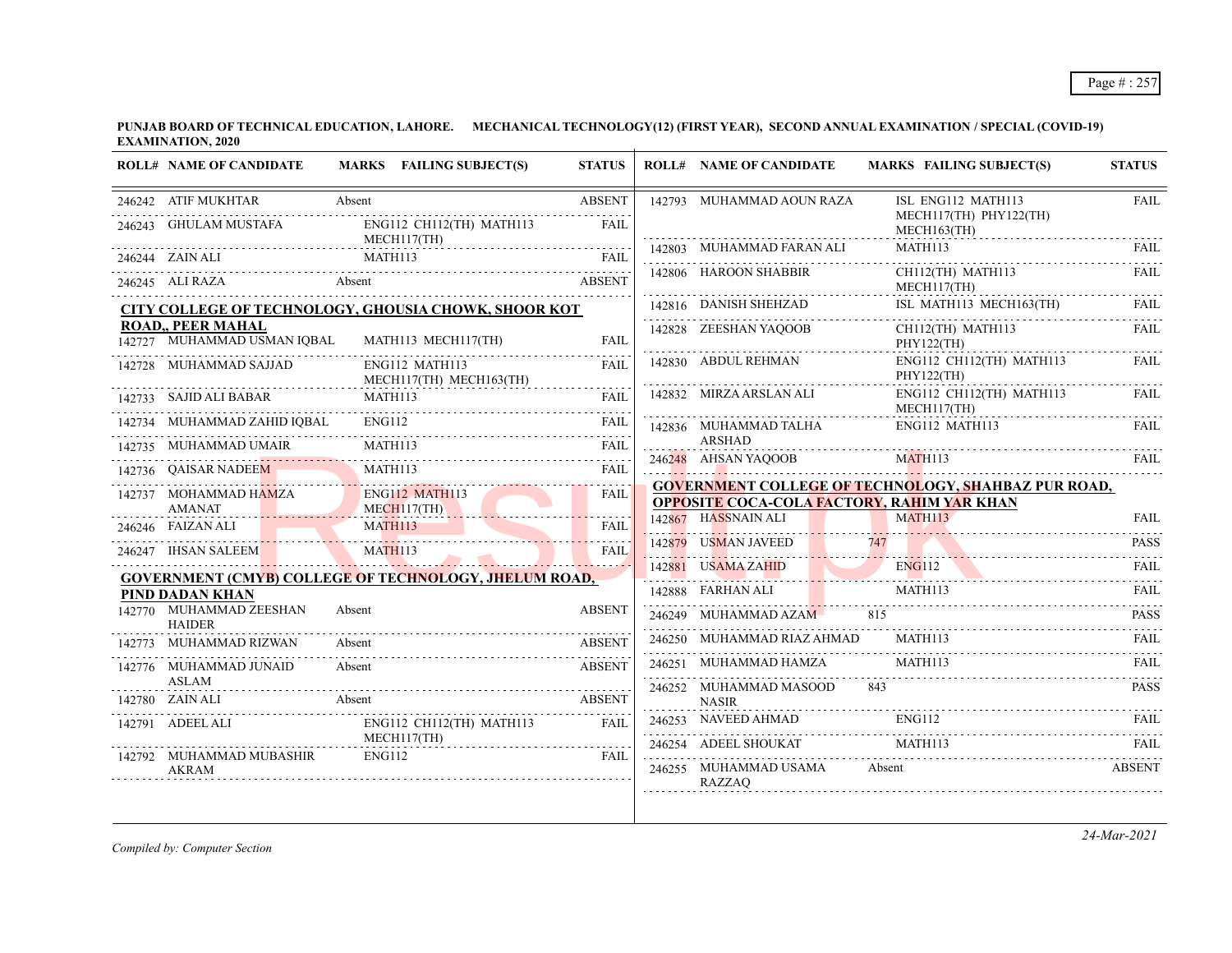| <b>ROLL# NAME OF CANDIDATE</b>                          | MARKS FAILING SUBJECT(S)                                     | <b>STATUS</b>            |        | <b>ROLL# NAME OF CANDIDATE</b>                    | <b>MARKS FAILING SUBJECT(S)</b>                            | <b>STATUS</b> |
|---------------------------------------------------------|--------------------------------------------------------------|--------------------------|--------|---------------------------------------------------|------------------------------------------------------------|---------------|
| 246242 ATIF MUKHTAR                                     | Absent                                                       | <b>ABSENT</b>            |        | 142793 MUHAMMAD AOUN RAZA                         | ISL ENG112 MATH113                                         | <b>FAIL</b>   |
| 246243 GHULAM MUSTAFA                                   | ENG112 CH112(TH) MATH113<br>MECH117(TH)                      | <b>FAIL</b>              |        |                                                   | MECH117(TH) PHY122(TH)<br>$MECH163$ (TH)                   |               |
| 246244 ZAIN ALI                                         | MATH113                                                      | <b>FAIL</b>              |        | 142803 MUHAMMAD FARAN ALI                         | MATH113                                                    | FAIL          |
| 246245 ALI RAZA                                         | Absent                                                       | <b>ABSENT</b>            |        | 142806 HAROON SHABBIR                             | CH112(TH) MATH113<br>MECH117(TH)                           | FAIL          |
|                                                         | CITY COLLEGE OF TECHNOLOGY, GHOUSIA CHOWK, SHOOR KOT         |                          |        | 142816 DANISH SHEHZAD                             | ISL MATH113 MECH163(TH)                                    | FAIL.         |
| <b>ROAD,, PEER MAHAL</b><br>142727 MUHAMMAD USMAN IQBAL | MATH113 MECH117(TH)                                          | FAIL                     |        | 142828 ZEESHAN YAQOOB                             | CH112(TH) MATH113<br>PHY122(TH)                            | <b>FAIL</b>   |
| 142728 MUHAMMAD SAJJAD                                  | ENG112 MATH113<br>MECH117(TH) MECH163(TH)                    | <b>FAIL</b>              |        | 142830 ABDUL REHMAN                               | ENG112 CH112(TH) MATH113<br>PHY122(TH)                     | FAIL          |
| 142733 SAJID ALI BABAR                                  | MATH113                                                      | <b>FAIL</b><br>2.2.2.2.2 |        | 142832 MIRZA ARSLAN ALI                           | ENG112 CH112(TH) MATH113<br>MECH117(TH)                    | <b>FAIL</b>   |
| 142734 MUHAMMAD ZAHID IOBAL                             | <b>ENG112</b>                                                | FAIL                     |        | 142836 MUHAMMAD TALHA                             | ENG112 MATH113                                             | <b>FAIL</b>   |
| 142735 MUHAMMAD UMAIR                                   | MATH113                                                      | FAIL                     |        | <b>ARSHAD</b><br>246248 AHSAN YAQOOB              | MATH113                                                    | FAIL          |
| 142736 QAISAR NADEEM                                    | MATH113                                                      | FAIL                     |        |                                                   | <b>GOVERNMENT COLLEGE OF TECHNOLOGY, SHAHBAZ PUR ROAD,</b> |               |
| 142737 MOHAMMAD HAMZA<br><b>AMANAT</b>                  | <b>ENG112 MATH113</b><br>MECH117(TH)                         | FAIL                     |        | <b>OPPOSITE COCA-COLA FACTORY, RAHIM YAR KHAN</b> |                                                            |               |
| 246246 FAIZAN ALI                                       | MATH113                                                      | FAIL                     |        | 142867 HASSNAIN ALI                               | MATH113                                                    | <b>FAIL</b>   |
| 246247 IHSAN SALEEM                                     | MATH113                                                      | <b>FAIL</b>              | 142879 | <b>USMAN JAVEED</b>                               | 747                                                        | <b>PASS</b>   |
|                                                         | <b>GOVERNMENT (CMYB) COLLEGE OF TECHNOLOGY, JHELUM ROAD,</b> |                          |        | 142881 USAMA ZAHID                                | <b>ENG112</b>                                              | FAIL          |
| PIND DADAN KHAN                                         |                                                              |                          |        | 142888 FARHAN ALI                                 | MATH113                                                    | <b>FAIL</b>   |
| 142770 MUHAMMAD ZEESHAN<br><b>HAIDER</b>                | Absent                                                       | <b>ABSENT</b>            | 246249 | MUHAMMAD AZAM                                     | 815                                                        | <b>PASS</b>   |
| 142773 MUHAMMAD RIZWAN                                  | Absent                                                       | <b>ABSENT</b>            |        | 246250 MUHAMMAD RIAZ AHMAD                        | MATH113                                                    | <b>FAIL</b>   |
| 142776 MUHAMMAD JUNAID                                  | Absent                                                       | <b>ABSENT</b>            |        | 246251 MUHAMMAD HAMZA                             | MATH113                                                    | <b>FAIL</b>   |
| <b>ASLAM</b><br>142780 ZAIN ALI                         | Absent                                                       | <b>ABSENT</b>            |        | 246252 MUHAMMAD MASOOD<br><b>NASIR</b>            | 843                                                        | <b>PASS</b>   |
| 142791 ADEEL ALI                                        | ENG112 CH112(TH) MATH113                                     | FAII.                    | 246253 | NAVEED AHMAD                                      | <b>ENG112</b>                                              | <b>FAIL</b>   |
| 142792 MUHAMMAD MUBASHIR                                | MECH117(TH)<br><b>ENG112</b>                                 | FAIL                     |        | 246254 ADEEL SHOUKAT                              | MATH113                                                    | <b>FAIL</b>   |
| <b>AKRAM</b>                                            |                                                              |                          |        | 246255 MUHAMMAD USAMA<br><b>RAZZAQ</b>            | Absent                                                     | <b>ABSENT</b> |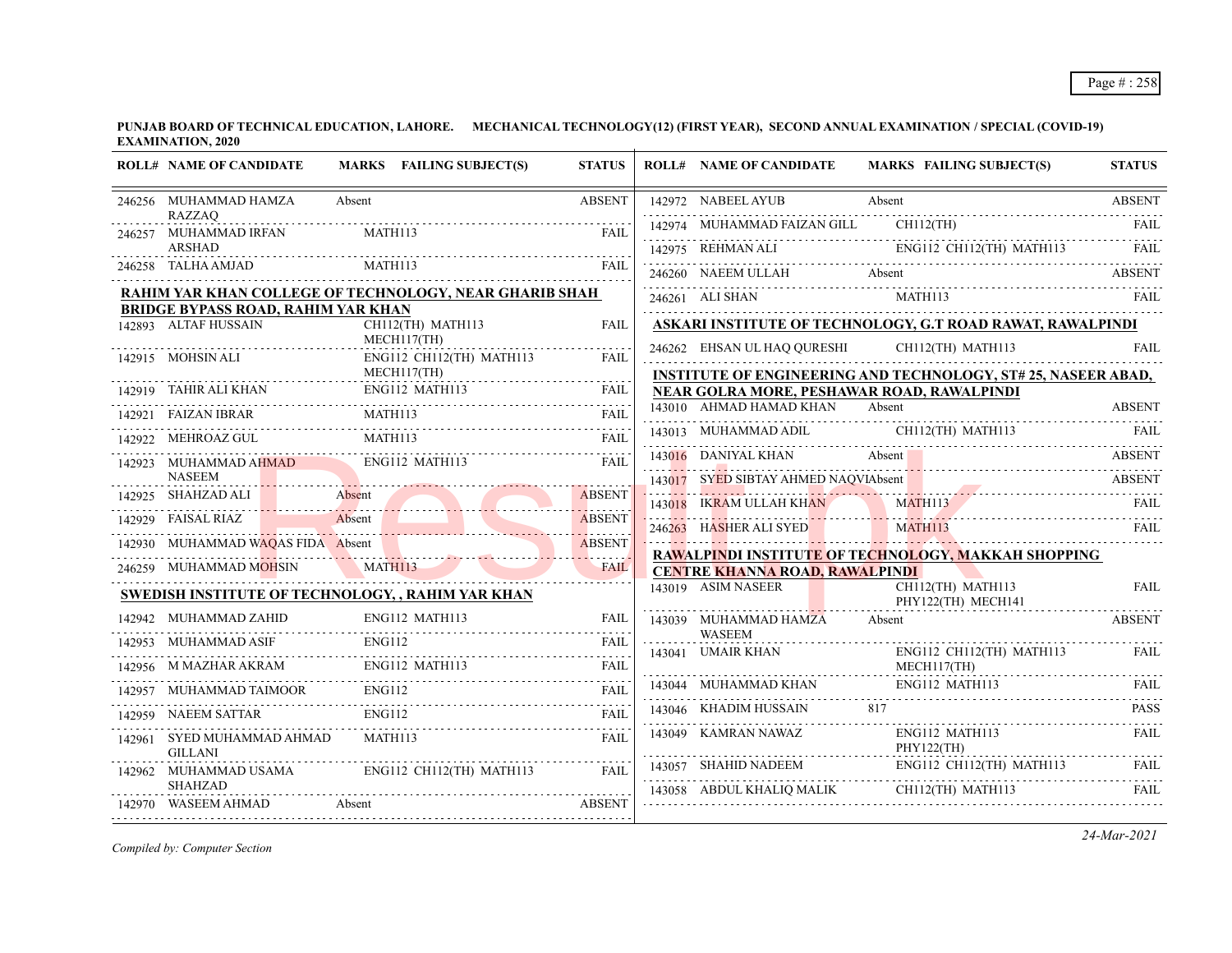|        | <b>ROLL# NAME OF CANDIDATE</b>                                    | MARKS FAILING SUBJECT(S)                               | <b>STATUS</b>      | <b>ROLL# NAME OF CANDIDATE</b>              | <b>MARKS FAILING SUBJECT(S)</b>                                                                                                                            | <b>STATUS</b> |
|--------|-------------------------------------------------------------------|--------------------------------------------------------|--------------------|---------------------------------------------|------------------------------------------------------------------------------------------------------------------------------------------------------------|---------------|
|        | 246256 MUHAMMAD HAMZA<br><b>RAZZAQ</b>                            | Absent                                                 | <b>ABSENT</b>      | 142972 NABEEL AYUB                          | Absent                                                                                                                                                     | <b>ABSENT</b> |
| 246257 | MUHAMMAD IRFAN                                                    | MATH113                                                | <b>FAIL</b>        | 142974 MUHAMMAD FAIZAN GILL                 | $CH112$ (TH)                                                                                                                                               | - FAIL        |
|        | <b>ARSHAD</b>                                                     |                                                        |                    |                                             | 142975 REHMAN ALI ENGI12 CHI12(TH) MATH113 FAIL                                                                                                            |               |
|        | 246258 TALHA AMJAD                                                | MATH113                                                | FAII.              | 246260 NAEEM ULLAH Absent                   |                                                                                                                                                            | <b>ABSENT</b> |
|        |                                                                   | RAHIM YAR KHAN COLLEGE OF TECHNOLOGY, NEAR GHARIB SHAH |                    | 246261 ALI SHAN                             | MATH113                                                                                                                                                    | <b>FAIL</b>   |
|        | <b>BRIDGE BYPASS ROAD, RAHIM YAR KHAN</b><br>142893 ALTAF HUSSAIN | CH112(TH) MATH113                                      | <b>FAIL</b>        |                                             | ASKARI INSTITUTE OF TECHNOLOGY, G.T ROAD RAWAT, RAWALPINDI                                                                                                 |               |
|        |                                                                   | MECH117(TH)                                            |                    | 246262 EHSAN UL HAQ QURESHI                 | CH112(TH) MATH113                                                                                                                                          | <b>FAIL</b>   |
|        | 142915 MOHSIN ALI                                                 | ENG112 CH112(TH) MATH113<br>MECH117(TH)                | <b>FAIL</b>        |                                             |                                                                                                                                                            |               |
|        |                                                                   |                                                        |                    | NEAR GOLRA MORE, PESHAWAR ROAD, RAWALPINDI  | <b>INSTITUTE OF ENGINEERING AND TECHNOLOGY, ST# 25, NASEER ABAD,</b>                                                                                       |               |
|        | 142921 FAIZAN IBRAR                                               | 142919 TAHIR ALI KHAN ENG112 MATH113 FAIL<br>MATH113   | FAIL               | 143010 AHMAD HAMAD KHAN                     | Absent                                                                                                                                                     | <b>ABSENT</b> |
| 142922 | MEHROAZ GUL                                                       | MATH113                                                | .<br><b>FAIL</b>   |                                             | 143013 MUHAMMAD ADIL CH112(TH) MATH113 FAIL                                                                                                                |               |
|        | 142923 MUHAMMAD AHMAD ENG112 MATH113                              |                                                        | <b>FAIL</b>        | 143016 DANIYAL KHAN Absent                  |                                                                                                                                                            | <b>ABSENT</b> |
|        | <b>NASEEM</b>                                                     |                                                        |                    | 143017 SYED SIBTAY AHMED NAQVIAbsent        |                                                                                                                                                            |               |
|        | 142925 SHAHZAD ALI Absent                                         | <u> Emmanuel Barbon (France Barbon)</u>                | <b>ABSENT</b><br>. | 143018 IKRAM ULLAH KHAN MATH113             | 143017 SYED SIBTAY AHMED NAQVIAbsent ABSENT                                                                                                                |               |
|        | <b>FAISAL RIAZ</b>                                                | Absent                                                 | <b>ABSENT</b>      | 246263 HASHER ALI SYED MATH113              |                                                                                                                                                            | <b>FAIL</b>   |
|        | 142930 MUHAMMAD WAQAS FIDA Absent                                 |                                                        | <b>ABSENT</b>      |                                             | RAWALPINDI INSTITUTE OF TECHNOLOGY, MAKKAH SHOPPING                                                                                                        |               |
|        | 246259 MUHAMMAD MOHSIN                                            | MATH113                                                | <b>FAIL</b>        | <b>CENTRE KHANNA ROAD, RAWALPINDI</b>       |                                                                                                                                                            |               |
|        |                                                                   | SWEDISH INSTITUTE OF TECHNOLOGY, , RAHIM YAR KHAN      |                    | 143019 ASIM NASEER                          | CH112(TH) MATH113<br>PHY122(TH) MECH141                                                                                                                    | <b>FAIL</b>   |
|        | 142942 MUHAMMAD ZAHID                                             | ENG112 MATH113                                         |                    | 143039 MUHAMMAD HAMZA                       | Absent                                                                                                                                                     | <b>ABSENT</b> |
|        | 142953 MUHAMMAD ASIF                                              | <b>ENG112</b>                                          | FAII.              | <b>WASEEM</b><br>143041 UMAIR KHAN          | ENG112 CH112(TH) MATH113                                                                                                                                   | <b>FAIL</b>   |
|        | 142956 M MAZHAR AKRAM                                             | <b>ENG112 MATH113</b>                                  | .<br><b>FAIL</b>   |                                             | MECH117(TH)                                                                                                                                                |               |
|        | MUHAMMAD TAIMOOR                                                  | <b>ENG112</b>                                          | FAIL               | 143044 MUHAMMAD KHAN                        | ENG112 MATH113                                                                                                                                             | <b>FAIL</b>   |
|        | NAEEM SATTAR                                                      | <b>ENG112</b>                                          | FAIL.              | 143046 KHADIM HUSSAIN                       | 817                                                                                                                                                        | <b>PASS</b>   |
|        | 142961 SYED MUHAMMAD AHMAD<br><b>GILLANI</b>                      | MATH113                                                | <b>FAIL</b>        | 143049 KAMRAN NAWAZ                         | ENG112 MATH113<br>PHY122(TH)                                                                                                                               | <b>FAIL</b>   |
|        | 142962 MUHAMMAD USAMA                                             | ENG112 CH112(TH) MATH113                               | <b>FAIL</b>        |                                             | $\text{ING112 CH112(TH) MATH113} \qquad \text{FAIL} \\ \text{TA3057} \qquad \text{SHAHID NADEEM} \\ \text{ENG112 CH112(TH) MATH113} \qquad \text{FAIL} \\$ |               |
|        | <b>SHAHZAD</b><br>142970 WASEEM AHMAD                             | Absent                                                 | <b>ABSENT</b>      | 143058 ABDUL KHALIQ MALIK CH112(TH) MATH113 |                                                                                                                                                            | FAIL          |
|        |                                                                   |                                                        |                    |                                             |                                                                                                                                                            |               |

*Compiled by: Computer Section*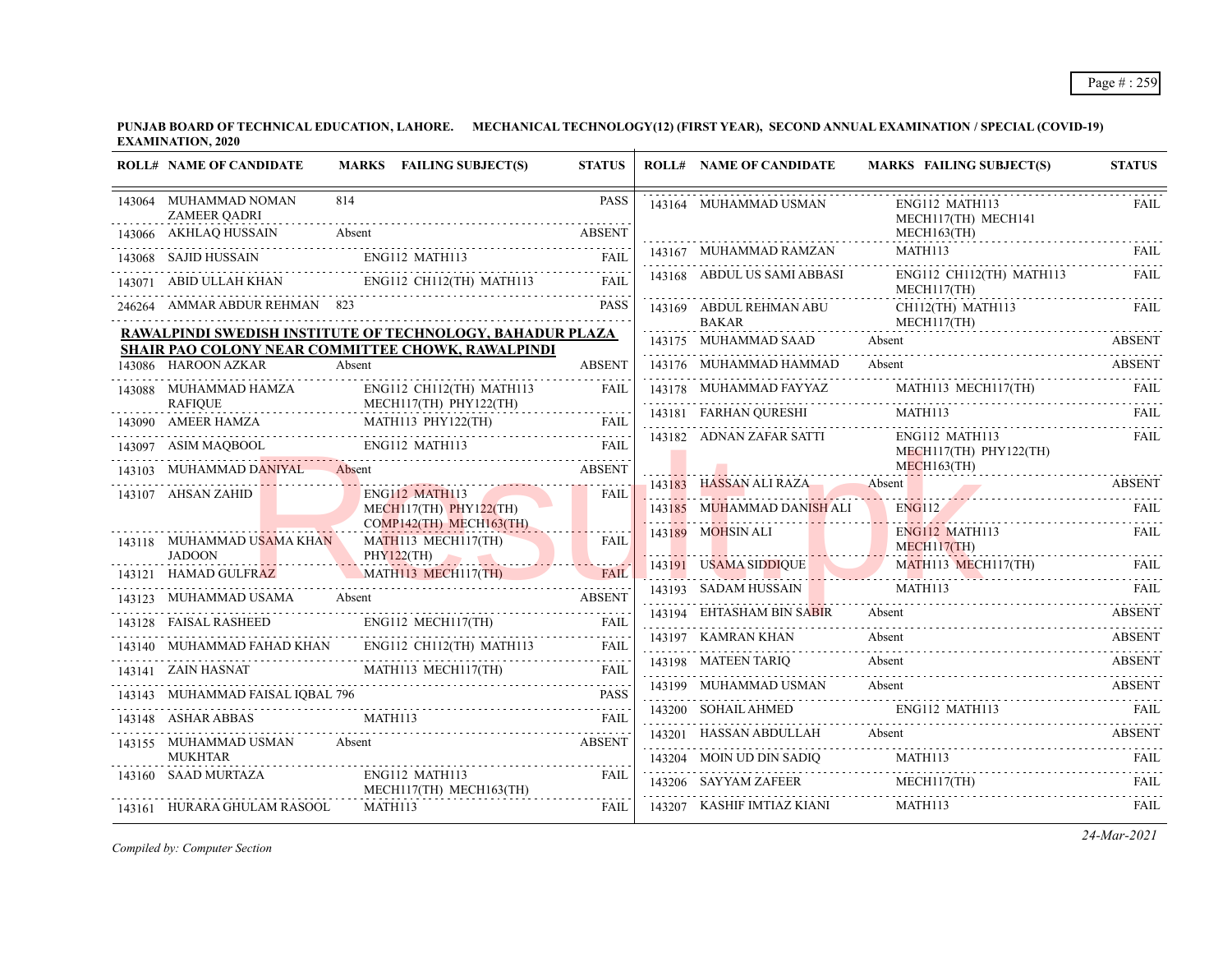| <b>ROLL# NAME OF CANDIDATE</b>               | MARKS FAILING SUBJECT(S)                                  | <b>STATUS</b>                     | <b>ROLL# NAME OF CANDIDATE</b>       | <b>MARKS FAILING SUBJECT(S)</b>                                                                                                                                                                                              | <b>STATUS</b> |
|----------------------------------------------|-----------------------------------------------------------|-----------------------------------|--------------------------------------|------------------------------------------------------------------------------------------------------------------------------------------------------------------------------------------------------------------------------|---------------|
| 143064 MUHAMMAD NOMAN<br><b>ZAMEER QADRI</b> | 814                                                       | <b>PASS</b>                       | 143164 MUHAMMAD USMAN                | ENG112 MATH113<br>MECH117(TH) MECH141                                                                                                                                                                                        | FAIL          |
| 143066 AKHLAQ HUSSAIN                        | Absent                                                    | <b>ABSENT</b>                     |                                      | $MECH163$ (TH)                                                                                                                                                                                                               |               |
| 143068 SAJID HUSSAIN                         | ENG112 MATH113                                            | FAIL                              | 143167 MUHAMMAD RAMZAN               | MATH113                                                                                                                                                                                                                      | <b>FAIL</b>   |
|                                              | 143071 ABID ULLAH KHAN ENG112 CH112(TH) MATH113           | <b>FAIL</b>                       | 143168 ABDUL US SAMI ABBASI          | ENG112 CH112(TH) MATH113<br>MECH117(TH)                                                                                                                                                                                      | <b>FAIL</b>   |
| 246264 AMMAR ABDUR REHMAN 823                |                                                           | <b>PASS</b>                       | 143169 ABDUL REHMAN ABU              | CH112(TH) MATH113                                                                                                                                                                                                            | FAIL          |
|                                              | RAWALPINDI SWEDISH INSTITUTE OF TECHNOLOGY, BAHADUR PLAZA |                                   | <b>BAKAR</b><br>143175 MUHAMMAD SAAD | MECH117(TH)<br>Absent                                                                                                                                                                                                        | <b>ABSENT</b> |
|                                              | SHAIR PAO COLONY NEAR COMMITTEE CHOWK, RAWALPINDI         |                                   |                                      |                                                                                                                                                                                                                              |               |
| 143086 HAROON AZKAR                          | Absent                                                    | <b>ABSENT</b>                     | 143176 MUHAMMAD HAMMAD Absent        |                                                                                                                                                                                                                              | ABSENT        |
| 143088 MUHAMMAD HAMZA<br><b>RAFIOUE</b>      | ENG112 CH112(TH) MATH113<br>MECH117(TH) PHY122(TH)        | FAIL                              |                                      | $143178 \quad \text{MUHAMMAD FAYYAZ} \qquad \qquad \text{MATH113 MECH117(TH)} \qquad \qquad \text{FAIL}$                                                                                                                     |               |
| .<br>143090 AMEER HAMZA                      | MATH113 PHY122(TH)                                        |                                   | 143181 FARHAN QURESHI                | MATH113                                                                                                                                                                                                                      | <b>FAIL</b>   |
|                                              |                                                           |                                   | 143182 ADNAN ZAFAR SATTI             | ENG112 MATH113                                                                                                                                                                                                               | FAIL          |
|                                              | 143097 ASIM MAQBOOL ENG112 MATH113 FAIL                   |                                   |                                      | MECH117(TH) PHY122(TH)<br>$MECH163$ (TH)                                                                                                                                                                                     |               |
| 143103 MUHAMMAD DANIYAL                      | Absent                                                    | <b>ABSENT</b><br>$-1 - 1 - 1 - 1$ |                                      |                                                                                                                                                                                                                              |               |
| 143107 AHSAN ZAHID                           | <b>ENG112 MATH113</b><br>$MECH117(TH)$ PHY122(TH)         | FAIL                              | 143185 MUHAMMAD DANISH ALI           | 143183 HASSAN ALI RAZA Absent ABSENT<br><b>ENG112</b>                                                                                                                                                                        | <b>FAIL</b>   |
|                                              | COMP142(TH) MECH163(TH)                                   |                                   |                                      |                                                                                                                                                                                                                              |               |
| 143118 MUHAMMAD USAMA KHAN                   | MATH113 MECH117(TH)                                       | <b>FAIL</b>                       | 143189 MOHSIN ALI                    | ENG112 MATH113<br>MECH117(TH)                                                                                                                                                                                                | FAIL          |
| <b>JADOON</b><br>143121 HAMAD GULFRAZ        | PHY122(TH)<br>MATH113 MECH117(TH)                         | <b>FAIL</b>                       |                                      | 143191 USAMA SIDDIQUE MATHI13 MECHI17(TH) FAIL                                                                                                                                                                               |               |
|                                              |                                                           |                                   |                                      | 143193 SADAM HUSSAIN MATHI13 FAIL RELEASE                                                                                                                                                                                    |               |
| 143123 MUHAMMAD USAMA                        | Absent                                                    | <b>ABSENT</b>                     | 143194 EHTASHAM BIN SABIR            | Absent                                                                                                                                                                                                                       | ABSENT        |
| 143128 FAISAL RASHEED                        | ENG112 MECH117(TH)                                        | <b>FAIL</b>                       | 143197 KAMRAN KHAN                   | Absent                                                                                                                                                                                                                       | <b>ABSENT</b> |
|                                              | 143140 MUHAMMAD FAHAD KHAN ENG112 CH112(TH) MATH113 FAIL  |                                   |                                      | $14$ ) $19$ $19$ $190$ $190$ $190$ $190$ $190$ $190$ $190$ $190$ $190$ $190$ $190$ $190$ $190$ $190$ $190$ $190$ $190$ $190$ $190$ $190$ $190$ $190$ $190$ $190$ $190$ $190$ $190$ $190$ $190$ $190$ $190$ $190$ $190$ $190$ |               |
| 143141 ZAIN HASNAT                           | MATH113 MECH117(TH)                                       | <b>FAIL</b>                       | 143198 MATEEN TARIO                  | Absent                                                                                                                                                                                                                       | ABSENT        |
| 143143 MUHAMMAD FAISAL IOBAL 796             |                                                           | <b>PASS</b>                       | 143199 MUHAMMAD USMAN                | Absent                                                                                                                                                                                                                       | <b>ABSENT</b> |
| 143148 ASHAR ABBAS                           | MATH113                                                   | <b>FAIL</b>                       | 143200 SOHAIL AHMED                  | ENG112 MATH113                                                                                                                                                                                                               |               |
| 143155 MUHAMMAD USMAN                        | Absent                                                    | <b>ABSENT</b>                     | 143201 HASSAN ABDULLAH               | Absent                                                                                                                                                                                                                       | <b>ABSENT</b> |
| <b>MUKHTAR</b>                               |                                                           |                                   | 143204 MOIN UD DIN SADIO             | MATH113                                                                                                                                                                                                                      | - FAIL        |
| 143160 SAAD MURTAZA                          | ENG112 MATH113<br>MECH117(TH) MECH163(TH)                 | <b>FAIL</b>                       | 143206 SAYYAM ZAFEER                 | MECH117(TH)                                                                                                                                                                                                                  | <b>FAIL</b>   |
| 143161 HURARA GHULAM RASOOL                  | MATH113                                                   | FAIL                              | 143207 KASHIF IMTIAZ KIANI           | MATH113                                                                                                                                                                                                                      | FAIL          |

*Compiled by: Computer Section*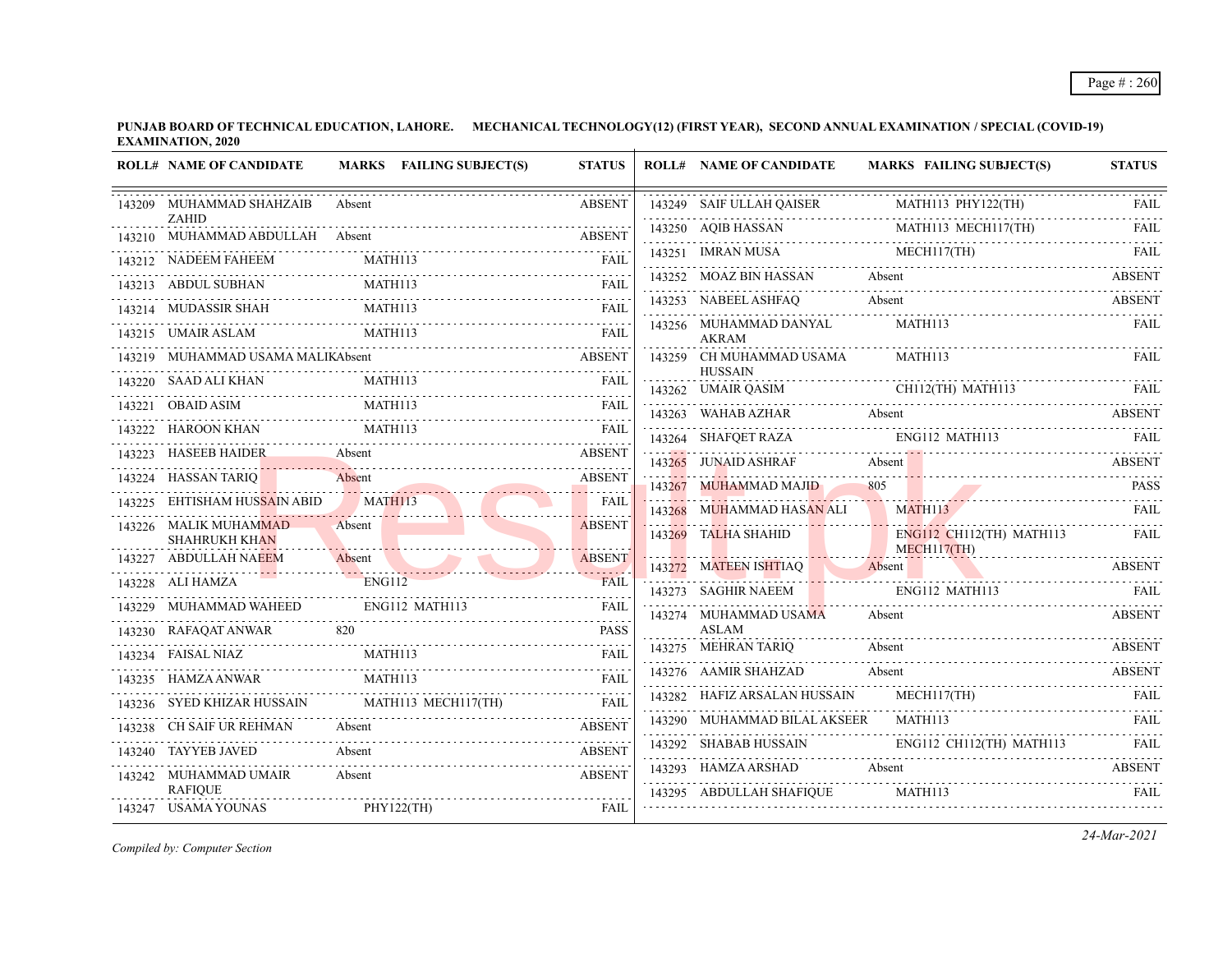| <b>ROLL# NAME OF CANDIDATE</b>                  | MARKS FAILING SUBJECT(S)                                                                                                                                                                                                                        | <b>STATUS</b> | <b>ROLL# NAME OF CANDIDATE</b>             | <b>MARKS FAILING SUBJECT(S)</b>                              | <b>STATUS</b> |
|-------------------------------------------------|-------------------------------------------------------------------------------------------------------------------------------------------------------------------------------------------------------------------------------------------------|---------------|--------------------------------------------|--------------------------------------------------------------|---------------|
| 143209 MUHAMMAD SHAHZAIB                        | Absent                                                                                                                                                                                                                                          | <b>ABSENT</b> | 143249 SAIF ULLAH QAISER                   | MATH113 PHY122(TH)                                           | FAIL          |
| <b>ZAHID</b><br>143210 MUHAMMAD ABDULLAH Absent |                                                                                                                                                                                                                                                 |               | 143250 AOIB HASSAN                         | MATH113 MECH117(TH)                                          |               |
| 143212 NADEEM FAHEEM                            | 43210 MUHAMMAD ABDULLAH Absent ABSENT<br>MATH113                                                                                                                                                                                                | <b>FAIL</b>   |                                            | 143251 IMRAN MUSA MECHI17(TH) FAIL                           |               |
| 143213 ABDUL SUBHAN                             | MATH113                                                                                                                                                                                                                                         | <b>FAIL</b>   | 143252 MOAZ BIN HASSAN Absent              |                                                              | ABSENT        |
| 143214 MUDASSIR SHAH                            | MATH113                                                                                                                                                                                                                                         | <b>FAIL</b>   | 143253 NABEEL ASHFAQ                       | Absent                                                       | ABSENT        |
|                                                 | MATH113                                                                                                                                                                                                                                         |               | 143256 MUHAMMAD DANYAL                     | MATH113                                                      | FAIL          |
| 143215 UMAIR ASLAM                              |                                                                                                                                                                                                                                                 | <b>FAIL</b>   | <b>AKRAM</b>                               |                                                              |               |
| MUHAMMAD USAMA MALIKAbsent                      |                                                                                                                                                                                                                                                 | ABSENT        | 143259 CH MUHAMMAD USAMA<br><b>HUSSAIN</b> | MATH113                                                      | <b>FAIL</b>   |
| 143220 SAAD ALI KHAN                            | MATH113                                                                                                                                                                                                                                         | <b>FAIL</b>   |                                            | 143262 UMAIR QASIM CHILE (TH) MATHI13 FAIL                   |               |
| 143221 OBAID ASIM                               | MATH113                                                                                                                                                                                                                                         | <b>FAIL</b>   |                                            | 143263 WAHAB AZHAR Absent ABSENT ABSENT                      |               |
| 143222 HAROON KHAN                              | MATH113                                                                                                                                                                                                                                         | FAII.         | 143264 SHAFQET RAZA                        | ENG112 MATH113                                               | <b>FAIL</b>   |
| 143223 HASEEB HAIDER Absent                     |                                                                                                                                                                                                                                                 | <b>ABSENT</b> | 143265 JUNAID ASHRAF                       | Absent<br>143265 JUNAID ASHRAF Absent Absent ABSENT          |               |
| 143224 HASSAN TARIQ                             | Absent                                                                                                                                                                                                                                          | <b>ABSENT</b> | 143267 MUHAMMAD MAJID                      | 805                                                          | <b>PASS</b>   |
| 143225 EHTISHAM HUSSAIN ABID                    | MATH113                                                                                                                                                                                                                                         | <b>FAIL</b>   | 143268 MUHAMMAD HASAN ALI                  | <b>MATH113</b>                                               | FAIL          |
| 143226 MALIK MUHAMMAD<br><b>SHAHRUKH KHAN</b>   | Absent                                                                                                                                                                                                                                          | <b>ABSENT</b> | 143269 TALHA SHAHID                        | ENG112 CH112(TH) MATH113                                     | FAIL          |
| 143227 ABDULLAH NAEEM                           | Absent                                                                                                                                                                                                                                          | <b>ABSENT</b> |                                            | MECH117(TH)<br>143272 MATEEN ISHTIAQ Absent (ABSENT)         |               |
| 143228 ALI HAMZA                                | <b>ENG112</b><br>FAIL THE TRANSPORTED TRANSPORTED TRANSPORTED TRANSPORTED TRANSPORTED TRANSPORTED TRANSPORTED TRANSPORTED TRANSPORTED TRANSPORTED TRANSPORTED TRANSPORTED TRANSPORTED TRANSPORTED TRANSPORTED TRANSPORTED TRANSPORTED TRANSPORT | <b>FAIL</b>   | 143273 SAGHIR NAEEM                        | ENG112 MATH113                                               | FAIL          |
| 143229 MUHAMMAD WAHEED                          | ENG112 MATH113                                                                                                                                                                                                                                  | <b>FAIL</b>   | 143274 MUHAMMAD USAMA                      | Absent                                                       | <b>ABSENT</b> |
| 143230 RAFAQAT ANWAR                            | 820                                                                                                                                                                                                                                             | <b>PASS</b>   | <b>ASLAM</b>                               |                                                              |               |
| 143234 FAISAL NIAZ                              | MATH113                                                                                                                                                                                                                                         | <b>FAIL</b>   | 143275 MEHRAN TARIQ                        | Absent                                                       | <b>ABSENT</b> |
| 143235 HAMZA ANWAR                              | MATH113                                                                                                                                                                                                                                         | <b>FAIL</b>   | 143276 AAMIR SHAHZAD                       | Absent                                                       | <b>ABSENT</b> |
|                                                 | 143236 SYED KHIZAR HUSSAIN MATH113 MECH117(TH)                                                                                                                                                                                                  | <b>FAIL</b>   | 143282 HAFIZ ARSALAN HUSSAIN               | MECH117(TH)<br>143282 HAFIZ ARSALAN HUSSAIN MECHI17(TH) FAIL |               |
| 143238 CH SAIF UR REHMAN                        | Absent                                                                                                                                                                                                                                          | <b>ABSENT</b> | 143290 MUHAMMAD BILAL AKSEER               | MATH113                                                      | <b>FAIL</b>   |
| 143240 TAYYEB JAVED                             | Absent                                                                                                                                                                                                                                          | <b>ABSENT</b> | 143292 SHABAB HUSSAIN                      | ENG112 CH112(TH) MATH113                                     | <b>FAIL</b>   |
| 143242 MUHAMMAD UMAIR                           | Absent                                                                                                                                                                                                                                          | <b>ABSENT</b> | 143293 HAMZA ARSHAD Absent                 |                                                              | <b>ABSENT</b> |
| <b>RAFIOUE</b>                                  |                                                                                                                                                                                                                                                 |               | 143295 ABDULLAH SHAFIQUE                   | MATH113                                                      |               |
| 143247 USAMA YOUNAS                             | PHY122(TH)                                                                                                                                                                                                                                      | FAIL          |                                            |                                                              |               |

*Compiled by: Computer Section*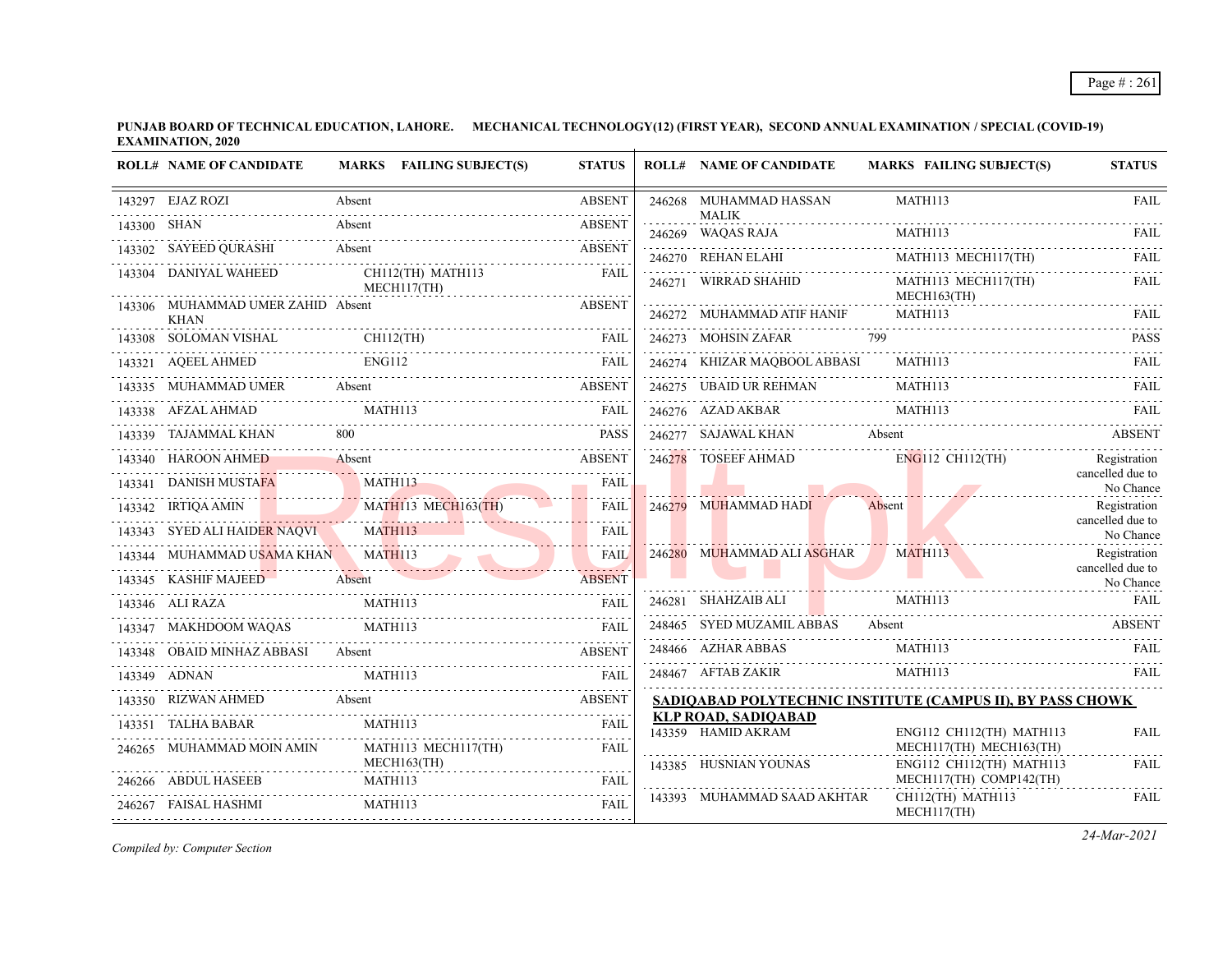| <b>ROLL# NAME OF CANDIDATE</b>                   |         | MARKS FAILING SUBJECT(S)         | <b>STATUS</b> | <b>ROLL# NAME OF CANDIDATE</b>                   | <b>MARKS FAILING SUBJECT(S)</b>                            | <b>STATUS</b>                    |
|--------------------------------------------------|---------|----------------------------------|---------------|--------------------------------------------------|------------------------------------------------------------|----------------------------------|
| 143297 EJAZ ROZI                                 | Absent  |                                  | <b>ABSENT</b> | 246268 MUHAMMAD HASSAN                           | MATH113                                                    | <b>FAIL</b>                      |
| 143300 SHAN                                      | Absent  |                                  | <b>ABSENT</b> | <b>MALIK</b><br>246269 WAQAS RAJA                | MATH113                                                    |                                  |
| 143302 SAYEED QURASHI Absent ABSENT ABSENT       |         |                                  |               | 246270 REHAN ELAHI                               | MATH113 MECH117(TH)                                        | FAIL                             |
| 143304 DANIYAL WAHEED                            |         | CH112(TH) MATH113<br>MECH117(TH) | FAIL          | 246271 WIRRAD SHAHID                             | MATH113 MECH117(TH)<br>MECH163(TH)                         | <b>FAIL</b>                      |
| 143306 MUHAMMAD UMER ZAHID Absent<br><b>KHAN</b> |         |                                  | <b>ABSENT</b> | 246272 MUHAMMAD ATIF HANIF                       | MATH113                                                    | <b>FAIL</b>                      |
| 143308 SOLOMAN VISHAL CH112(TH)                  |         |                                  | FAIL          | 246273 MOHSIN ZAFAR 799                          |                                                            | <b>PASS</b>                      |
| 143321 AQEEL AHMED                               | ENG112  |                                  | <b>FAIL</b>   | 246274 KHIZAR MAQBOOL ABBASI<br>.                | MATH113                                                    | <b>FAIL</b>                      |
| 143335 MUHAMMAD UMER Absent                      |         |                                  | <b>ABSENT</b> | 246275 UBAID UR REHMAN                           | <b>MATH113</b>                                             | FAII.                            |
| 143338 AFZAL AHMAD MATH113 FAIL FAIL             |         |                                  |               | 246276 AZAD AKBAR                                | MATH113                                                    | FAIL                             |
| 143339 TAJAMMAL KHAN                             |         |                                  | <b>PASS</b>   | 246277 SAJAWAL KHAN Absent                       |                                                            | <b>ABSENT</b>                    |
| 143340 HAROON AHMED                              | Absent  |                                  | <b>ABSENT</b> | 246278 TOSEEF AHMAD                              | ENG112 CH112(TH)                                           | Registration                     |
| 143341 DANISH MUSTAFA                            |         | MATH113                          | <b>FAIL</b>   |                                                  |                                                            | cancelled due to<br>No Chance    |
| 143342 IRTIQA AMIN MATHI13 MECH163(TH)           |         |                                  | FAIL          | 246279 MUHAMMAD HADI                             | Absent                                                     | Registration<br>cancelled due to |
| 143343 SYED ALI HAIDER NAQVI MATH113             |         |                                  | FAII.         |                                                  |                                                            | No Chance                        |
| 143344 MUHAMMAD USAMA KHAN MATH113               |         |                                  | <b>FAIL</b>   | 246280 MUHAMMAD ALI ASGHAR                       | MATH113                                                    | Registration<br>cancelled due to |
| 143345 KASHIF MAJEED Absent                      |         |                                  | <b>ABSENT</b> |                                                  |                                                            | No Chance                        |
| 143346 ALI RAZA                                  | MATH113 |                                  | FAIL          | 246281 SHAHZAIB ALI                              | MATH113                                                    | FAIL                             |
| 143347 MAKHDOOM WAQAS                            |         | MATH113                          | FAII.         | 248465 SYED MUZAMIL ABBAS Absent                 |                                                            | <b>ABSENT</b>                    |
| 143348 OBAID MINHAZ ABBASI Absent                |         |                                  | <b>ABSENT</b> | 248466 AZHAR ABBAS                               | MATH113                                                    |                                  |
| 143349 ADNAN                                     | MATH113 |                                  | <b>FAIL</b>   | 248467 AFTAB ZAKIR                               | MATH113                                                    | <b>FAIL</b>                      |
| 143350 RIZWAN AHMED Absent                       |         |                                  | <b>ABSENT</b> |                                                  | SADIQABAD POLYTECHNIC INSTITUTE (CAMPUS II), BY PASS CHOWK |                                  |
| 143351 TALHA BABAR                               | MATH113 |                                  | <b>FAIL</b>   | <b>KLP ROAD, SADIQABAD</b><br>143359 HAMID AKRAM | ENG112 CH112(TH) MATH113                                   | <b>FAIL</b>                      |
| 246265 MUHAMMAD MOIN AMIN                        |         | MATH113 MECH117(TH)              | <b>FAIL</b>   |                                                  | MECH117(TH) MECH163(TH)                                    |                                  |
| 246266 ABDUL HASEEB                              | MATH113 | $MECH163$ (TH)                   | <b>FAIL</b>   | 143385 HUSNIAN YOUNAS                            | ENG112 CH112(TH) MATH113<br>MECH117(TH) COMP142(TH)        | <b>FAIL</b>                      |
| 246267 FAISAL HASHMI                             | MATH113 |                                  | <b>FAIL</b>   | 143393 MUHAMMAD SAAD AKHTAR                      | CH112(TH) MATH113                                          | .<br>FAIL                        |
|                                                  |         |                                  |               |                                                  | MECH117(TH)                                                |                                  |

*Compiled by: Computer Section*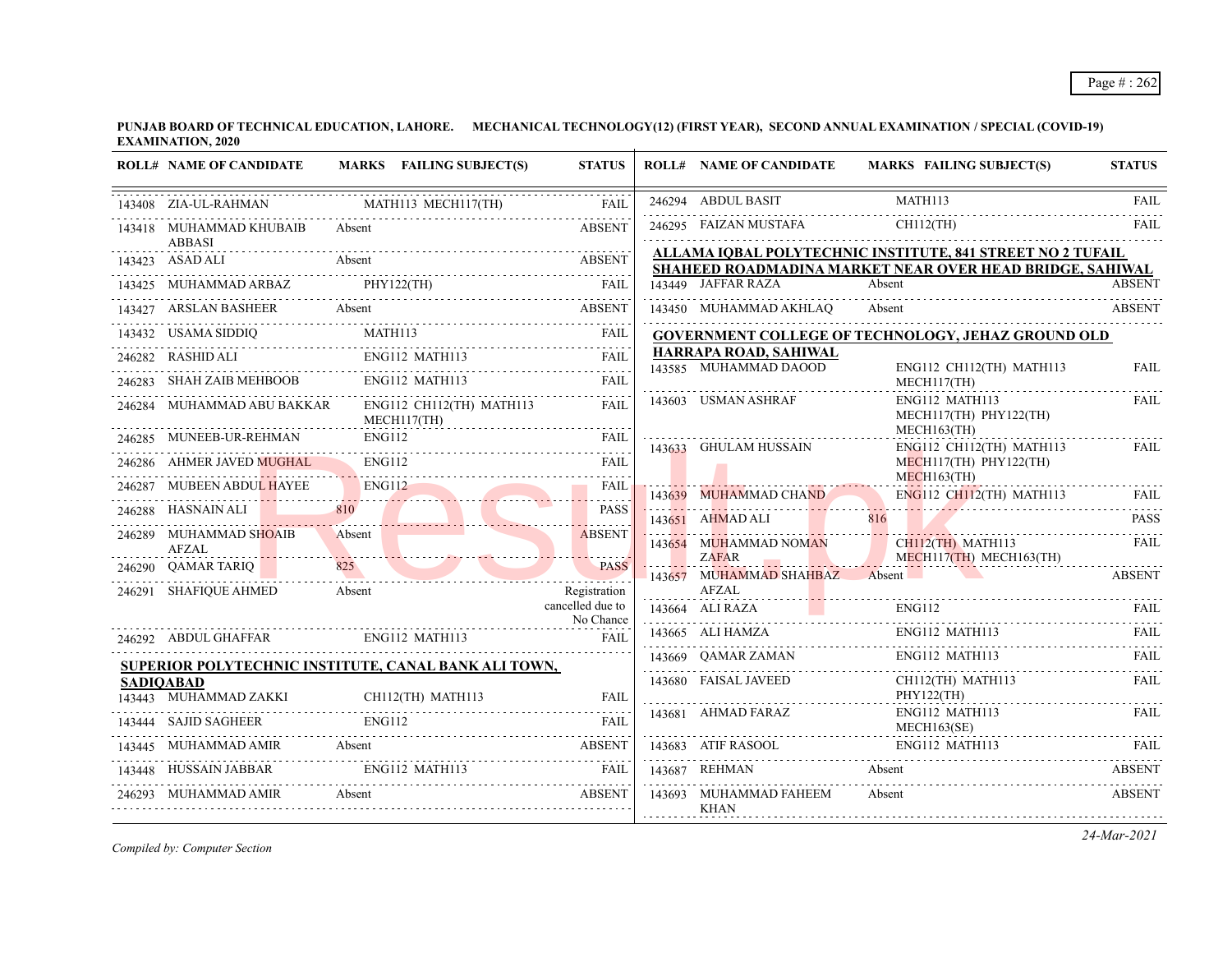| <b>ROLL# NAME OF CANDIDATE</b>            | MARKS FAILING SUBJECT(S)                             | <b>STATUS</b>                    | <b>ROLL# NAME OF CANDIDATE</b>                 | MARKS FAILING SUBJECT(S)                                                                                                                                                                                 | <b>STATUS</b> |
|-------------------------------------------|------------------------------------------------------|----------------------------------|------------------------------------------------|----------------------------------------------------------------------------------------------------------------------------------------------------------------------------------------------------------|---------------|
| 143408 ZIA-UL-RAHMAN                      | MATH113 MECH117(TH)                                  | FAII.                            | 246294 ABDUL BASIT                             | MATH113                                                                                                                                                                                                  | <b>FAIL</b>   |
| 143418 MUHAMMAD KHUBAIB<br><b>ABBASI</b>  | Absent                                               | <b>ABSENT</b>                    | 246295 FAIZAN MUSTAFA                          | $CH112$ (TH)                                                                                                                                                                                             | FAIL          |
| 143423 ASAD ALI                           | Absent                                               | <b>ABSENT</b>                    |                                                | ALLAMA IQBAL POLYTECHNIC INSTITUTE, 841 STREET NO 2 TUFAIL<br>SHAHEED ROADMADINA MARKET NEAR OVER HEAD BRIDGE, SAHIWAL                                                                                   |               |
|                                           | 143425 MUHAMMAD ARBAZ PHY122(TH) FAIL                |                                  | 143449 JAFFAR RAZA                             | Absent                                                                                                                                                                                                   | <b>ABSENT</b> |
|                                           | 143427 ARSLAN BASHEER Absent Absent ABSENT           |                                  | 143450 MUHAMMAD AKHLAQ                         | Absent                                                                                                                                                                                                   | <b>ABSENT</b> |
| 143432 USAMA SIDDIO                       | MATH113                                              | <b>FAIL</b>                      |                                                | <b>GOVERNMENT COLLEGE OF TECHNOLOGY, JEHAZ GROUND OLD</b>                                                                                                                                                |               |
|                                           |                                                      |                                  | HARRAPA ROAD, SAHIWAL<br>143585 MUHAMMAD DAOOD | ENG112 CH112(TH) MATH113                                                                                                                                                                                 | <b>FAIL</b>   |
| 246283 SHAH ZAIB MEHBOOB                  | ENG112 MATH113                                       | <b>FAIL</b>                      |                                                | MECH117(TH)                                                                                                                                                                                              |               |
| 246284 MUHAMMAD ABU BAKKAR                | ENG112 CH112(TH) MATH113<br>MECH117(TH)              | FAII.                            | 143603 USMAN ASHRAF                            | ENG112 MATH113<br>MECH117(TH) PHY122(TH)                                                                                                                                                                 | <b>FAIL</b>   |
| 246285 MUNEEB-UR-REHMAN                   | ENG112                                               | FAIL                             | 143633 GHULAM HUSSAIN                          | MECH163(TH)<br>ENG112 CH112(TH) MATH113                                                                                                                                                                  | FAIL          |
| 246286 AHMER JAVED MUGHAL                 | <b>ENG112</b>                                        | <b>FAIL</b>                      |                                                | $MECH117(TH)$ PHY122(TH)<br>$MECH163$ (TH)                                                                                                                                                               |               |
| 246287 MUBEEN ABDUL HAYEE                 | 46287 MUBEEN ABDUL HAYEE ENGI12 FAIL                 |                                  | 143639 MUHAMMAD CHAND                          | ENG112 CH112(TH) MATH113                                                                                                                                                                                 | FAIL          |
| 246288 HASNAIN ALI                        | 810                                                  | <b>PASS</b><br>.                 | $143651$ AHMAD ALI                             |                                                                                                                                                                                                          | <b>PASS</b>   |
| 246289 MUHAMMAD SHOAIB<br><b>AFZAL</b>    | Absent                                               | <b>ABSENT</b>                    | 143654 MUHAMMAD NOMAN<br>ZAFAR                 | CH112(TH) MATH113<br>MECH117(TH) MECH163(TH)                                                                                                                                                             | FAIL          |
| 246290 OAMAR TARIO                        | $825$ PASS                                           | <b>PASS</b>                      | 143657 MUHAMMAD SHAHBAZ Absent                 |                                                                                                                                                                                                          | <b>ABSENT</b> |
| 246291 SHAFIQUE AHMED                     | Absent                                               | Registration<br>cancelled due to | AFZAL                                          |                                                                                                                                                                                                          |               |
|                                           |                                                      | No Chance                        | 143665 ALI HAMZA                               | 143664 ALI RAZA ENGI12 FAIL<br>ENG112 MATH113                                                                                                                                                            | FAIL          |
|                                           | 246292 ABDUL GHAFFAR ENG112 MATH113                  | FAIL                             |                                                | ENG112 MATH113                                                                                                                                                                                           |               |
|                                           | SUPERIOR POLYTECHNIC INSTITUTE, CANAL BANK ALI TOWN, |                                  | 143669 QAMAR ZAMAN                             |                                                                                                                                                                                                          | FAIL.         |
| <b>SADIOABAD</b><br>143443 MUHAMMAD ZAKKI | CH112(TH) MATH113                                    | FAIL                             | 143680 FAISAL JAVEED                           | CH112(TH) MATH113<br>PHY122(TH)                                                                                                                                                                          | FAIL.         |
| 143444 SAJID SAGHEER                      | ENG112                                               | <b>FAIL</b>                      | 143681 AHMAD FARAZ                             | ENG112 MATH113<br>MECH163(SE)                                                                                                                                                                            | FAIL          |
|                                           | 143445 MUHAMMAD AMIR Absent ABSENT                   |                                  |                                                | $\begin{tabular}{ll} 143683 & ATIF RASOOL & ENG112 MATH113 & FAIL \\ \hline \end{tabular} \begin{tabular}{ll} \multicolumn{3}{l}{{\bf{AA}}TH113} & \multicolumn{3}{l}{\bf{FAIL}}\\ \hline \end{tabular}$ |               |
|                                           | 143448 HUSSAIN JABBAR ENGI12 MATH113 FAIL            |                                  | 143687 REHMAN                                  | Absent                                                                                                                                                                                                   | ABSENT        |
| 246293 MUHAMMAD AMIR                      | Absent<br><b>ABSENT</b>                              |                                  | 143693 MUHAMMAD FAHEEM<br>KHAN                 | Absent                                                                                                                                                                                                   | ABSENT        |
|                                           |                                                      |                                  |                                                |                                                                                                                                                                                                          |               |

*Compiled by: Computer Section*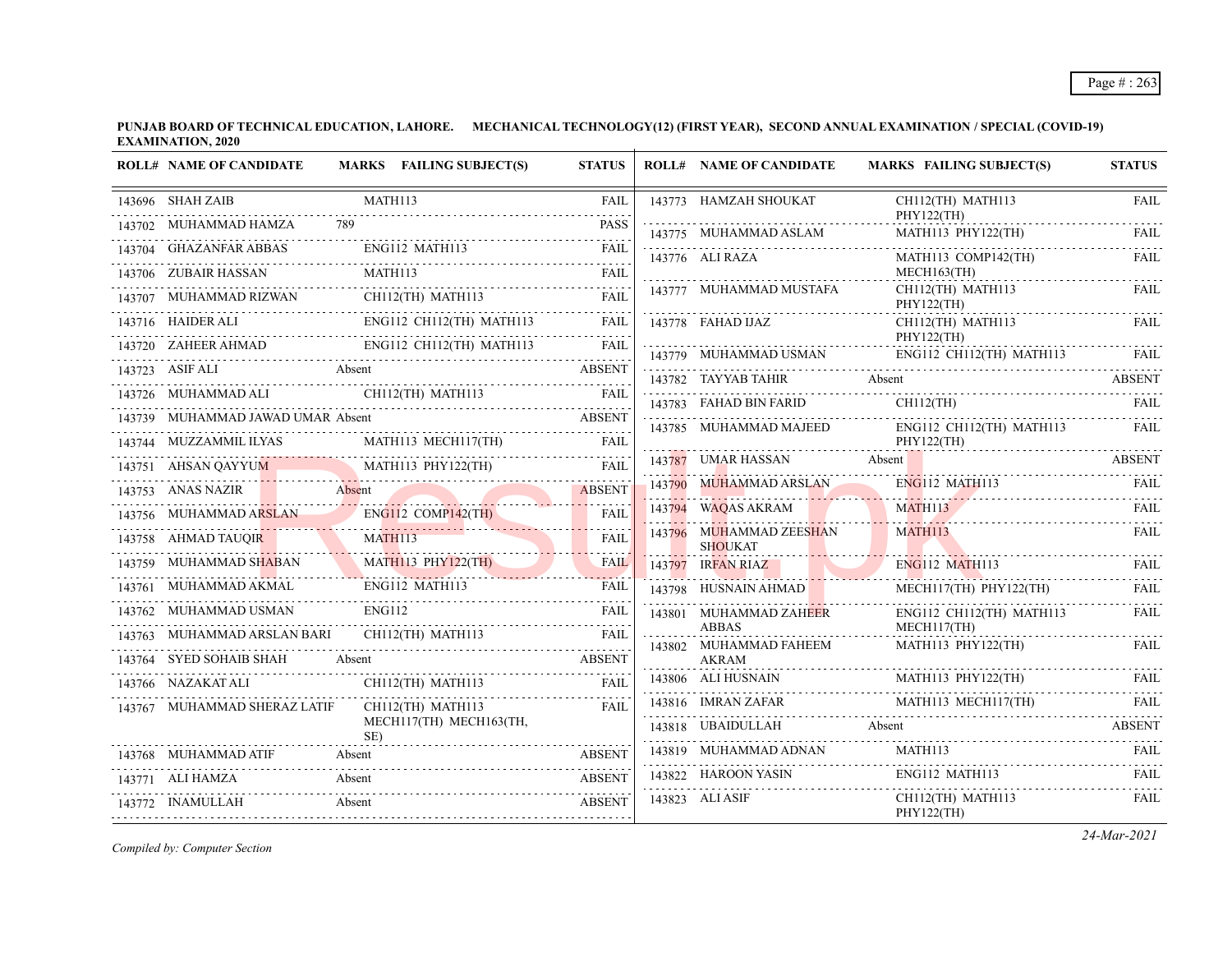| <b>ROLL# NAME OF CANDIDATE</b>                                    |                       | MARKS FAILING SUBJECT(S) | <b>STATUS</b>                                 | <b>ROLL# NAME OF CANDIDATE</b>            | <b>MARKS FAILING SUBJECT(S)</b>          | <b>STATUS</b>    |
|-------------------------------------------------------------------|-----------------------|--------------------------|-----------------------------------------------|-------------------------------------------|------------------------------------------|------------------|
| 143696 SHAH ZAIB                                                  | MATH113               |                          | <b>FAIL</b><br>2.2.2.2.2.1                    | 143773 HAMZAH SHOUKAT                     | CH112(TH) MATH113<br>PHY122(TH)          | <b>FAIL</b>      |
| 143702 MUHAMMAD HAMZA                                             | 789                   |                          | <b>PASS</b>                                   | 143775 MUHAMMAD ASLAM                     | MATH113 PHY122(TH)                       | <b>FAIL</b>      |
| 143704 GHAZANFAR ABBAS                                            | ENG112 MATH113        |                          | <b>FAIL</b><br>دانا با با با با               | 143776 ALI RAZA                           | MATH113 COMP142(TH)                      | <b>FAIL</b>      |
| 143706 ZUBAIR HASSAN                                              | MATH113               |                          | <b>FAIL</b>                                   |                                           | MECH163(TH)                              |                  |
| 143707 MUHAMMAD RIZWAN                                            |                       | CH112(TH) MATH113        | <b>FAIL</b>                                   | 143777 MUHAMMAD MUSTAFA                   | CH112(TH) MATH113<br>PHY122(TH)          | FAIL             |
| 143716 HAIDER ALI                                                 |                       | ENG112 CH112(TH) MATH113 | FAIL                                          | 143778 FAHAD IJAZ                         | CH112(TH) MATH113                        | FAIL             |
| 143720 ZAHEER AHMAD                                               |                       | ENG112 CH112(TH) MATH113 | FAIL                                          | 143779 MUHAMMAD USMAN                     | PHY122(TH)<br>$ENG112$ CH112(TH) MATH113 | FAIL             |
| 143723 ASIF ALI                                                   | Absent                |                          | <b>ABSENT</b>                                 | 143782 TAYYAB TAHIR                       | Absent                                   | <b>ABSENT</b>    |
| 143726 MUHAMMAD ALI                                               |                       | CH112(TH) MATH113        | <b>FAIL</b>                                   | 143783 FAHAD BIN FARID                    | $CH112$ (TH)                             | FAIL             |
| 143739 MUHAMMAD JAWAD UMAR Absent                                 |                       |                          | ABSENT                                        | 143785 MUHAMMAD MAJEED                    | ENG112 CH112(TH) MATH113                 | FAIL             |
| 143744 MUZZAMMIL ILYAS                                            |                       | MATH113 MECH117(TH)      | <b>FAIL</b>                                   |                                           | PHY122(TH)                               |                  |
| 143751 AHSAN OAYYUM<br>43751 AHSAN QAYYUM MATHI13 PHY122(TH) FAIL |                       | MATH113 PHY122(TH)       |                                               | 143787 UMAR HASSAN                        | Absent                                   | <b>ABSENT</b>    |
| 143753 ANAS NAZIR                                                 | Absent                |                          | <b>ABSENT</b>                                 | 143790 MUHAMMAD ARSLAN                    | <b>ENG112 MATH113</b>                    | <b>FAIL</b>      |
| 143756 MUHAMMAD ARSLAN                                            |                       | $ENG112$ COMP142(TH)     | FAIL                                          | 143794 WAQAS AKRAM                        | MATH113                                  | <b>FAIL</b><br>. |
| 143758 AHMAD TAUOIR                                               | <b>MATH113</b>        |                          | <b>FAII</b>                                   | 143796 MUHAMMAD ZEESHAN<br><b>SHOUKAT</b> | MATH113                                  | FAIL             |
| 143759 MUHAMMAD SHABAN                                            |                       | $MATH113$ $PHY122(TH)$   | <b>FAIL</b>                                   | 143797 IRFAN RIAZ                         | <b>ENG112 MATH113</b>                    | FAIL             |
| 143761 MUHAMMAD AKMAL                                             | <b>ENG112 MATH113</b> |                          | FAIL                                          | 143798 HUSNAIN AHMAD                      | MECH117(TH) PHY122(TH)                   | FAII.            |
| 143762 MUHAMMAD USMAN                                             | ENG112                |                          | FAIL<br>$\mathbb{Z}$ is a set of $\mathbb{Z}$ | 143801 MUHAMMAD ZAHEER                    | ENG112 CH112(TH) MATH113                 | FAIL             |
| 143763 MUHAMMAD ARSLAN BARI                                       |                       | CH112(TH) MATH113        | <b>FAIL</b>                                   | <b>ABBAS</b><br>143802 MUHAMMAD FAHEEM    | MECH117(TH)<br>MATH113 PHY122(TH)        | FAIL             |
| 143764 SYED SOHAIB SHAH                                           | Absent                |                          | ABSENT                                        | AKRAM                                     |                                          |                  |
| 143766 NAZAKAT ALI                                                |                       | CH112(TH) MATH113        | <b>FAIL</b>                                   | 143806 ALI HUSNAIN                        | MATH113 PHY122(TH)<br>$1+1000$ $1+1001$  | FAII.            |
| 143767 MUHAMMAD SHERAZ LATIF                                      |                       | CH112(TH) MATH113        | FAII                                          | 143816 IMRAN ZAFAR                        | MATH113 MECH117(TH)                      | FAIL             |
|                                                                   | SE)                   | MECH117(TH) MECH163(TH,  |                                               | 143818 UBAIDULLAH                         | Absent                                   | <b>ABSENT</b>    |
| 143768 MUHAMMAD ATIF                                              | Absent                |                          | <b>ABSENT</b>                                 | 143819 MUHAMMAD ADNAN                     | MATH113                                  | FAIL             |
| 143771 ALI HAMZA                                                  | Absent                |                          | <b>ABSENT</b>                                 | 143822 HAROON YASIN                       | ENG112 MATH113                           | FAII.            |
| 143772 INAMULLAH                                                  | Absent                |                          | <b>ABSENT</b>                                 | 143823 ALI ASIF                           | CH112(TH) MATH113<br>PHY122(TH)          | FAIL             |

*Compiled by: Computer Section*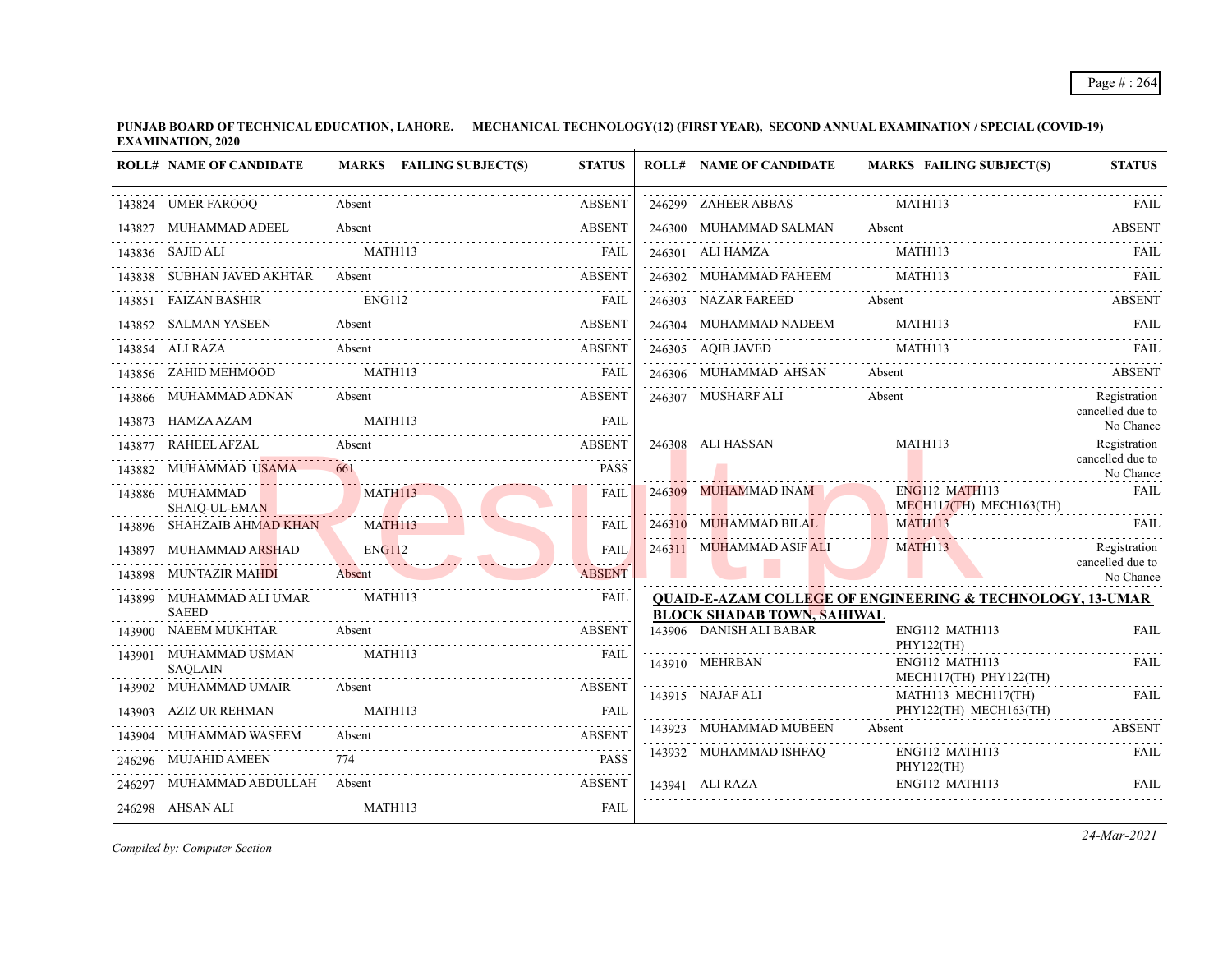| <b>ROLL# NAME OF CANDIDATE</b>           | MARKS FAILING SUBJECT(S)                   | <b>STATUS</b>        | <b>ROLL# NAME OF CANDIDATE</b>       | <b>MARKS FAILING SUBJECT(S)</b>                                                                                                                                                                                                | <b>STATUS</b>                    |
|------------------------------------------|--------------------------------------------|----------------------|--------------------------------------|--------------------------------------------------------------------------------------------------------------------------------------------------------------------------------------------------------------------------------|----------------------------------|
| 143824 UMER FAROOQ                       | Absent                                     | <b>ABSENT</b>        | 246299 ZAHEER ABBAS                  | <b>MATH113</b>                                                                                                                                                                                                                 | FAIL                             |
| 143827 MUHAMMAD ADEEL Absent             | 43827 MUHAMMAD ADEEL Absent ABSENT ABSENT  |                      |                                      | 246300 MUHAMMAD SALMAN Absent ABSENT ABSENT                                                                                                                                                                                    |                                  |
| 143836 SAJID ALI                         | MATH113                                    | FAII.                | 246301 ALI HAMZA                     | MATH113                                                                                                                                                                                                                        | FAIL                             |
|                                          | 143838 SUBHAN JAVED AKHTAR Absent ABSENT   |                      |                                      | EXECUTE AND TALK THE MANUSCRIPT OF THE MATHEM AND RAIL CHARGE AND TALK THE MATHEM AND TALK THAT THE MATHEM AND TALK THE MATHEMS OF THE MATHEMS OF THE MATHEMS OF THE MATHEMS OF THE MATHEMS OF THE MATHEMS OF THE MATHEMS OF T |                                  |
| 143851 FAIZAN BASHIR                     | ENG112                                     | <b>EXECUTE:</b> FAIL | 246303 NAZAR FAREED                  | Absent                                                                                                                                                                                                                         | ABSENT                           |
|                                          | 143852 SALMAN YASEEN Absent Absent ABSENT  |                      | 246304 MUHAMMAD NADEEM               | <b>MATH113</b>                                                                                                                                                                                                                 |                                  |
|                                          | 143854 ALI RAZA Absent                     | <b>ABSENT</b>        |                                      | 246305 AQIB JAVED MATH113 FAIL RELEASE AND MATH113                                                                                                                                                                             |                                  |
| 143856 ZAHID MEHMOOD MATH113             | <b>EAIL</b>                                |                      |                                      | 246306 MUHAMMAD AHSAN Absent ABSENT                                                                                                                                                                                            |                                  |
|                                          | 143866 MUHAMMAD ADNAN Absent ABSENT        |                      | 246307 MUSHARF ALI                   | Absent                                                                                                                                                                                                                         | Registration<br>cancelled due to |
| 143873 HAMZA AZAM                        | MATH113                                    | <b>FAIL</b>          |                                      |                                                                                                                                                                                                                                | No Chance                        |
|                                          | 143877 RAHEEL AFZAL Absent ABSENT          |                      | 246308 ALI HASSAN                    | MATH113                                                                                                                                                                                                                        | Registration<br>cancelled due to |
| 143882 MUHAMMAD USAMA                    |                                            | <b>PASS</b>          |                                      |                                                                                                                                                                                                                                | No Chance                        |
| 143886 MUHAMMAD<br>SHAIQ-UL-EMAN         | <b>MATH113</b>                             | <b>FAIL</b>          | 246309 MUHAMMAD INAM                 | <b>ENG112 MATH113</b><br>MECH117(TH) MECH163(TH)                                                                                                                                                                               | <b>FAIL</b>                      |
| 143896 SHAHZAIB AHMAD KHAN               | <b>MATH113</b>                             | <b>FAIL</b>          | 246310 MUHAMMAD BILAL                | MATH113                                                                                                                                                                                                                        | FAIL                             |
| 143897 MUHAMMAD ARSHAD                   | ENG112<br>ENGI12                           | <b>FAIL</b>          | 246311 MUHAMMAD ASIF ALI             | MATH113                                                                                                                                                                                                                        | Registration<br>cancelled due to |
| 143898 MUNTAZIR MAHDI                    | Absent                                     | <b>ABSENT</b>        |                                      |                                                                                                                                                                                                                                | No Chance                        |
| 143899 MUHAMMAD ALI UMAR<br><b>SAEED</b> | MATH113                                    | <b>FAIL</b>          | <b>BLOCK SHADAB TOWN, SAHIWAL</b>    | <b>QUAID-E-AZAM COLLEGE OF ENGINEERING &amp; TECHNOLOGY, 13-UMAR</b>                                                                                                                                                           |                                  |
| 143900 NAEEM MUKHTAR                     | Absent                                     | <b>ABSENT</b>        | 143906 DANISH ALI BABAR              | ENG112 MATH113                                                                                                                                                                                                                 | <b>FAIL</b>                      |
| 143901 MUHAMMAD USMAN<br><b>SAQLAIN</b>  | MATH113                                    | FAIL                 | 143910 MEHRBAN                       | PHY122(TH)<br>ENG112 MATH113<br>MECH117(TH) PHY122(TH)                                                                                                                                                                         | FAIL                             |
|                                          | 143902 MUHAMMAD UMAIR Absent               | <b>ABSENT</b>        | 143915 NAJAF ALI                     | MATH113 MECH117(TH)                                                                                                                                                                                                            | FAIL                             |
| 143903 AZIZ UR REHMAN                    | MATH113                                    |                      |                                      | PHY122(TH) MECH163(TH)                                                                                                                                                                                                         |                                  |
| 143904 MUHAMMAD WASEEM                   | 43904 MUHAMMAD WASEEM Absent Absent ABSENT |                      | 143923 MUHAMMAD MUBEEN               | Absent                                                                                                                                                                                                                         | <b>ABSENT</b>                    |
| 246296 MUJAHID AMEEN                     |                                            | <b>PASS</b>          | 143932 MUHAMMAD ISHFAO<br>PHY122(TH) | ENG112 MATH113                                                                                                                                                                                                                 | FAIL                             |
| 246297 MUHAMMAD ABDULLAH Absent          |                                            | ABSENT               | 143941 ALI RAZA                      | ENG112 MATH113                                                                                                                                                                                                                 | FAIL                             |
| 246298 AHSAN ALI                         | MATH113                                    | FAIL                 |                                      |                                                                                                                                                                                                                                |                                  |

*Compiled by: Computer Section*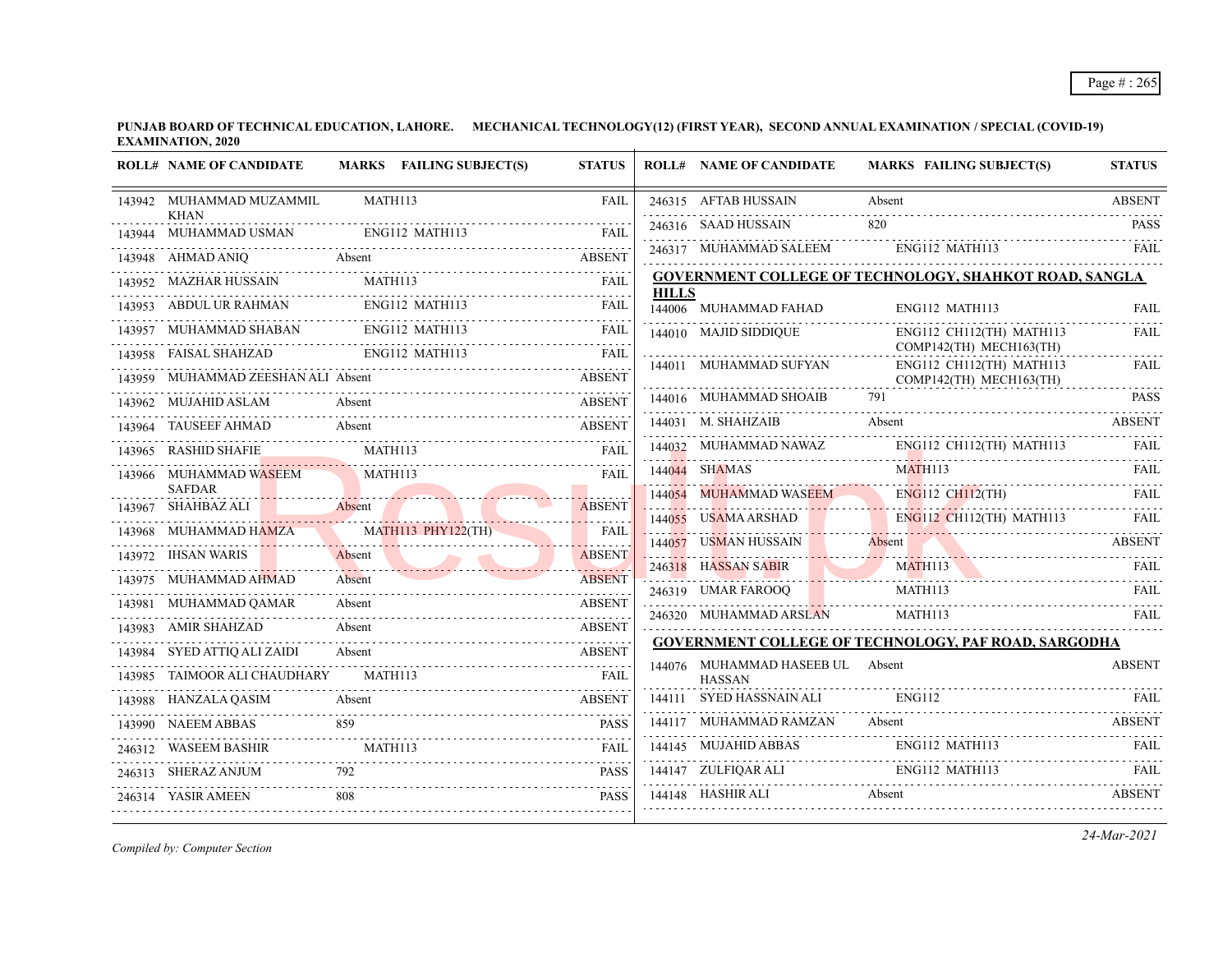|        | <b>ROLL# NAME OF CANDIDATE</b>       | MARKS FAILING SUBJECT(S)  | <b>STATUS</b> |              | <b>ROLL# NAME OF CANDIDATE</b>     | <b>MARKS FAILING SUBJECT(S)</b>                             | <b>STATUS</b> |
|--------|--------------------------------------|---------------------------|---------------|--------------|------------------------------------|-------------------------------------------------------------|---------------|
|        | 143942 MUHAMMAD MUZAMMIL             | MATH113                   | <b>FAIL</b>   |              | 246315 AFTAB HUSSAIN               | Absent                                                      | <b>ABSENT</b> |
|        | <b>KHAN</b><br>143944 MUHAMMAD USMAN | ENG112 MATH113            | <b>FAIL</b>   |              | 246316 SAAD HUSSAIN                | 820                                                         | <b>PASS</b>   |
|        | 143948 AHMAD ANIQ                    | Absent                    | <b>ABSENT</b> |              | 246317 MUHAMMAD SALEEM             | ENG112 MATH113                                              | FAIL          |
|        | 143952 MAZHAR HUSSAIN                | MATH113                   | FAIL          |              |                                    | GOVERNMENT COLLEGE OF TECHNOLOGY, SHAHKOT ROAD, SANGLA      |               |
|        | 143953 ABDUL UR RAHMAN               | <b>ENG112 MATH113</b>     | <b>FAIL</b>   | <b>HILLS</b> | 144006 MUHAMMAD FAHAD              | ENG112 MATH113                                              | <b>FAIL</b>   |
| 143957 | MUHAMMAD SHABAN                      | ENG112 MATH113            | <b>FAIL</b>   |              | 144010 MAJID SIDDIQUE              | ENG112 CH112(TH) MATH113                                    | <b>FAIL</b>   |
| 143958 | FAISAL SHAHZAD                       | ENG112 MATH113            | <b>FAIL</b>   |              |                                    | COMP142(TH) MECH163(TH)                                     |               |
| 143959 | MUHAMMAD ZEESHAN ALI Absent          |                           | <b>ABSENT</b> |              | 144011 MUHAMMAD SUFYAN             | ENG112 CH112(TH) MATH113<br>COMP142(TH) MECH163(TH)         | <b>FAIL</b>   |
| 143962 | MUJAHID ASLAM                        | Absent                    | <b>ABSENT</b> |              | 144016 MUHAMMAD SHOAIB             | 791                                                         | <b>PASS</b>   |
|        | TAUSEEF AHMAD                        | Absent                    | <b>ABSENT</b> |              | 144031 M. SHAHZAIB                 | Absent                                                      | <b>ABSENT</b> |
|        | 143965 RASHID SHAFIE                 | <b>MATH113</b>            | FAIL          |              | 144032 MUHAMMAD NAWAZ              | ENG112 CH112(TH) MATH113                                    | FAIL.         |
|        | 143966 MUHAMMAD WASEEM               | MATH113                   | <b>FAIL</b>   |              | 144044 SHAMAS                      | MATH113                                                     | FAIL.         |
|        | <b>SAFDAR</b><br>SHAHBAZ ALI         | Absent                    | <b>ABSENT</b> | 144054       | <b>MUHAMMAD WASEEM</b>             | ENG112 CH112(TH)                                            | FAIL          |
| 143967 | MUHAMMAD HAMZA                       | <b>MATH113 PHY122(TH)</b> | <b>FAIL</b>   | 144055       | <b>USAMA ARSHAD</b>                | ENG112 CH112(TH) MATH113                                    | FAIL          |
| 143968 | 143972 IHSAN WARIS                   | Absent                    | <b>ABSENT</b> | 144057       | USMAN HUSSAIN                      | Absent                                                      | <b>ABSENT</b> |
|        | 143975 MUHAMMAD AHMAD                | Absent                    | <b>ABSENT</b> |              | 246318 HASSAN SABIR                | 246318 HASSAN SABIR MATH113 FAIL FAIL                       |               |
|        | MUHAMMAD QAMAR                       | Absent                    | <b>ABSENT</b> |              | 246319 UMAR FAROOQ                 | MATH113                                                     | FAIL          |
|        | 143983 AMIR SHAHZAD                  | Absent                    | <b>ABSENT</b> |              | 246320 MUHAMMAD ARSLAN             | MATH113                                                     | <b>FAIL</b>   |
|        | 143984 SYED ATTIO ALI ZAIDI          | Absent                    | <b>ABSENT</b> |              |                                    | <b>GOVERNMENT COLLEGE OF TECHNOLOGY, PAF ROAD, SARGODHA</b> |               |
|        | TAIMOOR ALI CHAUDHARY                | MATH113                   | FAIL          |              | 144076 MUHAMMAD HASEEB UL Absent   |                                                             | <b>ABSENT</b> |
| 143988 | HANZALA QASIM                        | Absent                    | <b>ABSENT</b> | 144111       | <b>HASSAN</b><br>SYED HASSNAIN ALI | <b>ENG112</b>                                               | FAIL.         |
| 143990 | <b>NAEEM ABBAS</b>                   | 859                       | <b>PASS</b>   |              | 144117 MUHAMMAD RAMZAN             | Absent                                                      | <b>ABSENT</b> |
| 246312 | WASEEM BASHIR                        | EEM BASHIR MATHI13        | <b>FAIL</b>   |              | 144145 MUJAHID ABBAS               | ENG112 MATH113                                              | FAIL          |
|        | 246313 SHERAZ ANJUM                  | 792                       | <b>PASS</b>   |              | 144147 ZULFIQAR ALI                | ENG112 MATH113                                              | FAIL          |
|        | 246314 YASIR AMEEN                   | 808                       | <b>PASS</b>   |              |                                    | 144148 HASHIR ALI Absent ABSENT                             |               |
|        |                                      |                           |               |              |                                    |                                                             |               |

*Compiled by: Computer Section*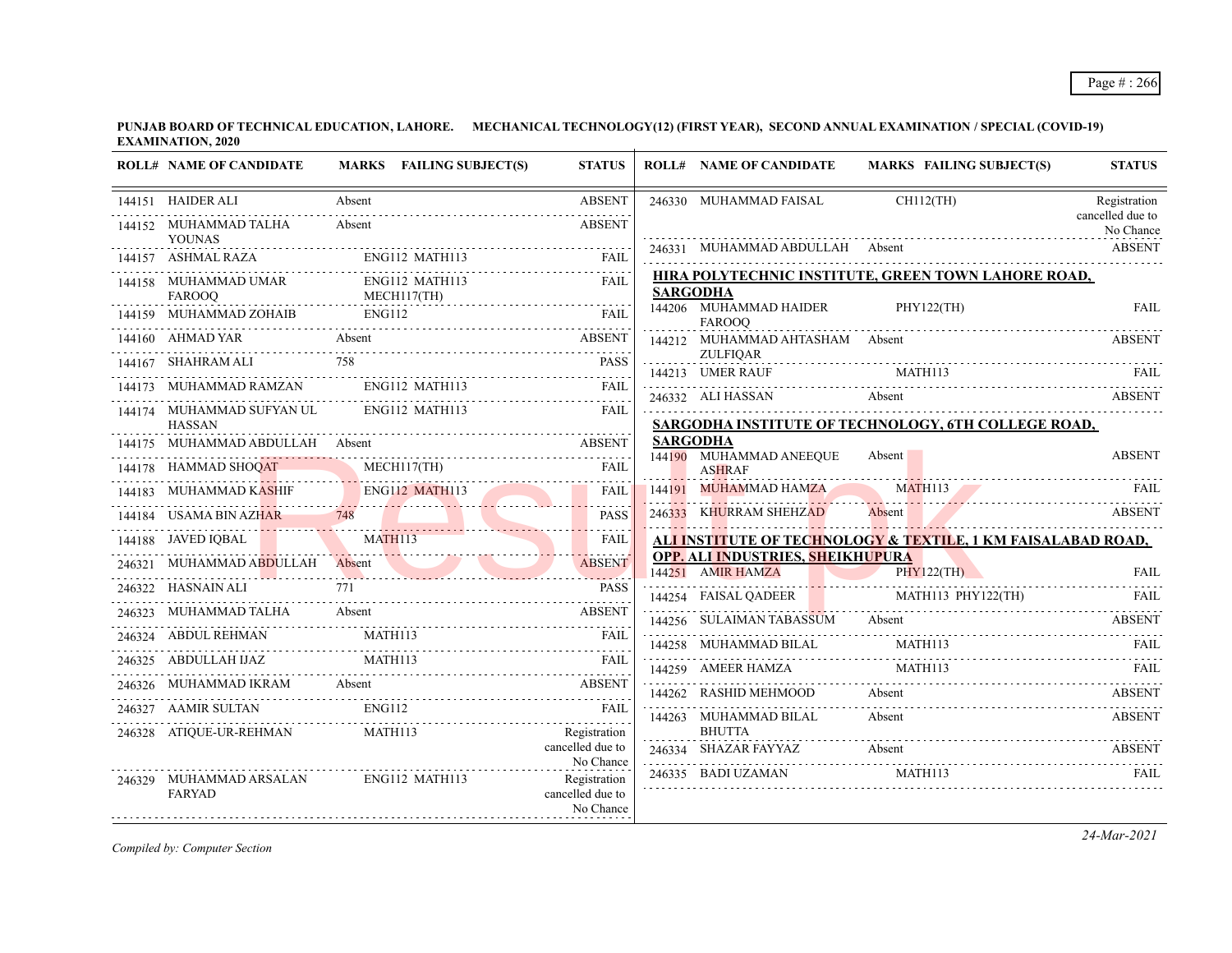| <b>ROLL# NAME OF CANDIDATE</b>               | MARKS FAILING SUBJECT(S)                                             | <b>STATUS</b>                                 | <b>ROLL# NAME OF CANDIDATE</b>                        | <b>MARKS FAILING SUBJECT(S)</b>                              | <b>STATUS</b>                 |
|----------------------------------------------|----------------------------------------------------------------------|-----------------------------------------------|-------------------------------------------------------|--------------------------------------------------------------|-------------------------------|
| 144151 HAIDER ALI                            | Absent                                                               | <b>ABSENT</b>                                 | 246330 MUHAMMAD FAISAL                                | $CH112$ (TH)                                                 | Registration                  |
| 144152 MUHAMMAD TALHA<br><b>YOUNAS</b>       | Absent                                                               | <b>ABSENT</b>                                 |                                                       |                                                              | cancelled due to<br>No Chance |
| 144157 ASHMAL RAZA                           | ENG112 MATH113                                                       | <b>FAIL</b>                                   |                                                       | 246331 MUHAMMAD ABDULLAH Absent National ABSENT              |                               |
| 144158 MUHAMMAD UMAR                         | ENG112 MATH113                                                       | FAIL                                          | <b>SARGODHA</b>                                       | HIRA POLYTECHNIC INSTITUTE, GREEN TOWN LAHORE ROAD,          |                               |
| .<br><b>FAROOO</b><br>144159 MUHAMMAD ZOHAIB | MECH117(TH)<br><b>ENG112</b>                                         | <b>FAIL</b>                                   | 144206 MUHAMMAD HAIDER<br><b>FAROOO</b>               | PHY122(TH)                                                   | FAIL                          |
|                                              | 144160 AHMAD YAR Absent ABSENT ABSENT                                |                                               | 144212 MUHAMMAD AHTASHAM Absent                       |                                                              | <b>ABSENT</b>                 |
| 144167 SHAHRAM ALI 758                       |                                                                      | <b>PASS</b>                                   | <b>ZULFIOAR</b><br>144213 UMER RAUF                   | MATH113                                                      |                               |
| 144173 MUHAMMAD RAMZAN ENG112 MATH113        |                                                                      | <b>FAIL</b>                                   | 246332 ALI HASSAN                                     | Absent ABSENT                                                |                               |
| 144174 MUHAMMAD SUFYAN UL<br><b>HASSAN</b>   | ENG112 MATH113                                                       | <b>FAIL</b>                                   |                                                       | SARGODHA INSTITUTE OF TECHNOLOGY, 6TH COLLEGE ROAD,          |                               |
| 144175 MUHAMMAD ABDULLAH Absent              | <b>ABSENT</b>                                                        |                                               | <b>SARGODHA</b>                                       |                                                              |                               |
| 144178 HAMMAD SHOQAT                         | MMAD SHOQAT MECHI17(TH) FAIL                                         |                                               | 144190 MUHAMMAD ANEEQUE<br><b>ASHRAF</b>              | Absent                                                       | <b>ABSENT</b>                 |
|                                              | 144183 MUHAMMAD KASHIF ENGI12 MATH113 FAIL                           |                                               | 144191 MUHAMMAD HAMZA MATH113                         |                                                              | - FAIL                        |
| 144184 USAMA BIN AZHAR 748                   |                                                                      | <b>PASS</b>                                   | 246333 KHURRAM SHEHZAD                                | 246333 KHURRAM SHEHZAD Absent ABSENT ABSENT<br><b>ABSENT</b> |                               |
| 144188 JAVED IQBAL                           | MATH113                                                              | <b>FAIL</b>                                   |                                                       | ALI INSTITUTE OF TECHNOLOGY & TEXTILE, 1 KM FAISALABAD ROAD, |                               |
|                                              | 246321 MUHAMMAD ABDULLAH Absent ABSENT                               |                                               | OPP. ALI INDUSTRIES, SHEIKHUPURA<br>144251 AMIR HAMZA | PHY122(TH)                                                   | <b>FAIL</b>                   |
| 246322 HASNAIN ALI                           |                                                                      | <b>PASS</b>                                   |                                                       | 144254 FAISAL QADEER MATH113 PHY122(TH) FAIL                 |                               |
|                                              | 246323 MUHAMMAD TALHA Absent ABSENT                                  |                                               |                                                       | 144256 SULAIMAN TABASSUM Absent                              | <b>ABSENT</b>                 |
| 246324 ABDUL REHMAN                          | <b>MATH113</b>                                                       | FAIL                                          |                                                       | 144258 MUHAMMAD BILAL MATH113 FAIL RELEASE                   |                               |
|                                              | 246325 ABDULLAH IJAZ MATHI13 FAII PARTENTER ARE MATHIT RAIL MATHITIS | <b>FAIL</b>                                   | 144259 AMEER HAMZA                                    | MATH113                                                      | <b>FAIL</b>                   |
|                                              | 246326 MUHAMMAD IKRAM Absent                                         | <b>ABSENT</b>                                 | 144262 RASHID MEHMOOD                                 | Absent                                                       | ABSENT                        |
| 246327 AAMIR SULTAN                          | ENG112                                                               | <b>FAIL</b>                                   | 144263 MUHAMMAD BILAL                                 | Absent                                                       | <b>ABSENT</b>                 |
| 246328 ATIQUE-UR-REHMAN                      | MATH113                                                              | Registration<br>cancelled due to              | <b>BHUTTA</b>                                         |                                                              |                               |
|                                              |                                                                      | No Chance                                     |                                                       | 246334 SHAZAR FAYYAZ Absent ABSENT                           |                               |
| 246329 MUHAMMAD ARSALAN<br><b>FARYAD</b>     | ENG112 MATH113                                                       | Registration<br>cancelled due to<br>No Chance | 246335 BADI UZAMAN                                    | MATH113                                                      | FAIL                          |

*Compiled by: Computer Section*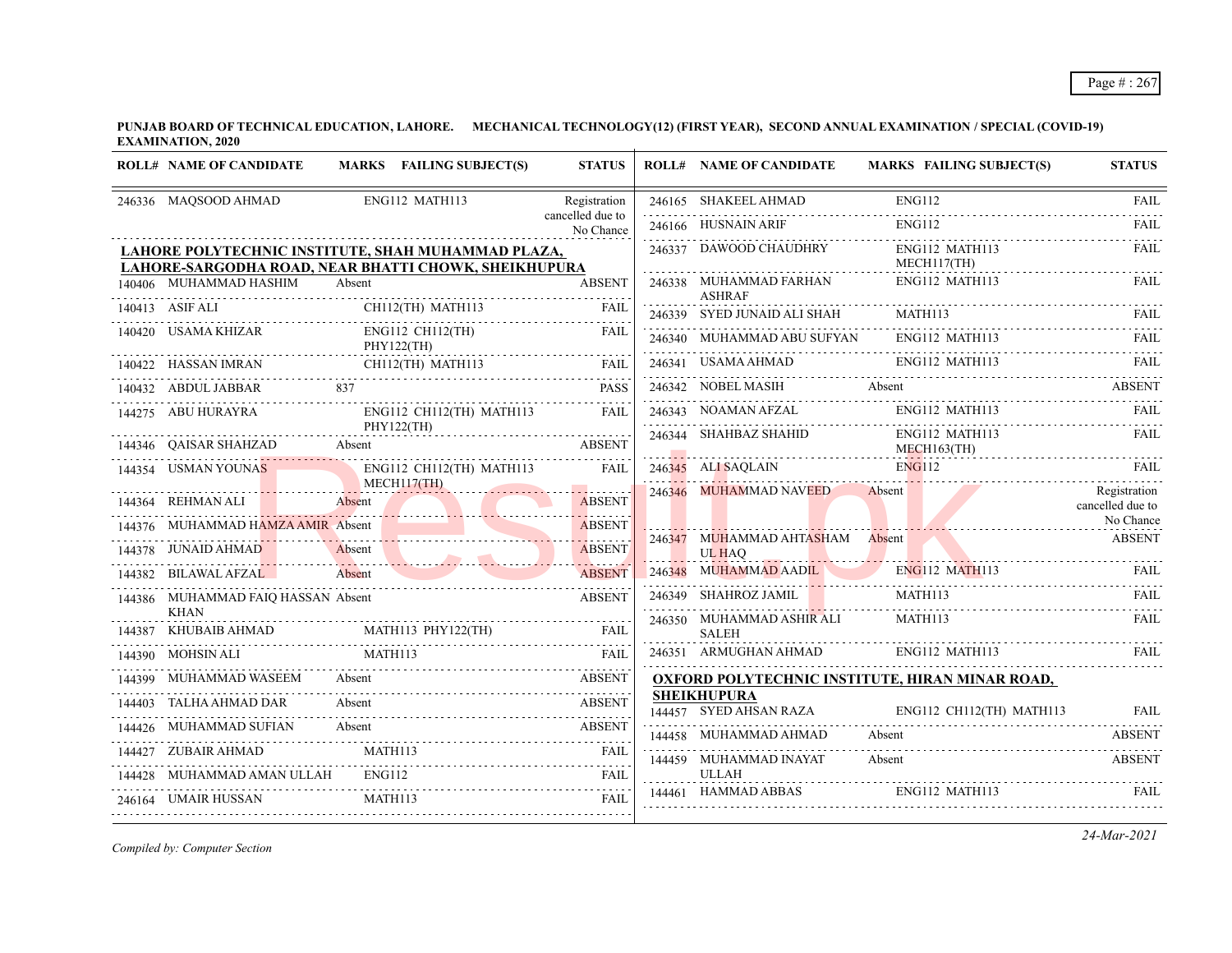#### Page # : 267

**PUNJAB BOARD OF TECHNICAL EDUCATION, LAHORE. MECHANICAL TECHNOLOGY(12) (FIRST YEAR), SECOND ANNUAL EXAMINATION / SPECIAL (COVID-19) EXAMINATION, 2020**

| <b>ROLL# NAME OF CANDIDATE</b>                                                                             |                                | MARKS FAILING SUBJECT(S) | <b>STATUS</b>                 | <b>ROLL# NAME OF CANDIDATE</b>                         |                       | <b>MARKS FAILING SUBJECT(S)</b>  | <b>STATUS</b>                    |
|------------------------------------------------------------------------------------------------------------|--------------------------------|--------------------------|-------------------------------|--------------------------------------------------------|-----------------------|----------------------------------|----------------------------------|
| 246336 MAQSOOD AHMAD                                                                                       | ENG112 MATH113                 |                          | Registration                  | 246165 SHAKEEL AHMAD                                   | <b>ENG112</b>         |                                  | <b>FAIL</b>                      |
|                                                                                                            |                                |                          | cancelled due to<br>No Chance | 246166 HUSNAIN ARIF                                    | <b>ENG112</b>         |                                  | FAIL                             |
| LAHORE POLYTECHNIC INSTITUTE, SHAH MUHAMMAD PLAZA,<br>LAHORE-SARGODHA ROAD, NEAR BHATTI CHOWK, SHEIKHUPURA |                                |                          |                               | 246337 DAWOOD CHAUDHRY                                 |                       | ENG112 MATH113<br>$MECH117$ (TH) | <b>FAIL</b>                      |
| 140406 MUHAMMAD HASHIM                                                                                     | Absent                         |                          | <b>ABSENT</b>                 | 246338 MUHAMMAD FARHAN<br><b>ASHRAF</b>                |                       | ENG112 MATH113                   | FAIL                             |
| 140413 ASIF ALI                                                                                            | CH112(TH) MATH113              |                          | <b>FAIL</b>                   | 246339 SYED JUNAID ALI SHAH                            | MATH113               |                                  | FAIL                             |
| 140420 USAMA KHIZAR                                                                                        | ENG112 CH112(TH)<br>PHY122(TH) |                          | FAIL                          | 246340 MUHAMMAD ABU SUFYAN                             |                       | ENG112 MATH113                   | FAIL                             |
| 140422 HASSAN IMRAN                                                                                        | CH112(TH) MATH113              |                          | <b>FAIL</b>                   | 246341 USAMA AHMAD                                     | <b>ENG112 MATH113</b> |                                  | - FAIL                           |
| 140432 ABDUL JABBAR                                                                                        | 837                            |                          | <b>PASS</b>                   | 246342 NOBEL MASIH                                     | Absent                |                                  | <b>ABSENT</b>                    |
| 144275 ABU HURAYRA                                                                                         |                                | ENG112 CH112(TH) MATH113 | <b>FAIL</b>                   | 246343 NOAMAN AFZAL                                    |                       | ENG112 MATH113                   | <b>FAIL</b>                      |
| 144346 OAISAR SHAHZAD<br>446 QAISAR SHAHZAD Absent ABSENT                                                  | PHY122(TH)                     |                          |                               | 246344 SHAHBAZ SHAHID                                  |                       | ENG112 MATH113<br>MECH163(TH)    | FAIL                             |
| 144354 USMAN YOUNAS                                                                                        | MECH117(TH)                    | ENG112 CH112(TH) MATH113 | <b>FAIL</b>                   | 246345 ALI SAQLAIN                                     | <b>ENG112</b>         |                                  | <b>FAIL</b>                      |
| 144364 REHMAN ALI                                                                                          | Absent                         |                          | <b>ABSENT</b>                 | 246346 MUHAMMAD NAVEED                                 | Absent                |                                  | Registration<br>cancelled due to |
| 144376 MUHAMMAD HAMZA AMIR Absent                                                                          |                                |                          | <b>ABSENT</b>                 | 246347 MUHAMMAD AHTASHAM Absent                        |                       |                                  | No Chance<br><b>ABSENT</b>       |
| 144378 JUNAID AHMAD<br>78 JUNAID AHMAD Absent ABSENT                                                       | Absent                         |                          | <b>ABSENT</b>                 | UL HAO                                                 |                       |                                  |                                  |
| 144382 BILAWAL AFZAL                                                                                       | Absent                         |                          | <b>ABSENT</b>                 | 246348 MUHAMMAD AADIL                                  |                       | ENG112 MATH113                   | FAIL                             |
| 144386 MUHAMMAD FAIQ HASSAN Absent                                                                         |                                |                          | <b>ABSENT</b>                 | 246349 SHAHROZ JAMIL                                   | MATH113               |                                  | FAII.                            |
| <b>KHAN</b><br>144387 KHUBAIB AHMAD                                                                        | MATH113 PHY122(TH)             |                          | FAIL                          | 246350 MUHAMMAD ASHIR ALI<br>SALEH                     | <b>MATH113</b>        |                                  | FAIL                             |
| 144390 MOHSIN ALI                                                                                          | MATH113                        |                          | <b>FAIL</b>                   | 246351 ARMUGHAN AHMAD ENG112 MATH113                   |                       |                                  | <b>FAIL</b>                      |
| 144399 MUHAMMAD WASEEM                                                                                     | Absent                         |                          | <b>ABSENT</b>                 | <b>OXFORD POLYTECHNIC INSTITUTE, HIRAN MINAR ROAD,</b> |                       |                                  |                                  |
| 144403 TALHA AHMAD DAR                                                                                     | Absent                         |                          | <b>ABSENT</b>                 | <b>SHEIKHUPURA</b><br>144457 SYED AHSAN RAZA           |                       | ENG112 CH112(TH) MATH113         | FAII.                            |
| 144426 MUHAMMAD SUFIAN                                                                                     | Absent                         |                          | <b>ABSENT</b>                 | 144458 MUHAMMAD AHMAD                                  | Absent                |                                  | <b>ABSENT</b>                    |
| 144427 ZUBAIR AHMAD                                                                                        | MATH113                        |                          | <b>FAIL</b>                   | 144459 MUHAMMAD INAYAT                                 | Absent                |                                  | <b>ABSENT</b>                    |
| 144428 MUHAMMAD AMAN ULLAH                                                                                 | ENG112                         |                          | <b>FAIL</b>                   | <b>ULLAH</b>                                           |                       |                                  |                                  |
| 246164 UMAIR HUSSAN                                                                                        | MATH113                        |                          | <b>FAIL</b>                   | 144461 HAMMAD ABBAS                                    |                       | ENG112 MATH113                   | FAIL                             |
|                                                                                                            |                                |                          |                               |                                                        |                       |                                  |                                  |

*Compiled by: Computer Section*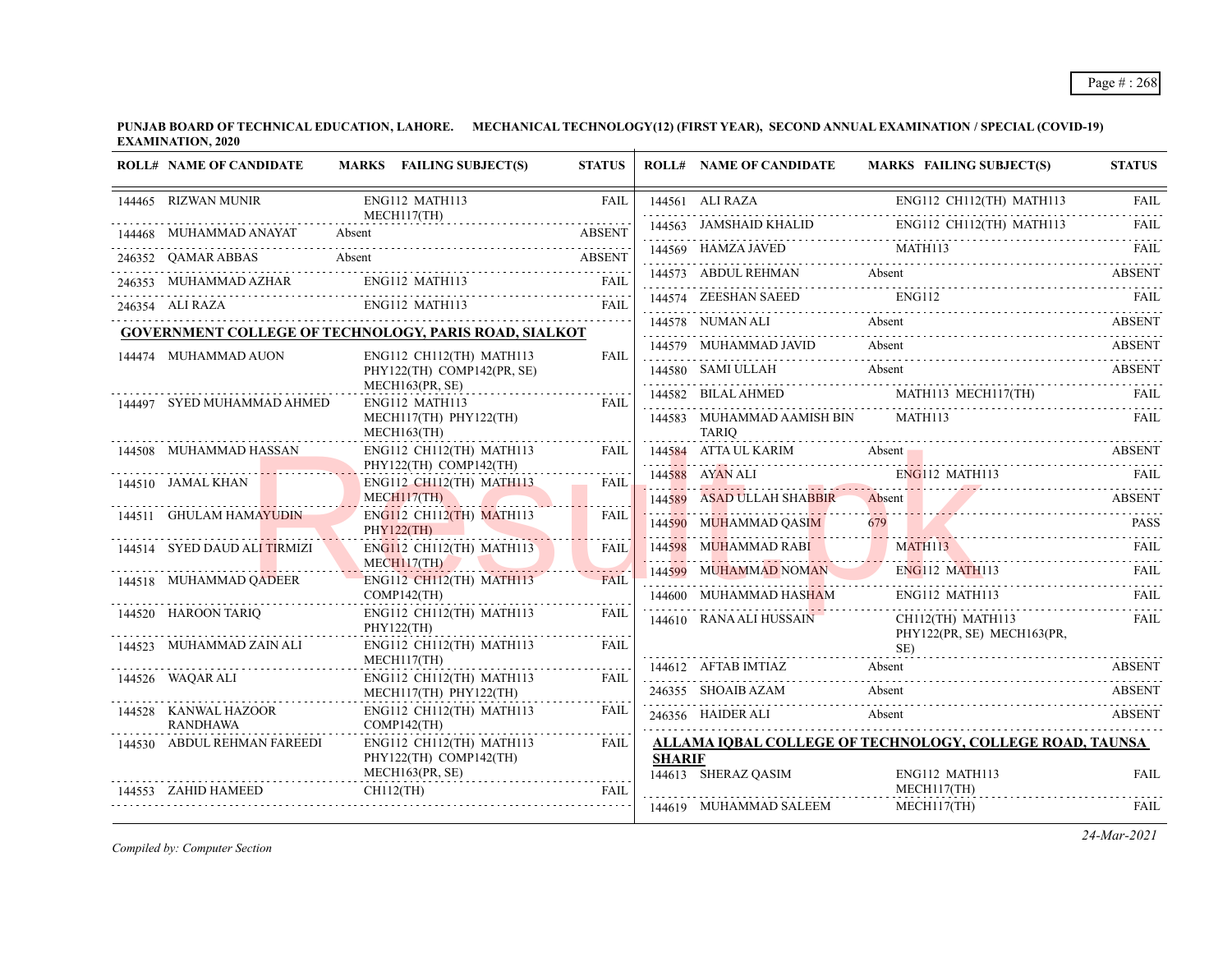| <b>ROLL# NAME OF CANDIDATE</b>                               |        | MARKS FAILING SUBJECT(S)                             | <b>STATUS</b> |               | <b>ROLL# NAME OF CANDIDATE</b>                     | <b>MARKS FAILING SUBJECT(S)</b>                          | <b>STATUS</b>     |
|--------------------------------------------------------------|--------|------------------------------------------------------|---------------|---------------|----------------------------------------------------|----------------------------------------------------------|-------------------|
| 144465 RIZWAN MUNIR                                          |        | ENG112 MATH113                                       | FAIL          |               | 144561 ALI RAZA                                    | ENG112 CH112(TH) MATH113                                 | FAIL              |
| 144468 MUHAMMAD ANAYAT                                       | Absent | MECH117(TH)                                          | <b>ABSENT</b> |               | 144563 JAMSHAID KHALID                             | ENG112 CH112(TH) MATH113                                 | 1.1.1.1.1<br>FAIL |
| 246352 QAMAR ABBAS                                           | Absent |                                                      | <b>ABSENT</b> |               | 144569 HAMZA JAVED MATH113                         |                                                          | FAIL              |
| 246353 MUHAMMAD AZHAR                                        |        | ENG112 MATH113                                       | FAIL          |               | 144573 ABDUL REHMAN                                | Absent                                                   | <b>ABSENT</b>     |
| 246354 ALI RAZA                                              |        | ENG112 MATH113                                       | FAII.         |               | 144574 ZEESHAN SAEED                               | <b>ENG112</b>                                            | FAII.             |
| <b>GOVERNMENT COLLEGE OF TECHNOLOGY, PARIS ROAD, SIALKOT</b> |        |                                                      |               |               | 144578 NUMAN ALI                                   | Absent                                                   | ABSENT            |
| 144474 MUHAMMAD AUON                                         |        | ENG112 CH112(TH) MATH113                             | <b>FAIL</b>   |               | 144579 MUHAMMAD JAVID                              | Absent                                                   | ABSENT            |
|                                                              |        | PHY122(TH) COMP142(PR, SE)                           |               |               | 144580 SAMI ULLAH                                  | Absent                                                   | <b>ABSENT</b>     |
| 144497 SYED MUHAMMAD AHMED                                   |        | MECH163(PR, SE)<br>ENG112 MATH113                    | FAIL          |               | 144582 BILAL AHMED                                 | MATH113 MECH117(TH)                                      | FAIL              |
|                                                              |        | MECH117(TH) PHY122(TH)<br>$MECH163$ (TH)             |               |               | 144583 MUHAMMAD AAMISH BIN MATH113<br><b>TARIO</b> |                                                          | FAII.             |
| 144508 MUHAMMAD HASSAN                                       |        | ENG112 CH112(TH) MATH113                             | <b>FAIL</b>   |               |                                                    | 144584 ATTA UL KARIM Absent Absent ABSENT ABSENT         |                   |
| 144510 JAMAL KHAN                                            |        | PHY122(TH) COMP142(TH)<br>ENG112 CH112(TH) MATH113   | FAIL          |               | 144588 AYAN ALI                                    | $ENG112$ MATH113                                         | <b>EAIL</b>       |
|                                                              |        | $MECH117$ (TH)                                       |               |               | 144589 ASAD ULLAH SHABBIR Absent                   |                                                          | ABSENT            |
| 144511 GHULAM HAMAYUDIN                                      |        | ENG112 CH112(TH) MATH113<br>PHY122(TH)               | FAIL          |               | 144590 MUHAMMAD QASIM                              | 679                                                      | <b>PASS</b>       |
| 144514 SYED DAUD ALI TIRMIZI                                 |        | ENG112 CH112(TH) MATH113<br>MECH117(TH)              | <b>FAIL</b>   |               | 144598 MUHAMMAD RABI                               | MATH113                                                  | FAIL              |
| 144518 MUHAMMAD QADEER                                       |        | <b>ENG112 CH112(TH) MATH113</b>                      | <b>FAIL</b>   |               |                                                    | 144599 MUHAMMAD NOMAN ENG112 MATH113 FAIL                |                   |
|                                                              |        | $COMP142$ (TH)                                       |               |               | 144600 MUHAMMAD HAS <mark>HA</mark> M              | ENG112 MATH113                                           | FAIL              |
| 144520 HAROON TARIQ                                          |        | $ENG112$ CH112(TH) MATH113<br>PHY122(TH)             | <b>FAIL</b>   |               | 144610 RANA ALI HUSSAIN                            | CH112(TH) MATH113<br>PHY122(PR, SE) MECH163(PR,          | <b>FAIL</b>       |
| 144523 MUHAMMAD ZAIN ALI                                     |        | ENG112 CH112(TH) MATH113<br>MECH117(TH)              | FAIL          |               |                                                    | SE)                                                      |                   |
| 144526 WAQAR ALI                                             |        | $ENG112$ CH112(TH) MATH113                           | FAIL          |               | 144612 AFTAB IMTIAZ                                | Absent                                                   | <b>ABSENT</b>     |
|                                                              |        | MECH117(TH) PHY122(TH)                               |               |               | 246355 SHOAIB AZAM                                 | Absent                                                   | <b>ABSENT</b>     |
| 144528 KANWAL HAZOOR<br><b>RANDHAWA</b>                      |        | ENG112 CH112(TH) MATH113<br>$COMP142$ (TH)           | FAIL          |               | 246356 HAIDER ALI                                  | Absent                                                   | <b>ABSENT</b>     |
| 144530 ABDUL REHMAN FAREEDI                                  |        | $ENG112$ CH112(TH) MATH113<br>PHY122(TH) COMP142(TH) | FAIL          | <b>SHARIF</b> |                                                    | ALLAMA IQBAL COLLEGE OF TECHNOLOGY, COLLEGE ROAD, TAUNSA |                   |
|                                                              |        | MECH163(PR, SE)                                      |               |               | 144613 SHERAZ QASIM                                | ENG112 MATH113                                           | <b>FAIL</b>       |
| 144553 ZAHID HAMEED                                          |        | CH112(TH)                                            | <b>FAIL</b>   |               | 144619 MUHAMMAD SALEEM                             | MECH117(TH)<br>MECH117(TH)                               |                   |
|                                                              |        |                                                      |               |               |                                                    |                                                          | <b>FAIL</b>       |

*Compiled by: Computer Section*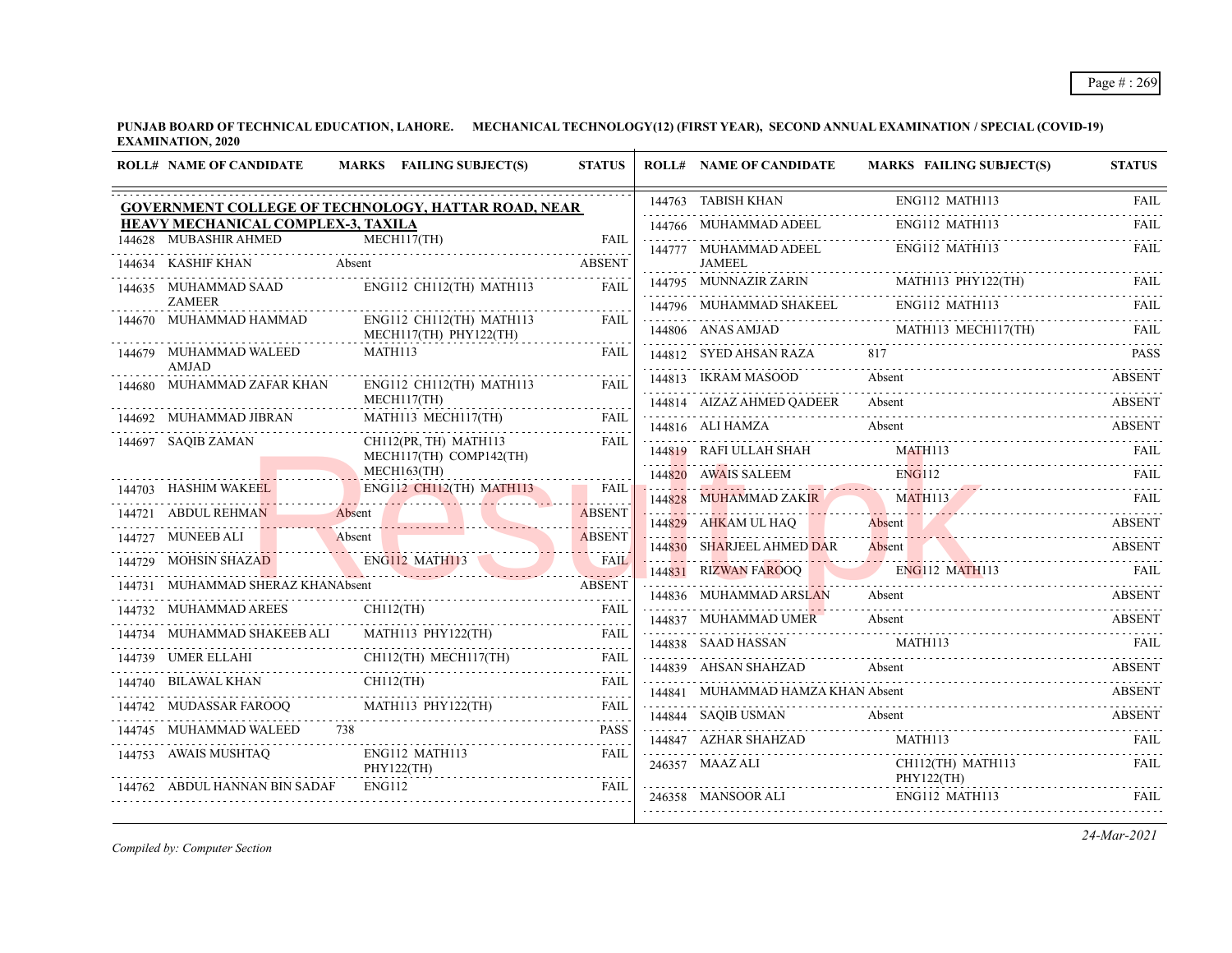# Page # : 269

**PUNJAB BOARD OF TECHNICAL EDUCATION, LAHORE. MECHANICAL TECHNOLOGY(12) (FIRST YEAR), SECOND ANNUAL EXAMINATION / SPECIAL (COVID-19) EXAMINATION, 2020**  $\overline{1}$ 

| 144763 TABISH KHAN<br>ENG112 MATH113<br>GOVERNMENT COLLEGE OF TECHNOLOGY, HATTAR ROAD, NEAR<br><b>HEAVY MECHANICAL COMPLEX-3, TAXILA</b><br>ENG112 MATH113<br>144766 MUHAMMAD ADEEL<br>144628 MUBASHIR AHMED<br>MECH117(TH)<br>FAIL<br>ENG112 MATH113<br>144777 MUHAMMAD ADEEL<br>144634 KASHIF KHAN<br>Absent<br><b>ABSENT</b><br><b>JAMEEL</b><br>MATH113 PHY122(TH)<br>144795 MUNNAZIR ZARIN<br>ENG112 CH112(TH) MATH113<br>FAIL<br>144635 MUHAMMAD SAAD<br><b>ZAMEER</b><br>144796 MUHAMMAD SHAKEEL ENGI12 MATH113 FAIL FAIL<br>144670 MUHAMMAD HAMMAD<br>ENG112 CH112(TH) MATH113<br>FAII<br>MECH117(TH) PHY122(TH)<br>144679 MUHAMMAD WALEED<br>MATH113<br>817<br><b>FAIL</b><br>144812 SYED AHSAN RAZA<br>$144012$ 31 ED AIDAN NAZA 017<br>AMJAD<br>144813 IKRAM MASOOD<br>Absent<br>144680 MUHAMMAD ZAFAR KHAN<br>ENG112 CH112(TH) MATH113<br>FAIL<br>MECH117(TH)<br>144814 AIZAZ AHMED QADEER<br>Absent<br>144692 MUHAMMAD JIBRAN<br>MATH113 MECH117(TH)<br><b>FAIL</b><br>144816 ALI HAMZA<br>Absent<br>CH112(PR, TH) MATH113<br>144697 SAQIB ZAMAN<br><b>FAIL</b><br>MATH113<br>144819 RAFI ULLAH SHAH<br>MECH117(TH) COMP142(TH)<br>$MECH163$ (TH)<br><b>ENG112</b><br>144820 AWAIS SALEEM<br>144703 HASHIM WAKEEL<br>ENG112 CH112(TH) MATH113 FAIL<br>MATH113<br>144828 MUHAMMAD ZAKIR<br><u>.</u><br><u>1994 - Jacques Jacques Strategy (f. 1984)</u><br>144721 ABDUL REHMAN<br>Absent<br><b>ABSENT</b><br>Absent <b>Absent</b><br>144829 AHKAM UL HAQ<br>144727 MUNEEB ALI<br>Absent<br><b>ABSENT</b><br>144830 SHARJEEL AHMED DAR<br>Absent<br>144729 MOHSIN SHAZAD ENG112 MATH113<br><b>FAIL</b><br>ENG112 MATH113<br>144831 RIZWAN FAROOO<br><b>EAIL</b><br>144731 MUHAMMAD SHERAZ KHANAbsent<br><b>ABSENT</b><br>144836 MUHAMMAD ARSLAN<br>Absent<br>$CH112$ (TH)<br>144732 MUHAMMAD AREES<br>FAIL<br>144837 MUHAMMAD UMER<br>Absent<br>4838 SAAD HASSAN MATHII3 FAIL<br>MATH113 PHY122(TH)<br>144734 MUHAMMAD SHAKEEB ALI<br>FAII<br>144838 SAAD HASSAN<br>CH112(TH) MECH117(TH)<br>144739 UMER ELLAHI<br>FAII.<br>14740 BILAWAL KHAN CHILI2(TH) THE FAIL<br>144839 AHSAN SHAHZAD<br>Absent<br>144740 BILAWAL KHAN<br>144841 MUHAMMAD HAMZA KHAN Absent<br>MATH113 PHY122(TH)<br>144742 MUDASSAR FAROOQ<br>FAIL<br>144844 SAQIB USMAN<br>Absent<br>144745 MUHAMMAD WALEED 738<br><b>PASS</b><br>MATH113<br>144847 AZHAR SHAHZAD<br>144753 AWAIS MUSHTAQ<br>ENG112 MATH113<br><b>FAIL</b><br>CH112(TH) MATH113<br>246357 MAAZ ALI<br>PHY122(TH)<br>PHY122(TH)<br>144762 ABDUL HANNAN BIN SADAF<br>ENG112<br><b>FAIL</b> | <b>ROLL# NAME OF CANDIDATE</b> | MARKS FAILING SUBJECT(S) | <b>STATUS</b> | <b>ROLL# NAME OF CANDIDATE</b> | <b>MARKS FAILING SUBJECT(S)</b> | <b>STATUS</b>            |
|--------------------------------------------------------------------------------------------------------------------------------------------------------------------------------------------------------------------------------------------------------------------------------------------------------------------------------------------------------------------------------------------------------------------------------------------------------------------------------------------------------------------------------------------------------------------------------------------------------------------------------------------------------------------------------------------------------------------------------------------------------------------------------------------------------------------------------------------------------------------------------------------------------------------------------------------------------------------------------------------------------------------------------------------------------------------------------------------------------------------------------------------------------------------------------------------------------------------------------------------------------------------------------------------------------------------------------------------------------------------------------------------------------------------------------------------------------------------------------------------------------------------------------------------------------------------------------------------------------------------------------------------------------------------------------------------------------------------------------------------------------------------------------------------------------------------------------------------------------------------------------------------------------------------------------------------------------------------------------------------------------------------------------------------------------------------------------------------------------------------------------------------------------------------------------------------------------------------------------------------------------------------------------------------------------------------------------------------------------------------------------------------------------------------------------------------------------------------------------------------------------------------------------------------|--------------------------------|--------------------------|---------------|--------------------------------|---------------------------------|--------------------------|
|                                                                                                                                                                                                                                                                                                                                                                                                                                                                                                                                                                                                                                                                                                                                                                                                                                                                                                                                                                                                                                                                                                                                                                                                                                                                                                                                                                                                                                                                                                                                                                                                                                                                                                                                                                                                                                                                                                                                                                                                                                                                                                                                                                                                                                                                                                                                                                                                                                                                                                                                            |                                |                          |               |                                |                                 | <b>FAIL</b>              |
|                                                                                                                                                                                                                                                                                                                                                                                                                                                                                                                                                                                                                                                                                                                                                                                                                                                                                                                                                                                                                                                                                                                                                                                                                                                                                                                                                                                                                                                                                                                                                                                                                                                                                                                                                                                                                                                                                                                                                                                                                                                                                                                                                                                                                                                                                                                                                                                                                                                                                                                                            |                                |                          |               |                                |                                 | 2.2.2.2.1<br><b>FAIL</b> |
|                                                                                                                                                                                                                                                                                                                                                                                                                                                                                                                                                                                                                                                                                                                                                                                                                                                                                                                                                                                                                                                                                                                                                                                                                                                                                                                                                                                                                                                                                                                                                                                                                                                                                                                                                                                                                                                                                                                                                                                                                                                                                                                                                                                                                                                                                                                                                                                                                                                                                                                                            |                                |                          |               |                                |                                 | FAII.                    |
|                                                                                                                                                                                                                                                                                                                                                                                                                                                                                                                                                                                                                                                                                                                                                                                                                                                                                                                                                                                                                                                                                                                                                                                                                                                                                                                                                                                                                                                                                                                                                                                                                                                                                                                                                                                                                                                                                                                                                                                                                                                                                                                                                                                                                                                                                                                                                                                                                                                                                                                                            |                                |                          |               |                                |                                 |                          |
|                                                                                                                                                                                                                                                                                                                                                                                                                                                                                                                                                                                                                                                                                                                                                                                                                                                                                                                                                                                                                                                                                                                                                                                                                                                                                                                                                                                                                                                                                                                                                                                                                                                                                                                                                                                                                                                                                                                                                                                                                                                                                                                                                                                                                                                                                                                                                                                                                                                                                                                                            |                                |                          |               |                                |                                 |                          |
|                                                                                                                                                                                                                                                                                                                                                                                                                                                                                                                                                                                                                                                                                                                                                                                                                                                                                                                                                                                                                                                                                                                                                                                                                                                                                                                                                                                                                                                                                                                                                                                                                                                                                                                                                                                                                                                                                                                                                                                                                                                                                                                                                                                                                                                                                                                                                                                                                                                                                                                                            |                                |                          |               |                                |                                 |                          |
|                                                                                                                                                                                                                                                                                                                                                                                                                                                                                                                                                                                                                                                                                                                                                                                                                                                                                                                                                                                                                                                                                                                                                                                                                                                                                                                                                                                                                                                                                                                                                                                                                                                                                                                                                                                                                                                                                                                                                                                                                                                                                                                                                                                                                                                                                                                                                                                                                                                                                                                                            |                                |                          |               |                                |                                 | <b>PASS</b>              |
|                                                                                                                                                                                                                                                                                                                                                                                                                                                                                                                                                                                                                                                                                                                                                                                                                                                                                                                                                                                                                                                                                                                                                                                                                                                                                                                                                                                                                                                                                                                                                                                                                                                                                                                                                                                                                                                                                                                                                                                                                                                                                                                                                                                                                                                                                                                                                                                                                                                                                                                                            |                                |                          |               |                                |                                 | <b>ABSENT</b>            |
|                                                                                                                                                                                                                                                                                                                                                                                                                                                                                                                                                                                                                                                                                                                                                                                                                                                                                                                                                                                                                                                                                                                                                                                                                                                                                                                                                                                                                                                                                                                                                                                                                                                                                                                                                                                                                                                                                                                                                                                                                                                                                                                                                                                                                                                                                                                                                                                                                                                                                                                                            |                                |                          |               |                                |                                 | <b>ABSENT</b>            |
|                                                                                                                                                                                                                                                                                                                                                                                                                                                                                                                                                                                                                                                                                                                                                                                                                                                                                                                                                                                                                                                                                                                                                                                                                                                                                                                                                                                                                                                                                                                                                                                                                                                                                                                                                                                                                                                                                                                                                                                                                                                                                                                                                                                                                                                                                                                                                                                                                                                                                                                                            |                                |                          |               |                                |                                 | ABSENT                   |
|                                                                                                                                                                                                                                                                                                                                                                                                                                                                                                                                                                                                                                                                                                                                                                                                                                                                                                                                                                                                                                                                                                                                                                                                                                                                                                                                                                                                                                                                                                                                                                                                                                                                                                                                                                                                                                                                                                                                                                                                                                                                                                                                                                                                                                                                                                                                                                                                                                                                                                                                            |                                |                          |               |                                |                                 | FAIL                     |
|                                                                                                                                                                                                                                                                                                                                                                                                                                                                                                                                                                                                                                                                                                                                                                                                                                                                                                                                                                                                                                                                                                                                                                                                                                                                                                                                                                                                                                                                                                                                                                                                                                                                                                                                                                                                                                                                                                                                                                                                                                                                                                                                                                                                                                                                                                                                                                                                                                                                                                                                            |                                |                          |               |                                |                                 | FAIL                     |
|                                                                                                                                                                                                                                                                                                                                                                                                                                                                                                                                                                                                                                                                                                                                                                                                                                                                                                                                                                                                                                                                                                                                                                                                                                                                                                                                                                                                                                                                                                                                                                                                                                                                                                                                                                                                                                                                                                                                                                                                                                                                                                                                                                                                                                                                                                                                                                                                                                                                                                                                            |                                |                          |               |                                |                                 |                          |
|                                                                                                                                                                                                                                                                                                                                                                                                                                                                                                                                                                                                                                                                                                                                                                                                                                                                                                                                                                                                                                                                                                                                                                                                                                                                                                                                                                                                                                                                                                                                                                                                                                                                                                                                                                                                                                                                                                                                                                                                                                                                                                                                                                                                                                                                                                                                                                                                                                                                                                                                            |                                |                          |               |                                |                                 | ABSENT                   |
|                                                                                                                                                                                                                                                                                                                                                                                                                                                                                                                                                                                                                                                                                                                                                                                                                                                                                                                                                                                                                                                                                                                                                                                                                                                                                                                                                                                                                                                                                                                                                                                                                                                                                                                                                                                                                                                                                                                                                                                                                                                                                                                                                                                                                                                                                                                                                                                                                                                                                                                                            |                                |                          |               |                                |                                 | <b>ABSENT</b>            |
|                                                                                                                                                                                                                                                                                                                                                                                                                                                                                                                                                                                                                                                                                                                                                                                                                                                                                                                                                                                                                                                                                                                                                                                                                                                                                                                                                                                                                                                                                                                                                                                                                                                                                                                                                                                                                                                                                                                                                                                                                                                                                                                                                                                                                                                                                                                                                                                                                                                                                                                                            |                                |                          |               |                                |                                 |                          |
|                                                                                                                                                                                                                                                                                                                                                                                                                                                                                                                                                                                                                                                                                                                                                                                                                                                                                                                                                                                                                                                                                                                                                                                                                                                                                                                                                                                                                                                                                                                                                                                                                                                                                                                                                                                                                                                                                                                                                                                                                                                                                                                                                                                                                                                                                                                                                                                                                                                                                                                                            |                                |                          |               |                                |                                 | ABSENT                   |
|                                                                                                                                                                                                                                                                                                                                                                                                                                                                                                                                                                                                                                                                                                                                                                                                                                                                                                                                                                                                                                                                                                                                                                                                                                                                                                                                                                                                                                                                                                                                                                                                                                                                                                                                                                                                                                                                                                                                                                                                                                                                                                                                                                                                                                                                                                                                                                                                                                                                                                                                            |                                |                          |               |                                |                                 | <b>ABSENT</b>            |
|                                                                                                                                                                                                                                                                                                                                                                                                                                                                                                                                                                                                                                                                                                                                                                                                                                                                                                                                                                                                                                                                                                                                                                                                                                                                                                                                                                                                                                                                                                                                                                                                                                                                                                                                                                                                                                                                                                                                                                                                                                                                                                                                                                                                                                                                                                                                                                                                                                                                                                                                            |                                |                          |               |                                |                                 |                          |
|                                                                                                                                                                                                                                                                                                                                                                                                                                                                                                                                                                                                                                                                                                                                                                                                                                                                                                                                                                                                                                                                                                                                                                                                                                                                                                                                                                                                                                                                                                                                                                                                                                                                                                                                                                                                                                                                                                                                                                                                                                                                                                                                                                                                                                                                                                                                                                                                                                                                                                                                            |                                |                          |               |                                |                                 | <b>ABSENT</b>            |
|                                                                                                                                                                                                                                                                                                                                                                                                                                                                                                                                                                                                                                                                                                                                                                                                                                                                                                                                                                                                                                                                                                                                                                                                                                                                                                                                                                                                                                                                                                                                                                                                                                                                                                                                                                                                                                                                                                                                                                                                                                                                                                                                                                                                                                                                                                                                                                                                                                                                                                                                            |                                |                          |               |                                |                                 | ABSENT                   |
|                                                                                                                                                                                                                                                                                                                                                                                                                                                                                                                                                                                                                                                                                                                                                                                                                                                                                                                                                                                                                                                                                                                                                                                                                                                                                                                                                                                                                                                                                                                                                                                                                                                                                                                                                                                                                                                                                                                                                                                                                                                                                                                                                                                                                                                                                                                                                                                                                                                                                                                                            |                                |                          |               |                                |                                 | <b>ABSENT</b>            |
|                                                                                                                                                                                                                                                                                                                                                                                                                                                                                                                                                                                                                                                                                                                                                                                                                                                                                                                                                                                                                                                                                                                                                                                                                                                                                                                                                                                                                                                                                                                                                                                                                                                                                                                                                                                                                                                                                                                                                                                                                                                                                                                                                                                                                                                                                                                                                                                                                                                                                                                                            |                                |                          |               |                                |                                 | FAIL                     |
|                                                                                                                                                                                                                                                                                                                                                                                                                                                                                                                                                                                                                                                                                                                                                                                                                                                                                                                                                                                                                                                                                                                                                                                                                                                                                                                                                                                                                                                                                                                                                                                                                                                                                                                                                                                                                                                                                                                                                                                                                                                                                                                                                                                                                                                                                                                                                                                                                                                                                                                                            |                                |                          |               |                                |                                 | <b>FAIL</b>              |
|                                                                                                                                                                                                                                                                                                                                                                                                                                                                                                                                                                                                                                                                                                                                                                                                                                                                                                                                                                                                                                                                                                                                                                                                                                                                                                                                                                                                                                                                                                                                                                                                                                                                                                                                                                                                                                                                                                                                                                                                                                                                                                                                                                                                                                                                                                                                                                                                                                                                                                                                            |                                |                          |               | 246358 MANSOOR ALI             | ENG112 MATH113                  | FAIL                     |

*Compiled by: Computer Section*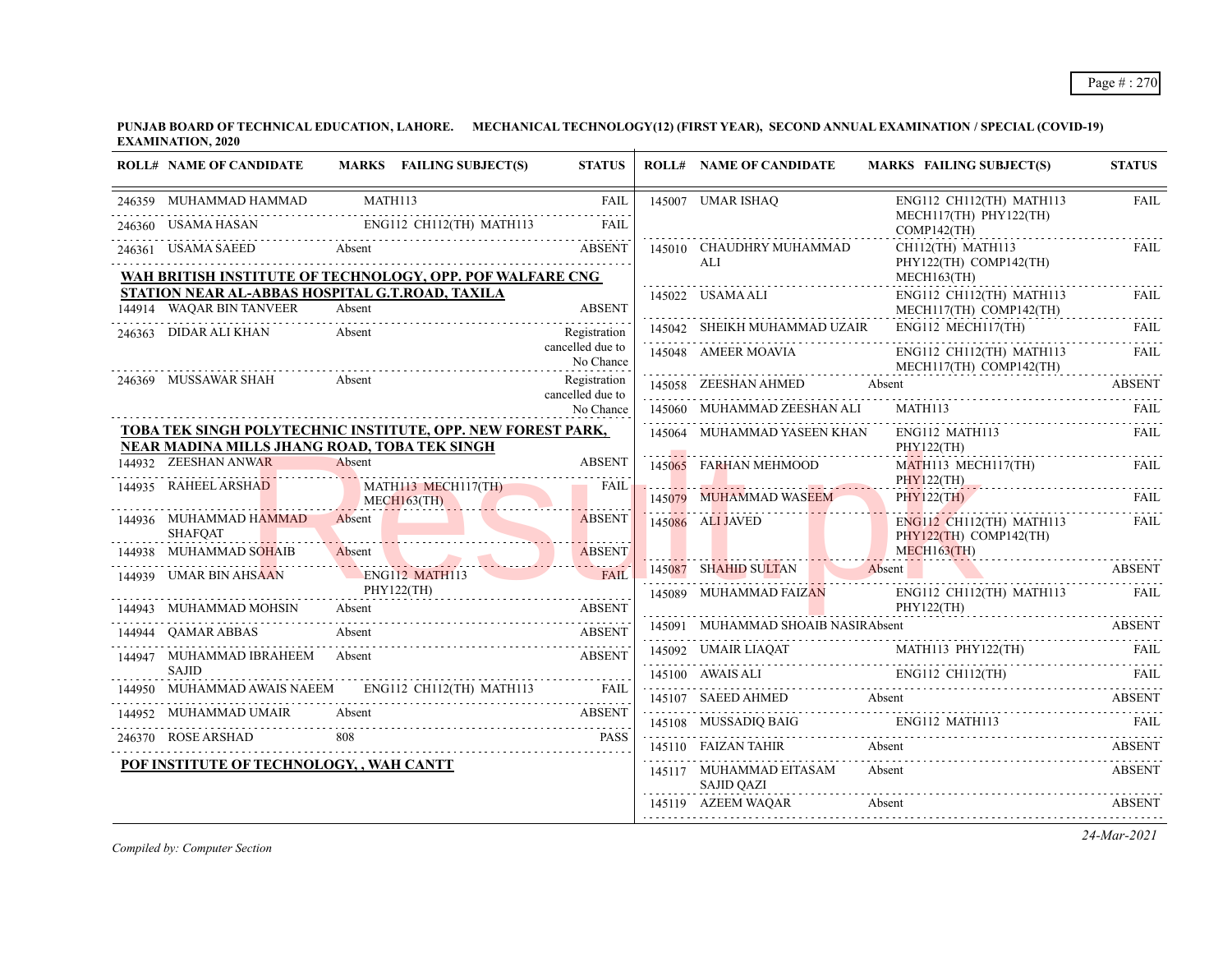| <b>ROLL# NAME OF CANDIDATE</b>                                                                              |         | MARKS FAILING SUBJECT(S)              | <b>STATUS</b>                    | <b>ROLL# NAME OF CANDIDATE</b>               | <b>MARKS FAILING SUBJECT(S)</b>                                                                                                                                                                                                                                                                                                                                                                                                                                | <b>STATUS</b> |
|-------------------------------------------------------------------------------------------------------------|---------|---------------------------------------|----------------------------------|----------------------------------------------|----------------------------------------------------------------------------------------------------------------------------------------------------------------------------------------------------------------------------------------------------------------------------------------------------------------------------------------------------------------------------------------------------------------------------------------------------------------|---------------|
| 246359 MUHAMMAD HAMMAD                                                                                      | MATH113 |                                       | FAIL                             | 145007 UMAR ISHAQ                            | ENG112 CH112(TH) MATH113<br>MECH117(TH) PHY122(TH)                                                                                                                                                                                                                                                                                                                                                                                                             | <b>FAIL</b>   |
| 246360 USAMA HASAN ENGI12 CH112(TH) MATH113 FAIL                                                            |         |                                       |                                  |                                              | $COMP142$ (TH)                                                                                                                                                                                                                                                                                                                                                                                                                                                 |               |
| 246361 USAMA SAEED Absent ABSENT                                                                            |         |                                       |                                  | 145010 CHAUDHRY MUHAMMAD<br>ALI.             | $CH112$ (TH) MATH113<br>PHY122(TH) COMP142(TH)                                                                                                                                                                                                                                                                                                                                                                                                                 | FAIL          |
| WAH BRITISH INSTITUTE OF TECHNOLOGY, OPP. POF WALFARE CNG                                                   |         |                                       |                                  |                                              | MECH163(TH)                                                                                                                                                                                                                                                                                                                                                                                                                                                    |               |
| STATION NEAR AL-ABBAS HOSPITAL G.T.ROAD, TAXILA<br>144914 WAQAR BIN TANVEER                                 | Absent  |                                       | <b>ABSENT</b>                    | 145022 USAMA ALI                             | $ENG112$ CH112(TH) MATH113<br>MECH117(TH) COMP142(TH)                                                                                                                                                                                                                                                                                                                                                                                                          | FAIL          |
| 246363 DIDAR ALI KHAN                                                                                       | Absent  |                                       | Registration                     | 145042 SHEIKH MUHAMMAD UZAIR                 | ENG112 MECH117(TH)                                                                                                                                                                                                                                                                                                                                                                                                                                             | FAIL          |
|                                                                                                             |         |                                       | cancelled due to<br>No Chance    | 145048 AMEER MOAVIA                          | ENG112 CH112(TH) MATH113<br>MECH117(TH) COMP142(TH)                                                                                                                                                                                                                                                                                                                                                                                                            | FAIL          |
| 246369 MUSSAWAR SHAH                                                                                        | Absent  |                                       | Registration<br>cancelled due to | 145058 ZEESHAN AHMED Absent                  |                                                                                                                                                                                                                                                                                                                                                                                                                                                                | <b>ABSENT</b> |
|                                                                                                             |         |                                       | No Chance                        | 145060 MUHAMMAD ZEESHAN ALI                  | MATH113                                                                                                                                                                                                                                                                                                                                                                                                                                                        |               |
| TOBA TEK SINGH POLYTECHNIC INSTITUTE, OPP. NEW FOREST PARK,<br>NEAR MADINA MILLS JHANG ROAD, TOBA TEK SINGH |         |                                       |                                  | 145064 MUHAMMAD YASEEN KHAN                  | ENG112 MATH113<br>PHY122(TH)                                                                                                                                                                                                                                                                                                                                                                                                                                   | <b>FAIL</b>   |
| 144932 ZEESHAN ANWAR                                                                                        | Absent  |                                       | <b>ABSENT</b>                    | 145065 FARHAN MEHMOOD                        | MATH113 MECH117(TH)                                                                                                                                                                                                                                                                                                                                                                                                                                            | FAIL          |
| 144935 RAHEEL ARSHAD                                                                                        |         | MATH113 MECH117(TH)<br>$MECH163$ (TH) | <b>FAIL</b>                      | 145079 MUHAMMAD WASEEM                       | PHY122(TH)<br><b>PHY122(TH)</b><br>PHY122(TH) FAIL                                                                                                                                                                                                                                                                                                                                                                                                             |               |
| 144936 MUHAMMAD HAMMAD<br><b>SHAFOAT</b>                                                                    |         | Absent <b>Absent</b>                  | <b>ABSENT</b>                    | 145086 ALI JAVED                             | ENG112 CH112(TH) MATH113<br>$PHY122(TH)$ COMP142(TH)                                                                                                                                                                                                                                                                                                                                                                                                           | FAIL          |
| 144938 MUHAMMAD SOHAIB<br>44938 MUHAMMAD SOHAIB Absent ABSENT                                               |         |                                       | <b>ABSENT</b>                    |                                              | $MECH163$ (TH)                                                                                                                                                                                                                                                                                                                                                                                                                                                 |               |
| 144939 UMAR BIN AHSAAN                                                                                      |         | ENG112 MATH113                        | FAIL                             |                                              | 145087 SHAHID SULTAN Absent ABSENT                                                                                                                                                                                                                                                                                                                                                                                                                             |               |
| 144943 MUHAMMAD MOHSIN                                                                                      |         | PHY122(TH)                            |                                  | 145089 MUHAMMAD FAIZAN                       | ENG112 CH112(TH) MATH113 FAIL                                                                                                                                                                                                                                                                                                                                                                                                                                  |               |
| UHAMMAD MOHSIN Absent ABSENT<br><b>OAMAR ABBAS</b>                                                          | Absent  |                                       | <b>ABSENT</b>                    |                                              | PHY122(TH)<br>145091 MUHAMMAD SHOAIB NASIRAbsent ABSENT                                                                                                                                                                                                                                                                                                                                                                                                        |               |
| 144947 MUHAMMAD IBRAHEEM Absent                                                                             |         |                                       | <b>ABSENT</b>                    |                                              |                                                                                                                                                                                                                                                                                                                                                                                                                                                                |               |
| <b>SAJID</b>                                                                                                |         |                                       |                                  |                                              | $\begin{tabular}{c c c c} \hline 145092 & UMAIR LIAQAT & MATH113 PHY122(TH) & FAIL \\ \hline \hline \end{tabular} \begin{tabular}{c} \hline \multicolumn{3}{c c c} \multicolumn{3}{c c} \multicolumn{3}{c} \multicolumn{3}{c} \multicolumn{3}{c} \multicolumn{3}{c} \multicolumn{3}{c} \multicolumn{3}{c} \multicolumn{3}{c} \multicolumn{3}{c} \multicolumn{3}{c} \multicolumn{3}{c} \multicolumn{3}{c} \multicolumn{3}{c} \multicolumn{3}{c} \multicolumn{3$ |               |
| 144950 MUHAMMAD AWAIS NAEEM ENGI12 CH112(TH) MATH113 FAIL                                                   |         |                                       |                                  |                                              | 145107 SAEED AHMED Absent ABSENT ABSENT                                                                                                                                                                                                                                                                                                                                                                                                                        |               |
| 144952 MUHAMMAD UMAIR                                                                                       |         |                                       |                                  |                                              | $145108 \quad \text{MUSSADIQ BAIG} \quad \text{ENGI12 MATH113} \quad \text{FAIL} \quad \text{FAIL}$                                                                                                                                                                                                                                                                                                                                                            |               |
| 246370 ROSE ARSHAD 808                                                                                      |         |                                       | <b>PASS</b>                      | 145110 FAIZAN TAHIR Absent                   |                                                                                                                                                                                                                                                                                                                                                                                                                                                                | ABSENT        |
| POF INSTITUTE OF TECHNOLOGY, , WAH CANTT                                                                    |         |                                       |                                  | 145117 MUHAMMAD EITASAM<br><b>SAJID QAZI</b> | Absent                                                                                                                                                                                                                                                                                                                                                                                                                                                         | <b>ABSENT</b> |
|                                                                                                             |         |                                       |                                  | 145119 AZEEM WAQAR Absent                    | 145119 AZEEM WAQAR Absent ABSENT ABSENT                                                                                                                                                                                                                                                                                                                                                                                                                        |               |

*Compiled by: Computer Section*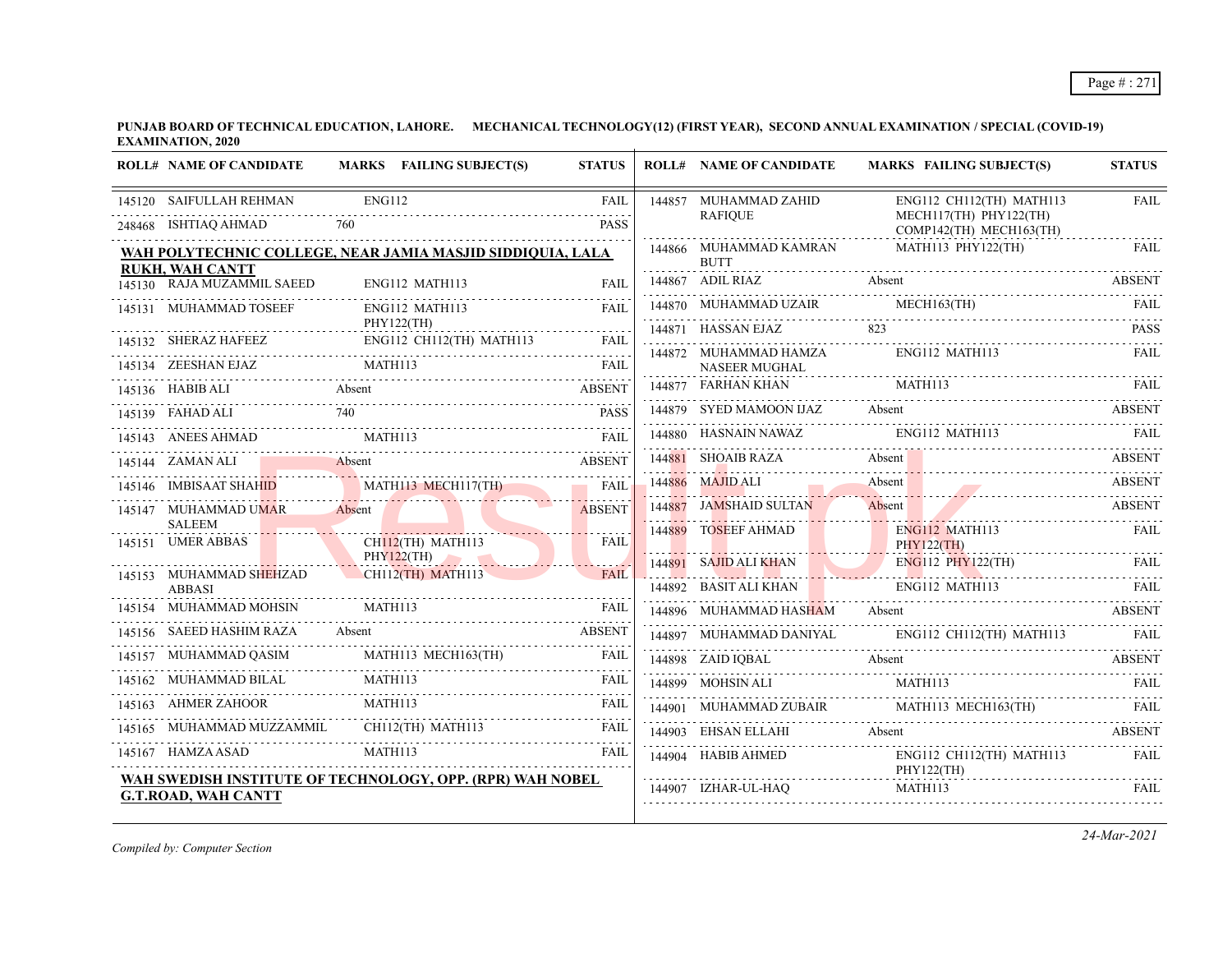| <b>ROLL# NAME OF CANDIDATE</b>                       | MARKS FAILING SUBJECT(S)                                      | <b>STATUS</b>                         | <b>ROLL# NAME OF CANDIDATE</b>                              | <b>MARKS FAILING SUBJECT(S)</b>                                                                                                                                                                                                | <b>STATUS</b> |
|------------------------------------------------------|---------------------------------------------------------------|---------------------------------------|-------------------------------------------------------------|--------------------------------------------------------------------------------------------------------------------------------------------------------------------------------------------------------------------------------|---------------|
| 145120 SAIFULLAH REHMAN                              | <b>ENG112</b>                                                 | <b>FAIL</b>                           | 144857 MUHAMMAD ZAHID                                       | ENG112 CH112(TH) MATH113                                                                                                                                                                                                       | <b>FAIL</b>   |
| 248468 ISHTIAQ AHMAD                                 | 760                                                           | <b>PASS</b>                           | <b>RAFIOUE</b>                                              | MECH117(TH) PHY122(TH)<br>COMP142(TH) MECH163(TH)                                                                                                                                                                              |               |
|                                                      | WAH POLYTECHNIC COLLEGE, NEAR JAMIA MASJID SIDDIQUIA, LALA    |                                       | 144866 MUHAMMAD KAMRAN<br><b>BUTT</b>                       | MATH113 PHY122(TH)                                                                                                                                                                                                             | FAIL          |
| <b>RUKH, WAH CANTT</b><br>145130 RAJA MUZAMMIL SAEED | ENG112 MATH113                                                | FAIL                                  | 144867 ADIL RIAZ                                            | 144867 ADIL RIAZ Absent ABSENT                                                                                                                                                                                                 |               |
| 145131 MUHAMMAD TOSEEF                               | ENG112 MATH113                                                | FAIL                                  |                                                             | THE THE MECHI SAIR MECHI MECHI SAIR FAIL FAIL FAIL PLACE AND THE MECHI SAIR MECHI SAIR MECHI SAIR MECHI SAIR MECHI SAIR MECHI SAIR MECHI SAIR MECHI SAIR MECHI SAIR MECHI SAIR MECHI SAIR MECHI SAIR MECHI SAIR MECHI SAIR MEC |               |
|                                                      | PHY122(TH)<br>ENG112 CH112(TH) MATH113                        |                                       | 144871 HASSAN EJAZ                                          | 823                                                                                                                                                                                                                            | <b>PASS</b>   |
| 145134 ZEESHAN EJAZ                                  | 145132 SHERAZ HAFEEZ ENG112 CH112(TH) MATH113 FAIL<br>MATH113 | <b>FAIL</b>                           | 144872 MUHAMMAD HAMZA<br>NASEER MUGHAL                      | ENG112 MATH113                                                                                                                                                                                                                 | FAII.         |
| 145136 HABIB ALI<br>Absent                           |                                                               | <b>ABSENT</b>                         | 144877 FARHAN KHAN                                          | MATH113                                                                                                                                                                                                                        | FAII.         |
| 145139 FAHAD ALI                                     | 740                                                           | <b>PASS</b>                           |                                                             | 144879 SYED MAMOON IJAZ Absent ABSENT                                                                                                                                                                                          |               |
| 145143 ANEES AHMAD                                   | MATH113                                                       | FAII                                  |                                                             | 144880 HASNAIN NAWAZ ENG112 MATH113 FAIL                                                                                                                                                                                       |               |
| 145144 ZAMAN ALI Absent                              |                                                               | <b>ABSENT</b>                         | 144881 SHOAIB RAZA Absent                                   |                                                                                                                                                                                                                                | <b>ABSENT</b> |
|                                                      | 145146 IMBISAAT SHAHID MATH113 MECH117(TH)                    | <b>FAIL</b>                           | 144886 MAJID ALI                                            | Absent<br>144886 MAJID ALI Absent ABSENT                                                                                                                                                                                       |               |
| 145147 MUHAMMAD UMAR<br><b>SALEEM</b>                | Absent /                                                      | <b>ABSENT</b>                         | 144887 JAMSHAID SULTAN                                      | Absent ABSENT                                                                                                                                                                                                                  |               |
| 145151 UMER ABBAS                                    | CH <mark>112</mark> (TH) MATH113                              | <b>FAIL</b>                           | 144889 TOSEEF AHMAD                                         | ENG112 MATH113<br><b>PHY122(TH)</b>                                                                                                                                                                                            | <b>FAIL</b>   |
|                                                      | PHY122(TH)<br>CH112(TH) MATH113                               |                                       |                                                             | 144891 SAJID ALI KHAN ENGI12 PHY122(TH) FAIL                                                                                                                                                                                   |               |
| 145153 MUHAMMAD SHEHZAD<br><b>ABBASI</b>             |                                                               | FAIL<br>the control of the control of |                                                             | 144892 BASITALI KHAN ENGI12 MATHI13 FAIL                                                                                                                                                                                       |               |
| 145154 MUHAMMAD MOHSIN                               | MATH113                                                       | <b>FAIL</b>                           | 144896 MUHAMMAD HASHAM Absent                               | <b>ABSENT</b>                                                                                                                                                                                                                  |               |
| 145156 SAEED HASHIM RAZA                             | Absent                                                        | <b>ABSENT</b>                         |                                                             | 144897 MUHAMMAD DANIYAL ENG112 CH112(TH) MATH113                                                                                                                                                                               |               |
|                                                      | 145157 MUHAMMAD QASIM MATH113 MECH163(TH)                     | FAIL                                  |                                                             | 144898 ZAID IQBAL Absent ABSENT                                                                                                                                                                                                |               |
| 145162 MUHAMMAD BILAL                                | MATH113                                                       | FAIL                                  |                                                             |                                                                                                                                                                                                                                | FAII.         |
| 145163 AHMER ZAHOOR                                  | MATH113                                                       | FAIL                                  |                                                             | 144901 MUHAMMAD ZUBAIR MATH113 MECH163(TH)                                                                                                                                                                                     |               |
| 145165 MUHAMMAD MUZZAMMIL                            | CH112(TH) MATH113                                             | FAIL                                  | 144903 EHSAN ELLAHI Absent                                  |                                                                                                                                                                                                                                | <b>ABSENT</b> |
| 145167 HAMZA ASAD                                    | MATH113                                                       | FAIL                                  | 144904 HABIB AHMED                                          | ENG112 CH112(TH) MATH113                                                                                                                                                                                                       | <b>FAIL</b>   |
| <b>G.T.ROAD, WAH CANTT</b>                           | WAH SWEDISH INSTITUTE OF TECHNOLOGY, OPP. (RPR) WAH NOBEL     |                                       | $PHY122(TH)$<br>144907 17HAR III HAO<br>144907 IZHAR-UL-HAQ | MATH113                                                                                                                                                                                                                        | FAIL          |

*Compiled by: Computer Section*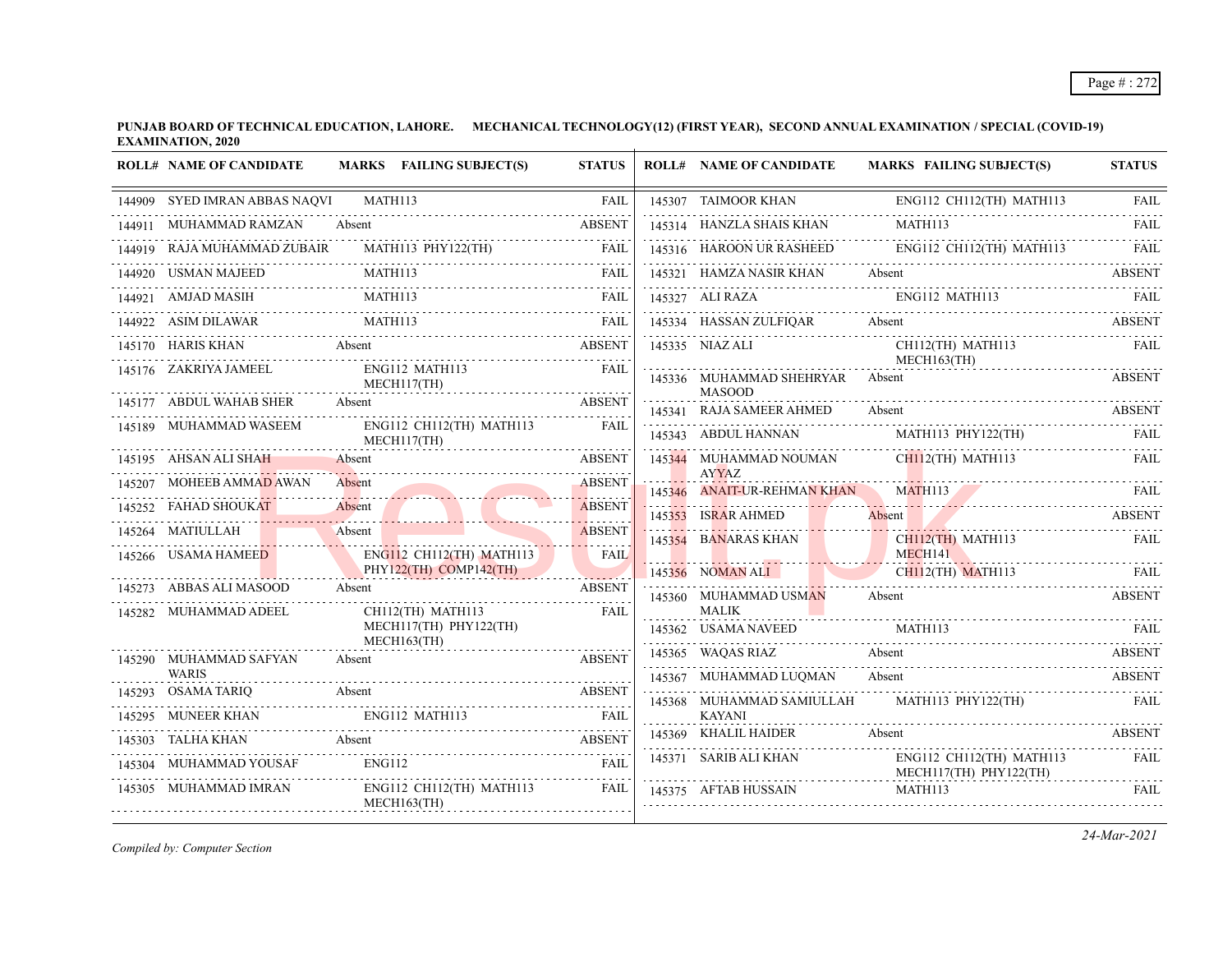|        | <b>ROLL# NAME OF CANDIDATE</b>               | MARKS FAILING SUBJECT(S)                        | <b>STATUS</b>      | <b>ROLL# NAME OF CANDIDATE</b>                   | <b>MARKS FAILING SUBJECT(S)</b>                    | <b>STATUS</b> |
|--------|----------------------------------------------|-------------------------------------------------|--------------------|--------------------------------------------------|----------------------------------------------------|---------------|
|        | 144909 SYED IMRAN ABBAS NAQVI                | MATH113                                         | <b>FAIL</b>        | 145307 TAIMOOR KHAN                              | ENG112 CH112(TH) MATH113                           | <b>FAIL</b>   |
|        | 144911 MUHAMMAD RAMZAN                       | Absent                                          | <b>ABSENT</b>      | 145314 HANZLA SHAIS KHAN                         | MATH113                                            | FAIL          |
|        | RAJA MUHAMMAD ZUBAIR                         | MATH113 PHY122(TH)                              | FAIL               | 145316 HAROON UR RASHEED                         | ENG112 CH112(TH) MATH113 FAIL                      |               |
|        | 144920 USMAN MAJEED                          | MATH <sub>113</sub>                             | FAIL               | 145321 HAMZA NASIR KHAN                          | Absent                                             | <b>ABSENT</b> |
|        | 144921 AMJAD MASIH                           | MATH113                                         | <b>FAIL</b>        | 145327 ALI RAZA                                  | ENG112 MATH113                                     | FAIL          |
|        |                                              | 144922 ASIM DILAWAR MATH113 FAIL                |                    |                                                  | 145334 HASSAN ZULFIQAR Absent ABSENT               |               |
|        | <b>Example 2</b> Absent<br>145170 HARIS KHAN |                                                 | ABSENT             | 145335 NIAZ ALI                                  | CH112(TH) MATH113<br>MECH163(TH)                   | <b>FAIL</b>   |
|        | 145176 ZAKRIYA JAMEEL                        | ENG112 MATH113<br>MECH117(TH)                   | <b>FAIL</b>        | 145336 MUHAMMAD SHEHRYAR Absent<br><b>MASOOD</b> |                                                    | <b>ABSENT</b> |
|        | 145177 ABDUL WAHAB SHER Absent               |                                                 | <b>ABSENT</b>      | 145341 RAJA SAMEER AHMED                         | Absent                                             | ABSENT        |
|        | 145189 MUHAMMAD WASEEM                       | ENG112 CH112(TH) MATH113<br>MECH117(TH)         | FAII.              | 145343 ABDUL HANNAN                              | MATH113 PHY122(TH)                                 | FAIL          |
|        | 145195 AHSAN ALI SHAH                        | Absent                                          | <b>ABSENT</b>      | 145344 MUHAMMAD NOUMAN                           | $CH112$ (TH) MATH113                               | FAIL          |
|        | MOHEEB AMMAD AWAN                            | Absent                                          | <b>ABSENT</b>      | <b>AYYAZ</b><br>145346 ANAIT-UR-REHMAN KHAN      | <b>MATH113</b>                                     | FAIL          |
|        | 145252 FAHAD SHOUKAT -                       | Absent /                                        | <b>ABSENT</b><br>. | 145353 ISRAR AHMED                               | Absent                                             | <b>ABSENT</b> |
|        | 145264 MATIULLAH                             | Absent                                          | <b>ABSENT</b>      | 145354 BANARAS KHAN                              | CH112(TH) MATH113                                  | FAIL          |
|        | 145266 USAMA HAMEED                          | ENG112 CH112(TH) MATH113                        | <b>FAIL</b>        |                                                  | MECH141                                            |               |
|        | 145273 ABBAS ALI MASOOD                      | PHY122(TH) COMP142(TH)<br>Absent                | .<br><b>ABSENT</b> | 145356 NOMAN ALI<br><b>The Common Service</b>    | CH112(TH) MATH113                                  | FAIL          |
|        | 145282 MUHAMMAD ADEEL                        | CH112(TH) MATH113                               | FAIL               | 145360 MUHAMMAD USMAN<br><b>MALIK</b>            | Absent                                             | <b>ABSENT</b> |
|        |                                              | MECH117(TH) PHY122(TH)<br>$MECH163$ (TH)        |                    | 145362 USAMA NAVEED                              | MATH113                                            |               |
|        | 145290 MUHAMMAD SAFYAN                       | Absent                                          | <b>ABSENT</b>      | 145365 WAQAS RIAZ                                | Absent                                             | <b>ABSENT</b> |
|        | <b>WARIS</b>                                 |                                                 |                    | 145367 MUHAMMAD LUOMAN                           | Absent                                             | ABSENT        |
|        | 145293 OSAMA TARIQ                           | Absent                                          | <b>ABSENT</b>      | 145368 MUHAMMAD SAMIULLAH                        | MATH113 PHY122(TH)                                 | FAIL          |
| 145295 | <b>MUNEER KHAN</b>                           | ENG112 MATH113                                  | <b>FAIL</b>        | <b>KAYANI</b><br>145369 KHALIL HAIDER            | Absent                                             | <b>ABSENT</b> |
| 145303 | TALHA KHAN                                   | Absent                                          | <b>ABSENT</b>      |                                                  |                                                    |               |
|        | 145304 MUHAMMAD YOUSAF                       | ENG112                                          | <b>FAIL</b>        | 145371 SARIB ALI KHAN                            | ENG112 CH112(TH) MATH113<br>MECH117(TH) PHY122(TH) | FAIL          |
|        | 145305 MUHAMMAD IMRAN                        | ENG112 CH112(TH) MATH113<br>$MECH163$ (TH)<br>. | FAIL               | 145375 AFTAB HUSSAIN                             | MATH113                                            | <b>FAIL</b>   |

*Compiled by: Computer Section*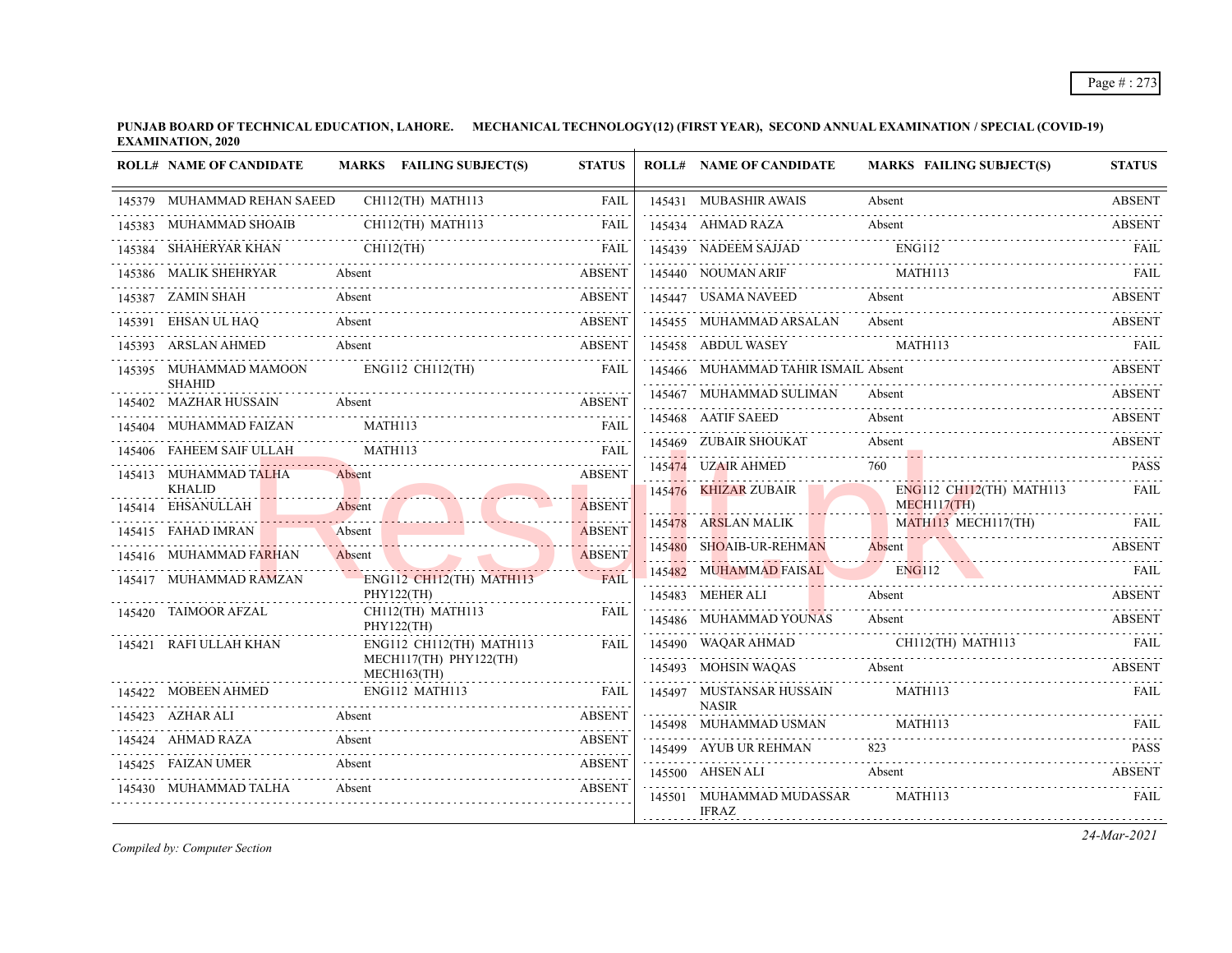| 145379 MUHAMMAD REHAN SAEED<br>CH112(TH) MATH113<br>145431 MUBASHIR AWAIS<br><b>FAIL</b><br>Absent<br>145383 MUHAMMAD SHOAIB<br>CH112(TH) MATH113<br>145434 AHMAD RAZA<br>Absent<br>FAIL<br>$CH112$ (TH)<br>145439 NADEEM SAIJAD ENGI12 FAIL FAIL<br>145384 SHAHERYAR KHAN<br><b>FAIL</b><br>MATH113<br>145386 MALIK SHEHRYAR Absent<br>145440 NOUMAN ARIF<br><b>ABSENT</b><br><b>ABSENT</b><br>145387 ZAMIN SHAH<br>Absent<br>145447 USAMA NAVEED<br>Absent<br>EHSAN UL HAQ<br>Absent<br><b>ABSENT</b><br>145455 MUHAMMAD ARSALAN<br>Absent<br>145391<br>MATH113<br>145393 ARSLAN AHMED<br><b>ABSENT</b><br>145458 ABDUL WASEY<br>Absent<br>ENG112 CH112(TH)<br>145466 MUHAMMAD TAHIR ISMAIL Absent<br>145395 MUHAMMAD MAMOON<br><b>FAIL</b><br><b>SHAHID</b><br>145467 MUHAMMAD SULIMAN<br>Absent<br><b>ABSENT</b><br>145402 MAZHAR HUSSAIN<br>Absent<br>145468 AATIF SAEED<br>Absent<br>MATH113<br>145404 MUHAMMAD FAIZAN<br><b>FAIL</b><br>145469 ZUBAIR SHOUKAT<br>Absent<br>MATH113<br>145406 FAHEEM SAIF ULLAH<br>FAIL<br>145474 UZAIR AHMED<br>760<br><b>ABSENT</b><br>145413 MUHAMMAD TALHA<br>Absent<br><b>KHALID</b><br>145476 KHIZAR ZUBAIR<br>ENG112 CH112(TH) MATH113<br>MECH117(TH)<br>145414 EHSANULLAH<br>Absent<br><b>ABSENT</b><br>MATH113 MECH117(TH)<br>145478 ARSLAN MALIK<br><b>Contract Contract Contract</b><br>145415 FAHAD IMRAN<br>Absent<br><b>ABSENT</b><br>145480 SHOAIB-UR-REHMAN<br>Absent<br>145416 MUHAMMAD FARHAN<br>Absent<br><b>ABSENT</b><br>145482 MUHAMMAD FAISAL<br>ENG112<br>145417 MUHAMMAD RAMZAN<br>ENG112 CH112(TH) MATH113<br><b>FAIL</b><br>PHY122(TH)<br>145483 MEHER ALI<br>Absent<br>145420 TAIMOOR AFZAL<br>CH112(TH) MATH113<br><b>FAIL</b><br>145486 MUHAMMAD YOUNAS<br>Absent<br>PHY122(TH)<br>145490 WAQAR AHMAD<br>CH112(TH) MATH113<br>ENG112 CH112(TH) MATH113<br>145421 RAFI ULLAH KHAN<br>FAII.<br>MECH117(TH) PHY122(TH)<br>145493 MOHSIN WAQAS Absent<br>MECH163(TH)<br>ENG112 MATH113<br>145422 MOBEEN AHMED<br>145497 MUSTANSAR HUSSAIN<br><b>FAIL</b><br>MATH113<br><b>NASIR</b><br><b>Example 18</b> Absent<br><b>ABSENT</b><br>145423 AZHAR ALI<br>MATH113<br>145498 MUHAMMAD USMAN<br>145424 AHMAD RAZA<br>Absent<br><b>ABSENT</b><br>145499 AYUB UR REHMAN<br>145425 FAIZAN UMER<br>Absent<br><b>ABSENT</b><br>145500 AHSEN ALI<br>Absent<br>Absent<br><b>ABSENT</b><br>145430 MUHAMMAD TALHA<br>145501 MUHAMMAD MUDASSAR<br>MATH113<br><b>IFRAZ</b> | <b>ROLL# NAME OF CANDIDATE</b> | MARKS FAILING SUBJECT(S) | <b>STATUS</b> | <b>ROLL# NAME OF CANDIDATE</b> | <b>MARKS FAILING SUBJECT(S)</b> | <b>STATUS</b> |
|-----------------------------------------------------------------------------------------------------------------------------------------------------------------------------------------------------------------------------------------------------------------------------------------------------------------------------------------------------------------------------------------------------------------------------------------------------------------------------------------------------------------------------------------------------------------------------------------------------------------------------------------------------------------------------------------------------------------------------------------------------------------------------------------------------------------------------------------------------------------------------------------------------------------------------------------------------------------------------------------------------------------------------------------------------------------------------------------------------------------------------------------------------------------------------------------------------------------------------------------------------------------------------------------------------------------------------------------------------------------------------------------------------------------------------------------------------------------------------------------------------------------------------------------------------------------------------------------------------------------------------------------------------------------------------------------------------------------------------------------------------------------------------------------------------------------------------------------------------------------------------------------------------------------------------------------------------------------------------------------------------------------------------------------------------------------------------------------------------------------------------------------------------------------------------------------------------------------------------------------------------------------------------------------------------------------------------------------------------------------------------------------------------------------------------|--------------------------------|--------------------------|---------------|--------------------------------|---------------------------------|---------------|
|                                                                                                                                                                                                                                                                                                                                                                                                                                                                                                                                                                                                                                                                                                                                                                                                                                                                                                                                                                                                                                                                                                                                                                                                                                                                                                                                                                                                                                                                                                                                                                                                                                                                                                                                                                                                                                                                                                                                                                                                                                                                                                                                                                                                                                                                                                                                                                                                                             |                                |                          |               |                                |                                 | <b>ABSENT</b> |
|                                                                                                                                                                                                                                                                                                                                                                                                                                                                                                                                                                                                                                                                                                                                                                                                                                                                                                                                                                                                                                                                                                                                                                                                                                                                                                                                                                                                                                                                                                                                                                                                                                                                                                                                                                                                                                                                                                                                                                                                                                                                                                                                                                                                                                                                                                                                                                                                                             |                                |                          |               |                                |                                 | <b>ABSENT</b> |
|                                                                                                                                                                                                                                                                                                                                                                                                                                                                                                                                                                                                                                                                                                                                                                                                                                                                                                                                                                                                                                                                                                                                                                                                                                                                                                                                                                                                                                                                                                                                                                                                                                                                                                                                                                                                                                                                                                                                                                                                                                                                                                                                                                                                                                                                                                                                                                                                                             |                                |                          |               |                                |                                 |               |
|                                                                                                                                                                                                                                                                                                                                                                                                                                                                                                                                                                                                                                                                                                                                                                                                                                                                                                                                                                                                                                                                                                                                                                                                                                                                                                                                                                                                                                                                                                                                                                                                                                                                                                                                                                                                                                                                                                                                                                                                                                                                                                                                                                                                                                                                                                                                                                                                                             |                                |                          |               |                                |                                 |               |
|                                                                                                                                                                                                                                                                                                                                                                                                                                                                                                                                                                                                                                                                                                                                                                                                                                                                                                                                                                                                                                                                                                                                                                                                                                                                                                                                                                                                                                                                                                                                                                                                                                                                                                                                                                                                                                                                                                                                                                                                                                                                                                                                                                                                                                                                                                                                                                                                                             |                                |                          |               |                                |                                 | <b>ABSENT</b> |
|                                                                                                                                                                                                                                                                                                                                                                                                                                                                                                                                                                                                                                                                                                                                                                                                                                                                                                                                                                                                                                                                                                                                                                                                                                                                                                                                                                                                                                                                                                                                                                                                                                                                                                                                                                                                                                                                                                                                                                                                                                                                                                                                                                                                                                                                                                                                                                                                                             |                                |                          |               |                                |                                 | <b>ABSENT</b> |
|                                                                                                                                                                                                                                                                                                                                                                                                                                                                                                                                                                                                                                                                                                                                                                                                                                                                                                                                                                                                                                                                                                                                                                                                                                                                                                                                                                                                                                                                                                                                                                                                                                                                                                                                                                                                                                                                                                                                                                                                                                                                                                                                                                                                                                                                                                                                                                                                                             |                                |                          |               |                                |                                 |               |
|                                                                                                                                                                                                                                                                                                                                                                                                                                                                                                                                                                                                                                                                                                                                                                                                                                                                                                                                                                                                                                                                                                                                                                                                                                                                                                                                                                                                                                                                                                                                                                                                                                                                                                                                                                                                                                                                                                                                                                                                                                                                                                                                                                                                                                                                                                                                                                                                                             |                                |                          |               |                                |                                 | <b>ABSENT</b> |
|                                                                                                                                                                                                                                                                                                                                                                                                                                                                                                                                                                                                                                                                                                                                                                                                                                                                                                                                                                                                                                                                                                                                                                                                                                                                                                                                                                                                                                                                                                                                                                                                                                                                                                                                                                                                                                                                                                                                                                                                                                                                                                                                                                                                                                                                                                                                                                                                                             |                                |                          |               |                                |                                 | <b>ABSENT</b> |
|                                                                                                                                                                                                                                                                                                                                                                                                                                                                                                                                                                                                                                                                                                                                                                                                                                                                                                                                                                                                                                                                                                                                                                                                                                                                                                                                                                                                                                                                                                                                                                                                                                                                                                                                                                                                                                                                                                                                                                                                                                                                                                                                                                                                                                                                                                                                                                                                                             |                                |                          |               |                                |                                 | ABSENT        |
|                                                                                                                                                                                                                                                                                                                                                                                                                                                                                                                                                                                                                                                                                                                                                                                                                                                                                                                                                                                                                                                                                                                                                                                                                                                                                                                                                                                                                                                                                                                                                                                                                                                                                                                                                                                                                                                                                                                                                                                                                                                                                                                                                                                                                                                                                                                                                                                                                             |                                |                          |               |                                |                                 | <b>ABSENT</b> |
|                                                                                                                                                                                                                                                                                                                                                                                                                                                                                                                                                                                                                                                                                                                                                                                                                                                                                                                                                                                                                                                                                                                                                                                                                                                                                                                                                                                                                                                                                                                                                                                                                                                                                                                                                                                                                                                                                                                                                                                                                                                                                                                                                                                                                                                                                                                                                                                                                             |                                |                          |               |                                |                                 | <b>PASS</b>   |
|                                                                                                                                                                                                                                                                                                                                                                                                                                                                                                                                                                                                                                                                                                                                                                                                                                                                                                                                                                                                                                                                                                                                                                                                                                                                                                                                                                                                                                                                                                                                                                                                                                                                                                                                                                                                                                                                                                                                                                                                                                                                                                                                                                                                                                                                                                                                                                                                                             |                                |                          |               |                                |                                 | <b>FAIL</b>   |
|                                                                                                                                                                                                                                                                                                                                                                                                                                                                                                                                                                                                                                                                                                                                                                                                                                                                                                                                                                                                                                                                                                                                                                                                                                                                                                                                                                                                                                                                                                                                                                                                                                                                                                                                                                                                                                                                                                                                                                                                                                                                                                                                                                                                                                                                                                                                                                                                                             |                                |                          |               |                                |                                 | FAIL          |
|                                                                                                                                                                                                                                                                                                                                                                                                                                                                                                                                                                                                                                                                                                                                                                                                                                                                                                                                                                                                                                                                                                                                                                                                                                                                                                                                                                                                                                                                                                                                                                                                                                                                                                                                                                                                                                                                                                                                                                                                                                                                                                                                                                                                                                                                                                                                                                                                                             |                                |                          |               |                                |                                 | <b>ABSENT</b> |
|                                                                                                                                                                                                                                                                                                                                                                                                                                                                                                                                                                                                                                                                                                                                                                                                                                                                                                                                                                                                                                                                                                                                                                                                                                                                                                                                                                                                                                                                                                                                                                                                                                                                                                                                                                                                                                                                                                                                                                                                                                                                                                                                                                                                                                                                                                                                                                                                                             |                                |                          |               |                                |                                 | <b>FAIL</b>   |
|                                                                                                                                                                                                                                                                                                                                                                                                                                                                                                                                                                                                                                                                                                                                                                                                                                                                                                                                                                                                                                                                                                                                                                                                                                                                                                                                                                                                                                                                                                                                                                                                                                                                                                                                                                                                                                                                                                                                                                                                                                                                                                                                                                                                                                                                                                                                                                                                                             |                                |                          |               |                                |                                 | <b>ABSENT</b> |
|                                                                                                                                                                                                                                                                                                                                                                                                                                                                                                                                                                                                                                                                                                                                                                                                                                                                                                                                                                                                                                                                                                                                                                                                                                                                                                                                                                                                                                                                                                                                                                                                                                                                                                                                                                                                                                                                                                                                                                                                                                                                                                                                                                                                                                                                                                                                                                                                                             |                                |                          |               |                                |                                 | ABSENT        |
|                                                                                                                                                                                                                                                                                                                                                                                                                                                                                                                                                                                                                                                                                                                                                                                                                                                                                                                                                                                                                                                                                                                                                                                                                                                                                                                                                                                                                                                                                                                                                                                                                                                                                                                                                                                                                                                                                                                                                                                                                                                                                                                                                                                                                                                                                                                                                                                                                             |                                |                          |               |                                |                                 | FAIL          |
|                                                                                                                                                                                                                                                                                                                                                                                                                                                                                                                                                                                                                                                                                                                                                                                                                                                                                                                                                                                                                                                                                                                                                                                                                                                                                                                                                                                                                                                                                                                                                                                                                                                                                                                                                                                                                                                                                                                                                                                                                                                                                                                                                                                                                                                                                                                                                                                                                             |                                |                          |               |                                |                                 | <b>ABSENT</b> |
|                                                                                                                                                                                                                                                                                                                                                                                                                                                                                                                                                                                                                                                                                                                                                                                                                                                                                                                                                                                                                                                                                                                                                                                                                                                                                                                                                                                                                                                                                                                                                                                                                                                                                                                                                                                                                                                                                                                                                                                                                                                                                                                                                                                                                                                                                                                                                                                                                             |                                |                          |               |                                |                                 | <b>FAIL</b>   |
|                                                                                                                                                                                                                                                                                                                                                                                                                                                                                                                                                                                                                                                                                                                                                                                                                                                                                                                                                                                                                                                                                                                                                                                                                                                                                                                                                                                                                                                                                                                                                                                                                                                                                                                                                                                                                                                                                                                                                                                                                                                                                                                                                                                                                                                                                                                                                                                                                             |                                |                          |               |                                |                                 | FAIL          |
|                                                                                                                                                                                                                                                                                                                                                                                                                                                                                                                                                                                                                                                                                                                                                                                                                                                                                                                                                                                                                                                                                                                                                                                                                                                                                                                                                                                                                                                                                                                                                                                                                                                                                                                                                                                                                                                                                                                                                                                                                                                                                                                                                                                                                                                                                                                                                                                                                             |                                |                          |               |                                |                                 | <b>PASS</b>   |
|                                                                                                                                                                                                                                                                                                                                                                                                                                                                                                                                                                                                                                                                                                                                                                                                                                                                                                                                                                                                                                                                                                                                                                                                                                                                                                                                                                                                                                                                                                                                                                                                                                                                                                                                                                                                                                                                                                                                                                                                                                                                                                                                                                                                                                                                                                                                                                                                                             |                                |                          |               |                                |                                 | <b>ABSENT</b> |
|                                                                                                                                                                                                                                                                                                                                                                                                                                                                                                                                                                                                                                                                                                                                                                                                                                                                                                                                                                                                                                                                                                                                                                                                                                                                                                                                                                                                                                                                                                                                                                                                                                                                                                                                                                                                                                                                                                                                                                                                                                                                                                                                                                                                                                                                                                                                                                                                                             |                                |                          |               |                                |                                 | <b>FAIL</b>   |
|                                                                                                                                                                                                                                                                                                                                                                                                                                                                                                                                                                                                                                                                                                                                                                                                                                                                                                                                                                                                                                                                                                                                                                                                                                                                                                                                                                                                                                                                                                                                                                                                                                                                                                                                                                                                                                                                                                                                                                                                                                                                                                                                                                                                                                                                                                                                                                                                                             |                                |                          |               |                                |                                 |               |

*Compiled by: Computer Section*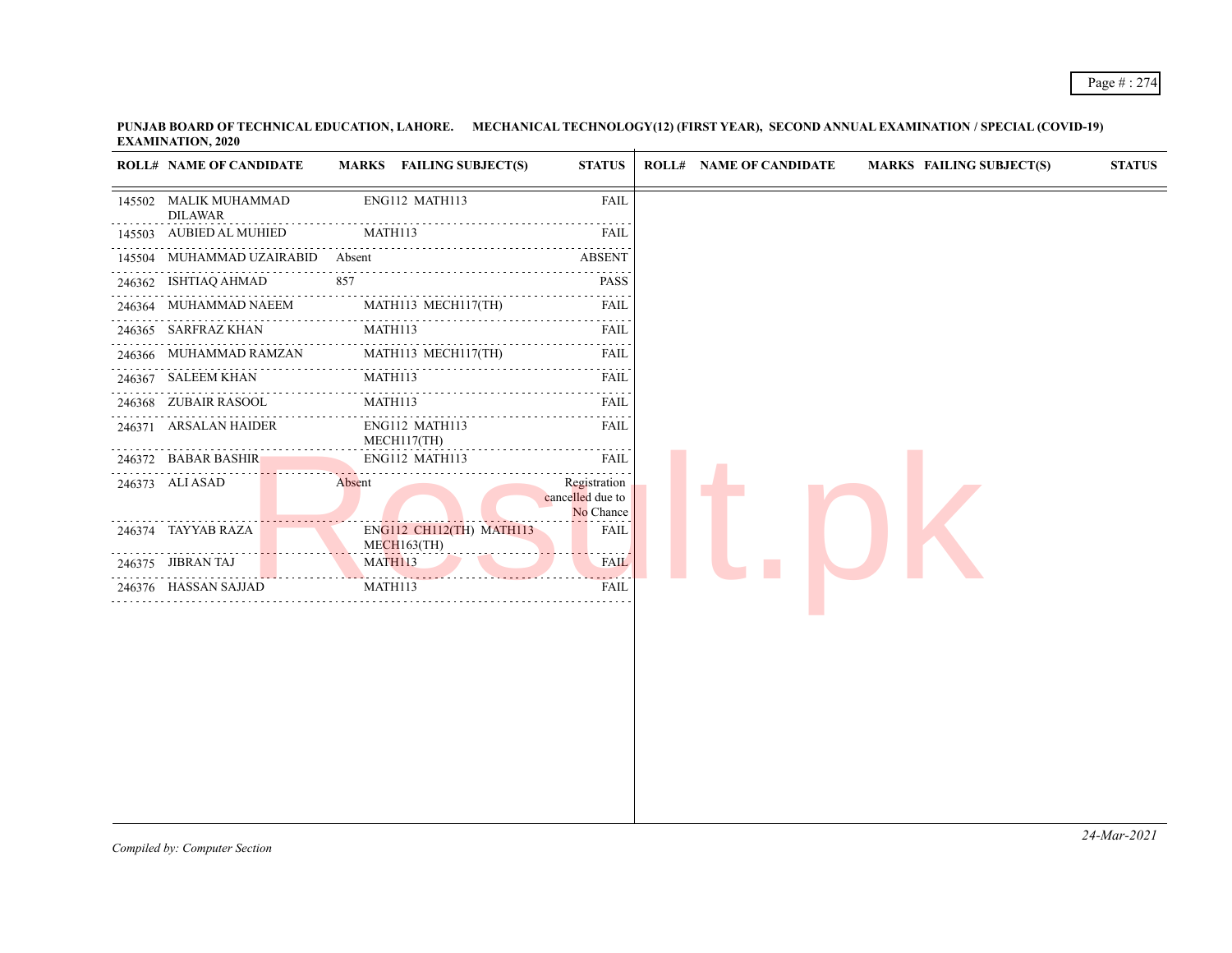| ENG112 MATH113<br><b>FAIL</b><br>145502 MALIK MUHAMMAD<br><b>DILAWAR</b><br>145503 AUBIED AL MUHIED<br>MATH113<br><b>FAIL</b><br>145504 MUHAMMAD UZAIRABID<br><b>ABSENT</b><br>Absent<br>2.2.2.2<br>246362 ISHTIAQ AHMAD<br>857<br><b>PASS</b><br>246364 MUHAMMAD NAEEM<br>MATH113 MECH117(TH)<br>FAIL<br>246365 SARFRAZ KHAN<br>MATH113<br>FAIL<br>MATH113 MECH117(TH)<br>246366 MUHAMMAD RAMZAN<br>FAIL<br>$\sim 100$ km s $^{-1}$<br>MATH113<br>246367 SALEEM KHAN<br>FAIL<br>.<br>.<br>MATH113<br>246368 ZUBAIR RASOOL<br>FAIL<br>246371 ARSALAN HAIDER<br>ENG112 MATH113<br><b>FAIL</b><br>MECH117(TH)<br>ENG112 MATH113<br>246372 BABAR BASHIR<br><b>FAIL</b><br>Registration<br>246373 ALI ASAD<br>Absent<br>cancelled due to<br>No Chance<br>ENG112 CH112(TH) MATH113<br>246374 TAYYAB RAZA<br><b>FAIL</b><br>$MECH163$ (TH)<br>MATH113<br><b>FAIL</b><br>246375 JIBRAN TAJ<br>246376 HASSAN SAJJAD<br>MATH113<br>FAIL |  | <b>ROLL# NAME OF CANDIDATE</b> | MARKS FAILING SUBJECT(S) | <b>STATUS</b> | <b>ROLL# NAME OF CANDIDATE</b> | <b>MARKS FAILING SUBJECT(S)</b> | <b>STATUS</b> |
|--------------------------------------------------------------------------------------------------------------------------------------------------------------------------------------------------------------------------------------------------------------------------------------------------------------------------------------------------------------------------------------------------------------------------------------------------------------------------------------------------------------------------------------------------------------------------------------------------------------------------------------------------------------------------------------------------------------------------------------------------------------------------------------------------------------------------------------------------------------------------------------------------------------------------------|--|--------------------------------|--------------------------|---------------|--------------------------------|---------------------------------|---------------|
|                                                                                                                                                                                                                                                                                                                                                                                                                                                                                                                                                                                                                                                                                                                                                                                                                                                                                                                                |  |                                |                          |               |                                |                                 |               |
|                                                                                                                                                                                                                                                                                                                                                                                                                                                                                                                                                                                                                                                                                                                                                                                                                                                                                                                                |  |                                |                          |               |                                |                                 |               |
|                                                                                                                                                                                                                                                                                                                                                                                                                                                                                                                                                                                                                                                                                                                                                                                                                                                                                                                                |  |                                |                          |               |                                |                                 |               |
|                                                                                                                                                                                                                                                                                                                                                                                                                                                                                                                                                                                                                                                                                                                                                                                                                                                                                                                                |  |                                |                          |               |                                |                                 |               |
|                                                                                                                                                                                                                                                                                                                                                                                                                                                                                                                                                                                                                                                                                                                                                                                                                                                                                                                                |  |                                |                          |               |                                |                                 |               |
|                                                                                                                                                                                                                                                                                                                                                                                                                                                                                                                                                                                                                                                                                                                                                                                                                                                                                                                                |  |                                |                          |               |                                |                                 |               |
|                                                                                                                                                                                                                                                                                                                                                                                                                                                                                                                                                                                                                                                                                                                                                                                                                                                                                                                                |  |                                |                          |               |                                |                                 |               |
|                                                                                                                                                                                                                                                                                                                                                                                                                                                                                                                                                                                                                                                                                                                                                                                                                                                                                                                                |  |                                |                          |               |                                |                                 |               |
|                                                                                                                                                                                                                                                                                                                                                                                                                                                                                                                                                                                                                                                                                                                                                                                                                                                                                                                                |  |                                |                          |               |                                |                                 |               |
|                                                                                                                                                                                                                                                                                                                                                                                                                                                                                                                                                                                                                                                                                                                                                                                                                                                                                                                                |  |                                |                          |               |                                |                                 |               |
|                                                                                                                                                                                                                                                                                                                                                                                                                                                                                                                                                                                                                                                                                                                                                                                                                                                                                                                                |  |                                |                          |               |                                |                                 |               |
|                                                                                                                                                                                                                                                                                                                                                                                                                                                                                                                                                                                                                                                                                                                                                                                                                                                                                                                                |  |                                |                          |               |                                |                                 |               |
|                                                                                                                                                                                                                                                                                                                                                                                                                                                                                                                                                                                                                                                                                                                                                                                                                                                                                                                                |  |                                |                          |               |                                |                                 |               |
|                                                                                                                                                                                                                                                                                                                                                                                                                                                                                                                                                                                                                                                                                                                                                                                                                                                                                                                                |  |                                |                          |               |                                |                                 |               |
|                                                                                                                                                                                                                                                                                                                                                                                                                                                                                                                                                                                                                                                                                                                                                                                                                                                                                                                                |  |                                |                          |               |                                |                                 |               |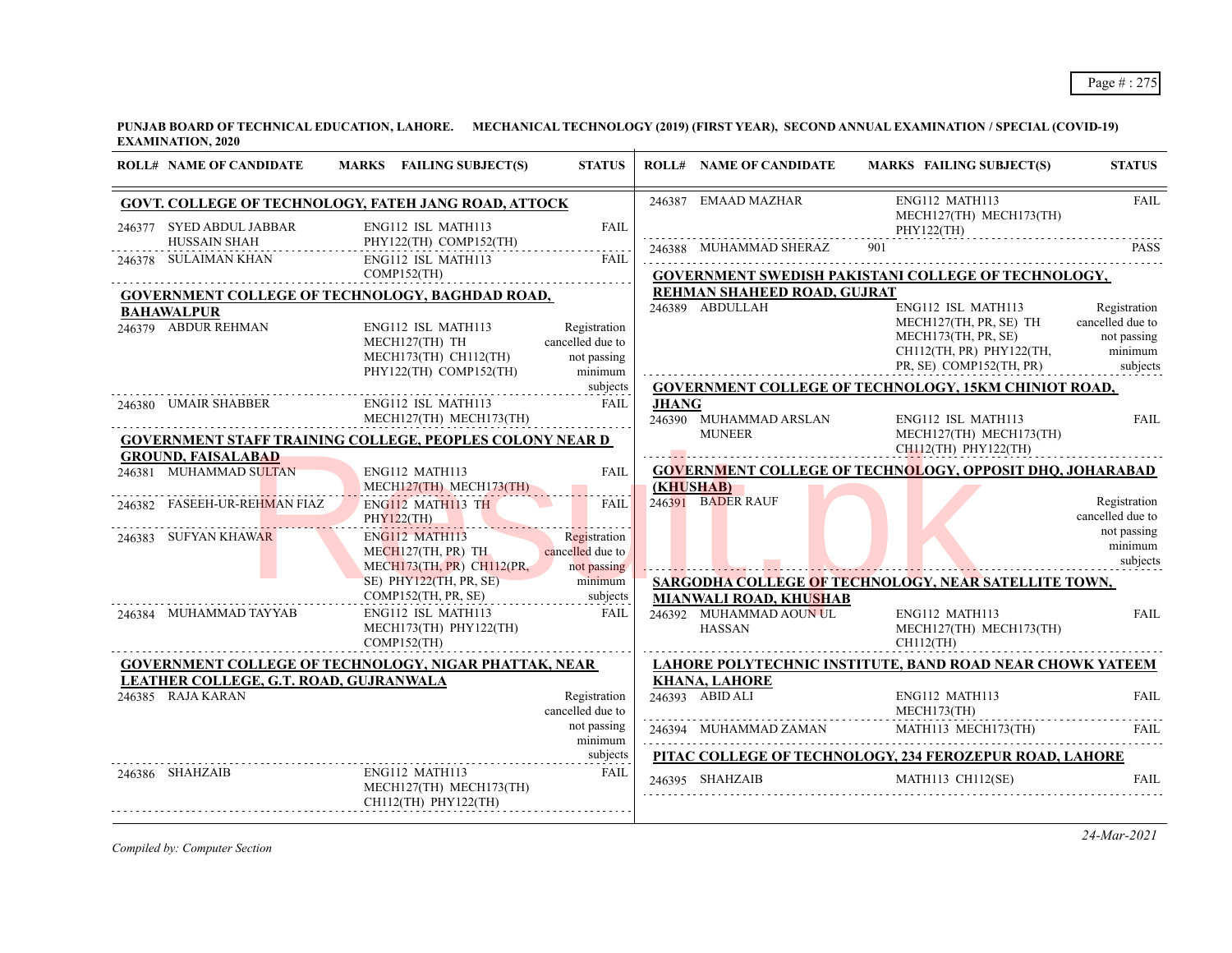| ENG112 MATH113<br>246387 EMAAD MAZHAR<br><b>FAIL</b><br>MECH127(TH) MECH173(TH)  |
|----------------------------------------------------------------------------------|
| PHY122(TH)                                                                       |
| 246388 MUHAMMAD SHERAZ<br>901<br><b>PASS</b>                                     |
| <b>GOVERNMENT SWEDISH PAKISTANI COLLEGE OF TECHNOLOGY,</b>                       |
| REHMAN SHAHEED ROAD, GUJRAT                                                      |
| ENG112 ISL MATH113<br>Registration                                               |
| cancelled due to<br>MECH127(TH, PR, SE) TH<br>MECH173(TH, PR, SE)<br>not passing |
| minimum<br>CH112(TH, PR) PHY122(TH,                                              |
| subjects<br>PR, SE) COMP152(TH, PR)                                              |
| <b>GOVERNMENT COLLEGE OF TECHNOLOGY, 15KM CHINIOT ROAD,</b>                      |
|                                                                                  |
| 246390 MUHAMMAD ARSLAN<br>MUNEER<br>ENG112 ISL MATH113<br><b>FAIL</b>            |
| MECH127(TH) MECH173(TH)                                                          |
| $CH112(TH)$ PHY122(TH)                                                           |
| <b>GOVERNMENT COLLEGE OF TECHNOLOGY, OPPOSIT DHQ, JOHARABAD</b>                  |
| 246391 BADER RAUF<br>Registration                                                |
| cancelled due to                                                                 |
| not passing                                                                      |
| minimum<br>subjects                                                              |
|                                                                                  |
| SARGODHA COLLEGE OF TECHNOLOGY, NEAR SATELLITE TOWN,                             |
| <b>MIANWALI ROAD, KHUSHAB</b><br>ENG112 MATH113<br><b>FAIL</b>                   |
| 246392 MUHAMMAD AOUN UL<br>MECH127(TH) MECH173(TH)                               |
| $CH112$ (TH)                                                                     |
| LAHORE POLYTECHNIC INSTITUTE, BAND ROAD NEAR CHOWK YATEEM                        |
| <b>KHANA, LAHORE</b>                                                             |
| 246393 ABID ALI<br>FAII.<br>ENG112 MATH113<br>MECH173(TH)                        |
| 246394 MUHAMMAD ZAMAN MATH113 MECH173(TH)<br><b>FAIL</b>                         |
| PITAC COLLEGE OF TECHNOLOGY, 234 FEROZEPUR ROAD, LAHORE                          |
| MATH113 CH112(SE)<br><b>FAIL</b>                                                 |
| 246389 ABDULLAH                                                                  |

*Compiled by: Computer Section*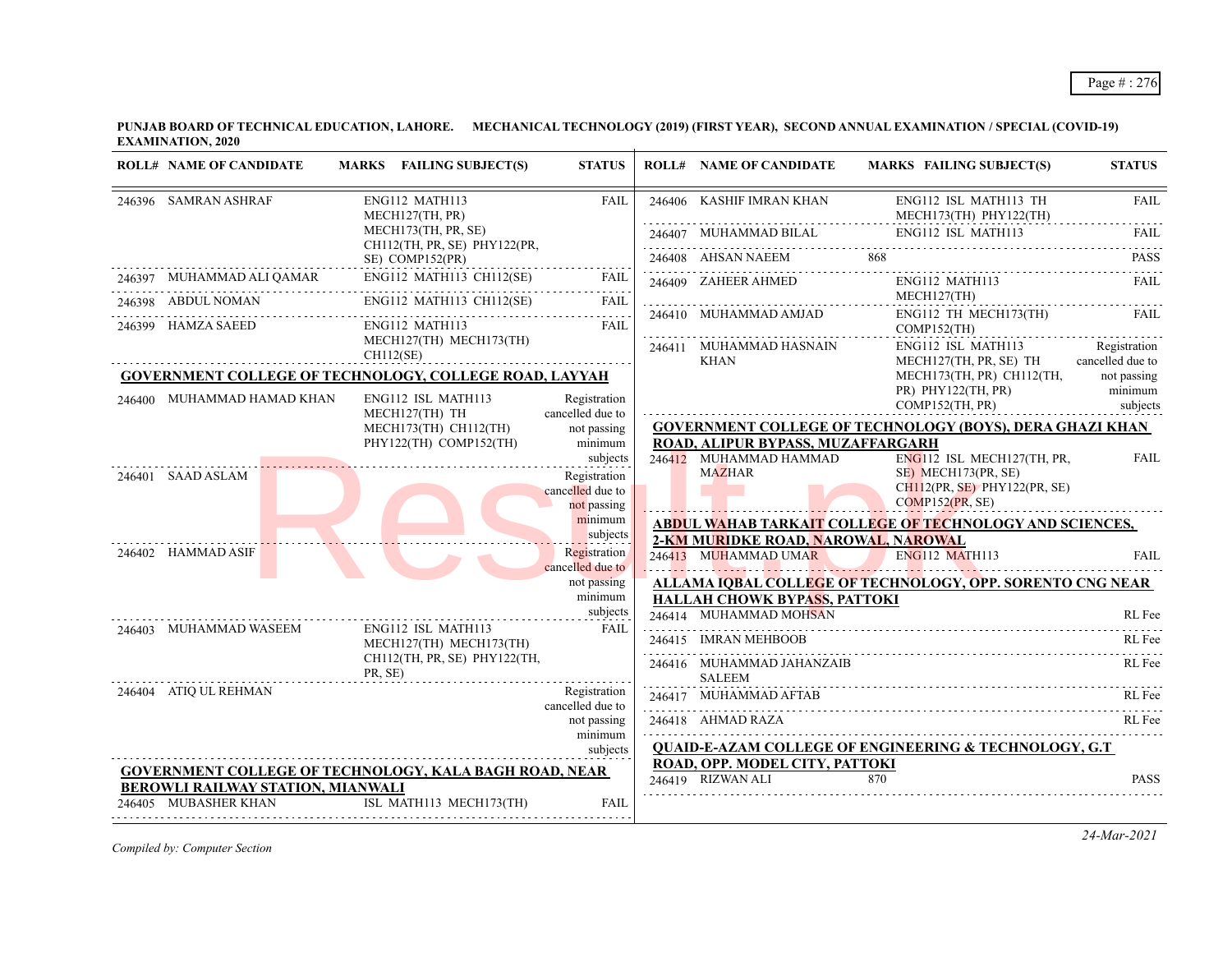| <b>ROLL# NAME OF CANDIDATE</b>    | MARKS FAILING SUBJECT(S)                                      | <b>STATUS</b>                    | <b>ROLL# NAME OF CANDIDATE</b>         | MARKS FAILING SUBJECT(S)                                          | <b>STATUS</b>                    |
|-----------------------------------|---------------------------------------------------------------|----------------------------------|----------------------------------------|-------------------------------------------------------------------|----------------------------------|
| 246396 SAMRAN ASHRAF              | ENG112 MATH113<br>MECH127(TH, PR)                             | <b>FAIL</b>                      | 246406 KASHIF IMRAN KHAN               | ENG112 ISL MATH113 TH<br>MECH173(TH) PHY122(TH)                   | <b>FAIL</b>                      |
|                                   | MECH173(TH, PR, SE)<br>CH112(TH, PR, SE) PHY122(PR,           |                                  | 246407 MUHAMMAD BILAL                  | ENG112 ISL MATH113                                                | FAII.                            |
|                                   | SE) COMP152(PR)                                               |                                  | 246408 AHSAN NAEEM                     | 868                                                               | <b>PASS</b>                      |
|                                   | ENG112 MATH113 CH112(SE)                                      | <b>FAIL</b>                      | 246409 ZAHEER AHMED                    | ENG112 MATH113                                                    | FAIL                             |
| 246398 ABDUL NOMAN                | ENG112 MATH113 CH112(SE)                                      | FAIL                             | 246410 MUHAMMAD AMJAD                  | MECH127(TH)<br>ENG112 TH MECH173(TH)                              | FAII.                            |
| 246399 HAMZA SAEED                | ENG112 MATH113                                                | <b>FAIL</b>                      |                                        | $COMP152$ (TH)                                                    |                                  |
|                                   | MECH127(TH) MECH173(TH)<br>CH112(SE)                          |                                  | 246411 MUHAMMAD HASNAIN<br>KHAN        | ENG112 ISL MATH113<br>MECH127(TH, PR, SE) TH                      | Registration<br>cancelled due to |
|                                   | <b>GOVERNMENT COLLEGE OF TECHNOLOGY, COLLEGE ROAD, LAYYAH</b> |                                  |                                        | MECH173(TH, PR) CH112(TH,                                         | not passing                      |
| 246400 MUHAMMAD HAMAD KHAN        | ENG112 ISL MATH113                                            | Registration                     |                                        | $PR)$ PHY122(TH, PR)<br>COMP152(TH, PR)                           | minimum<br>subjects              |
|                                   | MECH127(TH) TH<br>MECH173(TH) CH112(TH)                       | cancelled due to<br>not passing  |                                        | <b>GOVERNMENT COLLEGE OF TECHNOLOGY (BOYS), DERA GHAZI KHAN</b>   |                                  |
|                                   | PHY122(TH) COMP152(TH)                                        | minimum                          | ROAD, ALIPUR BYPASS, MUZAFFARGARH      |                                                                   |                                  |
|                                   |                                                               | subjects                         | 246412 MUHAMMAD HAMMAD                 | ENG112 ISL MECH127(TH, PR,                                        | <b>FAIL</b>                      |
| 246401 SAAD ASLAM                 |                                                               | Registration                     | <b>MAZHAR</b>                          | SE) MECH173(PR, SE)                                               |                                  |
|                                   |                                                               | cancelled due to<br>not passing  |                                        | $CH112(PR, SE)$ PHY122(PR, SE)<br>COMP152(PR, SE)                 |                                  |
|                                   |                                                               | minimum                          |                                        | ABDUL WAHAB TARKAIT COLLEGE OF TECHNOLOGY AND SCIENCES,           |                                  |
|                                   |                                                               | subjects                         | 2-KM MURIDKE ROAD, NAROWAL, NAROWAL    |                                                                   |                                  |
| 246402 HAMMAD ASIF                |                                                               | Registration<br>cancelled due to | 246413 MUHAMMAD UMAR                   | <b>ENG112 MATH113</b>                                             | FAII.                            |
|                                   |                                                               | not passing                      |                                        | ALLAMA IOBAL COLLEGE OF TECHNOLOGY, OPP. SORENTO CNG NEAR         |                                  |
|                                   |                                                               | minimum<br>subjects              | <b>HALLAH CHOWK BYPASS, PATTOKI</b>    |                                                                   |                                  |
| 246403 MUHAMMAD WASEEM            | ENG112 ISL MATH113                                            | FAIL                             | 246414 MUHAMMAD MOHSAN                 |                                                                   | RL Fee                           |
|                                   | MECH127(TH) MECH173(TH)                                       |                                  | 246415 IMRAN MEHBOOB                   |                                                                   | RL Fee                           |
|                                   | CH112(TH, PR, SE) PHY122(TH,<br>PR, SE)                       |                                  | 246416 MUHAMMAD JAHANZAIB              |                                                                   | RL Fee                           |
| 246404 ATIO UL REHMAN             |                                                               | Registration                     | <b>SALEEM</b><br>246417 MUHAMMAD AFTAB |                                                                   | RL Fee                           |
|                                   |                                                               | cancelled due to                 |                                        |                                                                   |                                  |
|                                   |                                                               | not passing<br>minimum           | 246418 AHMAD RAZA                      |                                                                   | RL Fee                           |
|                                   |                                                               | subjects                         |                                        | <b>QUAID-E-AZAM COLLEGE OF ENGINEERING &amp; TECHNOLOGY, G.T.</b> |                                  |
|                                   | <b>GOVERNMENT COLLEGE OF TECHNOLOGY, KALA BAGH ROAD, NEAR</b> |                                  | ROAD, OPP. MODEL CITY, PATTOKI         |                                                                   |                                  |
| BEROWLI RAILWAY STATION, MIANWALI |                                                               |                                  | 246419 RIZWAN ALI                      | 870                                                               | <b>PASS</b>                      |
| 246405 MUBASHER KHAN              | ISL MATH113 MECH173(TH)                                       | <b>FAIL</b>                      |                                        |                                                                   |                                  |

*Compiled by: Computer Section*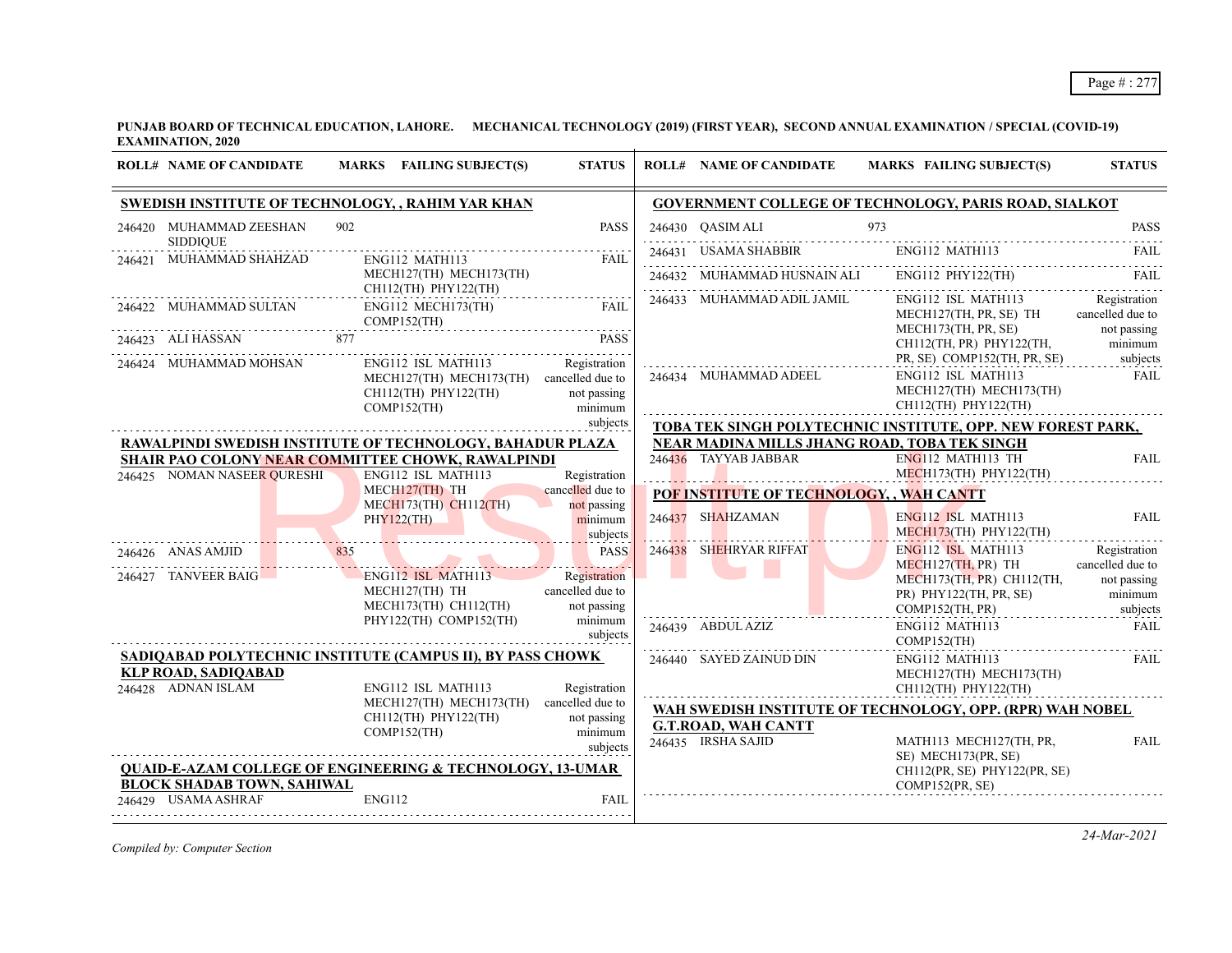| <b>SWEDISH INSTITUTE OF TECHNOLOGY, , RAHIM YAR KHAN</b><br>GOVERNMENT COLLEGE OF TECHNOLOGY, PARIS ROAD, SIALKOT<br>902<br>973<br>246420 MUHAMMAD ZEESHAN<br><b>PASS</b><br>246430 OASIM ALI<br><b>SIDDIQUE</b><br>ENG112 MATH113<br>246431 USAMA SHABBIR<br>ENG112 MATH113<br>MUHAMMAD SHAHZAD<br><b>FAIL</b><br>246421<br>$\begin{tabular}{lllll} \multicolumn{2}{l}{{\textbf{246432}}}&MUHAMMAD HUSNAIN ALL & ENG112 PHY122(TH) & FAIL \\ \multicolumn{2}{l}{\textbf{246432}}&MUMAMMD HUSNAIN ALL & ENG112 PHY122(TH) & & FAIL \\ \multicolumn{2}{l}{\textbf{246432}}&MUMAMMD HUSNAIN ALL & & & ENG112 PHY122(TH)\\ \multicolumn{2}{l}{\textbf{246432}}&MUMAMMD HUSNAIN ALL & & & ENG112 PHY122(TH)\\ \multicolumn{2}{l}{\textbf{2464$<br>MECH127(TH) MECH173(TH)<br>CH112(TH) PHY122(TH)<br>ENG112 ISL MATH113<br>Registration<br>246433 MUHAMMAD ADIL JAMIL<br>246422 MUHAMMAD SULTAN<br>ENG112 MECH173(TH)<br>FAII.<br>MECH127(TH, PR, SE) TH<br>COMP152(TH)<br>MECH173(TH, PR, SE)<br>not passing<br>246423 ALI HASSAN<br>877<br><b>PASS</b><br>CH112(TH, PR) PHY122(TH,<br>PR, SE) COMP152(TH, PR, SE)<br>subjects<br>Registration<br>246424 MUHAMMAD MOHSAN<br>ENG112 ISL MATH113<br>246434 MUHAMMAD ADEEL<br>ENG112 ISL MATH113<br>MECH127(TH) MECH173(TH) cancelled due to<br>MECH127(TH) MECH173(TH)<br>$CH112$ (TH) PHY122(TH)<br>not passing<br>CH112(TH) PHY122(TH)<br>$COMP152$ (TH)<br>minimum<br>subjects<br>TOBA TEK SINGH POLYTECHNIC INSTITUTE, OPP. NEW FOREST PARK,<br>NEAR MADINA MILLS JHANG ROAD, TOBA TEK SINGH<br>RAWALPINDI SWEDISH INSTITUTE OF TECHNOLOGY, BAHADUR PLAZA<br>246436 TAYYAB JABBAR<br>$ENG112$ MATH113 TH<br>SHAIR PAO COLONY NEAR COMMITTEE CHOWK, RAWALPINDI<br>MECH173(TH) PHY122(TH)<br>246425 NOMAN NASEER QURESHI<br>ENG112 ISL MATH113<br>Registration<br>MECH127(TH) TH<br>cancelled due to<br>POF INSTITUTE OF TECHNOLOGY, , WAH CANTT<br>$MECH173(TH)$ $CH112(TH)$<br>not passing<br>246437 SHAHZAMAN<br>ENG112 ISL MATH113<br>minimum<br>PHY122(TH)<br>$MECH173$ (TH) PHY122(TH)<br>subjects<br>246438 SHEHRYAR RIFFAT<br>ENG112 ISL MATH113<br>PASS<br>246426 ANAS AMJID<br>835<br>MECH127(TH, PR) TH<br>. <i>. .</i><br>246427 TANVEER BAIG<br>Registration<br>ENG112 ISL MATH113<br>MECH173(TH, PR) CH112(TH,<br>cancelled due to<br>MECH127(TH) TH<br>PR) PHY122(TH, PR, SE)<br>MECH173(TH) CH112(TH)<br>not passing<br>$COMP152$ (TH, PR)<br>subjects<br>PHY122(TH) COMP152(TH)<br>minimum<br>246439 ABDUL AZIZ<br>ENG112 MATH113<br>subjects<br>COMP152(TH)<br>SADIQABAD POLYTECHNIC INSTITUTE (CAMPUS II), BY PASS CHOWK<br>246440 SAYED ZAINUD DIN<br>ENG112 MATH113<br><b>KLP ROAD, SADIQABAD</b><br>MECH127(TH) MECH173(TH)<br>246428 ADNAN ISLAM<br>ENG112 ISL MATH113<br>Registration<br>CH112(TH) PHY122(TH)<br>MECH127(TH) MECH173(TH) cancelled due to<br>WAH SWEDISH INSTITUTE OF TECHNOLOGY, OPP. (RPR) WAH NOBEL<br>$CH112$ (TH) PHY122(TH)<br>not passing<br><b>G.T.ROAD, WAH CANTT</b><br>minimum<br>COMP152(TH)<br>246435 IRSHA SAJID<br>MATH113 MECH127(TH, PR,<br>subjects<br>SE) MECH173(PR, SE)<br><b>QUAID-E-AZAM COLLEGE OF ENGINEERING &amp; TECHNOLOGY, 13-UMAR</b><br>CH112(PR, SE) PHY122(PR, SE) | <b>ROLL# NAME OF CANDIDATE</b> |  | MARKS FAILING SUBJECT(S) | <b>STATUS</b> | <b>ROLL# NAME OF CANDIDATE</b> | MARKS FAILING SUBJECT(S) | <b>STATUS</b>                                              |
|-------------------------------------------------------------------------------------------------------------------------------------------------------------------------------------------------------------------------------------------------------------------------------------------------------------------------------------------------------------------------------------------------------------------------------------------------------------------------------------------------------------------------------------------------------------------------------------------------------------------------------------------------------------------------------------------------------------------------------------------------------------------------------------------------------------------------------------------------------------------------------------------------------------------------------------------------------------------------------------------------------------------------------------------------------------------------------------------------------------------------------------------------------------------------------------------------------------------------------------------------------------------------------------------------------------------------------------------------------------------------------------------------------------------------------------------------------------------------------------------------------------------------------------------------------------------------------------------------------------------------------------------------------------------------------------------------------------------------------------------------------------------------------------------------------------------------------------------------------------------------------------------------------------------------------------------------------------------------------------------------------------------------------------------------------------------------------------------------------------------------------------------------------------------------------------------------------------------------------------------------------------------------------------------------------------------------------------------------------------------------------------------------------------------------------------------------------------------------------------------------------------------------------------------------------------------------------------------------------------------------------------------------------------------------------------------------------------------------------------------------------------------------------------------------------------------------------------------------------------------------------------------------------------------------------------------------------------------------------------------------------------------------------------------------------------------------------------------------------------------------------------------------------------------------------------------|--------------------------------|--|--------------------------|---------------|--------------------------------|--------------------------|------------------------------------------------------------|
|                                                                                                                                                                                                                                                                                                                                                                                                                                                                                                                                                                                                                                                                                                                                                                                                                                                                                                                                                                                                                                                                                                                                                                                                                                                                                                                                                                                                                                                                                                                                                                                                                                                                                                                                                                                                                                                                                                                                                                                                                                                                                                                                                                                                                                                                                                                                                                                                                                                                                                                                                                                                                                                                                                                                                                                                                                                                                                                                                                                                                                                                                                                                                                                           |                                |  |                          |               |                                |                          |                                                            |
|                                                                                                                                                                                                                                                                                                                                                                                                                                                                                                                                                                                                                                                                                                                                                                                                                                                                                                                                                                                                                                                                                                                                                                                                                                                                                                                                                                                                                                                                                                                                                                                                                                                                                                                                                                                                                                                                                                                                                                                                                                                                                                                                                                                                                                                                                                                                                                                                                                                                                                                                                                                                                                                                                                                                                                                                                                                                                                                                                                                                                                                                                                                                                                                           |                                |  |                          |               |                                |                          | <b>PASS</b>                                                |
|                                                                                                                                                                                                                                                                                                                                                                                                                                                                                                                                                                                                                                                                                                                                                                                                                                                                                                                                                                                                                                                                                                                                                                                                                                                                                                                                                                                                                                                                                                                                                                                                                                                                                                                                                                                                                                                                                                                                                                                                                                                                                                                                                                                                                                                                                                                                                                                                                                                                                                                                                                                                                                                                                                                                                                                                                                                                                                                                                                                                                                                                                                                                                                                           |                                |  |                          |               |                                |                          | <b>FAIL</b>                                                |
|                                                                                                                                                                                                                                                                                                                                                                                                                                                                                                                                                                                                                                                                                                                                                                                                                                                                                                                                                                                                                                                                                                                                                                                                                                                                                                                                                                                                                                                                                                                                                                                                                                                                                                                                                                                                                                                                                                                                                                                                                                                                                                                                                                                                                                                                                                                                                                                                                                                                                                                                                                                                                                                                                                                                                                                                                                                                                                                                                                                                                                                                                                                                                                                           |                                |  |                          |               |                                |                          |                                                            |
|                                                                                                                                                                                                                                                                                                                                                                                                                                                                                                                                                                                                                                                                                                                                                                                                                                                                                                                                                                                                                                                                                                                                                                                                                                                                                                                                                                                                                                                                                                                                                                                                                                                                                                                                                                                                                                                                                                                                                                                                                                                                                                                                                                                                                                                                                                                                                                                                                                                                                                                                                                                                                                                                                                                                                                                                                                                                                                                                                                                                                                                                                                                                                                                           |                                |  |                          |               |                                |                          | cancelled due to                                           |
|                                                                                                                                                                                                                                                                                                                                                                                                                                                                                                                                                                                                                                                                                                                                                                                                                                                                                                                                                                                                                                                                                                                                                                                                                                                                                                                                                                                                                                                                                                                                                                                                                                                                                                                                                                                                                                                                                                                                                                                                                                                                                                                                                                                                                                                                                                                                                                                                                                                                                                                                                                                                                                                                                                                                                                                                                                                                                                                                                                                                                                                                                                                                                                                           |                                |  |                          |               |                                |                          | minimum                                                    |
|                                                                                                                                                                                                                                                                                                                                                                                                                                                                                                                                                                                                                                                                                                                                                                                                                                                                                                                                                                                                                                                                                                                                                                                                                                                                                                                                                                                                                                                                                                                                                                                                                                                                                                                                                                                                                                                                                                                                                                                                                                                                                                                                                                                                                                                                                                                                                                                                                                                                                                                                                                                                                                                                                                                                                                                                                                                                                                                                                                                                                                                                                                                                                                                           |                                |  |                          |               |                                |                          | <b>FAIL</b>                                                |
|                                                                                                                                                                                                                                                                                                                                                                                                                                                                                                                                                                                                                                                                                                                                                                                                                                                                                                                                                                                                                                                                                                                                                                                                                                                                                                                                                                                                                                                                                                                                                                                                                                                                                                                                                                                                                                                                                                                                                                                                                                                                                                                                                                                                                                                                                                                                                                                                                                                                                                                                                                                                                                                                                                                                                                                                                                                                                                                                                                                                                                                                                                                                                                                           |                                |  |                          |               |                                |                          |                                                            |
|                                                                                                                                                                                                                                                                                                                                                                                                                                                                                                                                                                                                                                                                                                                                                                                                                                                                                                                                                                                                                                                                                                                                                                                                                                                                                                                                                                                                                                                                                                                                                                                                                                                                                                                                                                                                                                                                                                                                                                                                                                                                                                                                                                                                                                                                                                                                                                                                                                                                                                                                                                                                                                                                                                                                                                                                                                                                                                                                                                                                                                                                                                                                                                                           |                                |  |                          |               |                                |                          | <b>FAIL</b>                                                |
|                                                                                                                                                                                                                                                                                                                                                                                                                                                                                                                                                                                                                                                                                                                                                                                                                                                                                                                                                                                                                                                                                                                                                                                                                                                                                                                                                                                                                                                                                                                                                                                                                                                                                                                                                                                                                                                                                                                                                                                                                                                                                                                                                                                                                                                                                                                                                                                                                                                                                                                                                                                                                                                                                                                                                                                                                                                                                                                                                                                                                                                                                                                                                                                           |                                |  |                          |               |                                |                          |                                                            |
|                                                                                                                                                                                                                                                                                                                                                                                                                                                                                                                                                                                                                                                                                                                                                                                                                                                                                                                                                                                                                                                                                                                                                                                                                                                                                                                                                                                                                                                                                                                                                                                                                                                                                                                                                                                                                                                                                                                                                                                                                                                                                                                                                                                                                                                                                                                                                                                                                                                                                                                                                                                                                                                                                                                                                                                                                                                                                                                                                                                                                                                                                                                                                                                           |                                |  |                          |               |                                |                          | <b>FAIL</b>                                                |
|                                                                                                                                                                                                                                                                                                                                                                                                                                                                                                                                                                                                                                                                                                                                                                                                                                                                                                                                                                                                                                                                                                                                                                                                                                                                                                                                                                                                                                                                                                                                                                                                                                                                                                                                                                                                                                                                                                                                                                                                                                                                                                                                                                                                                                                                                                                                                                                                                                                                                                                                                                                                                                                                                                                                                                                                                                                                                                                                                                                                                                                                                                                                                                                           |                                |  |                          |               |                                |                          | Registration<br>cancelled due to<br>not passing<br>minimum |
|                                                                                                                                                                                                                                                                                                                                                                                                                                                                                                                                                                                                                                                                                                                                                                                                                                                                                                                                                                                                                                                                                                                                                                                                                                                                                                                                                                                                                                                                                                                                                                                                                                                                                                                                                                                                                                                                                                                                                                                                                                                                                                                                                                                                                                                                                                                                                                                                                                                                                                                                                                                                                                                                                                                                                                                                                                                                                                                                                                                                                                                                                                                                                                                           |                                |  |                          |               |                                |                          | <b>FAIL</b>                                                |
|                                                                                                                                                                                                                                                                                                                                                                                                                                                                                                                                                                                                                                                                                                                                                                                                                                                                                                                                                                                                                                                                                                                                                                                                                                                                                                                                                                                                                                                                                                                                                                                                                                                                                                                                                                                                                                                                                                                                                                                                                                                                                                                                                                                                                                                                                                                                                                                                                                                                                                                                                                                                                                                                                                                                                                                                                                                                                                                                                                                                                                                                                                                                                                                           |                                |  |                          |               |                                |                          | <b>FAIL</b>                                                |
|                                                                                                                                                                                                                                                                                                                                                                                                                                                                                                                                                                                                                                                                                                                                                                                                                                                                                                                                                                                                                                                                                                                                                                                                                                                                                                                                                                                                                                                                                                                                                                                                                                                                                                                                                                                                                                                                                                                                                                                                                                                                                                                                                                                                                                                                                                                                                                                                                                                                                                                                                                                                                                                                                                                                                                                                                                                                                                                                                                                                                                                                                                                                                                                           |                                |  |                          |               |                                |                          | <b>FAIL</b>                                                |
| <b>BLOCK SHADAB TOWN, SAHIWAL</b><br>COMP152(PR, SE)<br>246429 USAMA ASHRAF<br>ENG112<br><b>FAIL</b>                                                                                                                                                                                                                                                                                                                                                                                                                                                                                                                                                                                                                                                                                                                                                                                                                                                                                                                                                                                                                                                                                                                                                                                                                                                                                                                                                                                                                                                                                                                                                                                                                                                                                                                                                                                                                                                                                                                                                                                                                                                                                                                                                                                                                                                                                                                                                                                                                                                                                                                                                                                                                                                                                                                                                                                                                                                                                                                                                                                                                                                                                      |                                |  |                          |               |                                |                          |                                                            |

*Compiled by: Computer Section*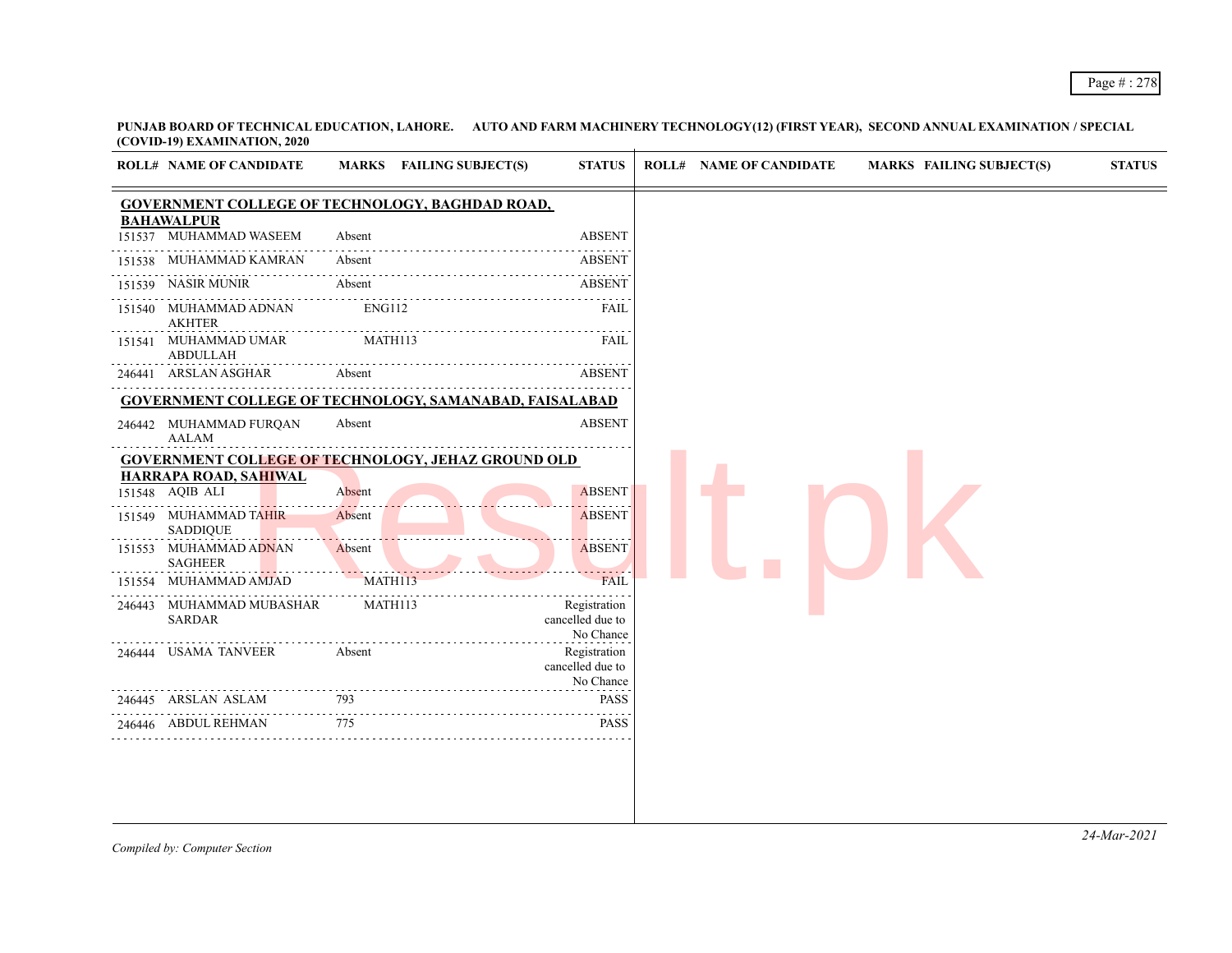|        | <b>ROLL# NAME OF CANDIDATE</b>                  | MARKS FAILING SUBJECT(S)                                       | <b>STATUS</b>                                 | <b>ROLL# NAME OF CANDIDATE</b> | <b>MARKS FAILING SUBJECT(S)</b> | <b>STATUS</b> |
|--------|-------------------------------------------------|----------------------------------------------------------------|-----------------------------------------------|--------------------------------|---------------------------------|---------------|
|        |                                                 | <b>GOVERNMENT COLLEGE OF TECHNOLOGY, BAGHDAD ROAD,</b>         |                                               |                                |                                 |               |
|        | <b>BAHAWALPUR</b><br>151537 MUHAMMAD WASEEM     | Absent                                                         | <b>ABSENT</b>                                 |                                |                                 |               |
|        | 151538 MUHAMMAD KAMRAN                          | Absent                                                         | <b>ABSENT</b>                                 |                                |                                 |               |
|        | 151539 NASIR MUNIR                              | Absent                                                         | <b>ABSENT</b>                                 |                                |                                 |               |
|        | 151540 MUHAMMAD ADNAN<br><b>AKHTER</b>          | ENG112                                                         | FAIL                                          |                                |                                 |               |
| 151541 | MUHAMMAD UMAR<br><b>ABDULLAH</b>                | MATH113                                                        | FAIL                                          |                                |                                 |               |
|        | 246441 ARSLAN ASGHAR                            | Absent                                                         | <b>ABSENT</b>                                 |                                |                                 |               |
|        |                                                 | <b>GOVERNMENT COLLEGE OF TECHNOLOGY, SAMANABAD, FAISALABAD</b> |                                               |                                |                                 |               |
|        | 246442 MUHAMMAD FURQAN<br>AALAM                 | Absent                                                         | <b>ABSENT</b>                                 |                                |                                 |               |
|        |                                                 | <b>GOVERNMENT COLLEGE OF TECHNOLOGY, JEHAZ GROUND OLD</b>      |                                               |                                |                                 |               |
|        | <b>HARRAPA ROAD, SAHIWAL</b><br>151548 AQIB ALI | Absent                                                         | <b>ABSENT</b>                                 |                                |                                 |               |
|        | 151549 MUHAMMAD TAHIR                           | Absent                                                         | <b>ABSENT</b>                                 |                                |                                 |               |
|        | <b>SADDIQUE</b>                                 |                                                                |                                               |                                |                                 |               |
|        | 151553 MUHAMMAD ADNAN<br><b>SAGHEER</b>         | Absent                                                         | <b>ABSENT</b>                                 |                                |                                 |               |
| 151554 | MUHAMMAD AMJAD                                  | MATH113                                                        | <b>FAIL</b>                                   |                                |                                 |               |
| 246443 | MUHAMMAD MUBASHAR<br><b>SARDAR</b>              | MATH113                                                        | Registration<br>cancelled due to<br>No Chance |                                |                                 |               |
|        | 246444 USAMA TANVEER                            | Absent                                                         | Registration<br>cancelled due to              |                                |                                 |               |
|        | 246445 ARSLAN ASLAM                             | 793                                                            | No Chance<br><b>PASS</b>                      |                                |                                 |               |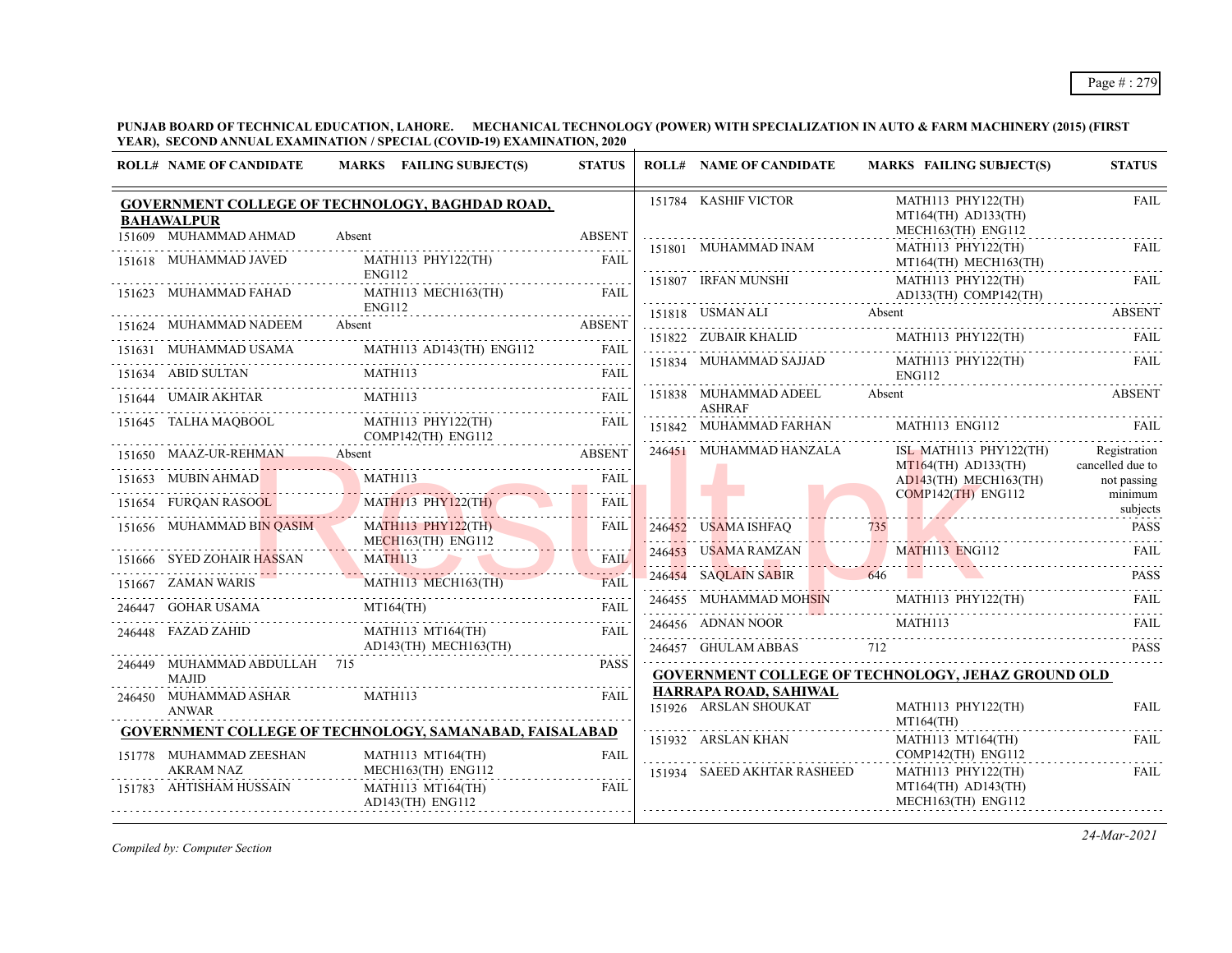**PUNJAB BOARD OF TECHNICAL EDUCATION, LAHORE. MECHANICAL TECHNOLOGY (POWER) WITH SPECIALIZATION IN AUTO & FARM MACHINERY (2015) (FIRST YEAR), SECOND ANNUAL EXAMINATION / SPECIAL (COVID-19) EXAMINATION, 2020**

| 151784 KASHIF VICTOR<br>MATH113 PHY122(TH)<br>GOVERNMENT COLLEGE OF TECHNOLOGY, BAGHDAD ROAD,<br>$MT164(TH)$ $AD133(TH)$<br><b>BAHAWALPUR</b><br>MECH163(TH) ENG112<br>151609 MUHAMMAD AHMAD<br>Absent<br><b>ABSENT</b><br>151801 MUHAMMAD INAM<br>MATH113 PHY122(TH)<br>MATH113 PHY122(TH)<br>151618 MUHAMMAD JAVED<br>FAIL<br>MT164(TH) MECH163(TH)<br>ENG112<br>151807 IRFAN MUNSHI<br>MATH113 PHY122(TH)<br>MATH113 MECH163(TH) FAIL<br>151623 MUHAMMAD FAHAD<br>$AD133(TH)$ COMP142(TH)<br>.<br>ENG112<br>151818 USMAN ALI Absent ABSENT ABSENT<br>151624 MUHAMMAD NADEEM Absent ABSENT ABSENT<br>151822 ZUBAIR KHALID MATHI13 PHY122(TH) FAIL<br>151834 MUHAMMAD SAJJAD MATH113 PHY122(TH)<br>FAIL<br><b>ENG112</b><br>151838 MUHAMMAD ADEEL Absent<br>MATH <sub>113</sub><br>151644 UMAIR AKHTAR<br>FAIL<br><b>ASHRAF</b><br>151645 TALHA MAQBOOL<br>MATH113 PHY122(TH)<br>FAIL<br>151842 MUHAMMAD FARHAN MATH113 ENG112 FAIL<br>COMP142(TH) ENG112<br>246451 MUHAMMAD HANZALA<br>ISL MATH113 PHY122(TH)<br>151650 MAAZ-UR-REHMAN Absent<br><b>ABSENT</b><br>$MT164$ (TH) $AD133$ (TH)<br>151653 MUBIN AHMAD MATH113<br>FAIL<br>AD143(TH) MECH163(TH)<br>$COMP142$ (TH) ENG112<br>minimum<br>MATH113 PHY122(TH)<br>151654 FURQAN RASOOL<br>FAIL<br>subjects<br>151656 MUHAMMAD BIN QASIM<br><b>MATH113 PHY122(TH)</b><br>FAIL<br>246452 USAMA ISHFAQ<br>735<br><u>AMA ISHFAQ</u> 88 - 735 - 735 - 735 - 736 - 735 - 736 - 735 - 736 - 736 - 736 - 736 - 736 - 737 - 738 - 738 - 738 - 7<br>$MECH163$ (TH) $ENG112$<br>246453 USAMA RAMZAN MATHI13 ENGI12 FAIL<br>MATH113<br>151666 SYED ZOHAIR HASSAN<br><b>FAIL</b><br><u> 1988 - Johann Barn, Amerikaansk politiker (</u> † 1918)<br>246454 SAQLAIN SABIR 646<br><b>PASS</b><br>151667 ZAMAN WARIS<br>$\begin{tabular}{lcl} \multicolumn{2}{c}{ZAMAN WANIS} & \multicolumn{2}{c}{\textbf{AAIR}}\\ \multicolumn{2}{c}{\textbf{ZAMAN WANIS}} & \multicolumn{2}{c}{\textbf{FAIL}}\\ \multicolumn{2}{c}{\textbf{GOHAR USAMA}} & \multicolumn{2}{c}{\textbf{M1164(TH)}}\\ \multicolumn{2}{c}{\textbf{GOHAR USAMA}} & \multicolumn{2}{c}{\textbf{FAIL}}\\ \multicolumn{2}{c}{\textbf{GOHAR USAMA}} & \multicolumn{2}{c}{\textbf{H11}}\\ \multicolumn{2}{c}{\textbf{AOHAR USAMA}} & \multicolumn$<br>246455 MUHAMMAD MOHSIN MATH113 PHY122(TH)<br>FAII.<br>246447 GOHAR USAMA MT164(TH) FAIL<br>$\begin{array}{c c c c c c} \hline \text{1.111} & \text{1.111} & \text{1.111} \\ \hline \text{246456} & \text{ADNAN NOOR} & \text{MATHI13} & \text{FAIL} \end{array}$<br>246448 FAZAD ZAHID<br>MATH113 MT164(TH)<br><b>FAIL</b><br>AD143(TH) MECH163(TH)<br>246457 GHULAM ABBAS 712<br>246449 MUHAMMAD ABDULLAH 715<br><b>PASS</b><br><b>GOVERNMENT COLLEGE OF TECHNOLOGY, JEHAZ GROUND OLD</b><br>MAJID<br>HARRAPA ROAD, SAHIWAL<br>MATH113<br>246450 MUHAMMAD ASHAR<br>FAIL<br>151926 ARSLAN SHOUKAT<br>MATH113 PHY122(TH)<br><b>ANWAR</b><br>MT164(TH)<br><b>GOVERNMENT COLLEGE OF TECHNOLOGY, SAMANABAD, FAISALABAD</b><br>151932 ARSLAN KHAN<br>MATH113 MT164(TH)<br>$COMP142(TH)$ $ENG112$<br>151778 MUHAMMAD ZEESHAN<br><b>FAIL</b><br>MATH113 MT164(TH)<br><b>AKRAM NAZ</b><br>MECH163(TH) ENG112<br>151934 SAEED AKHTAR RASHEED<br>MATH113 PHY122(TH)<br>$MT164(TH)$ $AD143(TH)$<br>151783 AHTISHAM HUSSAIN<br>MATH113 MT164(TH)<br><b>FAIL</b><br>MECH163(TH) ENG112<br>$AD143$ (TH) ENG112 | <b>ROLL# NAME OF CANDIDATE</b> | MARKS FAILING SUBJECT(S) | <b>STATUS</b> | <b>ROLL# NAME OF CANDIDATE</b> | <b>MARKS FAILING SUBJECT(S)</b> | <b>STATUS</b>                    |
|---------------------------------------------------------------------------------------------------------------------------------------------------------------------------------------------------------------------------------------------------------------------------------------------------------------------------------------------------------------------------------------------------------------------------------------------------------------------------------------------------------------------------------------------------------------------------------------------------------------------------------------------------------------------------------------------------------------------------------------------------------------------------------------------------------------------------------------------------------------------------------------------------------------------------------------------------------------------------------------------------------------------------------------------------------------------------------------------------------------------------------------------------------------------------------------------------------------------------------------------------------------------------------------------------------------------------------------------------------------------------------------------------------------------------------------------------------------------------------------------------------------------------------------------------------------------------------------------------------------------------------------------------------------------------------------------------------------------------------------------------------------------------------------------------------------------------------------------------------------------------------------------------------------------------------------------------------------------------------------------------------------------------------------------------------------------------------------------------------------------------------------------------------------------------------------------------------------------------------------------------------------------------------------------------------------------------------------------------------------------------------------------------------------------------------------------------------------------------------------------------------------------------------------------------------------------------------------------------------------------------------------------------------------------------------------------------------------------------------------------------------------------------------------------------------------------------------------------------------------------------------------------------------------------------------------------------------------------------------------------------------------------------------------------------------------------------------------------------------------------------------------------------------------------------------------------------------------------------------------------------------------------------------------------------------------------------------------------------------|--------------------------------|--------------------------|---------------|--------------------------------|---------------------------------|----------------------------------|
|                                                                                                                                                                                                                                                                                                                                                                                                                                                                                                                                                                                                                                                                                                                                                                                                                                                                                                                                                                                                                                                                                                                                                                                                                                                                                                                                                                                                                                                                                                                                                                                                                                                                                                                                                                                                                                                                                                                                                                                                                                                                                                                                                                                                                                                                                                                                                                                                                                                                                                                                                                                                                                                                                                                                                                                                                                                                                                                                                                                                                                                                                                                                                                                                                                                                                                                                                         |                                |                          |               |                                |                                 | <b>FAIL</b>                      |
|                                                                                                                                                                                                                                                                                                                                                                                                                                                                                                                                                                                                                                                                                                                                                                                                                                                                                                                                                                                                                                                                                                                                                                                                                                                                                                                                                                                                                                                                                                                                                                                                                                                                                                                                                                                                                                                                                                                                                                                                                                                                                                                                                                                                                                                                                                                                                                                                                                                                                                                                                                                                                                                                                                                                                                                                                                                                                                                                                                                                                                                                                                                                                                                                                                                                                                                                                         |                                |                          |               |                                |                                 | FAIL                             |
|                                                                                                                                                                                                                                                                                                                                                                                                                                                                                                                                                                                                                                                                                                                                                                                                                                                                                                                                                                                                                                                                                                                                                                                                                                                                                                                                                                                                                                                                                                                                                                                                                                                                                                                                                                                                                                                                                                                                                                                                                                                                                                                                                                                                                                                                                                                                                                                                                                                                                                                                                                                                                                                                                                                                                                                                                                                                                                                                                                                                                                                                                                                                                                                                                                                                                                                                                         |                                |                          |               |                                |                                 | FAIL                             |
|                                                                                                                                                                                                                                                                                                                                                                                                                                                                                                                                                                                                                                                                                                                                                                                                                                                                                                                                                                                                                                                                                                                                                                                                                                                                                                                                                                                                                                                                                                                                                                                                                                                                                                                                                                                                                                                                                                                                                                                                                                                                                                                                                                                                                                                                                                                                                                                                                                                                                                                                                                                                                                                                                                                                                                                                                                                                                                                                                                                                                                                                                                                                                                                                                                                                                                                                                         |                                |                          |               |                                |                                 |                                  |
|                                                                                                                                                                                                                                                                                                                                                                                                                                                                                                                                                                                                                                                                                                                                                                                                                                                                                                                                                                                                                                                                                                                                                                                                                                                                                                                                                                                                                                                                                                                                                                                                                                                                                                                                                                                                                                                                                                                                                                                                                                                                                                                                                                                                                                                                                                                                                                                                                                                                                                                                                                                                                                                                                                                                                                                                                                                                                                                                                                                                                                                                                                                                                                                                                                                                                                                                                         |                                |                          |               |                                |                                 |                                  |
|                                                                                                                                                                                                                                                                                                                                                                                                                                                                                                                                                                                                                                                                                                                                                                                                                                                                                                                                                                                                                                                                                                                                                                                                                                                                                                                                                                                                                                                                                                                                                                                                                                                                                                                                                                                                                                                                                                                                                                                                                                                                                                                                                                                                                                                                                                                                                                                                                                                                                                                                                                                                                                                                                                                                                                                                                                                                                                                                                                                                                                                                                                                                                                                                                                                                                                                                                         |                                |                          |               |                                |                                 |                                  |
|                                                                                                                                                                                                                                                                                                                                                                                                                                                                                                                                                                                                                                                                                                                                                                                                                                                                                                                                                                                                                                                                                                                                                                                                                                                                                                                                                                                                                                                                                                                                                                                                                                                                                                                                                                                                                                                                                                                                                                                                                                                                                                                                                                                                                                                                                                                                                                                                                                                                                                                                                                                                                                                                                                                                                                                                                                                                                                                                                                                                                                                                                                                                                                                                                                                                                                                                                         |                                |                          |               |                                |                                 | <b>ABSENT</b>                    |
|                                                                                                                                                                                                                                                                                                                                                                                                                                                                                                                                                                                                                                                                                                                                                                                                                                                                                                                                                                                                                                                                                                                                                                                                                                                                                                                                                                                                                                                                                                                                                                                                                                                                                                                                                                                                                                                                                                                                                                                                                                                                                                                                                                                                                                                                                                                                                                                                                                                                                                                                                                                                                                                                                                                                                                                                                                                                                                                                                                                                                                                                                                                                                                                                                                                                                                                                                         |                                |                          |               |                                |                                 |                                  |
|                                                                                                                                                                                                                                                                                                                                                                                                                                                                                                                                                                                                                                                                                                                                                                                                                                                                                                                                                                                                                                                                                                                                                                                                                                                                                                                                                                                                                                                                                                                                                                                                                                                                                                                                                                                                                                                                                                                                                                                                                                                                                                                                                                                                                                                                                                                                                                                                                                                                                                                                                                                                                                                                                                                                                                                                                                                                                                                                                                                                                                                                                                                                                                                                                                                                                                                                                         |                                |                          |               |                                |                                 | Registration<br>cancelled due to |
|                                                                                                                                                                                                                                                                                                                                                                                                                                                                                                                                                                                                                                                                                                                                                                                                                                                                                                                                                                                                                                                                                                                                                                                                                                                                                                                                                                                                                                                                                                                                                                                                                                                                                                                                                                                                                                                                                                                                                                                                                                                                                                                                                                                                                                                                                                                                                                                                                                                                                                                                                                                                                                                                                                                                                                                                                                                                                                                                                                                                                                                                                                                                                                                                                                                                                                                                                         |                                |                          |               |                                |                                 | not passing                      |
|                                                                                                                                                                                                                                                                                                                                                                                                                                                                                                                                                                                                                                                                                                                                                                                                                                                                                                                                                                                                                                                                                                                                                                                                                                                                                                                                                                                                                                                                                                                                                                                                                                                                                                                                                                                                                                                                                                                                                                                                                                                                                                                                                                                                                                                                                                                                                                                                                                                                                                                                                                                                                                                                                                                                                                                                                                                                                                                                                                                                                                                                                                                                                                                                                                                                                                                                                         |                                |                          |               |                                |                                 |                                  |
|                                                                                                                                                                                                                                                                                                                                                                                                                                                                                                                                                                                                                                                                                                                                                                                                                                                                                                                                                                                                                                                                                                                                                                                                                                                                                                                                                                                                                                                                                                                                                                                                                                                                                                                                                                                                                                                                                                                                                                                                                                                                                                                                                                                                                                                                                                                                                                                                                                                                                                                                                                                                                                                                                                                                                                                                                                                                                                                                                                                                                                                                                                                                                                                                                                                                                                                                                         |                                |                          |               |                                |                                 | <b>PASS</b>                      |
|                                                                                                                                                                                                                                                                                                                                                                                                                                                                                                                                                                                                                                                                                                                                                                                                                                                                                                                                                                                                                                                                                                                                                                                                                                                                                                                                                                                                                                                                                                                                                                                                                                                                                                                                                                                                                                                                                                                                                                                                                                                                                                                                                                                                                                                                                                                                                                                                                                                                                                                                                                                                                                                                                                                                                                                                                                                                                                                                                                                                                                                                                                                                                                                                                                                                                                                                                         |                                |                          |               |                                |                                 |                                  |
|                                                                                                                                                                                                                                                                                                                                                                                                                                                                                                                                                                                                                                                                                                                                                                                                                                                                                                                                                                                                                                                                                                                                                                                                                                                                                                                                                                                                                                                                                                                                                                                                                                                                                                                                                                                                                                                                                                                                                                                                                                                                                                                                                                                                                                                                                                                                                                                                                                                                                                                                                                                                                                                                                                                                                                                                                                                                                                                                                                                                                                                                                                                                                                                                                                                                                                                                                         |                                |                          |               |                                |                                 |                                  |
|                                                                                                                                                                                                                                                                                                                                                                                                                                                                                                                                                                                                                                                                                                                                                                                                                                                                                                                                                                                                                                                                                                                                                                                                                                                                                                                                                                                                                                                                                                                                                                                                                                                                                                                                                                                                                                                                                                                                                                                                                                                                                                                                                                                                                                                                                                                                                                                                                                                                                                                                                                                                                                                                                                                                                                                                                                                                                                                                                                                                                                                                                                                                                                                                                                                                                                                                                         |                                |                          |               |                                |                                 |                                  |
|                                                                                                                                                                                                                                                                                                                                                                                                                                                                                                                                                                                                                                                                                                                                                                                                                                                                                                                                                                                                                                                                                                                                                                                                                                                                                                                                                                                                                                                                                                                                                                                                                                                                                                                                                                                                                                                                                                                                                                                                                                                                                                                                                                                                                                                                                                                                                                                                                                                                                                                                                                                                                                                                                                                                                                                                                                                                                                                                                                                                                                                                                                                                                                                                                                                                                                                                                         |                                |                          |               |                                |                                 | <b>PASS</b>                      |
|                                                                                                                                                                                                                                                                                                                                                                                                                                                                                                                                                                                                                                                                                                                                                                                                                                                                                                                                                                                                                                                                                                                                                                                                                                                                                                                                                                                                                                                                                                                                                                                                                                                                                                                                                                                                                                                                                                                                                                                                                                                                                                                                                                                                                                                                                                                                                                                                                                                                                                                                                                                                                                                                                                                                                                                                                                                                                                                                                                                                                                                                                                                                                                                                                                                                                                                                                         |                                |                          |               |                                |                                 |                                  |
|                                                                                                                                                                                                                                                                                                                                                                                                                                                                                                                                                                                                                                                                                                                                                                                                                                                                                                                                                                                                                                                                                                                                                                                                                                                                                                                                                                                                                                                                                                                                                                                                                                                                                                                                                                                                                                                                                                                                                                                                                                                                                                                                                                                                                                                                                                                                                                                                                                                                                                                                                                                                                                                                                                                                                                                                                                                                                                                                                                                                                                                                                                                                                                                                                                                                                                                                                         |                                |                          |               |                                |                                 | <b>FAIL</b>                      |
|                                                                                                                                                                                                                                                                                                                                                                                                                                                                                                                                                                                                                                                                                                                                                                                                                                                                                                                                                                                                                                                                                                                                                                                                                                                                                                                                                                                                                                                                                                                                                                                                                                                                                                                                                                                                                                                                                                                                                                                                                                                                                                                                                                                                                                                                                                                                                                                                                                                                                                                                                                                                                                                                                                                                                                                                                                                                                                                                                                                                                                                                                                                                                                                                                                                                                                                                                         |                                |                          |               |                                |                                 | FAIL                             |
|                                                                                                                                                                                                                                                                                                                                                                                                                                                                                                                                                                                                                                                                                                                                                                                                                                                                                                                                                                                                                                                                                                                                                                                                                                                                                                                                                                                                                                                                                                                                                                                                                                                                                                                                                                                                                                                                                                                                                                                                                                                                                                                                                                                                                                                                                                                                                                                                                                                                                                                                                                                                                                                                                                                                                                                                                                                                                                                                                                                                                                                                                                                                                                                                                                                                                                                                                         |                                |                          |               |                                |                                 | FAIL                             |
|                                                                                                                                                                                                                                                                                                                                                                                                                                                                                                                                                                                                                                                                                                                                                                                                                                                                                                                                                                                                                                                                                                                                                                                                                                                                                                                                                                                                                                                                                                                                                                                                                                                                                                                                                                                                                                                                                                                                                                                                                                                                                                                                                                                                                                                                                                                                                                                                                                                                                                                                                                                                                                                                                                                                                                                                                                                                                                                                                                                                                                                                                                                                                                                                                                                                                                                                                         |                                |                          |               |                                |                                 |                                  |

*Compiled by: Computer Section*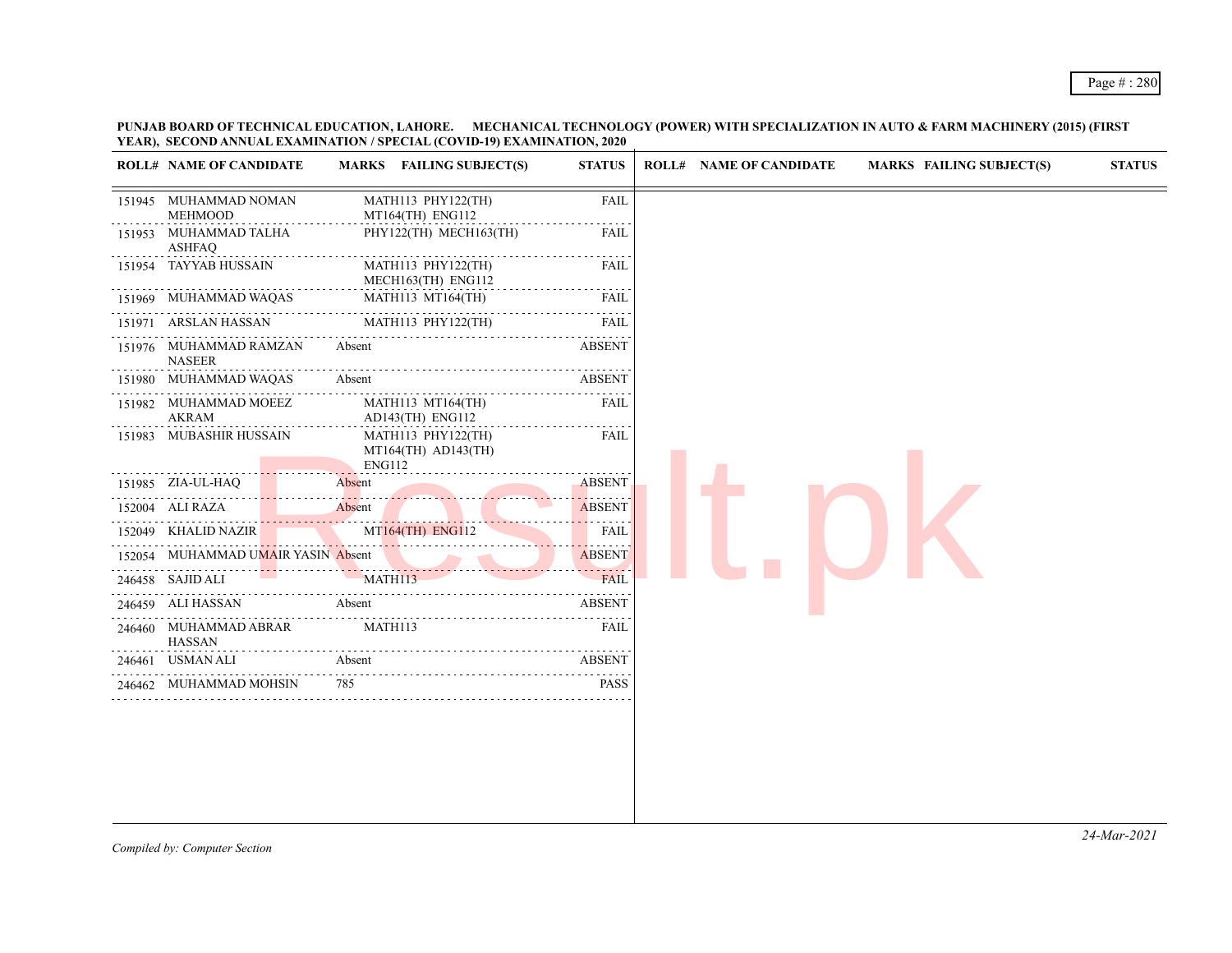## Page # : 280

**PUNJAB BOARD OF TECHNICAL EDUCATION, LAHORE. MECHANICAL TECHNOLOGY (POWER) WITH SPECIALIZATION IN AUTO & FARM MACHINERY (2015) (FIRST YEAR), SECOND ANNUAL EXAMINATION / SPECIAL (COVID-19) EXAMINATION, 2020**

|        | <b>ROLL# NAME OF CANDIDATE</b>          | MARKS FAILING SUBJECT(S)                                | <b>STATUS</b> |
|--------|-----------------------------------------|---------------------------------------------------------|---------------|
|        | 151945 MUHAMMAD NOMAN<br><b>MEHMOOD</b> | MATH113 PHY122(TH)<br>MT164(TH) ENG112                  | <b>FAIL</b>   |
| 151953 | MUHAMMAD TALHA<br><b>ASHFAQ</b>         | PHY122(TH) MECH163(TH)                                  | <b>FAIL</b>   |
|        | 151954 TAYYAB HUSSAIN                   | MATH113 PHY122(TH)<br>MECH163(TH) ENG112                | FAIL          |
|        | 151969 MUHAMMAD WAQAS                   | MATH113 MT164(TH)                                       | FAIL<br>.     |
|        | 151971 ARSLAN HASSAN                    | MATH113 PHY122(TH)                                      | FAIL          |
|        | 151976 MUHAMMAD RAMZAN<br><b>NASEER</b> | Absent                                                  | <b>ABSENT</b> |
|        | 151980 MUHAMMAD WAQAS                   | Absent                                                  | <b>ABSENT</b> |
|        | 151982 MUHAMMAD MOEEZ<br>AKRAM          | MATH113 MT164(TH)<br>$AD143$ (TH) $ENG112$              | FAIL          |
|        | 151983 MUBASHIR HUSSAIN                 | MATH113 PHY122(TH)<br>$MT164(TH)$ $AD143(TH)$<br>ENG112 | <b>FAIL</b>   |
|        | 151985 ZIA-UL-HAQ                       | Absent                                                  | <b>ABSENT</b> |
|        | 152004 ALI RAZA                         | Absent                                                  | <b>ABSENT</b> |
|        | 152049 KHALID NAZIR                     | MT164(TH) ENG112<br>.                                   | <b>FAIL</b>   |
|        | 152054 MUHAMMAD UMAIR YASIN Absent      |                                                         | <b>ABSENT</b> |
|        | 246458 SAJID ALI                        | MATH113                                                 | <b>FAIL</b>   |
|        | 246459 ALI HASSAN                       | Absent                                                  | <b>ABSENT</b> |
|        | 246460 MUHAMMAD ABRAR<br>HASSAN         | MATH113                                                 | FAIL          |
|        | 246461 USMAN ALI                        | Absent                                                  | <b>ABSENT</b> |
|        | 246462 MUHAMMAD MOHSIN                  | 785                                                     | <b>PASS</b>   |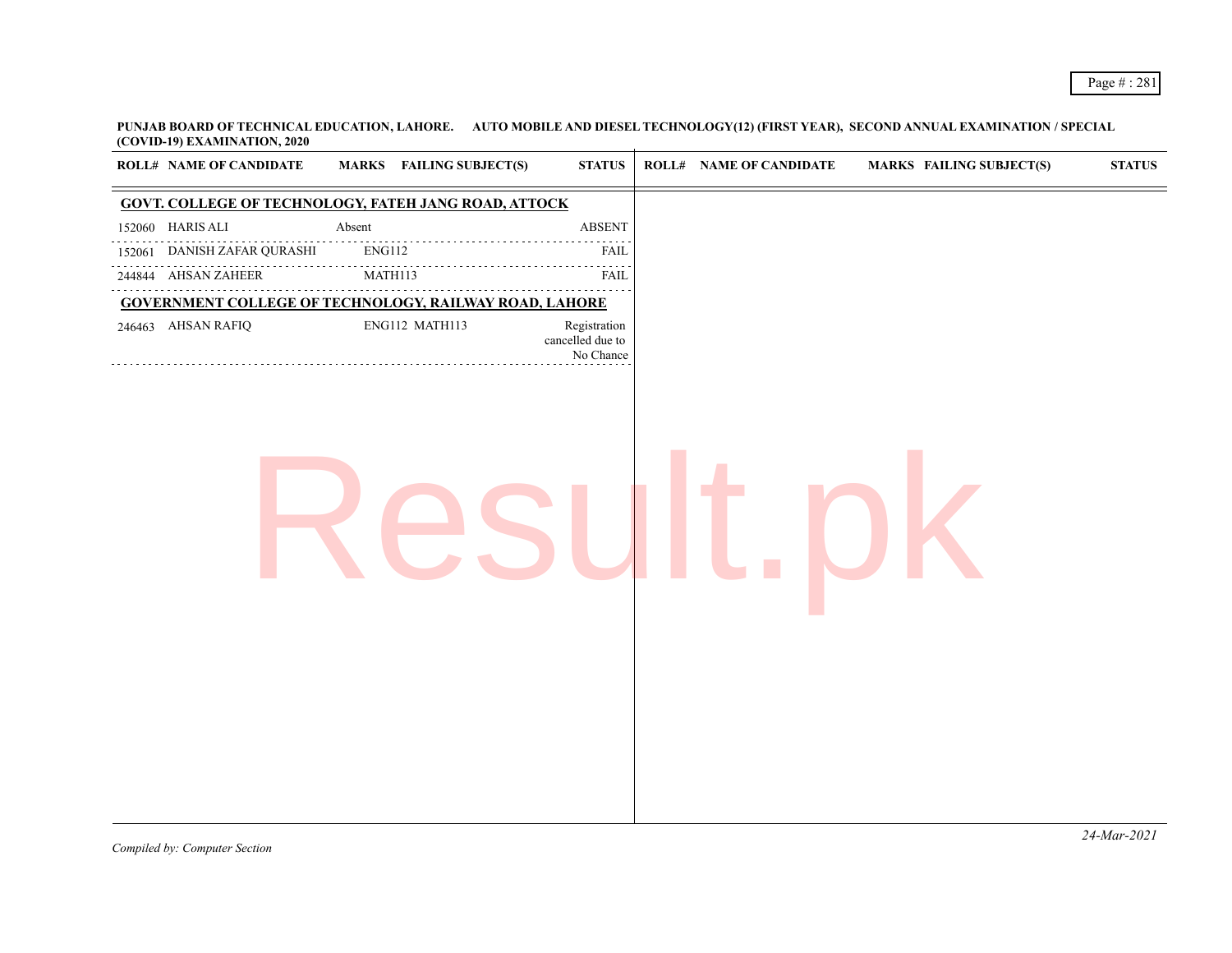| <b>ROLL# NAME OF CANDIDATE</b> | <b>MARKS</b> FAILING SUBJECT(S)                               | <b>STATUS</b>                                 | <b>ROLL# NAME OF CANDIDATE</b> | MARKS FAILING SUBJECT(S) | $\boldsymbol{\mathrm{STAT}}$ |
|--------------------------------|---------------------------------------------------------------|-----------------------------------------------|--------------------------------|--------------------------|------------------------------|
|                                | <b>GOVT. COLLEGE OF TECHNOLOGY, FATEH JANG ROAD, ATTOCK</b>   |                                               |                                |                          |                              |
| 152060 HARIS ALI               | Absent                                                        | <b>ABSENT</b>                                 |                                |                          |                              |
| 152061 DANISH ZAFAR QURASHI    | $ENG112$                                                      | FAIL                                          |                                |                          |                              |
| .<br>244844 AHSAN ZAHEER       | MATH113                                                       | <b>FAIL</b>                                   |                                |                          |                              |
|                                | <b>GOVERNMENT COLLEGE OF TECHNOLOGY, RAILWAY ROAD, LAHORE</b> |                                               |                                |                          |                              |
| 246463 AHSAN RAFIQ             | ENG112 MATH113                                                | Registration<br>cancelled due to<br>No Chance |                                |                          |                              |
|                                |                                                               |                                               |                                |                          |                              |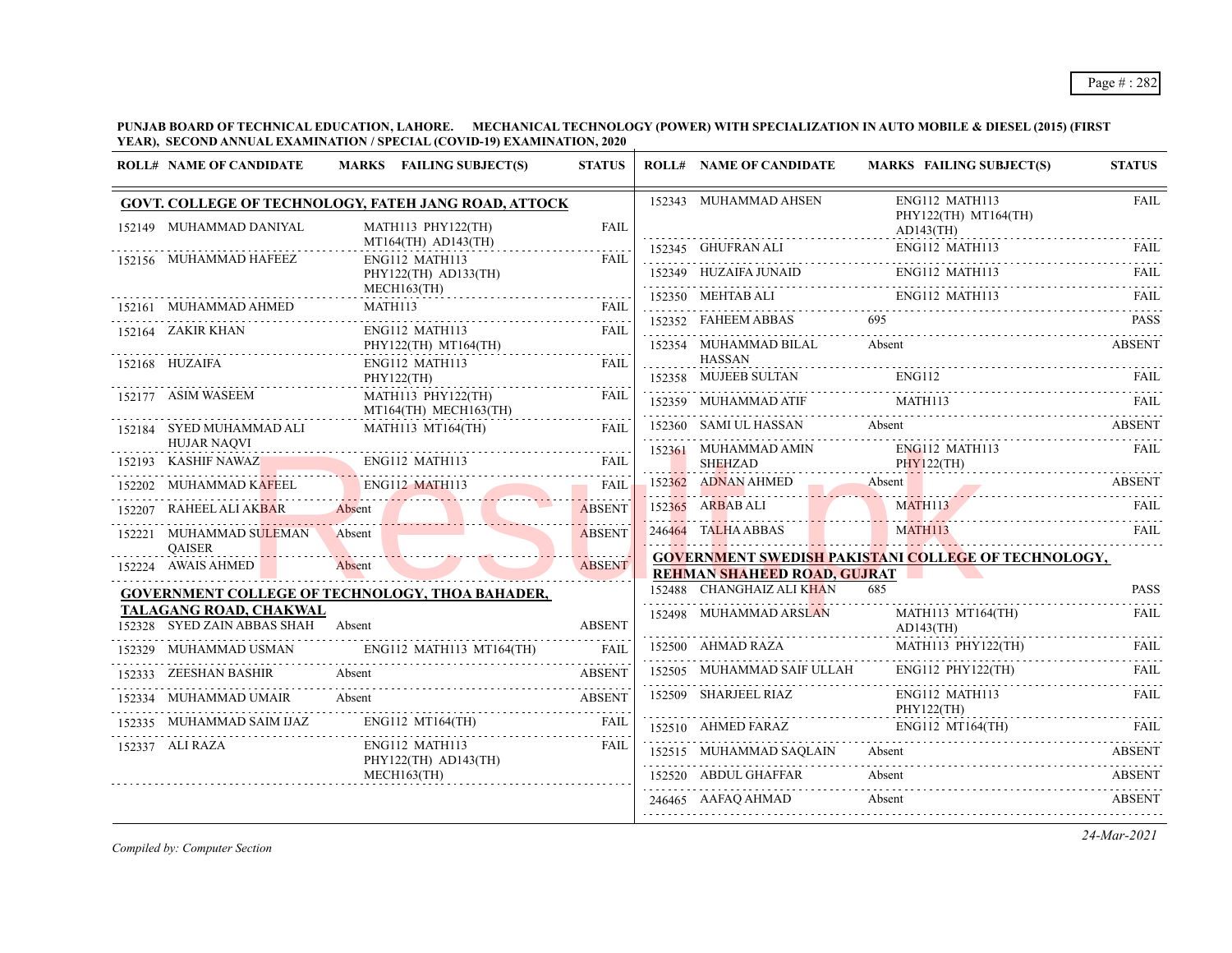**PUNJAB BOARD OF TECHNICAL EDUCATION, LAHORE. MECHANICAL TECHNOLOGY (POWER) WITH SPECIALIZATION IN AUTO MOBILE & DIESEL (2015) (FIRST YEAR), SECOND ANNUAL EXAMINATION / SPECIAL (COVID-19) EXAMINATION, 2020**

|                   | <b>ROLL# NAME OF CANDIDATE</b><br>MARKS FAILING SUBJECT(S)   |                                                      | <b>STATUS</b>     | <b>ROLL# NAME OF CANDIDATE</b>         | <b>MARKS FAILING SUBJECT(S)</b>                                                                                                                                                                                                | <b>STATUS</b> |
|-------------------|--------------------------------------------------------------|------------------------------------------------------|-------------------|----------------------------------------|--------------------------------------------------------------------------------------------------------------------------------------------------------------------------------------------------------------------------------|---------------|
|                   |                                                              | GOVT. COLLEGE OF TECHNOLOGY, FATEH JANG ROAD, ATTOCK |                   | 152343 MUHAMMAD AHSEN                  | ENG112 MATH113<br>PHY122(TH) MT164(TH)                                                                                                                                                                                         | <b>FAIL</b>   |
|                   | 152149 MUHAMMAD DANIYAL                                      | MATH113 PHY122(TH)<br>$MT164$ (TH) $AD143$ (TH)      | FAIL.             |                                        | $AD143$ (TH)                                                                                                                                                                                                                   |               |
|                   | 152156 MUHAMMAD HAFEEZ                                       | ENG112 MATH113                                       | FAIL              | 152345 GHUFRAN ALI                     | ENG112 MATH113                                                                                                                                                                                                                 | <b>FAIL</b>   |
|                   |                                                              | PHY122(TH) AD133(TH)                                 |                   |                                        | 152349 HUZAIFA JUNAID ENG112 MATH113 FAIL FAIL                                                                                                                                                                                 |               |
|                   | 152161 MUHAMMAD AHMED                                        | $MECH163$ (TH)<br>MATH113                            | <b>FAIL</b>       |                                        | 152350 MEHTAB ALI ENGI12 MATH113 FAIL ENGINEERS AND THE RAIL                                                                                                                                                                   |               |
| 152164 ZAKIR KHAN |                                                              | ENG112 MATH113                                       | 1.1.1.1.1<br>FAIL | 152352 FAHEEM ABBAS                    | 695                                                                                                                                                                                                                            | <b>PASS</b>   |
|                   |                                                              | PHY122(TH) MT164(TH)                                 |                   | 152354 MUHAMMAD BILAL                  | Absent                                                                                                                                                                                                                         | <b>ABSENT</b> |
| 152168 HUZAIFA    |                                                              | ENG112 MATH113                                       | FAII.             | HASSAN<br>152358 MUJEEB SULTAN         | ENG112                                                                                                                                                                                                                         | FAIL          |
|                   | 152177 ASIM WASEEM                                           | PHY122(TH)<br>MATH113 PHY122(TH)                     | <b>FAIL</b>       |                                        | TAIL THE SERIES SERIES AND THE SERIES SERIES AND THE SERIES SERIES AND THE SERIES SERIES AND THE SERIES SERIES AND THE SERIES AND THE SERIES AND THE SERIES AND THE SERIES AND THE SERIES AND THE SERIES AND THE SERIES AND TH |               |
|                   |                                                              | MT164(TH) MECH163(TH)                                | .                 |                                        |                                                                                                                                                                                                                                |               |
|                   | 152184 SYED MUHAMMAD ALI                                     | MATH113 MT164(TH)                                    | FAIL              | 152360 SAMI UL HASSAN                  | Absent                                                                                                                                                                                                                         | <b>ABSENT</b> |
|                   | <b>HUJAR NAQVI</b><br>152193 KASHIF NAWAZ                    | ENG112 MATH113                                       | <b>FAIL</b>       | 152361 MUHAMMAD AMIN<br><b>SHEHZAD</b> | ENG112 MATH113<br>PHY122(TH)                                                                                                                                                                                                   | <b>FAIL</b>   |
|                   | MUHAMMAD KAFEEL                                              | ENG112 MATH113                                       | <b>FAIL</b>       |                                        | 152362 ADNAN AHMED Absent ABSENT                                                                                                                                                                                               |               |
| 152207            | RAHEEL ALI AKBAR                                             | Absent                                               | <b>ABSENT</b>     | 152365 ARBAB ALI                       | <b>MATH113</b>                                                                                                                                                                                                                 | FAIL          |
|                   | 152221 MUHAMMAD SULEMAN                                      | Absent                                               | <b>ABSENT</b>     | 246464 TALHA ABBAS                     | MATH113                                                                                                                                                                                                                        | FAII.         |
|                   | <b>OAISER</b>                                                |                                                      |                   |                                        | <b>GOVERNMENT SWEDISH PAKISTANI COLLEGE OF TECHNOLOGY,</b>                                                                                                                                                                     |               |
|                   | 152224 AWAIS AHMED                                           | Absent                                               | <b>ABSENT</b>     | <b>REHMAN SHAHEED ROAD, GUJRAT</b>     |                                                                                                                                                                                                                                |               |
|                   |                                                              | GOVERNMENT COLLEGE OF TECHNOLOGY, THOA BAHADER,      |                   | 152488 CHANGHAIZ ALI KHAN              | 685                                                                                                                                                                                                                            | <b>PASS</b>   |
|                   | TALAGANG ROAD, CHAKWAL<br>152328 SYED ZAIN ABBAS SHAH Absent |                                                      | <b>ABSENT</b>     | 152498 MUHAMMAD ARSLAN                 | MATH113 MT164(TH)<br>$AD143$ (TH)                                                                                                                                                                                              | <b>FAIL</b>   |
|                   |                                                              | 152329 MUHAMMAD USMAN ENG112 MATH113 MT164(TH) FAIL  |                   | 152500 AHMAD RAZA                      | MATH113 PHY122(TH)                                                                                                                                                                                                             | <b>FAIL</b>   |
|                   | 152333 ZEESHAN BASHIR                                        | Absent                                               | <b>ABSENT</b>     | 152505 MUHAMMAD SAIF ULLAH             | $ENG112$ PHY122(TH)                                                                                                                                                                                                            | .<br>FAII.    |
|                   | 152334 MUHAMMAD UMAIR                                        | Absent                                               | <b>ABSENT</b>     | 152509 SHARJEEL RIAZ                   | ENG112 MATH113<br>PHY122(TH)                                                                                                                                                                                                   | FAIL          |
|                   | 152335 MUHAMMAD SAIM IJAZ                                    | $ENG112 \, MT164$ (TH)                               | FAIL              | 152510 AHMED FARAZ                     | ENG112 MT164(TH)                                                                                                                                                                                                               |               |
| 152337 ALI RAZA   |                                                              | ENG112 MATH113<br>$PHY122(TH)$ AD143(TH)             | FAIL              | 152515 MUHAMMAD SAQLAIN                | Absent                                                                                                                                                                                                                         | <b>ABSENT</b> |
|                   |                                                              | MECH163(TH)                                          |                   | 152520 ABDUL GHAFFAR                   | Absent                                                                                                                                                                                                                         | <b>ABSENT</b> |
|                   |                                                              |                                                      |                   | 246465 AAFAQ AHMAD                     | Absent                                                                                                                                                                                                                         | <b>ABSENT</b> |
|                   |                                                              |                                                      |                   |                                        |                                                                                                                                                                                                                                |               |

*Compiled by: Computer Section*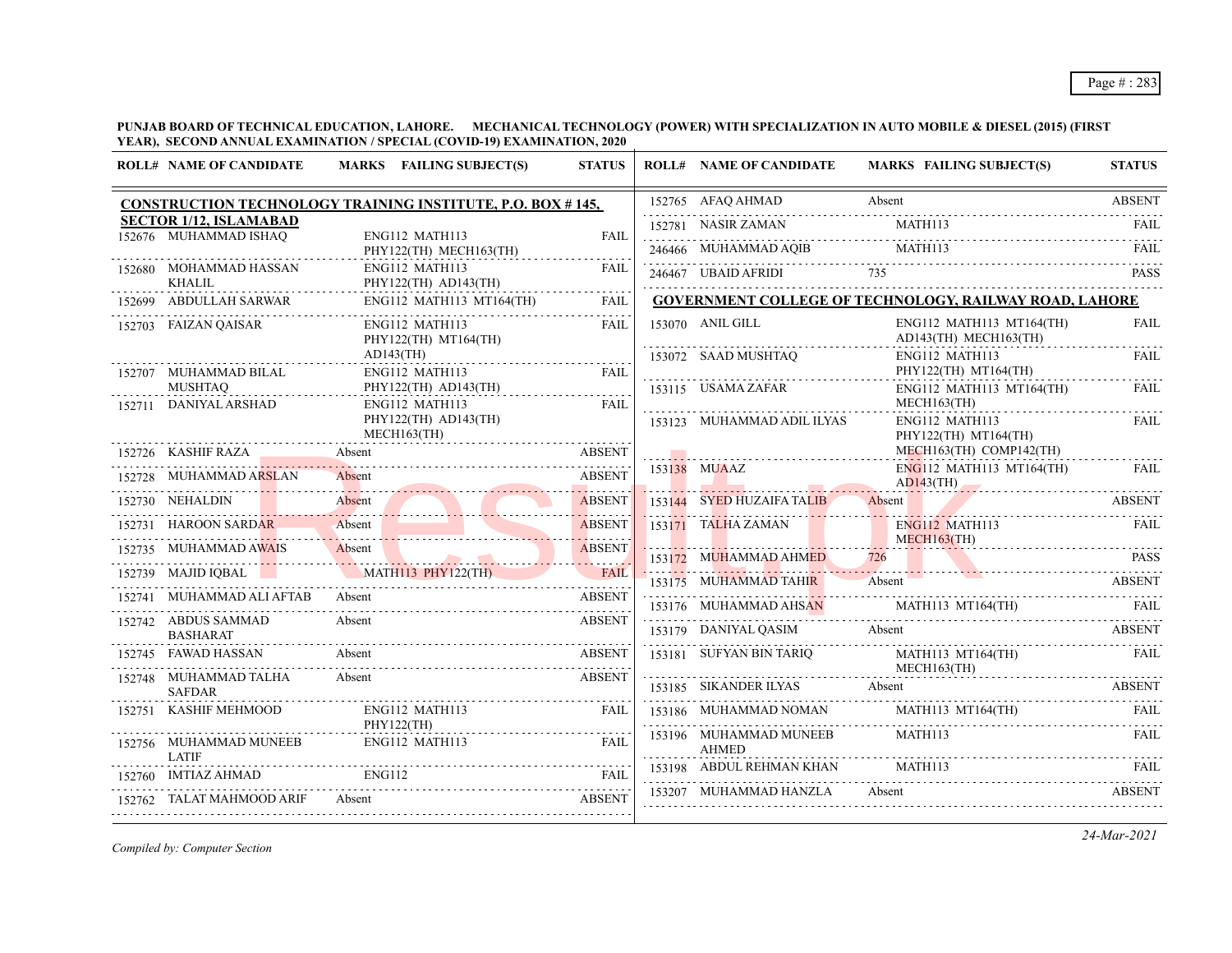**PUNJAB BOARD OF TECHNICAL EDUCATION, LAHORE. MECHANICAL TECHNOLOGY (POWER) WITH SPECIALIZATION IN AUTO MOBILE & DIESEL (2015) (FIRST YEAR), SECOND ANNUAL EXAMINATION / SPECIAL (COVID-19) EXAMINATION, 2020**

| <b>ROLL# NAME OF CANDIDATE</b>          | MARKS FAILING SUBJECT(S)                                          | <b>STATUS</b> | <b>ROLL# NAME OF CANDIDATE</b>         | MARKS FAILING SUBJECT(S)                                                                                                            | <b>STATUS</b> |
|-----------------------------------------|-------------------------------------------------------------------|---------------|----------------------------------------|-------------------------------------------------------------------------------------------------------------------------------------|---------------|
|                                         | <b>CONSTRUCTION TECHNOLOGY TRAINING INSTITUTE, P.O. BOX #145,</b> |               | 152765 AFAQ AHMAD                      | Absent                                                                                                                              | <b>ABSENT</b> |
| <b>SECTOR 1/12, ISLAMABAD</b>           |                                                                   |               | 152781 NASIR ZAMAN                     | MATH113                                                                                                                             | <b>FAIL</b>   |
| 152676 MUHAMMAD ISHAQ                   | ENG112 MATH113<br>PHY122(TH) MECH163(TH)                          | <b>FAIL</b>   |                                        |                                                                                                                                     |               |
| 152680 MOHAMMAD HASSAN<br>KHALIL        | ENG112 MATH113                                                    | <b>FAIL</b>   |                                        | $\begin{tabular}{llllll} 246466 & MUHAMMAD AQIB & MATH113 & FAIL \\ \hline 246467 & UBAID AFRIDI & 735 & & PASS \\ \end{tabular}$   |               |
| 152699 ABDULLAH SARWAR                  | PHY122(TH) AD143(TH)<br>$ENG112$ MATH113 MT164(TH)                | <b>FAIL</b>   |                                        | <b>GOVERNMENT COLLEGE OF TECHNOLOGY, RAILWAY ROAD, LAHORE</b>                                                                       |               |
|                                         |                                                                   |               |                                        |                                                                                                                                     |               |
| 152703 FAIZAN QAISAR                    | ENG112 MATH113<br>PHY122(TH) MT164(TH)                            | <b>FAIL</b>   | 153070 ANIL GILL                       | $ENG112$ MATH113 MT164(TH)<br>AD143(TH) MECH163(TH)                                                                                 | FAIL<br>.     |
|                                         | $AD143$ (TH)                                                      |               | 153072 SAAD MUSHTAQ                    | ENG112 MATH113                                                                                                                      | FAIL          |
| 152707 MUHAMMAD BILAL                   | ENG112 MATH113                                                    | <b>FAIL</b>   |                                        | PHY122(TH) MT164(TH)                                                                                                                |               |
| <b>MUSHTAO</b><br>152711 DANIYAL ARSHAD | PHY122(TH) AD143(TH)<br>ENG112 MATH113                            | FAIL          | 153115 USAMA ZAFAR                     | ENG112 MATH113 MT164(TH)<br>MECH163(TH)                                                                                             | FAIL          |
|                                         | PHY122(TH) AD143(TH)                                              |               | 153123 MUHAMMAD ADIL ILYAS             | ENG112 MATH113                                                                                                                      | <b>FAIL</b>   |
|                                         | MECH163(TH)                                                       |               |                                        | PHY122(TH) MT164(TH)<br>MECH163(TH) COMP142(TH)                                                                                     |               |
| 152726 KASHIF RAZA                      | Absent<br>Absent ABSENT                                           | <b>ABSENT</b> | 153138 MUAAZ                           | $ENG112$ MATH113 MT164(TH)                                                                                                          | FAIL          |
| 152728 MUHAMMAD ARSLAN                  | Absent ABSENT                                                     |               |                                        | $AD143$ (TH)                                                                                                                        |               |
| 152730 NEHALDIN                         | 52730 NEHALDIN Absent ABSENT                                      |               | 153144 SYED HUZAIFA TALIB              | Absent                                                                                                                              | <b>ABSENT</b> |
| 152731 HAROON SARDAR –                  | Absent                                                            |               | 153171 TALHA ZAMAN ENGL12 MATH         | ENG112 MATH113                                                                                                                      | FAIL          |
| 152735 MUHAMMAD AWAIS                   | 2735 MUHAMMAD AWAIS Absent                                        |               | 153172 MUHAMMAD AHMED                  |                                                                                                                                     |               |
| 152739 MAJID IQBAL                      | JID IQBAL MATHI13 PHY122(TH) FAIL                                 | FAIL          | 153175 MUHAMMAD TAHIR                  | $\frac{726}{126}$ PASS<br>Absent                                                                                                    |               |
| MUHAMMAD ALI AFTAB                      | Absent                                                            | <b>ABSENT</b> |                                        |                                                                                                                                     |               |
| 152742 ABDUS SAMMAD                     | Absent                                                            | <b>ABSENT</b> |                                        | 153176 MUHAMMAD AHSAN MATH113 MT164(TH) FAIL                                                                                        |               |
| <b>BASHARAT</b>                         |                                                                   |               |                                        | 153179 DANIYAL QASIM Absent                                                                                                         | ABSENT        |
| 152745 FAWAD HASSAN                     | Absent                                                            | <b>ABSENT</b> |                                        | 153181 SUFYAN BIN TARIQ MATH113 MT164(TH)<br>MECH163(TH)                                                                            | FAIL          |
| 152748 MUHAMMAD TALHA<br><b>SAFDAR</b>  | Absent                                                            | <b>ABSENT</b> |                                        | 153185 SIKANDER ILYAS Absent ABSENT                                                                                                 |               |
| 152751 KASHIF MEHMOOD                   | ENG112 MATH113<br>PHY122(TH)                                      | <b>FAIL</b>   |                                        | $\begin{tabular}{llllll} \bf 153186 & \textbf{MUHAMMAD NOMAN} & \textbf{MATH113 MT164(TH)} & \textbf{FAIL} \\ \hline \end{tabular}$ |               |
| 152756 MUHAMMAD MUNEEB                  | ENG112 MATH113                                                    | <b>FAIL</b>   | 153196 MUHAMMAD MUNEEB<br><b>AHMED</b> | MATH <sub>113</sub>                                                                                                                 | FAIL          |
| <b>LATIF</b><br>152760 IMTIAZ AHMAD     | <b>ENG112</b>                                                     | <b>FAIL</b>   | 153198 ABDUL REHMAN KHAN               | MATH113                                                                                                                             | FAII.         |
| 152762 TALAT MAHMOOD ARIF               | Absent                                                            | <b>ABSENT</b> | 153207 MUHAMMAD HANZLA                 | Absent                                                                                                                              | <b>ABSENT</b> |
|                                         |                                                                   |               |                                        |                                                                                                                                     |               |

*Compiled by: Computer Section*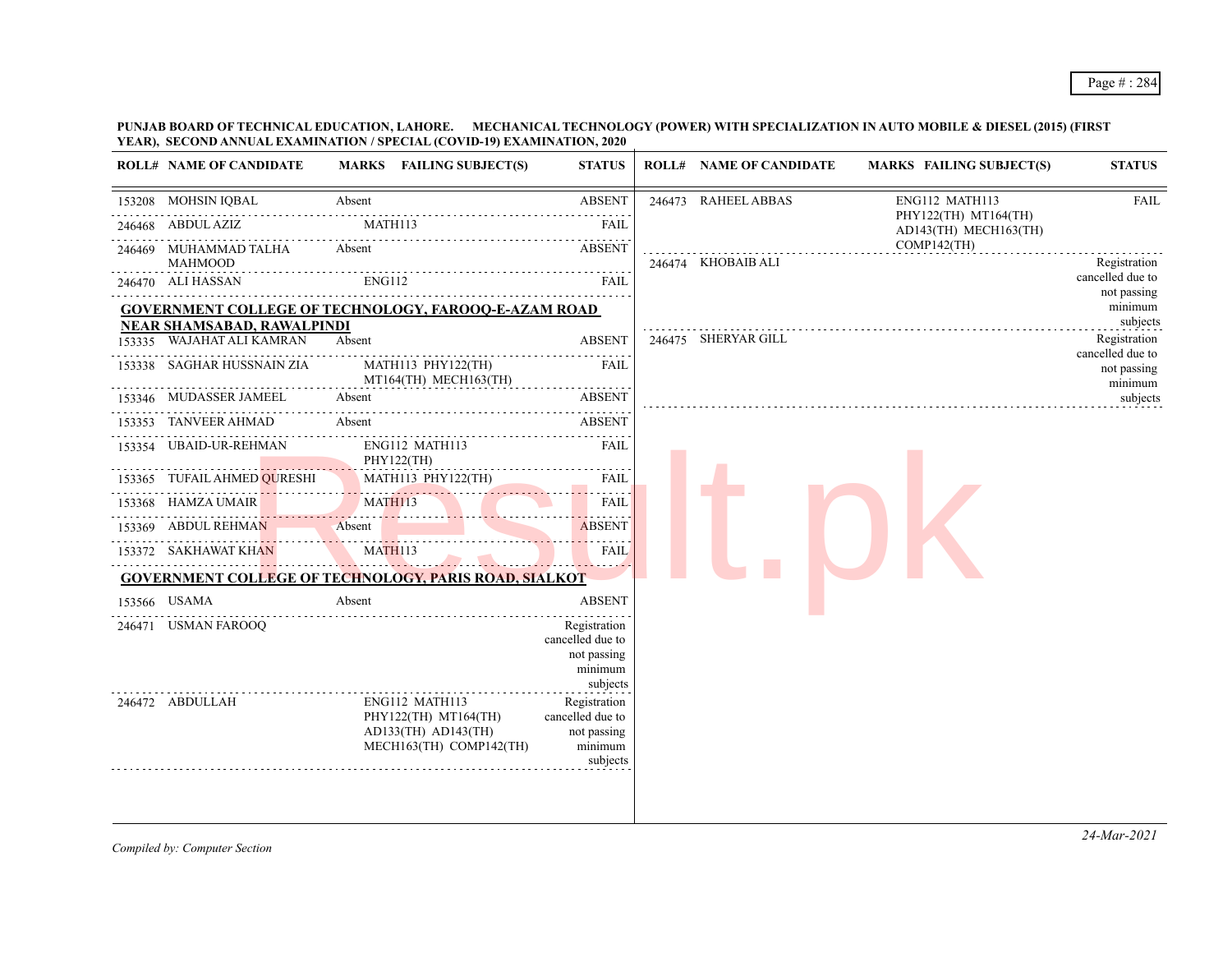## Page # : 284

#### **PUNJAB BOARD OF TECHNICAL EDUCATION, LAHORE. MECHANICAL TECHNOLOGY (POWER) WITH SPECIALIZATION IN AUTO MOBILE & DIESEL (2015) (FIRST YEAR), SECOND ANNUAL EXAMINATION / SPECIAL (COVID-19) EXAMINATION, 2020**

| <b>ROLL# NAME OF CANDIDATE</b>          | MARKS FAILING SUBJECT(S)                                                                     | <b>STATUS</b>                                                          | <b>ROLL# NAME OF CANDIDATE</b> | <b>MARKS FAILING SUBJECT(S)</b>               | <b>STATUS</b>                    |
|-----------------------------------------|----------------------------------------------------------------------------------------------|------------------------------------------------------------------------|--------------------------------|-----------------------------------------------|----------------------------------|
| 153208 MOHSIN IQBAL                     | Absent                                                                                       | <b>ABSENT</b>                                                          | 246473 RAHEEL ABBAS            | ENG112 MATH113                                | FAIL                             |
| 246468 ABDUL AZIZ                       | MATH113                                                                                      | FAIL                                                                   |                                | PHY122(TH) MT164(TH)<br>AD143(TH) MECH163(TH) |                                  |
| 246469 MUHAMMAD TALHA<br><b>MAHMOOD</b> | Absent                                                                                       | <b>ABSENT</b>                                                          | 246474 KHOBAIB ALI             | $COMP142$ (TH)                                | Registration                     |
| 246470 ALI HASSAN                       | ENG112                                                                                       | <b>FAIL</b>                                                            |                                |                                               | cancelled due to<br>not passing  |
|                                         | <b>GOVERNMENT COLLEGE OF TECHNOLOGY, FAROOQ-E-AZAM ROAD</b>                                  |                                                                        |                                |                                               | minimum                          |
| <b>NEAR SHAMSABAD, RAWALPINDI</b>       |                                                                                              |                                                                        |                                |                                               | subjects                         |
| 153335 WAJAHAT ALI KAMRAN               | Absent                                                                                       | <b>ABSENT</b>                                                          | 246475 SHERYAR GILL            |                                               | Registration<br>cancelled due to |
| 153338 SAGHAR HUSSNAIN ZIA              | MATH113 PHY122(TH)<br>MT164(TH) MECH163(TH)                                                  | FAIL                                                                   |                                |                                               | not passing<br>minimum           |
| 153346 MUDASSER JAMEEL                  | Absent                                                                                       | <b>ABSENT</b>                                                          |                                |                                               | subjects                         |
| 153353 TANVEER AHMAD                    | Absent                                                                                       | <b>ABSENT</b>                                                          |                                |                                               |                                  |
| 153354 UBAID-UR-REHMAN                  | ENG112 MATH113<br>PHY122(TH)                                                                 | FAIL                                                                   |                                |                                               |                                  |
| 153365 TUFAIL AHMED QURESHI             | MATH113 PHY122(TH)                                                                           | <b>FAIL</b>                                                            |                                |                                               |                                  |
| 153368 HAMZA UMAIR                      | MATH113                                                                                      | FAIL                                                                   |                                |                                               |                                  |
| 153369 ABDUL REHMAN                     | Absent                                                                                       | <b>ABSENT</b>                                                          |                                |                                               |                                  |
| 153372 SAKHAWAT KHAN                    | MATH113                                                                                      | <b>FAIL</b>                                                            |                                |                                               |                                  |
|                                         | <b>GOVERNMENT COLLEGE OF TECHNOLOGY, PARIS ROAD, SIALKOT</b>                                 |                                                                        |                                |                                               |                                  |
| 153566 USAMA                            | Absent                                                                                       | <b>ABSENT</b>                                                          |                                |                                               |                                  |
| 246471 USMAN FAROOQ                     |                                                                                              | Registration<br>cancelled due to<br>not passing<br>minimum<br>subjects |                                |                                               |                                  |
| .<br>246472 ABDULLAH                    | ENG112 MATH113<br>PHY122(TH) MT164(TH)<br>$AD133(TH)$ $AD143(TH)$<br>MECH163(TH) COMP142(TH) | Registration<br>cancelled due to<br>not passing<br>minimum<br>subjects |                                |                                               |                                  |

*Compiled by: Computer Section*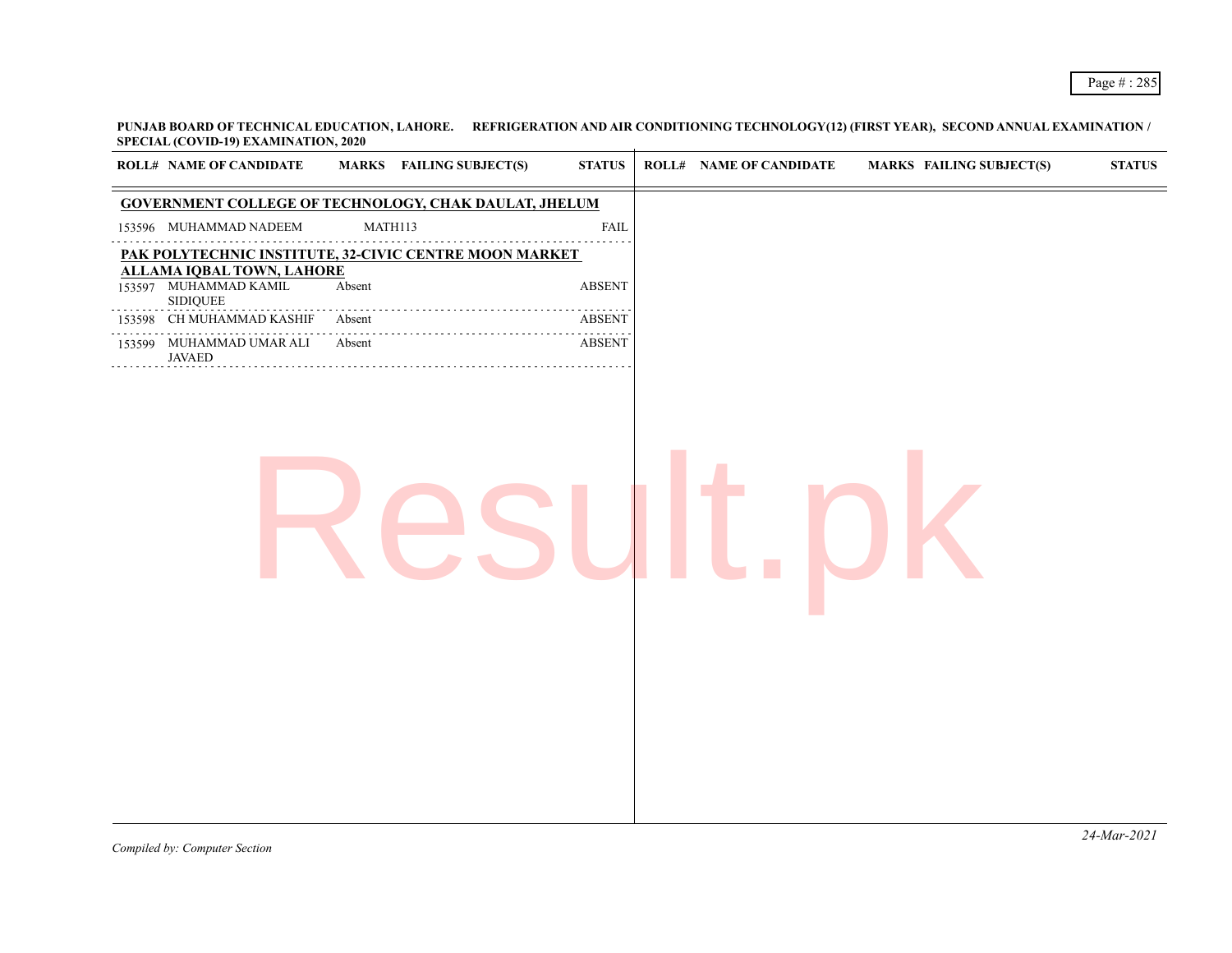**PUNJAB BOARD OF TECHNICAL EDUCATION, LAHORE. REFRIGERATION AND AIR CONDITIONING TECHNOLOGY(12) (FIRST YEAR), SECOND ANNUAL EXAMINATION / SPECIAL (COVID-19) EXAMINATION, 2020**

|        | <b>ROLL# NAME OF CANDIDATE</b>                                               | MARKS FAILING SUBJECT(S)                                     | $\bold{STATUS}$    | <b>ROLL# NAME OF CANDIDATE</b> | <b>MARKS FAILING SUBJECT(S)</b> | ${\bf STATUS}$ |
|--------|------------------------------------------------------------------------------|--------------------------------------------------------------|--------------------|--------------------------------|---------------------------------|----------------|
|        |                                                                              | <b>GOVERNMENT COLLEGE OF TECHNOLOGY, CHAK DAULAT, JHELUM</b> |                    |                                |                                 |                |
|        | 153596 MUHAMMAD NADEEM                                                       | MATH113                                                      | FAIL               |                                |                                 |                |
|        |                                                                              | PAK POLYTECHNIC INSTITUTE, 32-CIVIC CENTRE MOON MARKET       |                    |                                |                                 |                |
|        | <b>ALLAMA IQBAL TOWN, LAHORE</b><br>153597 MUHAMMAD KAMIL<br><b>SIDIQUEE</b> | Absent                                                       | <b>ABSENT</b>      |                                |                                 |                |
| 153598 | CH MUHAMMAD KASHIF                                                           | Absent                                                       | .<br><b>ABSENT</b> |                                |                                 |                |
|        | 153599 MUHAMMAD UMAR ALI<br><b>JAVAED</b>                                    | Absent                                                       | <b>ABSENT</b>      |                                |                                 |                |
|        |                                                                              |                                                              |                    |                                |                                 |                |
|        |                                                                              |                                                              |                    |                                |                                 | 24-Mar-2021    |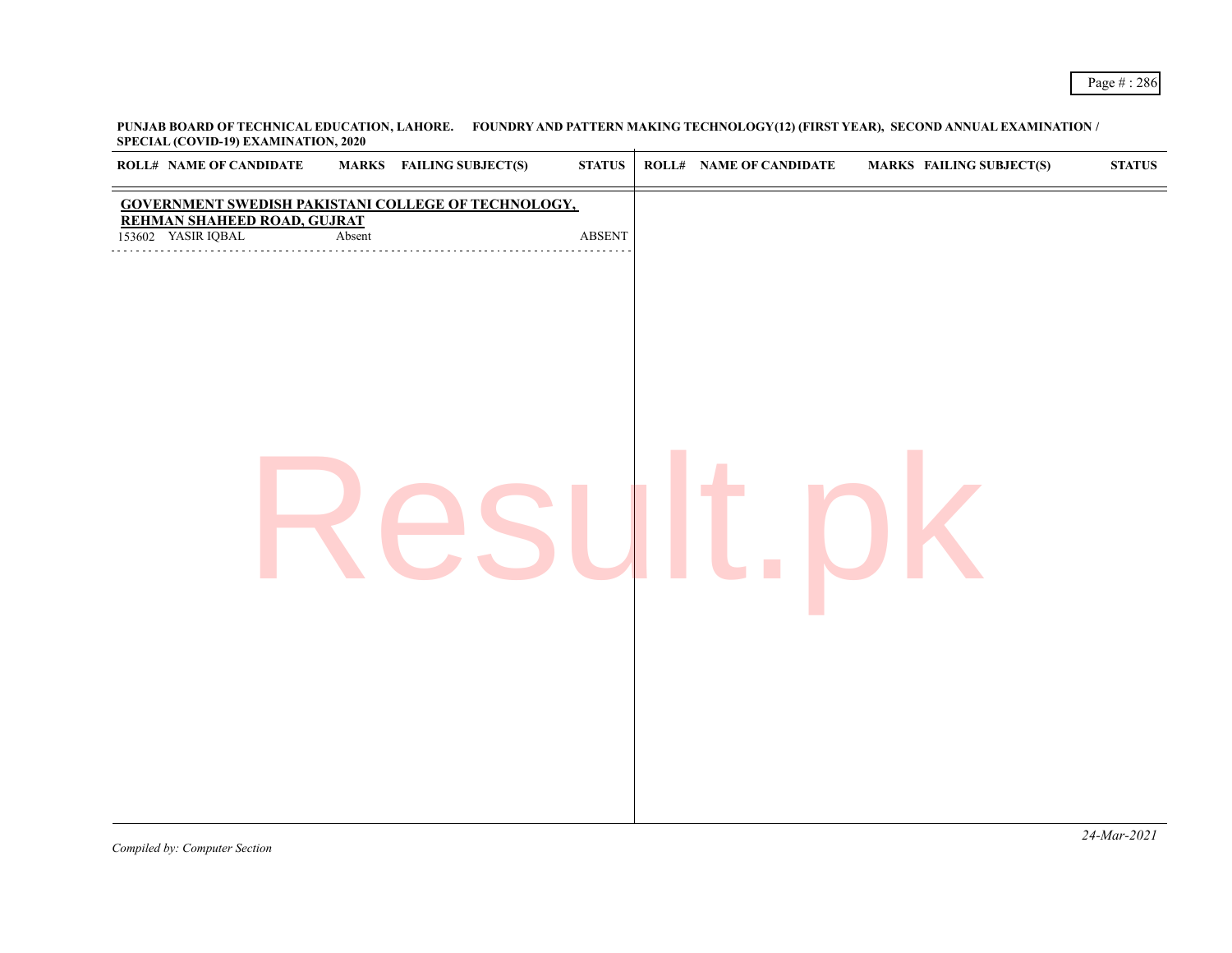| <b>GOVERNMENT SWEDISH PAKISTANI COLLEGE OF TECHNOLOGY,</b><br><b>REHMAN SHAHEED ROAD, GUJRAT</b><br>153602 YASIR IQBAL<br>Absent<br>$\operatorname{ABSENT}$ | $\sim$ $-$<br>$\sim$ $\sim$<br><b>ROLL# NAME OF CANDIDATE</b> | <b>MARKS</b> FAILING SUBJECT(S) | <b>STATUS</b> | <b>ROLL# NAME OF CANDIDATE</b> | <b>MARKS FAILING SUBJECT(S)</b> | <b>STATUS</b> |
|-------------------------------------------------------------------------------------------------------------------------------------------------------------|---------------------------------------------------------------|---------------------------------|---------------|--------------------------------|---------------------------------|---------------|
|                                                                                                                                                             |                                                               |                                 |               |                                |                                 |               |
|                                                                                                                                                             |                                                               |                                 |               |                                |                                 |               |
|                                                                                                                                                             |                                                               |                                 |               |                                |                                 |               |
|                                                                                                                                                             |                                                               |                                 |               |                                |                                 |               |
|                                                                                                                                                             |                                                               |                                 |               |                                |                                 |               |
|                                                                                                                                                             |                                                               |                                 |               |                                |                                 |               |
|                                                                                                                                                             |                                                               |                                 |               |                                |                                 |               |
|                                                                                                                                                             |                                                               |                                 |               |                                |                                 |               |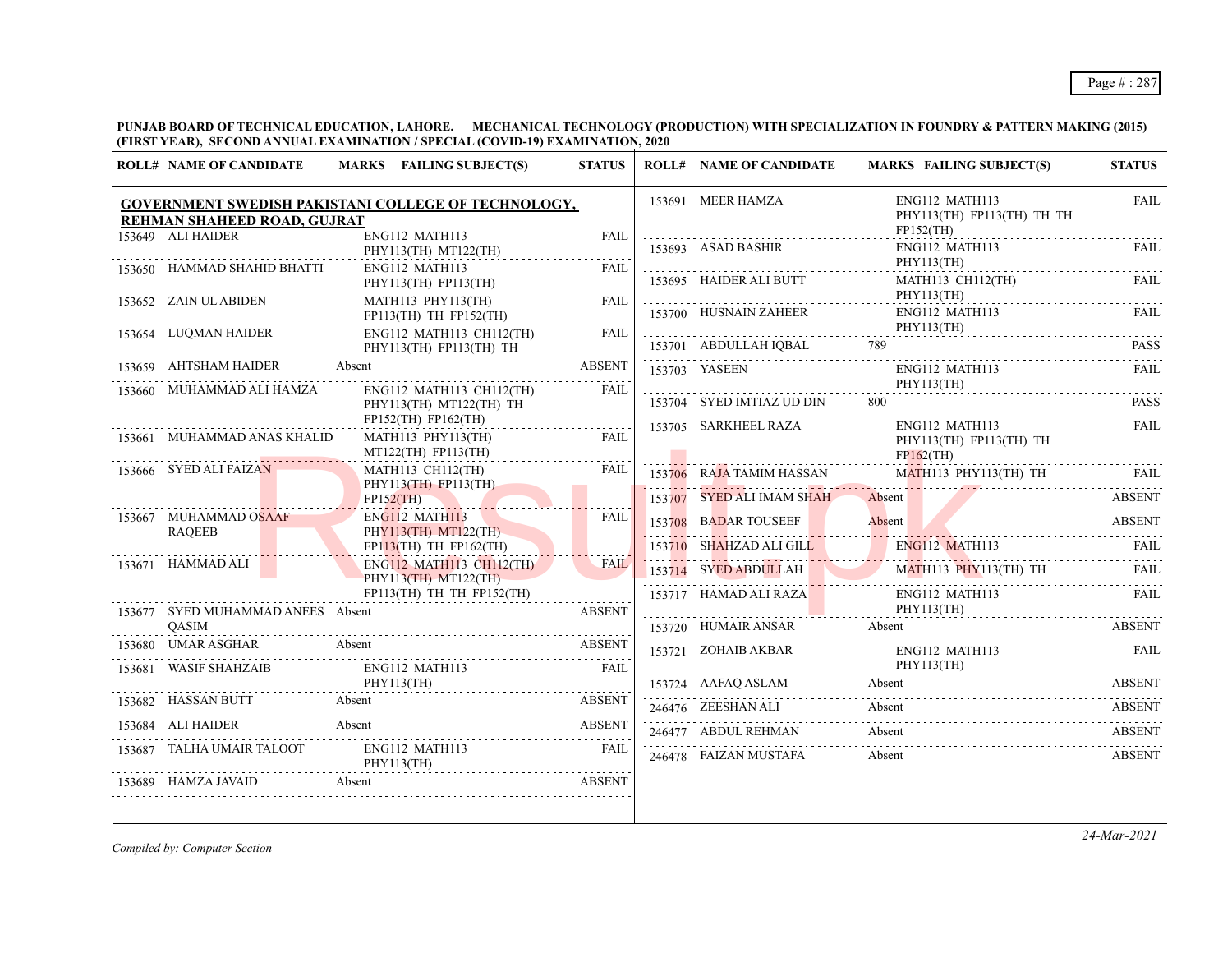## Page # : 287

**PUNJAB BOARD OF TECHNICAL EDUCATION, LAHORE. MECHANICAL TECHNOLOGY (PRODUCTION) WITH SPECIALIZATION IN FOUNDRY & PATTERN MAKING (2015) (FIRST YEAR), SECOND ANNUAL EXAMINATION / SPECIAL (COVID-19) EXAMINATION, 2020**

| <b>ROLL# NAME OF CANDIDATE</b>    | MARKS FAILING SUBJECT(S)                                                       | <b>STATUS</b> | <b>ROLL# NAME OF CANDIDATE</b>    | MARKS FAILING SUBJECT(S)                                                                       | <b>STATUS</b> |
|-----------------------------------|--------------------------------------------------------------------------------|---------------|-----------------------------------|------------------------------------------------------------------------------------------------|---------------|
| REHMAN SHAHEED ROAD, GUJRAT       | GOVERNMENT SWEDISH PAKISTANI COLLEGE OF TECHNOLOGY,                            |               | 153691 MEER HAMZA                 | ENG112 MATH113<br>PHY113(TH) FP113(TH) TH TH<br>FP152(TH)                                      | <b>FAIL</b>   |
| 153649 ALI HAIDER                 | ENG112 MATH113<br>PHY113(TH) MT122(TH)                                         | FAIL          | 153693 ASAD BASHIR                | ENG112 MATH113<br>PHY113(TH)                                                                   | <b>FAIL</b>   |
| 153650 HAMMAD SHAHID BHATTI       | ENG112 MATH113<br>PHY113(TH) FP113(TH)                                         | FAIL          | 153695 HAIDER ALI BUTT            | MATH113 CH112(TH)<br>PHY113(TH)                                                                | FAIL          |
| 153652 ZAIN UL ABIDEN             | MATH113 PHY113(TH)<br>$FP113(TH)$ TH $FP152(TH)$                               | <b>FAIL</b>   | 153700 HUSNAIN ZAHEER             | ENG112 MATH113                                                                                 | FAIL.         |
| 153654 LUQMAN HAIDER              | ENG112 MATH113 CH112(TH)<br>PHY113(TH) FP113(TH) TH                            | FAIL          | 153701 ABDULLAH IQBAL 789         | PHY113(TH)<br>153701 ABDULLAH IQBAL 789 PASS PASS                                              |               |
| 153659 AHTSHAM HAIDER Absent      |                                                                                | <b>ABSENT</b> | 153703 YASEEN                     | ENG112 MATH113<br>PHY113(TH)                                                                   | FAIL.         |
| 153660 MUHAMMAD ALI HAMZA         | ENG112 MATH113 CH112(TH)<br>PHY113(TH) MT122(TH) TH<br>$FP152(TH)$ $FP162(TH)$ | FAII.         | 153704 SYED IMTIAZ UD DIN         |                                                                                                | <b>PASS</b>   |
| 153661 MUHAMMAD ANAS KHALID       | MATH113 PHY113(TH)<br>MT122(TH) FP113(TH)                                      | <b>FAIL</b>   | 153705 SARKHEEL RAZA<br>FPI62(TH) | ENG112 MATH113<br>PHY113(TH) FP113(TH) TH                                                      | FAIL.         |
| 153666 SYED ALI FAIZAN            | MATH113 CH112(TH)<br>PHY113(TH) FP113(TH)                                      | FAIL          |                                   | 153706 RAJA TAMIM HASSAN MATH113 PHY113(TH) TH FAIL                                            |               |
|                                   | FP152(TH)<br>ENG112 MATH113                                                    |               |                                   | 153707 SYED ALI IMAM SHAH Absent ABSENT                                                        |               |
| 153667 MUHAMMAD OSAAF<br>RAQEEB   | PHY113(TH) MT122(TH)<br>$FP113(TH)$ TH $FP162(TH)$                             | <b>FAIL</b>   |                                   | 153708 BADAR TOUSEEF Absent ABSENT ABSENT                                                      |               |
| 153671 HAMMAD ALI                 | ENG112 MATH113 CH112(TH)<br>PHY113(TH) MT122(TH)                               | <b>FAIL</b>   |                                   | 153710 SHAHZAD ALI GILL ENGI12 MATH113 FAIL<br>153714 SYED ABDULLAH MATHII3 PHYII3(TH) TH FAIL |               |
| 153677 SYED MUHAMMAD ANEES Absent | FP113(TH) TH TH FP152(TH)                                                      | <b>ABSENT</b> |                                   | 153717 HAMAD ALI RAZA ENGI12 MATH113 FAIL PHY113(TH)                                           |               |
| <b>OASIM</b>                      |                                                                                |               |                                   | 153720 HUMAIR ANSAR Absent ABSENT                                                              |               |
|                                   | 153680 UMAR ASGHAR Absent ABSENT ABSENT                                        | FAIL          |                                   | 153721 ZOHAIB AKBAR ENGI12 MATHI13 FAIL PHY113(TH)                                             |               |
|                                   | 153681 WASIF SHAHZAIB ENGI12 MATH113 FAIL PHY113(TH)                           |               |                                   | 153724 AAFAQ ASLAM Absent ABSENT ABSENT ABSENT                                                 |               |
| 153682 HASSAN BUTT Absent         | <b>ABSENT</b>                                                                  |               |                                   | 246476 ZEESHAN ALI Absent ABSENT ABSENT                                                        |               |
|                                   | 153684 ALI HAIDER Absent ABSENT ABSENT                                         |               |                                   | 246477 ABDUL REHMAN Absent ABSENT                                                              |               |
| PHY113                            | 153687 TALHA UMAIR TALOOT ENG112 MATH113<br>PHY113(TH)                         | FAIL          |                                   | 246478 FAIZAN MUSTAFA Absent ABSENT                                                            |               |
| 153689 HAMZA JAVAID Absent        | <b>EXAMPLE 2018 THE ABSENT</b>                                                 |               |                                   |                                                                                                |               |

*Compiled by: Computer Section*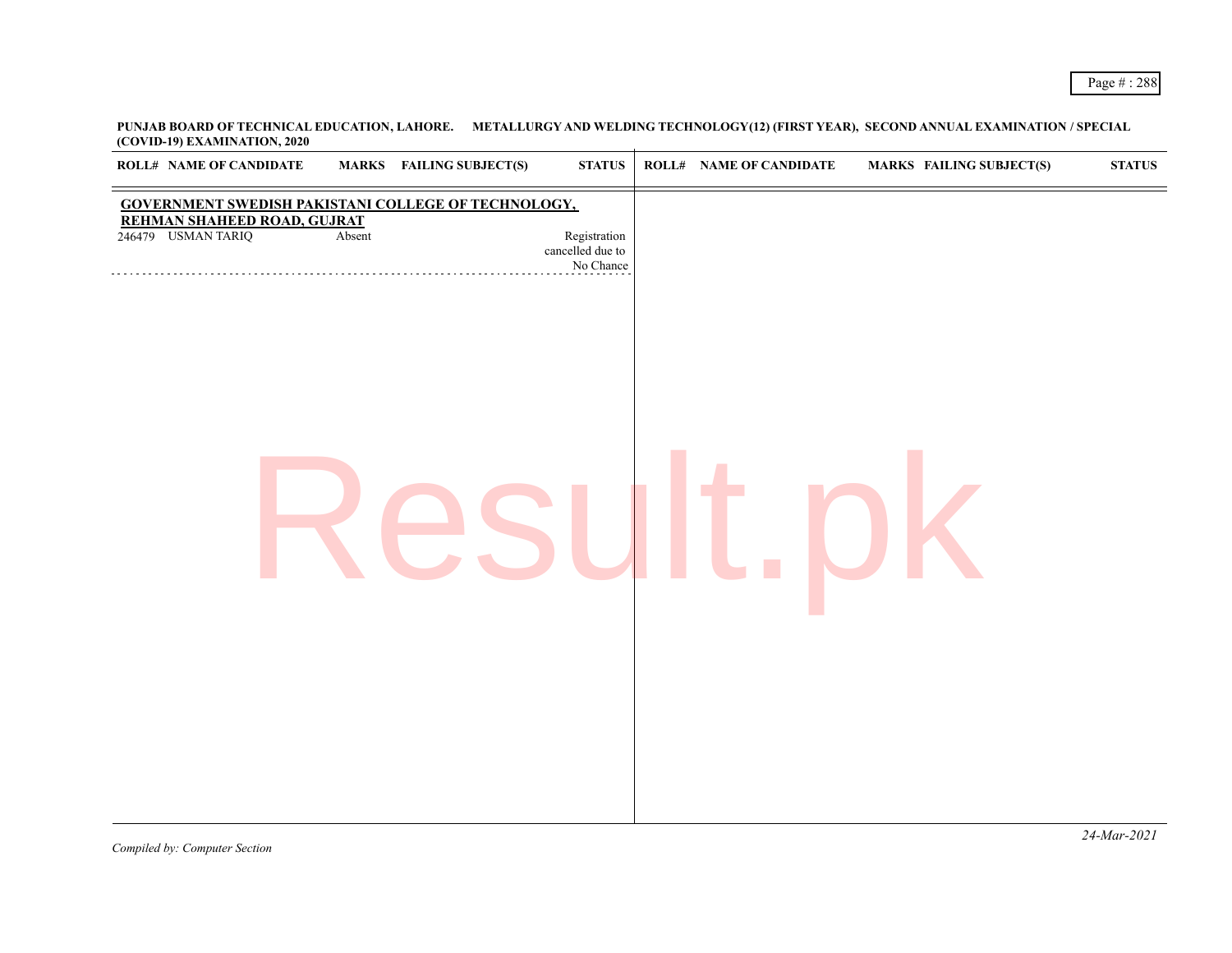| <b>ROLL# NAME OF CANDIDATE</b>                                                                           |        | <b>MARKS</b> FAILING SUBJECT(S) | ${\bf STATUS}$                                | <b>ROLL# NAME OF CANDIDATE</b> | <b>MARKS FAILING SUBJECT(S)</b> | $\bold{STATUS}$ |
|----------------------------------------------------------------------------------------------------------|--------|---------------------------------|-----------------------------------------------|--------------------------------|---------------------------------|-----------------|
| GOVERNMENT SWEDISH PAKISTANI COLLEGE OF TECHNOLOGY,<br>REHMAN SHAHEED ROAD, GUJRAT<br>246479 USMAN TARIQ | Absent |                                 | Registration<br>cancelled due to<br>No Chance |                                |                                 |                 |
|                                                                                                          |        |                                 |                                               |                                |                                 |                 |
|                                                                                                          |        |                                 |                                               |                                |                                 |                 |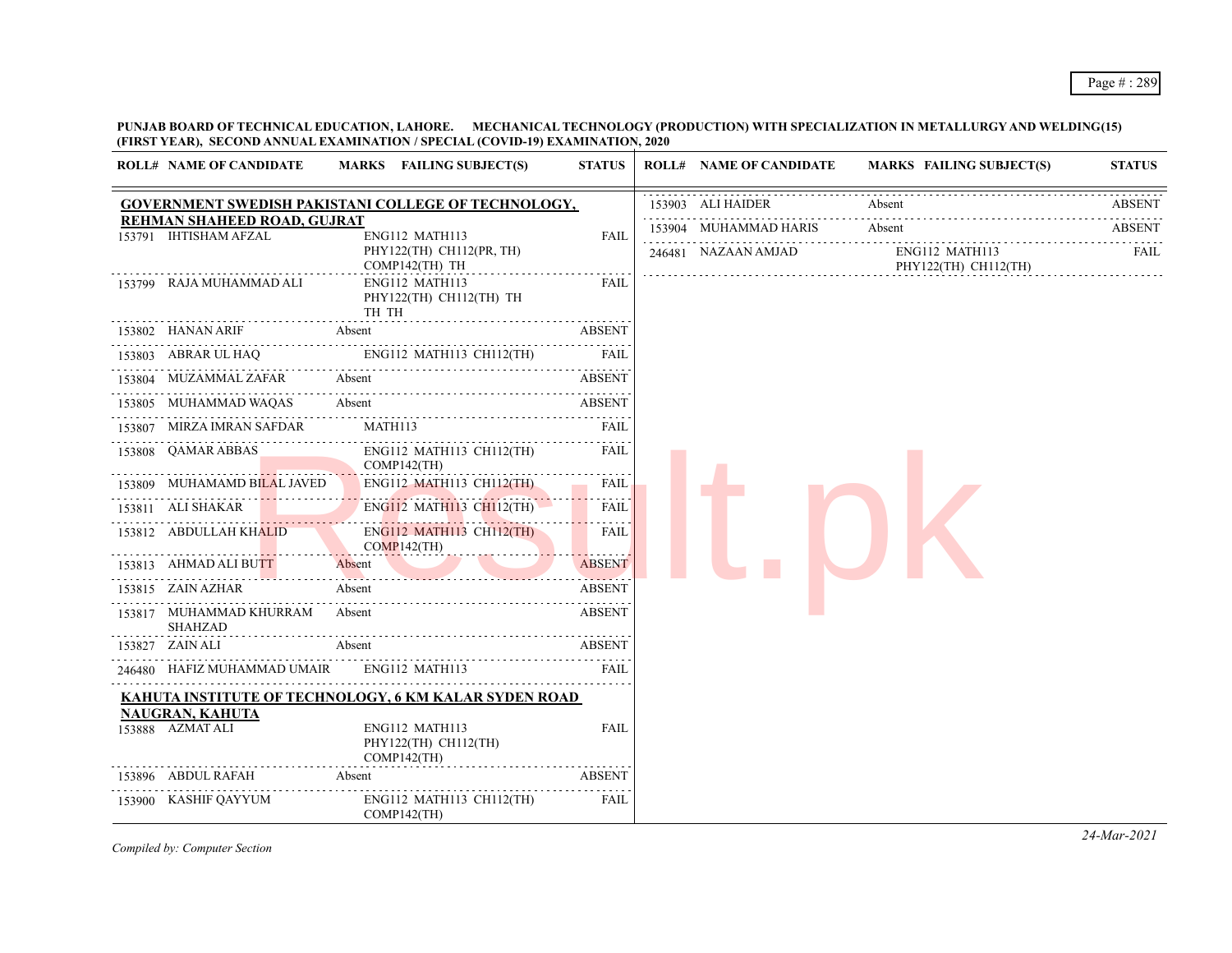**PUNJAB BOARD OF TECHNICAL EDUCATION, LAHORE. MECHANICAL TECHNOLOGY (PRODUCTION) WITH SPECIALIZATION IN METALLURGY AND WELDING(15) (FIRST YEAR), SECOND ANNUAL EXAMINATION / SPECIAL (COVID-19) EXAMINATION, 2020**

| <b>ROLL# NAME OF CANDIDATE</b>                       | MARKS FAILING SUBJECT(S)                                     | <b>STATUS</b>    | <b>ROLL# NAME OF CANDIDATE</b> | <b>MARKS FAILING SUBJECT(S)</b>        | <b>STATUS</b> |
|------------------------------------------------------|--------------------------------------------------------------|------------------|--------------------------------|----------------------------------------|---------------|
|                                                      | GOVERNMENT SWEDISH PAKISTANI COLLEGE OF TECHNOLOGY,          |                  | 153903 ALI HAIDER              | Absent                                 | <b>ABSENT</b> |
| REHMAN SHAHEED ROAD, GUJRAT<br>153791 IHTISHAM AFZAL |                                                              | <b>FAIL</b>      | 153904 MUHAMMAD HARIS          | Absent                                 | <b>ABSENT</b> |
|                                                      | ENG112 MATH113<br>PHY122(TH) CH112(PR, TH)<br>COMP142(TH) TH |                  | 246481 NAZAAN AMJAD            | ENG112 MATH113<br>PHY122(TH) CH112(TH) | FAIL          |
| 153799 RAJA MUHAMMAD ALI                             | ENG112 MATH113<br>PHY122(TH) CH112(TH) TH<br>TH TH           | <b>FAIL</b>      |                                |                                        |               |
| 153802 HANAN ARIF                                    | Absent                                                       | <b>ABSENT</b>    |                                |                                        |               |
| 153803 ABRAR UL HAQ                                  | ENG112 MATH113 CH112(TH)                                     | <b>FAIL</b>      |                                |                                        |               |
| 153804 MUZAMMAL ZAFAR                                | Absent                                                       | <b>ABSENT</b>    |                                |                                        |               |
| 153805 MUHAMMAD WAQAS                                | Absent                                                       | <b>ABSENT</b>    |                                |                                        |               |
| 153807 MIRZA IMRAN SAFDAR                            | MATH113                                                      | FAIL             |                                |                                        |               |
| 153808 QAMAR ABBAS                                   | ENG112 MATH113 CH112(TH)<br>$COMP142$ (TH)                   | <b>FAIL</b>      |                                |                                        |               |
| 153809 MUHAMAMD BILAL JAVED                          | ENG112 MATH113 CH112(TH)                                     | FAIL             |                                |                                        |               |
| 153811 ALI SHAKAR                                    | ENG112 MATH113 CH112(TH)                                     | .<br><b>FAIL</b> |                                |                                        |               |
| 153812 ABDULLAH KHALID                               | ENG112 MATH113 CH112(TH)<br>$COMP142$ (TH)                   | <b>FAIL</b>      |                                |                                        |               |
| 153813 AHMAD ALI BUTT                                | Absent                                                       | <b>ABSENT</b>    |                                |                                        |               |
| 153815 ZAIN AZHAR                                    | Absent                                                       | <b>ABSENT</b>    |                                |                                        |               |
| 153817 MUHAMMAD KHURRAM<br><b>SHAHZAD</b>            | Absent                                                       | <b>ABSENT</b>    |                                |                                        |               |
| 153827 ZAIN ALI                                      | Absent                                                       | <b>ABSENT</b>    |                                |                                        |               |
| 246480 HAFIZ MUHAMMAD UMAIR                          | MMAD UMAIR ENGI12 MATH113 FAIL                               |                  |                                |                                        |               |
|                                                      | KAHUTA INSTITUTE OF TECHNOLOGY, 6 KM KALAR SYDEN ROAD        |                  |                                |                                        |               |
| <b>NAUGRAN, KAHUTA</b><br>153888 AZMAT ALI           | ENG112 MATH113<br>PHY122(TH) CH112(TH)<br>COMP142(TH)        | <b>FAIL</b>      |                                |                                        |               |
| 153896 ABDUL RAFAH                                   | Absent                                                       | <b>ABSENT</b>    |                                |                                        |               |
| 153900 KASHIF QAYYUM                                 | ENG112 MATH113 CH112(TH)<br>$COMP142$ (TH)                   | FAIL             |                                |                                        |               |

*Compiled by: Computer Section*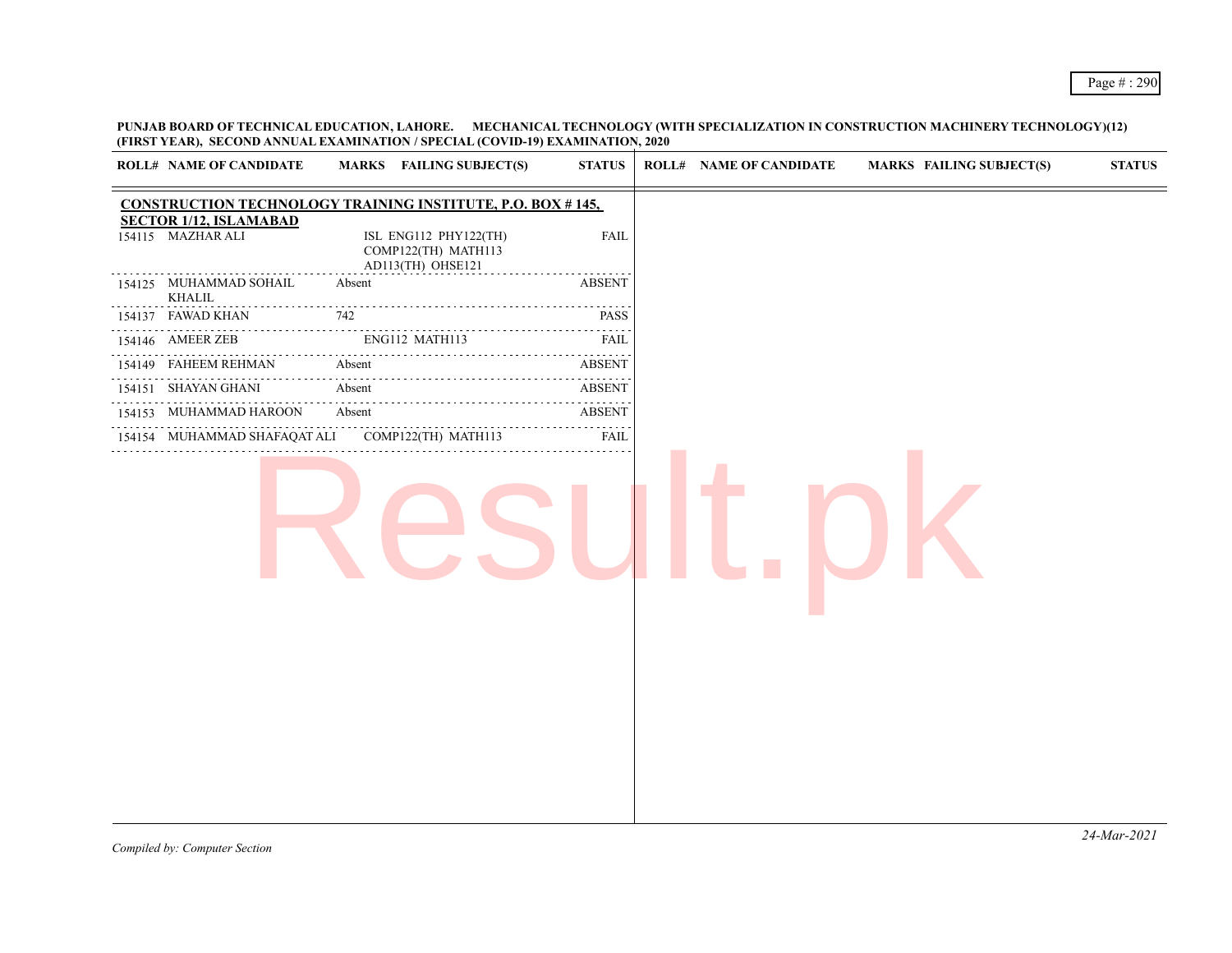**PUNJAB BOARD OF TECHNICAL EDUCATION, LAHORE. MECHANICAL TECHNOLOGY (WITH SPECIALIZATION IN CONSTRUCTION MACHINERY TECHNOLOGY)(12) (FIRST YEAR), SECOND ANNUAL EXAMINATION / SPECIAL (COVID-19) EXAMINATION, 2020**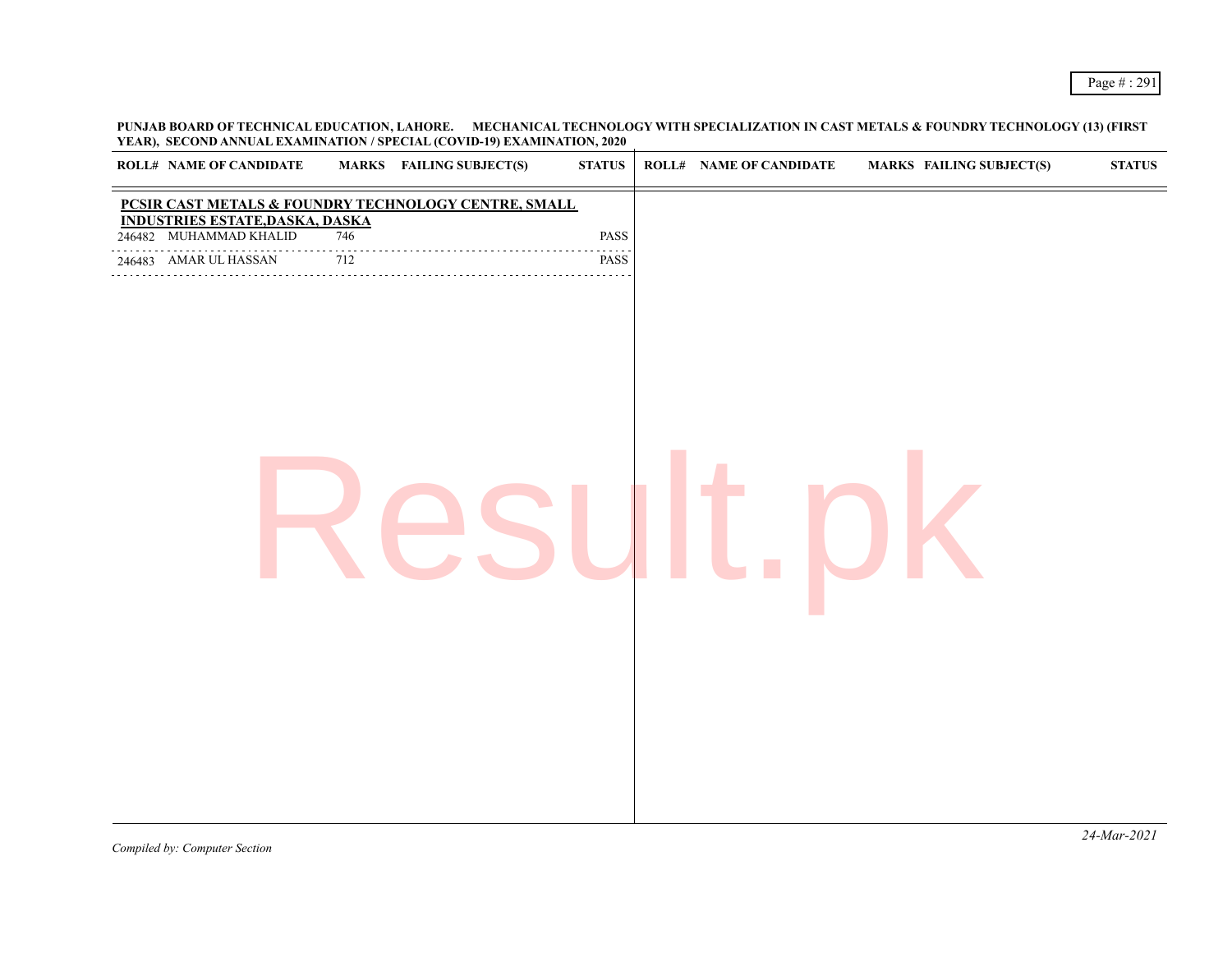**PUNJAB BOARD OF TECHNICAL EDUCATION, LAHORE. MECHANICAL TECHNOLOGY WITH SPECIALIZATION IN CAST METALS & FOUNDRY TECHNOLOGY (13) (FIRST YEAR), SECOND ANNUAL EXAMINATION / SPECIAL (COVID-19) EXAMINATION, 2020**

| <b>ROLL# NAME OF CANDIDATE</b>                                   |                 | <b>MARKS</b> FAILING SUBJECT(S) | <b>STATUS</b> | <b>ROLL# NAME OF CANDIDATE</b> | <b>MARKS FAILING SUBJECT(S)</b> | ${\bf STATUS}$ |
|------------------------------------------------------------------|-----------------|---------------------------------|---------------|--------------------------------|---------------------------------|----------------|
| PCSIR CAST METALS & FOUNDRY TECHNOLOGY CENTRE, SMALL             |                 |                                 |               |                                |                                 |                |
| <b>INDUSTRIES ESTATE, DASKA, DASKA</b><br>246482 MUHAMMAD KHALID | 746             |                                 | PASS          |                                |                                 |                |
| 246483 AMAR UL HASSAN                                            | $\frac{1}{712}$ |                                 | PASS          |                                |                                 |                |
|                                                                  |                 |                                 |               |                                |                                 | $2111$ $2021$  |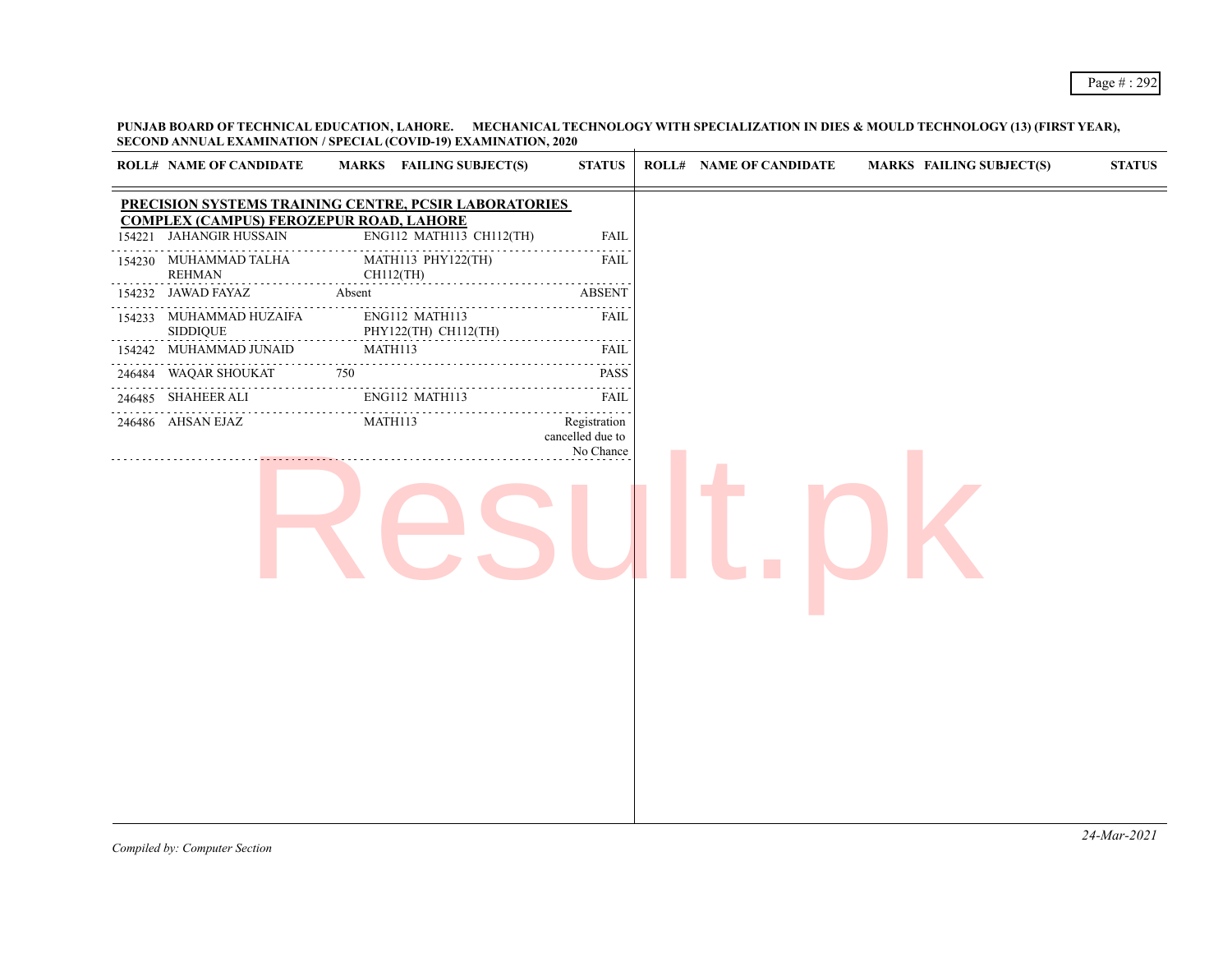**PUNJAB BOARD OF TECHNICAL EDUCATION, LAHORE. MECHANICAL TECHNOLOGY WITH SPECIALIZATION IN DIES & MOULD TECHNOLOGY (13) (FIRST YEAR), SECOND ANNUAL EXAMINATION / SPECIAL (COVID-19) EXAMINATION, 2020**

|        | <b>ROLL# NAME OF CANDIDATE</b>                                            | MARKS FAILING SUBJECT(S)                              | <b>STATUS</b>                                                                                                                     | <b>ROLL# NAME OF CANDIDATE</b> | <b>MARKS FAILING SUBJECT(S)</b> | <b>STATUS</b> |
|--------|---------------------------------------------------------------------------|-------------------------------------------------------|-----------------------------------------------------------------------------------------------------------------------------------|--------------------------------|---------------------------------|---------------|
|        |                                                                           | PRECISION SYSTEMS TRAINING CENTRE, PCSIR LABORATORIES |                                                                                                                                   |                                |                                 |               |
| 154221 | <b>COMPLEX (CAMPUS) FEROZEPUR ROAD, LAHORE</b><br><b>JAHANGIR HUSSAIN</b> | ENG112 MATH113 CH112(TH)                              | <b>FAIL</b>                                                                                                                       |                                |                                 |               |
|        | 154230 MUHAMMAD TALHA<br><b>REHMAN</b>                                    | MATH113 PHY122(TH)<br>CH112(TH)                       | <b>FAIL</b>                                                                                                                       |                                |                                 |               |
|        | 154232 JAWAD FAYAZ                                                        | Absent                                                | <b>ABSENT</b>                                                                                                                     |                                |                                 |               |
|        | 154233 MUHAMMAD HUZAIFA<br><b>SIDDIQUE</b>                                | ENG112 MATH113<br>PHY122(TH) CH112(TH)                | FAIL<br>$\frac{1}{2} \left( \frac{1}{2} \right) \left( \frac{1}{2} \right) \left( \frac{1}{2} \right) \left( \frac{1}{2} \right)$ |                                |                                 |               |
|        | 154242 MUHAMMAD JUNAID                                                    | MATH113                                               | <b>FAIL</b>                                                                                                                       |                                |                                 |               |
|        | 246484 WAQAR SHOUKAT                                                      | 750                                                   | <b>PASS</b>                                                                                                                       |                                |                                 |               |
|        | .<br>246485 SHAHEER ALI                                                   | ENG112 MATH113                                        | <b>FAIL</b>                                                                                                                       |                                |                                 |               |
|        | 246486 AHSAN EJAZ                                                         | MATH113                                               | Registration<br>cancelled due to<br>No Chance                                                                                     |                                |                                 |               |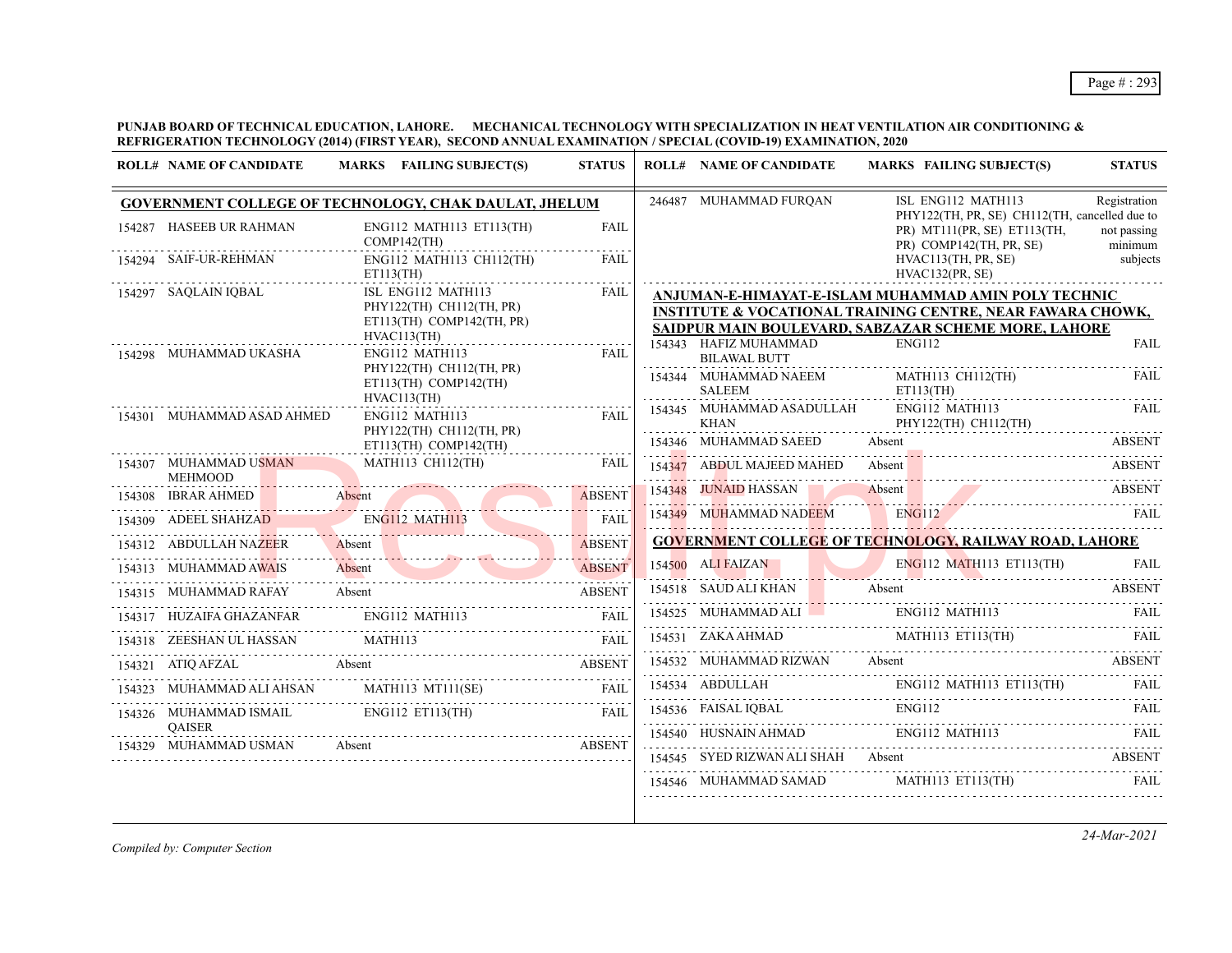**PUNJAB BOARD OF TECHNICAL EDUCATION, LAHORE. MECHANICAL TECHNOLOGY WITH SPECIALIZATION IN HEAT VENTILATION AIR CONDITIONING & REFRIGERATION TECHNOLOGY (2014) (FIRST YEAR), SECOND ANNUAL EXAMINATION / SPECIAL (COVID-19) EXAMINATION, 2020**

| <b>ROLL# NAME OF CANDIDATE</b>          | MARKS FAILING SUBJECT(S)                                                                   | <b>STATUS</b> | <b>ROLL# NAME OF CANDIDATE</b>                            | <b>MARKS FAILING SUBJECT(S)</b>                                                                                                                                                                                                                                                                                                                                                                                                                                         | <b>STATUS</b>          |
|-----------------------------------------|--------------------------------------------------------------------------------------------|---------------|-----------------------------------------------------------|-------------------------------------------------------------------------------------------------------------------------------------------------------------------------------------------------------------------------------------------------------------------------------------------------------------------------------------------------------------------------------------------------------------------------------------------------------------------------|------------------------|
|                                         | <b>GOVERNMENT COLLEGE OF TECHNOLOGY, CHAK DAULAT, JHELUM</b>                               |               | 246487 MUHAMMAD FURQAN                                    | ISL ENG112 MATH113                                                                                                                                                                                                                                                                                                                                                                                                                                                      | Registration           |
| 154287 HASEEB UR RAHMAN                 | ENG112 MATH113 ET113(TH)<br>$COMP142$ (TH)                                                 | FAIL          |                                                           | PHY122(TH, PR, SE) CH112(TH, cancelled due to<br>PR) MT111(PR, SE) ET113(TH,<br>PR) COMP142(TH, PR, SE)                                                                                                                                                                                                                                                                                                                                                                 | not passing<br>minimum |
| 154294 SAIF-UR-REHMAN                   | ENG112 MATH113 CH112(TH)<br>ET113(TH)                                                      | <b>FAIL</b>   |                                                           | HVAC113(TH, PR, SE)<br>HVAC132(PR, SE)                                                                                                                                                                                                                                                                                                                                                                                                                                  | subjects               |
| 154297 SAQLAIN IQBAL                    | ISL ENG112 MATH113<br>PHY122(TH) CH112(TH, PR)<br>ET113(TH) COMP142(TH, PR)<br>HVAC113(TH) | <b>FAIL</b>   | 154343 HAFIZ MUHAMMAD                                     | ANJUMAN-E-HIMAYAT-E-ISLAM MUHAMMAD AMIN POLY TECHNIC<br><b>INSTITUTE &amp; VOCATIONAL TRAINING CENTRE, NEAR FAWARA CHOWK,</b><br>SAIDPUR MAIN BOULEVARD, SABZAZAR SCHEME MORE, LAHORE<br><b>ENG112</b>                                                                                                                                                                                                                                                                  | FAIL                   |
| 154298 MUHAMMAD UKASHA                  | ENG112 MATH113<br>PHY122(TH) CH112(TH, PR)<br>$ET113(TH)$ COMP142(TH)                      | <b>FAIL</b>   | <b>BILAWAL BUTT</b><br>154344 MUHAMMAD NAEEM              | MATH113 CH112(TH)                                                                                                                                                                                                                                                                                                                                                                                                                                                       | FAIL                   |
| 154301 MUHAMMAD ASAD AHMED              | HVAC113(TH)<br>ENG112 MATH113                                                              | <b>FAIL</b>   | <b>SALEEM</b><br>154345 MUHAMMAD ASADULLAH<br><b>KHAN</b> | ET113(TH)<br>ENG112 MATH113<br>PHY122(TH) CH112(TH)                                                                                                                                                                                                                                                                                                                                                                                                                     | FAIL                   |
|                                         | PHY122(TH) CH112(TH, PR)<br>$ET113(TH)$ COMP142(TH)                                        |               | 154346 MUHAMMAD SAEED                                     | Absent                                                                                                                                                                                                                                                                                                                                                                                                                                                                  | <b>ABSENT</b>          |
| 154307 MUHAMMAD USMAN<br><b>MEHMOOD</b> | MATH113 CH112(TH)                                                                          | FAIL          |                                                           | 154347 ABDUL MAJEED MAHED Absent ABSENT ABSENT                                                                                                                                                                                                                                                                                                                                                                                                                          |                        |
| 154308 IBRAR AHMED                      | IBRAR AHMED Absent                                                                         |               |                                                           | 154348 JUNAID HASSAN Absent ABSENT                                                                                                                                                                                                                                                                                                                                                                                                                                      |                        |
| 154309 ADEEL SHAHZAD                    | ENGI12 MATH113 FAIL                                                                        |               |                                                           | 154349 MUHAMMAD NADEEM ENG112 FAIL                                                                                                                                                                                                                                                                                                                                                                                                                                      |                        |
| 154312 ABDULLAH NAZEER                  | Absent ABSENT                                                                              | <b>ABSENT</b> |                                                           | <b>GOVERNMENT COLLEGE OF TECHNOLOGY, RAILWAY ROAD, LAHORE</b>                                                                                                                                                                                                                                                                                                                                                                                                           |                        |
|                                         | 154313 MUHAMMAD AWAIS Absent ABSENT                                                        |               |                                                           | 154500 ALIFAIZAN ENGI12 MATH113 ET113(TH) FAIL                                                                                                                                                                                                                                                                                                                                                                                                                          |                        |
| 154315 MUHAMMAD RAFAY                   | Absent                                                                                     | <b>ABSENT</b> |                                                           | 154518 SAUD ALI KHAN Absent ABSENT                                                                                                                                                                                                                                                                                                                                                                                                                                      |                        |
| 154317 HUZAIFA GHAZANFAR ENG112 MATH113 |                                                                                            | <b>FAIL</b>   |                                                           | 154525 MUHAMMAD ALI ENG112 MATH113                                                                                                                                                                                                                                                                                                                                                                                                                                      | FAIL                   |
|                                         | 154318 ZEESHAN UL HASSAN MATH113 FAIL PART MATH113                                         |               |                                                           | 154531 ZAKA AHMAD MATHII3 ETII3(TH) FAIL                                                                                                                                                                                                                                                                                                                                                                                                                                |                        |
|                                         | 154321 ATIQ AFZAL Absent ABSENT ABSENT AREA ABSENT                                         |               |                                                           | 154532 MUHAMMAD RIZWAN Absent ABSENT                                                                                                                                                                                                                                                                                                                                                                                                                                    |                        |
|                                         | 154323 MUHAMMAD ALI AHSAN MATH113 MT111(SE)                                                | <b>FAIL</b>   |                                                           |                                                                                                                                                                                                                                                                                                                                                                                                                                                                         |                        |
| <b>OAISER</b>                           | 154326 MUHAMMAD ISMAIL ENG112 ET113(TH)                                                    | <b>FAIL</b>   |                                                           | 154536 FAISAL IQBAL ENGI12 FAIL FAIL FAIL FAIL                                                                                                                                                                                                                                                                                                                                                                                                                          |                        |
| 154329 MUHAMMAD USMAN                   | Absent ABSENT                                                                              |               |                                                           | $154540 \quad {\rm HUSNAIN\;AHMAD} \qquad {\rm ENG112\; MATH113} \qquad {\rm FAIL} \qquad {\rm FAIL} \qquad {\rm TUL} \qquad {\rm TUL} \qquad {\rm TUL} \qquad {\rm TUL} \qquad {\rm TUL} \qquad {\rm TUL} \qquad {\rm TUL} \qquad {\rm TUL} \qquad {\rm TUL} \qquad {\rm TUL} \qquad {\rm TUL} \qquad {\rm TUL} \qquad {\rm TUL} \qquad {\rm TUL} \qquad {\rm TUL} \qquad {\rm TUL} \qquad {\rm TUL} \qquad {\rm TUL} \qquad {\rm TUL} \qquad {\rm TUL} \qquad {\rm T$ |                        |
|                                         |                                                                                            |               |                                                           | 154545 SYED RIZWAN ALI SHAH Absent ABSENT<br>154546 MUHAMMAD SAMAD MATH113 ET113(TH)                                                                                                                                                                                                                                                                                                                                                                                    | FAIL                   |
|                                         |                                                                                            |               |                                                           |                                                                                                                                                                                                                                                                                                                                                                                                                                                                         |                        |

*Compiled by: Computer Section*

*24-Mar-2021*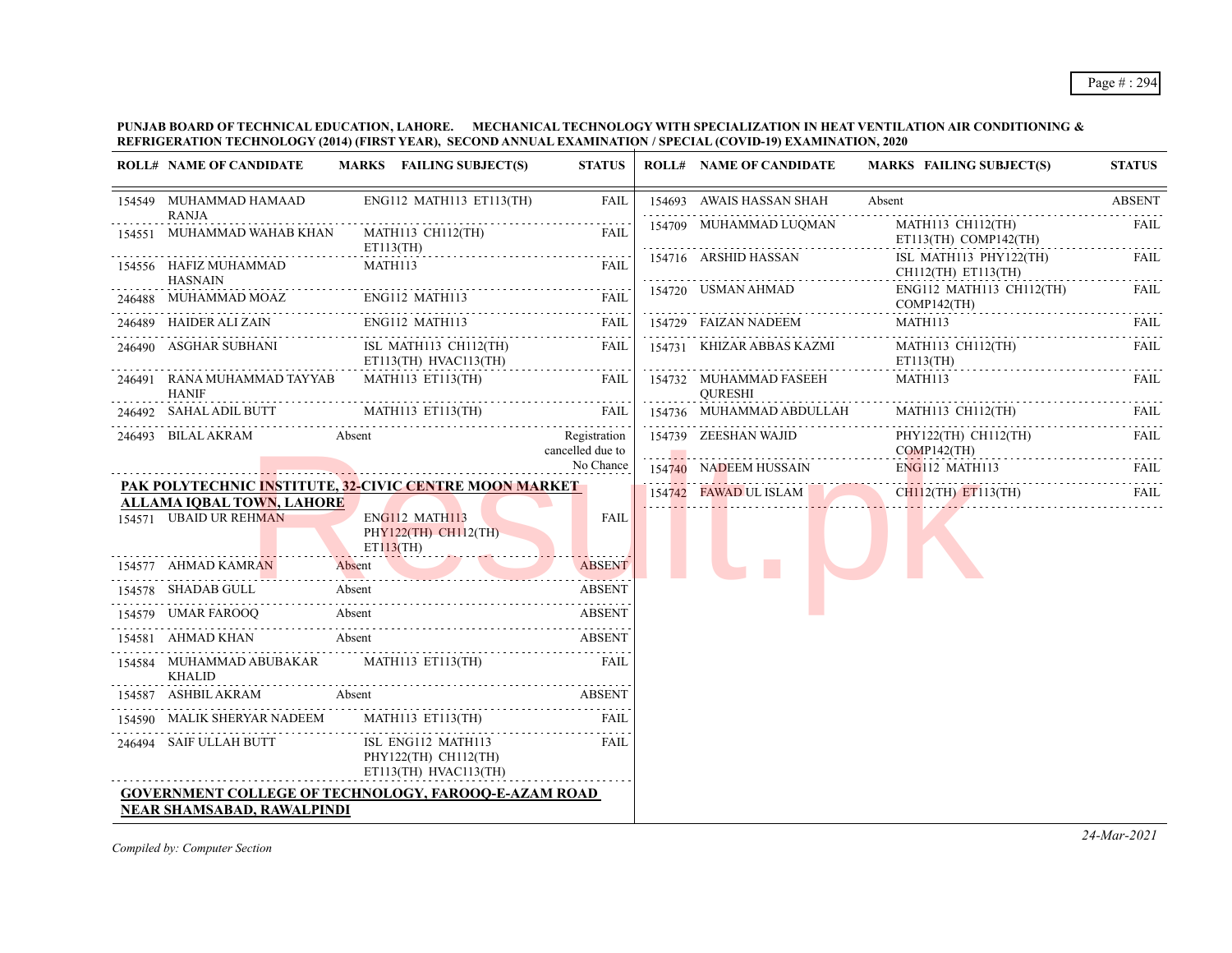#### **PUNJAB BOARD OF TECHNICAL EDUCATION, LAHORE. MECHANICAL TECHNOLOGY WITH SPECIALIZATION IN HEAT VENTILATION AIR CONDITIONING & REFRIGERATION TECHNOLOGY (2014) (FIRST YEAR), SECOND ANNUAL EXAMINATION / SPECIAL (COVID-19) EXAMINATION, 2020**

| <b>ROLL# NAME OF CANDIDATE</b>                              | MARKS FAILING SUBJECT(S)                                                                                                       | <b>STATUS</b>                    | <b>ROLL# NAME OF CANDIDATE</b>           | <b>MARKS FAILING SUBJECT(S)</b>                | <b>STATUS</b> |
|-------------------------------------------------------------|--------------------------------------------------------------------------------------------------------------------------------|----------------------------------|------------------------------------------|------------------------------------------------|---------------|
| 154549 MUHAMMAD HAMAAD<br><b>RANJA</b>                      | ENG112 MATH113 ET113(TH)                                                                                                       | FAIL                             | 154693 AWAIS HASSAN SHAH                 | Absent                                         | <b>ABSENT</b> |
| 154551 MUHAMMAD WAHAB KHAN                                  | MATH113 CH112(TH)                                                                                                              | FAIL                             | 154709 MUHAMMAD LUQMAN                   | MATH113 CH112(TH)<br>ET113(TH) COMP142(TH)     | FAIL          |
| 154556 HAFIZ MUHAMMAD                                       | ET113(TH)<br>MATH113                                                                                                           | <b>FAIL</b>                      | 154716 ARSHID HASSAN                     | ISL MATH113 PHY122(TH)<br>CH112(TH) ET113(TH)  | <b>FAIL</b>   |
| <b>HASNAIN</b>                                              | 246488 MUHAMMAD MOAZ ENG112 MATH113 FAIL                                                                                       |                                  | 154720 USMAN AHMAD                       | ENG112 MATH113 CH112(TH)<br>$COMP142$ (TH)     | <b>FAIL</b>   |
| 246489 HAIDER ALI ZAIN ENGI12 MATH113                       |                                                                                                                                | FAIL                             | 154729 FAIZAN NADEEM                     | MATH113                                        | FAIL          |
| 246490 ASGHAR SUBHANI                                       | ISL MATH113 CH112(TH)<br>ET113(TH) HVAC113(TH)                                                                                 | FAIL<br>.                        | 154731 KHIZAR ABBAS KAZMI                | MATH113 CH112(TH)<br>ET113(TH)                 | <b>FAIL</b>   |
| 246491 RANA MUHAMMAD TAYYAB<br><b>HANIF</b>                 | MATH113 ET113(TH)                                                                                                              | FAIL                             | 154732 MUHAMMAD FASEEH<br><b>OURESHI</b> | MATH113                                        | FAIL          |
|                                                             | 246492 SAHAL ADIL BUTT MATH113 ET113(TH) FAIL                                                                                  |                                  | 154736 MUHAMMAD ABDULLAH                 | MATH113 CH112(TH)                              | FAIL.         |
| 246493 BILAL AKRAM                                          | Absent                                                                                                                         | Registration<br>cancelled due to | 154739 ZEESHAN WAJID                     | PHY122(TH) CH112(TH)<br>$COMP142$ (TH)         | <b>FAIL</b>   |
|                                                             |                                                                                                                                | No Chance                        | 154740 NADEEM HUSSAIN                    | $ENG112$ MATH113                               | <b>FAIL</b>   |
|                                                             | <b>PAK POLYTECHNIC INSTITUTE, 32-CIVIC CENTRE MOON MARKET</b>                                                                  |                                  |                                          | 154742 FAWAD UL ISLAM CHII2(TH) ET113(TH) FAIL |               |
| <b>ALLAMA IQBAL TOWN, LAHORE</b><br>154571 UBAID UR REHMAN  | ENG112 MATH113<br>PHY122(TH) CH112(TH)<br>$ET113$ (TH)                                                                         | FAIL                             |                                          |                                                |               |
| 154577 AHMAD KAMRAN                                         | Absent<br><u> 1999 - Johann John Harry, mars and deutscher Schwarzen und der Kanaden und der Stadt und der Stadt und der S</u> | <b>ABSENT</b>                    |                                          |                                                |               |
| 154578 SHADAB GULL                                          | Absent                                                                                                                         | . . <b>.</b> .<br><b>ABSENT</b>  |                                          |                                                |               |
|                                                             | 154579 UMAR FAROOQ Absent ABSENT                                                                                               |                                  |                                          |                                                |               |
| 154581 AHMAD KHAN                                           | Absent                                                                                                                         | <b>ABSENT</b>                    |                                          |                                                |               |
| 154584 MUHAMMAD ABUBAKAR MATH113 ET113(TH)<br><b>KHALID</b> |                                                                                                                                | FAIL                             |                                          |                                                |               |
| 154587 ASHBIL AKRAM                                         | Absent                                                                                                                         | <b>ABSENT</b>                    |                                          |                                                |               |
|                                                             | 154590 MALIK SHERYAR NADEEM MATH113 ET113(TH)                                                                                  | <b>FAIL</b>                      |                                          |                                                |               |
| 246494 SAIF ULLAH BUTT                                      | ISL ENG112 MATH113<br>PHY122(TH) CH112(TH)<br>ET113(TH) HVAC113(TH)                                                            | <b>FAIL</b>                      |                                          |                                                |               |
| NEAR SHAMSABAD, RAWALPINDI                                  | <b>GOVERNMENT COLLEGE OF TECHNOLOGY, FAROOO-E-AZAM ROAD</b>                                                                    |                                  |                                          |                                                |               |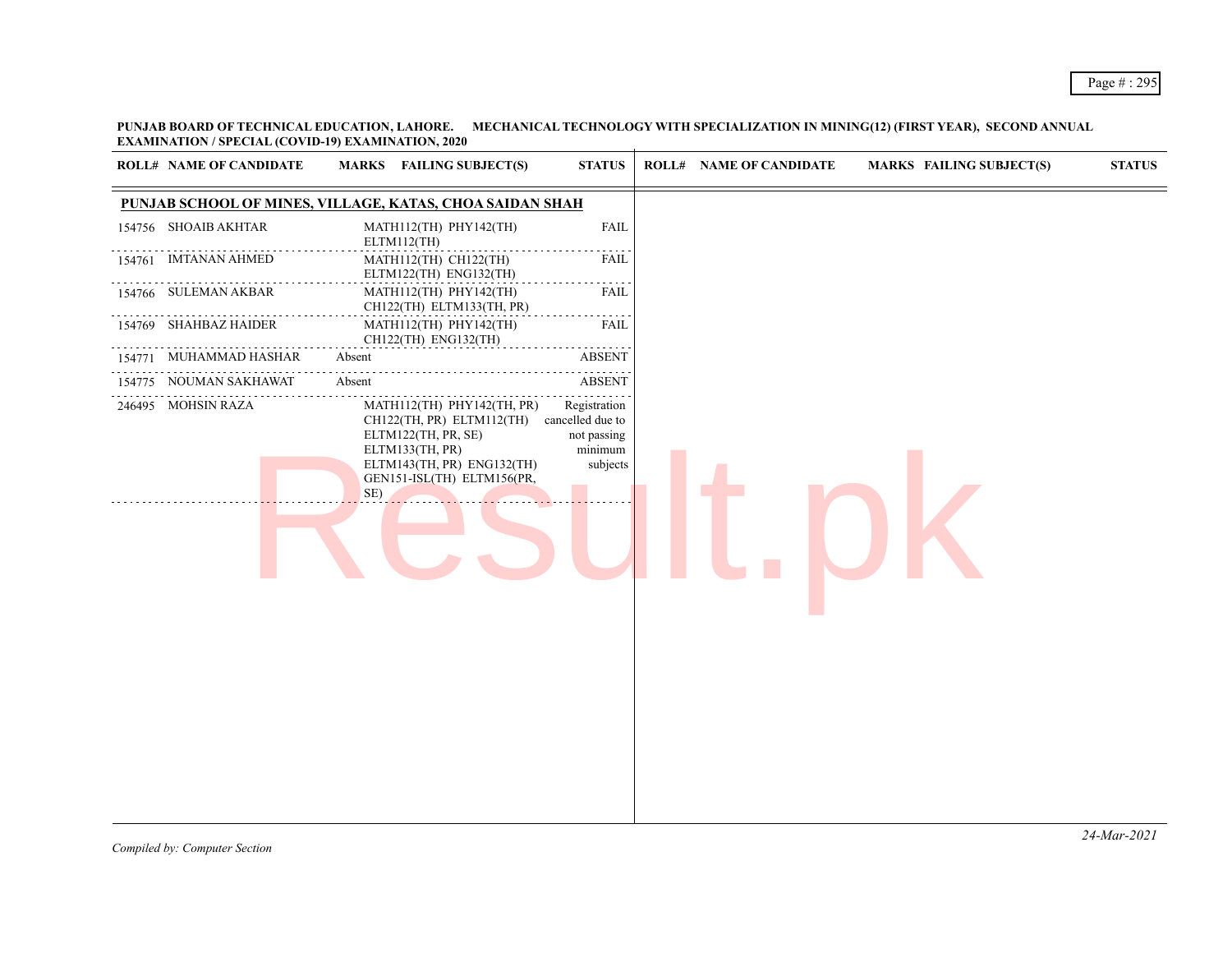**PUNJAB BOARD OF TECHNICAL EDUCATION, LAHORE. MECHANICAL TECHNOLOGY WITH SPECIALIZATION IN MINING(12) (FIRST YEAR), SECOND ANNUAL EXAMINATION / SPECIAL (COVID-19) EXAMINATION, 2020**

|        | <b>ROLL# NAME OF CANDIDATE</b> | MARKS FAILING SUBJECT(S)                                                                                                                                             | <b>STATUS</b>                                                                                                                           | <b>ROLL# NAME OF CANDIDATE</b> | <b>MARKS FAILING SUBJECT(S)</b> | <b>STATUS</b> |
|--------|--------------------------------|----------------------------------------------------------------------------------------------------------------------------------------------------------------------|-----------------------------------------------------------------------------------------------------------------------------------------|--------------------------------|---------------------------------|---------------|
|        |                                | PUNJAB SCHOOL OF MINES, VILLAGE, KATAS, CHOA SAIDAN SHAH                                                                                                             |                                                                                                                                         |                                |                                 |               |
|        | 154756 SHOAIB AKHTAR           | MATH112(TH) PHY142(TH)<br>ELTM112(TH)                                                                                                                                | <b>FAIL</b>                                                                                                                             |                                |                                 |               |
|        | 154761 IMTANAN AHMED           | MATH112(TH) CH122(TH)<br>ELTM122(TH) ENG132(TH)                                                                                                                      | <b>FAIL</b>                                                                                                                             |                                |                                 |               |
|        | 154766 SULEMAN AKBAR           | MATH112(TH) PHY142(TH)<br>CH122(TH) ELTM133(TH, PR)                                                                                                                  | <b>FAIL</b>                                                                                                                             |                                |                                 |               |
|        | 154769 SHAHBAZ HAIDER          | MATH112(TH) PHY142(TH)<br>CH122(TH) ENG132(TH)                                                                                                                       | FAIL                                                                                                                                    |                                |                                 |               |
|        | 154771 MUHAMMAD HASHAR         | Absent                                                                                                                                                               | <b>ABSENT</b>                                                                                                                           |                                |                                 |               |
| 154775 | NOUMAN SAKHAWAT                | Absent                                                                                                                                                               | $\mathcal{L}^{\mathcal{A}}(\mathcal{A})=\mathcal{L}^{\mathcal{A}}(\mathcal{A})=\mathcal{L}^{\mathcal{A}}(\mathcal{A})$<br><b>ABSENT</b> |                                |                                 |               |
|        | 246495 MOHSIN RAZA             | MATH112(TH) PHY142(TH, PR)<br>CH122(TH, PR) ELTM112(TH)<br>ELTM122(TH, PR, SE)<br>ELTM133(TH, PR)<br>ELTM143(TH, PR) ENG132(TH)<br>GEN151-ISL(TH) ELTM156(PR,<br>SE) | Registration<br>cancelled due to<br>not passing<br>minimum<br>subjects                                                                  |                                |                                 |               |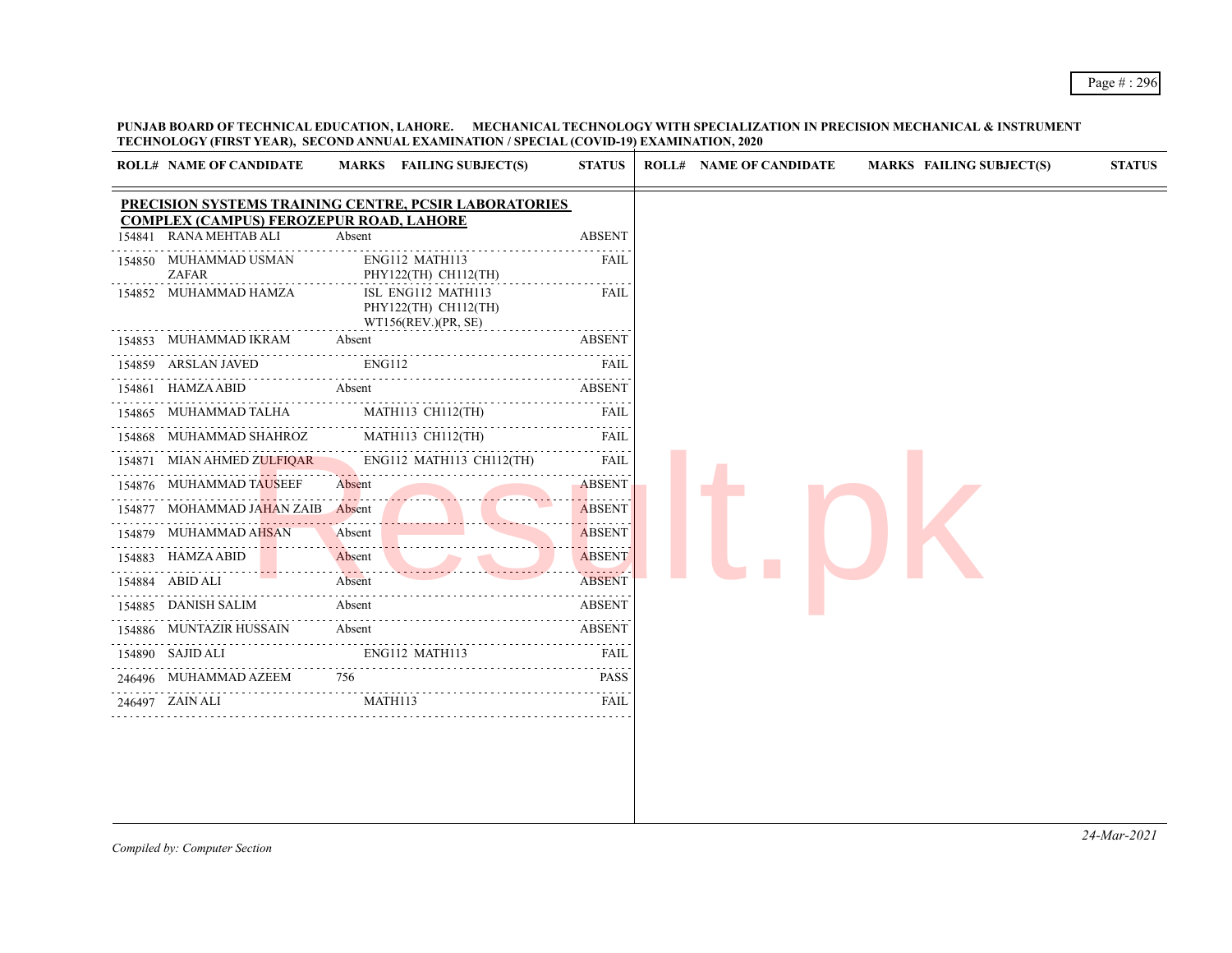**PUNJAB BOARD OF TECHNICAL EDUCATION, LAHORE. MECHANICAL TECHNOLOGY WITH SPECIALIZATION IN PRECISION MECHANICAL & INSTRUMENT TECHNOLOGY (FIRST YEAR), SECOND ANNUAL EXAMINATION / SPECIAL (COVID-19) EXAMINATION, 2020**

|        | <b>ROLL# NAME OF CANDIDATE</b>                             | MARKS FAILING SUBJECT(S)                                          | <b>STATUS</b>    | <b>ROLL# NAME OF CANDIDATE</b> | <b>MARKS FAILING SUBJECT(S)</b> | <b>STATUS</b> |
|--------|------------------------------------------------------------|-------------------------------------------------------------------|------------------|--------------------------------|---------------------------------|---------------|
|        |                                                            | PRECISION SYSTEMS TRAINING CENTRE, PCSIR LABORATORIES             |                  |                                |                                 |               |
| 154841 | COMPLEX (CAMPUS) FEROZEPUR ROAD, LAHORE<br>RANA MEHTAB ALI | Absent                                                            | <b>ABSENT</b>    |                                |                                 |               |
|        | 154850 MUHAMMAD USMAN<br>ZAFAR                             | ENG112 MATH113<br>PHY122(TH) CH112(TH)                            | FAIL             |                                |                                 |               |
|        | 154852 MUHAMMAD HAMZA                                      | ISL ENG112 MATH113<br>PHY122(TH) CH112(TH)<br>WT156(REV.)(PR, SE) | FAIL             |                                |                                 |               |
|        | 154853 MUHAMMAD IKRAM                                      | Absent                                                            | <b>ABSENT</b>    |                                |                                 |               |
|        | 154859 ARSLAN JAVED                                        | <b>ENG112</b>                                                     | FAIL             |                                |                                 |               |
|        | 154861 HAMZA ABID                                          | Absent                                                            | <b>ABSENT</b>    |                                |                                 |               |
|        | 154865 MUHAMMAD TALHA                                      | MATH113 CH112(TH)                                                 | FAIL             |                                |                                 |               |
| 154868 | MUHAMMAD SHAHROZ                                           | MATH113 CH112(TH)                                                 | .<br><b>FAIL</b> |                                |                                 |               |
|        | 154871 MIAN AHMED ZULFIQAR                                 | ENG112 MATH113 CH112(TH)                                          | <b>FAIL</b>      |                                |                                 |               |
|        | 154876 MUHAMMAD TAUSEEF                                    | Absent                                                            | <b>ABSENT</b>    |                                |                                 |               |
|        | 154877 MOHAMMAD JAHAN ZAIB Absent                          |                                                                   | <b>ABSENT</b>    |                                |                                 |               |
|        | 154879 MUHAMMAD AHSAN                                      | Absent                                                            | <b>ABSENT</b>    |                                |                                 |               |
|        | 154883 HAMZA ABID                                          | Absent                                                            | <b>ABSENT</b>    |                                |                                 |               |
|        | 154884 ABID ALI                                            | Absent                                                            | <b>ABSENT</b>    |                                |                                 |               |
|        | 154885 DANISH SALIM                                        | Absent                                                            | <b>ABSENT</b>    |                                |                                 |               |
|        | 154886 MUNTAZIR HUSSAIN                                    | Absent                                                            | <b>ABSENT</b>    |                                |                                 |               |
|        | 154890 SAJID ALI                                           | ENG112 MATH113                                                    | <b>FAIL</b>      |                                |                                 |               |
|        | 246496 MUHAMMAD AZEEM                                      | 756                                                               | <b>PASS</b>      |                                |                                 |               |
|        | 246497 ZAIN ALI                                            | MATH113                                                           | FAIL             |                                |                                 |               |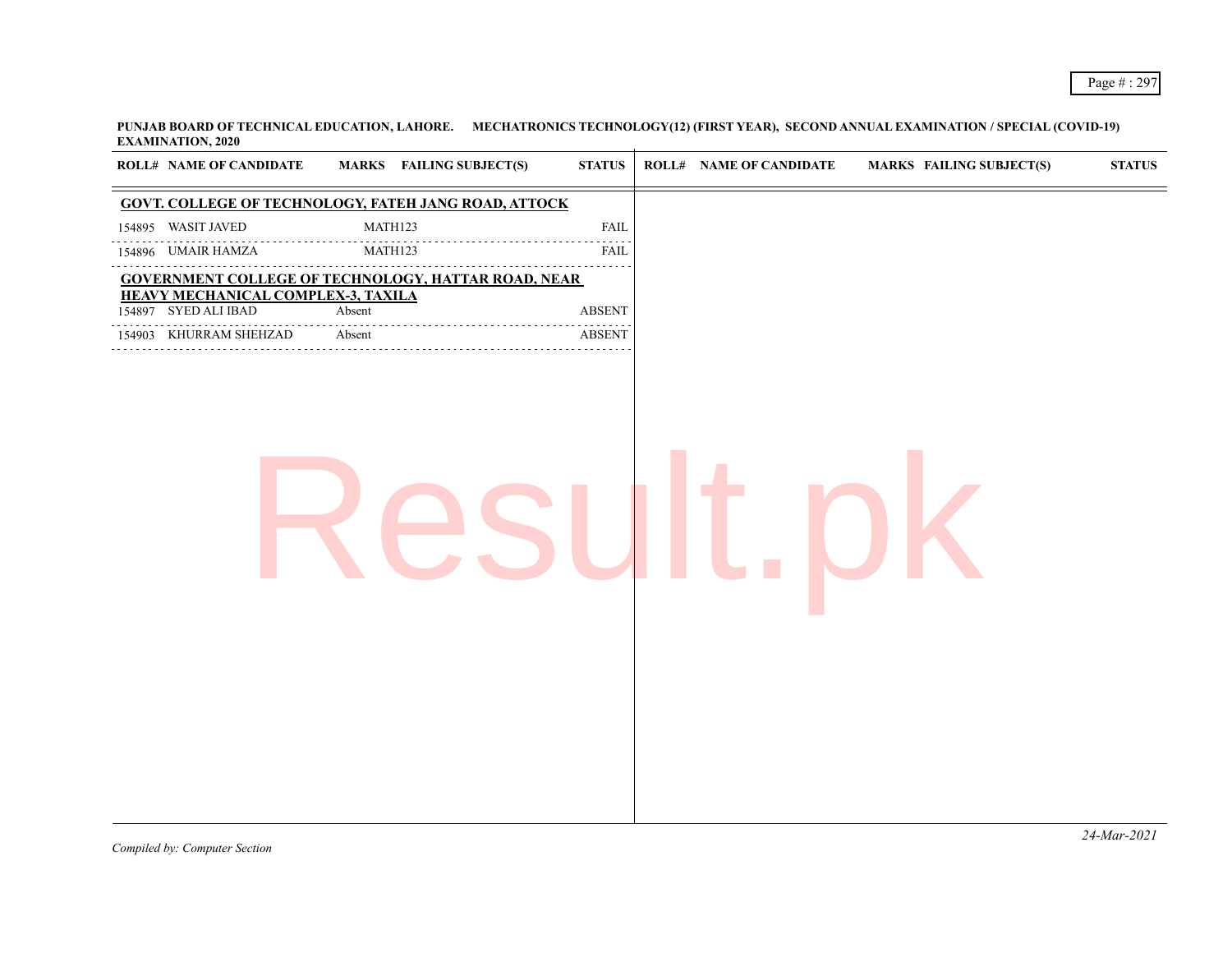**PUNJAB BOARD OF TECHNICAL EDUCATION, LAHORE. MECHATRONICS TECHNOLOGY(12) (FIRST YEAR), SECOND ANNUAL EXAMINATION / SPECIAL (COVID-19) EXAMINATION, 2020**

| ROLL# NAME OF CANDIDATE                                    | <b>MARKS</b> FAILING SUBJECT(S)                             | $\boldsymbol{\mathrm{STAT}}$ | <b>ROLL# NAME OF CANDIDATE</b> | MARKS FAILING SUBJECT(S) | $\boldsymbol{\mathrm{STAT}}$ |
|------------------------------------------------------------|-------------------------------------------------------------|------------------------------|--------------------------------|--------------------------|------------------------------|
|                                                            | <b>GOVT. COLLEGE OF TECHNOLOGY, FATEH JANG ROAD, ATTOCK</b> |                              |                                |                          |                              |
| 154895 WASIT JAVED                                         | MATH123                                                     | ${\rm FAIL}$                 |                                |                          |                              |
| .<br>154896 UMAIR HAMZA                                    | MATH123                                                     | <b>FAIL</b>                  |                                |                          |                              |
|                                                            | <b>GOVERNMENT COLLEGE OF TECHNOLOGY, HATTAR ROAD, NEAR</b>  | 222222                       |                                |                          |                              |
| HEAVY MECHANICAL COMPLEX-3, TAXILA<br>154897 SYED ALI IBAD | Absent                                                      | <b>ABSENT</b>                |                                |                          |                              |
| 154903 KHURRAM SHEHZAD                                     | Absent                                                      | <b>ABSENT</b>                |                                |                          |                              |
|                                                            |                                                             |                              |                                |                          |                              |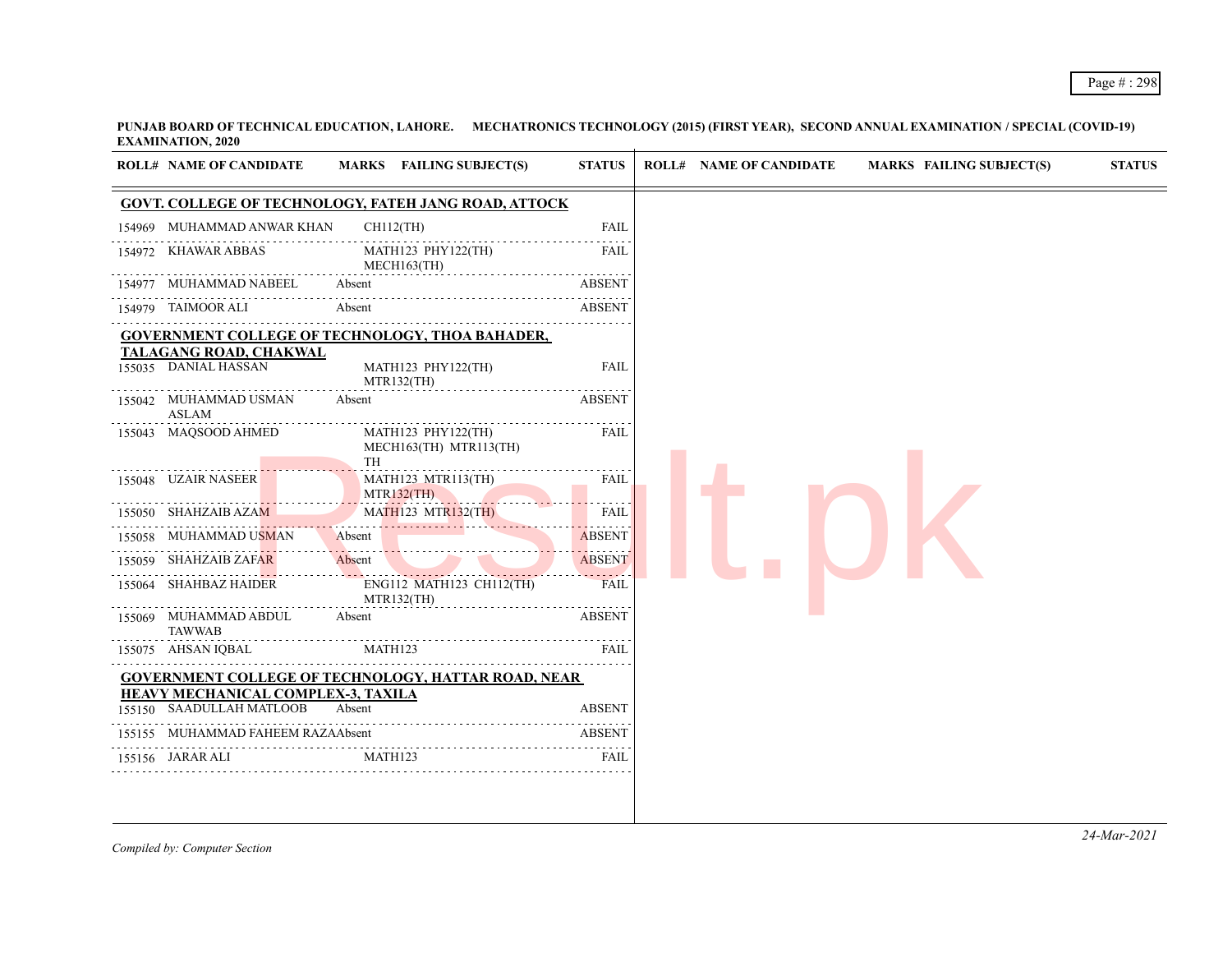**PUNJAB BOARD OF TECHNICAL EDUCATION, LAHORE. MECHATRONICS TECHNOLOGY (2015) (FIRST YEAR), SECOND ANNUAL EXAMINATION / SPECIAL (COVID-19) EXAMINATION, 2020**

|        | <b>ROLL# NAME OF CANDIDATE</b>                                        | MARKS FAILING SUBJECT(S)                                    | <b>STATUS</b>       | <b>ROLL# NAME OF CANDIDATE</b> | <b>MARKS FAILING SUBJECT(S)</b> |
|--------|-----------------------------------------------------------------------|-------------------------------------------------------------|---------------------|--------------------------------|---------------------------------|
|        |                                                                       | <b>GOVT. COLLEGE OF TECHNOLOGY, FATEH JANG ROAD, ATTOCK</b> |                     |                                |                                 |
| 154969 | MUHAMMAD ANWAR KHAN                                                   | $CH112$ (TH)                                                | <b>FAIL</b>         |                                |                                 |
| 154972 | KHAWAR ABBAS                                                          | MATH123 PHY122(TH)<br>MECH163(TH)                           | FAIL                |                                |                                 |
|        | 154977 MUHAMMAD NABEEL                                                | Absent                                                      | <b>ABSENT</b>       |                                |                                 |
|        | 154979 TAIMOOR ALI                                                    | Absent                                                      | <b>ABSENT</b>       |                                |                                 |
|        |                                                                       | <b>GOVERNMENT COLLEGE OF TECHNOLOGY, THOA BAHADER,</b>      |                     |                                |                                 |
|        | <b>TALAGANG ROAD, CHAKWAL</b><br>155035 DANIAL HASSAN                 | MATH123 PHY122(TH)<br>MTR132(TH)                            | <b>FAIL</b>         |                                |                                 |
|        | 155042 MUHAMMAD USMAN<br><b>ASLAM</b>                                 | Absent                                                      | <b>ABSENT</b>       |                                |                                 |
|        | 155043 MAQSOOD AHMED                                                  | MATH123 PHY122(TH)<br>MECH163(TH) MTR113(TH)<br>TH          | FAIL                |                                |                                 |
|        | 155048 UZAIR NASEER                                                   | MATH123 MTR113(TH)<br>MTR132(TH)                            | FAIL<br>and a state |                                |                                 |
|        | 155050 SHAHZAIB AZAM                                                  | <b>MATH123 MTR132(TH)</b>                                   | FAIL                |                                |                                 |
| 155058 | MUHAMMAD USMAN                                                        | Absent                                                      | <b>ABSENT</b>       |                                |                                 |
| 155059 | SHAHZAIB ZAF <mark>AR</mark>                                          | <u>.</u><br>Absent                                          | <b>ABSENT</b>       |                                |                                 |
|        | 155064 SHAHBAZ HAIDER                                                 | ENG112 MATH123 CH112(TH)<br>MTR132(TH)                      | <b>FAIL</b>         |                                |                                 |
|        | 155069 MUHAMMAD ABDUL<br><b>TAWWAB</b>                                | Absent                                                      | <b>ABSENT</b>       |                                |                                 |
|        | 155075 AHSAN IQBAL                                                    | MATH123                                                     | <b>FAIL</b>         |                                |                                 |
|        |                                                                       | <b>GOVERNMENT COLLEGE OF TECHNOLOGY, HATTAR ROAD, NEAR</b>  |                     |                                |                                 |
|        | <b>HEAVY MECHANICAL COMPLEX-3, TAXILA</b><br>155150 SAADULLAH MATLOOB | Absent                                                      | <b>ABSENT</b>       |                                |                                 |
|        | 155155 MUHAMMAD FAHEEM RAZAAbsent                                     |                                                             | <b>ABSENT</b>       |                                |                                 |
|        | 155156 JARAR ALI                                                      | MATH123                                                     | FAIL                |                                |                                 |

*Compiled by: Computer Section*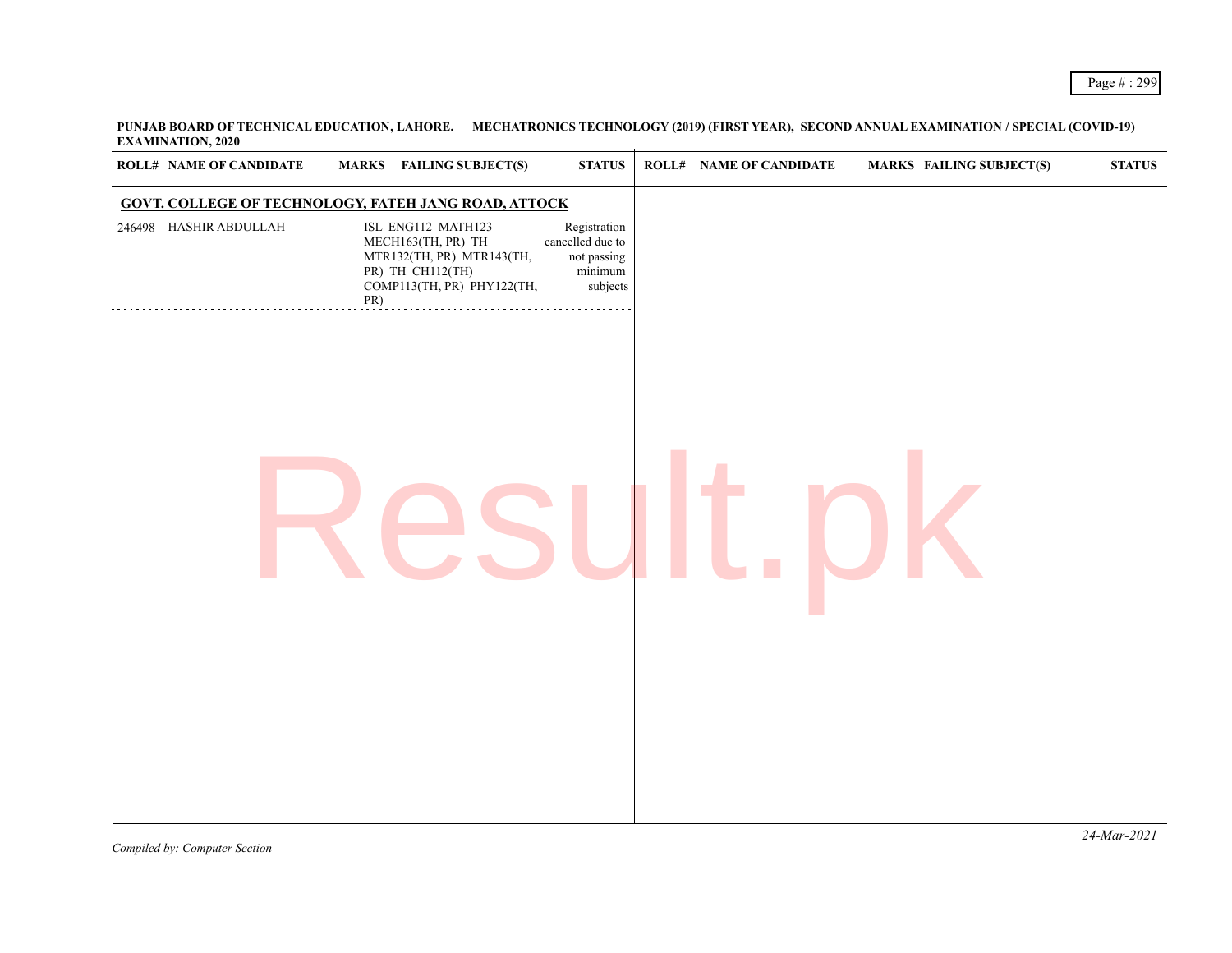**PUNJAB BOARD OF TECHNICAL EDUCATION, LAHORE. MECHATRONICS TECHNOLOGY (2019) (FIRST YEAR), SECOND ANNUAL EXAMINATION / SPECIAL (COVID-19) EXAMINATION, 2020**

| <b>ROLL# NAME OF CANDIDATE</b>                              |     | <b>MARKS</b> FAILING SUBJECT(S)                                                                                         | <b>STATUS</b>                                                            | <b>ROLL# NAME OF CANDIDATE</b> | <b>MARKS FAILING SUBJECT(S)</b> | ${\bf STATUS}$ |
|-------------------------------------------------------------|-----|-------------------------------------------------------------------------------------------------------------------------|--------------------------------------------------------------------------|--------------------------------|---------------------------------|----------------|
| <b>GOVT. COLLEGE OF TECHNOLOGY, FATEH JANG ROAD, ATTOCK</b> |     |                                                                                                                         |                                                                          |                                |                                 |                |
| 246498 HASHIR ABDULLAH                                      | PR) | ISL ENG112 MATH123<br>MECH163(TH, PR) TH<br>MTR132(TH, PR) MTR143(TH,<br>PR) TH CH112(TH)<br>COMP113(TH, PR) PHY122(TH, | Registration<br>cancelled due to<br>not passing<br>$minimum$<br>subjects |                                |                                 |                |
|                                                             |     |                                                                                                                         |                                                                          |                                |                                 |                |
|                                                             |     |                                                                                                                         |                                                                          |                                |                                 |                |
|                                                             |     |                                                                                                                         |                                                                          |                                |                                 |                |
|                                                             |     |                                                                                                                         |                                                                          |                                |                                 |                |
|                                                             |     |                                                                                                                         |                                                                          |                                |                                 |                |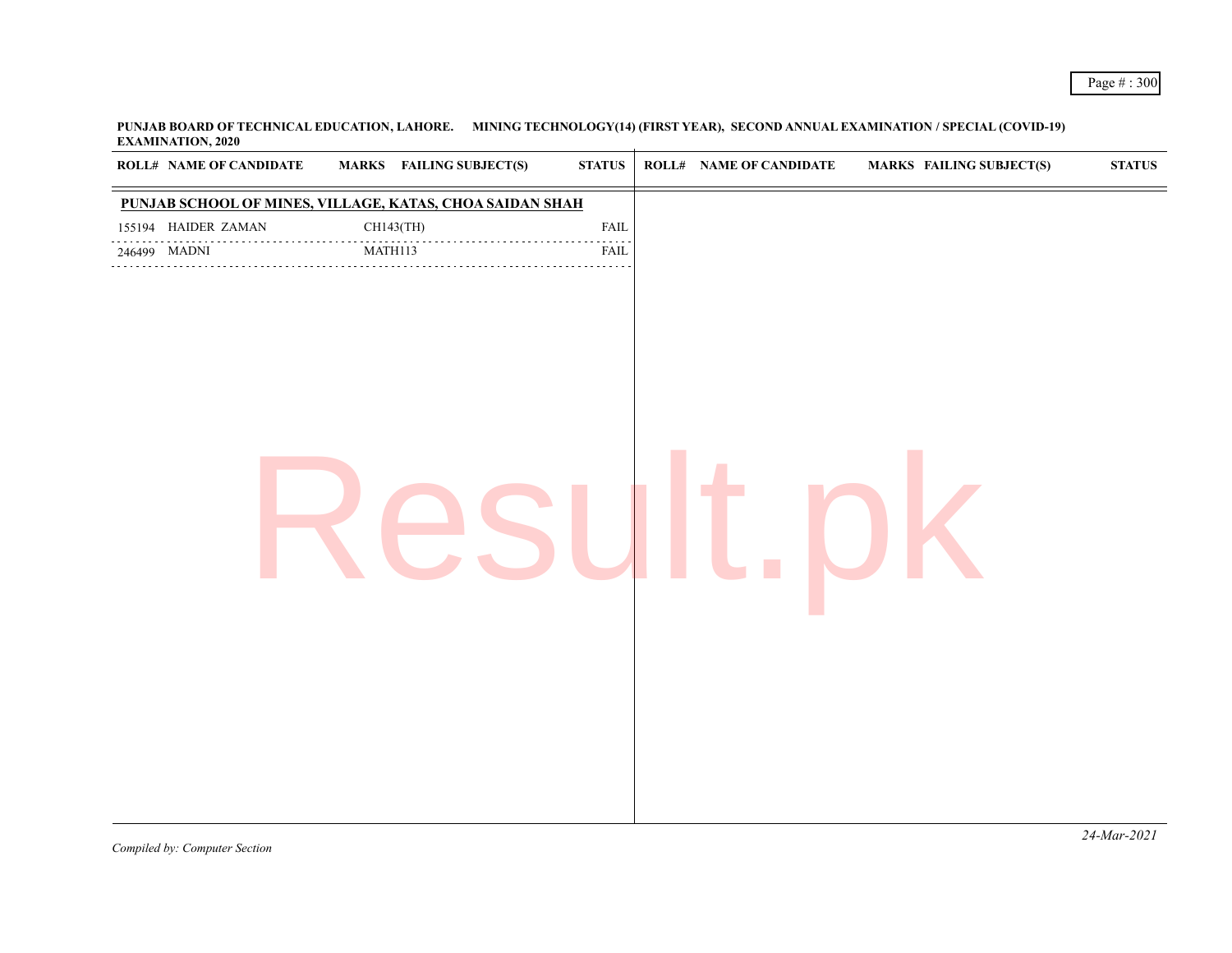**PUNJAB BOARD OF TECHNICAL EDUCATION, LAHORE. MINING TECHNOLOGY(14) (FIRST YEAR), SECOND ANNUAL EXAMINATION / SPECIAL (COVID-19) EXAMINATION, 2020**

| ROLL# NAME OF CANDIDATE                                  |         | <b>MARKS</b> FAILING SUBJECT(S) | $\bold{STATUS}$                            | <b>ROLL# NAME OF CANDIDATE</b> | <b>MARKS FAILING SUBJECT(S)</b> | $\bold{STATUS}$ |
|----------------------------------------------------------|---------|---------------------------------|--------------------------------------------|--------------------------------|---------------------------------|-----------------|
| PUNJAB SCHOOL OF MINES, VILLAGE, KATAS, CHOA SAIDAN SHAH |         |                                 |                                            |                                |                                 |                 |
| 155194 HAIDER ZAMAN<br>.                                 |         | CH143(TH)                       | ${\rm FAIL}$                               |                                |                                 |                 |
| 246499 MADNI                                             | MATH113 |                                 | $\sim$ $\sim$ $\sim$ $\sim$<br><b>FAIL</b> |                                |                                 |                 |
|                                                          |         |                                 |                                            |                                |                                 | $2111$ $2021$   |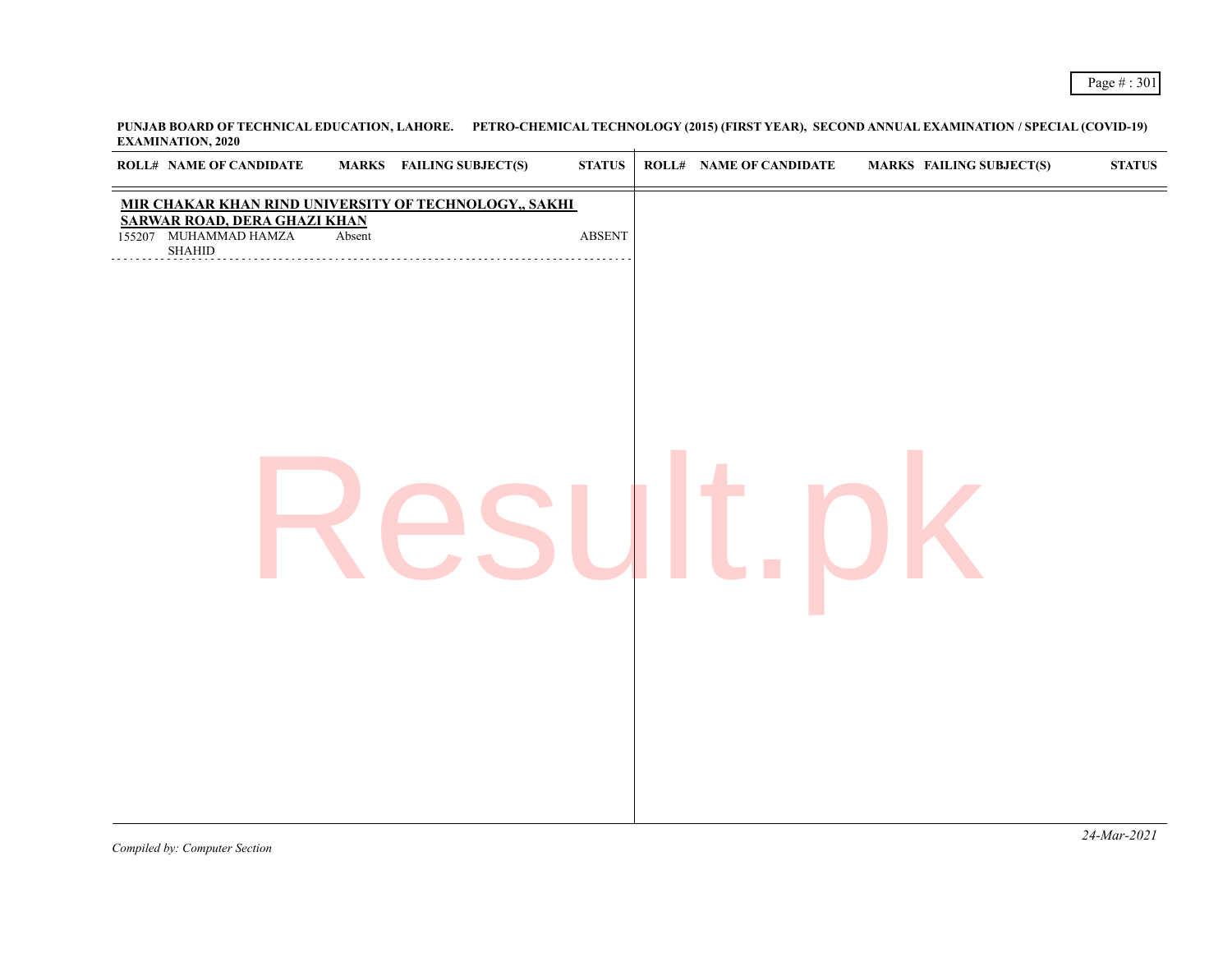**PUNJAB BOARD OF TECHNICAL EDUCATION, LAHORE. PETRO-CHEMICAL TECHNOLOGY (2015) (FIRST YEAR), SECOND ANNUAL EXAMINATION / SPECIAL (COVID-19) EXAMINATION, 2020**

| <b>ROLL# NAME OF CANDIDATE</b>                                                          |        | <b>MARKS</b> FAILING SUBJECT(S)                       | $\bold{STATUS}$ | <b>ROLL# NAME OF CANDIDATE</b> | <b>MARKS FAILING SUBJECT(S)</b> | ${\bf STATUS}$ |
|-----------------------------------------------------------------------------------------|--------|-------------------------------------------------------|-----------------|--------------------------------|---------------------------------|----------------|
| <b>SARWAR ROAD, DERA GHAZI KHAN</b><br>155207 MUHAMMAD HAMZA<br>$\operatorname{SHAHID}$ | Absent | MIR CHAKAR KHAN RIND UNIVERSITY OF TECHNOLOGY,, SAKHI | ABSENT          |                                |                                 |                |
|                                                                                         |        |                                                       |                 |                                |                                 |                |
|                                                                                         |        |                                                       |                 |                                |                                 |                |
|                                                                                         |        |                                                       |                 |                                |                                 |                |
|                                                                                         |        |                                                       |                 |                                |                                 |                |
|                                                                                         |        |                                                       |                 |                                |                                 |                |
|                                                                                         |        |                                                       |                 |                                |                                 |                |
|                                                                                         |        |                                                       |                 |                                |                                 |                |
|                                                                                         |        |                                                       |                 |                                |                                 |                |
|                                                                                         |        |                                                       |                 |                                |                                 |                |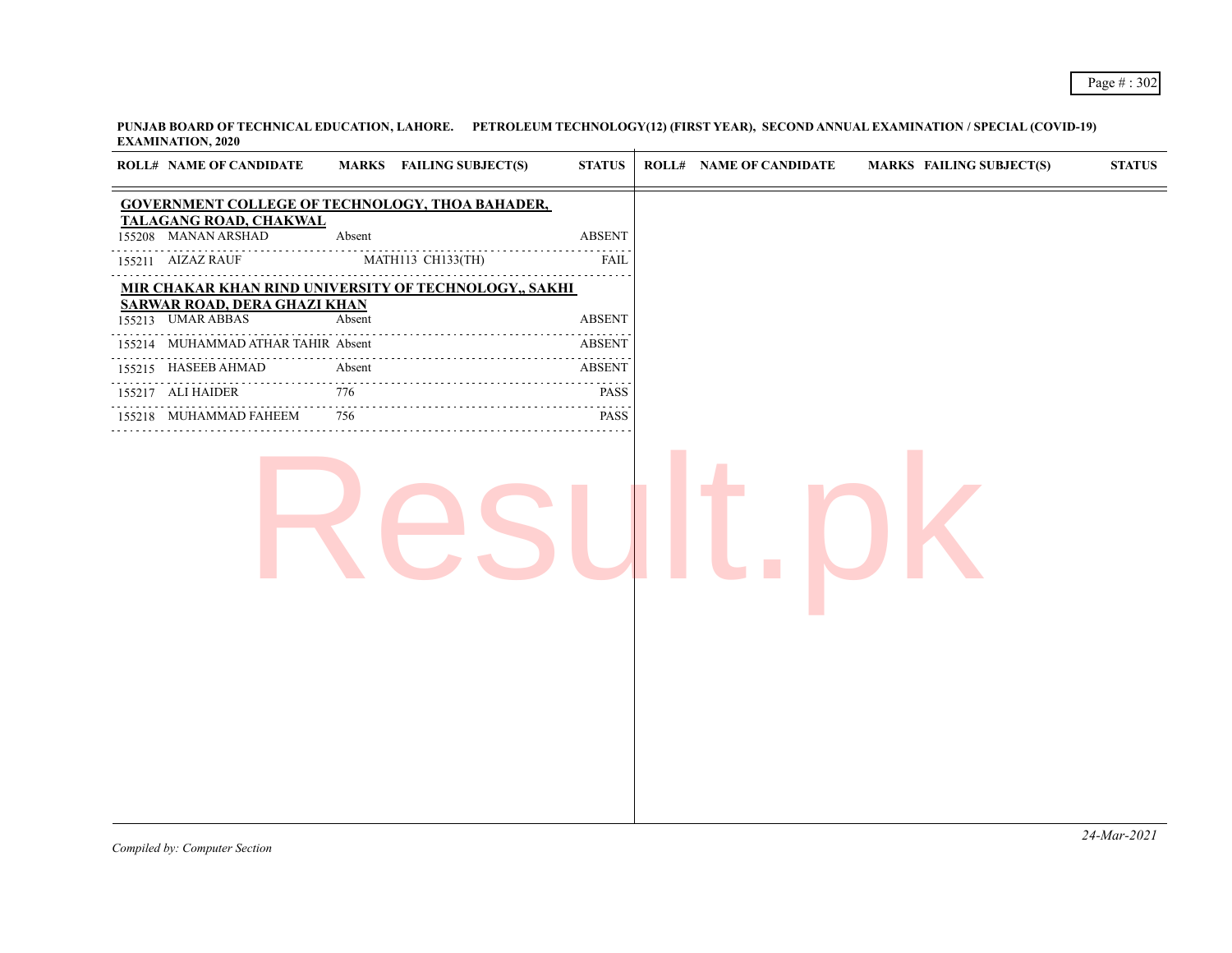**PUNJAB BOARD OF TECHNICAL EDUCATION, LAHORE. PETROLEUM TECHNOLOGY(12) (FIRST YEAR), SECOND ANNUAL EXAMINATION / SPECIAL (COVID-19) EXAMINATION, 2020**

| <b>ROLL# NAME OF CANDIDATE</b>                           |                | MARKS FAILING SUBJECT(S) | <b>STATUS</b>                                                                                                                                                                                                                                                                                                                                                                                                                                                                  | <b>ROLL# NAME OF CANDIDATE</b> | <b>MARKS FAILING SUBJECT(S)</b> | <b>STATUS</b> |
|----------------------------------------------------------|----------------|--------------------------|--------------------------------------------------------------------------------------------------------------------------------------------------------------------------------------------------------------------------------------------------------------------------------------------------------------------------------------------------------------------------------------------------------------------------------------------------------------------------------|--------------------------------|---------------------------------|---------------|
| <b>GOVERNMENT COLLEGE OF TECHNOLOGY, THOA BAHADER,</b>   |                |                          |                                                                                                                                                                                                                                                                                                                                                                                                                                                                                |                                |                                 |               |
| TALAGANG ROAD, CHAKWAL<br>155208 MANAN ARSHAD            | Absent         |                          | <b>ABSENT</b>                                                                                                                                                                                                                                                                                                                                                                                                                                                                  |                                |                                 |               |
| 155211 AIZAZ RAUF                                        |                | MATH113 CH133(TH)        | <b>FAIL</b>                                                                                                                                                                                                                                                                                                                                                                                                                                                                    |                                |                                 |               |
| MIR CHAKAR KHAN RIND UNIVERSITY OF TECHNOLOGY,, SAKHI    |                |                          |                                                                                                                                                                                                                                                                                                                                                                                                                                                                                |                                |                                 |               |
| <b>SARWAR ROAD, DERA GHAZI KHAN</b><br>155213 UMAR ABBAS | Absent         |                          | <b>ABSENT</b>                                                                                                                                                                                                                                                                                                                                                                                                                                                                  |                                |                                 |               |
| 155214 MUHAMMAD ATHAR TAHIR Absent                       |                |                          | <b>ABSENT</b>                                                                                                                                                                                                                                                                                                                                                                                                                                                                  |                                |                                 |               |
| 155215 HASEEB AHMAD                                      | Absent         |                          | <b>ABSENT</b>                                                                                                                                                                                                                                                                                                                                                                                                                                                                  |                                |                                 |               |
| 155217 ALI HAIDER                                        | 776<br>a sa sa |                          | <b>PASS</b>                                                                                                                                                                                                                                                                                                                                                                                                                                                                    |                                |                                 |               |
| 155218 MUHAMMAD FAHEEM                                   | 756            |                          | $\mathcal{L}^{\mathcal{A}}\left( \mathcal{A}^{\mathcal{A}}\right) \mathcal{A}^{\mathcal{A}}\left( \mathcal{A}^{\mathcal{A}}\right) \mathcal{A}^{\mathcal{A}}\left( \mathcal{A}^{\mathcal{A}}\right) \mathcal{A}^{\mathcal{A}}\left( \mathcal{A}^{\mathcal{A}}\right) \mathcal{A}^{\mathcal{A}}\left( \mathcal{A}^{\mathcal{A}}\right) \mathcal{A}^{\mathcal{A}}\left( \mathcal{A}^{\mathcal{A}}\right) \mathcal{A}^{\mathcal{A}}\left( \mathcal{A}^{\mathcal{A$<br><b>PASS</b> |                                |                                 |               |
|                                                          |                |                          |                                                                                                                                                                                                                                                                                                                                                                                                                                                                                |                                |                                 |               |
|                                                          |                |                          |                                                                                                                                                                                                                                                                                                                                                                                                                                                                                |                                |                                 | 24-Mar-2021   |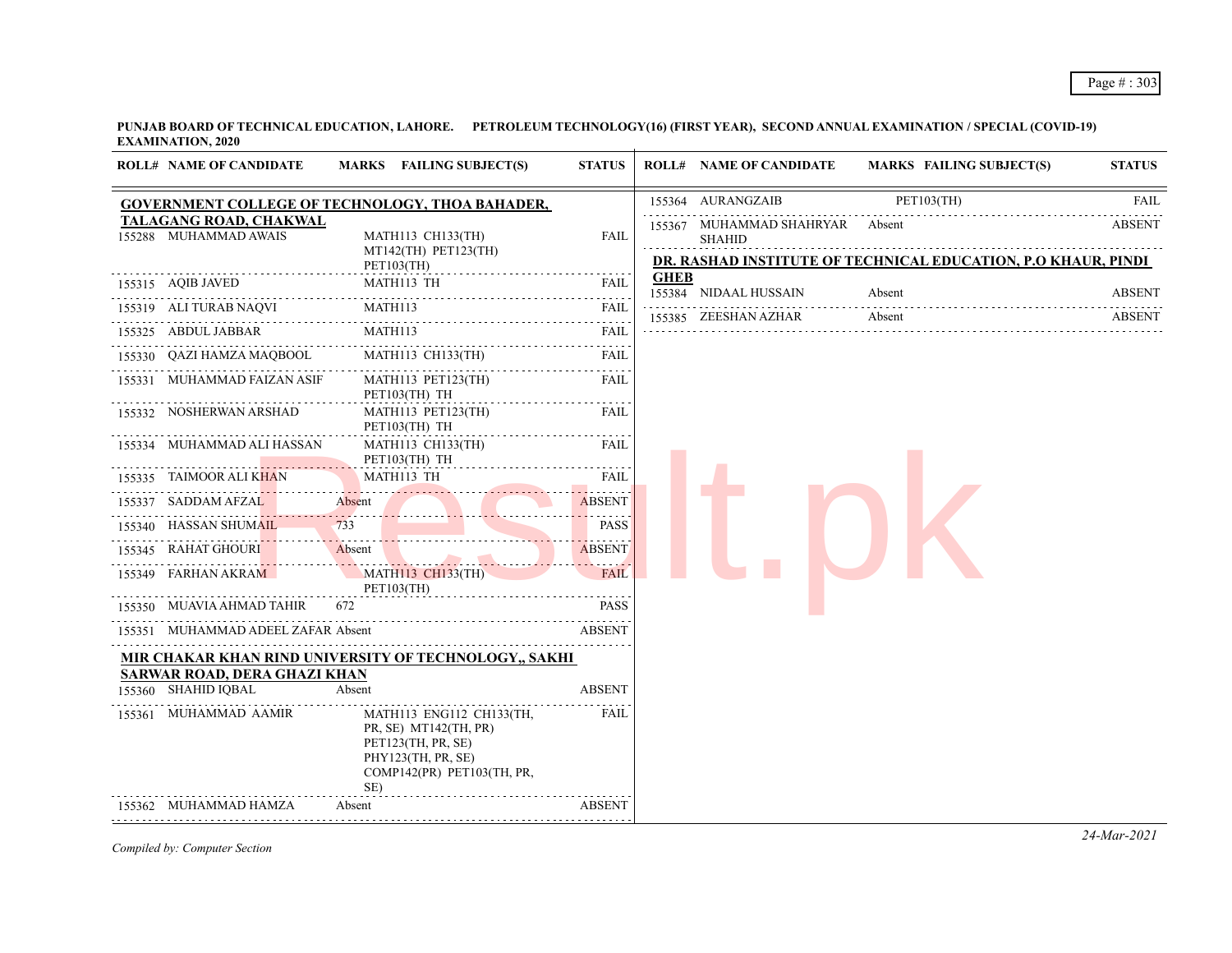**PUNJAB BOARD OF TECHNICAL EDUCATION, LAHORE. PETROLEUM TECHNOLOGY(16) (FIRST YEAR), SECOND ANNUAL EXAMINATION / SPECIAL (COVID-19) EXAMINATION, 2020**  $\overline{1}$ 

|                       | <b>ROLL# NAME OF CANDIDATE</b>                  | MARKS FAILING SUBJECT(S)                                                                                                           | <b>STATUS</b>                       |             | <b>ROLL# NAME OF CANDIDATE</b>            | <b>MARKS FAILING SUBJECT(S)</b>                                         | <b>STATUS</b>      |
|-----------------------|-------------------------------------------------|------------------------------------------------------------------------------------------------------------------------------------|-------------------------------------|-------------|-------------------------------------------|-------------------------------------------------------------------------|--------------------|
|                       |                                                 | GOVERNMENT COLLEGE OF TECHNOLOGY, THOA BAHADER,                                                                                    |                                     |             | 155364 AURANGZAIB                         | PET103(TH)                                                              | <b>FAIL</b>        |
|                       | TALAGANG ROAD, CHAKWAL<br>155288 MUHAMMAD AWAIS | MATH113 CH133(TH)<br>MT142(TH) PET123(TH)<br><b>PET103(TH)</b>                                                                     | <b>FAIL</b>                         |             | 155367 MUHAMMAD SHAHRYAR<br><b>SHAHID</b> | Absent<br>DR. RASHAD INSTITUTE OF TECHNICAL EDUCATION, P.O KHAUR, PINDI | .<br><b>ABSENT</b> |
| 155315 AQIB JAVED     |                                                 | MATH113 TH                                                                                                                         | FAIL                                | <b>GHEB</b> | 155384 NIDAAL HUSSAIN                     | Absent                                                                  | <b>ABSENT</b>      |
|                       | 155319 ALI TURAB NAQVI                          | MATH113                                                                                                                            | <b>FAIL</b>                         |             | 155385 ZEESHAN AZHAR                      | Absent                                                                  | <b>ABSENT</b>      |
| 155325 ABDUL JABBAR   |                                                 | MATH113                                                                                                                            | $\omega$ is a set of<br><b>FAIL</b> |             |                                           |                                                                         |                    |
|                       | 155330 QAZI HAMZA MAQBOOL                       | MATH113 CH133(TH)                                                                                                                  | FAIL                                |             |                                           |                                                                         |                    |
|                       | 155331 MUHAMMAD FAIZAN ASIF                     | MATH113 PET123(TH)<br>PET103(TH) TH                                                                                                | FAIL                                |             |                                           |                                                                         |                    |
|                       | 155332 NOSHERWAN ARSHAD                         | MATH113 PET123(TH)<br>PET103(TH) TH                                                                                                | FAIL                                |             |                                           |                                                                         |                    |
|                       | 155334 MUHAMMAD ALI HASSAN                      | MATH113 CH133(TH)<br>PET103(TH) TH                                                                                                 | FAIL                                |             |                                           |                                                                         |                    |
|                       | 155335 TAIMOOR ALI KHAN                         | MATH113 TH                                                                                                                         | <b>FAIL</b>                         |             |                                           |                                                                         |                    |
| 155337 SADDAM AFZAL   |                                                 | Absent                                                                                                                             | <b>ABSENT</b>                       |             |                                           |                                                                         |                    |
| 155340 HASSAN SHUMAIL |                                                 | 733                                                                                                                                | <b>PASS</b>                         |             |                                           |                                                                         |                    |
| 155345 RAHAT GHOURI   |                                                 | Absent                                                                                                                             | <b>ABSENT</b>                       |             |                                           |                                                                         |                    |
| 155349 FARHAN AKRAM   |                                                 | <b>MATH113 CH133(TH)</b><br>PET103(TH)                                                                                             | <b>FAIL</b>                         |             |                                           |                                                                         |                    |
|                       | 155350 MUAVIA AHMAD TAHIR                       | 672                                                                                                                                | <b>PASS</b>                         |             |                                           |                                                                         |                    |
|                       | 155351 MUHAMMAD ADEEL ZAFAR Absent              |                                                                                                                                    | <b>ABSENT</b>                       |             |                                           |                                                                         |                    |
|                       |                                                 | MIR CHAKAR KHAN RIND UNIVERSITY OF TECHNOLOGY., SAKHI                                                                              |                                     |             |                                           |                                                                         |                    |
| 155360 SHAHID IQBAL   | <b>SARWAR ROAD, DERA GHAZI KHAN</b>             | Absent                                                                                                                             | <b>ABSENT</b>                       |             |                                           |                                                                         |                    |
|                       | 155361 MUHAMMAD AAMIR                           | MATH113 ENG112 CH133(TH,<br>PR, SE) MT142(TH, PR)<br>PET123(TH, PR, SE)<br>PHY123(TH, PR, SE)<br>COMP142(PR) PET103(TH, PR,<br>SE) | FAIL                                |             |                                           |                                                                         |                    |
|                       | 155362 MUHAMMAD HAMZA                           | Absent                                                                                                                             | <b>ABSENT</b>                       |             |                                           |                                                                         |                    |
|                       |                                                 |                                                                                                                                    |                                     |             |                                           |                                                                         |                    |

*Compiled by: Computer Section*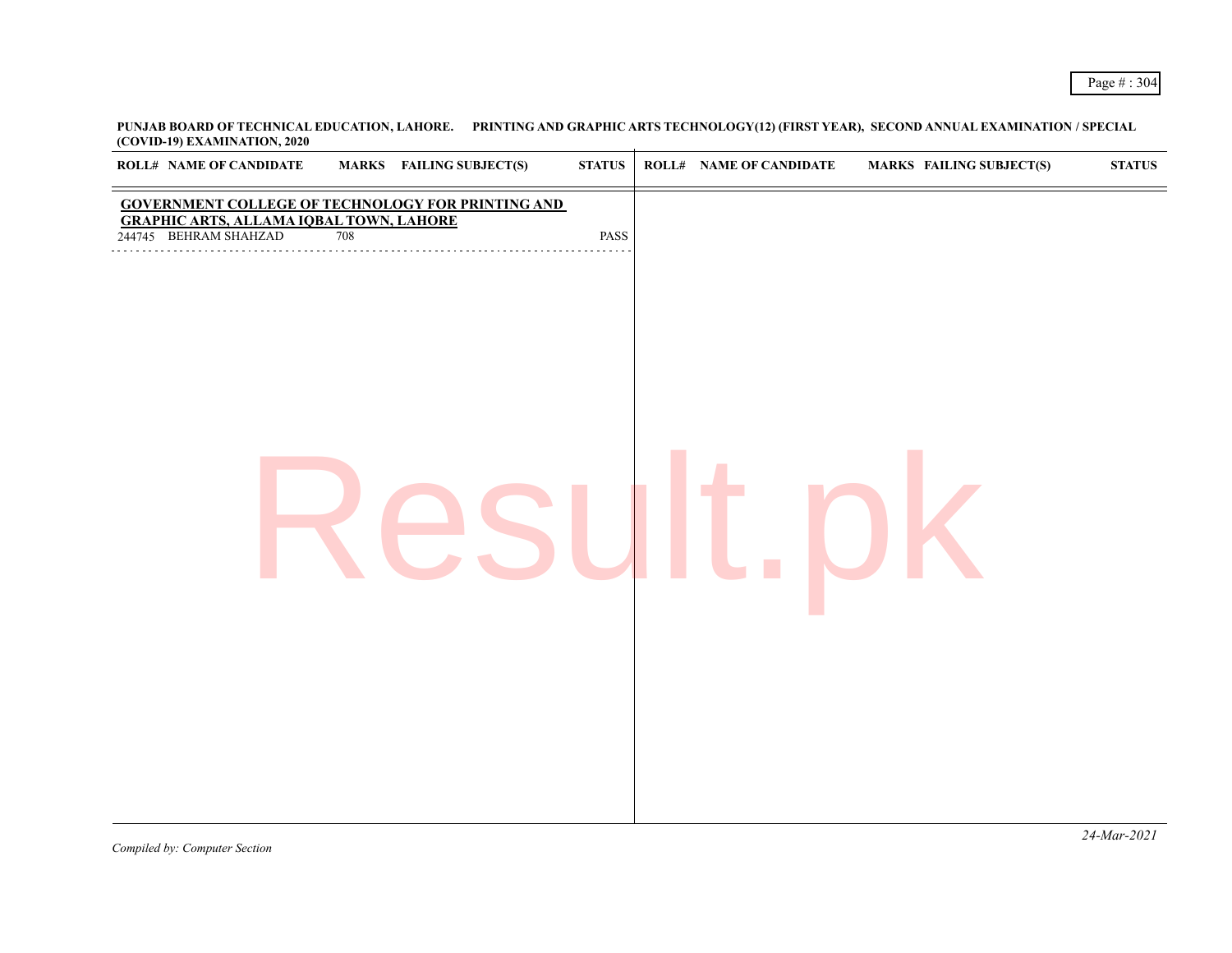**PUNJAB BOARD OF TECHNICAL EDUCATION, LAHORE. PRINTING AND GRAPHIC ARTS TECHNOLOGY(12) (FIRST YEAR), SECOND ANNUAL EXAMINATION / SPECIAL (COVID-19) EXAMINATION, 2020**

| <b>GOVERNMENT COLLEGE OF TECHNOLOGY FOR PRINTING AND</b><br><b>GRAPHIC ARTS, ALLAMA IQBAL TOWN, LAHORE</b><br>244745 BEHRAM SHAHZAD<br>708<br>PASS |
|----------------------------------------------------------------------------------------------------------------------------------------------------|
|                                                                                                                                                    |
|                                                                                                                                                    |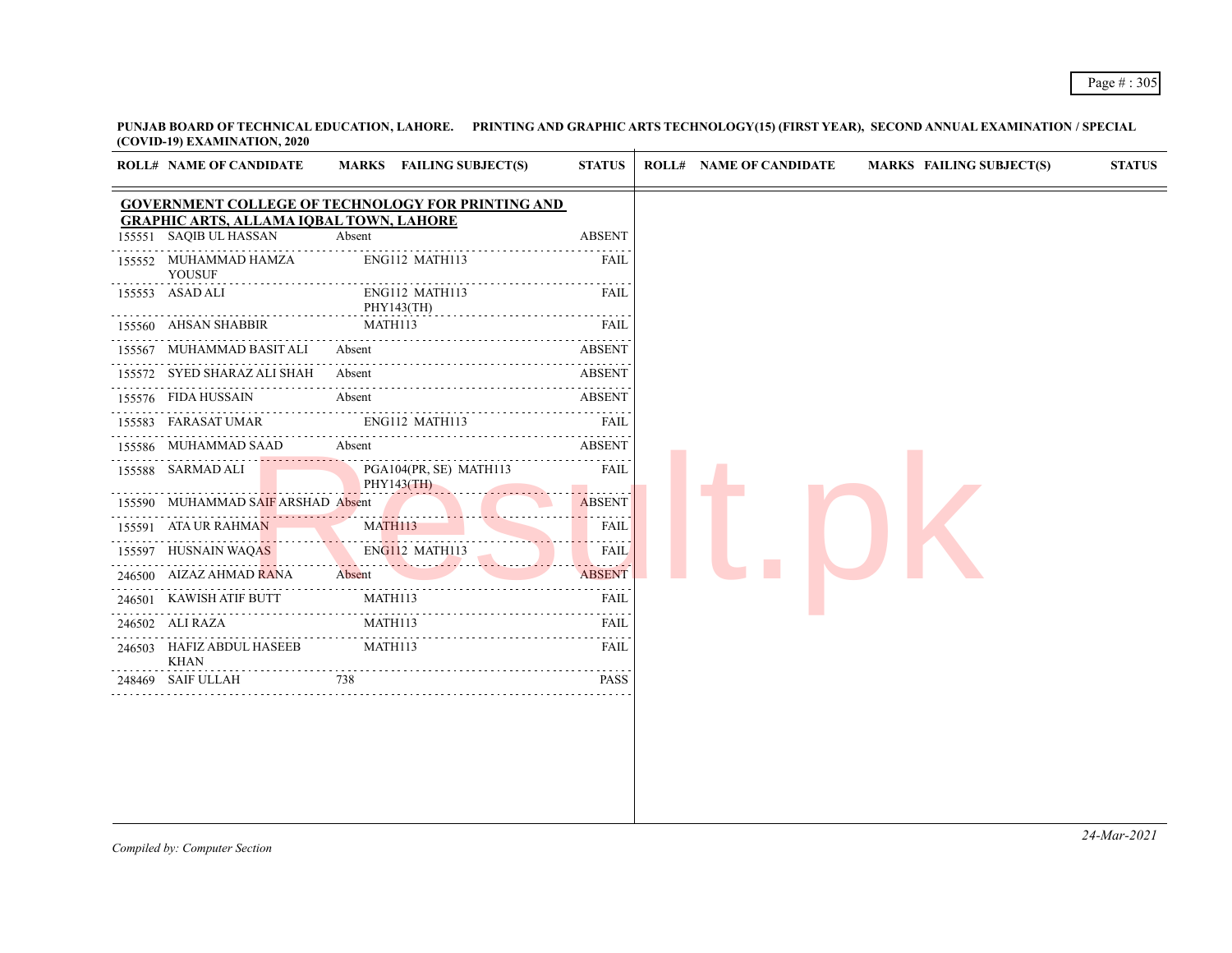**PUNJAB BOARD OF TECHNICAL EDUCATION, LAHORE. PRINTING AND GRAPHIC ARTS TECHNOLOGY(15) (FIRST YEAR), SECOND ANNUAL EXAMINATION / SPECIAL (COVID-19) EXAMINATION, 2020**

|        | <b>ROLL# NAME OF CANDIDATE</b>                                           | MARKS FAILING SUBJECT(S)                                 | <b>STATUS</b> |
|--------|--------------------------------------------------------------------------|----------------------------------------------------------|---------------|
|        |                                                                          | <b>GOVERNMENT COLLEGE OF TECHNOLOGY FOR PRINTING AND</b> |               |
|        | <b>GRAPHIC ARTS, ALLAMA IQBAL TOWN, LAHORE</b><br>155551 SAQIB UL HASSAN | Absent                                                   | <b>ABSENT</b> |
|        | 155552 MUHAMMAD HAMZA<br><b>YOUSUF</b>                                   | ENG112 MATH113                                           | FAIL          |
|        | 155553 ASAD ALI                                                          | ENG112 MATH113<br>PHY143(TH)                             | FAIL          |
|        | 155560 AHSAN SHABBIR                                                     | MATH113                                                  | FAIL          |
|        | 155567 MUHAMMAD BASIT ALI                                                | Absent                                                   | <b>ABSENT</b> |
|        | 155572 SYED SHARAZ ALI SHAH                                              | Absent                                                   | <b>ABSENT</b> |
|        | 155576 FIDA HUSSAIN                                                      | Absent                                                   | <b>ABSENT</b> |
|        | 155583 FARASAT UMAR                                                      | ENG112 MATH113                                           | FAIL          |
|        | 155586 MUHAMMAD SAAD                                                     | Absent                                                   | <b>ABSENT</b> |
|        | 155588 SARMAD ALI                                                        | PGA104(PR, SE) MATH113                                   | FAIL          |
|        | 155590 MUHAMMAD SAIF ARSHAD Absent                                       | PHY143(TH)                                               | <b>ABSENT</b> |
|        | . <i>. .</i><br>155591 ATA UR RAHMAN                                     | <b>MATH113</b>                                           | <b>FAIL</b>   |
|        | 155597 HUSNAIN WAQAS                                                     | ENG112 MATH113<br>ENGI12 MATH113                         | FAIL          |
|        | 246500 AIZAZ AHMAD RANA                                                  | Absent                                                   | ABSENT        |
| 246501 | KAWISH ATIF BUTT                                                         | MATH113                                                  | FAIL          |
| 246502 | ALI RAZA                                                                 | MATH113                                                  | FAIL          |
|        | 246503 HAFIZ ABDUL HASEEB<br><b>KHAN</b>                                 | MATH113                                                  | FAIL          |
| 248469 | SAIF ULLAH                                                               | 738                                                      | <b>PASS</b>   |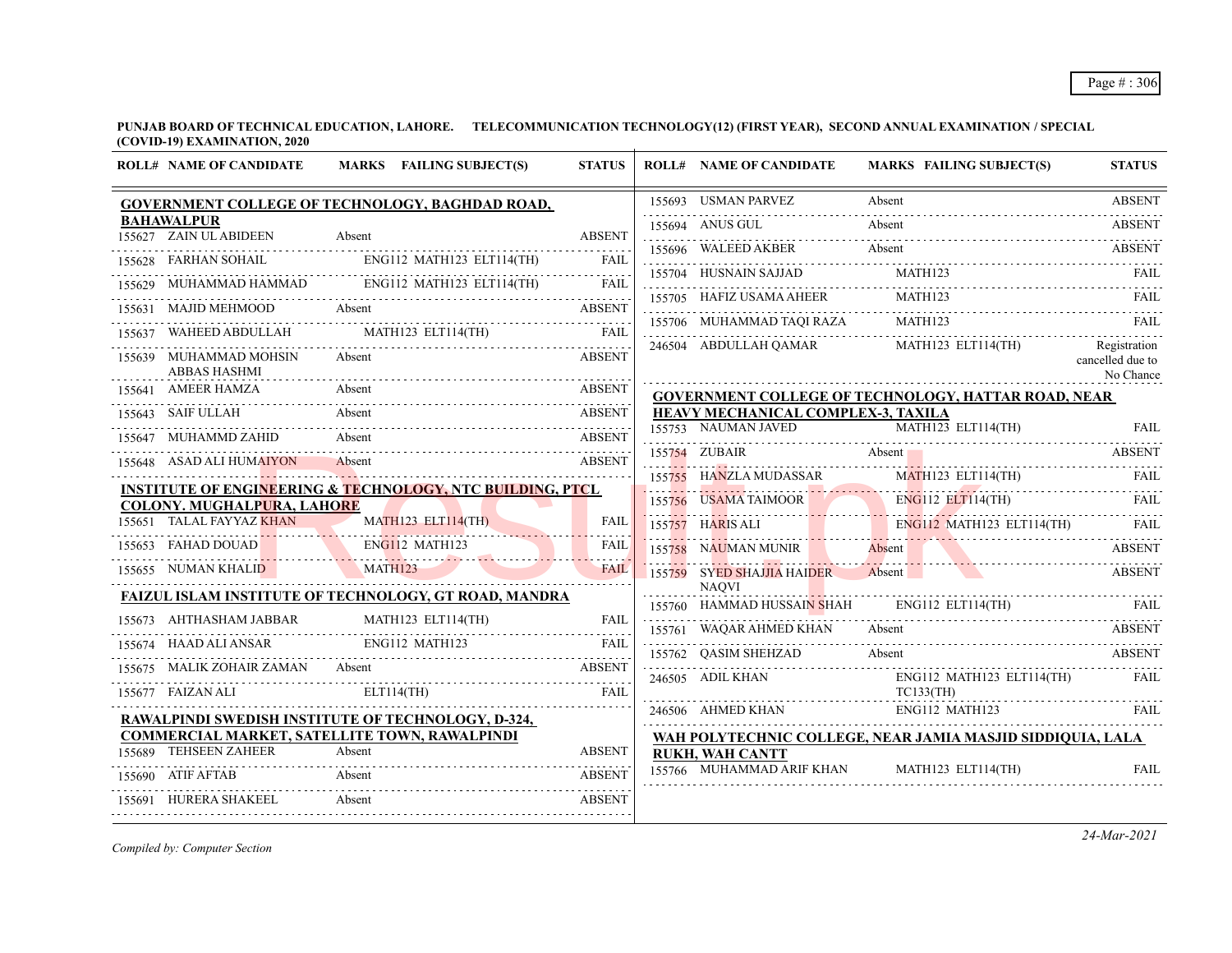**PUNJAB BOARD OF TECHNICAL EDUCATION, LAHORE. TELECOMMUNICATION TECHNOLOGY(12) (FIRST YEAR), SECOND ANNUAL EXAMINATION / SPECIAL (COVID-19) EXAMINATION, 2020**

|        | <b>ROLL# NAME OF CANDIDATE</b>                  | MARKS FAILING SUBJECT(S)                                                                                                  | <b>STATUS</b> | <b>ROLL# NAME OF CANDIDATE</b>             | <b>MARKS FAILING SUBJECT(S)</b>                                                             | <b>STATUS</b>                 |
|--------|-------------------------------------------------|---------------------------------------------------------------------------------------------------------------------------|---------------|--------------------------------------------|---------------------------------------------------------------------------------------------|-------------------------------|
|        |                                                 | GOVERNMENT COLLEGE OF TECHNOLOGY, BAGHDAD ROAD,                                                                           |               |                                            | 155693 USMAN PARVEZ Absent ABSENT                                                           |                               |
|        | <b>BAHAWALPUR</b><br>155627 ZAIN UL ABIDEEN     | Absent                                                                                                                    | <b>ABSENT</b> | 155694 ANUS GUL                            | Absent                                                                                      | <b>ABSENT</b>                 |
|        |                                                 | 155628 FARHAN SOHAIL ENG112 MATH123 ELT114(TH)                                                                            | <b>FAIL</b>   |                                            | 155696 WALEED AKBER Absent ABSENT ABSENT                                                    |                               |
|        |                                                 | 155629 MUHAMMAD HAMMAD ENG112 MATH123 ELT114(TH)                                                                          |               |                                            | 155704 HUSNAIN SAJJAD MATH123 FAIL RELEASED AT A MATH123                                    |                               |
|        |                                                 |                                                                                                                           | <b>FAIL</b>   | 155705 HAFIZ USAMA AHEER                   | MATH <sub>123</sub>                                                                         | FAIL                          |
|        | 155631 MAJID MEHMOOD Absent                     |                                                                                                                           | <b>ABSENT</b> |                                            | 155706 MUHAMMAD TAQI RAZA MATH123                                                           | - FAIL                        |
| 155637 |                                                 | WAHEED ABDULLAH MATH123 ELT114(TH)                                                                                        | <b>FAIL</b>   |                                            | 246504 ABDULLAH QAMAR MATH123 ELT114(TH)                                                    | Registration                  |
|        | 155639 MUHAMMAD MOHSIN<br><b>ABBAS HASHMI</b>   | Absent                                                                                                                    | <b>ABSENT</b> |                                            |                                                                                             | cancelled due to<br>No Chance |
|        | 155641 AMEER HAMZA<br>AMEER HAMZA               | Absent                                                                                                                    | <b>ABSENT</b> |                                            | <b>GOVERNMENT COLLEGE OF TECHNOLOGY, HATTAR ROAD, NEAR</b>                                  |                               |
|        | 155643 SAIF ULLAH                               | Absent                                                                                                                    | <b>ABSENT</b> | <u>HEAVY MECHANICAL COMPLEX-3, TAXILA</u>  |                                                                                             |                               |
|        | 155647 MUHAMMD ZAHID                            | Absent                                                                                                                    | <b>ABSENT</b> | 155753 NAUMAN JAVED                        | $MATH123$ ELT114(TH)                                                                        | FAII.                         |
|        | 155648 ASAD ALI HUMAIYON                        | Absent                                                                                                                    | <b>ABSENT</b> | 155754 ZUBAIR<br>Absent                    |                                                                                             | <b>ABSENT</b>                 |
|        |                                                 | <b>INSTITUTE OF ENGINEERING &amp; TECHNOLOGY, NTC BUILDING, PTCL</b>                                                      |               | 155755 HANZLA MUDASSAR                     | MATH123 ELT114(TH)                                                                          | <b>FAIL</b>                   |
|        | <b>COLONY. MUGHALPURA, LAHORE</b>               |                                                                                                                           |               |                                            |                                                                                             |                               |
|        | 155651 TALAL FAYYAZ KHAN                        | MATH123 ELT114(TH)                                                                                                        | FAIL          |                                            | 155756 USAMA TAIMOOR ENGILE ELTILA(TH) FAIL 155757 HARIS ALI ENGILE MATHI23 ELTILA(TH) FAIL |                               |
|        | 155653 FAHAD DOUAD                              | ENG112 MATH123                                                                                                            | <b>FAIL</b>   | 155758 NAUMAN MUNIR Absent                 | 155758 NAUMAN MUNIR Absent Absent ABSENT                                                    | <b>ABSENT</b>                 |
|        | 155655 NUMAN KHALID<br><b>Contract Contract</b> | <b>MATH123</b>                                                                                                            | <b>FAIL</b>   | 155759 SYED SHAJJIA HAIDER<br><b>NAOVI</b> | Absent                                                                                      | <b>ABSENT</b>                 |
|        |                                                 | FAIZUL ISLAM INSTITUTE OF TECHNOLOGY, GT ROAD, MANDRA                                                                     |               |                                            | 155760 HAMMAD HUSSAIN SHAH ENG112 ELT114(TH) FAIL                                           |                               |
|        | 155673 AHTHASHAM JABBAR                         | $\begin{tabular}{lllllllllll} \bf{AHTHASHAM JABBAR} & \bf{MATH123} & \bf{ELT114(TH)} & \bf{FAIL} \\ \hline \end{tabular}$ |               | 155761 WAQAR AHMED KHAN                    | Absent                                                                                      | <b>ABSENT</b>                 |
|        |                                                 | 155674 HAAD ALI ANSAR ENGI12 MATH123 FAIL FAIL                                                                            |               | 155762 QASIM SHEHZAD                       | Absent                                                                                      | <b>ABSENT</b>                 |
|        |                                                 | 155675 MALIK ZOHAIR ZAMAN Absent                                                                                          | <b>ABSENT</b> | 246505 ADIL KHAN                           | ENG112 MATH123 ELT114(TH)                                                                   | FAIL                          |
|        | 155677 FAIZAN ALI                               | ELT114(TH)                                                                                                                | <b>FAIL</b>   |                                            | TC133(TH)                                                                                   |                               |
|        |                                                 | RAWALPINDI SWEDISH INSTITUTE OF TECHNOLOGY, D-324,                                                                        |               | 246506 AHMED KHAN                          | ENG112 MATH123                                                                              | -FAIL                         |
|        |                                                 | <b>COMMERCIAL MARKET, SATELLITE TOWN, RAWALPINDI</b>                                                                      |               |                                            | WAH POLYTECHNIC COLLEGE, NEAR JAMIA MASJID SIDDIQUIA, LALA                                  |                               |
|        | 155689 TEHSEEN ZAHEER                           | Absent                                                                                                                    | <b>ABSENT</b> | <b>RUKH, WAH CANTT</b>                     |                                                                                             |                               |
|        | 155690 ATIF AFTAB                               | Absent                                                                                                                    | <b>ABSENT</b> | 155766 MUHAMMAD ARIF KHAN                  | MATH123 ELT114(TH)                                                                          | <b>FAIL</b>                   |
|        | 155691 HURERA SHAKEEL                           | Absent                                                                                                                    | <b>ABSENT</b> |                                            |                                                                                             |                               |
|        |                                                 |                                                                                                                           |               |                                            |                                                                                             |                               |

*Compiled by: Computer Section*

*24-Mar-2021*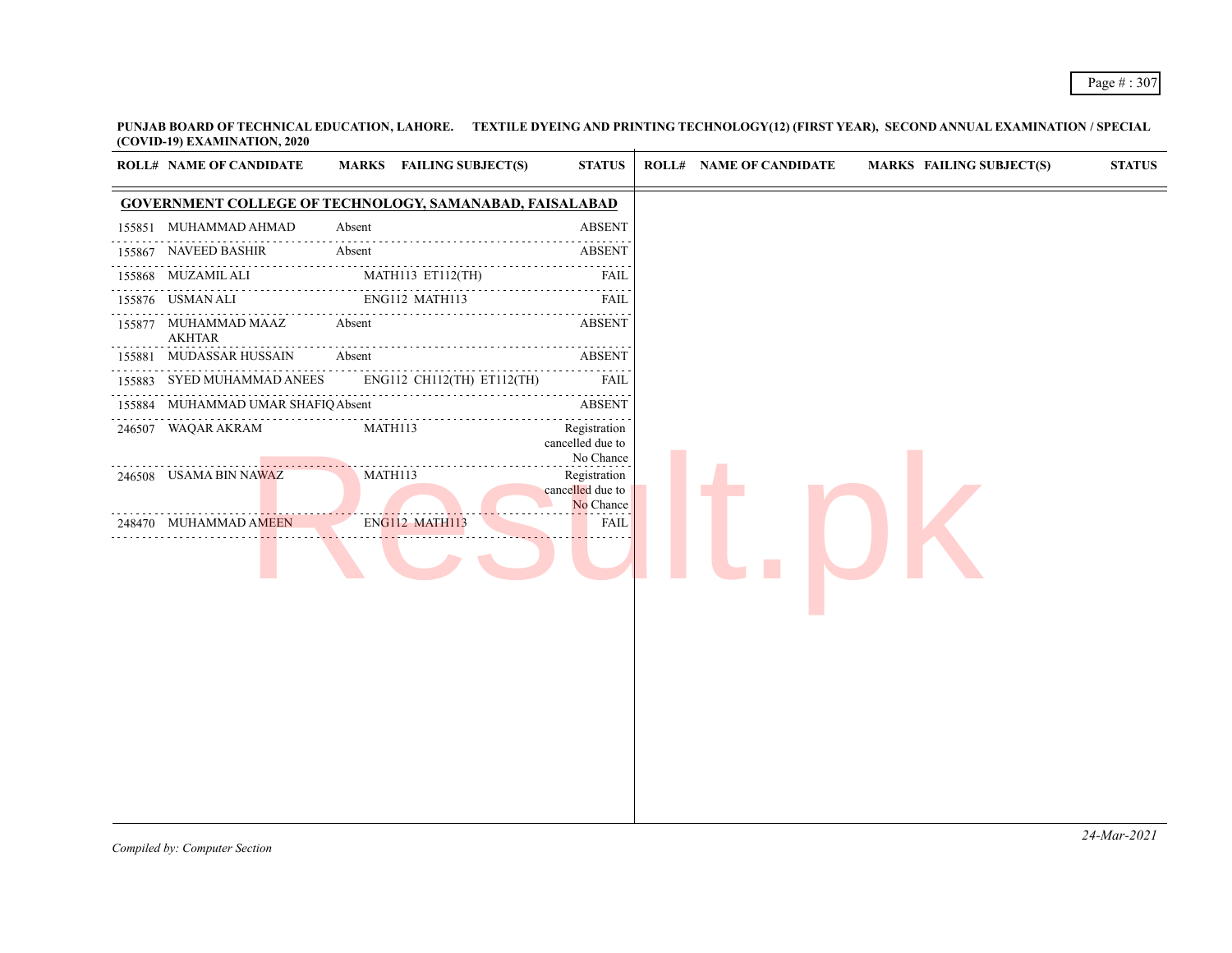**PUNJAB BOARD OF TECHNICAL EDUCATION, LAHORE. TEXTILE DYEING AND PRINTING TECHNOLOGY(12) (FIRST YEAR), SECOND ANNUAL EXAMINATION / SPECIAL (COVID-19) EXAMINATION, 2020**

| <b>GOVERNMENT COLLEGE OF TECHNOLOGY, SAMANABAD, FAISALABAD</b><br>155851 MUHAMMAD AHMAD<br>Absent<br><b>ABSENT</b><br>NAVEED BASHIR<br>Absent<br><b>ABSENT</b><br>155867<br>155868 MUZAMIL ALI<br>MATH113 ET112(TH)<br>FAIL<br>ENG112 MATH113<br>155876 USMAN ALI<br>FAIL<br>Absent<br><b>ABSENT</b><br>155877 MUHAMMAD MAAZ<br><b>AKHTAR</b><br>MUDASSAR HUSSAIN<br>Absent<br><b>ABSENT</b><br>155881<br>SYED MUHAMMAD ANEES<br>ENG112 CH112(TH) ET112(TH)<br>FAIL<br>155883<br>MUHAMMAD UMAR SHAFIQ Absent<br><b>ABSENT</b><br>155884<br>246507 WAQAR AKRAM<br>MATH113<br>Registration<br>cancelled due to<br>No Chance<br>246508 USAMA BIN NAWAZ<br>MATH113<br>Registration<br>cancelled due to<br>No Chance<br>ENG112 MATH113<br>248470 MUHAMMAD AMEEN<br>FAIL | <b>ROLL# NAME OF CANDIDATE</b> | MARKS FAILING SUBJECT(S) | <b>STATUS</b> | <b>ROLL# NAME OF CANDIDATE</b> | <b>MARKS FAILING SUBJECT(S)</b> | <b>STATUS</b> |
|--------------------------------------------------------------------------------------------------------------------------------------------------------------------------------------------------------------------------------------------------------------------------------------------------------------------------------------------------------------------------------------------------------------------------------------------------------------------------------------------------------------------------------------------------------------------------------------------------------------------------------------------------------------------------------------------------------------------------------------------------------------------|--------------------------------|--------------------------|---------------|--------------------------------|---------------------------------|---------------|
|                                                                                                                                                                                                                                                                                                                                                                                                                                                                                                                                                                                                                                                                                                                                                                    |                                |                          |               |                                |                                 |               |
|                                                                                                                                                                                                                                                                                                                                                                                                                                                                                                                                                                                                                                                                                                                                                                    |                                |                          |               |                                |                                 |               |
|                                                                                                                                                                                                                                                                                                                                                                                                                                                                                                                                                                                                                                                                                                                                                                    |                                |                          |               |                                |                                 |               |
|                                                                                                                                                                                                                                                                                                                                                                                                                                                                                                                                                                                                                                                                                                                                                                    |                                |                          |               |                                |                                 |               |
|                                                                                                                                                                                                                                                                                                                                                                                                                                                                                                                                                                                                                                                                                                                                                                    |                                |                          |               |                                |                                 |               |
|                                                                                                                                                                                                                                                                                                                                                                                                                                                                                                                                                                                                                                                                                                                                                                    |                                |                          |               |                                |                                 |               |
|                                                                                                                                                                                                                                                                                                                                                                                                                                                                                                                                                                                                                                                                                                                                                                    |                                |                          |               |                                |                                 |               |
|                                                                                                                                                                                                                                                                                                                                                                                                                                                                                                                                                                                                                                                                                                                                                                    |                                |                          |               |                                |                                 |               |
|                                                                                                                                                                                                                                                                                                                                                                                                                                                                                                                                                                                                                                                                                                                                                                    |                                |                          |               |                                |                                 |               |
|                                                                                                                                                                                                                                                                                                                                                                                                                                                                                                                                                                                                                                                                                                                                                                    |                                |                          |               |                                |                                 |               |
|                                                                                                                                                                                                                                                                                                                                                                                                                                                                                                                                                                                                                                                                                                                                                                    |                                |                          |               |                                |                                 |               |
|                                                                                                                                                                                                                                                                                                                                                                                                                                                                                                                                                                                                                                                                                                                                                                    |                                |                          |               |                                |                                 |               |
|                                                                                                                                                                                                                                                                                                                                                                                                                                                                                                                                                                                                                                                                                                                                                                    |                                |                          |               |                                |                                 |               |
|                                                                                                                                                                                                                                                                                                                                                                                                                                                                                                                                                                                                                                                                                                                                                                    |                                |                          |               |                                |                                 |               |
|                                                                                                                                                                                                                                                                                                                                                                                                                                                                                                                                                                                                                                                                                                                                                                    |                                |                          |               |                                |                                 |               |
|                                                                                                                                                                                                                                                                                                                                                                                                                                                                                                                                                                                                                                                                                                                                                                    |                                |                          |               |                                |                                 |               |
|                                                                                                                                                                                                                                                                                                                                                                                                                                                                                                                                                                                                                                                                                                                                                                    |                                |                          |               |                                |                                 |               |
|                                                                                                                                                                                                                                                                                                                                                                                                                                                                                                                                                                                                                                                                                                                                                                    |                                |                          |               |                                |                                 |               |
|                                                                                                                                                                                                                                                                                                                                                                                                                                                                                                                                                                                                                                                                                                                                                                    |                                |                          |               |                                |                                 |               |
|                                                                                                                                                                                                                                                                                                                                                                                                                                                                                                                                                                                                                                                                                                                                                                    |                                |                          |               |                                |                                 |               |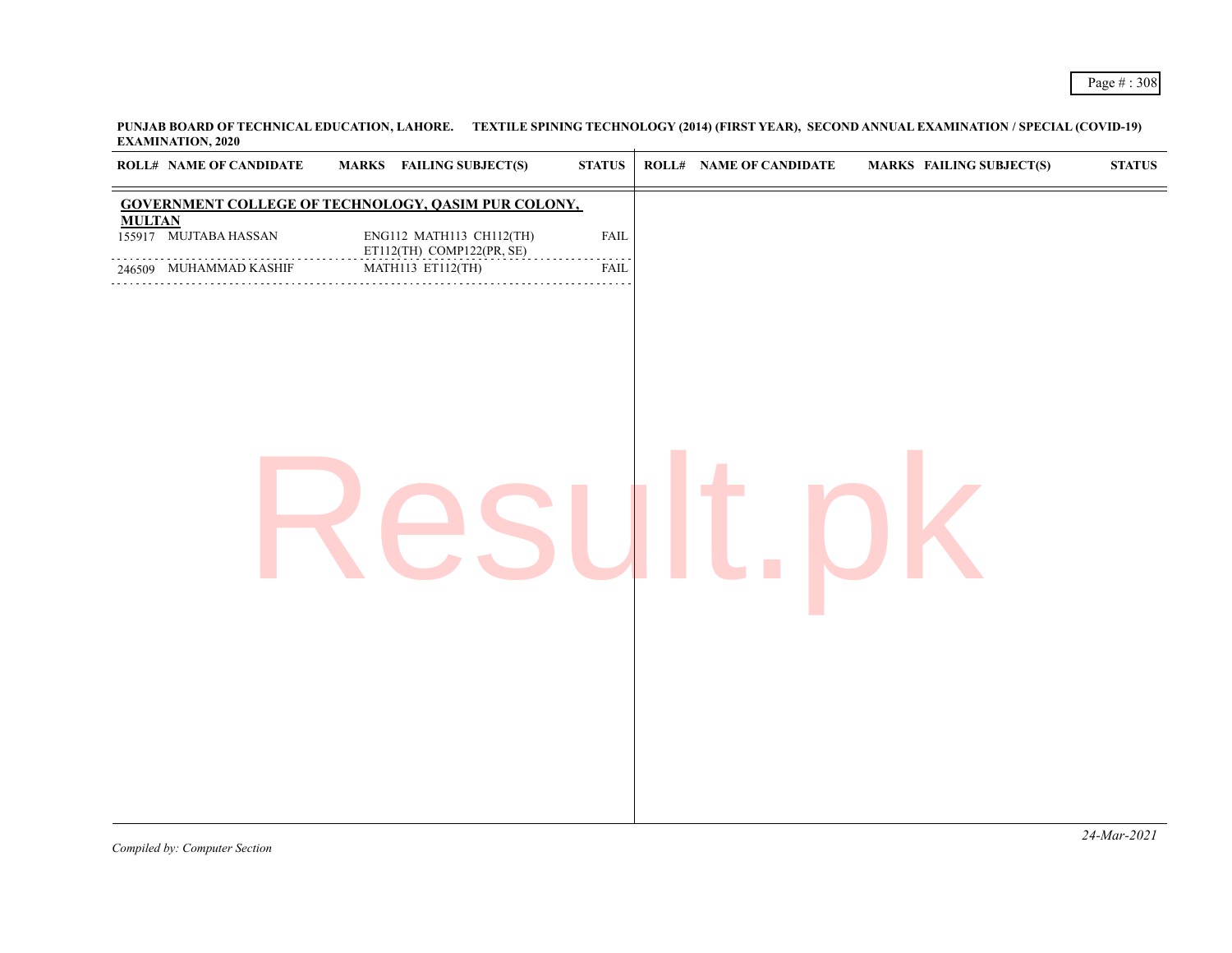**PUNJAB BOARD OF TECHNICAL EDUCATION, LAHORE. TEXTILE SPINING TECHNOLOGY (2014) (FIRST YEAR), SECOND ANNUAL EXAMINATION / SPECIAL (COVID-19) EXAMINATION, 2020**